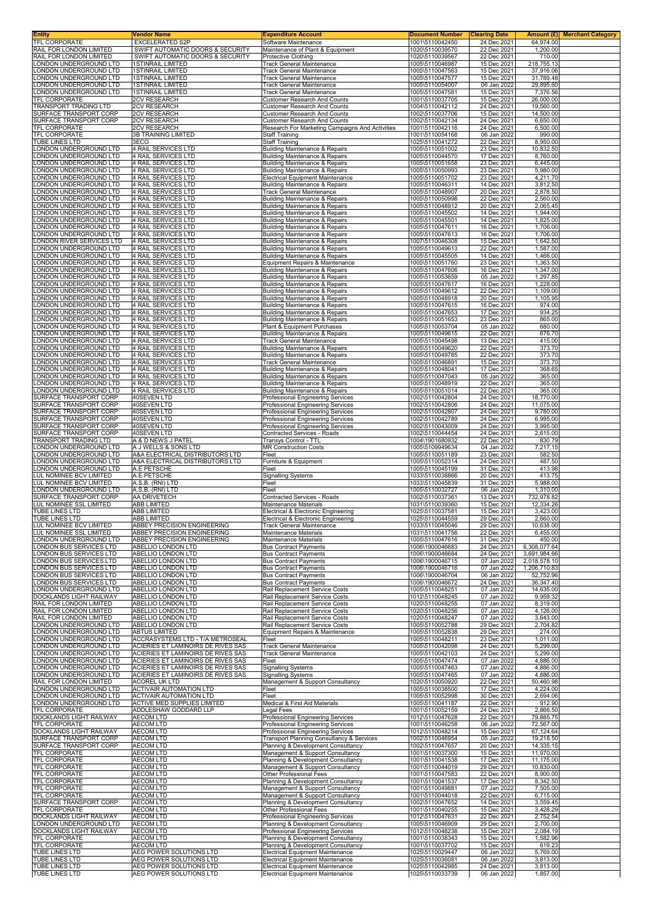| <b>Entity</b>                                                                | Vendor Name                                                              | <b>Expenditure Account</b>                                                             | <b>Document Number</b>             | <b>Clearing Date</b>       |                              | Amount (£) Merchant Category |
|------------------------------------------------------------------------------|--------------------------------------------------------------------------|----------------------------------------------------------------------------------------|------------------------------------|----------------------------|------------------------------|------------------------------|
| TFL CORPORATE<br>RAIL FOR LONDON LIMITED                                     | <b>EXCELERATED S2P</b><br>SWIFT AUTOMATIC DOORS & SECURITY               | Software Maintenance<br>Maintenance of Plant & Equipment                               | 1001\5110042450<br>1020\5110039570 | 24 Dec 2021<br>22 Dec 2021 | 64,974.00<br>1,200.00        |                              |
| RAIL FOR LONDON LIMITED                                                      | SWIFT AUTOMATIC DOORS & SECURITY                                         | <b>Protective Clothing</b>                                                             | 1020\5110039567                    | 22 Dec 2021                | 710.00                       |                              |
| LONDON UNDERGROUND LTD                                                       | <b>1STINRAIL LIMITED</b>                                                 | Track General Maintenance                                                              | 1005\5110046987                    | 15 Dec 2021                | 218,755.13                   |                              |
| LONDON UNDERGROUND LTD<br>LONDON UNDERGROUND LTD                             | <b>1STINRAIL LIMITED</b><br><b>1STINRAIL LIMITED</b>                     | Track General Maintenance<br>Track General Maintenance                                 | 1005\5110047563<br>1005\5110047577 | 15 Dec 2021<br>15 Dec 2021 | 37,916.06<br>31,789.48       |                              |
| LONDON UNDERGROUND LTD                                                       | <b>1STINRAIL LIMITED</b>                                                 | Track General Maintenance                                                              | 1005\5110054007                    | 06 Jan 2022                | 29,895.60                    |                              |
| LONDON UNDERGROUND LTD                                                       | <b>1STINRAIL LIMITED</b>                                                 | <b>Track General Maintenance</b>                                                       | 1005\5110047581                    | 15 Dec 2021                | 7,376.56                     |                              |
| TFL CORPORATE<br>TRANSPORT TRADING LTD                                       | <b>2CV RESEARCH</b><br><b>2CV RESEARCH</b>                               | <b>Customer Research And Counts</b><br><b>Customer Research And Counts</b>             | 1001\5110037705<br>1004\5110042112 | 15 Dec 2021<br>24 Dec 2021 | 26,000.00<br>19,560.00       |                              |
| SURFACE TRANSPORT CORP                                                       | <b>2CV RESEARCH</b>                                                      | <b>Customer Research And Counts</b>                                                    | 1002\5110037706                    | 15 Dec 2021                | 14,500.00                    |                              |
| SURFACE TRANSPORT CORP                                                       | <b>2CV RESEARCH</b>                                                      | Customer Research And Counts                                                           | 1002\5110042134                    | 24 Dec 2021                | 6,650.00                     |                              |
| TFL CORPORATE<br>TFL CORPORATE                                               | 2CV RESEARCH<br><b>3B TRAINING LIMITED</b>                               | Research For Marketing Campaigns And Activities<br><b>Staff Training</b>               | 1001\5110042116<br>1001\5110054168 | 24 Dec 2021<br>06 Jan 2022 | 6,500.00<br>990.00           |                              |
| TUBE LINES LTD                                                               | 3ECO                                                                     | <b>Staff Training</b>                                                                  | 1025\5110041272                    | 22 Dec 2021                | 8,950.00                     |                              |
| LONDON UNDERGROUND LTD                                                       | <b>4 RAIL SERVICES LTD</b>                                               | <b>Building Maintenance &amp; Repairs</b>                                              | 1005\5110051002                    | 23 Dec 2021                | 10,832.50                    |                              |
| LONDON UNDERGROUND LTD<br>LONDON UNDERGROUND LTD                             | 4 RAIL SERVICES LTD<br><b>4 RAIL SERVICES LTD</b>                        | <b>Building Maintenance &amp; Repairs</b><br>Building Maintenance & Repairs            | 1005\5110044570<br>1005\5110051658 | 17 Dec 2021<br>23 Dec 2021 | 8,760.00<br>6.445.00         |                              |
| LONDON UNDERGROUND LTD                                                       | 4 RAIL SERVICES LTD                                                      | <b>Building Maintenance &amp; Repairs</b>                                              | 1005\5110050993                    | 23 Dec 2021                | 5,980.00                     |                              |
| LONDON UNDERGROUND LTD                                                       | 4 RAIL SERVICES LTD                                                      | <b>Electrical Equipment Maintenance</b>                                                | 1005\5110051702                    | 23 Dec 2021                | 4,211.70                     |                              |
| LONDON UNDERGROUND LTD<br>LONDON UNDERGROUND LTD                             | 4 RAIL SERVICES LTD<br>4 RAIL SERVICES LTD                               | <b>Building Maintenance &amp; Repairs</b><br>Track General Maintenance                 | 1005\5110046311<br>1005\5110048907 | 14 Dec 2021<br>20 Dec 2021 | 3,812.50<br>2,878.50         |                              |
| LONDON UNDERGROUND LTD                                                       | 4 RAIL SERVICES LTD                                                      | <b>Building Maintenance &amp; Repairs</b>                                              | 1005\5110050998                    | 22 Dec 2021                | 2,560.00                     |                              |
| LONDON UNDERGROUND LTD                                                       | 4 RAIL SERVICES LTD                                                      | Building Maintenance & Repairs                                                         | 1005\5110048912                    | 20 Dec 2021                | 2,065.45                     |                              |
| LONDON UNDERGROUND LTD<br>LONDON UNDERGROUND LTD                             | 4 RAIL SERVICES LTD<br>4 RAIL SERVICES LTD                               | <b>Building Maintenance &amp; Repairs</b><br><b>Building Maintenance &amp; Repairs</b> | 1005\5110045502<br>1005\5110045501 | 14 Dec 2021<br>14 Dec 2021 | 1,944.00<br>1,825.00         |                              |
| LONDON UNDERGROUND LTD                                                       | 4 RAIL SERVICES LTD                                                      | <b>Building Maintenance &amp; Repairs</b>                                              | 1005\5110047611                    | 16 Dec 2021                | 1,706.00                     |                              |
| LONDON UNDERGROUND LTD<br>LONDON RIVER SERVICES LTD                          | 4 RAIL SERVICES LTD                                                      | Building Maintenance & Repairs                                                         | 1005\5110047613                    | 16 Dec 2021                | 1,706.00<br>1,642.50         |                              |
| LONDON UNDERGROUND LTD                                                       | 4 RAIL SERVICES LTD<br><b>4 RAIL SERVICES LTD</b>                        | Building Maintenance & Repairs<br><b>Building Maintenance &amp; Repairs</b>            | 1007\5110046308<br>1005\5110049613 | 15 Dec 2021<br>22 Dec 2021 | 1,587.00                     |                              |
| LONDON UNDERGROUND LTD                                                       | 4 RAIL SERVICES LTD                                                      | <b>Building Maintenance &amp; Repairs</b>                                              | 1005\5110045505                    | 14 Dec 2021                | 1,466.00                     |                              |
| LONDON UNDERGROUND LTD                                                       | 4 RAIL SERVICES LTD                                                      | Equipment Repairs & Maintenance                                                        | 1005\5110051760                    | 23 Dec 2021                | 1,363.50<br>1,347.00         |                              |
| LONDON UNDERGROUND LTD<br>LONDON UNDERGROUND LTD                             | 4 RAIL SERVICES LTD<br>4 RAIL SERVICES LTD                               | <b>Building Maintenance &amp; Repairs</b><br><b>Building Maintenance &amp; Repairs</b> | 1005\5110047606<br>1005\5110053659 | 16 Dec 2021<br>05 Jan 2022 | 1,297.85                     |                              |
| LONDON UNDERGROUND LTD                                                       | 4 RAIL SERVICES LTD                                                      | <b>Building Maintenance &amp; Repairs</b>                                              | 1005\5110047617                    | 16 Dec 2021                | 1,228.00                     |                              |
| LONDON UNDERGROUND LTD<br>LONDON UNDERGROUND LTD                             | <b>4 RAIL SERVICES LTD</b>                                               | Building Maintenance & Repairs<br><b>Building Maintenance &amp; Repairs</b>            | 1005\5110049612                    | 22 Dec 2021<br>20 Dec 2021 | 1,109.00<br>1,105.95         |                              |
| LONDON UNDERGROUND LTD                                                       | 4 RAIL SERVICES LTD<br>4 RAIL SERVICES LTD                               | <b>Building Maintenance &amp; Repairs</b>                                              | 1005\5110048918<br>1005\5110047615 | 16 Dec 2021                | 974.00                       |                              |
| LONDON UNDERGROUND LTD                                                       | 4 RAIL SERVICES LTD                                                      | <b>Building Maintenance &amp; Repairs</b>                                              | 1005\5110047653                    | 17 Dec 2021                | 934.25                       |                              |
| LONDON UNDERGROUND LTD<br>LONDON UNDERGROUND LTD                             | 4 RAIL SERVICES LTD<br>4 RAIL SERVICES LTD                               | Building Maintenance & Repairs<br>Plant & Equipment Purchases                          | 1005\5110051653<br>1005\5110053704 | 23 Dec 2021<br>05 Jan 2022 | 865.00<br>680.00             |                              |
| LONDON UNDERGROUND LTD                                                       | 4 RAIL SERVICES LTD                                                      | <b>Building Maintenance &amp; Repairs</b>                                              | 1005\5110049615                    | 22 Dec 2021                | 676.70                       |                              |
| ONDON UNDERGROUND LTD                                                        | 4 RAIL SERVICES LTD                                                      | <b>Track General Maintenance</b>                                                       | 1005\5110045498                    | 13 Dec 2021                | 415.00                       |                              |
| LONDON UNDERGROUND LTD<br>LONDON UNDERGROUND LTD                             | 4 RAIL SERVICES LTD<br><b>4 RAIL SERVICES LTD</b>                        | <b>Building Maintenance &amp; Repairs</b><br><b>Building Maintenance &amp; Repairs</b> | 1005\5110049620<br>1005\5110049785 | 22 Dec 2021<br>22 Dec 2021 | 373.70<br>373.70             |                              |
| LONDON UNDERGROUND LTD                                                       | <b>4 RAIL SERVICES LTD</b>                                               | Track General Maintenance                                                              | 1005\5110046891                    | 15 Dec 2021                | 373.70                       |                              |
| LONDON UNDERGROUND LTD                                                       | 4 RAIL SERVICES LTD                                                      | <b>Building Maintenance &amp; Repairs</b>                                              | 1005\5110048041                    | 17 Dec 2021                | 368.65                       |                              |
| LONDON UNDERGROUND LTD<br>LONDON UNDERGROUND LTD                             | 4 RAIL SERVICES LTD<br><b>4 RAIL SERVICES LTD</b>                        | <b>Building Maintenance &amp; Repairs</b><br>Building Maintenance & Repairs            | 1005\5110047043<br>1005\5110048919 | 05 Jan 2022<br>22 Dec 2021 | 365.00<br>365.00             |                              |
| LONDON UNDERGROUND LTD                                                       | 4 RAIL SERVICES LTD                                                      | <b>Building Maintenance &amp; Repairs</b>                                              | 1005\5110051014                    | 22 Dec 2021                | 365.00                       |                              |
| SURFACE TRANSPORT CORP                                                       | 40SEVEN LTD                                                              | Professional Engineering Services                                                      | 1002\5110042804                    | 24 Dec 2021                | 18,770.00                    |                              |
| SURFACE TRANSPORT CORP<br>SURFACE TRANSPORT CORP                             | 40SEVEN LTD<br>40SEVEN LTD                                               | Professional Engineering Services<br>Professional Engineering Services                 | 1002\5110042806<br>1002\5110042807 | 24 Dec 2021<br>24 Dec 2021 | 11,075.00<br>9,780.00        |                              |
| SURFACE TRANSPORT CORP                                                       | 40SEVEN LTD                                                              | Professional Engineering Services                                                      | 1002\5110042789                    | 24 Dec 2021                | 6,995.00                     |                              |
| SURFACE TRANSPORT CORP                                                       | 40SEVEN LTD                                                              | Professional Engineering Services                                                      | 1002\5110043009                    | 24 Dec 2021                | 3,995.00                     |                              |
| SURFACE TRANSPORT CORP<br>TRANSPORT TRADING LTD                              | 40SEVEN LTD<br>A & D NEWS J PATEL                                        | Contracted Services - Roads<br>Transys Control - TTL                                   | 1002\5110044454<br>1004\1901680932 | 24 Dec 2021<br>22 Dec 2021 | 2,615.00<br>830.79           |                              |
| LONDON UNDERGROUND LTD                                                       | A J WELLS & SONS LTD                                                     | <b>MR Construction Costs</b>                                                           | 1005\5109949634                    | 04 Jan 2022                | 7,217.15                     |                              |
| LONDON UNDERGROUND LTD                                                       | A&A ELECTRICAL DISTRIBUTORS LTD                                          | Fleet                                                                                  | 1005\5110051189                    | 23 Dec 2021                | 582.50                       |                              |
| LONDON UNDERGROUND LTD<br>LONDON UNDERGROUND LTD                             | A&A ELECTRICAL DISTRIBUTORS LTD<br>A.E PETSCHE                           | Furniture & Equipment<br>Fleet                                                         | 1005\5110052314<br>1005\5110045199 | 24 Dec 2021<br>31 Dec 2021 | 487.50<br>413.98             |                              |
| LUL NOMINEE BCV LIMITED                                                      | A.E PETSCHE                                                              | <b>Signalling Systems</b>                                                              | 1033\5110038866                    | 20 Dec 2021                | 413.75                       |                              |
| LUL NOMINEE BCV LIMITED                                                      | A.S.B. (RNI) LTD                                                         | Fleet                                                                                  | 1033\5110045839                    | 31 Dec 2021                | 5,988.00                     |                              |
| LONDON UNDERGROUND LTD<br>SURFACE TRANSPORT CORP                             | A.S.B. (RNI) LTD<br>AA DRIVETECH                                         | Fleet<br>Contracted Services - Roads                                                   | 1005\5110032727<br>1002\5110037361 | 06 Jan 2022<br>13 Dec 2021 | 1,310.00<br>732,978.82       |                              |
| LUL NOMINEE SSL LIMITED                                                      | ABB LIMITED                                                              | Maintenance Materials                                                                  | 1031\5110039360                    | 15 Dec 2021                | 12,334.26                    |                              |
| <b>TUBE LINES LTD</b>                                                        | <b>ABB LIMITED</b>                                                       | Electrical & Electronic Engineering                                                    | 1025\5110037581                    | 15 Dec 2021                | 3,423.00                     |                              |
| <b>TUBE LINES LTD</b><br>LUL NOMINEE BCV LIMITED                             | ABB LIMITED<br>ABBEY PRECISION ENGINEERING                               | Electrical & Electronic Engineering<br>i rack General Maintenance                      | 1025\5110044559<br>1033\5110045046 | 29 Dec 2021<br>29 Dec 2021 | 2,660.00<br>10,638.00        |                              |
| LUL NOMINEE SSL LIMITED                                                      | ABBEY PRECISION ENGINEERING                                              | Maintenance Materials                                                                  | 1031\5110041756                    | 22 Dec 2021                | 6,455.00                     |                              |
| LONDON UNDERGROUND LTD                                                       | ABBEY PRECISION ENGINEERING<br>ABELLIO LONDON LTD                        | Maintenance Materials                                                                  | 1005\5110047616<br>1006\1900046683 | 31 Dec 2021                | 450.00                       |                              |
| LONDON BUS SERVICES LTD<br>LONDON BUS SERVICES LTD                           | ABELLIO LONDON LTD                                                       | <b>Bus Contract Payments</b><br><b>Bus Contract Payments</b>                           | 1006\1900046684                    | 24 Dec 2021<br>24 Dec 2021 | 6,308,077.64<br>3,691,984.66 |                              |
| LONDON BUS SERVICES LTD                                                      | ABELLIO LONDON LTD                                                       | <b>Bus Contract Payments</b>                                                           | 1006\1900046715                    | 07 Jan 2022                | 2,018,578.10                 |                              |
| LONDON BUS SERVICES LTD<br>LONDON BUS SERVICES LTD                           | ABELLIO LONDON LTD<br>ABELLIO LONDON LTD                                 | <b>Bus Contract Payments</b><br><b>Bus Contract Payments</b>                           | 1006\1900046716<br>1006\1900046704 | 07 Jan 2022<br>06 Jan 2022 | 1,206,710.83<br>52,752.96    |                              |
| <b>LONDON BUS SERVICES LTD</b>                                               | ABELLIO LONDON LTD                                                       | <b>Bus Contract Payments</b>                                                           | 1006\1900046672                    | 24 Dec 2021                | 36,347.40                    |                              |
| LONDON UNDERGROUND LTD                                                       | ABELLIO LONDON LTD                                                       | Rail Replacement Service Costs                                                         | 1005\5110048251                    | 07 Jan 2022                | 14,635.00                    |                              |
| DOCKLANDS LIGHT RAILWAY<br>RAIL FOR LONDON LIMITED                           | ABELLIO LONDON LTD<br>ABELLIO LONDON LTD                                 | Rail Replacement Service Costs<br>Rail Replacement Service Costs                       | 1012\5110048245<br>1020\5110048255 | 07 Jan 2022<br>07 Jan 2022 | 9,959.32<br>8,319.00         |                              |
| RAIL FOR LONDON LIMITED                                                      | ABELLIO LONDON LTD                                                       | Rail Replacement Service Costs                                                         | 1020\5110048256                    | 07 Jan 2022                | 4,126.00                     |                              |
| RAIL FOR LONDON LIMITED                                                      | ABELLIO LONDON LTD                                                       | Rail Replacement Service Costs                                                         | 1020\5110048247                    | 07 Jan 2022                | 3,643.00                     |                              |
| LONDON UNDERGROUND LTD<br>LONDON UNDERGROUND LTD                             | ABELLIO LONDON LTD<br><b>ABTUS LIMITED</b>                               | Rail Replacement Service Costs<br>Equipment Repairs & Maintenance                      | 1005\5110052788<br>1005\5110052838 | 29 Dec 2021<br>29 Dec 2021 | 2,704.82<br>274.00           |                              |
| LONDON UNDERGROUND LTD                                                       | ACCRASYSTEMS LTD - T/A METROSEAL                                         | Fleet                                                                                  | 1005\5110048211                    | 23 Dec 2021                | 1,011.00                     |                              |
| LONDON UNDERGROUND LTD<br>LONDON UNDERGROUND LTD                             | ACIERIES ET LAMINOIRS DE RIVES SAS<br>ACIERIES ET LAMINOIRS DE RIVES SAS | <b>Track General Maintenance</b><br>Track General Maintenance                          | 1005\5110042098<br>1005\5110042103 | 24 Dec 2021<br>24 Dec 2021 | 5,299.00<br>5,299.00         |                              |
| LONDON UNDERGROUND LTD                                                       | ACIERIES ET LAMINOIRS DE RIVES SAS                                       | Fleet                                                                                  | 1005\5110047474                    | 07 Jan 2022                | 4,886.00                     |                              |
| LONDON UNDERGROUND LTD                                                       | ACIERIES ET LAMINOIRS DE RIVES SAS                                       | <b>Signalling Systems</b>                                                              | 1005\5110047463                    | 07 Jan 2022                | 4,886.00                     |                              |
| LONDON UNDERGROUND LTD<br>RAIL FOR LONDON LIMITED                            | ACIERIES ET LAMINOIRS DE RIVES SAS<br>ACOREL UK LTD                      | <b>Signalling Systems</b><br>Management & Support Consultancy                          | 1005\5110047465<br>1020\5110050920 | 07 Jan 2022<br>22 Dec 2021 | 4,886.00<br>50,460.98        |                              |
| LONDON UNDERGROUND LTD                                                       | <b>ACTIVAIR AUTOMATION LTD</b>                                           | Fleet                                                                                  | 1005\5110038500                    | 17 Dec 2021                | 4,224.00                     |                              |
| LONDON UNDERGROUND LTD                                                       | <b>ACTIVAIR AUTOMATION LTD</b>                                           | Fleet                                                                                  | 1005\5110052998                    | 30 Dec 2021                | 2,694.06                     |                              |
| LONDON UNDERGROUND LTD<br>TFL CORPORATE                                      | ACTIVE MED SUPPLIES LIMITED<br>ADDLESHAW GODDARD LLP                     | Medical & First Aid Materials<br>Legal Fees                                            | 1005\5110041187<br>1001\5110052159 | 22 Dec 2021<br>24 Dec 2021 | 912.90<br>2,866.50           |                              |
| DOCKLANDS LIGHT RAILWAY                                                      | <b>AECOM LTD</b>                                                         | Professional Engineering Services                                                      | 1012\5110047628                    | 22 Dec 2021                | 79,885.75                    |                              |
| TFL CORPORATE                                                                | <b>AECOM LTD</b>                                                         | Professional Engineering Services                                                      | 1001\5110046258                    | 06 Jan 2022                | 72,567.00                    |                              |
| DOCKLANDS LIGHT RAILWAY<br>SURFACE TRANSPORT CORP                            | <b>AECOM LTD</b><br><b>AECOM LTD</b>                                     | Professional Engineering Services<br>Transport Planning Consultancy & Services         | 1012\5110048214<br>1002\5110046954 | 15 Dec 2021<br>05 Jan 2022 | 67,124.64<br>19,218.50       |                              |
| SURFACE TRANSPORT CORP                                                       | <b>AECOM LTD</b>                                                         | Planning & Development Consultancy                                                     | 1002\5110047657                    | 20 Dec 2021                | 14,335.15                    |                              |
| TFL CORPORATE<br>TFL CORPORATE                                               | <b>AECOM LTD</b><br><b>AECOM LTD</b>                                     | Management & Support Consultancy<br>Planning & Development Consultancy                 | 1001\5110037300<br>1001\5110041538 | 15 Dec 2021<br>17 Dec 2021 | 11,970.00                    |                              |
| TFL CORPORATE                                                                | <b>AECOM LTD</b>                                                         | Management & Support Consultancy                                                       | 1001\5110044019                    | 29 Dec 2021                | 11,175.00<br>10,830.00       |                              |
| TFL CORPORATE                                                                | <b>AECOM LTD</b>                                                         | Other Professional Fees                                                                | 1001\5110047583                    | 22 Dec 2021                | 8,900.00                     |                              |
| <b>TFL CORPORATE</b><br>TFL CORPORATE                                        | <b>AECOM LTD</b><br><b>AECOM LTD</b>                                     | Planning & Development Consultancy<br>Management & Support Consultancy                 | 1001\5110041537<br>1001\5110049881 | 17 Dec 2021<br>07 Jan 2022 | 8,342.50<br>7,505.00         |                              |
| TFL CORPORATE                                                                | <b>AECOM LTD</b>                                                         | Management & Support Consultancy                                                       | 1001\5110044018                    | 22 Dec 2021                | 6,715.00                     |                              |
| SURFACE TRANSPORT CORP                                                       | <b>AECOM LTD</b>                                                         | Planning & Development Consultancy                                                     | 1002\5110047652                    | 14 Dec 2021                | 3,559.45                     |                              |
| TFL CORPORATE                                                                |                                                                          | Other Professional Fees                                                                | 1001\5110040255                    | 15 Dec 2021                | 3,428.29                     |                              |
|                                                                              | <b>AECOM LTD</b>                                                         |                                                                                        |                                    |                            |                              |                              |
|                                                                              | <b>AECOM LTD</b><br><b>AECOM LTD</b>                                     | Professional Engineering Services<br>Planning & Development Consultancy                | 1012\5110047631<br>1005\5110046909 | 22 Dec 2021<br>29 Dec 2021 | 2,752.54<br>2,700.00         |                              |
| DOCKLANDS LIGHT RAILWAY<br>LONDON UNDERGROUND LTD<br>DOCKLANDS LIGHT RAILWAY | <b>AECOM LTD</b>                                                         | Professional Engineering Services                                                      | 1012\5110048238                    | 15 Dec 2021                | 2,084.19                     |                              |
| TFL CORPORATE                                                                | <b>AECOM LTD</b>                                                         | Planning & Development Consultancy                                                     | 1001\5110038343                    | 15 Dec 2021                | 1,582.96                     |                              |
| TFL CORPORATE<br>TUBE LINES LTD                                              | <b>AECOM LTD</b><br>AEG POWER SOLUTIONS LTD                              | Planning & Development Consultancy<br><b>Electrical Equipment Maintenance</b>          | 1001\5110037702<br>1025\5110029447 | 15 Dec 2021<br>06 Jan 2022 | 619.23<br>5,769.00           |                              |
| TUBE LINES LTD<br><b>TUBE LINES LTD</b>                                      | AEG POWER SOLUTIONS LTD<br>AEG POWER SOLUTIONS LTD                       | <b>Electrical Equipment Maintenance</b><br><b>Electrical Equipment Maintenance</b>     | 1025\5110036081<br>1025\5110042985 | 06 Jan 2022<br>24 Dec 2021 | 3,813.00<br>3,813.00         |                              |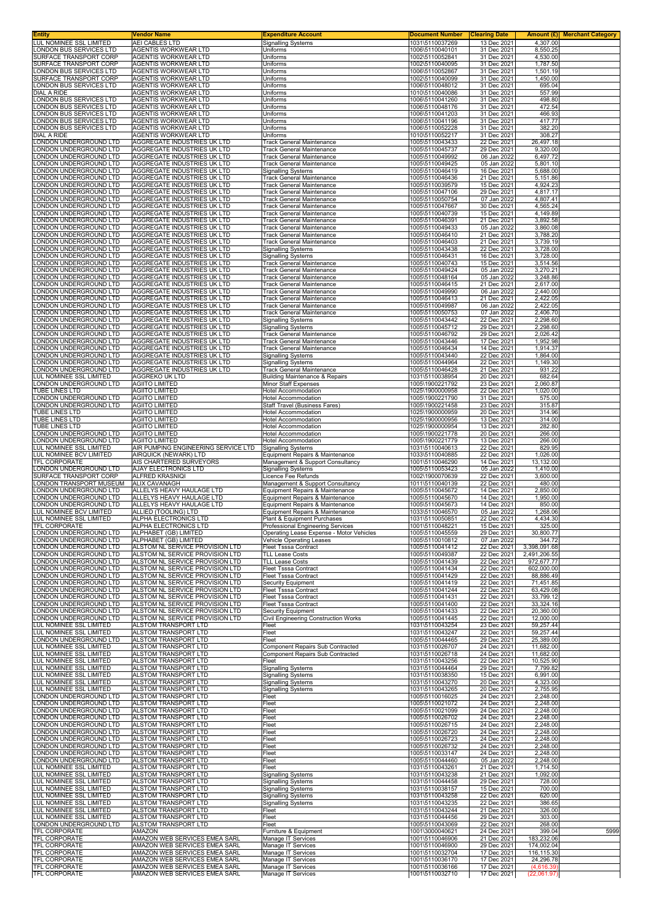| Entity<br>LUL NOMINEE SSL LIMITED                      | Vendor Name<br>AEI CABLES LTD                                      | <b>Expenditure Account</b><br><b>Signalling Systems</b>                       | <b>Document Number</b><br>1031\5110037269 | <b>Clearing Date</b><br>13 Dec 2021 | 4.307.00                  | Amount (£) Merchant Category |
|--------------------------------------------------------|--------------------------------------------------------------------|-------------------------------------------------------------------------------|-------------------------------------------|-------------------------------------|---------------------------|------------------------------|
| ONDON BUS SERVICES LTD                                 | AGENTIS WORKWEAR LTD                                               | Uniforms                                                                      | 1006\5110040101                           | 31 Dec 2021                         | 8,550.25                  |                              |
| SURFACE TRANSPORT CORP                                 | AGENTIS WORKWEAR LTD                                               | Uniforms                                                                      | 1002\5110052841                           | 31 Dec 2021                         | 4,530.00                  |                              |
| SURFACE TRANSPORT CORP<br>ONDON BUS SERVICES LTD       | <b>AGENTIS WORKWEAR LTD</b><br>AGENTIS WORKWEAR LTD                | Uniforms<br>Uniforms                                                          | 1002\5110040095<br>1006\5110052867        | 31 Dec 2021<br>31 Dec 2021          | 1,787.50<br>1.501.19      |                              |
| SURFACE TRANSPORT CORP                                 | AGENTIS WORKWEAR LTD                                               | Uniforms                                                                      | 1002\5110040099                           | 31 Dec 2021                         | 1,450.00                  |                              |
| ONDON BUS SERVICES LTD                                 | AGENTIS WORKWEAR LTD                                               | Uniforms                                                                      | 1006\5110048012                           | 31 Dec 2021                         | 695.04                    |                              |
| DIAL A RIDE<br>ONDON BUS SERVICES LTD                  | AGENTIS WORKWEAR LTD<br>AGENTIS WORKWEAR LTD                       | Uniforms<br>Uniforms                                                          | 1010\5110040086<br>1006\5110041260        | 31 Dec 2021<br>31 Dec 2021          | 557.99<br>498.80          |                              |
| ONDON BUS SERVICES LTD                                 | <b>AGENTIS WORKWEAR LTD</b>                                        | Uniforms                                                                      | 1006\5110048176                           | 31 Dec 2021                         | 472.54                    |                              |
| ONDON BUS SERVICES LTD<br>ONDON BUS SERVICES LTD       | AGENTIS WORKWEAR LTD<br>AGENTIS WORKWEAR LTD                       | Uniforms<br>Uniforms                                                          | 1006\5110041203<br>1006\5110041196        | 31 Dec 2021<br>31 Dec 2021          | 466.93<br>417.77          |                              |
| ONDON BUS SERVICES LTD                                 | AGENTIS WORKWEAR LTD                                               | Uniforms                                                                      | 1006\5110052228                           | 31 Dec 2021                         | 382.20                    |                              |
| DIAL A RIDE                                            | AGENTIS WORKWEAR LTD                                               | Uniforms                                                                      | 1010\5110052217                           | 31 Dec 2021                         | 308.27                    |                              |
| ONDON UNDERGROUND LTD<br>ONDON UNDERGROUND LTD         | AGGREGATE INDUSTRIES UK LTD<br>AGGREGATE INDUSTRIES UK LTD         | <b>Track General Maintenance</b><br><b>Track General Maintenance</b>          | 1005\5110043433<br>1005\5110045737        | 22 Dec 2021<br>29 Dec 2021          | 26,497.18<br>9,320.00     |                              |
| ONDON UNDERGROUND LTD                                  | AGGREGATE INDUSTRIES UK LTD                                        | <b>Track General Maintenance</b>                                              | 1005\5110049992                           | 06 Jan 2022                         | 6,497.72                  |                              |
| ONDON UNDERGROUND LTD                                  | AGGREGATE INDUSTRIES UK LTD                                        | Track General Maintenance                                                     | 1005\5110049425                           | 05 Jan 2022                         | 5,801.10                  |                              |
| ONDON UNDERGROUND LTD<br>ONDON UNDERGROUND LTD         | AGGREGATE INDUSTRIES UK LTD<br>AGGREGATE INDUSTRIES UK LTD         | <b>Signalling Systems</b><br><b>Track General Maintenance</b>                 | 1005\5110046419<br>1005\5110046436        | 16 Dec 2021<br>21 Dec 2021          | 5,688.00<br>5,151.86      |                              |
| ONDON UNDERGROUND LTD                                  | AGGREGATE INDUSTRIES UK LTD                                        | <b>Track General Maintenance</b>                                              | 1005\5110039579                           | 15 Dec 2021                         | 4,924.23                  |                              |
| ONDON UNDERGROUND LTD<br>ONDON UNDERGROUND LTD         | AGGREGATE INDUSTRIES UK LTD<br>AGGREGATE INDUSTRIES UK LTD         | <b>Track General Maintenance</b><br><b>Track General Maintenance</b>          | 1005\5110047106<br>1005\5110050754        | 29 Dec 2021<br>07 Jan 2022          | 4,817.17<br>4,807.41      |                              |
| ONDON UNDERGROUND LTD                                  | AGGREGATE INDUSTRIES UK LTD                                        | Track General Maintenance                                                     | 1005\5110047667                           | 30 Dec 2021                         | 4,565.24                  |                              |
| ONDON UNDERGROUND LTD                                  | AGGREGATE INDUSTRIES UK LTD                                        | Track General Maintenance                                                     | 1005\5110040739                           | 15 Dec 2021                         | 4,149.89                  |                              |
| ONDON UNDERGROUND LTD<br>ONDON UNDERGROUND LTD.        | AGGREGATE INDUSTRIES UK LTD<br>AGGREGATE INDUSTRIES UK LTD         | <b>Track General Maintenance</b><br><b>Track General Maintenance</b>          | 1005\5110046391<br>1005\5110049433        | 21 Dec 2021<br>05 Jan 2022          | 3,892.58<br>3,860.08      |                              |
| ONDON UNDERGROUND LTD                                  | AGGREGATE INDUSTRIES UK LTD                                        | <b>Track General Maintenance</b>                                              | 1005\5110046410                           | 21 Dec 2021                         | 3,788.20                  |                              |
| ONDON UNDERGROUND LTD<br>ONDON UNDERGROUND LTD         | <b>AGGREGATE INDUSTRIES UK LTD</b><br>AGGREGATE INDUSTRIES UK LTD  | Track General Maintenance<br><b>Signalling Systems</b>                        | 1005\5110046403<br>1005\5110043438        | 21 Dec 2021<br>22 Dec 2021          | 3,739.19<br>3,728.00      |                              |
| ONDON UNDERGROUND LTD                                  | AGGREGATE INDUSTRIES UK LTD                                        | <b>Signalling Systems</b>                                                     | 1005\5110046431                           | 16 Dec 2021                         | 3,728.00                  |                              |
| ONDON UNDERGROUND LTD                                  | AGGREGATE INDUSTRIES UK LTD                                        | <b>Track General Maintenance</b>                                              | 1005\5110040743                           | 15 Dec 2021                         | 3,514.56                  |                              |
| ONDON UNDERGROUND LTD<br>ONDON UNDERGROUND LTD         | AGGREGATE INDUSTRIES UK LTD<br>AGGREGATE INDUSTRIES UK LTD         | <b>Track General Maintenance</b><br><b>Track General Maintenance</b>          | 1005\5110049424<br>1005\5110048164        | 05 Jan 2022<br>05 Jan 2022          | 3.270.21<br>3,248.86      |                              |
| ONDON UNDERGROUND LTD                                  | AGGREGATE INDUSTRIES UK LTD                                        | <b>Track General Maintenance</b>                                              | 1005\5110046415                           | 21 Dec 2021                         | 2,617.00                  |                              |
| ONDON UNDERGROUND LTD                                  | AGGREGATE INDUSTRIES UK LTD                                        | <b>Track General Maintenance</b>                                              | 1005\5110049990                           | 06 Jan 2022                         | 2,440.00                  |                              |
| ONDON UNDERGROUND LTD<br>ONDON UNDERGROUND LTD         | AGGREGATE INDUSTRIES UK LTD<br>AGGREGATE INDUSTRIES UK LTD         | <b>Track General Maintenance</b><br>Track General Maintenance                 | 1005\5110046413<br>1005\5110049987        | 21 Dec 2021<br>06 Jan 2022          | 2,422.05<br>2,422.05      |                              |
| ONDON UNDERGROUND LTD                                  | AGGREGATE INDUSTRIES UK LTD                                        | <b>Track General Maintenance</b>                                              | 1005\5110050753                           | 07 Jan 2022                         | 2,406.70                  |                              |
| ONDON UNDERGROUND LTD<br>ONDON UNDERGROUND LTD         | AGGREGATE INDUSTRIES UK LTD<br>AGGREGATE INDUSTRIES UK LTD         | <b>Signalling Systems</b><br><b>Signalling Systems</b>                        | 1005\5110043442<br>1005\5110045712        | 22 Dec 2021<br>29 Dec 2021          | 2,298.60<br>2,298.60      |                              |
| ONDON UNDERGROUND LTD                                  | AGGREGATE INDUSTRIES UK LTD                                        | <b>Track General Maintenance</b>                                              | 1005\5110046792                           | 29 Dec 2021                         | 2,026.42                  |                              |
| ONDON UNDERGROUND LTD                                  | AGGREGATE INDUSTRIES UK LTD                                        | Track General Maintenance                                                     | 1005\5110043446                           | 17 Dec 2021                         | 1,952.98                  |                              |
| ONDON UNDERGROUND LTD<br>ONDON UNDERGROUND LTD         | AGGREGATE INDUSTRIES UK LTD<br>AGGREGATE INDUSTRIES UK LTD         | Track General Maintenance<br><b>Signalling Systems</b>                        | 1005\5110046434<br>1005\5110043440        | 14 Dec 2021<br>22 Dec 2021          | 1,914.37<br>1,864.00      |                              |
| ONDON UNDERGROUND LTD                                  | AGGREGATE INDUSTRIES UK LTD                                        | <b>Signalling Systems</b>                                                     | 1005\5110044964                           | 22 Dec 2021                         | 1,149.30                  |                              |
| ONDON UNDERGROUND LTD<br><b>UL NOMINEE SSL LIMITED</b> | AGGREGATE INDUSTRIES UK LTD<br><b>AGGREKO UK LTD</b>               | <b>Track General Maintenance</b><br><b>Building Maintenance &amp; Repairs</b> | 1005\5110046428<br>1031\5110038954        | 21 Dec 2021<br>20 Dec 2021          | 931.22<br>682.64          |                              |
| ONDON UNDERGROUND LTD                                  | <b>AGIITO LIMITED</b>                                              | Minor Staff Expenses                                                          | 1005\1900221792                           | 23 Dec 2021                         | 2,060.87                  |                              |
| TUBE LINES LTD                                         | <b>AGIITO LIMITED</b>                                              | Hotel Accommodation                                                           | 1025\1900000958                           | 22 Dec 2021                         | 1,020.00                  |                              |
| ONDON UNDERGROUND LTD<br>ONDON UNDERGROUND LTD.        | <b>AGIITO LIMITED</b><br><b>AGIITO LIMITED</b>                     | <b>Hotel Accommodation</b><br>Staff Travel (Business Fares)                   | 1005\1900221790<br>1005\1900221458        | 31 Dec 2021<br>23 Dec 2021          | 575.00<br>315.87          |                              |
| TUBE LINES LTD                                         | <b>AGIITO LIMITED</b>                                              | Hotel Accommodation                                                           | 1025\1900000959                           | 20 Dec 2021                         | 314.96                    |                              |
| TUBE LINES LTD<br><b>TUBE LINES LTD</b>                | <b>AGIITO LIMITED</b><br><b>AGIITO LIMITED</b>                     | Hotel Accommodation<br>Hotel Accommodation                                    | 1025\1900000956<br>1025\1900000954        | 13 Dec 2021<br>13 Dec 2021          | 314.00<br>282.80          |                              |
| ONDON UNDERGROUND LTD                                  | <b>AGIITO LIMITED</b>                                              | Hotel Accommodation                                                           | 1005\1900221778                           | 20 Dec 2021                         | 266.00                    |                              |
| ONDON UNDERGROUND LTD<br>LUL NOMINEE SSL LIMITED       | <b>AGIITO LIMITED</b><br>AIR PUMPING ENGINEERING SERVICE LTD       | Hotel Accommodation                                                           | 1005\1900221779                           | 13 Dec 2021<br>22 Dec 2021          | 266.00<br>829.95          |                              |
| LUL NOMINEE BCV LIMITED                                | AIRQUICK (NEWARK) LTD                                              | <b>Signalling Systems</b><br>Equipment Repairs & Maintenance                  | 1031\5110040613<br>1033\5110040885        | 22 Dec 2021                         | 1,026.00                  |                              |
| TFL CORPORATE                                          | AIS CHARTERED SURVEYORS                                            | Management & Support Consultancy                                              | 1001\5110046290                           | 14 Dec 2021                         | 13,132.00                 |                              |
| ONDON UNDERGROUND LTD<br>SURFACE TRANSPORT CORP        | AJAY ELECTRONICS LTD<br>ALFRED KRASNIQI                            | <b>Signalling Systems</b><br>Licence Fee Refunds                              | 1005\5110053423<br>1002\1900070639        | 05 Jan 2022<br>22 Dec 2021          | 1,410.00<br>3,600.00      |                              |
| ONDON TRANSPORT MUSEUM                                 | <b>ALIX CAVANAGH</b>                                               | Management & Support Consultancy                                              | 1011\5110040139                           | 22 Dec 2021                         | 480.00                    |                              |
| ONDON UNDERGROUND LTD<br>ONDON UNDERGROUND LTD         | ALLELYS HEAVY HAULAGE LTD<br>ALLELYS HEAVY HAULAGE LTD             | Equipment Repairs & Maintenance<br>Equipment Repairs & Maintenance            | 1005\5110045672<br>1005\5110045670        | 14 Dec 2021<br>14 Dec 2021          | 2,850.00<br>1,950.00      |                              |
| ONDON UNDERGROUND LTD                                  | ALLELYS HEAVY HAULAGE LTD                                          | Equipment Repairs & Maintenance                                               | 1005\5110045673                           | 14 Dec 2021                         | 850.00                    |                              |
| UL NOMINEE BCV LIMITED<br>LUL NOMINEE SSL LIMITED      | ALLIED (TOOLING) LTD<br>ALPHA ELECTRONICS LTD                      | Equipment Repairs & Maintenance<br>Plant & Equipment Purchases                | 1033\5110046570<br>1031\5110050851        | 05 Jan 2022<br>22 Dec 2021          | 1,268.06<br>4,434.30      |                              |
| IFL CORPORATE                                          | ALPHA ELECTRONICS LTD                                              | Professional Engineering Services                                             | 1001\5110048221                           | 15 Dec 2021                         | 325.00                    |                              |
| ONDON UNDERGROUND LTD<br>ONDON UNDERGROUND LTD         | ALPHABET (GB) LIMITED<br>ALPHABET (GB) LIMITED                     | Operating Lease Expense - Motor Vehicles<br>Vehicle Operating Leases          | 1005\5110045559<br>1005\5110010812        | 29 Dec 2021<br>07 Jan 2022          | 30,800.77<br>344.72       |                              |
| ONDON UNDERGROUND LTD                                  | ALSTOM NL SERVICE PROVISION LTD                                    | Fleet Tsssa Contract                                                          | 1005\5110041412                           | 22 Dec 2021                         | 3,398,091.68              |                              |
| ONDON UNDERGROUND LTD                                  | ALSTOM NL SERVICE PROVISION LTD                                    | <b>TLL Lease Costs</b>                                                        | 1005\5110049387                           | 22 Dec 2021                         | 2,491,206.55              |                              |
| ONDON UNDERGROUND LTD<br>ONDON UNDERGROUND LTD         | ALSTOM NL SERVICE PROVISION LTD<br>ALSTOM NL SERVICE PROVISION LTD | <b>TLL Lease Costs</b><br><b>Fleet Tsssa Contract</b>                         | 1005\5110041439<br>1005\5110041434        | 22 Dec 2021<br>22 Dec 2021          | 972,677.77<br>602,000.00  |                              |
| ONDON UNDERGROUND LTD                                  | ALSTOM NL SERVICE PROVISION LTD                                    | <b>Fleet Tsssa Contract</b>                                                   | 1005\5110041429                           | 22 Dec 2021                         | 88,886.49                 |                              |
| ONDON UNDERGROUND LTD                                  | ALSTOM NL SERVICE PROVISION LTD                                    | <b>Security Equipment</b>                                                     | 1005\5110041419                           | 22 Dec 2021                         | 71,451.85                 |                              |
| ONDON UNDERGROUND LTD<br>ONDON UNDERGROUND LTD         | ALSTOM NL SERVICE PROVISION LTD<br>ALSTOM NL SERVICE PROVISION LTD | <b>Fleet Tsssa Contract</b><br>Fleet Tsssa Contract                           | 1005\5110041244<br>1005\5110041431        | 22 Dec 2021<br>22 Dec 2021          | 63,429.08<br>33,799.12    |                              |
| ONDON UNDERGROUND LTD                                  | ALSTOM NL SERVICE PROVISION LTD                                    | Fleet Tsssa Contract                                                          | 1005\5110041400                           | 22 Dec 2021                         | 33,324.16                 |                              |
| ONDON UNDERGROUND LTD<br>ONDON UNDERGROUND LTD         | ALSTOM NL SERVICE PROVISION LTD<br>ALSTOM NL SERVICE PROVISION LTD | Security Equipment<br>Civil Engineering Construction Works                    | 1005\5110041433<br>1005\5110041445        | 22 Dec 2021<br>22 Dec 2021          | 20,360.00<br>12,000.00    |                              |
| LUL NOMINEE SSL LIMITED                                | ALSTOM TRANSPORT LTD                                               | Fleet                                                                         | 1031\5110043254                           | 23 Dec 2021                         | 59,257.44                 |                              |
| LUL NOMINEE SSL LIMITED<br>LONDON UNDERGROUND LTD      | ALSTOM TRANSPORT LTD<br>ALSTOM TRANSPORT LTD                       | Fleet<br>Fleet                                                                | 1031\5110043247<br>1005\5110044465        | 22 Dec 2021<br>29 Dec 2021          | 59,257.44<br>25,389.00    |                              |
| LUL NOMINEE SSL LIMITED                                | ALSTOM TRANSPORT LTD                                               | Component Repairs Sub Contracted                                              | 1031\5110026707                           | 24 Dec 2021                         | 11,682.00                 |                              |
| LUL NOMINEE SSL LIMITED                                | <b>ALSTOM TRANSPORT LTD</b>                                        | Component Repairs Sub Contracted                                              | 1031\5110026718                           | 24 Dec 2021                         | 11,682.00                 |                              |
| LUL NOMINEE SSL LIMITED<br>LUL NOMINEE SSL LIMITED     | ALSTOM TRANSPORT LTD<br>ALSTOM TRANSPORT LTD                       | Fleet<br><b>Signalling Systems</b>                                            | 1031\5110043256<br>1031\5110044464        | 22 Dec 2021<br>29 Dec 2021          | 10,525.90<br>7,799.82     |                              |
| LUL NOMINEE SSL LIMITED                                | ALSTOM TRANSPORT LTD                                               | <b>Signalling Systems</b>                                                     | 1031\5110038350                           | 15 Dec 2021                         | 6,991.00                  |                              |
| LUL NOMINEE SSL LIMITED<br>LUL NOMINEE SSL LIMITED     | ALSTOM TRANSPORT LTD<br>ALSTOM TRANSPORT LTD                       | <b>Signalling Systems</b><br><b>Signalling Systems</b>                        | 1031\5110043270<br>1031\5110043265        | 20 Dec 2021<br>20 Dec 2021          | 4,323.00<br>2,755.95      |                              |
| ONDON UNDERGROUND LTD                                  | ALSTOM TRANSPORT LTD                                               | Fleet                                                                         | 1005\5110016025                           | 24 Dec 2021                         | 2,248.00                  |                              |
| ONDON UNDERGROUND LTD<br>ONDON UNDERGROUND LTD         | ALSTOM TRANSPORT LTD<br>ALSTOM TRANSPORT LTD                       | Fleet<br>Fleet                                                                | 1005\5110021072<br>1005\5110021099        | 24 Dec 2021<br>24 Dec 2021          | 2,248.00<br>2,248.00      |                              |
| ONDON UNDERGROUND LTD                                  | ALSTOM TRANSPORT LTD                                               | Fleet                                                                         | 1005\5110026702                           | 24 Dec 2021                         | 2,248.00                  |                              |
| ONDON UNDERGROUND LTD<br>ONDON UNDERGROUND LTD         | ALSTOM TRANSPORT LTD<br>ALSTOM TRANSPORT LTD                       | Fleet<br>Fleet                                                                | 1005\5110026715<br>1005\5110026720        | 24 Dec 2021<br>24 Dec 2021          | 2,248.00<br>2,248.00      |                              |
| ONDON UNDERGROUND LTD                                  | ALSTOM TRANSPORT LTD                                               | Fleet                                                                         | 1005\5110026723                           | 24 Dec 2021                         | 2,248.00                  |                              |
| ONDON UNDERGROUND LTD<br>ONDON UNDERGROUND LTD.        | ALSTOM TRANSPORT LTD<br>ALSTOM TRANSPORT LTD                       | Fleet<br>Fleet                                                                | 1005\5110026732<br>1005\5110033147        | 24 Dec 2021<br>24 Dec 2021          | 2,248.00<br>2,248.00      |                              |
| ONDON UNDERGROUND LTD                                  | ALSTOM TRANSPORT LTD                                               | Fleet                                                                         | 1005\5110044460                           | 05 Jan 2022                         | 2,248.00                  |                              |
| <b>UL NOMINEE SSL LIMITED</b>                          | ALSTOM TRANSPORT LTD                                               | Fleet                                                                         | 1031\5110043261                           | 21 Dec 2021                         | 1,714.50                  |                              |
| LUL NOMINEE SSL LIMITED<br>LUL NOMINEE SSL LIMITED     | ALSTOM TRANSPORT LTD<br>ALSTOM TRANSPORT LTD                       | <b>Signalling Systems</b><br>Signalling Systems                               | 1031\5110043238<br>1031\5110044458        | 21 Dec 2021<br>29 Dec 2021          | 1,092.00<br>728.00        |                              |
| LUL NOMINEE SSL LIMITED                                | ALSTOM TRANSPORT LTD                                               | <b>Signalling Systems</b>                                                     | 1031\5110038157                           | 15 Dec 2021                         | 700.00                    |                              |
| LUL NOMINEE SSL LIMITED<br>LUL NOMINEE SSL LIMITED     | ALSTOM TRANSPORT LTD<br>ALSTOM TRANSPORT LTD                       | <b>Signalling Systems</b><br><b>Signalling Systems</b>                        | 1031\5110043258<br>1031\5110043235        | 22 Dec 2021<br>22 Dec 2021          | 620.00<br>386.65          |                              |
| LUL NOMINEE SSL LIMITED                                | ALSTOM TRANSPORT LTD                                               | Fleet                                                                         | 1031\5110043244                           | 21 Dec 2021                         | 326.00                    |                              |
| LUL NOMINEE SSL LIMITED<br>ONDON UNDERGROUND LTD       | ALSTOM TRANSPORT LTD<br>ALSTOM TRANSPORT LTD                       | Fleet<br>Fleet                                                                | 1031\5110044456<br>1005\5110043069        | 29 Dec 2021<br>22 Dec 2021          | 303.00<br>268.00          |                              |
| TFL CORPORATE                                          | AMAZON                                                             | Furniture & Equipment                                                         | 1001\3000040621                           | 24 Dec 2021                         | 399.04                    | 5999                         |
| TFL CORPORATE<br>TFL CORPORATE                         | AMAZON WEB SERVICES EMEA SARL<br>AMAZON WEB SERVICES EMEA SARL     | Manage IT Services<br>Manage IT Services                                      | 1001\5110046906<br>1001\5110046900        | 21 Dec 2021<br>29 Dec 2021          | 183,232.06<br>174,002.04  |                              |
| TFL CORPORATE                                          | AMAZON WEB SERVICES EMEA SARL                                      | Manage IT Services                                                            | 1001\5110032704                           | 17 Dec 2021                         | 116,115.30                |                              |
| TFL CORPORATE<br>TFL CORPORATE                         | AMAZON WEB SERVICES EMEA SARL                                      | Manage IT Services                                                            | 1001\5110036170<br>1001\5110036166        | 17 Dec 2021                         | 24,296.78                 |                              |
| TFL CORPORATE                                          | AMAZON WEB SERVICES EMEA SARL<br>AMAZON WEB SERVICES EMEA SARL     | Manage IT Services<br>Manage IT Services                                      | 1001\5110032710                           | 17 Dec 2021<br>17 Dec 2021          | (4,616.39)<br>(22,061.97) |                              |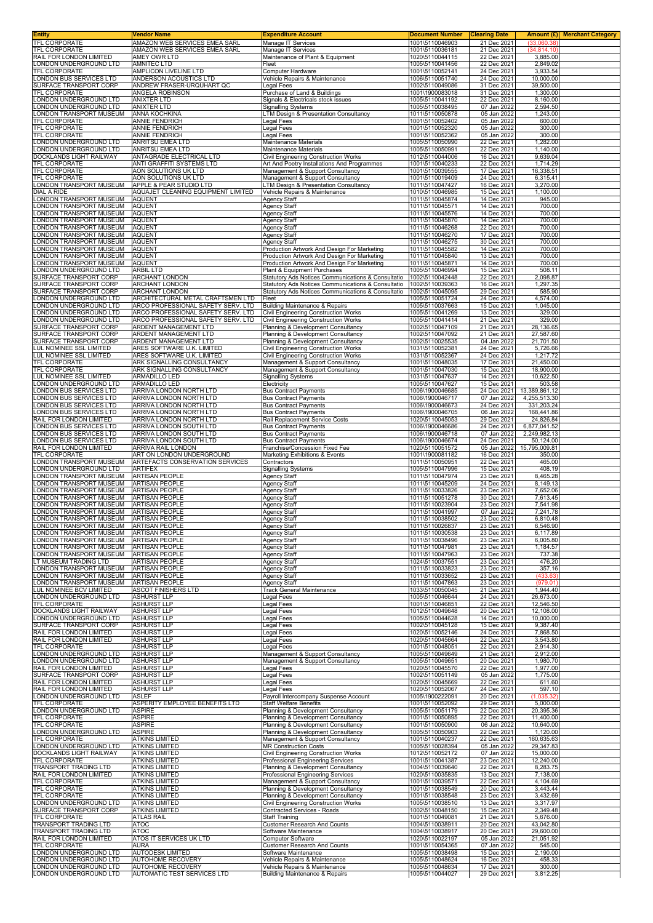| Entity<br>TFL CORPORATE                                  | <b>Vendor Name</b><br>AMAZON WEB SERVICES EMEA SARL                      | <b>Expenditure Account</b><br>Manage IT Services                                                         | <b>Document Number</b><br>1001\5110046903 | <b>Clearing Date</b><br>21 Dec 2021 | Amount (£) <br>(33.060.38)    | <b>Merchant Category</b> |
|----------------------------------------------------------|--------------------------------------------------------------------------|----------------------------------------------------------------------------------------------------------|-------------------------------------------|-------------------------------------|-------------------------------|--------------------------|
| TFL CORPORATE                                            | AMAZON WEB SERVICES EMEA SARL                                            | Manage IT Services                                                                                       | 1001\5110036181                           | 21 Dec 2021                         | (34, 814.10)                  |                          |
| RAIL FOR LONDON LIMITED                                  | AMEY OWR LTD                                                             | Maintenance of Plant & Equipment                                                                         | 1020\5110044115<br>1005\5110041456        | 22 Dec 2021                         | 3,885.00                      |                          |
| ONDON UNDERGROUND LTD<br><b>TFL CORPORATE</b>            | <b>AMNITEC LTD</b><br>AMPLICON LIVELINE LTD                              | Fleet<br>Computer Hardware                                                                               | 1001\5110052141                           | 22 Dec 2021<br>24 Dec 2021          | 2,849.02<br>3,933.54          |                          |
| ONDON BUS SERVICES LTD                                   | ANDERSON ACOUSTICS LTD                                                   | Vehicle Repairs & Maintenance                                                                            | 1006\5110051740                           | 24 Dec 2021                         | 10,000.00                     |                          |
| SURFACE TRANSPORT CORP<br><b>TFL CORPORATE</b>           | ANDREW FRASER-URQUHART QC<br><b>ANGELA ROBINSON</b>                      | Legal Fees<br>Purchase of Land & Buildings                                                               | 1002\5110049086<br>1001\1900083018        | 31 Dec 2021<br>31 Dec 2021          | 39,500.00<br>1,300.00         |                          |
| ONDON UNDERGROUND LTD                                    | <b>ANIXTER LTD</b>                                                       | Signals & Electricals stock issues                                                                       | 1005\5110041192                           | 22 Dec 2021                         | 8,160.00<br>2,594.50          |                          |
| ONDON UNDERGROUND LTD<br>ONDON TRANSPORT MUSEUM          | <b>ANIXTER LTD</b><br><b>ANNA KOCHKINA</b>                               | <b>Signalling Systems</b><br>LTM Design & Presentation Consultancy                                       | 1005\5110038495<br>1011\5110050878        | 07 Jan 2022<br>05 Jan 2022          | 1,243.00                      |                          |
| <b>FL CORPORATE</b>                                      | <b>ANNIE FENDRICH</b>                                                    | Legal Fees                                                                                               | 1001\5110052402                           | 05 Jan 2022                         | 600.00                        |                          |
| TFL CORPORATE<br>TFL CORPORATE                           | <b>ANNIE FENDRICH</b><br><b>ANNIE FENDRICH</b>                           | Legal Fees<br><b>Legal Fees</b>                                                                          | 1001\5110052320<br>1001\5110052362        | 05 Jan 2022<br>05 Jan 2022          | 300.00<br>300.00              |                          |
| ONDON UNDERGROUND LTD                                    | ANRITSU EMEA LTD                                                         | Maintenance Materials                                                                                    | 1005\5110050990                           | 22 Dec 2021                         | 1,282.00                      |                          |
| ONDON UNDERGROUND LTD<br>DOCKLANDS LIGHT RAILWAY         | ANRITSU EMEA LTD<br>ANTAGRADE ELECTRICAL LTD                             | Maintenance Materials<br>Civil Engineering Construction Works                                            | 1005\5110050991<br>1012\5110044006        | 22 Dec 2021<br>16 Dec 2021          | 1,140.00<br>9,639.04          |                          |
| TFL CORPORATE<br>TFL CORPORATE                           | ANTI GRAFFITI SYSTEMS LTD<br>AON SOLUTIONS UK LTD                        | Art And Poetry Installations And Programmes                                                              | 1001\5110040233<br>1001\5110039555        | 22 Dec 2021<br>17 Dec 2021          | 1,714.29<br>16,338.51         |                          |
| TFL CORPORATE                                            | AON SOLUTIONS UK LTD                                                     | Management & Support Consultancy<br>Management & Support Consultancy                                     | 1001\5110019409                           | 24 Dec 2021                         | 6,315.41                      |                          |
| LONDON TRANSPORT MUSEUM<br>DIAL A RIDE                   | APPLE & PEAR STUDIO LTD<br>AQUAJET CLEANING EQUIPMENT LIMITED            | <b>LTM Design &amp; Presentation Consultancy</b><br>Vehicle Repairs & Maintenance                        | 1011\5110047427<br>1010\5110046985        | 16 Dec 2021                         | 3,270.00                      |                          |
| ONDON TRANSPORT MUSEUM                                   | <b>AQUENT</b>                                                            | Agency Staff                                                                                             | 1011\5110045874                           | 15 Dec 2021<br>14 Dec 2021          | 1,100.00<br>945.00            |                          |
| ONDON TRANSPORT MUSEUM<br>ONDON TRANSPORT MUSEUM         | <b>AQUENT</b><br><b>AQUENT</b>                                           | <b>Agency Staff</b><br><b>Agency Staff</b>                                                               | 1011\5110045571<br>1011\5110045576        | 14 Dec 2021<br>14 Dec 2021          | 700.00<br>700.00              |                          |
| ONDON TRANSPORT MUSEUM                                   | <b>AQUENT</b>                                                            | <b>Agency Staff</b>                                                                                      | 1011\5110045870                           | 14 Dec 2021                         | 700.00                        |                          |
| ONDON TRANSPORT MUSEUM<br>ONDON TRANSPORT MUSEUM         | <b>AQUENT</b><br><b>AQUENT</b>                                           | <b>Agency Staff</b><br>Agency Staff                                                                      | 1011\5110046268<br>1011\5110046270        | 22 Dec 2021<br>17 Dec 2021          | 700.00<br>700.00              |                          |
| ONDON TRANSPORT MUSEUM                                   | <b>AQUENT</b>                                                            | Agency Staff                                                                                             | 1011\5110046275                           | 30 Dec 2021                         | 700.00                        |                          |
| ONDON TRANSPORT MUSEUM<br>ONDON TRANSPORT MUSEUM         | <b>AQUENT</b><br><b>AQUENT</b>                                           | Production Artwork And Design For Marketing<br>Production Artwork And Design For Marketing               | 1011\5110045582<br>1011\5110045840        | 14 Dec 2021<br>13 Dec 2021          | 700.00<br>700.00              |                          |
| ONDON TRANSPORT MUSEUM                                   | <b>AQUENT</b>                                                            | Production Artwork And Design For Marketing                                                              | 1011\5110045871                           | 14 Dec 2021                         | 700.00                        |                          |
| ONDON UNDERGROUND LTD<br>SURFACE TRANSPORT CORP          | <b>ARBIL LTD</b><br><b>ARCHANT LONDON</b>                                | Plant & Equipment Purchases                                                                              | 1005\5110046994<br>1002\5110042448        | 15 Dec 2021<br>22 Dec 2021          | 508.11<br>2,098.87            |                          |
| SURFACE TRANSPORT CORP                                   | <b>ARCHANT LONDON</b>                                                    | Statutory Ads Notices Communications & Consultatio<br>Statutory Ads Notices Communications & Consultatio | 1002\5110039363                           | 16 Dec 2021                         | 1,297.35                      |                          |
| <b>SURFACE TRANSPORT CORP</b><br>ONDON UNDERGROUND LTD   | <b>ARCHANT LONDON</b><br>ARCHITECTURAL METAL CRAFTSMEN LTD               | Statutory Ads Notices Communications & Consultatio<br>Fleet                                              | 1002\5110045095<br>1005\5110051724        | 29 Dec 2021<br>24 Dec 2021          | 585.90<br>4,574.00            |                          |
| ONDON UNDERGROUND LTD                                    | ARCO PROFESSIONAL SAFETY SERV. LTD                                       | <b>Building Maintenance &amp; Repairs</b>                                                                | 1005\5110037663                           | 15 Dec 2021                         | 1,045.00                      |                          |
| ONDON UNDERGROUND LTD<br>ONDON UNDERGROUND LTD           | ARCO PROFESSIONAL SAFETY SERV. LTD<br>ARCO PROFESSIONAL SAFETY SERV. LTD | <b>Civil Engineering Construction Works</b><br>Civil Engineering Construction Works                      | 1005\5110041269<br>1005\5110041414        | 13 Dec 2021<br>21 Dec 2021          | 329.00<br>329.00              |                          |
| SURFACE TRANSPORT CORP                                   | ARDENT MANAGEMENT LTD                                                    | Planning & Development Consultancy                                                                       | 1002\5110047109                           | 21 Dec 2021                         | 28,136.65                     |                          |
| SURFACE TRANSPORT CORP<br>SURFACE TRANSPORT CORP         | ARDENT MANAGEMENT LTD<br>ARDENT MANAGEMENT LTD                           | Planning & Development Consultancy<br>Planning & Development Consultancy                                 | 1002\5110047092<br>1002\5110025535        | 21 Dec 2021<br>04 Jan 2022          | 27,587.60<br>21.701.50        |                          |
| <b>UL NOMINEE SSL LIMITED</b>                            | ARES SOFTWARE U.K. LIMITED                                               | Civil Engineering Construction Works                                                                     | 1031\5110052381                           | 24 Dec 2021                         | 5,726.66                      |                          |
| LUL NOMINEE SSL LIMITED<br>TFL CORPORATE                 | ARES SOFTWARE U.K. LIMITED<br>ARK SIGNALLING CONSULTANCY                 | Civil Engineering Construction Works<br>Management & Support Consultancy                                 | 1031\5110052367<br>1001\5110048035        | 24 Dec 2021<br>17 Dec 2021          | 1,217.72<br>21,450.00         |                          |
| TFL CORPORATE                                            | ARK SIGNALLING CONSULTANCY                                               | Management & Support Consultancy                                                                         | 1001\5110047030                           | 15 Dec 2021                         | 18,900.00<br>10,622.50        |                          |
| LUL NOMINEE SSL LIMITED<br>ONDON UNDERGROUND LTD         | ARMADILLO LED<br>ARMADILLO LED                                           | <b>Signalling Systems</b><br>Electricity                                                                 | 1031\5110047637<br>1005\5110047627        | 14 Dec 2021<br>15 Dec 2021          | 503.58                        |                          |
| ONDON BUS SERVICES LTD<br>ONDON BUS SERVICES LTD         | ARRIVA LONDON NORTH LTD<br>ARRIVA LONDON NORTH LTD                       | <b>Bus Contract Payments</b><br><b>Bus Contract Payments</b>                                             | 1006\1900046685<br>1006\1900046717        | 24 Dec 2021<br>07 Jan 2022          | 13,389,861.12<br>4,255,513.30 |                          |
| ONDON BUS SERVICES LTD                                   | ARRIVA LONDON NORTH LTD                                                  | <b>Bus Contract Payments</b>                                                                             | 1006\1900046673                           | 24 Dec 2021                         | 331,203.24                    |                          |
| ONDON BUS SERVICES LTD<br>RAIL FOR LONDON LIMITED        | ARRIVA LONDON NORTH LTD<br>ARRIVA LONDON NORTH LTD                       | <b>Bus Contract Payments</b><br>Rail Replacement Service Costs                                           | 1006\1900046705<br>1020\5110045053        | 06 Jan 2022<br>29 Dec 2021          | 168,441.86<br>24,826.84       |                          |
| ONDON BUS SERVICES LTD                                   | ARRIVA LONDON SOUTH LTD                                                  | <b>Bus Contract Payments</b>                                                                             | 1006\1900046686                           | 24 Dec 2021                         | 6,877,041.52                  |                          |
| ONDON BUS SERVICES LTD<br>ONDON BUS SERVICES LTD         | ARRIVA LONDON SOUTH LTD<br>ARRIVA LONDON SOUTH LTD                       | <b>Bus Contract Payments</b><br><b>Bus Contract Payments</b>                                             | 1006\1900046718<br>1006\1900046674        | 07 Jan 2022<br>24 Dec 2021          | 2,249,982.13<br>50,124.00     |                          |
| RAIL FOR LONDON LIMITED<br>TFL CORPORATE                 | ARRIVA RAIL LONDON<br>ART ON LONDON UNDERGROUND                          | Franchise/Concession Fixed Fee<br>Marketing Exhibitions & Events                                         | 1020\5110051572<br>1001\1900081182        | 05 Jan 2022<br>16 Dec 2021          | 15,795,009.81<br>350.00       |                          |
| ONDON TRANSPORT MUSEUM                                   | <b>ARTEFACTS CONSERVATION SERVICES</b>                                   | Contractors                                                                                              | 1011\5110050951                           | 22 Dec 2021                         | 465.00                        |                          |
| ONDON UNDERGROUND LTD<br>ONDON TRANSPORT MUSEUM          | <b>ARTIFEX</b><br><b>ARTISAN PEOPLE</b>                                  | <b>Signalling Systems</b><br>Agency Staff                                                                | 1005\5110047996<br>1011\5110047974        | 15 Dec 2021<br>23 Dec 2021          | 408.19<br>8,465.28            |                          |
| ONDON TRANSPORT MUSEUM<br>ONDON TRANSPORT MUSEUM         | <b>ARTISAN PEOPLE</b><br><b>ARTISAN PEOPLE</b>                           | Agency Staff                                                                                             | 1011\5110045209                           | 24 Dec 2021                         | 8,149.13                      |                          |
| ONDON TRANSPORT MUSEUM                                   | <b>ARTISAN PEOPLE</b>                                                    | <b>Agency Staff</b><br>Agency Staff                                                                      | 1011\5110033826<br>1011\5110051278        | 23 Dec 2021<br>30 Dec 2021          | 7,652.06<br>7,613.45          |                          |
| ONDON TRANSPORT MUSEUM<br>ONDON TRANSPORT MUSEUM         | <b>ARTISAN PEOPLE</b><br><b>ARTISAN PEOPLE</b>                           | Agency Staff<br>Agency Staff                                                                             | 1011\5110023904<br>1011\5110041997        | 23 Dec 2021<br>07 Jan 2022          | 7,541.98<br>7,241.78          |                          |
| ONDON TRANSPORT MUSEUM                                   | <b>ARTISAN PEOPLE</b>                                                    | Agency Staff                                                                                             | 1011\5110038502                           | 23 Dec 2021                         | 6,810.48                      |                          |
| ONDON IRANSPORI MUSEUM.<br>ONDON TRANSPORT MUSEUM.       | ARTISAN PEOPLE<br><b>ARTISAN PEOPLE</b>                                  | Agency Staff<br><b>Agency Staff</b>                                                                      | 1011\5110026837<br>1011\5110030538        | 23 Dec 2021<br>23 Dec 2021          | 6.546.90<br>6,117.89          |                          |
| ONDON TRANSPORT MUSEUM                                   | <b>ARTISAN PEOPLE</b>                                                    | <b>Agency Staff</b>                                                                                      | 1011\5110038496                           | 23 Dec 2021                         | 6,005.80                      |                          |
| ONDON TRANSPORT MUSEUM<br>LONDON TRANSPORT MUSEUM        | <b>ARTISAN PEOPLE</b><br><b>ARTISAN PEOPLE</b>                           | Agency Staff<br><b>Agency Staff</b>                                                                      | 1011\5110047981<br>1011\5110047963        | 23 Dec 2021<br>23 Dec 2021          | 1,184.57<br>737.38            |                          |
| T MUSEUM TRADING LTD<br>ONDON TRANSPORT MUSEUM           | <b>ARTISAN PEOPLE</b><br><b>ARTISAN PEOPLE</b>                           | <b>Agency Staff</b><br>Agency Staff                                                                      | 1024\5110037551<br>1011\5110033823        | 23 Dec 2021<br>23 Dec 2021          | 476.20<br>357.16              |                          |
| ONDON TRANSPORT MUSEUM                                   | <b>ARTISAN PEOPLE</b>                                                    | <b>Agency Staff</b>                                                                                      | 1011\5110033652                           | 23 Dec 2021                         | (433.63)                      |                          |
| ONDON TRANSPORT MUSEUM.<br><b>UL NOMINEE BCV LIMITED</b> | <b>ARTISAN PEOPLE</b><br><b>ASCOT FINISHERS LTD</b>                      | Agency Staff<br><b>Track General Maintenance</b>                                                         | 1011\5110047863<br>1033\5110050045        | 23 Dec 2021<br>21 Dec 2021          | (979.01)<br>1,944.40          |                          |
| ONDON UNDERGROUND LTD                                    | <b>ASHURST LLP</b>                                                       | Legal Fees                                                                                               | 1005\5110046644                           | 24 Dec 2021                         | 26,673.00                     |                          |
| TFL CORPORATE<br>DOCKLANDS LIGHT RAILWAY                 | <b>ASHURST LLP</b><br><b>ASHURST LLP</b>                                 | Legal Fees<br>Legal Fees                                                                                 | 1001\5110046851<br>1012\5110049648        | 22 Dec 2021<br>20 Dec 2021          | 12,546.50<br>12,108.00        |                          |
| LONDON UNDERGROUND LTD<br>SURFACE TRANSPORT CORP         | <b>ASHURST LLP</b><br><b>ASHURST LLP</b>                                 | Legal Fees                                                                                               | 1005\5110044628<br>1002\5110045128        | 14 Dec 2021<br>15 Dec 2021          | 10,000.00<br>9,387.40         |                          |
| RAIL FOR LONDON LIMITED                                  | <b>ASHURST LLP</b>                                                       | Legal Fees<br>Legal Fees                                                                                 | 1020\5110052146                           | 24 Dec 2021                         | 7,868.50                      |                          |
| RAIL FOR LONDON LIMITED<br><b>TFL CORPORATE</b>          | <b>ASHURST LLP</b><br><b>ASHURST LLP</b>                                 | Legal Fees<br>Legal Fees                                                                                 | 1020\5110045664<br>1001\5110048051        | 22 Dec 2021<br>22 Dec 2021          | 3,543.80<br>2,914.30          |                          |
| ONDON UNDERGROUND LTD                                    | <b>ASHURST LLP</b>                                                       | Management & Support Consultancy                                                                         | 1005\5110049649                           | 21 Dec 2021                         | 2,912.00                      |                          |
| ONDON UNDERGROUND LTD<br>RAIL FOR LONDON LIMITED         | <b>ASHURST LLP</b><br><b>ASHURST LLP</b>                                 | Management & Support Consultancy<br>Legal Fees                                                           | 1005\5110049651<br>1020\5110045570        | 20 Dec 2021<br>22 Dec 2021          | 1,980.70<br>1,977.00          |                          |
| SURFACE TRANSPORT CORP<br>RAIL FOR LONDON LIMITED        | <b>ASHURST LLP</b><br><b>ASHURST LLP</b>                                 | Legal Fees<br>Legal Fees                                                                                 | 1002\5110051149<br>1020\5110045669        | 05 Jan 2022<br>22 Dec 2021          | 1,775.00<br>611.60            |                          |
| RAIL FOR LONDON LIMITED                                  | <b>ASHURST LLP</b>                                                       | Legal Fees                                                                                               | 1020\5110052067                           | 24 Dec 2021                         | 597.10                        |                          |
| ONDON UNDERGROUND LTD<br>TFL CORPORATE                   | <b>ASLEF</b><br>ASPERITY EMPLOYEE BENEFITS LTD                           | Payroll Intercompany Suspense Account<br><b>Staff Welfare Benefits</b>                                   | 1005\1900222091<br>1001\5110052092        | 20 Dec 2021<br>29 Dec 2021          | (1,035.32)<br>5,000.00        |                          |
| LONDON UNDERGROUND LTD                                   | <b>ASPIRE</b>                                                            | Planning & Development Consultancy                                                                       | 1005\5110051179                           | 22 Dec 2021                         | 20,395.36                     |                          |
| TFL CORPORATE<br>TFL CORPORATE                           | <b>ASPIRE</b><br><b>ASPIRE</b>                                           | Planning & Development Consultancy<br>Planning & Development Consultancy                                 | 1001\5110050895<br>1001\5110050900        | 22 Dec 2021<br>06 Jan 2022          | 11,400.00<br>10,640.00        |                          |
| LONDON UNDERGROUND LTD                                   | <b>ASPIRE</b>                                                            | Planning & Development Consultancy                                                                       | 1005\5110050903                           | 22 Dec 2021                         | 1,120.00                      |                          |
| TFL CORPORATE<br>ONDON UNDERGROUND LTD                   | <b>ATKINS LIMITED</b><br><b>ATKINS LIMITED</b>                           | Management & Support Consultancy<br><b>MR Construction Costs</b>                                         | 1001\5110040237<br>1005\5110028394        | 22 Dec 2021<br>05 Jan 2022          | 160,635.63<br>29,347.83       |                          |
| DOCKLANDS LIGHT RAILWAY<br>TFL CORPORATE                 | <b>ATKINS LIMITED</b><br><b>ATKINS LIMITED</b>                           | Civil Engineering Construction Works<br>Professional Engineering Services                                | 1012\5110052172<br>1001\5110041387        | 07 Jan 2022<br>23 Dec 2021          | 15,000.00<br>12,240.00        |                          |
| TRANSPORT TRADING LTD                                    | <b>ATKINS LIMITED</b>                                                    | Planning & Development Consultancy                                                                       | 1004\5110039640                           | 22 Dec 2021                         | 8,283.75                      |                          |
| RAIL FOR LONDON LIMITED<br>TFL CORPORATE                 | <b>ATKINS LIMITED</b><br><b>ATKINS LIMITED</b>                           | Professional Engineering Services<br>Management & Support Consultancy                                    | 1020\5110035835<br>1001\5110039571        | 13 Dec 2021<br>22 Dec 2021          | 7,138.00<br>4,104.69          |                          |
| TFL CORPORATE                                            | ATKINS LIMITED                                                           | Planning & Development Consultancy                                                                       | 1001\5110038549                           | 20 Dec 2021                         | 3,443.44                      |                          |
| TFL CORPORATE<br>LONDON UNDERGROUND LTD                  | <b>ATKINS LIMITED</b><br><b>ATKINS LIMITED</b>                           | Planning & Development Consultancy<br>Civil Engineering Construction Works                               | 1001\5110038548<br>1005\5110038510        | 23 Dec 2021<br>13 Dec 2021          | 3,432.69<br>3,317.97          |                          |
| SURFACE TRANSPORT CORP<br>TFL CORPORATE                  | <b>ATKINS LIMITED</b><br><b>ATLAS RAIL</b>                               | Contracted Services - Roads<br>Staff Training                                                            | 1002\5110048150<br>1001\5110049081        | 15 Dec 2021<br>21 Dec 2021          | 2,349.48<br>5,676.00          |                          |
| TRANSPORT TRADING LTD                                    | <b>ATOC</b>                                                              | <b>Customer Research And Counts</b>                                                                      | 1004\5110038911                           | 20 Dec 2021                         | 43,042.80                     |                          |
| TRANSPORT TRADING LTD<br>RAIL FOR LONDON LIMITED         | <b>ATOC</b><br>ATOS IT SERVICES UK LTD                                   | Software Maintenance<br>Computer Software                                                                | 1004\5110038917<br>1020\5110022197        | 20 Dec 2021<br>05 Jan 2022          | 29,600.00<br>21,051.92        |                          |
| TFL CORPORATE                                            | <b>AURA</b>                                                              | <b>Customer Research And Counts</b>                                                                      | 1001\5110054365                           | 07 Jan 2022                         | 545.00                        |                          |
| ONDON UNDERGROUND LTD<br>ONDON UNDERGROUND LTD           | <b>AUTODESK LIMITED</b><br>AUTOHOME RECOVERY                             | Software Maintenance<br>Vehicle Repairs & Maintenance                                                    | 1005\5110038498<br>1005\5110048624        | 15 Dec 2021<br>16 Dec 2021          | 2,190.00<br>458.33            |                          |
| ONDON UNDERGROUND LTD<br>LONDON UNDERGROUND LTD          | AUTOHOME RECOVERY<br>AUTOMATIC TEST SERVICES LTD                         | Vehicle Repairs & Maintenance<br>Building Maintenance & Repairs                                          | 1005\5110048634<br>1005\5110044027        | 17 Dec 2021<br>29 Dec 2021          | 300.00<br>3,812.25            |                          |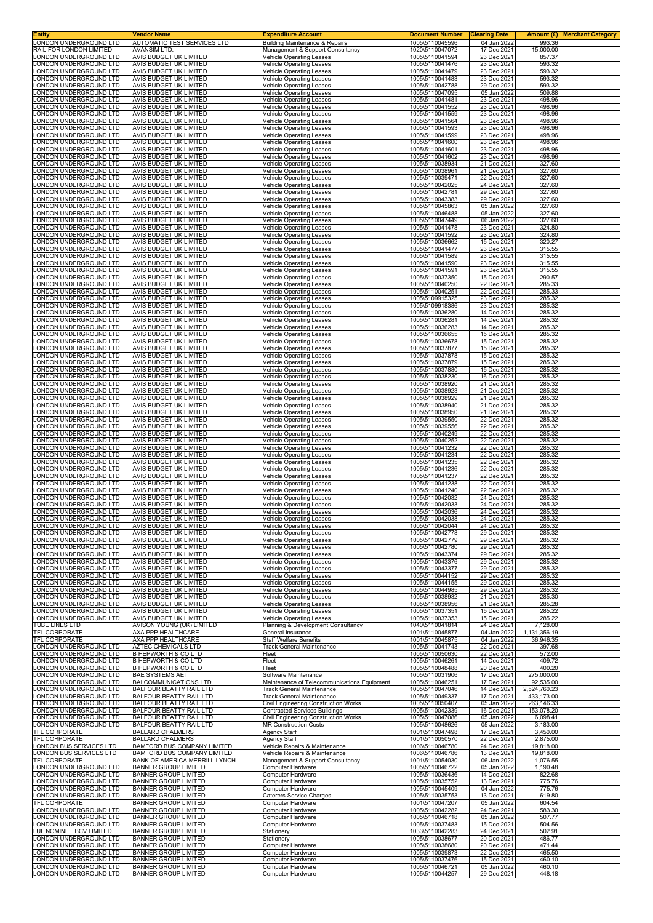| Entity<br><b>LONDON UNDERGROUND LTD</b>          | Vendor Name<br>AUTOMATIC TEST SERVICES LTD                     | <b>Expenditure Account</b><br><b>Building Maintenance &amp; Repairs</b> | Document Number<br>1005\5110045596 | <b>Clearing Date</b><br>04 Jan 2022 | 993.36               | <b>Amount (£) Merchant Category</b> |
|--------------------------------------------------|----------------------------------------------------------------|-------------------------------------------------------------------------|------------------------------------|-------------------------------------|----------------------|-------------------------------------|
| RAIL FOR LONDON LIMITED                          | <b>AVANSIM LTD</b>                                             | Management & Support Consultancy                                        | 1020\5110047072                    | 17 Dec 2021                         | 15.000.00            |                                     |
| LONDON UNDERGROUND LTD                           | AVIS BUDGET UK LIMITED                                         | Vehicle Operating Leases                                                | 1005\5110041594                    | 23 Dec 2021                         | 857.37               |                                     |
| LONDON UNDERGROUND LTD                           | AVIS BUDGET UK LIMITED                                         | <b>Vehicle Operating Leases</b>                                         | 1005\5110041476                    | 23 Dec 2021                         | 593.32               |                                     |
| ONDON UNDERGROUND LTD<br>LONDON UNDERGROUND LTD  | AVIS BUDGET UK LIMITED<br>AVIS BUDGET UK LIMITED               | Vehicle Operating Leases                                                | 1005\5110041479                    | 23 Dec 2021<br>23 Dec 2021          | 593.32               |                                     |
| LONDON UNDERGROUND LTD                           | AVIS BUDGET UK LIMITED                                         | Vehicle Operating Leases<br><b>Vehicle Operating Leases</b>             | 1005\5110041483<br>1005\5110042788 | 29 Dec 2021                         | 593.32<br>593.32     |                                     |
| LONDON UNDERGROUND LTD                           | AVIS BUDGET UK LIMITED                                         | <b>Vehicle Operating Leases</b>                                         | 1005\5110047095                    | 05 Jan 2022                         | 509.88               |                                     |
| LONDON UNDERGROUND LTD                           | AVIS BUDGET UK LIMITED                                         | <b>Vehicle Operating Leases</b>                                         | 1005\5110041481                    | 23 Dec 2021                         | 498.96               |                                     |
| LONDON UNDERGROUND LTD                           | <b>AVIS BUDGET UK LIMITED</b>                                  | Vehicle Operating Leases                                                | 1005\5110041552                    | 23 Dec 2021                         | 498.96               |                                     |
| LONDON UNDERGROUND LTD                           | AVIS BUDGET UK LIMITED                                         | <b>Vehicle Operating Leases</b>                                         | 1005\5110041559                    | 23 Dec 2021                         | 498.96               |                                     |
| LONDON UNDERGROUND LTD                           | <b>AVIS BUDGET UK LIMITED</b>                                  | <b>Vehicle Operating Leases</b>                                         | 1005\5110041564                    | 23 Dec 2021                         | 498.96               |                                     |
| LONDON UNDERGROUND LTD                           | AVIS BUDGET UK LIMITED                                         | Vehicle Operating Leases                                                | 1005\5110041593<br>1005\5110041599 | 23 Dec 2021                         | 498.96               |                                     |
| LONDON UNDERGROUND LTD<br>LONDON UNDERGROUND LTD | AVIS BUDGET UK LIMITED<br>AVIS BUDGET UK LIMITED               | Vehicle Operating Leases<br><b>Vehicle Operating Leases</b>             | 1005\5110041600                    | 23 Dec 2021<br>23 Dec 2021          | 498.96<br>498.96     |                                     |
| LONDON UNDERGROUND LTD                           | AVIS BUDGET UK LIMITED                                         | <b>Vehicle Operating Leases</b>                                         | 1005\5110041601                    | 23 Dec 2021                         | 498.96               |                                     |
| LONDON UNDERGROUND LTD                           | AVIS BUDGET UK LIMITED                                         | Vehicle Operating Leases                                                | 1005\5110041602                    | 23 Dec 2021                         | 498.96               |                                     |
| LONDON UNDERGROUND LTD                           | AVIS BUDGET UK LIMITED                                         | <b>Vehicle Operating Leases</b>                                         | 1005\5110038934                    | 21 Dec 2021                         | 327.60               |                                     |
| LONDON UNDERGROUND LTD                           | AVIS BUDGET UK LIMITED                                         | <b>Vehicle Operating Leases</b>                                         | 1005\5110038961                    | 21 Dec 2021                         | 327.60               |                                     |
| LONDON UNDERGROUND LTD                           | AVIS BUDGET UK LIMITED                                         | Vehicle Operating Leases                                                | 1005\5110039471                    | 22 Dec 2021                         | 327.60               |                                     |
| LONDON UNDERGROUND LTD<br>LONDON UNDERGROUND LTD | <b>AVIS BUDGET UK LIMITED</b><br><b>AVIS BUDGET UK LIMITED</b> | <b>Vehicle Operating Leases</b>                                         | 1005\5110042025<br>1005\5110042781 | 24 Dec 2021<br>29 Dec 2021          | 327.60<br>327.60     |                                     |
| LONDON UNDERGROUND LTD                           | AVIS BUDGET UK LIMITED                                         | Vehicle Operating Leases<br><b>Vehicle Operating Leases</b>             | 1005\5110043383                    | 29 Dec 2021                         | 327.60               |                                     |
| LONDON UNDERGROUND LTD                           | AVIS BUDGET UK LIMITED                                         | <b>Vehicle Operating Leases</b>                                         | 1005\5110045863                    | 05 Jan 2022                         | 327.60               |                                     |
| LONDON UNDERGROUND LTD                           | AVIS BUDGET UK LIMITED                                         | <b>Vehicle Operating Leases</b>                                         | 1005\5110046488                    | 05 Jan 2022                         | 327.60               |                                     |
| LONDON UNDERGROUND LTD                           | AVIS BUDGET UK LIMITED                                         | Vehicle Operating Leases                                                | 1005\5110047449                    | 06 Jan 2022                         | 327.60               |                                     |
| LONDON UNDERGROUND LTD                           | AVIS BUDGET UK LIMITED                                         | <b>Vehicle Operating Leases</b>                                         | 1005\5110041478                    | 23 Dec 2021                         | 324.80               |                                     |
| LONDON UNDERGROUND LTD                           | AVIS BUDGET UK LIMITED                                         | Vehicle Operating Leases                                                | 1005\5110041592                    | 23 Dec 2021                         | 324.80               |                                     |
| LONDON UNDERGROUND LTD<br>LONDON UNDERGROUND LTD | AVIS BUDGET UK LIMITED<br>AVIS BUDGET UK LIMITED               | <b>Vehicle Operating Leases</b><br>Vehicle Operating Leases             | 1005\5110036662<br>1005\5110041477 | 15 Dec 2021<br>23 Dec 2021          | 320.27               |                                     |
| LONDON UNDERGROUND LTD                           | <b>AVIS BUDGET UK LIMITED</b>                                  | Vehicle Operating Leases                                                | 1005\5110041589                    | 23 Dec 2021                         | 315.55<br>315.55     |                                     |
| LONDON UNDERGROUND LTD                           | AVIS BUDGET UK LIMITED                                         | <b>Vehicle Operating Leases</b>                                         | 1005\5110041590                    | 23 Dec 2021                         | 315.55               |                                     |
| LONDON UNDERGROUND LTD                           | <b>AVIS BUDGET UK LIMITED</b>                                  | <b>Vehicle Operating Leases</b>                                         | 1005\5110041591                    | 23 Dec 2021                         | 315.55               |                                     |
| LONDON UNDERGROUND LTD                           | AVIS BUDGET UK LIMITED                                         | Vehicle Operating Leases                                                | 1005\5110037350                    | 15 Dec 2021                         | 290.57               |                                     |
| LONDON UNDERGROUND LTD                           | <b>AVIS BUDGET UK LIMITED</b>                                  | Vehicle Operating Leases                                                | 1005\5110040250                    | 22 Dec 2021                         | 285.33               |                                     |
| LONDON UNDERGROUND LTD                           | AVIS BUDGET UK LIMITED                                         | <b>Vehicle Operating Leases</b>                                         | 1005\5110040251                    | 22 Dec 2021                         | 285.33               |                                     |
| <b>LONDON UNDERGROUND LTD</b>                    | <b>AVIS BUDGET UK LIMITED</b>                                  | Vehicle Operating Leases                                                | 1005\5109915325                    | 23 Dec 2021                         | 285.32               |                                     |
| LONDON UNDERGROUND LTD                           | AVIS BUDGET UK LIMITED                                         | Vehicle Operating Leases                                                | 1005\5109918386                    | 23 Dec 2021                         | 285.32               |                                     |
| LONDON UNDERGROUND LTD                           | AVIS BUDGET UK LIMITED                                         | <b>Vehicle Operating Leases</b>                                         | 1005\5110036280                    | 14 Dec 2021                         | 285.32               |                                     |
| LONDON UNDERGROUND LTD                           | AVIS BUDGET UK LIMITED                                         | Vehicle Operating Leases                                                | 1005\5110036281                    | 14 Dec 2021                         | 285.32               |                                     |
| LONDON UNDERGROUND LTD                           | AVIS BUDGET UK LIMITED                                         | Vehicle Operating Leases                                                | 1005\5110036283                    | 14 Dec 2021                         | 285.32               |                                     |
| LONDON UNDERGROUND LTD                           | AVIS BUDGET UK LIMITED                                         | Vehicle Operating Leases                                                | 1005\5110036655                    | 15 Dec 2021                         | 285.32               |                                     |
| LONDON UNDERGROUND LTD                           | AVIS BUDGET UK LIMITED                                         | <b>Vehicle Operating Leases</b>                                         | 1005\5110036678                    | 15 Dec 2021                         | 285.32               |                                     |
| LONDON UNDERGROUND LTD                           | AVIS BUDGET UK LIMITED                                         | Vehicle Operating Leases                                                | 1005\5110037877                    | 15 Dec 2021                         | 285.32               |                                     |
| LONDON UNDERGROUND LTD                           | AVIS BUDGET UK LIMITED                                         | Vehicle Operating Leases                                                | 1005\5110037878                    | 15 Dec 2021                         | 285.32               |                                     |
| LONDON UNDERGROUND LTD                           | AVIS BUDGET UK LIMITED                                         | Vehicle Operating Leases                                                | 1005\5110037879                    | 15 Dec 2021                         | 285.32               |                                     |
| LONDON UNDERGROUND LTD                           | AVIS BUDGET UK LIMITED                                         | <b>Vehicle Operating Leases</b>                                         | 1005\5110037880                    | 15 Dec 2021                         | 285.32               |                                     |
| LONDON UNDERGROUND LTD                           | AVIS BUDGET UK LIMITED                                         | Vehicle Operating Leases                                                | 1005\5110038230                    | 16 Dec 2021                         | 285.32               |                                     |
| LONDON UNDERGROUND LTD                           | <b>AVIS BUDGET UK LIMITED</b>                                  | <b>Vehicle Operating Leases</b>                                         | 1005\5110038920                    | 21 Dec 2021                         | 285.32               |                                     |
| LONDON UNDERGROUND LTD                           | AVIS BUDGET UK LIMITED                                         | <b>Vehicle Operating Leases</b>                                         | 1005\5110038923                    | 21 Dec 2021                         | 285.32               |                                     |
| LONDON UNDERGROUND LTD                           | AVIS BUDGET UK LIMITED                                         | Vehicle Operating Leases                                                | 1005\5110038929                    | 21 Dec 2021                         | 285.32               |                                     |
| LONDON UNDERGROUND LTD                           | AVIS BUDGET UK LIMITED                                         | <b>Vehicle Operating Leases</b>                                         | 1005\5110038940                    | 21 Dec 2021                         | 285.32               |                                     |
| LONDON UNDERGROUND LTD                           | AVIS BUDGET UK LIMITED                                         | <b>Vehicle Operating Leases</b>                                         | 1005\5110038950                    | 21 Dec 2021                         | 285.32               |                                     |
| LONDON UNDERGROUND LTD                           | AVIS BUDGET UK LIMITED                                         | Vehicle Operating Leases                                                | 1005\5110039550                    | 22 Dec 2021                         | 285.32               |                                     |
| ONDON UNDERGROUND LTD.                           | AVIS BUDGET UK LIMITED                                         | <b>Vehicle Operating Leases</b>                                         | 1005\5110039556                    | 22 Dec 2021                         | 285.32               |                                     |
| LONDON UNDERGROUND LTD                           | <b>AVIS BUDGET UK LIMITED</b>                                  | Vehicle Operating Leases                                                | 1005\5110040249                    | 22 Dec 2021                         | 285.32               |                                     |
| LONDON UNDERGROUND LTD                           | AVIS BUDGET UK LIMITED                                         | <b>Vehicle Operating Leases</b>                                         | 1005\5110040252                    | 22 Dec 2021                         | 285.32               |                                     |
| LONDON UNDERGROUND LTD                           | AVIS BUDGET UK LIMITED                                         | <b>Vehicle Operating Leases</b>                                         | 1005\5110041232                    | 22 Dec 2021                         | 285.32               |                                     |
| LONDON UNDERGROUND LTD                           | AVIS BUDGET UK LIMITED                                         | Vehicle Operating Leases                                                | 1005\5110041234                    | 22 Dec 2021                         | 285.32               |                                     |
| LONDON UNDERGROUND LTD                           | AVIS BUDGET UK LIMITED                                         | <b>Vehicle Operating Leases</b>                                         | 1005\5110041235                    | 22 Dec 2021                         | 285.32               |                                     |
| LONDON UNDERGROUND LTD                           | AVIS BUDGET UK LIMITED                                         | <b>Vehicle Operating Leases</b>                                         | 1005\5110041236                    | 22 Dec 2021                         | 285.32               |                                     |
| LONDON UNDERGROUND LTD                           | AVIS BUDGET UK LIMITED                                         | <b>Vehicle Operating Leases</b>                                         | 1005\5110041237                    | 22 Dec 2021                         | 285.32               |                                     |
| LONDON UNDERGROUND LTD                           | AVIS BUDGET UK LIMITED                                         | <b>Vehicle Operating Leases</b>                                         | 1005\5110041238                    | 22 Dec 2021                         | 285.32               |                                     |
| LONDON UNDERGROUND LTD                           | AVIS BUDGET UK LIMITED                                         | <b>Vehicle Operating Leases</b>                                         | 1005\5110041240                    | 22 Dec 2021                         | 285.32               |                                     |
| LONDON UNDERGROUND LTD                           | AVIS BUDGET UK LIMITED                                         | <b>Vehicle Operating Leases</b>                                         | 1005\5110042032                    | 24 Dec 2021                         | 285.32               |                                     |
| LONDON UNDERGROUND LTD                           | AVIS BUDGET UK LIMITED                                         | <b>Vehicle Operating Leases</b>                                         | 1005\5110042033                    | 24 Dec 2021                         | 285.32               |                                     |
| LONDON UNDERGROUND LTD                           | AVIS BUDGET UK LIMITED                                         | Vehicle Operating Leases                                                | 1005\5110042036                    | 24 Dec 2021                         | 285.32               |                                     |
| LONDON UNDERGROUND LTD                           | AVIS BUDGET UK LIMITED                                         | Vehicle Operating Leases                                                | 1005\5110042038                    | 24 Dec 2021                         | 285.32               |                                     |
| LONDON UNDERGROUND LTD                           | AVIS BUDGET UK LIMITED                                         | Vehicle Operating Leases                                                | 1005\5110042044                    | 24 Dec 2021                         | 285.32               |                                     |
| LONDON UNDERGROUND LTD                           | <b>AVIS BUDGET UK LIMITED</b>                                  | <b>Vehicle Operating Leases</b>                                         | 1005\5110042778                    | 29 Dec 2021                         | 285.32               |                                     |
| LONDON UNDERGROUND LTD                           | AVIS BUDGET UK LIMITED                                         | Vehicle Operating Leases                                                | 1005\5110042779                    | 29 Dec 2021                         | 285.32               |                                     |
| LONDON UNDERGROUND LTD                           | AVIS BUDGET UK LIMITED                                         | Vehicle Operating Leases                                                | 1005\5110042780                    | 29 Dec 2021                         | 285.32               |                                     |
| LONDON UNDERGROUND LTD                           | <b>AVIS BUDGET UK LIMITED</b>                                  | <b>Vehicle Operating Leases</b>                                         | 1005\5110043374                    | 29 Dec 2021                         | 285.32               |                                     |
| LONDON UNDERGROUND LTD                           | AVIS BUDGET UK LIMITED                                         | <b>Vehicle Operating Leases</b>                                         | 1005\5110043376                    | 29 Dec 2021                         | 285.32               |                                     |
| LONDON UNDERGROUND LTD                           | AVIS BUDGET UK LIMITED                                         | Vehicle Operating Leases                                                | 1005\5110043377                    | 29 Dec 2021                         | 285.32               |                                     |
| LONDON UNDERGROUND LTD                           | AVIS BUDGET UK LIMITED                                         | <b>Vehicle Operating Leases</b>                                         | 1005\5110044152                    | 29 Dec 2021                         | 285.32               |                                     |
| LONDON UNDERGROUND LTD<br>LONDON UNDERGROUND LTD | <b>AVIS BUDGET UK LIMITED</b><br>AVIS BUDGET UK LIMITED        | <b>Vehicle Operating Leases</b>                                         | 1005\5110044155<br>1005\5110044985 | 29 Dec 2021                         | 285.32<br>285.32     |                                     |
| LONDON UNDERGROUND LTD                           | <b>AVIS BUDGET UK LIMITED</b>                                  | <b>Vehicle Operating Leases</b><br><b>Vehicle Operating Leases</b>      | 1005\5110038932                    | 29 Dec 2021<br>21 Dec 2021          | 285.30               |                                     |
| LONDON UNDERGROUND LTD                           | <b>AVIS BUDGET UK LIMITED</b>                                  | Vehicle Operating Leases                                                | 1005\5110038956                    | 21 Dec 2021                         | 285.28               |                                     |
| LONDON UNDERGROUND LTD                           | AVIS BUDGET UK LIMITED                                         | Vehicle Operating Leases                                                | 1005\5110037351                    | 15 Dec 2021                         | 285.22               |                                     |
| LONDON UNDERGROUND LTD                           | <b>AVIS BUDGET UK LIMITED</b>                                  | <b>Vehicle Operating Leases</b>                                         | 1005\5110037353                    | 15 Dec 2021                         | 285.22               |                                     |
| TUBE LINES LTD                                   | AVISON YOUNG (UK) LIMITED                                      | Planning & Development Consultancy                                      | 1040\5110041814                    | 24 Dec 2021                         | 7,128.00             |                                     |
| TFL CORPORATE                                    | AXA PPP HEALTHCARE                                             | General Insurance                                                       | 1001\5110045877                    | 04 Jan 2022                         | 1,131,356.19         |                                     |
| <b>TFL CORPORATE</b>                             | AXA PPP HEALTHCARE                                             | <b>Staff Welfare Benefits</b>                                           | 1001\5110045875                    | 04 Jan 2022                         | 36,946.35            |                                     |
| LONDON UNDERGROUND LTD                           | AZTEC CHEMICALS LTD                                            | Track General Maintenance                                               | 1005\5110041743                    | 22 Dec 2021                         | 397.68               |                                     |
| LONDON UNDERGROUND LTD                           | B HEPWORTH & CO LTD                                            | Fleet                                                                   | 1005\5110050630                    | 22 Dec 2021                         | 572.00               |                                     |
| LONDON UNDERGROUND LTD                           | B HEPWORTH & CO LTD                                            | Fleet                                                                   | 1005\5110046261                    | 14 Dec 2021                         | 409.72               |                                     |
| LONDON UNDERGROUND LTD                           | <b>B HEPWORTH &amp; CO LTD</b>                                 | Fleet                                                                   | 1005\5110048488                    | 20 Dec 2021                         | 400.20               |                                     |
| LONDON UNDERGROUND LTD                           | <b>BAE SYSTEMS AEI</b>                                         | Software Maintenance                                                    | 1005\5110031906                    | 17 Dec 2021                         | 275,000.00           |                                     |
| LONDON UNDERGROUND LTD                           | BAI COMMUNICATIONS LTD                                         | Maintenance of Telecommunications Equipment                             | 1005\5110046251                    | 17 Dec 2021                         | 92,535.00            |                                     |
| LONDON UNDERGROUND LTD                           | BALFOUR BEATTY RAIL LTD                                        | Track General Maintenance                                               | 1005\5110047046                    | 14 Dec 2021                         | 2,524,760.23         |                                     |
| LONDON UNDERGROUND LTD                           | BALFOUR BEATTY RAIL LTD                                        | <b>Track General Maintenance</b>                                        | 1005\5110049337                    | 17 Dec 2021                         | 433,173.00           |                                     |
| LONDON UNDERGROUND LTD                           | BALFOUR BEATTY RAIL LTD                                        | Civil Engineering Construction Works                                    | 1005\5110050407                    | 05 Jan 2022                         | 263,146.33           |                                     |
| LONDON UNDERGROUND LTD                           | BALFOUR BEATTY RAIL LTD                                        | Contracted Services Buildings                                           | 1005\5110042339                    | 16 Dec 2021                         | 153,078.20           |                                     |
| LONDON UNDERGROUND LTD                           | BALFOUR BEATTY RAIL LTD                                        | Civil Engineering Construction Works                                    | 1005\5110047086                    | 05 Jan 2022                         | 6,098.41             |                                     |
| LONDON UNDERGROUND LTD                           | BALFOUR BEATTY RAIL LTD                                        | <b>MR Construction Costs</b>                                            | 1005\5110048626                    | 05 Jan 2022                         | 3,183.00             |                                     |
| TFL CORPORATE<br>TFL CORPORATE                   | <b>BALLARD CHALMERS</b><br><b>BALLARD CHALMERS</b>             | Agency Staff                                                            | 1001\5110047498<br>1001\5110050570 | 17 Dec 2021<br>22 Dec 2021          | 3,450.00<br>2,875.00 |                                     |
| LONDON BUS SERVICES LTD                          | <b>BAMFORD BUS COMPANY LIMITED</b>                             | Agency Staff<br>Vehicle Repairs & Maintenance                           | 1006\5110046780                    | 24 Dec 2021                         | 19,818.00            |                                     |
| LONDON BUS SERVICES LTD                          | BAMFORD BUS COMPANY LIMITED                                    | Vehicle Repairs & Maintenance                                           | 1006\5110046786                    | 13 Dec 2021                         | 19,818.00            |                                     |
| TFL CORPORATE                                    | BANK OF AMERICA MERRILL LYNCH                                  | Management & Support Consultancy                                        | 1001\5110054030                    | 06 Jan 2022                         | 1,076.55             |                                     |
| LONDON UNDERGROUND LTD                           | <b>BANNER GROUP LIMITED</b>                                    | Computer Hardware                                                       | 1005\5110046722                    | 05 Jan 2022                         | 1,190.48             |                                     |
| LONDON UNDERGROUND LTD                           | <b>BANNER GROUP LIMITED</b>                                    | Computer Hardware                                                       | 1005\5110036436                    | 14 Dec 2021                         | 822.68               |                                     |
| LONDON UNDERGROUND LTD                           | <b>BANNER GROUP LIMITED</b>                                    | Computer Hardware                                                       | 1005\5110035752                    | 13 Dec 2021                         | 775.76               |                                     |
| LONDON UNDERGROUND LTD                           | <b>BANNER GROUP LIMITED</b>                                    | Computer Hardware                                                       | 1005\5110045409                    | 04 Jan 2022                         | 775.76               |                                     |
| LONDON UNDERGROUND LTD                           | <b>BANNER GROUP LIMITED</b>                                    | Caterers Service Charges                                                | 1005\5110035753                    | 13 Dec 2021                         | 619.80               |                                     |
| TFL CORPORATE                                    | <b>BANNER GROUP LIMITED</b>                                    | Computer Hardware                                                       | 1001\5110047207                    | 05 Jan 2022                         | 604.54               |                                     |
| LONDON UNDERGROUND LTD                           | <b>BANNER GROUP LIMITED</b>                                    | Computer Hardware                                                       | 1005\5110042282                    | 24 Dec 2021                         | 583.30               |                                     |
| LONDON UNDERGROUND LTD                           | <b>BANNER GROUP LIMITED</b>                                    | Computer Hardware                                                       | 1005\5110046718                    | 05 Jan 2022                         | 507.77               |                                     |
| LONDON UNDERGROUND LTD                           | <b>BANNER GROUP LIMITED</b>                                    | Computer Hardware                                                       | 1005\5110037483                    | 15 Dec 2021                         | 504.56               |                                     |
| LUL NOMINEE BCV LIMITED                          | <b>BANNER GROUP LIMITED</b>                                    | Stationery                                                              | 1033\5110042283                    | 24 Dec 2021                         | 502.91               |                                     |
| LONDON UNDERGROUND LTD                           | <b>BANNER GROUP LIMITED</b>                                    | Stationery                                                              | 1005\5110038677                    | 20 Dec 2021                         | 486.77               |                                     |
| LONDON UNDERGROUND LTD                           | <b>BANNER GROUP LIMITED</b>                                    | Computer Hardware                                                       | 1005\5110038680                    | 20 Dec 2021                         | 471.44               |                                     |
| LONDON UNDERGROUND LTD                           | <b>BANNER GROUP LIMITED</b>                                    | Computer Hardware                                                       | 1005\5110039873                    | 22 Dec 2021                         | 465.50               |                                     |
| LONDON UNDERGROUND LTD                           | <b>BANNER GROUP LIMITED</b>                                    | Computer Hardware                                                       | 1005\5110037476                    | 15 Dec 2021                         | 460.10               |                                     |
| LONDON UNDERGROUND LTD                           | <b>BANNER GROUP LIMITED</b>                                    | Computer Hardware                                                       | 1005\5110046721                    | 05 Jan 2022                         | 460.10               |                                     |
| LONDON UNDERGROUND LTD                           | <b>BANNER GROUP LIMITED</b>                                    | Computer Hardware                                                       | 1005\5110044257                    | 29 Dec 2021                         | 448.18               |                                     |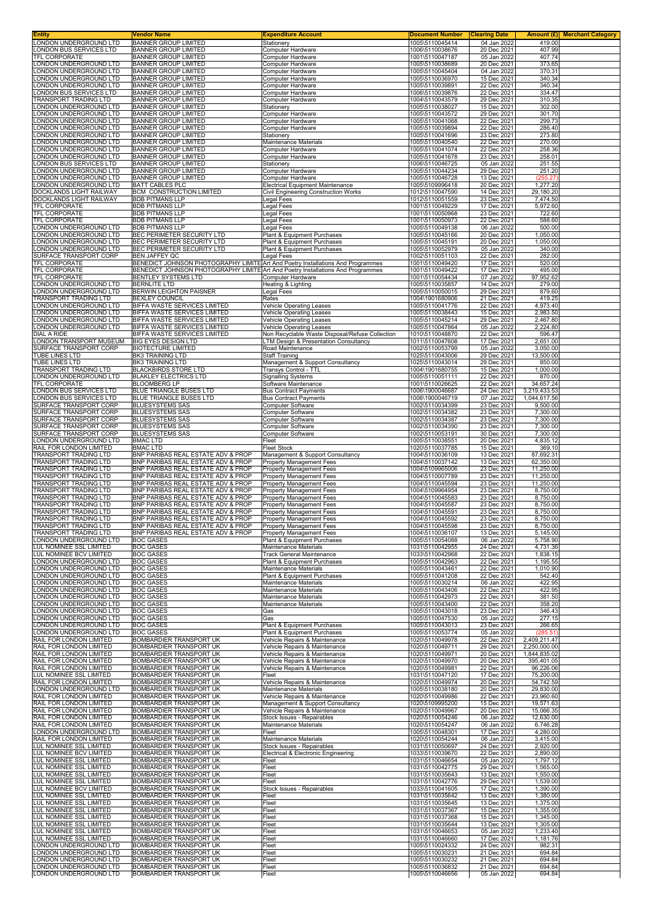| LONDON UNDERGROUND LTD                                                  | Vendor Name                                                                                 | <b>Expenditure Account</b>                                          | <b>Document Number</b>                                | <b>Clearing Date</b>                      | Amount (£) <br><b>Merchant Category</b> |
|-------------------------------------------------------------------------|---------------------------------------------------------------------------------------------|---------------------------------------------------------------------|-------------------------------------------------------|-------------------------------------------|-----------------------------------------|
| ONDON BUS SERVICES LTD                                                  | <b>BANNER GROUP LIMITED</b><br><b>BANNER GROUP LIMITED</b>                                  | Stationery<br>Computer Hardware                                     | 1005\5110045414<br>1006\5110038676                    | 04 Jan 2022<br>20 Dec 2021                | 419.00<br>407.99                        |
| <b>FEL CORPORATE</b>                                                    | <b>BANNER GROUP LIMITED</b>                                                                 | Computer Hardware                                                   | 1001\5110047187                                       | 05 Jan 2022                               | 407.74                                  |
| ONDON UNDERGROUND LTD                                                   | <b>BANNER GROUP LIMITED</b>                                                                 | Computer Hardware                                                   | 1005\5110038689                                       | 20 Dec 2021                               | 373.65                                  |
| ONDON UNDERGROUND LTD                                                   | <b>BANNER GROUP LIMITED</b>                                                                 | Computer Hardware                                                   | 1005\5110045404                                       | 04 Jan 2022                               | 370.31                                  |
| ONDON UNDERGROUND LTD<br>ONDON UNDERGROUND LTD                          | <b>BANNER GROUP LIMITED</b><br><b>BANNER GROUP LIMITED</b>                                  | Computer Hardware<br>Computer Hardware                              | 1005\5110036970<br>1005\5110039891                    | 15 Dec 2021<br>22 Dec 2021                | 340.34<br>340.34                        |
| ONDON BUS SERVICES LTD                                                  | <b>BANNER GROUP LIMITED</b>                                                                 | Computer Hardware                                                   | 1006\5110039876                                       | 22 Dec 2021                               | 334.47                                  |
| <b>RANSPORT TRADING LTD</b>                                             | <b>BANNER GROUP LIMITED</b>                                                                 | Computer Hardware                                                   | 1004\5110043579                                       | 29 Dec 2021                               | 310.35                                  |
| ONDON UNDERGROUND LTD                                                   | <b>BANNER GROUP LIMITED</b>                                                                 | Stationery                                                          | 1005\5110038027                                       | 15 Dec 2021                               | 302.00                                  |
| ONDON UNDERGROUND LTD<br>ONDON UNDERGROUND LTD                          | <b>BANNER GROUP LIMITED</b><br><b>BANNER GROUP LIMITED</b>                                  | Computer Hardware<br>Computer Hardware                              | 1005\5110043572<br>1005\5110041068                    | 29 Dec 2021<br>22 Dec 2021                | 301.70<br>299.73                        |
| ONDON UNDERGROUND LTD                                                   | <b>BANNER GROUP LIMITED</b>                                                                 | Computer Hardware                                                   | 1005\5110039894                                       | 22 Dec 2021                               | 286.40                                  |
| ONDON UNDERGROUND LTD                                                   | <b>BANNER GROUP LIMITED</b>                                                                 | Stationery                                                          | 1005\5110041696                                       | 23 Dec 2021                               | 273.80                                  |
| ONDON UNDERGROUND LTD                                                   | <b>BANNER GROUP LIMITED</b><br><b>BANNER GROUP LIMITED</b>                                  | Maintenance Materials                                               | 1005\5110040540                                       | 22 Dec 2021                               | 270.00<br>258.36                        |
| ONDON UNDERGROUND LTD<br>ONDON UNDERGROUND LTD                          | <b>BANNER GROUP LIMITED</b>                                                                 | Computer Hardware<br>Computer Hardware                              | 1005\5110041074<br>1005\5110041678                    | 22 Dec 2021<br>23 Dec 2021                | 258.01                                  |
| ONDON BUS SERVICES LTD                                                  | <b>BANNER GROUP LIMITED</b>                                                                 | Stationery                                                          | 1006\5110046725                                       | 05 Jan 2022                               | 251.55                                  |
| ONDON UNDERGROUND LTD                                                   | <b>BANNER GROUP LIMITED</b>                                                                 | Computer Hardware                                                   | 1005\5110044234                                       | 29 Dec 2021                               | 251.20                                  |
| ONDON UNDERGROUND LTD<br>ONDON UNDERGROUND LTD                          | <b>BANNER GROUP LIMITED</b><br>BATT CABLES PLC                                              | Computer Hardware<br><b>Electrical Equipment Maintenance</b>        | 1005\5110046728<br>1005\5109996418                    | 13 Dec 2021<br>20 Dec 2021                | (255.27)<br>1,277.20                    |
| DOCKLANDS LIGHT RAILWAY                                                 | <b>BCM CONSTRUCTION LIMITED</b>                                                             | Civil Engineering Construction Works                                | 1012\5110047590                                       | 14 Dec 2021                               | 29,180.20                               |
| <b>DOCKLANDS LIGHT RAILWAY</b>                                          | <b>BDB PITMANS LLP</b>                                                                      | Legal Fees                                                          | 1012\5110051559                                       | 23 Dec 2021                               | 7,474.50                                |
| TFL CORPORATE                                                           | <b>BDB PITMANS LLP</b>                                                                      | Legal Fees                                                          | 1001\5110049229                                       | 17 Dec 2021                               | 5,972.60                                |
| TFL CORPORATE<br>TFL CORPORATE                                          | <b>BDB PITMANS LLP</b><br><b>BDB PITMANS LLP</b>                                            | Legal Fees<br>Legal Fees                                            | 1001\5110050968<br>1001\5110050973                    | 23 Dec 2021<br>22 Dec 2021                | 722.60<br>588.60                        |
| ONDON UNDERGROUND LTD                                                   | <b>BDB PITMANS LLP</b>                                                                      | Legal Fees                                                          | 1005\5110049138                                       | 06 Jan 2022                               | 500.00                                  |
| ONDON UNDERGROUND LTD                                                   | BEC PERIMETER SECURITY LTD                                                                  | Plant & Equipment Purchases                                         | 1005\5110045166                                       | 20 Dec 2021                               | 1,050.00                                |
| ONDON UNDERGROUND LTD<br>ONDON UNDERGROUND LTD                          | BEC PERIMETER SECURITY LTD                                                                  | Plant & Equipment Purchases                                         | 1005\5110045191                                       | 20 Dec 2021<br>05 Jan 2022                | 1,050.00<br>340.00                      |
| URFACE TRANSPORT CORP                                                   | BEC PERIMETER SECURITY LTD<br>BEN JAFFEY QC                                                 | Plant & Equipment Purchases<br>Legal Fees                           | 1005\5110052979<br>1002\5110051103                    | 22 Dec 2021                               | 282.00                                  |
| TFL CORPORATE                                                           | BENEDICT JOHNSON PHOTOGRAPHY LIMITE Art And Poetry Installations And Programmes             |                                                                     | 1001\5110049420                                       | 17 Dec 2021                               | 520.00                                  |
| TFL CORPORATE                                                           | BENEDICT JOHNSON PHOTOGRAPHY LIMITE Art And Poetry Installations And Programmes             |                                                                     | 1001\5110049422                                       | 17 Dec 2021                               | 495.00                                  |
| TFL CORPORATE<br>ONDON UNDERGROUND LTD                                  | BENTLEY SYSTEMS LTD<br><b>BERNLITE LTD</b>                                                  | Computer Hardware<br>Heating & Lighting                             | 1001\5110054434<br>1005\5110035857                    | 07 Jan 2022<br>14 Dec 2021                | 97,952.62<br>279.00                     |
| ONDON UNDERGROUND LTD                                                   | BERWIN LEIGHTON PAISNER                                                                     | Legal Fees                                                          | 1005\5110050015                                       | 29 Dec 2021                               | 879.60                                  |
| <b>RANSPORT TRADING LTD</b>                                             | <b>BEXLEY COUNCIL</b>                                                                       | Rates                                                               | 1004\1901680906                                       | 21 Dec 2021                               | 419.25                                  |
| ONDON UNDERGROUND LTD<br>ONDON UNDERGROUND LTD                          | BIFFA WASTE SERVICES LIMITED                                                                | <b>Vehicle Operating Leases</b>                                     | 1005\5110041776                                       | 22 Dec 2021                               | 4,973.40                                |
| ONDON UNDERGROUND LTD                                                   | BIFFA WASTE SERVICES LIMITED<br>BIFFA WASTE SERVICES LIMITED                                | <b>Vehicle Operating Leases</b><br><b>Vehicle Operating Leases</b>  | 1005\5110038443<br>1005\5110045214                    | 15 Dec 2021<br>29 Dec 2021                | 2,983.50<br>2,467.80                    |
| ONDON UNDERGROUND LTD                                                   | BIFFA WASTE SERVICES LIMITED                                                                | <b>Vehicle Operating Leases</b>                                     | 1005\5110047864                                       | 05 Jan 2022                               | 2,224.80                                |
| <b>IAL A RIDE</b>                                                       | BIFFA WASTE SERVICES LIMITED                                                                | Non Recyclable Waste Disposal/Refuse Collection                     | 1010\5110048870                                       | 22 Dec 2021                               | 596.47                                  |
| ONDON TRANSPORT MUSEUM<br>SURFACE TRANSPORT CORP                        | <b>BIG EYES DESIGN LTD</b><br><b>BIOTECTURE LIMITED</b>                                     | LTM Design & Presentation Consultancy<br>Road Maintenance           | 1011\5110047608<br>1002\5110053799                    | 17 Dec 2021<br>05 Jan 2022                | 2,651.00<br>3,050.00                    |
| TUBE LINES LTD                                                          | <b>BK3 TRAINING LTD</b>                                                                     | <b>Staff Training</b>                                               | 1025\5110043006                                       | 29 Dec 2021                               | 13,500.00                               |
| TUBE LINES LTD                                                          | <b>BK3 TRAINING LTD</b>                                                                     | Management & Support Consultancy                                    | 1025\5110043014                                       | 29 Dec 2021                               | 850.00                                  |
| TRANSPORT TRADING LTD<br>ONDON UNDERGROUND LTD                          | <b>BLACKBIRDS STORE LTD</b><br><b>BLAKLEY ELECTRICS LTD</b>                                 | Transys Control - TTL<br><b>Signalling Systems</b>                  | 1004\1901680755<br>1005\5110051111                    | 15 Dec 2021<br>22 Dec 2021                | 1,000.00<br>870.00                      |
| <b>FEL CORPORATE</b>                                                    | <b>BLOOMBERG LP</b>                                                                         | Software Maintenance                                                | 1001\5110026625                                       | 22 Dec 2021                               | 34,657.24                               |
| ONDON BUS SERVICES LTD                                                  | BLUE TRIANGLE BUSES LTD                                                                     | <b>Bus Contract Payments</b>                                        | 1006\1900046687                                       | 24 Dec 2021                               | 3,219,433.53                            |
| ONDON BUS SERVICES LTD<br>URFACE TRANSPORT CORP                         | BLUE TRIANGLE BUSES LTD<br><b>BLUESYSTEMS SAS</b>                                           | <b>Bus Contract Payments</b><br>Computer Software                   | 1006\1900046719<br>1002\5110034399                    | 07 Jan 2022<br>23 Dec 2021                | 1,044,617.56<br>9,500.00                |
| <b>SURFACE TRANSPORT CORP</b>                                           | <b>BLUESYSTEMS SAS</b>                                                                      | Computer Software                                                   | 1002\5110034382                                       | 23 Dec 2021                               | 7,300.00                                |
| URFACE TRANSPORT CORP                                                   | <b>BLUESYSTEMS SAS</b>                                                                      | Computer Software                                                   | 1002\5110034387                                       | 23 Dec 2021                               | 7,300.00                                |
| URFACE TRANSPORT CORP<br>URFACE TRANSPORT CORP                          | <b>BLUESYSTEMS SAS</b><br><b>BLUESYSTEMS SAS</b>                                            | Computer Software<br>Computer Software                              | 1002\5110034390<br>1002\5110053191                    | 23 Dec 2021<br>30 Dec 2021                | 7,300.00<br>7,300.00                    |
| ONDON UNDERGROUND LTD                                                   | <b>BMAC LTD</b>                                                                             | Fleet                                                               | 1005\5110038551                                       | 20 Dec 2021                               | 4,835.12                                |
| RAIL FOR LONDON LIMITED                                                 | <b>BMAC LTD</b>                                                                             | <b>Fleet Stock</b>                                                  | 1020\5110037785                                       | 15 Dec 2021                               | 369.10                                  |
| TRANSPORT TRADING LTD<br>TRANSPORT TRADING LTD                          | BNP PARIBAS REAL ESTATE ADV & PROP<br>BNP PARIBAS REAL ESTATE ADV & PROP                    | Management & Support Consultancy<br><b>Property Management Fees</b> | 1004\5110036109<br>1004\5110037142                    | 13 Dec 2021<br>13 Dec 2021                | 87,692.31<br>62,350.00                  |
| TRANSPORT TRADING LTD                                                   | BNP PARIBAS REAL ESTATE ADV & PROP                                                          | Property Management Fees                                            | 1004\5109965006                                       | 23 Dec 2021                               | 11,250.00                               |
| <b>TRANSPORT TRADING LTD</b>                                            | BNP PARIBAS REAL ESTATE ADV & PROP                                                          | Property Management Fees                                            | 1004\5110007789                                       | 23 Dec 2021                               | 11,250.00                               |
| TRANSPORT TRADING LTD<br>TRANSPORT TRADING LTD                          | BNP PARIBAS REAL ESTATE ADV & PROP<br>BNP PARIBAS REAL ESTATE ADV & PROP                    | Property Management Fees<br><b>Property Management Fees</b>         | 1004\5110045594<br>1004\5109964954                    | 23 Dec 2021<br>23 Dec 2021                | 11,250.00<br>8,750.00                   |
|                                                                         | BNP PARIBAS REAL ESTATE ADV & PROP                                                          | Property Management Fees                                            | 1004\5110045583                                       | 23 Dec 2021                               | 8,750.00                                |
| RANSPORT TRADING LTD                                                    |                                                                                             | Property Management Fees                                            | 1004\5110045587                                       | 23 Dec 2021                               | 8,750.00                                |
| <b>TRANSPORT TRADING LTD</b>                                            | BNP PARIBAS REAL ESTATE ADV & PROP                                                          |                                                                     |                                                       |                                           |                                         |
| <b>TRANSPORT TRADING LTD</b>                                            | BNP PARIBAS REAL ESTATE ADV & PROP                                                          | <b>Property Management Fees</b>                                     | 1004\5110045591                                       | 23 Dec 2021                               | 8,750.00                                |
| TRANSPORT TRADING LTD<br>TRANSPORT TRADING LTD                          | BNP PARIBAS REAL ESTATE ADV & PROP<br>BNP PARIBAS REAL ESTATE ADV & PROP                    | Property Management Fees<br>Property Management Fees                | 1004\5110045592<br>1004\5110045598                    | 23 Dec 2021<br>23 Dec 2021                | 8,750.00<br>8,750.00                    |
| TRANSPORT TRADING LTD                                                   | BNP PARIBAS REAL ESTATE ADV & PROP                                                          | <b>Property Management Fees</b>                                     | 1004\5110036107                                       | 13 Dec 2021                               | 5,145.00                                |
| LONDON UNDERGROUND LTD                                                  | <b>BOC GASES</b>                                                                            | Plant & Equipment Purchases                                         | 1005\5110054088                                       | 06 Jan 2022                               | 5,758.90                                |
| UL NOMINEE SSL LIMITED<br>UL NOMINEE BCV LIMITED                        | <b>BOC GASES</b><br><b>BOC GASES</b>                                                        | Maintenance Materials<br><b>Track General Maintenance</b>           | 1031\5110042955<br>1033\5110042968                    | 24 Dec 2021<br>22 Dec 2021                | 4,731.36<br>1,838.15                    |
| ONDON UNDERGROUND LTD                                                   | <b>BOC GASES</b>                                                                            | Plant & Equipment Purchases                                         | 1005\5110042963                                       | 22 Dec 2021                               | 1,195.55                                |
| ONDON UNDERGROUND LTD                                                   | <b>BOC GASES</b>                                                                            | Maintenance Materials                                               | 1005\5110043461                                       | 22 Dec 2021                               | 1,010.90                                |
| ONDON UNDERGROUND LTD<br>ONDON UNDERGROUND LTD                          | <b>BOC GASES</b><br>BOC GASES                                                               | Plant & Equipment Purchases<br>Maintenance Materials                | 1005\5110041208<br>1005\5110030214                    | 22 Dec 2021<br>06 Jan 2022                | 542.40<br>422.95                        |
| ONDON UNDERGROUND LTD                                                   | <b>BOC GASES</b>                                                                            | Maintenance Materials                                               | 1005\5110043406                                       | 22 Dec 2021                               | 422.95                                  |
| ONDON UNDERGROUND LTD                                                   | <b>BOC GASES</b>                                                                            | Maintenance Materials                                               | 1005\5110042973                                       | 22 Dec 2021                               | 381.50                                  |
| ONDON UNDERGROUND LTD<br>ONDON UNDERGROUND LTD                          | <b>BOC GASES</b><br><b>BOC GASES</b>                                                        | Maintenance Materials<br>Gas                                        | 1005\5110043400<br>1005\5110043018                    | 22 Dec 2021<br>23 Dec 2021                | 358.20<br>346.43                        |
| ONDON UNDERGROUND LTD                                                   | <b>BOC GASES</b>                                                                            | Gas                                                                 | 1005\5110047530                                       | 05 Jan 2022                               | 277.15                                  |
| ONDON UNDERGROUND LTD                                                   | <b>BOC GASES</b>                                                                            | Plant & Equipment Purchases                                         | 1005\5110043013                                       | 23 Dec 2021                               | 266.65                                  |
| ONDON UNDERGROUND LTD<br>RAIL FOR LONDON LIMITED                        | <b>BOC GASES</b><br>BOMBARDIER TRANSPORT UK                                                 | Plant & Equipment Purchases<br>Vehicle Repairs & Maintenance        | 1005\5110053774<br>1020\5110049978                    | 05 Jan 2022<br>22 Dec 2021                | (285.51)<br>2,409,211.47                |
| RAIL FOR LONDON LIMITED                                                 | <b>BOMBARDIER TRANSPORT UK</b>                                                              | Vehicle Repairs & Maintenance                                       | 1020\5110049711                                       | 29 Dec 2021                               | 2,250,000.00                            |
| RAIL FOR LONDON LIMITED                                                 | <b>BOMBARDIER TRANSPORT UK</b>                                                              | Vehicle Repairs & Maintenance                                       | 1020\5110049971                                       | 20 Dec 2021                               | 1,844,835.02                            |
| RAIL FOR LONDON LIMITED<br>RAIL FOR LONDON LIMITED                      | BOMBARDIER TRANSPORT UK<br>BOMBARDIER TRANSPORT UK                                          | Vehicle Repairs & Maintenance<br>Vehicle Repairs & Maintenance      | 1020\5110049970<br>1020\5110049981                    | 20 Dec 2021<br>22 Dec 2021                | 395,401.05<br>96,226.06                 |
| <b>UL NOMINEE SSL LIMITED</b>                                           | BOMBARDIER TRANSPORT UK                                                                     | Fleet                                                               | 1031\5110047120                                       | 17 Dec 2021                               | 75,200.00                               |
| RAIL FOR LONDON LIMITED                                                 | BOMBARDIER TRANSPORT UK                                                                     | Vehicle Repairs & Maintenance                                       | 1020\5110049974                                       | 20 Dec 2021                               | 54,742.59                               |
| ONDON UNDERGROUND LTD<br>RAIL FOR LONDON LIMITED                        | <b>BOMBARDIER TRANSPORT UK</b><br>BOMBARDIER TRANSPORT UK                                   | Maintenance Materials<br>Vehicle Repairs & Maintenance              | 1005\5110038180<br>1020\5110049986                    | 20 Dec 2021<br>22 Dec 2021                | 29,830.00<br>23,960.60                  |
| RAIL FOR LONDON LIMITED                                                 | BOMBARDIER TRANSPORT UK                                                                     | Management & Support Consultancy                                    | 1020\5109995200                                       | 15 Dec 2021                               | 19,571.63                               |
| RAIL FOR LONDON LIMITED                                                 | BOMBARDIER TRANSPORT UK                                                                     | Vehicle Repairs & Maintenance                                       | 1020\5110049967                                       | 20 Dec 2021                               | 15,066.35                               |
| RAIL FOR LONDON LIMITED<br>RAIL FOR LONDON LIMITED                      | BOMBARDIER TRANSPORT UK<br>BOMBARDIER TRANSPORT UK                                          | Stock Issues - Repairables<br>Maintenance Materials                 | 1020\5110054246<br>1020\5110054247                    | 06 Jan 2022<br>06 Jan 2022                | 12,630.00<br>6,746.28                   |
| ONDON UNDERGROUND LTD                                                   | <b>BOMBARDIER TRANSPORT UK</b>                                                              | Fleet                                                               | 1005\5110048301                                       | 17 Dec 2021                               | 4,280.00                                |
| RAIL FOR LONDON LIMITED                                                 | BOMBARDIER TRANSPORT UK                                                                     | Maintenance Materials                                               | 1020\5110054244                                       | 06 Jan 2022                               | 3,415.00                                |
| UL NOMINEE SSL LIMITED<br>UL NOMINEE BCV LIMITED                        | BOMBARDIER TRANSPORT UK<br>BOMBARDIER TRANSPORT UK                                          | Stock Issues - Repairables<br>Electrical & Electronic Engineering   | 1031\5110050697<br>1033\5110039670                    | 24 Dec 2021<br>22 Dec 2021                | 2,920.00<br>2,890.00                    |
| <b>UL NOMINEE SSL LIMITED</b>                                           | BOMBARDIER TRANSPORT UK                                                                     | Fleet                                                               | 1031\5110046654                                       | 05 Jan 2022                               | 1,797.12                                |
| UL NOMINEE SSL LIMITED                                                  | BOMBARDIER TRANSPORT UK                                                                     | Fleet                                                               | 1031\5110042775                                       | 29 Dec 2021                               | 1,565.00                                |
| UL NOMINEE SSL LIMITED<br>UL NOMINEE SSL LIMITED                        | <b>BOMBARDIER TRANSPORT UK</b><br><b>BOMBARDIER TRANSPORT UK</b>                            | Fleet<br>Fleet                                                      | 1031\5110035643<br>1031\5110042776                    | 13 Dec 2021<br>29 Dec 2021                | 1,550.00<br>1,539.00                    |
| UL NOMINEE BCV LIMITED                                                  | BOMBARDIER TRANSPORT UK                                                                     | Stock Issues - Repairables                                          | 1033\5110041605                                       | 17 Dec 2021                               | 1,390.00                                |
| <b>UL NOMINEE SSL LIMITED</b>                                           | <b>BOMBARDIER TRANSPORT UK</b>                                                              | Fleet                                                               | 1031\5110035642                                       | 13 Dec 2021                               | 1,380.00                                |
| LUL NOMINEE SSL LIMITED<br>LUL NOMINEE SSL LIMITED                      | BOMBARDIER TRANSPORT UK<br>BOMBARDIER TRANSPORT UK                                          | Fleet<br>Fleet                                                      | 1031\5110035645<br>1031\5110037367                    | 13 Dec 2021<br>15 Dec 2021                | 1,375.00<br>1,355.00                    |
| <b>UL NOMINEE SSL LIMITED</b>                                           | <b>BOMBARDIER TRANSPORT UK</b>                                                              | Fleet                                                               | 1031\5110037368                                       | 15 Dec 2021                               | 1,345.00                                |
| <b>UL NOMINEE SSL LIMITED</b>                                           | BOMBARDIER TRANSPORT UK                                                                     | Fleet<br>Fleet                                                      | 1031\5110035644<br>1031\5110046653                    | 13 Dec 2021                               | 1,305.00                                |
| <b>UL NOMINEE SSL LIMITED</b><br>UL NOMINEE SSL LIMITED                 | <b>BOMBARDIER TRANSPORT UK</b><br>BOMBARDIER TRANSPORT UK                                   | Fleet                                                               | 1031\5110046660                                       | 05 Jan 2022<br>17 Dec 2021                | 1,233.40<br>1,181.76                    |
| ONDON UNDERGROUND LTD                                                   | BOMBARDIER TRANSPORT UK                                                                     | Fleet                                                               | 1005\5110024332                                       | 24 Dec 2021                               | 982.31                                  |
| ONDON UNDERGROUND LTD                                                   | BOMBARDIER TRANSPORT UK                                                                     | Fleet                                                               | 1005\5110030231                                       | 21 Dec 2021                               | 694.84                                  |
| ONDON UNDERGROUND LTD<br>ONDON UNDERGROUND LTD<br>ONDON UNDERGROUND LTD | <b>BOMBARDIER TRANSPORT UK</b><br><b>BOMBARDIER TRANSPORT UK</b><br>BOMBARDIER TRANSPORT UK | Fleet<br>Fleet<br>Fleet                                             | 1005\5110030232<br>1005\5110036832<br>1005\5110046656 | 21 Dec 2021<br>21 Dec 2021<br>05 Jan 2022 | 694.84<br>694.84<br>694.84              |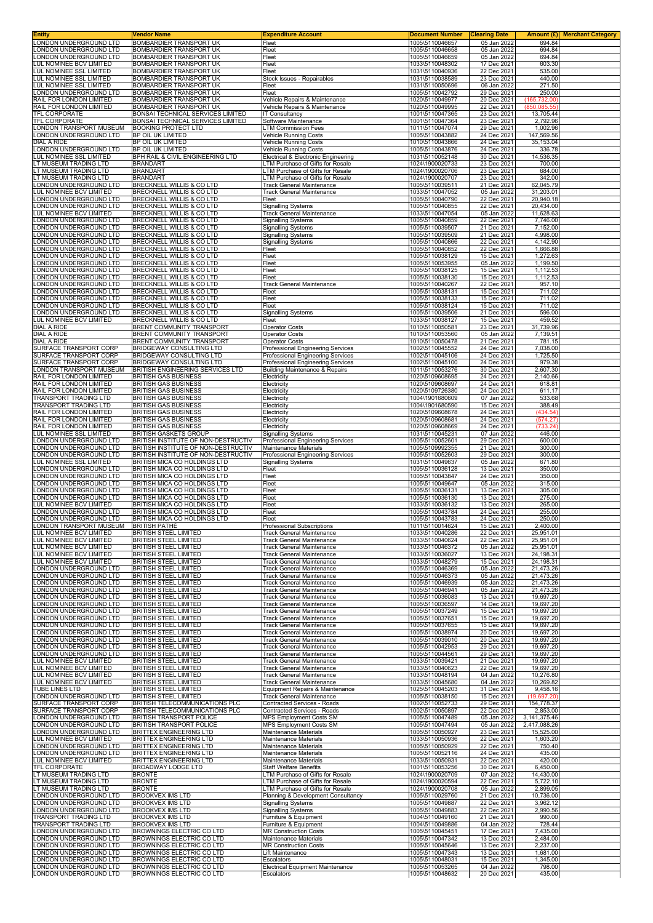| <b>Entity</b>                                                  | Vendor Name                                                                | <b>Expenditure Account</b>                                                    | <b>Document Number</b>             | <b>Clearing Date</b>       | Amount (£)<br><b>Merchant Category</b> |
|----------------------------------------------------------------|----------------------------------------------------------------------------|-------------------------------------------------------------------------------|------------------------------------|----------------------------|----------------------------------------|
| ONDON UNDERGROUND LTD.<br>ONDON UNDERGROUND LTD                | BOMBARDIER TRANSPORT UK<br>BOMBARDIER TRANSPORT UK                         | Fleet<br>Fleet                                                                | 1005\5110046657<br>1005\5110046658 | 05 Jan 2022<br>05 Jan 2022 | 694.84<br>694.84                       |
| ONDON UNDERGROUND LTD                                          | BOMBARDIER TRANSPORT UK                                                    | Fleet                                                                         | 1005\5110046659                    | 05 Jan 2022                | 694.84                                 |
| UL NOMINEE BCV LIMITED                                         | <b>BOMBARDIER TRANSPORT UK</b>                                             | Fleet                                                                         | 1033\5110048302                    | 17 Dec 2021                | 603.30                                 |
| UL NOMINEE SSL LIMITED                                         | BOMBARDIER TRANSPORT UK                                                    | Fleet                                                                         | 1031\5110040936                    | 22 Dec 2021                | 535.00                                 |
| UL NOMINEE SSL LIMITED<br>UL NOMINEE SSL LIMITED               | <b>BOMBARDIER TRANSPORT UK</b><br>BOMBARDIER TRANSPORT UK                  | Stock Issues - Repairables<br>Fleet                                           | 1031\5110038589<br>1031\5110050696 | 23 Dec 2021<br>06 Jan 2022 | 440.00<br>271.50                       |
| ONDON UNDERGROUND LTD                                          | BOMBARDIER TRANSPORT UK                                                    | Fleet                                                                         | 1005\5110042792                    | 29 Dec 2021                | 250.00                                 |
| RAIL FOR LONDON LIMITED                                        | BOMBARDIER TRANSPORT UK                                                    | Vehicle Repairs & Maintenance                                                 | 1020\5110049977                    | 20 Dec 2021                | (165, 732.00)                          |
| RAIL FOR LONDON LIMITED                                        | BOMBARDIER TRANSPORT UK                                                    | Vehicle Repairs & Maintenance                                                 | 1020\5110049995                    | 22 Dec 2021                | (850, 085.55)                          |
| TFL CORPORATE<br>TFL CORPORATE                                 | BONSAI TECHNICAL SERVICES LIMITED<br>BONSAI TECHNICAL SERVICES LIMITED     | <b>IT Consultancy</b><br>Software Maintenance                                 | 1001\5110047365<br>1001\5110047364 | 23 Dec 2021<br>23 Dec 2021 | 13,705.44<br>2,792.96                  |
| ONDON TRANSPORT MUSEUM                                         | <b>BOOKING PROTECT LTD</b>                                                 | <b>LTM Commission Fees</b>                                                    | 1011\5110047074                    | 29 Dec 2021                | 1,002.96                               |
| ONDON UNDERGROUND LTD                                          | BP OIL UK LIMITED                                                          | <b>Vehicle Running Costs</b>                                                  | 1005\5110043882                    | 24 Dec 2021                | 147,569.56                             |
| <b>DIAL A RIDE</b>                                             | BP OIL UK LIMITED                                                          | Vehicle Running Costs                                                         | 1010\5110043866                    | 24 Dec 2021                | 35,153.04                              |
| ONDON UNDERGROUND LTD<br>UL NOMINEE SSL LIMITED                | BP OIL UK LIMITED<br>BPH RAIL & CIVIL ENGINEERING LTD                      | Vehicle Running Costs<br>Electrical & Electronic Engineering                  | 1005\5110043876<br>1031\5110052148 | 24 Dec 2021<br>30 Dec 2021 | 336.78<br>14,536.35                    |
| T MUSEUM TRADING LTD                                           | <b>BRANDART</b>                                                            | LTM Purchase of Gifts for Resale                                              | 1024\1900020733                    | 23 Dec 2021                | 700.00                                 |
| T MUSEUM TRADING LTD                                           | <b>BRANDART</b>                                                            | LTM Purchase of Gifts for Resale                                              | 1024\1900020706                    | 23 Dec 2021                | 684.00                                 |
| T MUSEUM TRADING LTD                                           | <b>BRANDART</b>                                                            | LTM Purchase of Gifts for Resale                                              | 1024\1900020707                    | 23 Dec 2021                | 342.00                                 |
| ONDON UNDERGROUND LTD<br>UL NOMINEE BCV LIMITED                | <b>BRECKNELL WILLIS &amp; CO LTD</b><br>BRECKNELL WILLIS & CO LTD          | <b>Track General Maintenance</b><br><b>Track General Maintenance</b>          | 1005\5110039511<br>1033\5110047052 | 21 Dec 2021<br>05 Jan 2022 | 62,045.79<br>31,203.01                 |
| ONDON UNDERGROUND LTD                                          | BRECKNELL WILLIS & CO LTD                                                  | Fleet                                                                         | 1005\5110040790                    | 22 Dec 2021                | 20,940.18                              |
| ONDON UNDERGROUND LTD                                          | BRECKNELL WILLIS & CO LTD                                                  | Signalling Systems                                                            | 1005\5110040855                    | 22 Dec 2021                | 20,434.00                              |
| UL NOMINEE BCV LIMITED<br>ONDON UNDERGROUND LTD                | BRECKNELL WILLIS & CO LTD<br><b>BRECKNELL WILLIS &amp; CO LTD</b>          | Track General Maintenance<br><b>Signalling Systems</b>                        | 1033\5110047054<br>1005\5110040859 | 05 Jan 2022<br>22 Dec 2021 | 11,628.63<br>7,746.00                  |
| ONDON UNDERGROUND LTD                                          | BRECKNELL WILLIS & CO LTD                                                  | Signalling Systems                                                            | 1005\5110039507                    | 21 Dec 2021                | 7,152.00                               |
| ONDON UNDERGROUND LTD                                          | BRECKNELL WILLIS & CO LTD                                                  | Signalling Systems                                                            | 1005\5110039509                    | 21 Dec 2021                | 4,998.00                               |
| ONDON UNDERGROUND LTD                                          | <b>BRECKNELL WILLIS &amp; CO LTD</b>                                       | <b>Signalling Systems</b>                                                     | 1005\5110040866                    | 22 Dec 2021                | 4,142.90                               |
| ONDON UNDERGROUND LTD<br>ONDON UNDERGROUND LTD                 | BRECKNELL WILLIS & CO LTD<br>BRECKNELL WILLIS & CO LTD                     | Fleet<br>Fleet                                                                | 1005\5110040852<br>1005\5110038129 | 22 Dec 2021<br>15 Dec 2021 | 1,666.88<br>1,272.63                   |
| ONDON UNDERGROUND LTD                                          | <b>BRECKNELL WILLIS &amp; CO LTD</b>                                       | Fleet                                                                         | 1005\5110053955                    | 05 Jan 2022                | 1,199.50                               |
| ONDON UNDERGROUND LTD                                          | <b>BRECKNELL WILLIS &amp; CO LTD</b>                                       | Fleet                                                                         | 1005\5110038125                    | 15 Dec 2021                | 1,112.53                               |
| ONDON UNDERGROUND LTD<br>ONDON UNDERGROUND LTD                 | BRECKNELL WILLIS & CO LTD<br>BRECKNELL WILLIS & CO LTD                     | Fleet<br><b>Track General Maintenance</b>                                     | 1005\5110038130<br>1005\5110040267 | 15 Dec 2021<br>22 Dec 2021 | 1,112.53<br>957.10                     |
| ONDON UNDERGROUND LTD                                          | BRECKNELL WILLIS & CO LTD                                                  | Fleet                                                                         | 1005\5110038131                    | 15 Dec 2021                | 711.02                                 |
| ONDON UNDERGROUND LTD                                          | BRECKNELL WILLIS & CO LTD                                                  | Fleet                                                                         | 1005\5110038133                    | 15 Dec 2021                | 711.02                                 |
| ONDON UNDERGROUND LTD                                          | BRECKNELL WILLIS & CO LTD                                                  | Fleet                                                                         | 1005\5110038124                    | 15 Dec 2021                | 711.02                                 |
| ONDON UNDERGROUND LTD<br>UL NOMINEE BCV LIMITED                | BRECKNELL WILLIS & CO LTD<br>BRECKNELL WILLIS & CO LTD                     | <b>Signalling Systems</b><br>Fleet                                            | 1005\5110039506<br>1033\5110038127 | 21 Dec 2021<br>15 Dec 2021 | 596.00<br>459.52                       |
| <b>DIAL A RIDE</b>                                             | BRENT COMMUNITY TRANSPORT                                                  | <b>Operator Costs</b>                                                         | 1010\5110050581                    | 23 Dec 2021                | 31,739.96                              |
| DIAL A RIDE                                                    | BRENT COMMUNITY TRANSPORT                                                  | <b>Operator Costs</b>                                                         | 1010\5110053560                    | 05 Jan 2022                | 7,139.51                               |
| <b>DIAL A RIDE</b>                                             | <b>BRENT COMMUNITY TRANSPORT</b><br><b>BRIDGEWAY CONSULTING LTD</b>        | <b>Operator Costs</b>                                                         | 1010\5110050478                    | 21 Dec 2021                | 781.15                                 |
| SURFACE TRANSPORT CORP<br>SURFACE TRANSPORT CORP               | BRIDGEWAY CONSULTING LTD                                                   | <b>Professional Engineering Services</b><br>Professional Engineering Services | 1002\5110045552<br>1002\5110045106 | 24 Dec 2021<br>24 Dec 2021 | 7,038.00<br>1,725.50                   |
| SURFACE TRANSPORT CORP                                         | BRIDGEWAY CONSULTING LTD                                                   | Professional Engineering Services                                             | 1002\5110045100                    | 24 Dec 2021                | 979.38                                 |
| ONDON TRANSPORT MUSEUM                                         | BRITISH ENGINEERING SERVICES LTD                                           | <b>Building Maintenance &amp; Repairs</b>                                     | 1011\5110053276                    | 30 Dec 2021                | 2,607.30                               |
| RAIL FOR LONDON LIMITED                                        | <b>BRITISH GAS BUSINESS</b>                                                | Electricity                                                                   | 1020\5109608695                    | 24 Dec 2021                | 2,140.66                               |
| RAIL FOR LONDON LIMITED<br>RAIL FOR LONDON LIMITED             | BRITISH GAS BUSINESS<br><b>BRITISH GAS BUSINESS</b>                        | Electricity<br>Electricity                                                    | 1020\5109608697<br>1020\5109726380 | 24 Dec 2021<br>24 Dec 2021 | 618.81<br>611.17                       |
| <b>FRANSPORT TRADING LTD</b>                                   | <b>BRITISH GAS BUSINESS</b>                                                | Electricity                                                                   | 1004\1901680609                    | 07 Jan 2022                | 533.68                                 |
| TRANSPORT TRADING LTD                                          | BRITISH GAS BUSINESS                                                       | Electricity                                                                   | 1004\1901680590                    | 15 Dec 2021                | 388.49                                 |
| RAIL FOR LONDON LIMITED                                        | <b>BRITISH GAS BUSINESS</b>                                                | Electricity                                                                   | 1020\5109608678                    | 24 Dec 2021                | (434.54)                               |
| RAIL FOR LONDON LIMITED<br>RAIL FOR LONDON LIMITED             | <b>BRITISH GAS BUSINESS</b><br><b>BRITISH GAS BUSINESS</b>                 | Electricity<br>Electricity                                                    | 1020\5109608681<br>1020\5109608669 | 24 Dec 2021<br>24 Dec 2021 | (574.27)<br>(733.24)                   |
| UL NOMINEE SSL LIMITED                                         | <b>BRITISH GASKETS GROUP</b>                                               | Signalling Systems                                                            | 1031\5110045231                    | 07 Jan 2022                | 446.00                                 |
| ONDON UNDERGROUND LTD                                          | BRITISH INSTITUTE OF NON-DESTRUCTIV                                        | <b>Professional Engineering Services</b>                                      | 1005\5110052601                    | 29 Dec 2021                | 600.00                                 |
| ONDON UNDERGROUND LTD<br>ONDON UNDERGROUND LTD                 | BRITISH INSTITUTE OF NON-DESTRUCTIV<br>BRITISH INSTITUTE OF NON-DESTRUCTIV | Maintenance Materials<br>Professional Engineering Services                    | 1005\5109992355<br>1005\5110052603 | 21 Dec 2021<br>29 Dec 2021 | 300.00<br>300.00                       |
| UL NOMINEE SSL LIMITED                                         | BRITISH MICA CO HOLDINGS LTD                                               | Signalling Systems                                                            | 1031\5110049637                    | 05 Jan 2022                | 671.80                                 |
| ONDON UNDERGROUND LTD<br>ONDON UNDERGROUND LTD                 | BRITISH MICA CO HOLDINGS LTD<br>BRITISH MICA CO HOLDINGS LTD               | Fleet<br>Fleet                                                                | 1005\5110036128<br>1005\5110043847 | 13 Dec 2021<br>24 Dec 2021 | 350.00<br>350.00                       |
| ONDON UNDERGROUND LTD                                          | BRITISH MICA CO HOLDINGS LTD                                               | Fleet                                                                         | 1005\5110049647                    | 05 Jan 2022                | 315.00                                 |
| ONDON UNDERGROUND LTD                                          | BRITISH MICA CO HOLDINGS LTD                                               | Fleet                                                                         | 1005\5110036131                    | 13 Dec 2021                | 305.00                                 |
| ONDON UNDERGROUND LTD<br>UL NOMINEE BCV LIMITED                | BRITISH MICA CO HOLDINGS LTD<br>BRITISH MICA CO HOLDINGS LTD               | Fleet<br>Fleet                                                                | 1005\5110036130<br>1033\5110036132 | 13 Dec 2021<br>13 Dec 2021 | 275.00<br>265.00                       |
| ONDON UNDERGROUND LTD                                          | BRITISH MICA CO HOLDINGS LTD                                               | Fleet                                                                         | 1005\5110043784                    | 24 Dec 2021                | 255.00                                 |
| ONDON UNDERGROUND LTD                                          | BRITISH MICA CO HOLDINGS LTD                                               | Fleet                                                                         | 1005\5110043783                    | 24 Dec 2021                | 250.00                                 |
| LONDON TRANSPORT MUSEUM<br>LUL NOMINEE BCV LIMITED             | BRITISH PATHE<br><b>BRITISH STEEL LIMITED</b>                              | Professional Subscriptions<br><b>Track General Maintenance</b>                | 1011\5110014624<br>1033\5110040286 | 15 Dec 2021<br>22 Dec 2021 | 2,400.00<br>25,951.01                  |
| LUL NOMINEE BCV LIMITED                                        | <b>BRITISH STEEL LIMITED</b>                                               | <b>Track General Maintenance</b>                                              | 1033\5110040624                    | 22 Dec 2021                | 25,951.01                              |
| LUL NOMINEE BCV LIMITED                                        | BRITISH STEEL LIMITED                                                      | Track General Maintenance                                                     | 1033\5110046372                    | 05 Jan 2022                | 25,951.01                              |
| <b>UL NOMINEE BCV LIMITED</b><br><b>UL NOMINEE BCV LIMITED</b> | BRITISH STEEL LIMITED<br>BRITISH STEEL LIMITED                             | <b>Track General Maintenance</b><br><b>Track General Maintenance</b>          | 1033\5110036027<br>1033\5110048279 | 13 Dec 2021<br>15 Dec 2021 | 24,198.31<br>24,198.31                 |
| ONDON UNDERGROUND LTD                                          | BRITISH STEEL LIMITED                                                      | <b>Track General Maintenance</b>                                              | 1005\5110046369                    | 05 Jan 2022                | 21,473.26                              |
| ONDON UNDERGROUND LTD                                          | BRITISH STEEL LIMITED                                                      | <b>Track General Maintenance</b>                                              | 1005\5110046373                    | 05 Jan 2022                | 21,473.26                              |
| ONDON UNDERGROUND LTD<br>ONDON UNDERGROUND LTD                 | BRITISH STEEL LIMITED<br><b>BRITISH STEEL LIMITED</b>                      | <b>Track General Maintenance</b><br>Track General Maintenance                 | 1005\5110046939<br>1005\5110046941 | 05 Jan 2022<br>05 Jan 2022 | 21,473.26<br>21,473.26                 |
| ONDON UNDERGROUND LTD                                          | BRITISH STEEL LIMITED                                                      | Track General Maintenance                                                     | 1005\5110036083                    | 13 Dec 2021                | 19,697.20                              |
| ONDON UNDERGROUND LTD                                          | BRITISH STEEL LIMITED                                                      | <b>Track General Maintenance</b>                                              | 1005\5110036597                    | 14 Dec 2021                | 19,697.20                              |
| ONDON UNDERGROUND LTD<br>ONDON UNDERGROUND LTD                 | BRITISH STEEL LIMITED                                                      | Track General Maintenance                                                     | 1005\5110037249                    | 15 Dec 2021<br>15 Dec 2021 | 19,697.20<br>19,697.20                 |
| ONDON UNDERGROUND LTD                                          | BRITISH STEEL LIMITED<br>BRITISH STEEL LIMITED                             | <b>Track General Maintenance</b><br><b>Track General Maintenance</b>          | 1005\5110037651<br>1005\5110037655 | 15 Dec 2021                | 19,697.20                              |
| ONDON UNDERGROUND LTD                                          | BRITISH STEEL LIMITED                                                      | <b>Track General Maintenance</b>                                              | 1005\5110038974                    | 20 Dec 2021                | 19,697.20                              |
| ONDON UNDERGROUND LTD                                          | <b>BRITISH STEEL LIMITED</b>                                               | <b>Track General Maintenance</b>                                              | 1005\5110039010                    | 20 Dec 2021                | 19,697.20                              |
| ONDON UNDERGROUND LTD<br>ONDON UNDERGROUND LTD                 | BRITISH STEEL LIMITED<br>BRITISH STEEL LIMITED                             | <b>Track General Maintenance</b><br><b>Track General Maintenance</b>          | 1005\5110042953<br>1005\5110044561 | 29 Dec 2021<br>29 Dec 2021 | 19,697.20<br>19,697.20                 |
| UL NOMINEE BCV LIMITED                                         | BRITISH STEEL LIMITED                                                      | <b>Track General Maintenance</b>                                              | 1033\5110039421                    | 21 Dec 2021                | 19,697.20                              |
| UL NOMINEE BCV LIMITED                                         | BRITISH STEEL LIMITED                                                      | <b>Track General Maintenance</b>                                              | 1033\5110040623                    | 22 Dec 2021                | 19,697.20                              |
| UL NOMINEE BCV LIMITED                                         | BRITISH STEEL LIMITED<br>BRITISH STEEL LIMITED                             | Track General Maintenance<br>Track General Maintenance                        | 1033\5110048194<br>1033\5110045680 | 04 Jan 2022<br>04 Jan 2022 | 10,276.80<br>10,269.82                 |
| UL NOMINEE BCV LIMITED<br><b>TUBE LINES LTD</b>                | <b>BRITISH STEEL LIMITED</b>                                               | Equipment Repairs & Maintenance                                               | 1025\5110045203                    | 31 Dec 2021                | 9,458.16                               |
| ONDON UNDERGROUND LTD                                          | BRITISH STEEL LIMITED                                                      | Track General Maintenance                                                     | 1005\5110038150                    | 15 Dec 2021                | (19, 697.20)                           |
| SURFACE TRANSPORT CORP                                         | BRITISH TELECOMMUNICATIONS PLC                                             | Contracted Services - Roads                                                   | 1002\5110052733                    | 29 Dec 2021                | 154,778.37                             |
| SURFACE TRANSPORT CORP<br>ONDON UNDERGROUND LTD                | BRITISH TELECOMMUNICATIONS PLC<br>BRITISH TRANSPORT POLICE                 | Contracted Services - Roads<br>MPS Employment Costs SM                        | 1002\5110050897<br>1005\5110047489 | 22 Dec 2021<br>05 Jan 2022 | 2,853.00<br>3, 141, 375.46             |
| ONDON UNDERGROUND LTD                                          | BRITISH TRANSPORT POLICE                                                   | MPS Employment Costs SM                                                       | 1005\5110047494                    | 05 Jan 2022                | 2,417,088.26                           |
| ONDON UNDERGROUND LTD                                          | <b>BRITTEX ENGINEERING LTD</b>                                             | Maintenance Materials                                                         | 1005\5110050927                    | 23 Dec 2021                | 15,525.00                              |
| UL NOMINEE BCV LIMITED<br>ONDON UNDERGROUND LTD                | BRITTEX ENGINEERING LTD<br>BRITTEX ENGINEERING LTD                         | Maintenance Materials<br>Maintenance Materials                                | 1033\5110050936<br>1005\5110050929 | 22 Dec 2021<br>22 Dec 2021 | 1,603.20<br>750.40                     |
| ONDON UNDERGROUND LTD                                          | BRITTEX ENGINEERING LTD                                                    | Maintenance Materials                                                         | 1005\5110052116                    | 24 Dec 2021                | 435.00                                 |
| UL NOMINEE BCV LIMITED                                         | BRITTEX ENGINEERING LTD                                                    | Maintenance Materials                                                         | 1033\5110050931                    | 22 Dec 2021                | 420.00                                 |
| TFL CORPORATE<br>T MUSEUM TRADING LTD                          | BROADWAY LODGE LTD<br><b>BRONTE</b>                                        | Staff Welfare Benefits<br>LTM Purchase of Gifts for Resale                    | 1001\5110053256<br>1024\1900020709 | 30 Dec 2021<br>07 Jan 2022 | 6,450.00<br>14,430.00                  |
| T MUSEUM TRADING LTD                                           | <b>BRONTE</b>                                                              | LTM Purchase of Gifts for Resale                                              | 1024\1900020594                    | 22 Dec 2021                | 5,722.10                               |
| T MUSEUM TRADING LTD                                           | <b>BRONTE</b>                                                              | LTM Purchase of Gifts for Resale                                              | 1024\1900020708                    | 05 Jan 2022                | 2,899.05                               |
| ONDON UNDERGROUND LTD<br>ONDON UNDERGROUND LTD                 | <b>BROOKVEX IMS LTD</b><br><b>BROOKVEX IMS LTD</b>                         | Planning & Development Consultancy<br>Signalling Systems                      | 1005\5110029760<br>1005\5110049887 | 21 Dec 2021<br>22 Dec 2021 | 10,736.00<br>3,962.12                  |
| ONDON UNDERGROUND LTD                                          | <b>BROOKVEX IMS LTD</b>                                                    | <b>Signalling Systems</b>                                                     | 1005\5110049883                    | 22 Dec 2021                | 2,990.56                               |
| TRANSPORT TRADING LTD                                          | <b>BROOKVEX IMS LTD</b>                                                    | Furniture & Equipment                                                         | 1004\5110049160                    | 21 Dec 2021                | 990.00                                 |
| <b>FRANSPORT TRADING LTD</b><br>ONDON UNDERGROUND LTD          | <b>BROOKVEX IMS LTD</b><br>BROWNINGS ELECTRIC CO LTD                       | Furniture & Equipment<br><b>MR Construction Costs</b>                         | 1004\5110049886<br>1005\5110045451 | 04 Jan 2022<br>17 Dec 2021 | 728.44<br>7,435.00                     |
| ONDON UNDERGROUND LTD                                          | BROWNINGS ELECTRIC CO LTD                                                  | Maintenance Materials                                                         | 1005\5110047342                    | 13 Dec 2021                | 2,484.00                               |
| ONDON UNDERGROUND LTD                                          | BROWNINGS ELECTRIC CO LTD                                                  | <b>MR Construction Costs</b>                                                  | 1005\5110045646                    | 13 Dec 2021                | 2,237.00                               |
| ONDON UNDERGROUND LTD<br>ONDON UNDERGROUND LTD                 | BROWNINGS ELECTRIC CO LTD<br>BROWNINGS ELECTRIC CO LTD                     | Lift Maintenance<br>Escalators                                                | 1005\5110047343<br>1005\5110048031 | 13 Dec 2021<br>15 Dec 2021 | 1,681.00<br>1,345.00                   |
|                                                                |                                                                            |                                                                               |                                    |                            |                                        |
| ONDON UNDERGROUND LTD                                          | BROWNINGS ELECTRIC CO LTD                                                  | <b>Electrical Equipment Maintenance</b>                                       | 1005\5110053265                    | 04 Jan 2022                | 798.00                                 |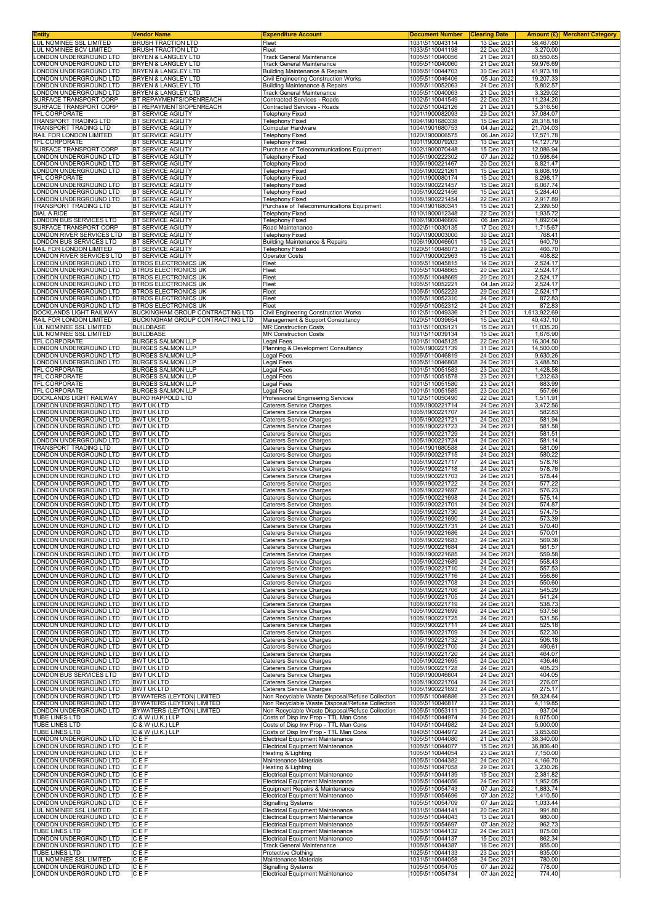| Entity                                             | Vendor Name                                                     | <b>Expenditure Account</b>                                                                         | <b>Document Number</b>             | <b>Clearing Date</b>       |                        | Amount (£) Merchant Category |
|----------------------------------------------------|-----------------------------------------------------------------|----------------------------------------------------------------------------------------------------|------------------------------------|----------------------------|------------------------|------------------------------|
| LUL NOMINEE SSL LIMITED<br>LUL NOMINEE BCV LIMITED | <b>BRUSH TRACTION LTD</b><br><b>BRUSH TRACTION LTD</b>          | Fleet<br>Fleet                                                                                     | 1031\5110043114<br>1033\5110041198 | 13 Dec 2021<br>22 Dec 2021 | 58,467.60<br>3,270.00  |                              |
| ONDON UNDERGROUND LTD                              | BRYEN & LANGLEY LTD                                             | <b>Track General Maintenance</b>                                                                   | 1005\5110040056                    | 21 Dec 2021                | 60,550.65              |                              |
| ONDON UNDERGROUND LTD                              | <b>BRYEN &amp; LANGLEY LTD</b>                                  | <b>Track General Maintenance</b>                                                                   | 1005\5110040060                    | 21 Dec 2021                | 59,976.69              |                              |
| ONDON UNDERGROUND LTD                              | BRYEN & LANGLEY LTD                                             | <b>Building Maintenance &amp; Repairs</b>                                                          | 1005\5110044703                    | 30 Dec 2021                | 41,973.18              |                              |
| ONDON UNDERGROUND LTD<br>ONDON UNDERGROUND LTD     | BRYEN & LANGLEY LTD<br>BRYEN & LANGLEY LTD                      | Civil Engineering Construction Works<br><b>Building Maintenance &amp; Repairs</b>                  | 1005\5110046406<br>1005\5110052063 | 05 Jan 2022<br>24 Dec 2021 | 19,207.33<br>5,802.57  |                              |
| ONDON UNDERGROUND LTD                              | BRYEN & LANGLEY LTD                                             | <b>Track General Maintenance</b>                                                                   | 1005\5110040063                    | 21 Dec 2021                | 3,329.02               |                              |
| SURFACE TRANSPORT CORP                             | BT REPAYMENTS/OPENREACH                                         | Contracted Services - Roads                                                                        | 1002\5110041549                    | 22 Dec 2021                | 11,234.20              |                              |
| SURFACE TRANSPORT CORP                             | BT REPAYMENTS/OPENREACH                                         | Contracted Services - Roads                                                                        | 1002\5110042126                    | 21 Dec 2021                | 5,316.56               |                              |
| TFL CORPORATE<br><b>FRANSPORT TRADING LTD</b>      | BT SERVICE AGILITY<br>BT SERVICE AGILITY                        | <b>Telephony Fixed</b><br><b>Telephony Fixed</b>                                                   | 1001\1900082093<br>1004\1901680338 | 29 Dec 2021<br>15 Dec 2021 | 37,084.07<br>28,318.18 |                              |
| TRANSPORT TRADING LTD                              | BT SERVICE AGILITY                                              | Computer Hardware                                                                                  | 1004\1901680753                    | 04 Jan 2022                | 21,704.03              |                              |
| RAIL FOR LONDON LIMITED                            | BT SERVICE AGILITY                                              | <b>Telephony Fixed</b>                                                                             | 1020\1900006575                    | 06 Jan 2022                | 17,571.78              |                              |
| TFL CORPORATE                                      | BT SERVICE AGILITY<br>BT SERVICE AGILITY                        | <b>Telephony Fixed</b>                                                                             | 1001\1900079203                    | 13 Dec 2021                | 14,127.79              |                              |
| SURFACE TRANSPORT CORP<br>ONDON UNDERGROUND LTD    | <b>BT SERVICE AGILITY</b>                                       | Purchase of Telecommunications Equipment<br><b>Telephony Fixed</b>                                 | 1002\1900070448<br>1005\1900222302 | 15 Dec 2021<br>07 Jan 2022 | 12,086.94<br>10,598.64 |                              |
| ONDON UNDERGROUND LTD                              | BT SERVICE AGILITY                                              | <b>Telephony Fixed</b>                                                                             | 1005\1900221467                    | 20 Dec 2021                | 8,821.47               |                              |
| ONDON UNDERGROUND LTD                              | BT SERVICE AGILITY                                              | <b>Telephony Fixed</b>                                                                             | 1005\1900221261                    | 15 Dec 2021                | 8,608.19               |                              |
| TFL CORPORATE<br>ONDON UNDERGROUND LTD             | BT SERVICE AGILITY<br>BT SERVICE AGILITY                        | <b>Telephony Fixed</b><br><b>Telephony Fixed</b>                                                   | 1001\1900080174<br>1005\1900221457 | 15 Dec 2021<br>15 Dec 2021 | 8,298.17<br>6,067.74   |                              |
| ONDON UNDERGROUND LTD                              | BT SERVICE AGILITY                                              | <b>Telephony Fixed</b>                                                                             | 1005\1900221456                    | 15 Dec 2021                | 5,284.40               |                              |
| ONDON UNDERGROUND LTD                              | BT SERVICE AGILITY                                              | <b>Telephony Fixed</b>                                                                             | 1005\1900221454                    | 22 Dec 2021                | 2,917.89               |                              |
| TRANSPORT TRADING LTD                              | BT SERVICE AGILITY                                              | Purchase of Telecommunications Equipment                                                           | 1004\1901680341                    | 15 Dec 2021                | 2,399.50               |                              |
| DIAL A RIDE<br>ONDON BUS SERVICES LTD              | BT SERVICE AGILITY<br>BT SERVICE AGILITY                        | <b>Telephony Fixed</b><br><b>Telephony Fixed</b>                                                   | 1010\1900012348<br>1006\1900046669 | 22 Dec 2021<br>06 Jan 2022 | 1,935.72<br>1,892.04   |                              |
| SURFACE TRANSPORT CORP                             | BT SERVICE AGILITY                                              | Road Maintenance                                                                                   | 1002\5110030135                    | 17 Dec 2021                | 1,715.67               |                              |
| ONDON RIVER SERVICES LTD                           | BT SERVICE AGILITY                                              | <b>Telephony Fixed</b>                                                                             | 1007\1900003000                    | 30 Dec 2021                | 768.41                 |                              |
| ONDON BUS SERVICES LTD<br>RAIL FOR LONDON LIMITED  | BT SERVICE AGILITY<br>BT SERVICE AGILITY                        | <b>Building Maintenance &amp; Repairs</b>                                                          | 1006\1900046601<br>1020\5110048073 | 15 Dec 2021<br>29 Dec 2021 | 640.79<br>466.70       |                              |
| ONDON RIVER SERVICES LTD                           | BT SERVICE AGILITY                                              | <b>Telephony Fixed</b><br><b>Operator Costs</b>                                                    | 1007\1900002963                    | 15 Dec 2021                | 408.82                 |                              |
| ONDON UNDERGROUND LTD                              | <b>BTROS ELECTRONICS UK</b>                                     | Fleet                                                                                              | 1005\5110045815                    | 14 Dec 2021                | 2,524.17               |                              |
| ONDON UNDERGROUND LTD                              | <b>BTROS ELECTRONICS UK</b>                                     | Fleet                                                                                              | 1005\5110048665                    | 20 Dec 2021                | 2,524.17               |                              |
| ONDON UNDERGROUND LTD<br>ONDON UNDERGROUND LTD     | <b>BTROS ELECTRONICS UK</b><br><b>BTROS ELECTRONICS UK</b>      | Fleet<br>Fleet                                                                                     | 1005\5110048669<br>1005\5110052221 | 20 Dec 2021<br>04 Jan 2022 | 2,524.17<br>2,524.17   |                              |
| ONDON UNDERGROUND LTD                              | BTROS ELECTRONICS UK                                            | Fleet                                                                                              | 1005\5110052223                    | 29 Dec 2021                | 2,524.17               |                              |
| ONDON UNDERGROUND LTD                              | BTROS ELECTRONICS UK                                            | Fleet                                                                                              | 1005\5110052310                    | 24 Dec 2021                | 872.83                 |                              |
| ONDON UNDERGROUND LTD.<br>DOCKLANDS LIGHT RAILWAY  | <b>BTROS ELECTRONICS UK</b><br>BUCKINGHAM GROUP CONTRACTING LTD | Fleet<br><b>Civil Engineering Construction Works</b>                                               | 1005\5110052312<br>1012\5110049336 | 24 Dec 2021<br>21 Dec 2021 | 872.83<br>1,613,922.69 |                              |
| RAIL FOR LONDON LIMITED                            | BUCKINGHAM GROUP CONTRACTING LTD                                | Management & Support Consultancy                                                                   | 1020\5110039654                    | 15 Dec 2021                | 40,437.10              |                              |
| LUL NOMINEE SSL LIMITED                            | <b>BUILDBASE</b>                                                | <b>MR Construction Costs</b>                                                                       | 1031\5110039121                    | 15 Dec 2021                | 11,035.20              |                              |
| LUL NOMINEE SSL LIMITED                            | <b>BUILDBASE</b>                                                | <b>MR Construction Costs</b>                                                                       | 1031\5110039134                    | 15 Dec 2021                | 1,676.90               |                              |
| <b>TFL CORPORATE</b><br>ONDON UNDERGROUND LTD      | <b>BURGES SALMON LLP</b><br><b>BURGES SALMON LLP</b>            | <b>Legal Fees</b><br>Planning & Development Consultancy                                            | 1001\5110045125<br>1005\1900221739 | 22 Dec 2021<br>31 Dec 2021 | 16,304.50<br>14,500.00 |                              |
| ONDON UNDERGROUND LTD                              | <b>BURGES SALMON LLP</b>                                        | Legal Fees                                                                                         | 1005\5110046819                    | 24 Dec 2021                | 9,630.26               |                              |
| ONDON UNDERGROUND LTD                              | <b>BURGES SALMON LLP</b>                                        | Legal Fees                                                                                         | 1005\5110046808                    | 24 Dec 2021                | 3,488.50               |                              |
| TFL CORPORATE<br>TFL CORPORATE                     | <b>BURGES SALMON LLP</b><br><b>BURGES SALMON LLP</b>            | Legal Fees<br>Legal Fees                                                                           | 1001\5110051583<br>1001\5110051578 | 23 Dec 2021<br>23 Dec 2021 | 1,428.58<br>1,232.63   |                              |
| TFL CORPORATE                                      | <b>BURGES SALMON LLP</b>                                        | Legal Fees                                                                                         | 1001\5110051580                    | 23 Dec 2021                | 883.99                 |                              |
| <b>TFL CORPORATE</b>                               | <b>BURGES SALMON LLP</b>                                        | Legal Fees                                                                                         | 1001\5110051585                    | 23 Dec 2021                | 557.66                 |                              |
| DOCKLANDS LIGHT RAILWAY<br>ONDON UNDERGROUND LTD.  | <b>BURO HAPPOLD LTD</b><br><b>BWT UK LTD</b>                    | Professional Engineering Services<br><b>Caterers Service Charges</b>                               | 1012\5110050490<br>1005\1900221714 | 22 Dec 2021<br>24 Dec 2021 | 1,511.91<br>3,472.56   |                              |
| ONDON UNDERGROUND LTD                              | <b>BWT UK LTD</b>                                               | <b>Caterers Service Charges</b>                                                                    | 1005\1900221707                    | 24 Dec 2021                | 582.83                 |                              |
| ONDON UNDERGROUND LTD                              | <b>BWT UK LTD</b>                                               | <b>Caterers Service Charges</b>                                                                    | 1005\1900221721                    | 24 Dec 2021                | 581.94                 |                              |
| ONDON UNDERGROUND LTD<br>ONDON UNDERGROUND LTD     | <b>BWT UK LTD</b><br><b>BWT UK LTD</b>                          | Caterers Service Charges<br>Caterers Service Charges                                               | 1005\1900221723<br>1005\1900221729 | 24 Dec 2021<br>24 Dec 2021 | 581.58<br>581.51       |                              |
| ONDON UNDERGROUND LTD                              | <b>BWT UK LTD</b>                                               | <b>Caterers Service Charges</b>                                                                    | 1005\1900221724                    | 24 Dec 2021                | 581.14                 |                              |
| TRANSPORT TRADING LTD                              | <b>BWT UK LTD</b>                                               | <b>Caterers Service Charges</b>                                                                    | 1004\1901680588                    | 24 Dec 2021                | 581.09                 |                              |
| ONDON UNDERGROUND LTD<br>ONDON UNDERGROUND LTD     | <b>BWT UK LTD</b><br><b>BWT UK LTD</b>                          | Caterers Service Charges<br><b>Caterers Service Charges</b>                                        | 1005\1900221715<br>1005\1900221717 | 24 Dec 2021<br>24 Dec 2021 | 580.22<br>578.76       |                              |
| ONDON UNDERGROUND LTD                              | <b>BWT UK LTD</b>                                               | <b>Caterers Service Charges</b>                                                                    | 1005\1900221718                    | 24 Dec 2021                | 578.76                 |                              |
| ONDON UNDERGROUND LTD                              | <b>BWT UK LTD</b>                                               | <b>Caterers Service Charges</b>                                                                    | 1005\1900221703                    | 24 Dec 2021                | 578.44                 |                              |
| ONDON UNDERGROUND LTD.<br>ONDON UNDERGROUND LTD    | <b>BWT UK LTD</b><br><b>BWT UK LTD</b>                          | Caterers Service Charges<br><b>Caterers Service Charges</b>                                        | 1005\1900221722<br>1005\1900221697 | 24 Dec 2021<br>24 Dec 2021 | 577.22<br>576.23       |                              |
| ONDON UNDERGROUND LTD                              | <b>BWT UK LTD</b>                                               | <b>Caterers Service Charges</b>                                                                    | 1005\1900221698                    | 24 Dec 2021                | 575.14                 |                              |
| ONDON UNDERGROUND LTD                              | <b>BWT UK LTD</b>                                               | <b>Caterers Service Charges</b>                                                                    | 1005\1900221701                    | 24 Dec 2021                | 574.87                 |                              |
| ONDON UNDERGROUND LTD<br>ONDON UNDERGROUND LTD     | <b>BWT UK LTD</b><br><b>BWT UK LTD</b>                          | <b>Caterers Service Charges</b><br><b>Caterers Service Charges</b>                                 | 1005\1900221730<br>1005\1900221690 | 24 Dec 2021<br>24 Dec 2021 | 574.75<br>573.39       |                              |
| ONDON UNDERGROUND LTD.                             | BW LUK LID                                                      | Caterers Service Charges                                                                           | 1005\1900221731                    | 24 Dec 2021                | 570.40                 |                              |
| ONDON UNDERGROUND LTD.<br>ONDON UNDERGROUND LTD    | <b>BWT UK LTD</b><br><b>BWT UK LTD</b>                          | <b>Caterers Service Charges</b><br>Caterers Service Charges                                        | 1005\1900221686<br>1005\1900221683 | 24 Dec 2021<br>24 Dec 2021 | 570.01<br>569.38       |                              |
| ONDON UNDERGROUND LTD                              | <b>BWT UK LTD</b>                                               | <b>Caterers Service Charges</b>                                                                    | 1005\1900221684                    | 24 Dec 2021                | 561.57                 |                              |
| LONDON UNDERGROUND LTD                             | <b>BWT UK LTD</b>                                               | <b>Caterers Service Charges</b>                                                                    | 1005\1900221685                    | 24 Dec 2021                | 559.58                 |                              |
| ONDON UNDERGROUND LTD<br>ONDON UNDERGROUND LTD     | <b>BWT UK LTD</b><br><b>BWT UK LTD</b>                          | <b>Caterers Service Charges</b><br><b>Caterers Service Charges</b>                                 | 1005\1900221689<br>1005\1900221710 | 24 Dec 2021<br>24 Dec 2021 | 558.43<br>557.53       |                              |
| ONDON UNDERGROUND LTD                              | <b>BWT UK LTD</b>                                               | <b>Caterers Service Charges</b>                                                                    | 1005\1900221716                    | 24 Dec 2021                | 556.86                 |                              |
| ONDON UNDERGROUND LTD                              | <b>BWT UK LTD</b>                                               | <b>Caterers Service Charges</b>                                                                    | 1005\1900221708                    | 24 Dec 2021                | 550.60                 |                              |
| ONDON UNDERGROUND LTD<br>ONDON UNDERGROUND LTD     | <b>BWT UK LTD</b><br><b>BWT UK LTD</b>                          | <b>Caterers Service Charges</b><br><b>Caterers Service Charges</b>                                 | 1005\1900221706<br>1005\1900221705 | 24 Dec 2021<br>24 Dec 2021 | 545.29<br>541.24       |                              |
| ONDON UNDERGROUND LTD                              | <b>BWT UK LTD</b>                                               | <b>Caterers Service Charges</b>                                                                    | 1005\1900221719                    | 24 Dec 2021                | 538.73                 |                              |
| ONDON UNDERGROUND LTD                              | <b>BWT UK LTD</b>                                               | <b>Caterers Service Charges</b>                                                                    | 1005\1900221699                    | 24 Dec 2021                | 537.56                 |                              |
| ONDON UNDERGROUND LTD<br>ONDON UNDERGROUND LTD     | <b>BWT UK LTD</b><br><b>BWT UK LTD</b>                          | <b>Caterers Service Charges</b>                                                                    | 1005\1900221725<br>1005\1900221711 | 24 Dec 2021<br>24 Dec 2021 | 531.56<br>525.18       |                              |
| ONDON UNDERGROUND LTD                              | <b>BWT UK LTD</b>                                               | <b>Caterers Service Charges</b><br>Caterers Service Charges                                        | 1005\1900221709                    | 24 Dec 2021                | 522.30                 |                              |
| ONDON UNDERGROUND LTD                              | <b>BWT UK LTD</b>                                               | <b>Caterers Service Charges</b>                                                                    | 1005\1900221732                    | 24 Dec 2021                | 506.18                 |                              |
| ONDON UNDERGROUND LTD<br>ONDON UNDERGROUND LTD     | <b>BWT UK LTD</b><br><b>BWT UK LTD</b>                          | <b>Caterers Service Charges</b><br>Caterers Service Charges                                        | 1005\1900221700<br>1005\1900221720 | 24 Dec 2021<br>24 Dec 2021 | 490.61<br>464.07       |                              |
| ONDON UNDERGROUND LTD                              | <b>BWT UK LTD</b>                                               | <b>Caterers Service Charges</b>                                                                    | 1005\1900221695                    | 24 Dec 2021                | 436.46                 |                              |
| ONDON UNDERGROUND LTD                              | <b>BWT UK LTD</b>                                               | <b>Caterers Service Charges</b>                                                                    | 1005\1900221728                    | 24 Dec 2021                | 405.23                 |                              |
| ONDON BUS SERVICES LTD<br>ONDON UNDERGROUND LTD    | <b>BWT UK LTD</b><br><b>BWT UK LTD</b>                          | Caterers Service Charges<br><b>Caterers Service Charges</b>                                        | 1006\1900046604<br>1005\1900221704 | 24 Dec 2021<br>24 Dec 2021 | 404.05<br>276.07       |                              |
| ONDON UNDERGROUND LTD                              | <b>BWT UK LTD</b>                                               | <b>Caterers Service Charges</b>                                                                    | 1005\1900221693                    | 24 Dec 2021                | 275.17                 |                              |
| ONDON UNDERGROUND LTD                              | BYWATERS (LEYTON) LIMITED                                       | Non Recyclable Waste Disposal/Refuse Collection                                                    | 1005\5110046886                    | 23 Dec 2021                | 59,324.64              |                              |
| ONDON UNDERGROUND LTD<br>ONDON UNDERGROUND LTD     | BYWATERS (LEYTON) LIMITED<br>BYWATERS (LEYTON) LIMITED          | Non Recyclable Waste Disposal/Refuse Collection<br>Non Recyclable Waste Disposal/Refuse Collection | 1005\5110046817<br>1005\5110053111 | 23 Dec 2021<br>30 Dec 2021 | 4,119.85<br>937.04     |                              |
| TUBE LINES LTD                                     | C & W (U.K.) LLP                                                | Costs of Disp Inv Prop - TTL Man Cons                                                              | 1040\5110044974                    | 24 Dec 2021                | 8,075.00               |                              |
| TUBE LINES LTD                                     | C & W (U.K.) LLP                                                | Costs of Disp Inv Prop - TTL Man Cons                                                              | 1040\5110044982                    | 24 Dec 2021                | 5,000.00               |                              |
| TUBE LINES LTD<br>ONDON UNDERGROUND LTD            | C & W (U.K.) LLP<br>CEF                                         | Costs of Disp Inv Prop - TTL Man Cons<br><b>Electrical Equipment Maintenance</b>                   | 1040\5110044972<br>1005\5110044080 | 24 Dec 2021<br>21 Dec 2021 | 3,653.60<br>38,340.00  |                              |
| ONDON UNDERGROUND LTD                              | CEF                                                             | <b>Electrical Equipment Maintenance</b>                                                            | 1005\5110044077                    | 15 Dec 2021                | 36,806.40              |                              |
| ONDON UNDERGROUND LTD                              | CEF                                                             | Heating & Lighting                                                                                 | 1005\5110044054                    | 23 Dec 2021                | 7,150.00               |                              |
| ONDON UNDERGROUND LTD<br>ONDON UNDERGROUND LTD     | CEF<br>CEF                                                      | Maintenance Materials<br>Heating & Lighting                                                        | 1005\5110044382<br>1005\5110047058 | 24 Dec 2021<br>29 Dec 2021 | 4,166.70<br>3,230.26   |                              |
| ONDON UNDERGROUND LTD                              | CEF                                                             | <b>Electrical Equipment Maintenance</b>                                                            | 1005\5110044139                    | 15 Dec 2021                | 2,381.82               |                              |
| ONDON UNDERGROUND LTD                              | CEF                                                             | <b>Electrical Equipment Maintenance</b>                                                            | 1005\5110044056                    | 24 Dec 2021                | 1,952.05               |                              |
| ONDON UNDERGROUND LTD<br>ONDON UNDERGROUND LTD     | CEF<br>CEF                                                      | Equipment Repairs & Maintenance<br><b>Electrical Equipment Maintenance</b>                         | 1005\5110054743<br>1005\5110054696 | 07 Jan 2022<br>07 Jan 2022 | 1,883.74<br>1,410.50   |                              |
| ONDON UNDERGROUND LTD                              | CEF                                                             | <b>Signalling Systems</b>                                                                          | 1005\5110054709                    | 07 Jan 2022                | 1,033.44               |                              |
| LUL NOMINEE SSL LIMITED                            | CEF                                                             | <b>Electrical Equipment Maintenance</b>                                                            | 1031\5110044141                    | 20 Dec 2021                | 991.80                 |                              |
| ONDON UNDERGROUND LTD<br>ONDON UNDERGROUND LTD     | CEF<br>CEF                                                      | <b>Electrical Equipment Maintenance</b><br><b>Electrical Equipment Maintenance</b>                 | 1005\5110044043<br>1005\5110054697 | 13 Dec 2021<br>07 Jan 2022 | 980.00<br>962.73       |                              |
| TUBE LINES LTD                                     | CEF                                                             | <b>Electrical Equipment Maintenance</b>                                                            | 1025\5110044132                    | 24 Dec 2021                | 875.00                 |                              |
| ONDON UNDERGROUND LTD                              | CEF                                                             | <b>Electrical Equipment Maintenance</b>                                                            | 1005\5110044137                    | 15 Dec 2021                | 862.34                 |                              |
| ONDON UNDERGROUND LTD.<br>TUBE LINES LTD           | CEF<br>CEF                                                      | <b>Track General Maintenance</b><br><b>Protective Clothing</b>                                     | 1005\5110044387<br>1025\5110044133 | 16 Dec 2021<br>23 Dec 2021 | 855.00<br>835.00       |                              |
| <b>UL NOMINEE SSL LIMITED</b>                      | CEF                                                             | Maintenance Materials                                                                              | 1031\5110044058                    | 24 Dec 2021                | 780.00                 |                              |
| ONDON UNDERGROUND LTD                              | CEF                                                             | <b>Signalling Systems</b>                                                                          | 1005\5110054705                    | 07 Jan 2022                | 778.00                 |                              |
| LONDON UNDERGROUND LTD                             | CEF                                                             | <b>Electrical Equipment Maintenance</b>                                                            | 1005\5110054734                    | 07 Jan 2022                | 774.40                 |                              |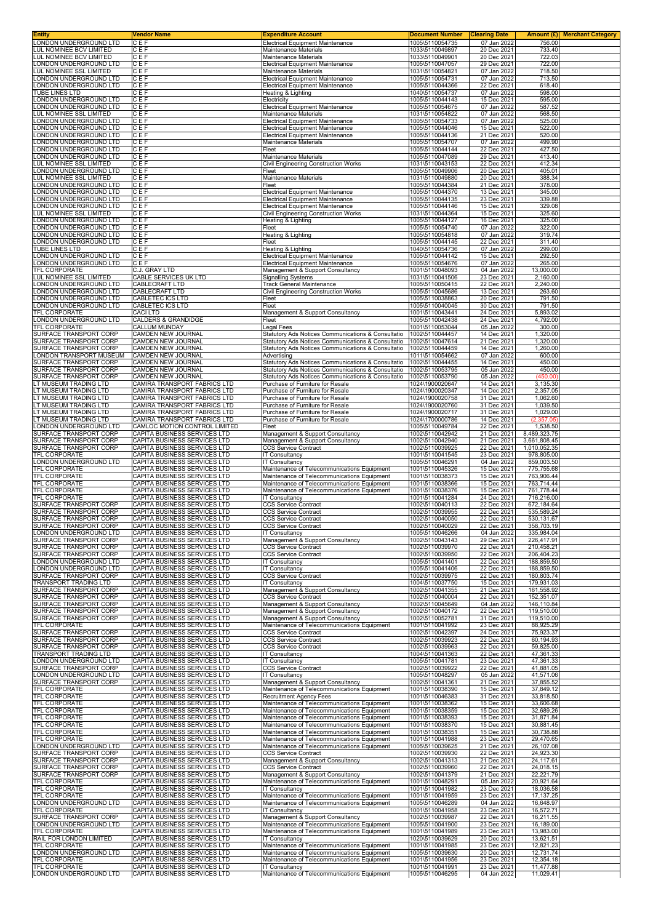| Entity                                                  | <b>Vendor Name</b>                                           | <b>Expenditure Account</b>                                                                 | <b>Document Number</b>             | <b>Clearing Date</b>       | Amount (£)<br><b>Merchant Category</b> |
|---------------------------------------------------------|--------------------------------------------------------------|--------------------------------------------------------------------------------------------|------------------------------------|----------------------------|----------------------------------------|
| ONDON UNDERGROUND LTD<br><b>LUL NOMINEE BCV LIMITED</b> | CEF<br>CEF                                                   | <b>Electrical Equipment Maintenance</b><br>Maintenance Materials                           | 1005\5110054735<br>1033\5110049897 | 07 Jan 2022<br>20 Dec 2021 | 756.00<br>733.40                       |
| LUL NOMINEE BCV LIMITED                                 | CEF                                                          | Maintenance Materials                                                                      | 1033\5110049901                    | 20 Dec 2021                | 722.03                                 |
| ONDON UNDERGROUND LTD                                   | CEF                                                          | <b>Electrical Equipment Maintenance</b>                                                    | 1005\5110047057                    | 29 Dec 2021                | 722.00                                 |
| <b>UL NOMINEE SSL LIMITED</b><br>ONDON UNDERGROUND LTD  | CEF<br>CEF                                                   | Maintenance Materials<br><b>Electrical Equipment Maintenance</b>                           | 1031\5110054821<br>1005\5110054731 | 07 Jan 2022<br>07 Jan 2022 | 718.50<br>713.50                       |
| ONDON UNDERGROUND LTD                                   | CEF                                                          | <b>Electrical Equipment Maintenance</b>                                                    | 1005\5110044366                    | 22 Dec 2021                | 618.40                                 |
| <b>TUBE LINES LTD</b>                                   | CEF                                                          | Heating & Lighting                                                                         | 1040\5110054737                    | 07 Jan 2022                | 598.00                                 |
| ONDON UNDERGROUND LTD<br>ONDON UNDERGROUND LTD          | CEF<br>CEF                                                   | Electricity<br><b>Electrical Equipment Maintenance</b>                                     | 1005\5110044143<br>1005\5110054675 | 15 Dec 2021<br>07 Jan 2022 | 595.00<br>587.52                       |
| UL NOMINEE SSL LIMITED                                  | CEF                                                          | Maintenance Materials                                                                      | 1031\5110054822                    | 07 Jan 2022                | 568.50                                 |
| ONDON UNDERGROUND LTD                                   | CEF                                                          | <b>Electrical Equipment Maintenance</b>                                                    | 1005\5110054733                    | 07 Jan 2022                | 525.00                                 |
| ONDON UNDERGROUND LTD<br>ONDON UNDERGROUND LTD.         | CEF<br>CEF                                                   | <b>Electrical Equipment Maintenance</b><br><b>Electrical Equipment Maintenance</b>         | 1005\5110044046<br>1005\5110044136 | 15 Dec 2021<br>21 Dec 2021 | 522.00<br>520.00                       |
| ONDON UNDERGROUND LTD                                   | CEF                                                          | Maintenance Materials                                                                      | 1005\5110054707                    | 07 Jan 2022                | 499.90                                 |
| ONDON UNDERGROUND LTD                                   | CEF                                                          | Fleet                                                                                      | 1005\5110044144                    | 22 Dec 2021                | 427.50                                 |
| ONDON UNDERGROUND LTD<br><b>LUL NOMINEE SSL LIMITED</b> | CEF<br>CEF                                                   | Maintenance Materials<br>Civil Engineering Construction Works                              | 1005\5110047089<br>1031\5110043153 | 29 Dec 2021<br>22 Dec 2021 | 413.40<br>412.34                       |
| ONDON UNDERGROUND LTD                                   | CEF                                                          | Fleet                                                                                      | 1005\5110049906                    | 20 Dec 2021                | 405.01                                 |
| <b>UL NOMINEE SSL LIMITED</b><br>ONDON UNDERGROUND LTD  | C E F<br>CEF                                                 | Maintenance Materials<br>Fleet                                                             | 1031\5110049880<br>1005\5110044384 | 20 Dec 2021<br>21 Dec 2021 | 388.34<br>378.00                       |
| ONDON UNDERGROUND LTD                                   | CEF                                                          | <b>Electrical Equipment Maintenance</b>                                                    | 1005\5110044370                    | 13 Dec 2021                | 345.00                                 |
| ONDON UNDERGROUND LTD                                   | CEF                                                          | <b>Electrical Equipment Maintenance</b>                                                    | 1005\5110044135                    | 23 Dec 2021                | 339.88                                 |
| ONDON UNDERGROUND LTD.                                  | CEF<br>CEF                                                   | <b>Electrical Equipment Maintenance</b>                                                    | 1005\5110044146<br>1031\5110044364 | 15 Dec 2021                | 329.08<br>325.60                       |
| <b>UL NOMINEE SSL LIMITED</b><br>ONDON UNDERGROUND LTD  | CEF                                                          | Civil Engineering Construction Works<br>Heating & Lighting                                 | 1005\5110044127                    | 15 Dec 2021<br>16 Dec 2021 | 325.00                                 |
| ONDON UNDERGROUND LTD.                                  | CEF                                                          | Fleet                                                                                      | 1005\5110054740                    | 07 Jan 2022                | 322.00                                 |
| ONDON UNDERGROUND LTD<br>ONDON UNDERGROUND LTD          | CEF<br>CEF                                                   | Heating & Lighting<br>Fleet                                                                | 1005\5110054818<br>1005\5110044145 | 07 Jan 2022<br>22 Dec 2021 | 319.74<br>311.40                       |
| <b>TUBE LINES LTD</b>                                   | CEF                                                          | Heating & Lighting                                                                         | 1040\5110054736                    | 07 Jan 2022                | 299.00                                 |
| ONDON UNDERGROUND LTD                                   | CEF                                                          | <b>Electrical Equipment Maintenance</b>                                                    | 1005\5110044142                    | 15 Dec 2021                | 292.50                                 |
| ONDON UNDERGROUND LTD<br><b>TFL CORPORATE</b>           | CEF                                                          | <b>Electrical Equipment Maintenance</b>                                                    | 1005\5110054676<br>1001\5110048093 | 07 Jan 2022<br>04 Jan 2022 | 265.00<br>13,000.00                    |
| <b>LUL NOMINEE SSL LIMITED</b>                          | C.J. GRAY LTD<br>CABLE SERVICES UK LTD                       | Management & Support Consultancy<br><b>Signalling Systems</b>                              | 1031\5110041506                    | 23 Dec 2021                | 2,160.00                               |
| ONDON UNDERGROUND LTD                                   | CABLECRAFT LTD                                               | Track General Maintenance                                                                  | 1005\5110050415                    | 22 Dec 2021                | 2,240.00                               |
| ONDON UNDERGROUND LTD                                   | CABLECRAFT LTD                                               | Civil Engineering Construction Works                                                       | 1005\5110045686                    | 13 Dec 2021<br>20 Dec 2021 | 263.60                                 |
| ONDON UNDERGROUND LTD<br>ONDON UNDERGROUND LTD          | CABLETEC ICS LTD<br><b>CABLETEC ICS LTD</b>                  | Fleet<br>Fleet                                                                             | 1005\5110038863<br>1005\5110040045 | 30 Dec 2021                | 791.50<br>791.50                       |
| <b>TFL CORPORATE</b>                                    | <b>CACI LTD</b>                                              | Management & Support Consultancy                                                           | 1001\5110043441                    | 24 Dec 2021                | 5,893.02                               |
| ONDON UNDERGROUND LTD<br><b>TFL CORPORATE</b>           | CALDERS & GRANDIDGE<br><b>CALLUM MUNDAY</b>                  | Fleet                                                                                      | 1005\5110042438                    | 24 Dec 2021                | 4,792.00<br>300.00                     |
| SURFACE TRANSPORT CORP                                  | CAMDEN NEW JOURNAL                                           | egal Fees<br>Statutory Ads Notices Communications & Consultatio                            | 1001\5110053044<br>1002\5110044457 | 05 Jan 2022<br>14 Dec 2021 | 1,320.00                               |
| SURFACE TRANSPORT CORP                                  | <b>CAMDEN NEW JOURNAL</b>                                    | Statutory Ads Notices Communications & Consultatio                                         | 1002\5110047614                    | 21 Dec 2021                | 1,320.00                               |
| SURFACE TRANSPORT CORP                                  | CAMDEN NEW JOURNAL                                           | Statutory Ads Notices Communications & Consultatio                                         | 1002\5110044459                    | 14 Dec 2021                | 1,260.00                               |
| ONDON TRANSPORT MUSEUM<br>SURFACE TRANSPORT CORP        | CAMDEN NEW JOURNAL<br>CAMDEN NEW JOURNAL                     | Advertising<br>Statutory Ads Notices Communications & Consultatio                          | 1011\5110054662<br>1002\5110044455 | 07 Jan 2022<br>14 Dec 2021 | 600.00<br>450.00                       |
| SURFACE TRANSPORT CORP                                  | CAMDEN NEW JOURNAL                                           | Statutory Ads Notices Communications & Consultatio                                         | 1002\5110053795                    | 05 Jan 2022                | 450.00                                 |
| SURFACE TRANSPORT CORP                                  | CAMDEN NEW JOURNAL                                           | Statutory Ads Notices Communications & Consultatio                                         | 1002\5110053790                    | 05 Jan 2022                | (450.00)                               |
| T MUSEUM TRADING LTD.<br>T MUSEUM TRADING LTD           | CAMIRA TRANSPORT FABRICS LTD<br>CAMIRA TRANSPORT FABRICS LTD | Purchase of Furniture for Resale<br>Purchase of Furniture for Resale                       | 1024\1900020647<br>1024\1900020347 | 14 Dec 2021<br>14 Dec 2021 | 3,135.30<br>2,357.05                   |
| T MUSEUM TRADING LTD                                    | CAMIRA TRANSPORT FABRICS LTD                                 | Purchase of Furniture for Resale                                                           | 1024\1900020758                    | 31 Dec 2021                | 1,062.60                               |
| LT MUSEUM TRADING LTD                                   | CAMIRA TRANSPORT FABRICS LTD                                 | Purchase of Furniture for Resale                                                           | 1024\1900020760                    | 31 Dec 2021                | 1,039.50                               |
| T MUSEUM TRADING LTD<br>T MUSEUM TRADING LTD            | CAMIRA TRANSPORT FABRICS LTD<br>CAMIRA TRANSPORT FABRICS LTD | Purchase of Furniture for Resale<br>Purchase of Furniture for Resale                       | 1024\1900020717<br>1024\1700000786 | 31 Dec 2021<br>14 Dec 2021 | 1,029.00<br>(2, 357.05)                |
| ONDON UNDERGROUND LTD                                   | CAMLOC MOTION CONTROL LIMITED                                | Fleet                                                                                      | 1005\5110049784                    | 22 Dec 2021                | 1,538.50                               |
| SURFACE TRANSPORT CORP                                  | CAPITA BUSINESS SERVICES LTD                                 | Management & Support Consultancy                                                           | 1002\5110042942                    | 21 Dec 2021                | 8,489,323.75                           |
| SURFACE TRANSPORT CORP<br>SURFACE TRANSPORT CORP        | CAPITA BUSINESS SERVICES LTD<br>CAPITA BUSINESS SERVICES LTD | Management & Support Consultancy<br><b>CCS Service Contract</b>                            | 1002\5110042940<br>1002\5110039925 | 21 Dec 2021<br>22 Dec 2021 | 3,661,808.45<br>1,010,052.35           |
| TFL CORPORATE                                           | CAPITA BUSINESS SERVICES LTD                                 | <b>IT Consultancy</b>                                                                      | 1001\5110041545                    | 23 Dec 2021                | 978,805.00                             |
| ONDON UNDERGROUND LTD                                   | CAPITA BUSINESS SERVICES LTD                                 | <b>IT Consultancy</b>                                                                      | 1005\5110046291                    | 04 Jan 2022                | 859,003.50                             |
| <b>TFL CORPORATE</b><br><b>TFL CORPORATE</b>            | CAPITA BUSINESS SERVICES LTD<br>CAPITA BUSINESS SERVICES LTD | Maintenance of Telecommunications Equipment<br>Maintenance of Telecommunications Equipment | 1001\5110045326<br>1001\5110038373 | 15 Dec 2021<br>15 Dec 2021 | 775,755.68<br>763,906.44               |
| TFL CORPORATE                                           | CAPITA BUSINESS SERVICES LTD                                 | Maintenance of Telecommunications Equipment                                                | 1001\5110038366                    | 15 Dec 2021                | 763,714.44                             |
| <b>TFL CORPORATE</b>                                    | CAPITA BUSINESS SERVICES LTD                                 | Maintenance of Telecommunications Equipment                                                | 1001\5110038376                    | 15 Dec 2021                | 761,778.44                             |
| TFL CORPORATE<br>SURFACE TRANSPORT CORP                 | CAPITA BUSINESS SERVICES LTD<br>CAPITA BUSINESS SERVICES LTD | <b>IT Consultancy</b><br><b>CCS Service Contract</b>                                       | 1001\5110041284<br>1002\5110040113 | 24 Dec 2021<br>22 Dec 2021 | 716,216.00<br>672,184.64               |
| SURFACE TRANSPORT CORP                                  | CAPITA BUSINESS SERVICES LTD                                 | <b>CCS Service Contract</b>                                                                | 1002\5110039955                    | 22 Dec 2021                | 535,589.24                             |
| SURFACE TRANSPORT CORP                                  | CAPITA BUSINESS SERVICES LTD                                 | <b>CCS Service Contract</b>                                                                | 1002\5110040050                    | 22 Dec 2021                | 530,131.67                             |
| SURFACE TRANSPORT CORP<br>ONDON UNDERGROUND LTD         | CAPITA BUSINESS SERVICES LTD<br>CAPITA BUSINESS SERVICES LTD | CCS Service Contract<br><b>IT Consultancy</b>                                              | 1002\5110040029<br>1005\5110046266 | 22 Dec 2021<br>04 Jan 2022 | 358,703.19<br>335,984.04               |
| SURFACE TRANSPORT CORP                                  | CAPITA BUSINESS SERVICES LTD                                 | Management & Support Consultancy                                                           | 1002\5110043143                    | 29 Dec 2021                | 226,417.91                             |
| SURFACE TRANSPORT CORP<br>SURFACE TRANSPORT CORP        | CAPITA BUSINESS SERVICES LTD<br>CAPITA BUSINESS SERVICES LTD | <b>CCS Service Contract</b><br><b>CCS Service Contract</b>                                 | 1002\5110039970<br>1002\5110039950 | 22 Dec 2021<br>22 Dec 2021 | 210,458.21<br>206,404.23               |
| ONDON UNDERGROUND LTD                                   | CAPITA BUSINESS SERVICES LTD                                 | <b>IT Consultancy</b>                                                                      | 1005\5110041401                    | 22 Dec 2021                | 188,859.50                             |
| ONDON UNDERGROUND LTD                                   | CAPITA BUSINESS SERVICES LTD                                 | <b>IT Consultancy</b>                                                                      | 1005\5110041406                    | 22 Dec 2021                | 188,859.50                             |
| SURFACE TRANSPORT CORP<br>TRANSPORT TRADING LTD         | CAPITA BUSINESS SERVICES LTD                                 | <b>CCS Service Contract</b><br><b>IT Consultancy</b>                                       | 1002\5110039975                    | 22 Dec 2021                | 180,803.74                             |
| SURFACE TRANSPORT CORP                                  | CAPITA BUSINESS SERVICES LTD<br>CAPITA BUSINESS SERVICES LTD | Management & Support Consultancy                                                           | 1004\5110037750<br>1002\5110041355 | 15 Dec 2021<br>21 Dec 2021 | 179,931.03<br>161,558.92               |
| SURFACE TRANSPORT CORP                                  | CAPITA BUSINESS SERVICES LTD                                 | <b>CCS Service Contract</b>                                                                | 1002\5110040004                    | 22 Dec 2021                | 152,351.07                             |
| SURFACE TRANSPORT CORP<br>SURFACE TRANSPORT CORP        | CAPITA BUSINESS SERVICES LTD<br>CAPITA BUSINESS SERVICES LTD | Management & Support Consultancy<br>Management & Support Consultancy                       | 1002\5110045649<br>1002\5110040172 | 04 Jan 2022<br>22 Dec 2021 | 146,110.84<br>119,510.00               |
| SURFACE TRANSPORT CORP                                  | CAPITA BUSINESS SERVICES LTD                                 | Management & Support Consultancy                                                           | 1002\5110052781                    | 31 Dec 2021                | 119,510.00                             |
| TFL CORPORATE                                           | CAPITA BUSINESS SERVICES LTD                                 | Maintenance of Telecommunications Equipment                                                | 1001\5110041992                    | 23 Dec 2021                | 88,925.29                              |
| SURFACE TRANSPORT CORP<br>SURFACE TRANSPORT CORP        | CAPITA BUSINESS SERVICES LTD<br>CAPITA BUSINESS SERVICES LTD | <b>CCS Service Contract</b><br><b>CCS Service Contract</b>                                 | 1002\5110042397<br>1002\5110039923 | 24 Dec 2021<br>22 Dec 2021 | 75,923.37<br>60,194.93                 |
| SURFACE TRANSPORT CORP                                  | CAPITA BUSINESS SERVICES LTD                                 | <b>CCS Service Contract</b>                                                                | 1002\5110039963                    | 22 Dec 2021                | 59,825.00                              |
| <b>TRANSPORT TRADING LTD</b>                            | CAPITA BUSINESS SERVICES LTD                                 | <b>IT Consultancy</b>                                                                      | 1004\5110041363                    | 22 Dec 2021                | 47,361.33                              |
| ONDON UNDERGROUND LTD<br>SURFACE TRANSPORT CORP         | CAPITA BUSINESS SERVICES LTD<br>CAPITA BUSINESS SERVICES LTD | <b>IT Consultancy</b><br><b>CCS Service Contract</b>                                       | 1005\5110041781<br>1002\5110039922 | 23 Dec 2021<br>22 Dec 2021 | 47,361.33<br>41,881.05                 |
| ONDON UNDERGROUND LTD                                   | CAPITA BUSINESS SERVICES LTD                                 | <b>IT Consultancy</b>                                                                      | 1005\5110048297                    | 05 Jan 2022                | 41,571.06                              |
| SURFACE TRANSPORT CORP                                  | CAPITA BUSINESS SERVICES LTD                                 | Management & Support Consultancy                                                           | 1002\5110041361                    | 21 Dec 2021                | 37,855.52                              |
| TFL CORPORATE<br>TFL CORPORATE                          | CAPITA BUSINESS SERVICES LTD<br>CAPITA BUSINESS SERVICES LTD | Maintenance of Telecommunications Equipment<br>Recruitment Agency Fees                     | 1001\5110038390<br>1001\5110046383 | 15 Dec 2021<br>31 Dec 2021 | 37,849.12<br>33,818.50                 |
| TFL CORPORATE                                           | CAPITA BUSINESS SERVICES LTD                                 | Maintenance of Telecommunications Equipment                                                | 1001\5110038362                    | 15 Dec 2021                | 33,606.68                              |
| TFL CORPORATE                                           | CAPITA BUSINESS SERVICES LTD                                 | Maintenance of Telecommunications Equipment                                                | 1001\5110038359                    | 15 Dec 2021                | 32,689.26                              |
| TFL CORPORATE<br>TFL CORPORATE                          | CAPITA BUSINESS SERVICES LTD<br>CAPITA BUSINESS SERVICES LTD | Maintenance of Telecommunications Equipment<br>Maintenance of Telecommunications Equipment | 1001\5110038393<br>1001\5110038370 | 15 Dec 2021<br>15 Dec 2021 | 31,871.84<br>30,881.45                 |
| TFL CORPORATE                                           | CAPITA BUSINESS SERVICES LTD                                 | Maintenance of Telecommunications Equipment                                                | 1001\5110038351                    | 15 Dec 2021                | 30,738.88                              |
| TFL CORPORATE<br>ONDON UNDERGROUND LTD                  | CAPITA BUSINESS SERVICES LTD<br>CAPITA BUSINESS SERVICES LTD | Maintenance of Telecommunications Equipment<br>Maintenance of Telecommunications Equipment | 1001\5110041988<br>1005\5110039625 | 23 Dec 2021<br>21 Dec 2021 | 29,470.65<br>26,107.08                 |
| SURFACE TRANSPORT CORP                                  | CAPITA BUSINESS SERVICES LTD                                 | <b>CCS Service Contract</b>                                                                | 1002\5110039930                    | 22 Dec 2021                | 24,923.30                              |
| SURFACE TRANSPORT CORP                                  | CAPITA BUSINESS SERVICES LTD                                 | Management & Support Consultancy                                                           | 1002\5110041313                    | 21 Dec 2021                | 24,117.61                              |
| SURFACE TRANSPORT CORP<br>SURFACE TRANSPORT CORP        | CAPITA BUSINESS SERVICES LTD<br>CAPITA BUSINESS SERVICES LTD | <b>CCS Service Contract</b><br>Management & Support Consultancy                            | 1002\5110039960<br>1002\5110041379 | 22 Dec 2021<br>21 Dec 2021 | 24,018.15<br>22,221.79                 |
| TFL CORPORATE                                           | CAPITA BUSINESS SERVICES LTD                                 | Maintenance of Telecommunications Equipment                                                | 1001\5110048291                    | 05 Jan 2022                | 20,921.64                              |
| TFL CORPORATE                                           | CAPITA BUSINESS SERVICES LTD                                 | IT Consultancy                                                                             | 1001\5110041982                    | 23 Dec 2021                | 18,036.58                              |
| <b>TFL CORPORATE</b>                                    | CAPITA BUSINESS SERVICES LTD                                 | Maintenance of Telecommunications Equipment                                                | 1001\5110041959<br>1005\5110046289 | 23 Dec 2021<br>04 Jan 2022 | 17, 137.25<br>16,648.97                |
|                                                         |                                                              |                                                                                            |                                    |                            |                                        |
| ONDON UNDERGROUND LTD<br>TFL CORPORATE                  | CAPITA BUSINESS SERVICES LTD<br>CAPITA BUSINESS SERVICES LTD | Maintenance of Telecommunications Equipment<br><b>IT Consultancy</b>                       | 1001\5110041958                    | 23 Dec 2021                | 16,572.71                              |
| SURFACE TRANSPORT CORP                                  | CAPITA BUSINESS SERVICES LTD                                 | Management & Support Consultancy                                                           | 1002\5110039987                    | 22 Dec 2021                | 16,211.55                              |
| ONDON UNDERGROUND LTD                                   | CAPITA BUSINESS SERVICES LTD                                 | Maintenance of Telecommunications Equipment                                                | 1005\5110041900                    | 23 Dec 2021                | 16,189.00                              |
| TFL CORPORATE<br>RAIL FOR LONDON LIMITED                | CAPITA BUSINESS SERVICES LTD<br>CAPITA BUSINESS SERVICES LTD | Maintenance of Telecommunications Equipment<br><b>IT Consultancy</b>                       | 1001\5110041989<br>1020\5110039629 | 23 Dec 2021<br>20 Dec 2021 | 13,983.00<br>13,621.51                 |
| TFL CORPORATE                                           | CAPITA BUSINESS SERVICES LTD                                 | Maintenance of Telecommunications Equipment                                                | 1001\5110041985                    | 23 Dec 2021                | 12,821.23                              |
| ONDON UNDERGROUND LTD                                   | CAPITA BUSINESS SERVICES LTD                                 | Maintenance of Telecommunications Equipment                                                | 1005\5110039630                    | 20 Dec 2021                | 12,731.74                              |
| TFL CORPORATE<br>TFL CORPORATE                          | CAPITA BUSINESS SERVICES LTD<br>CAPITA BUSINESS SERVICES LTD | Maintenance of Telecommunications Equipment<br><b>IT Consultancy</b>                       | 1001\5110041956<br>1001\5110041991 | 23 Dec 2021<br>23 Dec 2021 | 12,354.18<br>11,477.88                 |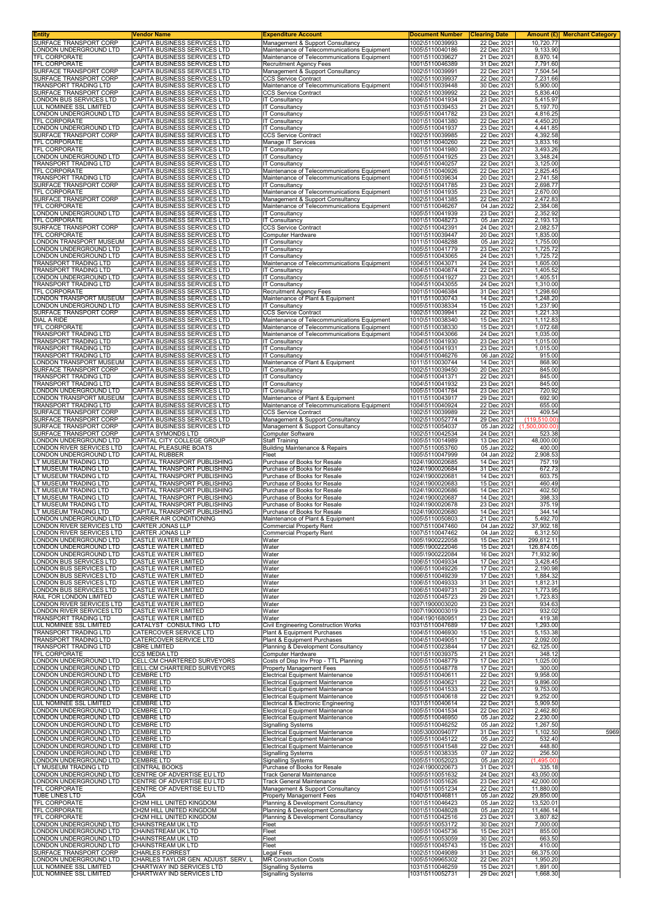| Entity                                                       | Vendor Name                                                      | <b>Expenditure Account</b>                                                                 | <b>Document Number</b>             | <b>Clearing Date</b>       |                           | Amount (£) Merchant Category |
|--------------------------------------------------------------|------------------------------------------------------------------|--------------------------------------------------------------------------------------------|------------------------------------|----------------------------|---------------------------|------------------------------|
| SURFACE TRANSPORT CORP<br>ONDON UNDERGROUND LTD.             | CAPITA BUSINESS SERVICES LTD<br>CAPITA BUSINESS SERVICES LTD     | Management & Support Consultancy<br>Maintenance of Telecommunications Equipment            | 1002\5110039993<br>1005\5110040186 | 22 Dec 2021<br>22 Dec 2021 | 10,720.77<br>9,133.90     |                              |
| TFL CORPORATE                                                | CAPITA BUSINESS SERVICES LTD                                     | Maintenance of Telecommunications Equipment                                                | 1001\5110039627                    | 21 Dec 2021                | 8,970.14                  |                              |
| <b>TFL CORPORATE</b>                                         | CAPITA BUSINESS SERVICES LTD                                     | <b>Recruitment Agency Fees</b>                                                             | 1001\5110046389                    | 31 Dec 2021                | 7,791.60                  |                              |
| SURFACE TRANSPORT CORP<br>SURFACE TRANSPORT CORP             | CAPITA BUSINESS SERVICES LTD<br>CAPITA BUSINESS SERVICES LTD     | Management & Support Consultancy<br><b>CCS Service Contract</b>                            | 1002\5110039991<br>1002\5110039937 | 22 Dec 2021<br>22 Dec 2021 | 7,504.54<br>7,231.66      |                              |
| <b>FRANSPORT TRADING LTD</b>                                 | CAPITA BUSINESS SERVICES LTD                                     | Maintenance of Telecommunications Equipment                                                | 1004\5110039448                    | 30 Dec 2021                | 5,900.00                  |                              |
| SURFACE TRANSPORT CORP<br>ONDON BUS SERVICES LTD             | CAPITA BUSINESS SERVICES LTD<br>CAPITA BUSINESS SERVICES LTD     | <b>CCS Service Contract</b><br>IT Consultancy                                              | 1002\5110039992<br>1006\5110041934 | 22 Dec 2021<br>23 Dec 2021 | 5,836.40<br>5,415.97      |                              |
| LUL NOMINEE SSL LIMITED                                      | CAPITA BUSINESS SERVICES LTD                                     | IT Consultancy                                                                             | 1031\5110039453                    | 21 Dec 2021                | 5,197.70                  |                              |
| ONDON UNDERGROUND LTD<br><b>TFL CORPORATE</b>                | CAPITA BUSINESS SERVICES LTD                                     | <b>IT Consultancy</b><br><b>IT Consultancy</b>                                             | 1005\5110041782<br>1001\5110041380 | 23 Dec 2021                | 4,816.25<br>4,450.20      |                              |
| ONDON UNDERGROUND LTD                                        | CAPITA BUSINESS SERVICES LTD<br>CAPITA BUSINESS SERVICES LTD     | IT Consultancy                                                                             | 1005\5110041937                    | 22 Dec 2021<br>23 Dec 2021 | 4,441.85                  |                              |
| SURFACE TRANSPORT CORP                                       | CAPITA BUSINESS SERVICES LTD                                     | <b>CCS Service Contract</b>                                                                | 1002\5110039985                    | 22 Dec 2021                | 4,392.58                  |                              |
| TFL CORPORATE<br>TFL CORPORATE                               | CAPITA BUSINESS SERVICES LTD<br>CAPITA BUSINESS SERVICES LTD     | Manage IT Services<br>IT Consultancy                                                       | 1001\5110040260<br>1001\5110041980 | 22 Dec 2021<br>23 Dec 2021 | 3,833.16<br>3,493.26      |                              |
| ONDON UNDERGROUND LTD                                        | CAPITA BUSINESS SERVICES LTD                                     | <b>IT Consultancy</b>                                                                      | 1005\5110041925                    | 23 Dec 2021                | 3,348.24                  |                              |
| TRANSPORT TRADING LTD                                        | CAPITA BUSINESS SERVICES LTD                                     | <b>IT Consultancy</b>                                                                      | 1004\5110040257                    | 22 Dec 2021                | 3,125.00                  |                              |
| TFL CORPORATE<br>TRANSPORT TRADING LTD                       | CAPITA BUSINESS SERVICES LTD<br>CAPITA BUSINESS SERVICES LTD     | Maintenance of Telecommunications Equipment<br>Maintenance of Telecommunications Equipment | 1001\5110040926<br>1004\5110039634 | 22 Dec 2021<br>20 Dec 2021 | 2,825.45<br>2,741.58      |                              |
| SURFACE TRANSPORT CORP                                       | CAPITA BUSINESS SERVICES LTD                                     | <b>IT Consultancy</b>                                                                      | 1002\5110041785                    | 23 Dec 2021                | 2,698.77                  |                              |
| TFL CORPORATE<br>SURFACE TRANSPORT CORP                      | CAPITA BUSINESS SERVICES LTD<br>CAPITA BUSINESS SERVICES LTD     | Maintenance of Telecommunications Equipment<br>Management & Support Consultancy            | 1001\5110041935<br>1002\5110041385 | 23 Dec 2021<br>22 Dec 2021 | 2,670.00<br>2,472.83      |                              |
| TFL CORPORATE                                                | CAPITA BUSINESS SERVICES LTD                                     | Maintenance of Telecommunications Equipment                                                | 1001\5110046267                    | 04 Jan 2022                | 2,384.08                  |                              |
| ONDON UNDERGROUND LTD<br>TFL CORPORATE                       | CAPITA BUSINESS SERVICES LTD                                     | <b>IT Consultancy</b>                                                                      | 1005\5110041939                    | 23 Dec 2021<br>05 Jan 2022 | 2,352.92<br>2,193.13      |                              |
| SURFACE TRANSPORT CORP                                       | CAPITA BUSINESS SERVICES LTD<br>CAPITA BUSINESS SERVICES LTD     | <b>IT Consultancy</b><br><b>CCS Service Contract</b>                                       | 1001\5110048273<br>1002\5110042391 | 24 Dec 2021                | 2,082.57                  |                              |
| <b>TFL CORPORATE</b>                                         | CAPITA BUSINESS SERVICES LTD                                     | Computer Hardware                                                                          | 1001\5110039447                    | 20 Dec 2021                | 1,835.00                  |                              |
| ONDON TRANSPORT MUSEUM<br>ONDON UNDERGROUND LTD.             | CAPITA BUSINESS SERVICES LTD<br>CAPITA BUSINESS SERVICES LTD     | IT Consultancy<br><b>IT Consultancy</b>                                                    | 1011\5110048288<br>1005\5110041779 | 05 Jan 2022<br>23 Dec 2021 | 1,755.00<br>1.725.72      |                              |
| ONDON UNDERGROUND LTD                                        | CAPITA BUSINESS SERVICES LTD                                     | <b>IT Consultancy</b>                                                                      | 1005\5110043065                    | 24 Dec 2021                | 1,725.72                  |                              |
| <b>FRANSPORT TRADING LTD</b><br><b>FRANSPORT TRADING LTD</b> | CAPITA BUSINESS SERVICES LTD<br>CAPITA BUSINESS SERVICES LTD     | Maintenance of Telecommunications Equipment<br>IT Consultancy                              | 1004\5110043071<br>1004\5110040874 | 24 Dec 2021<br>22 Dec 2021 | 1,605.00<br>1.405.52      |                              |
| ONDON UNDERGROUND LTD                                        | CAPITA BUSINESS SERVICES LTD                                     | IT Consultancy                                                                             | 1005\5110041927                    | 23 Dec 2021                | 1,405.51                  |                              |
| TRANSPORT TRADING LTD                                        | CAPITA BUSINESS SERVICES LTD                                     | <b>IT Consultancy</b>                                                                      | 1004\5110043055                    | 24 Dec 2021                | 1,310.00                  |                              |
| <b>TFL CORPORATE</b><br>ONDON TRANSPORT MUSEUM               | CAPITA BUSINESS SERVICES LTD<br>CAPITA BUSINESS SERVICES LTD     | <b>Recruitment Agency Fees</b><br>Maintenance of Plant & Equipment                         | 1001\5110046384<br>1011\5110030743 | 31 Dec 2021<br>14 Dec 2021 | 1,298.60<br>1,248.20      |                              |
| ONDON UNDERGROUND LTD                                        | CAPITA BUSINESS SERVICES LTD                                     | IT Consultancy                                                                             | 1005\5110038334                    | 15 Dec 2021                | 1,237.90                  |                              |
| SURFACE TRANSPORT CORP<br>DIAL A RIDE                        | CAPITA BUSINESS SERVICES LTD<br>CAPITA BUSINESS SERVICES LTD     | <b>CCS Service Contract</b><br>Maintenance of Telecommunications Equipment                 | 1002\5110039941<br>1010\5110038340 | 22 Dec 2021<br>15 Dec 2021 | 1,221.33<br>1,112.83      |                              |
| TFL CORPORATE                                                | CAPITA BUSINESS SERVICES LTD                                     | Maintenance of Telecommunications Equipment                                                | 1001\5110038330                    | 15 Dec 2021                | 1,072.68                  |                              |
| TRANSPORT TRADING LTD                                        | CAPITA BUSINESS SERVICES LTD                                     | Maintenance of Telecommunications Equipment                                                | 1004\5110043066                    | 24 Dec 2021                | 1,035.00                  |                              |
| TRANSPORT TRADING LTD<br>TRANSPORT TRADING LTD               | CAPITA BUSINESS SERVICES LTD<br>CAPITA BUSINESS SERVICES LTD     | <b>IT Consultancy</b><br>IT Consultancy                                                    | 1004\5110041930<br>1004\5110041931 | 23 Dec 2021<br>23 Dec 2021 | 1,015.00<br>1,015.00      |                              |
| <b>TRANSPORT TRADING LTD</b>                                 | CAPITA BUSINESS SERVICES LTD                                     | IT Consultancy                                                                             | 1004\5110046276                    | 06 Jan 2022                | 915.00                    |                              |
| ONDON TRANSPORT MUSEUM<br>SURFACE TRANSPORT CORP             | CAPITA BUSINESS SERVICES LTD<br>CAPITA BUSINESS SERVICES LTD     | Maintenance of Plant & Equipment<br>IT Consultancy                                         | 1011\5110030744<br>1002\5110039450 | 14 Dec 2021<br>20 Dec 2021 | 868.90<br>845.00          |                              |
| <b>FRANSPORT TRADING LTD</b>                                 | CAPITA BUSINESS SERVICES LTD                                     | <b>IT Consultancy</b>                                                                      | 1004\5110041371                    | 22 Dec 2021                | 845.00                    |                              |
| <b>FRANSPORT TRADING LTD</b>                                 | CAPITA BUSINESS SERVICES LTD                                     | IT Consultancy                                                                             | 1004\5110041932                    | 23 Dec 2021                | 845.00                    |                              |
| ONDON UNDERGROUND LTD<br>ONDON TRANSPORT MUSEUM              | CAPITA BUSINESS SERVICES LTD<br>CAPITA BUSINESS SERVICES LTD     | IT Consultancy<br>Maintenance of Plant & Equipment                                         | 1005\5110041784<br>1011\5110043917 | 23 Dec 2021<br>29 Dec 2021 | 720.92<br>692.90          |                              |
| TRANSPORT TRADING LTD                                        | CAPITA BUSINESS SERVICES LTD                                     | Maintenance of Telecommunications Equipment                                                | 1004\5110040924                    | 22 Dec 2021                | 655.00                    |                              |
| SURFACE TRANSPORT CORP<br>SURFACE TRANSPORT CORP             | CAPITA BUSINESS SERVICES LTD<br>CAPITA BUSINESS SERVICES LTD     | <b>CCS Service Contract</b><br>Management & Support Consultancy                            | 1002\5110039989<br>1002\5110052774 | 22 Dec 2021<br>29 Dec 2021 | 409.54<br>510.00<br>(119) |                              |
| SURFACE TRANSPORT CORP                                       | CAPITA BUSINESS SERVICES LTD                                     | Management & Support Consultancy                                                           | 1002\5110054037                    | 05 Jan 2022                | (1,500)<br>,000.00        |                              |
| SURFACE TRANSPORT CORP                                       | CAPITA SYMONDS LTD                                               | Computer Software                                                                          | 1002\5110042534                    | 24 Dec 2021                | 523.38                    |                              |
| ONDON UNDERGROUND LTD<br>ONDON RIVER SERVICES LTD            | CAPITAL CITY COLLEGE GROUP<br>CAPITAL PLEASURE BOATS             | <b>Staff Training</b><br><b>Building Maintenance &amp; Repairs</b>                         | 1005\5110014989<br>1007\5110053760 | 13 Dec 2021<br>05 Jan 2022 | 48,000.00<br>400.00       |                              |
| ONDON UNDERGROUND LTD                                        | <b>CAPITAL RUBBER</b>                                            | Fleet                                                                                      | 1005\5110047999                    | 04 Jan 2022                | 2,908.53                  |                              |
|                                                              |                                                                  |                                                                                            |                                    |                            |                           |                              |
| T MUSEUM TRADING LTD                                         | CAPITAL TRANSPORT PUBLISHING                                     | Purchase of Books for Resale                                                               | 1024\1900020685                    | 14 Dec 2021                | 757.19                    |                              |
| T MUSEUM TRADING LTD.                                        | CAPITAL TRANSPORT PUBLISHING                                     | Purchase of Books for Resale                                                               | 1024\1900020684                    | 31 Dec 2021                | 672.73                    |                              |
| LT MUSEUM TRADING LTD<br>LT MUSEUM TRADING LTD               | CAPITAL TRANSPORT PUBLISHING<br>CAPITAL TRANSPORT PUBLISHING     | Purchase of Books for Resale<br>Purchase of Books for Resale                               | 1024\1900020681<br>1024\1900020683 | 14 Dec 2021<br>15 Dec 2021 | 603.75<br>460.49          |                              |
| LT MUSEUM TRADING LTD                                        | CAPITAL TRANSPORT PUBLISHING                                     | Purchase of Books for Resale                                                               | 1024\1900020686                    | 14 Dec 2021                | 402.50                    |                              |
| LT MUSEUM TRADING LTD<br>LT MUSEUM TRADING LTD               | CAPITAL TRANSPORT PUBLISHING<br>CAPITAL TRANSPORT PUBLISHING     | Purchase of Books for Resale<br>Purchase of Books for Resale                               | 1024\1900020687<br>1024\1900020678 | 14 Dec 2021<br>23 Dec 2021 | 398.33<br>375.19          |                              |
| T MUSEUM TRADING LTD                                         | CAPITAL TRANSPORT PUBLISHING                                     | Purchase of Books for Resale                                                               | 1024\1900020680                    | 14 Dec 2021                | 344.14                    |                              |
| ONDON UNDERGROUND LTD<br>ONDON RIVER SERVICES LTD.           | CARRIER AIR CONDITIONING<br>CARTER JONAS LLP                     | Maintenance of Plant & Equipment                                                           | 1005\5110050803<br>1007\5110047460 | 21 Dec 2021<br>04 Jan 2022 | 5,492.70<br>37,902.18     |                              |
| ONDON RIVER SERVICES LTD                                     | CARTER JONAS LLP                                                 | Commercial Property Rent<br><b>Commercial Property Rent</b>                                | 1007\5110047462                    | 04 Jan 2022                | 6,312.50                  |                              |
| ONDON UNDERGROUND LTD                                        | <b>CASTLE WATER LIMITED</b>                                      | Water                                                                                      | 1005\1900222058                    | 15 Dec 2021                | 299,612.11                |                              |
| ONDON UNDERGROUND LTD<br>LONDON UNDERGROUND LTD              | <b>CASTLE WATER LIMITED</b><br>CASTLE WATER LIMITED              | Water<br>Water                                                                             | 1005\1900222046<br>1005\1900222084 | 15 Dec 2021<br>16 Dec 2021 | 126,874.05<br>71,932.90   |                              |
| ONDON BUS SERVICES LTD                                       | CASTLE WATER LIMITED                                             | Water                                                                                      | 1006\5110049334                    | 17 Dec 2021                | 3,428.45                  |                              |
| ONDON BUS SERVICES LTD                                       | CASTLE WATER LIMITED                                             | Water                                                                                      | 1006\5110049226                    | 17 Dec 2021                | 2,190.98                  |                              |
| ONDON BUS SERVICES LTD<br>ONDON BUS SERVICES LTD             | <b>CASTLE WATER LIMITED</b><br><b>CASTLE WATER LIMITED</b>       | Water<br>Water                                                                             | 1006\5110049239<br>1006\5110049333 | 17 Dec 2021<br>31 Dec 2021 | 1,884.32<br>1,812.31      |                              |
| ONDON BUS SERVICES LTD                                       | CASTLE WATER LIMITED                                             | Water                                                                                      | 1006\5110049731                    | 20 Dec 2021                | 1,773.95                  |                              |
| RAIL FOR LONDON LIMITED<br>ONDON RIVER SERVICES LTD          | <b>CASTLE WATER LIMITED</b><br>CASTLE WATER LIMITED              | Water<br>Water                                                                             | 1020\5110045723<br>1007\1900003020 | 29 Dec 2021<br>23 Dec 2021 | 1,723.83<br>934.63        |                              |
| ONDON RIVER SERVICES LTD                                     | CASTLE WATER LIMITED                                             | Water                                                                                      | 1007\1900003019                    | 23 Dec 2021                | 932.02                    |                              |
| TRANSPORT TRADING LTD<br>LUL NOMINEE SSL LIMITED             | CASTLE WATER LIMITED<br>CATALYST CONSULTING LTD                  | Water<br>Civil Engineering Construction Works                                              | 1004\1901680951<br>1031\5110047689 | 23 Dec 2021<br>17 Dec 2021 | 419.38<br>1.293.00        |                              |
| TRANSPORT TRADING LTD                                        | CATERCOVER SERVICE LTD                                           | Plant & Equipment Purchases                                                                | 1004\5110046930                    | 15 Dec 2021                | 5,153.38                  |                              |
| TRANSPORT TRADING LTD                                        | CATERCOVER SERVICE LTD                                           | Plant & Equipment Purchases                                                                | 1004\5110049051<br>1004\5110023844 | 17 Dec 2021                | 2,092.00                  |                              |
| TRANSPORT TRADING LTD<br><b>TFL CORPORATE</b>                | <b>CBRE LIMITED</b><br><b>CCS MEDIA LTD</b>                      | Planning & Development Consultancy<br>Computer Hardware                                    | 1001\5110039375                    | 17 Dec 2021<br>21 Dec 2021 | 62,125.00<br>348.12       |                              |
| ONDON UNDERGROUND LTD                                        | CELL:CM CHARTERED SURVEYORS                                      | Costs of Disp Inv Prop - TTL Planning                                                      | 1005\5110048779                    | 17 Dec 2021                | 1,025.00                  |                              |
| ONDON UNDERGROUND LTD<br>ONDON UNDERGROUND LTD               | CELL: CM CHARTERED SURVEYORS<br><b>CEMBRE LTD</b>                | Property Management Fees<br><b>Electrical Equipment Maintenance</b>                        | 1005\5110048778<br>1005\5110040611 | 17 Dec 2021<br>22 Dec 2021 | 300.00<br>9,958.00        |                              |
| ONDON UNDERGROUND LTD                                        | <b>CEMBRE LTD</b>                                                | <b>Electrical Equipment Maintenance</b>                                                    | 1005\5110040621                    | 22 Dec 2021                | 9,896.00                  |                              |
| ONDON UNDERGROUND LTD<br>ONDON UNDERGROUND LTD               | <b>CEMBRE LTD</b><br><b>CEMBRE LTD</b>                           | <b>Electrical Equipment Maintenance</b><br><b>Electrical Equipment Maintenance</b>         | 1005\5110041533<br>1005\5110040618 | 22 Dec 2021<br>22 Dec 2021 | 9,753.00                  |                              |
| UL NOMINEE SSL LIMITED                                       | <b>CEMBRE LTD</b>                                                | Electrical & Electronic Engineering                                                        | 1031\5110040614                    | 22 Dec 2021                | 9,252.00<br>5,909.50      |                              |
| ONDON UNDERGROUND LTD                                        | <b>CEMBRE LTD</b>                                                | <b>Electrical Equipment Maintenance</b>                                                    | 1005\5110041534                    | 22 Dec 2021                | 2,462.80                  |                              |
| ONDON UNDERGROUND LTD<br>ONDON UNDERGROUND LTD               | <b>CEMBRE LTD</b><br><b>CEMBRE LTD</b>                           | <b>Electrical Equipment Maintenance</b><br><b>Signalling Systems</b>                       | 1005\5110046950<br>1005\5110046252 | 05 Jan 2022<br>05 Jan 2022 | 2,230.00<br>1,267.50      |                              |
| ONDON UNDERGROUND LTD                                        | <b>CEMBRE LTD</b>                                                | <b>Electrical Equipment Maintenance</b>                                                    | 1005\3000094077                    | 31 Dec 2021                | 1,102.50                  | 5969                         |
| ONDON UNDERGROUND LTD<br>ONDON UNDERGROUND LTD               | <b>CEMBRE LTD</b><br><b>CEMBRE LTD</b>                           | <b>Electrical Equipment Maintenance</b><br><b>Electrical Equipment Maintenance</b>         | 1005\5110045122<br>1005\5110041548 | 05 Jan 2022<br>22 Dec 2021 | 532.40<br>448.80          |                              |
| ONDON UNDERGROUND LTD                                        | <b>CEMBRE LTD</b>                                                | <b>Signalling Systems</b>                                                                  | 1005\5110038335                    | 07 Jan 2022                | 256.50                    |                              |
| ONDON UNDERGROUND LTD                                        | <b>CEMBRE LTD</b>                                                | <b>Signalling Systems</b>                                                                  | 1005\5110052023                    | 05 Jan 2022                | (1,495.00)                |                              |
| T MUSEUM TRADING LTD<br>ONDON UNDERGROUND LTD                | CENTRAL BOOKS<br>CENTRE OF ADVERTISE EU LTD                      | Purchase of Books for Resale<br><b>Track General Maintenance</b>                           | 1024\1900020673<br>1005\5110051632 | 31 Dec 2021<br>24 Dec 2021 | 335.18<br>43,050.00       |                              |
| ONDON UNDERGROUND LTD.                                       | CENTRE OF ADVERTISE EU LTD                                       | <b>Track General Maintenance</b>                                                           | 1005\5110051626                    | 23 Dec 2021                | 42,000.00                 |                              |
| TFL CORPORATE<br><b>TUBE LINES LTD</b>                       | CENTRE OF ADVERTISE EU LTD<br>CGA                                | Management & Support Consultancy<br>Property Management Fees                               | 1001\5110051234<br>1040\5110046811 | 22 Dec 2021<br>05 Jan 2022 | 11,880.00<br>29,850.00    |                              |
| TFL CORPORATE                                                | CH2M HILL UNITED KINGDOM                                         | Planning & Development Consultancy                                                         | 1001\5110046423                    | 05 Jan 2022                | 13,520.01                 |                              |
| TFL CORPORATE                                                | CH2M HILL UNITED KINGDOM                                         | Planning & Development Consultancy                                                         | 1001\5110048028                    | 05 Jan 2022                | 11,486.14                 |                              |
| TFL CORPORATE<br>ONDON UNDERGROUND LTD                       | CH2M HILL UNITED KINGDOM<br>CHAINSTREAM UK LTD                   | Planning & Development Consultancy<br>Fleet                                                | 1001\5110042516<br>1005\5110053172 | 23 Dec 2021<br>30 Dec 2021 | 3,807.82<br>7,000.00      |                              |
| ONDON UNDERGROUND LTD                                        | CHAINSTREAM UK LTD                                               | Fleet                                                                                      | 1005\5110045736                    | 15 Dec 2021                | 855.00                    |                              |
| ONDON UNDERGROUND LTD<br>ONDON UNDERGROUND LTD.              | CHAINSTREAM UK LTD<br>CHAINSTREAM UK LTD                         | Fleet<br>Fleet                                                                             | 1005\5110053059<br>1005\5110045743 | 30 Dec 2021<br>15 Dec 2021 | 663.50<br>410.00          |                              |
| SURFACE TRANSPORT CORP                                       | <b>CHARLES FORREST</b>                                           | Legal Fees                                                                                 | 1002\5110049089                    | 31 Dec 2021                | 66,375.00                 |                              |
| ONDON UNDERGROUND LTD<br>LUL NOMINEE SSL LIMITED             | CHARLES TAYLOR GEN. ADJUST. SERV. L<br>CHARTWAY IND SERVICES LTD | <b>MR Construction Costs</b><br><b>Signalling Systems</b>                                  | 1005\5109965302<br>1031\5110046259 | 22 Dec 2021<br>15 Dec 2021 | 1,950.20<br>1,891.00      |                              |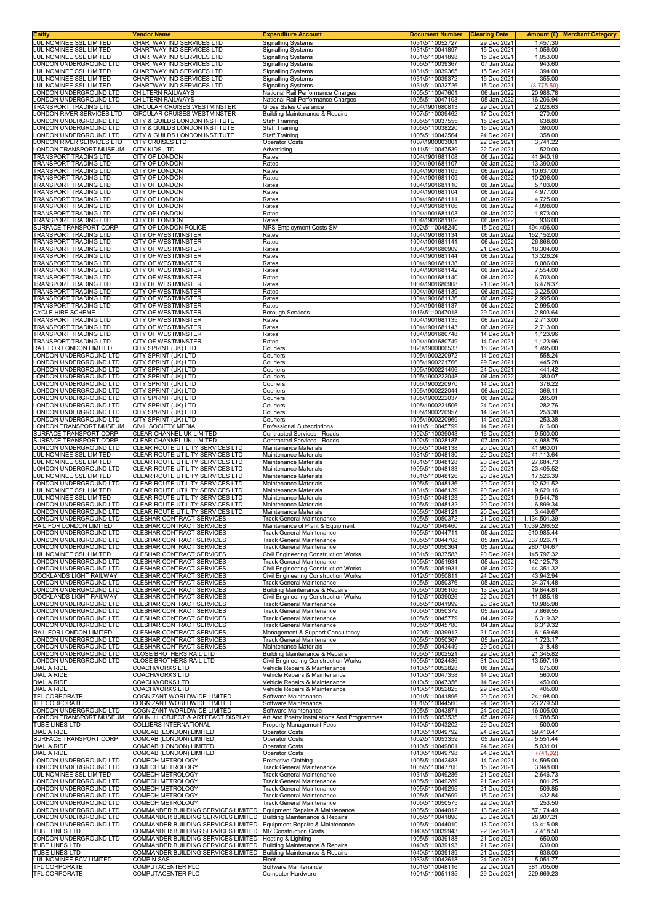| Entity<br>LUL NOMINEE SSL LIMITED                            | Vendor Name<br>CHARTWAY IND SERVICES LTD                                                                                                  | <b>Expenditure Account</b><br><b>Signalling Systems</b>                       | <b>Document Number</b><br>1031\5110052727 | <b>Clearing Date</b><br>29 Dec 2021 | 1,457.30                   | <b>Amount (£)</b> Merchant Category |
|--------------------------------------------------------------|-------------------------------------------------------------------------------------------------------------------------------------------|-------------------------------------------------------------------------------|-------------------------------------------|-------------------------------------|----------------------------|-------------------------------------|
| LUL NOMINEE SSL LIMITED                                      | CHARTWAY IND SERVICES LTD                                                                                                                 | <b>Signalling Systems</b>                                                     | 1031\5110041897                           | 15 Dec 2021                         | 1,056.00                   |                                     |
| LUL NOMINEE SSL LIMITED                                      | CHARTWAY IND SERVICES LTD                                                                                                                 | <b>Signalling Systems</b>                                                     | 1031\5110041898                           | 15 Dec 2021                         | 1,053.00                   |                                     |
| ONDON UNDERGROUND LTD<br>UL NOMINEE SSL LIMITED              | CHARTWAY IND SERVICES LTD<br>CHARTWAY IND SERVICES LTD                                                                                    | <b>Signalling Systems</b><br><b>Signalling Systems</b>                        | 1005\5110039367<br>1031\5110039365        | 07 Jan 2022<br>15 Dec 2021          | 943.60<br>394.00           |                                     |
| <b>UL NOMINEE SSL LIMITED</b><br>UL NOMINEE SSL LIMITED      | CHARTWAY IND SERVICES LTD                                                                                                                 | <b>Signalling Systems</b>                                                     | 1031\5110039372                           | 15 Dec 2021                         | 355.00                     |                                     |
| ONDON UNDERGROUND LTD                                        | CHARTWAY IND SERVICES LTD<br><b>CHILTERN RAILWAYS</b>                                                                                     | <b>Signalling Systems</b><br>National Rail Performance Charges                | 1031\5110032726<br>1005\5110047601        | 15 Dec 2021<br>06 Jan 2022          | (3,775.50)<br>20,988.78    |                                     |
| ONDON UNDERGROUND LTD<br>TRANSPORT TRADING LTD               | CHILTERN RAILWAYS<br>CIRCULAR CRUISES WESTMINSTER                                                                                         | National Rail Performance Charges<br>Gross Sales Clearance                    | 1005\5110047103<br>1004\1901680813        | 05 Jan 2022<br>29 Dec 2021          | 16,206.94<br>2,028.63      |                                     |
| ONDON RIVER SERVICES LTD                                     | CIRCULAR CRUISES WESTMINSTER                                                                                                              | <b>Building Maintenance &amp; Repairs</b>                                     | 1007\5110039462                           | 17 Dec 2021                         | 270.00                     |                                     |
| ONDON UNDERGROUND LTD<br>ONDON UNDERGROUND LTD.              | CITY & GUILDS LONDON INSTITUTE<br>CITY & GUILDS LONDON INSTITUTE                                                                          | Staff Training<br><b>Staff Training</b>                                       | 1005\5110037555<br>1005\5110038220        | 15 Dec 2021<br>15 Dec 2021          | 638.80<br>390.00           |                                     |
| ONDON UNDERGROUND LTD.                                       | CITY & GUILDS LONDON INSTITUTE                                                                                                            | <b>Staff Training</b>                                                         | 1005\5110042564                           | 24 Dec 2021                         | 358.00                     |                                     |
| ONDON RIVER SERVICES LTD<br>ONDON TRANSPORT MUSEUM           | <b>CITY CRUISES LTD</b><br>CITY KIDS LTD                                                                                                  | Operator Costs<br>Advertising                                                 | 1007\1900003001<br>1011\5110047539        | 22 Dec 2021<br>22 Dec 2021          | 3,741.22<br>520.00         |                                     |
| <b>FRANSPORT TRADING LTD</b>                                 | CITY OF LONDON                                                                                                                            | Rates                                                                         | 1004\1901681108                           | 06 Jan 2022                         | 41,940.16                  |                                     |
| <b>FRANSPORT TRADING LTD</b><br>TRANSPORT TRADING LTD        | CITY OF LONDON<br>CITY OF LONDON                                                                                                          | Rates<br>Rates                                                                | 1004\1901681107<br>1004\1901681105        | 06 Jan 2022<br>06 Jan 2022          | 13,390.00<br>10,637.00     |                                     |
| <b>TRANSPORT TRADING LTD</b>                                 | CITY OF LONDON                                                                                                                            | Rates                                                                         | 1004\1901681109                           | 06 Jan 2022                         | 10,206.00                  |                                     |
| TRANSPORT TRADING LTD<br>TRANSPORT TRADING LTD               | CITY OF LONDON<br>CITY OF LONDON                                                                                                          | Rates<br>Rates                                                                | 1004\1901681110<br>1004\1901681104        | 06 Jan 2022<br>06 Jan 2022          | 5,103.00<br>4,977.00       |                                     |
| TRANSPORT TRADING LTD                                        | <b>CITY OF LONDON</b>                                                                                                                     | Rates                                                                         | 1004\1901681111                           | 06 Jan 2022                         | 4,725.00                   |                                     |
| TRANSPORT TRADING LTD<br>TRANSPORT TRADING LTD               | CITY OF LONDON<br>CITY OF LONDON                                                                                                          | Rates<br>Rates                                                                | 1004\1901681106<br>1004\1901681103        | 06 Jan 2022<br>06 Jan 2022          | 4,098.00<br>1,873.00       |                                     |
| TRANSPORT TRADING LTD<br>SURFACE TRANSPORT CORP              | CITY OF LONDON<br>CITY OF LONDON POLICE                                                                                                   | Rates<br><b>MPS Employment Costs SM</b>                                       | 1004\1901681102<br>1002\5110048240        | 06 Jan 2022<br>15 Dec 2021          | 936.00<br>494,406.00       |                                     |
| TRANSPORT TRADING LTD                                        | CITY OF WESTMINSTER                                                                                                                       | Rates                                                                         | 1004\1901681134                           | 06 Jan 2022                         | 152,152.00                 |                                     |
| <b>FRANSPORT TRADING LTD</b><br><b>FRANSPORT TRADING LTD</b> | CITY OF WESTMINSTER<br><b>CITY OF WESTMINSTER</b>                                                                                         | Rates<br>Rates                                                                | 1004\1901681141<br>1004\1901680909        | 06 Jan 2022<br>21 Dec 2021          | 26,866.00<br>18,304.00     |                                     |
| <b>FRANSPORT TRADING LTD</b>                                 | CITY OF WESTMINSTER                                                                                                                       | Rates                                                                         | 1004\1901681144                           | 06 Jan 2022                         | 13,326.24                  |                                     |
| TRANSPORT TRADING LTD<br>TRANSPORT TRADING LTD               | CITY OF WESTMINSTER<br>CITY OF WESTMINSTER                                                                                                | Rates<br>Rates                                                                | 1004\1901681138<br>1004\1901681142        | 06 Jan 2022<br>06 Jan 2022          | 8,086.00<br>7,554.00       |                                     |
| TRANSPORT TRADING LTD                                        | CITY OF WESTMINSTER                                                                                                                       | Rates                                                                         | 1004\1901681140                           | 06 Jan 2022                         | 6,703.00                   |                                     |
| TRANSPORT TRADING LTD<br><b>FRANSPORT TRADING LTD</b>        | CITY OF WESTMINSTER<br>CITY OF WESTMINSTER                                                                                                | Rates<br>Rates                                                                | 1004\1901680908<br>1004\1901681139        | 21 Dec 2021<br>06 Jan 2022          | 6,478.37<br>3,225.00       |                                     |
| TRANSPORT TRADING LTD                                        | <b>CITY OF WESTMINSTER</b>                                                                                                                | Rates                                                                         | 1004\1901681136                           | 06 Jan 2022                         | 2,995.00                   |                                     |
| TRANSPORT TRADING LTD<br><b>CYCLE HIRE SCHEME</b>            | CITY OF WESTMINSTER<br><b>CITY OF WESTMINSTER</b>                                                                                         | Rates<br><b>Borough Services</b>                                              | 1004\1901681137<br>1016\5110047018        | 06 Jan 2022<br>29 Dec 2021          | 2,995.00<br>2,803.64       |                                     |
| TRANSPORT TRADING LTD<br>TRANSPORT TRADING LTD               | CITY OF WESTMINSTER<br><b>CITY OF WESTMINSTER</b>                                                                                         | Rates<br>Rates                                                                | 1004\1901681135<br>1004\1901681143        | 06 Jan 2022<br>06 Jan 2022          | 2,713.00<br>2,713.00       |                                     |
| <b>FRANSPORT TRADING LTD</b>                                 | CITY OF WESTMINSTER                                                                                                                       | Rates                                                                         | 1004\1901680748                           | 14 Dec 2021                         | 1,123.96                   |                                     |
| TRANSPORT TRADING LTD<br>RAIL FOR LONDON LIMITED             | CITY OF WESTMINSTER<br>CITY SPRINT (UK) LTD                                                                                               | Rates<br>Couriers                                                             | 1004\1901680749<br>1020\1900006533        | 14 Dec 2021<br>16 Dec 2021          | 1,123.96<br>1,495.00       |                                     |
| ONDON UNDERGROUND LTD                                        | CITY SPRINT (UK) LTD                                                                                                                      | Couriers                                                                      | 1005\1900220972                           | 14 Dec 2021                         | 558.24                     |                                     |
| ONDON UNDERGROUND LTD<br>ONDON UNDERGROUND LTD               | CITY SPRINT (UK) LTD<br>CITY SPRINT (UK) LTD                                                                                              | Couriers<br>Couriers                                                          | 1005\1900221766<br>1005\1900221496        | 29 Dec 2021<br>24 Dec 2021          | 445.28<br>441.42           |                                     |
| ONDON UNDERGROUND LTD                                        | CITY SPRINT (UK) LTD                                                                                                                      | Couriers                                                                      | 1005\1900222048                           | 06 Jan 2022                         | 380.07                     |                                     |
| ONDON UNDERGROUND LTD.<br>ONDON UNDERGROUND LTD              | CITY SPRINT (UK) LTD<br>CITY SPRINT (UK) LTD                                                                                              | Couriers<br>Couriers                                                          | 1005\1900220970<br>1005\1900222044        | 14 Dec 2021<br>06 Jan 2022          | 376.22<br>366.11           |                                     |
| ONDON UNDERGROUND LTD                                        | CITY SPRINT (UK) LTD                                                                                                                      | Couriers                                                                      | 1005\1900222037                           | 06 Jan 2022                         | 285.01                     |                                     |
| ONDON UNDERGROUND LTD.<br>ONDON UNDERGROUND LTD              | CITY SPRINT (UK) LTD<br>CITY SPRINT (UK) LTD                                                                                              | Couriers<br>Couriers                                                          | 1005\1900221506<br>1005\1900220957        | 24 Dec 2021<br>14 Dec 2021          | 282.76<br>253.38           |                                     |
| ONDON UNDERGROUND LTD<br>ONDON TRANSPORT MUSEUM              | CITY SPRINT (UK) LTD<br>CIVIL SOCIETY MEDIA                                                                                               | Couriers<br>Professional Subscriptions                                        | 1005\1900220969<br>1011\5110045799        | 14 Dec 2021<br>14 Dec 2021          | 253.38<br>616.00           |                                     |
| SURFACE TRANSPORT CORP                                       | CLEAR CHANNEL UK LIMITED                                                                                                                  | Contracted Services - Roads                                                   | 1002\5110039043                           | 16 Dec 2021                         | 9,500.00                   |                                     |
| SURFACE TRANSPORT CORP<br>ONDON UNDERGROUND LTD              | CLEAR CHANNEL UK LIMITED<br>CLEAR ROUTE UTILITY SERVICES LTD                                                                              | Contracted Services - Roads<br>Maintenance Materials                          | 1002\5110028187<br>1005\5110048138        | 07 Jan 2022<br>20 Dec 2021          | 4,988.75<br>41,960.01      |                                     |
| LUL NOMINEE SSL LIMITED                                      | CLEAR ROUTE UTILITY SERVICES LTD                                                                                                          | Maintenance Materials                                                         | 1031\5110048130                           | 20 Dec 2021                         | 41,113.64                  |                                     |
| LUL NOMINEE SSL LIMITED<br>ONDON UNDERGROUND LTD.            | CLEAR ROUTE UTILITY SERVICES LTD<br>CLEAR ROUTE UTILITY SERVICES LTD                                                                      | Maintenance Materials<br>Maintenance Materials                                | 1031\5110048128<br>1005\5110048133        | 20 Dec 2021<br>20 Dec 2021          | 27,684.73<br>23,405.52     |                                     |
| <b>UL NOMINEE SSL LIMITED</b>                                | CLEAR ROUTE UTILITY SERVICES LTD                                                                                                          | Maintenance Materials                                                         | 1031\5110048126                           | 20 Dec 2021                         | 17,526.39                  |                                     |
| ONDON UNDERGROUND LTD.<br>LUL NOMINEE SSL LIMITED            | CLEAR ROUTE UTILITY SERVICES LTD<br>CLEAR ROUTE UTILITY SERVICES LTD                                                                      | Maintenance Materials<br><b>Maintenance Materials</b>                         | 1005\5110048136<br>1031\5110048139        | 20 Dec 2021<br>20 Dec 2021          | 12,621.52<br>9,620.16      |                                     |
| <b>UL NOMINEE SSL LIMITED</b>                                | CLEAR ROUTE UTILITY SERVICES LTD                                                                                                          | Maintenance Materials                                                         | 1031\5110048123                           | 20 Dec 2021                         | 9,544.78                   |                                     |
| ONDON UNDERGROUND LTD<br>ONDON UNDERGROUND LTD               | CLEAR ROUTE UTILITY SERVICES LTD<br>CLEAR ROUTE UTILITY SERVICES LTD                                                                      | Maintenance Materials<br><b>Maintenance Materials</b>                         | 1005\5110048132<br>1005\5110048121        | 20 Dec 2021<br>20 Dec 2021          | 6,899.34<br>3,449.67       |                                     |
| ONDON UNDERGROUND LTD<br>RAIL FOR LONDON LIMITED             | CLESHAR CONTRACT SERVICES                                                                                                                 | <b>Track General Maintenance</b>                                              | 1005\5110050372                           | 21 Dec 2021<br>22 Dec 2021          | 1,134,501.39               |                                     |
| LONDON UNDERGROUND LTD                                       | CLESHAR CONTRACT SERVICES<br>CLESHAR CONTRACT SERVICES                                                                                    | Maintenance of Plant & Equipment<br><b>Track General Maintenance</b>          | 1020\5110049460<br>1005\5110044711        | 05 Jan 2022                         | 1,039,296.52<br>510,985.44 |                                     |
| LONDON UNDERGROUND LTD<br>ONDON UNDERGROUND LTD              | <b>CLESHAR CONTRACT SERVICES</b><br>CLESHAR CONTRACT SERVICES                                                                             | <b>Track General Maintenance</b><br><b>Track General Maintenance</b>          | 1005\5110044708<br>1005\5110050364        | 05 Jan 2022<br>05 Jan 2022          | 337,026.71<br>280,104.67   |                                     |
| LUL NOMINEE SSL LIMITED                                      | CLESHAR CONTRACT SERVICES                                                                                                                 | <b>Civil Engineering Construction Works</b>                                   | 1031\5110037583                           | 20 Dec 2021                         | 145,797.32                 |                                     |
| ONDON UNDERGROUND LTD<br>ONDON UNDERGROUND LTD               | CLESHAR CONTRACT SERVICES<br>CLESHAR CONTRACT SERVICES                                                                                    | <b>Track General Maintenance</b><br>Civil Engineering Construction Works      | 1005\5110051934<br>1005\5110051931        | 05 Jan 2022<br>06 Jan 2022          | 142, 125.73<br>44,351.32   |                                     |
| DOCKLANDS LIGHT RAILWAY                                      | CLESHAR CONTRACT SERVICES                                                                                                                 | <b>Civil Engineering Construction Works</b>                                   | 1012\5110050811                           | 24 Dec 2021                         | 43,942.94                  |                                     |
| ONDON UNDERGROUND LTD<br>ONDON UNDERGROUND LTD               | CLESHAR CONTRACT SERVICES<br>CLESHAR CONTRACT SERVICES                                                                                    | <b>Track General Maintenance</b><br><b>Building Maintenance &amp; Repairs</b> | 1005\5110050376<br>1005\5110036106        | 05 Jan 2022<br>13 Dec 2021          | 34,374.48<br>19,844.81     |                                     |
| DOCKLANDS LIGHT RAILWAY                                      | CLESHAR CONTRACT SERVICES                                                                                                                 | Civil Engineering Construction Works                                          | 1012\5110039026                           | 22 Dec 2021                         | 11,085.18                  |                                     |
| ONDON UNDERGROUND LTD<br>ONDON UNDERGROUND LTD               | CLESHAR CONTRACT SERVICES<br><b>CLESHAR CONTRACT SERVICES</b>                                                                             | Track General Maintenance<br>Track General Maintenance                        | 1005\5110041999<br>1005\5110050379        | 23 Dec 2021<br>05 Jan 2022          | 10,985.98<br>7,869.55      |                                     |
| ONDON UNDERGROUND LTD<br>LONDON UNDERGROUND LTD              | CLESHAR CONTRACT SERVICES<br>CLESHAR CONTRACT SERVICES                                                                                    | Track General Maintenance<br><b>Track General Maintenance</b>                 | 1005\5110045779<br>1005\5110045780        | 04 Jan 2022<br>04 Jan 2022          | 6,319.32<br>6,319.32       |                                     |
| RAIL FOR LONDON LIMITED                                      | CLESHAR CONTRACT SERVICES                                                                                                                 | Management & Support Consultancy                                              | 1020\5110039912                           | 21 Dec 2021                         | 6,169.68                   |                                     |
| LONDON UNDERGROUND LTD<br>ONDON UNDERGROUND LTD              | CLESHAR CONTRACT SERVICES<br>CLESHAR CONTRACT SERVICES                                                                                    | <b>Track General Maintenance</b><br>Maintenance Materials                     | 1005\5110050367<br>1005\5110043449        | 05 Jan 2022<br>29 Dec 2021          | 1,723.17<br>318.48         |                                     |
| ONDON UNDERGROUND LTD                                        | CLOSE BROTHERS RAIL LTD                                                                                                                   | <b>Building Maintenance &amp; Repairs</b>                                     | 1005\5110002521                           | 29 Dec 2021                         | 21,345.82                  |                                     |
| ONDON UNDERGROUND LTD<br>DIAL A RIDE                         | CLOSE BROTHERS RAIL LTD<br><b>COACHWORKS LTD</b>                                                                                          | Civil Engineering Construction Works<br>Vehicle Repairs & Maintenance         | 1005\5110024436<br>1010\5110052828        | 31 Dec 2021<br>06 Jan 2022          | 13,597.19<br>675.00        |                                     |
| DIAL A RIDE<br>DIAL A RIDE                                   | COACHWORKS LTD<br>COACHWORKS LTD                                                                                                          | Vehicle Repairs & Maintenance<br>Vehicle Repairs & Maintenance                | 1010\5110047358<br>1010\5110047356        | 14 Dec 2021<br>14 Dec 2021          | 560.00<br>450.00           |                                     |
| DIAL A RIDE                                                  | <b>COACHWORKS LTD</b>                                                                                                                     | Vehicle Repairs & Maintenance                                                 | 1010\5110052825                           | 29 Dec 2021                         | 405.00                     |                                     |
| TFL CORPORATE<br>TFL CORPORATE                               | COGNIZANT WORLDWIDE LIMITED<br>COGNIZANT WORLDWIDE LIMITED                                                                                | Software Maintenance<br>Software Maintenance                                  | 1001\5110041896<br>1001\5110044560        | 20 Dec 2021<br>24 Dec 2021          | 24,198.00<br>23,279.50     |                                     |
| LONDON UNDERGROUND LTD                                       | COGNIZANT WORLDWIDE LIMITED                                                                                                               | Software Maintenance                                                          | 1005\5110043871                           | 24 Dec 2021                         | 16,005.00                  |                                     |
| ONDON TRANSPORT MUSEUM<br>TUBE LINES LTD                     | COLIN J L OBJECT & ARTEFACT DISPLAY<br>COLLIERS INTERNATIONAL                                                                             | Art And Poetry Installations And Programmes<br>Property Management Fees       | 1011\5110053535<br>1040\5110043202        | 05 Jan 2022<br>29 Dec 2021          | 1,788.50<br>500.00         |                                     |
| DIAL A RIDE                                                  | COMCAB (LONDON) LIMITED                                                                                                                   | <b>Operator Costs</b>                                                         | 1010\5110049792                           | 24 Dec 2021                         | 59,410.47                  |                                     |
| SURFACE TRANSPORT CORP<br>DIAL A RIDE                        | COMCAB (LONDON) LIMITED<br>COMCAB (LONDON) LIMITED                                                                                        | Operator Costs<br>Operator Costs                                              | 1002\5110053359<br>1010\5110049801        | 05 Jan 2022<br>24 Dec 2021          | 5,551.44<br>5,031.01       |                                     |
| DIAL A RIDE<br>ONDON UNDERGROUND LTD                         | COMCAB (LONDON) LIMITED<br>COMECH METROLOGY                                                                                               | Operator Costs<br>Protective Clothing                                         | 1010\5110049798<br>1005\5110042483        | 24 Dec 2021<br>14 Dec 2021          | (741.02)<br>14,595.00      |                                     |
| ONDON UNDERGROUND LTD                                        | <b>COMECH METROLOGY</b>                                                                                                                   | <b>Track General Maintenance</b>                                              | 1005\5110047700                           | 15 Dec 2021                         | 3,948.00                   |                                     |
| <b>UL NOMINEE SSL LIMITED</b><br>ONDON UNDERGROUND LTD       | <b>COMECH METROLOGY</b><br>COMECH METROLOGY                                                                                               | Track General Maintenance<br><b>Track General Maintenance</b>                 | 1031\5110049286<br>1005\5110049289        | 21 Dec 2021<br>21 Dec 2021          | 2,646.73<br>801.25         |                                     |
| ONDON UNDERGROUND LTD                                        | COMECH METROLOGY                                                                                                                          | Track General Maintenance                                                     | 1005\5110049295                           | 21 Dec 2021                         | 509.85                     |                                     |
| ONDON UNDERGROUND LTD<br>ONDON UNDERGROUND LTD               | COMECH METROLOGY<br><b>COMECH METROLOGY</b>                                                                                               | Track General Maintenance<br><b>Track General Maintenance</b>                 | 1005\5110047699<br>1005\5110050575        | 15 Dec 2021<br>22 Dec 2021          | 432.84<br>253.50           |                                     |
| ONDON UNDERGROUND LTD                                        | COMMANDER BUILDING SERVICES LIMITED                                                                                                       | Equipment Repairs & Maintenance                                               | 1005\5110044012                           | 13 Dec 2021                         | 57,174.49                  |                                     |
| ONDON UNDERGROUND LTD<br>ONDON UNDERGROUND LTD.              | COMMANDER BUILDING SERVICES LIMITED Building Maintenance & Repairs<br>COMMANDER BUILDING SERVICES LIMITED Equipment Repairs & Maintenance |                                                                               | 1005\5110041890<br>1005\5110044010        | 23 Dec 2021<br>13 Dec 2021          | 28,907.21<br>13,415.08     |                                     |
| TUBE LINES LTD<br>LONDON UNDERGROUND LTD                     | COMMANDER BUILDING SERVICES LIMITED   MR Construction Costs<br>COMMANDER BUILDING SERVICES LIMITED   Heating & Lighting                   |                                                                               | 1040\5110039943<br>1005\5110039188        | 22 Dec 2021<br>21 Dec 2021          | 7,418.50<br>650.00         |                                     |
| TUBE LINES LTD                                               | COMMANDER BUILDING SERVICES LIMITED   Building Maintenance & Repairs                                                                      |                                                                               | 1040\5110039193                           | 21 Dec 2021                         | 639.00                     |                                     |
| TUBE LINES LTD<br>LUL NOMINEE BCV LIMITED                    | COMMANDER BUILDING SERVICES LIMITED Building Maintenance & Repairs<br><b>COMPIN SAS</b>                                                   | Fleet                                                                         | 1040\5110039189<br>1033\5110042618        | 21 Dec 2021<br>24 Dec 2021          | 636.00<br>5,051.77         |                                     |
| TFL CORPORATE                                                | <b>COMPUTACENTER PLC</b>                                                                                                                  | Software Maintenance                                                          | 1001\5110048116                           | 22 Dec 2021                         | 381,705.06                 |                                     |
| TFL CORPORATE                                                | COMPUTACENTER PLC                                                                                                                         | Computer Hardware                                                             | 1001\5110051135                           | 29 Dec 2021                         | 229,669.23                 |                                     |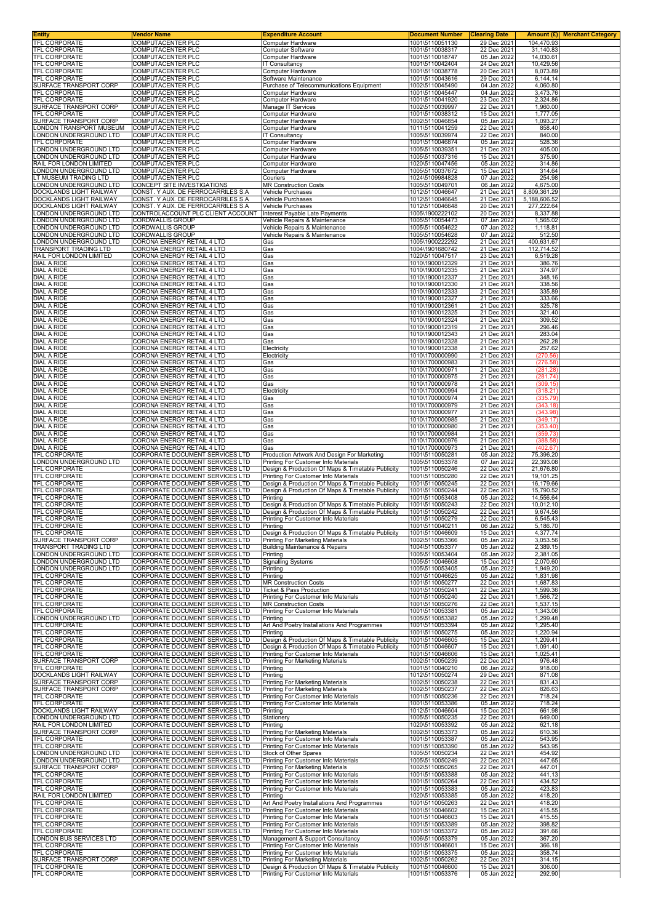|                                                                 | Vendor Name<br>COMPUTACENTER PLC                                         | <b>Expenditure Account</b><br>Computer Hardware                                           | <b>Document Number</b><br>1001\5110051130 | <b>Clearing Date</b><br>29 Dec 2021 | 104,470.93                   | <b>Amount (£) Merchant Category</b> |
|-----------------------------------------------------------------|--------------------------------------------------------------------------|-------------------------------------------------------------------------------------------|-------------------------------------------|-------------------------------------|------------------------------|-------------------------------------|
| TFL CORPORATE<br>TFL CORPORATE                                  | COMPUTACENTER PLC                                                        | Computer Software                                                                         | 1001\5110038317                           | 22 Dec 2021                         | 31,140.83                    |                                     |
| TFL CORPORATE                                                   | COMPUTACENTER PLC                                                        | Computer Hardware                                                                         | 1001\5110018747                           | 05 Jan 2022                         | 14,030.61                    |                                     |
| TFL CORPORATE<br>TFL CORPORATE                                  | COMPUTACENTER PLC<br>COMPUTACENTER PLC                                   | <b>IT Consultancy</b><br>Computer Hardware                                                | 1001\5110042404<br>1001\5110038778        | 24 Dec 2021<br>20 Dec 2021          | 10,429.56<br>8,073.89        |                                     |
| <b>TFL CORPORATE</b>                                            | COMPUTACENTER PLC                                                        | Software Maintenance                                                                      | 1001\5110043616                           | 29 Dec 2021                         | 6,144.14                     |                                     |
| SURFACE TRANSPORT CORP                                          | COMPUTACENTER PLC                                                        | Purchase of Telecommunications Equipment                                                  | 1002\5110045490                           | 04 Jan 2022                         | 4,060.80                     |                                     |
| TFL CORPORATE<br>TFL CORPORATE                                  | COMPUTACENTER PLC<br>COMPUTACENTER PLC                                   | Computer Hardware<br>Computer Hardware                                                    | 1001\5110045447<br>1001\5110041920        | 04 Jan 2022<br>23 Dec 2021          | 3,473.76<br>2,324.86         |                                     |
| SURFACE TRANSPORT CORP                                          | COMPUTACENTER PLC                                                        | Manage IT Services                                                                        | 1002\5110039997                           | 22 Dec 2021                         | 1,960.00                     |                                     |
| TFL CORPORATE<br>SURFACE TRANSPORT CORP                         | COMPUTACENTER PLC<br>COMPUTACENTER PLC                                   | Computer Hardware<br>Computer Hardware                                                    | 1001\5110038312<br>1002\5110046854        | 15 Dec 2021<br>05 Jan 2022          | 1,777.05<br>1,093.27         |                                     |
| ONDON TRANSPORT MUSEUM                                          | COMPUTACENTER PLC                                                        | Computer Hardware                                                                         | 1011\5110041259                           | 22 Dec 2021                         | 858.40                       |                                     |
| ONDON UNDERGROUND LTD                                           | COMPUTACENTER PLC                                                        | <b>IT Consultancy</b>                                                                     | 1005\5110039974                           | 22 Dec 2021                         | 840.00                       |                                     |
| TFL CORPORATE<br>ONDON UNDERGROUND LTD                          | <b>COMPUTACENTER PLC</b><br><b>COMPUTACENTER PLC</b>                     | Computer Hardware<br>Computer Hardware                                                    | 1001\5110046874<br>1005\5110039351        | 05 Jan 2022<br>21 Dec 2021          | 528.36<br>405.00             |                                     |
| ONDON UNDERGROUND LTD                                           | COMPUTACENTER PLC                                                        | Computer Hardware                                                                         | 1005\5110037316                           | 15 Dec 2021                         | 375.90                       |                                     |
| RAIL FOR LONDON LIMITED<br>ONDON UNDERGROUND LTD                | COMPUTACENTER PLC<br><b>COMPUTACENTER PLC</b>                            | Computer Hardware<br>Computer Hardware                                                    | 1020\5110047456<br>1005\5110037672        | 05 Jan 2022<br>15 Dec 2021          | 314.86<br>314.64             |                                     |
| T MUSEUM TRADING LTD                                            | COMPUTACENTER PLC                                                        | Couriers                                                                                  | 1024\5109984828                           | 07 Jan 2022                         | 254.98                       |                                     |
| LONDON UNDERGROUND LTD                                          | CONCEPT SITE INVESTIGATIONS                                              | <b>MR Construction Costs</b>                                                              | 1005\5110049701                           | 06 Jan 2022                         | 4,675.00                     |                                     |
| DOCKLANDS LIGHT RAILWAY<br>DOCKLANDS LIGHT RAILWAY              | CONST. Y AUX. DE FERROCARRILES S.A<br>CONST. Y AUX. DE FERROCARRILES S.A | Vehicle Purchases<br>Vehicle Purchases                                                    | 1012\5110046647<br>1012\5110046645        | 21 Dec 2021<br>21 Dec 2021          | 8,809,361.29<br>5,188,606.52 |                                     |
| DOCKLANDS LIGHT RAILWAY                                         | CONST. Y AUX. DE FERROCARRILES S.A                                       | Vehicle Purchases                                                                         | 1012\5110046648                           | 20 Dec 2021                         | 277,222.64                   |                                     |
| ONDON UNDERGROUND LTD<br>ONDON UNDERGROUND LTD                  | CONTROLACCOUNT PLC CLIENT ACCOUNT<br><b>CORDWALLIS GROUP</b>             | Interest Payable Late Payments<br>Vehicle Repairs & Maintenance                           | 1005\1900222102<br>1005\5110054473        | 20 Dec 2021<br>07 Jan 2022          | 8,337.88<br>1,565.02         |                                     |
| ONDON UNDERGROUND LTD.                                          | <b>CORDWALLIS GROUP</b>                                                  | Vehicle Repairs & Maintenance                                                             | 1005\5110054622                           | 07 Jan 2022                         | 1,118.81                     |                                     |
| ONDON UNDERGROUND LTD                                           | <b>CORDWALLIS GROUP</b>                                                  | Vehicle Repairs & Maintenance                                                             | 1005\5110054628                           | 07 Jan 2022                         | 512.50                       |                                     |
| ONDON UNDERGROUND LTD<br><b>FRANSPORT TRADING LTD</b>           | <b>CORONA ENERGY RETAIL 4 LTD</b><br>CORONA ENERGY RETAIL 4 LTD          | Gas<br>Gas                                                                                | 1005\1900222292<br>1004\1901680742        | 21 Dec 2021<br>21 Dec 2021          | 400,631.67<br>112,714.52     |                                     |
| RAIL FOR LONDON LIMITED                                         | CORONA ENERGY RETAIL 4 LTD                                               | Gas                                                                                       | 1020\5110047517                           | 23 Dec 2021                         | 6,519.28                     |                                     |
| DIAL A RIDE<br>DIAL A RIDE                                      | CORONA ENERGY RETAIL 4 LTD<br>CORONA ENERGY RETAIL 4 LTD                 | Gas<br>Gas                                                                                | 1010\1900012329<br>1010\1900012335        | 21 Dec 2021<br>21 Dec 2021          | 386.76<br>374.97             |                                     |
| <b>DIAL A RIDE</b>                                              | CORONA ENERGY RETAIL 4 LTD                                               | Gas                                                                                       | 1010\1900012337                           | 21 Dec 2021                         | 348.16                       |                                     |
| DIAL A RIDE                                                     | CORONA ENERGY RETAIL 4 LTD                                               | Gas                                                                                       | 1010\1900012330                           | 21 Dec 2021                         | 338.56                       |                                     |
| <b>DIAL A RIDE</b><br><b>DIAL A RIDE</b>                        | CORONA ENERGY RETAIL 4 LTD<br>CORONA ENERGY RETAIL 4 LTD                 | Gas<br>Gas                                                                                | 1010\1900012333<br>1010\1900012327        | 21 Dec 2021<br>21 Dec 2021          | 335.89<br>333.66             |                                     |
| DIAL A RIDE                                                     | CORONA ENERGY RETAIL 4 LTD                                               | Gas                                                                                       | 1010\1900012361                           | 21 Dec 2021                         | 325.78                       |                                     |
| <b>DIAL A RIDE</b>                                              | CORONA ENERGY RETAIL 4 LTD                                               | Gas                                                                                       | 1010\1900012325                           | 21 Dec 2021                         | 321.40                       |                                     |
| <b>DIAL A RIDE</b><br>DIAL A RIDE                               | CORONA ENERGY RETAIL 4 LTD<br>CORONA ENERGY RETAIL 4 LTD                 | Gas<br>Gas                                                                                | 1010\1900012324<br>1010\1900012319        | 21 Dec 2021<br>21 Dec 2021          | 309.52<br>296.46             |                                     |
| DIAL A RIDE                                                     | CORONA ENERGY RETAIL 4 LTD                                               | Gas                                                                                       | 1010\1900012343                           | 21 Dec 2021                         | 283.04                       |                                     |
| <b>DIAL A RIDE</b><br><b>DIAL A RIDE</b>                        | CORONA ENERGY RETAIL 4 LTD<br>CORONA ENERGY RETAIL 4 LTD                 | Gas<br>Electricity                                                                        | 1010\1900012328<br>1010\1900012338        | 21 Dec 2021<br>21 Dec 2021          | 262.28<br>257.62             |                                     |
| DIAL A RIDE                                                     | CORONA ENERGY RETAIL 4 LTD                                               | Electricity                                                                               | 1010\1700000990                           | 21 Dec 2021                         | (270.56)                     |                                     |
| <b>DIAL A RIDE</b>                                              | CORONA ENERGY RETAIL 4 LTD                                               | Gas                                                                                       | 1010\1700000983                           | 21 Dec 2021                         | (276.58)                     |                                     |
| DIAL A RIDE<br>DIAL A RIDE                                      | CORONA ENERGY RETAIL 4 LTD<br>CORONA ENERGY RETAIL 4 LTD                 | Gas<br>Gas                                                                                | 1010\1700000971<br>1010\1700000975        | 21 Dec 2021<br>21 Dec 2021          | (281.28)<br>(281.74)         |                                     |
| DIAL A RIDE                                                     | CORONA ENERGY RETAIL 4 LTD                                               | Gas                                                                                       | 1010\1700000978                           | 21 Dec 2021                         | (309.15)                     |                                     |
| DIAL A RIDE<br>DIAL A RIDE                                      | CORONA ENERGY RETAIL 4 LTD<br>CORONA ENERGY RETAIL 4 LTD                 | Electricity<br>Gas                                                                        | 1010\1700000994<br>1010\1700000974        | 21 Dec 2021<br>21 Dec 2021          | (318.21)<br>(335.79)         |                                     |
| DIAL A RIDE                                                     | CORONA ENERGY RETAIL 4 LTD                                               | Gas                                                                                       | 1010\1700000979                           | 21 Dec 2021                         | (343.18)                     |                                     |
| DIAL A RIDE                                                     | CORONA ENERGY RETAIL 4 LTD                                               | Gas                                                                                       | 1010\1700000977                           | 21 Dec 2021                         | (343.98)                     |                                     |
| DIAL A RIDE<br>DIAL A RIDE                                      | CORONA ENERGY RETAIL 4 LTD<br>CORONA ENERGY RETAIL 4 LTD                 | Gas<br>Gas                                                                                | 1010\1700000985<br>1010\1700000980        | 21 Dec 2021<br>21 Dec 2021          | (349.17)<br>(353.40)         |                                     |
| DIAL A RIDE                                                     | CORONA ENERGY RETAIL 4 LTD                                               | Gas                                                                                       | 1010\1700000984                           | 21 Dec 2021                         | (359.73)                     |                                     |
| <b>DIAL A RIDE</b><br>DIAL A RIDE                               | CORONA ENERGY RETAIL 4 LTD<br>CORONA ENERGY RETAIL 4 LTD                 | Gas<br>Gas                                                                                | 1010\1700000976<br>1010\1700000973        | 21 Dec 2021<br>21 Dec 2021          | (388.58)<br>(402.67)         |                                     |
| TFL CORPORATE                                                   | CORPORATE DOCUMENT SERVICES LTD                                          | Production Artwork And Design For Marketing                                               | 1001\5110050281                           | 05 Jan 2022                         | 75,396.20                    |                                     |
| LONDON UNDERGROUND LTD                                          | CORPORATE DOCUMENT SERVICES LTD                                          | Printing For Customer Info Materials                                                      | 1005\5110053378                           | 07 Jan 2022                         | 22,393.08                    |                                     |
| TFL CORPORATE<br>TFL CORPORATE                                  | CORPORATE DOCUMENT SERVICES LTD<br>CORPORATE DOCUMENT SERVICES LTD       | Design & Production Of Maps & Timetable Publicity<br>Printing For Customer Info Materials | 1001\5110050246<br>1001\5110050280        | 22 Dec 2021<br>22 Dec 2021          | 21,676.80<br>19,101.25       |                                     |
| TFL CORPORATE                                                   | CORPORATE DOCUMENT SERVICES LTD                                          | Design & Production Of Maps & Timetable Publicity                                         | 1001\5110050245                           | 22 Dec 2021                         | 16,179.66                    |                                     |
| TFL CORPORATE<br>TFL CORPORATE                                  | CORPORATE DOCUMENT SERVICES LTD<br>CORPORATE DOCUMENT SERVICES LTD       | Design & Production Of Maps & Timetable Publicity<br>Printing                             | 1001\5110050244<br>1001\5110053408        | 22 Dec 2021<br>05 Jan 2022          | 15.790.52<br>14,556.64       |                                     |
| TFL CORPORATE                                                   | CORPORATE DOCUMENT SERVICES LTD                                          | Design & Production Of Maps & Timetable Publicity                                         | 1001\5110050243                           | 22 Dec 2021                         | 10,012.10                    |                                     |
| <b>TFL CORPORATE</b>                                            | CORPORATE DOCUMENT SERVICES LTD                                          | Design & Production Of Maps & Timetable Publicity                                         | 1001\5110050242                           | 22 Dec 2021                         | 9,674.56                     |                                     |
| TFL CORPORATE<br>IFL CORPORATE                                  | CORPORATE DOCUMENT SERVICES LTD<br>CORPORATE DOCUMENT SERVICES LTD       | Printing For Customer Info Materials<br>Printing                                          | 1001\5110050279<br>1001\5110040211        | 22 Dec 2021<br>06 Jan 2022          | 6,545.43<br>5,186.70         |                                     |
| TFL CORPORATE                                                   | CORPORATE DOCUMENT SERVICES LTD                                          | Design & Production Of Maps & Timetable Publicity                                         | 1001\5110046609                           | 15 Dec 2021                         |                              |                                     |
| SURFACE TRANSPORT CORP<br>TRANSPORT TRADING LTD                 | CORPORATE DOCUMENT SERVICES LTD                                          | Printing For Marketing Materials                                                          |                                           |                                     | 4,377.74                     |                                     |
|                                                                 |                                                                          |                                                                                           | 1002\5110053366                           | 05 Jan 2022                         | 3,053.56                     |                                     |
| LONDON UNDERGROUND LTD                                          | CORPORATE DOCUMENT SERVICES LTD<br>CORPORATE DOCUMENT SERVICES LTD       | <b>Building Maintenance &amp; Repairs</b><br>Printing                                     | 1004\5110053377<br>1005\5110053404        | 05 Jan 2022<br>05 Jan 2022          | 2,389.15<br>2,381.05         |                                     |
| ONDON UNDERGROUND LTD                                           | CORPORATE DOCUMENT SERVICES LTD                                          | <b>Signalling Systems</b>                                                                 | 1005\5110046608                           | 15 Dec 2021                         | 2,070.60                     |                                     |
| ONDON UNDERGROUND LTD                                           | CORPORATE DOCUMENT SERVICES LTD                                          | Printing                                                                                  | 1005\5110053405                           | 05 Jan 2022                         | 1,949.20                     |                                     |
| TFL CORPORATE<br>TFL CORPORATE                                  | CORPORATE DOCUMENT SERVICES LTD<br>CORPORATE DOCUMENT SERVICES LTD       | Printing<br><b>MR Construction Costs</b>                                                  | 1001\5110046625<br>1001\5110050277        | 05 Jan 2022<br>22 Dec 2021          | 1,831.98<br>1,687.83         |                                     |
| TFL CORPORATE                                                   | CORPORATE DOCUMENT SERVICES LTD                                          | Ticket & Pass Production                                                                  | 1001\5110050241                           | 22 Dec 2021                         | 1,599.36                     |                                     |
| TFL CORPORATE<br>TFL CORPORATE                                  | CORPORATE DOCUMENT SERVICES LTD<br>CORPORATE DOCUMENT SERVICES LTD       | Printing For Customer Info Materials<br><b>MR Construction Costs</b>                      | 1001\5110050240<br>1001\5110050276        | 22 Dec 2021<br>22 Dec 2021          | 1,566.72<br>1,537.15         |                                     |
| TFL CORPORATE                                                   | CORPORATE DOCUMENT SERVICES LTD                                          | Printing For Customer Info Materials                                                      | 1001\5110053381                           | 05 Jan 2022                         | 1,343.06                     |                                     |
| LONDON UNDERGROUND LTD<br>TFL CORPORATE                         | CORPORATE DOCUMENT SERVICES LTD<br>CORPORATE DOCUMENT SERVICES LTD       | Printing<br>Art And Poetry Installations And Programmes                                   | 1005\5110053382                           | 05 Jan 2022                         | 1,299.48<br>1,295.40         |                                     |
|                                                                 | CORPORATE DOCUMENT SERVICES LTD                                          | Printing                                                                                  | 1001\5110053394<br>1001\5110050275        | 05 Jan 2022<br>05 Jan 2022          | 1,220.94                     |                                     |
| <b>TFL CORPORATE</b>                                            | CORPORATE DOCUMENT SERVICES LTD                                          | Design & Production Of Maps & Timetable Publicity                                         | 1001\5110046605                           | 15 Dec 2021                         | 1,209.41                     |                                     |
| <b>TFL CORPORATE</b><br>TFL CORPORATE                           | CORPORATE DOCUMENT SERVICES LTD<br>CORPORATE DOCUMENT SERVICES LTD       | Design & Production Of Maps & Timetable Publicity<br>Printing For Customer Info Materials | 1001\5110046607<br>1001\5110046606        | 15 Dec 2021<br>15 Dec 2021          | 1,091.40<br>1,025.41         |                                     |
| SURFACE TRANSPORT CORP                                          | CORPORATE DOCUMENT SERVICES LTD                                          | Printing For Marketing Materials                                                          | 1002\5110050239                           | 22 Dec 2021                         | 976.48                       |                                     |
| TFL CORPORATE<br>DOCKLANDS LIGHT RAILWAY                        | CORPORATE DOCUMENT SERVICES LTD<br>CORPORATE DOCUMENT SERVICES LTD       | Printing<br>Printing                                                                      | 1001\5110040210<br>1012\5110050274        | 06 Jan 2022<br>29 Dec 2021          | 918.00<br>871.08             |                                     |
| SURFACE TRANSPORT CORP                                          | CORPORATE DOCUMENT SERVICES LTD                                          | Printing For Marketing Materials                                                          | 1002\5110050238                           | 22 Dec 2021                         | 831.43                       |                                     |
| SURFACE TRANSPORT CORP                                          | CORPORATE DOCUMENT SERVICES LTD                                          | Printing For Marketing Materials                                                          | 1002\5110050237                           | 22 Dec 2021                         | 826.63                       |                                     |
| TFL CORPORATE<br>TFL CORPORATE                                  | CORPORATE DOCUMENT SERVICES LTD<br>CORPORATE DOCUMENT SERVICES LTD       | Printing For Customer Info Materials<br>Printing For Customer Info Materials              | 1001\5110050236<br>1001\5110053386        | 22 Dec 2021<br>05 Jan 2022          | 718.24<br>718.24             |                                     |
| DOCKLANDS LIGHT RAILWAY                                         | CORPORATE DOCUMENT SERVICES LTD                                          | Printing                                                                                  | 1012\5110046604                           | 15 Dec 2021                         | 661.98                       |                                     |
| LONDON UNDERGROUND LTD<br>RAIL FOR LONDON LIMITED               | CORPORATE DOCUMENT SERVICES LTD<br>CORPORATE DOCUMENT SERVICES LTD       | Stationery<br>Printing                                                                    | 1005\5110050235<br>1020\5110053392        | 22 Dec 2021<br>05 Jan 2022          | 649.00<br>621.18             |                                     |
| SURFACE TRANSPORT CORP                                          | CORPORATE DOCUMENT SERVICES LTD                                          | <b>Printing For Marketing Materials</b>                                                   | 1002\5110053373                           | 05 Jan 2022                         | 610.36                       |                                     |
| TFL CORPORATE                                                   | CORPORATE DOCUMENT SERVICES LTD                                          | Printing For Customer Info Materials                                                      | 1001\5110053387                           | 05 Jan 2022                         | 543.95                       |                                     |
| TFL CORPORATE<br>LONDON UNDERGROUND LTD                         | CORPORATE DOCUMENT SERVICES LTD<br>CORPORATE DOCUMENT SERVICES LTD       | Printing For Customer Info Materials<br>Stock of Other Spares                             | 1001\5110053390<br>1005\5110050234        | 05 Jan 2022<br>22 Dec 2021          | 543.95<br>454.92             |                                     |
| ONDON UNDERGROUND LTD                                           | CORPORATE DOCUMENT SERVICES LTD                                          | Printing For Customer Info Materials                                                      | 1005\5110050249                           | 22 Dec 2021                         | 447.65                       |                                     |
| SURFACE TRANSPORT CORP<br>TFL CORPORATE                         | CORPORATE DOCUMENT SERVICES LTD<br>CORPORATE DOCUMENT SERVICES LTD       | Printing For Marketing Materials<br>Printing For Customer Info Materials                  | 1002\5110050265<br>1001\5110053388        | 22 Dec 2021<br>05 Jan 2022          | 447.01<br>441.13             |                                     |
| <b>TFL CORPORATE</b>                                            | CORPORATE DOCUMENT SERVICES LTD                                          | Printing For Customer Info Materials                                                      | 1001\5110050264                           | 22 Dec 2021                         | 434.52                       |                                     |
| TFL CORPORATE                                                   | CORPORATE DOCUMENT SERVICES LTD                                          | Printing For Customer Info Materials                                                      | 1001\5110053383                           | 05 Jan 2022                         | 423.83                       |                                     |
| RAIL FOR LONDON LIMITED<br>TFL CORPORATE                        | CORPORATE DOCUMENT SERVICES LTD<br>CORPORATE DOCUMENT SERVICES LTD       | Printing<br>Art And Poetry Installations And Programmes                                   | 1020\5110053385<br>1001\5110050263        | 05 Jan 2022<br>22 Dec 2021          | 418.20<br>418.20             |                                     |
|                                                                 | CORPORATE DOCUMENT SERVICES LTD                                          | Printing For Customer Info Materials                                                      | 1001\5110046602                           | 15 Dec 2021                         | 415.55                       |                                     |
| TFL CORPORATE<br>TFL CORPORATE                                  | CORPORATE DOCUMENT SERVICES LTD<br>CORPORATE DOCUMENT SERVICES LTD       | Printing For Customer Info Materials<br>Printing For Customer Info Materials              | 1001\5110046603<br>1001\5110053389        | 15 Dec 2021<br>05 Jan 2022          | 415.55<br>398.82             |                                     |
| TFL CORPORATE                                                   | CORPORATE DOCUMENT SERVICES LTD                                          | Printing For Customer Info Materials                                                      | 1001\5110053372                           | 05 Jan 2022                         | 391.66                       |                                     |
| <b>TFL CORPORATE</b><br>TFL CORPORATE<br>ONDON BUS SERVICES LTD | CORPORATE DOCUMENT SERVICES LTD                                          | Management & Support Consultancy                                                          | 1006\5110053379                           | 05 Jan 2022                         | 367.20                       |                                     |
| TFL CORPORATE<br>TFL CORPORATE                                  | CORPORATE DOCUMENT SERVICES LTD<br>CORPORATE DOCUMENT SERVICES LTD       | Printing For Customer Info Materials<br>Printing For Customer Info Materials              | 1001\5110046601<br>1001\5110053375        | 15 Dec 2021<br>05 Jan 2022          | 366.18<br>358.74             |                                     |
| SURFACE TRANSPORT CORP<br>TFL CORPORATE                         | CORPORATE DOCUMENT SERVICES LTD<br>CORPORATE DOCUMENT SERVICES LTD       | Printing For Marketing Materials<br>Design & Production Of Maps & Timetable Publicity     | 1002\5110050262<br>1001\5110046600        | 22 Dec 2021<br>15 Dec 2021          | 314.15<br>306.00             |                                     |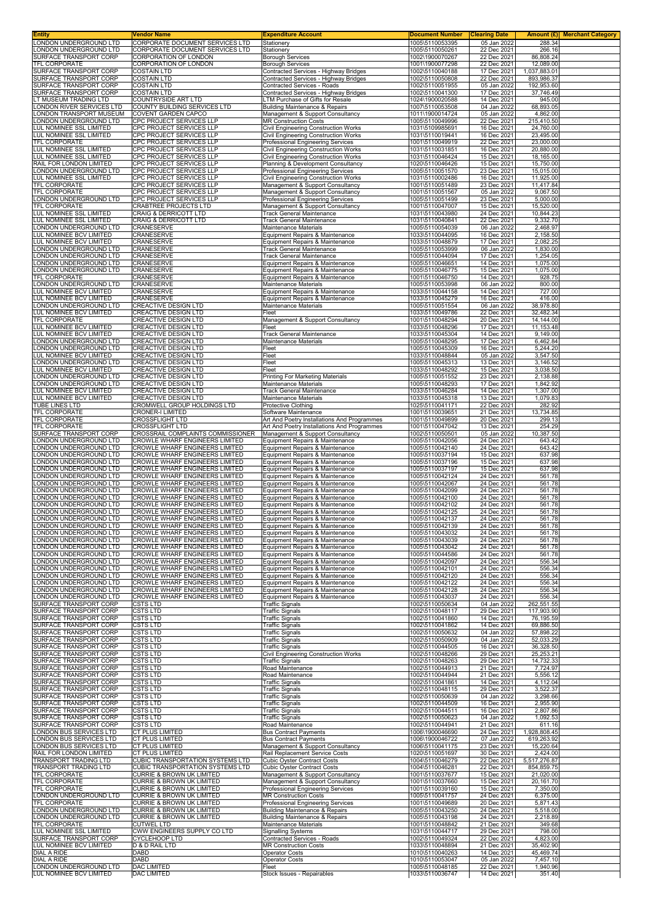| Entity                                                  | Vendor Name                                                             | <b>Expenditure Account</b>                                                     | <b>Document Number</b>             | <b>Clearing Date</b>       | Amount (£) Merchant Category |
|---------------------------------------------------------|-------------------------------------------------------------------------|--------------------------------------------------------------------------------|------------------------------------|----------------------------|------------------------------|
| LONDON UNDERGROUND LTD<br>ONDON UNDERGROUND LTD         | CORPORATE DOCUMENT SERVICES LTD<br>CORPORATE DOCUMENT SERVICES LTD      | Stationery<br>Stationery                                                       | 1005\5110053395<br>1005\5110050261 | 05 Jan 2022<br>22 Dec 2021 | 288.34<br>266.16             |
| SURFACE TRANSPORT CORP                                  | CORPORATION OF LONDON                                                   | <b>Borough Services</b>                                                        | 1002\1900070267                    | 22 Dec 2021                | 86,808.24                    |
| <b>TFL CORPORATE</b><br>SURFACE TRANSPORT CORP          | <b>CORPORATION OF LONDON</b><br><b>COSTAIN LTD</b>                      | <b>Borough Services</b><br>Contracted Services - Highway Bridges               | 1001\1900077298<br>1002\5110040188 | 22 Dec 2021<br>17 Dec 2021 | 12,089.00                    |
| SURFACE TRANSPORT CORP                                  | <b>COSTAIN LTD</b>                                                      | Contracted Services - Highway Bridges                                          | 1002\5110050808                    | 22 Dec 2021                | 1,037,883.01<br>893,986.37   |
| SURFACE TRANSPORT CORP                                  | <b>COSTAIN LTD</b>                                                      | Contracted Services - Roads                                                    | 1002\5110051955                    | 05 Jan 2022                | 192,953.60                   |
| SURFACE TRANSPORT CORP<br>T MUSEUM TRADING LTD          | <b>COSTAIN LTD</b><br>COUNTRYSIDE ART LTD                               | Contracted Services - Highway Bridges<br>LTM Purchase of Gifts for Resale      | 1002\5110041300<br>1024\1900020588 | 17 Dec 2021<br>14 Dec 2021 | 37,746.49<br>945.00          |
| ONDON RIVER SERVICES LTD                                | COUNTY BUILDING SERVICES LTD                                            | <b>Building Maintenance &amp; Repairs</b>                                      | 1007\5110053508                    | 04 Jan 2022                | 68,893.05                    |
| ONDON TRANSPORT MUSEUM                                  | COVENT GARDEN CAPCO<br>CPC PROJECT SERVICES LLP                         | Management & Support Consultancy<br><b>MR Construction Costs</b>               | 1011\1900014724<br>1005\5110049996 | 05 Jan 2022<br>22 Dec 2021 | 4,862.00                     |
| ONDON UNDERGROUND LTD<br>UL NOMINEE SSL LIMITED         | CPC PROJECT SERVICES LLP                                                | Civil Engineering Construction Works                                           | 1031\5109985691                    | 16 Dec 2021                | 215,410.50<br>24,760.00      |
| LUL NOMINEE SSL LIMITED                                 | CPC PROJECT SERVICES LLP                                                | Civil Engineering Construction Works                                           | 1031\5110019441                    | 16 Dec 2021                | 23,495.00                    |
| TFL CORPORATE<br>LUL NOMINEE SSL LIMITED                | CPC PROJECT SERVICES LLP<br>CPC PROJECT SERVICES LLP                    | Professional Engineering Services<br>Civil Engineering Construction Works      | 1001\5110049919<br>1031\5110031851 | 22 Dec 2021<br>16 Dec 2021 | 23,000.00<br>20,880.00       |
| LUL NOMINEE SSL LIMITED                                 | CPC PROJECT SERVICES LLP                                                | <b>Civil Engineering Construction Works</b>                                    | 1031\5110046424                    | 15 Dec 2021                | 18,165.00                    |
| RAIL FOR LONDON LIMITED<br>ONDON UNDERGROUND LTD        | CPC PROJECT SERVICES LLP                                                | Planning & Development Consultancy                                             | 1020\5110046426                    | 15 Dec 2021                | 15,750.00                    |
| LUL NOMINEE SSL LIMITED                                 | CPC PROJECT SERVICES LLP<br>CPC PROJECT SERVICES LLP                    | Professional Engineering Services<br>Civil Engineering Construction Works      | 1005\5110051570<br>1031\5110002486 | 23 Dec 2021<br>16 Dec 2021 | 15,015.00<br>11,925.00       |
| TFL CORPORATE                                           | CPC PROJECT SERVICES LLP                                                | Management & Support Consultancy                                               | 1001\5110051489                    | 23 Dec 2021                | 11,417.84                    |
| TFL CORPORATE<br>LONDON UNDERGROUND LTD                 | CPC PROJECT SERVICES LLP<br>CPC PROJECT SERVICES LLP                    | Management & Support Consultancy<br>Professional Engineering Services          | 1001\5110051567<br>1005\5110051499 | 05 Jan 2022<br>23 Dec 2021 | 9,067.50<br>5,000.00         |
| TFL CORPORATE                                           | <b>CRABTREE PROJECTS LTD</b>                                            | Management & Support Consultancy                                               | 1001\5110047007                    | 15 Dec 2021                | 15,520.00                    |
| LUL NOMINEE SSL LIMITED                                 | CRAIG & DERRICOTT LTD<br>CRAIG & DERRICOTT LTD                          | Track General Maintenance<br><b>Track General Maintenance</b>                  | 1031\5110043980                    | 24 Dec 2021<br>22 Dec 2021 | 10,844.23<br>9,332.70        |
| UL NOMINEE SSL LIMITED<br>ONDON UNDERGROUND LTD.        | CRANESERVE                                                              | Maintenance Materials                                                          | 1031\5110040841<br>1005\5110054039 | 06 Jan 2022                | 2,468.97                     |
| LUL NOMINEE BCV LIMITED                                 | CRANESERVE                                                              | Equipment Repairs & Maintenance                                                | 1033\5110044095                    | 16 Dec 2021                | 2,158.50                     |
| <b>UL NOMINEE BCV LIMITED</b><br>ONDON UNDERGROUND LTD  | CRANESERVE<br>CRANESERVE                                                | Equipment Repairs & Maintenance<br>Track General Maintenance                   | 1033\5110048879<br>1005\5110053999 | 17 Dec 2021<br>06 Jan 2022 | 2,082.25<br>1,830.00         |
| ONDON UNDERGROUND LTD                                   | CRANESERVE                                                              | Track General Maintenance                                                      | 1005\5110044094                    | 17 Dec 2021                | 1,254.05                     |
| ONDON UNDERGROUND LTD<br>ONDON UNDERGROUND LTD          | CRANESERVE<br>CRANESERVE                                                | Equipment Repairs & Maintenance<br>Equipment Repairs & Maintenance             | 1005\5110046651<br>1005\5110046775 | 14 Dec 2021<br>15 Dec 2021 | 1,075.00<br>1,075.00         |
| TFL CORPORATE                                           | CRANESERVE                                                              | Equipment Repairs & Maintenance                                                | 1001\5110046750                    | 14 Dec 2021                | 928.75                       |
| ONDON UNDERGROUND LTD                                   | CRANESERVE                                                              | Maintenance Materials                                                          | 1005\5110053998                    | 06 Jan 2022                | 800.00                       |
| UL NOMINEE BCV LIMITED<br><b>UL NOMINEE BCV LIMITED</b> | CRANESERVE<br>CRANESERVE                                                | Equipment Repairs & Maintenance<br>Equipment Repairs & Maintenance             | 1033\5110044158<br>1033\5110045279 | 14 Dec 2021<br>16 Dec 2021 | 727.00<br>416.00             |
| ONDON UNDERGROUND LTD                                   | CREACTIVE DESIGN LTD                                                    | Maintenance Materials                                                          | 1005\5110051554                    | 06 Jan 2022                | 38,978.80                    |
| LUL NOMINEE BCV LIMITED<br>TFL CORPORATE                | <b>CREACTIVE DESIGN LTD</b><br>CREACTIVE DESIGN LTD                     | Fleet<br>Management & Support Consultancy                                      | 1033\5110049786<br>1001\5110048294 | 22 Dec 2021<br>20 Dec 2021 | 32,482.34<br>14,144.00       |
| LUL NOMINEE BCV LIMITED                                 | CREACTIVE DESIGN LTD                                                    | Fleet                                                                          | 1033\5110048296                    | 17 Dec 2021                | 11,153.48                    |
| LUL NOMINEE BCV LIMITED                                 | CREACTIVE DESIGN LTD                                                    | <b>Track General Maintenance</b>                                               | 1033\5110045304                    | 14 Dec 2021                | 9,149.00                     |
| ONDON UNDERGROUND LTD<br>ONDON UNDERGROUND LTD          | CREACTIVE DESIGN LTD<br>CREACTIVE DESIGN LTD                            | Maintenance Materials<br>Fleet                                                 | 1005\5110048295<br>1005\5110045309 | 17 Dec 2021<br>16 Dec 2021 | 6,462.84<br>5,244.20         |
| LUL NOMINEE BCV LIMITED                                 | CREACTIVE DESIGN LTD                                                    | Fleet                                                                          | 1033\5110048844                    | 05 Jan 2022                | 3,547.50                     |
| ONDON UNDERGROUND LTD<br><b>UL NOMINEE BCV LIMITED</b>  | <b>CREACTIVE DESIGN LTD</b><br>CREACTIVE DESIGN LTD                     | Fleet<br>Fleet                                                                 | 1005\5110045313<br>1033\5110048292 | 13 Dec 2021<br>15 Dec 2021 | 3,146.52<br>3,038.50         |
| ONDON UNDERGROUND LTD                                   | CREACTIVE DESIGN LTD                                                    | Printing For Marketing Materials                                               | 1005\5110051552                    | 23 Dec 2021                | 2,138.88                     |
| ONDON UNDERGROUND LTD.                                  | CREACTIVE DESIGN LTD                                                    | Maintenance Materials                                                          | 1005\5110048293                    | 17 Dec 2021                | 1,842.92                     |
| UL NOMINEE BCV LIMITED<br>LUL NOMINEE BCV LIMITED       | CREACTIVE DESIGN LTD<br>CREACTIVE DESIGN LTD                            | Track General Maintenance<br>Maintenance Materials                             | 1033\5110046284<br>1033\5110045318 | 14 Dec 2021<br>13 Dec 2021 | 1,307.00<br>1,079.83         |
| TUBE LINES LTD                                          | CROMWELL GROUP HOLDINGS LTD                                             | <b>Protective Clothing</b>                                                     | 1025\5110041171                    | 22 Dec 2021                | 282.92                       |
| TFL CORPORATE<br>TFL CORPORATE                          | <b>CRONER-I LIMITED</b><br><b>CROSSFLIGHT LTD</b>                       | Software Maintenance<br>Art And Poetry Installations And Programmes            | 1001\5110039651<br>1001\5110049899 | 21 Dec 2021<br>20 Dec 2021 | 13,734.85<br>299.13          |
| TFL CORPORATE                                           | <b>CROSSFLIGHT LTD</b>                                                  | Art And Poetry Installations And Programmes                                    | 1001\5110047042                    | 13 Dec 2021                | 254.29                       |
| SURFACE TRANSPORT CORP                                  | CROSSRAIL COMPLAINTS COMMISSIONER                                       | Management & Support Consultancy                                               | 1002\5110050501                    | 05 Jan 2022                | 10,387.50                    |
| ONDON UNDERGROUND LTD<br>ONDON UNDERGROUND LTD          | CROWLE WHARF ENGINEERS LIMITED<br><b>CROWLE WHARF ENGINEERS LIMITED</b> | Equipment Repairs & Maintenance<br>Equipment Repairs & Maintenance             | 1005\5110042056<br>1005\5110042140 | 24 Dec 2021<br>24 Dec 2021 | 643.42<br>643.42             |
| ONDON UNDERGROUND LTD                                   | CROWLE WHARF ENGINEERS LIMITED                                          | Equipment Repairs & Maintenance                                                | 1005\5110037194                    | 15 Dec 2021                | 637.98                       |
| ONDON UNDERGROUND LTD<br>ONDON UNDERGROUND LTD          | CROWLE WHARF ENGINEERS LIMITED<br>CROWLE WHARF ENGINEERS LIMITED        | Equipment Repairs & Maintenance<br>Equipment Repairs & Maintenance             | 1005\5110037196<br>1005\5110037197 | 15 Dec 2021<br>15 Dec 2021 | 637.98<br>637.98             |
| ONDON UNDERGROUND LTD                                   | <b>CROWLE WHARF ENGINEERS LIMITED</b>                                   | Equipment Repairs & Maintenance                                                | 1005\5110042124                    | 24 Dec 2021                | 561.78                       |
| ONDON UNDERGROUND LTD.<br>ONDON UNDERGROUND LTD         | CROWLE WHARF ENGINEERS LIMITED<br><b>CROWLE WHARF ENGINEERS LIMITED</b> | Equipment Repairs & Maintenance                                                | 1005\5110042067                    | 24 Dec 2021<br>24 Dec 2021 | 561.78                       |
| ONDON UNDERGROUND LTD                                   | <b>CROWLE WHARF ENGINEERS LIMITED</b>                                   | Equipment Repairs & Maintenance<br>Equipment Repairs & Maintenance             | 1005\5110042099<br>1005\5110042100 | 24 Dec 2021                | 561.78<br>561.78             |
| ONDON UNDERGROUND LTD                                   | CROWLE WHARF ENGINEERS LIMITED                                          | Equipment Repairs & Maintenance                                                | 1005\5110042102                    | 24 Dec 2021                | 561.78                       |
| ONDON UNDERGROUND LTD<br>ONDON UNDERGROUND LTD          | <b>CROWLE WHARF ENGINEERS LIMITED</b><br>CROWLE WHARF ENGINEERS LIMITED | Equipment Repairs & Maintenance<br>Equipment Repairs & Maintenance             | 1005\5110042125<br>1005\5110042137 | 24 Dec 2021<br>24 Dec 2021 | 561.78<br>561.78             |
| ONDON UNDERGROUND LTD.                                  | CROWLE WHARF ENGINEERS LIMITED                                          | Equipment Repairs & Maintenance                                                | 1005\5110042139                    | 24 Dec 2021                | 561.78                       |
| ONDON UNDERGROUND LTD.                                  | <b>CROWLE WHARF ENGINEERS LIMITED</b>                                   | Equipment Repairs & Maintenance                                                | 1005\5110043032                    | 24 Dec 2021                | 561.78                       |
| ONDON UNDERGROUND LTD<br>ONDON UNDERGROUND LTD          | <b>CROWLE WHARF ENGINEERS LIMITED</b><br>CROWLE WHARF ENGINEERS LIMITED | Equipment Repairs & Maintenance<br>Equipment Repairs & Maintenance             | 1005\5110043039<br>1005\5110043042 | 24 Dec 2021<br>24 Dec 2021 | 561.78<br>561.78             |
| ONDON UNDERGROUND LTD                                   | CROWLE WHARF ENGINEERS LIMITED                                          | Equipment Repairs & Maintenance                                                | 1005\5110044586                    | 24 Dec 2021                | 561.78                       |
| ONDON UNDERGROUND LTD<br>ONDON UNDERGROUND LTD          | CROWLE WHARF ENGINEERS LIMITED<br>CROWLE WHARF ENGINEERS LIMITED        | Equipment Repairs & Maintenance<br>Equipment Repairs & Maintenance             | 1005\5110042097<br>1005\5110042101 | 24 Dec 2021<br>24 Dec 2021 | 556.34<br>556.34             |
| ONDON UNDERGROUND LTD                                   | CROWLE WHARF ENGINEERS LIMITED                                          | Equipment Repairs & Maintenance                                                | 1005\5110042120                    | 24 Dec 2021                | 556.34                       |
| ONDON UNDERGROUND LTD                                   | <b>CROWLE WHARF ENGINEERS LIMITED</b>                                   | Equipment Repairs & Maintenance                                                | 1005\5110042122                    | 24 Dec 2021                | 556.34                       |
| ONDON UNDERGROUND LTD<br>ONDON UNDERGROUND LTD          | CROWLE WHARF ENGINEERS LIMITED<br>CROWLE WHARF ENGINEERS LIMITED        | Equipment Repairs & Maintenance<br>Equipment Repairs & Maintenance             | 1005\5110042128<br>1005\5110043037 | 24 Dec 2021<br>24 Dec 2021 | 556.34<br>556.34             |
| SURFACE TRANSPORT CORP                                  | <b>CSTS LTD</b>                                                         | <b>Traffic Signals</b>                                                         | 1002\5110050634                    | 04 Jan 2022                | 262,551.55                   |
| SURFACE TRANSPORT CORP<br>SURFACE TRANSPORT CORP        | <b>CSTS LTD</b><br><b>CSTS LTD</b>                                      | <b>Traffic Signals</b><br><b>Traffic Signals</b>                               | 1002\5110048117<br>1002\5110041860 | 29 Dec 2021<br>14 Dec 2021 | 117,903.90<br>76,195.59      |
| SURFACE TRANSPORT CORP                                  | <b>CSTS LTD</b>                                                         | <b>Traffic Signals</b>                                                         | 1002\5110041862                    | 14 Dec 2021                | 69,886.50                    |
| SURFACE TRANSPORT CORP<br>SURFACE TRANSPORT CORP        | <b>CSTS LTD</b><br><b>CSTS LTD</b>                                      | <b>Traffic Signals</b>                                                         | 1002\5110050632<br>1002\5110050909 | 04 Jan 2022<br>04 Jan 2022 | 57,898.22<br>52,033.29       |
| SURFACE TRANSPORT CORP                                  | <b>CSTS LTD</b>                                                         | <b>Traffic Signals</b><br><b>Traffic Signals</b>                               | 1002\5110044505                    | 16 Dec 2021                | 36,328.50                    |
| SURFACE TRANSPORT CORP                                  | CSTS LTD                                                                | <b>Civil Engineering Construction Works</b>                                    | 1002\5110048266                    | 29 Dec 2021                | 25,253.21                    |
| SURFACE TRANSPORT CORP<br>SURFACE TRANSPORT CORP        | <b>CSTS LTD</b><br><b>CSTS LTD</b>                                      | <b>Traffic Signals</b><br>Road Maintenance                                     | 1002\5110048263<br>1002\5110044913 | 29 Dec 2021<br>21 Dec 2021 | 14,732.33<br>7,724.97        |
| SURFACE TRANSPORT CORP                                  | <b>CSTS LTD</b>                                                         | Road Maintenance                                                               | 1002\5110044944                    | 21 Dec 2021                | 5,556.12                     |
| SURFACE TRANSPORT CORP<br>SURFACE TRANSPORT CORP        | <b>CSTS LTD</b><br><b>CSTS LTD</b>                                      | <b>Traffic Signals</b><br><b>Traffic Signals</b>                               | 1002\5110041861<br>1002\5110048115 | 14 Dec 2021<br>29 Dec 2021 | 4,112.04<br>3,522.37         |
| SURFACE TRANSPORT CORP                                  | CSTS LTD                                                                | <b>Traffic Signals</b>                                                         | 1002\5110050639                    | 04 Jan 2022                | 3,298.66                     |
| SURFACE TRANSPORT CORP                                  | <b>CSTS LTD</b>                                                         | <b>Traffic Signals</b>                                                         | 1002\5110044509                    | 16 Dec 2021                | 2,955.90<br>2,807.86         |
| SURFACE TRANSPORT CORP<br>SURFACE TRANSPORT CORP        | <b>CSTS LTD</b><br><b>CSTS LTD</b>                                      | <b>Traffic Signals</b><br><b>Traffic Signals</b>                               | 1002\5110044511<br>1002\5110050623 | 16 Dec 2021<br>04 Jan 2022 | 1,092.53                     |
| SURFACE TRANSPORT CORP                                  | <b>CSTS LTD</b>                                                         | Road Maintenance                                                               | 1002\5110044941                    | 21 Dec 2021                | 611.16                       |
| ONDON BUS SERVICES LTD<br>ONDON BUS SERVICES LTD        | CT PLUS LIMITED<br>CT PLUS LIMITED                                      | <b>Bus Contract Payments</b><br><b>Bus Contract Payments</b>                   | 1006\1900046690<br>1006\1900046722 | 24 Dec 2021<br>07 Jan 2022 | 1,928,808.45<br>619,263.92   |
| ONDON BUS SERVICES LTD                                  | CT PLUS LIMITED                                                         | Management & Support Consultancy                                               | 1006\5110041175                    | 23 Dec 2021                | 15,220.64                    |
| RAIL FOR LONDON LIMITED<br>TRANSPORT TRADING LTD        | <b>CT PLUS LIMITED</b><br>CUBIC TRANSPORTATION SYSTEMS LTD              | Rail Replacement Service Costs<br><b>Cubic Oyster Contract Costs</b>           | 1020\5110051697<br>1004\5110046279 | 30 Dec 2021<br>22 Dec 2021 | 2,424.00<br>5,517,276.87     |
| TRANSPORT TRADING LTD                                   | CUBIC TRANSPORTATION SYSTEMS LTD                                        | Cubic Oyster Contract Costs                                                    | 1004\5110046281                    | 22 Dec 2021                | 854,859.75                   |
| TFL CORPORATE<br>TFL CORPORATE                          | CURRIE & BROWN UK LIMITED<br>CURRIE & BROWN UK LIMITED                  | Management & Support Consultancy                                               | 1001\5110037677<br>1001\5110037660 | 15 Dec 2021                | 21,020.00                    |
| TFL CORPORATE                                           | CURRIE & BROWN UK LIMITED                                               | Management & Support Consultancy<br>Professional Engineering Services          | 1001\5110039160                    | 15 Dec 2021<br>15 Dec 2021 | 20,161.70<br>7,350.00        |
| LONDON UNDERGROUND LTD                                  | <b>CURRIE &amp; BROWN UK LIMITED</b>                                    | <b>MR Construction Costs</b>                                                   | 1005\5110041757                    | 24 Dec 2021                | 6,375.00                     |
| TFL CORPORATE<br>ONDON UNDERGROUND LTD                  | CURRIE & BROWN UK LIMITED<br>CURRIE & BROWN UK LIMITED                  | Professional Engineering Services<br><b>Building Maintenance &amp; Repairs</b> | 1001\5110049689<br>1005\5110043250 | 20 Dec 2021<br>24 Dec 2021 | 5,871.43<br>5,518.00         |
| LONDON UNDERGROUND LTD                                  | <b>CURRIE &amp; BROWN UK LIMITED</b>                                    | <b>Building Maintenance &amp; Repairs</b>                                      | 1005\5110043198                    | 24 Dec 2021                | 2,218.89                     |
| TFL CORPORATE<br>LUL NOMINEE SSL LIMITED                | <b>CUTWEL LTD</b><br>CWW ENGINEERS SUPPLY CO LTD                        | Maintenance Materials<br><b>Signalling Systems</b>                             | 1001\5110048842<br>1031\5110044717 | 21 Dec 2021<br>29 Dec 2021 | 349.68<br>798.00             |
| SURFACE TRANSPORT CORP                                  | CYCLEHOOP LTD                                                           | Contracted Services - Roads                                                    | 1002\5110049324                    | 22 Dec 2021                | 4,823.00                     |
| LUL NOMINEE BCV LIMITED<br>DIAL A RIDE                  | D & D RAIL LTD<br><b>DABD</b>                                           | <b>MR Construction Costs</b><br>Operator Costs                                 | 1033\5110048894<br>1010\5110040263 | 21 Dec 2021<br>14 Dec 2021 | 35,402.90<br>45,469.74       |
| DIAL A RIDE                                             | <b>DABD</b>                                                             | <b>Operator Costs</b>                                                          | 1010\5110053047                    | 05 Jan 2022                | 7,457.10                     |
| ONDON UNDERGROUND LTD                                   | <b>DAC LIMITED</b>                                                      | Fleet                                                                          | 1005\5110048185                    | 22 Dec 2021                | 1,940.96                     |
| LUL NOMINEE BCV LIMITED                                 | DAC LIMITED                                                             | Stock Issues - Repairables                                                     | 1033\5110036747                    | 14 Dec 2021                | 351.40                       |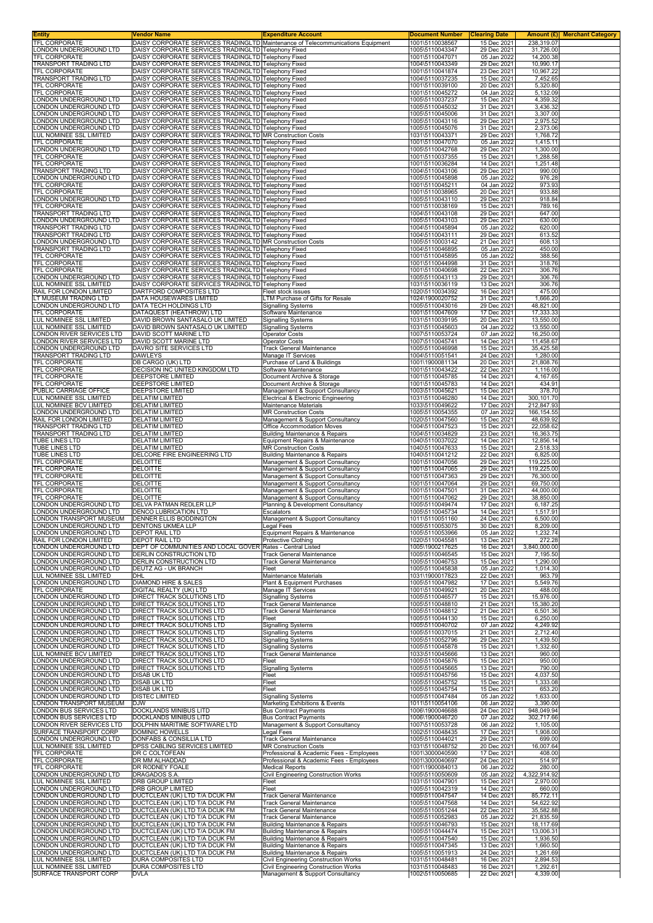| <b>Entity</b><br>TFL CORPORATE                          | Vendor Name<br>DAISY CORPORATE SERVICES TRADINGLTD Maintenance of Telecommunications Equipment                   | <b>Expenditure Account</b>                                                             | <u>Document Number</u><br>1001\5110038567 | <b>Clearing Date</b><br>15 Dec 2021 | 238,319.07               | <b>Amount (£)</b> Merchant Category |
|---------------------------------------------------------|------------------------------------------------------------------------------------------------------------------|----------------------------------------------------------------------------------------|-------------------------------------------|-------------------------------------|--------------------------|-------------------------------------|
| LONDON UNDERGROUND LTD                                  | DAISY CORPORATE SERVICES TRADINGLTD Telephony Fixed                                                              |                                                                                        | 1005\5110043347                           | 29 Dec 2021                         | 31,726.00                |                                     |
| TFL CORPORATE<br>TRANSPORT TRADING LTD                  | DAISY CORPORATE SERVICES TRADINGLTD Telephony Fixed                                                              |                                                                                        | 1001\5110047071                           | 05 Jan 2022                         | 14,200.38                |                                     |
| <b>TFL CORPORATE</b>                                    | DAISY CORPORATE SERVICES TRADINGLTD Telephony Fixed<br>DAISY CORPORATE SERVICES TRADINGLTD Telephony Fixed       |                                                                                        | 1004\5110043349<br>1001\5110041874        | 29 Dec 2021<br>23 Dec 2021          | 10,990.17<br>10.967.22   |                                     |
| TRANSPORT TRADING LTD                                   | DAISY CORPORATE SERVICES TRADINGLTD Telephony Fixed                                                              |                                                                                        | 1004\5110037235                           | 15 Dec 2021                         | 7,452.65                 |                                     |
| <b>TFL CORPORATE</b><br>TFL CORPORATE                   | DAISY CORPORATE SERVICES TRADINGLTD Telephony Fixed<br>DAISY CORPORATE SERVICES TRADINGLTD Telephony Fixed       |                                                                                        | 1001\5110039100<br>1001\5110045272        | 20 Dec 2021<br>04 Jan 2022          | 5,320.80<br>5,132.09     |                                     |
| LONDON UNDERGROUND LTD                                  | DAISY CORPORATE SERVICES TRADINGLTD Telephony Fixed                                                              |                                                                                        | 1005\5110037237                           | 15 Dec 2021                         | 4,359.32                 |                                     |
| LONDON UNDERGROUND LTD<br>LONDON UNDERGROUND LTD        | DAISY CORPORATE SERVICES TRADINGLTD Telephony Fixed<br>DAISY CORPORATE SERVICES TRADINGLTD Telephony Fixed       |                                                                                        | 1005\5110045032<br>1005\5110045006        | 31 Dec 2021<br>31 Dec 2021          | 3,436.32<br>3,307.00     |                                     |
| LONDON UNDERGROUND LTD                                  | DAISY CORPORATE SERVICES TRADINGLTD Telephony Fixed                                                              |                                                                                        | 1005\5110043116                           | 29 Dec 2021                         | 2,975.52                 |                                     |
| LONDON UNDERGROUND LTD<br>LUL NOMINEE SSL LIMITED       | DAISY CORPORATE SERVICES TRADINGLTD Telephony Fixed<br>DAISY CORPORATE SERVICES TRADINGLTD MR Construction Costs |                                                                                        | 1005\5110045076<br>1031\5110043371        | 31 Dec 2021<br>29 Dec 2021          | 2,373.06<br>1,768.72     |                                     |
| TFL CORPORATE                                           | DAISY CORPORATE SERVICES TRADINGLTD Telephony Fixed                                                              |                                                                                        | 1001\5110047070                           | 05 Jan 2022<br>29 Dec 2021          | 1,415.11                 |                                     |
| LONDON UNDERGROUND LTD<br>TFL CORPORATE                 | DAISY CORPORATE SERVICES TRADINGLTD Telephony Fixed<br>DAISY CORPORATE SERVICES TRADINGLTD Telephony Fixed       |                                                                                        | 1005\5110042768<br>1001\5110037355        | 15 Dec 2021                         | 1,300.00<br>1,288.58     |                                     |
| TFL CORPORATE<br>TRANSPORT TRADING LTD                  | DAISY CORPORATE SERVICES TRADINGLTD Telephony Fixed<br>DAISY CORPORATE SERVICES TRADINGLTD Telephony Fixed       |                                                                                        | 1001\5110036284<br>1004\5110043106        | 14 Dec 2021<br>29 Dec 2021          | 1,251.48<br>990.00       |                                     |
| LONDON UNDERGROUND LTD                                  | DAISY CORPORATE SERVICES TRADINGLTD Telephony Fixed                                                              |                                                                                        | 1005\5110045898                           | 05 Jan 2022                         | 976.28                   |                                     |
| TFL CORPORATE<br>TFL CORPORATE                          | DAISY CORPORATE SERVICES TRADINGLTD Telephony Fixed<br>DAISY CORPORATE SERVICES TRADINGLTD Telephony Fixed       |                                                                                        | 1001\5110045211<br>1001\5110038965        | 04 Jan 2022<br>20 Dec 2021          | 973.93<br>933.88         |                                     |
| LONDON UNDERGROUND LTD                                  | DAISY CORPORATE SERVICES TRADINGLTD Telephony Fixed                                                              |                                                                                        | 1005\5110043110                           | 29 Dec 2021                         | 918.84                   |                                     |
| TFL CORPORATE<br>TRANSPORT TRADING LTD                  | DAISY CORPORATE SERVICES TRADINGLTD Telephony Fixed<br>DAISY CORPORATE SERVICES TRADINGLTD Telephony Fixed       |                                                                                        | 1001\5110038169<br>1004\5110043108        | 15 Dec 2021<br>29 Dec 2021          | 789.16<br>647.00         |                                     |
| LONDON UNDERGROUND LTD                                  | DAISY CORPORATE SERVICES TRADINGLTD Telephony Fixed                                                              |                                                                                        | 1005\5110043103                           | 29 Dec 2021                         | 630.00                   |                                     |
| TRANSPORT TRADING LTD<br>TRANSPORT TRADING LTD          | DAISY CORPORATE SERVICES TRADINGLTD Telephony Fixed<br>DAISY CORPORATE SERVICES TRADINGLTD Telephony Fixed       |                                                                                        | 1004\5110045894<br>1004\5110043111        | 05 Jan 2022<br>29 Dec 2021          | 620.00<br>613.52         |                                     |
| LONDON UNDERGROUND LTD                                  | DAISY CORPORATE SERVICES TRADINGLTD MR Construction Costs                                                        |                                                                                        | 1005\5110003142                           | 21 Dec 2021                         | 608.13                   |                                     |
| TRANSPORT TRADING LTD<br>TFL CORPORATE                  | DAISY CORPORATE SERVICES TRADINGLTD Telephony Fixed<br>DAISY CORPORATE SERVICES TRADINGLTD Telephony Fixed       |                                                                                        | 1004\5110046895<br>1001\5110045895        | 05 Jan 2022<br>05 Jan 2022          | 450.00<br>388.56         |                                     |
| <b>TFL CORPORATE</b>                                    | DAISY CORPORATE SERVICES TRADINGLTD Telephony Fixed                                                              |                                                                                        | 1001\5110044998                           | 31 Dec 2021                         | 318.76                   |                                     |
| <b>TFL CORPORATE</b><br>LONDON UNDERGROUND LTD          | DAISY CORPORATE SERVICES TRADINGLTD Telephony Fixed<br>DAISY CORPORATE SERVICES TRADINGLTD Telephony Fixed       |                                                                                        | 1001\5110040698<br>1005\5110043113        | 22 Dec 2021<br>29 Dec 2021          | 306.76<br>306.76         |                                     |
| LUL NOMINEE SSL LIMITED                                 | DAISY CORPORATE SERVICES TRADINGLTD Telephony Fixed                                                              |                                                                                        | 1031\5110036119                           | 13 Dec 2021                         | 306.76                   |                                     |
| RAIL FOR LONDON LIMITED<br>LT MUSEUM TRADING LTD        | DARTFORD COMPOSITES LTD<br>DATA HOUSEWARES LIMITED                                                               | Fleet stock issues<br>LTM Purchase of Gifts for Resale                                 | 1020\5110034392<br>1024\1900020752        | 16 Dec 2021<br>31 Dec 2021          | 475.00<br>1,666.20       |                                     |
| LONDON UNDERGROUND LTD                                  | DATA TECH HOLDINGS LTD                                                                                           | <b>Signalling Systems</b>                                                              | 1005\5110043016                           | 29 Dec 2021                         | 48,821.00                |                                     |
| TFL CORPORATE<br>LUL NOMINEE SSL LIMITED                | DATAQUEST (HEATHROW) LTD<br>DAVID BROWN SANTASALO UK LIMITED                                                     | Software Maintenance<br><b>Signalling Systems</b>                                      | 1001\5110047609<br>1031\5110039195        | 17 Dec 2021<br>20 Dec 2021          | 17,333.33<br>13,550.00   |                                     |
| LUL NOMINEE SSL LIMITED<br>LONDON RIVER SERVICES LTD    | DAVID BROWN SANTASALO UK LIMITED<br>DAVID SCOTT MARINE LTD                                                       | <b>Signalling Systems</b>                                                              | 1031\5110045603<br>1007\5110053724        | 04 Jan 2022                         | 13,550.00                |                                     |
| LONDON RIVER SERVICES LTD                               | DAVID SCOTT MARINE LTD                                                                                           | <b>Operator Costs</b><br><b>Operator Costs</b>                                         | 1007\5110045741                           | 07 Jan 2022<br>14 Dec 2021          | 16,250.00<br>11,458.67   |                                     |
| LONDON UNDERGROUND LTD<br>TRANSPORT TRADING LTD         | DAVRO SITE SERVICES LTD<br><b>DAWLEYS</b>                                                                        | Track General Maintenance<br>Manage IT Services                                        | 1005\5110046998<br>1004\5110051541        | 15 Dec 2021<br>24 Dec 2021          | 35,425.58<br>1,280.00    |                                     |
| TFL CORPORATE                                           | DB CARGO (UK) LTD                                                                                                | Purchase of Land & Buildings                                                           | 1001\1900081134                           | 20 Dec 2021                         | 21,808.76                |                                     |
| TFL CORPORATE<br>TFL CORPORATE                          | DECISION INC UNITED KINGDOM LTD<br>DEEPSTORE LIMITED                                                             | Software Maintenance<br>Document Archive & Storage                                     | 1001\5110043422<br>1001\5110045785        | 22 Dec 2021<br>14 Dec 2021          | 1,116.00<br>4,167.65     |                                     |
| TFL CORPORATE                                           | DEEPSTORE LIMITED                                                                                                | Document Archive & Storage                                                             | 1001\5110045783                           | 14 Dec 2021                         | 434.91                   |                                     |
| PUBLIC CARRIAGE OFFICE<br>LUL NOMINEE SSL LIMITED       | DEEPSTORE LIMITED<br><b>DELATIM LIMITED</b>                                                                      | Management & Support Consultancy<br>Electrical & Electronic Engineering                | 1003\5110045621<br>1031\5110046280        | 15 Dec 2021<br>14 Dec 2021          | 378.70<br>300,101.70     |                                     |
| LUL NOMINEE BCV LIMITED                                 | <b>DELATIM LIMITED</b>                                                                                           | Maintenance Materials                                                                  | 1033\5110049622                           | 17 Dec 2021                         | 212,847.93               |                                     |
| LONDON UNDERGROUND LTD<br>RAIL FOR LONDON LIMITED       | <b>DELATIM LIMITED</b><br><b>DELATIM LIMITED</b>                                                                 | <b>MR Construction Costs</b><br>Management & Support Consultancy                       | 1005\5110054355<br>1020\5110047560        | 07 Jan 2022<br>15 Dec 2021          | 166,154.55<br>48,639.92  |                                     |
| <b>TRANSPORT TRADING LTD</b>                            | <b>DELATIM LIMITED</b>                                                                                           | Office Accommodation Moves                                                             | 1004\5110047523                           | 15 Dec 2021                         | 22,058.62                |                                     |
| TRANSPORT TRADING LTD<br>TUBE LINES LTD                 | <b>DELATIM LIMITED</b><br><b>DELATIM LIMITED</b>                                                                 | <b>Building Maintenance &amp; Repairs</b><br>Equipment Repairs & Maintenance           | 1004\5110034829<br>1040\5110037022        | 23 Dec 2021<br>14 Dec 2021          | 16,363.75<br>12,856.14   |                                     |
| TUBE LINES LTD<br>TUBE LINES LTD                        | <b>DELATIM LIMITED</b><br>DELCORE FIRE ENGINEERING LTD                                                           | <b>MR Construction Costs</b><br><b>Building Maintenance &amp; Repairs</b>              | 1040\5110047633<br>1040\5110041212        | 15 Dec 2021<br>22 Dec 2021          | 2,518.33<br>6,825.00     |                                     |
| TFL CORPORATE                                           | <b>DELOITTE</b>                                                                                                  | Management & Support Consultancy                                                       | 1001\5110047056                           | 29 Dec 2021                         | 119,225.00               |                                     |
| TFL CORPORATE<br>TFL CORPORATE                          | <b>DELOITTE</b><br><b>DELOITTE</b>                                                                               | Management & Support Consultancy<br>Management & Support Consultancy                   | 1001\5110047065<br>1001\5110047363        | 29 Dec 2021<br>29 Dec 2021          | 119,225.00<br>76,300.00  |                                     |
| TFL CORPORATE                                           | <b>DELOITTE</b>                                                                                                  | Management & Support Consultancy                                                       | 1001\5110047064                           | 29 Dec 2021                         | 69,750.00                |                                     |
| TFL CORPORATE<br>TFL CORPORATE                          | <b>DELOITTE</b><br><b>DELOITTE</b>                                                                               | Management & Support Consultancy<br>Management & Support Consultancy                   | 1001\5110047501<br>1001\5110047062        | 31 Dec 2021<br>29 Dec 2021          | 44,000.00<br>38,850.00   |                                     |
| LONDON UNDERGROUND LTD<br>LONDON UNDERGROUND LTD        | DELVA PATMAN REDLER LLP<br><b>DENCO LUBRICATION LTD</b>                                                          | Planning & Development Consultancy<br>Escalators                                       | 1005\5110049474<br>1005\5110045734        | 17 Dec 2021<br>14 Dec 2021          | 6,187.25<br>1,517.91     |                                     |
| LONDON TRANSPORT MUSEUM                                 | DENNER ELLIS BODDINGTON                                                                                          | Management & Support Consultancy                                                       | 1011\5110051160                           | 24 Dec 2021                         | 6,500.00                 |                                     |
| LONDON UNDERGROUND LTD<br>LONDON UNDERGROUND LTD        | DENTONS UKMEA LLP<br><b>DEPOT RAIL LTD</b>                                                                       | Legal Fees<br>Equipment Repairs & Maintenance                                          | 1005\5110053075<br>1005\5110053966        | 30 Dec 2021<br>05 Jan 2022          | 8,209.00<br>1,232.74     |                                     |
| RAIL FOR LONDON LIMITED                                 | <b>DEPOT RAIL LTD</b>                                                                                            | Protective Clothing                                                                    | 1020\5110045581                           | 13 Dec 2021                         | 272.28                   |                                     |
| <b>LONDON UNDERGROUND LTD</b><br>LONDON UNDERGROUND LTD | DEPT OF COMMUNITIES AND LOCAL GOVER Rates - Central Listed<br><b>DERLIN CONSTRUCTION LTD</b>                     | Track General Maintenance                                                              | 1005\1900217625<br>1005\5110046545        | 16 Dec 2021<br>15 Dec 2021          | 3,840,000.00<br>7,195.50 |                                     |
| LONDON UNDERGROUND LTD                                  | DERLIN CONSTRUCTION LTD                                                                                          | Track General Maintenance                                                              | 1005\5110046753                           | 15 Dec 2021                         | 1,290.00                 |                                     |
| LONDON UNDERGROUND LTD<br>LUL NOMINEE SSL LIMITED       | DEUTZ AG - UK BRANCH<br>DHL                                                                                      | Fleet<br>Maintenance Materials                                                         | 1005\5110045838<br>1031\1900017823        | 05 Jan 2022<br>22 Dec 2021          | 1,014.30<br>963.79       |                                     |
| LONDON UNDERGROUND LTD<br>TFL CORPORATE                 | <b>DIAMOND HIRE &amp; SALES</b><br>DIGITAL REALTY (UK) LTD                                                       | Plant & Equipment Purchases<br>Manage IT Services                                      | 1005\5110047982<br>1001\5110049921        | 17 Dec 2021<br>20 Dec 2021          | 5,549.76<br>488.00       |                                     |
| <b>LONDON UNDERGROUND LTD</b>                           | DIRECT TRACK SOLUTIONS LTD                                                                                       | <b>Signalling Systems</b>                                                              | 1005\5110046577                           | 15 Dec 2021                         | 15,976.00                |                                     |
| LONDON UNDERGROUND LTD<br>LONDON UNDERGROUND LTD        | DIRECT TRACK SOLUTIONS LTD<br><b>DIRECT TRACK SOLUTIONS LTD</b>                                                  | <b>Track General Maintenance</b><br>Track General Maintenance                          | 1005\5110048810<br>1005\5110048812        | 21 Dec 2021<br>21 Dec 2021          | 15,380.20<br>6,501.36    |                                     |
| LONDON UNDERGROUND LTD                                  | <b>DIRECT TRACK SOLUTIONS LTD</b>                                                                                | Fleet                                                                                  | 1005\5110044130                           | 15 Dec 2021                         | 6,250.00                 |                                     |
| LONDON UNDERGROUND LTD<br>LONDON UNDERGROUND LTD        | <b>DIRECT TRACK SOLUTIONS LTD</b><br>DIRECT TRACK SOLUTIONS LTD                                                  | <b>Signalling Systems</b><br><b>Signalling Systems</b>                                 | 1005\5110040702<br>1005\5110037015        | 07 Jan 2022<br>21 Dec 2021          | 4,249.92<br>2,712.40     |                                     |
| LONDON UNDERGROUND LTD<br>LONDON UNDERGROUND LTD        | DIRECT TRACK SOLUTIONS LTD<br>DIRECT TRACK SOLUTIONS LTD                                                         | <b>Signalling Systems</b>                                                              | 1005\5110052796<br>1005\5110045878        | 29 Dec 2021<br>15 Dec 2021          | 1,439.50<br>1,332.60     |                                     |
| LUL NOMINEE BCV LIMITED                                 | DIRECT TRACK SOLUTIONS LTD                                                                                       | <b>Signalling Systems</b><br>Track General Maintenance                                 | 1033\5110045666                           | 13 Dec 2021                         | 960.00                   |                                     |
| LONDON UNDERGROUND LTD<br>LONDON UNDERGROUND LTD        | DIRECT TRACK SOLUTIONS LTD<br>DIRECT TRACK SOLUTIONS LTD                                                         | Fleet<br><b>Signalling Systems</b>                                                     | 1005\5110045876<br>1005\5110045665        | 15 Dec 2021<br>13 Dec 2021          | 950.00<br>790.00         |                                     |
| LONDON UNDERGROUND LTD                                  | <b>DISAB UK LTD</b>                                                                                              | Fleet                                                                                  | 1005\5110045756                           | 15 Dec 2021                         | 4,037.50                 |                                     |
| LONDON UNDERGROUND LTD<br>LONDON UNDERGROUND LTD        | <b>DISAB UK LTD</b><br><b>DISAB UK LTD</b>                                                                       | Fleet<br>Fleet                                                                         | 1005\5110045752<br>1005\5110045754        | 15 Dec 2021<br>15 Dec 2021          | 1,333.08<br>653.20       |                                     |
| LONDON UNDERGROUND LTD<br>LONDON TRANSPORT MUSEUM       | <b>DISTEC LIMITED</b>                                                                                            | <b>Signalling Systems</b>                                                              | 1005\5110047484<br>1011\5110054106        | 05 Jan 2022<br>06 Jan 2022          | 1,633.00<br>3,390.00     |                                     |
| LONDON BUS SERVICES LTD                                 | <b>DJW</b><br>DOCKLANDS MINIBUS LITD                                                                             | Marketing Exhibitions & Events<br><b>Bus Contract Payments</b>                         | 1006\1900046688                           | 24 Dec 2021                         | 948,049.94               |                                     |
| LONDON BUS SERVICES LTD<br>LONDON RIVER SERVICES LTD    | DOCKLANDS MINIBUS LITD<br>DOLPHIN MARITIME SOFTWARE LTD                                                          | <b>Bus Contract Payments</b><br>Management & Support Consultancy                       | 1006\1900046720<br>1007\5110053728        | 07 Jan 2022<br>06 Jan 2022          | 302,717.66<br>1,105.00   |                                     |
| SURFACE TRANSPORT CORP                                  | DOMINIC HOWELLS                                                                                                  | Legal Fees                                                                             | 1002\5110048435                           | 17 Dec 2021                         | 1,908.00                 |                                     |
| LONDON UNDERGROUND LTD<br>LUL NOMINEE SSL LIMITED       | DONFABS & CONSILLIA LTD<br>DPSS CABLING SERVICES LIMITED                                                         | Track General Maintenance<br><b>MR Construction Costs</b>                              | 1005\5110044021<br>1031\5110048752        | 29 Dec 2021<br>20 Dec 2021          | 699.00<br>16,007.64      |                                     |
| TFL CORPORATE<br>TFL CORPORATE                          | DR C COLTOFEAN<br>DR MM ALHADDAD                                                                                 | Professional & Academic Fees - Employees<br>Professional & Academic Fees - Employees   | 1001\3000040590<br>1001\3000040697        | 17 Dec 2021<br>24 Dec 2021          | 408.00<br>514.97         |                                     |
| TFL CORPORATE                                           | DR RODNEY FOALE                                                                                                  | <b>Medical Reports</b>                                                                 | 1001\1900084013                           | 06 Jan 2022                         | 280.00                   |                                     |
| LONDON UNDERGROUND LTD<br>LUL NOMINEE SSL LIMITED       | DRAGADOS S.A.<br>DRB GROUP LIMITED                                                                               | Civil Engineering Construction Works<br>Fleet                                          | 1005\5110050609<br>1031\5110047901        | 05 Jan 2022<br>15 Dec 2021          | 4,322,914.92<br>2,970.00 |                                     |
| LONDON UNDERGROUND LTD                                  | <b>DRB GROUP LIMITED</b>                                                                                         | Fleet                                                                                  | 1005\5110042319                           | 14 Dec 2021                         | 660.00                   |                                     |
| LONDON UNDERGROUND LTD<br>LONDON UNDERGROUND LTD        | DUCTCLEAN (UK) LTD T/A DCUK FM<br>DUCTCLEAN (UK) LTD T/A DCUK FM                                                 | Track General Maintenance<br><b>Track General Maintenance</b>                          | 1005\5110047547<br>1005\5110047568        | 14 Dec 2021<br>14 Dec 2021          | 85,772.11<br>54,622.92   |                                     |
| LONDON UNDERGROUND LTD<br>LONDON UNDERGROUND LTD        | DUCTCLEAN (UK) LTD T/A DCUK FM<br>DUCTCLEAN (UK) LTD T/A DCUK FM                                                 | <b>Track General Maintenance</b><br>Track General Maintenance                          | 1005\5110051244<br>1005\5110052983        | 22 Dec 2021<br>05 Jan 2022          | 35,582.88<br>21,835.59   |                                     |
| LONDON UNDERGROUND LTD                                  | DUCTCLEAN (UK) LTD T/A DCUK FM                                                                                   | <b>Building Maintenance &amp; Repairs</b>                                              | 1005\5110046793                           | 15 Dec 2021                         | 18,117.69                |                                     |
| LONDON UNDERGROUND LTD<br>LONDON UNDERGROUND LTD        | DUCTCLEAN (UK) LTD T/A DCUK FM<br>DUCTCLEAN (UK) LTD T/A DCUK FM                                                 | <b>Building Maintenance &amp; Repairs</b><br><b>Building Maintenance &amp; Repairs</b> | 1005\5110044474<br>1005\5110047540        | 15 Dec 2021<br>15 Dec 2021          | 13,006.31<br>1,936.50    |                                     |
| LONDON UNDERGROUND LTD                                  | DUCTCLEAN (UK) LTD T/A DCUK FM                                                                                   | <b>Building Maintenance &amp; Repairs</b>                                              | 1005\5110047345                           | 13 Dec 2021                         | 1,660.50                 |                                     |
| LONDON UNDERGROUND LTD<br>LUL NOMINEE SSL LIMITED       | DUCTCLEAN (UK) LTD T/A DCUK FM<br>DURA COMPOSITES LTD                                                            | <b>Building Maintenance &amp; Repairs</b><br>Civil Engineering Construction Works      | 1005\5110051913<br>1031\5110048481        | 24 Dec 2021<br>16 Dec 2021          | 1,261.69<br>2,894.53     |                                     |
| LUL NOMINEE SSL LIMITED<br>SURFACE TRANSPORT CORP       | DURA COMPOSITES LTD<br><b>DVLA</b>                                                                               | <b>Civil Engineering Construction Works</b><br>Management & Support Consultancy        | 1031\5110048483<br>1002\5110050685        | 16 Dec 2021<br>22 Dec 2021          | 1,292.61<br>4,339.00     |                                     |
|                                                         |                                                                                                                  |                                                                                        |                                           |                                     |                          |                                     |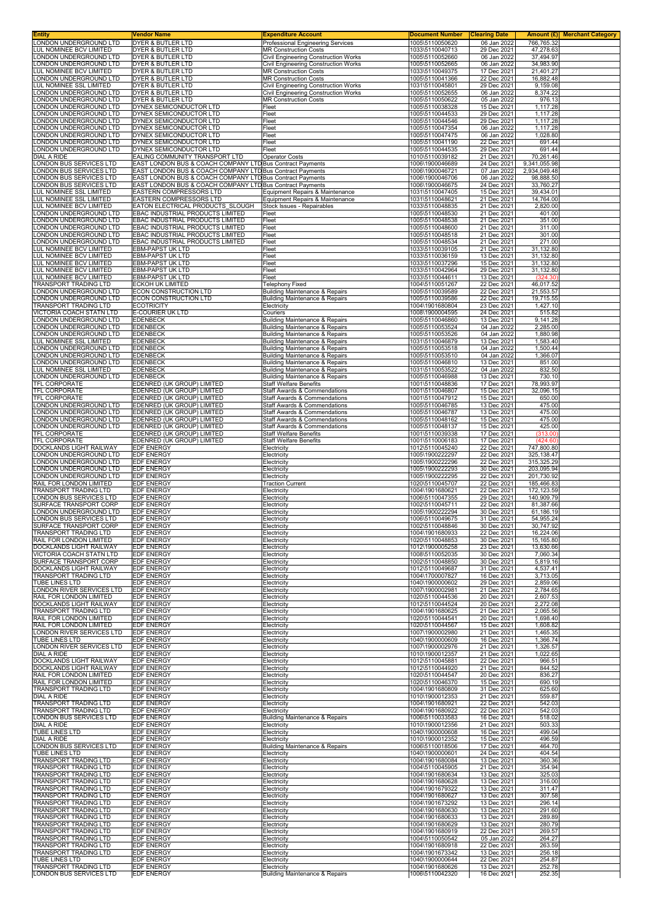| Entity<br>LONDON UNDERGROUND LTD                         | Vendor Name                                                                                                            | <b>Expenditure Account</b>                                                  | <b>Document Number</b><br>1005\5110050620 | <b>Clearing Date</b>       | <b>Merchant Category</b><br>Amount (£) |
|----------------------------------------------------------|------------------------------------------------------------------------------------------------------------------------|-----------------------------------------------------------------------------|-------------------------------------------|----------------------------|----------------------------------------|
| LUL NOMINEE BCV LIMITED                                  | DYER & BUTLER LTD<br>DYER & BUTLER LTD                                                                                 | <b>Professional Engineering Services</b><br><b>MR Construction Costs</b>    | 1033\5110040713                           | 06 Jan 2022<br>29 Dec 2021 | 766,765.32<br>47,278.63                |
| ONDON UNDERGROUND LTD                                    | DYER & BUTLER LTD                                                                                                      | Civil Engineering Construction Works                                        | 1005\5110052660                           | 06 Jan 2022                | 37,494.97                              |
| ONDON UNDERGROUND LTD<br><b>UL NOMINEE BCV LIMITED</b>   | <b>DYER &amp; BUTLER LTD</b><br>DYER & BUTLER LTD                                                                      | <b>Civil Engineering Construction Works</b><br><b>MR Construction Costs</b> | 1005\5110052665<br>1033\5110049375        | 06 Jan 2022<br>17 Dec 2021 | 34,983.90<br>21,401.27                 |
| ONDON UNDERGROUND LTD                                    | DYER & BUTLER LTD                                                                                                      | <b>MR Construction Costs</b>                                                | 1005\5110041366                           | 22 Dec 2021                | 16,882.48                              |
| UL NOMINEE SSL LIMITED                                   | DYER & BUTLER LTD                                                                                                      | <b>Civil Engineering Construction Works</b>                                 | 1031\5110045801                           | 29 Dec 2021                | 9,159.08                               |
| ONDON UNDERGROUND LTD<br>ONDON UNDERGROUND LTD           | DYER & BUTLER LTD<br>DYER & BUTLER LTD                                                                                 | <b>Civil Engineering Construction Works</b><br><b>MR Construction Costs</b> | 1005\5110052655<br>1005\5110050622        | 06 Jan 2022<br>05 Jan 2022 | 8,374.22<br>976.13                     |
| ONDON UNDERGROUND LTD                                    | DYNEX SEMICONDUCTOR LTD                                                                                                | Fleet                                                                       | 1005\5110038328                           | 15 Dec 2021                | 1,117.28                               |
| ONDON UNDERGROUND LTD<br>ONDON UNDERGROUND LTD           | DYNEX SEMICONDUCTOR LTD<br>DYNEX SEMICONDUCTOR LTD                                                                     | Fleet<br>Fleet                                                              | 1005\5110044533<br>1005\5110044546        | 29 Dec 2021<br>29 Dec 2021 | 1,117.28<br>1,117.28                   |
| ONDON UNDERGROUND LTD                                    | DYNEX SEMICONDUCTOR LTD                                                                                                | Fleet                                                                       | 1005\5110047354                           | 06 Jan 2022                | 1,117.28                               |
| ONDON UNDERGROUND LTD.<br>ONDON UNDERGROUND LTD          | DYNEX SEMICONDUCTOR LTD<br>DYNEX SEMICONDUCTOR LTD                                                                     | Fleet<br>Fleet                                                              | 1005\5110047475<br>1005\5110041190        | 06 Jan 2022<br>22 Dec 2021 | 1,028.80<br>691.44                     |
| ONDON UNDERGROUND LTD                                    | DYNEX SEMICONDUCTOR LTD                                                                                                | Fleet                                                                       | 1005\5110044535                           | 29 Dec 2021                | 691.44                                 |
| DIAL A RIDE                                              | EALING COMMUNITY TRANSPORT LTD                                                                                         | <b>Operator Costs</b>                                                       | 1010\5110039182                           | 21 Dec 2021                | 70,261.46                              |
| ONDON BUS SERVICES LTD<br>ONDON BUS SERVICES LTD         | EAST LONDON BUS & COACH COMPANY LTD Bus Contract Payments<br>EAST LONDON BUS & COACH COMPANY LTD Bus Contract Payments |                                                                             | 1006\1900046689<br>1006\1900046721        | 24 Dec 2021<br>07 Jan 2022 | 9,341,055.98<br>2,934,049.48           |
| ONDON BUS SERVICES LTD                                   | EAST LONDON BUS & COACH COMPANY LTD Bus Contract Payments                                                              |                                                                             | 1006\1900046706                           | 06 Jan 2022                | 98,888.50                              |
| ONDON BUS SERVICES LTD<br>LUL NOMINEE SSL LIMITED        | EAST LONDON BUS & COACH COMPANY LTD Bus Contract Payments<br><b>EASTERN COMPRESSORS LTD</b>                            | Equipment Repairs & Maintenance                                             | 1006\1900046675<br>1031\5110047405        | 24 Dec 2021<br>15 Dec 2021 | 33,760.27<br>39,434.01                 |
| LUL NOMINEE SSL LIMITED                                  | EASTERN COMPRESSORS LTD                                                                                                | Equipment Repairs & Maintenance                                             | 1031\5110048621                           | 21 Dec 2021                | 14,764.00                              |
| UL NOMINEE BCV LIMITED<br>ONDON UNDERGROUND LTD          | EATON ELECTRICAL PRODUCTS SLOUGH<br>EBAC INDUSTRIAL PRODUCTS LIMITED                                                   | Stock Issues - Repairables<br>Fleet                                         | 1033\5110048835<br>1005\5110048530        | 21 Dec 2021<br>21 Dec 2021 | 2,820.00<br>401.00                     |
| ONDON UNDERGROUND LTD                                    | EBAC INDUSTRIAL PRODUCTS LIMITED                                                                                       | Fleet                                                                       | 1005\5110048538                           | 21 Dec 2021                | 351.00                                 |
| ONDON UNDERGROUND LTD.                                   | EBAC INDUSTRIAL PRODUCTS LIMITED                                                                                       | Fleet                                                                       | 1005\5110048600                           | 21 Dec 2021                | 311.00                                 |
| ONDON UNDERGROUND LTD<br>ONDON UNDERGROUND LTD           | EBAC INDUSTRIAL PRODUCTS LIMITED<br>EBAC INDUSTRIAL PRODUCTS LIMITED                                                   | Fleet<br>Fleet                                                              | 1005\5110048518<br>1005\5110048534        | 21 Dec 2021<br>21 Dec 2021 | 301.00<br>271.00                       |
| UL NOMINEE BCV LIMITED                                   | <b>EBM-PAPST UK LTD</b>                                                                                                | Fleet                                                                       | 1033\5110039105                           | 21 Dec 2021                | 31,132.80                              |
| LUL NOMINEE BCV LIMITED<br>LUL NOMINEE BCV LIMITED       | <b>EBM-PAPST UK LTD</b><br><b>EBM-PAPST UK LTD</b>                                                                     | Fleet<br>Fleet                                                              | 1033\5110036159<br>1033\5110037296        | 13 Dec 2021<br>15 Dec 2021 | 31,132.80<br>31,132.80                 |
| LUL NOMINEE BCV LIMITED                                  | <b>EBM-PAPST UK LTD</b>                                                                                                | Fleet                                                                       | 1033\5110042964                           | 29 Dec 2021                | 31,132.80                              |
| LUL NOMINEE BCV LIMITED<br>TRANSPORT TRADING LTD         | <b>EBM-PAPST UK LTD</b><br><b>ECKOH UK LIMITED</b>                                                                     | Fleet<br><b>Telephony Fixed</b>                                             | 1033\5110044611<br>1004\5110051267        | 13 Dec 2021<br>22 Dec 2021 | (324.30)<br>46,017.52                  |
| ONDON UNDERGROUND LTD                                    | ECON CONSTRUCTION LTD                                                                                                  | <b>Building Maintenance &amp; Repairs</b>                                   | 1005\5110039589                           | 22 Dec 2021                | 21,553.57                              |
| ONDON UNDERGROUND LTD                                    | ECON CONSTRUCTION LTD                                                                                                  | <b>Building Maintenance &amp; Repairs</b>                                   | 1005\5110039586                           | 22 Dec 2021                | 19,715.55                              |
| <b>FRANSPORT TRADING LTD</b><br>VICTORIA COACH STATN LTD | <b>ECOTRICITY</b><br><b>E-COURIER UK LTD</b>                                                                           | Electricity<br>Couriers                                                     | 1004\1901680804<br>1008\1900004595        | 23 Dec 2021<br>24 Dec 2021 | 1,427.10<br>515.82                     |
| ONDON UNDERGROUND LTD                                    | <b>EDENBECK</b>                                                                                                        | Building Maintenance & Repairs                                              | 1005\5110046860                           | 13 Dec 2021                | 9,141.28                               |
| ONDON UNDERGROUND LTD<br>ONDON UNDERGROUND LTD           | <b>EDENBECK</b><br><b>EDENBECK</b>                                                                                     | Building Maintenance & Repairs<br>Building Maintenance & Repairs            | 1005\5110053524<br>1005\5110053526        | 04 Jan 2022<br>04 Jan 2022 | 2,285.00<br>1,880.98                   |
| UL NOMINEE SSL LIMITED                                   | <b>EDENBECK</b>                                                                                                        | <b>Building Maintenance &amp; Repairs</b>                                   | 1031\5110046879                           | 13 Dec 2021                | 1,583.40                               |
| ONDON UNDERGROUND LTD                                    | <b>EDENBECK</b>                                                                                                        | <b>Building Maintenance &amp; Repairs</b>                                   | 1005\5110053518                           | 04 Jan 2022                | 1,500.44                               |
| ONDON UNDERGROUND LTD<br>ONDON UNDERGROUND LTD           | <b>EDENBECK</b><br><b>EDENBECK</b>                                                                                     | <b>Building Maintenance &amp; Repairs</b><br>Building Maintenance & Repairs | 1005\5110053510<br>1005\5110046810        | 04 Jan 2022<br>13 Dec 2021 | 1,366.07<br>851.00                     |
| <b>UL NOMINEE SSL LIMITED</b>                            | <b>EDENBECK</b>                                                                                                        | <b>Building Maintenance &amp; Repairs</b>                                   | 1031\5110053522                           | 04 Jan 2022                | 832.50                                 |
| ONDON UNDERGROUND LTD<br>TFL CORPORATE                   | <b>EDENBECK</b><br>EDENRED (UK GROUP) LIMITED                                                                          | <b>Building Maintenance &amp; Repairs</b><br><b>Staff Welfare Benefits</b>  | 1005\5110046988<br>1001\5110048836        | 13 Dec 2021<br>17 Dec 2021 | 730.10<br>78,993.97                    |
| TFL CORPORATE                                            | EDENRED (UK GROUP) LIMITED                                                                                             | <b>Staff Awards &amp; Commendations</b>                                     | 1001\5110046807                           | 15 Dec 2021                | 32,096.15                              |
| TFL CORPORATE                                            | EDENRED (UK GROUP) LIMITED                                                                                             | Staff Awards & Commendations                                                | 1001\5110047912                           | 15 Dec 2021                | 650.00                                 |
| ONDON UNDERGROUND LTD<br>ONDON UNDERGROUND LTD           | EDENRED (UK GROUP) LIMITED<br>EDENRED (UK GROUP) LIMITED                                                               | <b>Staff Awards &amp; Commendations</b><br>Staff Awards & Commendations     | 1005\5110046785<br>1005\5110046787        | 13 Dec 2021<br>13 Dec 2021 | 475.00<br>475.00                       |
| ONDON UNDERGROUND LTD                                    | EDENRED (UK GROUP) LIMITED                                                                                             | Staff Awards & Commendations                                                | 1005\5110048162                           | 15 Dec 2021                | 475.00                                 |
| ONDON UNDERGROUND LTD<br><b>TFL CORPORATE</b>            | EDENRED (UK GROUP) LIMITED<br>EDENRED (UK GROUP) LIMITED                                                               | Staff Awards & Commendations<br><b>Staff Welfare Benefits</b>               | 1005\5110048137<br>1001\5110039338        | 15 Dec 2021<br>17 Dec 2021 | 425.00<br>(313.00)                     |
| TFL CORPORATE                                            | EDENRED (UK GROUP) LIMITED                                                                                             | <b>Staff Welfare Benefits</b>                                               | 1001\5110006183                           | 17 Dec 2021                | (424.60)                               |
| DOCKLANDS LIGHT RAILWAY                                  | <b>EDF ENERGY</b>                                                                                                      | Electricity                                                                 | 1012\5110045240                           | 22 Dec 2021                | 747,800.80                             |
| LONDON UNDERGROUND LTD<br>ONDON UNDERGROUND LTD          | <b>EDF ENERGY</b><br><b>EDF ENERGY</b>                                                                                 | Electricity<br>Electricity                                                  | 1005\1900222297<br>1005\1900222296        | 22 Dec 2021<br>22 Dec 2021 | 325, 138.47<br>315,325.29              |
| ONDON UNDERGROUND LTD                                    | <b>EDF ENERGY</b>                                                                                                      | Electricity                                                                 | 1005\1900222293                           | 30 Dec 2021                | 203,095.94                             |
| ONDON UNDERGROUND LTD<br>RAIL FOR LONDON LIMITED         | <b>EDF ENERGY</b><br><b>EDF ENERGY</b>                                                                                 | Electricity<br><b>Traction Current</b>                                      | 1005\1900222295<br>1020\5110045707        | 22 Dec 2021<br>22 Dec 2021 | 201,730.92<br>185,466.83               |
| TRANSPORT TRADING LTD                                    | <b>EDF ENERGY</b>                                                                                                      | Electricity                                                                 | 1004\1901680621                           | 22 Dec 2021                | 172,123.59                             |
| ONDON BUS SERVICES LTD                                   | <b>EDF ENERGY</b>                                                                                                      | Electricity                                                                 | 1006\5110047355                           | 29 Dec 2021                | 140,909.79                             |
| SURFACE TRANSPORT CORP<br>ONDON UNDERGROUND LTD          | <b>EDF ENERGY</b><br><b>EDF ENERGY</b>                                                                                 | Electricity<br>Electricity                                                  | 1002\5110045711<br>1005\1900222294        | 22 Dec 2021<br>30 Dec 2021 | 81,387.66<br>61,186.19                 |
| ONDON BUS SERVICES LTD                                   | <b>EDF ENERGY</b>                                                                                                      | Electricity                                                                 | 1006\5110049675                           | 31 Dec 2021                | 54,955.24                              |
| SURFACE TRANSPORT CORP<br>TRANSPORT TRADING LTD          | <b>EDF ENERGY</b><br><b>EDF ENERGY</b>                                                                                 | Electricit\<br>Electricity                                                  | 1002\5110048846<br>1004\1901680933        | 30 Dec 2021<br>22 Dec 2021 | 30,747.92<br>16,224.06                 |
| RAIL FOR LONDON LIMITED                                  | <b>EDF ENERGY</b>                                                                                                      | Electricity                                                                 | 1020\5110048853                           | 30 Dec 2021                | 15,165.80                              |
| DOCKLANDS LIGHT RAILWAY                                  | <b>EDF ENERGY</b>                                                                                                      | Electricity                                                                 | 1012\1900005258                           | 23 Dec 2021                | 13,630.66                              |
| VICTORIA COACH STATN LTD<br>SURFACE TRANSPORT CORP       | <b>EDF ENERGY</b><br><b>EDF ENERGY</b>                                                                                 | Electricity<br>Electricity                                                  | 1008\5110052035<br>1002\5110048850        | 30 Dec 2021<br>30 Dec 2021 | 7,060.34<br>5,819.16                   |
| DOCKLANDS LIGHT RAILWAY                                  | <b>EDF ENERGY</b>                                                                                                      | Electricity                                                                 | 1012\5110049687                           | 31 Dec 2021                | 4,537.41                               |
| TRANSPORT TRADING LTD<br>TUBE LINES LTD                  | <b>EDF ENERGY</b><br><b>EDF ENERGY</b>                                                                                 | Electricity<br>Electricity                                                  | 1004\1700007827<br>1040\1900000602        | 16 Dec 2021<br>29 Dec 2021 | 3,713.05<br>2,859.06                   |
| LONDON RIVER SERVICES LTD                                | <b>EDF ENERGY</b>                                                                                                      | Electricity                                                                 | 1007\1900002981                           | 21 Dec 2021                | 2,784.65                               |
| RAIL FOR LONDON LIMITED                                  | <b>EDF ENERGY</b>                                                                                                      | Electricity                                                                 | 1020\5110044536                           | 20 Dec 2021                | 2,607.53                               |
| DOCKLANDS LIGHT RAILWAY<br>TRANSPORT TRADING LTD         | <b>EDF ENERGY</b><br><b>EDF ENERGY</b>                                                                                 | Electricity<br>Electricity                                                  | 1012\5110044524<br>1004\1901680625        | 20 Dec 2021<br>21 Dec 2021 | 2,272.08<br>2,065.56                   |
| RAIL FOR LONDON LIMITED                                  | <b>EDF ENERGY</b>                                                                                                      | Electricity                                                                 | 1020\5110044541                           | 20 Dec 2021                | 1,698.40                               |
| RAIL FOR LONDON LIMITED<br>LONDON RIVER SERVICES LTD     | <b>EDF ENERGY</b><br><b>EDF ENERGY</b>                                                                                 | Electricity<br>Electricity                                                  | 1020\5110044567<br>1007\1900002980        | 15 Dec 2021<br>21 Dec 2021 | 1,608.82<br>1,465.35                   |
| TUBE LINES LTD                                           | <b>EDF ENERGY</b>                                                                                                      | Electricity                                                                 | 1040\1900000609                           | 16 Dec 2021                | 1,366.74                               |
| LONDON RIVER SERVICES LTD<br>DIAL A RIDE                 | <b>EDF ENERGY</b><br><b>EDF ENERGY</b>                                                                                 | Electricity<br>Electricity                                                  | 1007\1900002976<br>1010\1900012357        | 21 Dec 2021<br>21 Dec 2021 | 1,326.57<br>1,022.65                   |
| DOCKLANDS LIGHT RAILWAY                                  | <b>EDF ENERGY</b>                                                                                                      | Electricity                                                                 | 1012\5110045881                           | 22 Dec 2021                | 966.51                                 |
| DOCKLANDS LIGHT RAILWAY<br>RAIL FOR LONDON LIMITED       | <b>EDF ENERGY</b><br><b>EDF ENERGY</b>                                                                                 | Electricity                                                                 | 1012\5110044920<br>1020\5110044547        | 21 Dec 2021<br>20 Dec 2021 | 844.52<br>836.27                       |
| RAIL FOR LONDON LIMITED                                  | <b>EDF ENERGY</b>                                                                                                      | Electricity<br>Electricity                                                  | 1020\5110046370                           | 15 Dec 2021                | 690.19                                 |
| TRANSPORT TRADING LTD                                    | <b>EDF ENERGY</b>                                                                                                      | Electricity                                                                 | 1004\1901680809                           | 31 Dec 2021                | 625.60                                 |
| DIAL A RIDE<br>TRANSPORT TRADING LTD                     | <b>EDF ENERGY</b><br><b>EDF ENERGY</b>                                                                                 | Electricity<br>Electricity                                                  | 1010\1900012353<br>1004\1901680921        | 21 Dec 2021<br>22 Dec 2021 | 559.87<br>542.03                       |
| TRANSPORT TRADING LTD                                    | <b>EDF ENERGY</b>                                                                                                      | Electricity                                                                 | 1004\1901680922                           | 22 Dec 2021                | 542.03                                 |
| LONDON BUS SERVICES LTD<br>DIAL A RIDE                   | <b>EDF ENERGY</b><br><b>EDF ENERGY</b>                                                                                 | <b>Building Maintenance &amp; Repairs</b><br>Electricity                    | 1006\5110033583<br>1010\1900012356        | 16 Dec 2021<br>21 Dec 2021 | 518.02<br>503.33                       |
| TUBE LINES LTD                                           | <b>EDF ENERGY</b>                                                                                                      | Electricity                                                                 | 1040\1900000608                           | 16 Dec 2021                | 499.04                                 |
| DIAL A RIDE<br>ONDON BUS SERVICES LTD                    | <b>EDF ENERGY</b><br><b>EDF ENERGY</b>                                                                                 | Electricity<br>Building Maintenance & Repairs                               | 1010\1900012352<br>1006\5110018506        | 15 Dec 2021<br>17 Dec 2021 | 496.59<br>464.70                       |
| TUBE LINES LTD                                           | <b>EDF ENERGY</b>                                                                                                      | Electricity                                                                 | 1040\1900000601                           | 24 Dec 2021                | 404.54                                 |
| TRANSPORT TRADING LTD                                    | <b>EDF ENERGY</b>                                                                                                      | Electricity                                                                 | 1004\1901680084                           | 13 Dec 2021                | 360.36                                 |
| TRANSPORT TRADING LTD<br><b>TRANSPORT TRADING LTD</b>    | <b>EDF ENERGY</b><br><b>EDF ENERGY</b>                                                                                 | Electricity<br>Electricity                                                  | 1004\5110045905<br>1004\1901680634        | 21 Dec 2021<br>13 Dec 2021 | 354.94<br>325.03                       |
| TRANSPORT TRADING LTD                                    | <b>EDF ENERGY</b>                                                                                                      | Electricity                                                                 | 1004\1901680628                           | 13 Dec 2021                | 316.00                                 |
| TRANSPORT TRADING LTD<br>TRANSPORT TRADING LTD           | <b>EDF ENERGY</b><br><b>EDF ENERGY</b>                                                                                 | Electricity                                                                 | 1004\1901679322<br>1004\1901680627        | 13 Dec 2021<br>13 Dec 2021 | 311.47<br>307.58                       |
| TRANSPORT TRADING LTD                                    | <b>EDF ENERGY</b>                                                                                                      | Electricity<br>Electricity                                                  | 1004\1901673292                           | 13 Dec 2021                | 296.14                                 |
| TRANSPORT TRADING LTD                                    | <b>EDF ENERGY</b>                                                                                                      | Electricity                                                                 | 1004\1901680630                           | 13 Dec 2021                | 291.60                                 |
| TRANSPORT TRADING LTD<br><b>TRANSPORT TRADING LTD</b>    | <b>EDF ENERGY</b><br><b>EDF ENERGY</b>                                                                                 | Electricity<br>Electricity                                                  | 1004\1901680633<br>1004\1901680629        | 13 Dec 2021<br>13 Dec 2021 | 289.89<br>280.79                       |
| TRANSPORT TRADING LTD                                    | <b>EDF ENERGY</b>                                                                                                      | Electricity                                                                 | 1004\1901680919                           | 22 Dec 2021                | 269.57                                 |
| TRANSPORT TRADING LTD<br>TRANSPORT TRADING LTD           | <b>EDF ENERGY</b><br><b>EDF ENERGY</b>                                                                                 | Electricity<br>Electricity                                                  | 1004\5110050542<br>1004\1901680918        | 05 Jan 2022<br>22 Dec 2021 | 264.27<br>263.59                       |
| TRANSPORT TRADING LTD                                    | <b>EDF ENERGY</b>                                                                                                      | Electricity                                                                 | 1004\1901673342                           | 13 Dec 2021                | 256.18                                 |
| TUBE LINES LTD                                           | <b>EDF ENERGY</b>                                                                                                      | Electricity                                                                 | 1040\1900000644                           | 22 Dec 2021                | 254.87                                 |
| TRANSPORT TRADING LTD<br>LONDON BUS SERVICES LTD         | <b>EDF ENERGY</b><br><b>EDF ENERGY</b>                                                                                 | Electricity<br><b>Building Maintenance &amp; Repairs</b>                    | 1004\1901680626<br>1006\5110042320        | 13 Dec 2021<br>16 Dec 2021 | 252.78<br>252.35                       |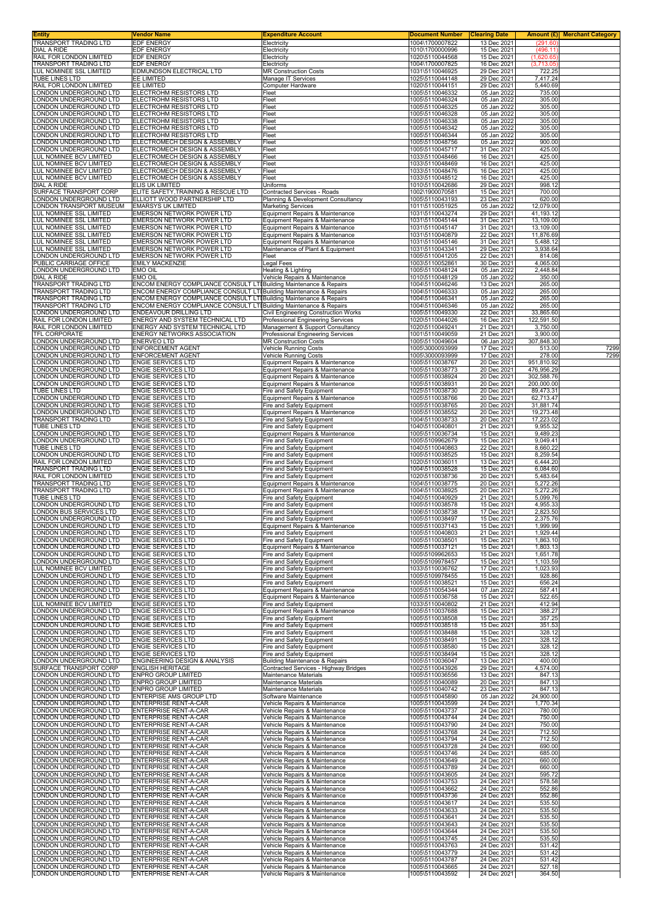| Entity<br>TRANSPORT TRADING LTD                                 | Vendor Name<br><b>EDF ENERGY</b>                                                                                                         | <b>Expenditure Account</b><br>Electricity                                 | <b>Document Number</b><br>1004\1700007822 | <b>Clearing Date</b><br>13 Dec 2021 | Amount (£) <br>(291.60)  | <b>Merchant Category</b> |
|-----------------------------------------------------------------|------------------------------------------------------------------------------------------------------------------------------------------|---------------------------------------------------------------------------|-------------------------------------------|-------------------------------------|--------------------------|--------------------------|
| DIAL A RIDE                                                     | EDF ENERGY                                                                                                                               | Electricity                                                               | 1010\1700000996                           | 15 Dec 2021                         | (496.11)                 |                          |
| RAIL FOR LONDON LIMITED                                         | <b>EDF ENERGY</b>                                                                                                                        | Electricity                                                               | 1020\5110044568<br>1004\1700007825        | 15 Dec 2021                         | (1,620.65)               |                          |
| TRANSPORT TRADING LTD<br><b>UL NOMINEE SSL LIMITED</b>          | EDF ENERGY<br>EDMUNDSON ELECTRICAL LTD                                                                                                   | Electricity<br><b>MR Construction Costs</b>                               | 1031\5110046925                           | 16 Dec 2021<br>29 Dec 2021          | (3,713.05)<br>722.25     |                          |
| <b>TUBE LINES LTD</b>                                           | EE LIMITED                                                                                                                               | Manage IT Services                                                        | 1025\5110044148                           | 29 Dec 2021                         | 7,417.24                 |                          |
| RAIL FOR LONDON LIMITED<br>ONDON UNDERGROUND LTD                | EE LIMITED<br>ELECTROHM RESISTORS LTD                                                                                                    | Computer Hardware<br>Fleet                                                | 1020\5110044151<br>1005\5110046332        | 29 Dec 2021<br>05 Jan 2022          | 5,440.69<br>735.00       |                          |
| ONDON UNDERGROUND LTD                                           | ELECTROHM RESISTORS LTD                                                                                                                  | Fleet                                                                     | 1005\5110046324                           | 05 Jan 2022                         | 305.00                   |                          |
| ONDON UNDERGROUND LTD<br>ONDON UNDERGROUND LTD                  | ELECTROHM RESISTORS LTD<br>ELECTROHM RESISTORS LTD                                                                                       | Fleet<br>Fleet                                                            | 1005\5110046325<br>1005\5110046328        | 05 Jan 2022<br>05 Jan 2022          | 305.00<br>305.00         |                          |
| ONDON UNDERGROUND LTD                                           | ELECTROHM RESISTORS LTD                                                                                                                  | Fleet                                                                     | 1005\5110046338                           | 05 Jan 2022                         | 305.00                   |                          |
| ONDON UNDERGROUND LTD<br>ONDON UNDERGROUND LTD.                 | ELECTROHM RESISTORS LTD<br>ELECTROHM RESISTORS LTD                                                                                       | Fleet<br>Fleet                                                            | 1005\5110046342<br>1005\5110046344        | 05 Jan 2022<br>05 Jan 2022          | 305.00<br>305.00         |                          |
| ONDON UNDERGROUND LTD                                           | ELECTROMECH DESIGN & ASSEMBLY                                                                                                            | Fleet                                                                     | 1005\5110048756                           | 05 Jan 2022                         | 900.00                   |                          |
| ONDON UNDERGROUND LTD<br><b>LUL NOMINEE BCV LIMITED</b>         | ELECTROMECH DESIGN & ASSEMBLY<br>ELECTROMECH DESIGN & ASSEMBLY                                                                           | Fleet<br>Fleet                                                            | 1005\5110045717<br>1033\5110048466        | 31 Dec 2021<br>16 Dec 2021          | 425.00<br>425.00         |                          |
| <b>LUL NOMINEE BCV LIMITED</b>                                  | ELECTROMECH DESIGN & ASSEMBLY                                                                                                            | Fleet                                                                     | 1033\5110048469                           | 16 Dec 2021                         | 425.00                   |                          |
| <b>UL NOMINEE BCV LIMITED</b><br><b>LUL NOMINEE BCV LIMITED</b> | ELECTROMECH DESIGN & ASSEMBLY<br>ELECTROMECH DESIGN & ASSEMBLY                                                                           | Fleet<br>Fleet                                                            | 1033\5110048476<br>1033\5110048512        | 16 Dec 2021<br>16 Dec 2021          | 425.00<br>425.00         |                          |
| DIAL A RIDE                                                     | ELIS UK LIMITED                                                                                                                          | Uniforms                                                                  | 1010\5110042686                           | 29 Dec 2021                         | 998.12                   |                          |
| SURFACE TRANSPORT CORP<br>ONDON UNDERGROUND LTD                 | ELITE SAFETY, TRAINING & RESCUE LTD<br>ELLIOTT WOOD PARTNERSHIP LTD                                                                      | Contracted Services - Roads<br>Planning & Development Consultancy         | 1002\1900070581<br>1005\5110043193        | 15 Dec 2021<br>23 Dec 2021          | 700.00<br>620.00         |                          |
| ONDON TRANSPORT MUSEUM                                          | <b>EMARSYS UK LIMITED</b>                                                                                                                | <b>Marketing Services</b>                                                 | 1011\5110051925                           | 05 Jan 2022                         | 12,079.00                |                          |
| <b>UL NOMINEE SSL LIMITED</b><br><b>UL NOMINEE SSL LIMITED</b>  | <b>EMERSON NETWORK POWER LTD</b><br>EMERSON NETWORK POWER LTD                                                                            | Equipment Repairs & Maintenance<br>Equipment Repairs & Maintenance        | 1031\5110043274<br>1031\5110045144        | 29 Dec 2021<br>31 Dec 2021          | 41,193.12<br>13,109.00   |                          |
| LUL NOMINEE SSL LIMITED                                         | EMERSON NETWORK POWER LTD                                                                                                                | Equipment Repairs & Maintenance                                           | 1031\5110045147                           | 31 Dec 2021                         | 13,109.00                |                          |
| LUL NOMINEE SSL LIMITED<br>UL NOMINEE SSL LIMITED               | EMERSON NETWORK POWER LTD<br>EMERSON NETWORK POWER LTD                                                                                   | Equipment Repairs & Maintenance<br>Equipment Repairs & Maintenance        | 1031\5110040879<br>1031\5110045146        | 22 Dec 2021<br>31 Dec 2021          | 11,876.69<br>5,488.12    |                          |
| <b>UL NOMINEE SSL LIMITED</b>                                   | EMERSON NETWORK POWER LTD                                                                                                                | Maintenance of Plant & Equipment                                          | 1031\5110043341                           | 29 Dec 2021                         | 3,938.64                 |                          |
| ONDON UNDERGROUND LTD<br>PUBLIC CARRIAGE OFFICE                 | EMERSON NETWORK POWER LTD<br><b>EMILY MACKENZIE</b>                                                                                      | Fleet<br>Legal Fees                                                       | 1005\5110041205<br>1003\5110052861        | 22 Dec 2021<br>30 Dec 2021          | 814.08<br>4,065.00       |                          |
| ONDON UNDERGROUND LTD                                           | EMO OIL                                                                                                                                  | Heating & Lighting                                                        | 1005\5110048124<br>1010\5110048129        | 05 Jan 2022<br>05 Jan 2022          | 2,448.84                 |                          |
| DIAL A RIDE<br>TRANSPORT TRADING LTD                            | EMO OIL<br>ENCOM ENERGY COMPLIANCE CONSULT LTI Building Maintenance & Repairs                                                            | Vehicle Repairs & Maintenance                                             | 1004\5110046246                           | 13 Dec 2021                         | 350.00<br>265.00         |                          |
| <b>FRANSPORT TRADING LTD</b>                                    | ENCOM ENERGY COMPLIANCE CONSULT LTI Building Maintenance & Repairs                                                                       |                                                                           | 1004\5110046333                           | 05 Jan 2022<br>05 Jan 2022          | 265.00                   |                          |
| <b>FRANSPORT TRADING LTD</b><br>TRANSPORT TRADING LTD           | ENCOM ENERGY COMPLIANCE CONSULT LTI Building Maintenance & Repairs<br>ENCOM ENERGY COMPLIANCE CONSULT LTI Building Maintenance & Repairs |                                                                           | 1004\5110046341<br>1004\5110046346        | 05 Jan 2022                         | 265.00<br>265.00         |                          |
| ONDON UNDERGROUND LTD<br>RAIL FOR LONDON LIMITED                | <b>ENDEAVOUR DRILLING LTD</b><br>ENERGY AND SYSTEM TECHNICAL LTD                                                                         | Civil Engineering Construction Works<br>Professional Engineering Services | 1005\5110049330<br>1020\5110044026        | 22 Dec 2021<br>16 Dec 2021          | 33,865.60<br>122,591.50  |                          |
| RAIL FOR LONDON LIMITED                                         | ENERGY AND SYSTEM TECHNICAL LTD                                                                                                          | Management & Support Consultancy                                          | 1020\5110049241                           | 21 Dec 2021                         | 3,750.00                 |                          |
| TFL CORPORATE<br>ONDON UNDERGROUND LTD                          | ENERGY NETWORKS ASSOCIATION<br><b>ENERVEO LTD</b>                                                                                        | Professional Engineering Services<br><b>MR Construction Costs</b>         | 1001\5110049059<br>1005\5110049604        | 21 Dec 2021<br>06 Jan 2022          | 3,900.00<br>307,848.30   |                          |
| ONDON UNDERGROUND LTD                                           | ENFORCEMENT AGENT                                                                                                                        | Vehicle Running Costs                                                     | 1005\3000093999                           | 17 Dec 2021                         | 513.00                   | 7299                     |
| ONDON UNDERGROUND LTD<br>ONDON UNDERGROUND LTD                  | ENFORCEMENT AGENT<br><b>ENGIE SERVICES LTD</b>                                                                                           | Vehicle Running Costs<br>Equipment Repairs & Maintenance                  | 1005\3000093999<br>1005\5110038767        | 17 Dec 2021<br>20 Dec 2021          | 278.00<br>951,810.92     | 7299                     |
| ONDON UNDERGROUND LTD                                           | <b>ENGIE SERVICES LTD</b>                                                                                                                | Equipment Repairs & Maintenance                                           | 1005\5110038773                           | 20 Dec 2021                         | 476,956.29               |                          |
| ONDON UNDERGROUND LTD<br>ONDON UNDERGROUND LTD                  | <b>ENGIE SERVICES LTD</b><br>ENGIE SERVICES LTD                                                                                          | Equipment Repairs & Maintenance<br>Equipment Repairs & Maintenance        | 1005\5110038924<br>1005\5110038931        | 20 Dec 2021<br>20 Dec 2021          | 302,588.76<br>200,000.00 |                          |
| <b>TUBE LINES LTD</b>                                           | ENGIE SERVICES LTD                                                                                                                       | Fire and Safety Equipment                                                 | 1025\5110038730                           | 20 Dec 2021                         | 89,473.31                |                          |
| ONDON UNDERGROUND LTD<br>ONDON UNDERGROUND LTD.                 | <b>ENGIE SERVICES LTD</b><br><b>ENGIE SERVICES LTD</b>                                                                                   | Equipment Repairs & Maintenance<br>Fire and Safety Equipment              | 1005\5110038766<br>1005\5110038765        | 20 Dec 2021<br>20 Dec 2021          | 62,713.47<br>31,881.74   |                          |
| ONDON UNDERGROUND LTD<br><b>TRANSPORT TRADING LTD</b>           | ENGIE SERVICES LTD<br><b>ENGIE SERVICES LTD</b>                                                                                          | Equipment Repairs & Maintenance<br>Fire and Safety Equipment              | 1005\5110038552<br>1004\5110038733        | 20 Dec 2021<br>20 Dec 2021          | 19,273.48<br>17,223.02   |                          |
| <b>TUBE LINES LTD</b>                                           | <b>ENGIE SERVICES LTD</b>                                                                                                                | Fire and Safety Equipment                                                 | 1040\5110040801                           | 21 Dec 2021                         | 9,955.32                 |                          |
| ONDON UNDERGROUND LTD<br>ONDON UNDERGROUND LTD                  | <b>ENGIE SERVICES LTD</b><br><b>ENGIE SERVICES LTD</b>                                                                                   | Equipment Repairs & Maintenance<br>Fire and Safety Equipment              | 1005\5110036734<br>1005\5109962679        | 15 Dec 2021<br>15 Dec 2021          | 9,489.23<br>9,049.41     |                          |
| TUBE LINES LTD                                                  | <b>ENGIE SERVICES LTD</b>                                                                                                                | Fire and Safety Equipment                                                 | 1040\5110040863                           | 22 Dec 2021                         | 8,660.22                 |                          |
| ONDON UNDERGROUND LTD<br>RAIL FOR LONDON LIMITED                | ENGIE SERVICES LTD<br><b>ENGIE SERVICES LTD</b>                                                                                          | Fire and Safety Equipment<br>Fire and Safety Equipment                    | 1005\5110038525<br>1020\5110036011        | 15 Dec 2021<br>13 Dec 2021          | 8,259.54<br>6,444.20     |                          |
| <b>TRANSPORT TRADING LTD</b>                                    | <b>ENGIE SERVICES LTD</b>                                                                                                                | Fire and Safety Equipment                                                 | 1004\5110038528                           | 15 Dec 2021                         | 6,084.60                 |                          |
| RAIL FOR LONDON LIMITED<br>TRANSPORT TRADING LTD                | <b>ENGIE SERVICES LTD</b><br>ENGIE SERVICES LTD                                                                                          | Fire and Safety Equipment<br>Equipment Repairs & Maintenance              | 1020\5110038736<br>1004\5110038775        | 20 Dec 2021<br>20 Dec 2021          | 5,483.64<br>5,272.26     |                          |
| <b>TRANSPORT TRADING LTD</b><br>TUBE LINES LTD                  | <b>ENGIE SERVICES LTD</b><br><b>ENGIE SERVICES LTD</b>                                                                                   | Equipment Repairs & Maintenance                                           | 1004\5110038925                           | 20 Dec 2021                         | 5,272.26                 |                          |
| ONDON UNDERGROUND LTD                                           | ENGIE SERVICES LTD                                                                                                                       | Fire and Safety Equipment<br>Fire and Safety Equipment                    | 1040\5110040929<br>1005\5110038578        | 21 Dec 2021<br>15 Dec 2021          | 5,099.76<br>4,955.33     |                          |
| ONDON BUS SERVICES LTD<br>ONDON UNDERGROUND LTD                 | <b>ENGIE SERVICES LTD</b><br><b>ENGIE SERVICES LTD</b>                                                                                   | Fire and Safety Equipment<br>Fire and Safety Equipment                    | 1006\5110038738<br>1005\5110038497        | 17 Dec 2021<br>15 Dec 2021          | 2,823.50<br>2,375.76     |                          |
| ONDON UNDERGROUND LTD.                                          | ENGIE SERVICES LTD                                                                                                                       | Equipment Repairs & Maintenance                                           | 1005\5110037143                           | 15 Dec 2021                         | 1.999.99                 |                          |
| ONDON UNDERGROUND LTD<br>LONDON UNDERGROUND LTD                 | <b>ENGIE SERVICES LTD</b><br><b>ENGIE SERVICES LTD</b>                                                                                   | Fire and Safety Equipment<br>Fire and Safety Equipment                    | 1005\5110040803<br>1005\5110038501        | 21 Dec 2021<br>15 Dec 2021          | 1,929.44<br>1,863.10     |                          |
| LONDON UNDERGROUND LTD                                          | ENGIE SERVICES LTD                                                                                                                       | Equipment Repairs & Maintenance                                           | 1005\5110037121                           | 15 Dec 2021                         | 1,803.13                 |                          |
| LONDON UNDERGROUND LTD<br>ONDON UNDERGROUND LTD                 | ENGIE SERVICES LTD<br>ENGIE SERVICES LTD                                                                                                 | Fire and Safety Equipment<br>Fire and Safety Equipment                    | 1005\5109962653<br>1005\5109978457        | 15 Dec 2021<br>15 Dec 2021          | 1,651.78<br>1,103.59     |                          |
| LUL NOMINEE BCV LIMITED                                         | ENGIE SERVICES LTD                                                                                                                       | Fire and Safety Equipment                                                 | 1033\5110036762                           | 17 Dec 2021                         | 1,023.93                 |                          |
| ONDON UNDERGROUND LTD<br>LONDON UNDERGROUND LTD                 | ENGIE SERVICES LTD<br><b>ENGIE SERVICES LTD</b>                                                                                          | Fire and Safety Equipment<br>Fire and Safety Equipment                    | 1005\5109978455<br>1005\5110038521        | 15 Dec 2021<br>15 Dec 2021          | 928.86<br>656.24         |                          |
| LONDON UNDERGROUND LTD                                          | <b>ENGIE SERVICES LTD</b>                                                                                                                | Equipment Repairs & Maintenance                                           | 1005\5110054344                           | 07 Jan 2022                         | 587.41                   |                          |
| ONDON UNDERGROUND LTD<br>LUL NOMINEE BCV LIMITED                | <b>ENGIE SERVICES LTD</b><br>ENGIE SERVICES LTD                                                                                          | Equipment Repairs & Maintenance<br>Fire and Safety Equipment              | 1005\5110036758<br>1033\5110040802        | 15 Dec 2021<br>21 Dec 2021          | 522.65<br>412.94         |                          |
| ONDON UNDERGROUND LTD                                           | ENGIE SERVICES LTD                                                                                                                       | Equipment Repairs & Maintenance                                           | 1005\5110037688                           | 15 Dec 2021                         | 388.27                   |                          |
| ONDON UNDERGROUND LTD<br>ONDON UNDERGROUND LTD                  | <b>ENGIE SERVICES LTD</b><br>ENGIE SERVICES LTD                                                                                          | Fire and Safety Equipment<br>Fire and Safety Equipment                    | 1005\5110038508<br>1005\5110038518        | 15 Dec 2021<br>15 Dec 2021          | 357.25<br>351.53         |                          |
| LONDON UNDERGROUND LTD<br>LONDON UNDERGROUND LTD                | ENGIE SERVICES LTD<br><b>ENGIE SERVICES LTD</b>                                                                                          | Fire and Safety Equipment<br>Fire and Safety Equipment                    | 1005\5110038488<br>1005\5110038491        | 15 Dec 2021<br>15 Dec 2021          | 328.12<br>328.12         |                          |
| ONDON UNDERGROUND LTD                                           | ENGIE SERVICES LTD                                                                                                                       | Fire and Safety Equipment                                                 | 1005\5110038580                           | 15 Dec 2021                         | 328.12                   |                          |
| ONDON UNDERGROUND LTD<br>ONDON UNDERGROUND LTD                  | ENGIE SERVICES LTD<br>ENGINEERING DESIGN & ANALYSIS                                                                                      | Fire and Safety Equipment<br><b>Building Maintenance &amp; Repairs</b>    | 1005\5110038494<br>1005\5110036047        | 15 Dec 2021<br>13 Dec 2021          | 328.12<br>400.00         |                          |
| SURFACE TRANSPORT CORP                                          | <b>ENGLISH HERITAGE</b>                                                                                                                  | Contracted Services - Highway Bridges                                     | 1002\5110043926                           | 29 Dec 2021                         | 4,574.00                 |                          |
| ONDON UNDERGROUND LTD<br>LONDON UNDERGROUND LTD                 | ENPRO GROUP LIMITED<br>ENPRO GROUP LIMITED                                                                                               | Maintenance Materials<br>Maintenance Materials                            | 1005\5110036556<br>1005\5110040089        | 13 Dec 2021<br>20 Dec 2021          | 847.13<br>847.13         |                          |
| ONDON UNDERGROUND LTD                                           | <b>ENPRO GROUP LIMITED</b>                                                                                                               | Maintenance Materials                                                     | 1005\5110040742                           | 23 Dec 2021                         | 847.13                   |                          |
| ONDON UNDERGROUND LTD<br>ONDON UNDERGROUND LTD                  | ENTERPISE AMS GROUP LTD<br>ENTERPRISE RENT-A-CAR                                                                                         | Software Maintenance<br>Vehicle Repairs & Maintenance                     | 1005\5110045890<br>1005\5110043599        | 05 Jan 2022<br>24 Dec 2021          | 24,900.00<br>1,770.34    |                          |
| ONDON UNDERGROUND LTD<br>ONDON UNDERGROUND LTD                  | ENTERPRISE RENT-A-CAR<br>ENTERPRISE RENT-A-CAR                                                                                           | Vehicle Repairs & Maintenance<br>Vehicle Repairs & Maintenance            | 1005\5110043737<br>1005\5110043744        | 24 Dec 2021<br>24 Dec 2021          | 780.00<br>750.00         |                          |
| ONDON UNDERGROUND LTD                                           | ENTERPRISE RENT-A-CAR                                                                                                                    | Vehicle Repairs & Maintenance                                             | 1005\5110043790                           | 24 Dec 2021                         | 750.00                   |                          |
| ONDON UNDERGROUND LTD<br>ONDON UNDERGROUND LTD                  | ENTERPRISE RENT-A-CAR<br>ENTERPRISE RENT-A-CAR                                                                                           | Vehicle Repairs & Maintenance<br>Vehicle Repairs & Maintenance            | 1005\5110043768<br>1005\5110043794        | 24 Dec 2021<br>24 Dec 2021          | 712.50<br>712.50         |                          |
| ONDON UNDERGROUND LTD                                           | ENTERPRISE RENT-A-CAR                                                                                                                    | Vehicle Repairs & Maintenance                                             | 1005\5110043728                           | 24 Dec 2021                         | 690.00                   |                          |
| ONDON UNDERGROUND LTD<br>ONDON UNDERGROUND LTD                  | <b>ENTERPRISE RENT-A-CAR</b><br>ENTERPRISE RENT-A-CAR                                                                                    | Vehicle Repairs & Maintenance<br>Vehicle Repairs & Maintenance            | 1005\5110043746<br>1005\5110043649        | 24 Dec 2021<br>24 Dec 2021          | 685.00<br>660.00         |                          |
| ONDON UNDERGROUND LTD                                           | ENTERPRISE RENT-A-CAR                                                                                                                    | Vehicle Repairs & Maintenance                                             | 1005\5110043789                           | 24 Dec 2021                         | 660.00                   |                          |
| ONDON UNDERGROUND LTD<br>ONDON UNDERGROUND LTD.                 | ENTERPRISE RENT-A-CAR<br>ENTERPRISE RENT-A-CAR                                                                                           | Vehicle Repairs & Maintenance<br>Vehicle Repairs & Maintenance            | 1005\5110043605<br>1005\5110043753        | 24 Dec 2021<br>24 Dec 2021          | 595.72<br>578.58         |                          |
| ONDON UNDERGROUND LTD<br>ONDON UNDERGROUND LTD                  | ENTERPRISE RENT-A-CAR<br><b>ENTERPRISE RENT-A-CAR</b>                                                                                    | Vehicle Repairs & Maintenance<br>Vehicle Repairs & Maintenance            | 1005\5110043662<br>1005\5110043736        | 24 Dec 2021<br>24 Dec 2021          | 552.86<br>552.86         |                          |
| ONDON UNDERGROUND LTD                                           | ENTERPRISE RENT-A-CAR                                                                                                                    | Vehicle Repairs & Maintenance                                             | 1005\5110043617                           | 24 Dec 2021                         | 535.50                   |                          |
| ONDON UNDERGROUND LTD<br>ONDON UNDERGROUND LTD                  | ENTERPRISE RENT-A-CAR<br>ENTERPRISE RENT-A-CAR                                                                                           | Vehicle Repairs & Maintenance<br>Vehicle Repairs & Maintenance            | 1005\5110043633<br>1005\5110043641        | 24 Dec 2021<br>24 Dec 2021          | 535.50<br>535.50         |                          |
| ONDON UNDERGROUND LTD                                           | ENTERPRISE RENT-A-CAR                                                                                                                    | Vehicle Repairs & Maintenance                                             | 1005\5110043643                           | 24 Dec 2021                         | 535.50                   |                          |
| ONDON UNDERGROUND LTD<br>ONDON UNDERGROUND LTD                  | ENTERPRISE RENT-A-CAR<br>ENTERPRISE RENT-A-CAR                                                                                           | Vehicle Repairs & Maintenance<br>Vehicle Repairs & Maintenance            | 1005\5110043644<br>1005\5110043745        | 24 Dec 2021<br>24 Dec 2021          | 535.50<br>535.50         |                          |
| ONDON UNDERGROUND LTD                                           | ENTERPRISE RENT-A-CAR                                                                                                                    | Vehicle Repairs & Maintenance                                             | 1005\5110043763                           | 24 Dec 2021                         | 531.42                   |                          |
| ONDON UNDERGROUND LTD<br>ONDON UNDERGROUND LTD                  | ENTERPRISE RENT-A-CAR<br>ENTERPRISE RENT-A-CAR                                                                                           | Vehicle Repairs & Maintenance<br>Vehicle Repairs & Maintenance            | 1005\5110043779<br>1005\5110043787        | 24 Dec 2021<br>24 Dec 2021          | 531.42<br>531.42         |                          |
| ONDON UNDERGROUND LTD<br>LONDON UNDERGROUND LTD                 | <b>ENTERPRISE RENT-A-CAR</b><br>ENTERPRISE RENT-A-CAR                                                                                    | Vehicle Repairs & Maintenance<br>Vehicle Repairs & Maintenance            | 1005\5110043665<br>1005\5110043592        | 24 Dec 2021<br>24 Dec 2021          | 527.18<br>364.50         |                          |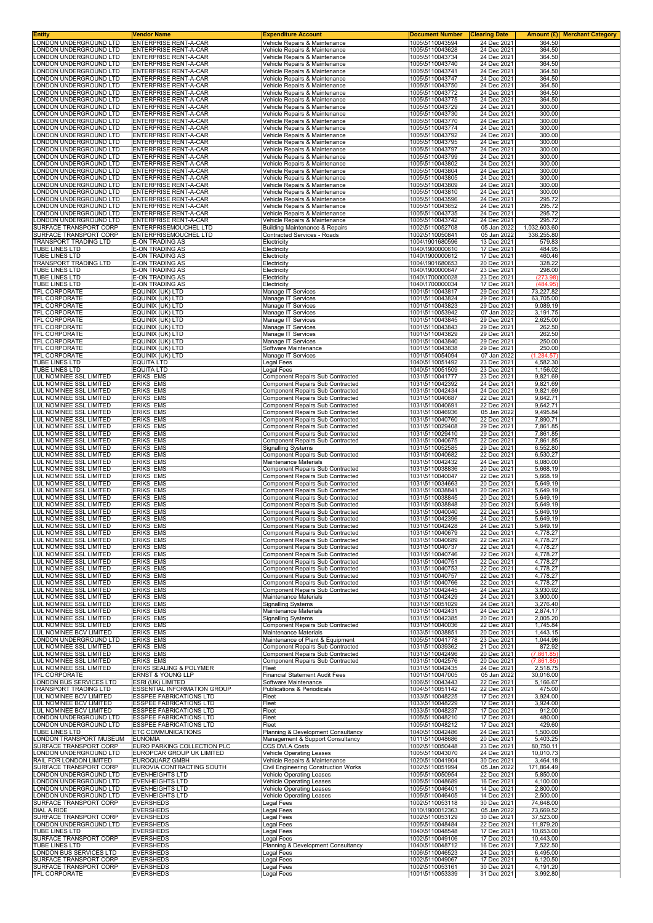| ONDON UNDERGROUND LTD                                     | Vendor Name                                                      | <b>Expenditure Account</b>                                                  | <b>Document Number</b>             | <b>Clearing Date</b>       | Amount $(E)$<br><b>Merchant Category</b> |  |
|-----------------------------------------------------------|------------------------------------------------------------------|-----------------------------------------------------------------------------|------------------------------------|----------------------------|------------------------------------------|--|
| ONDON UNDERGROUND LTD                                     | ENTERPRISE RENT-A-CAR<br><b>ENTERPRISE RENT-A-CAR</b>            | Vehicle Repairs & Maintenance<br>Vehicle Repairs & Maintenance              | 1005\5110043594<br>1005\5110043628 | 24 Dec 2021<br>24 Dec 2021 | 364.50<br>364.50                         |  |
| ONDON UNDERGROUND LTD                                     | ENTERPRISE RENT-A-CAR                                            | Vehicle Repairs & Maintenance                                               | 1005\5110043734                    | 24 Dec 2021                | 364.50                                   |  |
| ONDON UNDERGROUND LTD                                     | <b>ENTERPRISE RENT-A-CAR</b>                                     | Vehicle Repairs & Maintenance                                               | 1005\5110043740                    | 24 Dec 2021                | 364.50                                   |  |
| ONDON UNDERGROUND LTD                                     | <b>ENTERPRISE RENT-A-CAR</b>                                     | Vehicle Repairs & Maintenance                                               | 1005\5110043741                    | 24 Dec 2021                | 364.50                                   |  |
| ONDON UNDERGROUND LTD<br>ONDON UNDERGROUND LTD            | ENTERPRISE RENT-A-CAR<br>ENTERPRISE RENT-A-CAR                   | Vehicle Repairs & Maintenance<br>Vehicle Repairs & Maintenance              | 1005\5110043747<br>1005\5110043750 | 24 Dec 2021<br>24 Dec 2021 | 364.50<br>364.50                         |  |
| ONDON UNDERGROUND LTD                                     | <b>ENTERPRISE RENT-A-CAR</b>                                     | Vehicle Repairs & Maintenance                                               | 1005\5110043772                    | 24 Dec 2021                | 364.50                                   |  |
| ONDON UNDERGROUND LTD<br>ONDON UNDERGROUND LTD            | ENTERPRISE RENT-A-CAR<br><b>ENTERPRISE RENT-A-CAR</b>            | Vehicle Repairs & Maintenance                                               | 1005\5110043775<br>1005\5110043729 | 24 Dec 2021<br>24 Dec 2021 | 364.50<br>300.00                         |  |
| ONDON UNDERGROUND LTD                                     | ENTERPRISE RENT-A-CAR                                            | Vehicle Repairs & Maintenance<br>Vehicle Repairs & Maintenance              | 1005\5110043730                    | 24 Dec 2021                | 300.00                                   |  |
| ONDON UNDERGROUND LTD                                     | ENTERPRISE RENT-A-CAR                                            | Vehicle Repairs & Maintenance                                               | 1005\5110043770                    | 24 Dec 2021                | 300.00                                   |  |
| ONDON UNDERGROUND LTD                                     | ENTERPRISE RENT-A-CAR                                            | Vehicle Repairs & Maintenance                                               | 1005\5110043774                    | 24 Dec 2021                | 300.00                                   |  |
| ONDON UNDERGROUND LTD.<br>ONDON UNDERGROUND LTD           | ENTERPRISE RENT-A-CAR<br>ENTERPRISE RENT-A-CAR                   | Vehicle Repairs & Maintenance<br>Vehicle Repairs & Maintenance              | 1005\5110043792<br>1005\5110043795 | 24 Dec 2021<br>24 Dec 2021 | 300.00<br>300.00                         |  |
| ONDON UNDERGROUND LTD                                     | ENTERPRISE RENT-A-CAR                                            | Vehicle Repairs & Maintenance                                               | 1005\5110043797                    | 24 Dec 2021                | 300.00                                   |  |
| ONDON UNDERGROUND LTD                                     | ENTERPRISE RENT-A-CAR                                            | Vehicle Repairs & Maintenance                                               | 1005\5110043799                    | 24 Dec 2021                | 300.00                                   |  |
| ONDON UNDERGROUND LTD<br>ONDON UNDERGROUND LTD            | ENTERPRISE RENT-A-CAR<br>ENTERPRISE RENT-A-CAR                   | Vehicle Repairs & Maintenance<br>Vehicle Repairs & Maintenance              | 1005\5110043802<br>1005\5110043804 | 24 Dec 2021<br>24 Dec 2021 | 300.00<br>300.00                         |  |
| ONDON UNDERGROUND LTD                                     | <b>ENTERPRISE RENT-A-CAR</b>                                     | Vehicle Repairs & Maintenance                                               | 1005\5110043805                    | 24 Dec 2021                | 300.00                                   |  |
| ONDON UNDERGROUND LTD                                     | ENTERPRISE RENT-A-CAR                                            | Vehicle Repairs & Maintenance                                               | 1005\5110043809                    | 24 Dec 2021                | 300.00                                   |  |
| ONDON UNDERGROUND LTD<br>ONDON UNDERGROUND LTD            | ENTERPRISE RENT-A-CAR<br>ENTERPRISE RENT-A-CAR                   | Vehicle Repairs & Maintenance<br>Vehicle Repairs & Maintenance              | 1005\5110043810<br>1005\5110043596 | 24 Dec 2021<br>24 Dec 2021 | 300.00<br>295.72                         |  |
| ONDON UNDERGROUND LTD.                                    | ENTERPRISE RENT-A-CAR                                            | Vehicle Repairs & Maintenance                                               | 1005\5110043652                    | 24 Dec 2021                | 295.72                                   |  |
| ONDON UNDERGROUND LTD                                     | ENTERPRISE RENT-A-CAR                                            | Vehicle Repairs & Maintenance                                               | 1005\5110043735                    | 24 Dec 2021                | 295.72                                   |  |
| ONDON UNDERGROUND LTD<br>SURFACE TRANSPORT CORP           | ENTERPRISE RENT-A-CAR<br>ENTERPRISEMOUCHEL LTD                   | Vehicle Repairs & Maintenance<br><b>Building Maintenance &amp; Repairs</b>  | 1005\5110043742<br>1002\5110052708 | 24 Dec 2021<br>05 Jan 2022 | 295.72<br>1,032,603.60                   |  |
| SURFACE TRANSPORT CORP                                    | ENTERPRISEMOUCHEL LTD                                            | Contracted Services - Roads                                                 | 1002\5110050841                    | 05 Jan 2022                | 336,255.80                               |  |
| TRANSPORT TRADING LTD                                     | E-ON TRADING AS                                                  | Electricity                                                                 | 1004\1901680596                    | 13 Dec 2021                | 579.83                                   |  |
| <b>TUBE LINES LTD</b>                                     | E-ON TRADING AS                                                  | Electricity                                                                 | 1040\1900000610<br>1040\1900000612 | 17 Dec 2021                | 484.95<br>460.46                         |  |
| <b>TUBE LINES LTD</b><br><b>TRANSPORT TRADING LTD</b>     | E-ON TRADING AS<br><b>E-ON TRADING AS</b>                        | Electricity<br>Electricity                                                  | 1004\1901680653                    | 17 Dec 2021<br>20 Dec 2021 | 328.22                                   |  |
| <b>TUBE LINES LTD</b>                                     | E-ON TRADING AS                                                  | Electricity                                                                 | 1040\1900000647                    | 23 Dec 2021                | 298.00                                   |  |
| TUBE LINES LTD                                            | E-ON TRADING AS                                                  | Electricity                                                                 | 1040\1700000028                    | 23 Dec 2021                | (273.98)                                 |  |
| <b>TUBE LINES LTD</b><br><b>TFL CORPORATE</b>             | E-ON TRADING AS<br>EQUINIX (UK) LTD                              | Electricity<br>Manage IT Services                                           | 1040\1700000034<br>1001\5110043817 | 17 Dec 2021<br>29 Dec 2021 | (484.95)<br>73,227.82                    |  |
| TFL CORPORATE                                             | EQUINIX (UK) LTD                                                 | Manage IT Services                                                          | 1001\5110043824                    | 29 Dec 2021                | 63,705.00                                |  |
| TFL CORPORATE                                             | EQUINIX (UK) LTD                                                 | Manage IT Services                                                          | 1001\5110043823                    | 29 Dec 2021                | 9,089.19                                 |  |
| TFL CORPORATE<br>TFL CORPORATE                            | EQUINIX (UK) LTD<br>EQUINIX (UK) LTD                             | Manage IT Services<br>Manage IT Services                                    | 1001\5110053942<br>1001\5110043845 | 07 Jan 2022<br>29 Dec 2021 | 3,191.75<br>2,625.00                     |  |
| TFL CORPORATE                                             | EQUINIX (UK) LTD                                                 | Manage IT Services                                                          | 1001\5110043843                    | 29 Dec 2021                | 262.50                                   |  |
| TFL CORPORATE                                             | EQUINIX (UK) LTD                                                 | Manage IT Services                                                          | 1001\5110043829                    | 29 Dec 2021                | 262.50                                   |  |
| TFL CORPORATE                                             | EQUINIX (UK) LTD                                                 | Manage IT Services                                                          | 1001\5110043840                    | 29 Dec 2021                | 250.00                                   |  |
| TFL CORPORATE<br>TFL CORPORATE                            | EQUINIX (UK) LTD<br>EQUINIX (UK) LTD                             | Software Maintenance<br>Manage IT Services                                  | 1001\5110043838<br>1001\5110054094 | 29 Dec 2021<br>07 Jan 2022 | 250.00<br>(1, 284.57)                    |  |
| TUBE LINES LTD                                            | <b>EQUITA LTD</b>                                                | Legal Fees                                                                  | 1040\5110051492                    | 23 Dec 2021                | 4,582.30                                 |  |
| TUBE LINES LTD                                            | <b>EQUITA LTD</b>                                                | Legal Fees                                                                  | 1040\5110051509                    | 23 Dec 2021                | 1,156.02                                 |  |
| <b>UL NOMINEE SSL LIMITED</b><br>LUL NOMINEE SSL LIMITED  | <b>ERIKS EMS</b><br>ERIKS EMS                                    | Component Repairs Sub Contracted<br>Component Repairs Sub Contracted        | 1031\5110041777<br>1031\5110042392 | 23 Dec 2021<br>24 Dec 2021 | 9,821.69<br>9,821.69                     |  |
| <b>UL NOMINEE SSL LIMITED</b>                             | ERIKS EMS                                                        | Component Repairs Sub Contracted                                            | 1031\5110042434                    | 24 Dec 2021                | 9,821.69                                 |  |
| <b>UL NOMINEE SSL LIMITED</b>                             | <b>ERIKS EMS</b>                                                 | <b>Component Repairs Sub Contracted</b>                                     | 1031\5110040687                    | 22 Dec 2021                | 9,642.71                                 |  |
| LUL NOMINEE SSL LIMITED                                   | <b>ERIKS EMS</b><br><b>ERIKS EMS</b>                             | <b>Component Repairs Sub Contracted</b>                                     | 1031\5110040691<br>1031\5110046936 | 22 Dec 2021                | 9,642.71<br>9,495.84                     |  |
| LUL NOMINEE SSL LIMITED<br>LUL NOMINEE SSL LIMITED        | <b>ERIKS EMS</b>                                                 | Component Repairs Sub Contracted<br>Component Repairs Sub Contracted        | 1031\5110040760                    | 05 Jan 2022<br>22 Dec 2021 | 7,890.71                                 |  |
| <b>UL NOMINEE SSL LIMITED</b>                             | ERIKS EMS                                                        | Component Repairs Sub Contracted                                            | 1031\5110029408                    | 29 Dec 2021                | 7,861.85                                 |  |
| UL NOMINEE SSL LIMITED                                    | ERIKS EMS                                                        | Component Repairs Sub Contracted                                            | 1031\5110029410                    | 29 Dec 2021                | 7,861.85                                 |  |
| UL NOMINEE SSL LIMITED<br><b>UL NOMINEE SSL LIMITED</b>   | <b>ERIKS EMS</b><br><b>ERIKS EMS</b>                             | Component Repairs Sub Contracted<br><b>Signalling Systems</b>               | 1031\5110040675<br>1031\5110052585 | 22 Dec 2021<br>29 Dec 2021 | 7,861.85<br>6,552.80                     |  |
| LUL NOMINEE SSL LIMITED                                   | <b>ERIKS EMS</b>                                                 | Component Repairs Sub Contracted                                            | 1031\5110040682                    | 22 Dec 2021                | 6,530.27                                 |  |
| LUL NOMINEE SSL LIMITED                                   | <b>ERIKS EMS</b>                                                 | Maintenance Materials                                                       | 1031\5110042432                    | 24 Dec 2021                | 6,080.00                                 |  |
| LUL NOMINEE SSL LIMITED<br>UL NOMINEE SSL LIMITED         | <b>ERIKS EMS</b><br>ERIKS EMS                                    | Component Repairs Sub Contracted<br>Component Repairs Sub Contracted        | 1031\5110038836<br>1031\5110040047 | 20 Dec 2021<br>22 Dec 2021 | 5,668.19<br>5,668.19                     |  |
| <b>LUL NOMINEE SSL LIMITED</b>                            | <b>ERIKS EMS</b>                                                 | Component Repairs Sub Contracted                                            | 1031\5110034663                    | 20 Dec 2021                | 5,649.19                                 |  |
| LUL NOMINEE SSL LIMITED                                   | <b>ERIKS EMS</b>                                                 | <b>Component Repairs Sub Contracted</b>                                     | 1031\5110038841                    | 20 Dec 2021                | 5,649.19                                 |  |
| LUL NOMINEE SSL LIMITED<br>LUL NOMINEE SSL LIMITED        | <b>ERIKS EMS</b><br>ERIKS EMS                                    | Component Repairs Sub Contracted<br>Component Repairs Sub Contracted        | 1031\5110038845<br>1031\5110038848 | 20 Dec 2021<br>20 Dec 2021 | 5,649.19<br>5,649.19                     |  |
| <b>UL NOMINEE SSL LIMITED</b>                             | <b>ERIKS EMS</b>                                                 | Component Repairs Sub Contracted                                            | 1031\5110040040                    | 22 Dec 2021                | 5,649.19                                 |  |
| LUL NOMINEE SSL LIMITED                                   | ERIKS EMS                                                        | Component Repairs Sub Contracted                                            | 1031\5110042396                    | 24 Dec 2021                | 5,649.19                                 |  |
|                                                           | ERIKS EMS                                                        | Component Repairs Sub Contracted                                            | 1031\5110042428                    |                            |                                          |  |
| LUL NOMINEE SSL LIMITED                                   |                                                                  |                                                                             |                                    | 24 Dec 2021                | 5,649.19                                 |  |
| LUL NOMINEE SSL LIMITED                                   | <b>ERIKS EMS</b><br><b>ERIKS EMS</b>                             | <b>Component Repairs Sub Contracted</b>                                     | 1031\5110040679<br>1031\5110040689 | 22 Dec 2021                | 4,778.27                                 |  |
| LUL NOMINEE SSL LIMITED<br>LUL NOMINEE SSL LIMITED        | <b>ERIKS EMS</b>                                                 | Component Repairs Sub Contracted<br><b>Component Repairs Sub Contracted</b> | 1031\5110040737                    | 22 Dec 2021<br>22 Dec 2021 | 4,778.27<br>4,778.27                     |  |
| LUL NOMINEE SSL LIMITED                                   | ERIKS EMS                                                        | Component Repairs Sub Contracted                                            | 1031\5110040746                    | 22 Dec 2021                | 4,778.27                                 |  |
| LUL NOMINEE SSL LIMITED<br><b>UL NOMINEE SSL LIMITED</b>  | ERIKS EMS<br>ERIKS EMS                                           | Component Repairs Sub Contracted<br>Component Repairs Sub Contracted        | 1031\5110040751<br>1031\5110040753 | 22 Dec 2021<br>22 Dec 2021 | 4,778.27<br>4,778.27                     |  |
| LUL NOMINEE SSL LIMITED                                   | ERIKS EMS                                                        | <b>Component Repairs Sub Contracted</b>                                     | 1031\5110040757                    | 22 Dec 2021                | 4,778.27                                 |  |
| LUL NOMINEE SSL LIMITED                                   | <b>ERIKS EMS</b>                                                 | Component Repairs Sub Contracted                                            | 1031\5110040766                    | 22 Dec 2021                | 4,778.27                                 |  |
| LUL NOMINEE SSL LIMITED<br>LUL NOMINEE SSL LIMITED        | ERIKS EMS<br><b>ERIKS EMS</b>                                    | Component Repairs Sub Contracted<br>Maintenance Materials                   | 1031\5110042445<br>1031\5110042429 | 24 Dec 2021<br>24 Dec 2021 | 3,930.92<br>3,900.00                     |  |
| UL NOMINEE SSL LIMITED                                    | <b>ERIKS EMS</b>                                                 | <b>Signalling Systems</b>                                                   | 1031\5110051029                    | 24 Dec 2021                | 3,276.40                                 |  |
| <b>UL NOMINEE SSL LIMITED</b>                             | ERIKS EMS                                                        | Maintenance Materials                                                       | 1031\5110042431                    | 24 Dec 2021                | 2,874.17                                 |  |
| <b>LUL NOMINEE SSL LIMITED</b><br>LUL NOMINEE SSL LIMITED | <b>ERIKS EMS</b><br><b>ERIKS EMS</b>                             | <b>Signalling Systems</b><br><b>Component Repairs Sub Contracted</b>        | 1031\5110042385<br>1031\5110040036 | 20 Dec 2021<br>22 Dec 2021 | 2,005.20<br>1,745.84                     |  |
| LUL NOMINEE BCV LIMITED                                   | <b>ERIKS EMS</b>                                                 | Maintenance Materials                                                       | 1033\5110038851                    | 20 Dec 2021                | 1,443.15                                 |  |
| LONDON UNDERGROUND LTD                                    | <b>ERIKS EMS</b>                                                 | Maintenance of Plant & Equipment                                            | 1005\5110041778                    | 23 Dec 2021                | 1,044.96                                 |  |
| UL NOMINEE SSL LIMITED<br>UL NOMINEE SSL LIMITED          | <b>ERIKS EMS</b><br>ERIKS EMS                                    | Component Repairs Sub Contracted<br>Component Repairs Sub Contracted        | 1031\5110039362<br>1031\5110042496 | 21 Dec 2021<br>20 Dec 2021 | 872.92<br>(7,861.85)                     |  |
| <b>UL NOMINEE SSL LIMITED</b>                             | ERIKS EMS                                                        | Component Repairs Sub Contracted                                            | 1031\5110042576                    | 20 Dec 2021                | (7,861.85)                               |  |
| LUL NOMINEE SSL LIMITED                                   | ERIKS SEALING & POLYMER                                          | Fleet                                                                       | 1031\5110042435                    | 24 Dec 2021                | 2,518.75                                 |  |
| TFL CORPORATE<br>LONDON BUS SERVICES LTD                  | ERNST & YOUNG LLP<br>ESRI (UK) LIMITED                           | <b>Financial Statement Audit Fees</b><br>Software Maintenance               | 1001\5110047005<br>1006\5110043443 | 05 Jan 2022<br>22 Dec 2021 | 30,016.00<br>5,166.67                    |  |
| TRANSPORT TRADING LTD                                     | <b>ESSENTIAL INFORMATION GROUP</b>                               | Publications & Periodicals                                                  | 1004\5110051142                    | 22 Dec 2021                | 475.00                                   |  |
| <b>LUL NOMINEE BCV LIMITED</b>                            | <b>ESSPEE FABRICATIONS LTD</b>                                   | Fleet                                                                       | 1033\5110048225                    | 17 Dec 2021                | 3,924.00                                 |  |
| <b>UL NOMINEE BCV LIMITED</b><br>LUL NOMINEE BCV LIMITED  | <b>ESSPEE FABRICATIONS LTD</b><br><b>ESSPEE FABRICATIONS LTD</b> | Fleet<br>Fleet                                                              | 1033\5110048229<br>1033\5110048237 | 17 Dec 2021<br>17 Dec 2021 | 3,924.00<br>912.00                       |  |
| ONDON UNDERGROUND LTD                                     | <b>ESSPEE FABRICATIONS LTD</b>                                   | Fleet                                                                       | 1005\5110048210                    | 17 Dec 2021                | 480.00                                   |  |
| ONDON UNDERGROUND LTD                                     | <b>ESSPEE FABRICATIONS LTD</b>                                   | Fleet                                                                       | 1005\5110048212                    | 17 Dec 2021                | 429.60                                   |  |
| TUBE LINES LTD<br>ONDON TRANSPORT MUSEUM                  | ETC COMMUNICATIONS<br><b>EUNOMIA</b>                             | Planning & Development Consultancy<br>Management & Support Consultancy      | 1040\5110042486<br>1011\5110048686 | 24 Dec 2021<br>20 Dec 2021 | 1,500.00<br>5,403.25                     |  |
| SURFACE TRANSPORT CORP                                    | EURO PARKING COLLECTION PLC                                      | <b>CCS DVLA Costs</b>                                                       | 1002\5110050448                    | 23 Dec 2021                | 80,750.11                                |  |
| ONDON UNDERGROUND LTD                                     | EUROPCAR GROUP UK LIMITED                                        | Vehicle Operating Leases                                                    | 1005\5110043070                    | 24 Dec 2021                | 10,010.73                                |  |
| RAIL FOR LONDON LIMITED<br>SURFACE TRANSPORT CORP         | EUROQUARZ GMBH<br>EUROVIA CONTRACTING SOUTH                      | Vehicle Repairs & Maintenance<br>Civil Engineering Construction Works       | 1020\5110041904<br>1002\5110051994 | 30 Dec 2021<br>05 Jan 2022 | 3,464.18<br>171,864.49                   |  |
| ONDON UNDERGROUND LTD                                     | <b>EVENHEIGHTS LTD</b>                                           | <b>Vehicle Operating Leases</b>                                             | 1005\5110050954                    | 22 Dec 2021                | 5,850.00                                 |  |
| ONDON UNDERGROUND LTD.                                    | <b>EVENHEIGHTS LTD</b>                                           | Vehicle Operating Leases                                                    | 1005\5110048689                    | 16 Dec 2021                | 4,100.00                                 |  |
| ONDON UNDERGROUND LTD<br>ONDON UNDERGROUND LTD            | <b>EVENHEIGHTS LTD</b><br><b>EVENHEIGHTS LTD</b>                 | Vehicle Operating Leases<br><b>Vehicle Operating Leases</b>                 | 1005\5110046401<br>1005\5110046405 | 14 Dec 2021<br>14 Dec 2021 | 2,800.00<br>2,500.00                     |  |
| SURFACE TRANSPORT CORP                                    | <b>EVERSHEDS</b>                                                 | Legal Fees                                                                  | 1002\5110053118                    | 30 Dec 2021                | 74,648.00                                |  |
| DIAL A RIDE                                               | <b>EVERSHEDS</b>                                                 | egal Fees                                                                   | 1010\1900012363                    | 05 Jan 2022                | 73,669.52                                |  |
| SURFACE TRANSPORT CORP<br>ONDON UNDERGROUND LTD           | <b>EVERSHEDS</b><br><b>EVERSHEDS</b>                             | Legal Fees<br>Legal Fees                                                    | 1002\5110053129<br>1005\5110048484 | 30 Dec 2021<br>22 Dec 2021 | 37,523.00<br>11,879.20                   |  |
| TUBE LINES LTD                                            | <b>EVERSHEDS</b>                                                 | Legal Fees                                                                  | 1040\5110048548                    | 17 Dec 2021                | 10,653.00                                |  |
| SURFACE TRANSPORT CORP                                    | <b>EVERSHEDS</b>                                                 | <b>Legal Fees</b>                                                           | 1002\5110049106                    | 17 Dec 2021                | 10,443.00                                |  |
| TUBE LINES LTD                                            | <b>EVERSHEDS</b>                                                 | Planning & Development Consultancy                                          | 1040\5110048712                    | 16 Dec 2021                | 7,522.50                                 |  |
| ONDON BUS SERVICES LTD<br>SURFACE TRANSPORT CORP          | <b>EVERSHEDS</b><br><b>EVERSHEDS</b>                             | egal Fees<br>egal Fees                                                      | 1006\5110046523<br>1002\5110049067 | 24 Dec 2021<br>17 Dec 2021 | 6,495.00<br>6,120.50                     |  |
| SURFACE TRANSPORT CORP<br>TFL CORPORATE                   | <b>EVERSHEDS</b><br><b>EVERSHEDS</b>                             | Legal Fees<br>Legal Fees                                                    | 1002\5110053161<br>1001\5110053339 | 30 Dec 2021<br>31 Dec 2021 | 4,191.20<br>3,992.80                     |  |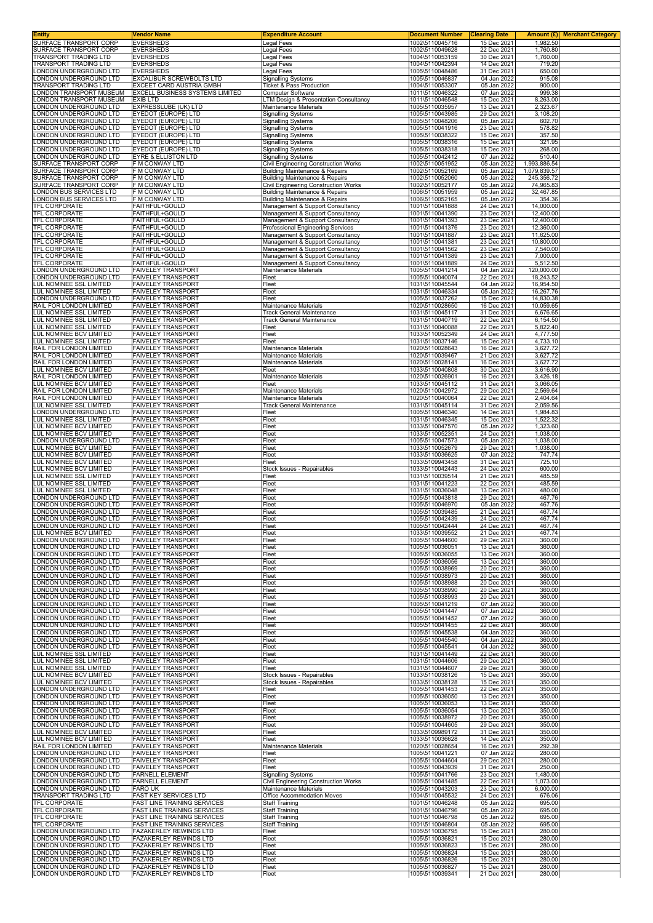| SURFACE TRANSPORT CORP<br><b>EVERSHEDS</b><br><b>Legal Fees</b><br>1002\5110045716<br>15 Dec 2021<br>SURFACE TRANSPORT CORP<br><b>EVERSHEDS</b><br><b>Legal Fees</b><br>1002\5110049628<br>22 Dec 2021<br>TRANSPORT TRADING LTD<br><b>EVERSHEDS</b><br>Legal Fees<br>1004\5110053159<br>30 Dec 2021<br>14 Dec 2021<br><b>EVERSHEDS</b><br>1004\5110042394<br>Legal Fees<br>ONDON UNDERGROUND LTD<br><b>EVERSHEDS</b><br>Legal Fees<br>1005\5110048486<br>31 Dec 2021<br>ONDON UNDERGROUND LTD<br>EXCALIBUR SCREWBOLTS LTD<br>1005\5110046837<br>04 Jan 2022<br><b>Signalling Systems</b><br>TRANSPORT TRADING LTD<br>EXCEET CARD AUSTRIA GMBH<br>Ticket & Pass Production<br>1004\5110053307<br>05 Jan 2022<br>ONDON TRANSPORT MUSEUM<br>EXCELL BUSINESS SYSTEMS LIMITED<br>07 Jan 2022<br><b>Computer Software</b><br>1011\5110046322<br>ONDON TRANSPORT MUSEUM<br><b>EXIB LTD</b><br>LTM Design & Presentation Consultancy<br>1011\5110046548<br>15 Dec 2021<br>ONDON UNDERGROUND LTD<br><b>EXPRESSLUBE (UK) LTD</b><br>Maintenance Materials<br>1005\5110035957<br>13 Dec 2021<br>EYEDOT (EUROPE) LTD<br>ONDON UNDERGROUND LTD<br>Signalling Systems<br>1005\5110043985<br>29 Dec 2021<br>ONDON UNDERGROUND LTD<br>EYEDOT (EUROPE) LTD<br>1005\5110048206<br>05 Jan 2022<br><b>Signalling Systems</b><br>ONDON UNDERGROUND LTD<br>EYEDOT (EUROPE) LTD<br>1005\5110041916<br>23 Dec 2021<br><b>Signalling Systems</b><br>EYEDOT (EUROPE) LTD<br>ONDON UNDERGROUND LTD.<br><b>Signalling Systems</b><br>1005\5110038322<br>15 Dec 2021<br>ONDON UNDERGROUND LTD | 1,982.50<br>1,760.80<br>1,760.00<br>719.20<br>650.00 |
|------------------------------------------------------------------------------------------------------------------------------------------------------------------------------------------------------------------------------------------------------------------------------------------------------------------------------------------------------------------------------------------------------------------------------------------------------------------------------------------------------------------------------------------------------------------------------------------------------------------------------------------------------------------------------------------------------------------------------------------------------------------------------------------------------------------------------------------------------------------------------------------------------------------------------------------------------------------------------------------------------------------------------------------------------------------------------------------------------------------------------------------------------------------------------------------------------------------------------------------------------------------------------------------------------------------------------------------------------------------------------------------------------------------------------------------------------------------------------------------------------------------------------------------------------------------|------------------------------------------------------|
| <b>TRANSPORT TRADING LTD</b>                                                                                                                                                                                                                                                                                                                                                                                                                                                                                                                                                                                                                                                                                                                                                                                                                                                                                                                                                                                                                                                                                                                                                                                                                                                                                                                                                                                                                                                                                                                                     |                                                      |
|                                                                                                                                                                                                                                                                                                                                                                                                                                                                                                                                                                                                                                                                                                                                                                                                                                                                                                                                                                                                                                                                                                                                                                                                                                                                                                                                                                                                                                                                                                                                                                  |                                                      |
|                                                                                                                                                                                                                                                                                                                                                                                                                                                                                                                                                                                                                                                                                                                                                                                                                                                                                                                                                                                                                                                                                                                                                                                                                                                                                                                                                                                                                                                                                                                                                                  |                                                      |
|                                                                                                                                                                                                                                                                                                                                                                                                                                                                                                                                                                                                                                                                                                                                                                                                                                                                                                                                                                                                                                                                                                                                                                                                                                                                                                                                                                                                                                                                                                                                                                  | 915.08                                               |
|                                                                                                                                                                                                                                                                                                                                                                                                                                                                                                                                                                                                                                                                                                                                                                                                                                                                                                                                                                                                                                                                                                                                                                                                                                                                                                                                                                                                                                                                                                                                                                  | 900.00<br>999.38                                     |
|                                                                                                                                                                                                                                                                                                                                                                                                                                                                                                                                                                                                                                                                                                                                                                                                                                                                                                                                                                                                                                                                                                                                                                                                                                                                                                                                                                                                                                                                                                                                                                  | 8,263.00                                             |
|                                                                                                                                                                                                                                                                                                                                                                                                                                                                                                                                                                                                                                                                                                                                                                                                                                                                                                                                                                                                                                                                                                                                                                                                                                                                                                                                                                                                                                                                                                                                                                  | 2,323.67<br>3,108.20                                 |
|                                                                                                                                                                                                                                                                                                                                                                                                                                                                                                                                                                                                                                                                                                                                                                                                                                                                                                                                                                                                                                                                                                                                                                                                                                                                                                                                                                                                                                                                                                                                                                  | 602.70                                               |
|                                                                                                                                                                                                                                                                                                                                                                                                                                                                                                                                                                                                                                                                                                                                                                                                                                                                                                                                                                                                                                                                                                                                                                                                                                                                                                                                                                                                                                                                                                                                                                  | 578.82<br>357.50                                     |
| EYEDOT (EUROPE) LTD<br><b>Signalling Systems</b><br>1005\5110038316<br>15 Dec 2021<br><b>EYEDOT (EUROPE) LTD</b>                                                                                                                                                                                                                                                                                                                                                                                                                                                                                                                                                                                                                                                                                                                                                                                                                                                                                                                                                                                                                                                                                                                                                                                                                                                                                                                                                                                                                                                 | 321.95                                               |
| ONDON UNDERGROUND LTD<br><b>Signalling Systems</b><br>1005\5110038318<br>15 Dec 2021<br>ONDON UNDERGROUND LTD<br><b>EYRE &amp; ELLISTON LTD</b><br>1005\5110042412<br><b>Signalling Systems</b><br>07 Jan 2022                                                                                                                                                                                                                                                                                                                                                                                                                                                                                                                                                                                                                                                                                                                                                                                                                                                                                                                                                                                                                                                                                                                                                                                                                                                                                                                                                   | 268.00<br>510.40                                     |
| SURFACE TRANSPORT CORP<br>F M CONWAY LTD<br>Civil Engineering Construction Works<br>1002\5110051952<br>05 Jan 2022<br>SURFACE TRANSPORT CORP<br>F M CONWAY LTD<br><b>Building Maintenance &amp; Repairs</b><br>1002\5110052169<br>05 Jan 2022                                                                                                                                                                                                                                                                                                                                                                                                                                                                                                                                                                                                                                                                                                                                                                                                                                                                                                                                                                                                                                                                                                                                                                                                                                                                                                                    | 1,993,886.54<br>1,079,839.57                         |
| F M CONWAY LTD<br>SURFACE TRANSPORT CORP<br>05 Jan 2022<br><b>Building Maintenance &amp; Repairs</b><br>1002\5110052060                                                                                                                                                                                                                                                                                                                                                                                                                                                                                                                                                                                                                                                                                                                                                                                                                                                                                                                                                                                                                                                                                                                                                                                                                                                                                                                                                                                                                                          | 245,356.72                                           |
| SURFACE TRANSPORT CORP<br>F M CONWAY LTD<br>Civil Engineering Construction Works<br>1002\5110052177<br>05 Jan 2022<br>F M CONWAY LTD<br>ONDON BUS SERVICES LTD<br>1006\5110051959<br>05 Jan 2022                                                                                                                                                                                                                                                                                                                                                                                                                                                                                                                                                                                                                                                                                                                                                                                                                                                                                                                                                                                                                                                                                                                                                                                                                                                                                                                                                                 | 74,965.83<br>32,467.85                               |
| <b>Building Maintenance &amp; Repairs</b><br>ONDON BUS SERVICES LTD<br>F M CONWAY LTD<br>05 Jan 2022<br>1006\5110052165<br>Building Maintenance & Repairs                                                                                                                                                                                                                                                                                                                                                                                                                                                                                                                                                                                                                                                                                                                                                                                                                                                                                                                                                                                                                                                                                                                                                                                                                                                                                                                                                                                                        | 354.36                                               |
| 24 Dec 2021<br>TFL CORPORATE<br>FAITHFUL+GOULD<br>Management & Support Consultancy<br>1001\5110041888<br>TFL CORPORATE<br>FAITHFUL+GOULD<br>1001\5110041390<br>23 Dec 2021                                                                                                                                                                                                                                                                                                                                                                                                                                                                                                                                                                                                                                                                                                                                                                                                                                                                                                                                                                                                                                                                                                                                                                                                                                                                                                                                                                                       | 14,000.00<br>12,400.00                               |
| Management & Support Consultancy<br>FAITHFUL+GOULD<br>23 Dec 2021<br>TFL CORPORATE<br>Management & Support Consultancy<br>1001\5110041393                                                                                                                                                                                                                                                                                                                                                                                                                                                                                                                                                                                                                                                                                                                                                                                                                                                                                                                                                                                                                                                                                                                                                                                                                                                                                                                                                                                                                        | 12,400.00                                            |
| TFL CORPORATE<br><b>FAITHFUL+GOULD</b><br>Professional Engineering Services<br>1001\5110041376<br>23 Dec 2021<br>TFL CORPORATE<br>FAITHFUL+GOULD<br>Management & Support Consultancy<br>1001\5110041887<br>23 Dec 2021                                                                                                                                                                                                                                                                                                                                                                                                                                                                                                                                                                                                                                                                                                                                                                                                                                                                                                                                                                                                                                                                                                                                                                                                                                                                                                                                           | 12,360.00<br>11,625.00                               |
| <b>TFL CORPORATE</b><br>FAITHFUL+GOULD<br>23 Dec 2021<br>Management & Support Consultancy<br>1001\5110041381                                                                                                                                                                                                                                                                                                                                                                                                                                                                                                                                                                                                                                                                                                                                                                                                                                                                                                                                                                                                                                                                                                                                                                                                                                                                                                                                                                                                                                                     | 10,800.00                                            |
| FAITHFUL+GOULD<br>23 Dec 2021<br>TFL CORPORATE<br>Management & Support Consultancy<br>1001\5110041562<br>TFL CORPORATE<br>FAITHFUL+GOULD<br>Management & Support Consultancy<br>1001\5110041389<br>23 Dec 2021                                                                                                                                                                                                                                                                                                                                                                                                                                                                                                                                                                                                                                                                                                                                                                                                                                                                                                                                                                                                                                                                                                                                                                                                                                                                                                                                                   | 7,540.00<br>7,000.00                                 |
| TFL CORPORATE<br>FAITHFUL+GOULD<br>1001\5110041889<br>24 Dec 2021<br>Management & Support Consultancy                                                                                                                                                                                                                                                                                                                                                                                                                                                                                                                                                                                                                                                                                                                                                                                                                                                                                                                                                                                                                                                                                                                                                                                                                                                                                                                                                                                                                                                            | 5,512.50                                             |
| <b>FAIVELEY TRANSPORT</b><br>04 Jan 2022<br>LONDON UNDERGROUND LTD<br><b>Maintenance Materials</b><br>1005\5110041214<br>LONDON UNDERGROUND LTD<br><b>FAIVELEY TRANSPORT</b><br>1005\5110040074<br>22 Dec 2021<br>Fleet                                                                                                                                                                                                                                                                                                                                                                                                                                                                                                                                                                                                                                                                                                                                                                                                                                                                                                                                                                                                                                                                                                                                                                                                                                                                                                                                          | 120,000.00<br>18,243.52                              |
| LUL NOMINEE SSL LIMITED<br><b>FAIVELEY TRANSPORT</b><br>Fleet<br>1031\5110045544<br>04 Jan 2022                                                                                                                                                                                                                                                                                                                                                                                                                                                                                                                                                                                                                                                                                                                                                                                                                                                                                                                                                                                                                                                                                                                                                                                                                                                                                                                                                                                                                                                                  | 16,954.50                                            |
| <b>FAIVELEY TRANSPORT</b><br>LUL NOMINEE SSL LIMITED<br>1031\5110046334<br>05 Jan 2022<br>Fleet<br>LONDON UNDERGROUND LTD<br><b>FAIVELEY TRANSPORT</b><br>1005\5110037262<br>15 Dec 2021<br>Fleet                                                                                                                                                                                                                                                                                                                                                                                                                                                                                                                                                                                                                                                                                                                                                                                                                                                                                                                                                                                                                                                                                                                                                                                                                                                                                                                                                                | 16,267.76<br>14,830.38                               |
| RAIL FOR LONDON LIMITED<br>16 Dec 2021<br><b>FAIVELEY TRANSPORT</b><br>Maintenance Materials<br>1020\5110028650                                                                                                                                                                                                                                                                                                                                                                                                                                                                                                                                                                                                                                                                                                                                                                                                                                                                                                                                                                                                                                                                                                                                                                                                                                                                                                                                                                                                                                                  | 10,059.65                                            |
| LUL NOMINEE SSL LIMITED<br><b>FAIVELEY TRANSPORT</b><br>1031\5110045117<br>31 Dec 2021<br><b>Track General Maintenance</b><br>LUL NOMINEE SSL LIMITED<br><b>FAIVELEY TRANSPORT</b><br><b>Track General Maintenance</b><br>1031\5110040719<br>22 Dec 2021                                                                                                                                                                                                                                                                                                                                                                                                                                                                                                                                                                                                                                                                                                                                                                                                                                                                                                                                                                                                                                                                                                                                                                                                                                                                                                         | 6,676.65<br>6,154.50                                 |
| LUL NOMINEE SSL LIMITED<br><b>FAIVELEY TRANSPORT</b><br>1031\5110040088<br>22 Dec 2021<br>Fleet                                                                                                                                                                                                                                                                                                                                                                                                                                                                                                                                                                                                                                                                                                                                                                                                                                                                                                                                                                                                                                                                                                                                                                                                                                                                                                                                                                                                                                                                  | 5,822.40                                             |
| LUL NOMINEE BCV LIMITED<br><b>FAIVELEY TRANSPORT</b><br>24 Dec 2021<br>1033\5110052349<br>Fleet<br>LUL NOMINEE SSL LIMITED<br><b>FAIVELEY TRANSPORT</b><br>1031\5110037146<br>15 Dec 2021<br>Fleet                                                                                                                                                                                                                                                                                                                                                                                                                                                                                                                                                                                                                                                                                                                                                                                                                                                                                                                                                                                                                                                                                                                                                                                                                                                                                                                                                               | 4,777.50<br>4,733.10                                 |
| RAIL FOR LONDON LIMITED<br><b>FAIVELEY TRANSPORT</b><br>1020\5110028643<br>16 Dec 2021<br>Maintenance Materials                                                                                                                                                                                                                                                                                                                                                                                                                                                                                                                                                                                                                                                                                                                                                                                                                                                                                                                                                                                                                                                                                                                                                                                                                                                                                                                                                                                                                                                  | 3,627.72                                             |
| RAIL FOR LONDON LIMITED<br><b>FAIVELEY TRANSPORT</b><br>21 Dec 2021<br>1020\5110039467<br><b>Maintenance Materials</b><br>RAIL FOR LONDON LIMITED<br><b>FAIVELEY TRANSPORT</b><br>Maintenance Materials<br>1020\5110028141<br>16 Dec 2021                                                                                                                                                                                                                                                                                                                                                                                                                                                                                                                                                                                                                                                                                                                                                                                                                                                                                                                                                                                                                                                                                                                                                                                                                                                                                                                        | 3,627.72<br>3,627.72                                 |
| LUL NOMINEE BCV LIMITED<br><b>FAIVELEY TRANSPORT</b><br>Fleet<br>1033\5110040808<br>30 Dec 2021                                                                                                                                                                                                                                                                                                                                                                                                                                                                                                                                                                                                                                                                                                                                                                                                                                                                                                                                                                                                                                                                                                                                                                                                                                                                                                                                                                                                                                                                  | 3,616.90                                             |
| <b>FAIVELEY TRANSPORT</b><br>RAIL FOR LONDON LIMITED<br>Maintenance Materials<br>16 Dec 2021<br>1020\5110026901<br><b>FAIVELEY TRANSPORT</b><br>LUL NOMINEE BCV LIMITED<br>Fleet<br>1033\5110045112<br>31 Dec 2021                                                                                                                                                                                                                                                                                                                                                                                                                                                                                                                                                                                                                                                                                                                                                                                                                                                                                                                                                                                                                                                                                                                                                                                                                                                                                                                                               | 3,426.18<br>3,066.05                                 |
| RAIL FOR LONDON LIMITED<br><b>FAIVELEY TRANSPORT</b><br>Maintenance Materials<br>1020\5110042972<br>29 Dec 2021<br>RAIL FOR LONDON LIMITED<br><b>FAIVELEY TRANSPORT</b><br>1020\5110040064<br>22 Dec 2021<br>Maintenance Materials                                                                                                                                                                                                                                                                                                                                                                                                                                                                                                                                                                                                                                                                                                                                                                                                                                                                                                                                                                                                                                                                                                                                                                                                                                                                                                                               | 2,569.64<br>2,404.64                                 |
| LUL NOMINEE SSL LIMITED<br><b>FAIVELEY TRANSPORT</b><br><b>Track General Maintenance</b><br>1031\5110045114<br>31 Dec 2021                                                                                                                                                                                                                                                                                                                                                                                                                                                                                                                                                                                                                                                                                                                                                                                                                                                                                                                                                                                                                                                                                                                                                                                                                                                                                                                                                                                                                                       | 2,059.56                                             |
| <b>FAIVELEY TRANSPORT</b><br>ONDON UNDERGROUND LTD<br>1005\5110046340<br>14 Dec 2021<br>Fleet<br>LUL NOMINEE SSL LIMITED<br><b>FAIVELEY TRANSPORT</b><br>1031\5110046345<br>15 Dec 2021<br>Fleet                                                                                                                                                                                                                                                                                                                                                                                                                                                                                                                                                                                                                                                                                                                                                                                                                                                                                                                                                                                                                                                                                                                                                                                                                                                                                                                                                                 | 1,984.83<br>1,522.32                                 |
| <b>FAIVELEY TRANSPORT</b><br>LUL NOMINEE BCV LIMITED<br>1033\5110047570<br>05 Jan 2022<br>Fleet                                                                                                                                                                                                                                                                                                                                                                                                                                                                                                                                                                                                                                                                                                                                                                                                                                                                                                                                                                                                                                                                                                                                                                                                                                                                                                                                                                                                                                                                  | 1,323.60                                             |
| LUL NOMINEE BCV LIMITED<br><b>FAIVELEY TRANSPORT</b><br>1033\5110052351<br>24 Dec 2021<br>Fleet<br>LONDON UNDERGROUND LTD<br><b>FAIVELEY TRANSPORT</b><br>1005\5110047573<br>05 Jan 2022<br>Fleet                                                                                                                                                                                                                                                                                                                                                                                                                                                                                                                                                                                                                                                                                                                                                                                                                                                                                                                                                                                                                                                                                                                                                                                                                                                                                                                                                                | 1,038.00<br>1,038.00                                 |
| LUL NOMINEE BCV LIMITED<br><b>FAIVELEY TRANSPORT</b><br>29 Dec 2021<br>1033\5110052679<br>Fleet<br>LUL NOMINEE BCV LIMITED<br><b>FAIVELEY TRANSPORT</b><br>1033\5110036625<br>07 Jan 2022<br>Fleet                                                                                                                                                                                                                                                                                                                                                                                                                                                                                                                                                                                                                                                                                                                                                                                                                                                                                                                                                                                                                                                                                                                                                                                                                                                                                                                                                               | 1,038.00<br>747.74                                   |
| LUL NOMINEE BCV LIMITED<br><b>FAIVELEY TRANSPORT</b><br>31 Dec 2021<br>1033\5109943458<br>Fleet                                                                                                                                                                                                                                                                                                                                                                                                                                                                                                                                                                                                                                                                                                                                                                                                                                                                                                                                                                                                                                                                                                                                                                                                                                                                                                                                                                                                                                                                  | 725.10                                               |
| 24 Dec 2021<br>LUL NOMINEE BCV LIMITED<br><b>FAIVELEY TRANSPORT</b><br>Stock Issues - Repairables<br>1033\5110042443<br>LUL NOMINEE SSL LIMITED<br><b>FAIVELEY TRANSPORT</b><br>1031\5110039514<br>21 Dec 2021<br>Fleet                                                                                                                                                                                                                                                                                                                                                                                                                                                                                                                                                                                                                                                                                                                                                                                                                                                                                                                                                                                                                                                                                                                                                                                                                                                                                                                                          | 600.00<br>485.59                                     |
| <b>FAIVELEY TRANSPORT</b><br>1031\5110041223<br>22 Dec 2021<br>LUL NOMINEE SSL LIMITED<br>Fleet                                                                                                                                                                                                                                                                                                                                                                                                                                                                                                                                                                                                                                                                                                                                                                                                                                                                                                                                                                                                                                                                                                                                                                                                                                                                                                                                                                                                                                                                  | 485.59                                               |
| <b>FAIVELEY TRANSPORT</b><br>1031\5110036048<br>13 Dec 2021<br>LUL NOMINEE SSL LIMITED<br>Fleet<br>ONDON UNDERGROUND LTD<br><b>FAIVELEY TRANSPORT</b><br>1005\5110043818<br>29 Dec 2021<br>Fleet                                                                                                                                                                                                                                                                                                                                                                                                                                                                                                                                                                                                                                                                                                                                                                                                                                                                                                                                                                                                                                                                                                                                                                                                                                                                                                                                                                 | 480.00<br>467.76                                     |
| ONDON UNDERGROUND LTD<br><b>FAIVELEY TRANSPORT</b><br>1005\5110046970<br>05 Jan 2022<br>Fleet<br>ONDON UNDERGROUND LTD<br><b>FAIVELEY TRANSPORT</b><br>1005\5110039485<br>21 Dec 2021<br>Fleet                                                                                                                                                                                                                                                                                                                                                                                                                                                                                                                                                                                                                                                                                                                                                                                                                                                                                                                                                                                                                                                                                                                                                                                                                                                                                                                                                                   | 467.76<br>467.74                                     |
| ONDON UNDERGROUND LTD<br><b>FAIVELEY TRANSPORT</b><br>1005\5110042439<br>24 Dec 2021<br>Fleet                                                                                                                                                                                                                                                                                                                                                                                                                                                                                                                                                                                                                                                                                                                                                                                                                                                                                                                                                                                                                                                                                                                                                                                                                                                                                                                                                                                                                                                                    | 467.74                                               |
| LONDON UNDERGROUND LTD<br><b>FAIVELEY IRANSPORT</b><br>Fleet<br>1005\5110042444<br>24 Dec 2021                                                                                                                                                                                                                                                                                                                                                                                                                                                                                                                                                                                                                                                                                                                                                                                                                                                                                                                                                                                                                                                                                                                                                                                                                                                                                                                                                                                                                                                                   | 467.74<br>467.74                                     |
| Fleet                                                                                                                                                                                                                                                                                                                                                                                                                                                                                                                                                                                                                                                                                                                                                                                                                                                                                                                                                                                                                                                                                                                                                                                                                                                                                                                                                                                                                                                                                                                                                            | 360.00                                               |
| <b>FAIVELEY TRANSPORT</b><br>1033\5110039552<br>21 Dec 2021<br>LUL NOMINEE BCV LIMITED<br>LONDON UNDERGROUND LTD<br><b>FAIVELEY TRANSPORT</b><br>1005\5110044600<br>29 Dec 2021<br>Fleet                                                                                                                                                                                                                                                                                                                                                                                                                                                                                                                                                                                                                                                                                                                                                                                                                                                                                                                                                                                                                                                                                                                                                                                                                                                                                                                                                                         |                                                      |
| LONDON UNDERGROUND LTD<br><b>FAIVELEY TRANSPORT</b><br>1005\5110036051<br>13 Dec 2021<br>Fleet<br><b>FAIVELEY TRANSPORT</b><br>13 Dec 2021<br>LONDON UNDERGROUND LTD<br>1005\5110036055<br>Fleet                                                                                                                                                                                                                                                                                                                                                                                                                                                                                                                                                                                                                                                                                                                                                                                                                                                                                                                                                                                                                                                                                                                                                                                                                                                                                                                                                                 | 360.00<br>360.00                                     |
| LONDON UNDERGROUND LTD<br><b>FAIVELEY TRANSPORT</b><br>1005\5110036056<br>13 Dec 2021<br>Fleet                                                                                                                                                                                                                                                                                                                                                                                                                                                                                                                                                                                                                                                                                                                                                                                                                                                                                                                                                                                                                                                                                                                                                                                                                                                                                                                                                                                                                                                                   | 360.00                                               |
| ONDON UNDERGROUND LTD<br><b>FAIVELEY TRANSPORT</b><br>1005\5110038969<br>20 Dec 2021<br>Fleet<br>1005\5110038973<br>20 Dec 2021<br>ONDON UNDERGROUND LTD.<br><b>FAIVELEY TRANSPORT</b><br>Fleet                                                                                                                                                                                                                                                                                                                                                                                                                                                                                                                                                                                                                                                                                                                                                                                                                                                                                                                                                                                                                                                                                                                                                                                                                                                                                                                                                                  | 360.00<br>360.00                                     |
| ONDON UNDERGROUND LTD.<br><b>FAIVELEY TRANSPORT</b><br>1005\5110038988<br>20 Dec 2021<br>Fleet                                                                                                                                                                                                                                                                                                                                                                                                                                                                                                                                                                                                                                                                                                                                                                                                                                                                                                                                                                                                                                                                                                                                                                                                                                                                                                                                                                                                                                                                   | 360.00                                               |
| ONDON UNDERGROUND LTD<br><b>FAIVELEY TRANSPORT</b><br>1005\5110038990<br>20 Dec 2021<br>Fleet<br>ONDON UNDERGROUND LTD<br><b>FAIVELEY TRANSPORT</b><br>1005\5110038993<br>20 Dec 2021<br>Fleet                                                                                                                                                                                                                                                                                                                                                                                                                                                                                                                                                                                                                                                                                                                                                                                                                                                                                                                                                                                                                                                                                                                                                                                                                                                                                                                                                                   | 360.00<br>360.00                                     |
| <b>FAIVELEY TRANSPORT</b><br>1005\5110041219<br>ONDON UNDERGROUND LTD<br>07 Jan 2022<br>Fleet<br>ONDON UNDERGROUND LTD<br><b>FAIVELEY TRANSPORT</b><br>1005\5110041447<br>07 Jan 2022<br>Fleet                                                                                                                                                                                                                                                                                                                                                                                                                                                                                                                                                                                                                                                                                                                                                                                                                                                                                                                                                                                                                                                                                                                                                                                                                                                                                                                                                                   | 360.00<br>360.00                                     |
| LONDON UNDERGROUND LTD<br><b>FAIVELEY TRANSPORT</b><br>1005\5110041452<br>07 Jan 2022<br>Fleet                                                                                                                                                                                                                                                                                                                                                                                                                                                                                                                                                                                                                                                                                                                                                                                                                                                                                                                                                                                                                                                                                                                                                                                                                                                                                                                                                                                                                                                                   | 360.00                                               |
| LONDON UNDERGROUND LTD<br><b>FAIVELEY TRANSPORT</b><br>1005\5110041455<br>22 Dec 2021<br>Fleet<br>LONDON UNDERGROUND LTD<br><b>FAIVELEY TRANSPORT</b><br>1005\5110045538<br>04 Jan 2022<br>Fleet                                                                                                                                                                                                                                                                                                                                                                                                                                                                                                                                                                                                                                                                                                                                                                                                                                                                                                                                                                                                                                                                                                                                                                                                                                                                                                                                                                 | 360.00<br>360.00                                     |
| LONDON UNDERGROUND LTD<br><b>FAIVELEY TRANSPORT</b><br>1005\5110045540<br>04 Jan 2022<br>Fleet<br>LONDON UNDERGROUND LTD<br><b>FAIVELEY TRANSPORT</b><br>1005\5110045541<br>04 Jan 2022<br>Fleet                                                                                                                                                                                                                                                                                                                                                                                                                                                                                                                                                                                                                                                                                                                                                                                                                                                                                                                                                                                                                                                                                                                                                                                                                                                                                                                                                                 | 360.00<br>360.00                                     |
| <b>FAIVELEY TRANSPORT</b><br>1031\5110041449<br>22 Dec 2021<br>LUL NOMINEE SSL LIMITED<br>Fleet                                                                                                                                                                                                                                                                                                                                                                                                                                                                                                                                                                                                                                                                                                                                                                                                                                                                                                                                                                                                                                                                                                                                                                                                                                                                                                                                                                                                                                                                  | 360.00                                               |
| LUL NOMINEE SSL LIMITED<br><b>FAIVELEY TRANSPORT</b><br>1031\5110044606<br>29 Dec 2021<br>Fleet<br>LUL NOMINEE SSL LIMITED<br><b>FAIVELEY TRANSPORT</b><br>1031\5110044607<br>29 Dec 2021<br>Fleet                                                                                                                                                                                                                                                                                                                                                                                                                                                                                                                                                                                                                                                                                                                                                                                                                                                                                                                                                                                                                                                                                                                                                                                                                                                                                                                                                               | 360.00<br>360.00                                     |
| LUL NOMINEE BCV LIMITED<br><b>FAIVELEY TRANSPORT</b><br>1033\5110038126<br>15 Dec 2021<br>Stock Issues - Repairables                                                                                                                                                                                                                                                                                                                                                                                                                                                                                                                                                                                                                                                                                                                                                                                                                                                                                                                                                                                                                                                                                                                                                                                                                                                                                                                                                                                                                                             | 350.00                                               |
| LUL NOMINEE BCV LIMITED<br><b>FAIVELEY TRANSPORT</b><br>Stock Issues - Repairables<br>1033\5110038128<br>15 Dec 2021<br>LONDON UNDERGROUND LTD<br><b>FAIVELEY TRANSPORT</b><br>1005\5110041453<br>22 Dec 2021<br>Fleet                                                                                                                                                                                                                                                                                                                                                                                                                                                                                                                                                                                                                                                                                                                                                                                                                                                                                                                                                                                                                                                                                                                                                                                                                                                                                                                                           | 350.00<br>350.00                                     |
| LONDON UNDERGROUND LTD<br><b>FAIVELEY TRANSPORT</b><br>1005\5110036050<br>13 Dec 2021<br>Fleet                                                                                                                                                                                                                                                                                                                                                                                                                                                                                                                                                                                                                                                                                                                                                                                                                                                                                                                                                                                                                                                                                                                                                                                                                                                                                                                                                                                                                                                                   | 350.00                                               |
| LONDON UNDERGROUND LTD<br><b>FAIVELEY TRANSPORT</b><br>1005\5110036053<br>13 Dec 2021<br>Fleet<br>LONDON UNDERGROUND LTD<br><b>FAIVELEY TRANSPORT</b><br>1005\5110036054<br>13 Dec 2021<br>Fleet                                                                                                                                                                                                                                                                                                                                                                                                                                                                                                                                                                                                                                                                                                                                                                                                                                                                                                                                                                                                                                                                                                                                                                                                                                                                                                                                                                 | 350.00<br>350.00                                     |
| LONDON UNDERGROUND LTD<br><b>FAIVELEY TRANSPORT</b><br>1005\5110038972<br>20 Dec 2021<br>Fleet                                                                                                                                                                                                                                                                                                                                                                                                                                                                                                                                                                                                                                                                                                                                                                                                                                                                                                                                                                                                                                                                                                                                                                                                                                                                                                                                                                                                                                                                   | 350.00                                               |
| LONDON UNDERGROUND LTD<br><b>FAIVELEY TRANSPORT</b><br>1005\5110044605<br>29 Dec 2021<br>Fleet<br>LUL NOMINEE BCV LIMITED<br><b>FAIVELEY TRANSPORT</b><br>31 Dec 2021<br>1033\5109989172<br>Fleet                                                                                                                                                                                                                                                                                                                                                                                                                                                                                                                                                                                                                                                                                                                                                                                                                                                                                                                                                                                                                                                                                                                                                                                                                                                                                                                                                                | 350.00<br>350.00                                     |
| LUL NOMINEE BCV LIMITED<br><b>FAIVELEY TRANSPORT</b><br>1033\5110036628<br>14 Dec 2021<br>Fleet<br>RAIL FOR LONDON LIMITED<br><b>FAIVELEY TRANSPORT</b><br>Maintenance Materials<br>1020\5110028654<br>16 Dec 2021                                                                                                                                                                                                                                                                                                                                                                                                                                                                                                                                                                                                                                                                                                                                                                                                                                                                                                                                                                                                                                                                                                                                                                                                                                                                                                                                               | 350.00<br>292.39                                     |
| LONDON UNDERGROUND LTD<br><b>FAIVELEY TRANSPORT</b><br>1005\5110041221<br>07 Jan 2022<br>Fleet                                                                                                                                                                                                                                                                                                                                                                                                                                                                                                                                                                                                                                                                                                                                                                                                                                                                                                                                                                                                                                                                                                                                                                                                                                                                                                                                                                                                                                                                   | 280.00                                               |
| LONDON UNDERGROUND LTD<br><b>FAIVELEY TRANSPORT</b><br>1005\5110044604<br>29 Dec 2021<br>Fleet<br>ONDON UNDERGROUND LTD<br><b>FAIVELEY TRANSPORT</b><br>1005\5110043939<br>31 Dec 2021<br>Fleet                                                                                                                                                                                                                                                                                                                                                                                                                                                                                                                                                                                                                                                                                                                                                                                                                                                                                                                                                                                                                                                                                                                                                                                                                                                                                                                                                                  | 280.00<br>250.00                                     |
| <b>FARNELL ELEMENT</b><br>1005\5110041766<br>23 Dec 2021<br>ONDON UNDERGROUND LTD<br><b>Signalling Systems</b><br><b>FARNELL ELEMENT</b><br>ONDON UNDERGROUND LTD.<br>Civil Engineering Construction Works<br>1005\5110041485<br>22 Dec 2021                                                                                                                                                                                                                                                                                                                                                                                                                                                                                                                                                                                                                                                                                                                                                                                                                                                                                                                                                                                                                                                                                                                                                                                                                                                                                                                     | 1,480.00<br>1,073.00                                 |
| LONDON UNDERGROUND LTD<br><b>FARO UK</b><br>Maintenance Materials<br>1005\5110043203<br>23 Dec 2021                                                                                                                                                                                                                                                                                                                                                                                                                                                                                                                                                                                                                                                                                                                                                                                                                                                                                                                                                                                                                                                                                                                                                                                                                                                                                                                                                                                                                                                              | 6,000.00                                             |
| TRANSPORT TRADING LTD<br>FAST KEY SERVICES LTD<br>1004\5110045532<br>24 Dec 2021<br>Office Accommodation Moves<br>TFL CORPORATE<br><b>FAST LINE TRAINING SERVICES</b><br><b>Staff Training</b><br>1001\5110046248<br>05 Jan 2022                                                                                                                                                                                                                                                                                                                                                                                                                                                                                                                                                                                                                                                                                                                                                                                                                                                                                                                                                                                                                                                                                                                                                                                                                                                                                                                                 | 676.06<br>695.00                                     |
| FAST LINE TRAINING SERVICES<br><b>Staff Training</b><br>1001\5110046796<br>05 Jan 2022                                                                                                                                                                                                                                                                                                                                                                                                                                                                                                                                                                                                                                                                                                                                                                                                                                                                                                                                                                                                                                                                                                                                                                                                                                                                                                                                                                                                                                                                           | 695.00                                               |
| TFL CORPORATE<br>TFL CORPORATE<br><b>FAST LINE TRAINING SERVICES</b><br>1001\5110046798<br>05 Jan 2022<br><b>Staff Training</b><br>05 Jan 2022<br>TFL CORPORATE<br><b>FAST LINE TRAINING SERVICES</b><br><b>Staff Training</b><br>1001\5110046804                                                                                                                                                                                                                                                                                                                                                                                                                                                                                                                                                                                                                                                                                                                                                                                                                                                                                                                                                                                                                                                                                                                                                                                                                                                                                                                | 695.00<br>695.00                                     |
| FAZAKERLEY REWINDS LTD<br>1005\5110036795<br>15 Dec 2021<br>LONDON UNDERGROUND LTD<br>Fleet<br>LONDON UNDERGROUND LTD<br>FAZAKERLEY REWINDS LTD<br>1005\5110036821<br>Fleet                                                                                                                                                                                                                                                                                                                                                                                                                                                                                                                                                                                                                                                                                                                                                                                                                                                                                                                                                                                                                                                                                                                                                                                                                                                                                                                                                                                      | 280.00<br>280.00                                     |
| 15 Dec 2021<br>ONDON UNDERGROUND LTD.<br><b>FAZAKERLEY REWINDS LTD</b><br>Fleet<br>1005\5110036823<br>15 Dec 2021                                                                                                                                                                                                                                                                                                                                                                                                                                                                                                                                                                                                                                                                                                                                                                                                                                                                                                                                                                                                                                                                                                                                                                                                                                                                                                                                                                                                                                                | 280.00                                               |
| LONDON UNDERGROUND LTD<br>FAZAKERLEY REWINDS LTD<br>1005\5110036824<br>15 Dec 2021<br>Fleet<br>LONDON UNDERGROUND LTD<br>FAZAKERLEY REWINDS LTD<br>Fleet<br>1005\5110036826<br>15 Dec 2021<br>1005\5110036827<br>LONDON UNDERGROUND LTD<br>FAZAKERLEY REWINDS LTD<br>Fleet<br>15 Dec 2021                                                                                                                                                                                                                                                                                                                                                                                                                                                                                                                                                                                                                                                                                                                                                                                                                                                                                                                                                                                                                                                                                                                                                                                                                                                                        | 280.00<br>280.00<br>280.00                           |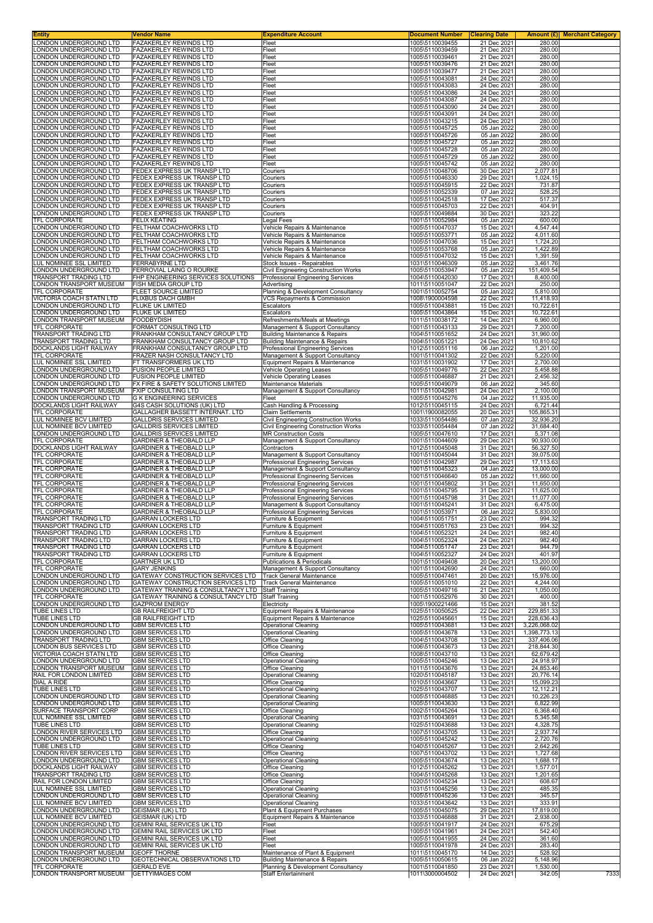| <b>Entity</b>                                                                                                                                                                                                                                                                                                                                                           | <b>Vendor Name</b>                                                           | <b>Expenditure Account</b>                                                                  | Document Number                                       | <b>Clearing Date</b>                      |                          | <b>Amount (£)</b> Merchant Category |
|-------------------------------------------------------------------------------------------------------------------------------------------------------------------------------------------------------------------------------------------------------------------------------------------------------------------------------------------------------------------------|------------------------------------------------------------------------------|---------------------------------------------------------------------------------------------|-------------------------------------------------------|-------------------------------------------|--------------------------|-------------------------------------|
| LONDON UNDERGROUND LTD<br>LONDON UNDERGROUND LTD                                                                                                                                                                                                                                                                                                                        | FAZAKERLEY REWINDS LTD<br><b>FAZAKERLEY REWINDS LTD</b>                      | Fleet<br>Fleet                                                                              | 1005\5110039455<br>1005\5110039459                    | 21 Dec 2021<br>21 Dec 2021                | 280.00<br>280.00         |                                     |
| LONDON UNDERGROUND LTD                                                                                                                                                                                                                                                                                                                                                  | <b>FAZAKERLEY REWINDS LTD</b>                                                | Fleet                                                                                       | 1005\5110039461                                       | 21 Dec 2021                               | 280.00                   |                                     |
| LONDON UNDERGROUND LTD                                                                                                                                                                                                                                                                                                                                                  | <b>FAZAKERLEY REWINDS LTD</b>                                                | Fleet                                                                                       | 1005\5110039476                                       | 21 Dec 2021                               | 280.00                   |                                     |
| LONDON UNDERGROUND LTD                                                                                                                                                                                                                                                                                                                                                  | <b>FAZAKERLEY REWINDS LTD</b>                                                | Fleet                                                                                       | 1005\5110039477                                       | 21 Dec 2021                               | 280.00                   |                                     |
| LONDON UNDERGROUND LTD                                                                                                                                                                                                                                                                                                                                                  | <b>FAZAKERLEY REWINDS LTD</b>                                                | Fleet                                                                                       | 1005\5110043081                                       | 24 Dec 2021                               | 280.00                   |                                     |
| LONDON UNDERGROUND LTD<br>LONDON UNDERGROUND LTD                                                                                                                                                                                                                                                                                                                        | FAZAKERLEY REWINDS LTD<br><b>FAZAKERLEY REWINDS LTD</b>                      | Fleet<br>Fleet                                                                              | 1005\5110043083<br>1005\5110043086                    | 24 Dec 2021<br>24 Dec 2021                | 280.00<br>280.00         |                                     |
| LONDON UNDERGROUND LTD                                                                                                                                                                                                                                                                                                                                                  | <b>FAZAKERLEY REWINDS LTD</b>                                                | Fleet                                                                                       | 1005\5110043087                                       | 24 Dec 2021                               | 280.00                   |                                     |
| LONDON UNDERGROUND LTD                                                                                                                                                                                                                                                                                                                                                  | FAZAKERLEY REWINDS LTD                                                       | Fleet                                                                                       | 1005\5110043090                                       | 24 Dec 2021                               | 280.00                   |                                     |
| LONDON UNDERGROUND LTD                                                                                                                                                                                                                                                                                                                                                  | FAZAKERLEY REWINDS LTD                                                       | Fleet                                                                                       | 1005\5110043091                                       | 24 Dec 2021                               | 280.00                   |                                     |
| LONDON UNDERGROUND LTD<br>LONDON UNDERGROUND LTD                                                                                                                                                                                                                                                                                                                        | FAZAKERLEY REWINDS LTD<br>FAZAKERLEY REWINDS LTD                             | Fleet<br>Fleet                                                                              | 1005\5110043215<br>1005\5110045725                    | 24 Dec 2021<br>05 Jan 2022                | 280.00<br>280.00         |                                     |
| LONDON UNDERGROUND LTD                                                                                                                                                                                                                                                                                                                                                  | <b>FAZAKERLEY REWINDS LTD</b>                                                | Fleet                                                                                       | 1005\5110045726                                       | 05 Jan 2022                               | 280.00                   |                                     |
| LONDON UNDERGROUND LTD                                                                                                                                                                                                                                                                                                                                                  | FAZAKERLEY REWINDS LTD                                                       | Fleet                                                                                       | 1005\5110045727                                       | 05 Jan 2022                               | 280.00                   |                                     |
| LONDON UNDERGROUND LTD                                                                                                                                                                                                                                                                                                                                                  | FAZAKERLEY REWINDS LTD                                                       | Fleet                                                                                       | 1005\5110045728                                       | 05 Jan 2022                               | 280.00                   |                                     |
| LONDON UNDERGROUND LTD<br>LONDON UNDERGROUND LTD                                                                                                                                                                                                                                                                                                                        | <b>FAZAKERLEY REWINDS LTD</b><br>FAZAKERLEY REWINDS LTD                      | Fleet<br>Fleet                                                                              | 1005\5110045729<br>1005\5110045742                    | 05 Jan 2022<br>05 Jan 2022                | 280.00<br>280.00         |                                     |
| LONDON UNDERGROUND LTD                                                                                                                                                                                                                                                                                                                                                  | FEDEX EXPRESS UK TRANSP LTD                                                  | Couriers                                                                                    | 1005\5110048706                                       | 30 Dec 2021                               | 2,077.81                 |                                     |
| LONDON UNDERGROUND LTD                                                                                                                                                                                                                                                                                                                                                  | FEDEX EXPRESS UK TRANSP LTD                                                  | Couriers                                                                                    | 1005\5110046330                                       | 29 Dec 2021                               | 1,024.15                 |                                     |
| LONDON UNDERGROUND LTD                                                                                                                                                                                                                                                                                                                                                  | FEDEX EXPRESS UK TRANSP LTD                                                  | Couriers                                                                                    | 1005\5110045915                                       | 22 Dec 2021                               | 731.87                   |                                     |
| LONDON UNDERGROUND LTD<br>LONDON UNDERGROUND LTD                                                                                                                                                                                                                                                                                                                        | FEDEX EXPRESS UK TRANSP LTD<br>FEDEX EXPRESS UK TRANSP LTD                   | Couriers                                                                                    | 1005\5110052339                                       | 07 Jan 2022<br>17 Dec 2021                | 528.25<br>517.37         |                                     |
| LONDON UNDERGROUND LTD                                                                                                                                                                                                                                                                                                                                                  | FEDEX EXPRESS UK TRANSP LTD                                                  | Couriers<br>Couriers                                                                        | 1005\5110042518<br>1005\5110045703                    | 22 Dec 2021                               | 404.91                   |                                     |
| LONDON UNDERGROUND LTD                                                                                                                                                                                                                                                                                                                                                  | FEDEX EXPRESS UK TRANSP LTD                                                  | Couriers                                                                                    | 1005\5110049884                                       | 30 Dec 2021                               | 323.22                   |                                     |
| TFL CORPORATE                                                                                                                                                                                                                                                                                                                                                           | <b>FELIX KEATING</b>                                                         | Legal Fees                                                                                  | 1001\5110052984                                       | 05 Jan 2022                               | 600.00                   |                                     |
| LONDON UNDERGROUND LTD<br>LONDON UNDERGROUND LTD                                                                                                                                                                                                                                                                                                                        | FELTHAM COACHWORKS LTD<br>FELTHAM COACHWORKS LTD                             | Vehicle Repairs & Maintenance                                                               | 1005\5110047037<br>1005\5110053771                    | 15 Dec 2021                               | 4,547.44                 |                                     |
| LONDON UNDERGROUND LTD                                                                                                                                                                                                                                                                                                                                                  | FELTHAM COACHWORKS LTD                                                       | Vehicle Repairs & Maintenance<br>Vehicle Repairs & Maintenance                              | 1005\5110047036                                       | 05 Jan 2022<br>15 Dec 2021                | 4,011.60<br>1,724.20     |                                     |
| LONDON UNDERGROUND LTD                                                                                                                                                                                                                                                                                                                                                  | FELTHAM COACHWORKS LTD                                                       | Vehicle Repairs & Maintenance                                                               | 1005\5110053768                                       | 05 Jan 2022                               | 1,422.89                 |                                     |
| LONDON UNDERGROUND LTD                                                                                                                                                                                                                                                                                                                                                  | FELTHAM COACHWORKS LTD                                                       | Vehicle Repairs & Maintenance                                                               | 1005\5110047032                                       | 15 Dec 2021                               | 1.391.59                 |                                     |
| LUL NOMINEE SSL LIMITED                                                                                                                                                                                                                                                                                                                                                 | <b>FERRABYRNE LTD</b>                                                        | Stock Issues - Repairables                                                                  | 1031\5110046309                                       | 05 Jan 2022                               | 3,461.76                 |                                     |
| LONDON UNDERGROUND LTD<br>TRANSPORT TRADING LTD                                                                                                                                                                                                                                                                                                                         | FERROVIAL LAING O ROURKE<br>FHP ENGINEERING SERVICES SOLUTIONS               | Civil Engineering Construction Works<br>Professional Engineering Services                   | 1005\5110053947<br>1004\5110042030                    | 05 Jan 2022<br>17 Dec 2021                | 151,409.54<br>8,400.00   |                                     |
| LONDON TRANSPORT MUSEUM                                                                                                                                                                                                                                                                                                                                                 | FISH MEDIA GROUP LTD                                                         | Advertising                                                                                 | 1011\5110051047                                       | 22 Dec 2021                               | 250.00                   |                                     |
| <b>TFL CORPORATE</b>                                                                                                                                                                                                                                                                                                                                                    | FLEET SOURCE LIMITED                                                         | Planning & Development Consultancy                                                          | 1001\5110052754                                       | 05 Jan 2022                               | 5,810.00                 |                                     |
| VICTORIA COACH STATN LTD                                                                                                                                                                                                                                                                                                                                                | FLIXBUS DACH GMBH                                                            | VCS Repayments & Commission                                                                 | 1008\1900004598                                       | 22 Dec 2021                               | 11,418.93                |                                     |
| LONDON UNDERGROUND LTD<br>LONDON UNDERGROUND LTD                                                                                                                                                                                                                                                                                                                        | FLUKE UK LIMITED<br>FLUKE UK LIMITED                                         | Escalators                                                                                  | 1005\5110043881<br>1005\5110043864                    | 15 Dec 2021                               | 10,722.61                |                                     |
| LONDON TRANSPORT MUSEUM                                                                                                                                                                                                                                                                                                                                                 | <b>FOODBYDISH</b>                                                            | Escalators<br>Refreshments/Meals at Meetings                                                | 1011\5110038172                                       | 15 Dec 2021<br>14 Dec 2021                | 10,722.61<br>6,960.00    |                                     |
| TFL CORPORATE                                                                                                                                                                                                                                                                                                                                                           | FORMAT CONSULTING LTD                                                        | Management & Support Consultancy                                                            | 1001\5110043133                                       | 29 Dec 2021                               | 7,200.00                 |                                     |
| TRANSPORT TRADING LTD                                                                                                                                                                                                                                                                                                                                                   | FRANKHAM CONSULTANCY GROUP LTD                                               | Building Maintenance & Repairs                                                              | 1004\5110051652                                       | 24 Dec 2021                               | 31,960.00                |                                     |
| TRANSPORT TRADING LTD                                                                                                                                                                                                                                                                                                                                                   | FRANKHAM CONSULTANCY GROUP LTD                                               | <b>Building Maintenance &amp; Repairs</b>                                                   | 1004\5110051221                                       | 24 Dec 2021                               | 10,810.62                |                                     |
| DOCKLANDS LIGHT RAILWAY<br>TFL CORPORATE                                                                                                                                                                                                                                                                                                                                | FRANKHAM CONSULTANCY GROUP LTD<br>FRAZER NASH CONSULTANCY LTD                | Professional Engineering Services<br>Management & Support Consultancy                       | 1012\5110051116<br>1001\5110041302                    | 06 Jan 2022<br>22 Dec 2021                | 1,201.00<br>5,220.00     |                                     |
| LUL NOMINEE SSL LIMITED                                                                                                                                                                                                                                                                                                                                                 | FT TRANSFORMERS UK LTD                                                       | Equipment Repairs & Maintenance                                                             | 1031\5110031902                                       | 17 Dec 2021                               | 2,700.00                 |                                     |
| LONDON UNDERGROUND LTD                                                                                                                                                                                                                                                                                                                                                  | <b>FUSION PEOPLE LIMITED</b>                                                 | Vehicle Operating Leases                                                                    | 1005\5110049776                                       | 22 Dec 2021                               | 5,458.88                 |                                     |
| LONDON UNDERGROUND LTD                                                                                                                                                                                                                                                                                                                                                  | <b>FUSION PEOPLE LIMITED</b>                                                 | Vehicle Operating Leases                                                                    | 1005\5110046887                                       | 21 Dec 2021                               | 2,456.32                 |                                     |
| LONDON UNDERGROUND LTD<br>LONDON TRANSPORT MUSEUM                                                                                                                                                                                                                                                                                                                       | FX FIRE & SAFETY SOLUTIONS LIMITED<br>FXIP CONSULTING LTD                    | Maintenance Materials                                                                       | 1005\5110049079<br>1011\5110042981                    | 06 Jan 2022<br>24 Dec 2021                | 345.60<br>2,100.00       |                                     |
| LONDON UNDERGROUND LTD                                                                                                                                                                                                                                                                                                                                                  | <b>G K ENGINEERING SERVICES</b>                                              | Management & Support Consultancy<br>Fleet                                                   | 1005\5110045276                                       | 04 Jan 2022                               | 11,935.00                |                                     |
| DOCKLANDS LIGHT RAILWAY                                                                                                                                                                                                                                                                                                                                                 | G4S CASH SOLUTIONS (UK) LTD                                                  | Cash Handling & Processing                                                                  | 1012\5110045115                                       | 24 Dec 2021                               | 6,721.44                 |                                     |
| TFL CORPORATE                                                                                                                                                                                                                                                                                                                                                           | GALLAGHER BASSETT INTERNAT. LTD                                              | Claim Settlements                                                                           | 1001\1900082055                                       | 20 Dec 2021                               | 105,865.31               |                                     |
| LUL NOMINEE BCV LIMITED                                                                                                                                                                                                                                                                                                                                                 | <b>GALLDRIS SERVICES LIMITED</b>                                             | Civil Engineering Construction Works                                                        | 1033\5110054486                                       | 07 Jan 2022                               | 32,936.20                |                                     |
| LUL NOMINEE BCV LIMITED<br>LONDON UNDERGROUND LTD                                                                                                                                                                                                                                                                                                                       | <b>GALLDRIS SERVICES LIMITED</b><br><b>GALLDRIS SERVICES LIMITED</b>         | Civil Engineering Construction Works<br><b>MR Construction Costs</b>                        | 1033\5110054484<br>1005\5110047610                    | 07 Jan 2022<br>17 Dec 2021                | 31,684.40<br>5,371.08    |                                     |
| TFL CORPORATE                                                                                                                                                                                                                                                                                                                                                           | <b>GARDINER &amp; THEOBALD LLP</b>                                           | Management & Support Consultancy                                                            | 1001\5110044609                                       | 29 Dec 2021                               | 90,930.00                |                                     |
| DOCKLANDS LIGHT RAILWAY                                                                                                                                                                                                                                                                                                                                                 | <b>GARDINER &amp; THEOBALD LLP</b>                                           | Contractors                                                                                 | 1012\5110045048                                       | 31 Dec 2021                               | 56,327.50                |                                     |
| TFL CORPORATE                                                                                                                                                                                                                                                                                                                                                           | GARDINER & THEOBALD LLP                                                      | Management & Support Consultancy                                                            | 1001\5110045044                                       |                                           |                          |                                     |
|                                                                                                                                                                                                                                                                                                                                                                         |                                                                              |                                                                                             |                                                       | 31 Dec 2021                               | 39,075.00                |                                     |
|                                                                                                                                                                                                                                                                                                                                                                         | <b>GARDINER &amp; THEOBALD LLP</b>                                           | Professional Engineering Services                                                           | 1001\5110042987                                       | 29 Dec 2021                               | 17,113.63                |                                     |
| TFL CORPORATE<br>TFL CORPORATE<br>TFL CORPORATE                                                                                                                                                                                                                                                                                                                         | <b>GARDINER &amp; THEOBALD LLP</b><br>GARDINER & THEOBALD LLP                | Management & Support Consultancy                                                            | 1001\5110045323<br>1001\5110046640                    | 04 Jan 2022<br>05 Jan 2022                | 13,000.00<br>11,660.00   |                                     |
|                                                                                                                                                                                                                                                                                                                                                                         | <b>GARDINER &amp; THEOBALD LLP</b>                                           | Professional Engineering Services<br>Professional Engineering Services                      | 1001\5110045802                                       | 31 Dec 2021                               | 11,650.00                |                                     |
|                                                                                                                                                                                                                                                                                                                                                                         | <b>GARDINER &amp; THEOBALD LLP</b>                                           | <b>Professional Engineering Services</b>                                                    | 1001\5110045795                                       | 31 Dec 2021                               | 11,625.00                |                                     |
| TFL CORPORATE<br><b>TFL CORPORATE</b><br>TFL CORPORATE                                                                                                                                                                                                                                                                                                                  | <b>GARDINER &amp; THEOBALD LLP</b>                                           | Professional Engineering Services                                                           | 1001\5110045798                                       | 31 Dec 2021                               | 11,077.00                |                                     |
| TFL CORPORATE                                                                                                                                                                                                                                                                                                                                                           | <b>GARDINER &amp; THEOBALD LLP</b>                                           | Management & Support Consultancy                                                            | 1001\5110045241                                       | 31 Dec 2021                               | 6,475.00                 |                                     |
| TFL CORPORATE<br><b>TRANSPORT TRADING LTD</b>                                                                                                                                                                                                                                                                                                                           | <b>GARDINER &amp; THEOBALD LLP</b><br><b>GARRAN LOCKERS LTD</b>              | Professional Engineering Services<br>Furniture & Equipment                                  | 1001\5110053971<br>1004\5110051751                    | 06 Jan 2022<br>23 Dec 2021                | 5,830.00<br>994.32       |                                     |
| TRANSPORT TRADING LTD                                                                                                                                                                                                                                                                                                                                                   | GARRAN LOCKERS LTD                                                           | Furniture & Equipment                                                                       | 1004\5110051763                                       | 23 Dec 2021                               | 994.32                   |                                     |
| TRANSPORT TRADING LTD                                                                                                                                                                                                                                                                                                                                                   | <b>GARRAN LOCKERS LTD</b>                                                    | Furniture & Equipment                                                                       | 1004\5110052321                                       | 24 Dec 2021                               | 982.40                   |                                     |
|                                                                                                                                                                                                                                                                                                                                                                         | <b>GARRAN LOCKERS LTD</b>                                                    | Furniture & Equipment                                                                       | 1004\5110052324                                       | 24 Dec 2021                               | 982.40                   |                                     |
|                                                                                                                                                                                                                                                                                                                                                                         | <b>GARRAN LOCKERS LTD</b><br><b>GARRAN LOCKERS LTD</b>                       | Furniture & Equipment<br>Furniture & Equipment                                              | 1004\5110051747<br>1004\5110052327                    | 23 Dec 2021<br>24 Dec 2021                | 944.79<br>401.97         |                                     |
| TRANSPORT TRADING LTD<br>TRANSPORT TRADING LTD<br>TRANSPORT TRADING LTD<br>TFL CORPORATE                                                                                                                                                                                                                                                                                | <b>GARTNER UK LTD</b>                                                        | Publications & Periodicals                                                                  | 1001\5110049408                                       | 20 Dec 2021                               | 13,200.00                |                                     |
| TFL CORPORATE                                                                                                                                                                                                                                                                                                                                                           | <b>GARY JENKINS</b>                                                          | Management & Support Consultancy                                                            | 1001\5110042690                                       | 24 Dec 2021                               | 660.00                   |                                     |
|                                                                                                                                                                                                                                                                                                                                                                         | GATEWAY CONSTRUCTION SERVICES LTD                                            | <b>Track General Maintenance</b>                                                            | 1005\5110047461                                       | 20 Dec 2021                               | 15,976.00                |                                     |
| LONDON UNDERGROUND LTD<br>LONDON UNDERGROUND LTD<br>LONDON UNDERGROUND LTD                                                                                                                                                                                                                                                                                              | GATEWAY CONSTRUCTION SERVICES LTD<br>GATEWAY TRAINING & CONSULTANCY LTD      | Track General Maintenance<br><b>Staff Training</b>                                          | 1005\5110051010<br>1005\5110049716                    | 22 Dec 2021<br>21 Dec 2021                | 4,244.00<br>1,050.00     |                                     |
| TFL CORPORATE                                                                                                                                                                                                                                                                                                                                                           | GATEWAY TRAINING & CONSULTANCY LTD                                           | <b>Staff Training</b>                                                                       | 1001\5110052976                                       | 30 Dec 2021                               | 400.00                   |                                     |
|                                                                                                                                                                                                                                                                                                                                                                         | <b>GAZPROM ENERGY</b>                                                        | Electricity                                                                                 | 1005\1900221466                                       | 15 Dec 2021                               | 381.52                   |                                     |
|                                                                                                                                                                                                                                                                                                                                                                         | <b>GB RAILFREIGHT LTD</b><br><b>GB RAILFREIGHT LTD</b>                       | Equipment Repairs & Maintenance<br>Equipment Repairs & Maintenance                          | 1025\5110050525<br>1025\5110045661                    | 22 Dec 2021<br>15 Dec 2021                | 229,851.33<br>228,636.43 |                                     |
|                                                                                                                                                                                                                                                                                                                                                                         | <b>GBM SERVICES LTD</b>                                                      | <b>Operational Cleaning</b>                                                                 | 1005\5110043681                                       | 13 Dec 2021                               | 3,226,068.02             |                                     |
|                                                                                                                                                                                                                                                                                                                                                                         | <b>GBM SERVICES LTD</b>                                                      | Operational Cleaning                                                                        | 1005\5110043678                                       | 13 Dec 2021                               | 1,398,773.13             |                                     |
|                                                                                                                                                                                                                                                                                                                                                                         | <b>GBM SERVICES LTD</b>                                                      | Office Cleaning                                                                             | 1004\5110043708                                       | 13 Dec 2021                               | 337,406.06               |                                     |
|                                                                                                                                                                                                                                                                                                                                                                         | <b>GBM SERVICES LTD</b><br><b>GBM SERVICES LTD</b>                           | Office Cleaning<br>Office Cleaning                                                          | 1006\5110043673<br>1008\5110043710                    | 13 Dec 2021<br>13 Dec 2021                | 218,844.30<br>62,679.42  |                                     |
| LONDON UNDERGROUND LTD<br>TUBE LINES LTD<br>TUBE LINES LTD<br>LONDON UNDERGROUND LTD<br>LONDON UNDERGROUND LTD<br>TRANSPORT TRADING LTD<br>LONDON BUS SERVICES LTD<br>VICTORIA COACH STATN LTD<br>LONDON UNDERGROUND LTD                                                                                                                                                | <b>GBM SERVICES LTD</b>                                                      | <b>Operational Cleaning</b>                                                                 | 1005\5110045246                                       | 13 Dec 2021                               | 24,918.97                |                                     |
| LONDON TRANSPORT MUSEUM                                                                                                                                                                                                                                                                                                                                                 | <b>GBM SERVICES LTD</b>                                                      | <b>Office Cleaning</b>                                                                      | 1011\5110043676                                       | 13 Dec 2021                               | 24,853.46                |                                     |
| RAIL FOR LONDON LIMITED                                                                                                                                                                                                                                                                                                                                                 | <b>GBM SERVICES LTD</b>                                                      | Operational Cleaning                                                                        | 1020\5110045187                                       | 13 Dec 2021                               | 20,776.14                |                                     |
| DIAL A RIDE<br>TUBE LINES LTD                                                                                                                                                                                                                                                                                                                                           | <b>GBM SERVICES LTD</b><br><b>GBM SERVICES LTD</b>                           | Office Cleaning<br><b>Operational Cleaning</b>                                              | 1010\5110043667<br>1025\5110043707                    | 13 Dec 2021<br>13 Dec 2021                | 15,099.23<br>12,112.21   |                                     |
| LONDON UNDERGROUND LTD                                                                                                                                                                                                                                                                                                                                                  | <b>GBM SERVICES LTD</b>                                                      | <b>Operational Cleaning</b>                                                                 | 1005\5110046885                                       | 13 Dec 2021                               | 10,226.23                |                                     |
| LONDON UNDERGROUND LTD                                                                                                                                                                                                                                                                                                                                                  | <b>GBM SERVICES LTD</b>                                                      | Operational Cleaning                                                                        | 1005\5110043630                                       | 13 Dec 2021                               | 6,822.99                 |                                     |
| SURFACE TRANSPORT CORP                                                                                                                                                                                                                                                                                                                                                  | <b>GBM SERVICES LTD</b>                                                      | Office Cleaning                                                                             | 1002\5110045264                                       | 13 Dec 2021                               | 6,368.40                 |                                     |
| LUL NOMINEE SSL LIMITED<br>TUBE LINES LTD                                                                                                                                                                                                                                                                                                                               | <b>GBM SERVICES LTD</b><br><b>GBM SERVICES LTD</b>                           | Operational Cleaning<br><b>Operational Cleaning</b>                                         | 1031\5110043691<br>1025\5110043688                    | 13 Dec 2021<br>13 Dec 2021                | 5,345.58<br>4,328.75     |                                     |
| LONDON RIVER SERVICES LTD                                                                                                                                                                                                                                                                                                                                               | <b>GBM SERVICES LTD</b>                                                      | Office Cleaning                                                                             | 1007\5110043705                                       | 13 Dec 2021                               | 2,937.74                 |                                     |
| LONDON UNDERGROUND LTD                                                                                                                                                                                                                                                                                                                                                  | <b>GBM SERVICES LTD</b>                                                      | <b>Operational Cleaning</b>                                                                 | 1005\5110045242                                       | 13 Dec 2021                               | 2,720.76                 |                                     |
|                                                                                                                                                                                                                                                                                                                                                                         | <b>GBM SERVICES LTD</b>                                                      | Office Cleaning                                                                             | 1040\5110045267                                       | 13 Dec 2021                               | 2,642.26                 |                                     |
|                                                                                                                                                                                                                                                                                                                                                                         | <b>GBM SERVICES LTD</b><br><b>GBM SERVICES LTD</b>                           | Office Cleaning<br><b>Operational Cleaning</b>                                              | 1007\5110043702<br>1005\5110043674                    | 13 Dec 2021<br>13 Dec 2021                | 1,727.68<br>1,688.17     |                                     |
|                                                                                                                                                                                                                                                                                                                                                                         | <b>GBM SERVICES LTD</b>                                                      | Office Cleaning                                                                             | 1012\5110045262                                       | 13 Dec 2021                               | 1,577.01                 |                                     |
|                                                                                                                                                                                                                                                                                                                                                                         | <b>GBM SERVICES LTD</b>                                                      | Office Cleaning                                                                             | 1004\5110045268                                       | 13 Dec 2021                               | 1,201.65                 |                                     |
|                                                                                                                                                                                                                                                                                                                                                                         | <b>GBM SERVICES LTD</b>                                                      | Office Cleaning                                                                             | 1020\5110045234                                       | 13 Dec 2021                               | 608.67                   |                                     |
|                                                                                                                                                                                                                                                                                                                                                                         | <b>GBM SERVICES LTD</b><br><b>GBM SERVICES LTD</b>                           | <b>Operational Cleaning</b><br><b>Operational Cleaning</b>                                  | 1031\5110045256<br>1005\5110045236                    | 13 Dec 2021<br>13 Dec 2021                | 485.35<br>345.57         |                                     |
|                                                                                                                                                                                                                                                                                                                                                                         | <b>GBM SERVICES LTD</b>                                                      | <b>Operational Cleaning</b>                                                                 | 1033\5110043642                                       | 13 Dec 2021                               | 333.91                   |                                     |
|                                                                                                                                                                                                                                                                                                                                                                         | <b>GEISMAR (UK) LTD</b>                                                      | Plant & Equipment Purchases                                                                 | 1005\5110045075                                       | 29 Dec 2021                               | 17,819.00                |                                     |
|                                                                                                                                                                                                                                                                                                                                                                         | <b>GEISMAR (UK) LTD</b>                                                      | Equipment Repairs & Maintenance                                                             | 1033\5110046888                                       | 31 Dec 2021                               | 2,938.00                 |                                     |
|                                                                                                                                                                                                                                                                                                                                                                         | GEMINI RAIL SERVICES UK LTD<br>GEMINI RAIL SERVICES UK LTD                   | Fleet<br>Fleet                                                                              | 1005\5110041917<br>1005\5110041961                    | 24 Dec 2021<br>24 Dec 2021                | 675.29<br>542.40         |                                     |
| TUBE LINES LTD<br>LONDON RIVER SERVICES LTD<br>LONDON UNDERGROUND LTD<br>DOCKLANDS LIGHT RAILWAY<br>TRANSPORT TRADING LTD<br>RAIL FOR LONDON LIMITED<br>LUL NOMINEE SSL LIMITED<br>LONDON UNDERGROUND LTD<br>LUL NOMINEE BCV LIMITED<br>LONDON UNDERGROUND LTD<br>LUL NOMINEE BCV LIMITED<br>LONDON UNDERGROUND LTD<br>LONDON UNDERGROUND LTD<br>LONDON UNDERGROUND LTD | GEMINI RAIL SERVICES UK LTD                                                  | Fleet                                                                                       | 1005\5110041955                                       | 24 Dec 2021                               | 361.60                   |                                     |
| LONDON UNDERGROUND LTD                                                                                                                                                                                                                                                                                                                                                  | <b>GEMINI RAIL SERVICES UK LTD</b>                                           | Fleet                                                                                       | 1005\5110041978                                       | 24 Dec 2021                               | 283.40                   |                                     |
| LONDON TRANSPORT MUSEUM                                                                                                                                                                                                                                                                                                                                                 | <b>GEOFF THORNE</b>                                                          | Maintenance of Plant & Equipment                                                            | 1011\5110045170                                       | 14 Dec 2021                               | 528.92                   |                                     |
| LONDON UNDERGROUND LTD<br>TFL CORPORATE<br>LONDON TRANSPORT MUSEUM                                                                                                                                                                                                                                                                                                      | GEOTECHNICAL OBSERVATIONS LTD<br><b>GERALD EVE</b><br><b>GETTYIMAGES COM</b> | Building Maintenance & Repairs<br>Planning & Development Consultancy<br>Staff Entertainment | 1005\5110050615<br>1001\5110041850<br>1011\3000004502 | 06 Jan 2022<br>23 Dec 2021<br>24 Dec 2021 | 5,148.96<br>1,530.00     | 7333                                |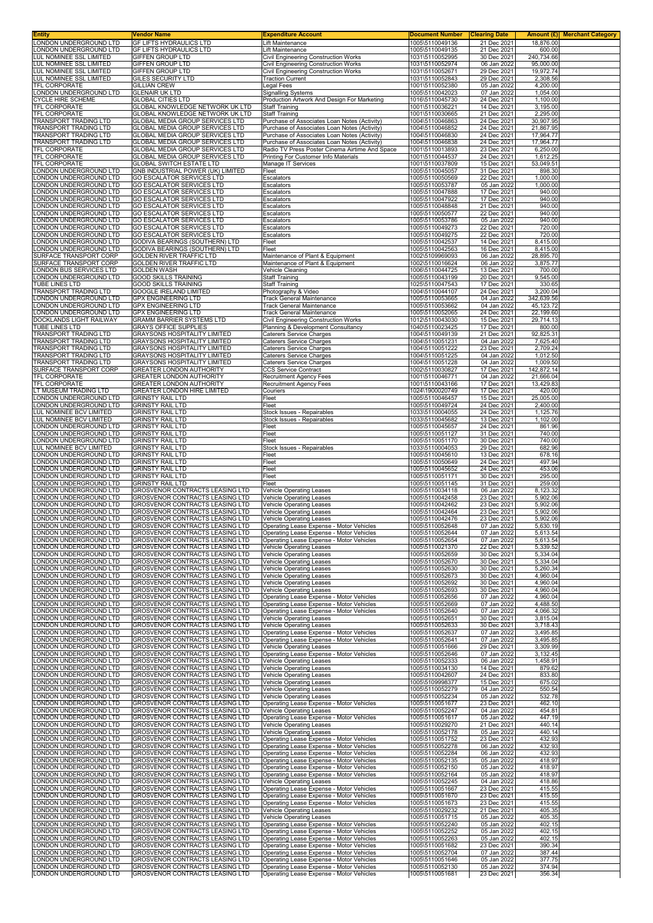| Entity                                             | Vendor Name                                                                | <b>Expenditure Account</b>                                                                   | <b>Document Number</b>             | <b>Clearing Date</b>       |                        | Amount (£) Merchant Category |
|----------------------------------------------------|----------------------------------------------------------------------------|----------------------------------------------------------------------------------------------|------------------------------------|----------------------------|------------------------|------------------------------|
| LONDON UNDERGROUND LTD<br>LONDON UNDERGROUND LTD   | GF LIFTS HYDRAULICS LTD<br><b>GF LIFTS HYDRAULICS LTD</b>                  | Lift Maintenance<br>Lift Maintenance                                                         | 1005\5110049136<br>1005\5110049135 | 21 Dec 2021<br>21 Dec 2021 | 18,876.00<br>600.00    |                              |
| LUL NOMINEE SSL LIMITED                            | <b>GIFFEN GROUP LTD</b>                                                    | Civil Engineering Construction Works                                                         | 1031\5110052995                    | 30 Dec 2021                | 240,734.66             |                              |
| LUL NOMINEE SSL LIMITED<br>LUL NOMINEE SSL LIMITED | <b>GIFFEN GROUP LTD</b><br><b>GIFFEN GROUP LTD</b>                         | <b>Civil Engineering Construction Works</b><br><b>Civil Engineering Construction Works</b>   | 1031\5110052974<br>1031\5110052671 | 06 Jan 2022<br>29 Dec 2021 | 95,000.00<br>19,972.74 |                              |
| LUL NOMINEE SSL LIMITED                            | GILES SECURITY LTD                                                         | <b>Traction Current</b>                                                                      | 1031\5110052843                    | 29 Dec 2021                | 2,308.56               |                              |
| TFL CORPORATE                                      | <b>GILLIAN CREW</b>                                                        | Legal Fees                                                                                   | 1001\5110052380                    | 05 Jan 2022                | 4,200.00               |                              |
| LONDON UNDERGROUND LTD<br>CYCLE HIRE SCHEME        | <b>GLENAIR UK LTD</b><br><b>GLOBAL CITIES LTD</b>                          | <b>Signalling Systems</b><br>Production Artwork And Design For Marketing                     | 1005\5110042023<br>1016\5110045730 | 07 Jan 2022<br>24 Dec 2021 | 1,054.00<br>1,100.00   |                              |
| TFL CORPORATE                                      | GLOBAL KNOWLEDGE NETWORK UK LTD                                            | <b>Staff Training</b>                                                                        | 1001\5110036221                    | 14 Dec 2021                | 3,195.00               |                              |
| TFL CORPORATE<br>TRANSPORT TRADING LTD             | GLOBAL KNOWLEDGE NETWORK UK LTD<br>GLOBAL MEDIA GROUP SERVICES LTD         | <b>Staff Training</b><br>Purchase of Associates Loan Notes (Activity)                        | 1001\5110030665<br>1004\5110046863 | 21 Dec 2021<br>24 Dec 2021 | 2,295.00<br>30,907.95  |                              |
| TRANSPORT TRADING LTD                              | GLOBAL MEDIA GROUP SERVICES LTD                                            | Purchase of Associates Loan Notes (Activity)                                                 | 1004\5110046852                    | 24 Dec 2021                | 21,867.95              |                              |
| TRANSPORT TRADING LTD<br>TRANSPORT TRADING LTD     | GLOBAL MEDIA GROUP SERVICES LTD<br>GLOBAL MEDIA GROUP SERVICES LTD         | Purchase of Associates Loan Notes (Activity)<br>Purchase of Associates Loan Notes (Activity) | 1004\5110046830<br>1004\5110046838 | 24 Dec 2021<br>24 Dec 2021 | 17,964.77<br>17,964.77 |                              |
| TFL CORPORATE                                      | GLOBAL MEDIA GROUP SERVICES LTD                                            | Radio TV Press Poster Cinema Airtime And Space                                               | 1001\5110013893                    | 23 Dec 2021                | 6,250.00               |                              |
| <b>TFL CORPORATE</b>                               | GLOBAL MEDIA GROUP SERVICES LTD<br><b>GLOBAL SWITCH ESTATE LTD</b>         | Printing For Customer Info Materials                                                         | 1001\5110044537                    | 24 Dec 2021<br>15 Dec 2021 | 1,612.25               |                              |
| TFL CORPORATE<br>LONDON UNDERGROUND LTD            | GNB INDUSTRIAL POWER (UK) LIMITED                                          | Manage IT Services<br>Fleet                                                                  | 1001\5110037809<br>1005\5110045057 | 31 Dec 2021                | 53,049.51<br>898.30    |                              |
| LONDON UNDERGROUND LTD                             | GO ESCALATOR SERVICES LTD                                                  | Escalators                                                                                   | 1005\5110050569                    | 22 Dec 2021                | 1,000.00               |                              |
| LONDON UNDERGROUND LTD<br>LONDON UNDERGROUND LTD   | GO ESCALATOR SERVICES LTD<br><b>GO ESCALATOR SERVICES LTD</b>              | Escalators<br>Escalators                                                                     | 1005\5110053787<br>1005\5110047888 | 05 Jan 2022<br>17 Dec 2021 | 1,000.00<br>940.00     |                              |
| LONDON UNDERGROUND LTD                             | <b>GO ESCALATOR SERVICES LTD</b>                                           | Escalators                                                                                   | 1005\5110047922                    | 17 Dec 2021                | 940.00                 |                              |
| LONDON UNDERGROUND LTD<br>LONDON UNDERGROUND LTD   | <b>GO ESCALATOR SERVICES LTD</b><br><b>GO ESCALATOR SERVICES LTD</b>       | Escalators<br>Escalators                                                                     | 1005\5110048848<br>1005\5110050577 | 21 Dec 2021<br>22 Dec 2021 | 940.00<br>940.00       |                              |
| LONDON UNDERGROUND LTD                             | GO ESCALATOR SERVICES LTD                                                  | Escalators                                                                                   | 1005\5110053786                    | 05 Jan 2022                | 940.00                 |                              |
| LONDON UNDERGROUND LTD<br>LONDON UNDERGROUND LTD   | <b>GO ESCALATOR SERVICES LTD</b><br>GO ESCALATOR SERVICES LTD              | Escalators<br>Escalators                                                                     | 1005\5110049273<br>1005\5110049275 | 22 Dec 2021<br>22 Dec 2021 | 720.00<br>720.00       |                              |
| LONDON UNDERGROUND LTD                             | GODIVA BEARINGS (SOUTHERN) LTD                                             | Fleet                                                                                        | 1005\5110042537                    | 14 Dec 2021                | 8,415.00               |                              |
| LONDON UNDERGROUND LTD                             | GODIVA BEARINGS (SOUTHERN) LTD                                             | Fleet                                                                                        | 1005\5110042563                    | 16 Dec 2021                | 8.415.00               |                              |
| SURFACE TRANSPORT CORP<br>SURFACE TRANSPORT CORP   | GOLDEN RIVER TRAFFIC LTD<br><b>GOLDEN RIVER TRAFFIC LTD</b>                | Maintenance of Plant & Equipment<br>Maintenance of Plant & Equipment                         | 1002\5109969093<br>1002\5110016624 | 06 Jan 2022<br>06 Jan 2022 | 28,895.70<br>3,875.77  |                              |
| LONDON BUS SERVICES LTD                            | <b>GOLDEN WASH</b>                                                         | Vehicle Cleaning                                                                             | 1006\5110044725                    | 13 Dec 2021                | 700.00                 |                              |
| LONDON UNDERGROUND LTD<br>TUBE LINES LTD           | <b>GOOD SKILLS TRAINING</b><br><b>GOOD SKILLS TRAINING</b>                 | <b>Staff Training</b><br><b>Staff Training</b>                                               | 1005\5110043199<br>1025\5110047543 | 20 Dec 2021<br>17 Dec 2021 | 9,545.00<br>330.65     |                              |
| TRANSPORT TRADING LTD                              | GOOGLE IRELAND LIMITED                                                     | Photography & Video                                                                          | 1004\5110044107                    | 24 Dec 2021                | 3,200.04               |                              |
| LONDON UNDERGROUND LTD<br>LONDON UNDERGROUND LTD   | <b>GPX ENGINEERING LTD</b>                                                 | Track General Maintenance                                                                    | 1005\5110053665                    | 04 Jan 2022<br>04 Jan 2022 | 342,639.56             |                              |
| LONDON UNDERGROUND LTD                             | GPX ENGINEERING LTD<br><b>GPX ENGINEERING LTD</b>                          | Track General Maintenance<br><b>Track General Maintenance</b>                                | 1005\5110053662<br>1005\5110052065 | 24 Dec 2021                | 45,123.72<br>22,199.60 |                              |
| DOCKLANDS LIGHT RAILWAY                            | <b>GRAMM BARRIER SYSTEMS LTD</b>                                           | Civil Engineering Construction Works                                                         | 1012\5110043030                    | 15 Dec 2021                | 29,714.13              |                              |
| TUBE LINES LTD<br>TRANSPORT TRADING LTD            | <b>GRAYS OFFICE SUPPLIES</b><br>GRAYSONS HOSPITALITY LIMITED               | Planning & Development Consultancy<br><b>Caterers Service Charges</b>                        | 1040\5110023425<br>1004\5110049139 | 17 Dec 2021<br>21 Dec 2021 | 800.00<br>92,825.31    |                              |
| <b>TRANSPORT TRADING LTD</b>                       | <b>GRAYSONS HOSPITALITY LIMITED</b>                                        | Caterers Service Charges                                                                     | 1004\5110051231                    | 04 Jan 2022                | 7,625.40               |                              |
| TRANSPORT TRADING LTD<br>TRANSPORT TRADING LTD     | <b>GRAYSONS HOSPITALITY LIMITED</b><br><b>GRAYSONS HOSPITALITY LIMITED</b> | Caterers Service Charges<br><b>Caterers Service Charges</b>                                  | 1004\5110051222<br>1004\5110051225 | 23 Dec 2021<br>04 Jan 2022 | 2,709.24<br>1,012.50   |                              |
| TRANSPORT TRADING LTD                              | <b>GRAYSONS HOSPITALITY LIMITED</b>                                        | Caterers Service Charges                                                                     | 1004\5110051228                    | 04 Jan 2022                | 1,009.50               |                              |
| SURFACE TRANSPORT CORP                             | GREATER LONDON AUTHORITY                                                   | <b>CCS Service Contract</b>                                                                  | 1002\5110030827                    | 17 Dec 2021                | 142,872.14             |                              |
| TFL CORPORATE<br>TFL CORPORATE                     | GREATER LONDON AUTHORITY<br><b>GREATER LONDON AUTHORITY</b>                | <b>Recruitment Agency Fees</b><br><b>Recruitment Agency Fees</b>                             | 1001\5110046771<br>1001\5110043166 | 04 Jan 2022<br>17 Dec 2021 | 21,666.04<br>13,429.83 |                              |
| LT MUSEUM TRADING LTD                              | GREATER LONDON HIRE LIMITED                                                | Couriers                                                                                     | 1024\1900020749                    | 17 Dec 2021                | 420.00                 |                              |
| LONDON UNDERGROUND LTD<br>LONDON UNDERGROUND LTD   | <b>GRINSTY RAIL LTD</b><br><b>GRINSTY RAIL LTD</b>                         | Fleet<br>Fleet                                                                               | 1005\5110046457<br>1005\5110049724 | 15 Dec 2021<br>24 Dec 2021 | 25,005.00<br>2,400.00  |                              |
| LUL NOMINEE BCV LIMITED                            | <b>GRINSTY RAIL LTD</b>                                                    | Stock Issues - Repairables                                                                   | 1033\5110004055                    | 24 Dec 2021                | 1,125.76               |                              |
| LUL NOMINEE BCV LIMITED                            | <b>GRINSTY RAIL LTD</b>                                                    | Stock Issues - Repairables                                                                   | 1033\5110045682                    | 13 Dec 2021                | 1,102.00               |                              |
| LONDON UNDERGROUND LTD<br>LONDON UNDERGROUND LTD   | <b>GRINSTY RAIL LTD</b><br><b>GRINSTY RAIL LTD</b>                         | Fleet<br>Fleet                                                                               | 1005\5110045657<br>1005\5110051127 | 24 Dec 2021<br>31 Dec 2021 | 861.96<br>740.00       |                              |
| LONDON UNDERGROUND LTD                             | <b>GRINSTY RAIL LTD</b>                                                    | Fleet                                                                                        | 1005\5110051170                    | 30 Dec 2021                | 740.00                 |                              |
| LUL NOMINEE BCV LIMITED<br>LONDON UNDERGROUND LTD  | <b>GRINSTY RAIL LTD</b><br><b>GRINSTY RAIL LTD</b>                         | Stock Issues - Repairables<br>Fleet                                                          | 1033\5110004053<br>1005\5110045610 | 29 Dec 2021<br>13 Dec 2021 | 682.96<br>678.16       |                              |
| LONDON UNDERGROUND LTD                             | <b>GRINSTY RAIL LTD</b>                                                    | Fleet                                                                                        | 1005\5110050649                    | 24 Dec 2021                | 497.94                 |                              |
| LONDON UNDERGROUND LTD                             | <b>GRINSTY RAIL LTD</b>                                                    | Fleet                                                                                        | 1005\5110045652                    | 24 Dec 2021                | 453.06                 |                              |
| LONDON UNDERGROUND LTD<br>LONDON UNDERGROUND LTD   | <b>GRINSTY RAIL LTD</b><br><b>GRINSTY RAIL LTD</b>                         | Fleet<br>Fleet                                                                               | 1005\5110051171<br>1005\5110051145 | 30 Dec 2021<br>31 Dec 2021 | 295.00<br>259.00       |                              |
| LONDON UNDERGROUND LTD                             | <b>GROSVENOR CONTRACTS LEASING LTD</b>                                     | <b>Vehicle Operating Leases</b>                                                              | 1005\5110034118                    | 06 Jan 2022                | 8,123.32               |                              |
| LONDON UNDERGROUND LTD<br>LONDON UNDERGROUND LTD   | GROSVENOR CONTRACTS LEASING LTD<br>GROSVENOR CONTRACTS LEASING LTD         | <b>Vehicle Operating Leases</b><br><b>Vehicle Operating Leases</b>                           | 1005\5110042458<br>1005\5110042462 | 23 Dec 2021<br>23 Dec 2021 | 5,902.06<br>5,902.06   |                              |
| LONDON UNDERGROUND LTD                             | GROSVENOR CONTRACTS LEASING LTD                                            | <b>Vehicle Operating Leases</b>                                                              | 1005\5110042464                    | 23 Dec 2021                | 5,902.06               |                              |
| LONDON UNDERGROUND LTD                             | GROSVENOR CONTRACTS LEASING LTD                                            | Vehicle Operating Leases<br>Operating Lease Expense - Motor Vehicles                         | 1005\5110042476                    | 23 Dec 2021                | 5,902.06               |                              |
| LONDON UNDERGROUND LTD<br>LONDON UNDERGROUND LTD   | GROSVENOR CONTRACTS LEASING LTD<br>GROSVENOR CONTRACTS LEASING LTD         | Operating Lease Expense - Motor Vehicles                                                     | 1005\5110052648<br>1005\5110052644 | 07 Jan 2022<br>07 Jan 2022 | 5,630.19<br>5,613.54   |                              |
| LONDON UNDERGROUND LTD                             | <b>GROSVENOR CONTRACTS LEASING LTD</b>                                     | Operating Lease Expense - Motor Vehicles                                                     | 1005\5110052654                    | 07 Jan 2022                | 5,613.54               |                              |
| LONDON UNDERGROUND LTD<br>LONDON UNDERGROUND LTD   | GROSVENOR CONTRACTS LEASING LTD<br>GROSVENOR CONTRACTS LEASING LTD         | Vehicle Operating Leases<br><b>Vehicle Operating Leases</b>                                  | 1005\5110021370<br>1005\5110052659 | 22 Dec 2021<br>30 Dec 2021 | 5,339.52<br>5,334.04   |                              |
| LONDON UNDERGROUND LTD                             | GROSVENOR CONTRACTS LEASING LTD                                            | Vehicle Operating Leases                                                                     | 1005\5110052670                    | 30 Dec 2021                | 5,334.04               |                              |
| LONDON UNDERGROUND LTD<br>LONDON UNDERGROUND LTD   | GROSVENOR CONTRACTS LEASING LTD<br>GROSVENOR CONTRACTS LEASING LTD         | <b>Vehicle Operating Leases</b><br><b>Vehicle Operating Leases</b>                           | 1005\5110052630<br>1005\5110052673 | 30 Dec 2021<br>30 Dec 2021 | 5,260.34<br>4,960.04   |                              |
| LONDON UNDERGROUND LTD                             | GROSVENOR CONTRACTS LEASING LTD                                            | <b>Vehicle Operating Leases</b>                                                              | 1005\5110052692                    | 30 Dec 2021                | 4,960.04               |                              |
| LONDON UNDERGROUND LTD                             | GROSVENOR CONTRACTS LEASING LTD<br>GROSVENOR CONTRACTS LEASING LTD         | Vehicle Operating Leases                                                                     | 1005\5110052693<br>1005\5110052656 | 30 Dec 2021                | 4,960.04               |                              |
| LONDON UNDERGROUND LTD<br>LONDON UNDERGROUND LTD   | GROSVENOR CONTRACTS LEASING LTD                                            | Operating Lease Expense - Motor Vehicles<br>Operating Lease Expense - Motor Vehicles         | 1005\5110052669                    | 07 Jan 2022<br>07 Jan 2022 | 4,960.04<br>4,488.50   |                              |
| LONDON UNDERGROUND LTD                             | GROSVENOR CONTRACTS LEASING LTD                                            | Operating Lease Expense - Motor Vehicles                                                     | 1005\5110052640                    | 07 Jan 2022                | 4,066.32               |                              |
| LONDON UNDERGROUND LTD<br>LONDON UNDERGROUND LTD   | GROSVENOR CONTRACTS LEASING LTD<br>GROSVENOR CONTRACTS LEASING LTD         | Vehicle Operating Leases<br><b>Vehicle Operating Leases</b>                                  | 1005\5110052651<br>1005\5110052633 | 30 Dec 2021<br>30 Dec 2021 | 3,815.04<br>3,718.43   |                              |
| LONDON UNDERGROUND LTD                             | GROSVENOR CONTRACTS LEASING LTD                                            | Operating Lease Expense - Motor Vehicles                                                     | 1005\5110052637                    | 07 Jan 2022                | 3,495.85               |                              |
| LONDON UNDERGROUND LTD<br>LONDON UNDERGROUND LTD   | <b>GROSVENOR CONTRACTS LEASING LTD</b><br>GROSVENOR CONTRACTS LEASING LTD  | Operating Lease Expense - Motor Vehicles<br>Vehicle Operating Leases                         | 1005\5110052641<br>1005\5110051666 | 07 Jan 2022<br>29 Dec 2021 | 3,495.85<br>3,309.99   |                              |
| LONDON UNDERGROUND LTD                             | GROSVENOR CONTRACTS LEASING LTD                                            | Operating Lease Expense - Motor Vehicles                                                     | 1005\5110052646                    | 07 Jan 2022                | 3,132.45               |                              |
| LONDON UNDERGROUND LTD<br>LONDON UNDERGROUND LTD   | GROSVENOR CONTRACTS LEASING LTD<br>GROSVENOR CONTRACTS LEASING LTD         | <b>Vehicle Operating Leases</b><br><b>Vehicle Operating Leases</b>                           | 1005\5110052333<br>1005\5110034130 | 06 Jan 2022<br>14 Dec 2021 | 1,458.91<br>879.62     |                              |
| LONDON UNDERGROUND LTD                             | GROSVENOR CONTRACTS LEASING LTD                                            | Vehicle Operating Leases                                                                     | 1005\5110042607                    | 24 Dec 2021                | 833.80                 |                              |
| LONDON UNDERGROUND LTD                             | GROSVENOR CONTRACTS LEASING LTD                                            | <b>Vehicle Operating Leases</b>                                                              | 1005\5109998377                    | 15 Dec 2021                | 675.02                 |                              |
| LONDON UNDERGROUND LTD<br>LONDON UNDERGROUND LTD   | GROSVENOR CONTRACTS LEASING LTD<br>GROSVENOR CONTRACTS LEASING LTD         | Vehicle Operating Leases<br>Vehicle Operating Leases                                         | 1005\5110052279<br>1005\5110052234 | 04 Jan 2022<br>05 Jan 2022 | 550.54<br>532.78       |                              |
| LONDON UNDERGROUND LTD                             | GROSVENOR CONTRACTS LEASING LTD                                            | Operating Lease Expense - Motor Vehicles                                                     | 1005\5110051677                    | 23 Dec 2021                | 462.10                 |                              |
| LONDON UNDERGROUND LTD<br>LONDON UNDERGROUND LTD   | GROSVENOR CONTRACTS LEASING LTD<br>GROSVENOR CONTRACTS LEASING LTD         | <b>Vehicle Operating Leases</b><br>Operating Lease Expense - Motor Vehicles                  | 1005\5110052247<br>1005\5110051617 | 04 Jan 2022<br>05 Jan 2022 | 454.81<br>447.19       |                              |
| LONDON UNDERGROUND LTD                             | GROSVENOR CONTRACTS LEASING LTD                                            | <b>Vehicle Operating Leases</b>                                                              | 1005\5110029270                    | 21 Dec 2021                | 440.14                 |                              |
| LONDON UNDERGROUND LTD                             | GROSVENOR CONTRACTS LEASING LTD                                            | <b>Vehicle Operating Leases</b>                                                              | 1005\5110052178                    | 05 Jan 2022                | 440.14                 |                              |
| LONDON UNDERGROUND LTD<br>LONDON UNDERGROUND LTD   | GROSVENOR CONTRACTS LEASING LTD<br>GROSVENOR CONTRACTS LEASING LTD         | Operating Lease Expense - Motor Vehicles<br>Operating Lease Expense - Motor Vehicles         | 1005\5110051752<br>1005\5110052278 | 23 Dec 2021<br>06 Jan 2022 | 432.93<br>432.93       |                              |
| LONDON UNDERGROUND LTD                             | GROSVENOR CONTRACTS LEASING LTD                                            | Operating Lease Expense - Motor Vehicles                                                     | 1005\5110052284                    | 06 Jan 2022                | 432.93                 |                              |
| LONDON UNDERGROUND LTD<br>LONDON UNDERGROUND LTD   | GROSVENOR CONTRACTS LEASING LTD<br>GROSVENOR CONTRACTS LEASING LTD         | Operating Lease Expense - Motor Vehicles<br>Operating Lease Expense - Motor Vehicles         | 1005\5110052135<br>1005\5110052150 | 05 Jan 2022<br>05 Jan 2022 | 418.97<br>418.97       |                              |
| LONDON UNDERGROUND LTD                             | GROSVENOR CONTRACTS LEASING LTD                                            | Operating Lease Expense - Motor Vehicles                                                     | 1005\5110052164                    | 05 Jan 2022                | 418.97                 |                              |
| LONDON UNDERGROUND LTD<br>LONDON UNDERGROUND LTD   | GROSVENOR CONTRACTS LEASING LTD<br>GROSVENOR CONTRACTS LEASING LTD         | <b>Vehicle Operating Leases</b><br>Operating Lease Expense - Motor Vehicles                  | 1005\5110052245<br>1005\5110051667 | 04 Jan 2022<br>23 Dec 2021 | 418.86<br>415.55       |                              |
| LONDON UNDERGROUND LTD                             | GROSVENOR CONTRACTS LEASING LTD                                            | Operating Lease Expense - Motor Vehicles                                                     | 1005\5110051670                    | 23 Dec 2021                | 415.55                 |                              |
| LONDON UNDERGROUND LTD                             | GROSVENOR CONTRACTS LEASING LTD                                            | Operating Lease Expense - Motor Vehicles                                                     | 1005\5110051673                    | 23 Dec 2021                | 415.55                 |                              |
| LONDON UNDERGROUND LTD<br>LONDON UNDERGROUND LTD   | GROSVENOR CONTRACTS LEASING LTD<br>GROSVENOR CONTRACTS LEASING LTD         | Vehicle Operating Leases<br>Vehicle Operating Leases                                         | 1005\5110029232<br>1005\5110051715 | 21 Dec 2021<br>05 Jan 2022 | 405.35<br>405.35       |                              |
| LONDON UNDERGROUND LTD                             | GROSVENOR CONTRACTS LEASING LTD                                            | Operating Lease Expense - Motor Vehicles                                                     | 1005\5110052240                    | 05 Jan 2022                | 402.15                 |                              |
| LONDON UNDERGROUND LTD<br>LONDON UNDERGROUND LTD   | GROSVENOR CONTRACTS LEASING LTD<br>GROSVENOR CONTRACTS LEASING LTD         | Operating Lease Expense - Motor Vehicles<br>Operating Lease Expense - Motor Vehicles         | 1005\5110052252<br>1005\5110052263 | 05 Jan 2022<br>05 Jan 2022 | 402.15<br>402.15       |                              |
| LONDON UNDERGROUND LTD                             | GROSVENOR CONTRACTS LEASING LTD                                            | Operating Lease Expense - Motor Vehicles                                                     | 1005\5110051682                    | 23 Dec 2021                | 390.34                 |                              |
| LONDON UNDERGROUND LTD                             | GROSVENOR CONTRACTS LEASING LTD                                            | Operating Lease Expense - Motor Vehicles                                                     | 1005\5110052704                    | 07 Jan 2022                | 387.44                 |                              |
| LONDON UNDERGROUND LTD<br>LONDON UNDERGROUND LTD   | GROSVENOR CONTRACTS LEASING LTD<br>GROSVENOR CONTRACTS LEASING LTD         | Operating Lease Expense - Motor Vehicles<br>Operating Lease Expense - Motor Vehicles         | 1005\5110051646<br>1005\5110052130 | 05 Jan 2022<br>05 Jan 2022 | 377.75<br>374.94       |                              |
| LONDON UNDERGROUND LTD                             | GROSVENOR CONTRACTS LEASING LTD                                            | Operating Lease Expense - Motor Vehicles                                                     | 1005\5110051681                    | 23 Dec 2021                | 356.34                 |                              |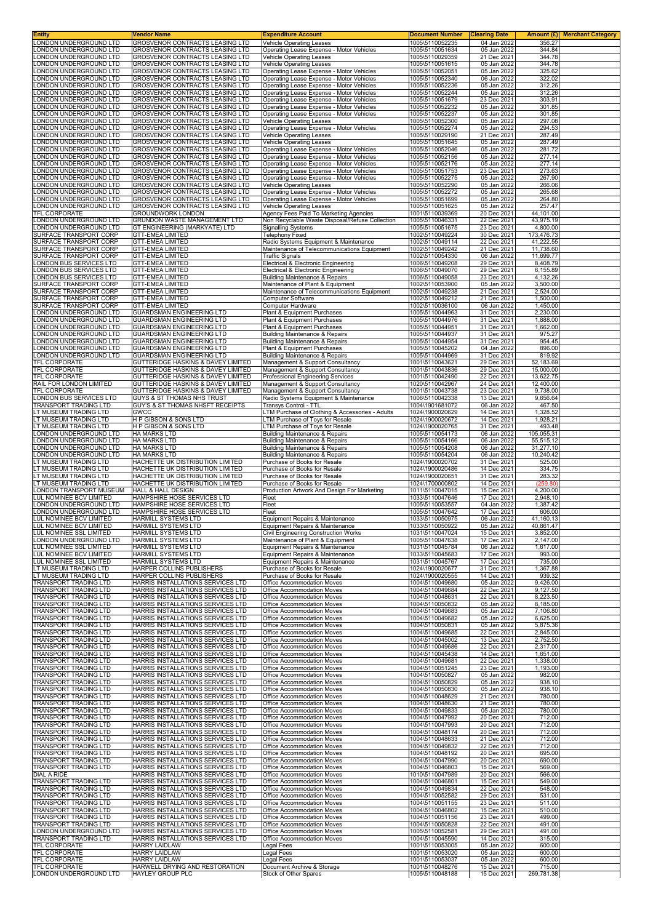| LONDON UNDERGROUND LTD                                                                                                                                                                                                                   | Vendor Name                                                                | <b>Expenditure Account</b>                                                           | <b>Document Number</b>                                | <b>Clearing Date</b>       | <b>Amount (£) Merchant Category</b> |  |
|------------------------------------------------------------------------------------------------------------------------------------------------------------------------------------------------------------------------------------------|----------------------------------------------------------------------------|--------------------------------------------------------------------------------------|-------------------------------------------------------|----------------------------|-------------------------------------|--|
| LONDON UNDERGROUND LTD                                                                                                                                                                                                                   | GROSVENOR CONTRACTS LEASING LTD<br>GROSVENOR CONTRACTS LEASING LTD         | <b>Vehicle Operating Leases</b><br>Operating Lease Expense - Motor Vehicles          | 1005\5110052235<br>1005\5110051634                    | 04 Jan 2022<br>05 Jan 2022 | 356.27<br>344.84                    |  |
| LONDON UNDERGROUND LTD                                                                                                                                                                                                                   | GROSVENOR CONTRACTS LEASING LTD                                            | Vehicle Operating Leases                                                             | 1005\5110029359                                       | 21 Dec 2021                | 344.78                              |  |
| LONDON UNDERGROUND LTD                                                                                                                                                                                                                   | GROSVENOR CONTRACTS LEASING LTD                                            | <b>Vehicle Operating Leases</b>                                                      | 1005\5110051615                                       | 05 Jan 2022                | 344.78                              |  |
| LONDON UNDERGROUND LTD                                                                                                                                                                                                                   | GROSVENOR CONTRACTS LEASING LTD                                            | Operating Lease Expense - Motor Vehicles                                             | 1005\5110052051                                       | 05 Jan 2022                | 325.62                              |  |
| LONDON UNDERGROUND LTD<br>LONDON UNDERGROUND LTD                                                                                                                                                                                         | GROSVENOR CONTRACTS LEASING LTD<br>GROSVENOR CONTRACTS LEASING LTD         | Operating Lease Expense - Motor Vehicles<br>Operating Lease Expense - Motor Vehicles | 1005\5110052340<br>1005\5110052236                    | 06 Jan 2022<br>05 Jan 2022 | 322.02<br>312.26                    |  |
| LONDON UNDERGROUND LTD                                                                                                                                                                                                                   | GROSVENOR CONTRACTS LEASING LTD                                            | Operating Lease Expense - Motor Vehicles                                             | 1005\5110052244                                       | 05 Jan 2022                | 312.26                              |  |
| LONDON UNDERGROUND LTD                                                                                                                                                                                                                   | GROSVENOR CONTRACTS LEASING LTD                                            | Operating Lease Expense - Motor Vehicles                                             | 1005\5110051679                                       | 23 Dec 2021                | 303.91                              |  |
| LONDON UNDERGROUND LTD                                                                                                                                                                                                                   | GROSVENOR CONTRACTS LEASING LTD                                            | Operating Lease Expense - Motor Vehicles                                             | 1005\5110052232                                       | 05 Jan 2022                | 301.85                              |  |
| LONDON UNDERGROUND LTD<br>LONDON UNDERGROUND LTD                                                                                                                                                                                         | GROSVENOR CONTRACTS LEASING LTD<br>GROSVENOR CONTRACTS LEASING LTD         | Operating Lease Expense - Motor Vehicles<br>Vehicle Operating Leases                 | 1005\5110052237<br>1005\5110052300                    | 05 Jan 2022<br>05 Jan 2022 | 301.85<br>297.08                    |  |
| LONDON UNDERGROUND LTD                                                                                                                                                                                                                   | GROSVENOR CONTRACTS LEASING LTD                                            | Operating Lease Expense - Motor Vehicles                                             | 1005\5110052274                                       | 05 Jan 2022                | 294.53                              |  |
| LONDON UNDERGROUND LTD                                                                                                                                                                                                                   | GROSVENOR CONTRACTS LEASING LTD                                            | <b>Vehicle Operating Leases</b>                                                      | 1005\5110029190                                       | 21 Dec 2021                | 287.49                              |  |
| LONDON UNDERGROUND LTD<br>LONDON UNDERGROUND LTD                                                                                                                                                                                         | <b>GROSVENOR CONTRACTS LEASING LTD</b>                                     | Vehicle Operating Leases                                                             | 1005\5110051645                                       | 05 Jan 2022                | 287.49                              |  |
| LONDON UNDERGROUND LTD                                                                                                                                                                                                                   | GROSVENOR CONTRACTS LEASING LTD<br>GROSVENOR CONTRACTS LEASING LTD         | Operating Lease Expense - Motor Vehicles<br>Operating Lease Expense - Motor Vehicles | 1005\5110052046<br>1005\5110052156                    | 05 Jan 2022<br>05 Jan 2022 | 281.72<br>277.14                    |  |
| LONDON UNDERGROUND LTD                                                                                                                                                                                                                   | GROSVENOR CONTRACTS LEASING LTD                                            | Operating Lease Expense - Motor Vehicles                                             | 1005\5110052176                                       | 05 Jan 2022                | 277.14                              |  |
| LONDON UNDERGROUND LTD                                                                                                                                                                                                                   | GROSVENOR CONTRACTS LEASING LTD                                            | Operating Lease Expense - Motor Vehicles                                             | 1005\5110051753                                       | 23 Dec 2021                | 273.63                              |  |
| LONDON UNDERGROUND LTD<br>LONDON UNDERGROUND LTD                                                                                                                                                                                         | GROSVENOR CONTRACTS LEASING LTD<br>GROSVENOR CONTRACTS LEASING LTD         | Operating Lease Expense - Motor Vehicles<br><b>Vehicle Operating Leases</b>          | 1005\5110052275<br>1005\5110052290                    | 05 Jan 2022<br>05 Jan 2022 | 267.90<br>266.06                    |  |
| LONDON UNDERGROUND LTD                                                                                                                                                                                                                   | GROSVENOR CONTRACTS LEASING LTD                                            | Operating Lease Expense - Motor Vehicles                                             | 1005\5110052272                                       | 05 Jan 2022                | 265.68                              |  |
| LONDON UNDERGROUND LTD                                                                                                                                                                                                                   | GROSVENOR CONTRACTS LEASING LTD                                            | Operating Lease Expense - Motor Vehicles                                             | 1005\5110051699                                       | 05 Jan 2022                | 264.80                              |  |
| LONDON UNDERGROUND LTD<br>TFL CORPORATE                                                                                                                                                                                                  | GROSVENOR CONTRACTS LEASING LTD                                            | Vehicle Operating Leases<br>Agency Fees Paid To Marketing Agencies                   | 1005\5110051625                                       | 05 Jan 2022                | 257.47<br>44,101.00                 |  |
| LONDON UNDERGROUND LTD                                                                                                                                                                                                                   | GROUNDWORK LONDON<br>GRUNDON WASTE MANAGEMENT LTD                          | Non Recyclable Waste Disposal/Refuse Collection                                      | 1001\5110039369<br>1005\5110046331                    | 20 Dec 2021<br>22 Dec 2021 | 43,975.19                           |  |
| LONDON UNDERGROUND LTD                                                                                                                                                                                                                   | GT ENGINEERING (MARKYATE) LTD                                              | <b>Signalling Systems</b>                                                            | 1005\5110051675                                       | 23 Dec 2021                | 4,800.00                            |  |
| SURFACE TRANSPORT CORP                                                                                                                                                                                                                   | <b>GTT-EMEA LIMITED</b>                                                    | <b>Telephony Fixed</b>                                                               | 1002\5110049224                                       | 30 Dec 2021                | 173,476.73                          |  |
| SURFACE TRANSPORT CORP<br>SURFACE TRANSPORT CORP                                                                                                                                                                                         | <b>GTT-EMEA LIMITED</b><br><b>GTT-EMEA LIMITED</b>                         | Radio Systems Equipment & Maintenance<br>Maintenance of Telecommunications Equipment | 1002\5110049114<br>1002\5110049242                    | 22 Dec 2021<br>21 Dec 2021 | 41,222.55<br>11,738.60              |  |
| SURFACE TRANSPORT CORP                                                                                                                                                                                                                   | <b>GTT-EMEA LIMITED</b>                                                    | <b>Traffic Signals</b>                                                               | 1002\5110054330                                       | 06 Jan 2022                | 11,699.77                           |  |
| LONDON BUS SERVICES LTD                                                                                                                                                                                                                  | <b>GTT-EMEA LIMITED</b>                                                    | Electrical & Electronic Engineering                                                  | 1006\5110049208                                       | 29 Dec 2021                | 8,408.79                            |  |
| <b>LONDON BUS SERVICES LTD</b>                                                                                                                                                                                                           | <b>GTT-EMEA LIMITED</b>                                                    | Electrical & Electronic Engineering                                                  | 1006\5110049070                                       | 29 Dec 2021                | 6,155.89                            |  |
| LONDON BUS SERVICES LTD<br>SURFACE TRANSPORT CORP                                                                                                                                                                                        | <b>GTT-EMEA LIMITED</b><br><b>GTT-EMEA LIMITED</b>                         | <b>Building Maintenance &amp; Repairs</b><br>Maintenance of Plant & Equipment        | 1006\5110049058<br>1002\5110053900                    | 23 Dec 2021<br>05 Jan 2022 | 4,132.26<br>3,500.00                |  |
| SURFACE TRANSPORT CORP                                                                                                                                                                                                                   | <b>GTT-EMEA LIMITED</b>                                                    | Maintenance of Telecommunications Equipment                                          | 1002\5110049238                                       | 21 Dec 2021                | 2,524.00                            |  |
| SURFACE TRANSPORT CORP                                                                                                                                                                                                                   | <b>GTT-EMEA LIMITED</b>                                                    | <b>Computer Software</b>                                                             | 1002\5110049212                                       | 21 Dec 2021                | 1,500.00                            |  |
| SURFACE TRANSPORT CORP<br>LONDON UNDERGROUND LTD                                                                                                                                                                                         | <b>GTT-EMEA LIMITED</b>                                                    | Computer Hardware                                                                    | 1002\5110036100                                       | 06 Jan 2022                | 1,450.00                            |  |
| <b>LONDON UNDERGROUND LTD</b>                                                                                                                                                                                                            | <b>GUARDSMAN ENGINEERING LTD</b><br><b>GUARDSMAN ENGINEERING LTD</b>       | Plant & Equipment Purchases<br>Plant & Equipment Purchases                           | 1005\5110044963<br>1005\5110044976                    | 31 Dec 2021<br>31 Dec 2021 | 2,230.00<br>1,888.00                |  |
| LONDON UNDERGROUND LTD                                                                                                                                                                                                                   | GUARDSMAN ENGINEERING LTD                                                  | Plant & Equipment Purchases                                                          | 1005\5110044951                                       | 31 Dec 2021                | 1,662.00                            |  |
| LONDON UNDERGROUND LTD                                                                                                                                                                                                                   | GUARDSMAN ENGINEERING LTD                                                  | Building Maintenance & Repairs                                                       | 1005\5110044937                                       | 31 Dec 2021                | 975.27                              |  |
| LONDON UNDERGROUND LTD<br>LONDON UNDERGROUND LTD                                                                                                                                                                                         | <b>GUARDSMAN ENGINEERING LTD</b><br><b>GUARDSMAN ENGINEERING LTD</b>       | <b>Building Maintenance &amp; Repairs</b><br>Plant & Equipment Purchases             | 1005\5110044954<br>1005\5110045202                    | 31 Dec 2021<br>04 Jan 2022 | 954.45<br>896.00                    |  |
| LONDON UNDERGROUND LTD                                                                                                                                                                                                                   | GUARDSMAN ENGINEERING LTD                                                  | <b>Building Maintenance &amp; Repairs</b>                                            | 1005\5110044969                                       | 31 Dec 2021                | 819.92                              |  |
| TFL CORPORATE                                                                                                                                                                                                                            | GUTTERIDGE HASKINS & DAVEY LIMITED                                         | Management & Support Consultancy                                                     | 1001\5110043621                                       | 29 Dec 2021                | 52,183.69                           |  |
| TFL CORPORATE<br>TFL CORPORATE                                                                                                                                                                                                           | GUTTERIDGE HASKINS & DAVEY LIMITED<br>GUTTERIDGE HASKINS & DAVEY LIMITED   | Management & Support Consultancy<br>Professional Engineering Services                | 1001\5110043836<br>1001\5110042490                    | 29 Dec 2021<br>22 Dec 2021 | 15,000.00<br>13,622.75              |  |
| RAIL FOR LONDON LIMITED                                                                                                                                                                                                                  | GUTTERIDGE HASKINS & DAVEY LIMITED                                         | Management & Support Consultancy                                                     | 1020\5110042967                                       | 24 Dec 2021                | 12,400.00                           |  |
| TFL CORPORATE                                                                                                                                                                                                                            | GUTTERIDGE HASKINS & DAVEY LIMITED                                         | Management & Support Consultancy                                                     | 1001\5110043738                                       | 23 Dec 2021                | 9,738.00                            |  |
| LONDON BUS SERVICES LTD<br>TRANSPORT TRADING LTD                                                                                                                                                                                         | <b>GUYS &amp; ST THOMAS NHS TRUST</b><br>GUY'S & ST THOMAS NHSFT RECEIPTS  | Radio Systems Equipment & Maintenance<br>Transys Control - TTL                       | 1006\5110042338<br>1004\1901681072                    | 13 Dec 2021<br>06 Jan 2022 | 9,656.64<br>467.50                  |  |
| LT MUSEUM TRADING LTD                                                                                                                                                                                                                    | GWCC                                                                       | LTM Purchase of Clothing & Accessories - Adults                                      | 1024\1900020629                                       | 14 Dec 2021                | 1,328.52                            |  |
| LT MUSEUM TRADING LTD                                                                                                                                                                                                                    | H P GIBSON & SONS LTD                                                      | LTM Purchase of Toys for Resale                                                      | 1024\1900020672                                       | 14 Dec 2021                | 1,928.21                            |  |
| LT MUSEUM TRADING LTD<br>LONDON UNDERGROUND LTD                                                                                                                                                                                          | <b>H P GIBSON &amp; SONS LTD</b><br><b>HA MARKS LTD</b>                    | LTM Purchase of Toys for Resale<br><b>Building Maintenance &amp; Repairs</b>         | 1024\1900020765<br>1005\5110054173                    | 31 Dec 2021<br>06 Jan 2022 | 493.48<br>105,055.31                |  |
| LONDON UNDERGROUND LTD                                                                                                                                                                                                                   | <b>HA MARKS LTD</b>                                                        | <b>Building Maintenance &amp; Repairs</b>                                            | 1005\5110054166                                       | 06 Jan 2022                | 55,515.12                           |  |
| LONDON UNDERGROUND LTD                                                                                                                                                                                                                   | <b>HA MARKS LTD</b>                                                        | <b>Building Maintenance &amp; Repairs</b>                                            | 1005\5110054208                                       | 06 Jan 2022                | 31,277.10                           |  |
| LONDON UNDERGROUND LTD<br>LT MUSEUM TRADING LTD                                                                                                                                                                                          | <b>HA MARKS LTD</b><br>HACHETTE UK DISTRIBUTION LIMITED                    | <b>Building Maintenance &amp; Repairs</b><br>Purchase of Books for Resale            | 1005\5110054204<br>1024\1900020702                    | 06 Jan 2022<br>31 Dec 2021 | 10,240.42<br>525.00                 |  |
| LT MUSEUM TRADING LTD                                                                                                                                                                                                                    | HACHETTE UK DISTRIBUTION LIMITED                                           | Purchase of Books for Resale                                                         | 1024\1900020486                                       | 14 Dec 2021                | 334.75                              |  |
| LT MUSEUM TRADING LTD                                                                                                                                                                                                                    | HACHETTE UK DISTRIBUTION LIMITED                                           | Purchase of Books for Resale                                                         | 1024\1900020651                                       | 31 Dec 2021                | 283.32                              |  |
| LT MUSEUM TRADING LTD<br>LONDON TRANSPORT MUSEUM                                                                                                                                                                                         | HACHETTE UK DISTRIBUTION LIMITED<br><b>HALL &amp; HALL DESIGN</b>          | Purchase of Books for Resale<br>Production Artwork And Design For Marketing          | 1024\1700000802<br>1011\5110047015                    | 14 Dec 2021<br>15 Dec 2021 | (259.80)<br>4,200.00                |  |
|                                                                                                                                                                                                                                          |                                                                            | Fleet                                                                                | 1033\5110047646                                       | 17 Dec 2021                | 2,948.10                            |  |
| LUL NOMINEE BCV LIMITED                                                                                                                                                                                                                  | HAMPSHIRE HOSE SERVICES LTD                                                |                                                                                      |                                                       |                            |                                     |  |
| LONDON UNDERGROUND LTD                                                                                                                                                                                                                   | HAMPSHIRE HOSE SERVICES LTD                                                | Fleet                                                                                | 1005\5110053557                                       | 04 Jan 2022                | 1,387.42                            |  |
| LONDON UNDERGROUND LTD                                                                                                                                                                                                                   | HAMPSHIRE HOSE SERVICES LTD                                                | Fleet                                                                                | 1005\5110047642                                       | 17 Dec 2021                | 606.00                              |  |
| LUL NOMINEE BCV LIMITED<br>LUL NOMINEE BCV LIMITED                                                                                                                                                                                       | HARMILL SYSTEMS LTD<br>HARMILL SYSTEMS LTD                                 | Equipment Repairs & Maintenance<br>Equipment Repairs & Maintenance                   | 1033\5110050975<br>1033\5110050922                    | 06 Jan 2022<br>05 Jan 2022 | 41,160.13<br>40.861.47              |  |
| LUL NOMINEE SSL LIMITED                                                                                                                                                                                                                  | HARMILL SYSTEMS LTD                                                        | Civil Engineering Construction Works                                                 | 1031\5110047024                                       | 15 Dec 2021                | 3,852.00                            |  |
| LONDON UNDERGROUND LTD                                                                                                                                                                                                                   | HARMILL SYSTEMS LTD                                                        | Maintenance of Plant & Equipment                                                     | 1005\5110047638                                       | 17 Dec 2021                | 2,147.00                            |  |
| LUL NOMINEE SSL LIMITED                                                                                                                                                                                                                  | HARMILL SYSTEMS LTD                                                        | Equipment Repairs & Maintenance                                                      | 1031\5110045784                                       | 06 Jan 2022                | 1,617.00                            |  |
| LUL NOMINEE BCV LIMITED<br>LUL NOMINEE SSL LIMITED                                                                                                                                                                                       | HARMILL SYSTEMS LTD<br>HARMILL SYSTEMS LTD                                 | Equipment Repairs & Maintenance<br>Equipment Repairs & Maintenance                   | 1033\5110045683<br>1031\5110045767                    | 17 Dec 2021<br>17 Dec 2021 | 993.00<br>735.00                    |  |
| LT MUSEUM TRADING LTD                                                                                                                                                                                                                    | HARPER COLLINS PUBLISHERS                                                  | Purchase of Books for Resale                                                         | 1024\1900020677                                       | 31 Dec 2021                | 1,367.88                            |  |
| LT MUSEUM TRADING LTD                                                                                                                                                                                                                    | HARPER COLLINS PUBLISHERS                                                  | Purchase of Books for Resale                                                         | 1024\1900020555                                       | 14 Dec 2021                | 939.32                              |  |
| TRANSPORT TRADING LTD<br>TRANSPORT TRADING LTD                                                                                                                                                                                           | HARRIS INSTALLATIONS SERVICES LTD<br>HARRIS INSTALLATIONS SERVICES LTD     | Office Accommodation Moves<br>Office Accommodation Moves                             | 1004\5110049680<br>1004\5110049684                    | 05 Jan 2022<br>22 Dec 2021 | 9,426.00<br>9,127.50                |  |
| <b>TRANSPORT TRADING LTD</b>                                                                                                                                                                                                             | HARRIS INSTALLATIONS SERVICES LTD                                          | Office Accommodation Moves                                                           | 1004\5110048631                                       | 22 Dec 2021                | 8,223.50                            |  |
| TRANSPORT TRADING LTD                                                                                                                                                                                                                    | HARRIS INSTALLATIONS SERVICES LTD                                          | Office Accommodation Moves                                                           | 1004\5110050832                                       | 05 Jan 2022                | 8,185.00                            |  |
| TRANSPORT TRADING LTD<br>TRANSPORT TRADING LTD                                                                                                                                                                                           | HARRIS INSTALLATIONS SERVICES LTD<br>HARRIS INSTALLATIONS SERVICES LTD     | Office Accommodation Moves<br>Office Accommodation Moves                             | 1004\5110049683<br>1004\5110049682                    | 05 Jan 2022<br>05 Jan 2022 | 7,106.80<br>6,625.00                |  |
| TRANSPORT TRADING LTD                                                                                                                                                                                                                    | HARRIS INSTALLATIONS SERVICES LTD                                          | Office Accommodation Moves                                                           | 1004\5110050831                                       | 05 Jan 2022                | 5,875.36                            |  |
| TRANSPORT TRADING LTD                                                                                                                                                                                                                    | HARRIS INSTALLATIONS SERVICES LTD                                          | Office Accommodation Moves                                                           | 1004\5110049685                                       | 22 Dec 2021                | 2,845.00                            |  |
| TRANSPORT TRADING LTD<br><b>TRANSPORT TRADING LTD</b>                                                                                                                                                                                    | HARRIS INSTALLATIONS SERVICES LTD<br>HARRIS INSTALLATIONS SERVICES LTD     | Office Accommodation Moves<br>Office Accommodation Moves                             | 1004\5110045002<br>1004\5110049686                    | 13 Dec 2021<br>22 Dec 2021 | 2,752.50<br>2,317.00                |  |
| TRANSPORT TRADING LTD                                                                                                                                                                                                                    | HARRIS INSTALLATIONS SERVICES LTD                                          | Office Accommodation Moves                                                           | 1004\5110045438                                       | 14 Dec 2021                | 1,651.00                            |  |
| TRANSPORT TRADING LTD                                                                                                                                                                                                                    | HARRIS INSTALLATIONS SERVICES LTD                                          | Office Accommodation Moves                                                           | 1004\5110049681                                       | 22 Dec 2021                | 1,338.00                            |  |
| TRANSPORT TRADING LTD<br>TRANSPORT TRADING LTD                                                                                                                                                                                           | HARRIS INSTALLATIONS SERVICES LTD<br>HARRIS INSTALLATIONS SERVICES LTD     | Office Accommodation Moves<br>Office Accommodation Moves                             | 1004\5110051245<br>1004\5110050827                    | 23 Dec 2021<br>05 Jan 2022 | 1,193.00<br>982.00                  |  |
| TRANSPORT TRADING LTD                                                                                                                                                                                                                    | HARRIS INSTALLATIONS SERVICES LTD                                          | Office Accommodation Moves                                                           | 1004\5110050829                                       | 05 Jan 2022                | 938.10                              |  |
| TRANSPORT TRADING LTD                                                                                                                                                                                                                    | HARRIS INSTALLATIONS SERVICES LTD                                          | Office Accommodation Moves                                                           | 1004\5110050830                                       | 05 Jan 2022                | 938.10                              |  |
| TRANSPORT TRADING LTD                                                                                                                                                                                                                    | HARRIS INSTALLATIONS SERVICES LTD<br>HARRIS INSTALLATIONS SERVICES LTD     | Office Accommodation Moves<br>Office Accommodation Moves                             | 1004\5110048629<br>1004\5110048630                    | 21 Dec 2021<br>21 Dec 2021 | 780.00<br>780.00                    |  |
| TRANSPORT TRADING LTD<br>TRANSPORT TRADING LTD                                                                                                                                                                                           | HARRIS INSTALLATIONS SERVICES LTD                                          | Office Accommodation Moves                                                           | 1004\5110049833                                       | 05 Jan 2022                | 780.00                              |  |
| TRANSPORT TRADING LTD                                                                                                                                                                                                                    | HARRIS INSTALLATIONS SERVICES LTD                                          | Office Accommodation Moves                                                           | 1004\5110047992                                       | 20 Dec 2021                | 712.00                              |  |
| TRANSPORT TRADING LTD<br>TRANSPORT TRADING LTD                                                                                                                                                                                           | HARRIS INSTALLATIONS SERVICES LTD<br>HARRIS INSTALLATIONS SERVICES LTD     | Office Accommodation Moves<br>Office Accommodation Moves                             | 1004\5110047993<br>1004\5110048174                    | 20 Dec 2021<br>20 Dec 2021 | 712.00<br>712.00                    |  |
| TRANSPORT TRADING LTD                                                                                                                                                                                                                    | HARRIS INSTALLATIONS SERVICES LTD                                          | Office Accommodation Moves                                                           | 1004\5110048633                                       | 21 Dec 2021                | 712.00                              |  |
|                                                                                                                                                                                                                                          | HARRIS INSTALLATIONS SERVICES LTD                                          | Office Accommodation Moves                                                           | 1004\5110049832                                       | 22 Dec 2021                | 712.00                              |  |
|                                                                                                                                                                                                                                          | HARRIS INSTALLATIONS SERVICES LTD<br>HARRIS INSTALLATIONS SERVICES LTD     | Office Accommodation Moves<br>Office Accommodation Moves                             | 1004\5110048192<br>1004\5110047990                    | 20 Dec 2021<br>20 Dec 2021 | 695.00<br>690.00                    |  |
|                                                                                                                                                                                                                                          | HARRIS INSTALLATIONS SERVICES LTD                                          | Office Accommodation Moves                                                           | 1004\5110046803                                       | 15 Dec 2021                | 569.00                              |  |
|                                                                                                                                                                                                                                          | HARRIS INSTALLATIONS SERVICES LTD                                          | Office Accommodation Moves<br>Office Accommodation Moves                             | 1010\5110047989                                       | 20 Dec 2021<br>15 Dec 2021 | 566.00<br>549.00                    |  |
|                                                                                                                                                                                                                                          | HARRIS INSTALLATIONS SERVICES LTD<br>HARRIS INSTALLATIONS SERVICES LTD     | Office Accommodation Moves                                                           | 1004\5110046801<br>1004\5110049834                    | 22 Dec 2021                | 548.00                              |  |
|                                                                                                                                                                                                                                          | HARRIS INSTALLATIONS SERVICES LTD                                          | Office Accommodation Moves                                                           | 1004\5110052582                                       | 29 Dec 2021                | 531.00                              |  |
| TRANSPORT TRADING LTD<br>TRANSPORT TRADING LTD<br>TRANSPORT TRADING LTD<br>TRANSPORT TRADING LTD<br><b>DIAL A RIDE</b><br><b>TRANSPORT TRADING LTD</b><br>TRANSPORT TRADING LTD<br>TRANSPORT TRADING LTD<br><b>TRANSPORT TRADING LTD</b> | HARRIS INSTALLATIONS SERVICES LTD                                          | Office Accommodation Moves                                                           | 1004\5110051155                                       | 23 Dec 2021                | 511.00                              |  |
|                                                                                                                                                                                                                                          | HARRIS INSTALLATIONS SERVICES LTD<br>HARRIS INSTALLATIONS SERVICES LTD     | Office Accommodation Moves<br>Office Accommodation Moves                             | 1004\5110046802<br>1004\5110051156                    | 15 Dec 2021<br>23 Dec 2021 | 510.00<br>499.00                    |  |
|                                                                                                                                                                                                                                          | HARRIS INSTALLATIONS SERVICES LTD                                          | Office Accommodation Moves                                                           | 1004\5110050828                                       | 22 Dec 2021                | 491.00                              |  |
| TRANSPORT TRADING LTD<br>TRANSPORT TRADING LTD<br>TRANSPORT TRADING LTD<br>LONDON UNDERGROUND LTD<br>TRANSPORT TRADING LTD                                                                                                               | HARRIS INSTALLATIONS SERVICES LTD<br>HARRIS INSTALLATIONS SERVICES LTD     | Office Accommodation Moves<br>Office Accommodation Moves                             | 1005\5110052581<br>1004\5110045590                    | 29 Dec 2021<br>14 Dec 2021 | 491.00<br>315.00                    |  |
| TFL CORPORATE                                                                                                                                                                                                                            | <b>HARRY LAIDLAW</b>                                                       | <b>Legal Fees</b>                                                                    | 1001\5110053005                                       | 05 Jan 2022                | 600.00                              |  |
|                                                                                                                                                                                                                                          | <b>HARRY LAIDLAW</b>                                                       | Legal Fees                                                                           | 1001\5110053020                                       | 05 Jan 2022                | 600.00                              |  |
| TFL CORPORATE<br>TFL CORPORATE<br>TFL CORPORATE<br>LONDON UNDERGROUND LTD                                                                                                                                                                | <b>HARRY LAIDLAW</b><br>HARWELL DRYING AND RESTORATION<br>HAYLEY GROUP PLC | <b>Legal Fees</b><br>Document Archive & Storage                                      | 1001\5110053037<br>1001\5110048276<br>1005\5110048188 | 05 Jan 2022<br>15 Dec 2021 | 600.00<br>715.00                    |  |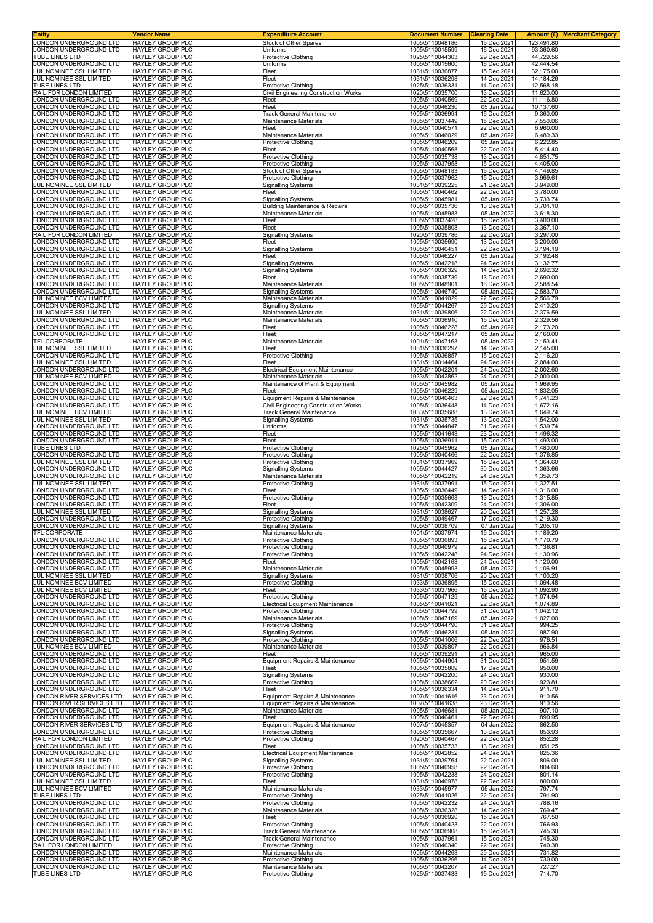| <b>Entity</b>                                            | Vendor Name                                        | <b>Expenditure Account</b>                                | <b>Document Number</b>             | <b>Clearing Date</b>       |                         | <b>Amount (£)</b> Merchant Category |
|----------------------------------------------------------|----------------------------------------------------|-----------------------------------------------------------|------------------------------------|----------------------------|-------------------------|-------------------------------------|
| LONDON UNDERGROUND LTD<br>LONDON UNDERGROUND LTD         | HAYLEY GROUP PLC<br><b>HAYLEY GROUP PLC</b>        | Stock of Other Spares<br>Uniforms                         | 1005\5110048186<br>1005\5110015599 | 15 Dec 2021<br>16 Dec 2021 | 123,491.80<br>93,360.60 |                                     |
| TUBE LINES LTD                                           | HAYLEY GROUP PLC                                   | Protective Clothing                                       | 1025\5110044303                    | 29 Dec 2021                | 44,729.56               |                                     |
| LONDON UNDERGROUND LTD<br>LUL NOMINEE SSL LIMITED        | <b>HAYLEY GROUP PLC</b><br>HAYLEY GROUP PLC        | Uniforms<br>Fleet                                         | 1005\5110015600                    | 16 Dec 2021<br>15 Dec 2021 | 42,444.54<br>32,175.00  |                                     |
| LUL NOMINEE SSL LIMITED                                  | <b>HAYLEY GROUP PLC</b>                            | Fleet                                                     | 1031\5110036877<br>1031\5110036298 | 14 Dec 2021                | 14,184.26               |                                     |
| TUBE LINES LTD                                           | HAYLEY GROUP PLC                                   | <b>Protective Clothing</b>                                | 1025\5110036331                    | 14 Dec 2021                | 12,568.18               |                                     |
| RAIL FOR LONDON LIMITED<br>LONDON UNDERGROUND LTD        | <b>HAYLEY GROUP PLC</b><br>HAYLEY GROUP PLC        | Civil Engineering Construction Works<br>Fleet             | 1020\5110035700<br>1005\5110040569 | 13 Dec 2021<br>22 Dec 2021 | 11,620.00<br>11,116.80  |                                     |
| LONDON UNDERGROUND LTD                                   | <b>HAYLEY GROUP PLC</b>                            | Fleet                                                     | 1005\5110046230                    | 05 Jan 2022                | 10,137.60               |                                     |
| LONDON UNDERGROUND LTD                                   | HAYLEY GROUP PLC                                   | Track General Maintenance                                 | 1005\5110036994                    | 15 Dec 2021                | 9,360.00                |                                     |
| LONDON UNDERGROUND LTD<br>LONDON UNDERGROUND LTD         | <b>HAYLEY GROUP PLC</b><br>HAYLEY GROUP PLC        | Maintenance Materials<br>Fleet                            | 1005\5110037449<br>1005\5110040571 | 15 Dec 2021<br>22 Dec 2021 | 7,550.06<br>6,960.00    |                                     |
| LONDON UNDERGROUND LTD                                   | <b>HAYLEY GROUP PLC</b>                            | Maintenance Materials                                     | 1005\5110046029                    | 05 Jan 2022                | 6,480.33                |                                     |
| LONDON UNDERGROUND LTD<br>LONDON UNDERGROUND LTD         | <b>HAYLEY GROUP PLC</b><br><b>HAYLEY GROUP PLC</b> | <b>Protective Clothing</b><br>Fleet                       | 1005\5110046209<br>1005\5110040568 | 05 Jan 2022<br>22 Dec 2021 | 6,222.85<br>5,414.40    |                                     |
| LONDON UNDERGROUND LTD                                   | HAYLEY GROUP PLC                                   | <b>Protective Clothing</b>                                | 1005\5110035738                    | 13 Dec 2021                | 4,851.75                |                                     |
| LONDON UNDERGROUND LTD                                   | <b>HAYLEY GROUP PLC</b>                            | Protective Clothing                                       | 1005\5110037958                    | 15 Dec 2021                | 4,405.00                |                                     |
| LONDON UNDERGROUND LTD<br>LONDON UNDERGROUND LTD         | <b>HAYLEY GROUP PLC</b><br>HAYLEY GROUP PLC        | Stock of Other Spares<br><b>Protective Clothing</b>       | 1005\5110048183<br>1005\5110037962 | 15 Dec 2021<br>15 Dec 2021 | 4,149.85<br>3,969.61    |                                     |
| LUL NOMINEE SSL LIMITED                                  | HAYLEY GROUP PLC                                   | <b>Signalling Systems</b>                                 | 1031\5110039225                    | 21 Dec 2021                | 3,949.00                |                                     |
| <b>LONDON UNDERGROUND LTD</b><br>LONDON UNDERGROUND LTD  | <b>HAYLEY GROUP PLC</b><br><b>HAYLEY GROUP PLC</b> | Fleet<br><b>Signalling Systems</b>                        | 1005\5110040462<br>1005\5110045981 | 22 Dec 2021<br>05 Jan 2022 | 3,780.00<br>3,733.74    |                                     |
| LONDON UNDERGROUND LTD                                   | HAYLEY GROUP PLC                                   | <b>Building Maintenance &amp; Repairs</b>                 | 1005\5110035736                    | 13 Dec 2021                | 3,701.10                |                                     |
| LONDON UNDERGROUND LTD                                   | HAYLEY GROUP PLC                                   | Maintenance Materials                                     | 1005\5110045983                    | 05 Jan 2022                | 3,618.30                |                                     |
| LONDON UNDERGROUND LTD<br>LONDON UNDERGROUND LTD         | <b>HAYLEY GROUP PLC</b><br><b>HAYLEY GROUP PLC</b> | Fleet<br>Fleet                                            | 1005\5110037428<br>1005\5110035808 | 15 Dec 2021<br>13 Dec 2021 | 3,400.00<br>3,367.10    |                                     |
| RAIL FOR LONDON LIMITED                                  | <b>HAYLEY GROUP PLC</b>                            | <b>Signalling Systems</b>                                 | 1020\5110039786                    | 22 Dec 2021                | 3,297.00                |                                     |
| LONDON UNDERGROUND LTD<br>LONDON UNDERGROUND LTD         | <b>HAYLEY GROUP PLC</b><br><b>HAYLEY GROUP PLC</b> | Fleet<br><b>Signalling Systems</b>                        | 1005\5110035690<br>1005\5110040451 | 13 Dec 2021<br>22 Dec 2021 | 3,200.00<br>3,194.19    |                                     |
| LONDON UNDERGROUND LTD                                   | HAYLEY GROUP PLC                                   | Fleet                                                     | 1005\5110046227                    | 05 Jan 2022                | 3,192.48                |                                     |
| LONDON UNDERGROUND LTD                                   | HAYLEY GROUP PLC                                   | <b>Signalling Systems</b>                                 | 1005\5110042218                    | 24 Dec 2021                | 3,132.77                |                                     |
| LONDON UNDERGROUND LTD<br>LONDON UNDERGROUND LTD         | <b>HAYLEY GROUP PLC</b><br>HAYLEY GROUP PLC        | <b>Signalling Systems</b><br>Fleet                        | 1005\5110036329<br>1005\5110035739 | 14 Dec 2021<br>13 Dec 2021 | 2,692.32<br>2,690.00    |                                     |
| LONDON UNDERGROUND LTD                                   | HAYLEY GROUP PLC                                   | Maintenance Materials                                     | 1005\5110048901                    | 16 Dec 2021                | 2,588.54                |                                     |
| LONDON UNDERGROUND LTD<br>LUL NOMINEE BCV LIMITED        | HAYLEY GROUP PLC<br><b>HAYLEY GROUP PLC</b>        | <b>Signalling Systems</b><br>Maintenance Materials        | 1005\5110046740<br>1033\5110041029 | 05 Jan 2022<br>22 Dec 2021 | 2,583.70<br>2,566.79    |                                     |
| LONDON UNDERGROUND LTD                                   | <b>HAYLEY GROUP PLC</b>                            | <b>Signalling Systems</b>                                 | 1005\5110044267                    | 29 Dec 2021                | 2,410.20                |                                     |
| LUL NOMINEE SSL LIMITED                                  | HAYLEY GROUP PLC                                   | Maintenance Materials                                     | 1031\5110039806                    | 22 Dec 2021                | 2,376.59                |                                     |
| LONDON UNDERGROUND LTD<br>LONDON UNDERGROUND LTD         | HAYLEY GROUP PLC<br>HAYLEY GROUP PLC               | Maintenance Materials<br>Fleet                            | 1005\5110036910<br>1005\5110046228 | 15 Dec 2021<br>05 Jan 2022 | 2,329.56<br>2,173.20    |                                     |
| LONDON UNDERGROUND LTD                                   | <b>HAYLEY GROUP PLC</b>                            | Fleet                                                     | 1005\5110047217                    | 05 Jan 2022                | 2,160.00                |                                     |
| TFL CORPORATE<br>LUL NOMINEE SSL LIMITED                 | HAYLEY GROUP PLC<br><b>HAYLEY GROUP PLC</b>        | Maintenance Materials<br>Fleet                            | 1001\5110047163<br>1031\5110036297 | 05 Jan 2022<br>14 Dec 2021 | 2,153.41<br>2,145.00    |                                     |
| LONDON UNDERGROUND LTD                                   | HAYLEY GROUP PLC                                   | <b>Protective Clothing</b>                                | 1005\5110036857                    | 15 Dec 2021                | 2,116.20                |                                     |
| LUL NOMINEE SSL LIMITED                                  | HAYLEY GROUP PLC                                   | Fleet                                                     | 1031\5110014464                    | 24 Dec 2021                | 2,084.00                |                                     |
| LONDON UNDERGROUND LTD<br>LUL NOMINEE BCV LIMITED        | HAYLEY GROUP PLC<br><b>HAYLEY GROUP PLC</b>        | Electrical Equipment Maintenance<br>Maintenance Materials | 1005\5110042201<br>1033\5110042862 | 24 Dec 2021<br>24 Dec 2021 | 2,002.60<br>2,000.00    |                                     |
| LONDON UNDERGROUND LTD                                   | HAYLEY GROUP PLC                                   | Maintenance of Plant & Equipment                          | 1005\5110045982                    | 05 Jan 2022                | 1,969.95                |                                     |
| LONDON UNDERGROUND LTD<br>LONDON UNDERGROUND LTD         | HAYLEY GROUP PLC<br><b>HAYLEY GROUP PLC</b>        | Fleet<br>Equipment Repairs & Maintenance                  | 1005\5110046229<br>1005\5110040463 | 05 Jan 2022<br>22 Dec 2021 | 1,832.05<br>1,741.23    |                                     |
| LONDON UNDERGROUND LTD                                   | <b>HAYLEY GROUP PLC</b>                            | Civil Engineering Construction Works                      | 1005\5110036448                    | 14 Dec 2021                | 1,672.16                |                                     |
| LUL NOMINEE BCV LIMITED                                  | <b>HAYLEY GROUP PLC</b>                            | Track General Maintenance                                 | 1033\5110035688                    | 13 Dec 2021                | 1,649.74                |                                     |
| LUL NOMINEE SSL LIMITED<br>LONDON UNDERGROUND LTD        | HAYLEY GROUP PLC<br><b>HAYLEY GROUP PLC</b>        | <b>Signalling Systems</b><br>Uniforms                     | 1031\5110035735<br>1005\5110044847 | 13 Dec 2021<br>31 Dec 2021 | 1,542.00<br>1,539.74    |                                     |
| LONDON UNDERGROUND LTD                                   | HAYLEY GROUP PLC                                   | Fleet                                                     | 1005\5110041643                    | 23 Dec 2021                | 1,496.32                |                                     |
| LONDON UNDERGROUND LTD<br>TUBE LINES LTD                 | HAYLEY GROUP PLC<br>HAYLEY GROUP PLC               | Fleet<br><b>Protective Clothing</b>                       | 1005\5110036911<br>1025\5110045962 | 15 Dec 2021<br>05 Jan 2022 | 1,493.00<br>1,480.00    |                                     |
| LONDON UNDERGROUND LTD                                   | HAYLEY GROUP PLC                                   | Protective Clothing                                       | 1005\5110040466                    | 22 Dec 2021                | 1,376.85                |                                     |
| LUL NOMINEE SSL LIMITED                                  | <b>HAYLEY GROUP PLC</b>                            | <b>Protective Clothing</b>                                | 1031\5110037969                    | 15 Dec 2021                | 1,364.60                |                                     |
| LONDON UNDERGROUND LTD<br>LONDON UNDERGROUND LTD         | HAYLEY GROUP PLC<br>HAYLEY GROUP PLC               | <b>Signalling Systems</b><br>Maintenance Materials        | 1005\5110044427<br>1005\5110042219 | 30 Dec 2021<br>24 Dec 2021 | 1,363.66<br>1,359.73    |                                     |
| LUL NOMINEE SSL LIMITED                                  | HAYLEY GROUP PLC                                   | <b>Protective Clothing</b>                                | 1031\5110037991                    | 15 Dec 2021                | 1,327.51                |                                     |
| LONDON UNDERGROUND LTD<br>LONDON UNDERGROUND LTD         | <b>HAYLEY GROUP PLC</b><br>HAYLEY GROUP PLC        | Fleet<br><b>Protective Clothing</b>                       | 1005\5110036449<br>1005\5110035663 | 14 Dec 2021<br>13 Dec 2021 | 1,316.00<br>1,315.85    |                                     |
| LONDON UNDERGROUND LTD                                   | HAYLEY GROUP PLC                                   | Fleet                                                     | 1005\5110042309                    | 24 Dec 2021                | 1,306.00                |                                     |
| LUL NOMINEE SSL LIMITED                                  | HAYLEY GROUP PLC                                   | <b>Signalling Systems</b>                                 | 1031\5110038627                    | 20 Dec 2021                | 1,257.28                |                                     |
| LONDON UNDERGROUND LTD<br>LONDON UNDERGROUND LTD         | HAYLEY GROUP PLC<br>HAYLEY GROUP PLC               | <b>Protective Clothing</b><br>Signalling Systems          | 1005\5110049467<br>1005\5110038709 | 17 Dec 2021<br>07 Jan 2022 | 1,219.30<br>1.205.10    |                                     |
| TFL CORPORATE                                            | <b>HAYLEY GROUP PLC</b>                            | Maintenance Materials                                     | 1001\5110037974                    | 15 Dec 2021                | 1,189.20                |                                     |
| LONDON UNDERGROUND LTD<br><b>LONDON UNDERGROUND LTD</b>  | HAYLEY GROUP PLC<br><b>HAYLEY GROUP PLC</b>        | <b>Protective Clothing</b><br><b>Protective Clothing</b>  | 1005\5110036893<br>1005\5110040979 | 15 Dec 2021<br>22 Dec 2021 | 1,170.79<br>1,136.81    |                                     |
| LONDON UNDERGROUND LTD                                   | HAYLEY GROUP PLC                                   | Protective Clothing                                       | 1005\5110042248                    | 24 Dec 2021                | 1,130.96                |                                     |
| LONDON UNDERGROUND LTD                                   | <b>HAYLEY GROUP PLC</b>                            | Fleet<br>Maintenance Materials                            | 1005\5110042163                    | 24 Dec 2021                | 1,120.00                |                                     |
| LONDON UNDERGROUND LTD<br>LUL NOMINEE SSL LIMITED        | HAYLEY GROUP PLC<br>HAYLEY GROUP PLC               | <b>Signalling Systems</b>                                 | 1005\5110045993<br>1031\5110038706 | 05 Jan 2022<br>20 Dec 2021 | 1,106.91<br>1,100.20    |                                     |
| LUL NOMINEE BCV LIMITED                                  | HAYLEY GROUP PLC                                   | <b>Protective Clothing</b>                                | 1033\5110036895                    | 15 Dec 2021                | 1,094.48                |                                     |
| LUL NOMINEE BCV LIMITED<br><b>LONDON UNDERGROUND LTD</b> | <b>HAYLEY GROUP PLC</b><br><b>HAYLEY GROUP PLC</b> | Fleet<br><b>Protective Clothing</b>                       | 1033\5110037966<br>1005\5110047129 | 15 Dec 2021<br>05 Jan 2022 | 1,092.90<br>1,074.94    |                                     |
| LONDON UNDERGROUND LTD                                   | HAYLEY GROUP PLC                                   | <b>Electrical Equipment Maintenance</b>                   | 1005\5110041021                    | 22 Dec 2021                | 1,074.89                |                                     |
| LONDON UNDERGROUND LTD<br>LONDON UNDERGROUND LTD         | HAYLEY GROUP PLC                                   | <b>Protective Clothing</b>                                | 1005\5110044799                    | 31 Dec 2021                | 1,042.12                |                                     |
| LONDON UNDERGROUND LTD                                   | HAYLEY GROUP PLC<br><b>HAYLEY GROUP PLC</b>        | Maintenance Materials<br><b>Protective Clothing</b>       | 1005\5110047169<br>1005\5110044790 | 05 Jan 2022<br>31 Dec 2021 | 1,027.00<br>994.25      |                                     |
| LONDON UNDERGROUND LTD                                   | HAYLEY GROUP PLC                                   | <b>Signalling Systems</b>                                 | 1005\5110046231                    | 05 Jan 2022                | 987.90                  |                                     |
| LONDON UNDERGROUND LTD<br>LUL NOMINEE BCV LIMITED        | <b>HAYLEY GROUP PLC</b><br>HAYLEY GROUP PLC        | <b>Protective Clothing</b><br>Maintenance Materials       | 1005\5110041006<br>1033\5110039807 | 22 Dec 2021<br>22 Dec 2021 | 976.51<br>966.84        |                                     |
| LONDON UNDERGROUND LTD                                   | HAYLEY GROUP PLC                                   | Fleet                                                     | 1005\5110039291                    | 21 Dec 2021                | 965.00                  |                                     |
| LONDON UNDERGROUND LTD<br>LONDON UNDERGROUND LTD         | HAYLEY GROUP PLC<br>HAYLEY GROUP PLC               | Equipment Repairs & Maintenance<br>Fleet                  | 1005\5110044904<br>1005\5110035809 | 31 Dec 2021<br>17 Dec 2021 | 951.59<br>950.00        |                                     |
| LONDON UNDERGROUND LTD                                   | HAYLEY GROUP PLC                                   | <b>Signalling Systems</b>                                 | 1005\5110042200                    | 24 Dec 2021                | 930.00                  |                                     |
| LONDON UNDERGROUND LTD                                   | HAYLEY GROUP PLC                                   | Protective Clothing                                       | 1005\5110038662<br>1005\5110036334 | 20 Dec 2021                | 923.81                  |                                     |
| LONDON UNDERGROUND LTD<br>LONDON RIVER SERVICES LTD      | HAYLEY GROUP PLC<br>HAYLEY GROUP PLC               | Fleet<br>Equipment Repairs & Maintenance                  | 1007\5110041616                    | 14 Dec 2021<br>23 Dec 2021 | 911.70<br>910.56        |                                     |
| LONDON RIVER SERVICES LTD                                | HAYLEY GROUP PLC                                   | Equipment Repairs & Maintenance                           | 1007\5110041638                    | 23 Dec 2021                | 910.56                  |                                     |
| LONDON UNDERGROUND LTD<br>LONDON UNDERGROUND LTD         | HAYLEY GROUP PLC<br>HAYLEY GROUP PLC               | Maintenance Materials<br>Fleet                            | 1005\5110046681<br>1005\5110040461 | 05 Jan 2022<br>22 Dec 2021 | 907.10<br>890.95        |                                     |
| LONDON RIVER SERVICES LTD                                | HAYLEY GROUP PLC                                   | Equipment Repairs & Maintenance                           | 1007\5110045357                    | 04 Jan 2022                | 862.50                  |                                     |
| LONDON UNDERGROUND LTD                                   | HAYLEY GROUP PLC                                   | Protective Clothing                                       | 1005\5110035667                    | 13 Dec 2021                | 853.93                  |                                     |
| RAIL FOR LONDON LIMITED<br>LONDON UNDERGROUND LTD        | <b>HAYLEY GROUP PLC</b><br>HAYLEY GROUP PLC        | Protective Clothing<br>Fleet                              | 1020\5110040467<br>1005\5110035733 | 22 Dec 2021<br>13 Dec 2021 | 852.28<br>851.25        |                                     |
| LONDON UNDERGROUND LTD                                   | <b>HAYLEY GROUP PLC</b>                            | <b>Electrical Equipment Maintenance</b>                   | 1005\5110042852                    | 24 Dec 2021                | 825.36                  |                                     |
| LUL NOMINEE SSL LIMITED<br>LONDON UNDERGROUND LTD        | HAYLEY GROUP PLC<br><b>HAYLEY GROUP PLC</b>        | <b>Signalling Systems</b><br><b>Protective Clothing</b>   | 1031\5110039764<br>1005\5110040958 | 22 Dec 2021<br>22 Dec 2021 | 806.00<br>804.60        |                                     |
| LONDON UNDERGROUND LTD                                   | <b>HAYLEY GROUP PLC</b>                            | <b>Protective Clothing</b>                                | 1005\5110042238                    | 24 Dec 2021                | 801.14                  |                                     |
| LUL NOMINEE SSL LIMITED<br>LUL NOMINEE BCV LIMITED       | <b>HAYLEY GROUP PLC</b><br>HAYLEY GROUP PLC        | Fleet<br>Maintenance Materials                            | 1031\5110040978<br>1033\5110045977 | 22 Dec 2021<br>05 Jan 2022 | 800.00<br>797.74        |                                     |
| TUBE LINES LTD                                           | HAYLEY GROUP PLC                                   | <b>Protective Clothing</b>                                | 1025\5110041026                    | 22 Dec 2021                | 791.90                  |                                     |
| LONDON UNDERGROUND LTD                                   | HAYLEY GROUP PLC                                   | <b>Protective Clothing</b>                                | 1005\5110042232                    | 24 Dec 2021                | 788.16                  |                                     |
| LONDON UNDERGROUND LTD<br>LONDON UNDERGROUND LTD         | HAYLEY GROUP PLC<br><b>HAYLEY GROUP PLC</b>        | Maintenance Materials<br>Fleet                            | 1005\5110036328<br>1005\5110036920 | 14 Dec 2021<br>15 Dec 2021 | 769.47<br>767.50        |                                     |
| LONDON UNDERGROUND LTD                                   | HAYLEY GROUP PLC                                   | <b>Protective Clothing</b>                                | 1005\5110040423                    | 22 Dec 2021                | 766.93                  |                                     |
| LONDON UNDERGROUND LTD<br>LONDON UNDERGROUND LTD         | HAYLEY GROUP PLC<br>HAYLEY GROUP PLC               | Track General Maintenance<br>Track General Maintenance    | 1005\5110036908<br>1005\5110037961 | 15 Dec 2021<br>15 Dec 2021 | 745.30<br>745.30        |                                     |
| RAIL FOR LONDON LIMITED                                  | HAYLEY GROUP PLC                                   | <b>Protective Clothing</b>                                | 1020\5110040340                    | 22 Dec 2021                | 740.38                  |                                     |
| LONDON UNDERGROUND LTD<br><b>LONDON UNDERGROUND LTD</b>  | HAYLEY GROUP PLC<br>HAYLEY GROUP PLC               | Maintenance Materials<br><b>Protective Clothing</b>       | 1005\5110044263<br>1005\5110036296 | 29 Dec 2021<br>14 Dec 2021 | 731.82<br>730.00        |                                     |
| LONDON UNDERGROUND LTD                                   | HAYLEY GROUP PLC                                   | Maintenance Materials                                     | 1005\5110042207                    | 24 Dec 2021                | 727.27                  |                                     |
| TUBE LINES LTD                                           | HAYLEY GROUP PLC                                   | Protective Clothing                                       | 1025\5110037433                    | 15 Dec 2021                | 714.70                  |                                     |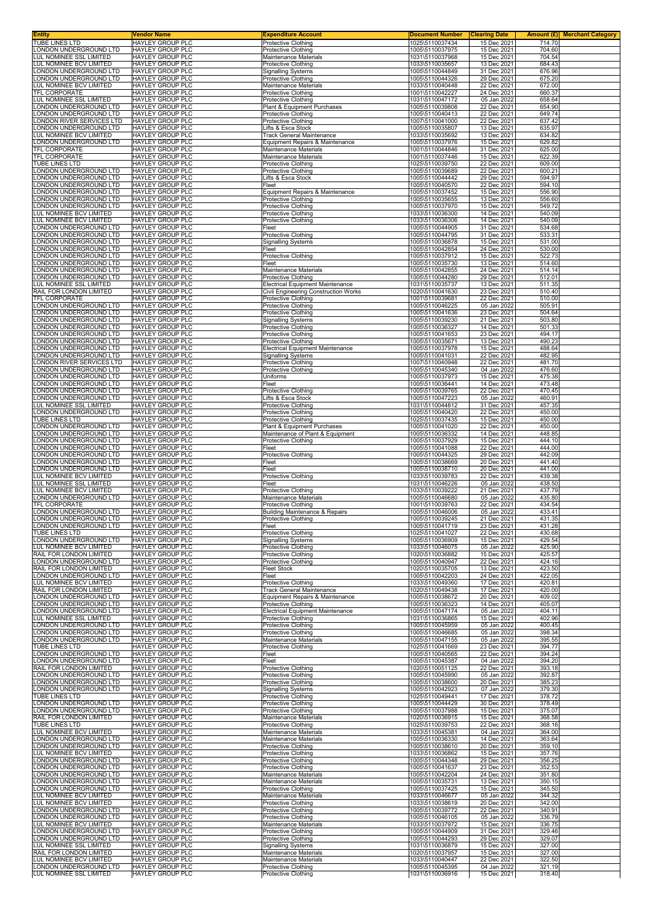| <b>Entity</b><br>TUBE LINES LTD                     | Vendor Name<br><b>HAYLEY GROUP PLC</b>             | <b>Expenditure Account</b><br><b>Protective Clothing</b>              | <b>Document Number</b><br>1025\5110037434 | <b>Clearing Date</b><br>15 Dec 2021 | 714.70           | <b>Amount (£) Merchant Category</b> |
|-----------------------------------------------------|----------------------------------------------------|-----------------------------------------------------------------------|-------------------------------------------|-------------------------------------|------------------|-------------------------------------|
| LONDON UNDERGROUND LTD                              | <b>HAYLEY GROUP PLC</b>                            | <b>Protective Clothing</b>                                            | 1005\5110037975                           | 15 Dec 2021                         | 704.60           |                                     |
| LUL NOMINEE SSL LIMITED                             | HAYLEY GROUP PLC                                   | Maintenance Materials                                                 | 1031\5110037968                           | 15 Dec 2021                         | 704.54           |                                     |
| LUL NOMINEE BCV LIMITED<br>LONDON UNDERGROUND LTD   | <b>HAYLEY GROUP PLC</b><br>HAYLEY GROUP PLC        | Protective Clothing<br><b>Signalling Systems</b>                      | 1033\5110035657<br>1005\5110044849        | 13 Dec 2021<br>31 Dec 2021          | 684.43<br>676.96 |                                     |
| LONDON UNDERGROUND LTD                              | HAYLEY GROUP PLC                                   | Protective Clothing                                                   | 1005\5110044326                           | 29 Dec 2021                         | 675.20           |                                     |
| LUL NOMINEE BCV LIMITED<br>TFL CORPORATE            | HAYLEY GROUP PLC<br><b>HAYLEY GROUP PLC</b>        | Maintenance Materials<br><b>Protective Clothing</b>                   | 1033\5110040448<br>1001\5110042227        | 22 Dec 2021                         | 672.00           |                                     |
| LUL NOMINEE SSL LIMITED                             | HAYLEY GROUP PLC                                   | <b>Protective Clothing</b>                                            | 1031\5110047172                           | 24 Dec 2021<br>05 Jan 2022          | 660.37<br>658.64 |                                     |
| LONDON UNDERGROUND LTD                              | HAYLEY GROUP PLC                                   | Plant & Equipment Purchases                                           | 1005\5110039808                           | 22 Dec 2021                         | 654.90           |                                     |
| LONDON UNDERGROUND LTD<br>LONDON RIVER SERVICES LTD | HAYLEY GROUP PLC<br>HAYLEY GROUP PLC               | <b>Protective Clothing</b><br>Protective Clothing                     | 1005\5110040413<br>1007\5110041000        | 22 Dec 2021<br>22 Dec 2021          | 649.74<br>637.42 |                                     |
| LONDON UNDERGROUND LTD                              | HAYLEY GROUP PLC                                   | Lifts & Esca Stock                                                    | 1005\5110035807                           | 13 Dec 2021                         | 635.97           |                                     |
| LUL NOMINEE BCV LIMITED                             | HAYLEY GROUP PLC                                   | <b>Track General Maintenance</b>                                      | 1033\5110035692                           | 13 Dec 2021                         | 634.82           |                                     |
| LONDON UNDERGROUND LTD<br>TFL CORPORATE             | HAYLEY GROUP PLC<br><b>HAYLEY GROUP PLC</b>        | Equipment Repairs & Maintenance<br>Maintenance Materials              | 1005\5110037976<br>1001\5110044846        | 15 Dec 2021<br>31 Dec 2021          | 629.82<br>625.00 |                                     |
| TFL CORPORATE                                       | HAYLEY GROUP PLC                                   | Maintenance Materials                                                 | 1001\5110037446                           | 15 Dec 2021                         | 622.39           |                                     |
| TUBE LINES LTD<br>LONDON UNDERGROUND LTD            | <b>HAYLEY GROUP PLC</b><br>HAYLEY GROUP PLC        | <b>Protective Clothing</b><br>Protective Clothing                     | 1025\5110039750<br>1005\5110039689        | 22 Dec 2021<br>22 Dec 2021          | 609.00<br>600.21 |                                     |
| LONDON UNDERGROUND LTD                              | HAYLEY GROUP PLC                                   | Lifts & Esca Stock                                                    | 1005\5110044442                           | 29 Dec 2021                         | 594.97           |                                     |
| LONDON UNDERGROUND LTD                              | HAYLEY GROUP PLC                                   | Fleet                                                                 | 1005\5110040570                           | 22 Dec 2021                         | 594.10           |                                     |
| LONDON UNDERGROUND LTD<br>LONDON UNDERGROUND LTD    | HAYLEY GROUP PLC<br><b>HAYLEY GROUP PLC</b>        | Equipment Repairs & Maintenance<br><b>Protective Clothing</b>         | 1005\5110037452<br>1005\5110035655        | 15 Dec 2021<br>13 Dec 2021          | 556.90<br>556.60 |                                     |
| LONDON UNDERGROUND LTD                              | HAYLEY GROUP PLC                                   | <b>Protective Clothing</b>                                            | 1005\5110037970                           | 15 Dec 2021                         | 549.72           |                                     |
| LUL NOMINEE BCV LIMITED<br>LUL NOMINEE BCV LIMITED  | HAYLEY GROUP PLC<br>HAYLEY GROUP PLC               | Protective Clothing<br><b>Protective Clothing</b>                     | 1033\5110036300<br>1033\5110036306        | 14 Dec 2021<br>14 Dec 2021          | 540.09<br>540.09 |                                     |
| LONDON UNDERGROUND LTD                              | HAYLEY GROUP PLC                                   | Fleet                                                                 | 1005\5110044905                           | 31 Dec 2021                         | 534.68           |                                     |
| LONDON UNDERGROUND LTD                              | HAYLEY GROUP PLC                                   | Protective Clothing                                                   | 1005\5110044795                           | 31 Dec 2021                         | 533.31           |                                     |
| LONDON UNDERGROUND LTD<br>LONDON UNDERGROUND LTD    | <b>HAYLEY GROUP PLC</b><br><b>HAYLEY GROUP PLC</b> | <b>Signalling Systems</b><br>Fleet                                    | 1005\5110036878<br>1005\5110042854        | 15 Dec 2021<br>24 Dec 2021          | 531.00<br>530.00 |                                     |
| LONDON UNDERGROUND LTD                              | HAYLEY GROUP PLC                                   | <b>Protective Clothing</b>                                            | 1005\5110037912                           | 15 Dec 2021                         | 522.73           |                                     |
| LONDON UNDERGROUND LTD<br>LONDON UNDERGROUND LTD    | HAYLEY GROUP PLC<br>HAYLEY GROUP PLC               | Fleet<br>Maintenance Materials                                        | 1005\5110035730<br>1005\5110042855        | 13 Dec 2021<br>24 Dec 2021          | 514.60<br>514.14 |                                     |
| LONDON UNDERGROUND LTD                              | HAYLEY GROUP PLC                                   | Protective Clothing                                                   | 1005\5110044280                           | 29 Dec 2021                         | 512.01           |                                     |
| LUL NOMINEE SSL LIMITED                             | <b>HAYLEY GROUP PLC</b>                            | Electrical Equipment Maintenance                                      | 1031\5110035737                           | 13 Dec 2021                         | 511.35           |                                     |
| RAIL FOR LONDON LIMITED<br>TFL CORPORATE            | HAYLEY GROUP PLC<br>HAYLEY GROUP PLC               | <b>Civil Engineering Construction Works</b><br>Protective Clothing    | 1020\5110041630<br>1001\5110039681        | 23 Dec 2021<br>22 Dec 2021          | 510.40<br>510.00 |                                     |
| LONDON UNDERGROUND LTD                              | HAYLEY GROUP PLC                                   | Protective Clothing                                                   | 1005\5110046225                           | 05 Jan 2022                         | 505.91           |                                     |
| LONDON UNDERGROUND LTD<br>LONDON UNDERGROUND LTD    | HAYLEY GROUP PLC<br>HAYLEY GROUP PLC               | <b>Protective Clothing</b><br><b>Signalling Systems</b>               | 1005\5110041636<br>1005\5110039230        | 23 Dec 2021<br>21 Dec 2021          | 504.64<br>503.80 |                                     |
| LONDON UNDERGROUND LTD                              | <b>HAYLEY GROUP PLC</b>                            | Protective Clothing                                                   | 1005\5110036327                           | 14 Dec 2021                         | 501.33           |                                     |
| LONDON UNDERGROUND LTD                              | HAYLEY GROUP PLC<br><b>HAYLEY GROUP PLC</b>        | <b>Protective Clothing</b>                                            | 1005\5110041653                           | 23 Dec 2021                         | 494.17           |                                     |
| LONDON UNDERGROUND LTD<br>LONDON UNDERGROUND LTD    | HAYLEY GROUP PLC                                   | Protective Clothing<br>Electrical Equipment Maintenance               | 1005\5110035671<br>1005\5110037978        | 13 Dec 2021<br>15 Dec 2021          | 490.23<br>488.64 |                                     |
| LONDON UNDERGROUND LTD                              | HAYLEY GROUP PLC                                   | <b>Signalling Systems</b>                                             | 1005\5110041031                           | 22 Dec 2021                         | 482.95           |                                     |
| LONDON RIVER SERVICES LTD<br>LONDON UNDERGROUND LTD | HAYLEY GROUP PLC<br>HAYLEY GROUP PLC               | Protective Clothing<br>Protective Clothing                            | 1007\5110040948<br>1005\5110045340        | 22 Dec 2021<br>04 Jan 2022          | 481.70<br>476.60 |                                     |
| LONDON UNDERGROUND LTD                              | <b>HAYLEY GROUP PLC</b>                            | Uniforms                                                              | 1005\5110037973                           | 15 Dec 2021                         | 475.38           |                                     |
| LONDON UNDERGROUND LTD<br>LONDON UNDERGROUND LTD    | HAYLEY GROUP PLC<br>HAYLEY GROUP PLC               | Fleet<br><b>Protective Clothing</b>                                   | 1005\5110036441<br>1005\5110039765        | 14 Dec 2021<br>22 Dec 2021          | 473.48<br>470.45 |                                     |
| LONDON UNDERGROUND LTD                              | HAYLEY GROUP PLC                                   | Lifts & Esca Stock                                                    | 1005\5110047223                           | 05 Jan 2022                         | 460.91           |                                     |
| LUL NOMINEE SSL LIMITED                             | HAYLEY GROUP PLC                                   | Protective Clothing                                                   | 1031\5110044812                           | 31 Dec 2021                         | 457.35           |                                     |
| LONDON UNDERGROUND LTD<br>TUBE LINES LTD            | HAYLEY GROUP PLC<br><b>HAYLEY GROUP PLC</b>        | <b>Protective Clothing</b><br><b>Protective Clothing</b>              | 1005\5110040420<br>1025\5110037435        | 22 Dec 2021<br>15 Dec 2021          | 450.00<br>450.00 |                                     |
| LONDON UNDERGROUND LTD                              | HAYLEY GROUP PLC                                   | Plant & Equipment Purchases                                           | 1005\5110041020                           | 22 Dec 2021                         | 450.00           |                                     |
| LONDON UNDERGROUND LTD<br>LONDON UNDERGROUND LTD    | HAYLEY GROUP PLC<br>HAYLEY GROUP PLC               | Maintenance of Plant & Equipment                                      | 1005\5110036332<br>1005\5110037929        | 14 Dec 2021<br>15 Dec 2021          | 448.85<br>444.10 |                                     |
| LONDON UNDERGROUND LTD                              | <b>HAYLEY GROUP PLC</b>                            | <b>Protective Clothing</b><br>Fleet                                   | 1005\5110041088                           | 22 Dec 2021                         | 444.00           |                                     |
| LONDON UNDERGROUND LTD                              | HAYLEY GROUP PLC                                   | Protective Clothing                                                   | 1005\5110044325                           | 29 Dec 2021                         | 442.09           |                                     |
| LONDON UNDERGROUND LTD<br>LONDON UNDERGROUND LTD    | <b>HAYLEY GROUP PLC</b><br>HAYLEY GROUP PLC        | Fleet<br>Fleet                                                        | 1005\5110038669<br>1005\5110038710        | 20 Dec 2021<br>20 Dec 2021          | 441.40<br>441.00 |                                     |
| LUL NOMINEE BCV LIMITED                             | HAYLEY GROUP PLC                                   | Protective Clothing                                                   | 1033\5110039783                           | 22 Dec 2021                         | 439.38           |                                     |
| LUL NOMINEE SSL LIMITED<br>LUL NOMINEE BCV LIMITED  | <b>HAYLEY GROUP PLC</b><br><b>HAYLEY GROUP PLC</b> | Fleet<br><b>Protective Clothing</b>                                   | 1031\5110046226<br>1033\5110039222        | 05 Jan 2022<br>21 Dec 2021          | 438.50<br>437.79 |                                     |
| LONDON UNDERGROUND LTD                              | <b>HAYLEY GROUP PLC</b>                            | Maintenance Materials                                                 | 1005\5110046680                           | 05 Jan 2022                         | 435.80           |                                     |
| TFL CORPORATE                                       | HAYLEY GROUP PLC                                   | Protective Clothing                                                   | 1001\5110039763                           | 22 Dec 2021                         | 434.54           |                                     |
| LONDON UNDERGROUND LTD<br>LONDON UNDERGROUND LTD    | HAYLEY GROUP PLC<br><b>HAYLEY GROUP PLC</b>        | Building Maintenance & Repairs<br>Protective Clothing                 | 1005\5110046006<br>1005\5110039245        | 05 Jan 2022<br>21 Dec 2021          | 433.41<br>431.35 |                                     |
| LONDON UNDERGROUND LTD                              | <b>HAYLEY GROUP PLC</b>                            | <b>Heet</b>                                                           | 1005\5110041719                           | 23 Dec 2021                         | 431.28           |                                     |
| TUBE LINES LTD<br>LONDON UNDERGROUND LTD            | HAYLEY GROUP PLC<br>HAYLEY GROUP PLC               | Protective Clothing<br><b>Signalling Systems</b>                      | 1025\5110041027<br>1005\5110036909        | 22 Dec 2021<br>15 Dec 2021          | 430.68<br>429.54 |                                     |
| LUL NOMINEE BCV LIMITED                             | <b>HAYLEY GROUP PLC</b>                            | Protective Clothing                                                   | 1033\5110046075                           | 05 Jan 2022                         | 425.90           |                                     |
| RAIL FOR LONDON LIMITED<br>LONDON UNDERGROUND LTD   | HAYLEY GROUP PLC<br><b>HAYLEY GROUP PLC</b>        | Protective Clothing<br><b>Protective Clothing</b>                     | 1020\5110036882                           | 15 Dec 2021                         | 425.57           |                                     |
| RAIL FOR LONDON LIMITED                             | HAYLEY GROUP PLC                                   | <b>Fleet Stock</b>                                                    | 1005\5110040947<br>1020\5110035705        | 22 Dec 2021<br>13 Dec 2021          | 424.16<br>423.50 |                                     |
| LONDON UNDERGROUND LTD                              | HAYLEY GROUP PLC                                   | Fleet                                                                 | 1005\5110042203                           | 24 Dec 2021                         | 422.05           |                                     |
| LUL NOMINEE BCV LIMITED<br>RAIL FOR LONDON LIMITED  | HAYLEY GROUP PLC<br><b>HAYLEY GROUP PLC</b>        | <b>Protective Clothing</b><br><b>Track General Maintenance</b>        | 1033\5110049360<br>1020\5110049438        | 17 Dec 2021<br>17 Dec 2021          | 420.81<br>420.00 |                                     |
| LONDON UNDERGROUND LTD                              | <b>HAYLEY GROUP PLC</b>                            | Equipment Repairs & Maintenance                                       | 1005\5110038672                           | 20 Dec 2021                         | 409.02           |                                     |
| LONDON UNDERGROUND LTD<br>LONDON UNDERGROUND LTD    | HAYLEY GROUP PLC<br>HAYLEY GROUP PLC               | <b>Protective Clothing</b><br><b>Electrical Equipment Maintenance</b> | 1005\5110036323<br>1005\5110047174        | 14 Dec 2021<br>05 Jan 2022          | 405.07<br>404.11 |                                     |
| LUL NOMINEE SSL LIMITED                             | HAYLEY GROUP PLC                                   | <b>Protective Clothing</b>                                            | 1031\5110036865                           | 15 Dec 2021                         | 402.96           |                                     |
| LONDON UNDERGROUND LTD                              | <b>HAYLEY GROUP PLC</b>                            | <b>Protective Clothing</b>                                            | 1005\5110045959                           | 05 Jan 2022                         | 400.45           |                                     |
| LONDON UNDERGROUND LTD<br>LONDON UNDERGROUND LTD    | HAYLEY GROUP PLC<br><b>HAYLEY GROUP PLC</b>        | Protective Clothing<br>Maintenance Materials                          | 1005\5110046685<br>1005\5110047155        | 05 Jan 2022<br>05 Jan 2022          | 398.34<br>395.55 |                                     |
| TUBE LINES LTD                                      | <b>HAYLEY GROUP PLC</b>                            | Protective Clothing                                                   | 1025\5110041669                           | 23 Dec 2021                         | 394.77           |                                     |
| LONDON UNDERGROUND LTD<br>LONDON UNDERGROUND LTD    | HAYLEY GROUP PLC<br>HAYLEY GROUP PLC               | Fleet<br>Fleet                                                        | 1005\5110040565<br>1005\5110045387        | 22 Dec 2021<br>04 Jan 2022          | 394.24<br>394.20 |                                     |
| RAIL FOR LONDON LIMITED                             | HAYLEY GROUP PLC                                   | Protective Clothing                                                   | 1020\5110051125                           | 22 Dec 2021                         | 393.18           |                                     |
| LONDON UNDERGROUND LTD<br>LONDON UNDERGROUND LTD    | HAYLEY GROUP PLC<br>HAYLEY GROUP PLC               | Protective Clothing<br>Protective Clothing                            | 1005\5110045990<br>1005\5110038600        | 05 Jan 2022<br>20 Dec 2021          | 392.87<br>385.23 |                                     |
| LONDON UNDERGROUND LTD                              | <b>HAYLEY GROUP PLC</b>                            | <b>Signalling Systems</b>                                             | 1005\5110042923                           | 07 Jan 2022                         | 379.30           |                                     |
| TUBE LINES LTD                                      | HAYLEY GROUP PLC                                   | Protective Clothing                                                   | 1025\5110049441                           | 17 Dec 2021                         | 378.72           |                                     |
| LONDON UNDERGROUND LTD<br>LONDON UNDERGROUND LTD    | HAYLEY GROUP PLC<br>HAYLEY GROUP PLC               | Protective Clothing<br><b>Protective Clothing</b>                     | 1005\5110044429<br>1005\5110037988        | 30 Dec 2021<br>15 Dec 2021          | 378.49<br>375.07 |                                     |
| RAIL FOR LONDON LIMITED                             | HAYLEY GROUP PLC                                   | Maintenance Materials                                                 | 1020\5110036915                           | 15 Dec 2021                         | 368.58           |                                     |
| TUBE LINES LTD<br>LUL NOMINEE BCV LIMITED           | HAYLEY GROUP PLC<br>HAYLEY GROUP PLC               | Protective Clothing<br>Maintenance Materials                          | 1025\5110039753<br>1033\5110045381        | 22 Dec 2021<br>04 Jan 2022          | 368.16<br>364.00 |                                     |
| LONDON UNDERGROUND LTD                              | HAYLEY GROUP PLC                                   | Maintenance Materials                                                 | 1005\5110036330                           | 14 Dec 2021                         | 363.64           |                                     |
| LONDON UNDERGROUND LTD<br>LUL NOMINEE BCV LIMITED   | HAYLEY GROUP PLC<br>HAYLEY GROUP PLC               | Protective Clothing<br><b>Protective Clothing</b>                     | 1005\5110038610<br>1033\5110036862        | 20 Dec 2021<br>15 Dec 2021          | 359.10<br>357.76 |                                     |
| LONDON UNDERGROUND LTD                              | HAYLEY GROUP PLC                                   | <b>Protective Clothing</b>                                            | 1005\5110044348                           | 29 Dec 2021                         | 356.25           |                                     |
| LONDON UNDERGROUND LTD                              | <b>HAYLEY GROUP PLC</b>                            | Protective Clothing                                                   | 1005\5110041637                           | 23 Dec 2021                         | 352.53           |                                     |
| LONDON UNDERGROUND LTD<br>LONDON UNDERGROUND LTD    | <b>HAYLEY GROUP PLC</b><br>HAYLEY GROUP PLC        | Maintenance Materials<br>Maintenance Materials                        | 1005\5110042204<br>1005\5110035731        | 24 Dec 2021<br>13 Dec 2021          | 351.80<br>350.15 |                                     |
| LONDON UNDERGROUND LTD                              | HAYLEY GROUP PLC                                   | Protective Clothing                                                   | 1005\5110037425                           | 15 Dec 2021                         | 345.50           |                                     |
| LUL NOMINEE BCV LIMITED<br>LUL NOMINEE BCV LIMITED  | <b>HAYLEY GROUP PLC</b><br>HAYLEY GROUP PLC        | Maintenance Materials<br><b>Protective Clothing</b>                   | 1033\5110046677<br>1033\5110038619        | 05 Jan 2022<br>20 Dec 2021          | 344.32<br>342.00 |                                     |
| LONDON UNDERGROUND LTD                              | HAYLEY GROUP PLC                                   | Protective Clothing                                                   | 1005\5110039772                           | 22 Dec 2021                         | 340.91           |                                     |
| LONDON UNDERGROUND LTD<br>LUL NOMINEE BCV LIMITED   | <b>HAYLEY GROUP PLC</b><br>HAYLEY GROUP PLC        | Protective Clothing<br>Maintenance Materials                          | 1005\5110046105<br>1033\5110037972        | 05 Jan 2022<br>15 Dec 2021          | 336.79<br>336.75 |                                     |
| LONDON UNDERGROUND LTD                              | HAYLEY GROUP PLC                                   | <b>Protective Clothing</b>                                            | 1005\5110044909                           | 31 Dec 2021                         | 329.46           |                                     |
| LONDON UNDERGROUND LTD                              | HAYLEY GROUP PLC                                   | <b>Protective Clothing</b>                                            | 1005\5110044293                           | 29 Dec 2021                         | 329.07           |                                     |
| LUL NOMINEE SSL LIMITED<br>RAIL FOR LONDON LIMITED  | HAYLEY GROUP PLC<br>HAYLEY GROUP PLC               | <b>Signalling Systems</b><br>Maintenance Materials                    | 1031\5110036879<br>1020\5110037957        | 15 Dec 2021<br>15 Dec 2021          | 327.00<br>327.00 |                                     |
| LUL NOMINEE BCV LIMITED                             | HAYLEY GROUP PLC                                   | Maintenance Materials                                                 | 1033\5110040447                           | 22 Dec 2021                         | 322.50           |                                     |
| LONDON UNDERGROUND LTD<br>LUL NOMINEE SSL LIMITED   | <b>HAYLEY GROUP PLC</b><br>HAYLEY GROUP PLC        | <b>Protective Clothing</b><br>Protective Clothing                     | 1005\5110045395<br>1031\5110036916        | 04 Jan 2022<br>15 Dec 2021          | 321.19<br>318.40 |                                     |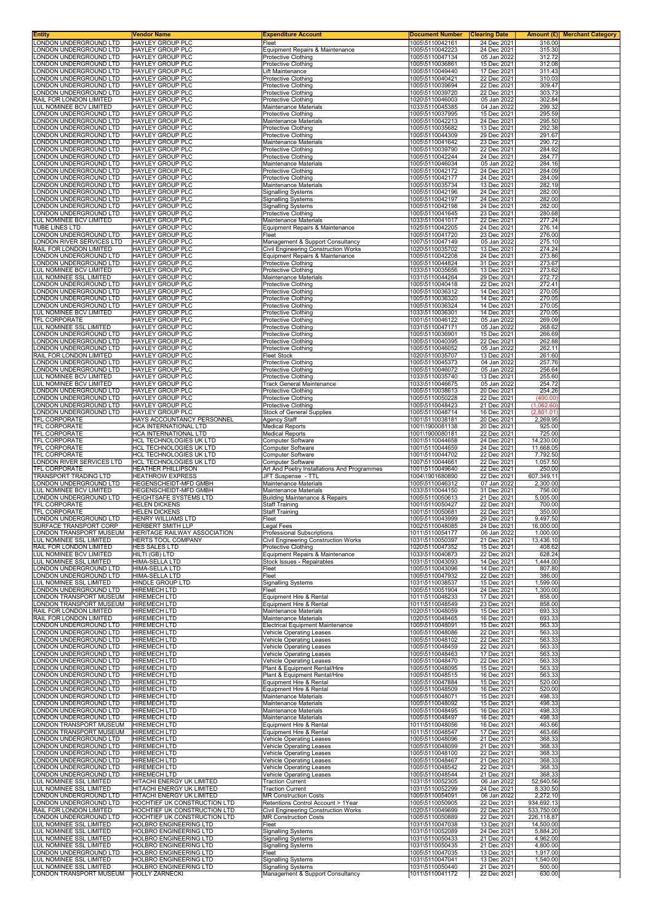| Entity<br>LONDON UNDERGROUND LTD                       | Vendor Name<br><b>HAYLEY GROUP PLC</b>                    | <b>Expenditure Account</b><br>Fleet                                              | <b>Document Number</b><br>1005\5110042161 | <b>Clearing Date</b><br>24 Dec 2021 | Amount (£) Merchant Category<br>316.00 |
|--------------------------------------------------------|-----------------------------------------------------------|----------------------------------------------------------------------------------|-------------------------------------------|-------------------------------------|----------------------------------------|
| ONDON UNDERGROUND LTD.                                 | <b>HAYLEY GROUP PLC</b>                                   | Equipment Repairs & Maintenance                                                  | 1005\5110042223                           | 24 Dec 2021                         | 315.30                                 |
| ONDON UNDERGROUND LTD                                  | HAYLEY GROUP PLC                                          | <b>Protective Clothing</b>                                                       | 1005\5110047134                           | 05 Jan 2022                         | 312.72                                 |
| ONDON UNDERGROUND LTD<br>ONDON UNDERGROUND LTD         | <b>HAYLEY GROUP PLC</b><br><b>HAYLEY GROUP PLC</b>        | <b>Protective Clothing</b><br>Lift Maintenance                                   | 1005\5110036861<br>1005\5110049440        | 15 Dec 2021<br>17 Dec 2021          | 312.08<br>311.43                       |
| ONDON UNDERGROUND LTD                                  | HAYLEY GROUP PLC                                          | Protective Clothing                                                              | 1005\5110040421                           | 22 Dec 2021                         | 310.03                                 |
| ONDON UNDERGROUND LTD<br>ONDON UNDERGROUND LTD         | HAYLEY GROUP PLC<br><b>HAYLEY GROUP PLC</b>               | Protective Clothing                                                              | 1005\5110039694<br>1005\5110039720        | 22 Dec 2021<br>22 Dec 2021          | 309.47<br>303.73                       |
| RAIL FOR LONDON LIMITED                                | HAYLEY GROUP PLC                                          | Protective Clothing<br><b>Protective Clothing</b>                                | 1020\5110046003                           | 05 Jan 2022                         | 302.84                                 |
| LUL NOMINEE BCV LIMITED                                | <b>HAYLEY GROUP PLC</b>                                   | Maintenance Materials                                                            | 1033\5110045385                           | 04 Jan 2022                         | 299.32                                 |
| ONDON UNDERGROUND LTD<br>ONDON UNDERGROUND LTD         | <b>HAYLEY GROUP PLC</b><br>HAYLEY GROUP PLC               | Protective Clothing<br>Maintenance Materials                                     | 1005\5110037995<br>1005\5110042213        | 15 Dec 2021<br>24 Dec 2021          | 295.59<br>295.50                       |
| ONDON UNDERGROUND LTD                                  | HAYLEY GROUP PLC                                          | Protective Clothing                                                              | 1005\5110035682                           | 13 Dec 2021                         | 292.38                                 |
| ONDON UNDERGROUND LTD<br>ONDON UNDERGROUND LTD         | <b>HAYLEY GROUP PLC</b><br>HAYLEY GROUP PLC               | <b>Protective Clothing</b><br>Maintenance Materials                              | 1005\5110044309<br>1005\5110041642        | 29 Dec 2021<br>23 Dec 2021          | 291.67<br>290.72                       |
| ONDON UNDERGROUND LTD                                  | <b>HAYLEY GROUP PLC</b>                                   | <b>Protective Clothing</b>                                                       | 1005\5110039790                           | 22 Dec 2021                         | 284.92                                 |
| ONDON UNDERGROUND LTD                                  | <b>HAYLEY GROUP PLC</b>                                   | Protective Clothing                                                              | 1005\5110042244                           | 24 Dec 2021                         | 284.77                                 |
| ONDON UNDERGROUND LTD<br>ONDON UNDERGROUND LTD         | HAYLEY GROUP PLC<br>HAYLEY GROUP PLC                      | Maintenance Materials<br>Protective Clothing                                     | 1005\5110046034<br>1005\5110042172        | 05 Jan 2022<br>24 Dec 2021          | 284.16<br>284.09                       |
| ONDON UNDERGROUND LTD                                  | <b>HAYLEY GROUP PLC</b>                                   | <b>Protective Clothing</b>                                                       | 1005\5110042177                           | 24 Dec 2021                         | 284.09                                 |
| ONDON UNDERGROUND LTD<br>ONDON UNDERGROUND LTD         | HAYLEY GROUP PLC<br><b>HAYLEY GROUP PLC</b>               | Maintenance Materials<br><b>Signalling Systems</b>                               | 1005\5110035734<br>1005\5110042196        | 13 Dec 2021<br>24 Dec 2021          | 282.19<br>282.00                       |
| ONDON UNDERGROUND LTD                                  | <b>HAYLEY GROUP PLC</b>                                   | <b>Signalling Systems</b>                                                        | 1005\5110042197                           | 24 Dec 2021                         | 282.00                                 |
| ONDON UNDERGROUND LTD                                  | HAYLEY GROUP PLC                                          | Signalling Systems                                                               | 1005\5110042198                           | 24 Dec 2021                         | 282.00<br>280.68                       |
| ONDON UNDERGROUND LTD<br>UL NOMINEE BCV LIMITED        | HAYLEY GROUP PLC<br>HAYLEY GROUP PLC                      | <b>Protective Clothing</b><br>Maintenance Materials                              | 1005\5110041645<br>1033\5110041017        | 23 Dec 2021<br>22 Dec 2021          | 277.24                                 |
| TUBE LINES LTD                                         | HAYLEY GROUP PLC                                          | Equipment Repairs & Maintenance                                                  | 1025\5110042205                           | 24 Dec 2021                         | 276.14                                 |
| ONDON UNDERGROUND LTD<br>ONDON RIVER SERVICES LTD      | HAYLEY GROUP PLC<br><b>HAYLEY GROUP PLC</b>               | Fleet<br>Management & Support Consultancy                                        | 1005\5110041720<br>1007\5110047149        | 23 Dec 2021<br>05 Jan 2022          | 276.00<br>275.10                       |
| RAIL FOR LONDON LIMITED                                | <b>HAYLEY GROUP PLC</b>                                   | Civil Engineering Construction Works                                             | 1020\5110035702                           | 13 Dec 2021                         | 274.24                                 |
| ONDON UNDERGROUND LTD<br>ONDON UNDERGROUND LTD         | HAYLEY GROUP PLC<br><b>HAYLEY GROUP PLC</b>               | Equipment Repairs & Maintenance<br><b>Protective Clothing</b>                    | 1005\5110042208<br>1005\5110044824        | 24 Dec 2021<br>31 Dec 2021          | 273.86<br>273.67                       |
| LUL NOMINEE BCV LIMITED                                | <b>HAYLEY GROUP PLC</b>                                   | <b>Protective Clothing</b>                                                       | 1033\5110035656                           | 13 Dec 2021                         | 273.62                                 |
| <b>UL NOMINEE SSL LIMITED</b>                          | <b>HAYLEY GROUP PLC</b>                                   | Maintenance Materials                                                            | 1031\5110044264                           | 29 Dec 2021                         | 272.72                                 |
| ONDON UNDERGROUND LTD<br>ONDON UNDERGROUND LTD         | <b>HAYLEY GROUP PLC</b><br><b>HAYLEY GROUP PLC</b>        | Protective Clothing<br>Protective Clothing                                       | 1005\5110040418<br>1005\5110036312        | 22 Dec 2021<br>14 Dec 2021          | 272.41<br>270.05                       |
| ONDON UNDERGROUND LTD                                  | HAYLEY GROUP PLC                                          | Protective Clothing                                                              | 1005\5110036320                           | 14 Dec 2021                         | 270.05                                 |
| ONDON UNDERGROUND LTD<br>LUL NOMINEE BCV LIMITED       | HAYLEY GROUP PLC<br>HAYLEY GROUP PLC                      | Protective Clothing<br><b>Protective Clothing</b>                                | 1005\5110036324<br>1033\5110036301        | 14 Dec 2021<br>14 Dec 2021          | 270.05<br>270.05                       |
| TFL CORPORATE                                          | HAYLEY GROUP PLC                                          | <b>Protective Clothing</b>                                                       | 1001\5110046122                           | 05 Jan 2022                         | 269.09                                 |
| LUL NOMINEE SSL LIMITED                                | <b>HAYLEY GROUP PLC</b>                                   | Protective Clothing                                                              | 1031\5110047171                           | 05 Jan 2022                         | 268.62                                 |
| ONDON UNDERGROUND LTD<br>ONDON UNDERGROUND LTD         | <b>HAYLEY GROUP PLC</b><br>HAYLEY GROUP PLC               | Protective Clothing<br><b>Protective Clothing</b>                                | 1005\5110036901<br>1005\5110040395        | 15 Dec 2021<br>22 Dec 2021          | 266.69<br>262.88                       |
| ONDON UNDERGROUND LTD                                  | <b>HAYLEY GROUP PLC</b>                                   | Protective Clothing                                                              | 1005\5110046052                           | 05 Jan 2022                         | 262.11                                 |
| RAIL FOR LONDON LIMITED<br>ONDON UNDERGROUND LTD       | HAYLEY GROUP PLC<br><b>HAYLEY GROUP PLC</b>               | <b>Fleet Stock</b><br>Protective Clothing                                        | 1020\5110035707<br>1005\5110045373        | 13 Dec 2021<br>04 Jan 2022          | 261.60<br>257.76                       |
| ONDON UNDERGROUND LTD                                  | <b>HAYLEY GROUP PLC</b>                                   | Protective Clothing                                                              | 1005\5110046072                           | 05 Jan 2022                         | 256.64                                 |
| LUL NOMINEE BCV LIMITED                                | <b>HAYLEY GROUP PLC</b>                                   | Protective Clothing                                                              | 1033\5110035740                           | 13 Dec 2021                         | 255.60                                 |
| <b>UL NOMINEE BCV LIMITED</b><br>ONDON UNDERGROUND LTD | HAYLEY GROUP PLC<br>HAYLEY GROUP PLC                      | Track General Maintenance<br>Protective Clothing                                 | 1033\5110046675<br>1005\5110038613        | 05 Jan 2022<br>20 Dec 2021          | 254.72<br>254.26                       |
| ONDON UNDERGROUND LTD                                  | HAYLEY GROUP PLC                                          | <b>Protective Clothing</b>                                                       | 1005\5110050228                           | 22 Dec 2021                         | (400.00)                               |
| ONDON UNDERGROUND LTD.<br>ONDON UNDERGROUND LTD        | <b>HAYLEY GROUP PLC</b><br><b>HAYLEY GROUP PLC</b>        | <b>Protective Clothing</b><br>Stock of General Supplies                          | 1005\5110048423<br>1005\5110048714        | 21 Dec 2021<br>16 Dec 2021          | (1,062.60)<br>(2,801.01)               |
| <b>TFL CORPORATE</b>                                   | HAYS ACCOUNTANCY PERSONNEL                                | Agency Staff                                                                     | 1001\5110038181                           | 20 Dec 2021                         | 2,269.95                               |
| TFL CORPORATE                                          | HCA INTERNATIONAL LTD                                     | <b>Medical Reports</b>                                                           | 1001\1900081138                           | 20 Dec 2021                         | 925.00                                 |
| TFL CORPORATE<br>TFL CORPORATE                         | HCA INTERNATIONAL LTD<br>HCL TECHNOLOGIES UK LTD          | <b>Medical Reports</b><br>Computer Software                                      | 1001\1900080181<br>1001\5110044658        | 22 Dec 2021<br>24 Dec 2021          | 725.00<br>14,230.00                    |
| TFL CORPORATE                                          | HCL TECHNOLOGIES UK LTD                                   | Computer Software                                                                | 1001\5110044659                           | 24 Dec 2021                         | 11,668.05                              |
| TFL CORPORATE<br>ONDON RIVER SERVICES LTD              | HCL TECHNOLOGIES UK LTD<br>HCL TECHNOLOGIES UK LTD        | Computer Software<br>Computer Software                                           | 1001\5110044702<br>1007\5110044661        | 22 Dec 2021<br>22 Dec 2021          | 7,792.50<br>1,057.50                   |
| TFL CORPORATE                                          | <b>HEATHER PHILLIPSON</b>                                 | Art And Poetry Installations And Programmes                                      | 1001\5110049640                           | 22 Dec 2021                         | 250.00                                 |
| <b>FRANSPORT TRADING LTD</b>                           | <b>HEATHROW EXPRESS</b>                                   | JFT Suspense - TTL                                                               | 1004\1901680890                           | 22 Dec 2021                         | 607,349.11                             |
| ONDON UNDERGROUND LTD<br>LUL NOMINEE BCV LIMITED       | HEGENSCHEIDT-MFD GMBH<br>HEGENSCHEIDT-MFD GMBH            | Maintenance Materials<br>Maintenance Materials                                   | 1005\5110046312<br>1033\5110044150        | 07 Jan 2022<br>31 Dec 2021          | 2,300.00<br>756.00                     |
| ONDON UNDERGROUND LTD                                  | HEIGHTSAFE SYSTEMS LTD                                    | <b>Building Maintenance &amp; Repairs</b>                                        | 1005\5110050613                           | 21 Dec 2021                         | 5,005.00                               |
| TFL CORPORATE<br>TFL CORPORATE                         | <b>HELEN DICKENS</b><br><b>HELEN DICKENS</b>              | <b>Staff Training</b><br><b>Staff Training</b>                                   | 1001\5110050427<br>1001\5110050681        | 22 Dec 2021<br>22 Dec 2021          | 700.00<br>350.00                       |
| ONDON UNDERGROUND LTD                                  | HENRY WILLIAMS LTD                                        | Fleet                                                                            | 1005\5110043999                           | 29 Dec 2021                         | 9,497.50                               |
| SURFACE TRANSPORT CORP                                 | HERBERT SMITH LLP                                         | Legal Fees                                                                       | 1002\5110048085                           | 24 Dec 2021                         | 16,000.00                              |
| LONDON TRANSPORT MUSEUM<br>LUL NOMINEE SSL LIMITED     | <b>HERITAGE RAILWAY ASSOCIATION</b><br>HERTS TOOL COMPANY | <b>Professional Subscriptions</b><br><b>Civil Engineering Construction Works</b> | 1011\5110054177<br>1031\5110050397        | 06 Jan 2022<br>21 Dec 2021          | 1,000.00<br>13,436.10                  |
| RAIL FOR LONDON LIMITED                                | HES SALES LTD                                             | <b>Protective Clothing</b>                                                       | 1020\5110047352                           | 15 Dec 2021                         | 408.62                                 |
| LUL NOMINEE BCV LIMITED<br>LUL NOMINEE SSL LIMITED     | HILTI (GB) LTD<br>HIMA-SELLA LTD                          | Equipment Repairs & Maintenance<br>Stock Issues - Repairables                    | 1033\5110040873<br>1031\5110043093        | 22 Dec 2021<br>14 Dec 2021          | 628.24<br>1,444.00                     |
| ONDON UNDERGROUND LTD                                  | HIMA-SELLA LTD                                            | Fleet                                                                            | 1005\5110043096                           | 14 Dec 2021                         | 807.80                                 |
| ONDON UNDERGROUND LTD                                  | <b>HIMA-SELLA LTD</b>                                     | Fleet                                                                            | 1005\5110047932                           | 22 Dec 2021                         | 386.00                                 |
| LUL NOMINEE SSL LIMITED<br>ONDON UNDERGROUND LTD       | HINDLE GROUP LTD<br><b>HIREMECH LTD</b>                   | <b>Signalling Systems</b><br>Fleet                                               | 1031\5110038537<br>1005\5110051904        | 15 Dec 2021<br>24 Dec 2021          | 1,599.00<br>1,300.00                   |
| ONDON TRANSPORT MUSEUM                                 | <b>HIREMECH LTD</b>                                       | Equipment Hire & Rental                                                          | 1011\5110048233                           | 17 Dec 2021                         | 858.00                                 |
| ONDON TRANSPORT MUSEUM<br>RAIL FOR LONDON LIMITED      | <b>HIREMECH LTD</b><br><b>HIREMECH LTD</b>                | Equipment Hire & Rental<br>Maintenance Materials                                 | 1011\5110048549<br>1020\5110048059        | 23 Dec 2021<br>15 Dec 2021          | 858.00<br>693.33                       |
| RAIL FOR LONDON LIMITED                                | <b>HIREMECH LTD</b>                                       | Maintenance Materials                                                            | 1020\5110048465                           | 16 Dec 2021                         | 693.33                                 |
| LONDON UNDERGROUND LTD<br>LONDON UNDERGROUND LTD       | <b>HIREMECH LTD</b><br><b>HIREMECH LTD</b>                | <b>Electrical Equipment Maintenance</b><br>Vehicle Operating Leases              | 1005\5110048091<br>1005\5110048086        | 15 Dec 2021<br>22 Dec 2021          | 563.33<br>563.33                       |
| ONDON UNDERGROUND LTD                                  | <b>HIREMECH LTD</b>                                       | <b>Vehicle Operating Leases</b>                                                  | 1005\5110048102                           | 22 Dec 2021                         | 563.33                                 |
| ONDON UNDERGROUND LTD                                  | <b>HIREMECH LTD</b>                                       | Vehicle Operating Leases                                                         | 1005\5110048459                           | 22 Dec 2021                         | 563.33                                 |
| ONDON UNDERGROUND LTD<br>ONDON UNDERGROUND LTD         | HIREMECH LTD<br><b>HIREMECH LTD</b>                       | <b>Vehicle Operating Leases</b><br>Vehicle Operating Leases                      | 1005\5110048463<br>1005\5110048470        | 17 Dec 2021<br>22 Dec 2021          | 563.33<br>563.33                       |
| ONDON UNDERGROUND LTD                                  | <b>HIREMECH LTD</b>                                       | Plant & Equipment Rental/Hire                                                    | 1005\5110048095                           | 15 Dec 2021                         | 563.33                                 |
| ONDON UNDERGROUND LTD<br>ONDON UNDERGROUND LTD         | <b>HIREMECH LTD</b><br>HIREMECH LTD                       | Plant & Equipment Rental/Hire<br>Equipment Hire & Rental                         | 1005\5110048515<br>1005\5110047884        | 16 Dec 2021<br>15 Dec 2021          | 563.33<br>520.00                       |
| ONDON UNDERGROUND LTD                                  | <b>HIREMECH LTD</b>                                       | Equipment Hire & Rental                                                          | 1005\5110048509                           | 16 Dec 2021                         | 520.00                                 |
| ONDON UNDERGROUND LTD                                  | HIREMECH LTD                                              | Maintenance Materials                                                            | 1005\5110048071                           | 15 Dec 2021                         | 498.33                                 |
| ONDON UNDERGROUND LTD<br>ONDON UNDERGROUND LTD         | <b>HIREMECH LTD</b><br><b>HIREMECH LTD</b>                | Maintenance Materials<br><b>Maintenance Materials</b>                            | 1005\5110048092<br>1005\5110048495        | 15 Dec 2021<br>16 Dec 2021          | 498.33<br>498.33                       |
| ONDON UNDERGROUND LTD                                  | <b>HIREMECH LTD</b>                                       | Maintenance Materials                                                            | 1005\5110048497                           | 16 Dec 2021                         | 498.33                                 |
| ONDON TRANSPORT MUSEUM<br>ONDON TRANSPORT MUSEUM       | <b>HIREMECH LTD</b><br><b>HIREMECH LTD</b>                | Equipment Hire & Rental<br>Equipment Hire & Rental                               | 1011\5110048056<br>1011\5110048547        | 16 Dec 2021<br>17 Dec 2021          | 463.66<br>463.66                       |
| ONDON UNDERGROUND LTD                                  | <b>HIREMECH LTD</b>                                       | Vehicle Operating Leases                                                         | 1005\5110048096                           | 21 Dec 2021                         | 368.33                                 |
| ONDON UNDERGROUND LTD<br>ONDON UNDERGROUND LTD         | <b>HIREMECH LTD</b><br><b>HIREMECH LTD</b>                | Vehicle Operating Leases<br><b>Vehicle Operating Leases</b>                      | 1005\5110048099<br>1005\5110048100        | 21 Dec 2021<br>22 Dec 2021          | 368.33<br>368.33                       |
| ONDON UNDERGROUND LTD                                  | <b>HIREMECH LTD</b>                                       | <b>Vehicle Operating Leases</b>                                                  | 1005\5110048467                           | 21 Dec 2021                         | 368.33                                 |
| ONDON UNDERGROUND LTD                                  | HIREMECH LTD                                              | <b>Vehicle Operating Leases</b>                                                  | 1005\5110048542                           | 22 Dec 2021                         | 368.33                                 |
| ONDON UNDERGROUND LTD<br><b>UL NOMINEE SSL LIMITED</b> | <b>HIREMECH LTD</b><br>HITACHI ENERGY UK LIMITED          | <b>Vehicle Operating Leases</b><br><b>Traction Current</b>                       | 1005\5110048544<br>1031\5110052305        | 21 Dec 2021<br>06 Jan 2022          | 368.33<br>52,640.56                    |
| UL NOMINEE SSL LIMITED                                 | HITACHI ENERGY UK LIMITED                                 | <b>Traction Current</b>                                                          | 1031\5110052299                           | 24 Dec 2021                         | 8,330.50                               |
| LONDON UNDERGROUND LTD<br>LONDON UNDERGROUND LTD       | HITACHI ENERGY UK LIMITED<br>HOCHTIEF UK CONSTRUCTION LTD | <b>MR Construction Costs</b><br>Retentions Control Account > 1Year               | 1005\5110054091<br>1005\5110050905        | 06 Jan 2022<br>22 Dec 2021          | 2,272.10<br>934,692.13                 |
| RAIL FOR LONDON LIMITED                                | HOCHTIEF UK CONSTRUCTION LTD                              | Civil Engineering Construction Works                                             | 1020\5110049699                           | 22 Dec 2021                         | 533,750.00                             |
| LONDON UNDERGROUND LTD                                 | HOCHTIEF UK CONSTRUCTION LTD                              | <b>MR Construction Costs</b>                                                     | 1005\5110050889                           | 22 Dec 2021                         | 226,118.87                             |
| LUL NOMINEE SSL LIMITED<br>LUL NOMINEE SSL LIMITED     | HOLBRO ENGINEERING LTD<br><b>HOLBRO ENGINEERING LTD</b>   | Fleet<br><b>Signalling Systems</b>                                               | 1031\5110047038<br>1031\5110052089        | 13 Dec 2021<br>24 Dec 2021          | 14,500.00<br>5,884.20                  |
| LUL NOMINEE SSL LIMITED                                | HOLBRO ENGINEERING LTD                                    | <b>Signalling Systems</b>                                                        | 1031\5110050433                           | 21 Dec 2021                         | 4,962.00                               |
| LUL NOMINEE SSL LIMITED<br>ONDON UNDERGROUND LTD       | HOLBRO ENGINEERING LTD<br>HOLBRO ENGINEERING LTD          | <b>Signalling Systems</b><br>Fleet                                               | 1031\5110050435<br>1005\5110047035        | 21 Dec 2021<br>13 Dec 2021          | 4,800.00<br>1,917.00                   |
| UL NOMINEE SSL LIMITED                                 | HOLBRO ENGINEERING LTD                                    | <b>Signalling Systems</b>                                                        | 1031\5110047041                           | 13 Dec 2021                         | 1,540.00                               |
|                                                        |                                                           |                                                                                  |                                           |                                     |                                        |
| LUL NOMINEE SSL LIMITED<br>LONDON TRANSPORT MUSEUM     | HOLBRO ENGINEERING LTD<br><b>HOLLY ZARNECKI</b>           | <b>Signalling Systems</b><br>Management & Support Consultancy                    | 1031\5110050440<br>1011\5110041172        | 21 Dec 2021<br>22 Dec 2021          | 500.00<br>630.00                       |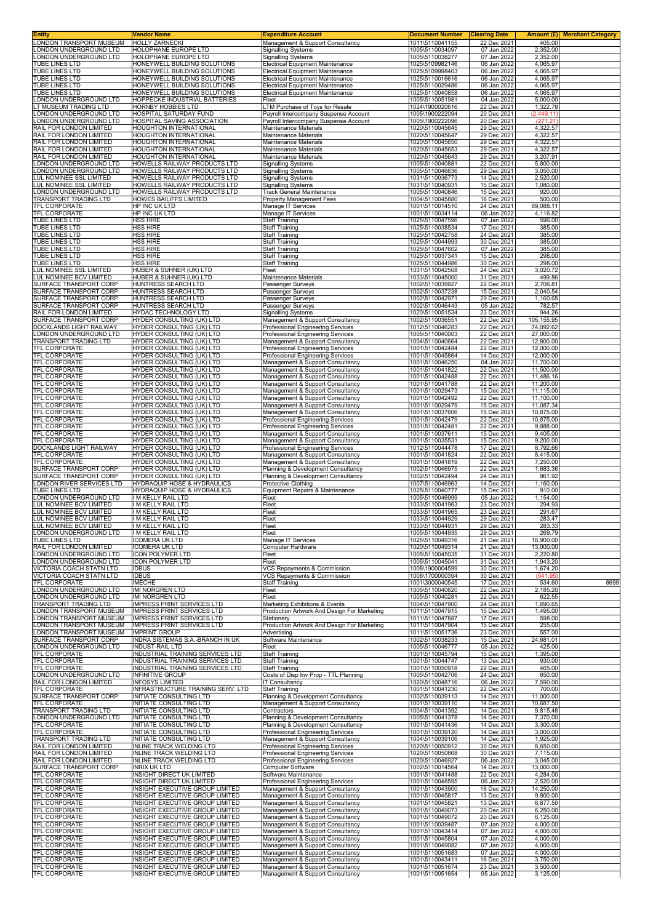| <b>Entity</b>                                        | Vendor Name                                                            | <b>Expenditure Account</b>                                                         | <b>Document Number</b>             | <b>Clearing Date</b>       |                         | Amount (£) Merchant Category |
|------------------------------------------------------|------------------------------------------------------------------------|------------------------------------------------------------------------------------|------------------------------------|----------------------------|-------------------------|------------------------------|
| LONDON TRANSPORT MUSEUM<br>LONDON UNDERGROUND LTD    | <b>HOLLY ZARNECKI</b><br><b>HOLOPHANE EUROPE LTD</b>                   | Management & Support Consultancy<br><b>Signalling Systems</b>                      | 1011\5110041155<br>1005\5110034097 | 22 Dec 2021<br>07 Jan 2022 | 405.00<br>2,352.00      |                              |
| LONDON UNDERGROUND LTD                               | HOLOPHANE EUROPE LTD                                                   | <b>Signalling Systems</b>                                                          | 1005\5110038277                    | 07 Jan 2022                | 2,352.00                |                              |
| TUBE LINES LTD<br><b>TUBE LINES LTD</b>              | HONEYWELL BUILDING SOLUTIONS<br>HONEYWELL BUILDING SOLUTIONS           | <b>Electrical Equipment Maintenance</b><br><b>Electrical Equipment Maintenance</b> | 1025\5109982146<br>1025\5109998403 | 06 Jan 2022<br>06 Jan 2022 | 4,065.97<br>4,065.97    |                              |
| TUBE LINES LTD                                       | HONEYWELL BUILDING SOLUTIONS                                           | <b>Electrical Equipment Maintenance</b>                                            | 1025\5110016616                    | 06 Jan 2022                | 4,065.97                |                              |
| TUBE LINES LTD                                       | HONEYWELL BUILDING SOLUTIONS                                           | <b>Electrical Equipment Maintenance</b>                                            | 1025\5110029486<br>1025\5110040858 | 06 Jan 2022                | 4,065.97                |                              |
| TUBE LINES LTD<br>LONDON UNDERGROUND LTD             | HONEYWELL BUILDING SOLUTIONS<br>HOPPECKE INDUSTRIAL BATTERIES          | <b>Electrical Equipment Maintenance</b><br>Fleet                                   | 1005\5110051981                    | 06 Jan 2022<br>04 Jan 2022 | 4,065.97<br>5,000.00    |                              |
| LT MUSEUM TRADING LTD                                | HORNBY HOBBIES LTD                                                     | LTM Purchase of Toys for Resale                                                    | 1024\1900020616                    | 22 Dec 2021                | 1,322.78                |                              |
| LONDON UNDERGROUND LTD<br>LONDON UNDERGROUND LTD     | HOSPITAL SATURDAY FUND<br>HOSPITAL SAVING ASSOCIATION                  | Payroll Intercompany Suspense Account<br>Payroll Intercompany Suspense Account     | 1005\1900222094<br>1005\1900222096 | 20 Dec 2021<br>20 Dec 2021 | (2, 449.11)<br>(271.21) |                              |
| RAIL FOR LONDON LIMITED                              | HOUGHTON INTERNATIONAL                                                 | Maintenance Materials                                                              | 1020\5110045645                    | 29 Dec 2021                | 4,322.57                |                              |
| RAIL FOR LONDON LIMITED<br>RAIL FOR LONDON LIMITED   | HOUGHTON INTERNATIONAL<br><b>HOUGHTON INTERNATIONAL</b>                | Maintenance Materials<br>Maintenance Materials                                     | 1020\5110045647<br>1020\5110045650 | 29 Dec 2021<br>29 Dec 2021 | 4,322.57<br>4,322.57    |                              |
| RAIL FOR LONDON LIMITED                              | HOUGHTON INTERNATIONAL                                                 | Maintenance Materials                                                              | 1020\5110045653                    | 29 Dec 2021                | 4,322.57                |                              |
| RAIL FOR LONDON LIMITED                              | <b>HOUGHTON INTERNATIONAL</b>                                          | Maintenance Materials                                                              | 1020\5110045643                    | 29 Dec 2021                | 3,207.91                |                              |
| LONDON UNDERGROUND LTD<br>LONDON UNDERGROUND LTD     | HOWELLS RAILWAY PRODUCTS LTD<br>HOWELLS RAILWAY PRODUCTS LTD           | <b>Signalling Systems</b><br><b>Signalling Systems</b>                             | 1005\5110040881<br>1005\5110046636 | 22 Dec 2021<br>29 Dec 2021 | 5,800.00<br>3,050.00    |                              |
| LUL NOMINEE SSL LIMITED                              | HOWELLS RAILWAY PRODUCTS LTD                                           | <b>Signalling Systems</b>                                                          | 1031\5110036773                    | 14 Dec 2021                | 2,520.00                |                              |
| LUL NOMINEE SSL LIMITED                              | HOWELLS RAILWAY PRODUCTS LTD<br>HOWELLS RAILWAY PRODUCTS LTD           | <b>Signalling Systems</b>                                                          | 1031\5110040931                    | 15 Dec 2021                | 1,080.00                |                              |
| LONDON UNDERGROUND LTD<br>TRANSPORT TRADING LTD      | <b>HOWES BAILIFFS LIMITED</b>                                          | Track General Maintenance<br>Property Management Fees                              | 1005\5110040846<br>1004\5110045880 | 15 Dec 2021<br>16 Dec 2021 | 920.00<br>500.00        |                              |
| TFL CORPORATE                                        | HP INC UK LTD                                                          | Manage IT Services                                                                 | 1001\5110014510                    | 24 Dec 2021                | 69,088.11               |                              |
| TFL CORPORATE<br>TUBE LINES LTD                      | HP INC UK LTD<br><b>HSS HIRE</b>                                       | Manage IT Services<br><b>Staff Training</b>                                        | 1001\5110034114<br>1025\5110047596 | 06 Jan 2022<br>07 Jan 2022 | 4,116.82<br>596.00      |                              |
| TUBE LINES LTD                                       | <b>HSS HIRE</b>                                                        | <b>Staff Training</b>                                                              | 1025\5110038534                    | 17 Dec 2021                | 385.00                  |                              |
| TUBE LINES LTD                                       | <b>HSS HIRE</b>                                                        | <b>Staff Training</b>                                                              | 1025\5110042758                    | 24 Dec 2021                | 385.00                  |                              |
| TUBE LINES LTD<br>TUBE LINES LTD                     | <b>HSS HIRE</b><br><b>HSS HIRE</b>                                     | <b>Staff Training</b><br><b>Staff Training</b>                                     | 1025\5110044993<br>1025\5110047602 | 30 Dec 2021<br>07 Jan 2022 | 385.00<br>385.00        |                              |
| <b>TUBE LINES LTD</b>                                | <b>HSS HIRE</b>                                                        | <b>Staff Training</b>                                                              | 1025\5110037341                    | 15 Dec 2021                | 298.00                  |                              |
| TUBE LINES LTD<br>LUL NOMINEE SSL LIMITED            | <b>HSS HIRE</b><br>HUBER & SUHNER (UK) LTD                             | <b>Staff Training</b><br>Fleet                                                     | 1025\5110044986<br>1031\5110042508 | 30 Dec 2021<br>24 Dec 2021 | 298.00<br>3,020.72      |                              |
| LUL NOMINEE BCV LIMITED                              | HUBER & SUHNER (UK) LTD                                                | Maintenance Materials                                                              | 1033\5110045000                    | 31 Dec 2021                | 499.86                  |                              |
| SURFACE TRANSPORT CORP                               | HUNTRESS SEARCH LTD                                                    | Passenger Surveys                                                                  | 1002\5110039927                    | 22 Dec 2021                | 2,706.81<br>2.040.54    |                              |
| SURFACE TRANSPORT CORP<br>SURFACE TRANSPORT CORP     | HUNTRESS SEARCH LTD<br>HUNTRESS SEARCH LTD                             | Passenger Surveys<br>Passenger Surveys                                             | 1002\5110037238<br>1002\5110042971 | 15 Dec 2021<br>29 Dec 2021 | 1,160.65                |                              |
| SURFACE TRANSPORT CORP                               | HUNTRESS SEARCH LTD                                                    | Passenger Surveys                                                                  | 1002\5110046443                    | 05 Jan 2022                | 782.57                  |                              |
| RAIL FOR LONDON LIMITED<br>SURFACE TRANSPORT CORP    | HYDAC TECHNOLOGY LTD<br>HYDER CONSULTING (UK) LTD                      | <b>Signalling Systems</b><br>Management & Support Consultancy                      | 1020\5110051534<br>1002\5110036551 | 23 Dec 2021<br>22 Dec 2021 | 944.26<br>105, 155.95   |                              |
| DOCKLANDS LIGHT RAILWAY                              | HYDER CONSULTING (UK) LTD                                              | Professional Engineering Services                                                  | 1012\5110046283                    | 22 Dec 2021                | 74,092.62               |                              |
| LONDON UNDERGROUND LTD                               | HYDER CONSULTING (UK) LTD                                              | Professional Engineering Services                                                  | 1005\5110040003                    | 22 Dec 2021                | 27,000.00               |                              |
| TRANSPORT TRADING LTD<br>TFL CORPORATE               | <b>HYDER CONSULTING (UK) LTD</b><br><b>HYDER CONSULTING (UK) LTD</b>   | Management & Support Consultancy<br>Professional Engineering Services              | 1004\5110040664<br>1001\5110042484 | 22 Dec 2021<br>22 Dec 2021 | 12,800.00<br>12,000.00  |                              |
| TFL CORPORATE                                        | HYDER CONSULTING (UK) LTD                                              | Professional Engineering Services                                                  | 1001\5110045864                    | 14 Dec 2021                | 12,000.00               |                              |
| TFL CORPORATE<br>TFL CORPORATE                       | HYDER CONSULTING (UK) LTD<br>HYDER CONSULTING (UK) LTD                 | Management & Support Consultancy<br>Management & Support Consultancy               | 1001\5110046250<br>1001\5110041822 | 04 Jan 2022<br>22 Dec 2021 | 11,700.00<br>11,500.00  |                              |
| TFL CORPORATE                                        | HYDER CONSULTING (UK) LTD                                              | Management & Support Consultancy                                                   | 1001\5110042488                    | 22 Dec 2021                | 11,486.16               |                              |
| TFL CORPORATE                                        | HYDER CONSULTING (UK) LTD                                              | Management & Support Consultancy                                                   | 1001\5110041788                    | 22 Dec 2021                | 11,200.00               |                              |
| TFL CORPORATE<br>TFL CORPORATE                       | HYDER CONSULTING (UK) LTD<br>HYDER CONSULTING (UK) LTD                 | Management & Support Consultancy<br>Management & Support Consultancy               | 1001\5110029473<br>1001\5110042492 | 15 Dec 2021<br>22 Dec 2021 | 11,115.00<br>11,100.00  |                              |
| TFL CORPORATE                                        | HYDER CONSULTING (UK) LTD                                              | Management & Support Consultancy                                                   | 1001\5110029479                    | 15 Dec 2021                | 11,087.34               |                              |
| TFL CORPORATE<br>TFL CORPORATE                       | HYDER CONSULTING (UK) LTD<br><b>HYDER CONSULTING (UK) LTD</b>          | Management & Support Consultancy<br>Professional Engineering Services              | 1001\5110037606<br>1001\5110042479 | 15 Dec 2021<br>22 Dec 2021 | 10,875.00<br>10,875.00  |                              |
| TFL CORPORATE                                        | HYDER CONSULTING (UK) LTD                                              | Professional Engineering Services                                                  | 1001\5110042481                    | 22 Dec 2021                | 9,888.00                |                              |
| <b>TFL CORPORATE</b>                                 | HYDER CONSULTING (UK) LTD                                              | Management & Support Consultancy                                                   | 1001\5110037611                    | 15 Dec 2021                | 9,405.00                |                              |
| TFL CORPORATE<br>DOCKLANDS LIGHT RAILWAY             | HYDER CONSULTING (UK) LTD<br>HYDER CONSULTING (UK) LTD                 | Management & Support Consultancy<br>Professional Engineering Services              | 1001\5110035531<br>1012\5110044478 | 15 Dec 2021<br>17 Dec 2021 | 9,200.00<br>8,792.66    |                              |
| TFL CORPORATE                                        | HYDER CONSULTING (UK) LTD                                              | Management & Support Consultancy                                                   | 1001\5110041824                    | 22 Dec 2021                | 8,415.00                |                              |
| TFL CORPORATE<br>SURFACE TRANSPORT CORP              | HYDER CONSULTING (UK) LTD<br><b>HYDER CONSULTING (UK) LTD</b>          | Management & Support Consultancy<br>Planning & Development Consultancy             | 1001\5110041819<br>1002\5110046975 | 22 Dec 2021<br>22 Dec 2021 | 7,250.00<br>1.683.36    |                              |
| SURFACE TRANSPORT CORP                               | HYDER CONSULTING (UK) LTD                                              | Planning & Development Consultancy                                                 | 1002\5110042494                    | 24 Dec 2021                | 961.92                  |                              |
| LONDON RIVER SERVICES LTD                            | HYDRAQUIP HOSE & HYDRAULICS                                            | Protective Clothing                                                                | 1007\5110046963                    | 14 Dec 2021                | 1,160.00                |                              |
| TUBE LINES LTD<br>LONDON UNDERGROUND LTD             | <b>HYDRAQUIP HOSE &amp; HYDRAULICS</b><br>I M KELLY RAIL LTD           | Equipment Repairs & Maintenance<br>Fleet                                           | 1025\5110040777<br>1005\5110046999 | 15 Dec 2021<br>05 Jan 2022 | 910.00<br>1,154.00      |                              |
| LUL NOMINEE BCV LIMITED                              | I M KELLY RAIL LTD                                                     | Fleet                                                                              | 1033\5110041963                    | 23 Dec 2021                | 294.93                  |                              |
| LUL NOMINEE BCV LIMITED<br>LUL NOMINEE BCV LIMITED   | I M KELLY RAIL LTD<br>I M KELLY RAIL LTD                               | Fleet<br>Fleet                                                                     | 1033\5110041965<br>1033\5110044929 | 23 Dec 2021<br>29 Dec 2021 | 291.67<br>283.47        |                              |
| LUL NOMINEE BCV LIMITED                              | I M KELLY RAIL LTD                                                     | <b>Heet</b>                                                                        | 1033\5110044931                    | 29 Dec 2021                | 283.33                  |                              |
| LONDON UNDERGROUND LTD                               | I M KELLY RAIL LTD                                                     | Fleet                                                                              | 1005\5110044935                    | 29 Dec 2021                | 269.79                  |                              |
| TUBE LINES LTD<br>RAIL FOR LONDON LIMITED            | <b>ICOMERA UK LTD</b><br><b>ICOMERA UK LTD</b>                         | Manage IT Services<br>Computer Hardware                                            | 1025\5110049316<br>1020\5110049314 | 21 Dec 2021<br>21 Dec 2021 | 16,900.00<br>13,000.00  |                              |
| LONDON UNDERGROUND LTD                               | <b>ICON POLYMER LTD</b>                                                | Fleet                                                                              | 1005\5110045035                    | 31 Dec 2021                | 2,220.80                |                              |
| LONDON UNDERGROUND LTD                               | <b>ICON POLYMER LTD</b>                                                | Fleet<br>VCS Repayments & Commission                                               | 1005\5110045041                    | 31 Dec 2021                | 1,943.20                |                              |
| VICTORIA COACH STATN LTD<br>VICTORIA COACH STATN LTD | <b>IDBUS</b><br><b>IDBUS</b>                                           | VCS Repayments & Commission                                                        | 1008\1900004599<br>1008\1700000394 | 30 Dec 2021<br>30 Dec 2021 | 1,674.20<br>(541.95)    |                              |
| TFL CORPORATE                                        | <b>IMECHE</b>                                                          | <b>Staff Training</b>                                                              | 1001\3000040545                    | 17 Dec 2021                | 534.60                  | 8699                         |
| LONDON UNDERGROUND LTD<br>LONDON UNDERGROUND LTD     | <b>IMI NORGREN LTD</b><br><b>IMI NORGREN LTD</b>                       | Fleet<br>Fleet                                                                     | 1005\5110040620<br>1005\5110040281 | 22 Dec 2021<br>22 Dec 2021 | 2,185.20<br>622.55      |                              |
| TRANSPORT TRADING LTD                                | <b>IMPRESS PRINT SERVICES LTD</b>                                      | Marketing Exhibitions & Events                                                     | 1004\5110047900                    | 24 Dec 2021                | 1,690.65                |                              |
| LONDON TRANSPORT MUSEUM<br>LONDON TRANSPORT MUSEUM   | <b>IMPRESS PRINT SERVICES LTD</b>                                      | Production Artwork And Design For Marketing                                        | 1011\5110047915                    | 15 Dec 2021                | 1,495.00                |                              |
| LONDON TRANSPORT MUSEUM                              | <b>IMPRESS PRINT SERVICES LTD</b><br><b>IMPRESS PRINT SERVICES LTD</b> | Stationery<br>Production Artwork And Design For Marketing                          | 1011\5110047887<br>1011\5110047904 | 17 Dec 2021<br>15 Dec 2021 | 598.00<br>255.00        |                              |
| LONDON TRANSPORT MUSEUM                              | <b>IMPRINT GROUP</b>                                                   | Advertising                                                                        | 1011\5110051736                    | 23 Dec 2021                | 557.00                  |                              |
| SURFACE TRANSPORT CORP<br>LONDON UNDERGROUND LTD     | INDRA SISTEMAS S.A.-BRANCH IN UK<br><b>INDUST-RAIL LTD</b>             | Software Maintenance<br>Fleet                                                      | 1002\5110038233<br>1005\5110046777 | 15 Dec 2021<br>05 Jan 2022 | 24,681.01<br>425.00     |                              |
| TFL CORPORATE                                        | INDUSTRIAL TRAINING SERVICES LTD                                       | <b>Staff Training</b>                                                              | 1001\5110045794                    | 15 Dec 2021                | 1,395.00                |                              |
| TFL CORPORATE<br>TFL CORPORATE                       | INDUSTRIAL TRAINING SERVICES LTD<br>INDUSTRIAL TRAINING SERVICES LTD   | <b>Staff Training</b><br><b>Staff Training</b>                                     | 1001\5110044747<br>1001\5110050918 | 13 Dec 2021<br>22 Dec 2021 | 930.00<br>465.00        |                              |
| LONDON UNDERGROUND LTD                               | <b>INFINITIVE GROUP</b>                                                | Costs of Disp Inv Prop - TTL Planning                                              | 1005\5110042706                    | 24 Dec 2021                | 650.00                  |                              |
| RAIL FOR LONDON LIMITED                              | <b>INFOSYS LIMITED</b>                                                 | <b>IT Consultancy</b>                                                              | 1020\5110048716                    | 06 Jan 2022                | 7,590.00<br>700.00      |                              |
| TFL CORPORATE<br>SURFACE TRANSPORT CORP              | INFRASTRUCTURE TRAINING SERV. LTD<br>INITIATE CONSULTING LTD           | <b>Staff Training</b><br>Planning & Development Consultancy                        | 1001\5110041230<br>1002\5110039113 | 22 Dec 2021<br>14 Dec 2021 | 11,000.00               |                              |
| TFL CORPORATE                                        | INITIATE CONSULTING LTD                                                | Management & Support Consultancy                                                   | 1001\5110039110                    | 14 Dec 2021                | 10,687.50               |                              |
| TRANSPORT TRADING LTD<br>LONDON UNDERGROUND LTD      | <b>INITIATE CONSULTING LTD</b><br>INITIATE CONSULTING LTD              | Contractors<br>Planning & Development Consultancy                                  | 1004\5110041392<br>1005\5110041378 | 14 Dec 2021<br>14 Dec 2021 | 9,815.48<br>7,370.00    |                              |
| TFL CORPORATE                                        | <b>INITIATE CONSULTING LTD</b>                                         | Planning & Development Consultancy                                                 | 1001\5110041436                    | 14 Dec 2021                | 3,300.00                |                              |
| TFL CORPORATE                                        | INITIATE CONSULTING LTD                                                | Professional Engineering Services                                                  | 1001\5110039120                    | 14 Dec 2021                | 3,000.00                |                              |
| TRANSPORT TRADING LTD<br>RAIL FOR LONDON LIMITED     | INITIATE CONSULTING LTD<br>INLINE TRACK WELDING LTD                    | Management & Support Consultancy<br>Professional Engineering Services              | 1004\5110039106<br>1020\5110050912 | 14 Dec 2021<br>30 Dec 2021 | 1,925.00<br>8,650.00    |                              |
| RAIL FOR LONDON LIMITED                              | <b>INLINE TRACK WELDING LTD</b>                                        | <b>Professional Engineering Services</b>                                           | 1020\5110050868                    | 30 Dec 2021                | 7,115.00                |                              |
| RAIL FOR LONDON LIMITED<br>SURFACE TRANSPORT CORP    | <b>INLINE TRACK WELDING LTD</b><br><b>INRIX UK LTD</b>                 | Professional Engineering Services<br>Computer Software                             | 1020\5110046927<br>1002\5110014564 | 06 Jan 2022<br>14 Dec 2021 | 3,045.00<br>13,000.00   |                              |
| TFL CORPORATE                                        | <b>INSIGHT DIRECT UK LIMITED</b>                                       | Software Maintenance                                                               | 1001\5110041488                    | 22 Dec 2021                | 4,284.00                |                              |
| TFL CORPORATE<br>TFL CORPORATE                       | <b>INSIGHT DIRECT UK LIMITED</b><br>INSIGHT EXECUTIVE GROUP LIMITED    | Professional Engineering Services                                                  | 1001\5110048595<br>1001\5110043900 | 06 Jan 2022<br>16 Dec 2021 | 2,520.00<br>14,250.00   |                              |
| TFL CORPORATE                                        | INSIGHT EXECUTIVE GROUP LIMITED                                        | Management & Support Consultancy<br>Management & Support Consultancy               | 1001\5110045817                    | 13 Dec 2021                | 9,800.00                |                              |
| TFL CORPORATE                                        | INSIGHT EXECUTIVE GROUP LIMITED                                        | Management & Support Consultancy                                                   | 1001\5110045821                    | 13 Dec 2021                | 6,877.50                |                              |
| TFL CORPORATE<br>TFL CORPORATE                       | INSIGHT EXECUTIVE GROUP LIMITED<br>INSIGHT EXECUTIVE GROUP LIMITED     | Management & Support Consultancy<br>Management & Support Consultancy               | 1001\5110049073<br>1001\5110049072 | 20 Dec 2021<br>20 Dec 2021 | 6,250.00<br>6,125.00    |                              |
| TFL CORPORATE                                        | INSIGHT EXECUTIVE GROUP LIMITED                                        | Management & Support Consultancy                                                   | 1001\5110039487                    | 07 Jan 2022                | 4,000.00                |                              |
| TFL CORPORATE<br>TFL CORPORATE                       | INSIGHT EXECUTIVE GROUP LIMITED<br>INSIGHT EXECUTIVE GROUP LIMITED     | Management & Support Consultancy<br>Management & Support Consultancy               | 1001\5110043414<br>1001\5110045804 | 07 Jan 2022<br>07 Jan 2022 | 4,000.00<br>4,000.00    |                              |
| TFL CORPORATE                                        | INSIGHT EXECUTIVE GROUP LIMITED                                        | Management & Support Consultancy                                                   | 1001\5110049082                    | 07 Jan 2022                | 4,000.00                |                              |
| TFL CORPORATE                                        | INSIGHT EXECUTIVE GROUP LIMITED                                        | Management & Support Consultancy                                                   | 1001\5110051683                    | 07 Jan 2022                | 4,000.00                |                              |
| TFL CORPORATE<br>TFL CORPORATE                       | INSIGHT EXECUTIVE GROUP LIMITED<br>INSIGHT EXECUTIVE GROUP LIMITED     | Management & Support Consultancy<br>Management & Support Consultancy               | 1001\5110043411<br>1001\5110051674 | 16 Dec 2021<br>23 Dec 2021 | 3,750.00<br>3,500.00    |                              |
| TFL CORPORATE                                        | INSIGHT EXECUTIVE GROUP LIMITED                                        | Management & Support Consultancy                                                   | 1001\5110051654                    | 05 Jan 2022                | 3,125.00                |                              |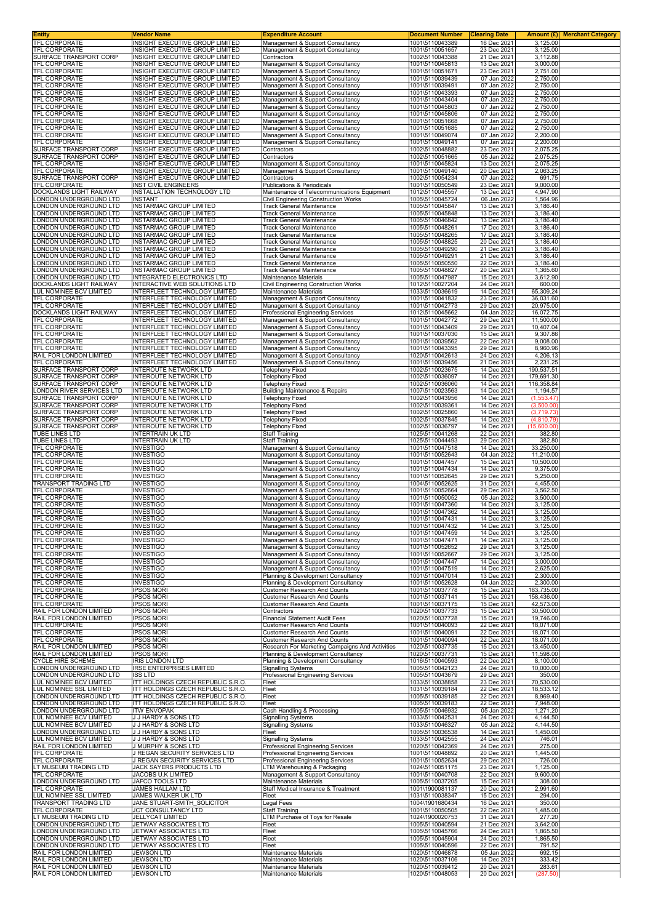| Entity                                                 | Vendor Name                                                         | <b>Expenditure Account</b>                                                            | <b>Document Number</b>             | <b>Clearing Date</b>       |                          | <b>Amount (£)</b> Merchant Category |
|--------------------------------------------------------|---------------------------------------------------------------------|---------------------------------------------------------------------------------------|------------------------------------|----------------------------|--------------------------|-------------------------------------|
| TFL CORPORATE<br>TFL CORPORATE                         | INSIGHT EXECUTIVE GROUP LIMITED<br>INSIGHT EXECUTIVE GROUP LIMITED  | Management & Support Consultancy<br>Management & Support Consultancy                  | 1001\5110043389<br>1001\5110051657 | 16 Dec 2021<br>23 Dec 2021 | 3,125.00<br>3,125.00     |                                     |
| SURFACE TRANSPORT CORP                                 | INSIGHT EXECUTIVE GROUP LIMITED                                     | Contractors                                                                           | 1002\5110043388                    | 21 Dec 2021                | 3,112.88                 |                                     |
| <b>TFL CORPORATE</b>                                   | INSIGHT EXECUTIVE GROUP LIMITED                                     | Management & Support Consultancy                                                      | 1001\5110045813                    | 13 Dec 2021                | 3,000.00                 |                                     |
| TFL CORPORATE                                          | INSIGHT EXECUTIVE GROUP LIMITED                                     | Management & Support Consultancy                                                      | 1001\5110051671                    | 23 Dec 2021                | 2,751.00                 |                                     |
| TFL CORPORATE<br>TFL CORPORATE                         | INSIGHT EXECUTIVE GROUP LIMITED<br>INSIGHT EXECUTIVE GROUP LIMITED  | Management & Support Consultancy<br>Management & Support Consultancy                  | 1001\5110039439<br>1001\5110039491 | 07 Jan 2022<br>07 Jan 2022 | 2,750.00<br>2,750.00     |                                     |
| TFL CORPORATE                                          | <b>INSIGHT EXECUTIVE GROUP LIMITED</b>                              | Management & Support Consultancy                                                      | 1001\5110043393                    | 07 Jan 2022                | 2,750.00                 |                                     |
| TFL CORPORATE                                          | INSIGHT EXECUTIVE GROUP LIMITED                                     | Management & Support Consultancy                                                      | 1001\5110043404                    | 07 Jan 2022                | 2,750.00                 |                                     |
| TFL CORPORATE                                          | INSIGHT EXECUTIVE GROUP LIMITED                                     | Management & Support Consultancy                                                      | 1001\5110045803                    | 07 Jan 2022                | 2,750.00                 |                                     |
| TFL CORPORATE<br>TFL CORPORATE                         | INSIGHT EXECUTIVE GROUP LIMITED<br>INSIGHT EXECUTIVE GROUP LIMITED  | Management & Support Consultancy<br>Management & Support Consultancy                  | 1001\5110045806<br>1001\5110051668 | 07 Jan 2022<br>07 Jan 2022 | 2,750.00<br>2,750.00     |                                     |
| TFL CORPORATE                                          | INSIGHT EXECUTIVE GROUP LIMITED                                     | Management & Support Consultancy                                                      | 1001\5110051685                    | 07 Jan 2022                | 2,750.00                 |                                     |
| TFL CORPORATE                                          | INSIGHT EXECUTIVE GROUP LIMITED                                     | Management & Support Consultancy                                                      | 1001\5110049074                    | 07 Jan 2022                | 2,200.00                 |                                     |
| TFL CORPORATE<br>SURFACE TRANSPORT CORP                | INSIGHT EXECUTIVE GROUP LIMITED<br>INSIGHT EXECUTIVE GROUP LIMITED  | Management & Support Consultancy<br>Contractors                                       | 1001\5110049141<br>1002\5110048882 | 07 Jan 2022<br>23 Dec 2021 | 2,200.00<br>2,075.25     |                                     |
| SURFACE TRANSPORT CORP                                 | INSIGHT EXECUTIVE GROUP LIMITED                                     | Contractors                                                                           | 1002\5110051665                    | 05 Jan 2022                | 2,075.25                 |                                     |
| TFL CORPORATE                                          | INSIGHT EXECUTIVE GROUP LIMITED                                     | Management & Support Consultancy                                                      | 1001\5110045824                    | 13 Dec 2021                | 2,075.25                 |                                     |
| TFL CORPORATE                                          | INSIGHT EXECUTIVE GROUP LIMITED                                     | Management & Support Consultancy                                                      | 1001\5110049140<br>1002\5110054234 | 20 Dec 2021                | 2,063.25                 |                                     |
| SURFACE TRANSPORT CORP<br>TFL CORPORATE                | INSIGHT EXECUTIVE GROUP LIMITED<br><b>INST CIVIL ENGINEERS</b>      | Contractors<br>Publications & Periodicals                                             | 1001\5110050549                    | 07 Jan 2022<br>23 Dec 2021 | 691.75<br>9,000.00       |                                     |
| DOCKLANDS LIGHT RAILWAY                                | INSTALLATION TECHNOLOGY LTD                                         | Maintenance of Telecommunications Equipment                                           | 1012\5110045557                    | 13 Dec 2021                | 4,947.90                 |                                     |
| ONDON UNDERGROUND LTD                                  | <b>INSTANT</b>                                                      | Civil Engineering Construction Works                                                  | 1005\5110045724                    | 06 Jan 2022                | 1,564.96                 |                                     |
| ONDON UNDERGROUND LTD.<br>ONDON UNDERGROUND LTD        | INSTARMAC GROUP LIMITED<br><b>INSTARMAC GROUP LIMITED</b>           | <b>Track General Maintenance</b><br>Track General Maintenance                         | 1005\5110045847<br>1005\5110045848 | 13 Dec 2021<br>13 Dec 2021 | 3,186.40<br>3,186.40     |                                     |
| ONDON UNDERGROUND LTD                                  | <b>INSTARMAC GROUP LIMITED</b>                                      | <b>Track General Maintenance</b>                                                      | 1005\5110046842                    | 13 Dec 2021                | 3,186.40                 |                                     |
| ONDON UNDERGROUND LTD.                                 | <b>INSTARMAC GROUP LIMITED</b>                                      | <b>Track General Maintenance</b>                                                      | 1005\5110048261                    | 17 Dec 2021                | 3,186.40                 |                                     |
| ONDON UNDERGROUND LTD                                  | <b>INSTARMAC GROUP LIMITED</b>                                      | Track General Maintenance                                                             | 1005\5110048265                    | 17 Dec 2021                | 3,186.40                 |                                     |
| ONDON UNDERGROUND LTD<br>ONDON UNDERGROUND LTD         | <b>INSTARMAC GROUP LIMITED</b><br><b>INSTARMAC GROUP LIMITED</b>    | <b>Track General Maintenance</b><br><b>Track General Maintenance</b>                  | 1005\5110048825<br>1005\5110049290 | 20 Dec 2021<br>21 Dec 2021 | 3,186.40<br>3,186.40     |                                     |
| ONDON UNDERGROUND LTD                                  | <b>INSTARMAC GROUP LIMITED</b>                                      | Track General Maintenance                                                             | 1005\5110049291                    | 21 Dec 2021                | 3,186.40                 |                                     |
| ONDON UNDERGROUND LTD                                  | <b>INSTARMAC GROUP LIMITED</b>                                      | Track General Maintenance                                                             | 1005\5110050550                    | 22 Dec 2021                | 3,186.40                 |                                     |
| ONDON UNDERGROUND LTD                                  | <b>INSTARMAC GROUP LIMITED</b><br><b>INTEGRATED ELECTRONICS LTD</b> | <b>Track General Maintenance</b>                                                      | 1005\5110048827                    | 20 Dec 2021                | 1.365.60                 |                                     |
| ONDON UNDERGROUND LTD<br>DOCKLANDS LIGHT RAILWAY       | INTERACTIVE WEB SOLUTIONS LTD                                       | Maintenance Materials<br>Civil Engineering Construction Works                         | 1005\5110047987<br>1012\5110027204 | 15 Dec 2021<br>24 Dec 2021 | 3,612.90<br>600.00       |                                     |
| LUL NOMINEE BCV LIMITED                                | INTERFLEET TECHNOLOGY LIMITED                                       | Maintenance Materials                                                                 | 1033\5110036619                    | 14 Dec 2021                | 65,309.24                |                                     |
| <b>TFL CORPORATE</b>                                   | INTERFLEET TECHNOLOGY LIMITED                                       | Management & Support Consultancy                                                      | 1001\5110041832                    | 23 Dec 2021                | 36,031.60                |                                     |
| TFL CORPORATE<br>DOCKLANDS LIGHT RAILWAY               | INTERFLEET TECHNOLOGY LIMITED<br>INTERFLEET TECHNOLOGY LIMITED      | Management & Support Consultancy<br>Professional Engineering Services                 | 1001\5110042773<br>1012\5110045662 | 29 Dec 2021<br>04 Jan 2022 | 20,975.00<br>16,072.75   |                                     |
| TFL CORPORATE                                          | INTERFLEET TECHNOLOGY LIMITED                                       | Management & Support Consultancy                                                      | 1001\5110042772                    | 29 Dec 2021                | 11,500.00                |                                     |
| <b>TFL CORPORATE</b>                                   | INTERFLEET TECHNOLOGY LIMITED                                       | Management & Support Consultancy                                                      | 1001\5110043409                    | 29 Dec 2021                | 10,407.04                |                                     |
| TFL CORPORATE<br>TFL CORPORATE                         | INTERFLEET TECHNOLOGY LIMITED<br>INTERFLEET TECHNOLOGY LIMITED      | Management & Support Consultancy<br>Management & Support Consultancy                  | 1001\5110037030<br>1001\5110039562 | 15 Dec 2021<br>22 Dec 2021 | 9,307.86<br>9,008.00     |                                     |
| TFL CORPORATE                                          | INTERFLEET TECHNOLOGY LIMITED                                       | Management & Support Consultancy                                                      | 1001\5110043395                    | 29 Dec 2021                | 8,960.96                 |                                     |
| RAIL FOR LONDON LIMITED                                | INTERFLEET TECHNOLOGY LIMITED                                       | Management & Support Consultancy                                                      | 1020\5110042613                    | 24 Dec 2021                | 4,206.13                 |                                     |
| TFL CORPORATE                                          | INTERFLEET TECHNOLOGY LIMITED<br><b>INTEROUTE NETWORK LTD</b>       | Management & Support Consultancy                                                      | 1001\5110039456                    | 21 Dec 2021                | 2,231.25<br>190,537.51   |                                     |
| SURFACE TRANSPORT CORP<br>SURFACE TRANSPORT CORP       | <b>INTEROUTE NETWORK LTD</b>                                        | <b>Telephony Fixed</b><br><b>Telephony Fixed</b>                                      | 1002\5110023675<br>1002\5110036097 | 14 Dec 2021<br>14 Dec 2021 | 179,691.30               |                                     |
| SURFACE TRANSPORT CORP                                 | <b>INTEROUTE NETWORK LTD</b>                                        | <b>Telephony Fixed</b>                                                                | 1002\5110036060                    | 14 Dec 2021                | 116,358.84               |                                     |
| ONDON RIVER SERVICES LTD<br>SURFACE TRANSPORT CORP     | <b>INTEROUTE NETWORK LTD</b><br><b>INTEROUTE NETWORK LTD</b>        | <b>Building Maintenance &amp; Repairs</b>                                             | 1007\5110023563                    | 14 Dec 2021                | 1,194.57                 |                                     |
| SURFACE TRANSPORT CORP                                 | <b>INTEROUTE NETWORK LTD</b>                                        | <b>Telephony Fixed</b><br><b>Telephony Fixed</b>                                      | 1002\5110043956<br>1002\5110039361 | 14 Dec 2021<br>14 Dec 2021 | (1,553.47)<br>(3,500.00) |                                     |
| SURFACE TRANSPORT CORP                                 | <b>INTEROUTE NETWORK LTD</b>                                        | <b>Telephony Fixed</b>                                                                | 1002\5110025860                    | 14 Dec 2021                | (3,719.73)               |                                     |
| SURFACE TRANSPORT CORP                                 | <b>INTEROUTE NETWORK LTD</b>                                        | <b>Telephony Fixed</b>                                                                | 1002\5110037845                    | 14 Dec 2021                | (4,810.79)               |                                     |
| <b>SURFACE TRANSPORT CORP</b><br>TUBE LINES LTD        | <b>INTEROUTE NETWORK LTD</b><br><b>INTERTRAIN UK LTD</b>            | <b>Telephony Fixed</b><br><b>Staff Training</b>                                       | 1002\5110036797<br>1025\5110041268 | 14 Dec 2021<br>22 Dec 2021 | (15,600.00)<br>382.80    |                                     |
| <b>TUBE LINES LTD</b>                                  | <b>INTERTRAIN UK LTD</b>                                            | <b>Staff Training</b>                                                                 | 1025\5110044493                    | 29 Dec 2021                | 382.80                   |                                     |
| TFL CORPORATE                                          | <b>INVESTIGO</b>                                                    | Management & Support Consultancy                                                      | 1001\5110047518                    | 14 Dec 2021                | 33,250.00                |                                     |
| TFL CORPORATE<br><b>TFL CORPORATE</b>                  | <b>INVESTIGO</b><br><b>INVESTIGO</b>                                | Management & Support Consultancy<br>Management & Support Consultancy                  | 1001\5110052643<br>1001\5110047457 | 04 Jan 2022<br>15 Dec 2021 | 11,210.00<br>10,500.00   |                                     |
| TFL CORPORATE                                          | <b>INVESTIGO</b>                                                    | Management & Support Consultancy                                                      | 1001\5110047434                    | 14 Dec 2021                | 9,375.00                 |                                     |
| TFL CORPORATE<br>TRANSPORT TRADING LTD                 | <b>INVESTIGO</b><br><b>INVESTIGO</b>                                | Management & Support Consultancy<br>Management & Support Consultancy                  | 1001\5110052645<br>1004\5110052625 | 29 Dec 2021<br>31 Dec 2021 | 5,250.00<br>4,455.00     |                                     |
| TFL CORPORATE                                          | <b>INVESTIGO</b>                                                    | Management & Support Consultancy                                                      | 1001\5110052664                    | 29 Dec 2021                | 3,562.50                 |                                     |
| <b>TFL CORPORATE</b>                                   | <b>INVESTIGO</b>                                                    | Management & Support Consultancy                                                      | 1001\5110050052                    | 05 Jan 2022                | 3,500.00                 |                                     |
| <b>TFL CORPORATE</b><br>TFL CORPORATE                  | <b>INVESTIGO</b><br><b>INVESTIGO</b>                                | Management & Support Consultancy<br>Management & Support Consultancy                  | 1001\5110047360<br>1001\5110047362 | 14 Dec 2021<br>14 Dec 2021 | 3,125.00<br>3.125.00     |                                     |
| <b>TFL CORPORATE</b>                                   | INVESTIGO                                                           | Management & Support Consultancy                                                      | 1001\5110047431                    | 14 Dec 2021                | 3,125.00                 |                                     |
| IFL CORPORATE                                          | <b>INVESTIGO</b>                                                    | Management & Support Consultancy                                                      | 1001\5110047432                    | 14 Dec 2021                | 3,125.00                 |                                     |
| TFL CORPORATE<br>TFL CORPORATE                         | <b>INVESTIGO</b><br><b>INVESTIGO</b>                                | Management & Support Consultancy<br>Management & Support Consultancy                  | 1001\5110047459<br>1001\5110047471 | 14 Dec 2021<br>14 Dec 2021 | 3,125.00<br>3,125.00     |                                     |
| TFL CORPORATE                                          | <b>INVESTIGO</b>                                                    | Management & Support Consultancy                                                      | 1001\5110052652                    | 29 Dec 2021                | 3,125.00                 |                                     |
| TFL CORPORATE                                          | <b>INVESTIGO</b>                                                    | Management & Support Consultancy                                                      | 1001\5110052667                    | 29 Dec 2021                | 3,125.00                 |                                     |
| TFL CORPORATE<br><b>TFL CORPORATE</b>                  | <b>INVESTIGO</b><br><b>INVESTIGO</b>                                | Management & Support Consultancy                                                      | 1001\5110047447<br>1001\5110047519 | 14 Dec 2021<br>14 Dec 2021 | 3,000.00<br>2,625.00     |                                     |
| TFL CORPORATE                                          | <b>INVESTIGO</b>                                                    | Management & Support Consultancy<br>Planning & Development Consultancy                | 1001\5110047014                    | 13 Dec 2021                | 2,300.00                 |                                     |
| TFL CORPORATE                                          | <b>INVESTIGO</b>                                                    | Planning & Development Consultancy                                                    | 1001\5110052628                    | 04 Jan 2022                | 2,300.00                 |                                     |
| <b>TFL CORPORATE</b><br>TFL CORPORATE                  | <b>IPSOS MORI</b><br><b>IPSOS MORI</b>                              | <b>Customer Research And Counts</b><br><b>Customer Research And Counts</b>            | 1001\5110037778<br>1001\5110037141 | 15 Dec 2021<br>15 Dec 2021 | 163,735.00<br>158,436.00 |                                     |
| TFL CORPORATE                                          | <b>IPSOS MORI</b>                                                   | Customer Research And Counts                                                          | 1001\5110037175                    | 15 Dec 2021                | 42,573.00                |                                     |
| RAIL FOR LONDON LIMITED                                | <b>IPSOS MORI</b>                                                   | Contractors                                                                           | 1020\5110037733                    | 15 Dec 2021                | 30,500.00                |                                     |
| RAIL FOR LONDON LIMITED<br>TFL CORPORATE               | <b>IPSOS MORI</b><br><b>IPSOS MORI</b>                              | <b>Financial Statement Audit Fees</b><br><b>Customer Research And Counts</b>          | 1020\5110037728<br>1001\5110040093 | 15 Dec 2021<br>22 Dec 2021 | 19,746.00<br>18,071.00   |                                     |
| TFL CORPORATE                                          | <b>IPSOS MORI</b>                                                   | <b>Customer Research And Counts</b>                                                   | 1001\5110040091                    | 22 Dec 2021                | 18,071.00                |                                     |
| TFL CORPORATE                                          | <b>IPSOS MORI</b>                                                   | <b>Customer Research And Counts</b>                                                   | 1001\5110040094                    | 22 Dec 2021                | 18,071.00                |                                     |
| RAIL FOR LONDON LIMITED<br>RAIL FOR LONDON LIMITED     | <b>IPSOS MORI</b><br><b>IPSOS MORI</b>                              | Research For Marketing Campaigns And Activities<br>Planning & Development Consultancy | 1020\5110037735<br>1020\5110037731 | 15 Dec 2021<br>15 Dec 2021 | 13,450.00<br>11,598.00   |                                     |
| CYCLE HIRE SCHEME                                      | IRIS LONDON LTD                                                     | Planning & Development Consultancy                                                    | 1016\5110040593                    | 22 Dec 2021                | 8,100.00                 |                                     |
| ONDON UNDERGROUND LTD                                  | <b>IRSE ENTERPRISES LIMITED</b>                                     | <b>Signalling Systems</b>                                                             | 1005\5110042123                    | 24 Dec 2021                | 10,000.00                |                                     |
| ONDON UNDERGROUND LTD<br><b>UL NOMINEE BCV LIMITED</b> | <b>ISS LTD</b><br>ITT HOLDINGS CZECH REPUBLIC S.R.O.                | Professional Engineering Services<br>Fleet                                            | 1005\5110043679<br>1033\5110038858 | 29 Dec 2021<br>23 Dec 2021 | 350.00<br>70,530.00      |                                     |
| <b>UL NOMINEE SSL LIMITED</b>                          | ITT HOLDINGS CZECH REPUBLIC S.R.O.                                  | Fleet                                                                                 | 1031\5110039184                    | 22 Dec 2021                | 18,533.12                |                                     |
| ONDON UNDERGROUND LTD                                  | ITT HOLDINGS CZECH REPUBLIC S.R.O.                                  | Fleet                                                                                 | 1005\5110039185                    | 22 Dec 2021                | 8,969.40                 |                                     |
| ONDON UNDERGROUND LTD<br>ONDON UNDERGROUND LTD         | ITT HOLDINGS CZECH REPUBLIC S.R.O.<br><b>ITW ENVOPAK</b>            | Fleet                                                                                 | 1005\5110039183<br>1005\5110046932 | 22 Dec 2021<br>05 Jan 2022 | 7,948.00<br>1,271.20     |                                     |
| LUL NOMINEE BCV LIMITED                                | J J HARDY & SONS LTD                                                | Cash Handling & Processing<br><b>Signalling Systems</b>                               | 1033\5110042531                    | 24 Dec 2021                | 4,144.50                 |                                     |
| LUL NOMINEE BCV LIMITED                                | J J HARDY & SONS LTD                                                | <b>Signalling Systems</b>                                                             | 1033\5110046327                    | 05 Jan 2022                | 4,144.50                 |                                     |
| LONDON UNDERGROUND LTD<br>LUL NOMINEE BCV LIMITED      | J J HARDY & SONS LTD<br>J J HARDY & SONS LTD                        | Fleet<br><b>Signalling Systems</b>                                                    | 1005\5110036538<br>1033\5110042555 | 14 Dec 2021<br>24 Dec 2021 | 1,450.00<br>746.01       |                                     |
| RAIL FOR LONDON LIMITED                                | <b>J MURPHY &amp; SONS LTD</b>                                      | Professional Engineering Services                                                     | 1020\5110042369                    | 24 Dec 2021                | 275.00                   |                                     |
| TFL CORPORATE                                          | J REGAN SECURITY SERVICES LTD                                       | Professional Engineering Services                                                     | 1001\5110048892                    | 20 Dec 2021                | 1,445.00                 |                                     |
| TFL CORPORATE<br>LT MUSEUM TRADING LTD                 | J REGAN SECURITY SERVICES LTD<br>JACK SAYERS PRODUCTS LTD           | Professional Engineering Services<br>LTM Warehousing & Packaging                      | 1001\5110052634<br>1024\5110051175 | 29 Dec 2021<br>23 Dec 2021 | 726.00<br>1,125.00       |                                     |
| TFL CORPORATE                                          | <b>JACOBS U.K LIMITED</b>                                           | Management & Support Consultancy                                                      | 1001\5110040708                    | 22 Dec 2021                | 9,600.00                 |                                     |
| ONDON UNDERGROUND LTD                                  | JAFCO TOOLS LTD                                                     | Maintenance Materials                                                                 | 1005\5110037205                    | 15 Dec 2021                | 308.00                   |                                     |
| TFL CORPORATE<br>LUL NOMINEE SSL LIMITED               | JAMES HALLAM LTD<br>JAMES WALKER UK LTD                             | Staff Medical Insurance & Treatment<br>Fleet                                          | 1001\1900081137<br>1031\5110038347 | 20 Dec 2021<br>15 Dec 2021 | 2,991.60<br>294.00       |                                     |
| TRANSPORT TRADING LTD                                  | JANE STUART-SMITH SOLICITOR                                         | Legal Fees                                                                            | 1004\1901680434                    | 16 Dec 2021                | 350.00                   |                                     |
| TFL CORPORATE                                          | JCT CONSULTANCY LTD                                                 | <b>Staff Training</b>                                                                 | 1001\5110050505                    | 22 Dec 2021                | 1,485.00                 |                                     |
| LT MUSEUM TRADING LTD<br>ONDON UNDERGROUND LTD         | <b>JELLYCAT LIMITED</b><br><b>JETWAY ASSOCIATES LTD</b>             | LTM Purchase of Toys for Resale<br>Fleet                                              | 1024\1900020753<br>1005\5110040594 | 31 Dec 2021<br>21 Dec 2021 | 277.20<br>3,642.00       |                                     |
| ONDON UNDERGROUND LTD                                  | JETWAY ASSOCIATES LTD                                               | Fleet                                                                                 | 1005\5110045766                    | 24 Dec 2021                | 1,865.50                 |                                     |
| ONDON UNDERGROUND LTD                                  | JETWAY ASSOCIATES LTD                                               | Fleet                                                                                 | 1005\5110045904                    | 24 Dec 2021                | 1,865.50                 |                                     |
| ONDON UNDERGROUND LTD<br>RAIL FOR LONDON LIMITED       | JETWAY ASSOCIATES LTD<br><b>JEWSON LTD</b>                          | Fleet<br>Maintenance Materials                                                        | 1005\5110040596<br>1020\5110046878 | 22 Dec 2021<br>05 Jan 2022 | 791.52<br>692.15         |                                     |
| RAIL FOR LONDON LIMITED                                | <b>JEWSON LTD</b>                                                   | Maintenance Materials                                                                 | 1020\5110037106                    | 14 Dec 2021                | 333.42                   |                                     |
| RAIL FOR LONDON LIMITED                                | <b>JEWSON LTD</b>                                                   | Maintenance Materials                                                                 | 1020\5110039412                    | 20 Dec 2021                | 283.61                   |                                     |
| RAIL FOR LONDON LIMITED                                | <b>JEWSON LTD</b>                                                   | Maintenance Materials                                                                 | 1020\5110048053                    | 20 Dec 2021                | (287.50)                 |                                     |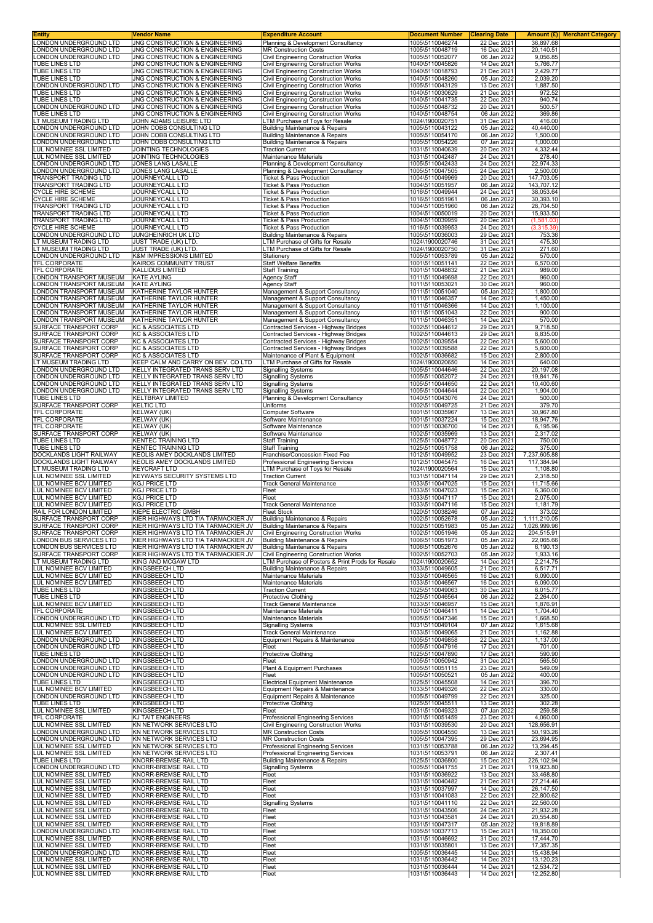| <b>Entity</b>                                                                                                                                                                                                                                                                                                                                    | Vendor Name                                                                | <b>Expenditure Account</b>                                                               | <b>Document Number</b>                                | <b>Clearing Date</b>                      |                                     | <b>Amount (£)</b> Merchant Category |
|--------------------------------------------------------------------------------------------------------------------------------------------------------------------------------------------------------------------------------------------------------------------------------------------------------------------------------------------------|----------------------------------------------------------------------------|------------------------------------------------------------------------------------------|-------------------------------------------------------|-------------------------------------------|-------------------------------------|-------------------------------------|
| LONDON UNDERGROUND LTD<br>LONDON UNDERGROUND LTD                                                                                                                                                                                                                                                                                                 | JNG CONSTRUCTION & ENGINEERING<br>JNG CONSTRUCTION & ENGINEERING           | Planning & Development Consultancy<br><b>MR Construction Costs</b>                       | 1005\5110046274<br>1005\5110048719                    | 22 Dec 2021<br>16 Dec 2021                | 36.897.68<br>20,140.51              |                                     |
| LONDON UNDERGROUND LTD                                                                                                                                                                                                                                                                                                                           | JNG CONSTRUCTION & ENGINEERING                                             | Civil Engineering Construction Works                                                     | 1005\5110052077                                       | 06 Jan 2022                               | 9,056.85                            |                                     |
| <b>TUBE LINES LTD</b><br>TUBE LINES LTD                                                                                                                                                                                                                                                                                                          | JNG CONSTRUCTION & ENGINEERING<br>JNG CONSTRUCTION & ENGINEERING           | <b>Civil Engineering Construction Works</b><br>Civil Engineering Construction Works      | 1040\5110045826<br>1040\5110018793                    | 14 Dec 2021<br>21 Dec 2021                | 5,766.77<br>2.429.77                |                                     |
| TUBE LINES LTD                                                                                                                                                                                                                                                                                                                                   | JNG CONSTRUCTION & ENGINEERING                                             | Civil Engineering Construction Works                                                     | 1040\5110048260                                       | 05 Jan 2022                               | 2,039.20                            |                                     |
| LONDON UNDERGROUND LTD                                                                                                                                                                                                                                                                                                                           | JNG CONSTRUCTION & ENGINEERING                                             | Civil Engineering Construction Works                                                     | 1005\5110043129                                       | 13 Dec 2021                               | 1,887.50                            |                                     |
| TUBE LINES LTD<br>TUBE LINES LTD                                                                                                                                                                                                                                                                                                                 | JNG CONSTRUCTION & ENGINEERING<br>JNG CONSTRUCTION & ENGINEERING           | Civil Engineering Construction Works<br><b>Civil Engineering Construction Works</b>      | 1040\5110030629<br>1040\5110041735                    | 21 Dec 2021<br>22 Dec 2021                | 972.52<br>940.74                    |                                     |
| LONDON UNDERGROUND LTD                                                                                                                                                                                                                                                                                                                           | JNG CONSTRUCTION & ENGINEERING                                             | <b>Civil Engineering Construction Works</b>                                              | 1005\5110048732                                       | 20 Dec 2021                               | 500.57                              |                                     |
| TUBE LINES LTD<br>LT MUSEUM TRADING LTD                                                                                                                                                                                                                                                                                                          | JNG CONSTRUCTION & ENGINEERING<br>JOHN ADAMS LEISURE LTD                   | Civil Engineering Construction Works<br>LTM Purchase of Toys for Resale                  | 1040\5110048754<br>1024\1900020751                    | 06 Jan 2022<br>31 Dec 2021                | 369.86<br>416.00                    |                                     |
| LONDON UNDERGROUND LTD                                                                                                                                                                                                                                                                                                                           | JOHN COBB CONSULTING LTD                                                   | <b>Building Maintenance &amp; Repairs</b>                                                | 1005\5110043122                                       | 05 Jan 2022                               | 40,440.00                           |                                     |
| LONDON UNDERGROUND LTD<br>LONDON UNDERGROUND LTD                                                                                                                                                                                                                                                                                                 | JOHN COBB CONSULTING LTD<br>JOHN COBB CONSULTING LTD                       | <b>Building Maintenance &amp; Repairs</b><br><b>Building Maintenance &amp; Repairs</b>   | 1005\5110054170<br>1005\5110054226                    | 06 Jan 2022<br>07 Jan 2022                | 1,500.00<br>1,000.00                |                                     |
| LUL NOMINEE SSL LIMITED                                                                                                                                                                                                                                                                                                                          | JOINTING TECHNOLOGIES                                                      | <b>Traction Current</b>                                                                  | 1031\5110040639                                       | 20 Dec 2021                               | 4,332.44                            |                                     |
| LUL NOMINEE SSL LIMITED<br>LONDON UNDERGROUND LTD                                                                                                                                                                                                                                                                                                | JOINTING TECHNOLOGIES<br>JONES LANG LASALLE                                | Maintenance Materials                                                                    | 1031\5110042487<br>1005\5110042433                    | 24 Dec 2021<br>24 Dec 2021                | 278.40                              |                                     |
| LONDON UNDERGROUND LTD                                                                                                                                                                                                                                                                                                                           | JONES LANG LASALLE                                                         | Planning & Development Consultancy<br>Planning & Development Consultancy                 | 1005\5110047505                                       | 24 Dec 2021                               | 22,974.33<br>2,500.00               |                                     |
| TRANSPORT TRADING LTD                                                                                                                                                                                                                                                                                                                            | <b>JOURNEYCALL LTD</b>                                                     | Ticket & Pass Production                                                                 | 1004\5110049969                                       | 20 Dec 2021                               | 147,703.05                          |                                     |
| TRANSPORT TRADING LTD<br><b>CYCLE HIRE SCHEME</b>                                                                                                                                                                                                                                                                                                | JOURNEYCALL LTD<br><b>JOURNEYCALL LTD</b>                                  | Ticket & Pass Production<br><b>Ticket &amp; Pass Production</b>                          | 1004\5110051957<br>1016\5110049944                    | 06 Jan 2022<br>24 Dec 2021                | 143,707.12<br>38,053.64             |                                     |
| <b>CYCLE HIRE SCHEME</b>                                                                                                                                                                                                                                                                                                                         | JOURNEYCALL LTD                                                            | Ticket & Pass Production                                                                 | 1016\5110051961                                       | 06 Jan 2022                               | 30,393.10                           |                                     |
| TRANSPORT TRADING LTD<br>TRANSPORT TRADING LTD                                                                                                                                                                                                                                                                                                   | JOURNEYCALL LTD<br>JOURNEYCALL LTD                                         | Ticket & Pass Production<br>Ticket & Pass Production                                     | 1004\5110051960<br>1004\5110050019                    | 06 Jan 2022<br>20 Dec 2021                | 28,704.50<br>15,933.50              |                                     |
| TRANSPORT TRADING LTD                                                                                                                                                                                                                                                                                                                            | JOURNEYCALL LTD                                                            | Ticket & Pass Production                                                                 | 1004\5110039959                                       | 20 Dec 2021                               | (1,581.03)                          |                                     |
| <b>CYCLE HIRE SCHEME</b><br>LONDON UNDERGROUND LTD                                                                                                                                                                                                                                                                                               | JOURNEYCALL LTD<br>JUNGHEINRICH UK LTD                                     | Ticket & Pass Production<br><b>Building Maintenance &amp; Repairs</b>                    | 1016\5110039953<br>1005\5110036003                    | 24 Dec 2021<br>29 Dec 2021                | (3,315.39)<br>753.36                |                                     |
| LT MUSEUM TRADING LTD                                                                                                                                                                                                                                                                                                                            | JUST TRADE (UK) LTD.                                                       | LTM Purchase of Gifts for Resale                                                         | 1024\1900020746                                       | 31 Dec 2021                               | 475.30                              |                                     |
| LT MUSEUM TRADING LTD<br>LONDON UNDERGROUND LTD                                                                                                                                                                                                                                                                                                  | JUST TRADE (UK) LTD.<br><b>K&amp;M IMPRESSIONS LIMITED</b>                 | LTM Purchase of Gifts for Resale<br>Stationery                                           | 1024\1900020750<br>1005\5110053789                    | 31 Dec 2021<br>05 Jan 2022                | 271.60<br>570.00                    |                                     |
| TFL CORPORATE                                                                                                                                                                                                                                                                                                                                    | KAIROS COMMUNITY TRUST                                                     | <b>Staff Welfare Benefits</b>                                                            | 1001\5110051141                                       | 22 Dec 2021                               | 6,570.00                            |                                     |
| <b>TFL CORPORATE</b>                                                                                                                                                                                                                                                                                                                             | <b>KALLIDUS LIMITED</b>                                                    | <b>Staff Training</b>                                                                    | 1001\5110048832                                       | 21 Dec 2021                               | 989.00                              |                                     |
| LONDON TRANSPORT MUSEUM<br>LONDON TRANSPORT MUSEUM                                                                                                                                                                                                                                                                                               | <b>KATE AYLING</b><br><b>KATE AYLING</b>                                   | Agency Staff<br>Agency Staff                                                             | 1011\5110049698<br>1011\5110053021                    | 22 Dec 2021<br>30 Dec 2021                | 960.00<br>960.00                    |                                     |
| LONDON TRANSPORT MUSEUM                                                                                                                                                                                                                                                                                                                          | KATHERINE TAYLOR HUNTER                                                    | Management & Support Consultancy                                                         | 1011\5110051040                                       | 05 Jan 2022                               | 1,800.00                            |                                     |
| LONDON TRANSPORT MUSEUM<br>LONDON TRANSPORT MUSEUM                                                                                                                                                                                                                                                                                               | KATHERINE TAYLOR HUNTER<br>KATHERINE TAYLOR HUNTER                         | Management & Support Consultancy<br>Management & Support Consultancy                     | 1011\5110046357<br>1011\5110046366                    | 14 Dec 2021<br>14 Dec 2021                | 1,450.00<br>1,100.00                |                                     |
| <b>LONDON TRANSPORT MUSEUM</b>                                                                                                                                                                                                                                                                                                                   | KATHERINE TAYLOR HUNTER                                                    | Management & Support Consultancy                                                         | 1011\5110051043                                       | 22 Dec 2021                               | 900.00                              |                                     |
| LONDON TRANSPORT MUSEUM<br>SURFACE TRANSPORT CORP                                                                                                                                                                                                                                                                                                | KATHERINE TAYLOR HUNTER<br><b>KC &amp; ASSOCIATES LTD</b>                  | Management & Support Consultancy<br>Contracted Services - Highway Bridges                | 1011\5110046351<br>1002\5110044612                    | 14 Dec 2021<br>29 Dec 2021                | 570.00<br>9,718.50                  |                                     |
| SURFACE TRANSPORT CORP                                                                                                                                                                                                                                                                                                                           | <b>KC &amp; ASSOCIATES LTD</b>                                             | Contracted Services - Highway Bridges                                                    | 1002\5110044613                                       | 29 Dec 2021                               | 8,835.00                            |                                     |
| SURFACE TRANSPORT CORP                                                                                                                                                                                                                                                                                                                           | <b>KC &amp; ASSOCIATES LTD</b>                                             | Contracted Services - Highway Bridges                                                    | 1002\5110039554                                       | 22 Dec 2021                               | 5,600.00                            |                                     |
| SURFACE TRANSPORT CORP<br>SURFACE TRANSPORT CORP                                                                                                                                                                                                                                                                                                 | <b>KC &amp; ASSOCIATES LTD</b><br><b>KC &amp; ASSOCIATES LTD</b>           | Contracted Services - Highway Bridges<br>Maintenance of Plant & Equipment                | 1002\5110039588<br>1002\5110036682                    | 22 Dec 2021<br>15 Dec 2021                | 5,600.00<br>2,800.00                |                                     |
| LT MUSEUM TRADING LTD                                                                                                                                                                                                                                                                                                                            | KEEP CALM AND CARRY ON BEV. CO LTD                                         | LTM Purchase of Gifts for Resale                                                         | 1024\1900020650                                       | 14 Dec 2021                               | 640.00                              |                                     |
| LONDON UNDERGROUND LTD<br>LONDON UNDERGROUND LTD                                                                                                                                                                                                                                                                                                 | KELLY INTEGRATED TRANS SERV LTD<br>KELLY INTEGRATED TRANS SERV LTD         | <b>Signalling Systems</b><br><b>Signalling Systems</b>                                   | 1005\5110044646<br>1005\5110052072                    | 22 Dec 2021<br>24 Dec 2021                | 20,197.08<br>19,841.76              |                                     |
| LONDON UNDERGROUND LTD                                                                                                                                                                                                                                                                                                                           | KELLY INTEGRATED TRANS SERV LTD                                            | <b>Signalling Systems</b>                                                                | 1005\5110044650                                       | 22 Dec 2021                               | 10,400.60                           |                                     |
| LONDON UNDERGROUND LTD<br><b>TUBE LINES LTD</b>                                                                                                                                                                                                                                                                                                  | KELLY INTEGRATED TRANS SERV LTD<br><b>KELTBRAY LIMITED</b>                 | <b>Signalling Systems</b><br>Planning & Development Consultancy                          | 1005\5110044644<br>1040\5110043076                    | 22 Dec 2021<br>24 Dec 2021                | 1,904.00<br>500.00                  |                                     |
| SURFACE TRANSPORT CORP                                                                                                                                                                                                                                                                                                                           | <b>KELTIC LTD</b>                                                          | Uniforms                                                                                 | 1002\5110049725                                       | 21 Dec 2021                               | 379.70                              |                                     |
| TFL CORPORATE                                                                                                                                                                                                                                                                                                                                    | KELWAY (UK)                                                                | Computer Software                                                                        | 1001\5110035967                                       | 13 Dec 2021                               | 30,967.80                           |                                     |
| <b>TFL CORPORATE</b><br>TFL CORPORATE                                                                                                                                                                                                                                                                                                            | KELWAY (UK)<br>KELWAY (UK)                                                 | Software Maintenance<br>Software Maintenance                                             | 1001\5110037224<br>1001\5110036700                    | 15 Dec 2021<br>14 Dec 2021                | 18,947.76<br>6,195.96               |                                     |
| SURFACE TRANSPORT CORP                                                                                                                                                                                                                                                                                                                           | <b>KELWAY (UK)</b>                                                         | Software Maintenance                                                                     | 1002\5110035969                                       | 13 Dec 2021                               | 2,317.02                            |                                     |
| TUBE LINES LTD<br>TUBE LINES LTD                                                                                                                                                                                                                                                                                                                 | <b>KENTEC TRAINING LTD</b><br><b>KENTEC TRAINING LTD</b>                   | <b>Staff Training</b><br><b>Staff Training</b>                                           | 1025\5110048772<br>1025\5110051758                    | 20 Dec 2021<br>06 Jan 2022                | 750.00<br>375.00                    |                                     |
| DOCKLANDS LIGHT RAILWAY                                                                                                                                                                                                                                                                                                                          | KEOLIS AMEY DOCKLANDS LIMITED                                              | Franchise/Concession Fixed Fee                                                           | 1012\5110049952                                       | 23 Dec 2021                               | 7,237,605.88                        |                                     |
| DOCKLANDS LIGHT RAILWAY<br>LT MUSEUM TRADING LTD                                                                                                                                                                                                                                                                                                 | KEOLIS AMEY DOCKLANDS LIMITED<br><b>KEYCRAFT LTD</b>                       | Professional Engineering Services<br>LTM Purchase of Toys for Resale                     | 1012\5110045475<br>1024\1900020564                    | 16 Dec 2021<br>15 Dec 2021                | 117,384.94<br>1,108.80              |                                     |
| LUL NOMINEE SSL LIMITED                                                                                                                                                                                                                                                                                                                          | KEYWAYS SECURITY SYSTEMS LTD                                               | <b>Traction Current</b>                                                                  | 1031\5110047114                                       | 29 Dec 2021                               | 2,318.50                            |                                     |
| LUL NOMINEE BCV LIMITED<br>LUL NOMINEE BCV LIMITED                                                                                                                                                                                                                                                                                               | <b>KGJ PRICE LTD</b><br><b>KGJ PRICE LTD</b>                               | Track General Maintenance<br>Fleet                                                       | 1033\5110047025<br>1033\5110047023                    | 15 Dec 2021<br>15 Dec 2021                | 11,715.66<br>6,360.00               |                                     |
| LUL NOMINEE BCV LIMITED                                                                                                                                                                                                                                                                                                                          | <b>KGJ PRICE LTD</b>                                                       | Fleet                                                                                    | 1033\5110047117                                       | 15 Dec 2021                               | 2,075.00                            |                                     |
| LUL NOMINEE BCV LIMITED<br>RAIL FOR LONDON LIMITED                                                                                                                                                                                                                                                                                               | <b>KGJ PRICE LTD</b>                                                       | <b>Track General Maintenance</b><br><b>Fleet Stock</b>                                   | 1033\5110047116                                       | 15 Dec 2021                               | 1,181.79                            |                                     |
| SURFACE TRANSPORT CORP                                                                                                                                                                                                                                                                                                                           | KIEPE ELECTRIC GMBH<br>KIER HIGHWAYS LTD T/A TARMACKIER JV                 | <b>Building Maintenance &amp; Repairs</b>                                                | 1020\5110038246<br>1002\5110052678                    | 07 Jan 2022<br>05 Jan 2022                | 373.02<br>1,111,210.05              |                                     |
| SURFACE TRANSPORT CORP                                                                                                                                                                                                                                                                                                                           | KIER HIGHWAYS LTD T/A TARMACKIER JV                                        | Building Maintenance & Repairs                                                           | 1002\5110051983                                       | 05 Jan 2022 I                             | 1,026,999.96                        |                                     |
| SURFACE TRANSPORT CORP<br>LONDON BUS SERVICES LTD                                                                                                                                                                                                                                                                                                | KIER HIGHWAYS LTD T/A TARMACKIER JV<br>KIER HIGHWAYS LTD T/A TARMACKIER JV | Civil Engineering Construction Works<br><b>Building Maintenance &amp; Repairs</b>        | 1002\5110051946<br>1006\5110051973                    | 05 Jan 2022<br>05 Jan 2022                | 204,515.91<br>22,065.66             |                                     |
| LONDON BUS SERVICES LTD                                                                                                                                                                                                                                                                                                                          | KIER HIGHWAYS LTD T/A TARMACKIER JV                                        | <b>Building Maintenance &amp; Repairs</b>                                                | 1006\5110052676                                       | 05 Jan 2022                               | 6,190.13                            |                                     |
| SURFACE TRANSPORT CORP<br>LT MUSEUM TRADING LTD                                                                                                                                                                                                                                                                                                  | KIER HIGHWAYS LTD T/A TARMACKIER JV<br>KING AND MCGAW LTD                  | Civil Engineering Construction Works<br>LTM Purchase of Posters & Print Prods for Resale | 1002\5110052703<br>1024\1900020652                    | 05 Jan 2022<br>14 Dec 2021                | 1,933.16<br>2,214.75                |                                     |
| LUL NOMINEE BCV LIMITED                                                                                                                                                                                                                                                                                                                          | <b>KINGSBEECH LTD</b>                                                      | <b>Building Maintenance &amp; Repairs</b>                                                | 1033\5110049605                                       | 21 Dec 2021                               | 6,517.71                            |                                     |
| LUL NOMINEE BCV LIMITED<br>LUL NOMINEE BCV LIMITED                                                                                                                                                                                                                                                                                               | <b>KINGSBEECH LTD</b><br>KINGSBEECH LTD                                    | Maintenance Materials<br><b>Maintenance Materials</b>                                    | 1033\5110046565<br>1033\5110046567                    | 16 Dec 2021<br>16 Dec 2021                | 6,090.00<br>6,090.00                |                                     |
| TUBE LINES LTD                                                                                                                                                                                                                                                                                                                                   | KINGSBEECH LTD                                                             | <b>Traction Current</b>                                                                  | 1025\5110049063                                       | 30 Dec 2021                               | 6,015.77                            |                                     |
| <b>TUBE LINES LTD</b><br>LUL NOMINEE BCV LIMITED                                                                                                                                                                                                                                                                                                 | <b>KINGSBEECH LTD</b>                                                      | Protective Clothing                                                                      | 1025\5110046564<br>1033\5110046957                    | 06 Jan 2022<br>15 Dec 2021                | 2,264.00<br>1,876.91                |                                     |
| TFL CORPORATE                                                                                                                                                                                                                                                                                                                                    | KINGSBEECH LTD<br>KINGSBEECH LTD                                           | <b>Track General Maintenance</b><br>Maintenance Materials                                | 1001\5110046411                                       | 14 Dec 2021                               | 1,704.40                            |                                     |
| LONDON UNDERGROUND LTD<br>LUL NOMINEE SSL LIMITED                                                                                                                                                                                                                                                                                                | <b>KINGSBEECH LTD</b>                                                      | Maintenance Materials<br><b>Signalling Systems</b>                                       | 1005\5110047346<br>1031\5110049104                    | 15 Dec 2021                               | 1,668.50<br>1,615.68                |                                     |
| LUL NOMINEE BCV LIMITED                                                                                                                                                                                                                                                                                                                          | KINGSBEECH LTD<br>KINGSBEECH LTD                                           | <b>Track General Maintenance</b>                                                         | 1033\5110049065                                       | 07 Jan 2022<br>21 Dec 2021                | 1,162.88                            |                                     |
| LONDON UNDERGROUND LTD                                                                                                                                                                                                                                                                                                                           | <b>KINGSBEECH LTD</b>                                                      | Equipment Repairs & Maintenance                                                          | 1005\5110049858                                       | 22 Dec 2021                               | 1,137.00                            |                                     |
| LONDON UNDERGROUND LTD<br>TUBE LINES LTD                                                                                                                                                                                                                                                                                                         | KINGSBEECH LTD<br>KINGSBEECH LTD                                           | Fleet<br><b>Protective Clothing</b>                                                      | 1005\5110047916<br>1025\5110047890                    | 17 Dec 2021<br>17 Dec 2021                | 701.00<br>590.90                    |                                     |
| LONDON UNDERGROUND LTD                                                                                                                                                                                                                                                                                                                           | KINGSBEECH LTD                                                             | Fleet                                                                                    | 1005\5110050942                                       | 31 Dec 2021                               | 565.50                              |                                     |
| LONDON UNDERGROUND LTD<br>LONDON UNDERGROUND LTD                                                                                                                                                                                                                                                                                                 | KINGSBEECH LTD<br>KINGSBEECH LTD                                           | Plant & Equipment Purchases<br>Fleet                                                     | 1005\5110051115<br>1005\5110050521                    | 23 Dec 2021<br>05 Jan 2022                | 549.09<br>400.00                    |                                     |
| TUBE LINES LTD                                                                                                                                                                                                                                                                                                                                   | KINGSBEECH LTD                                                             | <b>Electrical Equipment Maintenance</b>                                                  | 1025\5110045508                                       | 14 Dec 2021                               | 396.70                              |                                     |
| LUL NOMINEE BCV LIMITED<br>LONDON UNDERGROUND LTD                                                                                                                                                                                                                                                                                                | KINGSBEECH LTD<br>KINGSBEECH LTD                                           | Equipment Repairs & Maintenance<br>Equipment Repairs & Maintenance                       | 1033\5110049326<br>1005\5110049799                    | 22 Dec 2021<br>22 Dec 2021                | 330.00<br>325.00                    |                                     |
| TUBE LINES LTD                                                                                                                                                                                                                                                                                                                                   | KINGSBEECH LTD                                                             | Protective Clothing                                                                      | 1025\5110045511                                       | 13 Dec 2021                               | 302.28                              |                                     |
| LUL NOMINEE SSL LIMITED<br>TFL CORPORATE                                                                                                                                                                                                                                                                                                         | <b>KINGSBEECH LTD</b><br>KJ TAIT ENGINEERS                                 | Fleet<br>Professional Engineering Services                                               | 1031\5110049323<br>1001\5110051459                    | 07 Jan 2022<br>23 Dec 2021                | 259.58<br>4,060.00                  |                                     |
| LUL NOMINEE SSL LIMITED                                                                                                                                                                                                                                                                                                                          | KN NETWORK SERVICES LTD                                                    | Civil Engineering Construction Works                                                     | 1031\5110039530                                       | 20 Dec 2021                               | 128,656.91                          |                                     |
| LONDON UNDERGROUND LTD<br>LONDON UNDERGROUND LTD                                                                                                                                                                                                                                                                                                 | KN NETWORK SERVICES LTD<br>KN NETWORK SERVICES LTD                         | <b>MR Construction Costs</b><br><b>MR Construction Costs</b>                             | 1005\5110004550<br>1005\5110047395                    | 13 Dec 2021<br>29 Dec 2021                | 50,193.26<br>23,694.95              |                                     |
| LUL NOMINEE SSL LIMITED                                                                                                                                                                                                                                                                                                                          |                                                                            | Professional Engineering Services                                                        | 1031\5110053788                                       | 06 Jan 2022                               | 13,294.45                           |                                     |
|                                                                                                                                                                                                                                                                                                                                                  | KN NETWORK SERVICES LTD                                                    |                                                                                          |                                                       |                                           |                                     |                                     |
|                                                                                                                                                                                                                                                                                                                                                  | KN NETWORK SERVICES LTD                                                    | Professional Engineering Services                                                        | 1031\5110053791                                       | 06 Jan 2022                               | 2,307.41                            |                                     |
|                                                                                                                                                                                                                                                                                                                                                  | KNORR-BREMSE RAIL LTD<br>KNORR-BREMSE RAIL LTD                             | Building Maintenance & Repairs<br><b>Signalling Systems</b>                              | 1025\5110036800<br>1005\5110041755                    | 15 Dec 2021<br>21 Dec 2021                | 226,102.94<br>119,923.80            |                                     |
|                                                                                                                                                                                                                                                                                                                                                  | KNORR-BREMSE RAIL LTD                                                      | Fleet                                                                                    | 1031\5110036922                                       | 13 Dec 2021                               | 33,468.80                           |                                     |
|                                                                                                                                                                                                                                                                                                                                                  | KNORR-BREMSE RAIL LTD<br>KNORR-BREMSE RAIL LTD                             | Fleet<br>Fleet                                                                           | 1031\5110040482<br>1031\5110037997                    | 21 Dec 2021<br>14 Dec 2021                | 27,214.46<br>26,147.50              |                                     |
|                                                                                                                                                                                                                                                                                                                                                  | KNORR-BREMSE RAIL LTD                                                      | Fleet                                                                                    | 1031\5110041083                                       | 22 Dec 2021                               | 22,800.62                           |                                     |
|                                                                                                                                                                                                                                                                                                                                                  | KNORR-BREMSE RAIL LTD                                                      | <b>Signalling Systems</b>                                                                | 1031\5110041110                                       | 22 Dec 2021                               | 22,560.00                           |                                     |
|                                                                                                                                                                                                                                                                                                                                                  | KNORR-BREMSE RAIL LTD<br>KNORR-BREMSE RAIL LTD                             | Fleet<br>Fleet                                                                           | 1031\5110043506<br>1031\5110043581                    | 24 Dec 2021<br>24 Dec 2021                | 21,932.28<br>20,554.80              |                                     |
|                                                                                                                                                                                                                                                                                                                                                  | KNORR-BREMSE RAIL LTD                                                      | Fleet                                                                                    | 1031\5110047317                                       | 05 Jan 2022                               | 19,818.89                           |                                     |
| LUL NOMINEE SSL LIMITED<br>TUBE LINES LTD<br>LONDON UNDERGROUND LTD<br>LUL NOMINEE SSL LIMITED<br>LUL NOMINEE SSL LIMITED<br>LUL NOMINEE SSL LIMITED<br>LUL NOMINEE SSL LIMITED<br>LUL NOMINEE SSL LIMITED<br>LUL NOMINEE SSL LIMITED<br>LUL NOMINEE SSL LIMITED<br>LUL NOMINEE SSL LIMITED<br>LONDON UNDERGROUND LTD<br>LUL NOMINEE SSL LIMITED | KNORR-BREMSE RAIL LTD<br>KNORR-BREMSE RAIL LTD                             | Fleet<br>Fleet                                                                           | 1005\5110037713<br>1031\5110046692                    | 15 Dec 2021<br>31 Dec 2021                | 18,350.00<br>17,444.70              |                                     |
| LUL NOMINEE SSL LIMITED                                                                                                                                                                                                                                                                                                                          | KNORR-BREMSE RAIL LTD                                                      | Fleet                                                                                    | 1031\5110035801                                       | 13 Dec 2021                               | 17,357.35                           |                                     |
| LONDON UNDERGROUND LTD<br>LUL NOMINEE SSL LIMITED<br>LUL NOMINEE SSL LIMITED                                                                                                                                                                                                                                                                     | KNORR-BREMSE RAIL LTD<br>KNORR-BREMSE RAIL LTD<br>KNORR-BREMSE RAIL LTD    | Fleet<br>Fleet<br>Fleet                                                                  | 1005\5110036445<br>1031\5110036442<br>1031\5110036444 | 14 Dec 2021<br>14 Dec 2021<br>14 Dec 2021 | 15,438.94<br>13,120.23<br>12,534.72 |                                     |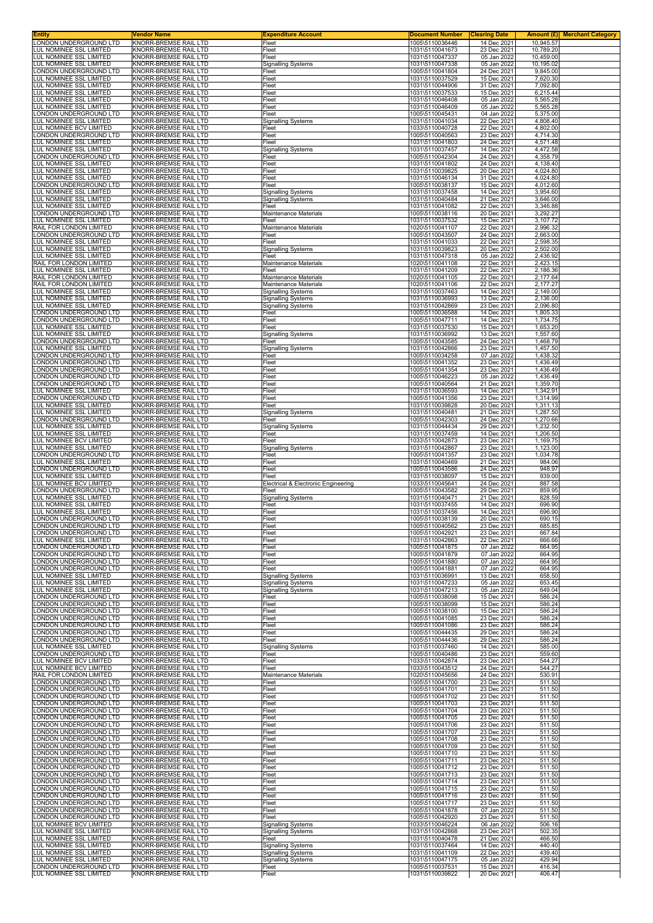| ONDON UNDERGROUND LTD                                          | <b>√endor Name</b><br>KNORR-BREMSE RAIL LTD                  | <b>Expenditure Account</b><br>Fleet                    | <b>Document Number</b><br>1005\5110036446 | <b>Clearing Date</b><br>14 Dec 2021 | Amount $(E)$<br>10,945.57 |
|----------------------------------------------------------------|--------------------------------------------------------------|--------------------------------------------------------|-------------------------------------------|-------------------------------------|---------------------------|
| <b>LUL NOMINEE SSL LIMITED</b>                                 | KNORR-BREMSE RAIL LTD                                        | Fleet                                                  | 1031\5110041673                           | 23 Dec 2021                         | 10,789.20                 |
| LUL NOMINEE SSL LIMITED                                        | KNORR-BREMSE RAIL LTD                                        | Fleet                                                  | 1031\5110047337                           | 05 Jan 2022                         | 10,459.00                 |
| <b>LUL NOMINEE SSL LIMITED</b><br>ONDON UNDERGROUND LTD        | KNORR-BREMSE RAIL LTD<br>KNORR-BREMSE RAIL LTD               | Signalling Systems<br>Fleet                            | 1031\5110047338<br>1005\5110041804        | 05 Jan 2022<br>24 Dec 2021          | 10,195.02<br>9,845.00     |
| <b>UL NOMINEE SSL LIMITED</b>                                  | KNORR-BREMSE RAIL LTD                                        | Fleet                                                  | 1031\5110037529                           | 15 Dec 2021                         | 7,620.30                  |
| <b>UL NOMINEE SSL LIMITED</b>                                  | KNORR-BREMSE RAIL LTD<br><b>KNORR-BREMSE RAIL LTD</b>        | Fleet                                                  | 1031\5110044906<br>1031\5110037533        | 31 Dec 2021<br>15 Dec 2021          | 7,092.80                  |
| <b>UL NOMINEE SSL LIMITED</b><br><b>UL NOMINEE SSL LIMITED</b> | KNORR-BREMSE RAIL LTD                                        | Fleet<br>Fleet                                         | 1031\5110046408                           | 05 Jan 2022                         | 6,215.44<br>5,565.28      |
| LUL NOMINEE SSL LIMITED                                        | KNORR-BREMSE RAIL LTD                                        | Fleet                                                  | 1031\5110046409                           | 05 Jan 2022                         | 5,565.28                  |
| ONDON UNDERGROUND LTD<br>UL NOMINEE SSL LIMITED                | KNORR-BREMSE RAIL LTD<br>KNORR-BREMSE RAIL LTD               | Fleet<br>Signalling Systems                            | 1005\5110045431<br>1031\5110041034        | 04 Jan 2022<br>22 Dec 2021          | 5,375.00<br>4,808.40      |
| UL NOMINEE BCV LIMITED                                         | KNORR-BREMSE RAIL LTD                                        | Fleet                                                  | 1033\5110040728                           | 22 Dec 2021                         | 4,802.00                  |
| ONDON UNDERGROUND LTD.<br><b>UL NOMINEE SSL LIMITED</b>        | KNORR-BREMSE RAIL LTD<br>KNORR-BREMSE RAIL LTD               | Fleet<br>Fleet                                         | 1005\5110040563<br>1031\5110041803        | 23 Dec 2021<br>24 Dec 2021          | 4,714.30<br>4,571.48      |
| <b>UL NOMINEE SSL LIMITED</b>                                  | KNORR-BREMSE RAIL LTD                                        | <b>Signalling Systems</b>                              | 1031\5110037457                           | 14 Dec 2021                         | 4,472.58                  |
| ONDON UNDERGROUND LTD<br><b>UL NOMINEE SSL LIMITED</b>         | KNORR-BREMSE RAIL LTD<br>KNORR-BREMSE RAIL LTD               | Fleet<br>Fleet                                         | 1005\5110042304<br>1031\5110041802        | 24 Dec 2021<br>24 Dec 2021          | 4,358.79<br>4,138.40      |
| <b>UL NOMINEE SSL LIMITED</b>                                  | KNORR-BREMSE RAIL LTD                                        | Fleet                                                  | 1031\5110039825                           | 20 Dec 2021                         | 4,024.80                  |
| <b>UL NOMINEE SSL LIMITED</b>                                  | <b>KNORR-BREMSE RAIL LTD</b><br><b>KNORR-BREMSE RAIL LTD</b> | Fleet                                                  | 1031\5110046134                           | 31 Dec 2021                         | 4,024.80                  |
| ONDON UNDERGROUND LTD<br><b>UL NOMINEE SSL LIMITED</b>         | KNORR-BREMSE RAIL LTD                                        | Fleet<br>Signalling Systems                            | 1005\5110038137<br>1031\5110037458        | 15 Dec 2021<br>14 Dec 2021          | 4,012.60<br>3,954.60      |
| LUL NOMINEE SSL LIMITED                                        | KNORR-BREMSE RAIL LTD                                        | Signalling Systems                                     | 1031\5110040484                           | 21 Dec 2021                         | 3,646.00                  |
| LUL NOMINEE SSL LIMITED<br>ONDON UNDERGROUND LTD               | KNORR-BREMSE RAIL LTD<br>KNORR-BREMSE RAIL LTD               | Fleet<br>Maintenance Materials                         | 1031\5110041082<br>1005\5110038116        | 22 Dec 2021<br>20 Dec 2021          | 3,346.88<br>3,292.27      |
| UL NOMINEE SSL LIMITED                                         | KNORR-BREMSE RAIL LTD                                        | Fleet                                                  | 1031\5110037532                           | 15 Dec 2021                         | 3,107.72                  |
| RAIL FOR LONDON LIMITED<br>ONDON UNDERGROUND LTD               | KNORR-BREMSE RAIL LTD<br>KNORR-BREMSE RAIL LTD               | Maintenance Materials<br>Fleet                         | 1020\5110041107<br>1005\5110043507        | 22 Dec 2021<br>24 Dec 2021          | 2,996.32<br>2,663.00      |
| <b>UL NOMINEE SSL LIMITED</b>                                  | KNORR-BREMSE RAIL LTD                                        | Fleet                                                  | 1031\5110041033                           | 22 Dec 2021                         | 2,598.35                  |
| LUL NOMINEE SSL LIMITED<br><b>UL NOMINEE SSL LIMITED</b>       | KNORR-BREMSE RAIL LTD<br>KNORR-BREMSE RAIL LTD               | <b>Signalling Systems</b><br>Fleet                     | 1031\5110039823<br>1031\5110047318        | 20 Dec 2021<br>05 Jan 2022          | 2,502.00<br>2.436.92      |
| RAIL FOR LONDON LIMITED                                        | KNORR-BREMSE RAIL LTD                                        | <b>Maintenance Materials</b>                           | 1020\5110041108                           | 22 Dec 2021                         | 2,423.15                  |
| LUL NOMINEE SSL LIMITED                                        | KNORR-BREMSE RAIL LTD<br>KNORR-BREMSE RAIL LTD               | Fleet                                                  | 1031\5110041209                           | 22 Dec 2021<br>22 Dec 2021          | 2,186.36                  |
| RAIL FOR LONDON LIMITED<br>RAIL FOR LONDON LIMITED             | KNORR-BREMSE RAIL LTD                                        | Maintenance Materials<br>Maintenance Materials         | 1020\5110041105<br>1020\5110041106        | 22 Dec 2021                         | 2,177.64<br>2,177.27      |
| <b>UL NOMINEE SSL LIMITED</b>                                  | KNORR-BREMSE RAIL LTD                                        | <b>Signalling Systems</b>                              | 1031\5110037463                           | 14 Dec 2021                         | 2,149.00                  |
| UL NOMINEE SSL LIMITED<br>LUL NOMINEE SSL LIMITED              | KNORR-BREMSE RAIL LTD<br>KNORR-BREMSE RAIL LTD               | <b>Signalling Systems</b><br><b>Signalling Systems</b> | 1031\5110036993<br>1031\5110042869        | 13 Dec 2021<br>23 Dec 2021          | 2,136.00<br>2,096.80      |
| ONDON UNDERGROUND LTD                                          | <b>KNORR-BREMSE RAIL LTD</b>                                 | Fleet                                                  | 1005\5110036588                           | 14 Dec 2021                         | 1,805.33                  |
| ONDON UNDERGROUND LTD<br><b>LUL NOMINEE SSL LIMITED</b>        | KNORR-BREMSE RAIL LTD<br>KNORR-BREMSE RAIL LTD               | Fleet<br>Fleet                                         | 1005\5110047711<br>1031\5110037530        | 14 Dec 2021<br>15 Dec 2021          | 1,734.75<br>1,653.20      |
| UL NOMINEE SSL LIMITED                                         | KNORR-BREMSE RAIL LTD                                        | Signalling Systems                                     | 1031\5110036992                           | 13 Dec 2021                         | 1,557.60                  |
| ONDON UNDERGROUND LTD                                          | KNORR-BREMSE RAIL LTD                                        | Fleet                                                  | 1005\5110043585                           | 24 Dec 2021                         | 1,468.79                  |
| <b>UL NOMINEE SSL LIMITED</b><br>ONDON UNDERGROUND LTD         | KNORR-BREMSE RAIL LTD<br><b>KNORR-BREMSE RAIL LTD</b>        | Signalling Systems<br>Fleet                            | 1031\5110042866<br>1005\5110034258        | 23 Dec 2021<br>07 Jan 2022          | 1,457.50<br>1,438.32      |
| ONDON UNDERGROUND LTD                                          | KNORR-BREMSE RAIL LTD                                        | Fleet                                                  | 1005\5110041352                           | 23 Dec 2021                         | 1,436.49                  |
| ONDON UNDERGROUND LTD<br>ONDON UNDERGROUND LTD                 | KNORR-BREMSE RAIL LTD<br>KNORR-BREMSE RAIL LTD               | Fleet<br>Fleet                                         | 1005\5110041354<br>1005\5110046223        | 23 Dec 2021<br>05 Jan 2022          | 1,436.49<br>1,436.49      |
| ONDON UNDERGROUND LTD.                                         | KNORR-BREMSE RAIL LTD                                        | Fleet                                                  | 1005\5110040564                           | 21 Dec 2021                         | 1,359.70                  |
| <b>UL NOMINEE SSL LIMITED</b><br>ONDON UNDERGROUND LTD         | KNORR-BREMSE RAIL LTD<br>KNORR-BREMSE RAIL LTD               | Fleet<br>Fleet                                         | 1031\5110036593<br>1005\5110041356        | 14 Dec 2021<br>23 Dec 2021          | 1,342.91<br>1,314.99      |
| LUL NOMINEE SSL LIMITED                                        | KNORR-BREMSE RAIL LTD                                        | Fleet                                                  | 1031\5110039828                           | 20 Dec 2021                         | 1,311.13                  |
| <b>LUL NOMINEE SSL LIMITED</b><br>ONDON UNDERGROUND LTD        | KNORR-BREMSE RAIL LTD<br>KNORR-BREMSE RAIL LTD               | <b>Signalling Systems</b><br>Fleet                     | 1031\5110040481<br>1005\5110042303        | 21 Dec 2021<br>24 Dec 2021          | 1,287.50<br>1,270.66      |
| <b>LUL NOMINEE SSL LIMITED</b>                                 | KNORR-BREMSE RAIL LTD                                        | Signalling Systems                                     | 1031\5110044434                           | 29 Dec 2021                         | 1,232.50                  |
| UL NOMINEE SSL LIMITED                                         | KNORR-BREMSE RAIL LTD                                        | Fleet                                                  | 1031\5110037459                           | 14 Dec 2021                         | 1,206.50                  |
| <b>LUL NOMINEE BCV LIMITED</b><br>LUL NOMINEE SSL LIMITED      | KNORR-BREMSE RAIL LTD<br>KNORR-BREMSE RAIL LTD               | Fleet<br><b>Signalling Systems</b>                     | 1033\5110042873<br>1031\5110042867        | 23 Dec 2021<br>23 Dec 2021          | 1,169.75<br>1,123.00      |
| ONDON UNDERGROUND LTD                                          | KNORR-BREMSE RAIL LTD                                        | Fleet                                                  | 1005\5110041357                           | 23 Dec 2021                         | 1,034.78                  |
|                                                                | KNORR-BREMSE RAIL LTD                                        | Fleet                                                  | 1031\5110040469                           | 21 Dec 2021                         | 984.06                    |
| <b>LUL NOMINEE SSL LIMITED</b>                                 |                                                              |                                                        |                                           |                                     |                           |
| ONDON UNDERGROUND LTD<br>UL NOMINEE SSL LIMITED                | KNORR-BREMSE RAIL LTD<br>KNORR-BREMSE RAIL LTD               | Fleet<br>Fleet                                         | 1005\5110043586<br>1031\5110038097        | 24 Dec 2021<br>15 Dec 2021          | 948.97<br>939.00          |
| <b>LUL NOMINEE BCV LIMITED</b>                                 | KNORR-BREMSE RAIL LTD                                        | Electrical & Electronic Engineering                    | 1033\5110045641                           | 24 Dec 2021                         | 887.58                    |
| ONDON UNDERGROUND LTD<br><b>LUL NOMINEE SSL LIMITED</b>        | KNORR-BREMSE RAIL LTD<br>KNORR-BREMSE RAIL LTD               | Fleet<br>Signalling Systems                            | 1005\5110043582<br>1031\5110040471        | 29 Dec 2021<br>21 Dec 2021          | 859.95<br>828.59          |
| LUL NOMINEE SSL LIMITED                                        | KNORR-BREMSE RAIL LTD                                        | Fleet                                                  | 1031\5110037455                           | 14 Dec 2021                         | 696.90                    |
| <b>LUL NOMINEE SSL LIMITED</b><br>ONDON UNDERGROUND LTD        | KNORR-BREMSE RAIL LTD<br>KNORR-BREMSE RAIL LTD               | Fleet<br>Fleet                                         | 1031\5110037456<br>1005\5110038139        | 14 Dec 2021<br>20 Dec 2021          | 696.90<br>690.15          |
| LONDON UNDERGROUND LTD                                         | KNORR-BREMSE RAIL LTD                                        | Fleet                                                  | 1005\5110040562                           | 23 Dec 2021                         | 685.85                    |
| ONDON UNDERGROUND LTD.<br>LUL NOMINEE SSL LIMITED              | KNORR-BREMSE RAIL LTD<br>KNORR-BREMSE RAIL LTD               | Fleet                                                  | 1005\5110042921                           | 23 Dec 2021                         | 667.84                    |
| ONDON UNDERGROUND LTD                                          | KNORR-BREMSE RAIL LTD                                        | Fleet<br>Fleet                                         | 1031\5110042863<br>1005\5110041875        | 22 Dec 2021<br>07 Jan 2022          | 666.66<br>664.95          |
| ONDON UNDERGROUND LTD                                          | KNORR-BREMSE RAIL LTD                                        | Fleet                                                  | 1005\5110041879                           | 07 Jan 2022                         | 664.95                    |
| ONDON UNDERGROUND LTD<br>ONDON UNDERGROUND LTD                 | KNORR-BREMSE RAIL LTD<br>KNORR-BREMSE RAIL LTD               | Fleet<br>Fleet                                         | 1005\5110041880<br>1005\5110041881        | 07 Jan 2022<br>07 Jan 2022          | 664.95<br>664.95          |
| UL NOMINEE SSL LIMITED                                         | KNORR-BREMSE RAIL LTD                                        | <b>Signalling Systems</b>                              | 1031\5110036991                           | 13 Dec 2021                         | 658.50                    |
| LUL NOMINEE SSL LIMITED<br>LUL NOMINEE SSL LIMITED             | KNORR-BREMSE RAIL LTD<br>KNORR-BREMSE RAIL LTD               | <b>Signalling Systems</b><br><b>Signalling Systems</b> | 1031\5110047233<br>1031\5110047213        | 05 Jan 2022<br>05 Jan 2022          | 653.45<br>649.04          |
| ONDON UNDERGROUND LTD                                          | KNORR-BREMSE RAIL LTD                                        | Fleet                                                  | 1005\5110038098                           | 15 Dec 2021                         | 586.24                    |
| ONDON UNDERGROUND LTD.<br>ONDON UNDERGROUND LTD                | KNORR-BREMSE RAIL LTD<br>KNORR-BREMSE RAIL LTD               | Fleet<br>Fleet                                         | 1005\5110038099<br>1005\5110038100        | 15 Dec 2021<br>15 Dec 2021          | 586.24<br>586.24          |
| ONDON UNDERGROUND LTD                                          | KNORR-BREMSE RAIL LTD                                        | Fleet                                                  | 1005\5110041085                           | 23 Dec 2021                         | 586.24                    |
| ONDON UNDERGROUND LTD<br>ONDON UNDERGROUND LTD                 | KNORR-BREMSE RAIL LTD<br>KNORR-BREMSE RAIL LTD               | Fleet<br>Fleet                                         | 1005\5110041086<br>1005\5110044435        | 23 Dec 2021<br>29 Dec 2021          | 586.24<br>586.24          |
| ONDON UNDERGROUND LTD                                          | KNORR-BREMSE RAIL LTD                                        | Fleet                                                  | 1005\5110044436                           | 29 Dec 2021                         | 586.24                    |
| UL NOMINEE SSL LIMITED<br>ONDON UNDERGROUND LTD                | KNORR-BREMSE RAIL LTD<br>KNORR-BREMSE RAIL LTD               | <b>Signalling Systems</b><br>Fleet                     | 1031\5110037460<br>1005\5110040486        | 14 Dec 2021<br>23 Dec 2021          | 585.00<br>559.60          |
| <b>UL NOMINEE BCV LIMITED</b>                                  | KNORR-BREMSE RAIL LTD                                        | Fleet                                                  | 1033\5110042874                           | 23 Dec 2021                         | 544.27                    |
| LUL NOMINEE BCV LIMITED<br>RAIL FOR LONDON LIMITED             | KNORR-BREMSE RAIL LTD<br>KNORR-BREMSE RAIL LTD               | Fleet<br>Maintenance Materials                         | 1033\5110043512<br>1020\5110045656        | 24 Dec 2021<br>24 Dec 2021          | 544.27<br>530.91          |
| LONDON UNDERGROUND LTD                                         | KNORR-BREMSE RAIL LTD                                        | Fleet                                                  | 1005\5110041700                           | 23 Dec 2021                         | 511.50                    |
| ONDON UNDERGROUND LTD                                          | KNORR-BREMSE RAIL LTD                                        | Fleet                                                  | 1005\5110041701                           | 23 Dec 2021                         | 511.50                    |
| ONDON UNDERGROUND LTD<br>ONDON UNDERGROUND LTD                 | KNORR-BREMSE RAIL LTD<br>KNORR-BREMSE RAIL LTD               | Fleet<br>Fleet                                         | 1005\5110041702<br>1005\5110041703        | 23 Dec 2021<br>23 Dec 2021          | 511.50<br>511.50          |
| ONDON UNDERGROUND LTD                                          | KNORR-BREMSE RAIL LTD                                        | Fleet                                                  | 1005\5110041704                           | 23 Dec 2021                         | 511.50                    |
| ONDON UNDERGROUND LTD<br>ONDON UNDERGROUND LTD                 | KNORR-BREMSE RAIL LTD<br>KNORR-BREMSE RAIL LTD               | Fleet<br>Fleet                                         | 1005\5110041705<br>1005\5110041706        | 23 Dec 2021<br>23 Dec 2021          | 511.50<br>511.50          |
| ONDON UNDERGROUND LTD                                          | KNORR-BREMSE RAIL LTD                                        | Fleet                                                  | 1005\5110041707                           | 23 Dec 2021                         | 511.50                    |
| ONDON UNDERGROUND LTD<br>ONDON UNDERGROUND LTD                 | KNORR-BREMSE RAIL LTD<br>KNORR-BREMSE RAIL LTD               | Fleet<br>Fleet                                         | 1005\5110041708<br>1005\5110041709        | 23 Dec 2021<br>23 Dec 2021          | 511.50<br>511.50          |
| ONDON UNDERGROUND LTD.                                         | KNORR-BREMSE RAIL LTD                                        | Fleet                                                  | 1005\5110041710                           | 23 Dec 2021                         | 511.50                    |
| ONDON UNDERGROUND LTD<br>ONDON UNDERGROUND LTD                 | KNORR-BREMSE RAIL LTD<br>KNORR-BREMSE RAIL LTD               | Fleet<br>Fleet                                         | 1005\5110041711<br>1005\5110041712        | 23 Dec 2021<br>23 Dec 2021          | 511.50<br>511.50          |
| ONDON UNDERGROUND LTD                                          | KNORR-BREMSE RAIL LTD                                        | Fleet                                                  | 1005\5110041713                           | 23 Dec 2021                         | 511.50                    |
| ONDON UNDERGROUND LTD.<br>ONDON UNDERGROUND LTD                | KNORR-BREMSE RAIL LTD<br>KNORR-BREMSE RAIL LTD               | Fleet<br>Fleet                                         | 1005\5110041714<br>1005\5110041715        | 23 Dec 2021<br>23 Dec 2021          | 511.50<br>511.50          |
| ONDON UNDERGROUND LTD                                          | KNORR-BREMSE RAIL LTD                                        | Fleet                                                  | 1005\5110041716                           | 23 Dec 2021                         | 511.50                    |
| ONDON UNDERGROUND LTD                                          | <b>KNORR-BREMSE RAIL LTD</b>                                 | Fleet                                                  | 1005\5110041717                           | 23 Dec 2021                         | 511.50                    |
| ONDON UNDERGROUND LTD<br>ONDON UNDERGROUND LTD                 | KNORR-BREMSE RAIL LTD<br>KNORR-BREMSE RAIL LTD               | Fleet<br>Fleet                                         | 1005\5110041878<br>1005\5110042920        | 07 Jan 2022<br>23 Dec 2021          | 511.50<br>511.50          |
| <b>LUL NOMINEE BCV LIMITED</b>                                 | KNORR-BREMSE RAIL LTD                                        | <b>Signalling Systems</b>                              | 1033\5110046224                           | 06 Jan 2022                         | 506.16                    |
| <b>UL NOMINEE SSL LIMITED</b><br><b>UL NOMINEE SSL LIMITED</b> | KNORR-BREMSE RAIL LTD<br>KNORR-BREMSE RAIL LTD               | <b>Signalling Systems</b><br>Fleet                     | 1031\5110042868<br>1031\5110040478        | 23 Dec 2021<br>21 Dec 2021          | 502.35<br>466.50          |
| LUL NOMINEE SSL LIMITED                                        | KNORR-BREMSE RAIL LTD                                        | <b>Signalling Systems</b>                              | 1031\5110037464                           | 14 Dec 2021                         | 440.40                    |
| LUL NOMINEE SSL LIMITED<br>LUL NOMINEE SSL LIMITED             | KNORR-BREMSE RAIL LTD<br>KNORR-BREMSE RAIL LTD               | Signalling Systems<br>Signalling Systems               | 1031\5110041109<br>1031\5110047175        | 22 Dec 2021<br>05 Jan 2022          | 439.40<br>429.94          |
| ONDON UNDERGROUND LTD<br>LUL NOMINEE SSL LIMITED               | <b>KNORR-BREMSE RAIL LTD</b><br>KNORR-BREMSE RAIL LTD        | Fleet<br>Fleet                                         | 1005\5110037531<br>1031\5110039822        | 15 Dec 2021<br>20 Dec 2021          | 416.34<br>406.47          |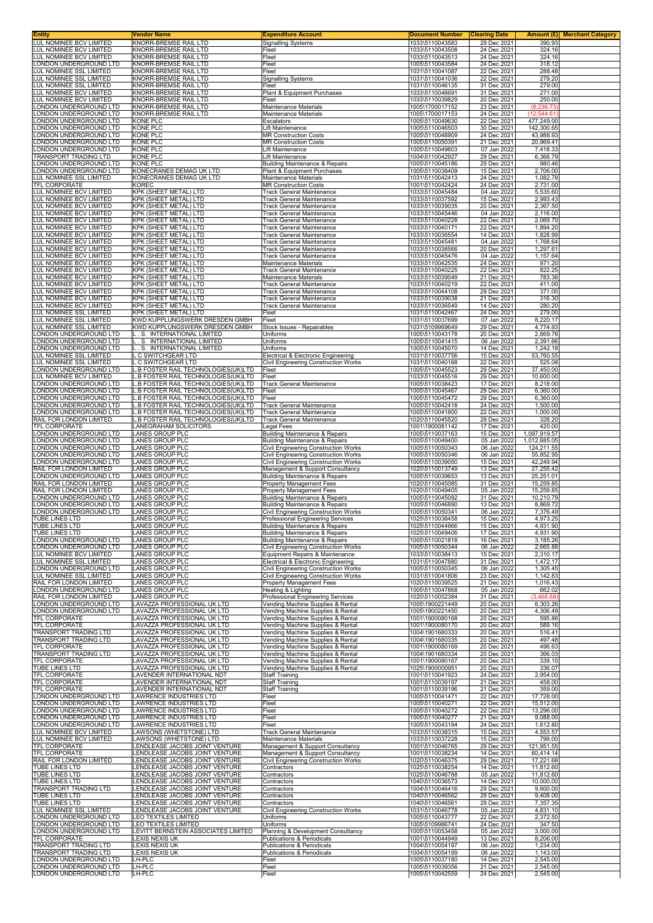| <b>Entity</b>                                             | <b>Vendor Name</b><br>KNORR-BREMSE RAIL LTD                                | <b>Expenditure Account</b><br><b>Signalling Systems</b>                     | <b>Document Number</b>             | <b>Clearing Date</b>       | Amount (£) <br><b>Merchant Category</b><br>390.93 |
|-----------------------------------------------------------|----------------------------------------------------------------------------|-----------------------------------------------------------------------------|------------------------------------|----------------------------|---------------------------------------------------|
| LUL NOMINEE BCV LIMITED<br>LUL NOMINEE BCV LIMITED        | KNORR-BREMSE RAIL LTD                                                      | Fleet                                                                       | 1033\5110043583<br>1033\5110043508 | 29 Dec 2021<br>24 Dec 2021 | 324.16                                            |
| LUL NOMINEE BCV LIMITED                                   | KNORR-BREMSE RAIL LTD                                                      | Fleet                                                                       | 1033\5110043513                    | 24 Dec 2021                | 324.16                                            |
| LONDON UNDERGROUND LTD<br>LUL NOMINEE SSL LIMITED         | <b>KNORR-BREMSE RAIL LTD</b><br>KNORR-BREMSE RAIL LTD                      | Fleet<br>Fleet                                                              | 1005\5110043584<br>1031\5110041087 | 24 Dec 2021<br>22 Dec 2021 | 318.12<br>288.48                                  |
| LUL NOMINEE SSL LIMITED                                   | KNORR-BREMSE RAIL LTD                                                      | <b>Signalling Systems</b>                                                   | 1031\5110041036                    | 22 Dec 2021                | 279.20                                            |
| LUL NOMINEE SSL LIMITED                                   | KNORR-BREMSE RAIL LTD<br><b>KNORR-BREMSE RAIL LTD</b>                      | Fleet                                                                       | 1031\5110046135                    | 31 Dec 2021<br>31 Dec 2021 | 279.00<br>271.00                                  |
| LUL NOMINEE BCV LIMITED<br>LUL NOMINEE BCV LIMITED        | <b>KNORR-BREMSE RAIL LTD</b>                                               | Plant & Equipment Purchases<br>Fleet                                        | 1033\5110046691<br>1033\5110039829 | 20 Dec 2021                | 250.00                                            |
| ONDON UNDERGROUND LTD                                     | KNORR-BREMSE RAIL LTD                                                      | Maintenance Materials                                                       | 1005\1700017152                    | 23 Dec 2021                | (8, 236.73)                                       |
| ONDON UNDERGROUND LTD<br>ONDON UNDERGROUND LTD            | <b>KNORR-BREMSE RAIL LTD</b><br><b>KONE PLC</b>                            | <b>Maintenance Materials</b><br>Escalators                                  | 1005\1700017153<br>1005\5110049630 | 24 Dec 2021<br>22 Dec 2021 | (12, 544.61)<br>477,249.00                        |
| ONDON UNDERGROUND LTD                                     | <b>KONE PLC</b>                                                            | Lift Maintenance                                                            | 1005\5110046503                    | 30 Dec 2021                | 142,300.65                                        |
| ONDON UNDERGROUND LTD.<br>ONDON UNDERGROUND LTD           | <b>KONE PLC</b><br><b>KONE PLC</b>                                         | <b>MR Construction Costs</b><br><b>MR Construction Costs</b>                | 1005\5110048909<br>1005\5110050391 | 24 Dec 2021<br>21 Dec 2021 | 43,988.93<br>20,969.41                            |
| ONDON UNDERGROUND LTD                                     | <b>KONE PLC</b>                                                            | Lift Maintenance                                                            | 1005\5110049603                    | 07 Jan 2022                | 7,418.33                                          |
| TRANSPORT TRADING LTD                                     | KONE PLC                                                                   | Lift Maintenance                                                            | 1004\5110042927                    | 29 Dec 2021                | 6,368.79                                          |
| LONDON UNDERGROUND LTD<br>ONDON UNDERGROUND LTD           | KONE PLC<br>KONECRANES DEMAG UK LTD                                        | <b>Building Maintenance &amp; Repairs</b><br>Plant & Equipment Purchases    | 1005\5110045186<br>1005\5110038409 | 29 Dec 2021<br>15 Dec 2021 | 980.46<br>2,706.00                                |
| LUL NOMINEE SSL LIMITED                                   | KONECRANES DEMAG UK LTD                                                    | Maintenance Materials                                                       | 1031\5110042413                    | 24 Dec 2021                | 1,082.78                                          |
| TFL CORPORATE<br>LUL NOMINEE BCV LIMITED                  | <b>KOREC</b><br>KPK (SHEET METAL) LTD                                      | <b>MR Construction Costs</b><br>Track General Maintenance                   | 1001\5110042424<br>1033\5110045484 | 24 Dec 2021<br>04 Jan 2022 | 2,731.00<br>5,535.60                              |
| LUL NOMINEE BCV LIMITED                                   | KPK (SHEET METAL) LTD                                                      | Track General Maintenance                                                   | 1033\5110037592                    | 15 Dec 2021                | 2,993.43                                          |
| LUL NOMINEE BCV LIMITED                                   | KPK (SHEET METAL) LTD                                                      | Track General Maintenance                                                   | 1033\5110039035                    | 20 Dec 2021                | 2,367.50                                          |
| LUL NOMINEE BCV LIMITED<br>LUL NOMINEE BCV LIMITED        | KPK (SHEET METAL) LTD<br>KPK (SHEET METAL) LTD                             | <b>Track General Maintenance</b><br><b>Track General Maintenance</b>        | 1033\5110045446<br>1033\5110040228 | 04 Jan 2022<br>22 Dec 2021 | 2,116.00<br>2,069.70                              |
| LUL NOMINEE BCV LIMITED                                   | KPK (SHEET METAL) LTD                                                      | <b>Track General Maintenance</b>                                            | 1033\5110040171                    | 22 Dec 2021                | 1,894.20                                          |
| LUL NOMINEE BCV LIMITED<br>LUL NOMINEE BCV LIMITED        | KPK (SHEET METAL) LTD<br>KPK (SHEET METAL) LTD                             | Track General Maintenance<br>Track General Maintenance                      | 1033\5110036554<br>1033\5110045481 | 14 Dec 2021<br>04 Jan 2022 | 1,828.99<br>1,768.64                              |
| LUL NOMINEE BCV LIMITED                                   | KPK (SHEET METAL) LTD                                                      | Track General Maintenance                                                   | 1033\5110038566                    | 20 Dec 2021                | 1.297.61                                          |
| LUL NOMINEE BCV LIMITED                                   | KPK (SHEET METAL) LTD                                                      | Track General Maintenance<br>Maintenance Materials                          | 1033\5110045476                    | 04 Jan 2022                | 1,157.64                                          |
| LUL NOMINEE BCV LIMITED<br>LUL NOMINEE BCV LIMITED        | KPK (SHEET METAL) LTD<br>KPK (SHEET METAL) LTD                             | <b>Track General Maintenance</b>                                            | 1033\5110042535<br>1033\5110040225 | 24 Dec 2021<br>22 Dec 2021 | 971.20<br>822.25                                  |
| LUL NOMINEE BCV LIMITED                                   | KPK (SHEET METAL) LTD                                                      | Maintenance Materials                                                       | 1033\5110039049                    | 21 Dec 2021                | 783.36                                            |
| LUL NOMINEE BCV LIMITED<br>LUL NOMINEE BCV LIMITED        | KPK (SHEET METAL) LTD<br>KPK (SHEET METAL) LTD                             | Track General Maintenance<br>Track General Maintenance                      | 1033\5110040219<br>1033\5110044108 | 22 Dec 2021<br>29 Dec 2021 | 411.00<br>371.00                                  |
| LUL NOMINEE BCV LIMITED                                   | KPK (SHEET METAL) LTD                                                      | <b>Track General Maintenance</b>                                            | 1033\5110039038                    | 21 Dec 2021                | 316.30                                            |
| LUL NOMINEE BCV LIMITED<br><b>LUL NOMINEE SSL LIMITED</b> | KPK (SHEET METAL) LTD<br><b>KPK (SHEET METAL) LTD</b>                      | <b>Track General Maintenance</b>                                            | 1033\5110036549                    | 14 Dec 2021                | 280.20                                            |
| LUL NOMINEE SSL LIMITED                                   | KWD KUPPLUNGSWERK DRESDEN GMBH                                             | Fleet<br>Fleet                                                              | 1031\5110042467<br>1031\5110037699 | 24 Dec 2021<br>07 Jan 2022 | 279.00<br>8,220.17                                |
| LUL NOMINEE SSL LIMITED                                   | KWD KUPPLUNGSWERK DRESDEN GMBH                                             | Stock Issues - Repairables                                                  | 1031\5109969649                    | 29 Dec 2021                | 4,774.93                                          |
| LONDON UNDERGROUND LTD<br>ONDON UNDERGROUND LTD           | L. S. INTERNATIONAL LIMITED<br>L. S. INTERNATIONAL LIMITED                 | Uniforms<br>Uniforms                                                        | 1005\5110043178<br>1005\5110041415 | 20 Dec 2021<br>06 Jan 2022 | 2,669.76<br>2,391.66                              |
| ONDON UNDERGROUND LTD                                     | L. S. INTERNATIONAL LIMITED                                                | Uniforms                                                                    | 1005\5110045070                    | 14 Dec 2021                | 1,242.18                                          |
| LUL NOMINEE SSL LIMITED                                   | L C SWITCHGEAR LTD                                                         | Electrical & Electronic Engineering                                         | 1031\5110037756                    | 15 Dec 2021                | 53,760.55                                         |
| LUL NOMINEE SSL LIMITED<br>ONDON UNDERGROUND LTD          | L C SWITCHGEAR LTD<br>L.B FOSTER RAIL TECHNOLOGIES(UK)LTD                  | Civil Engineering Construction Works<br>Fleet                               | 1031\5110040168<br>1005\5110045523 | 22 Dec 2021<br>29 Dec 2021 | 525.08<br>37,450.00                               |
| LUL NOMINEE BCV LIMITED                                   | L.B FOSTER RAIL TECHNOLOGIES(UK)LTD                                        | Fleet                                                                       | 1033\5110045516                    | 29 Dec 2021                | 10,600.00                                         |
| ONDON UNDERGROUND LTD<br>ONDON UNDERGROUND LTD            | L.B FOSTER RAIL TECHNOLOGIES(UK)LTD<br>L.B FOSTER RAIL TECHNOLOGIES(UK)LTD | <b>Track General Maintenance</b><br>Fleet                                   | 1005\5110038423<br>1005\5110045467 | 17 Dec 2021<br>29 Dec 2021 | 8,218.00<br>6,360.00                              |
| ONDON UNDERGROUND LTD                                     | L.B FOSTER RAIL TECHNOLOGIES(UK)LTD                                        | Fleet                                                                       | 1005\5110045472                    | 29 Dec 2021                | 6,360.00                                          |
| ONDON UNDERGROUND LTD                                     | L.B FOSTER RAIL TECHNOLOGIES(UK)LTD                                        | Track General Maintenance                                                   | 1005\5110042418                    | 24 Dec 2021                | 1,500.00                                          |
| ONDON UNDERGROUND LTD<br>RAIL FOR LONDON LIMITED          | L.B FOSTER RAIL TECHNOLOGIES(UK)LTD<br>L.B FOSTER RAIL TECHNOLOGIES(UK)LTD | Track General Maintenance<br><b>Track General Maintenance</b>               | 1005\5110041800<br>1020\5110045520 | 22 Dec 2021<br>29 Dec 2021 | 1,000.00<br>328.20                                |
| TFL CORPORATE                                             | LANEGRAHAM SOLICITORS                                                      | Legal Fees                                                                  | 1001\1900081142                    | 17 Dec 2021                | 420.00                                            |
| LONDON UNDERGROUND LTD<br>LONDON UNDERGROUND LTD          | LANES GROUP PLC<br><b>LANES GROUP PLC</b>                                  | Building Maintenance & Repairs<br><b>Building Maintenance &amp; Repairs</b> | 1005\5110037163<br>1005\5110049400 | 15 Dec 2021<br>05 Jan 2022 | 1,097,919.57<br>1,012,685.05                      |
| ONDON UNDERGROUND LTD.                                    | LANES GROUP PLC                                                            | <b>Civil Engineering Construction Works</b>                                 | 1005\5110050343                    | 06 Jan 2022                | 124,211.55                                        |
| LONDON UNDERGROUND LTD                                    | LANES GROUP PLC                                                            | Civil Engineering Construction Works                                        | 1005\5110050346                    | 06 Jan 2022                | 55,852.95                                         |
| ONDON UNDERGROUND LTD<br>RAIL FOR LONDON LIMITED          | LANES GROUP PLC<br>LANES GROUP PLC                                         | Civil Engineering Construction Works<br>Management & Support Consultancy    | 1005\5110039050<br>1020\5110013749 | 15 Dec 2021<br>13 Dec 2021 | 42,249.94<br>27,255.42                            |
| LONDON UNDERGROUND LTD                                    | LANES GROUP PLC                                                            | <b>Building Maintenance &amp; Repairs</b>                                   | 1005\5110039653                    | 13 Dec 2021                | 25,251.01                                         |
| RAIL FOR LONDON LIMITED<br>RAIL FOR LONDON LIMITED        | LANES GROUP PLC<br><b>LANES GROUP PLC</b>                                  | Property Management Fees<br><b>Property Management Fees</b>                 | 1020\5110045085<br>1020\5110049405 | 31 Dec 2021<br>05 Jan 2022 | 15,259.85<br>15,259.85                            |
| ONDON UNDERGROUND LTD                                     | LANES GROUP PLC                                                            | <b>Building Maintenance &amp; Repairs</b>                                   | 1005\5110045092                    | 31 Dec 2021                | 10,210.79                                         |
| ONDON UNDERGROUND LTD                                     | LANES GROUP PLC                                                            | <b>Building Maintenance &amp; Repairs</b>                                   | 1005\5110046890                    | 13 Dec 2021                | 8,869.72                                          |
| ONDON UNDERGROUND LTD<br>TUBE LINES LTD                   | <b>LANES GROUP PLC</b><br>LANES GROUP PLC                                  | Civil Engineering Construction Works<br>Professional Engineering Services   | 1005\5110050341<br>1025\5110038458 | 06 Jan 2022<br>15 Dec 2021 | 7,376.49<br>4,973.25                              |
| TUBE LINES LTD                                            | LANES GROUP PLC                                                            | Building Maintenance & Repairs                                              | 1025\5110044966                    | 15 Dec 2021                | 4.931.90                                          |
| TUBE LINES LTD<br>LONDON UNDERGROUND LTD                  | LANES GROUP PLC<br>LANES GROUP PLC                                         | Building Maintenance & Repairs<br>Building Maintenance & Repairs            | 1025\5110049406<br>1005\5110021818 | 17 Dec 2021<br>16 Dec 2021 | 4,931.90<br>3,185.26                              |
| LONDON UNDERGROUND LTD                                    | LANES GROUP PLC                                                            | Civil Engineering Construction Works                                        | 1005\5110050344                    | 06 Jan 2022                | 2,665.88                                          |
| LUL NOMINEE BCV LIMITED                                   | <b>LANES GROUP PLC</b>                                                     | Equipment Repairs & Maintenance                                             | 1033\5110038413                    | 15 Dec 2021                | 2,310.17                                          |
| LUL NOMINEE SSL LIMITED<br>LONDON UNDERGROUND LTD         | LANES GROUP PLC<br><b>LANES GROUP PLC</b>                                  | Electrical & Electronic Engineering<br>Civil Engineering Construction Works | 1031\5110047880<br>1005\5110050345 | 31 Dec 2021<br>06 Jan 2022 | 1,472.17<br>1,305.45                              |
| LUL NOMINEE SSL LIMITED                                   | LANES GROUP PLC                                                            | <b>Civil Engineering Construction Works</b>                                 | 1031\5110041806                    | 23 Dec 2021                | 1,142.83                                          |
| RAIL FOR LONDON LIMITED<br>LONDON UNDERGROUND LTD         | LANES GROUP PLC<br>LANES GROUP PLC                                         | <b>Property Management Fees</b><br>Heating & Lighting                       | 1020\5110039525<br>1005\5110047868 | 21 Dec 2021<br>05 Jan 2022 | 1,016.43<br>662.02                                |
| RAIL FOR LONDON LIMITED                                   | LANES GROUP PLC                                                            | Professional Engineering Services                                           | 1020\5110052384                    | 31 Dec 2021                | (3,466.68)                                        |
| LONDON UNDERGROUND LTD                                    | LAVAZZA PROFESSIONAL UK LTD                                                | Vending Machine Supplies & Rental<br>Vending Machine Supplies & Rental      | 1005\1900221449                    | 20 Dec 2021<br>20 Dec 2021 | 6,303.26                                          |
| LONDON UNDERGROUND LTD<br>TFL CORPORATE                   | LAVAZZA PROFESSIONAL UK LTD<br>LAVAZZA PROFESSIONAL UK LTD                 | Vending Machine Supplies & Rental                                           | 1005\1900221450<br>1001\1900080168 | 20 Dec 2021                | 4,306.49<br>595.86                                |
| TFL CORPORATE                                             | LAVAZZA PROFESSIONAL UK LTD                                                | Vending Machine Supplies & Rental                                           | 1001\1900080170                    | 20 Dec 2021                | 589.16                                            |
| TRANSPORT TRADING LTD<br><b>TRANSPORT TRADING LTD</b>     | LAVAZZA PROFESSIONAL UK LTD<br>LAVAZZA PROFESSIONAL UK LTD                 | Vending Machine Supplies & Rental<br>Vending Machine Supplies & Rental      | 1004\1901680333<br>1004\1901680335 | 20 Dec 2021<br>20 Dec 2021 | 516.41<br>497.48                                  |
| TFL CORPORATE                                             | LAVAZZA PROFESSIONAL UK LTD                                                | Vending Machine Supplies & Rental                                           | 1001\1900080169                    | 20 Dec 2021                | 496.63                                            |
| TRANSPORT TRADING LTD<br>TFL CORPORATE                    | LAVAZZA PROFESSIONAL UK LTD<br>LAVAZZA PROFESSIONAL UK LTD                 | Vending Machine Supplies & Rental<br>Vending Machine Supplies & Rental      | 1004\1901680334<br>1001\1900080167 | 20 Dec 2021<br>20 Dec 2021 | 366.03<br>339.10                                  |
| TUBE LINES LTD                                            | LAVAZZA PROFESSIONAL UK LTD                                                | Vending Machine Supplies & Rental                                           | 1025\1900000951                    | 20 Dec 2021                | 336.07                                            |
| TFL CORPORATE<br>TFL CORPORATE                            | LAVENDER INTERNATIONAL NDT<br>LAVENDER INTERNATIONAL NDT                   | <b>Staff Training</b><br>Staff Training                                     | 1001\5110041923<br>1001\5110039197 | 24 Dec 2021<br>21 Dec 2021 | 2,954.00<br>458.00                                |
| TFL CORPORATE                                             | LAVENDER INTERNATIONAL NDT                                                 | Staff Training                                                              | 1001\5110039196                    | 21 Dec 2021                | 359.00                                            |
| LONDON UNDERGROUND LTD                                    | LAWRENCE INDUSTRIES LTD                                                    | Fleet                                                                       | 1005\5110041471                    | 22 Dec 2021                | 17,728.00                                         |
| ONDON UNDERGROUND LTD<br>LONDON UNDERGROUND LTD           | LAWRENCE INDUSTRIES LTD<br><b>LAWRENCE INDUSTRIES LTD</b>                  | Fleet<br>Fleet                                                              | 1005\5110040271<br>1005\5110040272 | 22 Dec 2021<br>22 Dec 2021 | 15,512.00<br>13,296.00                            |
| LONDON UNDERGROUND LTD                                    | LAWRENCE INDUSTRIES LTD                                                    | Fleet                                                                       | 1005\5110040277                    | 21 Dec 2021                | 9,088.00                                          |
| ONDON UNDERGROUND LTD<br>LUL NOMINEE BCV LIMITED          | LAWRENCE INDUSTRIES LTD<br>LAWSONS (WHETSTONE) LTD                         | Fleet<br>Track General Maintenance                                          | 1005\5110043194<br>1033\5110038315 | 24 Dec 2021<br>15 Dec 2021 | 1,612.80<br>4,553.57                              |
| LUL NOMINEE BCV LIMITED                                   | LAWSONS (WHETSTONE) LTD                                                    | Maintenance Materials                                                       | 1033\5110037228                    | 15 Dec 2021                | 799.00                                            |
| TFL CORPORATE                                             | LENDLEASE JACOBS JOINT VENTURE                                             | Management & Support Consultancy                                            | 1001\5110046765                    | 29 Dec 2021                | 121,951.55                                        |
| TFL CORPORATE<br>RAIL FOR LONDON LIMITED                  | LENDLEASE JACOBS JOINT VENTURE<br>LENDLEASE JACOBS JOINT VENTURE           | Management & Support Consultancy<br>Civil Engineering Construction Works    | 1001\5110038234<br>1020\5110046375 | 14 Dec 2021<br>29 Dec 2021 | 60,414.14<br>17,221.68                            |
| TUBE LINES LTD                                            | LENDLEASE JACOBS JOINT VENTURE                                             | Contractors                                                                 | 1025\5110038254                    | 14 Dec 2021                | 11,812.60                                         |
| <b>TUBE LINES LTD</b><br>TUBE LINES LTD                   | LENDLEASE JACOBS JOINT VENTURE<br>LENDLEASE JACOBS JOINT VENTURE           | Contractors<br>Contractors                                                  | 1025\5110046788<br>1040\5110036573 | 05 Jan 2022<br>14 Dec 2021 | 11,812.60<br>10,000.00                            |
| TRANSPORT TRADING LTD                                     | LENDLEASE JACOBS JOINT VENTURE                                             | Contractors                                                                 | 1004\5110046416                    | 29 Dec 2021                | 9,600.00                                          |
| TUBE LINES LTD                                            | LENDLEASE JACOBS JOINT VENTURE                                             | Contractors                                                                 | 1040\5110046562                    | 29 Dec 2021                | 9,408.00                                          |
| TUBE LINES LTD<br>LUL NOMINEE SSL LIMITED                 | LENDLEASE JACOBS JOINT VENTURE<br>LENDLEASE JACOBS JOINT VENTURE           | Contractors<br>Civil Engineering Construction Works                         | 1040\5110046561<br>1031\5110046778 | 29 Dec 2021<br>05 Jan 2022 | 7,357.35<br>4,831.10                              |
| LONDON UNDERGROUND LTD                                    | LEO TEXTILES LIMITED                                                       | Uniforms                                                                    | 1005\5110043777                    | 22 Dec 2021                | 2,372.50                                          |
| ONDON UNDERGROUND LTD<br>LONDON UNDERGROUND LTD           | LEO TEXTILES LIMITED<br>LEVITT BERNSTEIN ASSOCIATES LIMITED                | Uniforms<br>Planning & Development Consultancy                              | 1005\5109986741<br>1005\5110053458 | 24 Dec 2021<br>05 Jan 2022 | 347.50<br>3,000.00                                |
| TFL CORPORATE                                             | LEXIS NEXIS UK                                                             | Publications & Periodicals                                                  | 1001\5110044949                    | 13 Dec 2021                | 8,206.00                                          |
| TRANSPORT TRADING LTD                                     | LEXIS NEXIS UK                                                             | <b>Publications &amp; Periodicals</b>                                       | 1004\5110054197                    | 06 Jan 2022                | 1,234.00                                          |
| TRANSPORT TRADING LTD<br>LONDON UNDERGROUND LTD           | LEXIS NEXIS UK<br>LH-PLC                                                   | Publications & Periodicals<br>Fleet                                         | 1004\5110054199<br>1005\5110037180 | 06 Jan 2022<br>14 Dec 2021 | 1,143.00<br>2,545.00                              |
| ONDON UNDERGROUND LTD                                     | LH-PLC                                                                     | Fleet                                                                       | 1005\5110039356                    | 21 Dec 2021                | 2,545.00                                          |
| LONDON UNDERGROUND LTD                                    | LH-PLC                                                                     | Fleet                                                                       | 1005\5110042559                    | 24 Dec 2021                | 2,545.00                                          |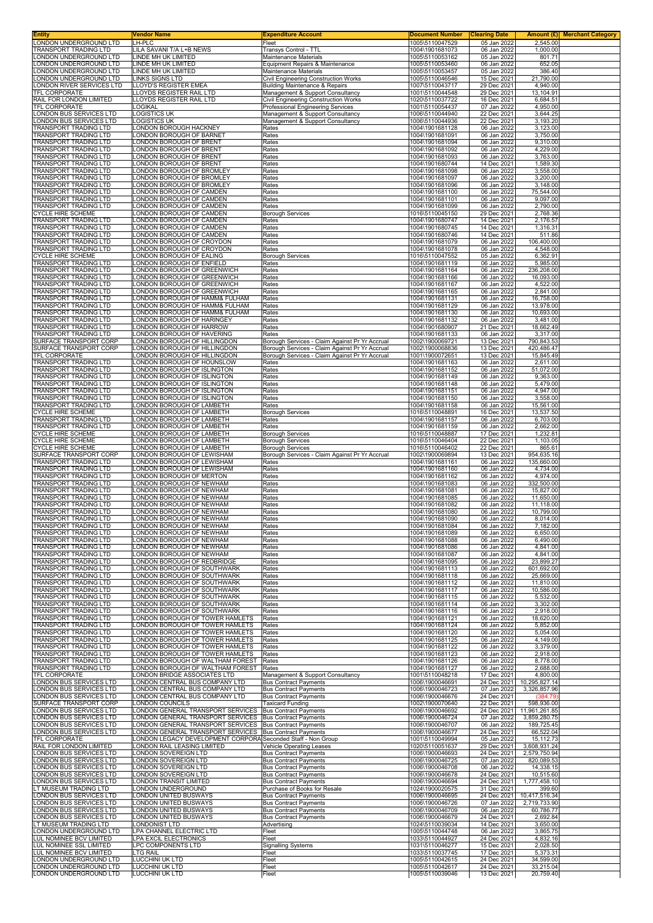| <b>Entity</b>                                         | Vendor Name                                                                                                          | <b>Expenditure Account</b>                                                                       | Document Number                    | <b>Clearing Date</b>       |                               | <b>Amount (£)</b> Merchant Category |
|-------------------------------------------------------|----------------------------------------------------------------------------------------------------------------------|--------------------------------------------------------------------------------------------------|------------------------------------|----------------------------|-------------------------------|-------------------------------------|
| LONDON UNDERGROUND LTD<br>TRANSPORT TRADING LTD       | LH-PLC<br>LILA SAVANI T/A L+B NEWS                                                                                   | Fleet<br>Transys Control - TTL                                                                   | 1005\5110047529<br>1004\1901681073 | 05 Jan 2022<br>06 Jan 2022 | 2,545.00<br>1.000.00          |                                     |
| LONDON UNDERGROUND LTD                                | LINDE MH UK LIMITED                                                                                                  | Maintenance Materials                                                                            | 1005\5110053162                    | 05 Jan 2022                | 801.71                        |                                     |
| LONDON UNDERGROUND LTD<br>LONDON UNDERGROUND LTD      | LINDE MH UK LIMITED<br>LINDE MH UK LIMITED                                                                           | Equipment Repairs & Maintenance<br>Maintenance Materials                                         | 1005\5110053460<br>1005\5110053457 | 06 Jan 2022<br>05 Jan 2022 | 652.05<br>386.40              |                                     |
| LONDON UNDERGROUND LTD                                | <b>LINKS SIGNS LTD</b>                                                                                               | Civil Engineering Construction Works                                                             | 1005\5110046546                    | 15 Dec 2021                | 21,790.00                     |                                     |
| LONDON RIVER SERVICES LTD                             | LLOYD'S REGISTER EMEA                                                                                                | <b>Building Maintenance &amp; Repairs</b>                                                        | 1007\5110043717                    | 29 Dec 2021                | 4,940.00                      |                                     |
| TFL CORPORATE<br>RAIL FOR LONDON LIMITED              | LLOYDS REGISTER RAIL LTD<br>LLOYDS REGISTER RAIL LTD                                                                 | Management & Support Consultancy<br>Civil Engineering Construction Works                         | 1001\5110044548<br>1020\5110037722 | 29 Dec 2021<br>16 Dec 2021 | 13,104.91<br>6,684.51         |                                     |
| TFL CORPORATE                                         | LOGIKAL                                                                                                              | Professional Engineering Services                                                                | 1001\5110054437                    | 07 Jan 2022                | 4,950.00                      |                                     |
| LONDON BUS SERVICES LTD                               | LOGISTICS UK                                                                                                         | Management & Support Consultancy                                                                 | 1006\5110044940                    | 22 Dec 2021                | 3,644.25                      |                                     |
| LONDON BUS SERVICES LTD<br>TRANSPORT TRADING LTD      | LOGISTICS UK<br>LONDON BOROUGH HACKNEY                                                                               | Management & Support Consultancy<br>Rates                                                        | 1006\5110044936<br>1004\1901681128 | 22 Dec 2021<br>06 Jan 2022 | 3,193.20<br>3,123.00          |                                     |
| TRANSPORT TRADING LTD                                 | LONDON BOROUGH OF BARNET                                                                                             | Rates                                                                                            | 1004\1901681091                    | 06 Jan 2022                | 3,750.00                      |                                     |
| TRANSPORT TRADING LTD<br><b>TRANSPORT TRADING LTD</b> | LONDON BOROUGH OF BRENT<br>LONDON BOROUGH OF BRENT                                                                   | Rates<br>Rates                                                                                   | 1004\1901681094<br>1004\1901681092 | 06 Jan 2022<br>06 Jan 2022 | 9,310.00<br>4,229.00          |                                     |
| TRANSPORT TRADING LTD                                 | LONDON BOROUGH OF BRENT                                                                                              | Rates                                                                                            | 1004\1901681093                    | 06 Jan 2022                | 3,763.00                      |                                     |
| <b>TRANSPORT TRADING LTD</b>                          | ONDON BOROUGH OF BRENT                                                                                               | Rates                                                                                            | 1004\1901680744                    | 14 Dec 2021                | 1,589.30                      |                                     |
| TRANSPORT TRADING LTD<br>TRANSPORT TRADING LTD        | LONDON BOROUGH OF BROMLEY<br>LONDON BOROUGH OF BROMLEY                                                               | Rates<br>Rates                                                                                   | 1004\1901681098<br>1004\1901681097 | 06 Jan 2022<br>06 Jan 2022 | 3,558.00<br>3,200.00          |                                     |
| TRANSPORT TRADING LTD                                 | LONDON BOROUGH OF BROMLEY                                                                                            | Rates                                                                                            | 1004\1901681096                    | 06 Jan 2022                | 3,148.00                      |                                     |
| TRANSPORT TRADING LTD<br>TRANSPORT TRADING LTD        | LONDON BOROUGH OF CAMDEN<br>LONDON BOROUGH OF CAMDEN                                                                 | Rates<br>Rates                                                                                   | 1004\1901681100<br>1004\1901681101 | 06 Jan 2022<br>06 Jan 2022 | 75,544.00<br>9,097.00         |                                     |
| TRANSPORT TRADING LTD                                 | LONDON BOROUGH OF CAMDEN                                                                                             | Rates                                                                                            | 1004\1901681099                    | 06 Jan 2022                | 2,790.00                      |                                     |
| <b>CYCLE HIRE SCHEME</b><br>TRANSPORT TRADING LTD     | ONDON BOROUGH OF CAMDEN<br>LONDON BOROUGH OF CAMDEN                                                                  | <b>Borough Services</b><br>Rates                                                                 | 1016\5110045150<br>1004\1901680747 | 29 Dec 2021<br>14 Dec 2021 | 2,768.36<br>2,176.57          |                                     |
| TRANSPORT TRADING LTD                                 | LONDON BOROUGH OF CAMDEN                                                                                             | Rates                                                                                            | 1004\1901680745                    | 14 Dec 2021                | 1,316.31                      |                                     |
| TRANSPORT TRADING LTD                                 | LONDON BOROUGH OF CAMDEN                                                                                             | Rates                                                                                            | 1004\1901680746                    | 14 Dec 2021                | 511.86                        |                                     |
| <b>TRANSPORT TRADING LTD</b><br>TRANSPORT TRADING LTD | LONDON BOROUGH OF CROYDON<br>LONDON BOROUGH OF CROYDON                                                               | Rates<br>Rates                                                                                   | 1004\1901681079<br>1004\1901681078 | 06 Jan 2022<br>06 Jan 2022 | 106,400.00<br>4,548.00        |                                     |
| <b>CYCLE HIRE SCHEME</b>                              | LONDON BOROUGH OF EALING                                                                                             | <b>Borough Services</b>                                                                          | 1016\5110047552                    | 05 Jan 2022                | 6,362.91                      |                                     |
| TRANSPORT TRADING LTD<br>TRANSPORT TRADING LTD        | LONDON BOROUGH OF ENFIELD<br>LONDON BOROUGH OF GREENWICH                                                             | Rates<br>Rates                                                                                   | 1004\1901681119<br>1004\1901681164 | 06 Jan 2022<br>06 Jan 2022 | 5,985.00<br>236,208.00        |                                     |
| <b>TRANSPORT TRADING LTD</b>                          | LONDON BOROUGH OF GREENWICH                                                                                          | Rates                                                                                            | 1004\1901681166                    | 06 Jan 2022                | 16,093.00                     |                                     |
| TRANSPORT TRADING LTD                                 | LONDON BOROUGH OF GREENWICH                                                                                          | Rates                                                                                            | 1004\1901681167                    | 06 Jan 2022                | 4,522.00                      |                                     |
| TRANSPORT TRADING LTD<br>TRANSPORT TRADING LTD        | LONDON BOROUGH OF GREENWICH<br>LONDON BOROUGH OF HAMM& FULHAM                                                        | Rates<br>Rates                                                                                   | 1004\1901681165<br>1004\1901681131 | 06 Jan 2022<br>06 Jan 2022 | 2,841.00<br>16,758.00         |                                     |
| TRANSPORT TRADING LTD                                 | LONDON BOROUGH OF HAMM& FULHAM                                                                                       | Rates                                                                                            | 1004\1901681129                    | 06 Jan 2022                | 13,978.00                     |                                     |
| TRANSPORT TRADING LTD<br>TRANSPORT TRADING LTD        | LONDON BOROUGH OF HAMM& FULHAM<br>LONDON BOROUGH OF HARINGEY                                                         | Rates<br>Rates                                                                                   | 1004\1901681130<br>1004\1901681132 | 06 Jan 2022<br>06 Jan 2022 | 10,693.00<br>3,481.00         |                                     |
| TRANSPORT TRADING LTD                                 | LONDON BOROUGH OF HARROW                                                                                             | Rates                                                                                            | 1004\1901680907                    | 21 Dec 2021                | 18,662.49                     |                                     |
| TRANSPORT TRADING LTD<br>SURFACE TRANSPORT CORP       | LONDON BOROUGH OF HAVERING<br>LONDON BOROUGH OF HILLINGDON                                                           | Rates                                                                                            | 1004\1901681133<br>1002\1900069721 | 06 Jan 2022<br>13 Dec 2021 | 3,317.00<br>790,843.53        |                                     |
| SURFACE TRANSPORT CORP                                | LONDON BOROUGH OF HILLINGDON                                                                                         | Borough Services - Claim Against Pr Yr Accrual<br>Borough Services - Claim Against Pr Yr Accrual | 1002\1900068836                    | 13 Dec 2021                | 420,486.47                    |                                     |
| TFL CORPORATE                                         | LONDON BOROUGH OF HILLINGDON                                                                                         | Borough Services - Claim Against Pr Yr Accrual                                                   | 1001\1900072651                    | 13 Dec 2021                | 15,845.49                     |                                     |
| TRANSPORT TRADING LTD<br>TRANSPORT TRADING LTD        | LONDON BOROUGH OF HOUNSLOW<br>LONDON BOROUGH OF ISLINGTON                                                            | Rates<br>Rates                                                                                   | 1004\1901681163<br>1004\1901681152 | 06 Jan 2022<br>06 Jan 2022 | 2,611.00<br>51,072.00         |                                     |
| TRANSPORT TRADING LTD                                 | LONDON BOROUGH OF ISLINGTON                                                                                          | Rates                                                                                            | 1004\1901681149                    | 06 Jan 2022                | 9,363.00                      |                                     |
| TRANSPORT TRADING LTD                                 | LONDON BOROUGH OF ISLINGTON                                                                                          | Rates                                                                                            | 1004\1901681148<br>1004\1901681151 | 06 Jan 2022                | 5,479.00                      |                                     |
| TRANSPORT TRADING LTD<br>TRANSPORT TRADING LTD        | LONDON BOROUGH OF ISLINGTON<br>LONDON BOROUGH OF ISLINGTON                                                           | Rates<br>Rates                                                                                   | 1004\1901681150                    | 06 Jan 2022<br>06 Jan 2022 | 4,947.00<br>3,558.00          |                                     |
| TRANSPORT TRADING LTD                                 | LONDON BOROUGH OF LAMBETH                                                                                            | Rates                                                                                            | 1004\1901681158                    | 06 Jan 2022                | 15,561.00                     |                                     |
| <b>CYCLE HIRE SCHEME</b><br>TRANSPORT TRADING LTD     | LONDON BOROUGH OF LAMBETH<br>LONDON BOROUGH OF LAMBETH                                                               | <b>Borough Services</b><br>Rates                                                                 | 1016\5110048891<br>1004\1901681157 | 16 Dec 2021<br>06 Jan 2022 | 13,537.50<br>6,703.00         |                                     |
| TRANSPORT TRADING LTD                                 | LONDON BOROUGH OF LAMBETH                                                                                            | Rates                                                                                            | 1004\1901681159                    | 06 Jan 2022                | 2,662.00                      |                                     |
| <b>CYCLE HIRE SCHEME</b>                              | LONDON BOROUGH OF LAMBETH                                                                                            | <b>Borough Services</b>                                                                          | 1016\5110048887                    | 17 Dec 2021                | 1,232.81                      |                                     |
| <b>CYCLE HIRE SCHEME</b><br><b>CYCLE HIRE SCHEME</b>  | LONDON BOROUGH OF LAMBETH<br>LONDON BOROUGH OF LAMBETH                                                               | <b>Borough Services</b><br><b>Borough Services</b>                                               | 1016\5110046404<br>1016\5110046402 | 22 Dec 2021<br>22 Dec 2021 | 1,103.05<br>865.61            |                                     |
| SURFACE TRANSPORT CORP                                | LONDON BOROUGH OF LEWISHAM                                                                                           | Borough Services - Claim Against Pr Yr Accrual                                                   | 1002\1900069894                    | 13 Dec 2021                | 954,635.16                    |                                     |
| <b>TRANSPORT TRADING LTD</b><br>TRANSPORT TRADING LTD | LONDON BOROUGH OF LEWISHAM<br>LONDON BOROUGH OF LEWISHAM                                                             | Rates<br>Rates                                                                                   | 1004\1901681161<br>1004\1901681160 | 06 Jan 2022<br>06 Jan 2022 | 135,660.00<br>4,734.00        |                                     |
| TRANSPORT TRADING LTD                                 | LONDON BOROUGH OF MERTON                                                                                             | Rates                                                                                            | 1004\1901681162                    | 06 Jan 2022                | 4,974.00                      |                                     |
| TRANSPORT TRADING LTD<br><b>TRANSPORT TRADING LTD</b> | LONDON BOROUGH OF NEWHAM<br>LONDON BOROUGH OF NEWHAM                                                                 | Rates<br>Rates                                                                                   | 1004\1901681083<br>1004\1901681081 | 06 Jan 2022<br>06 Jan 2022 | 332,500.00<br>15,827.00       |                                     |
| <b>TRANSPORT TRADING LTD</b>                          | LONDON BOROUGH OF NEWHAM                                                                                             | Rates                                                                                            | 1004\1901681085                    | 06 Jan 2022                | 11,650.00                     |                                     |
| <b>TRANSPORT TRADING LTD</b>                          | LONDON BOROUGH OF NEWHAM                                                                                             | Rates                                                                                            | 1004\1901681082                    | 06 Jan 2022                | 11,118.00                     |                                     |
| TRANSPORT TRADING LTD<br><b>TRANSPORT TRADING LTD</b> | LONDON BOROUGH OF NEWHAM<br>LONDON BOROUGH OF NEWHAM                                                                 | Rates<br>Rates                                                                                   | 1004\1901681080<br>1004\1901681090 | 06 Jan 2022<br>06 Jan 2022 | 10,799.00<br>8,014.00         |                                     |
| TRANSPORT TRADING LTD                                 | LONDON BOROUGH OF NEWHAM                                                                                             | Rates                                                                                            | 1004\1901681084                    | 06 Jan 2022                | 7,182.00                      |                                     |
| TRANSPORT TRADING LTD<br><b>TRANSPORT TRADING LTD</b> | LONDON BOROUGH OF NEWHAM<br>LONDON BOROUGH OF NEWHAM                                                                 | Rates<br>Rates                                                                                   | 1004\1901681089<br>1004\1901681088 | 06 Jan 2022<br>06 Jan 2022 | 6,650.00<br>6,490.00          |                                     |
| TRANSPORT TRADING LTD                                 | LONDON BOROUGH OF NEWHAM                                                                                             | Rates                                                                                            | 1004\1901681086                    | 06 Jan 2022                | 4,841.00                      |                                     |
| <b>TRANSPORT TRADING LTD</b>                          | LONDON BOROUGH OF NEWHAM                                                                                             | Rates                                                                                            | 1004\1901681087                    | 06 Jan 2022                | 4,841.00                      |                                     |
| <b>TRANSPORT TRADING LTD</b><br>TRANSPORT TRADING LTD | LONDON BOROUGH OF REDBRIDGE<br>LONDON BOROUGH OF SOUTHWARK                                                           | Rates<br>Rates                                                                                   | 1004\1901681095<br>1004\1901681113 | 06 Jan 2022<br>06 Jan 2022 | 23,899.27<br>601,692.00       |                                     |
| TRANSPORT TRADING LTD                                 | LONDON BOROUGH OF SOUTHWARK                                                                                          | Rates                                                                                            | 1004\1901681118                    | 06 Jan 2022                | 25,669.00                     |                                     |
| TRANSPORT TRADING LTD<br>TRANSPORT TRADING LTD        | LONDON BOROUGH OF SOUTHWARK<br>LONDON BOROUGH OF SOUTHWARK                                                           | Rates<br>Rates                                                                                   | 1004\1901681112<br>1004\1901681117 | 06 Jan 2022<br>06 Jan 2022 | 11,810.00<br>10,586.00        |                                     |
| <b>TRANSPORT TRADING LTD</b>                          | LONDON BOROUGH OF SOUTHWARK                                                                                          | Rates                                                                                            | 1004\1901681115                    | 06 Jan 2022                | 5,532.00                      |                                     |
| TRANSPORT TRADING LTD                                 | LONDON BOROUGH OF SOUTHWARK                                                                                          | Rates                                                                                            | 1004\1901681114                    | 06 Jan 2022                | 3,302.00                      |                                     |
| TRANSPORT TRADING LTD<br><b>TRANSPORT TRADING LTD</b> | LONDON BOROUGH OF SOUTHWARK<br>LONDON BOROUGH OF TOWER HAMLETS                                                       | Rates<br>Rates                                                                                   | 1004\1901681116<br>1004\1901681121 | 06 Jan 2022<br>06 Jan 2022 | 2,918.00<br>18,620.00         |                                     |
| <b>TRANSPORT TRADING LTD</b>                          | LONDON BOROUGH OF TOWER HAMLETS                                                                                      | Rates                                                                                            | 1004\1901681124                    | 06 Jan 2022                | 5,852.00                      |                                     |
| TRANSPORT TRADING LTD<br>TRANSPORT TRADING LTD        | LONDON BOROUGH OF TOWER HAMLETS<br>LONDON BOROUGH OF TOWER HAMLETS                                                   | Rates<br>Rates                                                                                   | 1004\1901681120<br>1004\1901681125 | 06 Jan 2022<br>06 Jan 2022 | 5,054.00<br>4,149.00          |                                     |
| TRANSPORT TRADING LTD                                 | LONDON BOROUGH OF TOWER HAMLETS                                                                                      | Rates                                                                                            | 1004\1901681122                    | 06 Jan 2022                | 3,379.00                      |                                     |
| TRANSPORT TRADING LTD<br>TRANSPORT TRADING LTD        | LONDON BOROUGH OF TOWER HAMLETS<br>LONDON BOROUGH OF WALTHAM FOREST                                                  | Rates<br>Rates                                                                                   | 1004\1901681123<br>1004\1901681126 | 06 Jan 2022<br>06 Jan 2022 | 2,918.00<br>8,778.00          |                                     |
| TRANSPORT TRADING LTD                                 | LONDON BOROUGH OF WALTHAM FOREST Rates                                                                               |                                                                                                  | 1004\1901681127                    | 06 Jan 2022                | 2,688.00                      |                                     |
| TFL CORPORATE                                         | LONDON BRIDGE ASSOCIATES LTD                                                                                         | Management & Support Consultancy                                                                 | 1001\5110048218                    | 17 Dec 2021                | 4,800.00                      |                                     |
| LONDON BUS SERVICES LTD<br>LONDON BUS SERVICES LTD    | LONDON CENTRAL BUS COMPANY LTD<br>LONDON CENTRAL BUS COMPANY LTD                                                     | <b>Bus Contract Payments</b><br><b>Bus Contract Payments</b>                                     | 1006\1900046691<br>1006\1900046723 | 24 Dec 2021<br>07 Jan 2022 | 10,295,827.14<br>3,326,857.96 |                                     |
| LONDON BUS SERVICES LTD                               | LONDON CENTRAL BUS COMPANY LTD                                                                                       | <b>Bus Contract Payments</b>                                                                     | 1006\1900046676                    | 24 Dec 2021                | (384.79                       |                                     |
| SURFACE TRANSPORT CORP<br>LONDON BUS SERVICES LTD     | LONDON COUNCILS<br>LONDON GENERAL TRANSPORT SERVICES   Bus Contract Payments                                         | <b>Taxicard Funding</b>                                                                          | 1002\1900070640<br>1006\1900046692 | 22 Dec 2021<br>24 Dec 2021 | 598,936.00<br>11,961,261.85   |                                     |
| LONDON BUS SERVICES LTD                               | LONDON GENERAL TRANSPORT SERVICES Bus Contract Payments                                                              |                                                                                                  | 1006\1900046724                    | 07 Jan 2022                | 3,859,280.75                  |                                     |
| LONDON BUS SERVICES LTD<br>LONDON BUS SERVICES LTD    | LONDON GENERAL TRANSPORT SERVICES Bus Contract Payments<br>LONDON GENERAL TRANSPORT SERVICES   Bus Contract Payments |                                                                                                  | 1006\1900046707<br>1006\1900046677 | 06 Jan 2022<br>24 Dec 2021 | 189,725.45<br>66,522.04       |                                     |
| TFL CORPORATE                                         | LONDON LEGACY DEVELOPMENT CORPORA Seconded Staff - Non Group                                                         |                                                                                                  | 1001\5110049994                    | 05 Jan 2022                | 15,112.73                     |                                     |
| RAIL FOR LONDON LIMITED                               | LONDON RAIL LEASING LIMITED                                                                                          | Vehicle Operating Leases                                                                         | 1020\5110051637                    | 29 Dec 2021                | 3,608,931.24                  |                                     |
| LONDON BUS SERVICES LTD<br>LONDON BUS SERVICES LTD    | LONDON SOVEREIGN LTD<br>LONDON SOVEREIGN LTD                                                                         | <b>Bus Contract Payments</b><br><b>Bus Contract Payments</b>                                     | 1006\1900046693<br>1006\1900046725 | 24 Dec 2021<br>07 Jan 2022 | 2,579,750.94<br>820,089.53    |                                     |
| LONDON BUS SERVICES LTD                               | LONDON SOVEREIGN LTD                                                                                                 | <b>Bus Contract Payments</b>                                                                     | 1006\1900046708                    | 06 Jan 2022                | 14,338.15                     |                                     |
| LONDON BUS SERVICES LTD<br>LONDON BUS SERVICES LTD    | LONDON SOVEREIGN LTD<br>LONDON TRANSIT LIMITED                                                                       | <b>Bus Contract Payments</b><br><b>Bus Contract Payments</b>                                     | 1006\1900046678<br>1006\1900046694 | 24 Dec 2021<br>24 Dec 2021 | 10,515.60<br>1,777,458.10     |                                     |
| LT MUSEUM TRADING LTD                                 | LONDON UNDERGROUND                                                                                                   | Purchase of Books for Resale                                                                     | 1024\1900020575                    | 31 Dec 2021                | 399.60                        |                                     |
| LONDON BUS SERVICES LTD                               | LONDON UNITED BUSWAYS                                                                                                | <b>Bus Contract Payments</b>                                                                     | 1006\1900046695                    | 24 Dec 2021                | 10,417,516.34                 |                                     |
| LONDON BUS SERVICES LTD<br>LONDON BUS SERVICES LTD    | LONDON UNITED BUSWAYS<br>LONDON UNITED BUSWAYS                                                                       | <b>Bus Contract Payments</b><br><b>Bus Contract Payments</b>                                     | 1006\1900046726<br>1006\1900046709 | 07 Jan 2022<br>06 Jan 2022 | 2,719,733.90<br>60,786.77     |                                     |
| LONDON BUS SERVICES LTD                               | LONDON UNITED BUSWAYS                                                                                                | <b>Bus Contract Payments</b>                                                                     | 1006\1900046679                    | 24 Dec 2021                | 2,692.84                      |                                     |
| LT MUSEUM TRADING LTD<br>LONDON UNDERGROUND LTD       | LONDONIST LTD<br>LPA CHANNEL ELECTRIC LTD                                                                            | Advertising<br>Fleet                                                                             | 1024\5110039034<br>1005\5110044748 | 14 Dec 2021<br>06 Jan 2022 | 3,650.00<br>3,865.75          |                                     |
| LUL NOMINEE BCV LIMITED                               | LPA EXCIL ELECTRONICS                                                                                                | Fleet                                                                                            | 1033\5110044927                    | 24 Dec 2021                | 4,832.16                      |                                     |
| LUL NOMINEE SSL LIMITED<br>LUL NOMINEE BCV LIMITED    | LPC COMPONENTS LTD<br><b>LTG RAIL</b>                                                                                | <b>Signalling Systems</b><br>Fleet                                                               | 1031\5110046277<br>1033\5110037745 | 15 Dec 2021<br>17 Dec 2021 | 2,028.50<br>5,373.31          |                                     |
| LONDON UNDERGROUND LTD                                | LUCCHINI UK LTD                                                                                                      | Fleet                                                                                            | 1005\5110042615                    | 24 Dec 2021                | 34,599.00                     |                                     |
| LONDON UNDERGROUND LTD<br>LONDON UNDERGROUND LTD      | LUCCHINI UK LTD<br>LUCCHINI UK LTD                                                                                   | Fleet<br>Fleet                                                                                   | 1005\5110042617<br>1005\5110039046 | 24 Dec 2021<br>13 Dec 2021 | 33,215.04<br>20,759.40        |                                     |
|                                                       |                                                                                                                      |                                                                                                  |                                    |                            |                               |                                     |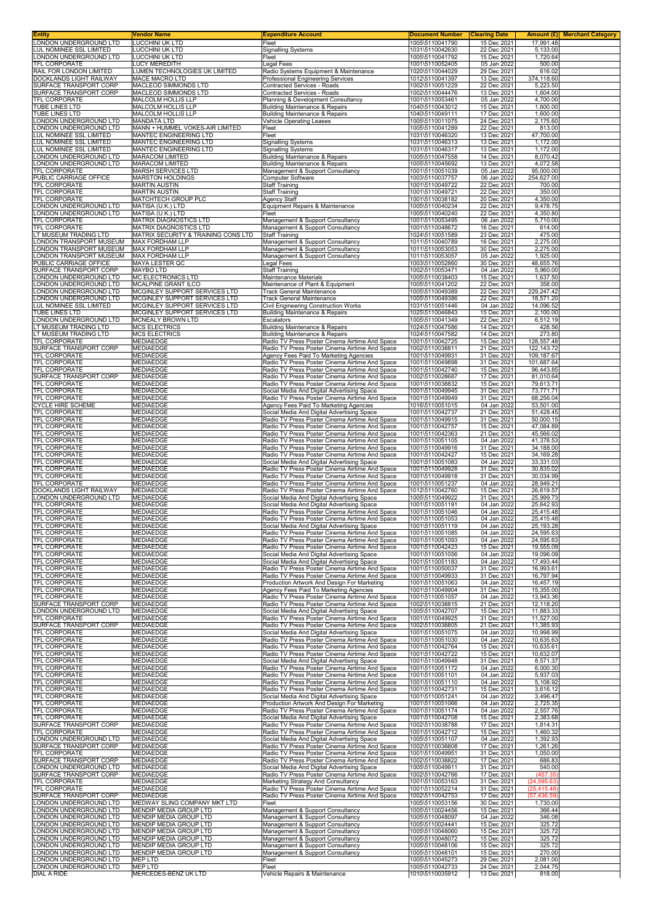| Entity                                                   | Vendor Name                                                    | <b>Expenditure Account</b>                                                                       | <b>Document Number</b>             | <b>Clearing Date</b>       | Amount (£) Merchant Category |
|----------------------------------------------------------|----------------------------------------------------------------|--------------------------------------------------------------------------------------------------|------------------------------------|----------------------------|------------------------------|
| LONDON UNDERGROUND LTD<br>LUL NOMINEE SSL LIMITED        | LUCCHINI UK LTD<br>LUCCHINI UK LTD                             | Fleet<br><b>Signalling Systems</b>                                                               | 1005\5110041790<br>1031\5110042630 | 15 Dec 2021<br>22 Dec 2021 | 17.991.48<br>5,133.00        |
| LONDON UNDERGROUND LTD                                   | LUCCHINI UK LTD                                                | Fleet                                                                                            | 1005\5110041792                    | 15 Dec 2021                | 1,720.64                     |
| <b>TFL CORPORATE</b><br>RAIL FOR LONDON LIMITED          | <b>LUCY MEREDITH</b><br>LUMEN TECHNOLOGIES UK LIMITED          | Legal Fees                                                                                       | 1001\5110052405<br>1020\5110044029 | 05 Jan 2022<br>29 Dec 2021 | 500.00<br>616.02             |
| DOCKLANDS LIGHT RAILWAY                                  | MACE MACRO LTD                                                 | Radio Systems Equipment & Maintenance<br>Professional Engineering Services                       | 1012\5110041397                    | 13 Dec 2021                | 374,118.60                   |
| SURFACE TRANSPORT CORP                                   | MACLEOD SIMMONDS LTD                                           | Contracted Services - Roads                                                                      | 1002\5110051229                    | 22 Dec 2021                | 5,223.50                     |
| SURFACE TRANSPORT CORP<br>TFL CORPORATE                  | MACLEOD SIMMONDS LTD<br>MALCOLM HOLLIS LLP                     | Contracted Services - Roads<br>Planning & Development Consultancy                                | 1002\5110044476<br>1001\5110053461 | 13 Dec 2021<br>05 Jan 2022 | 1,604.00<br>4,700.00         |
| <b>TUBE LINES LTD</b>                                    | MALCOLM HOLLIS LLP                                             | <b>Building Maintenance &amp; Repairs</b>                                                        | 1040\5110043012                    | 15 Dec 2021                | 1,600.00                     |
| TUBE LINES LTD                                           | MALCOLM HOLLIS LLP                                             | Building Maintenance & Repairs                                                                   | 1040\5110049111                    | 17 Dec 2021                | 1,600.00                     |
| ONDON UNDERGROUND LTD<br>ONDON UNDERGROUND LTD           | <b>MANDATA LTD</b><br>MANN + HUMMEL VOKES-AIR LIMITED          | Vehicle Operating Leases<br>Fleet                                                                | 1005\5110011075<br>1005\5110041289 | 24 Dec 2021<br>22 Dec 2021 | 2,175.60<br>813.00           |
| LUL NOMINEE SSL LIMITED                                  | MANTEC ENGINEERING LTD                                         | Fleet                                                                                            | 1031\5110046320                    | 13 Dec 2021                | 47,700.00                    |
| LUL NOMINEE SSL LIMITED<br><b>UL NOMINEE SSL LIMITED</b> | <b>MANTEC ENGINEERING LTD</b><br><b>MANTEC ENGINEERING LTD</b> | <b>Signalling Systems</b><br><b>Signalling Systems</b>                                           | 1031\5110046313<br>1031\5110046317 | 13 Dec 2021<br>13 Dec 2021 | 1,172.00<br>1,172.00         |
| LONDON UNDERGROUND LTD                                   | <b>MARACOM LIMITED</b>                                         | <b>Building Maintenance &amp; Repairs</b>                                                        | 1005\5110047558                    | 14 Dec 2021                | 8,070.42                     |
| ONDON UNDERGROUND LTD                                    | <b>MARACOM LIMITED</b>                                         | <b>Building Maintenance &amp; Repairs</b>                                                        | 1005\5110045692                    | 13 Dec 2021                | 4,072.58                     |
| TFL CORPORATE<br>PUBLIC CARRIAGE OFFICE                  | MARSH SERVICES LTD<br><b>MARSTON HOLDINGS</b>                  | Management & Support Consultancy<br>Computer Software                                            | 1001\5110051039<br>1003\5110037757 | 05 Jan 2022<br>06 Jan 2022 | 95,000.00<br>254,627.00      |
| TFL CORPORATE                                            | <b>MARTIN AUSTIN</b>                                           | <b>Staff Training</b>                                                                            | 1001\5110049722                    | 22 Dec 2021                | 700.00                       |
| TFL CORPORATE<br>TFL CORPORATE                           | <b>MARTIN AUSTIN</b><br>MATCHTECH GROUP PLC                    | <b>Staff Training</b><br>Agency Staff                                                            | 1001\5110049721<br>1001\5110038182 | 22 Dec 2021<br>20 Dec 2021 | 350.00<br>4,350.00           |
| ONDON UNDERGROUND LTD                                    | MATISA (U.K.) LTD                                              | Equipment Repairs & Maintenance                                                                  | 1005\5110040234                    | 22 Dec 2021                | 9,478.75                     |
| ONDON UNDERGROUND LTD<br>TFL CORPORATE                   | MATISA (U.K.) LTD<br>MATRIX DIAGNOSTICS LTD                    | Fleet<br>Management & Support Consultancy                                                        | 1005\5110040240<br>1001\5110053495 | 22 Dec 2021<br>06 Jan 2022 | 4,350.80<br>5,710.00         |
| TFL CORPORATE                                            | <b>MATRIX DIAGNOSTICS LTD</b>                                  | Management & Support Consultancy                                                                 | 1001\5110048672                    | 16 Dec 2021                | 614.00                       |
| LT MUSEUM TRADING LTD<br>ONDON TRANSPORT MUSEUM          | MATRIX SECURITY & TRAINING CONS LTD<br><b>MAX FORDHAM LLP</b>  | <b>Staff Training</b><br>Management & Support Consultancy                                        | 1024\5110051589<br>1011\5110040789 | 23 Dec 2021<br>16 Dec 2021 | 475.00<br>2,275.00           |
| ONDON TRANSPORT MUSEUM.                                  | <b>MAX FORDHAM LLP</b>                                         | Management & Support Consultancy                                                                 | 1011\5110053053                    | 30 Dec 2021                | 2,275.00                     |
| ONDON TRANSPORT MUSEUM<br>PUBLIC CARRIAGE OFFICE         | MAX FORDHAM LLP<br>MAYA LESTER QC                              | Management & Support Consultancy                                                                 | 1011\5110053057<br>1003\5110052860 | 05 Jan 2022                | 1,925.00<br>48,655.76        |
| SURFACE TRANSPORT CORP                                   | <b>MAYBO LTD</b>                                               | Legal Fees<br><b>Staff Training</b>                                                              | 1002\5110053471                    | 30 Dec 2021<br>04 Jan 2022 | 5,960.00                     |
| ONDON UNDERGROUND LTD                                    | <b>MC ELECTRONICS LTD</b>                                      | Maintenance Materials                                                                            | 1005\5110038403                    | 15 Dec 2021                | 1,637.50                     |
| ONDON UNDERGROUND LTD<br>ONDON UNDERGROUND LTD           | MCALPINE GRANT ILCO<br>MCGINLEY SUPPORT SERVICES LTD           | Maintenance of Plant & Equipment<br><b>Track General Maintenance</b>                             | 1005\5110041202<br>1005\5110049389 | 22 Dec 2021<br>22 Dec 2021 | 358.00<br>229,247.42         |
| ONDON UNDERGROUND LTD                                    | MCGINLEY SUPPORT SERVICES LTD                                  | Track General Maintenance                                                                        | 1005\5110049386                    | 22 Dec 2021                | 18,571.20                    |
| <b>UL NOMINEE SSL LIMITED</b><br>TUBE LINES LTD          | MCGINLEY SUPPORT SERVICES LTD<br>MCGINLEY SUPPORT SERVICES LTD | Civil Engineering Construction Works<br>Building Maintenance & Repairs                           | 1031\5110051446<br>1025\5110046843 | 04 Jan 2022<br>15 Dec 2021 | 14,096.52<br>2,100.00        |
| ONDON UNDERGROUND LTD                                    | MCNEALY BROWN LTD                                              | <b>Escalators</b>                                                                                | 1005\5110041349                    | 22 Dec 2021                | 6,512.19                     |
| LT MUSEUM TRADING LTD<br>LT MUSEUM TRADING LTD           | <b>MCS ELECTRICS</b><br><b>MCS ELECTRICS</b>                   | <b>Building Maintenance &amp; Repairs</b><br><b>Building Maintenance &amp; Repairs</b>           | 1024\5110047586<br>1024\5110047582 | 14 Dec 2021<br>14 Dec 2021 | 428.56<br>273.80             |
| TFL CORPORATE                                            | MEDIAEDGE                                                      | Radio TV Press Poster Cinema Airtime And Space                                                   | 1001\5110042725                    | 15 Dec 2021                | 128,557.48                   |
| SURFACE TRANSPORT CORP                                   | <b>MEDIAEDGE</b>                                               | Radio TV Press Poster Cinema Airtime And Space                                                   | 1002\5110038811                    | 21 Dec 2021                | 122, 143. 72                 |
| TFL CORPORATE<br>TFL CORPORATE                           | <b>MEDIAEDGE</b><br><b>MEDIAEDGE</b>                           | Agency Fees Paid To Marketing Agencies<br>Radio TV Press Poster Cinema Airtime And Space         | 1001\5110049931<br>1001\5110049898 | 31 Dec 2021<br>31 Dec 2021 | 109,187.67<br>101,687.64     |
| TFL CORPORATE                                            | <b>MEDIAEDGE</b>                                               | Radio TV Press Poster Cinema Airtime And Space                                                   | 1001\5110042740                    | 15 Dec 2021                | 96,443.85                    |
| SURFACE TRANSPORT CORP<br>TFL CORPORATE                  | <b>MEDIAEDGE</b><br><b>MEDIAEDGE</b>                           | Radio TV Press Poster Cinema Airtime And Space<br>Radio TV Press Poster Cinema Airtime And Space | 1002\5110028687<br>1001\5110038832 | 17 Dec 2021<br>15 Dec 2021 | 81,010.64<br>79,613.71       |
| TFL CORPORATE                                            | MEDIAEDGE                                                      | Social Media And Digital Advertising Space                                                       | 1001\5110049945                    | 31 Dec 2021                | 73,771.71                    |
| TFL CORPORATE                                            | <b>MEDIAEDGE</b><br><b>MEDIAEDGE</b>                           | Radio TV Press Poster Cinema Airtime And Space                                                   | 1001\5110049949                    | 31 Dec 2021                | 68,256.04<br>53,501.00       |
| CYCLE HIRE SCHEME<br>TFL CORPORATE                       | <b>MEDIAEDGE</b>                                               | Agency Fees Paid To Marketing Agencies<br>Social Media And Digital Advertising Space             | 1016\5110051015<br>1001\5110042737 | 04 Jan 2022<br>21 Dec 2021 | 51,428.45                    |
| TFL CORPORATE                                            | <b>MEDIAEDGE</b>                                               | Radio TV Press Poster Cinema Airtime And Space                                                   | 1001\5110049915                    | 31 Dec 2021                | 50,000.15                    |
| TFL CORPORATE<br>TFL CORPORATE                           | <b>MEDIAEDGE</b><br>MEDIAEDGE                                  | Radio TV Press Poster Cinema Airtime And Space<br>Radio TV Press Poster Cinema Airtime And Space | 1001\5110042757<br>1001\5110042363 | 15 Dec 2021<br>21 Dec 2021 | 47,084.89<br>45,566.02       |
| TFL CORPORATE                                            | <b>MEDIAEDGE</b>                                               | Radio TV Press Poster Cinema Airtime And Space                                                   | 1001\5110051105                    | 04 Jan 2022                | 41,378.53                    |
| TFL CORPORATE<br>TFL CORPORATE                           | MEDIAEDGE<br>MEDIAEDGE                                         | Radio TV Press Poster Cinema Airtime And Space<br>Radio TV Press Poster Cinema Airtime And Space | 1001\5110049916<br>1001\5110042427 | 31 Dec 2021<br>15 Dec 2021 | 34,188.00<br>34,169.28       |
| TFL CORPORATE                                            | <b>MEDIAEDGE</b>                                               | Social Media And Digital Advertising Space                                                       | 1001\5110051083                    | 04 Jan 2022                | 33,331.03                    |
| <b>TFL CORPORATE</b><br>TFL CORPORATE                    | MEDIAEDGE<br>MEDIAEDGE                                         | Radio TV Press Poster Cinema Airtime And Space<br>Radio TV Press Poster Cinema Airtime And Space | 1001\5110049928<br>1001\5110049918 | 31 Dec 2021<br>31 Dec 2021 | 30,835.02<br>30,034.99       |
| TFL CORPORATE                                            | <b>MEDIAEDGE</b>                                               | Radio TV Press Poster Cinema Airtime And Space                                                   | 1001\5110051237                    | 04 Jan 2022                | 28,949.21                    |
| <b>DOCKLANDS LIGHT RAILWAY</b>                           | <b>MEDIAEDGE</b>                                               | Radio TV Press Poster Cinema Airtime And Space                                                   | 1012\5110042760                    | 15 Dec 2021                | 26,619.57                    |
| ONDON UNDERGROUND LTD<br><b>TFL CORPORATE</b>            | <b>MEDIAEDGE</b><br><b>MEDIAEDGE</b>                           | Social Media And Digital Advertising Space<br>Social Media And Digital Advertising Space         | 1005\5110049922<br>1001\5110051191 | 31 Dec 2021<br>04 Jan 2022 | 25,999.73<br>25,642.93       |
| TFL CORPORATE                                            | <b>MEDIAEDGE</b>                                               | Radio TV Press Poster Cinema Airtime And Space                                                   | 1001\5110051046                    | 04 Jan 2022                | 25,415.48                    |
| TFL CORPORATE<br>IFL CORPORATE                           | MEDIAEDGE<br>MEDIAEDGE                                         | Radio TV Press Poster Cinema Airtime And Space<br>Social Media And Digital Advertising Space     | 1001\5110051053<br>1001\5110051119 | 04 Jan 2022<br>04 Jan 2022 | 25,415.48<br>25,193.28       |
| TFL CORPORATE                                            | <b>MEDIAEDGE</b>                                               | Radio TV Press Poster Cinema Airtime And Space                                                   | 1001\5110051085                    | 04 Jan 2022                | 24,595.63                    |
| TFL CORPORATE<br>TFL CORPORATE                           | <b>MEDIAEDGE</b><br><b>MEDIAEDGE</b>                           | Radio TV Press Poster Cinema Airtime And Space<br>Radio TV Press Poster Cinema Airtime And Space | 1001\5110051093<br>1001\5110042423 | 04 Jan 2022<br>15 Dec 2021 | 24,595.63<br>19,555.09       |
| TFL CORPORATE                                            | <b>MEDIAEDGE</b>                                               | Social Media And Digital Advertising Space                                                       | 1001\5110051056                    | 04 Jan 2022                | 19,096.09                    |
| TFL CORPORATE                                            | <b>MEDIAEDGE</b>                                               | Social Media And Digital Advertising Space                                                       | 1001\5110051183                    | 04 Jan 2022                | 17,493.44                    |
| TFL CORPORATE<br>TFL CORPORATE                           | MEDIAEDGE<br><b>MEDIAEDGE</b>                                  | Radio TV Press Poster Cinema Airtime And Space<br>Radio TV Press Poster Cinema Airtime And Space | 1001\5110050037<br>1001\5110049933 | 31 Dec 2021<br>31 Dec 2021 | 16,993.61<br>16,797.94       |
| TFL CORPORATE                                            | <b>MEDIAEDGE</b>                                               | Production Artwork And Design For Marketing                                                      | 1001\5110051063                    | 04 Jan 2022                | 16,457.19                    |
| TFL CORPORATE<br>TFL CORPORATE                           | <b>MEDIAEDGE</b><br><b>MEDIAEDGE</b>                           | Agency Fees Paid To Marketing Agencies<br>Radio TV Press Poster Cinema Airtime And Space         | 1001\5110049904<br>1001\5110051057 | 31 Dec 2021<br>04 Jan 2022 | 15,355.00<br>13,943.36       |
| SURFACE TRANSPORT CORP                                   | <b>MEDIAEDGE</b>                                               | Radio TV Press Poster Cinema Airtime And Space                                                   | 1002\5110038815                    | 21 Dec 2021                | 12,118.20                    |
| ONDON UNDERGROUND LTD<br>TFL CORPORATE                   | <b>MEDIAEDGE</b><br><b>MEDIAEDGE</b>                           | Social Media And Digital Advertising Space<br>Radio TV Press Poster Cinema Airtime And Space     | 1005\5110042707<br>1001\5110049925 | 15 Dec 2021<br>31 Dec 2021 | 11,883.33<br>11,527.00       |
| SURFACE TRANSPORT CORP                                   | <b>MEDIAEDGE</b>                                               | Radio TV Press Poster Cinema Airtime And Space                                                   | 1002\5110038805                    | 21 Dec 2021                | 11,385.93                    |
| TFL CORPORATE<br>TFL CORPORATE                           | <b>MEDIAEDGE</b><br><b>MEDIAEDGE</b>                           | Social Media And Digital Advertising Space<br>Radio TV Press Poster Cinema Airtime And Space     | 1001\5110051075<br>1001\5110051030 | 04 Jan 2022<br>04 Jan 2022 | 10,998.99<br>10,635.63       |
| TFL CORPORATE                                            | <b>MEDIAEDGE</b>                                               | Radio TV Press Poster Cinema Airtime And Space                                                   | 1001\5110042764                    | 15 Dec 2021                | 10,635.61                    |
| TFL CORPORATE<br>TFL CORPORATE                           | MEDIAEDGE<br>MEDIAEDGE                                         | Radio TV Press Poster Cinema Airtime And Space<br>Social Media And Digital Advertising Space     | 1001\5110042722<br>1001\5110049948 | 15 Dec 2021<br>31 Dec 2021 | 10,632.07<br>8,571.37        |
| TFL CORPORATE                                            | MEDIAEDGE                                                      | Radio TV Press Poster Cinema Airtime And Space                                                   | 1001\5110051172                    | 04 Jan 2022                | 6,000.30                     |
| TFL CORPORATE<br>TFL CORPORATE                           | MEDIAEDGE<br><b>MEDIAEDGE</b>                                  | Radio TV Press Poster Cinema Airtime And Space<br>Radio TV Press Poster Cinema Airtime And Space | 1001\5110051101<br>1001\5110051110 | 04 Jan 2022<br>04 Jan 2022 | 5,937.03<br>5,108.92         |
| TFL CORPORATE                                            | <b>MEDIAEDGE</b>                                               | Radio TV Press Poster Cinema Airtime And Space                                                   | 1001\5110042731                    | 15 Dec 2021                | 3,616.12                     |
| TFL CORPORATE                                            | MEDIAEDGE                                                      | Social Media And Digital Advertising Space                                                       | 1001\5110051241                    | 04 Jan 2022                | 3,496.47                     |
| TFL CORPORATE<br>TFL CORPORATE                           | <b>MEDIAEDGE</b><br><b>MEDIAEDGE</b>                           | Production Artwork And Design For Marketing<br>Radio TV Press Poster Cinema Airtime And Space    | 1001\5110051066<br>1001\5110051174 | 04 Jan 2022<br>04 Jan 2022 | 2,725.35<br>2,557.76         |
| TFL CORPORATE                                            | <b>MEDIAEDGE</b>                                               | Social Media And Digital Advertising Space                                                       | 1001\5110042708                    | 15 Dec 2021                | 2,383.68                     |
| SURFACE TRANSPORT CORP<br>TFL CORPORATE                  | <b>MEDIAEDGE</b><br><b>MEDIAEDGE</b>                           | Radio TV Press Poster Cinema Airtime And Space<br>Radio TV Press Poster Cinema Airtime And Space | 1002\5110038788<br>1001\5110042712 | 17 Dec 2021<br>15 Dec 2021 | 1,814.31<br>1,460.32         |
| ONDON UNDERGROUND LTD                                    | <b>MEDIAEDGE</b>                                               | Social Media And Digital Advertising Space                                                       | 1005\5110051107                    | 04 Jan 2022                | 1,392.93                     |
| SURFACE TRANSPORT CORP<br>TFL CORPORATE                  | <b>MEDIAEDGE</b><br><b>MEDIAEDGE</b>                           | Radio TV Press Poster Cinema Airtime And Space<br>Radio TV Press Poster Cinema Airtime And Space | 1002\5110038808<br>1001\5110049951 | 17 Dec 2021<br>31 Dec 2021 | 1,261.26<br>1,050.00         |
| SURFACE TRANSPORT CORP                                   | <b>MEDIAEDGE</b>                                               | Radio TV Press Poster Cinema Airtime And Space                                                   | 1002\5110038822                    | 17 Dec 2021                | 686.83                       |
| ONDON UNDERGROUND LTD<br>SURFACE TRANSPORT CORP          | <b>MEDIAEDGE</b><br><b>MEDIAEDGE</b>                           | Social Media And Digital Advertising Space<br>Radio TV Press Poster Cinema Airtime And Space     | 1005\5110049911<br>1002\5110042766 | 31 Dec 2021<br>17 Dec 2021 | 540.00<br>(457.35)           |
| TFL CORPORATE                                            | <b>MEDIAEDGE</b>                                               | Marketing Strategy And Consultancy                                                               | 1001\5110053163                    | 31 Dec 2021                | (24, 595.63)                 |
| TFL CORPORATE<br>SURFACE TRANSPORT CORP                  | <b>MEDIAEDGE</b>                                               | Radio TV Press Poster Cinema Airtime And Space                                                   | 1001\5110052214                    | 31 Dec 2021                | (25, 415.48)                 |
| ONDON UNDERGROUND LTD                                    | <b>MEDIAEDGE</b><br>MEDWAY SLING COMPANY MKT LTD               | Radio TV Press Poster Cinema Airtime And Space<br>Fleet                                          | 1002\5110042753<br>1005\5110053156 | 17 Dec 2021<br>30 Dec 2021 | (57, 436.59)<br>1,730.00     |
| ONDON UNDERGROUND LTD                                    | MENDIP MEDIA GROUP LTD                                         | Management & Support Consultancy                                                                 | 1005\5110024456                    | 15 Dec 2021                | 366.44                       |
| ONDON UNDERGROUND LTD<br>ONDON UNDERGROUND LTD           | MENDIP MEDIA GROUP LTD<br>MENDIP MEDIA GROUP LTD               | Management & Support Consultancy<br>Management & Support Consultancy                             | 1005\5110048097<br>1005\5110024441 | 04 Jan 2022<br>15 Dec 2021 | 346.08<br>325.72             |
| ONDON UNDERGROUND LTD                                    | MENDIP MEDIA GROUP LTD                                         | Management & Support Consultancy                                                                 | 1005\5110048060                    | 15 Dec 2021                | 325.72                       |
| ONDON UNDERGROUND LTD<br>ONDON UNDERGROUND LTD           | MENDIP MEDIA GROUP LTD<br>MENDIP MEDIA GROUP LTD               | Management & Support Consultancy<br>Management & Support Consultancy                             | 1005\5110048072<br>1005\5110048106 | 15 Dec 2021<br>15 Dec 2021 | 325.72<br>325.72             |
| ONDON UNDERGROUND LTD                                    | MENDIP MEDIA GROUP LTD                                         | Management & Support Consultancy                                                                 | 1005\5110048101                    | 15 Dec 2021                | 270.00                       |
| ONDON UNDERGROUND LTD<br>ONDON UNDERGROUND LTD           | <b>MEP LTD</b><br><b>MEP LTD</b>                               | Fleet<br>Fleet                                                                                   | 1005\5110045273<br>1005\5110042733 | 29 Dec 2021<br>24 Dec 2021 | 2,081.00<br>2,044.75         |
| DIAL A RIDE                                              | MERCEDES-BENZ UK LTD                                           | Vehicle Repairs & Maintenance                                                                    | 1010\5110035912                    | 13 Dec 2021                | 818.00                       |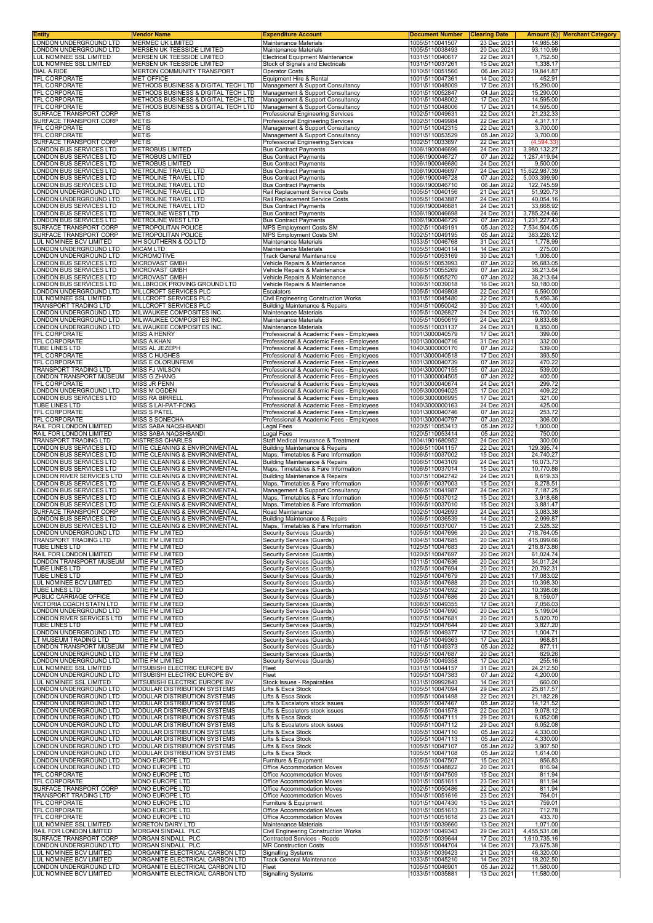| Entity                                                               | Vendor Name                          | <b>Expenditure Account</b>                                                           | <b>Document Number</b>             | <b>Clearing Date</b>       | Amount $(E)$             | <b>Merchant Category</b> |
|----------------------------------------------------------------------|--------------------------------------|--------------------------------------------------------------------------------------|------------------------------------|----------------------------|--------------------------|--------------------------|
| LONDON UNDERGROUND LTD                                               | <b>MERMEC UK LIMITED</b>             | Maintenance Materials                                                                | 1005\5110041507                    | 23 Dec 2021                | 14,985.58                |                          |
| LONDON UNDERGROUND LTD                                               | MERSEN UK TEESSIDE LIMITED           | <b>Maintenance Materials</b>                                                         | 1005\5110038493                    | 20 Dec 2021                | 93,110.99                |                          |
| LUL NOMINEE SSL LIMITED                                              | MERSEN UK TEESSIDE LIMITED           | Electrical Equipment Maintenance                                                     | 1031\5110040617                    | 22 Dec 2021                | 1,752.50                 |                          |
| LUL NOMINEE SSL LIMITED                                              | MERSEN UK TEESSIDE LIMITED           | Stock of Signals and Electricals                                                     | 1031\5110037261                    | 15 Dec 2021                | 1,338.17                 |                          |
| <b>DIAL A RIDE</b>                                                   | MERTON COMMUNITY TRANSPORT           | <b>Operator Costs</b>                                                                | 1010\5110051560                    | 06 Jan 2022                | 19.841.87                |                          |
| TFL CORPORATE                                                        | <b>MET OFFICE</b>                    | Equipment Hire & Rental                                                              | 1001\5110047361                    | 14 Dec 2021                | 452.91                   |                          |
| TFL CORPORATE                                                        | METHODS BUSINESS & DIGITAL TECH LTD  | Management & Support Consultancy                                                     | 1001\5110048009                    | 17 Dec 2021                | 15,290.00                |                          |
| TFL CORPORATE                                                        | METHODS BUSINESS & DIGITAL TECH LTD  | Management & Support Consultancy                                                     | 1001\5110052847                    | 04 Jan 2022                | 15.290.00                |                          |
| TFL CORPORATE                                                        | METHODS BUSINESS & DIGITAL TECH LTD  | Management & Support Consultancy                                                     | 1001\5110048002                    | 17 Dec 2021                | 14,595.00                |                          |
| TFL CORPORATE                                                        | METHODS BUSINESS & DIGITAL TECH LTD  | Management & Support Consultancy                                                     | 1001\5110048006                    | 17 Dec 2021                | 14,595.00                |                          |
| SURFACE TRANSPORT CORP                                               | METIS                                | Professional Engineering Services                                                    | 1002\5110049631                    | 22 Dec 2021                | 21,232.33                |                          |
| SURFACE TRANSPORT CORP                                               | METIS                                | Professional Engineering Services                                                    | 1002\5110049984                    | 22 Dec 2021                | 4,317.17                 |                          |
| TFL CORPORATE                                                        | <b>METIS</b>                         | Management & Support Consultancy                                                     | 1001\5110042315                    | 22 Dec 2021                | 3,700.00                 |                          |
| TFL CORPORATE                                                        | <b>METIS</b>                         | Management & Support Consultancy                                                     | 1001\5110053529                    | 05 Jan 2022                | 3,700.00                 |                          |
| SURFACE TRANSPORT CORP                                               | <b>METIS</b>                         | Professional Engineering Services                                                    | 1002\5110033697                    | 22 Dec 2021                | (4, 594.33)              |                          |
| ONDON BUS SERVICES LTD                                               | <b>METROBUS LIMITED</b>              | <b>Bus Contract Payments</b>                                                         | 1006\1900046696                    | 24 Dec 2021<br>07 Jan 2022 | 3,980,132.27             |                          |
| ONDON BUS SERVICES LTD<br>ONDON BUS SERVICES LTD                     | METROBUS LIMITED<br>METROBUS LIMITED | <b>Bus Contract Payments</b><br><b>Bus Contract Payments</b>                         | 1006\1900046727<br>1006\1900046680 | 24 Dec 2021                | 1,287,419.94<br>9,500.00 |                          |
| ONDON BUS SERVICES LTD                                               | METROLINE TRAVEL LTD                 | <b>Bus Contract Payments</b>                                                         | 1006\1900046697                    | 24 Dec 2021                | 15,622,987.39            |                          |
| ONDON BUS SERVICES LTD                                               | METROLINE TRAVEL LTD                 | <b>Bus Contract Payments</b>                                                         | 1006\1900046728                    | 07 Jan 2022                | 5,003,399.90             |                          |
| LONDON BUS SERVICES LTD                                              | METROLINE TRAVEL LTD                 | <b>Bus Contract Payments</b>                                                         | 1006\1900046710                    | 06 Jan 2022                | 122,745.59               |                          |
| ONDON UNDERGROUND LTD                                                | METROLINE TRAVEL LTD                 | Rail Replacement Service Costs                                                       | 1005\5110040156                    | 21 Dec 2021                | 51,920.73                |                          |
| ONDON UNDERGROUND LTD                                                | METROLINE TRAVEL LTD                 | Rail Replacement Service Costs                                                       | 1005\5110043887                    | 24 Dec 2021                | 40,054.16                |                          |
| ONDON BUS SERVICES LTD                                               | METROLINE TRAVEL LTD                 | <b>Bus Contract Payments</b>                                                         | 1006\1900046681                    | 24 Dec 2021                | 33,668.92                |                          |
| ONDON BUS SERVICES LTD                                               | METROLINE WEST LTD                   | <b>Bus Contract Payments</b>                                                         | 1006\1900046698                    | 24 Dec 2021                | 3,785,224.66             |                          |
| ONDON BUS SERVICES LTD                                               | <b>METROLINE WEST LTD</b>            | <b>Bus Contract Payments</b>                                                         | 1006\1900046729                    | 07 Jan 2022                | 1,231,227.43             |                          |
| SURFACE TRANSPORT CORP                                               | METROPOLITAN POLICE                  | <b>MPS Employment Costs SM</b>                                                       | 1002\5110049191                    | 05 Jan 2022                | 7,534,504.05             |                          |
| SURFACE TRANSPORT CORP                                               | <b>METROPOLITAN POLICE</b>           | MPS Employment Costs SM                                                              | 1002\5110049195                    | 05 Jan 2022                | 383,226.12               |                          |
| LUL NOMINEE BCV LIMITED                                              | MH SOUTHERN & CO LTD                 | Maintenance Materials                                                                | 1033\5110046768                    | 31 Dec 2021                | 1,778.99                 |                          |
| ONDON UNDERGROUND LTD                                                | <b>MICAM LTD</b>                     | Maintenance Materials                                                                | 1005\5110040114                    | 14 Dec 2021                | 275.00                   |                          |
| ONDON UNDERGROUND LTD                                                | <b>MICROMOTIVE</b>                   | Track General Maintenance                                                            | 1005\5110053169                    | 30 Dec 2021                | 1,006.00                 |                          |
| ONDON BUS SERVICES LTD<br>ONDON BUS SERVICES LTD                     | <b>MICROVAST GMBH</b>                | Vehicle Repairs & Maintenance                                                        | 1006\5110053993                    | 07 Jan 2022                | 95,683.05                |                          |
| LONDON BUS SERVICES LTD                                              | MICROVAST GMBH<br>MICROVAST GMBH     | Vehicle Repairs & Maintenance<br>Vehicle Repairs & Maintenance                       | 1006\5110055269<br>1006\5110055270 | 07 Jan 2022<br>07 Jan 2022 | 38,213.64<br>38,213.64   |                          |
| ONDON BUS SERVICES LTD                                               | MILLBROOK PROVING GROUND LTD         | Vehicle Repairs & Maintenance                                                        | 1006\5110039018                    | 16 Dec 2021                | 50,180.00                |                          |
| ONDON UNDERGROUND LTD                                                | MILLCROFT SERVICES PLC               | Escalators                                                                           | 1005\5110049808                    | 22 Dec 2021                | 6,590.00                 |                          |
| LUL NOMINEE SSL LIMITED                                              | MILLCROFT SERVICES PLC               | Civil Engineering Construction Works                                                 | 1031\5110045480                    | 22 Dec 2021                | 5,456.36                 |                          |
| TRANSPORT TRADING LTD                                                | MILLCROFT SERVICES PLC               | <b>Building Maintenance &amp; Repairs</b>                                            | 1004\5110050042                    | 30 Dec 2021                | 1,400.00                 |                          |
| LONDON UNDERGROUND LTD                                               | MILWAUKEE COMPOSITES INC.            | Maintenance Materials                                                                | 1005\5110026827                    | 24 Dec 2021                | 16,700.00                |                          |
| ONDON UNDERGROUND LTD                                                | MILWAUKEE COMPOSITES INC             | Maintenance Materials                                                                | 1005\5110050619                    | 24 Dec 2021                | 9,833.68                 |                          |
| LONDON UNDERGROUND LTD                                               | MILWAUKEE COMPOSITES INC.            | Maintenance Materials                                                                | 1005\5110031137                    | 24 Dec 2021                | 8,350.00                 |                          |
| TFL CORPORATE                                                        | MISS A HENRY                         | Professional & Academic Fees - Employees                                             | 1001\3000040579                    | 17 Dec 2021                | 399.00                   |                          |
| TFL CORPORATE<br><b>TUBE LINES LTD</b>                               | <b>MISS A KHAN</b><br>MISS AL JEZEPH | Professional & Academic Fees - Employees                                             | 1001\3000040716<br>1040\3000000170 | 31 Dec 2021<br>07 Jan 2022 | 332.00<br>539.00         |                          |
| TFL CORPORATE                                                        | MISS C HUGHES                        | Professional & Academic Fees - Employees<br>Professional & Academic Fees - Employees | 1001\3000040518                    | 17 Dec 2021                | 393.50                   |                          |
| TFL CORPORATE                                                        | MISS E OLORUNFEMI                    | Professional & Academic Fees - Employees                                             | 1001\3000040739                    | 07 Jan 2022                | 470.22                   |                          |
| TRANSPORT TRADING LTD                                                | MISS FJ WILSON                       | Professional & Academic Fees - Employees                                             | 1004\3000007155                    | 07 Jan 2022                | 539.00                   |                          |
| LONDON TRANSPORT MUSEUM                                              | <b>MISS G ZHANG</b>                  | Professional & Academic Fees - Employees                                             | 1011\3000004505                    | 07 Jan 2022                | 400.00                   |                          |
| TFL CORPORATE                                                        | MISS JR PENN                         | Professional & Academic Fees - Employees                                             | 1001\3000040674                    | 24 Dec 2021                | 299.72                   |                          |
| ONDON UNDERGROUND LTD                                                | MISS M OGDEN                         | Professional & Academic Fees - Employees                                             | 1005\3000094025                    | 17 Dec 2021                | 409.22                   |                          |
| LONDON BUS SERVICES LTD                                              | MISS RA BIRRELI                      | Professional & Academic Fees - Employees                                             | 1006\3000006995                    | 17 Dec 2021                | 321.00                   |                          |
| TUBE LINES LTD                                                       | MISS S LAI-PAT-FONG                  | Professional & Academic Fees - Employees                                             | 1040\3000000163                    | 24 Dec 2021                | 425.00                   |                          |
| <b>TFL CORPORATE</b>                                                 | MISS S PATEI                         | Professional & Academic Fees - Employees                                             | 1001\3000040746                    | 07 Jan 2022                | 253.72                   |                          |
| TFL CORPORATE                                                        | MISS S SONECHA                       | Professional & Academic Fees - Employees                                             | 1001\3000040797                    | 07 Jan 2022                | 306.00                   |                          |
| RAIL FOR LONDON LIMITED                                              | MISS SABA NAQSHBANDI                 | Legal Fees                                                                           | 1020\5110053413                    | 05 Jan 2022                | 1,000.00                 |                          |
| RAIL FOR LONDON LIMITED                                              | MISS SABA NAQSHBANDI                 | Legal Fees                                                                           | 1020\5110053414                    | 05 Jan 2022                | 750.00                   |                          |
| <b>TRANSPORT TRADING LTD</b>                                         | MISTRESS CHARLES                     | Staff Medical Insurance & Treatment                                                  | 1004\1901680952                    | 24 Dec 2021                | 300.00                   |                          |
| LONDON BUS SERVICES LTD                                              | MITIE CLEANING & ENVIRONMENTAL       | <b>Building Maintenance &amp; Repairs</b>                                            | 1006\5110041157                    | 22 Dec 2021                | 129,395.74               |                          |
| LONDON BUS SERVICES LTD                                              | MITIE CLEANING & ENVIRONMENTAL       | Maps, Timetables & Fare Information                                                  | 1006\5110037002                    | 15 Dec 2021                | 24,740.27                |                          |
|                                                                      |                                      |                                                                                      |                                    |                            |                          |                          |
| ONDON BUS SERVICES LTD                                               | MITIE CLEANING & ENVIRONMENTAL       | <b>Building Maintenance &amp; Repairs</b>                                            | 1006\5110043109                    | 24 Dec 2021                | 16,073.73                |                          |
| ONDON BUS SERVICES LTD                                               | MITIE CLEANING & ENVIRONMENTAL       | Maps, Timetables & Fare Information                                                  | 1006\5110037014                    | 15 Dec 2021                | 10,770.86                |                          |
| ONDON RIVER SERVICES LTD                                             | MITIE CLEANING & ENVIRONMENTAL       | <b>Building Maintenance &amp; Repairs</b>                                            | 1007\5110042742                    | 24 Dec 2021                | 8,619.33                 |                          |
| ONDON BUS SERVICES LTD                                               | MITIE CLEANING & ENVIRONMENTAL       | Maps, Timetables & Fare Information                                                  | 1006\5110037003                    | 15 Dec 2021                | 8,278.51                 |                          |
| ONDON BUS SERVICES LTD                                               | MITIE CLEANING & ENVIRONMENTAL       | Management & Support Consultancy                                                     | 1006\5110041987                    | 24 Dec 2021                | 7,187.25                 |                          |
| ONDON BUS SERVICES LTD                                               | MITIE CLEANING & ENVIRONMENTAL       | Maps, Timetables & Fare Information                                                  | 1006\5110037012                    | 15 Dec 2021                | 3,918.68                 |                          |
| ONDON BUS SERVICES LTD                                               | MITIE CLEANING & ENVIRONMENTAL       | Maps, Timetables & Fare Information                                                  | 1006\5110037010                    | 15 Dec 2021                | 3,881.47                 |                          |
| SURFACE TRANSPORT CORP                                               | MITIE CLEANING & ENVIRONMENTAL       | Road Maintenance                                                                     | 1002\5110042693                    | 24 Dec 2021                | 3.083.38                 |                          |
| ONDON BUS SERVICES LTD                                               | MITIE CLEANING & ENVIRONMENTAL       | <b>Building Maintenance &amp; Repairs</b>                                            | 1006\5110036539                    | 14 Dec 2021                | 2,999.87                 |                          |
| LONDON BUS SERVICES LTD                                              | MITIE CLEANING & ENVIRONMENTAL       | Maps, Timetables & Fare Information                                                  | 1006\5110037007                    | 15 Dec 2021                | 2,528.32                 |                          |
| LONDON UNDERGROUND LTD                                               | MITIE FM LIMITED                     | Security Services (Guards)                                                           | 1005\5110047696                    | 20 Dec 2021                | 718,764.05               |                          |
| TRANSPORT TRADING LTD                                                | MITIE FM LIMITED                     | Security Services (Guards)                                                           | 1004\5110047685                    | 20 Dec 2021                | 415,099.66               |                          |
| TUBE LINES LTD                                                       | MITIE FM LIMITED                     | Security Services (Guards)                                                           | 1025\5110047683                    | 20 Dec 2021                | 218,873.86               |                          |
| RAIL FOR LONDON LIMITED                                              | MITIE FM LIMITED                     | Security Services (Guards)                                                           | 1020\5110047697                    | 20 Dec 2021                | 61,024.74                |                          |
| LONDON TRANSPORT MUSEUM                                              | MITIE FM LIMITED                     | Security Services (Guards)                                                           | 1011\5110047636                    | 20 Dec 2021                | 34,017.24                |                          |
| <b>TUBE LINES LTD</b>                                                | MITIE FM LIMITED                     | Security Services (Guards)                                                           | 1025\5110047694                    | 20 Dec 2021                | 20,792.31                |                          |
| <b>TUBE LINES LTD</b>                                                | MITIE FM LIMITED                     | Security Services (Guards)                                                           | 1025\5110047679                    | 20 Dec 2021                | 17,083.02                |                          |
| LUL NOMINEE BCV LIMITED                                              | MITIE FM LIMITED                     | Security Services (Guards)                                                           | 1033\5110047688                    | 20 Dec 2021                | 10,398.30                |                          |
|                                                                      | MITIE FM LIMITED                     | Security Services (Guards)                                                           | 1025\5110047692                    | 20 Dec 2021                | 10,398.08                |                          |
| TUBE LINES LTD<br>PUBLIC CARRIAGE OFFICE<br>VICTORIA COACH STATN LTD | MITIE FM LIMITED<br>MITIE FM LIMITED | Security Services (Guards)<br>Security Services (Guards)                             | 1003\5110047686<br>1008\5110049355 | 20 Dec 2021<br>17 Dec 2021 | 8,159.07<br>7,056.03     |                          |
| LONDON UNDERGROUND LTD                                               | MITIE FM LIMITED                     | Security Services (Guards)                                                           | 1005\5110047690                    | 20 Dec 2021                | 5,199.04                 |                          |
| LONDON RIVER SERVICES LTD                                            | MITIE FM LIMITED                     | Security Services (Guards)                                                           | 1007\5110047681                    | 20 Dec 2021                | 5,020.70                 |                          |
| <b>TUBE LINES LTD</b>                                                | MITIE FM LIMITED                     | Security Services (Guards)                                                           | 1025\5110047644                    | 20 Dec 2021                | 3,827.20                 |                          |
| LONDON UNDERGROUND LTD                                               | MITIE FM LIMITED                     | Security Services (Guards)                                                           | 1005\5110049377                    | 17 Dec 2021                | 1,004.71                 |                          |
| LT MUSEUM TRADING LTD                                                | MITIE FM LIMITED                     | Security Services (Guards)                                                           | 1024\5110049363                    | 17 Dec 2021                | 968.81                   |                          |
| LONDON TRANSPORT MUSEUM                                              | MITIE FM LIMITED                     | Security Services (Guards)                                                           | 1011\5110049373                    | 05 Jan 2022                | 877.11                   |                          |
| LONDON UNDERGROUND LTD                                               | MITIE FM LIMITED                     | Security Services (Guards)                                                           | 1005\5110047687                    | 20 Dec 2021                | 829.26                   |                          |
| ONDON UNDERGROUND LTD                                                | MITIE FM LIMITED                     | Security Services (Guards)                                                           | 1005\5110049358                    | 17 Dec 2021                | 255.16                   |                          |
| LUL NOMINEE SSL LIMITED                                              | MITSUBISHI ELECTRIC EUROPE BV        | Fleet                                                                                | 1031\5110044157                    | 31 Dec 2021                | 24,212.50                |                          |
| LONDON UNDERGROUND LTD                                               | MITSUBISHI ELECTRIC EUROPE BV        | Fleet                                                                                | 1005\5110047383                    | 07 Jan 2022                | 4,200.00                 |                          |
| LUL NOMINEE SSL LIMITED                                              | MITSUBISHI ELECTRIC EUROPE BV        | Stock Issues - Repairables                                                           | 1031\5109992843                    | 14 Dec 2021                | 660.00                   |                          |
| ONDON UNDERGROUND LTD                                                | MODULAR DISTRIBUTION SYSTEMS         | Lifts & Esca Stock                                                                   | 1005\5110047094                    | 29 Dec 2021                | 25,817.57                |                          |
| ONDON UNDERGROUND LTD                                                | MODULAR DISTRIBUTION SYSTEMS         | Lifts & Esca Stock                                                                   | 1005\5110041498                    | 22 Dec 2021                | 21,182.28                |                          |
| ONDON UNDERGROUND LTD                                                | MODULAR DISTRIBUTION SYSTEMS         | Lifts & Escalators stock issues                                                      | 1005\5110047467                    | 05 Jan 2022                | 14,121.52                |                          |
| LONDON UNDERGROUND LTD                                               | MODULAR DISTRIBUTION SYSTEMS         | Lifts & Escalators stock issues                                                      | 1005\5110041578                    | 22 Dec 2021                | 9,078.12                 |                          |
| LONDON UNDERGROUND LTD                                               | MODULAR DISTRIBUTION SYSTEMS         | Lifts & Esca Stock                                                                   | 1005\5110047111                    | 29 Dec 2021                | 6,052.08                 |                          |
| ONDON UNDERGROUND LTD                                                | MODULAR DISTRIBUTION SYSTEMS         | Lifts & Escalators stock issues                                                      | 1005\5110047112                    | 29 Dec 2021                | 6,052.08                 |                          |
| ONDON UNDERGROUND LTD                                                | MODULAR DISTRIBUTION SYSTEMS         | Lifts & Esca Stock                                                                   | 1005\5110047110                    | 05 Jan 2022                | 4,330.00                 |                          |
| LONDON UNDERGROUND LTD                                               | MODULAR DISTRIBUTION SYSTEMS         | Lifts & Esca Stock                                                                   | 1005\5110047113                    | 05 Jan 2022                | 4,330.00                 |                          |
| LONDON UNDERGROUND LTD                                               | MODULAR DISTRIBUTION SYSTEMS         | Lifts & Esca Stock                                                                   | 1005\5110047107                    | 05 Jan 2022                | 3,907.50                 |                          |
| LONDON UNDERGROUND LTD                                               | MODULAR DISTRIBUTION SYSTEMS         | Lifts & Esca Stock                                                                   | 1005\5110047108                    | 05 Jan 2022                | 1,614.00                 |                          |
|                                                                      | MONO EUROPE LTD                      | Furniture & Equipment                                                                | 1005\5110047507                    | 15 Dec 2021                | 856.83                   |                          |
| LONDON UNDERGROUND LTD<br>LONDON UNDERGROUND LTD<br>TFL CORPORATE    | MONO EUROPE LTD<br>MONO EUROPE LTD   | Office Accommodation Moves<br>Office Accommodation Moves                             | 1005\5110048822<br>1001\5110047509 | 20 Dec 2021<br>15 Dec 2021 | 816.94<br>811.94         |                          |
| <b>TFL CORPORATE</b>                                                 | MONO EUROPE LTD                      | Office Accommodation Moves                                                           | 1001\5110051611                    | 23 Dec 2021                | 811.94                   |                          |
| SURFACE TRANSPORT CORP                                               | MONO EUROPE LTD                      | Office Accommodation Moves                                                           | 1002\5110050486                    | 22 Dec 2021                | 811.94                   |                          |
|                                                                      | MONO EUROPE LTD                      | Office Accommodation Moves                                                           | 1004\5110051616                    | 23 Dec 2021                | 764.01                   |                          |
| TRANSPORT TRADING LTD<br>TFL CORPORATE<br>TFL CORPORATE              | MONO EUROPE LTD<br>MONO EUROPE LTD   | Furniture & Equipment<br>Office Accommodation Moves                                  | 1001\5110047430<br>1001\5110051613 | 15 Dec 2021<br>23 Dec 2021 | 759.01<br>712.78         |                          |
| TFL CORPORATE                                                        | MONO EUROPE LTD                      | Office Accommodation Moves                                                           | 1001\5110051618                    | 23 Dec 2021                | 433.70                   |                          |
| LUL NOMINEE SSL LIMITED                                              | MORETON DAIRY LTD                    | Maintenance Materials                                                                | 1031\5110039660                    | 13 Dec 2021                | 1,071.00                 |                          |
| RAIL FOR LONDON LIMITED                                              | MORGAN SINDALL PLC                   | Civil Engineering Construction Works                                                 | 1020\5110049343                    | 29 Dec 2021                | 4,455,531.08             |                          |
| SURFACE TRANSPORT CORP                                               | MORGAN SINDALL PLC                   | Contracted Services - Roads                                                          | 1002\5110039644                    | 17 Dec 2021                | 1,610,735.16             |                          |
| LONDON UNDERGROUND LTD                                               | MORGAN SINDALL PLC                   | <b>MR Construction Costs</b>                                                         | 1005\5110044704                    | 14 Dec 2021                | 73,675.38                |                          |
| LUL NOMINEE BCV LIMITED                                              | MORGANITE ELECTRICAL CARBON LTD      | <b>Signalling Systems</b>                                                            | 1033\5110039423                    | 21 Dec 2021                | 46,320.00                |                          |
| LUL NOMINEE BCV LIMITED                                              | MORGANITE ELECTRICAL CARBON LTD      | <b>Track General Maintenance</b>                                                     | 1033\5110045210                    | 14 Dec 2021                | 18,202.50                |                          |
| LONDON UNDERGROUND LTD                                               | MORGANITE ELECTRICAL CARBON LTD      | Fleet                                                                                | 1005\5110046901                    | 05 Jan 2022                | 11,580.00                |                          |
| LUL NOMINEE BCV LIMITED                                              | MORGANITE ELECTRICAL CARBON LTD      | <b>Signalling Systems</b>                                                            | 1033\5110035881                    | 13 Dec 2021                | 11,580.00                |                          |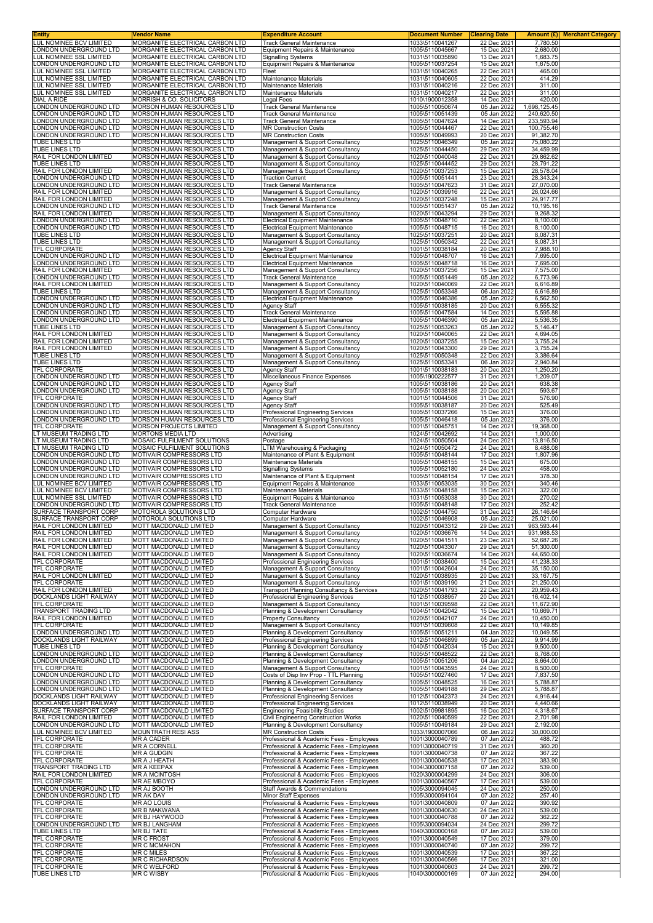| <b>Entity</b>                                             | Vendor Name                                                        | <b>Expenditure Account</b>                                                           | <b>Document Number</b>             | <b>Clearing Date</b>       |                          | Amount (£) Merchant Category |
|-----------------------------------------------------------|--------------------------------------------------------------------|--------------------------------------------------------------------------------------|------------------------------------|----------------------------|--------------------------|------------------------------|
| LUL NOMINEE BCV LIMITED<br>LONDON UNDERGROUND LTD         | MORGANITE ELECTRICAL CARBON LTD<br>MORGANITE ELECTRICAL CARBON LTD | Track General Maintenance<br>Equipment Repairs & Maintenance                         | 1033\5110041267<br>1005\5110045667 | 22 Dec 2021<br>15 Dec 2021 | 7,780.50<br>2,680.00     |                              |
| LUL NOMINEE SSL LIMITED                                   | MORGANITE ELECTRICAL CARBON LTD                                    | <b>Signalling Systems</b>                                                            | 1031\5110035890                    | 13 Dec 2021                | 1,683.75                 |                              |
| LONDON UNDERGROUND LTD<br>LUL NOMINEE SSL LIMITED         | MORGANITE ELECTRICAL CARBON LTD<br>MORGANITE ELECTRICAL CARBON LTD | Equipment Repairs & Maintenance<br>Fleet                                             | 1005\5110037254                    | 15 Dec 2021<br>22 Dec 2021 | 1,675.00<br>465.00       |                              |
| LUL NOMINEE SSL LIMITED                                   | MORGANITE ELECTRICAL CARBON LTD                                    | Maintenance Materials                                                                | 1031\5110040265<br>1031\5110040605 | 22 Dec 2021                | 414.29                   |                              |
| LUL NOMINEE SSL LIMITED                                   | MORGANITE ELECTRICAL CARBON LTD                                    | Maintenance Materials                                                                | 1031\5110040216                    | 22 Dec 2021                | 311.00                   |                              |
| LUL NOMINEE SSL LIMITED<br>DIAL A RIDE                    | MORGANITE ELECTRICAL CARBON LTD<br>MORRISH & CO. SOLICITORS        | Maintenance Materials<br>Legal Fees                                                  | 1031\5110040217<br>1010\1900012358 | 22 Dec 2021<br>14 Dec 2021 | 311.00<br>420.00         |                              |
| LONDON UNDERGROUND LTD                                    | MORSON HUMAN RESOURCES LTD                                         | Track General Maintenance                                                            | 1005\5110050674                    | 05 Jan 2022                | 1,698,125.45             |                              |
| LONDON UNDERGROUND LTD                                    | MORSON HUMAN RESOURCES LTD                                         | <b>Track General Maintenance</b>                                                     | 1005\5110051439                    | 05 Jan 2022                | 240,620.50               |                              |
| LONDON UNDERGROUND LTD<br>LONDON UNDERGROUND LTD          | MORSON HUMAN RESOURCES LTD<br>MORSON HUMAN RESOURCES LTD           | Track General Maintenance<br><b>MR Construction Costs</b>                            | 1005\5110047624<br>1005\5110044467 | 14 Dec 2021<br>22 Dec 2021 | 233,593.94<br>100,755.46 |                              |
| LONDON UNDERGROUND LTD                                    | MORSON HUMAN RESOURCES LTD                                         | <b>MR Construction Costs</b>                                                         | 1005\5110049993                    | 20 Dec 2021                | 91,382.70                |                              |
| TUBE LINES LTD<br><b>TUBE LINES LTD</b>                   | MORSON HUMAN RESOURCES LTD<br>MORSON HUMAN RESOURCES LTD           | Management & Support Consultancy<br>Management & Support Consultancy                 | 1025\5110046349<br>1025\5110044450 | 05 Jan 2022<br>29 Dec 2021 | 75,080.22<br>34,459.99   |                              |
| RAIL FOR LONDON LIMITED                                   | MORSON HUMAN RESOURCES LTD                                         | Management & Support Consultancy                                                     | 1020\5110040048                    | 22 Dec 2021                | 29,862.62                |                              |
| TUBE LINES LTD                                            | MORSON HUMAN RESOURCES LTD                                         | Management & Support Consultancy                                                     | 1025\5110044452                    | 29 Dec 2021                | 28,791.22                |                              |
| RAIL FOR LONDON LIMITED<br>LONDON UNDERGROUND LTD         | MORSON HUMAN RESOURCES LTD<br>MORSON HUMAN RESOURCES LTD           | Management & Support Consultancy<br><b>Traction Current</b>                          | 1020\5110037253<br>1005\5110051441 | 15 Dec 2021<br>23 Dec 2021 | 28,578.04<br>28,343.24   |                              |
| LONDON UNDERGROUND LTD                                    | MORSON HUMAN RESOURCES LTD                                         | Track General Maintenance                                                            | 1005\5110047623                    | 31 Dec 2021                | 27,070.00                |                              |
| RAIL FOR LONDON LIMITED<br>RAIL FOR LONDON LIMITED        | <b>MORSON HUMAN RESOURCES LTD</b><br>MORSON HUMAN RESOURCES LTD    | Management & Support Consultancy<br>Management & Support Consultancy                 | 1020\5110039916<br>1020\5110037248 | 22 Dec 2021<br>15 Dec 2021 | 26,024.66<br>24,917.77   |                              |
| LONDON UNDERGROUND LTD                                    | MORSON HUMAN RESOURCES LTD                                         | Track General Maintenance                                                            | 1005\5110051437                    | 05 Jan 2022                | 10,195.16                |                              |
| RAIL FOR LONDON LIMITED                                   | MORSON HUMAN RESOURCES LTD                                         | Management & Support Consultancy                                                     | 1020\5110043294                    | 29 Dec 2021                | 9,268.32                 |                              |
| LONDON UNDERGROUND LTD<br>LONDON UNDERGROUND LTD          | MORSON HUMAN RESOURCES LTD<br>MORSON HUMAN RESOURCES LTD           | <b>Electrical Equipment Maintenance</b><br><b>Electrical Equipment Maintenance</b>   | 1005\5110048710<br>1005\5110048715 | 22 Dec 2021<br>16 Dec 2021 | 8,100.00<br>8,100.00     |                              |
| TUBE LINES LTD                                            | MORSON HUMAN RESOURCES LTD                                         | Management & Support Consultancy                                                     | 1025\5110037251                    | 20 Dec 2021                | 8,087.31                 |                              |
| <b>TUBE LINES LTD</b><br><b>TFL CORPORATE</b>             | <b>MORSON HUMAN RESOURCES LTD</b><br>MORSON HUMAN RESOURCES LTD    | Management & Support Consultancy<br>Agency Staff                                     | 1025\5110050342<br>1001\5110038184 | 22 Dec 2021<br>20 Dec 2021 | 8,087.31<br>7,988.10     |                              |
| LONDON UNDERGROUND LTD                                    | MORSON HUMAN RESOURCES LTD                                         | <b>Electrical Equipment Maintenance</b>                                              | 1005\5110048707                    | 16 Dec 2021                | 7,695.00                 |                              |
| <b>LONDON UNDERGROUND LTD</b>                             | MORSON HUMAN RESOURCES LTD                                         | <b>Electrical Equipment Maintenance</b>                                              | 1005\5110048718                    | 16 Dec 2021                | 7,695.00                 |                              |
| RAIL FOR LONDON LIMITED<br>LONDON UNDERGROUND LTD         | MORSON HUMAN RESOURCES LTD<br>MORSON HUMAN RESOURCES LTD           | Management & Support Consultancy<br>Track General Maintenance                        | 1020\5110037256<br>1005\5110051449 | 15 Dec 2021<br>05 Jan 2022 | 7,575.00<br>6,773.96     |                              |
| RAIL FOR LONDON LIMITED                                   | MORSON HUMAN RESOURCES LTD                                         | Management & Support Consultancy                                                     | 1020\5110040069                    | 22 Dec 2021                | 6,616.89                 |                              |
| TUBE LINES LTD<br>LONDON UNDERGROUND LTD                  | MORSON HUMAN RESOURCES LTD<br>MORSON HUMAN RESOURCES LTD           | Management & Support Consultancy<br><b>Electrical Equipment Maintenance</b>          | 1025\5110053348<br>1005\5110046386 | 06 Jan 2022<br>05 Jan 2022 | 6,616.89<br>6,562.50     |                              |
| LONDON UNDERGROUND LTD                                    | MORSON HUMAN RESOURCES LTD                                         | Agency Staff                                                                         | 1005\5110038185                    | 20 Dec 2021                | 6,555.32                 |                              |
| LONDON UNDERGROUND LTD                                    | MORSON HUMAN RESOURCES LTD                                         | Track General Maintenance                                                            | 1005\5110047584                    | 14 Dec 2021                | 5,595.88                 |                              |
| LONDON UNDERGROUND LTD<br>TUBE LINES LTD                  | MORSON HUMAN RESOURCES LTD<br>MORSON HUMAN RESOURCES LTD           | <b>Electrical Equipment Maintenance</b><br>Management & Support Consultancy          | 1005\5110046390<br>1025\5110053263 | 05 Jan 2022<br>05 Jan 2022 | 5,536.35<br>5,146.47     |                              |
| RAIL FOR LONDON LIMITED                                   | MORSON HUMAN RESOURCES LTD                                         | Management & Support Consultancy                                                     | 1020\5110040065                    | 22 Dec 2021                | 4,694.05                 |                              |
| RAIL FOR LONDON LIMITED<br>RAIL FOR LONDON LIMITED        | MORSON HUMAN RESOURCES LTD<br>MORSON HUMAN RESOURCES LTD           | Management & Support Consultancy<br>Management & Support Consultancy                 | 1020\5110037255<br>1020\5110043300 | 15 Dec 2021<br>29 Dec 2021 | 3,755.24<br>3,755.24     |                              |
| TUBE LINES LTD                                            | MORSON HUMAN RESOURCES LTD                                         | Management & Support Consultancy                                                     | 1025\5110050348                    | 22 Dec 2021                | 3,386.64                 |                              |
| TUBE LINES LTD                                            | MORSON HUMAN RESOURCES LTD                                         | Management & Support Consultancy                                                     | 1025\5110053341                    | 06 Jan 2022                | 2,940.84                 |                              |
| TFL CORPORATE<br>LONDON UNDERGROUND LTD                   | MORSON HUMAN RESOURCES LTD<br>MORSON HUMAN RESOURCES LTD           | Agency Staff<br>Miscellaneous Finance Expenses                                       | 1001\5110038183<br>1005\1900222577 | 20 Dec 2021<br>31 Dec 2021 | 1,250.20<br>1,209.07     |                              |
| LONDON UNDERGROUND LTD                                    | MORSON HUMAN RESOURCES LTD                                         | Agency Staff                                                                         | 1005\5110038186                    | 20 Dec 2021                | 638.38                   |                              |
| LONDON UNDERGROUND LTD<br>TFL CORPORATE                   | MORSON HUMAN RESOURCES LTD<br>MORSON HUMAN RESOURCES LTD           | Agency Staff<br><b>Agency Staff</b>                                                  | 1005\5110038188<br>1001\5110044506 | 20 Dec 2021<br>31 Dec 2021 | 593.67<br>576.90         |                              |
| LONDON UNDERGROUND LTD                                    | MORSON HUMAN RESOURCES LTD                                         | <b>Agency Staff</b>                                                                  | 1005\5110038187                    | 20 Dec 2021                | 525.49                   |                              |
| LONDON UNDERGROUND LTD                                    | MORSON HUMAN RESOURCES LTD                                         | Professional Engineering Services                                                    | 1005\5110037266                    | 15 Dec 2021                | 376.00                   |                              |
| LONDON UNDERGROUND LTD<br>TFL CORPORATE                   | MORSON HUMAN RESOURCES LTD<br>MORSON PROJECTS LIMITED              | Professional Engineering Services<br>Management & Support Consultancy                | 1005\5110046418<br>1001\5110045751 | 05 Jan 2022<br>14 Dec 2021 | 376.00<br>19,368.00      |                              |
| LT MUSEUM TRADING LTD                                     | MORTONS MEDIA LTD                                                  | Advertising                                                                          | 1024\5110042692                    | 14 Dec 2021                | 1,000.00                 |                              |
| LT MUSEUM TRADING LTD<br>LT MUSEUM TRADING LTD            | MOSAIC FULFILMENT SOLUTIONS<br>MOSAIC FULFILMENT SOLUTIONS         | Postage<br>LTM Warehousing & Packaging                                               | 1024\5110050504<br>1024\5110050472 | 24 Dec 2021<br>24 Dec 2021 | 13,816.50<br>8,488.08    |                              |
| LONDON UNDERGROUND LTD                                    | MOTIVAIR COMPRESSORS LTD                                           | Maintenance of Plant & Equipment                                                     | 1005\5110048144                    | 17 Dec 2021                | 1,807.96                 |                              |
| LONDON UNDERGROUND LTD                                    | MOTIVAIR COMPRESSORS LTD                                           | Maintenance Materials                                                                | 1005\5110048155                    | 15 Dec 2021                | 675.00                   |                              |
| LONDON UNDERGROUND LTD<br>LONDON UNDERGROUND LTD          | MOTIVAIR COMPRESSORS LTD<br>MOTIVAIR COMPRESSORS LTD               | <b>Signalling Systems</b><br>Maintenance of Plant & Equipment                        | 1005\5110052180<br>1005\5110048154 | 24 Dec 2021<br>17 Dec 2021 | 458.00<br>378.30         |                              |
| LUL NOMINEE BCV LIMITED                                   | MOTIVAIR COMPRESSORS LTD                                           | Equipment Repairs & Maintenance                                                      | 1033\5110053035                    | 30 Dec 2021                | 340.46                   |                              |
| <b>LUL NOMINEE BCV LIMITED</b><br>LUL NOMINEE SSL LIMITED | MOTIVAIR COMPRESSORS LTD<br>MOTIVAIR COMPRESSORS LTD               | Maintenance Materials<br>Equipment Repairs & Maintenance                             | 1033\5110048158<br>1031\5110053038 | 15 Dec 2021<br>30 Dec 2021 | 322.00<br>270.02         |                              |
| LONDON UNDERGROUND LTD                                    | MOTIVAIR COMPRESSORS LTD                                           | <b>Track General Maintenance</b>                                                     | 1005\5110048148                    | 17 Dec 2021                | 252.42                   |                              |
| SURFACE TRANSPORT CORP                                    | <b>MOTOROLA SOLUTIONS LTD</b>                                      | Computer Hardware                                                                    | 1002\5110044750                    | 31 Dec 2021                | 26,146.64                |                              |
| SURFACE TRANSPORT CORP<br>RAIL FOR LONDON LIMITED         | MOTOROLA SOLUTIONS LTD<br>MOTT MACDONALD LIMITED                   | Computer Hardware<br>Management & Support Consultancy                                | 1002\5110046908<br>1020\5110043312 | 05 Jan 2022<br>29 Dec 2021 | 25,021.00<br>963,593.44  |                              |
| RAIL FOR LONDON LIMITED                                   | MOTT MACDONALD LIMITED                                             | Management & Support Consultancy                                                     | 1020\5110036676                    | 14 Dec 2021                | 931,988.53               |                              |
| RAIL FOR LONDON LIMITED<br>RAIL FOR LONDON LIMITED        | <b>MOTT MACDONALD LIMITED</b><br>MOTT MACDONALD LIMITED            | Management & Support Consultancy<br>Management & Support Consultancy                 | 1020\5110041511<br>1020\5110043307 | 23 Dec 2021<br>29 Dec 2021 | 52,687.26<br>51,300.00   |                              |
| RAIL FOR LONDON LIMITED                                   | MOTT MACDONALD LIMITED                                             | Management & Support Consultancy                                                     | 1020\5110036674                    | 14 Dec 2021                | 44,650.00                |                              |
| TFL CORPORATE                                             | MOTT MACDONALD LIMITED                                             | Professional Engineering Services                                                    | 1001\5110038400                    | 15 Dec 2021                | 41,238.33                |                              |
| TFL CORPORATE<br>RAIL FOR LONDON LIMITED                  | MOTT MACDONALD LIMITED<br>MOTT MACDONALD LIMITED                   | Management & Support Consultancy<br>Management & Support Consultancy                 | 1001\5110042604<br>1020\5110038935 | 24 Dec 2021<br>20 Dec 2021 | 35,150.00<br>33, 167. 75 |                              |
| TFL CORPORATE                                             | MOTT MACDONALD LIMITED                                             | Management & Support Consultancy                                                     | 1001\5110039190                    | 21 Dec 2021                | 21,250.00                |                              |
| RAIL FOR LONDON LIMITED<br>DOCKLANDS LIGHT RAILWAY        | MOTT MACDONALD LIMITED<br>MOTT MACDONALD LIMITED                   | Transport Planning Consultancy & Services<br>Professional Engineering Services       | 1020\5110041793<br>1012\5110038957 | 22 Dec 2021<br>20 Dec 2021 | 20,959.43<br>16,402.14   |                              |
| TFL CORPORATE                                             | MOTT MACDONALD LIMITED                                             | Management & Support Consultancy                                                     | 1001\5110039598                    | 22 Dec 2021                | 11,672.90                |                              |
| TRANSPORT TRADING LTD                                     | MOTT MACDONALD LIMITED<br>MOTT MACDONALD LIMITED                   | Planning & Development Consultancy                                                   | 1004\5110042042                    | 15 Dec 2021                | 10,669.71                |                              |
| RAIL FOR LONDON LIMITED<br><b>TFL CORPORATE</b>           | <b>MOTT MACDONALD LIMITED</b>                                      | <b>Property Consultancy</b><br>Management & Support Consultancy                      | 1020\5110042107<br>1001\5110039608 | 24 Dec 2021<br>22 Dec 2021 | 10,450.00<br>10,149.85   |                              |
| LONDON UNDERGROUND LTD                                    | MOTT MACDONALD LIMITED                                             | Planning & Development Consultancy                                                   | 1005\5110051211                    | 04 Jan 2022                | 10,049.55                |                              |
| DOCKLANDS LIGHT RAILWAY<br>TUBE LINES LTD                 | MOTT MACDONALD LIMITED<br>MOTT MACDONALD LIMITED                   | Professional Engineering Services<br>Planning & Development Consultancy              | 1012\5110046899<br>1040\5110042034 | 05 Jan 2022<br>15 Dec 2021 | 9,914.99<br>9,500.00     |                              |
| LONDON UNDERGROUND LTD                                    | MOTT MACDONALD LIMITED                                             | Planning & Development Consultancy                                                   | 1005\5110048522                    | 22 Dec 2021                | 8,768.00                 |                              |
| LONDON UNDERGROUND LTD<br>TFL CORPORATE                   | MOTT MACDONALD LIMITED<br><b>MOTT MACDONALD LIMITED</b>            | Planning & Development Consultancy<br>Management & Support Consultancy               | 1005\5110051206<br>1001\5110043595 | 04 Jan 2022<br>24 Dec 2021 | 8,664.00<br>8,500.00     |                              |
| LONDON UNDERGROUND LTD                                    | MOTT MACDONALD LIMITED                                             | Costs of Disp Inv Prop - TTL Planning                                                | 1005\5110027460                    | 17 Dec 2021                | 7,837.50                 |                              |
| LONDON UNDERGROUND LTD                                    | MOTT MACDONALD LIMITED                                             | Planning & Development Consultancy                                                   | 1005\5110048525                    | 16 Dec 2021                | 5,788.87                 |                              |
| LONDON UNDERGROUND LTD<br>DOCKLANDS LIGHT RAILWAY         | MOTT MACDONALD LIMITED<br>MOTT MACDONALD LIMITED                   | Planning & Development Consultancy<br>Professional Engineering Services              | 1005\5110049188<br>1012\5110042373 | 29 Dec 2021<br>24 Dec 2021 | 5,788.87<br>4,916.44     |                              |
| DOCKLANDS LIGHT RAILWAY                                   | MOTT MACDONALD LIMITED                                             | Professional Engineering Services                                                    | 1012\5110038949                    | 20 Dec 2021                | 4,440.66                 |                              |
| SURFACE TRANSPORT CORP<br>RAIL FOR LONDON LIMITED         | MOTT MACDONALD LIMITED<br>MOTT MACDONALD LIMITED                   | <b>Engineering Feasibility Studies</b><br>Civil Engineering Construction Works       | 1002\5109981895<br>1020\5110040599 | 16 Dec 2021<br>22 Dec 2021 | 4,318.67<br>2,701.98     |                              |
| LONDON UNDERGROUND LTD                                    | MOTT MACDONALD LIMITED                                             | Planning & Development Consultancy                                                   | 1005\5110049184                    | 29 Dec 2021                | 2,192.00                 |                              |
| LUL NOMINEE BCV LIMITED<br>TFL CORPORATE                  | <b>MOUNTRATH RESI ASS</b><br>MR A CADER                            | <b>MR Construction Costs</b><br>Professional & Academic Fees - Employees             | 1033\1900007066<br>1001\3000040789 | 06 Jan 2022<br>07 Jan 2022 | 30,000.00<br>488.72      |                              |
| TFL CORPORATE                                             | MR A CORNELL                                                       | Professional & Academic Fees - Employees                                             | 1001\3000040719                    | 31 Dec 2021                | 360.20                   |                              |
| TFL CORPORATE                                             | MR A GUDGIN                                                        | Professional & Academic Fees - Employees                                             | 1001\3000040738                    | 07 Jan 2022                | 367.22                   |                              |
| TFL CORPORATE<br>TRANSPORT TRADING LTD                    | MR A J HEATH<br><b>MR A KEEPAX</b>                                 | Professional & Academic Fees - Employees<br>Professional & Academic Fees - Employees | 1001\3000040538<br>1004\3000007158 | 17 Dec 2021<br>07 Jan 2022 | 383.90<br>539.00         |                              |
| RAIL FOR LONDON LIMITED                                   | <b>MR A MCINTOSH</b>                                               | Professional & Academic Fees - Employees                                             | 1020\3000004299                    | 24 Dec 2021                | 306.00                   |                              |
| <b>TFL CORPORATE</b><br>LONDON UNDERGROUND LTD            | MR AE MBOYO<br>MR AJ BOOTH                                         | Professional & Academic Fees - Employees<br>Staff Awards & Commendations             | 1001\3000040567<br>1005\3000094045 | 17 Dec 2021<br>24 Dec 2021 | 539.00<br>250.00         |                              |
| LONDON UNDERGROUND LTD                                    | MR AK DAY                                                          | Minor Staff Expenses                                                                 | 1005\3000094104                    | 07 Jan 2022                | 257.40                   |                              |
| TFL CORPORATE                                             | <b>MR AO LOUIS</b>                                                 | Professional & Academic Fees - Employees                                             | 1001\3000040809                    | 07 Jan 2022                | 390.92                   |                              |
| TFL CORPORATE<br>TFL CORPORATE                            | MR B MAKWANA<br>MR BJ HAYWOOD                                      | Professional & Academic Fees - Employees<br>Professional & Academic Fees - Employees | 1001\3000040630<br>1001\3000040788 | 24 Dec 2021<br>07 Jan 2022 | 539.00<br>362.22         |                              |
| LONDON UNDERGROUND LTD                                    | <b>MR BJ LANGHAM</b>                                               | Professional & Academic Fees - Employees                                             | 1005\3000094034                    | 24 Dec 2021                | 299.72                   |                              |
| <b>TUBE LINES LTD</b><br>TFL CORPORATE                    | MR BJ TATE<br><b>MR C FROST</b>                                    | Professional & Academic Fees - Employees<br>Professional & Academic Fees - Employees | 1040\3000000168<br>1001\3000040549 | 07 Jan 2022<br>17 Dec 2021 | 539.00<br>379.00         |                              |
| TFL CORPORATE                                             | <b>MR C MCMAHON</b>                                                | Professional & Academic Fees - Employees                                             | 1001\3000040740                    | 07 Jan 2022                | 299.72                   |                              |
| TFL CORPORATE<br>TFL CORPORATE                            | <b>MR C MILES</b><br>MR C RICHARDSON                               | Professional & Academic Fees - Employees<br>Professional & Academic Fees - Employees | 1001\3000040539<br>1001\3000040566 | 17 Dec 2021<br>17 Dec 2021 | 367.22<br>321.00         |                              |
| TFL CORPORATE                                             | MR C WELFORD                                                       | Professional & Academic Fees - Employees                                             | 1001\3000040603                    | 24 Dec 2021                | 299.72                   |                              |
| TUBE LINES LTD                                            | <b>MR C WISBY</b>                                                  | Professional & Academic Fees - Employees                                             | 1040\3000000169                    | 07 Jan 2022                | 294.00                   |                              |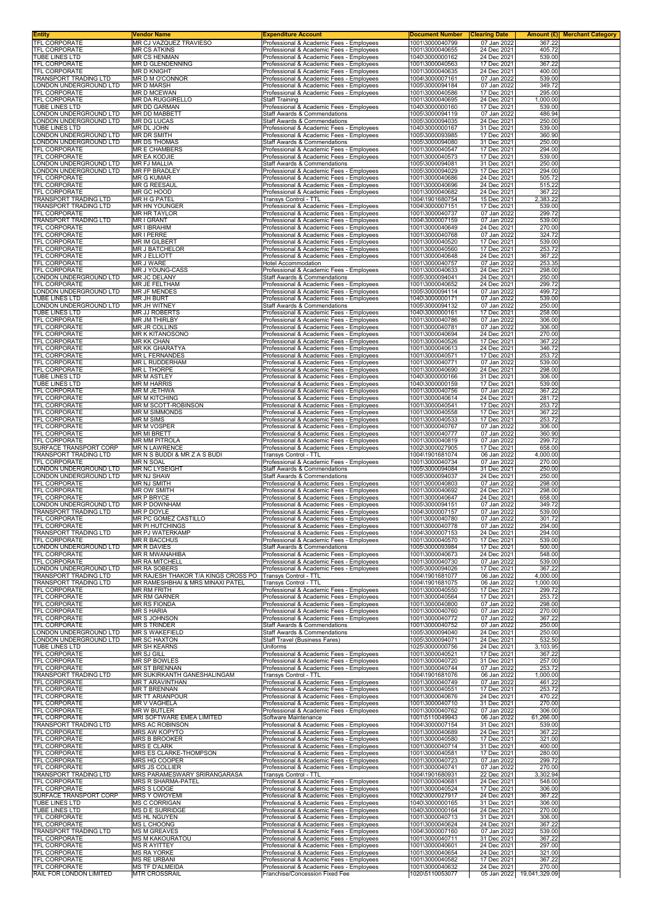| TFL CORPORATE                                                                                                                                                                                                   | Vendor Name<br>MR CJ VAZQUEZ TRAVIESO                                     | <b>Expenditure Account</b><br>Professional & Academic Fees - Employees               | <b>Document Number</b><br>1001\3000040799 | <b>Clearing Date</b><br>07 Jan 2022 | Amount (£) Merchant Category<br>367.22 |  |
|-----------------------------------------------------------------------------------------------------------------------------------------------------------------------------------------------------------------|---------------------------------------------------------------------------|--------------------------------------------------------------------------------------|-------------------------------------------|-------------------------------------|----------------------------------------|--|
| TFL CORPORATE                                                                                                                                                                                                   | <b>MR CS ATKINS</b>                                                       | Professional & Academic Fees - Employees                                             | 1001\3000040655                           | 24 Dec 2021                         | 405.72                                 |  |
| <b>TUBE LINES LTD</b>                                                                                                                                                                                           | <b>MR CS HENMAN</b>                                                       | Professional & Academic Fees - Employees                                             | 1040\3000000162                           | 24 Dec 2021                         | 539.00                                 |  |
| <b>TFL CORPORATE</b>                                                                                                                                                                                            | MR D GLENDENNING                                                          | Professional & Academic Fees - Employees                                             | 1001\3000040563                           | 17 Dec 2021                         | 367.22                                 |  |
| <b>TFL CORPORATE</b>                                                                                                                                                                                            | <b>MR D KNIGHT</b>                                                        | Professional & Academic Fees - Employees                                             | 1001\3000040635                           | 24 Dec 2021                         | 400.00                                 |  |
| TRANSPORT TRADING LTD                                                                                                                                                                                           | MR D M O'CONNOR                                                           | Professional & Academic Fees - Employees                                             | 1004\3000007161                           | 07 Jan 2022                         | 539.00                                 |  |
| LONDON UNDERGROUND LTD                                                                                                                                                                                          | <b>MR D MARSH</b>                                                         | Professional & Academic Fees - Employees                                             | 1005\3000094184                           | 07 Jan 2022                         | 349.72                                 |  |
| TFL CORPORATE                                                                                                                                                                                                   | <b>MR D MCEWAN</b>                                                        | Professional & Academic Fees - Employees                                             | 1001\3000040586                           | 17 Dec 2021                         | 295.00                                 |  |
| TFL CORPORATE                                                                                                                                                                                                   | MR DA RUGGIRELLO                                                          | <b>Staff Training</b>                                                                | 1001\3000040695                           | 24 Dec 2021                         | 1,000.00                               |  |
| TUBE LINES LTD                                                                                                                                                                                                  | MR DD GARMAN                                                              | Professional & Academic Fees - Employees                                             | 1040\3000000160                           | 17 Dec 2021                         | 539.00                                 |  |
| LONDON UNDERGROUND LTD                                                                                                                                                                                          | <b>MR DD MABBETT</b>                                                      | Staff Awards & Commendations                                                         | 1005\3000094119                           | 07 Jan 2022                         | 486.94                                 |  |
| LONDON UNDERGROUND LTD                                                                                                                                                                                          | MR DG LUCAS                                                               | Staff Awards & Commendations                                                         | 1005\3000094035                           | 24 Dec 2021                         | 250.00                                 |  |
| TUBE LINES LTD                                                                                                                                                                                                  | MR DL JOHN                                                                | Professional & Academic Fees - Employees                                             | 1040\3000000167                           | 31 Dec 2021                         | 539.00                                 |  |
| LONDON UNDERGROUND LTD                                                                                                                                                                                          | MR DR SMITH                                                               | Professional & Academic Fees - Employees                                             | 1005\3000093985                           | 17 Dec 2021                         | 360.90                                 |  |
| LONDON UNDERGROUND LTD                                                                                                                                                                                          | <b>MR DS THOMAS</b>                                                       | <b>Staff Awards &amp; Commendations</b>                                              | 1005\3000094080                           | 31 Dec 2021                         | 250.00                                 |  |
| TFL CORPORATE                                                                                                                                                                                                   | <b>MR E CHAMBERS</b>                                                      | Professional & Academic Fees - Employees                                             | 1001\3000040547                           | 17 Dec 2021                         | 294.00                                 |  |
| <b>TFL CORPORATE</b>                                                                                                                                                                                            | <b>MR EA KODJIE</b>                                                       | Professional & Academic Fees - Employees                                             | 1001\3000040573                           | 17 Dec 2021                         | 539.00                                 |  |
| LONDON UNDERGROUND LTD                                                                                                                                                                                          | <b>MR FJ MALLIA</b>                                                       | Staff Awards & Commendations                                                         | 1005\3000094081                           | 31 Dec 2021                         | 250.00                                 |  |
| LONDON UNDERGROUND LTD                                                                                                                                                                                          | MR FP BRADLEY                                                             | Professional & Academic Fees - Employees                                             | 1005\3000094029                           | 17 Dec 2021                         | 294.00                                 |  |
| TFL CORPORATE                                                                                                                                                                                                   | <b>MR G KUMAR</b>                                                         | Professional & Academic Fees - Employees                                             | 1001\3000040686                           | 24 Dec 2021                         | 505.72                                 |  |
| TFL CORPORATE                                                                                                                                                                                                   | <b>MR G REESAUL</b>                                                       | Professional & Academic Fees - Employees                                             | 1001\3000040696                           | 24 Dec 2021                         | 515.22                                 |  |
| TFL CORPORATE                                                                                                                                                                                                   | MR GC HOOD                                                                | Professional & Academic Fees - Employees                                             | 1001\3000040682                           | 24 Dec 2021                         | 367.22                                 |  |
| TRANSPORT TRADING LTD                                                                                                                                                                                           | MR H G PATEL                                                              | Transys Control - TTL                                                                | 1004\1901680754                           | 15 Dec 2021                         | 2,383.22                               |  |
| TRANSPORT TRADING LTD                                                                                                                                                                                           | <b>MR HN YOUNGER</b>                                                      | Professional & Academic Fees - Employees                                             | 1004\3000007151                           | 17 Dec 2021                         | 539.00                                 |  |
| TFL CORPORATE<br><b>TRANSPORT TRADING LTD</b>                                                                                                                                                                   | <b>MR HR TAYLOR</b>                                                       | Professional & Academic Fees - Employees                                             | 1001\3000040737                           | 07 Jan 2022                         | 299.72                                 |  |
| TFL CORPORATE                                                                                                                                                                                                   | <b>MRIGRANT</b><br><b>MR I IBRAHIM</b>                                    | Professional & Academic Fees - Employees<br>Professional & Academic Fees - Employees | 1004\3000007159<br>1001\3000040649        | 07 Jan 2022<br>24 Dec 2021          | 539.00<br>270.00                       |  |
| TFL CORPORATE                                                                                                                                                                                                   | MR I PERRE                                                                | Professional & Academic Fees - Employees                                             | 1001\3000040768                           | 07 Jan 2022                         | 324.72                                 |  |
| <b>TFL CORPORATE</b>                                                                                                                                                                                            | <b>MR IM GILBERT</b>                                                      | Professional & Academic Fees - Employees                                             | 1001\3000040520                           | 17 Dec 2021                         | 539.00                                 |  |
| TFL CORPORATE                                                                                                                                                                                                   | <b>MR J BATCHELOR</b>                                                     | Professional & Academic Fees - Employees                                             | 1001\3000040560                           | 17 Dec 2021                         | 253.72                                 |  |
| TFL CORPORATE                                                                                                                                                                                                   | MR J ELLIOTT                                                              | Professional & Academic Fees - Employees                                             | 1001\3000040648                           | 24 Dec 2021                         | 367.22                                 |  |
| <b>TFL CORPORATE</b>                                                                                                                                                                                            | <b>MR J WARE</b>                                                          | <b>Hotel Accommodation</b>                                                           | 1001\3000040757                           | 07 Jan 2022                         | 253.35                                 |  |
| <b>TFL CORPORATE</b>                                                                                                                                                                                            | MR J YOUNG-CASS                                                           | Professional & Academic Fees - Employees                                             | 1001\3000040633                           | 24 Dec 2021                         | 298.00                                 |  |
| LONDON UNDERGROUND LTD                                                                                                                                                                                          | MR JC DELANY                                                              | Staff Awards & Commendations                                                         | 1005\3000094041                           | 24 Dec 2021                         | 250.00                                 |  |
| TFL CORPORATE                                                                                                                                                                                                   | MR JE FELTHAM                                                             | Professional & Academic Fees - Employees                                             | 1001\3000040652                           | 24 Dec 2021                         | 299.72                                 |  |
| LONDON UNDERGROUND LTD                                                                                                                                                                                          | <b>MR JF MENDES</b>                                                       | Professional & Academic Fees - Employees                                             | 1005\3000094114                           | 07 Jan 2022                         | 499.72                                 |  |
| <b>TUBE LINES LTD</b>                                                                                                                                                                                           | <b>MR JH BURT</b>                                                         | Professional & Academic Fees - Employees                                             | 1040\3000000171                           | 07 Jan 2022                         | 539.00                                 |  |
| LONDON UNDERGROUND LTD                                                                                                                                                                                          | MR JH WITNEY                                                              | <b>Staff Awards &amp; Commendations</b>                                              | 1005\3000094132                           | 07 Jan 2022                         | 250.00                                 |  |
| TUBE LINES LTD                                                                                                                                                                                                  | <b>MR JJ ROBERTS</b>                                                      | Professional & Academic Fees - Employees                                             | 1040\3000000161                           | 17 Dec 2021                         | 258.00                                 |  |
| TFL CORPORATE                                                                                                                                                                                                   | <b>MR JM THIRLBY</b>                                                      | Professional & Academic Fees - Employees                                             | 1001\3000040786                           | 07 Jan 2022                         | 306.00                                 |  |
| TFL CORPORATE                                                                                                                                                                                                   | MR JR COLLINS                                                             | Professional & Academic Fees - Employees                                             | 1001\3000040781                           | 07 Jan 2022                         | 306.00                                 |  |
| <b>TFL CORPORATE</b>                                                                                                                                                                                            | <b>MR K KITANOSONO</b>                                                    | Professional & Academic Fees - Employees                                             | 1001\3000040694                           | 24 Dec 2021                         | 270.00                                 |  |
| TFL CORPORATE                                                                                                                                                                                                   | <b>MR KK CHAN</b>                                                         | Professional & Academic Fees - Employees                                             | 1001\3000040526                           | 17 Dec 2021                         | 367.22                                 |  |
| <b>TFL CORPORATE</b>                                                                                                                                                                                            | <b>MR KK GHARATYA</b>                                                     | Professional & Academic Fees - Employees                                             | 1001\3000040613                           | 24 Dec 2021                         | 346.72                                 |  |
| TFL CORPORATE                                                                                                                                                                                                   | <b>MR L FERNANDES</b>                                                     | Professional & Academic Fees - Employees                                             | 1001\3000040571                           | 17 Dec 2021                         | 253.72                                 |  |
| TFL CORPORATE                                                                                                                                                                                                   | MR L RUDDERHAM                                                            | Professional & Academic Fees - Employees                                             | 1001\3000040771                           | 07 Jan 2022                         | 539.00                                 |  |
| TFL CORPORATE                                                                                                                                                                                                   | MR L THORPE                                                               | Professional & Academic Fees - Employees                                             | 1001\3000040690                           | 24 Dec 2021                         | 298.00                                 |  |
| <b>TUBE LINES LTD</b>                                                                                                                                                                                           | <b>MR M ASTLEY</b>                                                        | Professional & Academic Fees - Employees                                             | 1040\3000000166                           | 31 Dec 2021                         | 306.00                                 |  |
| TUBE LINES LTD                                                                                                                                                                                                  | <b>MR M HARRIS</b>                                                        | Professional & Academic Fees - Employees                                             | 1040\3000000159                           | 17 Dec 2021                         | 539.00                                 |  |
| TFL CORPORATE                                                                                                                                                                                                   | MR M JETHWA                                                               | Professional & Academic Fees - Employees                                             | 1001\3000040756                           | 07 Jan 2022                         | 367.22                                 |  |
| TFL CORPORATE                                                                                                                                                                                                   | <b>MR M KITCHING</b>                                                      | Professional & Academic Fees - Employees                                             | 1001\3000040614                           | 24 Dec 2021                         | 281.72                                 |  |
| TFL CORPORATE                                                                                                                                                                                                   | MR M SCOTT-ROBINSON                                                       | Professional & Academic Fees - Employees                                             | 1001\3000040541                           | 17 Dec 2021                         | 253.72                                 |  |
| TFL CORPORATE                                                                                                                                                                                                   | MR M SIMMONDS                                                             | Professional & Academic Fees - Employees                                             | 1001\3000040558                           | 17 Dec 2021                         | 367.22                                 |  |
| TFL CORPORATE                                                                                                                                                                                                   | <b>MR M SIMS</b>                                                          | Professional & Academic Fees - Employees                                             | 1001\3000040533                           | 17 Dec 2021                         | 253.72                                 |  |
| TFL CORPORATE                                                                                                                                                                                                   | <b>MR M VOSPER</b>                                                        | Professional & Academic Fees - Employees                                             | 1001\3000040767                           | 07 Jan 2022                         | 306.00                                 |  |
| TFL CORPORATE                                                                                                                                                                                                   | <b>MR MI BRETT</b>                                                        | Professional & Academic Fees - Employees                                             | 1001\3000040777                           | 07 Jan 2022                         | 360.90                                 |  |
| TFL CORPORATE                                                                                                                                                                                                   | <b>MR MM PITROLA</b>                                                      | Professional & Academic Fees - Employees                                             | 1001\3000040819                           | 07 Jan 2022                         | 299.72                                 |  |
| SURFACE TRANSPORT CORP                                                                                                                                                                                          | <b>MR N LAWRENCE</b>                                                      | Professional & Academic Fees - Employees                                             | 1002\3000027905                           | 17 Dec 2021                         | 658.00                                 |  |
| TRANSPORT TRADING LTD                                                                                                                                                                                           | MR N S BUDDI & MR Z A S BUDI                                              | Transys Control - TTL                                                                | 1004\1901681074                           | 06 Jan 2022                         | 4,000.00                               |  |
| TFL CORPORATE                                                                                                                                                                                                   | <b>MR N SOAL</b>                                                          | Professional & Academic Fees - Employees                                             | 1001\3000040734                           | 07 Jan 2022                         | 270.00                                 |  |
| LONDON UNDERGROUND LTD                                                                                                                                                                                          | <b>MR NC LYSEIGHT</b>                                                     | Staff Awards & Commendations                                                         | 1005\3000094084                           | 31 Dec 2021                         | 250.00                                 |  |
| LONDON UNDERGROUND LTD<br>TFL CORPORATE                                                                                                                                                                         | MR NJ SHAW                                                                | Staff Awards & Commendations                                                         | 1005\3000094037<br>1001\3000040803        | 24 Dec 2021<br>07 Jan 2022          | 250.00<br>298.00                       |  |
| <b>TFL CORPORATE</b>                                                                                                                                                                                            | <b>MR NJ SMITH</b><br><b>MR OW SMITH</b>                                  | Professional & Academic Fees - Employees<br>Professional & Academic Fees - Employees | 1001\3000040692                           | 24 Dec 2021                         | 298.00                                 |  |
|                                                                                                                                                                                                                 |                                                                           |                                                                                      |                                           |                                     |                                        |  |
| TFL CORPORATE                                                                                                                                                                                                   | <b>MR P BRYCE</b>                                                         | Professional & Academic Fees - Employees                                             | 1001\3000040647                           | 24 Dec 2021                         | 658.00                                 |  |
| LONDON UNDERGROUND LTD                                                                                                                                                                                          | MR P DOWNHAM                                                              | Professional & Academic Fees - Employees                                             | 1005\3000094151                           | 07 Jan 2022                         | 349.72                                 |  |
| TRANSPORT TRADING LTD                                                                                                                                                                                           | MR P DOYLE                                                                | Professional & Academic Fees - Employees                                             | 1004\3000007157                           | 07 Jan 2022                         | 539.00                                 |  |
| TFL CORPORATE                                                                                                                                                                                                   | MR PC GOMEZ CASTILLO                                                      | Professional & Academic Fees - Employees                                             | 1001\3000040780                           | 07 Jan 2022                         | 301.72                                 |  |
| <b>IFL CORPORATE</b>                                                                                                                                                                                            | <b>MR PI HUTCHINGS</b>                                                    | Professional & Academic Fees - Emplovees                                             | 1001\3000040778                           | 07 Jan 2022                         | 294.00                                 |  |
| TRANSPORT TRADING LTD<br>TFL CORPORATE                                                                                                                                                                          | <b>MR PJ WATERKAMP</b><br><b>MR R BACCHUS</b>                             | Professional & Academic Fees - Employees                                             | 1004\3000007153<br>1001\3000040570        | 24 Dec 2021                         | 294.00                                 |  |
| LONDON UNDERGROUND LTD                                                                                                                                                                                          | <b>MR R DAVIES</b>                                                        | Professional & Academic Fees - Employees<br>Staff Awards & Commendations             | 1005\3000093984                           | 17 Dec 2021<br>17 Dec 2021          | 539.00<br>500.00                       |  |
| <b>TFL CORPORATE</b>                                                                                                                                                                                            | MR R MWANAHIBA                                                            | Professional & Academic Fees - Employees                                             | 1001\3000040673                           | 24 Dec 2021                         | 548.00                                 |  |
| TFL CORPORATE                                                                                                                                                                                                   | <b>MR RA MITCHELL</b>                                                     | Professional & Academic Fees - Employees                                             | 1001\3000040730                           | 07 Jan 2022                         | 539.00                                 |  |
| LONDON UNDERGROUND LTD<br>TRANSPORT TRADING LTD                                                                                                                                                                 | MR RA SOBERS<br>MR RAJESH THAKOR T/A KINGS CROSS PO Transys Control - TTL | Professional & Academic Fees - Employees                                             | 1005\3000094026<br>1004\1901681077        | 17 Dec 2021<br>06 Jan 2022          | 367.22<br>4,000.00                     |  |
| TRANSPORT TRADING LTD                                                                                                                                                                                           | <b>IMR RAMESHBHAI &amp; MRS MINAXI PATEL</b>                              | Transys Control - TTL                                                                | 1004\1901681075                           | 06 Jan 2022                         | 1,000.00                               |  |
| TFL CORPORATE                                                                                                                                                                                                   | <b>MR RM FRITH</b>                                                        | Professional & Academic Fees - Employees                                             | 1001\3000040550                           | 17 Dec 2021                         | 299.72                                 |  |
| TFL CORPORATE                                                                                                                                                                                                   | <b>MR RM GARNER</b>                                                       | Professional & Academic Fees - Employees                                             | 1001\3000040564                           | 17 Dec 2021                         | 253.72                                 |  |
| <b>TFL CORPORATE</b>                                                                                                                                                                                            | MR RS FIONDA                                                              | Professional & Academic Fees - Employees                                             | 1001\3000040800                           | 07 Jan 2022                         | 298.00                                 |  |
| TFL CORPORATE                                                                                                                                                                                                   | <b>MR S HARIA</b>                                                         | Professional & Academic Fees - Employees                                             | 1001\3000040760                           | 07 Jan 2022                         | 270.00                                 |  |
| <b>TFL CORPORATE</b><br>TFL CORPORATE                                                                                                                                                                           | MR S JOHNSON<br><b>MR S TRINDER</b>                                       | Professional & Academic Fees - Employees<br><b>Staff Awards &amp; Commendations</b>  | 1001\3000040772                           | 07 Jan 2022                         | 367.22<br>250.00                       |  |
| LONDON UNDERGROUND LTD                                                                                                                                                                                          | <b>MR S WAKEFIELD</b>                                                     | <b>Staff Awards &amp; Commendations</b>                                              | 1001\3000040752<br>1005\3000094040        | 07 Jan 2022<br>24 Dec 2021          | 250.00                                 |  |
| LONDON UNDERGROUND LTD                                                                                                                                                                                          | <b>MR SC HAXTON</b>                                                       | Staff Travel (Business Fares)                                                        | 1005\3000094071                           | 24 Dec 2021                         | 532.50                                 |  |
| TUBE LINES LTD                                                                                                                                                                                                  | <b>MR SH KEARNS</b>                                                       | Uniforms                                                                             | 1025\3000000756                           | 24 Dec 2021                         | 3,103.95                               |  |
| TFL CORPORATE                                                                                                                                                                                                   | MR SJ GILL                                                                | Professional & Academic Fees - Employees                                             | 1001\3000040521                           | 17 Dec 2021                         | 367.22                                 |  |
| TFL CORPORATE                                                                                                                                                                                                   | MR SP BOWLES                                                              | Professional & Academic Fees - Employees                                             | 1001\3000040720                           | 31 Dec 2021                         | 257.00                                 |  |
| TFL CORPORATE                                                                                                                                                                                                   | <b>MR ST BRENNAN</b>                                                      | Professional & Academic Fees - Employees                                             | 1001\3000040744                           | 07 Jan 2022                         | 253.72                                 |  |
| TRANSPORT TRADING LTD                                                                                                                                                                                           | MR SUKIRKANTH GANESHALINGAM                                               | Transys Control - TTL                                                                | 1004\1901681076                           | 06 Jan 2022                         | 1,000.00                               |  |
| TFL CORPORATE                                                                                                                                                                                                   | MR T ARAVINTHAN                                                           | Professional & Academic Fees - Employees                                             | 1001\3000040749                           | 07 Jan 2022                         | 461.22                                 |  |
| TFL CORPORATE                                                                                                                                                                                                   | <b>MR T BRENNAN</b>                                                       | Professional & Academic Fees - Employees                                             | 1001\3000040551                           | 17 Dec 2021                         | 253.72                                 |  |
| TFL CORPORATE                                                                                                                                                                                                   | MR TT ARIANPOUR                                                           | Professional & Academic Fees - Employees                                             | 1001\3000040676                           | 24 Dec 2021                         | 470.22                                 |  |
| TFL CORPORATE                                                                                                                                                                                                   | MR V VAGHELA                                                              | Professional & Academic Fees - Employees                                             | 1001\3000040710                           | 31 Dec 2021                         | 270.00                                 |  |
| TFL CORPORATE                                                                                                                                                                                                   | <b>MR W BUTLER</b>                                                        | Professional & Academic Fees - Employees                                             | 1001\3000040762                           | 07 Jan 2022                         | 306.00                                 |  |
| TFL CORPORATE                                                                                                                                                                                                   | MRI SOFTWARE EMEA LIMITED                                                 | Software Maintenance                                                                 | 1001\5110049943                           | 06 Jan 2022                         | 61,266.00                              |  |
| TRANSPORT TRADING LTD                                                                                                                                                                                           | MRS AC ROBINSON                                                           | Professional & Academic Fees - Employees                                             | 1004\3000007154                           | 31 Dec 2021                         | 539.00                                 |  |
| <b>TFL CORPORATE</b>                                                                                                                                                                                            | MRS AW KOPYTO                                                             | Professional & Academic Fees - Employees                                             | 1001\3000040689                           | 24 Dec 2021                         | 367.22                                 |  |
| TFL CORPORATE                                                                                                                                                                                                   | <b>MRS B BROOKER</b>                                                      | Professional & Academic Fees - Employees                                             | 1001\3000040580                           | 17 Dec 2021                         | 321.00                                 |  |
| TFL CORPORATE                                                                                                                                                                                                   | MRS E CLARK                                                               | Professional & Academic Fees - Employees                                             | 1001\3000040714                           | 31 Dec 2021                         | 400.00                                 |  |
| TFL CORPORATE                                                                                                                                                                                                   | MRS ES CLARKE-THOMPSON                                                    | Professional & Academic Fees - Employees                                             | 1001\3000040581                           | 17 Dec 2021                         | 280.00                                 |  |
| TFL CORPORATE                                                                                                                                                                                                   | MRS HG COOPER                                                             | Professional & Academic Fees - Employees                                             | 1001\3000040723                           | 07 Jan 2022                         | 299.72                                 |  |
| TFL CORPORATE                                                                                                                                                                                                   | MRS JS COLLIER                                                            | Professional & Academic Fees - Employees                                             | 1001\3000040741                           | 07 Jan 2022                         | 270.00                                 |  |
|                                                                                                                                                                                                                 | MRS PARAMESWARY SRIRANGARASA<br><b>MRS R SHARMA-PATEL</b>                 | Transys Control - TTL<br>Professional & Academic Fees - Employees                    | 1004\1901680931<br>1001\3000040681        | 22 Dec 2021<br>24 Dec 2021          | 3,302.94<br>548.00                     |  |
|                                                                                                                                                                                                                 | MRS S LODGE                                                               | Professional & Academic Fees - Employees                                             | 1001\3000040524                           | 17 Dec 2021                         | 306.00                                 |  |
|                                                                                                                                                                                                                 | <b>MRS Y OWOYEMI</b><br><b>MS C CORRIGAN</b>                              | Professional & Academic Fees - Employees<br>Professional & Academic Fees - Employees | 1002\3000027917<br>1040\3000000165        | 24 Dec 2021<br>31 Dec 2021          | 367.22<br>306.00                       |  |
|                                                                                                                                                                                                                 | MS D E SURRIDGE<br>MS HL NGUYEN                                           | Professional & Academic Fees - Employees<br>Professional & Academic Fees - Employees | 1040\3000000164<br>1001\3000040713        | 24 Dec 2021<br>31 Dec 2021          | 270.00<br>306.00                       |  |
|                                                                                                                                                                                                                 | MS L CHOONG                                                               | Professional & Academic Fees - Employees                                             | 1001\3000040624                           | 24 Dec 2021                         | 367.22                                 |  |
| TRANSPORT TRADING LTD<br>TFL CORPORATE<br>TFL CORPORATE<br>SURFACE TRANSPORT CORP<br>TUBE LINES LTD<br>TUBE LINES LTD<br><b>TFL CORPORATE</b><br>TFL CORPORATE<br>TRANSPORT TRADING LTD<br><b>TFL CORPORATE</b> | <b>MS M GREAVES</b><br><b>MS M KAKOURATOU</b>                             | Professional & Academic Fees - Employees<br>Professional & Academic Fees - Employees | 1004\3000007160<br>1001\3000040711        | 07 Jan 2022<br>31 Dec 2021          | 539.00<br>367.22                       |  |
| TFL CORPORATE                                                                                                                                                                                                   | <b>MS R AYITTEY</b>                                                       | Professional & Academic Fees - Employees                                             | 1001\3000040601                           | 24 Dec 2021                         | 297.00                                 |  |
| TFL CORPORATE                                                                                                                                                                                                   | <b>MS RA YORKE</b>                                                        | Professional & Academic Fees - Employees                                             | 1001\3000040654                           | 24 Dec 2021                         | 321.00                                 |  |
| TFL CORPORATE                                                                                                                                                                                                   | <b>MS RE URBANI</b>                                                       | Professional & Academic Fees - Employees                                             | 1001\3000040582                           | 17 Dec 2021                         | 367.22                                 |  |
| TFL CORPORATE                                                                                                                                                                                                   | <b>MS TF D'ALMEIDA</b>                                                    | Professional & Academic Fees - Employees                                             | 1001\3000040632                           | 24 Dec 2021                         | 270.00                                 |  |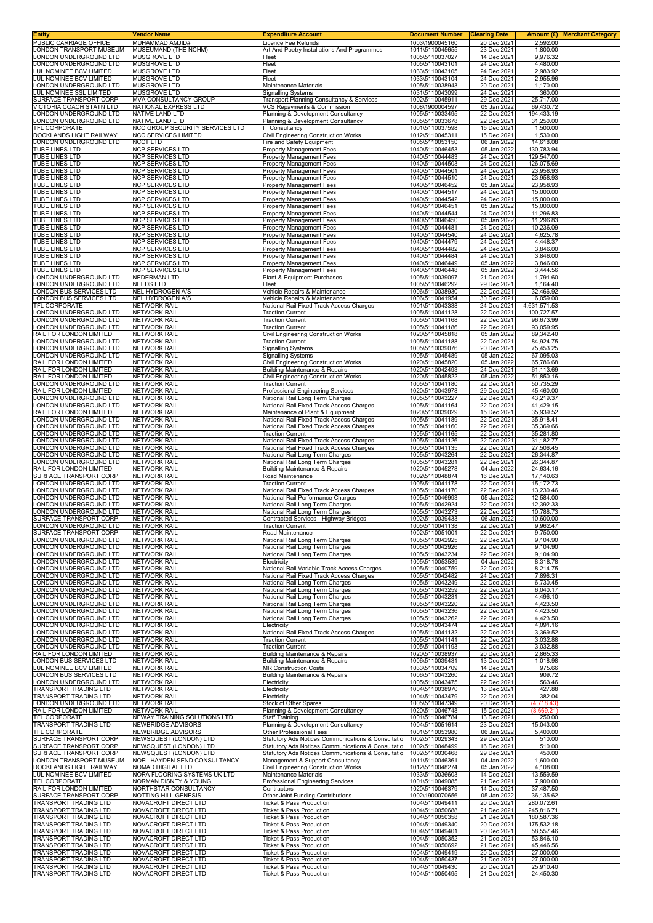| Entity                                             | Vendor Name                                             | <b>Expenditure Account</b>                                                                               | <b>Document Number</b>             | <b>Clearing Date</b>       |                          | Amount (£) Merchant Category |
|----------------------------------------------------|---------------------------------------------------------|----------------------------------------------------------------------------------------------------------|------------------------------------|----------------------------|--------------------------|------------------------------|
| PUBLIC CARRIAGE OFFICE<br>LONDON TRANSPORT MUSEUM  | MUHAMMAD AMJID#<br>MUSEUMAND (THE NCHM)                 | Licence Fee Refunds<br>Art And Poetry Installations And Programmes                                       | 1003\1900045160<br>1011\5110045655 | 20 Dec 2021<br>23 Dec 2021 | 2,592.00<br>1,800.00     |                              |
| LONDON UNDERGROUND LTD                             | MUSGROVE LTD                                            | Fleet                                                                                                    | 1005\5110037027                    | 14 Dec 2021                | 9,976.32                 |                              |
| LONDON UNDERGROUND LTD<br>LUL NOMINEE BCV LIMITED  | MUSGROVE LTD<br>MUSGROVE LTD                            | Fleet<br>Fleet                                                                                           | 1005\5110043101<br>1033\5110043105 | 24 Dec 2021<br>24 Dec 2021 | 4,480.00<br>2,983.92     |                              |
| LUL NOMINEE BCV LIMITED                            | MUSGROVE LTD                                            | Fleet                                                                                                    | 1033\5110043104                    | 24 Dec 2021                | 2,955.96                 |                              |
| LONDON UNDERGROUND LTD                             | MUSGROVE LTD                                            | Maintenance Materials                                                                                    | 1005\5110038943                    | 20 Dec 2021                | 1,170.00                 |                              |
| LUL NOMINEE SSL LIMITED<br>SURFACE TRANSPORT CORP  | <b>MUSGROVE LTD</b><br>MVA CONSULTANCY GROUP            | <b>Signalling Systems</b><br>Transport Planning Consultancy & Services                                   | 1031\5110043099<br>1002\5110045911 | 24 Dec 2021<br>29 Dec 2021 | 360.00<br>25,717.00      |                              |
| VICTORIA COACH STATN LTD                           | NATIONAL EXPRESS LTD                                    | VCS Repayments & Commission                                                                              | 1008\1900004597                    | 05 Jan 2022                | 69,430.72                |                              |
| LONDON UNDERGROUND LTD                             | NATIVE LAND LTD                                         | Planning & Development Consultancy                                                                       | 1005\5110033495                    | 22 Dec 2021                | 194,433.19               |                              |
| LONDON UNDERGROUND LTD<br>TFL CORPORATE            | NATIVE LAND LTD<br>NCC GROUP SECURITY SERVICES LTD      | Planning & Development Consultancy<br>IT Consultancy                                                     | 1005\5110033678<br>1001\5110037598 | 22 Dec 2021<br>15 Dec 2021 | 31,250.00<br>1,500.00    |                              |
| DOCKLANDS LIGHT RAILWAY                            | <b>NCC SERVICES LIMITED</b>                             | Civil Engineering Construction Works                                                                     | 1012\5110045311                    | 15 Dec 2021                | 1,530.00                 |                              |
| LONDON UNDERGROUND LTD<br>TUBE LINES LTD           | <b>NCCT LTD</b><br><b>NCP SERVICES LTD</b>              | Fire and Safety Equipment<br>Property Management Fees                                                    | 1005\5110053150<br>1040\5110046453 | 06 Jan 2022<br>05 Jan 2022 | 14,618.08<br>130,783.94  |                              |
| TUBE LINES LTD                                     | <b>NCP SERVICES LTD</b>                                 | Property Management Fees                                                                                 | 1040\5110044483                    | 24 Dec 2021                | 129,547.00               |                              |
| <b>TUBE LINES LTD</b><br><b>TUBE LINES LTD</b>     | NCP SERVICES LTD                                        | Property Management Fees                                                                                 | 1040\5110044503                    | 24 Dec 2021<br>24 Dec 2021 | 126,075.69<br>23,958.93  |                              |
| TUBE LINES LTD                                     | NCP SERVICES LTD<br><b>NCP SERVICES LTD</b>             | Property Management Fees<br>Property Management Fees                                                     | 1040\5110044501<br>1040\5110044510 | 24 Dec 2021                | 23,958.93                |                              |
| TUBE LINES LTD                                     | <b>NCP SERVICES LTD</b>                                 | Property Management Fees                                                                                 | 1040\5110046452                    | 05 Jan 2022                | 23,958.93                |                              |
| TUBE LINES LTD<br><b>TUBE LINES LTD</b>            | <b>NCP SERVICES LTD</b><br><b>NCP SERVICES LTD</b>      | <b>Property Management Fees</b><br>Property Management Fees                                              | 1040\5110044517<br>1040\5110044542 | 24 Dec 2021<br>24 Dec 2021 | 15,000.00<br>15,000.00   |                              |
| TUBE LINES LTD                                     | <b>NCP SERVICES LTD</b>                                 | Property Management Fees                                                                                 | 1040\5110046451                    | 05 Jan 2022                | 15,000.00                |                              |
| TUBE LINES LTD<br><b>TUBE LINES LTD</b>            | <b>NCP SERVICES LTD</b><br><b>NCP SERVICES LTD</b>      | Property Management Fees<br>Property Management Fees                                                     | 1040\5110044544<br>1040\5110046450 | 24 Dec 2021<br>05 Jan 2022 | 11,296.83<br>11,296.83   |                              |
| TUBE LINES LTD                                     | <b>NCP SERVICES LTD</b>                                 | Property Management Fees                                                                                 | 1040\5110044481                    | 24 Dec 2021                | 10,236.09                |                              |
| <b>TUBE LINES LTD</b>                              | NCP SERVICES LTD                                        | Property Management Fees                                                                                 | 1040\5110044540<br>1040\5110044479 | 24 Dec 2021                | 4,625.78                 |                              |
| <b>TUBE LINES LTD</b><br>TUBE LINES LTD            | <b>NCP SERVICES LTD</b><br><b>NCP SERVICES LTD</b>      | <b>Property Management Fees</b><br>Property Management Fees                                              | 1040\5110044482                    | 24 Dec 2021<br>24 Dec 2021 | 4,448.37<br>3,846.00     |                              |
| <b>TUBE LINES LTD</b>                              | NCP SERVICES LTD                                        | Property Management Fees                                                                                 | 1040\5110044484                    | 24 Dec 2021                | 3,846.00                 |                              |
| <b>TUBE LINES LTD</b><br>TUBE LINES LTD            | <b>NCP SERVICES LTD</b><br><b>NCP SERVICES LTD</b>      | <b>Property Management Fees</b><br><b>Property Management Fees</b>                                       | 1040\5110046449<br>1040\5110046448 | 05 Jan 2022<br>05 Jan 2022 | 3,846.00<br>3,444.56     |                              |
| LONDON UNDERGROUND LTD                             | <b>NEDERMAN LTD</b>                                     | Plant & Equipment Purchases                                                                              | 1005\5110039097                    | 21 Dec 2021                | 1,791.60                 |                              |
| LONDON UNDERGROUND LTD                             | NEEDS LTD                                               | Fleet<br>Vehicle Repairs & Maintenance                                                                   | 1005\5110046292                    | 29 Dec 2021<br>22 Dec 2021 | 1,164.40                 |                              |
| LONDON BUS SERVICES LTD<br>LONDON BUS SERVICES LTD | <b>NEL HYDROGEN A/S</b><br><b>NEL HYDROGEN A/S</b>      | Vehicle Repairs & Maintenance                                                                            | 1006\5110038930<br>1006\5110041954 | 30 Dec 2021                | 32,466.92<br>6,059.00    |                              |
| TFL CORPORATE                                      | <b>NETWORK RAIL</b>                                     | National Rail Fixed Track Access Charges                                                                 | 1001\5110043338                    | 24 Dec 2021                | 4,631,571.53             |                              |
| LONDON UNDERGROUND LTD<br>LONDON UNDERGROUND LTD   | <b>NETWORK RAIL</b><br><b>NETWORK RAIL</b>              | <b>Traction Current</b><br><b>Traction Current</b>                                                       | 1005\5110041128<br>1005\5110041168 | 22 Dec 2021<br>22 Dec 2021 | 100,727.57<br>96,673.99  |                              |
| LONDON UNDERGROUND LTD                             | <b>NETWORK RAIL</b>                                     | <b>Traction Current</b>                                                                                  | 1005\5110041186                    | 22 Dec 2021                | 93,059.95                |                              |
| RAIL FOR LONDON LIMITED<br>LONDON UNDERGROUND LTD  | <b>NETWORK RAIL</b><br><b>NETWORK RAIL</b>              | Civil Engineering Construction Works<br><b>Traction Current</b>                                          | 1020\5110045818<br>1005\5110041188 | 05 Jan 2022<br>22 Dec 2021 | 89,342.40<br>84,924.75   |                              |
| LONDON UNDERGROUND LTD                             | <b>NETWORK RAIL</b>                                     | <b>Signalling Systems</b>                                                                                | 1005\5110039076                    | 20 Dec 2021                | 75,453.25                |                              |
| LONDON UNDERGROUND LTD                             | <b>NETWORK RAIL</b>                                     | <b>Signalling Systems</b>                                                                                | 1005\5110045489                    | 05 Jan 2022                | 67,095.03                |                              |
| RAIL FOR LONDON LIMITED<br>RAIL FOR LONDON LIMITED | <b>NETWORK RAIL</b><br><b>NETWORK RAIL</b>              | Civil Engineering Construction Works<br><b>Building Maintenance &amp; Repairs</b>                        | 1020\5110045820<br>1020\5110042493 | 05 Jan 2022<br>24 Dec 2021 | 65,786.68<br>61,113.69   |                              |
| RAIL FOR LONDON LIMITED                            | <b>NETWORK RAIL</b>                                     | <b>Civil Engineering Construction Works</b>                                                              | 1020\5110045822                    | 05 Jan 2022                | 51,850.16                |                              |
| LONDON UNDERGROUND LTD<br>RAIL FOR LONDON LIMITED  | <b>NETWORK RAIL</b><br><b>NETWORK RAIL</b>              | <b>Traction Current</b><br>Professional Engineering Services                                             | 1005\5110041180<br>1020\5110043978 | 22 Dec 2021<br>29 Dec 2021 | 50,735.29<br>45,460.00   |                              |
| LONDON UNDERGROUND LTD                             | <b>NETWORK RAIL</b>                                     | National Rail Long Term Charges                                                                          | 1005\5110043227                    | 22 Dec 2021                | 43,219.37                |                              |
| LONDON UNDERGROUND LTD                             | <b>NETWORK RAIL</b>                                     | National Rail Fixed Track Access Charges                                                                 | 1005\5110041164<br>1020\5110039029 | 22 Dec 2021                | 41,429.15<br>35,939.52   |                              |
| RAIL FOR LONDON LIMITED<br>LONDON UNDERGROUND LTD  | <b>NETWORK RAIL</b><br><b>NETWORK RAIL</b>              | Maintenance of Plant & Equipment<br>National Rail Fixed Track Access Charges                             | 1005\5110041189                    | 15 Dec 2021<br>22 Dec 2021 | 35,918.41                |                              |
| LONDON UNDERGROUND LTD                             | NETWORK RAIL                                            | National Rail Fixed Track Access Charges                                                                 | 1005\5110041160                    | 22 Dec 2021                | 35,369.66                |                              |
| LONDON UNDERGROUND LTD<br>LONDON UNDERGROUND LTD   | <b>NETWORK RAIL</b><br><b>NETWORK RAIL</b>              | <b>Traction Current</b><br>National Rail Fixed Track Access Charges                                      | 1005\5110041165<br>1005\5110041126 | 22 Dec 2021<br>22 Dec 2021 | 35,281.80<br>31,182.77   |                              |
| LONDON UNDERGROUND LTD                             | <b>NETWORK RAIL</b>                                     | National Rail Fixed Track Access Charges                                                                 | 1005\5110041135                    | 22 Dec 2021                | 27,506.45                |                              |
| LONDON UNDERGROUND LTD<br>LONDON UNDERGROUND LTD   | <b>NETWORK RAIL</b><br><b>NETWORK RAIL</b>              | National Rail Long Term Charges<br>National Rail Long Term Charges                                       | 1005\5110043264<br>1005\5110043281 | 22 Dec 2021<br>22 Dec 2021 | 26,344.87<br>26,344.87   |                              |
| RAIL FOR LONDON LIMITED                            | <b>NETWORK RAIL</b>                                     | <b>Building Maintenance &amp; Repairs</b>                                                                | 1020\5110045278                    | 04 Jan 2022                | 24,634.16                |                              |
| SURFACE TRANSPORT CORP<br>LONDON UNDERGROUND LTD   | <b>NETWORK RAIL</b><br><b>NETWORK RAIL</b>              | Road Maintenance<br><b>Traction Current</b>                                                              | 1002\5110048874<br>1005\5110041178 | 16 Dec 2021<br>22 Dec 2021 | 17,140.63<br>15,172.73   |                              |
| LONDON UNDERGROUND LTD                             | <b>NETWORK RAIL</b>                                     | National Rail Fixed Track Access Charges                                                                 | 1005\5110041170                    | 22 Dec 2021                | 13,230.46                |                              |
| LONDON UNDERGROUND LTD                             | <b>NETWORK RAIL</b>                                     | National Rail Performance Charges                                                                        | 1005\5110046993                    | 05 Jan 2022                | 12,584.00                |                              |
| LONDON UNDERGROUND LTD<br>LONDON UNDERGROUND LTD   | <b>NETWORK RAIL</b><br><b>NETWORK RAIL</b>              | National Rail Long Term Charges<br>National Rail Long Term Charges                                       | 1005\5110042924<br>1005\5110043273 | 22 Dec 2021<br>22 Dec 2021 | 12,392.33<br>10,788.73   |                              |
| SURFACE TRANSPORT CORP                             | <b>NETWORK RAIL</b>                                     | Contracted Services - Highway Bridges                                                                    | 1002\5110039433                    | 06 Jan 2022                | 10,600.00                |                              |
| LONDON UNDERGROUND LTD<br>SURFACE TRANSPORT CORP   | NE I WORK RAII<br><b>NETWORK RAIL</b>                   | I raction Current<br>Road Maintenance                                                                    | 1005\5110041138<br>1002\5110051001 | 22 Dec 2021<br>22 Dec 2021 | 9,962.47<br>9,750.00     |                              |
| LONDON UNDERGROUND LTD                             | <b>NETWORK RAIL</b>                                     | National Rail Long Term Charges                                                                          | 1005\5110042925                    | 22 Dec 2021                | 9,104.90                 |                              |
| LONDON UNDERGROUND LTD<br>LONDON UNDERGROUND LTD   | <b>NETWORK RAIL</b><br><b>NETWORK RAIL</b>              | National Rail Long Term Charges<br>National Rail Long Term Charges                                       | 1005\5110042926<br>1005\5110043234 | 22 Dec 2021<br>22 Dec 2021 | 9,104.90<br>9,104.90     |                              |
| LONDON UNDERGROUND LTD                             | <b>NETWORK RAIL</b>                                     | Electricity                                                                                              | 1005\5110053539                    | 04 Jan 2022                | 8,318.78                 |                              |
| LONDON UNDERGROUND LTD                             | <b>NETWORK RAIL</b>                                     | National Rail Variable Track Access Charges                                                              | 1005\5110040759                    | 22 Dec 2021                | 8,214.75                 |                              |
| LONDON UNDERGROUND LTD<br>LONDON UNDERGROUND LTD   | <b>NETWORK RAIL</b><br><b>NETWORK RAIL</b>              | National Rail Fixed Track Access Charges<br>National Rail Long Term Charges                              | 1005\5110042482<br>1005\5110043249 | 24 Dec 2021<br>22 Dec 2021 | 7,898.31<br>6,730.45     |                              |
| LONDON UNDERGROUND LTD                             | <b>NETWORK RAIL</b>                                     | National Rail Long Term Charges                                                                          | 1005\5110043259                    | 22 Dec 2021                | 6,040.17                 |                              |
| LONDON UNDERGROUND LTD<br>LONDON UNDERGROUND LTD   | <b>NETWORK RAIL</b><br><b>NETWORK RAIL</b>              | National Rail Long Term Charges<br>National Rail Long Term Charges                                       | 1005\5110043231<br>1005\5110043220 | 22 Dec 2021<br>22 Dec 2021 | 4,496.10<br>4,423.50     |                              |
| LONDON UNDERGROUND LTD                             | <b>NETWORK RAIL</b>                                     | National Rail Long Term Charges                                                                          | 1005\5110043236                    | 22 Dec 2021                | 4,423.50                 |                              |
| LONDON UNDERGROUND LTD<br>LONDON UNDERGROUND LTD   | <b>NETWORK RAIL</b><br><b>NETWORK RAIL</b>              | National Rail Long Term Charges<br>Electricity                                                           | 1005\5110043262<br>1005\5110043474 | 22 Dec 2021<br>22 Dec 2021 | 4,423.50<br>4,091.16     |                              |
| LONDON UNDERGROUND LTD                             | NETWORK RAIL                                            | National Rail Fixed Track Access Charges                                                                 | 1005\5110041132                    | 22 Dec 2021                | 3,369.52                 |                              |
| LONDON UNDERGROUND LTD                             | <b>NETWORK RAIL</b>                                     | <b>Traction Current</b>                                                                                  | 1005\5110041141                    | 22 Dec 2021                | 3,032.88                 |                              |
| LONDON UNDERGROUND LTD<br>RAIL FOR LONDON LIMITED  | NETWORK RAIL<br><b>NETWORK RAIL</b>                     | <b>Traction Current</b><br><b>Building Maintenance &amp; Repairs</b>                                     | 1005\5110041193<br>1020\5110038937 | 22 Dec 2021<br>20 Dec 2021 | 3,032.88<br>2,865.33     |                              |
| LONDON BUS SERVICES LTD                            | <b>NETWORK RAIL</b>                                     | Building Maintenance & Repairs                                                                           | 1006\5110039431                    | 13 Dec 2021                | 1,018.98                 |                              |
| LUL NOMINEE BCV LIMITED<br>LONDON BUS SERVICES LTD | <b>NETWORK RAIL</b><br><b>NETWORK RAIL</b>              | <b>MR Construction Costs</b><br>Building Maintenance & Repairs                                           | 1033\5110034709<br>1006\5110043260 | 14 Dec 2021<br>22 Dec 2021 | 975.66<br>909.72         |                              |
| LONDON UNDERGROUND LTD                             | <b>NETWORK RAIL</b>                                     | Electricity                                                                                              | 1005\5110043475                    | 22 Dec 2021                | 563.46                   |                              |
| TRANSPORT TRADING LTD<br>TRANSPORT TRADING LTD     | <b>NETWORK RAIL</b><br><b>NETWORK RAIL</b>              | Electricity<br>Electricity                                                                               | 1004\5110038970<br>1004\5110043479 | 13 Dec 2021<br>22 Dec 2021 | 427.88<br>382.04         |                              |
| LONDON UNDERGROUND LTD                             | NETWORK RAIL                                            | Stock of Other Spares                                                                                    | 1005\5110047349                    | 20 Dec 2021                | (4, 718.43)              |                              |
| RAIL FOR LONDON LIMITED                            | <b>NETWORK RAIL</b>                                     | Planning & Development Consultancy                                                                       | 1020\5110046748                    | 15 Dec 2021                | (8,669.21)               |                              |
| TFL CORPORATE<br>TRANSPORT TRADING LTD             | NEWAY TRAINING SOLUTIONS LTD<br>NEWBRIDGE ADVISORS      | Staff Training<br>Planning & Development Consultancy                                                     | 1001\5110046784<br>1004\5110051614 | 13 Dec 2021<br>23 Dec 2021 | 250.00<br>15,043.00      |                              |
| TFL CORPORATE                                      | NEWBRIDGE ADVISORS                                      | Other Professional Fees                                                                                  | 1001\5110053980                    | 06 Jan 2022                | 5,400.00                 |                              |
| SURFACE TRANSPORT CORP<br>SURFACE TRANSPORT CORP   | <b>NEWSQUEST (LONDON) LTD</b><br>NEWSQUEST (LONDON) LTD | Statutory Ads Notices Communications & Consultatio<br>Statutory Ads Notices Communications & Consultatio | 1002\5110029343<br>1002\5110048499 | 29 Dec 2021<br>16 Dec 2021 | 510.00<br>510.00         |                              |
| SURFACE TRANSPORT CORP                             | NEWSQUEST (LONDON) LTD                                  | Statutory Ads Notices Communications & Consultatio                                                       | 1002\5110030468                    | 29 Dec 2021                | 450.00                   |                              |
| LONDON TRANSPORT MUSEUM<br>DOCKLANDS LIGHT RAILWAY | NOEL HAYDEN SEND CONSULTANCY<br>NOMAD DIGITAL LTD       | Management & Support Consultancy<br>Civil Engineering Construction Works                                 | 1011\5110046361<br>1012\5110048274 | 04 Jan 2022<br>05 Jan 2022 | 1,600.00<br>4,108.00     |                              |
| LUL NOMINEE BCV LIMITED                            | NORA FLOORING SYSTEMS UK LTD                            | Maintenance Materials                                                                                    | 1033\5110036603                    | 14 Dec 2021                | 13,559.59                |                              |
| <b>TFL CORPORATE</b>                               | NORMAN DISNEY & YOUNG                                   | Professional Engineering Services                                                                        | 1001\5110049085                    | 21 Dec 2021                | 7,900.00                 |                              |
| RAIL FOR LONDON LIMITED<br>SURFACE TRANSPORT CORP  | NORTHSTAR CONSULTANCY<br>NOTTING HILL GENESIS           | Contractors<br>Other Joint Funding Contributions                                                         | 1020\5110046379<br>1002\1900070656 | 14 Dec 2021<br>05 Jan 2022 | 37,487.50<br>36,135.62   |                              |
| TRANSPORT TRADING LTD                              | NOVACROFT DIRECT LTD                                    | Ticket & Pass Production                                                                                 | 1004\5110049411                    | 20 Dec 2021                | 280,072.61               |                              |
| TRANSPORT TRADING LTD<br>TRANSPORT TRADING LTD     | NOVACROFT DIRECT LTD<br>NOVACROFT DIRECT LTD            | Ticket & Pass Production<br><b>Ticket &amp; Pass Production</b>                                          | 1004\5110050688<br>1004\5110050358 | 21 Dec 2021<br>21 Dec 2021 | 245,816.71<br>180,587.36 |                              |
| TRANSPORT TRADING LTD                              | NOVACROFT DIRECT LTD                                    | Ticket & Pass Production                                                                                 | 1004\5110049340                    | 20 Dec 2021                | 175,532.18               |                              |
| TRANSPORT TRADING LTD<br>TRANSPORT TRADING LTD     | NOVACROFT DIRECT LTD<br>NOVACROFT DIRECT LTD            | Ticket & Pass Production<br>Ticket & Pass Production                                                     | 1004\5110049401<br>1004\5110050352 | 20 Dec 2021<br>21 Dec 2021 | 58,557.46<br>53,846.10   |                              |
| TRANSPORT TRADING LTD                              | NOVACROFT DIRECT LTD                                    | <b>Ticket &amp; Pass Production</b>                                                                      | 1004\5110050692                    | 21 Dec 2021                | 45,446.56                |                              |
| TRANSPORT TRADING LTD                              | NOVACROFT DIRECT LTD                                    | Ticket & Pass Production                                                                                 | 1004\5110049419                    | 20 Dec 2021                | 27,000.00                |                              |
| TRANSPORT TRADING LTD<br>TRANSPORT TRADING LTD     | NOVACROFT DIRECT LTD<br>NOVACROFT DIRECT LTD            | Ticket & Pass Production<br><b>Ticket &amp; Pass Production</b>                                          | 1004\5110050437<br>1004\5110049430 | 21 Dec 2021<br>20 Dec 2021 | 27,000.00<br>25,910.40   |                              |
| TRANSPORT TRADING LTD                              | NOVACROFT DIRECT LTD                                    | Ticket & Pass Production                                                                                 | 1004\5110050495                    | 21 Dec 2021                | 24,450.30                |                              |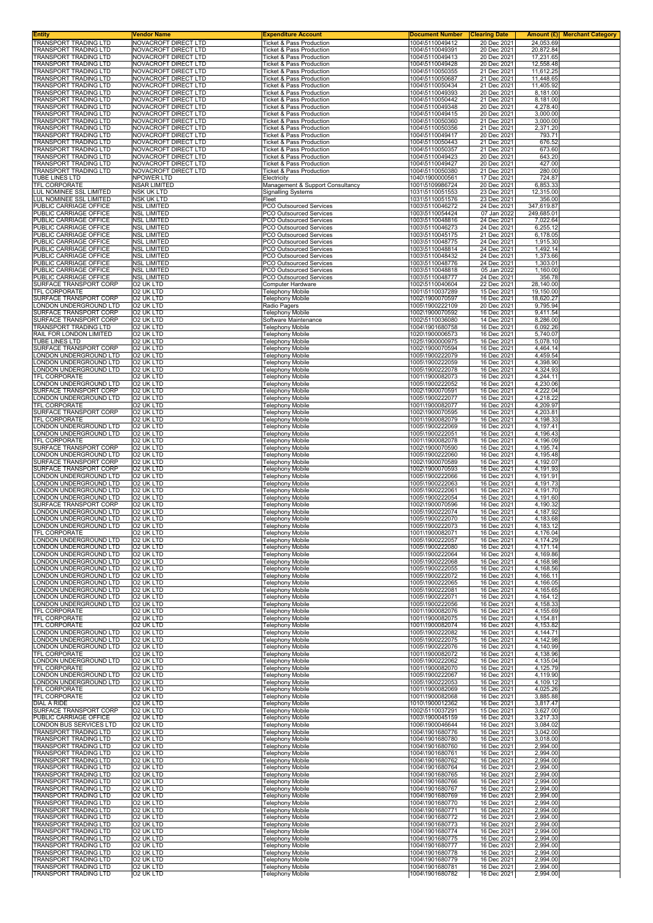| <b>Entity</b>                                                | <b>Vendor Name</b>                           | <b>Expenditure Account</b>                                                 | <b>Document Number</b>             | <b>Clearing Date</b>       | Amount (£) Merchant Category |
|--------------------------------------------------------------|----------------------------------------------|----------------------------------------------------------------------------|------------------------------------|----------------------------|------------------------------|
| <b>TRANSPORT TRADING LTD</b><br>TRANSPORT TRADING LTD        | NOVACROFT DIRECT LTD<br>NOVACROFT DIRECT LTD | <b>Ticket &amp; Pass Production</b><br><b>Ticket &amp; Pass Production</b> | 1004\5110049412<br>1004\5110049391 | 20 Dec 2021<br>20 Dec 2021 | 24,053.69<br>20,872.84       |
| TRANSPORT TRADING LTD                                        | NOVACROFT DIRECT LTD                         | <b>Ticket &amp; Pass Production</b>                                        | 1004\5110049413                    | 20 Dec 2021                | 17,231.65                    |
| <b>TRANSPORT TRADING LTD</b>                                 | NOVACROFT DIRECT LTD                         | <b>Ticket &amp; Pass Production</b>                                        | 1004\5110049428                    | 20 Dec 2021                | 12,558.48                    |
| TRANSPORT TRADING LTD                                        | NOVACROFT DIRECT LTD                         | <b>Ticket &amp; Pass Production</b>                                        | 1004\5110050355<br>1004\5110050687 | 21 Dec 2021                | 11,612.25                    |
| TRANSPORT TRADING LTD<br>TRANSPORT TRADING LTD               | NOVACROFT DIRECT LTD<br>NOVACROFT DIRECT LTD | <b>Ticket &amp; Pass Production</b><br><b>Ticket &amp; Pass Production</b> | 1004\5110050434                    | 21 Dec 2021<br>21 Dec 2021 | 11,448.65<br>11,405.92       |
| TRANSPORT TRADING LTD                                        | NOVACROFT DIRECT LTD                         | <b>Ticket &amp; Pass Production</b>                                        | 1004\5110049393                    | 20 Dec 2021                | 8,181.00                     |
| TRANSPORT TRADING LTD<br>TRANSPORT TRADING LTD               | NOVACROFT DIRECT LTD                         | Ticket & Pass Production<br><b>Ticket &amp; Pass Production</b>            | 1004\5110050442<br>1004\5110049348 | 21 Dec 2021<br>20 Dec 2021 | 8,181.00<br>4,278.40         |
| TRANSPORT TRADING LTD                                        | NOVACROFT DIRECT LTD<br>NOVACROFT DIRECT LTD | <b>Ticket &amp; Pass Production</b>                                        | 1004\5110049415                    | 20 Dec 2021                | 3,000.00                     |
| TRANSPORT TRADING LTD                                        | NOVACROFT DIRECT LTD                         | <b>Ticket &amp; Pass Production</b>                                        | 1004\5110050360                    | 21 Dec 2021                | 3,000.00                     |
| TRANSPORT TRADING LTD                                        | NOVACROFT DIRECT LTD                         | Ticket & Pass Production                                                   | 1004\5110050356                    | 21 Dec 2021                | 2,371.20                     |
| TRANSPORT TRADING LTD<br>TRANSPORT TRADING LTD               | NOVACROFT DIRECT LTD<br>NOVACROFT DIRECT LTD | <b>Ticket &amp; Pass Production</b><br>Ticket & Pass Production            | 1004\5110049417<br>1004\5110050443 | 20 Dec 2021<br>21 Dec 2021 | 793.71<br>676.52             |
| <b>TRANSPORT TRADING LTD</b>                                 | NOVACROFT DIRECT LTD                         | <b>Ticket &amp; Pass Production</b>                                        | 1004\5110050357                    | 21 Dec 2021                | 673.60                       |
| <b>TRANSPORT TRADING LTD</b><br><b>TRANSPORT TRADING LTD</b> | NOVACROFT DIRECT LTD                         | Ticket & Pass Production<br><b>Ticket &amp; Pass Production</b>            | 1004\5110049423                    | 20 Dec 2021<br>20 Dec 2021 | 643.20                       |
| TRANSPORT TRADING LTD                                        | NOVACROFT DIRECT LTD<br>NOVACROFT DIRECT LTD | <b>Ticket &amp; Pass Production</b>                                        | 1004\5110049427<br>1004\5110050380 | 21 Dec 2021                | 427.00<br>280.00             |
| TUBE LINES LTD                                               | NPOWER LTD                                   | Electricity                                                                | 1040\1900000561                    | 17 Dec 2021                | 724.87                       |
| TFL CORPORATE                                                | <b>NSAR LIMITED</b><br><b>NSK UK LTD</b>     | Management & Support Consultancy                                           | 1001\5109986724<br>1031\5110051553 | 20 Dec 2021<br>23 Dec 2021 | 6,853.33                     |
| LUL NOMINEE SSL LIMITED<br>LUL NOMINEE SSL LIMITED           | <b>NSK UK LTD</b>                            | <b>Signalling Systems</b><br>Fleet                                         | 1031\5110051576                    | 23 Dec 2021                | 12,315.00<br>356.00          |
| PUBLIC CARRIAGE OFFICE                                       | <b>NSL LIMITED</b>                           | <b>PCO Outsourced Services</b>                                             | 1003\5110046272                    | 24 Dec 2021                | 347,619.87                   |
| PUBLIC CARRIAGE OFFICE<br>PUBLIC CARRIAGE OFFICE             | <b>NSL LIMITED</b><br><b>NSL LIMITED</b>     | PCO Outsourced Services                                                    | 1003\5110054424<br>1003\5110048816 | 07 Jan 2022                | 249,685.01                   |
| PUBLIC CARRIAGE OFFICE                                       | <b>NSL LIMITED</b>                           | PCO Outsourced Services<br><b>PCO Outsourced Services</b>                  | 1003\5110046273                    | 24 Dec 2021<br>24 Dec 2021 | 7,022.64<br>6,255.12         |
| PUBLIC CARRIAGE OFFICE                                       | <b>NSL LIMITED</b>                           | PCO Outsourced Services                                                    | 1003\5110045175                    | 21 Dec 2021                | 6,178.05                     |
| PUBLIC CARRIAGE OFFICE<br>PUBLIC CARRIAGE OFFICE             | <b>NSL LIMITED</b><br><b>NSL LIMITED</b>     | PCO Outsourced Services<br>PCO Outsourced Services                         | 1003\5110048775<br>1003\5110048814 | 24 Dec 2021<br>24 Dec 2021 | 1,915.30<br>1,492.14         |
| PUBLIC CARRIAGE OFFICE                                       | <b>NSL LIMITED</b>                           | <b>PCO Outsourced Services</b>                                             | 1003\5110048432                    | 24 Dec 2021                | 1,373.66                     |
| <b>PUBLIC CARRIAGE OFFICE</b>                                | <b>NSL LIMITED</b>                           | PCO Outsourced Services                                                    | 1003\5110048776                    | 24 Dec 2021                | 1,303.01                     |
| PUBLIC CARRIAGE OFFICE                                       | <b>NSL LIMITED</b>                           | PCO Outsourced Services                                                    | 1003\5110048818                    | 05 Jan 2022                | 1,160.00                     |
| PUBLIC CARRIAGE OFFICE<br>SURFACE TRANSPORT CORP             | <b>NSL LIMITED</b><br>O2 UK LTD              | PCO Outsourced Services<br>Computer Hardware                               | 1003\5110048777<br>1002\5110040604 | 24 Dec 2021<br>22 Dec 2021 | 356.78<br>28,140.00          |
| TFL CORPORATE                                                | O2 UK LTD                                    | Telephony Mobile                                                           | 1001\5110037289                    | 15 Dec 2021                | 19,150.00                    |
| SURFACE TRANSPORT CORP                                       | O2 UK LTD                                    | <b>Telephony Mobile</b>                                                    | 1002\1900070597                    | 16 Dec 2021                | 18,620.27                    |
| ONDON UNDERGROUND LTD.<br>SURFACE TRANSPORT CORP             | O2 UK LTD<br>O2 UK LTD                       | Radio Pagers<br><b>Telephony Mobile</b>                                    | 1005\1900222109<br>1002\1900070592 | 20 Dec 2021<br>16 Dec 2021 | 9,795.94<br>9,411.54         |
| SURFACE TRANSPORT CORP                                       | O2 UK LTD                                    | Software Maintenance                                                       | 1002\5110036080                    | 14 Dec 2021                | 8,286.00                     |
| <b>TRANSPORT TRADING LTD</b><br>RAIL FOR LONDON LIMITED      | O2 UK LTD                                    | <b>Telephony Mobile</b>                                                    | 1004\1901680758<br>1020\1900006573 | 16 Dec 2021                | 6,092.26                     |
| TUBE LINES LTD                                               | O2 UK LTD<br>O2 UK LTD                       | Telephony Mobile<br><b>Telephony Mobile</b>                                | 1025\1900000975                    | 16 Dec 2021<br>16 Dec 2021 | 5,740.07<br>5,078.10         |
| SURFACE TRANSPORT CORP                                       | O2 UK LTD                                    | <b>Telephony Mobile</b>                                                    | 1002\1900070594                    | 16 Dec 2021                | 4,464.14                     |
| LONDON UNDERGROUND LTD                                       | O2 UK LTD                                    | <b>Telephony Mobile</b>                                                    | 1005\1900222079                    | 16 Dec 2021                | 4,459.54                     |
| LONDON UNDERGROUND LTD<br>ONDON UNDERGROUND LTD              | O2 UK LTD<br>O2 UK LTD                       | <b>Telephony Mobile</b><br>Telephony Mobile                                | 1005\1900222059<br>1005\1900222078 | 16 Dec 2021<br>16 Dec 2021 | 4,398.90<br>4,324.93         |
| TFL CORPORATE                                                | O2 UK LTD                                    | Telephony Mobile                                                           | 1001\1900082073                    | 16 Dec 2021                | 4,244.11                     |
| LONDON UNDERGROUND LTD                                       | O2 UK LTD                                    | Telephony Mobile                                                           | 1005\1900222052                    | 16 Dec 2021                | 4,230.06                     |
| SURFACE TRANSPORT CORP<br>LONDON UNDERGROUND LTD             | O2 UK LTD<br>O2 UK LTD                       | <b>Telephony Mobile</b><br>Telephony Mobile                                | 1002\1900070591<br>1005\1900222077 | 16 Dec 2021<br>16 Dec 2021 | 4,222.04<br>4,218.22         |
| TFL CORPORATE                                                | O2 UK LTD                                    | Telephony Mobile                                                           | 1001\1900082077                    | 16 Dec 2021                | 4,209.97                     |
| SURFACE TRANSPORT CORP                                       | O2 UK LTD                                    | <b>Telephony Mobile</b>                                                    | 1002\1900070595                    | 16 Dec 2021                | 4,203.81                     |
| TFL CORPORATE<br>ONDON UNDERGROUND LTD                       | O2 UK LTD<br>O <sub>2</sub> UK LTD           | Telephony Mobile<br>Telephony Mobile                                       | 1001\1900082079<br>1005\1900222069 | 16 Dec 2021<br>16 Dec 2021 | 4,198.33<br>4,197.41         |
| LONDON UNDERGROUND LTD                                       | O2 UK LTD                                    | <b>Telephony Mobile</b>                                                    | 1005\1900222051                    | 16 Dec 2021                | 4,196.43                     |
| <b>TFL CORPORATE</b>                                         | O2 UK LTD                                    | <b>Telephony Mobile</b>                                                    | 1001\1900082078                    | 16 Dec 2021                | 4,196.09                     |
| SURFACE TRANSPORT CORP<br>LONDON UNDERGROUND LTD             | O2 UK LTD<br>O2 UK LTD                       | Telephony Mobile<br><b>Telephony Mobile</b>                                | 1002\1900070590<br>1005\1900222060 | 16 Dec 2021<br>16 Dec 2021 | 4,195.74<br>4,195.48         |
| SURFACE TRANSPORT CORP                                       | O2 UK LTD                                    | <b>Telephony Mobile</b>                                                    | 1002\1900070589                    | 16 Dec 2021                | 4,192.07                     |
| SURFACE TRANSPORT CORP                                       | O2 UK LTD                                    | Telephony Mobile                                                           | 1002\1900070593                    | 16 Dec 2021                | 4,191.93                     |
| ONDON UNDERGROUND LTD<br>ONDON UNDERGROUND LTD               | O2 UK LTD<br>O2 UK LTD                       | <b>Telephony Mobile</b><br><b>Telephony Mobile</b>                         | 1005\1900222066<br>1005\1900222063 | 16 Dec 2021<br>16 Dec 2021 | 4,191.91<br>4,191.73         |
| ONDON UNDERGROUND LTD                                        | O2 UK LTD                                    | Telephony Mobile                                                           | 1005\1900222061                    | 16 Dec 2021                | 4,191.70                     |
| ONDON UNDERGROUND LTD                                        | O2 UK LTD<br><b>O2 UK LTD</b>                | <b>Telephony Mobile</b>                                                    | 1005\1900222054                    | 16 Dec 2021                | 4,191.60                     |
| SURFACE TRANSPORT CORP<br>ONDON UNDERGROUND LTD              | O2 UK LTD                                    | <b>Telephony Mobile</b><br><b>Telephony Mobile</b>                         | 1002\1900070596<br>1005\1900222074 | 16 Dec 2021<br>16 Dec 2021 | 4,190.32<br>4,187.92         |
| LONDON UNDERGROUND LTD                                       | O2 UK LTD                                    | <b>Telephony Mobile</b>                                                    | 1005\1900222070                    | 16 Dec 2021                | 4,183.68                     |
| LONDON UNDERGROUND LTD                                       | O2 UK LTD                                    | l elephony Mobile                                                          | 1005\1900222073                    | 16 Dec 2021                | 4.183.12<br>4,176.04         |
| TFL CORPORATE<br>LONDON UNDERGROUND LTD                      | O <sub>2</sub> UK LTD<br>O2 UK LTD           | <b>Telephony Mobile</b><br><b>Telephony Mobile</b>                         | 1001\1900082071<br>1005\1900222057 | 16 Dec 2021<br>16 Dec 2021 | 4,174.29                     |
| LONDON UNDERGROUND LTD                                       | O <sub>2</sub> UK LTD                        | <b>Telephony Mobile</b>                                                    | 1005\1900222080                    | 16 Dec 2021                | 4,171.14                     |
| LONDON UNDERGROUND LTD<br>LONDON UNDERGROUND LTD             | O2 UK LTD                                    | Telephony Mobile                                                           | 1005\1900222064                    | 16 Dec 2021                | 4,169.86<br>4,168.98         |
| ONDON UNDERGROUND LTD                                        | O2 UK LTD<br>O2 UK LTD                       | <b>Telephony Mobile</b><br><b>Telephony Mobile</b>                         | 1005\1900222068<br>1005\1900222055 | 16 Dec 2021<br>16 Dec 2021 | 4,168.56                     |
| ONDON UNDERGROUND LTD                                        | O <sub>2</sub> UK LTD                        | <b>Telephony Mobile</b>                                                    | 1005\1900222072                    | 16 Dec 2021                | 4,166.11                     |
| ONDON UNDERGROUND LTD<br>ONDON UNDERGROUND LTD               | O <sub>2</sub> UK LTD<br>O2 UK LTD           | <b>Telephony Mobile</b><br><b>Telephony Mobile</b>                         | 1005\1900222065<br>1005\1900222081 | 16 Dec 2021<br>16 Dec 2021 | 4,166.05<br>4,165.65         |
| ONDON UNDERGROUND LTD                                        | O2 UK LTD                                    | <b>Telephony Mobile</b>                                                    | 1005\1900222071                    | 16 Dec 2021                | 4,164.12                     |
| ONDON UNDERGROUND LTD.                                       | O <sub>2</sub> UK LTD                        | Telephony Mobile                                                           | 1005\1900222056                    | 16 Dec 2021                | 4,158.33                     |
| TFL CORPORATE<br>TFL CORPORATE                               | O2 UK LTD<br>O <sub>2</sub> UK LTD           | <b>Telephony Mobile</b><br><b>Telephony Mobile</b>                         | 1001\1900082076<br>1001\1900082075 | 16 Dec 2021<br>16 Dec 2021 | 4,155.69<br>4,154.81         |
| TFL CORPORATE                                                | O2 UK LTD                                    | Telephony Mobile                                                           | 1001\1900082074                    | 16 Dec 2021                | 4,153.82                     |
| LONDON UNDERGROUND LTD                                       | O <sub>2</sub> UK LTD                        | Telephony Mobile                                                           | 1005\1900222082                    | 16 Dec 2021                | 4,144.71                     |
| LONDON UNDERGROUND LTD<br>LONDON UNDERGROUND LTD             | O2 UK LTD<br>O2 UK LTD                       | <b>Telephony Mobile</b><br>Telephony Mobile                                | 1005\1900222075<br>1005\1900222076 | 16 Dec 2021<br>16 Dec 2021 | 4,142.98<br>4,140.99         |
| TFL CORPORATE                                                | O2 UK LTD                                    | <b>Telephony Mobile</b>                                                    | 1001\1900082072                    | 16 Dec 2021                | 4,138.96                     |
| LONDON UNDERGROUND LTD                                       | O2 UK LTD                                    | <b>Telephony Mobile</b>                                                    | 1005\1900222062                    | 16 Dec 2021                | 4,135.04                     |
| TFL CORPORATE<br>LONDON UNDERGROUND LTD                      | O2 UK LTD<br>O2 UK LTD                       | <b>Telephony Mobile</b><br><b>Telephony Mobile</b>                         | 1001\1900082070<br>1005\1900222067 | 16 Dec 2021<br>16 Dec 2021 | 4,125.79<br>4,119.90         |
| LONDON UNDERGROUND LTD                                       | O2 UK LTD                                    | <b>Telephony Mobile</b>                                                    | 1005\1900222053                    | 16 Dec 2021                | 4,109.12                     |
| TFL CORPORATE                                                | O2 UK LTD                                    | <b>Telephony Mobile</b>                                                    | 1001\1900082069                    | 16 Dec 2021                | 4,025.26                     |
| TFL CORPORATE<br>DIAL A RIDE                                 | O2 UK LTD<br>O2 UK LTD                       | <b>Telephony Mobile</b><br><b>Telephony Mobile</b>                         | 1001\1900082068<br>1010\1900012362 | 16 Dec 2021<br>16 Dec 2021 | 3,885.88<br>3,817.47         |
| SURFACE TRANSPORT CORP                                       | O2 UK LTD                                    | <b>Telephony Mobile</b>                                                    | 1002\5110037291                    | 15 Dec 2021                | 3,627.00                     |
| PUBLIC CARRIAGE OFFICE                                       | O2 UK LTD                                    | <b>Telephony Mobile</b>                                                    | 1003\1900045159                    | 16 Dec 2021                | 3,217.33                     |
| LONDON BUS SERVICES LTD<br>TRANSPORT TRADING LTD             | O2 UK LTD<br>O2 UK LTD                       | <b>Telephony Mobile</b><br>Telephony Mobile                                | 1006\1900046644<br>1004\1901680776 | 16 Dec 2021<br>16 Dec 2021 | 3,084.02<br>3,042.00         |
| TRANSPORT TRADING LTD                                        | O2 UK LTD                                    | <b>Telephony Mobile</b>                                                    | 1004\1901680780                    | 16 Dec 2021                | 3,018.00                     |
| TRANSPORT TRADING LTD                                        | O2 UK LTD                                    | <b>Telephony Mobile</b>                                                    | 1004\1901680760                    | 16 Dec 2021                | 2,994.00                     |
| TRANSPORT TRADING LTD<br>TRANSPORT TRADING LTD               | O2 UK LTD<br>O2 UK LTD                       | Telephony Mobile<br><b>Telephony Mobile</b>                                | 1004\1901680761<br>1004\1901680762 | 16 Dec 2021<br>16 Dec 2021 | 2,994.00<br>2,994.00         |
| TRANSPORT TRADING LTD                                        | O <sub>2</sub> UK LTD                        | <b>Telephony Mobile</b>                                                    | 1004\1901680764                    | 16 Dec 2021                | 2,994.00                     |
| TRANSPORT TRADING LTD                                        | O <sub>2</sub> UK LTD                        | <b>Telephony Mobile</b>                                                    | 1004\1901680765                    | 16 Dec 2021                | 2,994.00                     |
| TRANSPORT TRADING LTD<br>TRANSPORT TRADING LTD               | O2 UK LTD<br>O2 UK LTD                       | Telephony Mobile<br><b>Telephony Mobile</b>                                | 1004\1901680766<br>1004\1901680767 | 16 Dec 2021<br>16 Dec 2021 | 2,994.00<br>2,994.00         |
| TRANSPORT TRADING LTD                                        | O2 UK LTD                                    | Telephony Mobile                                                           | 1004\1901680769                    | 16 Dec 2021                | 2,994.00                     |
| TRANSPORT TRADING LTD                                        | O2 UK LTD                                    | Telephony Mobile                                                           | 1004\1901680770                    | 16 Dec 2021                | 2,994.00                     |
| TRANSPORT TRADING LTD<br>TRANSPORT TRADING LTD               | O2 UK LTD<br>O2 UK LTD                       | <b>Telephony Mobile</b><br>Telephony Mobile                                | 1004\1901680771<br>1004\1901680772 | 16 Dec 2021<br>16 Dec 2021 | 2,994.00<br>2,994.00         |
| TRANSPORT TRADING LTD                                        | O2 UK LTD                                    | Telephony Mobile                                                           | 1004\1901680773                    | 16 Dec 2021                | 2,994.00                     |
| TRANSPORT TRADING LTD<br>TRANSPORT TRADING LTD               | O2 UK LTD                                    | Telephony Mobile                                                           | 1004\1901680774                    | 16 Dec 2021                | 2,994.00<br>2,994.00         |
| TRANSPORT TRADING LTD                                        | O2 UK LTD<br>O <sub>2</sub> UK LTD           | <b>Telephony Mobile</b><br>Telephony Mobile                                | 1004\1901680775<br>1004\1901680777 | 16 Dec 2021<br>16 Dec 2021 | 2,994.00                     |
| TRANSPORT TRADING LTD                                        | O2 UK LTD                                    | Telephony Mobile                                                           | 1004\1901680778                    | 16 Dec 2021                | 2,994.00                     |
| TRANSPORT TRADING LTD<br>TRANSPORT TRADING LTD               | O2 UK LTD                                    | <b>Telephony Mobile</b>                                                    | 1004\1901680779<br>1004\1901680781 | 16 Dec 2021                | 2,994.00                     |
| TRANSPORT TRADING LTD                                        | O2 UK LTD<br>O2 UK LTD                       | Telephony Mobile<br><b>Telephony Mobile</b>                                | 1004\1901680782                    | 16 Dec 2021<br>16 Dec 2021 | 2,994.00<br>2,994.00         |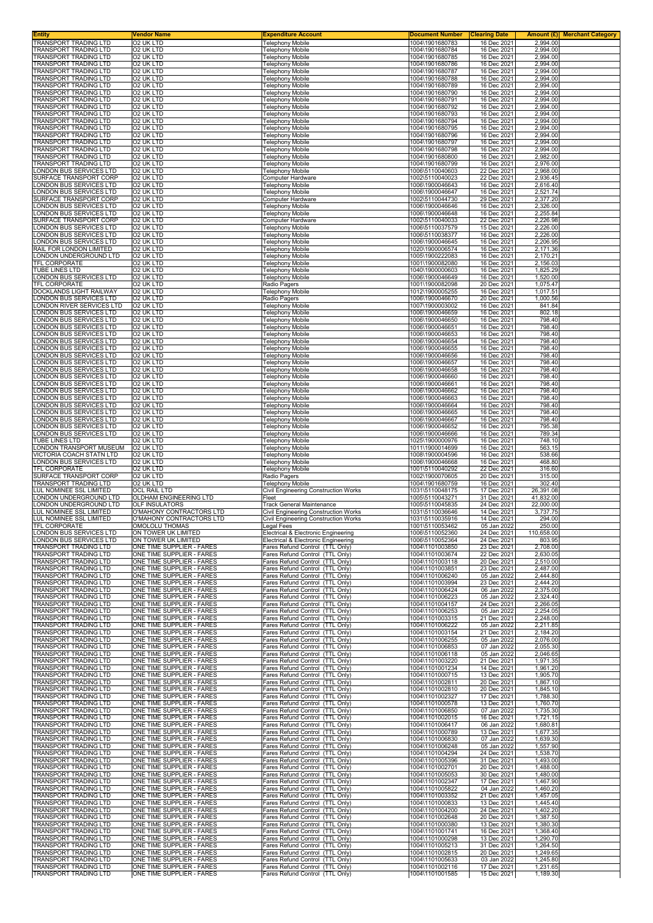| Entity                                                | Vendor Name                                            | <b>Expenditure Account</b>                                                 | <b>Document Number</b>             | <b>Clearing Date</b>       |                       | Amount (£) Merchant Category |
|-------------------------------------------------------|--------------------------------------------------------|----------------------------------------------------------------------------|------------------------------------|----------------------------|-----------------------|------------------------------|
| TRANSPORT TRADING LTD<br>TRANSPORT TRADING LTD        | 02 UK LTD<br>02 UK LTD                                 | <b>Telephony Mobile</b><br><b>Telephony Mobile</b>                         | 1004\1901680783<br>1004\1901680784 | 16 Dec 2021<br>16 Dec 2021 | 2,994.00<br>2.994.00  |                              |
| TRANSPORT TRADING LTD                                 | 02 UK LTD                                              | <b>Telephony Mobile</b>                                                    | 1004\1901680785                    | 16 Dec 2021                | 2,994.00              |                              |
| TRANSPORT TRADING LTD<br>TRANSPORT TRADING LTD        | 02 UK LTD<br>O2 UK LTD                                 | <b>Telephony Mobile</b><br><b>Telephony Mobile</b>                         | 1004\1901680786<br>1004\1901680787 | 16 Dec 2021<br>16 Dec 2021 | 2,994.00<br>2,994.00  |                              |
| TRANSPORT TRADING LTD                                 | 02 UK LTD                                              | Telephony Mobile                                                           | 1004\1901680788                    | 16 Dec 2021                | 2,994.00              |                              |
| TRANSPORT TRADING LTD                                 | 02 UK LTD                                              | <b>Telephony Mobile</b>                                                    | 1004\1901680789                    | 16 Dec 2021                | 2,994.00<br>2.994.00  |                              |
| TRANSPORT TRADING LTD<br>TRANSPORT TRADING LTD        | 02 UK LTD<br>02 UK LTD                                 | <b>Telephony Mobile</b><br><b>Telephony Mobile</b>                         | 1004\1901680790<br>1004\1901680791 | 16 Dec 2021<br>16 Dec 2021 | 2,994.00              |                              |
| TRANSPORT TRADING LTD                                 | O2 UK LTD                                              | <b>Telephony Mobile</b>                                                    | 1004\1901680792                    | 16 Dec 2021                | 2,994.00              |                              |
| TRANSPORT TRADING LTD<br>TRANSPORT TRADING LTD        | O2 UK LTD<br>02 UK LTD                                 | Telephony Mobile<br><b>Telephony Mobile</b>                                | 1004\1901680793<br>1004\1901680794 | 16 Dec 2021<br>16 Dec 2021 | 2,994.00<br>2,994.00  |                              |
| TRANSPORT TRADING LTD                                 | 02 UK LTD                                              | <b>Telephony Mobile</b>                                                    | 1004\1901680795                    | 16 Dec 2021                | 2,994.00              |                              |
| TRANSPORT TRADING LTD<br>TRANSPORT TRADING LTD        | 02 UK LTD<br>02 UK LTD                                 | <b>Telephony Mobile</b><br><b>Telephony Mobile</b>                         | 1004\1901680796<br>1004\1901680797 | 16 Dec 2021<br>16 Dec 2021 | 2,994.00<br>2,994.00  |                              |
| TRANSPORT TRADING LTD                                 | 02 UK LTD                                              | <b>Telephony Mobile</b>                                                    | 1004\1901680798                    | 16 Dec 2021                | 2,994.00              |                              |
| <b>TRANSPORT TRADING LTD</b>                          | O2 UK LTD                                              | <b>Telephony Mobile</b>                                                    | 1004\1901680800                    | 16 Dec 2021                | 2,982.00              |                              |
| TRANSPORT TRADING LTD<br>ONDON BUS SERVICES LTD       | 02 UK LTD<br>02 UK LTD                                 | <b>Telephony Mobile</b><br><b>Telephony Mobile</b>                         | 1004\1901680799<br>1006\5110040603 | 16 Dec 2021<br>22 Dec 2021 | 2,976.00<br>2,968.00  |                              |
| SURFACE TRANSPORT CORP                                | 02 UK LTD                                              | Computer Hardware                                                          | 1002\5110040023                    | 22 Dec 2021                | 2,936.45              |                              |
| ONDON BUS SERVICES LTD<br>ONDON BUS SERVICES LTD      | O2 UK LTD<br><b>O2 UK LTD</b>                          | <b>Telephony Mobile</b><br><b>Telephony Mobile</b>                         | 1006\1900046643<br>1006\1900046647 | 16 Dec 2021<br>16 Dec 2021 | 2,616.40<br>2,521.74  |                              |
| SURFACE TRANSPORT CORP                                | O2 UK LTD                                              | Computer Hardware                                                          | 1002\5110044730                    | 29 Dec 2021                | 2,377.20              |                              |
| ONDON BUS SERVICES LTD<br>ONDON BUS SERVICES LTD      | 02 UK LTD<br>02 UK LTD                                 | Telephony Mobile<br><b>Telephony Mobile</b>                                | 1006\1900046646<br>1006\1900046648 | 16 Dec 2021<br>16 Dec 2021 | 2,326.00<br>2,255.84  |                              |
| SURFACE TRANSPORT CORP                                | 02 UK LTD                                              | Computer Hardware                                                          | 1002\5110040033                    | 22 Dec 2021                | 2,226.98              |                              |
| ONDON BUS SERVICES LTD.                               | 02 UK LTD                                              | <b>Telephony Mobile</b>                                                    | 1006\5110037579                    | 15 Dec 2021                | 2,226.00              |                              |
| ONDON BUS SERVICES LTD<br>ONDON BUS SERVICES LTD      | 02 UK LTD<br>02 UK LTD                                 | <b>Telephony Mobile</b><br><b>Telephony Mobile</b>                         | 1006\5110038377<br>1006\1900046645 | 16 Dec 2021<br>16 Dec 2021 | 2,226.00<br>2,206.95  |                              |
| RAIL FOR LONDON LIMITED                               | O2 UK LTD                                              | <b>Telephony Mobile</b>                                                    | 1020\1900006574                    | 16 Dec 2021                | 2,171.36              |                              |
| LONDON UNDERGROUND LTD<br>TFL CORPORATE               | 02 UK LTD<br>02 UK LTD                                 | <b>Telephony Mobile</b><br><b>Telephony Mobile</b>                         | 1005\1900222083<br>1001\1900082080 | 16 Dec 2021<br>16 Dec 2021 | 2,170.21<br>2,156.03  |                              |
| TUBE LINES LTD                                        | 02 UK LTD                                              | <b>Telephony Mobile</b>                                                    | 1040\1900000603                    | 16 Dec 2021                | 1,825.29              |                              |
| LONDON BUS SERVICES LTD                               | 02 UK LTD                                              | <b>Telephony Mobile</b>                                                    | 1006\1900046649                    | 16 Dec 2021                | 1,520.00              |                              |
| TFL CORPORATE<br>DOCKLANDS LIGHT RAILWAY              | 02 UK LTD<br>02 UK LTD                                 | Radio Pagers<br><b>Telephony Mobile</b>                                    | 1001\1900082098<br>1012\1900005255 | 20 Dec 2021<br>16 Dec 2021 | 1,075.47<br>1,017.51  |                              |
| ONDON BUS SERVICES LTD                                | 02 UK LTD                                              | Radio Pagers                                                               | 1006\1900046670                    | 20 Dec 2021                | 1,000.56              |                              |
| ONDON RIVER SERVICES LTD.<br>ONDON BUS SERVICES LTD   | 02 UK LTD<br>02 UK LTD                                 | Telephony Mobile<br><b>Telephony Mobile</b>                                | 1007\1900003002<br>1006\1900046659 | 16 Dec 2021<br>16 Dec 2021 | 841.84<br>802.18      |                              |
| ONDON BUS SERVICES LTD                                | 02 UK LTD                                              | <b>Telephony Mobile</b>                                                    | 1006\1900046650                    | 16 Dec 2021                | 798.40                |                              |
| ONDON BUS SERVICES LTD                                | 02 UK LTD                                              | <b>Telephony Mobile</b>                                                    | 1006\1900046651                    | 16 Dec 2021                | 798.40                |                              |
| ONDON BUS SERVICES LTD<br>ONDON BUS SERVICES LTD      | 02 UK LTD<br>02 UK LTD                                 | <b>Telephony Mobile</b><br><b>Telephony Mobile</b>                         | 1006\1900046653<br>1006\1900046654 | 16 Dec 2021<br>16 Dec 2021 | 798.40<br>798.40      |                              |
| ONDON BUS SERVICES LTD                                | 02 UK LTD                                              | <b>Telephony Mobile</b>                                                    | 1006\1900046655                    | 16 Dec 2021                | 798.40                |                              |
| ONDON BUS SERVICES LTD<br>ONDON BUS SERVICES LTD      | O2 UK LTD<br>02 UK LTD                                 | <b>Telephony Mobile</b><br><b>Telephony Mobile</b>                         | 1006\1900046656<br>1006\1900046657 | 16 Dec 2021<br>16 Dec 2021 | 798.40<br>798.40      |                              |
| ONDON BUS SERVICES LTD                                | O2 UK LTD                                              | <b>Telephony Mobile</b>                                                    | 1006\1900046658                    | 16 Dec 2021                | 798.40                |                              |
| ONDON BUS SERVICES LTD                                | O2 UK LTD                                              | <b>Telephony Mobile</b>                                                    | 1006\1900046660                    | 16 Dec 2021                | 798.40                |                              |
| ONDON BUS SERVICES LTD<br>ONDON BUS SERVICES LTD      | O2 UK LTD<br>02 UK LTD                                 | Telephony Mobile<br><b>Telephony Mobile</b>                                | 1006\1900046661<br>1006\1900046662 | 16 Dec 2021<br>16 Dec 2021 | 798.40<br>798.40      |                              |
| ONDON BUS SERVICES LTD                                | 02 UK LTD                                              | <b>Telephony Mobile</b>                                                    | 1006\1900046663                    | 16 Dec 2021                | 798.40                |                              |
| ONDON BUS SERVICES LTD<br>ONDON BUS SERVICES LTD      | 02 UK LTD<br>02 UK LTD                                 | <b>Telephony Mobile</b><br><b>Telephony Mobile</b>                         | 1006\1900046664<br>1006\1900046665 | 16 Dec 2021<br>16 Dec 2021 | 798.40<br>798.40      |                              |
| ONDON BUS SERVICES LTD                                | 02 UK LTD                                              | <b>Telephony Mobile</b>                                                    | 1006\1900046667                    | 16 Dec 2021                | 798.40                |                              |
| ONDON BUS SERVICES LTD                                | 02 UK LTD                                              | <b>Telephony Mobile</b>                                                    | 1006\1900046652                    | 16 Dec 2021                | 795.38                |                              |
| ONDON BUS SERVICES LTD<br>TUBE LINES LTD              | 02 UK LTD<br>02 UK LTD                                 | Telephony Mobile<br><b>Telephony Mobile</b>                                | 1006\1900046666<br>1025\1900000976 | 16 Dec 2021<br>16 Dec 2021 | 789.34<br>748.10      |                              |
| LONDON TRANSPORT MUSEUM                               | O2 UK LTD                                              | <b>Telephony Mobile</b>                                                    | 1011\1900014699                    | 16 Dec 2021                | 563.15                |                              |
| VICTORIA COACH STATN LTD<br>LONDON BUS SERVICES LTD   | 02 UK LTD<br>O2 UK LTD                                 | <b>Telephony Mobile</b><br><b>Telephony Mobile</b>                         | 1008\1900004596<br>1006\1900046668 | 16 Dec 2021<br>16 Dec 2021 | 538.66<br>468.80      |                              |
| TFL CORPORATE                                         | 02 UK LTD                                              | <b>Telephony Mobile</b>                                                    | 1001\5110040292                    | 22 Dec 2021                | 316.60                |                              |
| SURFACE TRANSPORT CORP                                | 02 UK LTD                                              | Radio Pagers                                                               | 1002\1900070605                    | 20 Dec 2021                | 315.00                |                              |
| TRANSPORT TRADING LTD<br>LUL NOMINEE SSL LIMITED      | 02 UK LTD<br>OCL RAIL LTD                              | Telephony Mobile<br><b>Civil Engineering Construction Works</b>            | 1004\1901680759<br>1031\5110048175 | 16 Dec 2021<br>17 Dec 2021 | 302.40<br>26,391.08   |                              |
| ONDON UNDERGROUND LTD                                 | OLDHAM ENGINEERING LTD                                 | Fleet                                                                      | 1005\5110043271                    | 31 Dec 2021                | 41,832.00             |                              |
| ONDON UNDERGROUND LTD<br>LUL NOMINEE SSL LIMITED      | <b>OLF INSULATORS</b><br>O'MAHONY CONTRACTORS LTD      | Track General Maintenance<br>Civil Engineering Construction Works          | 1005\5110045835<br>1031\5110036646 | 24 Dec 2021<br>14 Dec 2021 | 22,000.00<br>3,737.75 |                              |
| LUL NOMINEE SSL LIMITED                               | O'MAHONY CONTRACTORS LTD                               | <b>Civil Engineering Construction Works</b>                                | 1031\5110035916                    | 14 Dec 2021                | 294.00                |                              |
| IFL CORPORATE<br>LONDON BUS SERVICES LTD              | OMOLOLU IHOMAS                                         | Legal Fees                                                                 | 1001\5110053462                    | 05 Jan 2022                | 250.00                |                              |
| LONDON BUS SERVICES LTD                               | ON TOWER UK LIMITED<br>ON TOWER UK LIMITED             | Electrical & Electronic Engineering<br>Electrical & Electronic Engineering | 1006\5110052360<br>1006\5110052364 | 24 Dec 2021<br>24 Dec 2021 | 110,658.00<br>803.95  |                              |
| TRANSPORT TRADING LTD                                 | ONE TIME SUPPLIER - FARES                              | Fares Refund Control (TTL Only)                                            | 1004\1101003850                    | 23 Dec 2021                | 2,708.00              |                              |
| TRANSPORT TRADING LTD<br>TRANSPORT TRADING LTD        | ONE TIME SUPPLIER - FARES<br>ONE TIME SUPPLIER - FARES | Fares Refund Control (TTL Only)<br>Fares Refund Control (TTL Only)         | 1004\1101003674<br>1004\1101003118 | 22 Dec 2021<br>20 Dec 2021 | 2,630.05<br>2,510.00  |                              |
| TRANSPORT TRADING LTD                                 | ONE TIME SUPPLIER - FARES                              | Fares Refund Control (TTL Only)                                            | 1004\1101003851                    | 23 Dec 2021                | 2,487.00              |                              |
| TRANSPORT TRADING LTD                                 | ONE TIME SUPPLIER - FARES                              | Fares Refund Control (TTL Only)                                            | 1004\1101006240                    | 05 Jan 2022                | 2,444.80              |                              |
| TRANSPORT TRADING LTD<br>TRANSPORT TRADING LTD        | ONE TIME SUPPLIER - FARES<br>ONE TIME SUPPLIER - FARES | Fares Refund Control (TTL Only)<br>Fares Refund Control (TTL Only)         | 1004\1101003994<br>1004\1101006424 | 23 Dec 2021<br>06 Jan 2022 | 2,444.20<br>2,375.00  |                              |
| <b>TRANSPORT TRADING LTD</b>                          | ONE TIME SUPPLIER - FARES                              | Fares Refund Control (TTL Only)                                            | 1004\1101006223                    | 05 Jan 2022                | 2,324.40              |                              |
| TRANSPORT TRADING LTD<br>TRANSPORT TRADING LTD        | ONE TIME SUPPLIER - FARES<br>ONE TIME SUPPLIER - FARES | Fares Refund Control (TTL Only)<br>Fares Refund Control (TTL Only)         | 1004\1101004157<br>1004\1101006253 | 24 Dec 2021<br>05 Jan 2022 | 2,266.05<br>2,254.05  |                              |
| TRANSPORT TRADING LTD                                 | ONE TIME SUPPLIER - FARES                              | Fares Refund Control (TTL Only)                                            | 1004\1101003315                    | 21 Dec 2021                | 2,248.00              |                              |
| TRANSPORT TRADING LTD<br>TRANSPORT TRADING LTD        | ONE TIME SUPPLIER - FARES<br>ONE TIME SUPPLIER - FARES | Fares Refund Control (TTL Only)<br>Fares Refund Control (TTL Only)         | 1004\1101006222<br>1004\1101003154 | 05 Jan 2022<br>21 Dec 2021 | 2,211.85<br>2,184.20  |                              |
| <b>TRANSPORT TRADING LTD</b>                          | ONE TIME SUPPLIER - FARES                              | Fares Refund Control (TTL Only)                                            | 1004\1101006255                    | 05 Jan 2022                | 2,076.00              |                              |
| TRANSPORT TRADING LTD                                 | ONE TIME SUPPLIER - FARES                              | Fares Refund Control (TTL Only)                                            | 1004\1101006853                    | 07 Jan 2022                | 2,055.30              |                              |
| TRANSPORT TRADING LTD<br>TRANSPORT TRADING LTD        | ONE TIME SUPPLIER - FARES<br>ONE TIME SUPPLIER - FARES | Fares Refund Control (TTL Only)<br>Fares Refund Control (TTL Only)         | 1004\1101006118<br>1004\1101003220 | 05 Jan 2022<br>21 Dec 2021 | 2,046.65<br>1,971.35  |                              |
| TRANSPORT TRADING LTD                                 | ONE TIME SUPPLIER - FARES                              | Fares Refund Control (TTL Only)                                            | 1004\1101001234                    | 14 Dec 2021                | 1,961.20              |                              |
| TRANSPORT TRADING LTD<br>TRANSPORT TRADING LTD        | ONE TIME SUPPLIER - FARES<br>ONE TIME SUPPLIER - FARES | Fares Refund Control (TTL Only)<br>Fares Refund Control (TTL Only)         | 1004\1101000715<br>1004\1101002811 | 13 Dec 2021<br>20 Dec 2021 | 1,905.70<br>1,867.10  |                              |
| TRANSPORT TRADING LTD                                 | ONE TIME SUPPLIER - FARES                              | Fares Refund Control (TTL Only)                                            | 1004\1101002810                    | 20 Dec 2021                | 1,845.10              |                              |
| TRANSPORT TRADING LTD                                 | ONE TIME SUPPLIER - FARES                              | Fares Refund Control (TTL Only)                                            | 1004\1101002327                    | 17 Dec 2021                | 1,788.30              |                              |
| TRANSPORT TRADING LTD<br>TRANSPORT TRADING LTD        | ONE TIME SUPPLIER - FARES<br>ONE TIME SUPPLIER - FARES | Fares Refund Control (TTL Only)<br>Fares Refund Control (TTL Only)         | 1004\1101000578<br>1004\1101006850 | 13 Dec 2021<br>07 Jan 2022 | 1,760.70<br>1,735.30  |                              |
| TRANSPORT TRADING LTD                                 | ONE TIME SUPPLIER - FARES                              | Fares Refund Control (TTL Only)                                            | 1004\1101002015                    | 16 Dec 2021                | 1,721.15              |                              |
| TRANSPORT TRADING LTD<br><b>TRANSPORT TRADING LTD</b> | ONE TIME SUPPLIER - FARES<br>ONE TIME SUPPLIER - FARES | Fares Refund Control (TTL Only)<br>Fares Refund Control (TTL Only)         | 1004\1101006417<br>1004\1101000789 | 06 Jan 2022<br>13 Dec 2021 | 1,680.81<br>1,677.35  |                              |
| TRANSPORT TRADING LTD                                 | ONE TIME SUPPLIER - FARES                              | Fares Refund Control (TTL Only)                                            | 1004\1101006830                    | 07 Jan 2022                | 1,639.30              |                              |
| TRANSPORT TRADING LTD                                 | ONE TIME SUPPLIER - FARES                              | Fares Refund Control (TTL Only)                                            | 1004\1101006248                    | 05 Jan 2022                | 1,557.90              |                              |
| TRANSPORT TRADING LTD<br>TRANSPORT TRADING LTD        | ONE TIME SUPPLIER - FARES<br>ONE TIME SUPPLIER - FARES | Fares Refund Control (TTL Only)<br>Fares Refund Control (TTL Only)         | 1004\1101004294<br>1004\1101005396 | 24 Dec 2021<br>31 Dec 2021 | 1,538.70<br>1,493.00  |                              |
| TRANSPORT TRADING LTD                                 | ONE TIME SUPPLIER - FARES                              | Fares Refund Control (TTL Only)                                            | 1004\1101002701                    | 20 Dec 2021                | 1,488.00              |                              |
| TRANSPORT TRADING LTD<br>TRANSPORT TRADING LTD        | ONE TIME SUPPLIER - FARES<br>ONE TIME SUPPLIER - FARES | Fares Refund Control (TTL Only)<br>Fares Refund Control (TTL Only)         | 1004\1101005053<br>1004\1101002347 | 30 Dec 2021<br>17 Dec 2021 | 1,480.00<br>1,467.90  |                              |
| TRANSPORT TRADING LTD                                 | ONE TIME SUPPLIER - FARES                              | Fares Refund Control (TTL Only)                                            | 1004\1101005822                    | 04 Jan 2022                | 1,460.20              |                              |
| TRANSPORT TRADING LTD                                 | ONE TIME SUPPLIER - FARES<br>ONE TIME SUPPLIER - FARES | Fares Refund Control (TTL Only)                                            | 1004\1101003352                    | 21 Dec 2021                | 1,457.05              |                              |
| TRANSPORT TRADING LTD<br>TRANSPORT TRADING LTD        | ONE TIME SUPPLIER - FARES                              | Fares Refund Control (TTL Only)<br>Fares Refund Control (TTL Only)         | 1004\1101000833<br>1004\1101004200 | 13 Dec 2021<br>24 Dec 2021 | 1,445.40<br>1,402.20  |                              |
| TRANSPORT TRADING LTD                                 | ONE TIME SUPPLIER - FARES                              | Fares Refund Control (TTL Only)                                            | 1004\1101002648                    | 20 Dec 2021                | 1,387.50              |                              |
| TRANSPORT TRADING LTD                                 |                                                        | Fares Refund Control (TTL Only)                                            | 1004\1101000380                    | 13 Dec 2021                | 1,380.30              |                              |
|                                                       | ONE TIME SUPPLIER - FARES                              |                                                                            |                                    |                            |                       |                              |
| TRANSPORT TRADING LTD<br>TRANSPORT TRADING LTD        | ONE TIME SUPPLIER - FARES<br>ONE TIME SUPPLIER - FARES | Fares Refund Control (TTL Only)<br>Fares Refund Control (TTL Only)         | 1004\1101001741<br>1004\1101000298 | 16 Dec 2021<br>13 Dec 2021 | 1,368.40<br>1,290.70  |                              |
| TRANSPORT TRADING LTD                                 | ONE TIME SUPPLIER - FARES                              | Fares Refund Control (TTL Only)                                            | 1004\1101005213                    | 31 Dec 2021                | 1,264.50              |                              |
| TRANSPORT TRADING LTD<br>TRANSPORT TRADING LTD        | ONE TIME SUPPLIER - FARES<br>ONE TIME SUPPLIER - FARES | Fares Refund Control (TTL Only)<br>Fares Refund Control (TTL Only)         | 1004\1101002815<br>1004\1101005633 | 20 Dec 2021<br>03 Jan 2022 | 1,249.65<br>1,245.80  |                              |
| TRANSPORT TRADING LTD<br>TRANSPORT TRADING LTD        | ONE TIME SUPPLIER - FARES<br>ONE TIME SUPPLIER - FARES | Fares Refund Control (TTL Only)<br>Fares Refund Control (TTL Only)         | 1004\1101002116<br>1004\1101001585 | 17 Dec 2021<br>15 Dec 2021 | 1,231.65<br>1,189.30  |                              |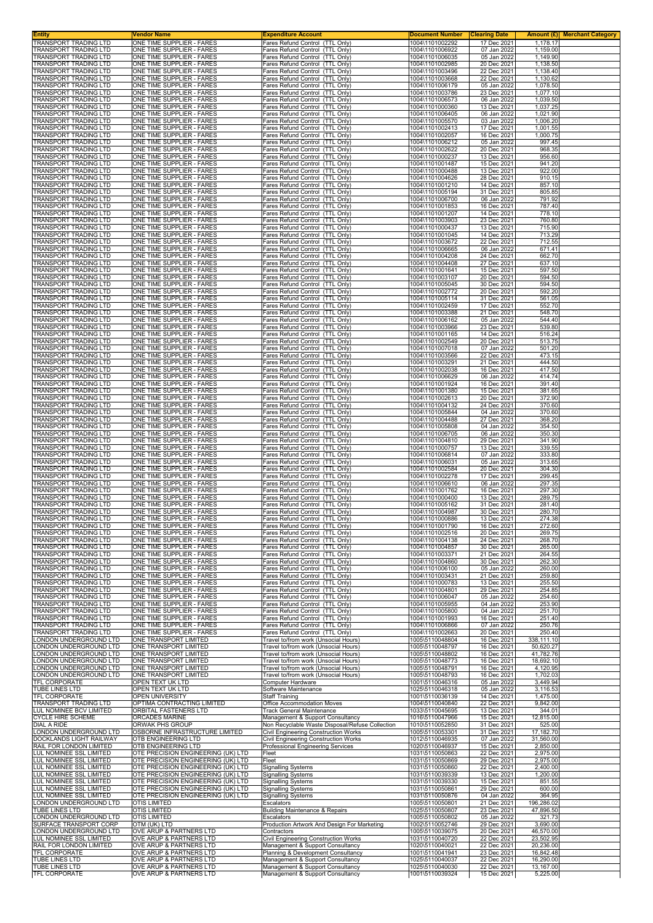| Entity                                                | Vendor Name                                                              | <b>Expenditure Account</b>                                                   | Document Number                    | <b>Clearing Date</b>       |                         | <b>Amount (£)</b> Merchant Category |
|-------------------------------------------------------|--------------------------------------------------------------------------|------------------------------------------------------------------------------|------------------------------------|----------------------------|-------------------------|-------------------------------------|
| TRANSPORT TRADING LTD<br>TRANSPORT TRADING LTD        | ONE TIME SUPPLIER - FARES<br>ONE TIME SUPPLIER - FARES                   | Fares Refund Control (TTL Only)<br>Fares Refund Control (TTL Only)           | 1004\1101002292<br>1004\1101006922 | 17 Dec 2021<br>07 Jan 2022 | 1,178.17<br>1,159.00    |                                     |
| TRANSPORT TRADING LTD                                 | ONE TIME SUPPLIER - FARES                                                | Fares Refund Control (TTL Only)                                              | 1004\1101006035                    | 05 Jan 2022                | 1,149.90                |                                     |
| TRANSPORT TRADING LTD<br>TRANSPORT TRADING LTD        | ONE TIME SUPPLIER - FARES<br>ONE TIME SUPPLIER - FARES                   | Fares Refund Control (TTL Only)<br>Fares Refund Control (TTL Only)           | 1004\1101002985<br>1004\1101003496 | 20 Dec 2021<br>22 Dec 2021 | 1,138.50<br>1,138.40    |                                     |
| TRANSPORT TRADING LTD                                 | ONE TIME SUPPLIER - FARES                                                | Fares Refund Control (TTL Only)                                              | 1004\1101003668                    | 22 Dec 2021                | 1,130.62                |                                     |
| TRANSPORT TRADING LTD<br>TRANSPORT TRADING LTD        | ONE TIME SUPPLIER - FARES<br>ONE TIME SUPPLIER - FARES                   | Fares Refund Control (TTL Only)                                              | 1004\1101006179<br>1004\1101003786 | 05 Jan 2022                | 1,078.50<br>1.077.10    |                                     |
| TRANSPORT TRADING LTD                                 | ONE TIME SUPPLIER - FARES                                                | Fares Refund Control (TTL Only)<br>Fares Refund Control (TTL Only)           | 1004\1101006573                    | 23 Dec 2021<br>06 Jan 2022 | 1,039.50                |                                     |
| TRANSPORT TRADING LTD                                 | ONE TIME SUPPLIER - FARES                                                | Fares Refund Control (TTL Only)                                              | 1004\1101000360                    | 13 Dec 2021                | 1,037.25                |                                     |
| TRANSPORT TRADING LTD<br>TRANSPORT TRADING LTD        | ONE TIME SUPPLIER - FARES<br>ONE TIME SUPPLIER - FARES                   | Fares Refund Control (TTL Only)<br>Fares Refund Control (TTL Only)           | 1004\1101006405<br>1004\1101005570 | 06 Jan 2022<br>03 Jan 2022 | 1,021.90<br>1,006.20    |                                     |
| TRANSPORT TRADING LTD                                 | ONE TIME SUPPLIER - FARES                                                | Fares Refund Control (TTL Only)                                              | 1004\1101002413                    | 17 Dec 2021                | 1,001.55                |                                     |
| TRANSPORT TRADING LTD<br>TRANSPORT TRADING LTD        | ONE TIME SUPPLIER - FARES<br>ONE TIME SUPPLIER - FARES                   | Fares Refund Control (TTL Only)<br>Fares Refund Control (TTL Only)           | 1004\1101002057<br>1004\1101006212 | 16 Dec 2021<br>05 Jan 2022 | 1,000.75<br>997.45      |                                     |
| TRANSPORT TRADING LTD                                 | ONE TIME SUPPLIER - FARES                                                | Fares Refund Control (TTL Only)                                              | 1004\1101002622                    | 20 Dec 2021                | 968.35                  |                                     |
| TRANSPORT TRADING LTD<br>TRANSPORT TRADING LTD        | ONE TIME SUPPLIER - FARES                                                | Fares Refund Control (TTL Only)                                              | 1004\1101000237                    | 13 Dec 2021                | 956.60                  |                                     |
| TRANSPORT TRADING LTD                                 | ONE TIME SUPPLIER - FARES<br>ONE TIME SUPPLIER - FARES                   | Fares Refund Control (TTL Only)<br>Fares Refund Control (TTL Only)           | 1004\1101001487<br>1004\1101000488 | 15 Dec 2021<br>13 Dec 2021 | 941.20<br>922.00        |                                     |
| TRANSPORT TRADING LTD                                 | ONE TIME SUPPLIER - FARES                                                | Fares Refund Control (TTL Only)                                              | 1004\1101004626                    | 28 Dec 2021                | 910.15                  |                                     |
| TRANSPORT TRADING LTD<br>TRANSPORT TRADING LTD        | ONE TIME SUPPLIER - FARES<br>ONE TIME SUPPLIER - FARES                   | Fares Refund Control (TTL Only)<br>Fares Refund Control (TTL Only)           | 1004\1101001210<br>1004\1101005194 | 14 Dec 2021<br>31 Dec 2021 | 857.10<br>805.85        |                                     |
| <b>TRANSPORT TRADING LTD</b>                          | ONE TIME SUPPLIER - FARES                                                | Fares Refund Control (TTL Only)                                              | 1004\1101006700                    | 06 Jan 2022                | 791.92                  |                                     |
| TRANSPORT TRADING LTD<br>TRANSPORT TRADING LTD        | ONE TIME SUPPLIER - FARES<br>ONE TIME SUPPLIER - FARES                   | Fares Refund Control (TTL Only)<br>Fares Refund Control (TTL Only)           | 1004\1101001853<br>1004\1101001207 | 16 Dec 2021<br>14 Dec 2021 | 787.40<br>778.10        |                                     |
| TRANSPORT TRADING LTD                                 | ONE TIME SUPPLIER - FARES                                                | Fares Refund Control (TTL Only)                                              | 1004\1101003903                    | 23 Dec 2021                | 760.80                  |                                     |
| TRANSPORT TRADING LTD                                 | ONE TIME SUPPLIER - FARES                                                | Fares Refund Control (TTL Only)                                              | 1004\1101000437                    | 13 Dec 2021                | 715.90                  |                                     |
| TRANSPORT TRADING LTD<br>TRANSPORT TRADING LTD        | ONE TIME SUPPLIER - FARES<br>ONE TIME SUPPLIER - FARES                   | Fares Refund Control (TTL Only)<br>Fares Refund Control (TTL Only)           | 1004\1101001045<br>1004\1101003672 | 14 Dec 2021<br>22 Dec 2021 | 713.29<br>712.55        |                                     |
| TRANSPORT TRADING LTD                                 | ONE TIME SUPPLIER - FARES                                                | Fares Refund Control (TTL Only)                                              | 1004\1101006665                    | 06 Jan 2022                | 671.41                  |                                     |
| TRANSPORT TRADING LTD<br>TRANSPORT TRADING LTD        | ONE TIME SUPPLIER - FARES<br>ONE TIME SUPPLIER - FARES                   | Fares Refund Control (TTL Only)<br>Fares Refund Control (TTL Only)           | 1004\1101004208<br>1004\1101004408 | 24 Dec 2021<br>27 Dec 2021 | 662.70<br>637.10        |                                     |
| TRANSPORT TRADING LTD                                 | ONE TIME SUPPLIER - FARES                                                | Fares Refund Control (TTL Only)                                              | 1004\1101001641                    | 15 Dec 2021                | 597.50                  |                                     |
| TRANSPORT TRADING LTD                                 | ONE TIME SUPPLIER - FARES<br>ONE TIME SUPPLIER - FARES                   | Fares Refund Control (TTL Only)                                              | 1004\1101003107                    | 20 Dec 2021<br>30 Dec 2021 | 594.50                  |                                     |
| TRANSPORT TRADING LTD<br>TRANSPORT TRADING LTD        | ONE TIME SUPPLIER - FARES                                                | Fares Refund Control (TTL Only)<br>Fares Refund Control (TTL Only)           | 1004\1101005045<br>1004\1101002772 | 20 Dec 2021                | 594.50<br>592.20        |                                     |
| TRANSPORT TRADING LTD                                 | ONE TIME SUPPLIER - FARES                                                | Fares Refund Control (TTL Only)                                              | 1004\1101005114                    | 31 Dec 2021                | 561.05                  |                                     |
| TRANSPORT TRADING LTD<br>TRANSPORT TRADING LTD        | ONE TIME SUPPLIER - FARES<br>ONE TIME SUPPLIER - FARES                   | Fares Refund Control (TTL Only)<br>Fares Refund Control (TTL Only)           | 1004\1101002459<br>1004\1101003388 | 17 Dec 2021<br>21 Dec 2021 | 552.70<br>548.70        |                                     |
| TRANSPORT TRADING LTD                                 | ONE TIME SUPPLIER - FARES                                                | Fares Refund Control (TTL Only)                                              | 1004\1101006162                    | 05 Jan 2022                | 544.40                  |                                     |
| TRANSPORT TRADING LTD<br>TRANSPORT TRADING LTD        | ONE TIME SUPPLIER - FARES<br>ONE TIME SUPPLIER - FARES                   | Fares Refund Control (TTL Only)<br>Fares Refund Control (TTL Only)           | 1004\1101003966<br>1004\1101001165 | 23 Dec 2021<br>14 Dec 2021 | 539.80<br>516.24        |                                     |
| <b>TRANSPORT TRADING LTD</b>                          | ONE TIME SUPPLIER - FARES                                                | Fares Refund Control (TTL Only)                                              | 1004\1101002549                    | 20 Dec 2021                | 513.75                  |                                     |
| TRANSPORT TRADING LTD                                 | ONE TIME SUPPLIER - FARES                                                | Fares Refund Control (TTL Only)                                              | 1004\1101007018                    | 07 Jan 2022                | 501.20                  |                                     |
| TRANSPORT TRADING LTD<br>TRANSPORT TRADING LTD        | ONE TIME SUPPLIER - FARES<br>ONE TIME SUPPLIER - FARES                   | Fares Refund Control (TTL Only)<br>Fares Refund Control (TTL Only)           | 1004\1101003566<br>1004\1101003291 | 22 Dec 2021<br>21 Dec 2021 | 473.15<br>444.50        |                                     |
| TRANSPORT TRADING LTD                                 | ONE TIME SUPPLIER - FARES                                                | Fares Refund Control (TTL Only)                                              | 1004\1101002038                    | 16 Dec 2021                | 417.50                  |                                     |
| TRANSPORT TRADING LTD<br>TRANSPORT TRADING LTD        | ONE TIME SUPPLIER - FARES<br>ONE TIME SUPPLIER - FARES                   | Fares Refund Control (TTL Only)<br>Fares Refund Control (TTL Only)           | 1004\1101006629<br>1004\1101001924 | 06 Jan 2022<br>16 Dec 2021 | 414.74<br>391.40        |                                     |
| TRANSPORT TRADING LTD                                 | ONE TIME SUPPLIER - FARES                                                | Fares Refund Control (TTL Only)                                              | 1004\1101001380                    | 15 Dec 2021                | 381.65                  |                                     |
| TRANSPORT TRADING LTD                                 | ONE TIME SUPPLIER - FARES                                                | Fares Refund Control (TTL Only)                                              | 1004\1101002613                    | 20 Dec 2021                | 372.90                  |                                     |
| TRANSPORT TRADING LTD<br>TRANSPORT TRADING LTD        | ONE TIME SUPPLIER - FARES<br>ONE TIME SUPPLIER - FARES                   | Fares Refund Control (TTL Only)<br>Fares Refund Control (TTL Only)           | 1004\1101004132<br>1004\1101005844 | 24 Dec 2021<br>04 Jan 2022 | 370.60<br>370.60        |                                     |
| TRANSPORT TRADING LTD                                 | ONE TIME SUPPLIER - FARES                                                | Fares Refund Control (TTL Only)                                              | 1004\1101004488                    | 27 Dec 2021                | 368.20                  |                                     |
| TRANSPORT TRADING LTD<br>TRANSPORT TRADING LTD        | ONE TIME SUPPLIER - FARES<br>ONE TIME SUPPLIER - FARES                   | Fares Refund Control (TTL Only)<br>Fares Refund Control (TTL Only)           | 1004\1101005808<br>1004\1101006705 | 04 Jan 2022<br>06 Jan 2022 | 354.50<br>350.30        |                                     |
| TRANSPORT TRADING LTD                                 | ONE TIME SUPPLIER - FARES                                                | Fares Refund Control (TTL Only)                                              | 1004\1101004810                    | 29 Dec 2021                | 341.90                  |                                     |
| TRANSPORT TRADING LTD<br>TRANSPORT TRADING LTD        | ONE TIME SUPPLIER - FARES<br>ONE TIME SUPPLIER - FARES                   | Fares Refund Control (TTL Only)<br>Fares Refund Control (TTL Only)           | 1004\1101000757<br>1004\1101006814 | 13 Dec 2021<br>07 Jan 2022 | 339.55<br>333.80        |                                     |
| TRANSPORT TRADING LTD                                 | ONE TIME SUPPLIER - FARES                                                | Fares Refund Control (TTL Only)                                              | 1004\1101006031                    | 05 Jan 2022                | 313.65                  |                                     |
| TRANSPORT TRADING LTD                                 | ONE TIME SUPPLIER - FARES                                                | Fares Refund Control (TTL Only)                                              | 1004\1101002584                    | 20 Dec 2021                | 304.30                  |                                     |
| TRANSPORT TRADING LTD<br>TRANSPORT TRADING LTD        | ONE TIME SUPPLIER - FARES<br>ONE TIME SUPPLIER - FARES                   | Fares Refund Control (TTL Only)<br>Fares Refund Control (TTL Only)           | 1004\1101002278<br>1004\1101006610 | 17 Dec 2021<br>06 Jan 2022 | 299.45<br>297.35        |                                     |
| TRANSPORT TRADING LTD                                 | ONE TIME SUPPLIER - FARES                                                | Fares Refund Control (TTL Only)                                              | 1004\1101001762                    | 16 Dec 2021                | 297.30                  |                                     |
| <b>TRANSPORT TRADING LTD</b><br>TRANSPORT TRADING LTD | ONE TIME SUPPLIER - FARES<br>ONE TIME SUPPLIER - FARES                   | Fares Refund Control (TTL Only)<br>Fares Refund Control (TTL Only)           | 1004\1101000400<br>1004\1101005162 | 13 Dec 2021<br>31 Dec 2021 | 289.75<br>281.40        |                                     |
| TRANSPORT TRADING LTD                                 | ONE TIME SUPPLIER - FARES                                                | Fares Refund Control (TTL Only)                                              | 1004\1101004987                    | 30 Dec 2021                | 280.70                  |                                     |
| <b>TRANSPORT TRADING LTD</b><br>TRANSPORT TRADING LTD | ONE TIME SUPPLIER - FARES<br>UNE TIME SUPPLIER - FARES                   | Fares Refund Control (TTL Only)<br>Fares Refund Control (I I L Only)         | 1004\1101000886<br>1004\1101001790 | 13 Dec 2021<br>16 Dec 2021 | 274.38                  |                                     |
| TRANSPORT TRADING LTD                                 | ONE TIME SUPPLIER - FARES                                                | Fares Refund Control (TTL Only)                                              | 1004\1101002516                    | 20 Dec 2021                | 272.60<br>269.75        |                                     |
| TRANSPORT TRADING LTD                                 | ONE TIME SUPPLIER - FARES                                                | Fares Refund Control (TTL Only)                                              | 1004\1101004138                    | 24 Dec 2021<br>30 Dec 2021 | 268.70                  |                                     |
| TRANSPORT TRADING LTD<br>TRANSPORT TRADING LTD        | ONE TIME SUPPLIER - FARES<br>ONE TIME SUPPLIER - FARES                   | Fares Refund Control (TTL Only)<br>Fares Refund Control (TTL Only)           | 1004\1101004857<br>1004\1101003371 | 21 Dec 2021                | 265.00<br>264.55        |                                     |
| TRANSPORT TRADING LTD                                 | ONE TIME SUPPLIER - FARES                                                | Fares Refund Control (TTL Only)                                              | 1004\1101004860                    | 30 Dec 2021                | 262.30                  |                                     |
| <b>TRANSPORT TRADING LTD</b><br>TRANSPORT TRADING LTD | ONE TIME SUPPLIER - FARES<br>ONE TIME SUPPLIER - FARES                   | Fares Refund Control (TTL Only)<br>Fares Refund Control (TTL Only)           | 1004\1101006100<br>1004\1101003431 | 05 Jan 2022<br>21 Dec 2021 | 260.00<br>259.80        |                                     |
| TRANSPORT TRADING LTD                                 | ONE TIME SUPPLIER - FARES                                                | Fares Refund Control (TTL Only)                                              | 1004\1101000783                    | 13 Dec 2021                | 255.50                  |                                     |
| TRANSPORT TRADING LTD<br>TRANSPORT TRADING LTD        | ONE TIME SUPPLIER - FARES<br>ONE TIME SUPPLIER - FARES                   | Fares Refund Control (TTL Only)<br>Fares Refund Control (TTL Only)           | 1004\1101004801<br>1004\1101006047 | 29 Dec 2021<br>05 Jan 2022 | 254.85<br>254.60        |                                     |
| TRANSPORT TRADING LTD                                 | ONE TIME SUPPLIER - FARES                                                | Fares Refund Control (TTL Only)                                              | 1004\1101005955                    | 04 Jan 2022                | 253.90                  |                                     |
| TRANSPORT TRADING LTD                                 | ONE TIME SUPPLIER - FARES                                                | Fares Refund Control (TTL Only)                                              | 1004\1101005800                    | 04 Jan 2022                | 251.70                  |                                     |
| TRANSPORT TRADING LTD<br>TRANSPORT TRADING LTD        | ONE TIME SUPPLIER - FARES<br>ONE TIME SUPPLIER - FARES                   | Fares Refund Control (TTL Only)<br>Fares Refund Control (TTL Only)           | 1004\1101001993<br>1004\1101006866 | 16 Dec 2021<br>07 Jan 2022 | 251.40<br>250.76        |                                     |
| TRANSPORT TRADING LTD                                 | ONE TIME SUPPLIER - FARES                                                | Fares Refund Control (TTL Only)                                              | 1004\1101002663                    | 20 Dec 2021                | 250.40                  |                                     |
| LONDON UNDERGROUND LTD<br>LONDON UNDERGROUND LTD      | ONE TRANSPORT LIMITED<br>ONE TRANSPORT LIMITED                           | Travel to/from work (Unsocial Hours)<br>Travel to/from work (Unsocial Hours) | 1005\5110048804<br>1005\5110048797 | 16 Dec 2021<br>16 Dec 2021 | 338,111.10<br>50,620.27 |                                     |
| LONDON UNDERGROUND LTD                                | ONE TRANSPORT LIMITED                                                    | Travel to/from work (Unsocial Hours)                                         | 1005\5110048802                    | 16 Dec 2021                | 41,782.76               |                                     |
| ONDON UNDERGROUND LTD<br>LONDON UNDERGROUND LTD       | ONE TRANSPORT LIMITED<br>ONE TRANSPORT LIMITED                           | Travel to/from work (Unsocial Hours)<br>Travel to/from work (Unsocial Hours) | 1005\5110048773<br>1005\5110048791 | 16 Dec 2021<br>16 Dec 2021 | 18,692.10<br>4,120.95   |                                     |
| LONDON UNDERGROUND LTD                                | ONE TRANSPORT LIMITED                                                    | Travel to/from work (Unsocial Hours)                                         | 1005\5110048793                    | 16 Dec 2021                | 1,702.03                |                                     |
| TFL CORPORATE                                         | OPEN TEXT UK LTD<br>OPEN TEXT UK LTD                                     | Computer Hardware                                                            | 1001\5110046316                    | 05 Jan 2022                | 3,449.94                |                                     |
| TUBE LINES LTD<br>TFL CORPORATE                       | OPEN UNIVERSITY                                                          | Software Maintenance<br><b>Staff Training</b>                                | 1025\5110046318<br>1001\5110036139 | 05 Jan 2022<br>14 Dec 2021 | 3,116.53<br>1,475.00    |                                     |
| TRANSPORT TRADING LTD                                 | OPTIMA CONTRACTING LIMITED                                               | Office Accommodation Moves                                                   | 1004\5110040840                    | 22 Dec 2021                | 9,842.00                |                                     |
| LUL NOMINEE BCV LIMITED<br>CYCLE HIRE SCHEME          | ORBITAL FASTENERS LTD<br>ORCADES MARINE                                  | <b>Track General Maintenance</b><br>Management & Support Consultancy         | 1033\5110045695<br>1016\5110047966 | 13 Dec 2021<br>15 Dec 2021 | 344.01<br>12,815.00     |                                     |
| DIAL A RIDE                                           | ORWAK PHS GROUP                                                          | Non Recyclable Waste Disposal/Refuse Collection                              | 1010\5110052850                    | 31 Dec 2021                | 525.00                  |                                     |
| LONDON UNDERGROUND LTD<br>DOCKLANDS LIGHT RAILWAY     | OSBORNE INFRASTRUCTURE LIMITED<br>OTB ENGINEERING LTD                    | Civil Engineering Construction Works<br>Civil Engineering Construction Works | 1005\5110053301<br>1012\5110046935 | 31 Dec 2021<br>07 Jan 2022 | 17,182.70<br>31,560.00  |                                     |
| RAIL FOR LONDON LIMITED                               | OTB ENGINEERING LTD                                                      | Professional Engineering Services                                            | 1020\5110046937                    | 15 Dec 2021                | 2,850.00                |                                     |
| LUL NOMINEE SSL LIMITED<br>LUL NOMINEE SSL LIMITED    | OTE PRECISION ENGINEERING (UK) LTD<br>OTE PRECISION ENGINEERING (UK) LTD | Fleet<br>Fleet                                                               | 1031\5110050863<br>1031\5110050869 | 22 Dec 2021<br>29 Dec 2021 | 2,975.00<br>2,975.00    |                                     |
| LUL NOMINEE SSL LIMITED                               | OTE PRECISION ENGINEERING (UK) LTD                                       | <b>Signalling Systems</b>                                                    | 1031\5110050860                    | 22 Dec 2021                | 2,400.00                |                                     |
| LUL NOMINEE SSL LIMITED                               | OTE PRECISION ENGINEERING (UK) LTD                                       | <b>Signalling Systems</b>                                                    | 1031\5110039339                    | 13 Dec 2021                | 1,200.00                |                                     |
| LUL NOMINEE SSL LIMITED<br>LUL NOMINEE SSL LIMITED    | OTE PRECISION ENGINEERING (UK) LTD<br>OTE PRECISION ENGINEERING (UK) LTD | <b>Signalling Systems</b><br><b>Signalling Systems</b>                       | 1031\5110039330<br>1031\5110050861 | 15 Dec 2021<br>29 Dec 2021 | 851.55<br>600.00        |                                     |
| LUL NOMINEE SSL LIMITED                               | OTE PRECISION ENGINEERING (UK) LTD                                       | <b>Signalling Systems</b>                                                    | 1031\5110050876                    | 04 Jan 2022                | 364.95                  |                                     |
| LONDON UNDERGROUND LTD<br>TUBE LINES LTD              | OTIS LIMITED<br>OTIS LIMITED                                             | Escalators<br><b>Building Maintenance &amp; Repairs</b>                      | 1005\5110050801<br>1025\5110050807 | 21 Dec 2021<br>23 Dec 2021 | 196,286.02<br>47,896.50 |                                     |
| LONDON UNDERGROUND LTD                                | <b>OTIS LIMITED</b>                                                      | Escalators                                                                   | 1005\5110050802                    | 05 Jan 2022                | 321.73                  |                                     |
| SURFACE TRANSPORT CORP<br>LONDON UNDERGROUND LTD      | otm (uk) ltd<br>OVE ARUP & PARTNERS LTD                                  | Production Artwork And Design For Marketing<br>Contractors                   | 1002\5110052746<br>1005\5110039075 | 29 Dec 2021<br>20 Dec 2021 | 3,690.00<br>46,570.00   |                                     |
| LUL NOMINEE SSL LIMITED                               | OVE ARUP & PARTNERS LTD                                                  | Civil Engineering Construction Works                                         | 1031\5110040720                    | 22 Dec 2021                | 23,502.95               |                                     |
| RAIL FOR LONDON LIMITED                               | OVE ARUP & PARTNERS LTD                                                  | Management & Support Consultancy                                             | 1020\5110040021                    | 22 Dec 2021                | 20,236.00               |                                     |
| TFL CORPORATE<br>TUBE LINES LTD                       | OVE ARUP & PARTNERS LTD<br>OVE ARUP & PARTNERS LTD                       | Planning & Development Consultancy<br>Management & Support Consultancy       | 1001\5110041941<br>1025\5110040037 | 23 Dec 2021<br>22 Dec 2021 | 16,842.48<br>16,290.00  |                                     |
| TUBE LINES LTD                                        | OVE ARUP & PARTNERS LTD                                                  | Management & Support Consultancy                                             | 1025\5110040030                    | 22 Dec 2021                | 13,167.00               |                                     |
| TFL CORPORATE                                         | OVE ARUP & PARTNERS LTD                                                  | Management & Support Consultancy                                             | 1001\5110039324                    | 15 Dec 2021                | 5,225.00                |                                     |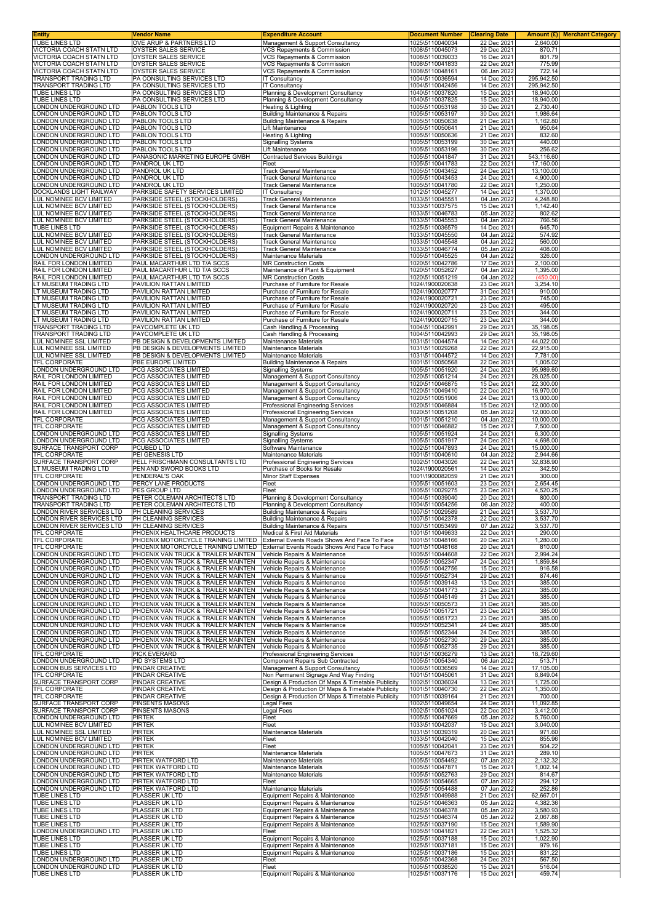| <b>Entity</b><br>TUBE LINES LTD | Vendor Name<br>OVE ARUP & PARTNERS LTD | <b>Expenditure Account</b><br>Management & Support Consultancy | <b>Document Number</b><br>1025\5110040034 | <b>Clearing Date</b><br>22 Dec 2021 | 2,640.00   | <b>Amount (£)</b> Merchant Category |
|---------------------------------|----------------------------------------|----------------------------------------------------------------|-------------------------------------------|-------------------------------------|------------|-------------------------------------|
| <b>VICTORIA COACH STATN LTD</b> | OYSTER SALES SERVICE                   | VCS Repayments & Commission                                    | 1008\5110045073                           | 29 Dec 2021                         | 870.71     |                                     |
| VICTORIA COACH STATN LTD        | OYSTER SALES SERVICE                   | VCS Repayments & Commission                                    | 1008\5110039033                           | 16 Dec 2021                         | 801.79     |                                     |
| VICTORIA COACH STATN LTD        | OYSTER SALES SERVICE                   | VCS Repayments & Commission                                    | 1008\5110041833                           | 22 Dec 2021                         | 775.99     |                                     |
| VICTORIA COACH STATN LTD        | OYSTER SALES SERVICE                   | <b>VCS Repayments &amp; Commission</b>                         | 1008\5110048161                           | 06 Jan 2022                         | 722.14     |                                     |
| <b>TRANSPORT TRADING LTD</b>    | PA CONSULTING SERVICES LTD             | IT Consultancy                                                 | 1004\5110036594                           | 14 Dec 2021                         | 295,942.50 |                                     |
| <b>TRANSPORT TRADING LTD</b>    | PA CONSULTING SERVICES LTD             | IT Consultancy                                                 | 1004\5110042456                           | 14 Dec 2021                         | 295,942.50 |                                     |
| TUBE LINES LTD                  | PA CONSULTING SERVICES LTD             | Planning & Development Consultancy                             | 1040\5110037820                           | 15 Dec 2021                         | 18,940.00  |                                     |
| TUBE LINES LTD                  | PA CONSULTING SERVICES LTD             | Planning & Development Consultancy                             | 1040\5110037825                           | 15 Dec 2021                         | 18,940.00  |                                     |
| LONDON UNDERGROUND LTD          | PABLON TOOLS LTD                       | Heating & Lighting                                             | 1005\5110053198                           | 30 Dec 2021                         | 2,730.40   |                                     |
| ONDON UNDERGROUND LTD           | PABLON TOOLS LTD                       | <b>Building Maintenance &amp; Repairs</b>                      | 1005\5110053197                           | 30 Dec 2021                         | 1,986.64   |                                     |
| ONDON UNDERGROUND LTD           | PABLON TOOLS LTD                       | <b>Building Maintenance &amp; Repairs</b>                      | 1005\5110050638                           | 21 Dec 2021                         | 1,162.80   |                                     |
| ONDON UNDERGROUND LTD           | PABLON TOOLS LTD                       | Lift Maintenance                                               | 1005\5110050641                           | 21 Dec 2021                         | 950.64     |                                     |
| ONDON UNDERGROUND LTD.          | PABLON TOOLS LTD                       | Heating & Lighting                                             | 1005\5110050636                           | 21 Dec 2021                         | 832.60     |                                     |
| ONDON UNDERGROUND LTD           | PABLON TOOLS LTD                       | <b>Signalling Systems</b>                                      | 1005\5110053199                           | 30 Dec 2021                         | 440.00     |                                     |
| ONDON UNDERGROUND LTD           | PABLON TOOLS LTD                       | Lift Maintenance                                               | 1005\5110053196                           | 30 Dec 2021                         | 256.62     |                                     |
| ONDON UNDERGROUND LTD           | PANASONIC MARKETING EUROPE GMBH        | <b>Contracted Services Buildings</b>                           | 1005\5110041847                           | 31 Dec 2021                         | 543,116.60 |                                     |
| ONDON UNDERGROUND LTD           | PANDROL UK LTD                         | Fleet                                                          | 1005\5110041783                           | 22 Dec 2021                         | 17,160.00  |                                     |
| ONDON UNDERGROUND LTD           | PANDROL UK LTD                         | Track General Maintenance                                      | 1005\5110043452                           | 24 Dec 2021                         | 13,100.00  |                                     |
| LONDON UNDERGROUND LTD          | PANDROL UK LTD                         | Track General Maintenance                                      | 1005\5110043453                           | 24 Dec 2021                         | 4,900.00   |                                     |
| LONDON UNDERGROUND LTD          | PANDROL UK LTD                         | Track General Maintenance                                      | 1005\5110041780                           | 22 Dec 2021                         | 1,250.00   |                                     |
| DOCKLANDS LIGHT RAILWAY         | PARKSIDE SAFETY SERVICES LIMITED       | IT Consultancy                                                 | 1012\5110045277                           | 14 Dec 2021                         | 1,370.00   |                                     |
| LUL NOMINEE BCV LIMITED         | PARKSIDE STEEL (STOCKHOLDERS)          | Track General Maintenance                                      | 1033\5110045551                           | 04 Jan 2022                         | 4,248.80   |                                     |
| LUL NOMINEE BCV LIMITED         | PARKSIDE STEEL (STOCKHOLDERS)          | Track General Maintenance                                      | 1033\5110037575                           | 15 Dec 2021                         | 1,142.40   |                                     |
| LUL NOMINEE BCV LIMITED         | PARKSIDE STEEL (STOCKHOLDERS)          | Track General Maintenance                                      | 1033\5110046783                           | 05 Jan 2022                         | 802.62     |                                     |
| LUL NOMINEE BCV LIMITED         | PARKSIDE STEEL (STOCKHOLDERS)          | <b>Track General Maintenance</b>                               | 1033\5110045553                           | 04 Jan 2022                         | 766.56     |                                     |
| TUBE LINES LTD                  | PARKSIDE STEEL (STOCKHOLDERS)          | Equipment Repairs & Maintenance                                | 1025\5110036579                           | 14 Dec 2021                         | 645.70     |                                     |
| LUL NOMINEE BCV LIMITED         | PARKSIDE STEEL (STOCKHOLDERS)          | Track General Maintenance                                      | 1033\5110045550                           | 04 Jan 2022                         | 574.92     |                                     |
| LUL NOMINEE BCV LIMITED         | PARKSIDE STEEL (STOCKHOLDERS)          | <b>Track General Maintenance</b>                               | 1033\5110045548                           | 04 Jan 2022                         | 560.00     |                                     |
| LUL NOMINEE BCV LIMITED         | PARKSIDE STEEL (STOCKHOLDERS)          | Track General Maintenance                                      | 1033\5110046774                           | 05 Jan 2022                         | 408.00     |                                     |
| LONDON UNDERGROUND LTD          | PARKSIDE STEEL (STOCKHOLDERS)          | Maintenance Materials                                          | 1005\5110045525                           | 04 Jan 2022                         | 326.00     |                                     |
| RAIL FOR LONDON LIMITED         | PAUL MACARTHUR LTD T/A SCCS            | <b>MR Construction Costs</b>                                   | 1020\5110042786                           | 17 Dec 2021                         | 2,100.00   |                                     |
| RAIL FOR LONDON LIMITED         | PAUL MACARTHUR LTD T/A SCCS            | Maintenance of Plant & Equipment                               | 1020\5110052627                           | 04 Jan 2022                         | 1,395.00   |                                     |
| RAIL FOR LONDON LIMITED         | PAUL MACARTHUR LTD T/A SCCS            | <b>MR Construction Costs</b>                                   | 1020\5110051219                           | 04 Jan 2022                         | (450.00)   |                                     |
| LT MUSEUM TRADING LTD           | PAVILION RATTAN LIMITED                | Purchase of Furniture for Resale                               | 1024\1900020638                           | 23 Dec 2021                         | 3,254.10   |                                     |
| LT MUSEUM TRADING LTD           | PAVILION RATTAN LIMITED                | Purchase of Furniture for Resale                               | 1024\1900020777                           | 31 Dec 2021                         | 910.00     |                                     |
| LT MUSEUM TRADING LTD           | PAVILION RATTAN LIMITED                | Purchase of Furniture for Resale                               | 1024\1900020721                           | 23 Dec 2021                         | 745.00     |                                     |
| T MUSEUM TRADING LTD            | PAVILION RATTAN LIMITED                | Purchase of Furniture for Resale                               | 1024\1900020720                           | 23 Dec 2021                         | 495.00     |                                     |
| LT MUSEUM TRADING LTD           | PAVILION RATTAN LIMITED                | Purchase of Furniture for Resale                               | 1024\1900020711                           | 23 Dec 2021                         | 344.00     |                                     |
| LT MUSEUM TRADING LTD           | PAVILION RATTAN LIMITED                | Purchase of Furniture for Resale                               | 1024\1900020715                           | 23 Dec 2021                         | 344.00     |                                     |
| <b>TRANSPORT TRADING LTD</b>    | PAYCOMPLETE UK LTD                     | Cash Handling & Processing                                     | 1004\5110042991                           | 29 Dec 2021                         | 35,198.05  |                                     |
| TRANSPORT TRADING LTD           | PAYCOMPLETE UK LTD                     | Cash Handling & Processing                                     | 1004\5110042993                           | 29 Dec 2021                         | 35,198.05  |                                     |
| LUL NOMINEE SSL LIMITED         | PB DESIGN & DEVELOPMENTS LIMITED       | Maintenance Materials                                          | 1031\5110044574                           | 14 Dec 2021                         | 44,022.00  |                                     |
| LUL NOMINEE SSL LIMITED         | PB DESIGN & DEVELOPMENTS LIMITED       | Maintenance Materials                                          | 1031\5110029268                           | 22 Dec 2021                         | 22,915.00  |                                     |
| LUL NOMINEE SSL LIMITED         | PB DESIGN & DEVELOPMENTS LIMITED       | Maintenance Materials                                          | 1031\5110044572                           | 14 Dec 2021                         | 7,781.00   |                                     |
| TFL CORPORATE                   | PBE EUROPE LIMITED                     | <b>Building Maintenance &amp; Repairs</b>                      | 1001\5110050568                           | 22 Dec 2021                         | 1,005.02   |                                     |
| LONDON UNDERGROUND LTD          | PCG ASSOCIATES LIMITED                 | <b>Signalling Systems</b>                                      | 1005\5110051920                           | 24 Dec 2021                         | 95,989.60  |                                     |
| RAIL FOR LONDON LIMITED         | PCG ASSOCIATES LIMITED                 | Management & Support Consultancy                               | 1020\5110051214                           | 24 Dec 2021                         | 28,025.00  |                                     |
| RAIL FOR LONDON LIMITED         | PCG ASSOCIATES LIMITED                 | Management & Support Consultancy                               | 1020\5110046875                           | 15 Dec 2021                         | 22,300.00  |                                     |
| RAIL FOR LONDON LIMITED         | PCG ASSOCIATES LIMITED                 | Management & Support Consultancy                               | 1020\5110049410                           | 22 Dec 2021                         | 16,970.00  |                                     |
| RAIL FOR LONDON LIMITED         | PCG ASSOCIATES LIMITED                 | Management & Support Consultancy                               | 1020\5110051906                           | 24 Dec 2021                         | 13,000.00  |                                     |
| RAIL FOR LONDON LIMITED         | PCG ASSOCIATES LIMITED                 | Professional Engineering Services                              | 1020\5110046884                           | 15 Dec 2021                         | 12,000.00  |                                     |
| RAIL FOR LONDON LIMITED         | PCG ASSOCIATES LIMITED                 | Professional Engineering Services                              | 1020\5110051208                           | 05 Jan 2022                         | 12,000.00  |                                     |
| TFL CORPORATE                   | PCG ASSOCIATES LIMITED                 | Management & Support Consultancy                               | 1001\5110051210                           | 04 Jan 2022                         | 10,000.00  |                                     |
| TFL CORPORATE                   | PCG ASSOCIATES LIMITED                 | Management & Support Consultancy                               | 1001\5110046882                           | 15 Dec 2021                         | 7,500.00   |                                     |
| <b>LONDON UNDERGROUND LTD</b>   | PCG ASSOCIATES LIMITED                 | <b>Signalling Systems</b>                                      | 1005\5110051924                           | 24 Dec 2021                         | 6,300.00   |                                     |
| LONDON UNDERGROUND LTD          | PCG ASSOCIATES LIMITED                 | <b>Signalling Systems</b>                                      | 1005\5110051917                           | 24 Dec 2021                         | 4,698.00   |                                     |
| SURFACE TRANSPORT CORP          | <b>PCUBED LTD</b>                      | Software Maintenance                                           | 1002\5110047893                           | 24 Dec 2021                         | 15,000.00  |                                     |
| TFL CORPORATE                   | PEI GENESIS LTD                        | Maintenance Materials                                          | 1001\5110040610                           | 04 Jan 2022                         | 2,944.66   |                                     |
| SURFACE TRANSPORT CORP          | PELL FRISCHMANN CONSULTANTS LTD        | Professional Engineering Services                              | 1002\5110043026                           | 22 Dec 2021                         | 32,838.90  |                                     |
| LT MUSEUM TRADING LTD           | PEN AND SWORD BOOKS LTD                | Purchase of Books for Resale                                   | 1024\1900020561                           | 14 Dec 2021                         | 342.50     |                                     |
| TFL CORPORATE                   | PENDERAL'S OAK                         | <b>Minor Staff Expenses</b>                                    | 1001\1900082059                           | 21 Dec 2021                         | 300.00     |                                     |
| LONDON UNDERGROUND LTD          | PERCY LANE PRODUCTS                    | Fleet                                                          | 1005\5110051603                           | 23 Dec 2021                         | 2,654.45   |                                     |
| LONDON UNDERGROUND LTD          | PES GROUP LTD                          | Fleet                                                          | 1005\5110029275                           | 23 Dec 2021                         | 4,520.25   |                                     |
| TRANSPORT TRADING LTD           | PETER COLEMAN ARCHITECTS LTD           | Planning & Development Consultancy                             | 1004\5110039040                           | 20 Dec 2021                         | 800.00     |                                     |
| TRANSPORT TRADING LTD           | PETER COLEMAN ARCHITECTS LTD           | Planning & Development Consultancy                             | 1004\5110054256                           | 06 Jan 2022                         | 400.00     |                                     |
| LONDON RIVER SERVICES LTD       | PH CLEANING SERVICES                   | Building Maintenance & Repairs                                 | 1007\5110029589                           | 21 Dec 2021                         | 3,537.70   |                                     |
| LONDON RIVER SERVICES LTD       | PH CLEANING SERVICES                   | <b>Building Maintenance &amp; Repairs</b>                      | 1007\5110042378                           | 22 Dec 2021                         | 3,537.70   |                                     |
| LONDON RIVER SERVICES LTD       | IPH CLEANING SERVICES                  | Building Maintenance & Repairs                                 | 1007\5110053499                           | 07 Jan 2022                         | 3.537.70   |                                     |
| TFL CORPORATE                   | PHOENIX HEALTHCARE PRODUCTS            | Medical & First Aid Materials                                  | 1001\5110049633                           | 22 Dec 2021                         | 290.00     |                                     |
| TFL CORPORATE                   | PHOENIX MOTORCYCLE TRAINING LIMITED    | External Events Roads Shows And Face To Face                   | 1001\5110048166                           | 20 Dec 2021                         | 1,280.00   |                                     |
| TFL CORPORATE                   | PHOENIX MOTORCYCLE TRAINING LIMITED    | External Events Roads Shows And Face To Face                   | 1001\5110048168                           | 20 Dec 2021                         | 810.00     |                                     |
| LONDON UNDERGROUND LTD          | PHOENIX VAN TRUCK & TRAILER MAINTEN    | Vehicle Repairs & Maintenance                                  | 1005\5110044608                           | 22 Dec 2021                         | 2,994.24   |                                     |
| LONDON UNDERGROUND LTD          | PHOENIX VAN TRUCK & TRAILER MAINTEN    | Vehicle Repairs & Maintenance                                  | 1005\5110052347                           | 24 Dec 2021                         | 1,859.84   |                                     |
| ONDON UNDERGROUND LTD           | PHOENIX VAN TRUCK & TRAILER MAINTEN    | Vehicle Repairs & Maintenance                                  | 1005\5110042756                           | 15 Dec 2021                         | 916.58     |                                     |
| ONDON UNDERGROUND LTD           | PHOENIX VAN TRUCK & TRAILER MAINTEN    | Vehicle Repairs & Maintenance                                  | 1005\5110052734                           | 29 Dec 2021                         | 874.46     |                                     |
| ONDON UNDERGROUND LTD           | PHOENIX VAN TRUCK & TRAILER MAINTEN    | Vehicle Repairs & Maintenance                                  | 1005\5110039143                           | 13 Dec 2021                         | 385.00     |                                     |
| ONDON UNDERGROUND LTD           | PHOENIX VAN TRUCK & TRAILER MAINTEN    | Vehicle Repairs & Maintenance                                  | 1005\5110041773                           | 23 Dec 2021                         | 385.00     |                                     |
| ONDON UNDERGROUND LTD           | PHOENIX VAN TRUCK & TRAILER MAINTEN    | Vehicle Repairs & Maintenance                                  | 1005\5110045149                           | 31 Dec 2021                         | 385.00     |                                     |
| ONDON UNDERGROUND LTD           | PHOENIX VAN TRUCK & TRAILER MAINTEN    | Vehicle Repairs & Maintenance                                  | 1005\5110050573                           | 31 Dec 2021                         | 385.00     |                                     |
| ONDON UNDERGROUND LTD           | PHOENIX VAN TRUCK & TRAILER MAINTEN    | Vehicle Repairs & Maintenance                                  | 1005\5110051721                           | 23 Dec 2021                         | 385.00     |                                     |
| <b>LONDON UNDERGROUND LTD</b>   | PHOENIX VAN TRUCK & TRAILER MAINTEN    | Vehicle Repairs & Maintenance                                  | 1005\5110051723                           | 23 Dec 2021                         | 385.00     |                                     |
| LONDON UNDERGROUND LTD          | PHOENIX VAN TRUCK & TRAILER MAINTEN    | Vehicle Repairs & Maintenance                                  | 1005\5110052341                           | 24 Dec 2021                         | 385.00     |                                     |
| LONDON UNDERGROUND LTD          | PHOENIX VAN TRUCK & TRAILER MAINTEN    | Vehicle Repairs & Maintenance                                  | 1005\5110052344                           | 24 Dec 2021                         | 385.00     |                                     |
| LONDON UNDERGROUND LTD          | PHOENIX VAN TRUCK & TRAILER MAINTEN    | Vehicle Repairs & Maintenance                                  | 1005\5110052730                           | 29 Dec 2021                         | 385.00     |                                     |
| ONDON UNDERGROUND LTD           | PHOENIX VAN TRUCK & TRAILER MAINTEN    | Vehicle Repairs & Maintenance                                  | 1005\5110052735                           | 29 Dec 2021                         | 385.00     |                                     |
| TFL CORPORATE                   | <b>PICK EVERARD</b>                    | Professional Engineering Services                              | 1001\5110036279                           | 13 Dec 2021                         | 18,729.60  |                                     |
| LONDON UNDERGROUND LTD          | <b>PID SYSTEMS LTD</b>                 | <b>Component Repairs Sub Contracted</b>                        | 1005\5110054340                           | 06 Jan 2022                         | 513.71     |                                     |
| LONDON BUS SERVICES LTD         | <b>PINDAR CREATIVE</b>                 | Management & Support Consultancy                               | 1006\5110036569                           | 14 Dec 2021                         | 17,105.00  |                                     |
| TFL CORPORATE                   | PINDAR CREATIVE                        | Non Permanent Signage And Way Finding                          | 1001\5110045061                           | 31 Dec 2021                         | 8,849.04   |                                     |
| SURFACE TRANSPORT CORP          | PINDAR CREATIVE                        | Design & Production Of Maps & Timetable Publicity              | 1002\5110036024                           | 13 Dec 2021                         | 1,725.00   |                                     |
| TFL CORPORATE                   | PINDAR CREATIVE                        | Design & Production Of Maps & Timetable Publicity              | 1001\5110040730                           | 22 Dec 2021                         | 1,350.00   |                                     |
| TFL CORPORATE                   | PINDAR CREATIVE                        | Design & Production Of Maps & Timetable Publicity              | 1001\5110039164                           | 21 Dec 2021                         | 700.00     |                                     |
| SURFACE TRANSPORT CORP          | PINSENTS MASONS                        | Legal Fees                                                     | 1002\5110049654                           | 24 Dec 2021                         | 11,092.85  |                                     |
| SURFACE TRANSPORT CORP          | <b>PINSENTS MASONS</b>                 | Legal Fees                                                     | 1002\5110051024                           | 22 Dec 2021                         | 3,412.00   |                                     |
| LONDON UNDERGROUND LTD          | <b>PIRTEK</b>                          | Fleet                                                          | 1005\5110047669                           | 05 Jan 2022                         | 5,760.00   |                                     |
| LUL NOMINEE BCV LIMITED         | <b>PIRTEK</b>                          | Fleet                                                          | 1033\5110042037                           | 15 Dec 2021                         | 3,040.00   |                                     |
| LUL NOMINEE SSL LIMITED         | <b>PIRTEK</b>                          | Maintenance Materials                                          | 1031\5110039319                           | 20 Dec 2021                         | 971.60     |                                     |
| LUL NOMINEE BCV LIMITED         | <b>PIRTEK</b>                          | Fleet                                                          | 1033\5110042040                           | 15 Dec 2021                         | 855.96     |                                     |
| LONDON UNDERGROUND LTD          | <b>PIRTEK</b>                          | Fleet                                                          | 1005\5110042041                           | 23 Dec 2021                         | 504.22     |                                     |
| LONDON UNDERGROUND LTD          | <b>PIRTEK</b>                          | Maintenance Materials                                          | 1005\5110047673                           | 31 Dec 2021                         | 289.10     |                                     |
| LONDON UNDERGROUND LTD          | PIRTEK WATFORD LTD                     | Maintenance Materials                                          | 1005\5110054492                           | 07 Jan 2022                         | 2,132.32   |                                     |
| ONDON UNDERGROUND LTD           | <b>PIRTEK WATFORD LTD</b>              | Maintenance Materials                                          | 1005\5110047871                           | 15 Dec 2021                         | 1,002.14   |                                     |
| ONDON UNDERGROUND LTD           | <b>PIRTEK WATFORD LTD</b>              | Maintenance Materials                                          | 1005\5110052763                           | 29 Dec 2021                         | 814.67     |                                     |
| ONDON UNDERGROUND LTD           | <b>PIRTEK WATFORD LTD</b>              | Fleet                                                          | 1005\5110054665                           | 07 Jan 2022                         | 294.12     |                                     |
| LONDON UNDERGROUND LTD          | PIRTEK WATFORD LTD                     | Maintenance Materials                                          | 1005\5110054488                           | 07 Jan 2022                         | 252.86     |                                     |
| TUBE LINES LTD                  | PLASSER UK LTD                         | Equipment Repairs & Maintenance                                | 1025\5110049988                           | 21 Dec 2021                         | 62,667.01  |                                     |
| TUBE LINES LTD                  | PLASSER UK LTD                         | Equipment Repairs & Maintenance                                | 1025\5110046363                           | 05 Jan 2022                         | 4,382.36   |                                     |
| TUBE LINES LTD                  | PLASSER UK LTD                         | Equipment Repairs & Maintenance                                | 1025\5110046378                           | 05 Jan 2022                         | 3,580.93   |                                     |
| <b>TUBE LINES LTD</b>           | PLASSER UK LTD                         | Equipment Repairs & Maintenance                                | 1025\5110046374                           | 05 Jan 2022                         | 2,067.88   |                                     |
| TUBE LINES LTD                  | PLASSER UK LTD                         | Equipment Repairs & Maintenance                                | 1025\5110037190                           | 15 Dec 2021                         | 1,589.90   |                                     |
| LONDON UNDERGROUND LTD          | PLASSER UK LTD                         | Fleet                                                          | 1005\5110041821                           | 22 Dec 2021                         | 1,525.32   |                                     |
| TUBE LINES LTD                  | PLASSER UK LTD                         | Equipment Repairs & Maintenance                                | 1025\5110037188                           | 15 Dec 2021                         | 1,022.90   |                                     |
| TUBE LINES LTD                  | <b>PLASSER UK LTD</b>                  | Equipment Repairs & Maintenance                                | 1025\5110037181                           | 15 Dec 2021                         | 979.16     |                                     |
| TUBE LINES LTD                  | PLASSER UK LTD                         | Equipment Repairs & Maintenance                                | 1025\5110037186                           | 15 Dec 2021                         | 831.22     |                                     |
| LONDON UNDERGROUND LTD          | PLASSER UK LTD                         | Fleet                                                          | 1005\5110042368                           | 24 Dec 2021                         | 567.50     |                                     |
| LONDON UNDERGROUND LTD          | PLASSER UK LTD                         | Fleet                                                          | 1005\5110038520                           | 15 Dec 2021                         | 516.04     |                                     |
| TUBE LINES LTD                  | PLASSER UK LTD                         | Equipment Repairs & Maintenance                                | 1025\5110037176                           | 15 Dec 2021                         | 459.74     |                                     |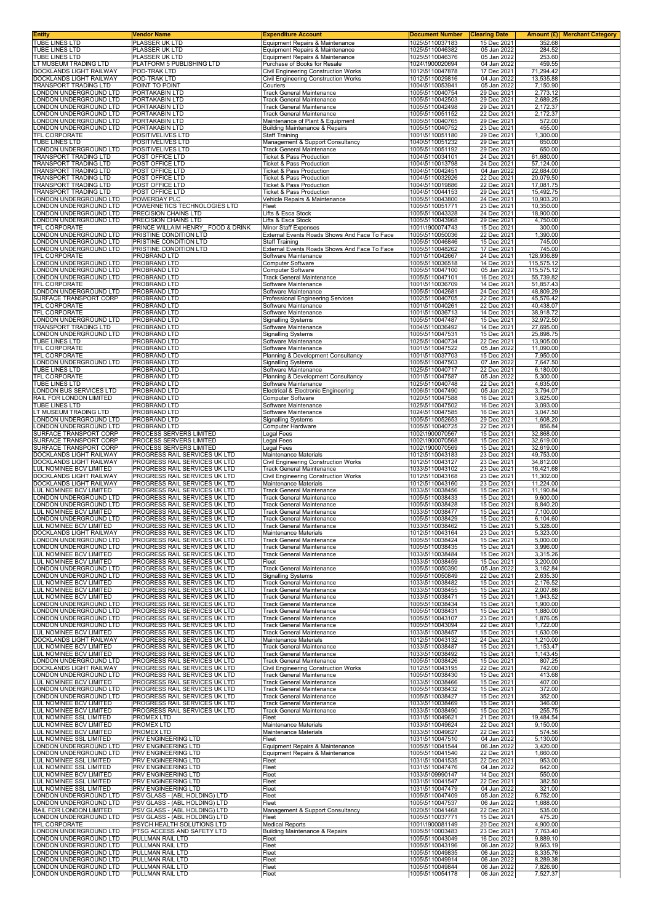| <b>Entity</b>                                                    | Vendor Name                                                    | <b>Expenditure Account</b>                                               | <b>Document Number</b>             | <b>Clearing Date</b>       | Amount (£) Merchant Category |
|------------------------------------------------------------------|----------------------------------------------------------------|--------------------------------------------------------------------------|------------------------------------|----------------------------|------------------------------|
| TUBE LINES LTD                                                   | <b>PLASSER UK LTD</b>                                          | Equipment Repairs & Maintenance                                          | 1025\5110037183                    | 15 Dec 2021                | 352.68                       |
| TUBE LINES LTD                                                   | PLASSER UK LTD                                                 | Equipment Repairs & Maintenance                                          | 1025\5110046382                    | 05 Jan 2022                | 284.52                       |
| TUBE LINES LTD                                                   | PLASSER UK LTD                                                 | Equipment Repairs & Maintenance                                          | 1025\5110046376                    | 05 Jan 2022                | 253.60                       |
| T MUSEUM TRADING LTD                                             | PLATFORM 5 PUBLISHING LTD                                      | Purchase of Books for Resale                                             | 1024\1900020694                    | 04 Jan 2022                | 459.55                       |
| DOCKLANDS LIGHT RAILWAY                                          | POD-TRAK LTD                                                   | Civil Engineering Construction Works                                     | 1012\5110047878                    | 17 Dec 2021                | 71,294.42                    |
| DOCKLANDS LIGHT RAILWAY                                          | POD-TRAK LTD                                                   | Civil Engineering Construction Works                                     | 1012\5110029816                    | 04 Jan 2022                | 13,535.88                    |
| <b>TRANSPORT TRADING LTD</b>                                     | POINT TO POINT                                                 | Couriers                                                                 | 1004\5110053941                    | 05 Jan 2022                | 7,150.90                     |
| ONDON UNDERGROUND LTD                                            | PORTAKABIN LTD                                                 | <b>Track General Maintenance</b>                                         | 1005\5110040754                    | 29 Dec 2021                | 2,773.12                     |
| ONDON UNDERGROUND LTD                                            | PORTAKABIN LTD                                                 | Track General Maintenance                                                | 1005\5110042503                    | 29 Dec 2021                | 2,689.25                     |
| ONDON UNDERGROUND LTD                                            | PORTAKABIN LTD                                                 | <b>Track General Maintenance</b>                                         | 1005\5110042498                    | 29 Dec 2021                | 2,172.37                     |
| ONDON UNDERGROUND LTD                                            | PORTAKABIN LTD                                                 | <b>Track General Maintenance</b>                                         | 1005\5110051152                    | 22 Dec 2021                | 2,172.37                     |
| ONDON UNDERGROUND LTD                                            | PORTAKABIN LTD                                                 | Maintenance of Plant & Equipment                                         | 1005\5110040765                    | 29 Dec 2021                | 572.00                       |
| ONDON UNDERGROUND LTD                                            | PORTAKABIN LTD                                                 | <b>Building Maintenance &amp; Repairs</b>                                | 1005\5110040752                    | 23 Dec 2021                | 455.00                       |
| TFL CORPORATE                                                    | POSITIVELIVES LTD                                              | <b>Staff Training</b>                                                    | 1001\5110051180                    | 29 Dec 2021                | 1,300.00                     |
| TUBE LINES LTD                                                   | POSITIVELIVES LTD                                              | Management & Support Consultancy                                         | 1040\5110051232                    | 29 Dec 2021                | 650.00                       |
| ONDON UNDERGROUND LTD                                            | POSITIVELIVES LTD                                              | <b>Track General Maintenance</b>                                         | 1005\5110051192                    | 29 Dec 2021                | 650.00                       |
| TRANSPORT TRADING LTD                                            | POST OFFICE LTD                                                | <b>Ticket &amp; Pass Production</b>                                      | 1004\5110034101                    | 24 Dec 2021                | 61,680.00                    |
| <b>FRANSPORT TRADING LTD</b>                                     | POST OFFICE LTD                                                | <b>Ticket &amp; Pass Production</b>                                      | 1004\5110013798                    | 24 Dec 2021                | 57,124.00                    |
| TRANSPORT TRADING LTD                                            | POST OFFICE LTD                                                | <b>Ticket &amp; Pass Production</b>                                      | 1004\5110042451                    | 04 Jan 2022                | 22,684.00                    |
| TRANSPORT TRADING LTD                                            | POST OFFICE LTD                                                | <b>Ticket &amp; Pass Production</b>                                      | 1004\5110032926                    | 22 Dec 2021                | 20,079.50                    |
| TRANSPORT TRADING LTD                                            | POST OFFICE LTD                                                | Ticket & Pass Production                                                 | 1004\5110019886                    | 22 Dec 2021                | 17,081.75                    |
| TRANSPORT TRADING LTD                                            | POST OFFICE LTD                                                | <b>Ticket &amp; Pass Production</b>                                      | 1004\5110044153                    | 29 Dec 2021                | 15,492.75                    |
| ONDON UNDERGROUND LTD                                            | POWERDAY PLC                                                   | Vehicle Repairs & Maintenance                                            | 1005\5110043800                    | 24 Dec 2021                | 10,903.20                    |
| ONDON UNDERGROUND LTD.                                           | POWERNETICS TECHNOLOGIES LTD                                   | Fleet                                                                    | 1005\5110051771                    | 23 Dec 2021                | 10,350.00                    |
| ONDON UNDERGROUND LTD                                            | PRECISION CHAINS LTD                                           | Lifts & Esca Stock                                                       | 1005\5110043328                    | 24 Dec 2021                | 18,900.00                    |
| ONDON UNDERGROUND LTD                                            | PRECISION CHAINS LTD                                           | Lifts & Esca Stock                                                       | 1005\5110043968                    | 29 Dec 2021                | 4,750.00                     |
| <b>TFL CORPORATE</b>                                             | PRINCE WILLAIM HENRY_FOOD & DRINK                              | <b>Minor Staff Expenses</b>                                              | 1001\1900074743                    | 15 Dec 2021                | 300.00                       |
| ONDON UNDERGROUND LTD                                            | PRISTINE CONDITION LTD                                         | External Events Roads Shows And Face To Face                             | 1005\5110050036                    | 22 Dec 2021                | 1,390.00                     |
| ONDON UNDERGROUND LTD                                            | PRISTINE CONDITION LTD                                         | <b>Staff Training</b>                                                    | 1005\5110046846                    | 15 Dec 2021                | 745.00                       |
| ONDON UNDERGROUND LTD                                            | PRISTINE CONDITION LTD                                         | External Events Roads Shows And Face To Face                             | 1005\5110048262                    | 17 Dec 2021                | 745.00                       |
| TFL CORPORATE                                                    | PROBRAND LTD                                                   | Software Maintenance                                                     | 1001\5110042667                    | 24 Dec 2021                | 128,936.89                   |
| ONDON UNDERGROUND LTD                                            | PROBRAND LTD                                                   | Computer Software                                                        | 1005\5110036518                    | 14 Dec 2021                | 115,575.12                   |
| ONDON UNDERGROUND LTD                                            | PROBRAND LTD                                                   | Computer Software                                                        | 1005\5110047100                    | 05 Jan 2022                | 115,575.12                   |
| ONDON UNDERGROUND LTD                                            | PROBRAND LTD                                                   | Track General Maintenance                                                | 1005\5110047101                    | 16 Dec 2021                | 55,739.82                    |
| <b>TFL CORPORATE</b>                                             | PROBRAND LTD                                                   | Software Maintenance                                                     | 1001\5110036709                    | 14 Dec 2021                | 51,857.43                    |
| ONDON UNDERGROUND LTD                                            | PROBRAND LTD                                                   | Software Maintenance                                                     | 1005\5110042681                    | 24 Dec 2021                | 48,809.29                    |
| SURFACE TRANSPORT CORP                                           | PROBRAND LTD                                                   | Professional Engineering Services                                        | 1002\5110040705                    | 22 Dec 2021                | 45,576.42                    |
| TFL CORPORATE                                                    | PROBRAND LTD                                                   | Software Maintenance                                                     | 1001\5110040261                    | 22 Dec 2021                | 40,438.07                    |
| TFL CORPORATE                                                    | PROBRAND LTD                                                   | Software Maintenance                                                     | 1001\5110036713                    | 14 Dec 2021                | 38.918.72                    |
| ONDON UNDERGROUND LTD                                            | PROBRAND LTD                                                   | <b>Signalling Systems</b>                                                | 1005\5110047487                    | 15 Dec 2021                | 32,972.50                    |
| TRANSPORT TRADING LTD                                            | PROBRAND LTD                                                   | Software Maintenance                                                     | 1004\5110036492                    | 14 Dec 2021                | 27,695.00                    |
| ONDON UNDERGROUND LTD                                            | PROBRAND LTD                                                   | <b>Signalling Systems</b>                                                | 1005\5110047531                    | 15 Dec 2021                | 25,898.75                    |
| TUBE LINES LTD                                                   | PROBRAND LTD                                                   | Software Maintenance                                                     | 1025\5110040734                    | 22 Dec 2021                | 13,905.00                    |
| <b>TFL CORPORATE</b>                                             | PROBRAND LTD                                                   | Software Maintenance                                                     | 1001\5110047522                    | 05 Jan 2022                | 11,090.00                    |
| TFL CORPORATE                                                    | PROBRAND LTD                                                   | Planning & Development Consultancy                                       | 1001\5110037703                    | 15 Dec 2021                | 7,950.00                     |
| ONDON UNDERGROUND LTD                                            | PROBRAND LTD                                                   | <b>Signalling Systems</b>                                                | 1005\5110047503                    | 07 Jan 2022                | 7,647.50                     |
| TUBE LINES LTD                                                   | <b>PROBRAND LTD</b>                                            | Software Maintenance                                                     | 1025\5110040717                    | 22 Dec 2021                | 6,180.00                     |
| <b>TFL CORPORATE</b>                                             | PROBRAND LTD                                                   | Planning & Development Consultancy                                       | 1001\5110047587                    | 05 Jan 2022                | 5,300.00                     |
| <b>TUBE LINES LTD</b>                                            | PROBRAND LTD                                                   | Software Maintenance                                                     | 1025\5110040748                    | 22 Dec 2021                | 4,635.00                     |
| ONDON BUS SERVICES LTD                                           | PROBRAND LTD                                                   | Electrical & Electronic Engineering                                      | 1006\5110047490                    | 05 Jan 2022                | 3,794.07                     |
| RAIL FOR LONDON LIMITED                                          | PROBRAND LTD                                                   | Computer Software                                                        | 1020\5110047588                    | 16 Dec 2021                | 3,625.00                     |
| TUBE LINES LTD                                                   | PROBRAND LTD                                                   | Software Maintenance                                                     | 1025\5110047502                    | 16 Dec 2021                | 3,093.00                     |
| T MUSEUM TRADING LTD                                             | PROBRAND LTD                                                   | Software Maintenance                                                     | 1024\5110047585                    | 16 Dec 2021                | 3,047.50                     |
| ONDON UNDERGROUND LTD                                            | PROBRAND LTD                                                   | Signalling Systems                                                       | 1005\5110052653                    | 29 Dec 2021                | 1,608.20                     |
| ONDON UNDERGROUND LTD                                            | PROBRAND LTD                                                   | Computer Hardware                                                        | 1005\5110040725                    | 22 Dec 2021                | 856.84                       |
| SURFACE TRANSPORT CORP                                           | PROCESS SERVERS LIMITED                                        | Legal Fees                                                               | 1002\1900070567                    | 15 Dec 2021                | 32,868.00                    |
| SURFACE TRANSPORT CORP                                           | PROCESS SERVERS LIMITED                                        | Legal Fees                                                               | 1002\1900070568                    | 15 Dec 2021                | 32,619.00                    |
| SURFACE TRANSPORT CORP                                           | PROCESS SERVERS LIMITED                                        | <b>Legal Fees</b>                                                        | 1002\1900070569                    | 15 Dec 2021                | 32,619.00                    |
| DOCKLANDS LIGHT RAILWAY                                          | PROGRESS RAIL SERVICES UK LTD                                  | Maintenance Materials                                                    | 1012\5110043183                    | 23 Dec 2021                | 49,753.00                    |
| DOCKLANDS LIGHT RAILWAY                                          | PROGRESS RAIL SERVICES UK LTD                                  |                                                                          | 1012\5110043127                    | 23 Dec 2021                | 34,812.00                    |
| LUL NOMINEE BCV LIMITED                                          | PROGRESS RAIL SERVICES UK LTD                                  | Civil Engineering Construction Works<br><b>Track General Maintenance</b> | 1033\5110043102                    | 23 Dec 2021                | 16,421.68                    |
| DOCKLANDS LIGHT RAILWAY                                          | PROGRESS RAIL SERVICES UK LTD                                  | Civil Engineering Construction Works                                     | 1012\5110043168                    | 23 Dec 2021                | 11,302.00                    |
| DOCKLANDS LIGHT RAILWAY                                          | PROGRESS RAIL SERVICES UK LTD                                  | Maintenance Materials                                                    | 1012\5110043160                    | 23 Dec 2021                | 11,224.00                    |
| LUL NOMINEE BCV LIMITED                                          | PROGRESS RAIL SERVICES UK LTD                                  | <b>Track General Maintenance</b>                                         | 1033\5110038456                    | 15 Dec 2021                | 11,190.84                    |
| ONDON UNDERGROUND LTD                                            | PROGRESS RAIL SERVICES UK LTD                                  | <b>Track General Maintenance</b>                                         | 1005\5110038433                    | 15 Dec 2021                | 9,600.00                     |
| ONDON UNDERGROUND LTD                                            | PROGRESS RAIL SERVICES UK LTD                                  | Track General Maintenance                                                | 1005\5110038428                    | 15 Dec 2021                | 8,840.20                     |
| LUL NOMINEE BCV LIMITED                                          | PROGRESS RAIL SERVICES UK LTD                                  | <b>Track General Maintenance</b>                                         | 1033\5110038477                    | 15 Dec 2021                | 7,100.00                     |
| ONDON UNDERGROUND LTD                                            | PROGRESS RAIL SERVICES UK LTD                                  | <b>Track General Maintenance</b>                                         | 1005\5110038429                    | 15 Dec 2021                | 6,104.60                     |
| UL NOMINEE BCV LIMITED.                                          | PROGRESS RAIL SERVICES UK LTD                                  | Track General Maintenance                                                | 1033\5110038462                    | 15 Dec 2021                | 5,328.00                     |
| DOCKLANDS LIGHT RAILWAY                                          | PROGRESS RAIL SERVICES UK LTD                                  | Maintenance Materials                                                    | 1012\5110043164                    | 23 Dec 2021                | 5,323.00                     |
| ONDON UNDERGROUND LTD                                            | PROGRESS RAIL SERVICES UK LTD                                  | Track General Maintenance                                                | 1005\5110038424                    | 15 Dec 2021                | 5,000.00                     |
| ONDON UNDERGROUND LTD                                            | PROGRESS RAIL SERVICES UK LTD                                  | Track General Maintenance                                                | 1005\5110038435                    | 15 Dec 2021                | 3,996.00                     |
| LUL NOMINEE BCV LIMITED                                          | PROGRESS RAIL SERVICES UK LTD                                  | Track General Maintenance                                                | 1033\5110038484                    | 15 Dec 2021                | 3,315.26                     |
| LUL NOMINEE BCV LIMITED                                          | PROGRESS RAIL SERVICES UK LTD                                  | Fleet                                                                    | 1033\5110038459                    | 15 Dec 2021                | 3,200.00                     |
| ONDON UNDERGROUND LTD                                            | PROGRESS RAIL SERVICES UK LTD                                  | Track General Maintenance                                                | 1005\5110050390                    | 05 Jan 2022                | 3,162.84                     |
| ONDON UNDERGROUND LTD                                            | PROGRESS RAIL SERVICES UK LTD                                  | <b>Signalling Systems</b>                                                | 1005\5110050849                    | 22 Dec 2021                | 2,635.30                     |
| LUL NOMINEE BCV LIMITED                                          | PROGRESS RAIL SERVICES UK LTD                                  | <b>Track General Maintenance</b>                                         | 1033\5110038482                    | 15 Dec 2021                | 2,176.52                     |
| LUL NOMINEE BCV LIMITED                                          | PROGRESS RAIL SERVICES UK LTD                                  | <b>Track General Maintenance</b>                                         | 1033\5110038455                    | 15 Dec 2021                | 2,007.86                     |
| LUL NOMINEE BCV LIMITED                                          | PROGRESS RAIL SERVICES UK LTD                                  | <b>Track General Maintenance</b>                                         | 1033\5110038471                    | 15 Dec 2021                | 1,943.52                     |
| ONDON UNDERGROUND LTD                                            | PROGRESS RAIL SERVICES UK LTD                                  | <b>Track General Maintenance</b>                                         | 1005\5110038434                    | 15 Dec 2021                | 1,900.00                     |
| ONDON UNDERGROUND LTD                                            | PROGRESS RAIL SERVICES UK LTD                                  | Track General Maintenance                                                | 1005\5110038431                    | 15 Dec 2021                | 1,880.00                     |
| ONDON UNDERGROUND LTD<br>ONDON UNDERGROUND LTD                   | PROGRESS RAIL SERVICES UK LTD<br>PROGRESS RAIL SERVICES UK LTD | <b>Track General Maintenance</b>                                         | 1005\5110043107                    | 23 Dec 2021                | 1,876.05                     |
| LUL NOMINEE BCV LIMITED                                          | PROGRESS RAIL SERVICES UK LTD                                  | <b>Track General Maintenance</b><br><b>Track General Maintenance</b>     | 1005\5110043094<br>1033\5110038457 | 22 Dec 2021<br>15 Dec 2021 | 1,722.00<br>1,630.09         |
| DOCKLANDS LIGHT RAILWAY                                          | PROGRESS RAIL SERVICES UK LTD                                  | Maintenance Materials<br><b>Track General Maintenance</b>                | 1012\5110043132<br>1033\5110038487 | 24 Dec 2021                | 1,210.00                     |
| <b>LUL NOMINEE BCV LIMITED</b><br><b>LUL NOMINEE BCV LIMITED</b> | PROGRESS RAIL SERVICES UK LTD<br>PROGRESS RAIL SERVICES UK LTD | Track General Maintenance                                                | 1033\5110038492                    | 15 Dec 2021<br>15 Dec 2021 | 1,153.47<br>1,143.45         |
| ONDON UNDERGROUND LTD                                            | PROGRESS RAIL SERVICES UK LTD                                  | Track General Maintenance                                                | 1005\5110038426<br>1012\5110043195 | 15 Dec 2021                | 807.25                       |
| DOCKLANDS LIGHT RAILWAY                                          | PROGRESS RAIL SERVICES UK LTD                                  | Civil Engineering Construction Works                                     | 1005\5110038430                    | 22 Dec 2021                | 742.00                       |
| ONDON UNDERGROUND LTD                                            | PROGRESS RAIL SERVICES UK LTD                                  | <b>Track General Maintenance</b>                                         |                                    | 15 Dec 2021                | 413.68                       |
| LUL NOMINEE BCV LIMITED                                          | PROGRESS RAIL SERVICES UK LTD                                  | <b>Track General Maintenance</b>                                         | 1033\5110038466                    | 15 Dec 2021                | 407.00                       |
| ONDON UNDERGROUND LTD                                            | PROGRESS RAIL SERVICES UK LTD                                  | <b>Track General Maintenance</b>                                         | 1005\5110038432                    | 15 Dec 2021                | 372.00                       |
| ONDON UNDERGROUND LTD                                            | PROGRESS RAIL SERVICES UK LTD                                  | Track General Maintenance                                                | 1005\5110038427                    | 15 Dec 2021                | 352.00                       |
| <b>UL NOMINEE BCV LIMITED</b>                                    | PROGRESS RAIL SERVICES UK LTD                                  | Track General Maintenance                                                | 1033\5110038469                    | 15 Dec 2021                | 346.00                       |
| LUL NOMINEE BCV LIMITED                                          | PROGRESS RAIL SERVICES UK LTD                                  | <b>Track General Maintenance</b>                                         | 1033\5110038490                    | 15 Dec 2021                | 255.75                       |
| LUL NOMINEE SSL LIMITED                                          | PROMEX LTD                                                     | Fleet                                                                    | 1031\5110049621                    | 21 Dec 2021                | 19,484.54                    |
| LUL NOMINEE BCV LIMITED                                          | PROMEX LTD                                                     | Maintenance Materials                                                    | 1033\5110049624                    | 22 Dec 2021                | 9,150.00                     |
| LUL NOMINEE BCV LIMITED                                          | <b>PROMEX LTD</b>                                              | Maintenance Materials                                                    | 1033\5110049627                    | 22 Dec 2021                | 574.56                       |
| LUL NOMINEE SSL LIMITED                                          | PRV ENGINEERING LTD                                            | Fleet                                                                    | 1031\5110047510                    | 04 Jan 2022                | 5,130.00                     |
| ONDON UNDERGROUND LTD                                            | PRV ENGINEERING LTD                                            | Equipment Repairs & Maintenance                                          | 1005\5110041544                    | 06 Jan 2022                | 3,420.00                     |
| ONDON UNDERGROUND LTD                                            | PRV ENGINEERING LTD                                            | Equipment Repairs & Maintenance                                          | 1005\5110041540                    | 22 Dec 2021                | 1,660.00                     |
| <b>UL NOMINEE SSL LIMITED</b>                                    | PRV ENGINEERING LTD                                            | Fleet                                                                    | 1031\5110041535                    | 22 Dec 2021                | 953.00                       |
| LUL NOMINEE SSL LIMITED                                          | PRV ENGINEERING LTD                                            | Fleet                                                                    | 1031\5110047476                    | 04 Jan 2022                | 642.00                       |
| LUL NOMINEE BCV LIMITED                                          | PRV ENGINEERING LTD                                            | Fleet                                                                    | 1033\5109990147                    | 14 Dec 2021                | 550.00                       |
| LUL NOMINEE SSL LIMITED                                          | PRV ENGINEERING LTD                                            | Fleet                                                                    | 1031\5110041547                    | 22 Dec 2021                | 382.50                       |
| <b>UL NOMINEE SSL LIMITED</b>                                    | PRV ENGINEERING LTD                                            | Fleet                                                                    | 1031\5110047479                    | 04 Jan 2022                | 321.00                       |
| ONDON UNDERGROUND LTD                                            | PSV GLASS - (ABL HOLDING) LTD                                  | Fleet                                                                    | 1005\5110047409                    | 05 Jan 2022                | 6,752.00                     |
| ONDON UNDERGROUND LTD                                            | PSV GLASS - (ABL HOLDING) LTD                                  | Fleet                                                                    | 1005\5110047537                    | 06 Jan 2022                | 1,688.00                     |
| RAIL FOR LONDON LIMITED                                          | PSV GLASS - (ABL HOLDING) LTD                                  | Management & Support Consultancy                                         | 1020\5110041468                    | 22 Dec 2021                | 535.00                       |
| ONDON UNDERGROUND LTD                                            | PSV GLASS - (ABL HOLDING) LTD                                  | Fleet                                                                    | 1005\5110037771                    | 15 Dec 2021                | 475.20                       |
| <b><i>FEL CORPORATE</i></b>                                      | PSYCH HEALTH SOLUTIONS LTD                                     | <b>Medical Reports</b>                                                   | 1001\1900081149                    | 20 Dec 2021                | 4,900.00                     |
| ONDON UNDERGROUND LTD                                            | PTSG ACCESS AND SAFETY LTD                                     | <b>Building Maintenance &amp; Repairs</b>                                | 1005\5110003483                    | 23 Dec 2021                | 7,763.40                     |
| ONDON UNDERGROUND LTD                                            | PULLMAN RAIL LTD                                               | Fleet                                                                    | 1005\5110043049                    | 16 Dec 2021                | 9,889.10                     |
| ONDON UNDERGROUND LTD.                                           | PULLMAN RAIL LTD                                               | Fleet                                                                    | 1005\5110043196                    | 06 Jan 2022                | 9,663.19                     |
| ONDON UNDERGROUND LTD                                            | PULLMAN RAIL LTD                                               | Fleet                                                                    | 1005\5110049835                    | 06 Jan 2022                | 8,335.76                     |
| ONDON UNDERGROUND LTD                                            | PULLMAN RAIL LTD                                               | Fleet                                                                    | 1005\5110049914                    | 06 Jan 2022                | 8,289.38                     |
| ONDON UNDERGROUND LTD                                            | PULLMAN RAIL LTD                                               | Fleet                                                                    | 1005\5110049844                    | 06 Jan 2022                | 7,826.90                     |
| LONDON UNDERGROUND LTD                                           | PULLMAN RAIL LTD                                               | Fleet                                                                    | 1005\5110054178                    | 06 Jan 2022                | 7,527.37                     |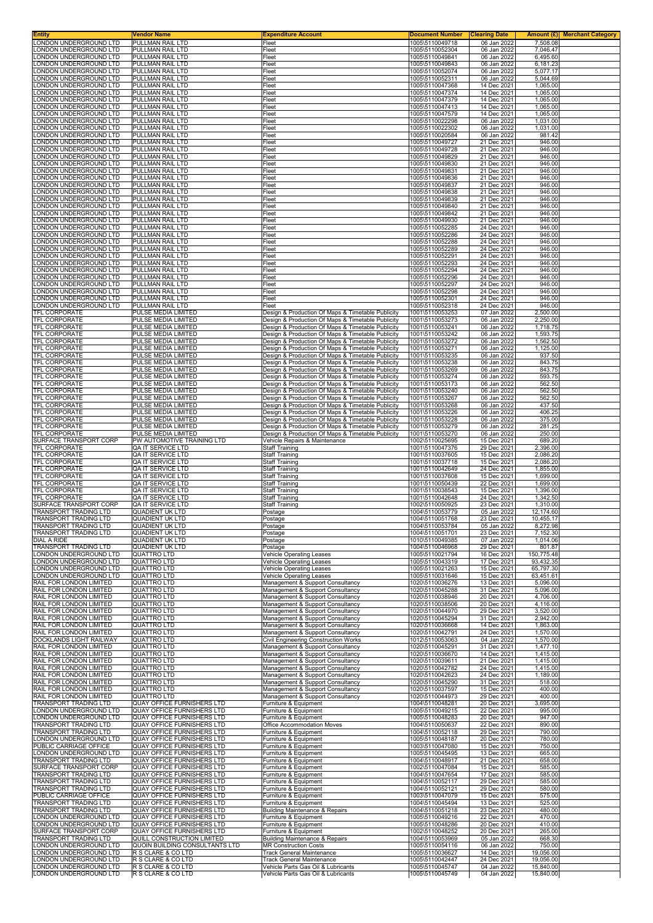| Entity                                                | Vendor Name                                                     | <b>Expenditure Account</b>                                                                             | <b>Document Number</b>             | <b>Clearing Date</b>       |                        | <b>Amount (£)</b> Merchant Category |
|-------------------------------------------------------|-----------------------------------------------------------------|--------------------------------------------------------------------------------------------------------|------------------------------------|----------------------------|------------------------|-------------------------------------|
| ONDON UNDERGROUND LTD<br>ONDON UNDERGROUND LTD        | PULLMAN RAIL LTD<br>PULLMAN RAIL LTD                            | Fleet<br>Fleet                                                                                         | 1005\5110049718<br>1005\5110052304 | 06 Jan 2022<br>06 Jan 2022 | 7,508.08<br>7,046.47   |                                     |
| ONDON UNDERGROUND LTD                                 | PULLMAN RAIL LTD                                                | Fleet                                                                                                  | 1005\5110049841                    | 06 Jan 2022                | 6,495.60               |                                     |
| ONDON UNDERGROUND LTD<br>ONDON UNDERGROUND LTD        | PULLMAN RAIL LTD<br>PULLMAN RAIL LTD                            | Fleet<br>Fleet                                                                                         | 1005\5110049843<br>1005\5110052074 | 06 Jan 2022<br>06 Jan 2022 | 6,181.23<br>5.077.17   |                                     |
| ONDON UNDERGROUND LTD                                 | PULLMAN RAIL LTD                                                | Fleet                                                                                                  | 1005\5110052311                    | 06 Jan 2022                | 5,044.69               |                                     |
| ONDON UNDERGROUND LTD                                 | PULLMAN RAIL LTD                                                | Fleet                                                                                                  | 1005\5110047368                    | 14 Dec 2021                | 1,065.00               |                                     |
| ONDON UNDERGROUND LTD<br>ONDON UNDERGROUND LTD        | PULLMAN RAIL LTD<br>PULLMAN RAIL LTD                            | Fleet<br>Fleet                                                                                         | 1005\5110047374<br>1005\5110047379 | 14 Dec 2021<br>14 Dec 2021 | 1,065.00<br>1,065.00   |                                     |
| ONDON UNDERGROUND LTD                                 | PULLMAN RAIL LTD                                                | Fleet                                                                                                  | 1005\5110047413                    | 14 Dec 2021                | 1,065.00               |                                     |
| ONDON UNDERGROUND LTD<br>ONDON UNDERGROUND LTD        | PULLMAN RAIL LTD<br>PULLMAN RAIL LTD                            | Fleet<br>Fleet                                                                                         | 1005\5110047579<br>1005\5110022298 | 14 Dec 2021<br>06 Jan 2022 | 1,065.00<br>1,031.00   |                                     |
| ONDON UNDERGROUND LTD                                 | PULLMAN RAIL LTD                                                | Fleet                                                                                                  | 1005\5110022302                    | 06 Jan 2022                | 1,031.00               |                                     |
| ONDON UNDERGROUND LTD.<br>ONDON UNDERGROUND LTD       | PULLMAN RAIL LTD<br>PULLMAN RAIL LTD                            | Fleet<br>Fleet                                                                                         | 1005\5110020584<br>1005\5110049727 | 06 Jan 2022<br>21 Dec 2021 | 981.42<br>946.00       |                                     |
| ONDON UNDERGROUND LTD                                 | PULLMAN RAIL LTD                                                | Fleet                                                                                                  | 1005\5110049728                    | 21 Dec 2021                | 946.00                 |                                     |
| ONDON UNDERGROUND LTD<br>ONDON UNDERGROUND LTD        | PULLMAN RAIL LTD<br>PULLMAN RAIL LTD                            | Fleet                                                                                                  | 1005\5110049829                    | 21 Dec 2021                | 946.00                 |                                     |
| ONDON UNDERGROUND LTD                                 | PULLMAN RAIL LTD                                                | Fleet<br>Fleet                                                                                         | 1005\5110049830<br>1005\5110049831 | 21 Dec 2021<br>21 Dec 2021 | 946.00<br>946.00       |                                     |
| ONDON UNDERGROUND LTD                                 | PULLMAN RAIL LTD                                                | Fleet                                                                                                  | 1005\5110049836                    | 21 Dec 2021                | 946.00                 |                                     |
| ONDON UNDERGROUND LTD<br>ONDON UNDERGROUND LTD        | PULLMAN RAIL LTD<br>PULLMAN RAIL LTD                            | Fleet<br>Fleet                                                                                         | 1005\5110049837<br>1005\5110049838 | 21 Dec 2021<br>21 Dec 2021 | 946.00<br>946.00       |                                     |
| ONDON UNDERGROUND LTD                                 | PULLMAN RAIL LTD                                                | Fleet                                                                                                  | 1005\5110049839                    | 21 Dec 2021                | 946.00                 |                                     |
| ONDON UNDERGROUND LTD.<br>ONDON UNDERGROUND LTD       | PULLMAN RAIL LTD<br>PULLMAN RAIL LTD                            | Fleet<br>Fleet                                                                                         | 1005\5110049840<br>1005\5110049842 | 21 Dec 2021<br>21 Dec 2021 | 946.00<br>946.00       |                                     |
| ONDON UNDERGROUND LTD                                 | PULLMAN RAIL LTD                                                | Fleet                                                                                                  | 1005\5110049930                    | 21 Dec 2021                | 946.00                 |                                     |
| ONDON UNDERGROUND LTD.<br>ONDON UNDERGROUND LTD       | PULLMAN RAIL LTD<br>PULLMAN RAIL LTD                            | Fleet<br>Fleet                                                                                         | 1005\5110052285<br>1005\5110052286 | 24 Dec 2021<br>24 Dec 2021 | 946.00<br>946.00       |                                     |
| ONDON UNDERGROUND LTD                                 | <b>PULLMAN RAIL LTD</b>                                         | Fleet                                                                                                  | 1005\5110052288                    | 24 Dec 2021                | 946.00                 |                                     |
| ONDON UNDERGROUND LTD                                 | PULLMAN RAIL LTD                                                | Fleet                                                                                                  | 1005\5110052289<br>1005\5110052291 | 24 Dec 2021                | 946.00                 |                                     |
| ONDON UNDERGROUND LTD<br>ONDON UNDERGROUND LTD        | PULLMAN RAIL LTD<br>PULLMAN RAIL LTD                            | Fleet<br>Fleet                                                                                         | 1005\5110052293                    | 24 Dec 2021<br>24 Dec 2021 | 946.00<br>946.00       |                                     |
| ONDON UNDERGROUND LTD                                 | PULLMAN RAIL LTD                                                | Fleet                                                                                                  | 1005\5110052294                    | 24 Dec 2021                | 946.00                 |                                     |
| ONDON UNDERGROUND LTD<br>ONDON UNDERGROUND LTD        | PULLMAN RAIL LTD<br>PULLMAN RAIL LTD                            | Fleet<br>Fleet                                                                                         | 1005\5110052296<br>1005\5110052297 | 24 Dec 2021<br>24 Dec 2021 | 946.00<br>946.00       |                                     |
| ONDON UNDERGROUND LTD                                 | PULLMAN RAIL LTD                                                | Fleet                                                                                                  | 1005\5110052298                    | 24 Dec 2021                | 946.00                 |                                     |
| ONDON UNDERGROUND LTD<br>ONDON UNDERGROUND LTD        | PULLMAN RAIL LTD<br>PULLMAN RAIL LTD                            | Fleet<br>Fleet                                                                                         | 1005\5110052301<br>1005\5110052318 | 24 Dec 2021<br>24 Dec 2021 | 946.00<br>946.00       |                                     |
| <b>TFL CORPORATE</b>                                  | PULSE MEDIA LIMITED                                             | Design & Production Of Maps & Timetable Publicity                                                      | 1001\5110053253                    | 07 Jan 2022                | 2,500.00               |                                     |
| TFL CORPORATE                                         | PULSE MEDIA LIMITED                                             | Design & Production Of Maps & Timetable Publicity                                                      | 1001\5110053273                    | 06 Jan 2022                | 2,250.00               |                                     |
| TFL CORPORATE<br>TFL CORPORATE                        | PULSE MEDIA LIMITED<br>PULSE MEDIA LIMITED                      | Design & Production Of Maps & Timetable Publicity<br>Design & Production Of Maps & Timetable Publicity | 1001\5110053241<br>1001\5110053242 | 06 Jan 2022<br>06 Jan 2022 | 1,718.75<br>1,593.75   |                                     |
| <b>TFL CORPORATE</b>                                  | PULSE MEDIA LIMITED                                             | Design & Production Of Maps & Timetable Publicity                                                      | 1001\5110053272                    | 06 Jan 2022                | 1,562.50               |                                     |
| TFL CORPORATE<br>TFL CORPORATE                        | PULSE MEDIA LIMITED<br>PULSE MEDIA LIMITED                      | Design & Production Of Maps & Timetable Publicity<br>Design & Production Of Maps & Timetable Publicity | 1001\5110053271<br>1001\5110053235 | 06 Jan 2022<br>06 Jan 2022 | 1,125.00<br>937.50     |                                     |
| TFL CORPORATE                                         | PULSE MEDIA LIMITED                                             | Design & Production Of Maps & Timetable Publicity                                                      | 1001\5110053238                    | 06 Jan 2022                | 843.75                 |                                     |
| TFL CORPORATE                                         | PULSE MEDIA LIMITED<br>PULSE MEDIA LIMITED                      | Design & Production Of Maps & Timetable Publicity<br>Design & Production Of Maps & Timetable Publicity | 1001\5110053269<br>1001\5110053274 | 06 Jan 2022<br>06 Jan 2022 | 843.75<br>593.75       |                                     |
| TFL CORPORATE<br>TFL CORPORATE                        | PULSE MEDIA LIMITED                                             | Design & Production Of Maps & Timetable Publicity                                                      | 1001\5110053173                    | 06 Jan 2022                | 562.50                 |                                     |
| TFL CORPORATE                                         | PULSE MEDIA LIMITED                                             | Design & Production Of Maps & Timetable Publicity                                                      | 1001\5110053240                    | 06 Jan 2022                | 562.50                 |                                     |
| TFL CORPORATE<br>TFL CORPORATE                        | PULSE MEDIA LIMITED<br>PULSE MEDIA LIMITED                      | Design & Production Of Maps & Timetable Publicity<br>Design & Production Of Maps & Timetable Publicity | 1001\5110053267<br>1001\5110053268 | 06 Jan 2022<br>06 Jan 2022 | 562.50<br>437.50       |                                     |
| TFL CORPORATE                                         | PULSE MEDIA LIMITED                                             | Design & Production Of Maps & Timetable Publicity                                                      | 1001\5110053226                    | 06 Jan 2022                | 406.25                 |                                     |
| TFL CORPORATE<br>TFL CORPORATE                        | PULSE MEDIA LIMITED<br>PULSE MEDIA LIMITED                      | Design & Production Of Maps & Timetable Publicity<br>Design & Production Of Maps & Timetable Publicity | 1001\5110053228<br>1001\5110053279 | 06 Jan 2022<br>06 Jan 2022 | 375.00<br>281.25       |                                     |
| TFL CORPORATE                                         | PULSE MEDIA LIMITED                                             | Design & Production Of Maps & Timetable Publicity                                                      | 1001\5110053270                    | 06 Jan 2022                | 250.00                 |                                     |
| SURFACE TRANSPORT CORP                                | PW AUTOMOTIVE TRAINING LTD                                      | Vehicle Repairs & Maintenance                                                                          | 1002\5110025695                    | 15 Dec 2021                | 689.20                 |                                     |
| TFL CORPORATE<br>TFL CORPORATE                        | QA IT SERVICE LTD<br>QA IT SERVICE LTD                          | <b>Staff Training</b><br><b>Staff Training</b>                                                         | 1001\5110047376<br>1001\5110037605 | 29 Dec 2021<br>15 Dec 2021 | 2,396.00<br>2,086.20   |                                     |
| TFL CORPORATE                                         | QA IT SERVICE LTD                                               | <b>Staff Training</b>                                                                                  | 1001\5110037718                    | 15 Dec 2021                | 2,086.20               |                                     |
| TFL CORPORATE<br>TFL CORPORATE                        | QA IT SERVICE LTD<br>QA IT SERVICE LTD                          | <b>Staff Training</b><br><b>Staff Training</b>                                                         | 1001\5110042649<br>1001\5110037608 | 24 Dec 2021<br>15 Dec 2021 | 1,855.00<br>1,699.00   |                                     |
| TFL CORPORATE                                         | QA IT SERVICE LTD                                               | <b>Staff Training</b>                                                                                  | 1001\5110050439                    | 22 Dec 2021                | 1,699.00               |                                     |
| <b>TFL CORPORATE</b><br>TFL CORPORATE                 | QA IT SERVICE LTD<br>QA IT SERVICE LTD                          | <b>Staff Training</b><br><b>Staff Training</b>                                                         | 1001\5110038543<br>1001\5110042648 | 15 Dec 2021<br>24 Dec 2021 | 1,396.00<br>1,342.50   |                                     |
| SURFACE TRANSPORT CORP                                | QA IT SERVICE LTD                                               | <b>Staff Training</b>                                                                                  | 1002\5110050925                    | 23 Dec 2021                | 1,310.00               |                                     |
| <b>FRANSPORT TRADING LTD</b><br>TRANSPORT TRADING LTD | <b>QUADIENT UK LTD</b><br><b>QUADIENT UK LTD</b>                | Postage                                                                                                | 1004\5110053779<br>1004\5110051768 | 05 Jan 2022<br>23 Dec 2021 | 12.174.60<br>10,455.17 |                                     |
| IRANSPORT TRADING LTD                                 | QUADIEN I UK LI D                                               | Postage<br>Postage                                                                                     | 1004\5110053784                    | 05 Jan 2022                | 8,272.98               |                                     |
| TRANSPORT TRADING LTD                                 | <b>QUADIENT UK LTD</b>                                          | Postage                                                                                                | 1004\5110051701                    | 23 Dec 2021                | 7,152.30               |                                     |
| DIAL A RIDE<br><b>TRANSPORT TRADING LTD</b>           | <b>QUADIENT UK LTD</b><br><b>QUADIENT UK LTD</b>                | Postage<br>Postage                                                                                     | 1010\5110049385<br>1004\5110046968 | 07 Jan 2022<br>29 Dec 2021 | 1,014.06<br>801.87     |                                     |
| ONDON UNDERGROUND LTD                                 | <b>QUATTRO LTD</b>                                              | <b>Vehicle Operating Leases</b>                                                                        | 1005\5110021794                    | 16 Dec 2021                | 150,775.48             |                                     |
| ONDON UNDERGROUND LTD<br>ONDON UNDERGROUND LTD        | <b>QUATTRO LTD</b><br><b>QUATTRO LTD</b>                        | <b>Vehicle Operating Leases</b><br>Vehicle Operating Leases                                            | 1005\5110043319<br>1005\5110021263 | 17 Dec 2021<br>15 Dec 2021 | 93,432.35<br>65,797.30 |                                     |
| ONDON UNDERGROUND LTD                                 | <b>QUATTRO LTD</b>                                              | <b>Vehicle Operating Leases</b>                                                                        | 1005\5110031646                    | 15 Dec 2021                | 63,451.61              |                                     |
| RAIL FOR LONDON LIMITED<br>RAIL FOR LONDON LIMITED    | <b>QUATTRO LTD</b><br><b>QUATTRO LTD</b>                        | Management & Support Consultancy<br>Management & Support Consultancy                                   | 1020\5110036276<br>1020\5110045288 | 13 Dec 2021<br>31 Dec 2021 | 5,096.00<br>5,096.00   |                                     |
| RAIL FOR LONDON LIMITED                               | <b>QUATTRO LTD</b>                                              | Management & Support Consultancy                                                                       | 1020\5110038946                    | 20 Dec 2021                | 4,706.00               |                                     |
| RAIL FOR LONDON LIMITED<br>RAIL FOR LONDON LIMITED    | <b>QUATTRO LTD</b><br><b>QUATTRO LTD</b>                        | Management & Support Consultancy                                                                       | 1020\5110038506                    | 20 Dec 2021<br>29 Dec 2021 | 4.116.00               |                                     |
| RAIL FOR LONDON LIMITED                               | <b>QUATTRO LTD</b>                                              | Management & Support Consultancy<br>Management & Support Consultancy                                   | 1020\5110044970<br>1020\5110045294 | 31 Dec 2021                | 3,520.00<br>2,942.00   |                                     |
| RAIL FOR LONDON LIMITED                               | <b>QUATTRO LTD</b>                                              | Management & Support Consultancy                                                                       | 1020\5110036668                    | 14 Dec 2021                | 1,863.00               |                                     |
| RAIL FOR LONDON LIMITED<br>DOCKLANDS LIGHT RAILWAY    | <b>QUATTRO LTD</b><br><b>QUATTRO LTD</b>                        | Management & Support Consultancy<br>Civil Engineering Construction Works                               | 1020\5110042791<br>1012\5110053063 | 24 Dec 2021<br>04 Jan 2022 | 1,570.00<br>1,570.00   |                                     |
| RAIL FOR LONDON LIMITED                               | <b>QUATTRO LTD</b>                                              | Management & Support Consultancy                                                                       | 1020\5110045291                    | 31 Dec 2021                | 1,477.10               |                                     |
| RAIL FOR LONDON LIMITED<br>RAIL FOR LONDON LIMITED    | <b>QUATTRO LTD</b><br><b>QUATTRO LTD</b>                        | Management & Support Consultancy<br>Management & Support Consultancy                                   | 1020\5110036670<br>1020\5110039611 | 14 Dec 2021<br>21 Dec 2021 | 1,415.00<br>1,415.00   |                                     |
| RAIL FOR LONDON LIMITED                               | <b>QUATTRO LTD</b>                                              | Management & Support Consultancy                                                                       | 1020\5110042782                    | 24 Dec 2021                | 1,415.00               |                                     |
| RAIL FOR LONDON LIMITED<br>RAIL FOR LONDON LIMITED    | <b>QUATTRO LTD</b><br><b>QUATTRO LTD</b>                        | Management & Support Consultancy<br>Management & Support Consultancy                                   | 1020\5110042623<br>1020\5110045290 | 24 Dec 2021<br>31 Dec 2021 | 1,189.00<br>518.00     |                                     |
| RAIL FOR LONDON LIMITED                               | <b>QUATTRO LTD</b>                                              | Management & Support Consultancy                                                                       | 1020\5110037597                    | 15 Dec 2021                | 400.00                 |                                     |
| RAIL FOR LONDON LIMITED<br>TRANSPORT TRADING LTD      | <b>QUATTRO LTD</b><br>QUAY OFFICE FURNISHERS LTD                | Management & Support Consultancy<br>Furniture & Equipment                                              | 1020\5110044973<br>1004\5110048281 | 29 Dec 2021<br>20 Dec 2021 | 400.00<br>3,695.00     |                                     |
| ONDON UNDERGROUND LTD                                 | <b>QUAY OFFICE FURNISHERS LTD</b>                               | Furniture & Equipment                                                                                  | 1005\5110049215                    | 22 Dec 2021                | 995.00                 |                                     |
| ONDON UNDERGROUND LTD                                 | QUAY OFFICE FURNISHERS LTD                                      | Furniture & Equipment                                                                                  | 1005\5110048283                    | 20 Dec 2021                | 947.00                 |                                     |
| TRANSPORT TRADING LTD<br>TRANSPORT TRADING LTD        | QUAY OFFICE FURNISHERS LTD<br>QUAY OFFICE FURNISHERS LTD        | Office Accommodation Moves<br>Furniture & Equipment                                                    | 1004\5110050637<br>1004\5110052118 | 22 Dec 2021<br>29 Dec 2021 | 890.00<br>790.00       |                                     |
| ONDON UNDERGROUND LTD                                 | QUAY OFFICE FURNISHERS LTD                                      | Furniture & Equipment                                                                                  | 1005\5110048187                    | 20 Dec 2021                | 780.00                 |                                     |
| PUBLIC CARRIAGE OFFICE<br>ONDON UNDERGROUND LTD       | QUAY OFFICE FURNISHERS LTD<br>QUAY OFFICE FURNISHERS LTD        | Furniture & Equipment<br>Furniture & Equipment                                                         | 1003\5110047080<br>1005\5110045495 | 15 Dec 2021<br>13 Dec 2021 | 750.00<br>665.00       |                                     |
| TRANSPORT TRADING LTD                                 | <b>QUAY OFFICE FURNISHERS LTD</b>                               | Furniture & Equipment                                                                                  | 1004\5110048917                    | 21 Dec 2021                | 658.00                 |                                     |
| SURFACE TRANSPORT CORP<br>TRANSPORT TRADING LTD       | QUAY OFFICE FURNISHERS LTD<br>QUAY OFFICE FURNISHERS LTD        | Furniture & Equipment<br>Furniture & Equipment                                                         | 1002\5110047084<br>1004\5110047654 | 15 Dec 2021<br>17 Dec 2021 | 585.00<br>585.00       |                                     |
| TRANSPORT TRADING LTD                                 | <b>QUAY OFFICE FURNISHERS LTD</b>                               | Furniture & Equipment                                                                                  | 1004\5110052117                    | 29 Dec 2021                | 585.00                 |                                     |
| <b>FRANSPORT TRADING LTD</b>                          | QUAY OFFICE FURNISHERS LTD                                      | Furniture & Equipment                                                                                  | 1004\5110052121                    | 29 Dec 2021                | 580.00                 |                                     |
| PUBLIC CARRIAGE OFFICE<br>TRANSPORT TRADING LTD       | <b>QUAY OFFICE FURNISHERS LTD</b><br>QUAY OFFICE FURNISHERS LTD | Furniture & Equipment<br>Furniture & Equipment                                                         | 1003\5110047079<br>1004\5110045494 | 15 Dec 2021<br>13 Dec 2021 | 575.00<br>525.00       |                                     |
| TRANSPORT TRADING LTD                                 | QUAY OFFICE FURNISHERS LTD                                      | Building Maintenance & Repairs                                                                         | 1004\5110051218                    | 23 Dec 2021                | 480.00                 |                                     |
| ONDON UNDERGROUND LTD<br>ONDON UNDERGROUND LTD        | QUAY OFFICE FURNISHERS LTD<br>QUAY OFFICE FURNISHERS LTD        | Furniture & Equipment<br>Furniture & Equipment                                                         | 1005\5110049216<br>1005\5110048286 | 22 Dec 2021<br>20 Dec 2021 | 470.00<br>410.00       |                                     |
| SURFACE TRANSPORT CORP                                | QUAY OFFICE FURNISHERS LTD                                      | Furniture & Equipment                                                                                  | 1002\5110048252                    | 20 Dec 2021                | 265.00                 |                                     |
| TRANSPORT TRADING LTD<br>ONDON UNDERGROUND LTD        | QUILL CONSTRUCTION LIMITED<br>QUOIN BUILDING CONSULTANTS LTD    | Building Maintenance & Repairs<br><b>MR Construction Costs</b>                                         | 1004\5110053969                    | 05 Jan 2022                | 668.30<br>750.00       |                                     |
| ONDON UNDERGROUND LTD                                 | R S CLARE & CO LTD                                              | Track General Maintenance                                                                              | 1005\5110054116<br>1005\5110036627 | 06 Jan 2022<br>14 Dec 2021 | 19,056.00              |                                     |
| ONDON UNDERGROUND LTD                                 | R S CLARE & CO LTD                                              | Track General Maintenance                                                                              | 1005\5110042447                    | 24 Dec 2021                | 19,056.00              |                                     |
| ONDON UNDERGROUND LTD<br>LONDON UNDERGROUND LTD       | R S CLARE & CO LTD<br>R S CLARE & CO LTD                        | Vehicle Parts Gas Oil & Lubricants<br>Vehicle Parts Gas Oil & Lubricants                               | 1005\5110045747<br>1005\5110045749 | 04 Jan 2022<br>04 Jan 2022 | 15,840.00<br>15,840.00 |                                     |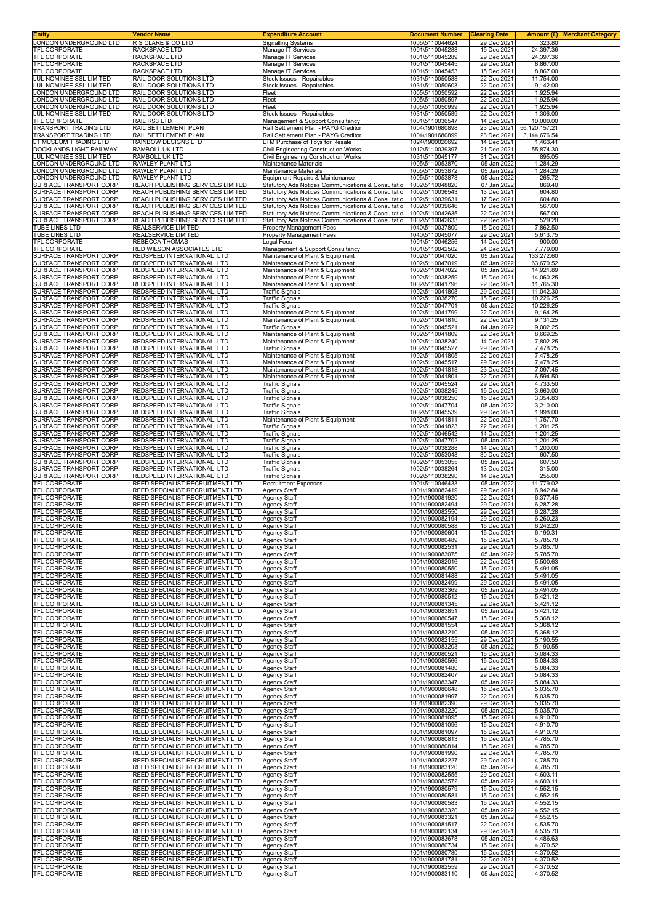| Entity                                           | Vendor Name                                                        | <b>Expenditure Account</b>                                 | <b>Document Number</b>             | <b>Clearing Date</b>       | Amount (£)             | <b>Merchant Category</b> |
|--------------------------------------------------|--------------------------------------------------------------------|------------------------------------------------------------|------------------------------------|----------------------------|------------------------|--------------------------|
| LONDON UNDERGROUND LTD                           | R S CLARE & CO LTD                                                 | <b>Signalling Systems</b>                                  | 1005\5110044624                    | 29 Dec 2021                | 323.80                 |                          |
| TFL CORPORATE                                    | <b>RACKSPACE LTD</b>                                               | Manage IT Services                                         | 1001\5110045283                    | 15 Dec 2021                | 24,397.36              |                          |
| TFL CORPORATE                                    | RACKSPACE LTD                                                      | Manage IT Services                                         | 1001\5110045289                    | 29 Dec 2021                | 24,397.36              |                          |
| <b>TFL CORPORATE</b>                             | RACKSPACE LTD                                                      | Manage IT Services                                         | 1001\5110045445                    | 29 Dec 2021                | 8,867.00               |                          |
| <b>TFL CORPORATE</b>                             | RACKSPACE LTD                                                      | Manage IT Services                                         | 1001\5110045453                    | 15 Dec 2021                | 8,867.00               |                          |
| UL NOMINEE SSL LIMITED                           | RAIL DOOR SOLUTIONS LTD                                            | Stock Issues - Repairables                                 | 1031\5110050588                    | 22 Dec 2021                | 11,754.00              |                          |
| UL NOMINEE SSL LIMITED                           | RAIL DOOR SOLUTIONS LTD                                            | Stock Issues - Repairables                                 | 1031\5110050603                    | 22 Dec 2021                | 9,142.00               |                          |
| ONDON UNDERGROUND LTD                            | RAIL DOOR SOLUTIONS LTD                                            | Fleet                                                      | 1005\5110050592                    | 22 Dec 2021                | 1,925.94               |                          |
| ONDON UNDERGROUND LTD                            | RAIL DOOR SOLUTIONS LTD                                            | Fleet                                                      | 1005\5110050597                    | 22 Dec 2021                | 1,925.94               |                          |
| ONDON UNDERGROUND LTD                            | RAIL DOOR SOLUTIONS LTD                                            | Fleet                                                      | 1005\5110050999                    | 22 Dec 2021                | 1,925.94               |                          |
| UL NOMINEE SSL LIMITED                           | RAIL DOOR SOLUTIONS LTD                                            | Stock Issues - Repairables                                 | 1031\5110050589                    | 22 Dec 2021                | 1,306.00               |                          |
| <b>FL CORPORATE</b>                              | RAIL RS3 LTD                                                       | Management & Support Consultancy                           | 1001\5110036547                    | 14 Dec 2021                | 10,000.00              |                          |
| <b>FRANSPORT TRADING LTD</b>                     | RAIL SETTLEMENT PLAN                                               | Rail Settlement Plan - PAYG Creditor                       | 1004\1901680898                    | 23 Dec 2021                | 56,120,157.21          |                          |
| <b>FRANSPORT TRADING LTD</b>                     | RAIL SETTLEMENT PLAN                                               | Rail Settlement Plan - PAYG Creditor                       | 1004\1901680899                    | 23 Dec 2021                | 3,144,676.54           |                          |
| T MUSEUM TRADING LTD                             | RAINBOW DESIGNS LTD                                                | LTM Purchase of Toys for Resale                            | 1024\1900020692                    | 14 Dec 2021                | 1,463.41               |                          |
| <b>DOCKLANDS LIGHT RAILWAY</b>                   | RAMBOLL UK LTD                                                     | Civil Engineering Construction Works                       | 1012\5110039397                    | 21 Dec 2021                | 55,874.30              |                          |
| UL NOMINEE SSL LIMITED                           | RAMBOLL UK LTD                                                     | Civil Engineering Construction Works                       | 1031\5110045177                    | 31 Dec 2021                | 895.05                 |                          |
| ONDON UNDERGROUND LTD                            | RAWLEY PLANT LTD                                                   | Maintenance Materials                                      | 1005\5110053870                    | 05 Jan 2022                | 1,284.29               |                          |
| ONDON UNDERGROUND LTD                            | RAWLEY PLANT LTD                                                   | Maintenance Materials                                      | 1005\5110053872                    | 05 Jan 2022                | 1,284.29               |                          |
| ONDON UNDERGROUND LTD                            | RAWLEY PLANT LTD                                                   | Equipment Repairs & Maintenance                            | 1005\5110053873                    | 05 Jan 2022                | 265.72                 |                          |
| SURFACE TRANSPORT CORP                           | REACH PUBLISHING SERVICES LIMITED                                  | Statutory Ads Notices Communications & Consultatio         | 1002\5110048820                    | 07 Jan 2022                | 869.40                 |                          |
| SURFACE TRANSPORT CORP                           | REACH PUBLISHING SERVICES LIMITED                                  | Statutory Ads Notices Communications & Consultatio         | 1002\5110036543                    | 13 Dec 2021                | 604.80                 |                          |
| SURFACE TRANSPORT CORP                           | REACH PUBLISHING SERVICES LIMITED                                  | Statutory Ads Notices Communications & Consultatio         | 1002\5110039631                    | 17 Dec 2021                | 604.80                 |                          |
| SURFACE TRANSPORT CORP                           | REACH PUBLISHING SERVICES LIMITED                                  | Statutory Ads Notices Communications & Consultatio         | 1002\5110039646                    | 17 Dec 2021                | 567.00                 |                          |
| <b>SURFACE TRANSPORT CORP</b>                    | REACH PUBLISHING SERVICES LIMITED                                  | Statutory Ads Notices Communications & Consultatio         | 1002\5110042635                    | 22 Dec 2021                | 567.00                 |                          |
| SURFACE TRANSPORT CORP                           | REACH PUBLISHING SERVICES LIMITED                                  | Statutory Ads Notices Communications & Consultatio         | 1002\5110042633                    | 22 Dec 2021                | 529.20                 |                          |
| TUBE LINES LTD                                   | REALSERVICE LIMITED                                                | <b>Property Management Fees</b>                            | 1040\5110037800                    | 15 Dec 2021                | 7,862.50               |                          |
| TUBE LINES LTD                                   | REALSERVICE LIMITED                                                | Property Management Fees                                   | 1040\5110045077                    | 29 Dec 2021                | 5,613.75               |                          |
| <b>TFL CORPORATE</b>                             | <b>REBECCA THOMAS</b>                                              | Legal Fees                                                 | 1001\5110046256                    | 14 Dec 2021                | 900.00                 |                          |
| TFL CORPORATE                                    | RED WILSON ASSOCIATES LTD                                          | Management & Support Consultancy                           | 1001\5110042502                    | 24 Dec 2021                | 7,779.00               |                          |
| SURFACE TRANSPORT CORP                           | REDSPEED INTERNATIONAL LTD                                         | Maintenance of Plant & Equipment                           | 1002\5110047020                    | 05 Jan 2022                | 133,272.60             |                          |
| SURFACE TRANSPORT CORP                           | REDSPEED INTERNATIONAL LTD                                         | Maintenance of Plant & Equipment                           | 1002\5110047019                    | 05 Jan 2022                | 63,670.52              |                          |
| SURFACE TRANSPORT CORP                           | REDSPEED INTERNATIONAL LTD                                         | Maintenance of Plant & Equipment                           | 1002\5110047022                    | 05 Jan 2022                | 14,921.89              |                          |
| SURFACE TRANSPORT CORP<br>SURFACE TRANSPORT CORP | REDSPEED INTERNATIONAL LTD                                         | Maintenance of Plant & Equipment                           | 1002\5110038259                    | 15 Dec 2021                | 14,060.25              |                          |
| SURFACE TRANSPORT CORP                           | REDSPEED INTERNATIONAL LTD<br>REDSPEED INTERNATIONAL LTD           | Maintenance of Plant & Equipment<br><b>Traffic Signals</b> | 1002\5110041796<br>1002\5110041808 | 22 Dec 2021<br>29 Dec 2021 | 11,765.30<br>11,042.30 |                          |
| SURFACE TRANSPORT CORP                           | REDSPEED INTERNATIONAL LTD                                         | <b>Traffic Signals</b>                                     | 1002\5110038270                    | 15 Dec 2021                | 10,226.25              |                          |
| SURFACE TRANSPORT CORP                           | REDSPEED INTERNATIONAL LTD                                         | <b>Traffic Signals</b>                                     | 1002\5110047701                    | 05 Jan 2022                | 10,226.25              |                          |
| SURFACE TRANSPORT CORP                           | REDSPEED INTERNATIONAL LTD                                         | Maintenance of Plant & Equipment                           | 1002\5110041799                    | 22 Dec 2021                | 9,164.25               |                          |
| SURFACE TRANSPORT CORP                           | REDSPEED INTERNATIONAL LTD                                         | Maintenance of Plant & Equipment                           | 1002\5110041810                    | 22 Dec 2021                | 9,131.25               |                          |
| SURFACE TRANSPORT CORP                           | REDSPEED INTERNATIONAL LTD                                         | <b>Traffic Signals</b>                                     | 1002\5110045521                    | 04 Jan 2022                | 9,002.25               |                          |
| SURFACE TRANSPORT CORP                           | REDSPEED INTERNATIONAL LTD                                         | Maintenance of Plant & Equipment                           | 1002\5110041809                    | 22 Dec 2021                | 8,669.25               |                          |
| SURFACE TRANSPORT CORP                           | REDSPEED INTERNATIONAL LTD                                         | Maintenance of Plant & Equipment                           | 1002\5110038240                    | 14 Dec 2021                | 7,802.25               |                          |
| SURFACE TRANSPORT CORP                           | REDSPEED INTERNATIONAL LTD                                         | <b>Traffic Signals</b>                                     | 1002\5110045527                    | 29 Dec 2021                | 7,478.25               |                          |
| SURFACE TRANSPORT CORP                           | REDSPEED INTERNATIONAL LTD                                         | Maintenance of Plant & Equipment                           | 1002\5110041805                    | 22 Dec 2021                | 7,478.25               |                          |
| SURFACE TRANSPORT CORP                           | REDSPEED INTERNATIONAL LTD                                         | Maintenance of Plant & Equipment                           | 1002\5110045517                    | 29 Dec 2021                | 7,478.25               |                          |
| SURFACE TRANSPORT CORP                           | REDSPEED INTERNATIONAL LTD                                         | Maintenance of Plant & Equipment                           | 1002\5110041818                    | 23 Dec 2021                | 7,097.45               |                          |
| SURFACE TRANSPORT CORP                           | REDSPEED INTERNATIONAL LTD                                         | Maintenance of Plant & Equipment                           | 1002\5110041801                    | 22 Dec 2021                | 6,594.50               |                          |
| SURFACE TRANSPORT CORP                           | REDSPEED INTERNATIONAL LTD                                         | <b>Traffic Signals</b>                                     | 1002\5110045524                    | 29 Dec 2021                | 4,733.50               |                          |
| SURFACE TRANSPORT CORP                           | REDSPEED INTERNATIONAL LTD                                         | <b>Traffic Signals</b>                                     | 1002\5110038245                    | 15 Dec 2021                | 3,660.00               |                          |
| SURFACE TRANSPORT CORP                           | REDSPEED INTERNATIONAL LTD                                         | <b>Traffic Signals</b>                                     | 1002\5110038250                    | 15 Dec 2021                | 3,354.83               |                          |
| SURFACE TRANSPORT CORP                           | REDSPEED INTERNATIONAL LTD                                         | <b>Traffic Signals</b>                                     | 1002\5110047704                    | 05 Jan 2022                | 3,210.00               |                          |
| SURFACE TRANSPORT CORP                           | REDSPEED INTERNATIONAL LTD                                         | <b>Traffic Signals</b>                                     | 1002\5110045539                    | 29 Dec 2021                | 1,998.00               |                          |
| SURFACE TRANSPORT CORP                           | REDSPEED INTERNATIONAL LTD                                         | Maintenance of Plant & Equipment                           | 1002\5110041811                    | 22 Dec 2021                | 1,757.70               |                          |
| SURFACE TRANSPORT CORP<br>SURFACE TRANSPORT CORP | REDSPEED INTERNATIONAL LTD<br>REDSPEED INTERNATIONAL LTD           | <b>Traffic Signals</b>                                     | 1002\5110041823<br>1002\5110046542 | 22 Dec 2021<br>14 Dec 2021 | 1,201.25<br>1,201.25   |                          |
| SURFACE TRANSPORT CORP                           | REDSPEED INTERNATIONAL LTD                                         | <b>Traffic Signals</b><br><b>Traffic Signals</b>           | 1002\5110047702                    | 05 Jan 2022                | 1,201.25               |                          |
| SURFACE TRANSPORT CORP                           | REDSPEED INTERNATIONAL LTD                                         | <b>Traffic Signals</b>                                     | 1002\5110038288                    | 14 Dec 2021                | 1,200.00               |                          |
| SURFACE TRANSPORT CORP                           | REDSPEED INTERNATIONAL LTD                                         | <b>Traffic Signals</b>                                     | 1002\5110053048                    | 30 Dec 2021                | 607.50                 |                          |
| SURFACE TRANSPORT CORP                           | REDSPEED INTERNATIONAL LTD<br>REDSPEED INTERNATIONAL LTD           | <b>Traffic Signals</b><br><b>Traffic Signals</b>           | 1002\5110053055<br>1002\5110038264 | 05 Jan 2022<br>13 Dec 2021 | 607.50<br>315.00       |                          |
| SURFACE TRANSPORT CORP<br>SURFACE TRANSPORT CORP | REDSPEED INTERNATIONAL LTD                                         | <b>Traffic Signals</b>                                     | 1002\5110038290                    | 14 Dec 2021                | 255.00                 |                          |
| <b>TFL CORPORATE</b>                             | REED SPECIALIST RECRUITMENT LTD                                    | <b>Recruitment Expenses</b>                                | 1001\5110046433                    | 05 Jan 2022                | 11,779.02              |                          |
| <b>TFL CORPORATE</b>                             | REED SPECIALIST RECRUITMENT LTD                                    | <b>Agency Staff</b>                                        | 1001\1900082419                    | 29 Dec 2021                | 6,942.84               |                          |
| <b>FEL CORPORATE</b>                             | REED SPECIALIST RECRUITMENT LTD                                    | Agency Staff                                               | 1001\1900081920                    | 22 Dec 2021                | 6,377.45               |                          |
| TFL CORPORATE                                    | REED SPECIALIST RECRUITMENT LTD                                    | Agency Staff                                               | 1001\1900082494                    | 29 Dec 2021                | 6,287.28               |                          |
| <b>TFL CORPORATE</b>                             | REED SPECIALIST RECRUITMENT LTD                                    | Agency Staff                                               | 1001\1900082550                    | 29 Dec 2021                | 6,287.28               |                          |
| TFL CORPORATE                                    | REED SPECIALIST RECRUITMENT LTD                                    | Agency Staff                                               | 1001\1900082194                    | 29 Dec 2021                | 6,260.23               |                          |
| TFL CORPORATE                                    | REED SPECIALIST RECRUITMENT LTD                                    | Agency Staff                                               | 1001\1900080588                    | 15 Dec 2021                | 6,242.20               |                          |
| TFL CORPORATE                                    | REED SPECIALIST RECRUITMENT LTD                                    | <b>Agency Staff</b>                                        | 1001\1900080604                    | 15 Dec 2021                | 6,190.31               |                          |
| TFL CORPORATE                                    | REED SPECIALIST RECRUITMENT LTD                                    | <b>Agency Staff</b>                                        | 1001\1900080489                    | 15 Dec 2021                | 5,785.70               |                          |
| <b>TFL CORPORATE</b>                             | REED SPECIALIST RECRUITMENT LTD                                    | Agency Staff                                               | 1001\1900082531                    | 29 Dec 2021                | 5,785.70               |                          |
| TFL CORPORATE                                    | REED SPECIALIST RECRUITMENT LTD                                    | <b>Agency Staff</b>                                        | 1001\1900083075                    | 05 Jan 2022                | 5,785.70               |                          |
| TFL CORPORATE                                    | REED SPECIALIST RECRUITMENT LTD                                    | Agency Staff                                               | 1001\1900082016                    | 22 Dec 2021                | 5,500.63               |                          |
| TFL CORPORATE                                    | REED SPECIALIST RECRUITMENT LTD                                    | <b>Agency Staff</b>                                        | 1001\1900080550                    | 15 Dec 2021                | 5,491.05               |                          |
| TFL CORPORATE                                    | REED SPECIALIST RECRUITMENT LTD                                    | <b>Agency Staff</b>                                        | 1001\1900081488                    | 22 Dec 2021                | 5,491.05               |                          |
| TFL CORPORATE                                    | REED SPECIALIST RECRUITMENT LTD                                    | <b>Agency Staff</b>                                        | 1001\1900082499                    | 29 Dec 2021                | 5,491.05               |                          |
| TFL CORPORATE                                    | REED SPECIALIST RECRUITMENT LTD                                    | <b>Agency Staff</b>                                        | 1001\1900083369                    | 05 Jan 2022                | 5,491.05               |                          |
| TFL CORPORATE                                    | REED SPECIALIST RECRUITMENT LTD                                    | <b>Agency Staff</b>                                        | 1001\1900080512                    | 15 Dec 2021                | 5,421.12               |                          |
| TFL CORPORATE                                    | REED SPECIALIST RECRUITMENT LTD                                    | <b>Agency Staff</b>                                        | 1001\1900081345                    | 22 Dec 2021                | 5,421.12               |                          |
| TFL CORPORATE                                    | REED SPECIALIST RECRUITMENT LTD                                    | <b>Agency Staff</b>                                        | 1001\1900083851                    | 05 Jan 2022                | 5,421.12               |                          |
| TFL CORPORATE                                    | REED SPECIALIST RECRUITMENT LTD                                    | <b>Agency Staff</b>                                        | 1001\1900080547                    | 15 Dec 2021                | 5,368.12               |                          |
| TFL CORPORATE                                    | REED SPECIALIST RECRUITMENT LTD                                    | <b>Agency Staff</b>                                        | 1001\1900081554                    | 22 Dec 2021                | 5,368.12               |                          |
| <b>TFL CORPORATE</b>                             | REED SPECIALIST RECRUITMENT LTD                                    | Agency Staff                                               | 1001\1900083210                    | 05 Jan 2022                | 5,368.12               |                          |
| TFL CORPORATE                                    | REED SPECIALIST RECRUITMENT LTD                                    | Agency Staff                                               | 1001\1900082155                    | 29 Dec 2021                | 5,190.55               |                          |
| TFL CORPORATE                                    | REED SPECIALIST RECRUITMENT LTD                                    | <b>Agency Staff</b>                                        | 1001\1900083203                    | 05 Jan 2022                | 5,190.55               |                          |
| TFL CORPORATE                                    | REED SPECIALIST RECRUITMENT LTD                                    | Agency Staff                                               | 1001\1900080521                    | 15 Dec 2021                | 5,084.33               |                          |
| TFL CORPORATE                                    | REED SPECIALIST RECRUITMENT LTD                                    | <b>Agency Staff</b>                                        | 1001\1900080566                    | 15 Dec 2021                | 5,084.33               |                          |
| TFL CORPORATE                                    | REED SPECIALIST RECRUITMENT LTD                                    | <b>Agency Staff</b>                                        | 1001\1900081480                    | 22 Dec 2021                | 5,084.33               |                          |
| TFL CORPORATE                                    | REED SPECIALIST RECRUITMENT LTD                                    | Agency Staff                                               | 1001\1900082407                    | 29 Dec 2021                | 5,084.33               |                          |
| TFL CORPORATE                                    | REED SPECIALIST RECRUITMENT LTD                                    | <b>Agency Staff</b>                                        | 1001\1900083347                    | 05 Jan 2022                | 5,084.33               |                          |
| TFL CORPORATE                                    | REED SPECIALIST RECRUITMENT LTD                                    | Agency Staff                                               | 1001\1900080648                    | 15 Dec 2021                | 5,035.70               |                          |
| TFL CORPORATE                                    | REED SPECIALIST RECRUITMENT LTD                                    | Agency Staff                                               | 1001\1900081997                    | 22 Dec 2021                | 5,035.70               |                          |
| TFL CORPORATE                                    | REED SPECIALIST RECRUITMENT LTD                                    | Agency Staff                                               | 1001\1900082390                    | 29 Dec 2021                | 5,035.70               |                          |
| TFL CORPORATE                                    | REED SPECIALIST RECRUITMENT LTD                                    | <b>Agency Staff</b>                                        | 1001\1900083220                    | 05 Jan 2022                | 5,035.70               |                          |
| TFL CORPORATE<br>TFL CORPORATE                   | REED SPECIALIST RECRUITMENT LTD<br>REED SPECIALIST RECRUITMENT LTD | Agency Staff                                               | 1001\1900081095<br>1001\1900081096 | 15 Dec 2021<br>15 Dec 2021 | 4,910.70<br>4,910.70   |                          |
| TFL CORPORATE                                    | REED SPECIALIST RECRUITMENT LTD                                    | Agency Staff<br>Agency Staff                               | 1001\1900081097                    | 15 Dec 2021                | 4,910.70               |                          |
| TFL CORPORATE                                    | REED SPECIALIST RECRUITMENT LTD                                    | Agency Staff                                               | 1001\1900080813                    | 15 Dec 2021                | 4,785.70               |                          |
| TFL CORPORATE                                    | REED SPECIALIST RECRUITMENT LTD                                    | Agency Staff                                               | 1001\1900080814                    | 15 Dec 2021                | 4,785.70               |                          |
| TFL CORPORATE                                    | REED SPECIALIST RECRUITMENT LTD                                    | <b>Agency Staff</b>                                        | 1001\1900081990                    | 22 Dec 2021                | 4,785.70               |                          |
| TFL CORPORATE                                    | REED SPECIALIST RECRUITMENT LTD                                    | <b>Agency Staff</b>                                        | 1001\1900082227                    | 29 Dec 2021                | 4,785.70               |                          |
| TFL CORPORATE                                    | REED SPECIALIST RECRUITMENT LTD                                    | Agency Staff                                               | 1001\1900083120                    | 05 Jan 2022                | 4,785.70               |                          |
| TFL CORPORATE                                    | REED SPECIALIST RECRUITMENT LTD                                    | <b>Agency Staff</b>                                        | 1001\1900082555                    | 29 Dec 2021                | 4,603.11               |                          |
| TFL CORPORATE                                    | REED SPECIALIST RECRUITMENT LTD                                    | Agency Staff                                               | 1001\1900083572                    | 05 Jan 2022                | 4,603.11               |                          |
| TFL CORPORATE                                    | REED SPECIALIST RECRUITMENT LTD                                    | <b>Agency Staff</b>                                        | 1001\1900080579                    | 15 Dec 2021                | 4,552.15               |                          |
| <b>TFL CORPORATE</b>                             | REED SPECIALIST RECRUITMENT LTD                                    | <b>Agency Staff</b>                                        | 1001\1900080581                    | 15 Dec 2021                | 4,552.15               |                          |
| TFL CORPORATE                                    | REED SPECIALIST RECRUITMENT LTD                                    | Agency Staff                                               | 1001\1900080583                    | 15 Dec 2021                | 4,552.15               |                          |
| TFL CORPORATE                                    | REED SPECIALIST RECRUITMENT LTD                                    | Agency Staff                                               | 1001\1900083320                    | 05 Jan 2022                | 4,552.15               |                          |
| TFL CORPORATE                                    | REED SPECIALIST RECRUITMENT LTD                                    | <b>Agency Staff</b>                                        | 1001\1900083321                    | 05 Jan 2022                | 4,552.15               |                          |
| TFL CORPORATE                                    | REED SPECIALIST RECRUITMENT LTD                                    | Agency Staff                                               | 1001\1900081517                    | 22 Dec 2021                | 4,535.70               |                          |
| TFL CORPORATE                                    | REED SPECIALIST RECRUITMENT LTD                                    | Agency Staff                                               | 1001\1900082134                    | 29 Dec 2021                | 4,535.70               |                          |
| TFL CORPORATE                                    | REED SPECIALIST RECRUITMENT LTD                                    | <b>Agency Staff</b>                                        | 1001\1900083678                    | 05 Jan 2022                | 4,486.63               |                          |
| TFL CORPORATE                                    | REED SPECIALIST RECRUITMENT LTD                                    | <b>Agency Staff</b>                                        | 1001\1900080734                    | 15 Dec 2021                | 4,370.52               |                          |
| TFL CORPORATE                                    | REED SPECIALIST RECRUITMENT LTD                                    | Agency Staff                                               | 1001\1900080780                    | 15 Dec 2021                | 4,370.52               |                          |
| TFL CORPORATE                                    | REED SPECIALIST RECRUITMENT LTD                                    | Agency Staff                                               | 1001\1900081781                    | 22 Dec 2021                | 4,370.52               |                          |
| TFL CORPORATE                                    | REED SPECIALIST RECRUITMENT LTD                                    | Agency Staff                                               | 1001\1900082559                    | 29 Dec 2021                | 4,370.52               |                          |
| TFL CORPORATE                                    | REED SPECIALIST RECRUITMENT LTD                                    | Agency Staff                                               | 1001\1900083110                    | 05 Jan 2022                | 4,370.52               |                          |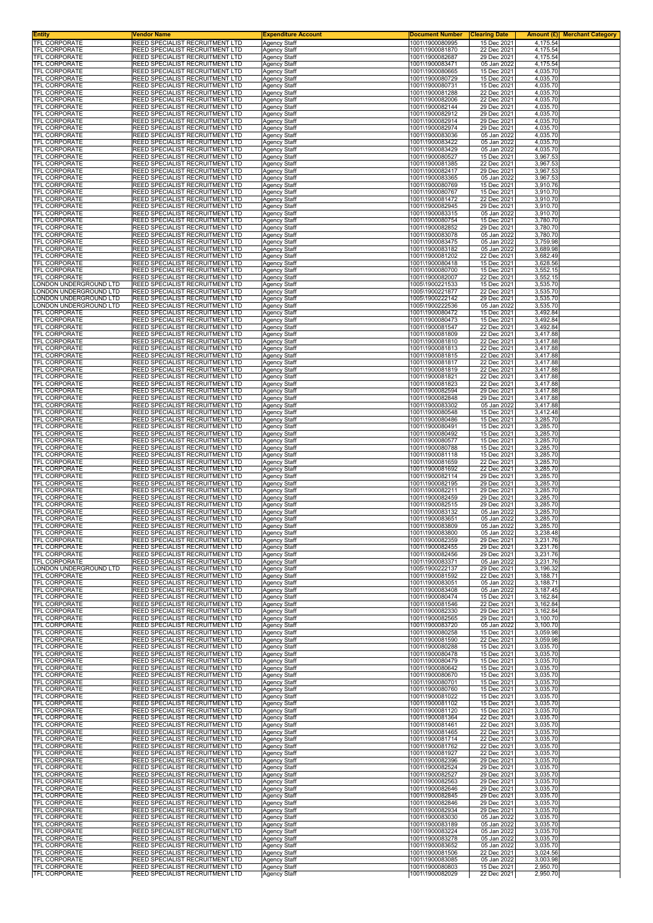| <b>Entity</b>                                  | Vendor Name                                                                      | <b>Expenditure Account</b>                 | <b>Document Number</b>             | <b>Clearing Date</b>       |                      | <b>Amount (£)</b> Merchant Category |
|------------------------------------------------|----------------------------------------------------------------------------------|--------------------------------------------|------------------------------------|----------------------------|----------------------|-------------------------------------|
| TFL CORPORATE<br><b>TFL CORPORATE</b>          | REED SPECIALIST RECRUITMENT LTD<br><b>REED SPECIALIST RECRUITMENT LTD</b>        | <b>Agency Staff</b><br><b>Agency Staff</b> | 1001\1900080995<br>1001\1900081870 | 15 Dec 2021<br>22 Dec 2021 | 4,175.54<br>4,175.54 |                                     |
| <b>TFL CORPORATE</b>                           | REED SPECIALIST RECRUITMENT LTD                                                  | Agency Staff                               | 1001\1900082687                    | 29 Dec 2021                | 4,175.54             |                                     |
| <b>TFL CORPORATE</b><br>TFL CORPORATE          | REED SPECIALIST RECRUITMENT LTD<br>REED SPECIALIST RECRUITMENT LTD               | <b>Agency Staff</b>                        | 1001\1900083471                    | 05 Jan 2022<br>15 Dec 2021 | 4,175.54             |                                     |
| TFL CORPORATE                                  | REED SPECIALIST RECRUITMENT LTD                                                  | Agency Staff<br>Agency Staff               | 1001\1900080665<br>1001\1900080729 | 15 Dec 2021                | 4,035.70<br>4,035.70 |                                     |
| TFL CORPORATE<br><b>TFL CORPORATE</b>          | REED SPECIALIST RECRUITMENT LTD<br>REED SPECIALIST RECRUITMENT LTD               | <b>Agency Staff</b>                        | 1001\1900080731                    | 15 Dec 2021                | 4,035.70             |                                     |
| TFL CORPORATE                                  | REED SPECIALIST RECRUITMENT LTD                                                  | Agency Staff<br>Agency Staff               | 1001\1900081288<br>1001\1900082006 | 22 Dec 2021<br>22 Dec 2021 | 4,035.70<br>4,035.70 |                                     |
| TFL CORPORATE                                  | REED SPECIALIST RECRUITMENT LTD                                                  | Agency Staff                               | 1001\1900082144                    | 29 Dec 2021                | 4,035.70             |                                     |
| TFL CORPORATE<br>TFL CORPORATE                 | REED SPECIALIST RECRUITMENT LTD<br>REED SPECIALIST RECRUITMENT LTD               | Agency Staff<br>Agency Staff               | 1001\1900082912<br>1001\1900082914 | 29 Dec 2021<br>29 Dec 2021 | 4,035.70<br>4,035.70 |                                     |
| TFL CORPORATE                                  | REED SPECIALIST RECRUITMENT LTD                                                  | Agency Staff                               | 1001\1900082974                    | 29 Dec 2021                | 4,035.70             |                                     |
| TFL CORPORATE<br>TFL CORPORATE                 | REED SPECIALIST RECRUITMENT LTD<br>REED SPECIALIST RECRUITMENT LTD               | <b>Agency Staff</b><br><b>Agency Staff</b> | 1001\1900083036<br>1001\1900083422 | 05 Jan 2022<br>05 Jan 2022 | 4,035.70<br>4,035.70 |                                     |
| TFL CORPORATE                                  | REED SPECIALIST RECRUITMENT LTD                                                  | Agency Staff                               | 1001\1900083429                    | 05 Jan 2022                | 4,035.70             |                                     |
| TFL CORPORATE<br><b>TFL CORPORATE</b>          | REED SPECIALIST RECRUITMENT LTD<br>REED SPECIALIST RECRUITMENT LTD               | Agency Staff<br><b>Agency Staff</b>        | 1001\1900080527<br>1001\1900081385 | 15 Dec 2021<br>22 Dec 2021 | 3,967.53<br>3,967.53 |                                     |
| TFL CORPORATE                                  | REED SPECIALIST RECRUITMENT LTD                                                  | Agency Staff                               | 1001\1900082417                    | 29 Dec 2021                | 3,967.53             |                                     |
| TFL CORPORATE                                  | REED SPECIALIST RECRUITMENT LTD                                                  | <b>Agency Staff</b>                        | 1001\1900083365                    | 05 Jan 2022                | 3,967.53             |                                     |
| TFL CORPORATE<br>TFL CORPORATE                 | REED SPECIALIST RECRUITMENT LTD<br>REED SPECIALIST RECRUITMENT LTD               | Agency Staff<br><b>Agency Staff</b>        | 1001\1900080769<br>1001\1900080767 | 15 Dec 2021<br>15 Dec 2021 | 3,910.76<br>3,910.70 |                                     |
| TFL CORPORATE                                  | REED SPECIALIST RECRUITMENT LTD                                                  | <b>Agency Staff</b>                        | 1001\1900081472                    | 22 Dec 2021                | 3,910.70             |                                     |
| TFL CORPORATE<br>TFL CORPORATE                 | REED SPECIALIST RECRUITMENT LTD<br>REED SPECIALIST RECRUITMENT LTD               | Agency Staff<br>Agency Staff               | 1001\1900082945<br>1001\1900083315 | 29 Dec 2021<br>05 Jan 2022 | 3,910.70<br>3,910.70 |                                     |
| TFL CORPORATE                                  | REED SPECIALIST RECRUITMENT LTD                                                  | <b>Agency Staff</b>                        | 1001\1900080754                    | 15 Dec 2021                | 3,780.70             |                                     |
| TFL CORPORATE<br><b>TFL CORPORATE</b>          | REED SPECIALIST RECRUITMENT LTD<br>REED SPECIALIST RECRUITMENT LTD               | <b>Agency Staff</b><br>Agency Staff        | 1001\1900082852<br>1001\1900083078 | 29 Dec 2021<br>05 Jan 2022 | 3,780.70<br>3,780.70 |                                     |
| TFL CORPORATE                                  | REED SPECIALIST RECRUITMENT LTD                                                  | <b>Agency Staff</b>                        | 1001\1900083475                    | 05 Jan 2022                | 3,759.98             |                                     |
| TFL CORPORATE<br>TFL CORPORATE                 | REED SPECIALIST RECRUITMENT LTD<br>REED SPECIALIST RECRUITMENT LTD               | Agency Staff<br>Agency Staff               | 1001\1900083182<br>1001\1900081202 | 05 Jan 2022<br>22 Dec 2021 | 3,689.98<br>3,682.49 |                                     |
| <b>TFL CORPORATE</b>                           | REED SPECIALIST RECRUITMENT LTD                                                  | <b>Agency Staff</b>                        | 1001\1900080418                    | 15 Dec 2021                | 3,628.56             |                                     |
| TFL CORPORATE                                  | REED SPECIALIST RECRUITMENT LTD                                                  | <b>Agency Staff</b>                        | 1001\1900080700                    | 15 Dec 2021                | 3,552.15             |                                     |
| TFL CORPORATE<br>LONDON UNDERGROUND LTD        | REED SPECIALIST RECRUITMENT LTD<br>REED SPECIALIST RECRUITMENT LTD               | Agency Staff<br>Agency Staff               | 1001\1900082007<br>1005\1900221533 | 22 Dec 2021<br>15 Dec 2021 | 3,552.15<br>3,535.70 |                                     |
| ONDON UNDERGROUND LTD.                         | REED SPECIALIST RECRUITMENT LTD                                                  | <b>Agency Staff</b>                        | 1005\1900221877                    | 22 Dec 2021                | 3,535.70             |                                     |
| ONDON UNDERGROUND LTD<br>ONDON UNDERGROUND LTD | REED SPECIALIST RECRUITMENT LTD<br>REED SPECIALIST RECRUITMENT LTD               | <b>Agency Staff</b><br>Agency Staff        | 1005\1900222142<br>1005\1900222536 | 29 Dec 2021<br>05 Jan 2022 | 3,535.70<br>3,535.70 |                                     |
| TFL CORPORATE                                  | REED SPECIALIST RECRUITMENT LTD                                                  | <b>Agency Staff</b>                        | 1001\1900080472                    | 15 Dec 2021                | 3,492.84             |                                     |
| <b>TFL CORPORATE</b><br>TFL CORPORATE          | REED SPECIALIST RECRUITMENT LTD<br>REED SPECIALIST RECRUITMENT LTD               | Agency Staff<br>Agency Staff               | 1001\1900080473<br>1001\1900081547 | 15 Dec 2021<br>22 Dec 2021 | 3,492.84<br>3,492.84 |                                     |
| <b>TFL CORPORATE</b>                           | REED SPECIALIST RECRUITMENT LTD                                                  | Agency Staff                               | 1001\1900081809                    | 22 Dec 2021                | 3,417.88             |                                     |
| TFL CORPORATE                                  | REED SPECIALIST RECRUITMENT LTD                                                  | Agency Staff                               | 1001\1900081810                    | 22 Dec 2021                | 3,417.88             |                                     |
| TFL CORPORATE<br>TFL CORPORATE                 | REED SPECIALIST RECRUITMENT LTD<br>REED SPECIALIST RECRUITMENT LTD               | <b>Agency Staff</b><br><b>Agency Staff</b> | 1001\1900081813<br>1001\1900081815 | 22 Dec 2021<br>22 Dec 2021 | 3,417.88<br>3,417.88 |                                     |
| TFL CORPORATE                                  | REED SPECIALIST RECRUITMENT LTD                                                  | Agency Staff                               | 1001\1900081817                    | 22 Dec 2021                | 3,417.88             |                                     |
| TFL CORPORATE<br><b>TFL CORPORATE</b>          | REED SPECIALIST RECRUITMENT LTD<br>REED SPECIALIST RECRUITMENT LTD               | Agency Staff<br><b>Agency Staff</b>        | 1001\1900081819<br>1001\1900081821 | 22 Dec 2021<br>22 Dec 2021 | 3,417.88<br>3,417.88 |                                     |
| TFL CORPORATE                                  | REED SPECIALIST RECRUITMENT LTD                                                  | Agency Staff                               | 1001\1900081823                    | 22 Dec 2021                | 3,417.88             |                                     |
| TFL CORPORATE<br>TFL CORPORATE                 | REED SPECIALIST RECRUITMENT LTD<br>REED SPECIALIST RECRUITMENT LTD               | Agency Staff<br><b>Agency Staff</b>        | 1001\1900082594<br>1001\1900082848 | 29 Dec 2021<br>29 Dec 2021 | 3,417.88<br>3,417.88 |                                     |
| TFL CORPORATE                                  | <b>REED SPECIALIST RECRUITMENT LTD</b>                                           | Agency Staff                               | 1001\1900083302                    | 05 Jan 2022                | 3,417.88             |                                     |
| TFL CORPORATE                                  | REED SPECIALIST RECRUITMENT LTD                                                  | Agency Staff                               | 1001\1900080548                    | 15 Dec 2021                | 3,412.48             |                                     |
| TFL CORPORATE<br>TFL CORPORATE                 | REED SPECIALIST RECRUITMENT LTD<br>REED SPECIALIST RECRUITMENT LTD               | <b>Agency Staff</b><br>Agency Staff        | 1001\1900080486<br>1001\1900080491 | 15 Dec 2021<br>15 Dec 2021 | 3,285.70<br>3,285.70 |                                     |
| TFL CORPORATE                                  | REED SPECIALIST RECRUITMENT LTD                                                  | Agency Staff                               | 1001\1900080492                    | 15 Dec 2021                | 3,285.70             |                                     |
| TFL CORPORATE<br>TFL CORPORATE                 | REED SPECIALIST RECRUITMENT LTD<br>REED SPECIALIST RECRUITMENT LTD               | <b>Agency Staff</b><br><b>Agency Staff</b> | 1001\1900080577<br>1001\1900080788 | 15 Dec 2021<br>15 Dec 2021 | 3,285.70<br>3,285.70 |                                     |
| TFL CORPORATE                                  | REED SPECIALIST RECRUITMENT LTD                                                  | Agency Staff                               | 1001\1900081118                    | 15 Dec 2021                | 3,285.70             |                                     |
| TFL CORPORATE<br>TFL CORPORATE                 | REED SPECIALIST RECRUITMENT LTD<br>REED SPECIALIST RECRUITMENT LTD               | Agency Staff                               | 1001\1900081659<br>1001\1900081692 | 22 Dec 2021<br>22 Dec 2021 | 3,285.70<br>3,285.70 |                                     |
| TFL CORPORATE                                  | REED SPECIALIST RECRUITMENT LTD                                                  | Agency Staff<br>Agency Staff               | 1001\1900082114                    | 29 Dec 2021                | 3,285.70             |                                     |
| <b>TFL CORPORATE</b>                           | REED SPECIALIST RECRUITMENT LTD                                                  | Agency Staff                               | 1001\1900082195                    | 29 Dec 2021                | 3,285.70             |                                     |
| TFL CORPORATE<br><b>TFL CORPORATE</b>          | <b>REED SPECIALIST RECRUITMENT LTD</b><br>REED SPECIALIST RECRUITMENT LTD        | <b>Agency Staff</b><br>Agency Staff        | 1001\1900082211<br>1001\1900082459 | 29 Dec 2021<br>29 Dec 2021 | 3,285.70<br>3,285.70 |                                     |
| TFL CORPORATE                                  | REED SPECIALIST RECRUITMENT LTD                                                  | Agency Staff                               | 1001\1900082515                    | 29 Dec 2021                | 3,285.70             |                                     |
| TFL CORPORATE<br>TFL CORPORATE                 | REED SPECIALIST RECRUITMENT LTD<br>REED SPECIALIST RECRUITMENT LTD               | Agency Staff<br><b>Agency Staff</b>        | 1001\1900083132<br>1001\1900083651 | 05 Jan 2022<br>05 Jan 2022 | 3,285.70<br>3,285.70 |                                     |
| <b>IFL CORPORATE</b>                           | REED SPECIALIST RECRUITMENT LTD                                                  | Agency Staff                               | 1001\1900083809                    | 05 Jan 2022                | 3,285.70             |                                     |
| TFL CORPORATE<br><b>TFL CORPORATE</b>          | <b>REED SPECIALIST RECRUITMENT LTD</b><br>REED SPECIALIST RECRUITMENT LTD        | <b>Agency Staff</b><br><b>Agency Staff</b> | 1001\1900083800<br>1001\1900082359 | 05 Jan 2022<br>29 Dec 2021 | 3,238.48<br>3,231.76 |                                     |
| <b>TFL CORPORATE</b>                           | REED SPECIALIST RECRUITMENT LTD                                                  | Agency Staff                               | 1001\1900082455                    | 29 Dec 2021                | 3,231.76             |                                     |
| TFL CORPORATE                                  | REED SPECIALIST RECRUITMENT LTD                                                  | Agency Staff                               | 1001\1900082456                    | 29 Dec 2021                | 3,231.76             |                                     |
| <b>TFL CORPORATE</b><br>LONDON UNDERGROUND LTD | REED SPECIALIST RECRUITMENT LTD<br>REED SPECIALIST RECRUITMENT LTD               | Agency Staff<br>Agency Staff               | 1001\1900083371<br>1005\1900222137 | 05 Jan 2022<br>29 Dec 2021 | 3,231.76<br>3,196.32 |                                     |
| TFL CORPORATE                                  | <b>REED SPECIALIST RECRUITMENT LTD</b>                                           | <b>Agency Staff</b>                        | 1001\1900081592                    | 22 Dec 2021                | 3,188.71             |                                     |
| <b>TFL CORPORATE</b><br>TFL CORPORATE          | <b>REED SPECIALIST RECRUITMENT LTD</b><br>REED SPECIALIST RECRUITMENT LTD        | <b>Agency Staff</b><br>Agency Staff        | 1001\1900083051<br>1001\1900083408 | 05 Jan 2022<br>05 Jan 2022 | 3,188.71<br>3,187.45 |                                     |
| <b>TFL CORPORATE</b>                           | <b>REED SPECIALIST RECRUITMENT LTD</b>                                           | <b>Agency Staff</b>                        | 1001\1900080474                    | 15 Dec 2021                | 3,162.84             |                                     |
| <b>TFL CORPORATE</b><br>TFL CORPORATE          | <b>REED SPECIALIST RECRUITMENT LTD</b><br>REED SPECIALIST RECRUITMENT LTD        | <b>Agency Staff</b><br><b>Agency Staff</b> | 1001\1900081546<br>1001\1900082330 | 22 Dec 2021<br>29 Dec 2021 | 3,162.84<br>3,162.84 |                                     |
| TFL CORPORATE                                  | REED SPECIALIST RECRUITMENT LTD                                                  | <b>Agency Staff</b>                        | 1001\1900082565                    | 29 Dec 2021                | 3,100.70             |                                     |
| TFL CORPORATE<br><b>TFL CORPORATE</b>          | <b>REED SPECIALIST RECRUITMENT LTD</b><br>REED SPECIALIST RECRUITMENT LTD        | <b>Agency Staff</b><br>Agency Staff        | 1001\1900083720<br>1001\1900080258 | 05 Jan 2022<br>15 Dec 2021 | 3,100.70<br>3,059.98 |                                     |
| TFL CORPORATE                                  | REED SPECIALIST RECRUITMENT LTD                                                  | Agency Staff                               | 1001\1900081590                    | 22 Dec 2021                | 3,059.98             |                                     |
| TFL CORPORATE                                  | <b>REED SPECIALIST RECRUITMENT LTD</b>                                           | Agency Staff                               | 1001\1900080288<br>1001\1900080478 | 15 Dec 2021                | 3,035.70             |                                     |
| TFL CORPORATE<br><b>TFL CORPORATE</b>          | REED SPECIALIST RECRUITMENT LTD<br>REED SPECIALIST RECRUITMENT LTD               | Agency Staff<br>Agency Staff               | 1001\1900080479                    | 15 Dec 2021<br>15 Dec 2021 | 3,035.70<br>3,035.70 |                                     |
| TFL CORPORATE                                  | <b>REED SPECIALIST RECRUITMENT LTD</b>                                           | <b>Agency Staff</b>                        | 1001\1900080642                    | 15 Dec 2021                | 3,035.70             |                                     |
| TFL CORPORATE<br>TFL CORPORATE                 | REED SPECIALIST RECRUITMENT LTD<br>REED SPECIALIST RECRUITMENT LTD               | Agency Staff<br>Agency Staff               | 1001\1900080670<br>1001\1900080701 | 15 Dec 2021<br>15 Dec 2021 | 3,035.70<br>3,035.70 |                                     |
| TFL CORPORATE                                  | <b>REED SPECIALIST RECRUITMENT LTD</b>                                           | <b>Agency Staff</b>                        | 1001\1900080760                    | 15 Dec 2021                | 3,035.70             |                                     |
| TFL CORPORATE<br>TFL CORPORATE                 | REED SPECIALIST RECRUITMENT LTD<br>REED SPECIALIST RECRUITMENT LTD               | <b>Agency Staff</b><br><b>Agency Staff</b> | 1001\1900081022<br>1001\1900081102 | 15 Dec 2021<br>15 Dec 2021 | 3,035.70<br>3,035.70 |                                     |
| TFL CORPORATE                                  | <b>REED SPECIALIST RECRUITMENT LTD</b>                                           | <b>Agency Staff</b>                        | 1001\1900081120                    | 15 Dec 2021                | 3,035.70             |                                     |
| TFL CORPORATE<br>TFL CORPORATE                 | REED SPECIALIST RECRUITMENT LTD<br>REED SPECIALIST RECRUITMENT LTD               | Agency Staff<br>Agency Staff               | 1001\1900081364<br>1001\1900081461 | 22 Dec 2021<br>22 Dec 2021 | 3,035.70<br>3,035.70 |                                     |
| <b>TFL CORPORATE</b>                           | REED SPECIALIST RECRUITMENT LTD                                                  | Agency Staff                               | 1001\1900081465                    | 22 Dec 2021                | 3,035.70             |                                     |
| TFL CORPORATE                                  | REED SPECIALIST RECRUITMENT LTD                                                  | Agency Staff                               | 1001\1900081714                    | 22 Dec 2021                | 3,035.70             |                                     |
| TFL CORPORATE<br>TFL CORPORATE                 | REED SPECIALIST RECRUITMENT LTD<br><b>REED SPECIALIST RECRUITMENT LTD</b>        | Agency Staff<br><b>Agency Staff</b>        | 1001\1900081762<br>1001\1900081927 | 22 Dec 2021<br>22 Dec 2021 | 3,035.70<br>3,035.70 |                                     |
| TFL CORPORATE                                  | REED SPECIALIST RECRUITMENT LTD                                                  | <b>Agency Staff</b>                        | 1001\1900082396                    | 29 Dec 2021                | 3,035.70             |                                     |
| TFL CORPORATE<br>TFL CORPORATE                 | REED SPECIALIST RECRUITMENT LTD<br>REED SPECIALIST RECRUITMENT LTD               | Agency Staff<br><b>Agency Staff</b>        | 1001\1900082524<br>1001\1900082527 | 29 Dec 2021<br>29 Dec 2021 | 3,035.70<br>3,035.70 |                                     |
| <b>TFL CORPORATE</b>                           | <b>REED SPECIALIST RECRUITMENT LTD</b>                                           | Agency Staff                               | 1001\1900082563                    | 29 Dec 2021                | 3,035.70             |                                     |
| TFL CORPORATE<br>TFL CORPORATE                 | REED SPECIALIST RECRUITMENT LTD<br>REED SPECIALIST RECRUITMENT LTD               | <b>Agency Staff</b><br><b>Agency Staff</b> | 1001\1900082646<br>1001\1900082845 | 29 Dec 2021<br>29 Dec 2021 | 3,035.70<br>3,035.70 |                                     |
| TFL CORPORATE                                  | REED SPECIALIST RECRUITMENT LTD                                                  | Agency Staff                               | 1001\1900082846                    | 29 Dec 2021                | 3,035.70             |                                     |
| TFL CORPORATE                                  | REED SPECIALIST RECRUITMENT LTD                                                  | <b>Agency Staff</b>                        | 1001\1900082934                    | 29 Dec 2021                | 3,035.70             |                                     |
| TFL CORPORATE<br>TFL CORPORATE                 | REED SPECIALIST RECRUITMENT LTD<br><b>REED SPECIALIST RECRUITMENT LTD</b>        | Agency Staff<br><b>Agency Staff</b>        | 1001\1900083030<br>1001\1900083189 | 05 Jan 2022<br>05 Jan 2022 | 3,035.70<br>3,035.70 |                                     |
| TFL CORPORATE                                  | REED SPECIALIST RECRUITMENT LTD                                                  | Agency Staff                               | 1001\1900083224                    | 05 Jan 2022                | 3,035.70             |                                     |
| TFL CORPORATE<br>TFL CORPORATE                 | <b>REED SPECIALIST RECRUITMENT LTD</b><br><b>REED SPECIALIST RECRUITMENT LTD</b> | <b>Agency Staff</b><br><b>Agency Staff</b> | 1001\1900083278<br>1001\1900083652 | 05 Jan 2022<br>05 Jan 2022 | 3,035.70<br>3,035.70 |                                     |
| TFL CORPORATE                                  | REED SPECIALIST RECRUITMENT LTD                                                  | Agency Staff                               | 1001\1900081506                    | 22 Dec 2021                | 3,024.56             |                                     |
| <b>TFL CORPORATE</b><br><b>TFL CORPORATE</b>   | REED SPECIALIST RECRUITMENT LTD<br>REED SPECIALIST RECRUITMENT LTD               | <b>Agency Staff</b><br>Agency Staff        | 1001\1900083085<br>1001\1900080803 | 05 Jan 2022<br>15 Dec 2021 | 3,003.98<br>2,950.70 |                                     |
| TFL CORPORATE                                  | REED SPECIALIST RECRUITMENT LTD                                                  | Agency Staff                               | 1001\1900082029                    | 22 Dec 2021                | 2,950.70             |                                     |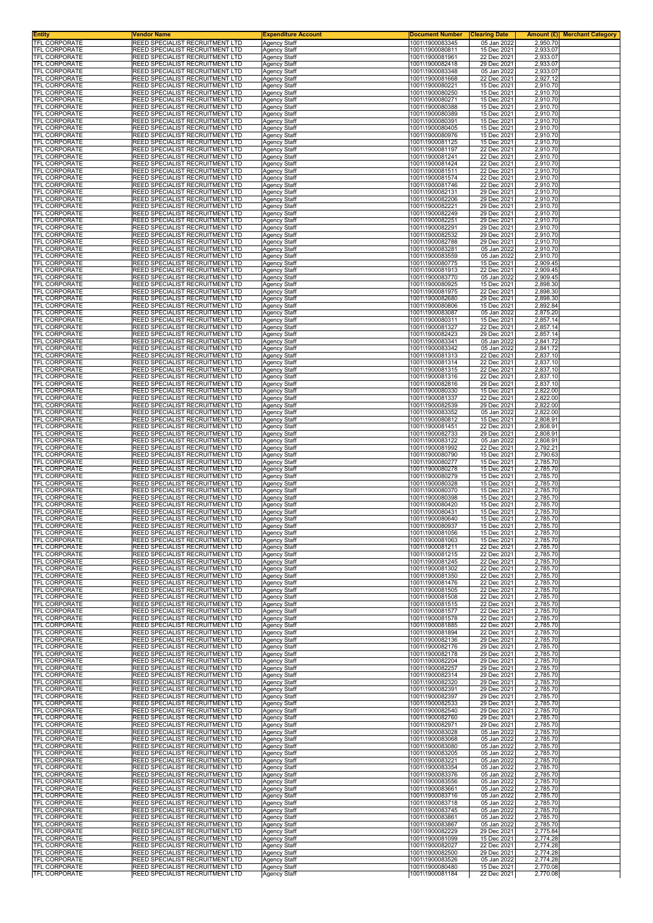| <b>Entity</b><br>TFL CORPORATE               | <b>Vendor Name</b><br>REED SPECIALIST RECRUITMENT LTD                     | <b>Expenditure Account</b>                 | <b>Document Number</b>             | <b>Clearing Date</b>       |                      | <b>Amount (£)</b> Merchant Category |
|----------------------------------------------|---------------------------------------------------------------------------|--------------------------------------------|------------------------------------|----------------------------|----------------------|-------------------------------------|
| <b>TFL CORPORATE</b>                         | <b>REED SPECIALIST RECRUITMENT LTD</b>                                    | <b>Agency Staff</b><br><b>Agency Staff</b> | 1001\1900083345<br>1001\1900080811 | 05 Jan 2022<br>15 Dec 2021 | 2,950.70<br>2,933.07 |                                     |
| <b>TFL CORPORATE</b><br><b>TFL CORPORATE</b> | REED SPECIALIST RECRUITMENT LTD                                           | Agency Staff                               | 1001\1900081961<br>1001\1900082418 | 22 Dec 2021                | 2,933.07             |                                     |
| TFL CORPORATE                                | REED SPECIALIST RECRUITMENT LTD<br><b>REED SPECIALIST RECRUITMENT LTD</b> | <b>Agency Staff</b><br>Agency Staff        | 1001\1900083348                    | 29 Dec 2021<br>05 Jan 2022 | 2,933.07<br>2,933.07 |                                     |
| TFL CORPORATE                                | REED SPECIALIST RECRUITMENT LTD                                           | Agency Staff                               | 1001\1900081668                    | 22 Dec 2021                | 2,927.12             |                                     |
| TFL CORPORATE<br><b>TFL CORPORATE</b>        | REED SPECIALIST RECRUITMENT LTD<br>REED SPECIALIST RECRUITMENT LTD        | <b>Agency Staff</b><br>Agency Staff        | 1001\1900080221<br>1001\1900080250 | 15 Dec 2021<br>15 Dec 2021 | 2,910.70<br>2,910.70 |                                     |
| TFL CORPORATE                                | REED SPECIALIST RECRUITMENT LTD                                           | Agency Staff                               | 1001\1900080271                    | 15 Dec 2021                | 2,910.70             |                                     |
| TFL CORPORATE<br>TFL CORPORATE               | REED SPECIALIST RECRUITMENT LTD<br>REED SPECIALIST RECRUITMENT LTD        | Agency Staff<br>Agency Staff               | 1001\1900080388<br>1001\1900080389 | 15 Dec 2021<br>15 Dec 2021 | 2,910.70<br>2,910.70 |                                     |
| TFL CORPORATE                                | REED SPECIALIST RECRUITMENT LTD                                           | Agency Staff                               | 1001\1900080391                    | 15 Dec 2021                | 2,910.70             |                                     |
| TFL CORPORATE<br>TFL CORPORATE               | REED SPECIALIST RECRUITMENT LTD<br>REED SPECIALIST RECRUITMENT LTD        | Agency Staff<br><b>Agency Staff</b>        | 1001\1900080405<br>1001\1900080976 | 15 Dec 2021<br>15 Dec 2021 | 2,910.70<br>2,910.70 |                                     |
| TFL CORPORATE                                | REED SPECIALIST RECRUITMENT LTD                                           | <b>Agency Staff</b>                        | 1001\1900081125                    | 15 Dec 2021                | 2,910.70<br>2,910.70 |                                     |
| TFL CORPORATE<br>TFL CORPORATE               | REED SPECIALIST RECRUITMENT LTD<br>REED SPECIALIST RECRUITMENT LTD        | Agency Staff<br>Agency Staff               | 1001\1900081197<br>1001\1900081241 | 22 Dec 2021<br>22 Dec 2021 | 2,910.70             |                                     |
| <b>TFL CORPORATE</b><br>TFL CORPORATE        | REED SPECIALIST RECRUITMENT LTD<br>REED SPECIALIST RECRUITMENT LTD        | <b>Agency Staff</b>                        | 1001\1900081424<br>1001\1900081511 | 22 Dec 2021<br>22 Dec 2021 | 2,910.70<br>2,910.70 |                                     |
| TFL CORPORATE                                | REED SPECIALIST RECRUITMENT LTD                                           | Agency Staff<br><b>Agency Staff</b>        | 1001\1900081574                    | 22 Dec 2021                | 2,910.70             |                                     |
| TFL CORPORATE<br>TFL CORPORATE               | REED SPECIALIST RECRUITMENT LTD<br>REED SPECIALIST RECRUITMENT LTD        | Agency Staff<br><b>Agency Staff</b>        | 1001\1900081746<br>1001\1900082131 | 22 Dec 2021<br>29 Dec 2021 | 2,910.70<br>2,910.70 |                                     |
| TFL CORPORATE                                | REED SPECIALIST RECRUITMENT LTD                                           | <b>Agency Staff</b>                        | 1001\1900082206                    | 29 Dec 2021                | 2,910.70             |                                     |
| TFL CORPORATE<br>TFL CORPORATE               | REED SPECIALIST RECRUITMENT LTD<br>REED SPECIALIST RECRUITMENT LTD        | Agency Staff<br>Agency Staff               | 1001\1900082221<br>1001\1900082249 | 29 Dec 2021<br>29 Dec 2021 | 2,910.70<br>2,910.70 |                                     |
| TFL CORPORATE                                | REED SPECIALIST RECRUITMENT LTD                                           | <b>Agency Staff</b>                        | 1001\1900082251                    | 29 Dec 2021                | 2,910.70             |                                     |
| TFL CORPORATE<br><b>TFL CORPORATE</b>        | REED SPECIALIST RECRUITMENT LTD<br>REED SPECIALIST RECRUITMENT LTD        | <b>Agency Staff</b><br>Agency Staff        | 1001\1900082291<br>1001\1900082532 | 29 Dec 2021<br>29 Dec 2021 | 2,910.70<br>2,910.70 |                                     |
| TFL CORPORATE                                | REED SPECIALIST RECRUITMENT LTD                                           | <b>Agency Staff</b>                        | 1001\1900082788                    | 29 Dec 2021                | 2,910.70             |                                     |
| TFL CORPORATE<br>TFL CORPORATE               | REED SPECIALIST RECRUITMENT LTD<br>REED SPECIALIST RECRUITMENT LTD        | Agency Staff<br>Agency Staff               | 1001\1900083281<br>1001\1900083559 | 05 Jan 2022<br>05 Jan 2022 | 2,910.70<br>2,910.70 |                                     |
| <b>TFL CORPORATE</b>                         | REED SPECIALIST RECRUITMENT LTD                                           | <b>Agency Staff</b>                        | 1001\1900080775                    | 15 Dec 2021                | 2,909.45             |                                     |
| <b>TFL CORPORATE</b><br><b>TFL CORPORATE</b> | REED SPECIALIST RECRUITMENT LTD<br>REED SPECIALIST RECRUITMENT LTD        | <b>Agency Staff</b><br>Agency Staff        | 1001\1900081913<br>1001\1900083770 | 22 Dec 2021<br>05 Jan 2022 | 2,909.45<br>2,909.45 |                                     |
| TFL CORPORATE                                | REED SPECIALIST RECRUITMENT LTD                                           | Agency Staff                               | 1001\1900080925                    | 15 Dec 2021                | 2,898.30             |                                     |
| <b>TFL CORPORATE</b><br><b>TFL CORPORATE</b> | REED SPECIALIST RECRUITMENT LTD<br>REED SPECIALIST RECRUITMENT LTD        | <b>Agency Staff</b><br><b>Agency Staff</b> | 1001\1900081975<br>1001\1900082680 | 22 Dec 2021<br>29 Dec 2021 | 2,898.30<br>2,898.30 |                                     |
| TFL CORPORATE                                | REED SPECIALIST RECRUITMENT LTD                                           | Agency Staff                               | 1001\1900080806                    | 15 Dec 2021                | 2,892.84             |                                     |
| TFL CORPORATE<br>TFL CORPORATE               | REED SPECIALIST RECRUITMENT LTD<br>REED SPECIALIST RECRUITMENT LTD        | <b>Agency Staff</b><br>Agency Staff        | 1001\1900083087<br>1001\1900080311 | 05 Jan 2022<br>15 Dec 2021 | 2,875.20<br>2,857.14 |                                     |
| <b>TFL CORPORATE</b>                         | REED SPECIALIST RECRUITMENT LTD                                           | Agency Staff                               | 1001\1900081327                    | 22 Dec 2021                | 2,857.14             |                                     |
| <b>TFL CORPORATE</b><br><b>TFL CORPORATE</b> | REED SPECIALIST RECRUITMENT LTD<br>REED SPECIALIST RECRUITMENT LTD        | Agency Staff<br>Agency Staff               | 1001\1900082423<br>1001\1900083341 | 29 Dec 2021<br>05 Jan 2022 | 2,857.14<br>2,841.72 |                                     |
| <b>TFL CORPORATE</b>                         | REED SPECIALIST RECRUITMENT LTD                                           | <b>Agency Staff</b>                        | 1001\1900083342                    | 05 Jan 2022                | 2.841.72             |                                     |
| TFL CORPORATE<br>TFL CORPORATE               | REED SPECIALIST RECRUITMENT LTD<br>REED SPECIALIST RECRUITMENT LTD        | <b>Agency Staff</b><br>Agency Staff        | 1001\1900081313<br>1001\1900081314 | 22 Dec 2021<br>22 Dec 2021 | 2,837.10<br>2,837.10 |                                     |
| TFL CORPORATE                                | REED SPECIALIST RECRUITMENT LTD                                           | Agency Staff                               | 1001\1900081315                    | 22 Dec 2021                | 2,837.10             |                                     |
| <b>TFL CORPORATE</b><br>TFL CORPORATE        | REED SPECIALIST RECRUITMENT LTD<br>REED SPECIALIST RECRUITMENT LTD        | <b>Agency Staff</b><br>Agency Staff        | 1001\1900081316<br>1001\1900082816 | 22 Dec 2021<br>29 Dec 2021 | 2,837.10<br>2,837.10 |                                     |
| TFL CORPORATE<br>TFL CORPORATE               | REED SPECIALIST RECRUITMENT LTD<br>REED SPECIALIST RECRUITMENT LTD        | Agency Staff<br><b>Agency Staff</b>        | 1001\1900080330<br>1001\1900081337 | 15 Dec 2021<br>22 Dec 2021 | 2,822.00<br>2,822.00 |                                     |
| TFL CORPORATE                                | <b>REED SPECIALIST RECRUITMENT LTD</b>                                    | Agency Staff                               | 1001\1900082539                    | 29 Dec 2021                | 2,822.00             |                                     |
| TFL CORPORATE<br>TFL CORPORATE               | REED SPECIALIST RECRUITMENT LTD<br>REED SPECIALIST RECRUITMENT LTD        | Agency Staff<br><b>Agency Staff</b>        | 1001\1900083352<br>1001\1900080812 | 05 Jan 2022<br>15 Dec 2021 | 2,822.00<br>2,808.91 |                                     |
| TFL CORPORATE                                | REED SPECIALIST RECRUITMENT LTD                                           | Agency Staff                               | 1001\1900081451                    | 22 Dec 2021                | 2,808.91             |                                     |
| TFL CORPORATE<br>TFL CORPORATE               | REED SPECIALIST RECRUITMENT LTD<br>REED SPECIALIST RECRUITMENT LTD        | Agency Staff<br><b>Agency Staff</b>        | 1001\1900082733<br>1001\1900083122 | 29 Dec 2021<br>05 Jan 2022 | 2,808.91<br>2,808.91 |                                     |
| TFL CORPORATE                                | REED SPECIALIST RECRUITMENT LTD                                           | Agency Staff                               | 1001\1900081992                    | 22 Dec 2021                | 2,792.21             |                                     |
| TFL CORPORATE<br>TFL CORPORATE               | REED SPECIALIST RECRUITMENT LTD<br>REED SPECIALIST RECRUITMENT LTD        | Agency Staff<br>Agency Staff               | 1001\1900080790<br>1001\1900080277 | 15 Dec 2021<br>15 Dec 2021 | 2,790.63<br>2,785.70 |                                     |
| TFL CORPORATE<br>TFL CORPORATE               | REED SPECIALIST RECRUITMENT LTD<br>REED SPECIALIST RECRUITMENT LTD        | Agency Staff                               | 1001\1900080278<br>1001\1900080279 | 15 Dec 2021<br>15 Dec 2021 | 2,785.70<br>2,785.70 |                                     |
| <b>TFL CORPORATE</b>                         | REED SPECIALIST RECRUITMENT LTD                                           | Agency Staff<br>Agency Staff               | 1001\1900080328                    | 15 Dec 2021                | 2,785.70             |                                     |
| TFL CORPORATE<br><b>TFL CORPORATE</b>        | <b>REED SPECIALIST RECRUITMENT LTD</b><br>REED SPECIALIST RECRUITMENT LTD | <b>Agency Staff</b><br>Agency Staff        | 1001\1900080370<br>1001\1900080398 | 15 Dec 2021<br>15 Dec 2021 | 2,785.70<br>2,785.70 |                                     |
| TFL CORPORATE                                | REED SPECIALIST RECRUITMENT LTD                                           | Agency Staff                               | 1001\1900080420                    | 15 Dec 2021                | 2,785.70             |                                     |
| TFL CORPORATE<br>TFL CORPORATE               | REED SPECIALIST RECRUITMENT LTD<br>REED SPECIALIST RECRUITMENT LTD        | Agency Staff<br><b>Agency Staff</b>        | 1001\1900080431<br>1001\1900080640 | 15 Dec 2021<br>15 Dec 2021 | 2,785.70<br>2,785.70 |                                     |
| <b>IFL CORPORATE</b>                         | REED SPECIALIST RECRUITMENT LTD                                           | Agency Staff                               | 1001\1900080937                    | 15 Dec 2021                | 2,785.70             |                                     |
| TFL CORPORATE<br>TFL CORPORATE               | <b>REED SPECIALIST RECRUITMENT LTD</b><br>REED SPECIALIST RECRUITMENT LTD | <b>Agency Staff</b><br><b>Agency Staff</b> | 1001\1900081056<br>1001\1900081063 | 15 Dec 2021<br>15 Dec 2021 | 2,785.70<br>2,785.70 |                                     |
| TFL CORPORATE<br>TFL CORPORATE               | REED SPECIALIST RECRUITMENT LTD<br>REED SPECIALIST RECRUITMENT LTD        | Agency Staff<br>Agency Staff               | 1001\1900081211<br>1001\1900081215 | 22 Dec 2021<br>22 Dec 2021 | 2,785.70<br>2,785.70 |                                     |
| TFL CORPORATE                                | REED SPECIALIST RECRUITMENT LTD                                           | Agency Staff                               | 1001\1900081245                    | 22 Dec 2021                | 2,785.70             |                                     |
| TFL CORPORATE<br>TFL CORPORATE               | REED SPECIALIST RECRUITMENT LTD<br><b>REED SPECIALIST RECRUITMENT LTD</b> | Agency Staff<br><b>Agency Staff</b>        | 1001\1900081302<br>1001\1900081350 | 22 Dec 2021<br>22 Dec 2021 | 2,785.70<br>2,785.70 |                                     |
| TFL CORPORATE                                | <b>REED SPECIALIST RECRUITMENT LTD</b>                                    | Agency Staff                               | 1001\1900081476                    | 22 Dec 2021                | 2,785.70             |                                     |
| TFL CORPORATE<br><b>TFL CORPORATE</b>        | REED SPECIALIST RECRUITMENT LTD<br>REED SPECIALIST RECRUITMENT LTD        | Agency Staff<br><b>Agency Staff</b>        | 1001\1900081505<br>1001\1900081508 | 22 Dec 2021<br>22 Dec 2021 | 2,785.70<br>2,785.70 |                                     |
| <b>TFL CORPORATE</b>                         | <b>REED SPECIALIST RECRUITMENT LTD</b>                                    | Agency Staff                               | 1001\1900081515                    | 22 Dec 2021                | 2,785.70             |                                     |
| TFL CORPORATE<br><b>TFL CORPORATE</b>        | REED SPECIALIST RECRUITMENT LTD<br>REED SPECIALIST RECRUITMENT LTD        | <b>Agency Staff</b><br><b>Agency Staff</b> | 1001\1900081577<br>1001\1900081578 | 22 Dec 2021<br>22 Dec 2021 | 2,785.70<br>2,785.70 |                                     |
| TFL CORPORATE<br>TFL CORPORATE               | <b>REED SPECIALIST RECRUITMENT LTD</b><br>REED SPECIALIST RECRUITMENT LTD | <b>Agency Staff</b>                        | 1001\1900081885                    | 22 Dec 2021                | 2,785.70             |                                     |
| TFL CORPORATE                                | REED SPECIALIST RECRUITMENT LTD                                           | Agency Staff<br>Agency Staff               | 1001\1900081894<br>1001\1900082136 | 22 Dec 2021<br>29 Dec 2021 | 2,785.70<br>2,785.70 |                                     |
| TFL CORPORATE<br>TFL CORPORATE               | <b>REED SPECIALIST RECRUITMENT LTD</b><br>REED SPECIALIST RECRUITMENT LTD | Agency Staff<br>Agency Staff               | 1001\1900082176<br>1001\1900082178 | 29 Dec 2021<br>29 Dec 2021 | 2,785.70<br>2,785.70 |                                     |
| <b>TFL CORPORATE</b>                         | REED SPECIALIST RECRUITMENT LTD                                           | <b>Agency Staff</b>                        | 1001\1900082204                    | 29 Dec 2021                | 2,785.70             |                                     |
| TFL CORPORATE<br>TFL CORPORATE               | <b>REED SPECIALIST RECRUITMENT LTD</b><br>REED SPECIALIST RECRUITMENT LTD | <b>Agency Staff</b><br>Agency Staff        | 1001\1900082257<br>1001\1900082314 | 29 Dec 2021<br>29 Dec 2021 | 2,785.70<br>2,785.70 |                                     |
| TFL CORPORATE                                | REED SPECIALIST RECRUITMENT LTD                                           | Agency Staff                               | 1001\1900082320                    | 29 Dec 2021                | 2,785.70             |                                     |
| <b>TFL CORPORATE</b><br>TFL CORPORATE        | <b>REED SPECIALIST RECRUITMENT LTD</b><br>REED SPECIALIST RECRUITMENT LTD | <b>Agency Staff</b><br><b>Agency Staff</b> | 1001\1900082391<br>1001\1900082397 | 29 Dec 2021<br>29 Dec 2021 | 2,785.70<br>2,785.70 |                                     |
| TFL CORPORATE                                | REED SPECIALIST RECRUITMENT LTD                                           | Agency Staff                               | 1001\1900082533                    | 29 Dec 2021                | 2,785.70             |                                     |
| TFL CORPORATE<br>TFL CORPORATE               | <b>REED SPECIALIST RECRUITMENT LTD</b><br>REED SPECIALIST RECRUITMENT LTD | <b>Agency Staff</b><br>Agency Staff        | 1001\1900082540<br>1001\1900082760 | 29 Dec 2021<br>29 Dec 2021 | 2,785.70<br>2,785.70 |                                     |
| TFL CORPORATE<br><b>TFL CORPORATE</b>        | REED SPECIALIST RECRUITMENT LTD<br>REED SPECIALIST RECRUITMENT LTD        | Agency Staff<br>Agency Staff               | 1001\1900082971<br>1001\1900083028 | 29 Dec 2021<br>05 Jan 2022 | 2,785.70<br>2,785.70 |                                     |
| TFL CORPORATE                                | REED SPECIALIST RECRUITMENT LTD                                           | Agency Staff                               | 1001\1900083068                    | 05 Jan 2022                | 2,785.70             |                                     |
| TFL CORPORATE<br>TFL CORPORATE               | REED SPECIALIST RECRUITMENT LTD<br><b>REED SPECIALIST RECRUITMENT LTD</b> | Agency Staff<br><b>Agency Staff</b>        | 1001\1900083080<br>1001\1900083205 | 05 Jan 2022<br>05 Jan 2022 | 2,785.70<br>2,785.70 |                                     |
| TFL CORPORATE                                | REED SPECIALIST RECRUITMENT LTD                                           | Agency Staff                               | 1001\1900083221                    | 05 Jan 2022                | 2,785.70             |                                     |
| TFL CORPORATE<br>TFL CORPORATE               | REED SPECIALIST RECRUITMENT LTD<br>REED SPECIALIST RECRUITMENT LTD        | Agency Staff<br>Agency Staff               | 1001\1900083354<br>1001\1900083376 | 05 Jan 2022<br>05 Jan 2022 | 2,785.70<br>2,785.70 |                                     |
| <b>TFL CORPORATE</b>                         | <b>REED SPECIALIST RECRUITMENT LTD</b>                                    | Agency Staff                               | 1001\1900083556                    | 05 Jan 2022                | 2,785.70             |                                     |
| TFL CORPORATE<br>TFL CORPORATE               | REED SPECIALIST RECRUITMENT LTD<br>REED SPECIALIST RECRUITMENT LTD        | <b>Agency Staff</b><br><b>Agency Staff</b> | 1001\1900083661<br>1001\1900083716 | 05 Jan 2022<br>05 Jan 2022 | 2,785.70<br>2,785.70 |                                     |
| TFL CORPORATE<br>TFL CORPORATE               | REED SPECIALIST RECRUITMENT LTD<br>REED SPECIALIST RECRUITMENT LTD        | Agency Staff<br><b>Agency Staff</b>        | 1001\1900083718<br>1001\1900083745 | 05 Jan 2022<br>05 Jan 2022 | 2,785.70<br>2,785.70 |                                     |
| TFL CORPORATE                                | REED SPECIALIST RECRUITMENT LTD                                           | Agency Staff                               | 1001\1900083861                    | 05 Jan 2022                | 2,785.70             |                                     |
| TFL CORPORATE<br>TFL CORPORATE               | REED SPECIALIST RECRUITMENT LTD<br>REED SPECIALIST RECRUITMENT LTD        | <b>Agency Staff</b><br>Agency Staff        | 1001\1900083867<br>1001\1900082229 | 05 Jan 2022<br>29 Dec 2021 | 2,785.70<br>2,775.84 |                                     |
| TFL CORPORATE                                | <b>REED SPECIALIST RECRUITMENT LTD</b>                                    | <b>Agency Staff</b>                        | 1001\1900081099                    | 15 Dec 2021                | 2,774.28             |                                     |
| TFL CORPORATE<br>TFL CORPORATE               | <b>REED SPECIALIST RECRUITMENT LTD</b><br>REED SPECIALIST RECRUITMENT LTD | <b>Agency Staff</b><br>Agency Staff        | 1001\1900082027<br>1001\1900082500 | 22 Dec 2021<br>29 Dec 2021 | 2,774.28<br>2,774.28 |                                     |
| <b>TFL CORPORATE</b>                         | REED SPECIALIST RECRUITMENT LTD                                           | <b>Agency Staff</b>                        | 1001\1900083526                    | 05 Jan 2022                | 2,774.28             |                                     |
| <b>TFL CORPORATE</b><br>TFL CORPORATE        | REED SPECIALIST RECRUITMENT LTD<br>REED SPECIALIST RECRUITMENT LTD        | Agency Staff<br>Agency Staff               | 1001\1900080480<br>1001\1900081184 | 15 Dec 2021<br>22 Dec 2021 | 2,770.08<br>2,770.08 |                                     |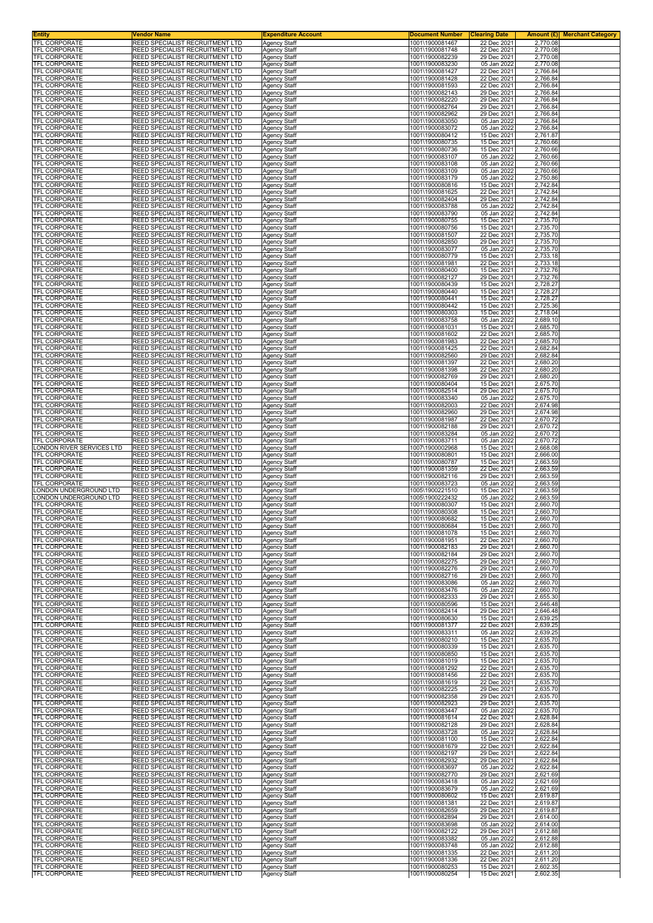| <b>TFL CORPORATE</b><br><b>REED SPECIALIST RECRUITMENT LTD</b><br><b>Agency Staff</b><br>1001\1900081748<br>22 Dec 2021<br>2,770.08<br>REED SPECIALIST RECRUITMENT LTD<br>29 Dec 2021<br>2,770.08<br>Agency Staff<br>1001\1900082239<br>REED SPECIALIST RECRUITMENT LTD<br>1001\1900083230<br>05 Jan 2022<br>2,770.08<br><b>Agency Staff</b><br>REED SPECIALIST RECRUITMENT LTD<br>Agency Staff<br>1001\1900081427<br>22 Dec 2021<br>2.766.84<br>REED SPECIALIST RECRUITMENT LTD<br>1001\1900081428<br>22 Dec 2021<br>2,766.84<br>Agency Staff<br>REED SPECIALIST RECRUITMENT LTD<br>22 Dec 2021<br>2,766.84<br><b>Agency Staff</b><br>1001\1900081593<br>REED SPECIALIST RECRUITMENT LTD<br>1001\1900082143<br>29 Dec 2021<br>Agency Staff<br>2,766.84<br>REED SPECIALIST RECRUITMENT LTD<br>1001\1900082220<br>29 Dec 2021<br>2,766.84<br>Agency Staff<br>REED SPECIALIST RECRUITMENT LTD<br>1001\1900082764<br>29 Dec 2021<br>2,766.84<br>Agency Staff<br>TFL CORPORATE<br>REED SPECIALIST RECRUITMENT LTD<br>1001\1900082962<br>29 Dec 2021<br>Agency Staff<br>2,766.84<br>REED SPECIALIST RECRUITMENT LTD<br>1001\1900083050<br>05 Jan 2022<br>2,766.84<br>Agency Staff<br>1001\1900083072<br>05 Jan 2022<br>REED SPECIALIST RECRUITMENT LTD<br>Agency Staff<br>2,766.84<br>REED SPECIALIST RECRUITMENT LTD<br>1001\1900080412<br>15 Dec 2021<br>2,761.87<br><b>Agency Staff</b><br>REED SPECIALIST RECRUITMENT LTD<br>1001\1900080735<br>15 Dec 2021<br>2,760.66<br>Agency Staff<br>REED SPECIALIST RECRUITMENT LTD<br>1001\1900080736<br>15 Dec 2021<br>2,760.66<br>Agency Staff<br>REED SPECIALIST RECRUITMENT LTD<br>1001\1900083107<br>05 Jan 2022<br>2,760.66<br>Agency Staff<br>REED SPECIALIST RECRUITMENT LTD<br>1001\1900083108<br>05 Jan 2022<br>2,760.66<br>Agency Staff<br>REED SPECIALIST RECRUITMENT LTD<br>1001\1900083109<br>05 Jan 2022<br>2,760.66<br>Agency Staff<br>2,750.86<br>REED SPECIALIST RECRUITMENT LTD<br><b>Agency Staff</b><br>1001\1900083179<br>05 Jan 2022<br>2,742.84<br>REED SPECIALIST RECRUITMENT LTD<br>Agency Staff<br>1001\1900080816<br>15 Dec 2021<br>REED SPECIALIST RECRUITMENT LTD<br><b>Agency Staff</b><br>1001\1900081625<br>22 Dec 2021<br>2,742.84<br>2,742.84<br>TFL CORPORATE<br>REED SPECIALIST RECRUITMENT LTD<br>1001\1900082404<br>29 Dec 2021<br><b>Agency Staff</b><br>REED SPECIALIST RECRUITMENT LTD<br>Agency Staff<br>1001\1900083788<br>05 Jan 2022<br>2,742.84<br>REED SPECIALIST RECRUITMENT LTD<br>Agency Staff<br>1001\1900083790<br>05 Jan 2022<br>2,742.84<br>REED SPECIALIST RECRUITMENT LTD<br><b>Agency Staff</b><br>1001\1900080755<br>15 Dec 2021<br>2,735.70<br>2,735.70<br>REED SPECIALIST RECRUITMENT LTD<br>Agency Staff<br>1001\1900080756<br>15 Dec 2021<br>REED SPECIALIST RECRUITMENT LTD<br>2,735.70<br>Agency Staff<br>1001\1900081507<br>22 Dec 2021<br>REED SPECIALIST RECRUITMENT LTD<br>2,735.70<br>1001\1900082850<br>29 Dec 2021<br><b>Agency Staff</b><br>REED SPECIALIST RECRUITMENT LTD<br>Agency Staff<br>1001\1900083077<br>05 Jan 2022<br>2,735.70<br>REED SPECIALIST RECRUITMENT LTD<br>1001\1900080779<br>2,733.18<br>TFL CORPORATE<br><b>Agency Staff</b><br>15 Dec 2021<br>22 Dec 2021<br>2,733.18<br>REED SPECIALIST RECRUITMENT LTD<br><b>Agency Staff</b><br>1001\1900081981<br>REED SPECIALIST RECRUITMENT LTD<br>2,732.76<br><b>Agency Staff</b><br>1001\1900080400<br>15 Dec 2021<br>REED SPECIALIST RECRUITMENT LTD<br>1001\1900082127<br>29 Dec 2021<br>2,732.76<br>Agency Staff<br>REED SPECIALIST RECRUITMENT LTD<br>Agency Staff<br>1001\1900080439<br>15 Dec 2021<br>2,728.27<br>REED SPECIALIST RECRUITMENT LTD<br>1001\1900080440<br>2,728.27<br><b>TFL CORPORATE</b><br><b>Agency Staff</b><br>15 Dec 2021<br><b>TFL CORPORATE</b><br>REED SPECIALIST RECRUITMENT LTD<br>1001\1900080441<br>15 Dec 2021<br>Agency Staff<br>2,728.27<br>REED SPECIALIST RECRUITMENT LTD<br><b>Agency Staff</b><br>1001\1900080442<br>15 Dec 2021<br>2,725.36<br>REED SPECIALIST RECRUITMENT LTD<br>1001\1900080303<br><b>Agency Staff</b><br>15 Dec 2021<br>2,718.04<br>REED SPECIALIST RECRUITMENT LTD<br>1001\1900083758<br>05 Jan 2022<br>2,689.10<br>Agency Staff<br>REED SPECIALIST RECRUITMENT LTD<br>1001\1900081031<br>15 Dec 2021<br>2,685.70<br>Agency Staff<br>22 Dec 2021<br>REED SPECIALIST RECRUITMENT LTD<br>1001\1900081602<br>2,685.70<br>Agency Staff<br>REED SPECIALIST RECRUITMENT LTD<br>1001\1900081983<br>22 Dec 2021<br>2,685.70<br>Agency Staff<br>REED SPECIALIST RECRUITMENT LTD<br>1001\1900081425<br>22 Dec 2021<br>2,682.84<br><b>Agency Staff</b><br>29 Dec 2021<br>2,682.84<br>REED SPECIALIST RECRUITMENT LTD<br>1001\1900082560<br><b>Agency Staff</b><br>REED SPECIALIST RECRUITMENT LTD<br>1001\1900081397<br>22 Dec 2021<br>2,680.20<br>Agency Staff<br>REED SPECIALIST RECRUITMENT LTD<br>1001\1900081398<br>22 Dec 2021<br>2,680.20<br>Agency Staff<br>REED SPECIALIST RECRUITMENT LTD<br>1001\1900082769<br>29 Dec 2021<br>2,680.20<br><b>Agency Staff</b><br>REED SPECIALIST RECRUITMENT LTD<br>Agency Staff<br>1001\1900080404<br>15 Dec 2021<br>2,675.70<br>REED SPECIALIST RECRUITMENT LTD<br>Agency Staff<br>1001\1900082514<br>29 Dec 2021<br>2,675.70<br>REED SPECIALIST RECRUITMENT LTD<br><b>Agency Staff</b><br>1001\1900083340<br>05 Jan 2022<br>2,675.70<br><b>REED SPECIALIST RECRUITMENT LTD</b><br>Agency Staff<br>1001\1900082003<br>22 Dec 2021<br>2,674.98<br>2,674.98<br>REED SPECIALIST RECRUITMENT LTD<br>1001\1900082960<br>29 Dec 2021<br>Agency Staff<br>REED SPECIALIST RECRUITMENT LTD<br>1001\1900081987<br>2,670.72<br>22 Dec 2021<br><b>Agency Staff</b><br>REED SPECIALIST RECRUITMENT LTD<br>Agency Staff<br>1001\1900082188<br>29 Dec 2021<br>2,670.72<br>REED SPECIALIST RECRUITMENT LTD<br>1001\1900083284<br>05 Jan 2022<br>2,670.72<br>Agency Staff<br>REED SPECIALIST RECRUITMENT LTD<br>05 Jan 2022<br>2,670.72<br><b>Agency Staff</b><br>1001\1900083711<br>LONDON RIVER SERVICES LTD<br><b>REED SPECIALIST RECRUITMENT LTD</b><br>2,668.08<br>Agency Staff<br>1007\1900002968<br>15 Dec 2021<br>REED SPECIALIST RECRUITMENT LTD<br>1001\1900080801<br>15 Dec 2021<br>2,666.00<br>Agency Staff<br>1001\1900080787<br>2,663.59<br>REED SPECIALIST RECRUITMENT LTD<br>Agency Staff<br>15 Dec 2021<br>22 Dec 2021<br><b>REED SPECIALIST RECRUITMENT LTD</b><br>Agency Staff<br>1001\1900081359<br>2,663.59<br>REED SPECIALIST RECRUITMENT LTD<br>29 Dec 2021<br>Agency Staff<br>1001\1900082116<br>2,663.59<br>REED SPECIALIST RECRUITMENT LTD<br>Agency Staff<br>1001\1900083723<br>05 Jan 2022<br>2,663.59<br>REED SPECIALIST RECRUITMENT LTD<br>2,663.59<br>LONDON UNDERGROUND LTD<br><b>Agency Staff</b><br>1005\1900221510<br>15 Dec 2021<br>ONDON UNDERGROUND LTD<br>REED SPECIALIST RECRUITMENT LTD<br>1005\1900222432<br>05 Jan 2022<br>2,663.59<br>Agency Staff<br>REED SPECIALIST RECRUITMENT LTD<br>1001\1900080307<br>15 Dec 2021<br>2,660.70<br>Agency Staff<br>1001\1900080308<br>REED SPECIALIST RECRUITMENT LTD<br><b>Agency Staff</b><br>15 Dec 2021<br>2,660.70<br>REED SPECIALIST RECRUITMENT LTD<br>1001\1900080682<br>2,660.70<br><b>Agency Staff</b><br>15 Dec 2021<br><b>IFL CORPORATE</b><br>REED SPECIALIST RECRUITMENT LTD<br>Agency Staff<br>1001\1900080684<br>15 Dec 2021<br>2,660.70<br><b>REED SPECIALIST RECRUITMENT LTD</b><br>1001\1900081078<br>15 Dec 2021<br>2,660.70<br><b>Agency Staff</b><br>REED SPECIALIST RECRUITMENT LTD<br>1001\1900081951<br>22 Dec 2021<br>2,660.70<br><b>Agency Staff</b><br>REED SPECIALIST RECRUITMENT LTD<br>Agency Staff<br>1001\1900082183<br>29 Dec 2021<br>2,660.70<br>REED SPECIALIST RECRUITMENT LTD<br>Agency Staff<br>1001\1900082184<br>29 Dec 2021<br>2,660.70<br>REED SPECIALIST RECRUITMENT LTD<br>Agency Staff<br>1001\1900082275<br>29 Dec 2021<br>2,660.70<br>REED SPECIALIST RECRUITMENT LTD<br>Agency Staff<br>1001\1900082276<br>29 Dec 2021<br>2,660.70<br>29 Dec 2021<br>2,660.70<br><b>REED SPECIALIST RECRUITMENT LTD</b><br><b>Agency Staff</b><br>1001\1900082716<br><b>REED SPECIALIST RECRUITMENT LTD</b><br><b>Agency Staff</b><br>1001\1900083086<br>05 Jan 2022<br>2,660.70<br>2,660.70<br>REED SPECIALIST RECRUITMENT LTD<br>Agency Staff<br>1001\1900083476<br>05 Jan 2022<br>REED SPECIALIST RECRUITMENT LTD<br>1001\1900082333<br>29 Dec 2021<br>2,655.30<br><b>Agency Staff</b><br><b>REED SPECIALIST RECRUITMENT LTD</b><br><b>Agency Staff</b><br>1001\1900080596<br>15 Dec 2021<br>2,646.48<br>REED SPECIALIST RECRUITMENT LTD<br><b>Agency Staff</b><br>1001\1900082414<br>29 Dec 2021<br>2,646.48<br>2,639.25<br>REED SPECIALIST RECRUITMENT LTD<br>1001\1900080630<br>15 Dec 2021<br><b>Agency Staff</b><br><b>REED SPECIALIST RECRUITMENT LTD</b><br>1001\1900081377<br>2,639.25<br><b>Agency Staff</b><br>22 Dec 2021<br>REED SPECIALIST RECRUITMENT LTD<br>1001\1900083311<br>05 Jan 2022<br>2,639.25<br>Agency Staff<br>REED SPECIALIST RECRUITMENT LTD<br>Agency Staff<br>1001\1900080210<br>15 Dec 2021<br>2,635.70<br><b>REED SPECIALIST RECRUITMENT LTD</b><br>Agency Staff<br>1001\1900080339<br>15 Dec 2021<br>2,635.70<br>REED SPECIALIST RECRUITMENT LTD<br>Agency Staff<br>1001\1900080850<br>15 Dec 2021<br>2,635.70<br>REED SPECIALIST RECRUITMENT LTD<br><b>Agency Staff</b><br>1001\1900081019<br>15 Dec 2021<br>2,635.70<br>2,635.70<br><b>REED SPECIALIST RECRUITMENT LTD</b><br><b>Agency Staff</b><br>1001\1900081292<br>22 Dec 2021<br>REED SPECIALIST RECRUITMENT LTD<br>1001\1900081456<br>22 Dec 2021<br>2,635.70<br>Agency Staff<br>REED SPECIALIST RECRUITMENT LTD<br>1001\1900081619<br>22 Dec 2021<br>2,635.70<br>Agency Staff<br><b>REED SPECIALIST RECRUITMENT LTD</b><br>1001\1900082225<br>29 Dec 2021<br>2,635.70<br><b>Agency Staff</b><br>REED SPECIALIST RECRUITMENT LTD<br><b>Agency Staff</b><br>1001\1900082358<br>29 Dec 2021<br>2,635.70<br>REED SPECIALIST RECRUITMENT LTD<br>Agency Staff<br>1001\1900082923<br>29 Dec 2021<br>2,635.70<br><b>REED SPECIALIST RECRUITMENT LTD</b><br>1001\1900083447<br>05 Jan 2022<br>2,635.70<br><b>Agency Staff</b><br>REED SPECIALIST RECRUITMENT LTD<br>1001\1900081614<br>22 Dec 2021<br>2,628.84<br>Agency Staff<br>REED SPECIALIST RECRUITMENT LTD<br>Agency Staff<br>1001\1900082128<br>29 Dec 2021<br>2,628.84<br>REED SPECIALIST RECRUITMENT LTD<br>1001\1900083728<br>05 Jan 2022<br>2,628.84<br>Agency Staff<br>REED SPECIALIST RECRUITMENT LTD<br>Agency Staff<br>1001\1900081100<br>15 Dec 2021<br>2,622.84<br>REED SPECIALIST RECRUITMENT LTD<br>Agency Staff<br>1001\1900081679<br>22 Dec 2021<br>2,622.84<br>2,622.84<br>29 Dec 2021<br><b>REED SPECIALIST RECRUITMENT LTD</b><br><b>Agency Staff</b><br>1001\1900082197<br><b>REED SPECIALIST RECRUITMENT LTD</b><br>1001\1900082932<br>29 Dec 2021<br>2,622.84<br>Agency Staff<br>2,622.84<br>REED SPECIALIST RECRUITMENT LTD<br>Agency Staff<br>1001\1900083697<br>05 Jan 2022<br>1001\1900082770<br>2,621.69<br>REED SPECIALIST RECRUITMENT LTD<br>29 Dec 2021<br>Agency Staff<br><b>REED SPECIALIST RECRUITMENT LTD</b><br>Agency Staff<br>1001\1900083418<br>05 Jan 2022<br>2,621.69<br>REED SPECIALIST RECRUITMENT LTD<br><b>Agency Staff</b><br>1001\1900083679<br>05 Jan 2022<br>2,621.69<br>REED SPECIALIST RECRUITMENT LTD<br>1001\1900080602<br>2,619.87<br><b>Agency Staff</b><br>15 Dec 2021<br>REED SPECIALIST RECRUITMENT LTD<br>2,619.87<br>Agency Staff<br>1001\1900081381<br>22 Dec 2021<br>REED SPECIALIST RECRUITMENT LTD<br><b>Agency Staff</b><br>1001\1900082659<br>29 Dec 2021<br>2,619.87<br>REED SPECIALIST RECRUITMENT LTD<br>Agency Staff<br>1001\1900082894<br>29 Dec 2021<br>2,614.00<br>REED SPECIALIST RECRUITMENT LTD<br>1001\1900083698<br>2,614.00<br><b>Agency Staff</b><br>05 Jan 2022<br>REED SPECIALIST RECRUITMENT LTD<br>1001\1900082122<br>29 Dec 2021<br>2,612.88<br>Agency Staff<br><b>REED SPECIALIST RECRUITMENT LTD</b><br><b>Agency Staff</b><br>1001\1900083382<br>05 Jan 2022<br>2,612.88<br><b>REED SPECIALIST RECRUITMENT LTD</b><br><b>Agency Staff</b><br>1001\1900083748<br>05 Jan 2022<br>2,612.88<br>REED SPECIALIST RECRUITMENT LTD<br>1001\1900081335<br>22 Dec 2021<br>2,611.20<br>Agency Staff<br>1001\1900081336<br>2,611.20<br>REED SPECIALIST RECRUITMENT LTD<br>22 Dec 2021<br><b>Agency Staff</b><br>REED SPECIALIST RECRUITMENT LTD | <b>Entity</b> | <b>Vendor Name</b>              | <b>Expenditure Account</b> | <b>Document Number</b> | <b>Clearing Date</b> |          | <b>Amount (£)</b> Merchant Category |
|-------------------------------------------------------------------------------------------------------------------------------------------------------------------------------------------------------------------------------------------------------------------------------------------------------------------------------------------------------------------------------------------------------------------------------------------------------------------------------------------------------------------------------------------------------------------------------------------------------------------------------------------------------------------------------------------------------------------------------------------------------------------------------------------------------------------------------------------------------------------------------------------------------------------------------------------------------------------------------------------------------------------------------------------------------------------------------------------------------------------------------------------------------------------------------------------------------------------------------------------------------------------------------------------------------------------------------------------------------------------------------------------------------------------------------------------------------------------------------------------------------------------------------------------------------------------------------------------------------------------------------------------------------------------------------------------------------------------------------------------------------------------------------------------------------------------------------------------------------------------------------------------------------------------------------------------------------------------------------------------------------------------------------------------------------------------------------------------------------------------------------------------------------------------------------------------------------------------------------------------------------------------------------------------------------------------------------------------------------------------------------------------------------------------------------------------------------------------------------------------------------------------------------------------------------------------------------------------------------------------------------------------------------------------------------------------------------------------------------------------------------------------------------------------------------------------------------------------------------------------------------------------------------------------------------------------------------------------------------------------------------------------------------------------------------------------------------------------------------------------------------------------------------------------------------------------------------------------------------------------------------------------------------------------------------------------------------------------------------------------------------------------------------------------------------------------------------------------------------------------------------------------------------------------------------------------------------------------------------------------------------------------------------------------------------------------------------------------------------------------------------------------------------------------------------------------------------------------------------------------------------------------------------------------------------------------------------------------------------------------------------------------------------------------------------------------------------------------------------------------------------------------------------------------------------------------------------------------------------------------------------------------------------------------------------------------------------------------------------------------------------------------------------------------------------------------------------------------------------------------------------------------------------------------------------------------------------------------------------------------------------------------------------------------------------------------------------------------------------------------------------------------------------------------------------------------------------------------------------------------------------------------------------------------------------------------------------------------------------------------------------------------------------------------------------------------------------------------------------------------------------------------------------------------------------------------------------------------------------------------------------------------------------------------------------------------------------------------------------------------------------------------------------------------------------------------------------------------------------------------------------------------------------------------------------------------------------------------------------------------------------------------------------------------------------------------------------------------------------------------------------------------------------------------------------------------------------------------------------------------------------------------------------------------------------------------------------------------------------------------------------------------------------------------------------------------------------------------------------------------------------------------------------------------------------------------------------------------------------------------------------------------------------------------------------------------------------------------------------------------------------------------------------------------------------------------------------------------------------------------------------------------------------------------------------------------------------------------------------------------------------------------------------------------------------------------------------------------------------------------------------------------------------------------------------------------------------------------------------------------------------------------------------------------------------------------------------------------------------------------------------------------------------------------------------------------------------------------------------------------------------------------------------------------------------------------------------------------------------------------------------------------------------------------------------------------------------------------------------------------------------------------------------------------------------------------------------------------------------------------------------------------------------------------------------------------------------------------------------------------------------------------------------------------------------------------------------------------------------------------------------------------------------------------------------------------------------------------------------------------------------------------------------------------------------------------------------------------------------------------------------------------------------------------------------------------------------------------------------------------------------------------------------------------------------------------------------------------------------------------------------------------------------------------------------------------------------------------------------------------------------------------------------------------------------------------------------------------------------------------------------------------------------------------------------------------------------------------------------------------------------------------------------------------------------------------------------------------------------------------------------------------------------------------------------------------------------------------------------------------------------------------------------------------------------------------------------------------------------------------------------------------------------------------------------------------------------------------------------------------------------------------------------------------------------------------------------------------------------------------------------------------------------------------------------------------------------------------------------------------------------------------------------------------------------------------------------------------------------------------------------------------------------------------------------------------------------------------------------------------------------------------------------------------------------------------------------------------------------------------------------------------------------------------------------------------------------------------------------------------------------------------------------------------------------------------------------------------------------------------------------------------------------------------------------------------------------------------------------------------------------------------------------------------------------------------------------------------------------------------------------------------------------------------------------------------------------------------------------------------------------------------------------------------------------------------------------------------------------------------------------------------------------------------------------------------------------------------------------------------------------------------------------------------------------------------------------------------------------------------------------------------------------------------------------------------------------------------------------------------------------------------------------------------------------------------------------------------------------------------------------------------------------------------------------------------------------------------------------------------------------------------------------------------------------------------------------------------------------------------------------------------------------------------------------------------------------------------------------------------------------------------------------------------------------------------------------------------------------------------------------------------------------------------------------------------------------------------------------------------------------------------------------------------------------------------------------------------------------------------------------------------------------------------------------------------------------------------------------------------------------------------------------------------------------------------------------------------------------------------------------------------------------------------------------------------------------------------------------------------------------------------------------------------------------------------------------------------------------------------------------------------------------------------------------------------------------------------------------|---------------|---------------------------------|----------------------------|------------------------|----------------------|----------|-------------------------------------|
| <b>TFL CORPORATE</b><br><b>TFL CORPORATE</b><br>TFL CORPORATE<br>TFL CORPORATE<br>TFL CORPORATE<br><b>TFL CORPORATE</b><br>TFL CORPORATE<br>TFL CORPORATE<br>TFL CORPORATE<br>TFL CORPORATE<br>TFL CORPORATE<br>TFL CORPORATE<br>TFL CORPORATE<br>TFL CORPORATE<br><b>TFL CORPORATE</b><br>TFL CORPORATE<br>TFL CORPORATE<br>TFL CORPORATE<br>TFL CORPORATE<br>TFL CORPORATE<br>TFL CORPORATE<br>TFL CORPORATE<br>TFL CORPORATE<br><b>TFL CORPORATE</b><br>TFL CORPORATE<br>TFL CORPORATE<br><b>TFL CORPORATE</b><br>TFL CORPORATE<br><b>TFL CORPORATE</b><br>TFL CORPORATE<br>TFL CORPORATE<br>TFL CORPORATE<br><b>TFL CORPORATE</b><br><b>TFL CORPORATE</b><br><b>TFL CORPORATE</b><br><b>TFL CORPORATE</b><br>TFL CORPORATE<br>TFL CORPORATE<br>TFL CORPORATE<br>TFL CORPORATE<br><b>TFL CORPORATE</b><br>TFL CORPORATE<br>TFL CORPORATE<br>TFL CORPORATE<br>TFL CORPORATE<br>TFL CORPORATE<br>TFL CORPORATE<br>TFL CORPORATE<br>TFL CORPORATE<br>TFL CORPORATE<br>TFL CORPORATE<br>TFL CORPORATE<br>TFL CORPORATE<br>TFL CORPORATE<br><b>TFL CORPORATE</b><br>TFL CORPORATE<br>TFL CORPORATE<br>TFL CORPORATE<br>TFL CORPORATE<br>TFL CORPORATE<br>TFL CORPORATE<br><b>TFL CORPORATE</b><br>TFL CORPORATE<br>TFL CORPORATE<br>TFL CORPORATE<br>TFL CORPORATE<br><b>TFL CORPORATE</b><br><b>TFL CORPORATE</b><br>TFL CORPORATE<br>TFL CORPORATE<br>TFL CORPORATE<br>TFL CORPORATE<br>TFL CORPORATE<br>TFL CORPORATE<br>TFL CORPORATE<br><b>TFL CORPORATE</b><br>TFL CORPORATE<br>TFL CORPORATE<br>TFL CORPORATE<br>TFL CORPORATE<br>TFL CORPORATE<br>TFL CORPORATE<br>TFL CORPORATE<br>TFL CORPORATE<br>TFL CORPORATE<br><b>TFL CORPORATE</b><br>TFL CORPORATE<br>TFL CORPORATE<br>TFL CORPORATE<br>TFL CORPORATE<br>TFL CORPORATE<br>TFL CORPORATE<br><b>TFL CORPORATE</b><br>TFL CORPORATE<br>TFL CORPORATE<br>TFL CORPORATE<br>TFL CORPORATE<br>TFL CORPORATE<br>TFL CORPORATE<br>TFL CORPORATE<br>TFL CORPORATE<br>TFL CORPORATE<br>TFL CORPORATE<br><b>TFL CORPORATE</b><br><b>TFL CORPORATE</b>                                                                                                                                                                                                                                                                                                                                                                                                                                                                                                                                                                                                                                                                                                                                                                                                                                                                                                                                                                                                                                                                                                                                                                                                                                                                                                                                                                                                                                                                                                                                                                                                                                                                                                                                                                                                                                                                                                                                                                                                                                                                                                                                                                                                                                                                                                                                                                                                                                                                                                                                                                                                                                                                                                                                                                                                                                                                                                                                                                                                                                                                                                                                                                                                                                                                                                                                                                                                                                                                                                                                                                                                                                                                                                                                                                                                                                                                                                                                                                                                                                                                                                                                                                                                                                                                                                                                                                                                                                                                                                                                                                                                                                                                                                                                                                                                                                                                                                                                                                                                                                                                                                                                                                                                                                                                                                                                                                                                                                                                                                                                                                                                                                                                                                                                                                                                                                                                                                                                                                                                                                                                                                                                                                                                                                                                                                                                                                                                                                                                                                                                                                                                                                                                                                                                                                                                                                                                                                                                                                                                                                                                                                                                                                                                                                                                                                                                                                                                                                                                                                                                                                                                                                                                                                                                                                                                                                                                                                                                                                                                                                                                                                                                                                                                                                                                                                                                                                                                                                                                                                                                                                                                                                                                                                                                                                                                                                                                                                                                                                                                                                                                                                                                                                                                                                                                                                                                                                                                                                                                                                                                                                                                                                                                                                                                                                                                                                                                                                                                                                                                                                                                                                                                                                                                                                                                                                                                              | TFL CORPORATE | REED SPECIALIST RECRUITMENT LTD | <b>Agency Staff</b>        | 1001\1900081467        | 22 Dec 2021          | 2,770.08 |                                     |
|                                                                                                                                                                                                                                                                                                                                                                                                                                                                                                                                                                                                                                                                                                                                                                                                                                                                                                                                                                                                                                                                                                                                                                                                                                                                                                                                                                                                                                                                                                                                                                                                                                                                                                                                                                                                                                                                                                                                                                                                                                                                                                                                                                                                                                                                                                                                                                                                                                                                                                                                                                                                                                                                                                                                                                                                                                                                                                                                                                                                                                                                                                                                                                                                                                                                                                                                                                                                                                                                                                                                                                                                                                                                                                                                                                                                                                                                                                                                                                                                                                                                                                                                                                                                                                                                                                                                                                                                                                                                                                                                                                                                                                                                                                                                                                                                                                                                                                                                                                                                                                                                                                                                                                                                                                                                                                                                                                                                                                                                                                                                                                                                                                                                                                                                                                                                                                                                                                                                                                                                                                                                                                                                                                                                                                                                                                                                                                                                                                                                                                                                                                                                                                                                                                                                                                                                                                                                                                                                                                                                                                                                                                                                                                                                                                                                                                                                                                                                                                                                                                                                                                                                                                                                                                                                                                                                                                                                                                                                                                                                                                                                                                                                                                                                                                                                                                                                                                                                                                                                                                                                                                                                                                                                                                                                                                                                                                                                                                                                                                                                                                                                                                                                                                                                                                                                                                                                                                                                                                                                                                                                                                                                                                                                                                                                                                                                                                                                                                                                                                                                                                                                                                                                                                                                                                                                                                                                                                                                                                                                                                                                                                                                                                                                                                                                                                                                                                                                                                                                                                                                                                                                                                                                                                                                                                                                                                                                                                                                                                                                                                                                                                                                                                                                                                                                                                                                                                                                                                                                                                                                                                                                                                                                                                                                                                                                                                                                                       |               |                                 |                            |                        |                      |          |                                     |
|                                                                                                                                                                                                                                                                                                                                                                                                                                                                                                                                                                                                                                                                                                                                                                                                                                                                                                                                                                                                                                                                                                                                                                                                                                                                                                                                                                                                                                                                                                                                                                                                                                                                                                                                                                                                                                                                                                                                                                                                                                                                                                                                                                                                                                                                                                                                                                                                                                                                                                                                                                                                                                                                                                                                                                                                                                                                                                                                                                                                                                                                                                                                                                                                                                                                                                                                                                                                                                                                                                                                                                                                                                                                                                                                                                                                                                                                                                                                                                                                                                                                                                                                                                                                                                                                                                                                                                                                                                                                                                                                                                                                                                                                                                                                                                                                                                                                                                                                                                                                                                                                                                                                                                                                                                                                                                                                                                                                                                                                                                                                                                                                                                                                                                                                                                                                                                                                                                                                                                                                                                                                                                                                                                                                                                                                                                                                                                                                                                                                                                                                                                                                                                                                                                                                                                                                                                                                                                                                                                                                                                                                                                                                                                                                                                                                                                                                                                                                                                                                                                                                                                                                                                                                                                                                                                                                                                                                                                                                                                                                                                                                                                                                                                                                                                                                                                                                                                                                                                                                                                                                                                                                                                                                                                                                                                                                                                                                                                                                                                                                                                                                                                                                                                                                                                                                                                                                                                                                                                                                                                                                                                                                                                                                                                                                                                                                                                                                                                                                                                                                                                                                                                                                                                                                                                                                                                                                                                                                                                                                                                                                                                                                                                                                                                                                                                                                                                                                                                                                                                                                                                                                                                                                                                                                                                                                                                                                                                                                                                                                                                                                                                                                                                                                                                                                                                                                                                                                                                                                                                                                                                                                                                                                                                                                                                                                                                                                                       |               |                                 |                            |                        |                      |          |                                     |
|                                                                                                                                                                                                                                                                                                                                                                                                                                                                                                                                                                                                                                                                                                                                                                                                                                                                                                                                                                                                                                                                                                                                                                                                                                                                                                                                                                                                                                                                                                                                                                                                                                                                                                                                                                                                                                                                                                                                                                                                                                                                                                                                                                                                                                                                                                                                                                                                                                                                                                                                                                                                                                                                                                                                                                                                                                                                                                                                                                                                                                                                                                                                                                                                                                                                                                                                                                                                                                                                                                                                                                                                                                                                                                                                                                                                                                                                                                                                                                                                                                                                                                                                                                                                                                                                                                                                                                                                                                                                                                                                                                                                                                                                                                                                                                                                                                                                                                                                                                                                                                                                                                                                                                                                                                                                                                                                                                                                                                                                                                                                                                                                                                                                                                                                                                                                                                                                                                                                                                                                                                                                                                                                                                                                                                                                                                                                                                                                                                                                                                                                                                                                                                                                                                                                                                                                                                                                                                                                                                                                                                                                                                                                                                                                                                                                                                                                                                                                                                                                                                                                                                                                                                                                                                                                                                                                                                                                                                                                                                                                                                                                                                                                                                                                                                                                                                                                                                                                                                                                                                                                                                                                                                                                                                                                                                                                                                                                                                                                                                                                                                                                                                                                                                                                                                                                                                                                                                                                                                                                                                                                                                                                                                                                                                                                                                                                                                                                                                                                                                                                                                                                                                                                                                                                                                                                                                                                                                                                                                                                                                                                                                                                                                                                                                                                                                                                                                                                                                                                                                                                                                                                                                                                                                                                                                                                                                                                                                                                                                                                                                                                                                                                                                                                                                                                                                                                                                                                                                                                                                                                                                                                                                                                                                                                                                                                                                                                                       |               |                                 |                            |                        |                      |          |                                     |
|                                                                                                                                                                                                                                                                                                                                                                                                                                                                                                                                                                                                                                                                                                                                                                                                                                                                                                                                                                                                                                                                                                                                                                                                                                                                                                                                                                                                                                                                                                                                                                                                                                                                                                                                                                                                                                                                                                                                                                                                                                                                                                                                                                                                                                                                                                                                                                                                                                                                                                                                                                                                                                                                                                                                                                                                                                                                                                                                                                                                                                                                                                                                                                                                                                                                                                                                                                                                                                                                                                                                                                                                                                                                                                                                                                                                                                                                                                                                                                                                                                                                                                                                                                                                                                                                                                                                                                                                                                                                                                                                                                                                                                                                                                                                                                                                                                                                                                                                                                                                                                                                                                                                                                                                                                                                                                                                                                                                                                                                                                                                                                                                                                                                                                                                                                                                                                                                                                                                                                                                                                                                                                                                                                                                                                                                                                                                                                                                                                                                                                                                                                                                                                                                                                                                                                                                                                                                                                                                                                                                                                                                                                                                                                                                                                                                                                                                                                                                                                                                                                                                                                                                                                                                                                                                                                                                                                                                                                                                                                                                                                                                                                                                                                                                                                                                                                                                                                                                                                                                                                                                                                                                                                                                                                                                                                                                                                                                                                                                                                                                                                                                                                                                                                                                                                                                                                                                                                                                                                                                                                                                                                                                                                                                                                                                                                                                                                                                                                                                                                                                                                                                                                                                                                                                                                                                                                                                                                                                                                                                                                                                                                                                                                                                                                                                                                                                                                                                                                                                                                                                                                                                                                                                                                                                                                                                                                                                                                                                                                                                                                                                                                                                                                                                                                                                                                                                                                                                                                                                                                                                                                                                                                                                                                                                                                                                                                                                                       |               |                                 |                            |                        |                      |          |                                     |
|                                                                                                                                                                                                                                                                                                                                                                                                                                                                                                                                                                                                                                                                                                                                                                                                                                                                                                                                                                                                                                                                                                                                                                                                                                                                                                                                                                                                                                                                                                                                                                                                                                                                                                                                                                                                                                                                                                                                                                                                                                                                                                                                                                                                                                                                                                                                                                                                                                                                                                                                                                                                                                                                                                                                                                                                                                                                                                                                                                                                                                                                                                                                                                                                                                                                                                                                                                                                                                                                                                                                                                                                                                                                                                                                                                                                                                                                                                                                                                                                                                                                                                                                                                                                                                                                                                                                                                                                                                                                                                                                                                                                                                                                                                                                                                                                                                                                                                                                                                                                                                                                                                                                                                                                                                                                                                                                                                                                                                                                                                                                                                                                                                                                                                                                                                                                                                                                                                                                                                                                                                                                                                                                                                                                                                                                                                                                                                                                                                                                                                                                                                                                                                                                                                                                                                                                                                                                                                                                                                                                                                                                                                                                                                                                                                                                                                                                                                                                                                                                                                                                                                                                                                                                                                                                                                                                                                                                                                                                                                                                                                                                                                                                                                                                                                                                                                                                                                                                                                                                                                                                                                                                                                                                                                                                                                                                                                                                                                                                                                                                                                                                                                                                                                                                                                                                                                                                                                                                                                                                                                                                                                                                                                                                                                                                                                                                                                                                                                                                                                                                                                                                                                                                                                                                                                                                                                                                                                                                                                                                                                                                                                                                                                                                                                                                                                                                                                                                                                                                                                                                                                                                                                                                                                                                                                                                                                                                                                                                                                                                                                                                                                                                                                                                                                                                                                                                                                                                                                                                                                                                                                                                                                                                                                                                                                                                                                                                                       |               |                                 |                            |                        |                      |          |                                     |
|                                                                                                                                                                                                                                                                                                                                                                                                                                                                                                                                                                                                                                                                                                                                                                                                                                                                                                                                                                                                                                                                                                                                                                                                                                                                                                                                                                                                                                                                                                                                                                                                                                                                                                                                                                                                                                                                                                                                                                                                                                                                                                                                                                                                                                                                                                                                                                                                                                                                                                                                                                                                                                                                                                                                                                                                                                                                                                                                                                                                                                                                                                                                                                                                                                                                                                                                                                                                                                                                                                                                                                                                                                                                                                                                                                                                                                                                                                                                                                                                                                                                                                                                                                                                                                                                                                                                                                                                                                                                                                                                                                                                                                                                                                                                                                                                                                                                                                                                                                                                                                                                                                                                                                                                                                                                                                                                                                                                                                                                                                                                                                                                                                                                                                                                                                                                                                                                                                                                                                                                                                                                                                                                                                                                                                                                                                                                                                                                                                                                                                                                                                                                                                                                                                                                                                                                                                                                                                                                                                                                                                                                                                                                                                                                                                                                                                                                                                                                                                                                                                                                                                                                                                                                                                                                                                                                                                                                                                                                                                                                                                                                                                                                                                                                                                                                                                                                                                                                                                                                                                                                                                                                                                                                                                                                                                                                                                                                                                                                                                                                                                                                                                                                                                                                                                                                                                                                                                                                                                                                                                                                                                                                                                                                                                                                                                                                                                                                                                                                                                                                                                                                                                                                                                                                                                                                                                                                                                                                                                                                                                                                                                                                                                                                                                                                                                                                                                                                                                                                                                                                                                                                                                                                                                                                                                                                                                                                                                                                                                                                                                                                                                                                                                                                                                                                                                                                                                                                                                                                                                                                                                                                                                                                                                                                                                                                                                                                                       |               |                                 |                            |                        |                      |          |                                     |
|                                                                                                                                                                                                                                                                                                                                                                                                                                                                                                                                                                                                                                                                                                                                                                                                                                                                                                                                                                                                                                                                                                                                                                                                                                                                                                                                                                                                                                                                                                                                                                                                                                                                                                                                                                                                                                                                                                                                                                                                                                                                                                                                                                                                                                                                                                                                                                                                                                                                                                                                                                                                                                                                                                                                                                                                                                                                                                                                                                                                                                                                                                                                                                                                                                                                                                                                                                                                                                                                                                                                                                                                                                                                                                                                                                                                                                                                                                                                                                                                                                                                                                                                                                                                                                                                                                                                                                                                                                                                                                                                                                                                                                                                                                                                                                                                                                                                                                                                                                                                                                                                                                                                                                                                                                                                                                                                                                                                                                                                                                                                                                                                                                                                                                                                                                                                                                                                                                                                                                                                                                                                                                                                                                                                                                                                                                                                                                                                                                                                                                                                                                                                                                                                                                                                                                                                                                                                                                                                                                                                                                                                                                                                                                                                                                                                                                                                                                                                                                                                                                                                                                                                                                                                                                                                                                                                                                                                                                                                                                                                                                                                                                                                                                                                                                                                                                                                                                                                                                                                                                                                                                                                                                                                                                                                                                                                                                                                                                                                                                                                                                                                                                                                                                                                                                                                                                                                                                                                                                                                                                                                                                                                                                                                                                                                                                                                                                                                                                                                                                                                                                                                                                                                                                                                                                                                                                                                                                                                                                                                                                                                                                                                                                                                                                                                                                                                                                                                                                                                                                                                                                                                                                                                                                                                                                                                                                                                                                                                                                                                                                                                                                                                                                                                                                                                                                                                                                                                                                                                                                                                                                                                                                                                                                                                                                                                                                                                                       |               |                                 |                            |                        |                      |          |                                     |
|                                                                                                                                                                                                                                                                                                                                                                                                                                                                                                                                                                                                                                                                                                                                                                                                                                                                                                                                                                                                                                                                                                                                                                                                                                                                                                                                                                                                                                                                                                                                                                                                                                                                                                                                                                                                                                                                                                                                                                                                                                                                                                                                                                                                                                                                                                                                                                                                                                                                                                                                                                                                                                                                                                                                                                                                                                                                                                                                                                                                                                                                                                                                                                                                                                                                                                                                                                                                                                                                                                                                                                                                                                                                                                                                                                                                                                                                                                                                                                                                                                                                                                                                                                                                                                                                                                                                                                                                                                                                                                                                                                                                                                                                                                                                                                                                                                                                                                                                                                                                                                                                                                                                                                                                                                                                                                                                                                                                                                                                                                                                                                                                                                                                                                                                                                                                                                                                                                                                                                                                                                                                                                                                                                                                                                                                                                                                                                                                                                                                                                                                                                                                                                                                                                                                                                                                                                                                                                                                                                                                                                                                                                                                                                                                                                                                                                                                                                                                                                                                                                                                                                                                                                                                                                                                                                                                                                                                                                                                                                                                                                                                                                                                                                                                                                                                                                                                                                                                                                                                                                                                                                                                                                                                                                                                                                                                                                                                                                                                                                                                                                                                                                                                                                                                                                                                                                                                                                                                                                                                                                                                                                                                                                                                                                                                                                                                                                                                                                                                                                                                                                                                                                                                                                                                                                                                                                                                                                                                                                                                                                                                                                                                                                                                                                                                                                                                                                                                                                                                                                                                                                                                                                                                                                                                                                                                                                                                                                                                                                                                                                                                                                                                                                                                                                                                                                                                                                                                                                                                                                                                                                                                                                                                                                                                                                                                                                                                                       |               |                                 |                            |                        |                      |          |                                     |
|                                                                                                                                                                                                                                                                                                                                                                                                                                                                                                                                                                                                                                                                                                                                                                                                                                                                                                                                                                                                                                                                                                                                                                                                                                                                                                                                                                                                                                                                                                                                                                                                                                                                                                                                                                                                                                                                                                                                                                                                                                                                                                                                                                                                                                                                                                                                                                                                                                                                                                                                                                                                                                                                                                                                                                                                                                                                                                                                                                                                                                                                                                                                                                                                                                                                                                                                                                                                                                                                                                                                                                                                                                                                                                                                                                                                                                                                                                                                                                                                                                                                                                                                                                                                                                                                                                                                                                                                                                                                                                                                                                                                                                                                                                                                                                                                                                                                                                                                                                                                                                                                                                                                                                                                                                                                                                                                                                                                                                                                                                                                                                                                                                                                                                                                                                                                                                                                                                                                                                                                                                                                                                                                                                                                                                                                                                                                                                                                                                                                                                                                                                                                                                                                                                                                                                                                                                                                                                                                                                                                                                                                                                                                                                                                                                                                                                                                                                                                                                                                                                                                                                                                                                                                                                                                                                                                                                                                                                                                                                                                                                                                                                                                                                                                                                                                                                                                                                                                                                                                                                                                                                                                                                                                                                                                                                                                                                                                                                                                                                                                                                                                                                                                                                                                                                                                                                                                                                                                                                                                                                                                                                                                                                                                                                                                                                                                                                                                                                                                                                                                                                                                                                                                                                                                                                                                                                                                                                                                                                                                                                                                                                                                                                                                                                                                                                                                                                                                                                                                                                                                                                                                                                                                                                                                                                                                                                                                                                                                                                                                                                                                                                                                                                                                                                                                                                                                                                                                                                                                                                                                                                                                                                                                                                                                                                                                                                                                                       |               |                                 |                            |                        |                      |          |                                     |
|                                                                                                                                                                                                                                                                                                                                                                                                                                                                                                                                                                                                                                                                                                                                                                                                                                                                                                                                                                                                                                                                                                                                                                                                                                                                                                                                                                                                                                                                                                                                                                                                                                                                                                                                                                                                                                                                                                                                                                                                                                                                                                                                                                                                                                                                                                                                                                                                                                                                                                                                                                                                                                                                                                                                                                                                                                                                                                                                                                                                                                                                                                                                                                                                                                                                                                                                                                                                                                                                                                                                                                                                                                                                                                                                                                                                                                                                                                                                                                                                                                                                                                                                                                                                                                                                                                                                                                                                                                                                                                                                                                                                                                                                                                                                                                                                                                                                                                                                                                                                                                                                                                                                                                                                                                                                                                                                                                                                                                                                                                                                                                                                                                                                                                                                                                                                                                                                                                                                                                                                                                                                                                                                                                                                                                                                                                                                                                                                                                                                                                                                                                                                                                                                                                                                                                                                                                                                                                                                                                                                                                                                                                                                                                                                                                                                                                                                                                                                                                                                                                                                                                                                                                                                                                                                                                                                                                                                                                                                                                                                                                                                                                                                                                                                                                                                                                                                                                                                                                                                                                                                                                                                                                                                                                                                                                                                                                                                                                                                                                                                                                                                                                                                                                                                                                                                                                                                                                                                                                                                                                                                                                                                                                                                                                                                                                                                                                                                                                                                                                                                                                                                                                                                                                                                                                                                                                                                                                                                                                                                                                                                                                                                                                                                                                                                                                                                                                                                                                                                                                                                                                                                                                                                                                                                                                                                                                                                                                                                                                                                                                                                                                                                                                                                                                                                                                                                                                                                                                                                                                                                                                                                                                                                                                                                                                                                                                                                                       |               |                                 |                            |                        |                      |          |                                     |
|                                                                                                                                                                                                                                                                                                                                                                                                                                                                                                                                                                                                                                                                                                                                                                                                                                                                                                                                                                                                                                                                                                                                                                                                                                                                                                                                                                                                                                                                                                                                                                                                                                                                                                                                                                                                                                                                                                                                                                                                                                                                                                                                                                                                                                                                                                                                                                                                                                                                                                                                                                                                                                                                                                                                                                                                                                                                                                                                                                                                                                                                                                                                                                                                                                                                                                                                                                                                                                                                                                                                                                                                                                                                                                                                                                                                                                                                                                                                                                                                                                                                                                                                                                                                                                                                                                                                                                                                                                                                                                                                                                                                                                                                                                                                                                                                                                                                                                                                                                                                                                                                                                                                                                                                                                                                                                                                                                                                                                                                                                                                                                                                                                                                                                                                                                                                                                                                                                                                                                                                                                                                                                                                                                                                                                                                                                                                                                                                                                                                                                                                                                                                                                                                                                                                                                                                                                                                                                                                                                                                                                                                                                                                                                                                                                                                                                                                                                                                                                                                                                                                                                                                                                                                                                                                                                                                                                                                                                                                                                                                                                                                                                                                                                                                                                                                                                                                                                                                                                                                                                                                                                                                                                                                                                                                                                                                                                                                                                                                                                                                                                                                                                                                                                                                                                                                                                                                                                                                                                                                                                                                                                                                                                                                                                                                                                                                                                                                                                                                                                                                                                                                                                                                                                                                                                                                                                                                                                                                                                                                                                                                                                                                                                                                                                                                                                                                                                                                                                                                                                                                                                                                                                                                                                                                                                                                                                                                                                                                                                                                                                                                                                                                                                                                                                                                                                                                                                                                                                                                                                                                                                                                                                                                                                                                                                                                                                                                                       |               |                                 |                            |                        |                      |          |                                     |
|                                                                                                                                                                                                                                                                                                                                                                                                                                                                                                                                                                                                                                                                                                                                                                                                                                                                                                                                                                                                                                                                                                                                                                                                                                                                                                                                                                                                                                                                                                                                                                                                                                                                                                                                                                                                                                                                                                                                                                                                                                                                                                                                                                                                                                                                                                                                                                                                                                                                                                                                                                                                                                                                                                                                                                                                                                                                                                                                                                                                                                                                                                                                                                                                                                                                                                                                                                                                                                                                                                                                                                                                                                                                                                                                                                                                                                                                                                                                                                                                                                                                                                                                                                                                                                                                                                                                                                                                                                                                                                                                                                                                                                                                                                                                                                                                                                                                                                                                                                                                                                                                                                                                                                                                                                                                                                                                                                                                                                                                                                                                                                                                                                                                                                                                                                                                                                                                                                                                                                                                                                                                                                                                                                                                                                                                                                                                                                                                                                                                                                                                                                                                                                                                                                                                                                                                                                                                                                                                                                                                                                                                                                                                                                                                                                                                                                                                                                                                                                                                                                                                                                                                                                                                                                                                                                                                                                                                                                                                                                                                                                                                                                                                                                                                                                                                                                                                                                                                                                                                                                                                                                                                                                                                                                                                                                                                                                                                                                                                                                                                                                                                                                                                                                                                                                                                                                                                                                                                                                                                                                                                                                                                                                                                                                                                                                                                                                                                                                                                                                                                                                                                                                                                                                                                                                                                                                                                                                                                                                                                                                                                                                                                                                                                                                                                                                                                                                                                                                                                                                                                                                                                                                                                                                                                                                                                                                                                                                                                                                                                                                                                                                                                                                                                                                                                                                                                                                                                                                                                                                                                                                                                                                                                                                                                                                                                                                                                                       |               |                                 |                            |                        |                      |          |                                     |
|                                                                                                                                                                                                                                                                                                                                                                                                                                                                                                                                                                                                                                                                                                                                                                                                                                                                                                                                                                                                                                                                                                                                                                                                                                                                                                                                                                                                                                                                                                                                                                                                                                                                                                                                                                                                                                                                                                                                                                                                                                                                                                                                                                                                                                                                                                                                                                                                                                                                                                                                                                                                                                                                                                                                                                                                                                                                                                                                                                                                                                                                                                                                                                                                                                                                                                                                                                                                                                                                                                                                                                                                                                                                                                                                                                                                                                                                                                                                                                                                                                                                                                                                                                                                                                                                                                                                                                                                                                                                                                                                                                                                                                                                                                                                                                                                                                                                                                                                                                                                                                                                                                                                                                                                                                                                                                                                                                                                                                                                                                                                                                                                                                                                                                                                                                                                                                                                                                                                                                                                                                                                                                                                                                                                                                                                                                                                                                                                                                                                                                                                                                                                                                                                                                                                                                                                                                                                                                                                                                                                                                                                                                                                                                                                                                                                                                                                                                                                                                                                                                                                                                                                                                                                                                                                                                                                                                                                                                                                                                                                                                                                                                                                                                                                                                                                                                                                                                                                                                                                                                                                                                                                                                                                                                                                                                                                                                                                                                                                                                                                                                                                                                                                                                                                                                                                                                                                                                                                                                                                                                                                                                                                                                                                                                                                                                                                                                                                                                                                                                                                                                                                                                                                                                                                                                                                                                                                                                                                                                                                                                                                                                                                                                                                                                                                                                                                                                                                                                                                                                                                                                                                                                                                                                                                                                                                                                                                                                                                                                                                                                                                                                                                                                                                                                                                                                                                                                                                                                                                                                                                                                                                                                                                                                                                                                                                                                                                                       |               |                                 |                            |                        |                      |          |                                     |
|                                                                                                                                                                                                                                                                                                                                                                                                                                                                                                                                                                                                                                                                                                                                                                                                                                                                                                                                                                                                                                                                                                                                                                                                                                                                                                                                                                                                                                                                                                                                                                                                                                                                                                                                                                                                                                                                                                                                                                                                                                                                                                                                                                                                                                                                                                                                                                                                                                                                                                                                                                                                                                                                                                                                                                                                                                                                                                                                                                                                                                                                                                                                                                                                                                                                                                                                                                                                                                                                                                                                                                                                                                                                                                                                                                                                                                                                                                                                                                                                                                                                                                                                                                                                                                                                                                                                                                                                                                                                                                                                                                                                                                                                                                                                                                                                                                                                                                                                                                                                                                                                                                                                                                                                                                                                                                                                                                                                                                                                                                                                                                                                                                                                                                                                                                                                                                                                                                                                                                                                                                                                                                                                                                                                                                                                                                                                                                                                                                                                                                                                                                                                                                                                                                                                                                                                                                                                                                                                                                                                                                                                                                                                                                                                                                                                                                                                                                                                                                                                                                                                                                                                                                                                                                                                                                                                                                                                                                                                                                                                                                                                                                                                                                                                                                                                                                                                                                                                                                                                                                                                                                                                                                                                                                                                                                                                                                                                                                                                                                                                                                                                                                                                                                                                                                                                                                                                                                                                                                                                                                                                                                                                                                                                                                                                                                                                                                                                                                                                                                                                                                                                                                                                                                                                                                                                                                                                                                                                                                                                                                                                                                                                                                                                                                                                                                                                                                                                                                                                                                                                                                                                                                                                                                                                                                                                                                                                                                                                                                                                                                                                                                                                                                                                                                                                                                                                                                                                                                                                                                                                                                                                                                                                                                                                                                                                                                                                                       |               |                                 |                            |                        |                      |          |                                     |
|                                                                                                                                                                                                                                                                                                                                                                                                                                                                                                                                                                                                                                                                                                                                                                                                                                                                                                                                                                                                                                                                                                                                                                                                                                                                                                                                                                                                                                                                                                                                                                                                                                                                                                                                                                                                                                                                                                                                                                                                                                                                                                                                                                                                                                                                                                                                                                                                                                                                                                                                                                                                                                                                                                                                                                                                                                                                                                                                                                                                                                                                                                                                                                                                                                                                                                                                                                                                                                                                                                                                                                                                                                                                                                                                                                                                                                                                                                                                                                                                                                                                                                                                                                                                                                                                                                                                                                                                                                                                                                                                                                                                                                                                                                                                                                                                                                                                                                                                                                                                                                                                                                                                                                                                                                                                                                                                                                                                                                                                                                                                                                                                                                                                                                                                                                                                                                                                                                                                                                                                                                                                                                                                                                                                                                                                                                                                                                                                                                                                                                                                                                                                                                                                                                                                                                                                                                                                                                                                                                                                                                                                                                                                                                                                                                                                                                                                                                                                                                                                                                                                                                                                                                                                                                                                                                                                                                                                                                                                                                                                                                                                                                                                                                                                                                                                                                                                                                                                                                                                                                                                                                                                                                                                                                                                                                                                                                                                                                                                                                                                                                                                                                                                                                                                                                                                                                                                                                                                                                                                                                                                                                                                                                                                                                                                                                                                                                                                                                                                                                                                                                                                                                                                                                                                                                                                                                                                                                                                                                                                                                                                                                                                                                                                                                                                                                                                                                                                                                                                                                                                                                                                                                                                                                                                                                                                                                                                                                                                                                                                                                                                                                                                                                                                                                                                                                                                                                                                                                                                                                                                                                                                                                                                                                                                                                                                                                                                                       |               |                                 |                            |                        |                      |          |                                     |
|                                                                                                                                                                                                                                                                                                                                                                                                                                                                                                                                                                                                                                                                                                                                                                                                                                                                                                                                                                                                                                                                                                                                                                                                                                                                                                                                                                                                                                                                                                                                                                                                                                                                                                                                                                                                                                                                                                                                                                                                                                                                                                                                                                                                                                                                                                                                                                                                                                                                                                                                                                                                                                                                                                                                                                                                                                                                                                                                                                                                                                                                                                                                                                                                                                                                                                                                                                                                                                                                                                                                                                                                                                                                                                                                                                                                                                                                                                                                                                                                                                                                                                                                                                                                                                                                                                                                                                                                                                                                                                                                                                                                                                                                                                                                                                                                                                                                                                                                                                                                                                                                                                                                                                                                                                                                                                                                                                                                                                                                                                                                                                                                                                                                                                                                                                                                                                                                                                                                                                                                                                                                                                                                                                                                                                                                                                                                                                                                                                                                                                                                                                                                                                                                                                                                                                                                                                                                                                                                                                                                                                                                                                                                                                                                                                                                                                                                                                                                                                                                                                                                                                                                                                                                                                                                                                                                                                                                                                                                                                                                                                                                                                                                                                                                                                                                                                                                                                                                                                                                                                                                                                                                                                                                                                                                                                                                                                                                                                                                                                                                                                                                                                                                                                                                                                                                                                                                                                                                                                                                                                                                                                                                                                                                                                                                                                                                                                                                                                                                                                                                                                                                                                                                                                                                                                                                                                                                                                                                                                                                                                                                                                                                                                                                                                                                                                                                                                                                                                                                                                                                                                                                                                                                                                                                                                                                                                                                                                                                                                                                                                                                                                                                                                                                                                                                                                                                                                                                                                                                                                                                                                                                                                                                                                                                                                                                                                                                                       |               |                                 |                            |                        |                      |          |                                     |
|                                                                                                                                                                                                                                                                                                                                                                                                                                                                                                                                                                                                                                                                                                                                                                                                                                                                                                                                                                                                                                                                                                                                                                                                                                                                                                                                                                                                                                                                                                                                                                                                                                                                                                                                                                                                                                                                                                                                                                                                                                                                                                                                                                                                                                                                                                                                                                                                                                                                                                                                                                                                                                                                                                                                                                                                                                                                                                                                                                                                                                                                                                                                                                                                                                                                                                                                                                                                                                                                                                                                                                                                                                                                                                                                                                                                                                                                                                                                                                                                                                                                                                                                                                                                                                                                                                                                                                                                                                                                                                                                                                                                                                                                                                                                                                                                                                                                                                                                                                                                                                                                                                                                                                                                                                                                                                                                                                                                                                                                                                                                                                                                                                                                                                                                                                                                                                                                                                                                                                                                                                                                                                                                                                                                                                                                                                                                                                                                                                                                                                                                                                                                                                                                                                                                                                                                                                                                                                                                                                                                                                                                                                                                                                                                                                                                                                                                                                                                                                                                                                                                                                                                                                                                                                                                                                                                                                                                                                                                                                                                                                                                                                                                                                                                                                                                                                                                                                                                                                                                                                                                                                                                                                                                                                                                                                                                                                                                                                                                                                                                                                                                                                                                                                                                                                                                                                                                                                                                                                                                                                                                                                                                                                                                                                                                                                                                                                                                                                                                                                                                                                                                                                                                                                                                                                                                                                                                                                                                                                                                                                                                                                                                                                                                                                                                                                                                                                                                                                                                                                                                                                                                                                                                                                                                                                                                                                                                                                                                                                                                                                                                                                                                                                                                                                                                                                                                                                                                                                                                                                                                                                                                                                                                                                                                                                                                                                                                                       |               |                                 |                            |                        |                      |          |                                     |
|                                                                                                                                                                                                                                                                                                                                                                                                                                                                                                                                                                                                                                                                                                                                                                                                                                                                                                                                                                                                                                                                                                                                                                                                                                                                                                                                                                                                                                                                                                                                                                                                                                                                                                                                                                                                                                                                                                                                                                                                                                                                                                                                                                                                                                                                                                                                                                                                                                                                                                                                                                                                                                                                                                                                                                                                                                                                                                                                                                                                                                                                                                                                                                                                                                                                                                                                                                                                                                                                                                                                                                                                                                                                                                                                                                                                                                                                                                                                                                                                                                                                                                                                                                                                                                                                                                                                                                                                                                                                                                                                                                                                                                                                                                                                                                                                                                                                                                                                                                                                                                                                                                                                                                                                                                                                                                                                                                                                                                                                                                                                                                                                                                                                                                                                                                                                                                                                                                                                                                                                                                                                                                                                                                                                                                                                                                                                                                                                                                                                                                                                                                                                                                                                                                                                                                                                                                                                                                                                                                                                                                                                                                                                                                                                                                                                                                                                                                                                                                                                                                                                                                                                                                                                                                                                                                                                                                                                                                                                                                                                                                                                                                                                                                                                                                                                                                                                                                                                                                                                                                                                                                                                                                                                                                                                                                                                                                                                                                                                                                                                                                                                                                                                                                                                                                                                                                                                                                                                                                                                                                                                                                                                                                                                                                                                                                                                                                                                                                                                                                                                                                                                                                                                                                                                                                                                                                                                                                                                                                                                                                                                                                                                                                                                                                                                                                                                                                                                                                                                                                                                                                                                                                                                                                                                                                                                                                                                                                                                                                                                                                                                                                                                                                                                                                                                                                                                                                                                                                                                                                                                                                                                                                                                                                                                                                                                                                                                                       |               |                                 |                            |                        |                      |          |                                     |
|                                                                                                                                                                                                                                                                                                                                                                                                                                                                                                                                                                                                                                                                                                                                                                                                                                                                                                                                                                                                                                                                                                                                                                                                                                                                                                                                                                                                                                                                                                                                                                                                                                                                                                                                                                                                                                                                                                                                                                                                                                                                                                                                                                                                                                                                                                                                                                                                                                                                                                                                                                                                                                                                                                                                                                                                                                                                                                                                                                                                                                                                                                                                                                                                                                                                                                                                                                                                                                                                                                                                                                                                                                                                                                                                                                                                                                                                                                                                                                                                                                                                                                                                                                                                                                                                                                                                                                                                                                                                                                                                                                                                                                                                                                                                                                                                                                                                                                                                                                                                                                                                                                                                                                                                                                                                                                                                                                                                                                                                                                                                                                                                                                                                                                                                                                                                                                                                                                                                                                                                                                                                                                                                                                                                                                                                                                                                                                                                                                                                                                                                                                                                                                                                                                                                                                                                                                                                                                                                                                                                                                                                                                                                                                                                                                                                                                                                                                                                                                                                                                                                                                                                                                                                                                                                                                                                                                                                                                                                                                                                                                                                                                                                                                                                                                                                                                                                                                                                                                                                                                                                                                                                                                                                                                                                                                                                                                                                                                                                                                                                                                                                                                                                                                                                                                                                                                                                                                                                                                                                                                                                                                                                                                                                                                                                                                                                                                                                                                                                                                                                                                                                                                                                                                                                                                                                                                                                                                                                                                                                                                                                                                                                                                                                                                                                                                                                                                                                                                                                                                                                                                                                                                                                                                                                                                                                                                                                                                                                                                                                                                                                                                                                                                                                                                                                                                                                                                                                                                                                                                                                                                                                                                                                                                                                                                                                                                                                                       |               |                                 |                            |                        |                      |          |                                     |
|                                                                                                                                                                                                                                                                                                                                                                                                                                                                                                                                                                                                                                                                                                                                                                                                                                                                                                                                                                                                                                                                                                                                                                                                                                                                                                                                                                                                                                                                                                                                                                                                                                                                                                                                                                                                                                                                                                                                                                                                                                                                                                                                                                                                                                                                                                                                                                                                                                                                                                                                                                                                                                                                                                                                                                                                                                                                                                                                                                                                                                                                                                                                                                                                                                                                                                                                                                                                                                                                                                                                                                                                                                                                                                                                                                                                                                                                                                                                                                                                                                                                                                                                                                                                                                                                                                                                                                                                                                                                                                                                                                                                                                                                                                                                                                                                                                                                                                                                                                                                                                                                                                                                                                                                                                                                                                                                                                                                                                                                                                                                                                                                                                                                                                                                                                                                                                                                                                                                                                                                                                                                                                                                                                                                                                                                                                                                                                                                                                                                                                                                                                                                                                                                                                                                                                                                                                                                                                                                                                                                                                                                                                                                                                                                                                                                                                                                                                                                                                                                                                                                                                                                                                                                                                                                                                                                                                                                                                                                                                                                                                                                                                                                                                                                                                                                                                                                                                                                                                                                                                                                                                                                                                                                                                                                                                                                                                                                                                                                                                                                                                                                                                                                                                                                                                                                                                                                                                                                                                                                                                                                                                                                                                                                                                                                                                                                                                                                                                                                                                                                                                                                                                                                                                                                                                                                                                                                                                                                                                                                                                                                                                                                                                                                                                                                                                                                                                                                                                                                                                                                                                                                                                                                                                                                                                                                                                                                                                                                                                                                                                                                                                                                                                                                                                                                                                                                                                                                                                                                                                                                                                                                                                                                                                                                                                                                                                                                                       |               |                                 |                            |                        |                      |          |                                     |
|                                                                                                                                                                                                                                                                                                                                                                                                                                                                                                                                                                                                                                                                                                                                                                                                                                                                                                                                                                                                                                                                                                                                                                                                                                                                                                                                                                                                                                                                                                                                                                                                                                                                                                                                                                                                                                                                                                                                                                                                                                                                                                                                                                                                                                                                                                                                                                                                                                                                                                                                                                                                                                                                                                                                                                                                                                                                                                                                                                                                                                                                                                                                                                                                                                                                                                                                                                                                                                                                                                                                                                                                                                                                                                                                                                                                                                                                                                                                                                                                                                                                                                                                                                                                                                                                                                                                                                                                                                                                                                                                                                                                                                                                                                                                                                                                                                                                                                                                                                                                                                                                                                                                                                                                                                                                                                                                                                                                                                                                                                                                                                                                                                                                                                                                                                                                                                                                                                                                                                                                                                                                                                                                                                                                                                                                                                                                                                                                                                                                                                                                                                                                                                                                                                                                                                                                                                                                                                                                                                                                                                                                                                                                                                                                                                                                                                                                                                                                                                                                                                                                                                                                                                                                                                                                                                                                                                                                                                                                                                                                                                                                                                                                                                                                                                                                                                                                                                                                                                                                                                                                                                                                                                                                                                                                                                                                                                                                                                                                                                                                                                                                                                                                                                                                                                                                                                                                                                                                                                                                                                                                                                                                                                                                                                                                                                                                                                                                                                                                                                                                                                                                                                                                                                                                                                                                                                                                                                                                                                                                                                                                                                                                                                                                                                                                                                                                                                                                                                                                                                                                                                                                                                                                                                                                                                                                                                                                                                                                                                                                                                                                                                                                                                                                                                                                                                                                                                                                                                                                                                                                                                                                                                                                                                                                                                                                                                                                                       |               |                                 |                            |                        |                      |          |                                     |
|                                                                                                                                                                                                                                                                                                                                                                                                                                                                                                                                                                                                                                                                                                                                                                                                                                                                                                                                                                                                                                                                                                                                                                                                                                                                                                                                                                                                                                                                                                                                                                                                                                                                                                                                                                                                                                                                                                                                                                                                                                                                                                                                                                                                                                                                                                                                                                                                                                                                                                                                                                                                                                                                                                                                                                                                                                                                                                                                                                                                                                                                                                                                                                                                                                                                                                                                                                                                                                                                                                                                                                                                                                                                                                                                                                                                                                                                                                                                                                                                                                                                                                                                                                                                                                                                                                                                                                                                                                                                                                                                                                                                                                                                                                                                                                                                                                                                                                                                                                                                                                                                                                                                                                                                                                                                                                                                                                                                                                                                                                                                                                                                                                                                                                                                                                                                                                                                                                                                                                                                                                                                                                                                                                                                                                                                                                                                                                                                                                                                                                                                                                                                                                                                                                                                                                                                                                                                                                                                                                                                                                                                                                                                                                                                                                                                                                                                                                                                                                                                                                                                                                                                                                                                                                                                                                                                                                                                                                                                                                                                                                                                                                                                                                                                                                                                                                                                                                                                                                                                                                                                                                                                                                                                                                                                                                                                                                                                                                                                                                                                                                                                                                                                                                                                                                                                                                                                                                                                                                                                                                                                                                                                                                                                                                                                                                                                                                                                                                                                                                                                                                                                                                                                                                                                                                                                                                                                                                                                                                                                                                                                                                                                                                                                                                                                                                                                                                                                                                                                                                                                                                                                                                                                                                                                                                                                                                                                                                                                                                                                                                                                                                                                                                                                                                                                                                                                                                                                                                                                                                                                                                                                                                                                                                                                                                                                                                                                                       |               |                                 |                            |                        |                      |          |                                     |
|                                                                                                                                                                                                                                                                                                                                                                                                                                                                                                                                                                                                                                                                                                                                                                                                                                                                                                                                                                                                                                                                                                                                                                                                                                                                                                                                                                                                                                                                                                                                                                                                                                                                                                                                                                                                                                                                                                                                                                                                                                                                                                                                                                                                                                                                                                                                                                                                                                                                                                                                                                                                                                                                                                                                                                                                                                                                                                                                                                                                                                                                                                                                                                                                                                                                                                                                                                                                                                                                                                                                                                                                                                                                                                                                                                                                                                                                                                                                                                                                                                                                                                                                                                                                                                                                                                                                                                                                                                                                                                                                                                                                                                                                                                                                                                                                                                                                                                                                                                                                                                                                                                                                                                                                                                                                                                                                                                                                                                                                                                                                                                                                                                                                                                                                                                                                                                                                                                                                                                                                                                                                                                                                                                                                                                                                                                                                                                                                                                                                                                                                                                                                                                                                                                                                                                                                                                                                                                                                                                                                                                                                                                                                                                                                                                                                                                                                                                                                                                                                                                                                                                                                                                                                                                                                                                                                                                                                                                                                                                                                                                                                                                                                                                                                                                                                                                                                                                                                                                                                                                                                                                                                                                                                                                                                                                                                                                                                                                                                                                                                                                                                                                                                                                                                                                                                                                                                                                                                                                                                                                                                                                                                                                                                                                                                                                                                                                                                                                                                                                                                                                                                                                                                                                                                                                                                                                                                                                                                                                                                                                                                                                                                                                                                                                                                                                                                                                                                                                                                                                                                                                                                                                                                                                                                                                                                                                                                                                                                                                                                                                                                                                                                                                                                                                                                                                                                                                                                                                                                                                                                                                                                                                                                                                                                                                                                                                                                                       |               |                                 |                            |                        |                      |          |                                     |
|                                                                                                                                                                                                                                                                                                                                                                                                                                                                                                                                                                                                                                                                                                                                                                                                                                                                                                                                                                                                                                                                                                                                                                                                                                                                                                                                                                                                                                                                                                                                                                                                                                                                                                                                                                                                                                                                                                                                                                                                                                                                                                                                                                                                                                                                                                                                                                                                                                                                                                                                                                                                                                                                                                                                                                                                                                                                                                                                                                                                                                                                                                                                                                                                                                                                                                                                                                                                                                                                                                                                                                                                                                                                                                                                                                                                                                                                                                                                                                                                                                                                                                                                                                                                                                                                                                                                                                                                                                                                                                                                                                                                                                                                                                                                                                                                                                                                                                                                                                                                                                                                                                                                                                                                                                                                                                                                                                                                                                                                                                                                                                                                                                                                                                                                                                                                                                                                                                                                                                                                                                                                                                                                                                                                                                                                                                                                                                                                                                                                                                                                                                                                                                                                                                                                                                                                                                                                                                                                                                                                                                                                                                                                                                                                                                                                                                                                                                                                                                                                                                                                                                                                                                                                                                                                                                                                                                                                                                                                                                                                                                                                                                                                                                                                                                                                                                                                                                                                                                                                                                                                                                                                                                                                                                                                                                                                                                                                                                                                                                                                                                                                                                                                                                                                                                                                                                                                                                                                                                                                                                                                                                                                                                                                                                                                                                                                                                                                                                                                                                                                                                                                                                                                                                                                                                                                                                                                                                                                                                                                                                                                                                                                                                                                                                                                                                                                                                                                                                                                                                                                                                                                                                                                                                                                                                                                                                                                                                                                                                                                                                                                                                                                                                                                                                                                                                                                                                                                                                                                                                                                                                                                                                                                                                                                                                                                                                                                                       |               |                                 |                            |                        |                      |          |                                     |
|                                                                                                                                                                                                                                                                                                                                                                                                                                                                                                                                                                                                                                                                                                                                                                                                                                                                                                                                                                                                                                                                                                                                                                                                                                                                                                                                                                                                                                                                                                                                                                                                                                                                                                                                                                                                                                                                                                                                                                                                                                                                                                                                                                                                                                                                                                                                                                                                                                                                                                                                                                                                                                                                                                                                                                                                                                                                                                                                                                                                                                                                                                                                                                                                                                                                                                                                                                                                                                                                                                                                                                                                                                                                                                                                                                                                                                                                                                                                                                                                                                                                                                                                                                                                                                                                                                                                                                                                                                                                                                                                                                                                                                                                                                                                                                                                                                                                                                                                                                                                                                                                                                                                                                                                                                                                                                                                                                                                                                                                                                                                                                                                                                                                                                                                                                                                                                                                                                                                                                                                                                                                                                                                                                                                                                                                                                                                                                                                                                                                                                                                                                                                                                                                                                                                                                                                                                                                                                                                                                                                                                                                                                                                                                                                                                                                                                                                                                                                                                                                                                                                                                                                                                                                                                                                                                                                                                                                                                                                                                                                                                                                                                                                                                                                                                                                                                                                                                                                                                                                                                                                                                                                                                                                                                                                                                                                                                                                                                                                                                                                                                                                                                                                                                                                                                                                                                                                                                                                                                                                                                                                                                                                                                                                                                                                                                                                                                                                                                                                                                                                                                                                                                                                                                                                                                                                                                                                                                                                                                                                                                                                                                                                                                                                                                                                                                                                                                                                                                                                                                                                                                                                                                                                                                                                                                                                                                                                                                                                                                                                                                                                                                                                                                                                                                                                                                                                                                                                                                                                                                                                                                                                                                                                                                                                                                                                                                                                                       |               |                                 |                            |                        |                      |          |                                     |
|                                                                                                                                                                                                                                                                                                                                                                                                                                                                                                                                                                                                                                                                                                                                                                                                                                                                                                                                                                                                                                                                                                                                                                                                                                                                                                                                                                                                                                                                                                                                                                                                                                                                                                                                                                                                                                                                                                                                                                                                                                                                                                                                                                                                                                                                                                                                                                                                                                                                                                                                                                                                                                                                                                                                                                                                                                                                                                                                                                                                                                                                                                                                                                                                                                                                                                                                                                                                                                                                                                                                                                                                                                                                                                                                                                                                                                                                                                                                                                                                                                                                                                                                                                                                                                                                                                                                                                                                                                                                                                                                                                                                                                                                                                                                                                                                                                                                                                                                                                                                                                                                                                                                                                                                                                                                                                                                                                                                                                                                                                                                                                                                                                                                                                                                                                                                                                                                                                                                                                                                                                                                                                                                                                                                                                                                                                                                                                                                                                                                                                                                                                                                                                                                                                                                                                                                                                                                                                                                                                                                                                                                                                                                                                                                                                                                                                                                                                                                                                                                                                                                                                                                                                                                                                                                                                                                                                                                                                                                                                                                                                                                                                                                                                                                                                                                                                                                                                                                                                                                                                                                                                                                                                                                                                                                                                                                                                                                                                                                                                                                                                                                                                                                                                                                                                                                                                                                                                                                                                                                                                                                                                                                                                                                                                                                                                                                                                                                                                                                                                                                                                                                                                                                                                                                                                                                                                                                                                                                                                                                                                                                                                                                                                                                                                                                                                                                                                                                                                                                                                                                                                                                                                                                                                                                                                                                                                                                                                                                                                                                                                                                                                                                                                                                                                                                                                                                                                                                                                                                                                                                                                                                                                                                                                                                                                                                                                                                                       |               |                                 |                            |                        |                      |          |                                     |
|                                                                                                                                                                                                                                                                                                                                                                                                                                                                                                                                                                                                                                                                                                                                                                                                                                                                                                                                                                                                                                                                                                                                                                                                                                                                                                                                                                                                                                                                                                                                                                                                                                                                                                                                                                                                                                                                                                                                                                                                                                                                                                                                                                                                                                                                                                                                                                                                                                                                                                                                                                                                                                                                                                                                                                                                                                                                                                                                                                                                                                                                                                                                                                                                                                                                                                                                                                                                                                                                                                                                                                                                                                                                                                                                                                                                                                                                                                                                                                                                                                                                                                                                                                                                                                                                                                                                                                                                                                                                                                                                                                                                                                                                                                                                                                                                                                                                                                                                                                                                                                                                                                                                                                                                                                                                                                                                                                                                                                                                                                                                                                                                                                                                                                                                                                                                                                                                                                                                                                                                                                                                                                                                                                                                                                                                                                                                                                                                                                                                                                                                                                                                                                                                                                                                                                                                                                                                                                                                                                                                                                                                                                                                                                                                                                                                                                                                                                                                                                                                                                                                                                                                                                                                                                                                                                                                                                                                                                                                                                                                                                                                                                                                                                                                                                                                                                                                                                                                                                                                                                                                                                                                                                                                                                                                                                                                                                                                                                                                                                                                                                                                                                                                                                                                                                                                                                                                                                                                                                                                                                                                                                                                                                                                                                                                                                                                                                                                                                                                                                                                                                                                                                                                                                                                                                                                                                                                                                                                                                                                                                                                                                                                                                                                                                                                                                                                                                                                                                                                                                                                                                                                                                                                                                                                                                                                                                                                                                                                                                                                                                                                                                                                                                                                                                                                                                                                                                                                                                                                                                                                                                                                                                                                                                                                                                                                                                                                                       |               |                                 |                            |                        |                      |          |                                     |
|                                                                                                                                                                                                                                                                                                                                                                                                                                                                                                                                                                                                                                                                                                                                                                                                                                                                                                                                                                                                                                                                                                                                                                                                                                                                                                                                                                                                                                                                                                                                                                                                                                                                                                                                                                                                                                                                                                                                                                                                                                                                                                                                                                                                                                                                                                                                                                                                                                                                                                                                                                                                                                                                                                                                                                                                                                                                                                                                                                                                                                                                                                                                                                                                                                                                                                                                                                                                                                                                                                                                                                                                                                                                                                                                                                                                                                                                                                                                                                                                                                                                                                                                                                                                                                                                                                                                                                                                                                                                                                                                                                                                                                                                                                                                                                                                                                                                                                                                                                                                                                                                                                                                                                                                                                                                                                                                                                                                                                                                                                                                                                                                                                                                                                                                                                                                                                                                                                                                                                                                                                                                                                                                                                                                                                                                                                                                                                                                                                                                                                                                                                                                                                                                                                                                                                                                                                                                                                                                                                                                                                                                                                                                                                                                                                                                                                                                                                                                                                                                                                                                                                                                                                                                                                                                                                                                                                                                                                                                                                                                                                                                                                                                                                                                                                                                                                                                                                                                                                                                                                                                                                                                                                                                                                                                                                                                                                                                                                                                                                                                                                                                                                                                                                                                                                                                                                                                                                                                                                                                                                                                                                                                                                                                                                                                                                                                                                                                                                                                                                                                                                                                                                                                                                                                                                                                                                                                                                                                                                                                                                                                                                                                                                                                                                                                                                                                                                                                                                                                                                                                                                                                                                                                                                                                                                                                                                                                                                                                                                                                                                                                                                                                                                                                                                                                                                                                                                                                                                                                                                                                                                                                                                                                                                                                                                                                                                                                                       |               |                                 |                            |                        |                      |          |                                     |
|                                                                                                                                                                                                                                                                                                                                                                                                                                                                                                                                                                                                                                                                                                                                                                                                                                                                                                                                                                                                                                                                                                                                                                                                                                                                                                                                                                                                                                                                                                                                                                                                                                                                                                                                                                                                                                                                                                                                                                                                                                                                                                                                                                                                                                                                                                                                                                                                                                                                                                                                                                                                                                                                                                                                                                                                                                                                                                                                                                                                                                                                                                                                                                                                                                                                                                                                                                                                                                                                                                                                                                                                                                                                                                                                                                                                                                                                                                                                                                                                                                                                                                                                                                                                                                                                                                                                                                                                                                                                                                                                                                                                                                                                                                                                                                                                                                                                                                                                                                                                                                                                                                                                                                                                                                                                                                                                                                                                                                                                                                                                                                                                                                                                                                                                                                                                                                                                                                                                                                                                                                                                                                                                                                                                                                                                                                                                                                                                                                                                                                                                                                                                                                                                                                                                                                                                                                                                                                                                                                                                                                                                                                                                                                                                                                                                                                                                                                                                                                                                                                                                                                                                                                                                                                                                                                                                                                                                                                                                                                                                                                                                                                                                                                                                                                                                                                                                                                                                                                                                                                                                                                                                                                                                                                                                                                                                                                                                                                                                                                                                                                                                                                                                                                                                                                                                                                                                                                                                                                                                                                                                                                                                                                                                                                                                                                                                                                                                                                                                                                                                                                                                                                                                                                                                                                                                                                                                                                                                                                                                                                                                                                                                                                                                                                                                                                                                                                                                                                                                                                                                                                                                                                                                                                                                                                                                                                                                                                                                                                                                                                                                                                                                                                                                                                                                                                                                                                                                                                                                                                                                                                                                                                                                                                                                                                                                                                                                                       |               |                                 |                            |                        |                      |          |                                     |
|                                                                                                                                                                                                                                                                                                                                                                                                                                                                                                                                                                                                                                                                                                                                                                                                                                                                                                                                                                                                                                                                                                                                                                                                                                                                                                                                                                                                                                                                                                                                                                                                                                                                                                                                                                                                                                                                                                                                                                                                                                                                                                                                                                                                                                                                                                                                                                                                                                                                                                                                                                                                                                                                                                                                                                                                                                                                                                                                                                                                                                                                                                                                                                                                                                                                                                                                                                                                                                                                                                                                                                                                                                                                                                                                                                                                                                                                                                                                                                                                                                                                                                                                                                                                                                                                                                                                                                                                                                                                                                                                                                                                                                                                                                                                                                                                                                                                                                                                                                                                                                                                                                                                                                                                                                                                                                                                                                                                                                                                                                                                                                                                                                                                                                                                                                                                                                                                                                                                                                                                                                                                                                                                                                                                                                                                                                                                                                                                                                                                                                                                                                                                                                                                                                                                                                                                                                                                                                                                                                                                                                                                                                                                                                                                                                                                                                                                                                                                                                                                                                                                                                                                                                                                                                                                                                                                                                                                                                                                                                                                                                                                                                                                                                                                                                                                                                                                                                                                                                                                                                                                                                                                                                                                                                                                                                                                                                                                                                                                                                                                                                                                                                                                                                                                                                                                                                                                                                                                                                                                                                                                                                                                                                                                                                                                                                                                                                                                                                                                                                                                                                                                                                                                                                                                                                                                                                                                                                                                                                                                                                                                                                                                                                                                                                                                                                                                                                                                                                                                                                                                                                                                                                                                                                                                                                                                                                                                                                                                                                                                                                                                                                                                                                                                                                                                                                                                                                                                                                                                                                                                                                                                                                                                                                                                                                                                                                                                                       |               |                                 |                            |                        |                      |          |                                     |
|                                                                                                                                                                                                                                                                                                                                                                                                                                                                                                                                                                                                                                                                                                                                                                                                                                                                                                                                                                                                                                                                                                                                                                                                                                                                                                                                                                                                                                                                                                                                                                                                                                                                                                                                                                                                                                                                                                                                                                                                                                                                                                                                                                                                                                                                                                                                                                                                                                                                                                                                                                                                                                                                                                                                                                                                                                                                                                                                                                                                                                                                                                                                                                                                                                                                                                                                                                                                                                                                                                                                                                                                                                                                                                                                                                                                                                                                                                                                                                                                                                                                                                                                                                                                                                                                                                                                                                                                                                                                                                                                                                                                                                                                                                                                                                                                                                                                                                                                                                                                                                                                                                                                                                                                                                                                                                                                                                                                                                                                                                                                                                                                                                                                                                                                                                                                                                                                                                                                                                                                                                                                                                                                                                                                                                                                                                                                                                                                                                                                                                                                                                                                                                                                                                                                                                                                                                                                                                                                                                                                                                                                                                                                                                                                                                                                                                                                                                                                                                                                                                                                                                                                                                                                                                                                                                                                                                                                                                                                                                                                                                                                                                                                                                                                                                                                                                                                                                                                                                                                                                                                                                                                                                                                                                                                                                                                                                                                                                                                                                                                                                                                                                                                                                                                                                                                                                                                                                                                                                                                                                                                                                                                                                                                                                                                                                                                                                                                                                                                                                                                                                                                                                                                                                                                                                                                                                                                                                                                                                                                                                                                                                                                                                                                                                                                                                                                                                                                                                                                                                                                                                                                                                                                                                                                                                                                                                                                                                                                                                                                                                                                                                                                                                                                                                                                                                                                                                                                                                                                                                                                                                                                                                                                                                                                                                                                                                                                                       |               |                                 |                            |                        |                      |          |                                     |
|                                                                                                                                                                                                                                                                                                                                                                                                                                                                                                                                                                                                                                                                                                                                                                                                                                                                                                                                                                                                                                                                                                                                                                                                                                                                                                                                                                                                                                                                                                                                                                                                                                                                                                                                                                                                                                                                                                                                                                                                                                                                                                                                                                                                                                                                                                                                                                                                                                                                                                                                                                                                                                                                                                                                                                                                                                                                                                                                                                                                                                                                                                                                                                                                                                                                                                                                                                                                                                                                                                                                                                                                                                                                                                                                                                                                                                                                                                                                                                                                                                                                                                                                                                                                                                                                                                                                                                                                                                                                                                                                                                                                                                                                                                                                                                                                                                                                                                                                                                                                                                                                                                                                                                                                                                                                                                                                                                                                                                                                                                                                                                                                                                                                                                                                                                                                                                                                                                                                                                                                                                                                                                                                                                                                                                                                                                                                                                                                                                                                                                                                                                                                                                                                                                                                                                                                                                                                                                                                                                                                                                                                                                                                                                                                                                                                                                                                                                                                                                                                                                                                                                                                                                                                                                                                                                                                                                                                                                                                                                                                                                                                                                                                                                                                                                                                                                                                                                                                                                                                                                                                                                                                                                                                                                                                                                                                                                                                                                                                                                                                                                                                                                                                                                                                                                                                                                                                                                                                                                                                                                                                                                                                                                                                                                                                                                                                                                                                                                                                                                                                                                                                                                                                                                                                                                                                                                                                                                                                                                                                                                                                                                                                                                                                                                                                                                                                                                                                                                                                                                                                                                                                                                                                                                                                                                                                                                                                                                                                                                                                                                                                                                                                                                                                                                                                                                                                                                                                                                                                                                                                                                                                                                                                                                                                                                                                                                                                                       |               |                                 |                            |                        |                      |          |                                     |
|                                                                                                                                                                                                                                                                                                                                                                                                                                                                                                                                                                                                                                                                                                                                                                                                                                                                                                                                                                                                                                                                                                                                                                                                                                                                                                                                                                                                                                                                                                                                                                                                                                                                                                                                                                                                                                                                                                                                                                                                                                                                                                                                                                                                                                                                                                                                                                                                                                                                                                                                                                                                                                                                                                                                                                                                                                                                                                                                                                                                                                                                                                                                                                                                                                                                                                                                                                                                                                                                                                                                                                                                                                                                                                                                                                                                                                                                                                                                                                                                                                                                                                                                                                                                                                                                                                                                                                                                                                                                                                                                                                                                                                                                                                                                                                                                                                                                                                                                                                                                                                                                                                                                                                                                                                                                                                                                                                                                                                                                                                                                                                                                                                                                                                                                                                                                                                                                                                                                                                                                                                                                                                                                                                                                                                                                                                                                                                                                                                                                                                                                                                                                                                                                                                                                                                                                                                                                                                                                                                                                                                                                                                                                                                                                                                                                                                                                                                                                                                                                                                                                                                                                                                                                                                                                                                                                                                                                                                                                                                                                                                                                                                                                                                                                                                                                                                                                                                                                                                                                                                                                                                                                                                                                                                                                                                                                                                                                                                                                                                                                                                                                                                                                                                                                                                                                                                                                                                                                                                                                                                                                                                                                                                                                                                                                                                                                                                                                                                                                                                                                                                                                                                                                                                                                                                                                                                                                                                                                                                                                                                                                                                                                                                                                                                                                                                                                                                                                                                                                                                                                                                                                                                                                                                                                                                                                                                                                                                                                                                                                                                                                                                                                                                                                                                                                                                                                                                                                                                                                                                                                                                                                                                                                                                                                                                                                                                                                                       |               |                                 |                            |                        |                      |          |                                     |
|                                                                                                                                                                                                                                                                                                                                                                                                                                                                                                                                                                                                                                                                                                                                                                                                                                                                                                                                                                                                                                                                                                                                                                                                                                                                                                                                                                                                                                                                                                                                                                                                                                                                                                                                                                                                                                                                                                                                                                                                                                                                                                                                                                                                                                                                                                                                                                                                                                                                                                                                                                                                                                                                                                                                                                                                                                                                                                                                                                                                                                                                                                                                                                                                                                                                                                                                                                                                                                                                                                                                                                                                                                                                                                                                                                                                                                                                                                                                                                                                                                                                                                                                                                                                                                                                                                                                                                                                                                                                                                                                                                                                                                                                                                                                                                                                                                                                                                                                                                                                                                                                                                                                                                                                                                                                                                                                                                                                                                                                                                                                                                                                                                                                                                                                                                                                                                                                                                                                                                                                                                                                                                                                                                                                                                                                                                                                                                                                                                                                                                                                                                                                                                                                                                                                                                                                                                                                                                                                                                                                                                                                                                                                                                                                                                                                                                                                                                                                                                                                                                                                                                                                                                                                                                                                                                                                                                                                                                                                                                                                                                                                                                                                                                                                                                                                                                                                                                                                                                                                                                                                                                                                                                                                                                                                                                                                                                                                                                                                                                                                                                                                                                                                                                                                                                                                                                                                                                                                                                                                                                                                                                                                                                                                                                                                                                                                                                                                                                                                                                                                                                                                                                                                                                                                                                                                                                                                                                                                                                                                                                                                                                                                                                                                                                                                                                                                                                                                                                                                                                                                                                                                                                                                                                                                                                                                                                                                                                                                                                                                                                                                                                                                                                                                                                                                                                                                                                                                                                                                                                                                                                                                                                                                                                                                                                                                                                                                                       |               |                                 |                            |                        |                      |          |                                     |
|                                                                                                                                                                                                                                                                                                                                                                                                                                                                                                                                                                                                                                                                                                                                                                                                                                                                                                                                                                                                                                                                                                                                                                                                                                                                                                                                                                                                                                                                                                                                                                                                                                                                                                                                                                                                                                                                                                                                                                                                                                                                                                                                                                                                                                                                                                                                                                                                                                                                                                                                                                                                                                                                                                                                                                                                                                                                                                                                                                                                                                                                                                                                                                                                                                                                                                                                                                                                                                                                                                                                                                                                                                                                                                                                                                                                                                                                                                                                                                                                                                                                                                                                                                                                                                                                                                                                                                                                                                                                                                                                                                                                                                                                                                                                                                                                                                                                                                                                                                                                                                                                                                                                                                                                                                                                                                                                                                                                                                                                                                                                                                                                                                                                                                                                                                                                                                                                                                                                                                                                                                                                                                                                                                                                                                                                                                                                                                                                                                                                                                                                                                                                                                                                                                                                                                                                                                                                                                                                                                                                                                                                                                                                                                                                                                                                                                                                                                                                                                                                                                                                                                                                                                                                                                                                                                                                                                                                                                                                                                                                                                                                                                                                                                                                                                                                                                                                                                                                                                                                                                                                                                                                                                                                                                                                                                                                                                                                                                                                                                                                                                                                                                                                                                                                                                                                                                                                                                                                                                                                                                                                                                                                                                                                                                                                                                                                                                                                                                                                                                                                                                                                                                                                                                                                                                                                                                                                                                                                                                                                                                                                                                                                                                                                                                                                                                                                                                                                                                                                                                                                                                                                                                                                                                                                                                                                                                                                                                                                                                                                                                                                                                                                                                                                                                                                                                                                                                                                                                                                                                                                                                                                                                                                                                                                                                                                                                                                                       |               |                                 |                            |                        |                      |          |                                     |
|                                                                                                                                                                                                                                                                                                                                                                                                                                                                                                                                                                                                                                                                                                                                                                                                                                                                                                                                                                                                                                                                                                                                                                                                                                                                                                                                                                                                                                                                                                                                                                                                                                                                                                                                                                                                                                                                                                                                                                                                                                                                                                                                                                                                                                                                                                                                                                                                                                                                                                                                                                                                                                                                                                                                                                                                                                                                                                                                                                                                                                                                                                                                                                                                                                                                                                                                                                                                                                                                                                                                                                                                                                                                                                                                                                                                                                                                                                                                                                                                                                                                                                                                                                                                                                                                                                                                                                                                                                                                                                                                                                                                                                                                                                                                                                                                                                                                                                                                                                                                                                                                                                                                                                                                                                                                                                                                                                                                                                                                                                                                                                                                                                                                                                                                                                                                                                                                                                                                                                                                                                                                                                                                                                                                                                                                                                                                                                                                                                                                                                                                                                                                                                                                                                                                                                                                                                                                                                                                                                                                                                                                                                                                                                                                                                                                                                                                                                                                                                                                                                                                                                                                                                                                                                                                                                                                                                                                                                                                                                                                                                                                                                                                                                                                                                                                                                                                                                                                                                                                                                                                                                                                                                                                                                                                                                                                                                                                                                                                                                                                                                                                                                                                                                                                                                                                                                                                                                                                                                                                                                                                                                                                                                                                                                                                                                                                                                                                                                                                                                                                                                                                                                                                                                                                                                                                                                                                                                                                                                                                                                                                                                                                                                                                                                                                                                                                                                                                                                                                                                                                                                                                                                                                                                                                                                                                                                                                                                                                                                                                                                                                                                                                                                                                                                                                                                                                                                                                                                                                                                                                                                                                                                                                                                                                                                                                                                                                                       |               |                                 |                            |                        |                      |          |                                     |
|                                                                                                                                                                                                                                                                                                                                                                                                                                                                                                                                                                                                                                                                                                                                                                                                                                                                                                                                                                                                                                                                                                                                                                                                                                                                                                                                                                                                                                                                                                                                                                                                                                                                                                                                                                                                                                                                                                                                                                                                                                                                                                                                                                                                                                                                                                                                                                                                                                                                                                                                                                                                                                                                                                                                                                                                                                                                                                                                                                                                                                                                                                                                                                                                                                                                                                                                                                                                                                                                                                                                                                                                                                                                                                                                                                                                                                                                                                                                                                                                                                                                                                                                                                                                                                                                                                                                                                                                                                                                                                                                                                                                                                                                                                                                                                                                                                                                                                                                                                                                                                                                                                                                                                                                                                                                                                                                                                                                                                                                                                                                                                                                                                                                                                                                                                                                                                                                                                                                                                                                                                                                                                                                                                                                                                                                                                                                                                                                                                                                                                                                                                                                                                                                                                                                                                                                                                                                                                                                                                                                                                                                                                                                                                                                                                                                                                                                                                                                                                                                                                                                                                                                                                                                                                                                                                                                                                                                                                                                                                                                                                                                                                                                                                                                                                                                                                                                                                                                                                                                                                                                                                                                                                                                                                                                                                                                                                                                                                                                                                                                                                                                                                                                                                                                                                                                                                                                                                                                                                                                                                                                                                                                                                                                                                                                                                                                                                                                                                                                                                                                                                                                                                                                                                                                                                                                                                                                                                                                                                                                                                                                                                                                                                                                                                                                                                                                                                                                                                                                                                                                                                                                                                                                                                                                                                                                                                                                                                                                                                                                                                                                                                                                                                                                                                                                                                                                                                                                                                                                                                                                                                                                                                                                                                                                                                                                                                                                                       |               |                                 |                            |                        |                      |          |                                     |
|                                                                                                                                                                                                                                                                                                                                                                                                                                                                                                                                                                                                                                                                                                                                                                                                                                                                                                                                                                                                                                                                                                                                                                                                                                                                                                                                                                                                                                                                                                                                                                                                                                                                                                                                                                                                                                                                                                                                                                                                                                                                                                                                                                                                                                                                                                                                                                                                                                                                                                                                                                                                                                                                                                                                                                                                                                                                                                                                                                                                                                                                                                                                                                                                                                                                                                                                                                                                                                                                                                                                                                                                                                                                                                                                                                                                                                                                                                                                                                                                                                                                                                                                                                                                                                                                                                                                                                                                                                                                                                                                                                                                                                                                                                                                                                                                                                                                                                                                                                                                                                                                                                                                                                                                                                                                                                                                                                                                                                                                                                                                                                                                                                                                                                                                                                                                                                                                                                                                                                                                                                                                                                                                                                                                                                                                                                                                                                                                                                                                                                                                                                                                                                                                                                                                                                                                                                                                                                                                                                                                                                                                                                                                                                                                                                                                                                                                                                                                                                                                                                                                                                                                                                                                                                                                                                                                                                                                                                                                                                                                                                                                                                                                                                                                                                                                                                                                                                                                                                                                                                                                                                                                                                                                                                                                                                                                                                                                                                                                                                                                                                                                                                                                                                                                                                                                                                                                                                                                                                                                                                                                                                                                                                                                                                                                                                                                                                                                                                                                                                                                                                                                                                                                                                                                                                                                                                                                                                                                                                                                                                                                                                                                                                                                                                                                                                                                                                                                                                                                                                                                                                                                                                                                                                                                                                                                                                                                                                                                                                                                                                                                                                                                                                                                                                                                                                                                                                                                                                                                                                                                                                                                                                                                                                                                                                                                                                                                                       |               |                                 |                            |                        |                      |          |                                     |
|                                                                                                                                                                                                                                                                                                                                                                                                                                                                                                                                                                                                                                                                                                                                                                                                                                                                                                                                                                                                                                                                                                                                                                                                                                                                                                                                                                                                                                                                                                                                                                                                                                                                                                                                                                                                                                                                                                                                                                                                                                                                                                                                                                                                                                                                                                                                                                                                                                                                                                                                                                                                                                                                                                                                                                                                                                                                                                                                                                                                                                                                                                                                                                                                                                                                                                                                                                                                                                                                                                                                                                                                                                                                                                                                                                                                                                                                                                                                                                                                                                                                                                                                                                                                                                                                                                                                                                                                                                                                                                                                                                                                                                                                                                                                                                                                                                                                                                                                                                                                                                                                                                                                                                                                                                                                                                                                                                                                                                                                                                                                                                                                                                                                                                                                                                                                                                                                                                                                                                                                                                                                                                                                                                                                                                                                                                                                                                                                                                                                                                                                                                                                                                                                                                                                                                                                                                                                                                                                                                                                                                                                                                                                                                                                                                                                                                                                                                                                                                                                                                                                                                                                                                                                                                                                                                                                                                                                                                                                                                                                                                                                                                                                                                                                                                                                                                                                                                                                                                                                                                                                                                                                                                                                                                                                                                                                                                                                                                                                                                                                                                                                                                                                                                                                                                                                                                                                                                                                                                                                                                                                                                                                                                                                                                                                                                                                                                                                                                                                                                                                                                                                                                                                                                                                                                                                                                                                                                                                                                                                                                                                                                                                                                                                                                                                                                                                                                                                                                                                                                                                                                                                                                                                                                                                                                                                                                                                                                                                                                                                                                                                                                                                                                                                                                                                                                                                                                                                                                                                                                                                                                                                                                                                                                                                                                                                                                                                                       |               |                                 |                            |                        |                      |          |                                     |
|                                                                                                                                                                                                                                                                                                                                                                                                                                                                                                                                                                                                                                                                                                                                                                                                                                                                                                                                                                                                                                                                                                                                                                                                                                                                                                                                                                                                                                                                                                                                                                                                                                                                                                                                                                                                                                                                                                                                                                                                                                                                                                                                                                                                                                                                                                                                                                                                                                                                                                                                                                                                                                                                                                                                                                                                                                                                                                                                                                                                                                                                                                                                                                                                                                                                                                                                                                                                                                                                                                                                                                                                                                                                                                                                                                                                                                                                                                                                                                                                                                                                                                                                                                                                                                                                                                                                                                                                                                                                                                                                                                                                                                                                                                                                                                                                                                                                                                                                                                                                                                                                                                                                                                                                                                                                                                                                                                                                                                                                                                                                                                                                                                                                                                                                                                                                                                                                                                                                                                                                                                                                                                                                                                                                                                                                                                                                                                                                                                                                                                                                                                                                                                                                                                                                                                                                                                                                                                                                                                                                                                                                                                                                                                                                                                                                                                                                                                                                                                                                                                                                                                                                                                                                                                                                                                                                                                                                                                                                                                                                                                                                                                                                                                                                                                                                                                                                                                                                                                                                                                                                                                                                                                                                                                                                                                                                                                                                                                                                                                                                                                                                                                                                                                                                                                                                                                                                                                                                                                                                                                                                                                                                                                                                                                                                                                                                                                                                                                                                                                                                                                                                                                                                                                                                                                                                                                                                                                                                                                                                                                                                                                                                                                                                                                                                                                                                                                                                                                                                                                                                                                                                                                                                                                                                                                                                                                                                                                                                                                                                                                                                                                                                                                                                                                                                                                                                                                                                                                                                                                                                                                                                                                                                                                                                                                                                                                                                                       |               |                                 |                            |                        |                      |          |                                     |
|                                                                                                                                                                                                                                                                                                                                                                                                                                                                                                                                                                                                                                                                                                                                                                                                                                                                                                                                                                                                                                                                                                                                                                                                                                                                                                                                                                                                                                                                                                                                                                                                                                                                                                                                                                                                                                                                                                                                                                                                                                                                                                                                                                                                                                                                                                                                                                                                                                                                                                                                                                                                                                                                                                                                                                                                                                                                                                                                                                                                                                                                                                                                                                                                                                                                                                                                                                                                                                                                                                                                                                                                                                                                                                                                                                                                                                                                                                                                                                                                                                                                                                                                                                                                                                                                                                                                                                                                                                                                                                                                                                                                                                                                                                                                                                                                                                                                                                                                                                                                                                                                                                                                                                                                                                                                                                                                                                                                                                                                                                                                                                                                                                                                                                                                                                                                                                                                                                                                                                                                                                                                                                                                                                                                                                                                                                                                                                                                                                                                                                                                                                                                                                                                                                                                                                                                                                                                                                                                                                                                                                                                                                                                                                                                                                                                                                                                                                                                                                                                                                                                                                                                                                                                                                                                                                                                                                                                                                                                                                                                                                                                                                                                                                                                                                                                                                                                                                                                                                                                                                                                                                                                                                                                                                                                                                                                                                                                                                                                                                                                                                                                                                                                                                                                                                                                                                                                                                                                                                                                                                                                                                                                                                                                                                                                                                                                                                                                                                                                                                                                                                                                                                                                                                                                                                                                                                                                                                                                                                                                                                                                                                                                                                                                                                                                                                                                                                                                                                                                                                                                                                                                                                                                                                                                                                                                                                                                                                                                                                                                                                                                                                                                                                                                                                                                                                                                                                                                                                                                                                                                                                                                                                                                                                                                                                                                                                                                                       |               |                                 |                            |                        |                      |          |                                     |
|                                                                                                                                                                                                                                                                                                                                                                                                                                                                                                                                                                                                                                                                                                                                                                                                                                                                                                                                                                                                                                                                                                                                                                                                                                                                                                                                                                                                                                                                                                                                                                                                                                                                                                                                                                                                                                                                                                                                                                                                                                                                                                                                                                                                                                                                                                                                                                                                                                                                                                                                                                                                                                                                                                                                                                                                                                                                                                                                                                                                                                                                                                                                                                                                                                                                                                                                                                                                                                                                                                                                                                                                                                                                                                                                                                                                                                                                                                                                                                                                                                                                                                                                                                                                                                                                                                                                                                                                                                                                                                                                                                                                                                                                                                                                                                                                                                                                                                                                                                                                                                                                                                                                                                                                                                                                                                                                                                                                                                                                                                                                                                                                                                                                                                                                                                                                                                                                                                                                                                                                                                                                                                                                                                                                                                                                                                                                                                                                                                                                                                                                                                                                                                                                                                                                                                                                                                                                                                                                                                                                                                                                                                                                                                                                                                                                                                                                                                                                                                                                                                                                                                                                                                                                                                                                                                                                                                                                                                                                                                                                                                                                                                                                                                                                                                                                                                                                                                                                                                                                                                                                                                                                                                                                                                                                                                                                                                                                                                                                                                                                                                                                                                                                                                                                                                                                                                                                                                                                                                                                                                                                                                                                                                                                                                                                                                                                                                                                                                                                                                                                                                                                                                                                                                                                                                                                                                                                                                                                                                                                                                                                                                                                                                                                                                                                                                                                                                                                                                                                                                                                                                                                                                                                                                                                                                                                                                                                                                                                                                                                                                                                                                                                                                                                                                                                                                                                                                                                                                                                                                                                                                                                                                                                                                                                                                                                                                                                                       |               |                                 |                            |                        |                      |          |                                     |
|                                                                                                                                                                                                                                                                                                                                                                                                                                                                                                                                                                                                                                                                                                                                                                                                                                                                                                                                                                                                                                                                                                                                                                                                                                                                                                                                                                                                                                                                                                                                                                                                                                                                                                                                                                                                                                                                                                                                                                                                                                                                                                                                                                                                                                                                                                                                                                                                                                                                                                                                                                                                                                                                                                                                                                                                                                                                                                                                                                                                                                                                                                                                                                                                                                                                                                                                                                                                                                                                                                                                                                                                                                                                                                                                                                                                                                                                                                                                                                                                                                                                                                                                                                                                                                                                                                                                                                                                                                                                                                                                                                                                                                                                                                                                                                                                                                                                                                                                                                                                                                                                                                                                                                                                                                                                                                                                                                                                                                                                                                                                                                                                                                                                                                                                                                                                                                                                                                                                                                                                                                                                                                                                                                                                                                                                                                                                                                                                                                                                                                                                                                                                                                                                                                                                                                                                                                                                                                                                                                                                                                                                                                                                                                                                                                                                                                                                                                                                                                                                                                                                                                                                                                                                                                                                                                                                                                                                                                                                                                                                                                                                                                                                                                                                                                                                                                                                                                                                                                                                                                                                                                                                                                                                                                                                                                                                                                                                                                                                                                                                                                                                                                                                                                                                                                                                                                                                                                                                                                                                                                                                                                                                                                                                                                                                                                                                                                                                                                                                                                                                                                                                                                                                                                                                                                                                                                                                                                                                                                                                                                                                                                                                                                                                                                                                                                                                                                                                                                                                                                                                                                                                                                                                                                                                                                                                                                                                                                                                                                                                                                                                                                                                                                                                                                                                                                                                                                                                                                                                                                                                                                                                                                                                                                                                                                                                                                                                                       |               |                                 |                            |                        |                      |          |                                     |
|                                                                                                                                                                                                                                                                                                                                                                                                                                                                                                                                                                                                                                                                                                                                                                                                                                                                                                                                                                                                                                                                                                                                                                                                                                                                                                                                                                                                                                                                                                                                                                                                                                                                                                                                                                                                                                                                                                                                                                                                                                                                                                                                                                                                                                                                                                                                                                                                                                                                                                                                                                                                                                                                                                                                                                                                                                                                                                                                                                                                                                                                                                                                                                                                                                                                                                                                                                                                                                                                                                                                                                                                                                                                                                                                                                                                                                                                                                                                                                                                                                                                                                                                                                                                                                                                                                                                                                                                                                                                                                                                                                                                                                                                                                                                                                                                                                                                                                                                                                                                                                                                                                                                                                                                                                                                                                                                                                                                                                                                                                                                                                                                                                                                                                                                                                                                                                                                                                                                                                                                                                                                                                                                                                                                                                                                                                                                                                                                                                                                                                                                                                                                                                                                                                                                                                                                                                                                                                                                                                                                                                                                                                                                                                                                                                                                                                                                                                                                                                                                                                                                                                                                                                                                                                                                                                                                                                                                                                                                                                                                                                                                                                                                                                                                                                                                                                                                                                                                                                                                                                                                                                                                                                                                                                                                                                                                                                                                                                                                                                                                                                                                                                                                                                                                                                                                                                                                                                                                                                                                                                                                                                                                                                                                                                                                                                                                                                                                                                                                                                                                                                                                                                                                                                                                                                                                                                                                                                                                                                                                                                                                                                                                                                                                                                                                                                                                                                                                                                                                                                                                                                                                                                                                                                                                                                                                                                                                                                                                                                                                                                                                                                                                                                                                                                                                                                                                                                                                                                                                                                                                                                                                                                                                                                                                                                                                                                                                                       |               |                                 |                            |                        |                      |          |                                     |
|                                                                                                                                                                                                                                                                                                                                                                                                                                                                                                                                                                                                                                                                                                                                                                                                                                                                                                                                                                                                                                                                                                                                                                                                                                                                                                                                                                                                                                                                                                                                                                                                                                                                                                                                                                                                                                                                                                                                                                                                                                                                                                                                                                                                                                                                                                                                                                                                                                                                                                                                                                                                                                                                                                                                                                                                                                                                                                                                                                                                                                                                                                                                                                                                                                                                                                                                                                                                                                                                                                                                                                                                                                                                                                                                                                                                                                                                                                                                                                                                                                                                                                                                                                                                                                                                                                                                                                                                                                                                                                                                                                                                                                                                                                                                                                                                                                                                                                                                                                                                                                                                                                                                                                                                                                                                                                                                                                                                                                                                                                                                                                                                                                                                                                                                                                                                                                                                                                                                                                                                                                                                                                                                                                                                                                                                                                                                                                                                                                                                                                                                                                                                                                                                                                                                                                                                                                                                                                                                                                                                                                                                                                                                                                                                                                                                                                                                                                                                                                                                                                                                                                                                                                                                                                                                                                                                                                                                                                                                                                                                                                                                                                                                                                                                                                                                                                                                                                                                                                                                                                                                                                                                                                                                                                                                                                                                                                                                                                                                                                                                                                                                                                                                                                                                                                                                                                                                                                                                                                                                                                                                                                                                                                                                                                                                                                                                                                                                                                                                                                                                                                                                                                                                                                                                                                                                                                                                                                                                                                                                                                                                                                                                                                                                                                                                                                                                                                                                                                                                                                                                                                                                                                                                                                                                                                                                                                                                                                                                                                                                                                                                                                                                                                                                                                                                                                                                                                                                                                                                                                                                                                                                                                                                                                                                                                                                                                                                                       |               |                                 |                            |                        |                      |          |                                     |
|                                                                                                                                                                                                                                                                                                                                                                                                                                                                                                                                                                                                                                                                                                                                                                                                                                                                                                                                                                                                                                                                                                                                                                                                                                                                                                                                                                                                                                                                                                                                                                                                                                                                                                                                                                                                                                                                                                                                                                                                                                                                                                                                                                                                                                                                                                                                                                                                                                                                                                                                                                                                                                                                                                                                                                                                                                                                                                                                                                                                                                                                                                                                                                                                                                                                                                                                                                                                                                                                                                                                                                                                                                                                                                                                                                                                                                                                                                                                                                                                                                                                                                                                                                                                                                                                                                                                                                                                                                                                                                                                                                                                                                                                                                                                                                                                                                                                                                                                                                                                                                                                                                                                                                                                                                                                                                                                                                                                                                                                                                                                                                                                                                                                                                                                                                                                                                                                                                                                                                                                                                                                                                                                                                                                                                                                                                                                                                                                                                                                                                                                                                                                                                                                                                                                                                                                                                                                                                                                                                                                                                                                                                                                                                                                                                                                                                                                                                                                                                                                                                                                                                                                                                                                                                                                                                                                                                                                                                                                                                                                                                                                                                                                                                                                                                                                                                                                                                                                                                                                                                                                                                                                                                                                                                                                                                                                                                                                                                                                                                                                                                                                                                                                                                                                                                                                                                                                                                                                                                                                                                                                                                                                                                                                                                                                                                                                                                                                                                                                                                                                                                                                                                                                                                                                                                                                                                                                                                                                                                                                                                                                                                                                                                                                                                                                                                                                                                                                                                                                                                                                                                                                                                                                                                                                                                                                                                                                                                                                                                                                                                                                                                                                                                                                                                                                                                                                                                                                                                                                                                                                                                                                                                                                                                                                                                                                                                                                                       |               |                                 |                            |                        |                      |          |                                     |
|                                                                                                                                                                                                                                                                                                                                                                                                                                                                                                                                                                                                                                                                                                                                                                                                                                                                                                                                                                                                                                                                                                                                                                                                                                                                                                                                                                                                                                                                                                                                                                                                                                                                                                                                                                                                                                                                                                                                                                                                                                                                                                                                                                                                                                                                                                                                                                                                                                                                                                                                                                                                                                                                                                                                                                                                                                                                                                                                                                                                                                                                                                                                                                                                                                                                                                                                                                                                                                                                                                                                                                                                                                                                                                                                                                                                                                                                                                                                                                                                                                                                                                                                                                                                                                                                                                                                                                                                                                                                                                                                                                                                                                                                                                                                                                                                                                                                                                                                                                                                                                                                                                                                                                                                                                                                                                                                                                                                                                                                                                                                                                                                                                                                                                                                                                                                                                                                                                                                                                                                                                                                                                                                                                                                                                                                                                                                                                                                                                                                                                                                                                                                                                                                                                                                                                                                                                                                                                                                                                                                                                                                                                                                                                                                                                                                                                                                                                                                                                                                                                                                                                                                                                                                                                                                                                                                                                                                                                                                                                                                                                                                                                                                                                                                                                                                                                                                                                                                                                                                                                                                                                                                                                                                                                                                                                                                                                                                                                                                                                                                                                                                                                                                                                                                                                                                                                                                                                                                                                                                                                                                                                                                                                                                                                                                                                                                                                                                                                                                                                                                                                                                                                                                                                                                                                                                                                                                                                                                                                                                                                                                                                                                                                                                                                                                                                                                                                                                                                                                                                                                                                                                                                                                                                                                                                                                                                                                                                                                                                                                                                                                                                                                                                                                                                                                                                                                                                                                                                                                                                                                                                                                                                                                                                                                                                                                                                                                                       |               |                                 |                            |                        |                      |          |                                     |
|                                                                                                                                                                                                                                                                                                                                                                                                                                                                                                                                                                                                                                                                                                                                                                                                                                                                                                                                                                                                                                                                                                                                                                                                                                                                                                                                                                                                                                                                                                                                                                                                                                                                                                                                                                                                                                                                                                                                                                                                                                                                                                                                                                                                                                                                                                                                                                                                                                                                                                                                                                                                                                                                                                                                                                                                                                                                                                                                                                                                                                                                                                                                                                                                                                                                                                                                                                                                                                                                                                                                                                                                                                                                                                                                                                                                                                                                                                                                                                                                                                                                                                                                                                                                                                                                                                                                                                                                                                                                                                                                                                                                                                                                                                                                                                                                                                                                                                                                                                                                                                                                                                                                                                                                                                                                                                                                                                                                                                                                                                                                                                                                                                                                                                                                                                                                                                                                                                                                                                                                                                                                                                                                                                                                                                                                                                                                                                                                                                                                                                                                                                                                                                                                                                                                                                                                                                                                                                                                                                                                                                                                                                                                                                                                                                                                                                                                                                                                                                                                                                                                                                                                                                                                                                                                                                                                                                                                                                                                                                                                                                                                                                                                                                                                                                                                                                                                                                                                                                                                                                                                                                                                                                                                                                                                                                                                                                                                                                                                                                                                                                                                                                                                                                                                                                                                                                                                                                                                                                                                                                                                                                                                                                                                                                                                                                                                                                                                                                                                                                                                                                                                                                                                                                                                                                                                                                                                                                                                                                                                                                                                                                                                                                                                                                                                                                                                                                                                                                                                                                                                                                                                                                                                                                                                                                                                                                                                                                                                                                                                                                                                                                                                                                                                                                                                                                                                                                                                                                                                                                                                                                                                                                                                                                                                                                                                                                                                                       |               |                                 |                            |                        |                      |          |                                     |
|                                                                                                                                                                                                                                                                                                                                                                                                                                                                                                                                                                                                                                                                                                                                                                                                                                                                                                                                                                                                                                                                                                                                                                                                                                                                                                                                                                                                                                                                                                                                                                                                                                                                                                                                                                                                                                                                                                                                                                                                                                                                                                                                                                                                                                                                                                                                                                                                                                                                                                                                                                                                                                                                                                                                                                                                                                                                                                                                                                                                                                                                                                                                                                                                                                                                                                                                                                                                                                                                                                                                                                                                                                                                                                                                                                                                                                                                                                                                                                                                                                                                                                                                                                                                                                                                                                                                                                                                                                                                                                                                                                                                                                                                                                                                                                                                                                                                                                                                                                                                                                                                                                                                                                                                                                                                                                                                                                                                                                                                                                                                                                                                                                                                                                                                                                                                                                                                                                                                                                                                                                                                                                                                                                                                                                                                                                                                                                                                                                                                                                                                                                                                                                                                                                                                                                                                                                                                                                                                                                                                                                                                                                                                                                                                                                                                                                                                                                                                                                                                                                                                                                                                                                                                                                                                                                                                                                                                                                                                                                                                                                                                                                                                                                                                                                                                                                                                                                                                                                                                                                                                                                                                                                                                                                                                                                                                                                                                                                                                                                                                                                                                                                                                                                                                                                                                                                                                                                                                                                                                                                                                                                                                                                                                                                                                                                                                                                                                                                                                                                                                                                                                                                                                                                                                                                                                                                                                                                                                                                                                                                                                                                                                                                                                                                                                                                                                                                                                                                                                                                                                                                                                                                                                                                                                                                                                                                                                                                                                                                                                                                                                                                                                                                                                                                                                                                                                                                                                                                                                                                                                                                                                                                                                                                                                                                                                                                                                                       |               |                                 |                            |                        |                      |          |                                     |
|                                                                                                                                                                                                                                                                                                                                                                                                                                                                                                                                                                                                                                                                                                                                                                                                                                                                                                                                                                                                                                                                                                                                                                                                                                                                                                                                                                                                                                                                                                                                                                                                                                                                                                                                                                                                                                                                                                                                                                                                                                                                                                                                                                                                                                                                                                                                                                                                                                                                                                                                                                                                                                                                                                                                                                                                                                                                                                                                                                                                                                                                                                                                                                                                                                                                                                                                                                                                                                                                                                                                                                                                                                                                                                                                                                                                                                                                                                                                                                                                                                                                                                                                                                                                                                                                                                                                                                                                                                                                                                                                                                                                                                                                                                                                                                                                                                                                                                                                                                                                                                                                                                                                                                                                                                                                                                                                                                                                                                                                                                                                                                                                                                                                                                                                                                                                                                                                                                                                                                                                                                                                                                                                                                                                                                                                                                                                                                                                                                                                                                                                                                                                                                                                                                                                                                                                                                                                                                                                                                                                                                                                                                                                                                                                                                                                                                                                                                                                                                                                                                                                                                                                                                                                                                                                                                                                                                                                                                                                                                                                                                                                                                                                                                                                                                                                                                                                                                                                                                                                                                                                                                                                                                                                                                                                                                                                                                                                                                                                                                                                                                                                                                                                                                                                                                                                                                                                                                                                                                                                                                                                                                                                                                                                                                                                                                                                                                                                                                                                                                                                                                                                                                                                                                                                                                                                                                                                                                                                                                                                                                                                                                                                                                                                                                                                                                                                                                                                                                                                                                                                                                                                                                                                                                                                                                                                                                                                                                                                                                                                                                                                                                                                                                                                                                                                                                                                                                                                                                                                                                                                                                                                                                                                                                                                                                                                                                                                                       |               |                                 |                            |                        |                      |          |                                     |
|                                                                                                                                                                                                                                                                                                                                                                                                                                                                                                                                                                                                                                                                                                                                                                                                                                                                                                                                                                                                                                                                                                                                                                                                                                                                                                                                                                                                                                                                                                                                                                                                                                                                                                                                                                                                                                                                                                                                                                                                                                                                                                                                                                                                                                                                                                                                                                                                                                                                                                                                                                                                                                                                                                                                                                                                                                                                                                                                                                                                                                                                                                                                                                                                                                                                                                                                                                                                                                                                                                                                                                                                                                                                                                                                                                                                                                                                                                                                                                                                                                                                                                                                                                                                                                                                                                                                                                                                                                                                                                                                                                                                                                                                                                                                                                                                                                                                                                                                                                                                                                                                                                                                                                                                                                                                                                                                                                                                                                                                                                                                                                                                                                                                                                                                                                                                                                                                                                                                                                                                                                                                                                                                                                                                                                                                                                                                                                                                                                                                                                                                                                                                                                                                                                                                                                                                                                                                                                                                                                                                                                                                                                                                                                                                                                                                                                                                                                                                                                                                                                                                                                                                                                                                                                                                                                                                                                                                                                                                                                                                                                                                                                                                                                                                                                                                                                                                                                                                                                                                                                                                                                                                                                                                                                                                                                                                                                                                                                                                                                                                                                                                                                                                                                                                                                                                                                                                                                                                                                                                                                                                                                                                                                                                                                                                                                                                                                                                                                                                                                                                                                                                                                                                                                                                                                                                                                                                                                                                                                                                                                                                                                                                                                                                                                                                                                                                                                                                                                                                                                                                                                                                                                                                                                                                                                                                                                                                                                                                                                                                                                                                                                                                                                                                                                                                                                                                                                                                                                                                                                                                                                                                                                                                                                                                                                                                                                                                                       |               |                                 |                            |                        |                      |          |                                     |
| TFL CORPORATE                                                                                                                                                                                                                                                                                                                                                                                                                                                                                                                                                                                                                                                                                                                                                                                                                                                                                                                                                                                                                                                                                                                                                                                                                                                                                                                                                                                                                                                                                                                                                                                                                                                                                                                                                                                                                                                                                                                                                                                                                                                                                                                                                                                                                                                                                                                                                                                                                                                                                                                                                                                                                                                                                                                                                                                                                                                                                                                                                                                                                                                                                                                                                                                                                                                                                                                                                                                                                                                                                                                                                                                                                                                                                                                                                                                                                                                                                                                                                                                                                                                                                                                                                                                                                                                                                                                                                                                                                                                                                                                                                                                                                                                                                                                                                                                                                                                                                                                                                                                                                                                                                                                                                                                                                                                                                                                                                                                                                                                                                                                                                                                                                                                                                                                                                                                                                                                                                                                                                                                                                                                                                                                                                                                                                                                                                                                                                                                                                                                                                                                                                                                                                                                                                                                                                                                                                                                                                                                                                                                                                                                                                                                                                                                                                                                                                                                                                                                                                                                                                                                                                                                                                                                                                                                                                                                                                                                                                                                                                                                                                                                                                                                                                                                                                                                                                                                                                                                                                                                                                                                                                                                                                                                                                                                                                                                                                                                                                                                                                                                                                                                                                                                                                                                                                                                                                                                                                                                                                                                                                                                                                                                                                                                                                                                                                                                                                                                                                                                                                                                                                                                                                                                                                                                                                                                                                                                                                                                                                                                                                                                                                                                                                                                                                                                                                                                                                                                                                                                                                                                                                                                                                                                                                                                                                                                                                                                                                                                                                                                                                                                                                                                                                                                                                                                                                                                                                                                                                                                                                                                                                                                                                                                                                                                                                                                                                                                                         |               |                                 |                            |                        |                      |          |                                     |
|                                                                                                                                                                                                                                                                                                                                                                                                                                                                                                                                                                                                                                                                                                                                                                                                                                                                                                                                                                                                                                                                                                                                                                                                                                                                                                                                                                                                                                                                                                                                                                                                                                                                                                                                                                                                                                                                                                                                                                                                                                                                                                                                                                                                                                                                                                                                                                                                                                                                                                                                                                                                                                                                                                                                                                                                                                                                                                                                                                                                                                                                                                                                                                                                                                                                                                                                                                                                                                                                                                                                                                                                                                                                                                                                                                                                                                                                                                                                                                                                                                                                                                                                                                                                                                                                                                                                                                                                                                                                                                                                                                                                                                                                                                                                                                                                                                                                                                                                                                                                                                                                                                                                                                                                                                                                                                                                                                                                                                                                                                                                                                                                                                                                                                                                                                                                                                                                                                                                                                                                                                                                                                                                                                                                                                                                                                                                                                                                                                                                                                                                                                                                                                                                                                                                                                                                                                                                                                                                                                                                                                                                                                                                                                                                                                                                                                                                                                                                                                                                                                                                                                                                                                                                                                                                                                                                                                                                                                                                                                                                                                                                                                                                                                                                                                                                                                                                                                                                                                                                                                                                                                                                                                                                                                                                                                                                                                                                                                                                                                                                                                                                                                                                                                                                                                                                                                                                                                                                                                                                                                                                                                                                                                                                                                                                                                                                                                                                                                                                                                                                                                                                                                                                                                                                                                                                                                                                                                                                                                                                                                                                                                                                                                                                                                                                                                                                                                                                                                                                                                                                                                                                                                                                                                                                                                                                                                                                                                                                                                                                                                                                                                                                                                                                                                                                                                                                                                                                                                                                                                                                                                                                                                                                                                                                                                                                                                                                                       |               |                                 |                            |                        |                      |          |                                     |
|                                                                                                                                                                                                                                                                                                                                                                                                                                                                                                                                                                                                                                                                                                                                                                                                                                                                                                                                                                                                                                                                                                                                                                                                                                                                                                                                                                                                                                                                                                                                                                                                                                                                                                                                                                                                                                                                                                                                                                                                                                                                                                                                                                                                                                                                                                                                                                                                                                                                                                                                                                                                                                                                                                                                                                                                                                                                                                                                                                                                                                                                                                                                                                                                                                                                                                                                                                                                                                                                                                                                                                                                                                                                                                                                                                                                                                                                                                                                                                                                                                                                                                                                                                                                                                                                                                                                                                                                                                                                                                                                                                                                                                                                                                                                                                                                                                                                                                                                                                                                                                                                                                                                                                                                                                                                                                                                                                                                                                                                                                                                                                                                                                                                                                                                                                                                                                                                                                                                                                                                                                                                                                                                                                                                                                                                                                                                                                                                                                                                                                                                                                                                                                                                                                                                                                                                                                                                                                                                                                                                                                                                                                                                                                                                                                                                                                                                                                                                                                                                                                                                                                                                                                                                                                                                                                                                                                                                                                                                                                                                                                                                                                                                                                                                                                                                                                                                                                                                                                                                                                                                                                                                                                                                                                                                                                                                                                                                                                                                                                                                                                                                                                                                                                                                                                                                                                                                                                                                                                                                                                                                                                                                                                                                                                                                                                                                                                                                                                                                                                                                                                                                                                                                                                                                                                                                                                                                                                                                                                                                                                                                                                                                                                                                                                                                                                                                                                                                                                                                                                                                                                                                                                                                                                                                                                                                                                                                                                                                                                                                                                                                                                                                                                                                                                                                                                                                                                                                                                                                                                                                                                                                                                                                                                                                                                                                                                                                                       |               |                                 |                            |                        |                      |          |                                     |
|                                                                                                                                                                                                                                                                                                                                                                                                                                                                                                                                                                                                                                                                                                                                                                                                                                                                                                                                                                                                                                                                                                                                                                                                                                                                                                                                                                                                                                                                                                                                                                                                                                                                                                                                                                                                                                                                                                                                                                                                                                                                                                                                                                                                                                                                                                                                                                                                                                                                                                                                                                                                                                                                                                                                                                                                                                                                                                                                                                                                                                                                                                                                                                                                                                                                                                                                                                                                                                                                                                                                                                                                                                                                                                                                                                                                                                                                                                                                                                                                                                                                                                                                                                                                                                                                                                                                                                                                                                                                                                                                                                                                                                                                                                                                                                                                                                                                                                                                                                                                                                                                                                                                                                                                                                                                                                                                                                                                                                                                                                                                                                                                                                                                                                                                                                                                                                                                                                                                                                                                                                                                                                                                                                                                                                                                                                                                                                                                                                                                                                                                                                                                                                                                                                                                                                                                                                                                                                                                                                                                                                                                                                                                                                                                                                                                                                                                                                                                                                                                                                                                                                                                                                                                                                                                                                                                                                                                                                                                                                                                                                                                                                                                                                                                                                                                                                                                                                                                                                                                                                                                                                                                                                                                                                                                                                                                                                                                                                                                                                                                                                                                                                                                                                                                                                                                                                                                                                                                                                                                                                                                                                                                                                                                                                                                                                                                                                                                                                                                                                                                                                                                                                                                                                                                                                                                                                                                                                                                                                                                                                                                                                                                                                                                                                                                                                                                                                                                                                                                                                                                                                                                                                                                                                                                                                                                                                                                                                                                                                                                                                                                                                                                                                                                                                                                                                                                                                                                                                                                                                                                                                                                                                                                                                                                                                                                                                                                                       |               |                                 |                            |                        |                      |          |                                     |
|                                                                                                                                                                                                                                                                                                                                                                                                                                                                                                                                                                                                                                                                                                                                                                                                                                                                                                                                                                                                                                                                                                                                                                                                                                                                                                                                                                                                                                                                                                                                                                                                                                                                                                                                                                                                                                                                                                                                                                                                                                                                                                                                                                                                                                                                                                                                                                                                                                                                                                                                                                                                                                                                                                                                                                                                                                                                                                                                                                                                                                                                                                                                                                                                                                                                                                                                                                                                                                                                                                                                                                                                                                                                                                                                                                                                                                                                                                                                                                                                                                                                                                                                                                                                                                                                                                                                                                                                                                                                                                                                                                                                                                                                                                                                                                                                                                                                                                                                                                                                                                                                                                                                                                                                                                                                                                                                                                                                                                                                                                                                                                                                                                                                                                                                                                                                                                                                                                                                                                                                                                                                                                                                                                                                                                                                                                                                                                                                                                                                                                                                                                                                                                                                                                                                                                                                                                                                                                                                                                                                                                                                                                                                                                                                                                                                                                                                                                                                                                                                                                                                                                                                                                                                                                                                                                                                                                                                                                                                                                                                                                                                                                                                                                                                                                                                                                                                                                                                                                                                                                                                                                                                                                                                                                                                                                                                                                                                                                                                                                                                                                                                                                                                                                                                                                                                                                                                                                                                                                                                                                                                                                                                                                                                                                                                                                                                                                                                                                                                                                                                                                                                                                                                                                                                                                                                                                                                                                                                                                                                                                                                                                                                                                                                                                                                                                                                                                                                                                                                                                                                                                                                                                                                                                                                                                                                                                                                                                                                                                                                                                                                                                                                                                                                                                                                                                                                                                                                                                                                                                                                                                                                                                                                                                                                                                                                                                                                                       |               |                                 |                            |                        |                      |          |                                     |
|                                                                                                                                                                                                                                                                                                                                                                                                                                                                                                                                                                                                                                                                                                                                                                                                                                                                                                                                                                                                                                                                                                                                                                                                                                                                                                                                                                                                                                                                                                                                                                                                                                                                                                                                                                                                                                                                                                                                                                                                                                                                                                                                                                                                                                                                                                                                                                                                                                                                                                                                                                                                                                                                                                                                                                                                                                                                                                                                                                                                                                                                                                                                                                                                                                                                                                                                                                                                                                                                                                                                                                                                                                                                                                                                                                                                                                                                                                                                                                                                                                                                                                                                                                                                                                                                                                                                                                                                                                                                                                                                                                                                                                                                                                                                                                                                                                                                                                                                                                                                                                                                                                                                                                                                                                                                                                                                                                                                                                                                                                                                                                                                                                                                                                                                                                                                                                                                                                                                                                                                                                                                                                                                                                                                                                                                                                                                                                                                                                                                                                                                                                                                                                                                                                                                                                                                                                                                                                                                                                                                                                                                                                                                                                                                                                                                                                                                                                                                                                                                                                                                                                                                                                                                                                                                                                                                                                                                                                                                                                                                                                                                                                                                                                                                                                                                                                                                                                                                                                                                                                                                                                                                                                                                                                                                                                                                                                                                                                                                                                                                                                                                                                                                                                                                                                                                                                                                                                                                                                                                                                                                                                                                                                                                                                                                                                                                                                                                                                                                                                                                                                                                                                                                                                                                                                                                                                                                                                                                                                                                                                                                                                                                                                                                                                                                                                                                                                                                                                                                                                                                                                                                                                                                                                                                                                                                                                                                                                                                                                                                                                                                                                                                                                                                                                                                                                                                                                                                                                                                                                                                                                                                                                                                                                                                                                                                                                                                                       |               |                                 |                            |                        |                      |          |                                     |
|                                                                                                                                                                                                                                                                                                                                                                                                                                                                                                                                                                                                                                                                                                                                                                                                                                                                                                                                                                                                                                                                                                                                                                                                                                                                                                                                                                                                                                                                                                                                                                                                                                                                                                                                                                                                                                                                                                                                                                                                                                                                                                                                                                                                                                                                                                                                                                                                                                                                                                                                                                                                                                                                                                                                                                                                                                                                                                                                                                                                                                                                                                                                                                                                                                                                                                                                                                                                                                                                                                                                                                                                                                                                                                                                                                                                                                                                                                                                                                                                                                                                                                                                                                                                                                                                                                                                                                                                                                                                                                                                                                                                                                                                                                                                                                                                                                                                                                                                                                                                                                                                                                                                                                                                                                                                                                                                                                                                                                                                                                                                                                                                                                                                                                                                                                                                                                                                                                                                                                                                                                                                                                                                                                                                                                                                                                                                                                                                                                                                                                                                                                                                                                                                                                                                                                                                                                                                                                                                                                                                                                                                                                                                                                                                                                                                                                                                                                                                                                                                                                                                                                                                                                                                                                                                                                                                                                                                                                                                                                                                                                                                                                                                                                                                                                                                                                                                                                                                                                                                                                                                                                                                                                                                                                                                                                                                                                                                                                                                                                                                                                                                                                                                                                                                                                                                                                                                                                                                                                                                                                                                                                                                                                                                                                                                                                                                                                                                                                                                                                                                                                                                                                                                                                                                                                                                                                                                                                                                                                                                                                                                                                                                                                                                                                                                                                                                                                                                                                                                                                                                                                                                                                                                                                                                                                                                                                                                                                                                                                                                                                                                                                                                                                                                                                                                                                                                                                                                                                                                                                                                                                                                                                                                                                                                                                                                                                                                                       |               |                                 |                            |                        |                      |          |                                     |
|                                                                                                                                                                                                                                                                                                                                                                                                                                                                                                                                                                                                                                                                                                                                                                                                                                                                                                                                                                                                                                                                                                                                                                                                                                                                                                                                                                                                                                                                                                                                                                                                                                                                                                                                                                                                                                                                                                                                                                                                                                                                                                                                                                                                                                                                                                                                                                                                                                                                                                                                                                                                                                                                                                                                                                                                                                                                                                                                                                                                                                                                                                                                                                                                                                                                                                                                                                                                                                                                                                                                                                                                                                                                                                                                                                                                                                                                                                                                                                                                                                                                                                                                                                                                                                                                                                                                                                                                                                                                                                                                                                                                                                                                                                                                                                                                                                                                                                                                                                                                                                                                                                                                                                                                                                                                                                                                                                                                                                                                                                                                                                                                                                                                                                                                                                                                                                                                                                                                                                                                                                                                                                                                                                                                                                                                                                                                                                                                                                                                                                                                                                                                                                                                                                                                                                                                                                                                                                                                                                                                                                                                                                                                                                                                                                                                                                                                                                                                                                                                                                                                                                                                                                                                                                                                                                                                                                                                                                                                                                                                                                                                                                                                                                                                                                                                                                                                                                                                                                                                                                                                                                                                                                                                                                                                                                                                                                                                                                                                                                                                                                                                                                                                                                                                                                                                                                                                                                                                                                                                                                                                                                                                                                                                                                                                                                                                                                                                                                                                                                                                                                                                                                                                                                                                                                                                                                                                                                                                                                                                                                                                                                                                                                                                                                                                                                                                                                                                                                                                                                                                                                                                                                                                                                                                                                                                                                                                                                                                                                                                                                                                                                                                                                                                                                                                                                                                                                                                                                                                                                                                                                                                                                                                                                                                                                                                                                                                                       |               |                                 |                            |                        |                      |          |                                     |
|                                                                                                                                                                                                                                                                                                                                                                                                                                                                                                                                                                                                                                                                                                                                                                                                                                                                                                                                                                                                                                                                                                                                                                                                                                                                                                                                                                                                                                                                                                                                                                                                                                                                                                                                                                                                                                                                                                                                                                                                                                                                                                                                                                                                                                                                                                                                                                                                                                                                                                                                                                                                                                                                                                                                                                                                                                                                                                                                                                                                                                                                                                                                                                                                                                                                                                                                                                                                                                                                                                                                                                                                                                                                                                                                                                                                                                                                                                                                                                                                                                                                                                                                                                                                                                                                                                                                                                                                                                                                                                                                                                                                                                                                                                                                                                                                                                                                                                                                                                                                                                                                                                                                                                                                                                                                                                                                                                                                                                                                                                                                                                                                                                                                                                                                                                                                                                                                                                                                                                                                                                                                                                                                                                                                                                                                                                                                                                                                                                                                                                                                                                                                                                                                                                                                                                                                                                                                                                                                                                                                                                                                                                                                                                                                                                                                                                                                                                                                                                                                                                                                                                                                                                                                                                                                                                                                                                                                                                                                                                                                                                                                                                                                                                                                                                                                                                                                                                                                                                                                                                                                                                                                                                                                                                                                                                                                                                                                                                                                                                                                                                                                                                                                                                                                                                                                                                                                                                                                                                                                                                                                                                                                                                                                                                                                                                                                                                                                                                                                                                                                                                                                                                                                                                                                                                                                                                                                                                                                                                                                                                                                                                                                                                                                                                                                                                                                                                                                                                                                                                                                                                                                                                                                                                                                                                                                                                                                                                                                                                                                                                                                                                                                                                                                                                                                                                                                                                                                                                                                                                                                                                                                                                                                                                                                                                                                                                                                                       |               |                                 |                            |                        |                      |          |                                     |
|                                                                                                                                                                                                                                                                                                                                                                                                                                                                                                                                                                                                                                                                                                                                                                                                                                                                                                                                                                                                                                                                                                                                                                                                                                                                                                                                                                                                                                                                                                                                                                                                                                                                                                                                                                                                                                                                                                                                                                                                                                                                                                                                                                                                                                                                                                                                                                                                                                                                                                                                                                                                                                                                                                                                                                                                                                                                                                                                                                                                                                                                                                                                                                                                                                                                                                                                                                                                                                                                                                                                                                                                                                                                                                                                                                                                                                                                                                                                                                                                                                                                                                                                                                                                                                                                                                                                                                                                                                                                                                                                                                                                                                                                                                                                                                                                                                                                                                                                                                                                                                                                                                                                                                                                                                                                                                                                                                                                                                                                                                                                                                                                                                                                                                                                                                                                                                                                                                                                                                                                                                                                                                                                                                                                                                                                                                                                                                                                                                                                                                                                                                                                                                                                                                                                                                                                                                                                                                                                                                                                                                                                                                                                                                                                                                                                                                                                                                                                                                                                                                                                                                                                                                                                                                                                                                                                                                                                                                                                                                                                                                                                                                                                                                                                                                                                                                                                                                                                                                                                                                                                                                                                                                                                                                                                                                                                                                                                                                                                                                                                                                                                                                                                                                                                                                                                                                                                                                                                                                                                                                                                                                                                                                                                                                                                                                                                                                                                                                                                                                                                                                                                                                                                                                                                                                                                                                                                                                                                                                                                                                                                                                                                                                                                                                                                                                                                                                                                                                                                                                                                                                                                                                                                                                                                                                                                                                                                                                                                                                                                                                                                                                                                                                                                                                                                                                                                                                                                                                                                                                                                                                                                                                                                                                                                                                                                                                                                                       |               |                                 |                            |                        |                      |          |                                     |
|                                                                                                                                                                                                                                                                                                                                                                                                                                                                                                                                                                                                                                                                                                                                                                                                                                                                                                                                                                                                                                                                                                                                                                                                                                                                                                                                                                                                                                                                                                                                                                                                                                                                                                                                                                                                                                                                                                                                                                                                                                                                                                                                                                                                                                                                                                                                                                                                                                                                                                                                                                                                                                                                                                                                                                                                                                                                                                                                                                                                                                                                                                                                                                                                                                                                                                                                                                                                                                                                                                                                                                                                                                                                                                                                                                                                                                                                                                                                                                                                                                                                                                                                                                                                                                                                                                                                                                                                                                                                                                                                                                                                                                                                                                                                                                                                                                                                                                                                                                                                                                                                                                                                                                                                                                                                                                                                                                                                                                                                                                                                                                                                                                                                                                                                                                                                                                                                                                                                                                                                                                                                                                                                                                                                                                                                                                                                                                                                                                                                                                                                                                                                                                                                                                                                                                                                                                                                                                                                                                                                                                                                                                                                                                                                                                                                                                                                                                                                                                                                                                                                                                                                                                                                                                                                                                                                                                                                                                                                                                                                                                                                                                                                                                                                                                                                                                                                                                                                                                                                                                                                                                                                                                                                                                                                                                                                                                                                                                                                                                                                                                                                                                                                                                                                                                                                                                                                                                                                                                                                                                                                                                                                                                                                                                                                                                                                                                                                                                                                                                                                                                                                                                                                                                                                                                                                                                                                                                                                                                                                                                                                                                                                                                                                                                                                                                                                                                                                                                                                                                                                                                                                                                                                                                                                                                                                                                                                                                                                                                                                                                                                                                                                                                                                                                                                                                                                                                                                                                                                                                                                                                                                                                                                                                                                                                                                                                                                                       |               |                                 |                            |                        |                      |          |                                     |
|                                                                                                                                                                                                                                                                                                                                                                                                                                                                                                                                                                                                                                                                                                                                                                                                                                                                                                                                                                                                                                                                                                                                                                                                                                                                                                                                                                                                                                                                                                                                                                                                                                                                                                                                                                                                                                                                                                                                                                                                                                                                                                                                                                                                                                                                                                                                                                                                                                                                                                                                                                                                                                                                                                                                                                                                                                                                                                                                                                                                                                                                                                                                                                                                                                                                                                                                                                                                                                                                                                                                                                                                                                                                                                                                                                                                                                                                                                                                                                                                                                                                                                                                                                                                                                                                                                                                                                                                                                                                                                                                                                                                                                                                                                                                                                                                                                                                                                                                                                                                                                                                                                                                                                                                                                                                                                                                                                                                                                                                                                                                                                                                                                                                                                                                                                                                                                                                                                                                                                                                                                                                                                                                                                                                                                                                                                                                                                                                                                                                                                                                                                                                                                                                                                                                                                                                                                                                                                                                                                                                                                                                                                                                                                                                                                                                                                                                                                                                                                                                                                                                                                                                                                                                                                                                                                                                                                                                                                                                                                                                                                                                                                                                                                                                                                                                                                                                                                                                                                                                                                                                                                                                                                                                                                                                                                                                                                                                                                                                                                                                                                                                                                                                                                                                                                                                                                                                                                                                                                                                                                                                                                                                                                                                                                                                                                                                                                                                                                                                                                                                                                                                                                                                                                                                                                                                                                                                                                                                                                                                                                                                                                                                                                                                                                                                                                                                                                                                                                                                                                                                                                                                                                                                                                                                                                                                                                                                                                                                                                                                                                                                                                                                                                                                                                                                                                                                                                                                                                                                                                                                                                                                                                                                                                                                                                                                                                                                                       |               |                                 |                            |                        |                      |          |                                     |
|                                                                                                                                                                                                                                                                                                                                                                                                                                                                                                                                                                                                                                                                                                                                                                                                                                                                                                                                                                                                                                                                                                                                                                                                                                                                                                                                                                                                                                                                                                                                                                                                                                                                                                                                                                                                                                                                                                                                                                                                                                                                                                                                                                                                                                                                                                                                                                                                                                                                                                                                                                                                                                                                                                                                                                                                                                                                                                                                                                                                                                                                                                                                                                                                                                                                                                                                                                                                                                                                                                                                                                                                                                                                                                                                                                                                                                                                                                                                                                                                                                                                                                                                                                                                                                                                                                                                                                                                                                                                                                                                                                                                                                                                                                                                                                                                                                                                                                                                                                                                                                                                                                                                                                                                                                                                                                                                                                                                                                                                                                                                                                                                                                                                                                                                                                                                                                                                                                                                                                                                                                                                                                                                                                                                                                                                                                                                                                                                                                                                                                                                                                                                                                                                                                                                                                                                                                                                                                                                                                                                                                                                                                                                                                                                                                                                                                                                                                                                                                                                                                                                                                                                                                                                                                                                                                                                                                                                                                                                                                                                                                                                                                                                                                                                                                                                                                                                                                                                                                                                                                                                                                                                                                                                                                                                                                                                                                                                                                                                                                                                                                                                                                                                                                                                                                                                                                                                                                                                                                                                                                                                                                                                                                                                                                                                                                                                                                                                                                                                                                                                                                                                                                                                                                                                                                                                                                                                                                                                                                                                                                                                                                                                                                                                                                                                                                                                                                                                                                                                                                                                                                                                                                                                                                                                                                                                                                                                                                                                                                                                                                                                                                                                                                                                                                                                                                                                                                                                                                                                                                                                                                                                                                                                                                                                                                                                                                                                                       |               |                                 |                            |                        |                      |          |                                     |
|                                                                                                                                                                                                                                                                                                                                                                                                                                                                                                                                                                                                                                                                                                                                                                                                                                                                                                                                                                                                                                                                                                                                                                                                                                                                                                                                                                                                                                                                                                                                                                                                                                                                                                                                                                                                                                                                                                                                                                                                                                                                                                                                                                                                                                                                                                                                                                                                                                                                                                                                                                                                                                                                                                                                                                                                                                                                                                                                                                                                                                                                                                                                                                                                                                                                                                                                                                                                                                                                                                                                                                                                                                                                                                                                                                                                                                                                                                                                                                                                                                                                                                                                                                                                                                                                                                                                                                                                                                                                                                                                                                                                                                                                                                                                                                                                                                                                                                                                                                                                                                                                                                                                                                                                                                                                                                                                                                                                                                                                                                                                                                                                                                                                                                                                                                                                                                                                                                                                                                                                                                                                                                                                                                                                                                                                                                                                                                                                                                                                                                                                                                                                                                                                                                                                                                                                                                                                                                                                                                                                                                                                                                                                                                                                                                                                                                                                                                                                                                                                                                                                                                                                                                                                                                                                                                                                                                                                                                                                                                                                                                                                                                                                                                                                                                                                                                                                                                                                                                                                                                                                                                                                                                                                                                                                                                                                                                                                                                                                                                                                                                                                                                                                                                                                                                                                                                                                                                                                                                                                                                                                                                                                                                                                                                                                                                                                                                                                                                                                                                                                                                                                                                                                                                                                                                                                                                                                                                                                                                                                                                                                                                                                                                                                                                                                                                                                                                                                                                                                                                                                                                                                                                                                                                                                                                                                                                                                                                                                                                                                                                                                                                                                                                                                                                                                                                                                                                                                                                                                                                                                                                                                                                                                                                                                                                                                                                                                                       |               |                                 |                            |                        |                      |          |                                     |
|                                                                                                                                                                                                                                                                                                                                                                                                                                                                                                                                                                                                                                                                                                                                                                                                                                                                                                                                                                                                                                                                                                                                                                                                                                                                                                                                                                                                                                                                                                                                                                                                                                                                                                                                                                                                                                                                                                                                                                                                                                                                                                                                                                                                                                                                                                                                                                                                                                                                                                                                                                                                                                                                                                                                                                                                                                                                                                                                                                                                                                                                                                                                                                                                                                                                                                                                                                                                                                                                                                                                                                                                                                                                                                                                                                                                                                                                                                                                                                                                                                                                                                                                                                                                                                                                                                                                                                                                                                                                                                                                                                                                                                                                                                                                                                                                                                                                                                                                                                                                                                                                                                                                                                                                                                                                                                                                                                                                                                                                                                                                                                                                                                                                                                                                                                                                                                                                                                                                                                                                                                                                                                                                                                                                                                                                                                                                                                                                                                                                                                                                                                                                                                                                                                                                                                                                                                                                                                                                                                                                                                                                                                                                                                                                                                                                                                                                                                                                                                                                                                                                                                                                                                                                                                                                                                                                                                                                                                                                                                                                                                                                                                                                                                                                                                                                                                                                                                                                                                                                                                                                                                                                                                                                                                                                                                                                                                                                                                                                                                                                                                                                                                                                                                                                                                                                                                                                                                                                                                                                                                                                                                                                                                                                                                                                                                                                                                                                                                                                                                                                                                                                                                                                                                                                                                                                                                                                                                                                                                                                                                                                                                                                                                                                                                                                                                                                                                                                                                                                                                                                                                                                                                                                                                                                                                                                                                                                                                                                                                                                                                                                                                                                                                                                                                                                                                                                                                                                                                                                                                                                                                                                                                                                                                                                                                                                                                                                                       |               |                                 |                            |                        |                      |          |                                     |
|                                                                                                                                                                                                                                                                                                                                                                                                                                                                                                                                                                                                                                                                                                                                                                                                                                                                                                                                                                                                                                                                                                                                                                                                                                                                                                                                                                                                                                                                                                                                                                                                                                                                                                                                                                                                                                                                                                                                                                                                                                                                                                                                                                                                                                                                                                                                                                                                                                                                                                                                                                                                                                                                                                                                                                                                                                                                                                                                                                                                                                                                                                                                                                                                                                                                                                                                                                                                                                                                                                                                                                                                                                                                                                                                                                                                                                                                                                                                                                                                                                                                                                                                                                                                                                                                                                                                                                                                                                                                                                                                                                                                                                                                                                                                                                                                                                                                                                                                                                                                                                                                                                                                                                                                                                                                                                                                                                                                                                                                                                                                                                                                                                                                                                                                                                                                                                                                                                                                                                                                                                                                                                                                                                                                                                                                                                                                                                                                                                                                                                                                                                                                                                                                                                                                                                                                                                                                                                                                                                                                                                                                                                                                                                                                                                                                                                                                                                                                                                                                                                                                                                                                                                                                                                                                                                                                                                                                                                                                                                                                                                                                                                                                                                                                                                                                                                                                                                                                                                                                                                                                                                                                                                                                                                                                                                                                                                                                                                                                                                                                                                                                                                                                                                                                                                                                                                                                                                                                                                                                                                                                                                                                                                                                                                                                                                                                                                                                                                                                                                                                                                                                                                                                                                                                                                                                                                                                                                                                                                                                                                                                                                                                                                                                                                                                                                                                                                                                                                                                                                                                                                                                                                                                                                                                                                                                                                                                                                                                                                                                                                                                                                                                                                                                                                                                                                                                                                                                                                                                                                                                                                                                                                                                                                                                                                                                                                                                                       |               |                                 |                            |                        |                      |          |                                     |
|                                                                                                                                                                                                                                                                                                                                                                                                                                                                                                                                                                                                                                                                                                                                                                                                                                                                                                                                                                                                                                                                                                                                                                                                                                                                                                                                                                                                                                                                                                                                                                                                                                                                                                                                                                                                                                                                                                                                                                                                                                                                                                                                                                                                                                                                                                                                                                                                                                                                                                                                                                                                                                                                                                                                                                                                                                                                                                                                                                                                                                                                                                                                                                                                                                                                                                                                                                                                                                                                                                                                                                                                                                                                                                                                                                                                                                                                                                                                                                                                                                                                                                                                                                                                                                                                                                                                                                                                                                                                                                                                                                                                                                                                                                                                                                                                                                                                                                                                                                                                                                                                                                                                                                                                                                                                                                                                                                                                                                                                                                                                                                                                                                                                                                                                                                                                                                                                                                                                                                                                                                                                                                                                                                                                                                                                                                                                                                                                                                                                                                                                                                                                                                                                                                                                                                                                                                                                                                                                                                                                                                                                                                                                                                                                                                                                                                                                                                                                                                                                                                                                                                                                                                                                                                                                                                                                                                                                                                                                                                                                                                                                                                                                                                                                                                                                                                                                                                                                                                                                                                                                                                                                                                                                                                                                                                                                                                                                                                                                                                                                                                                                                                                                                                                                                                                                                                                                                                                                                                                                                                                                                                                                                                                                                                                                                                                                                                                                                                                                                                                                                                                                                                                                                                                                                                                                                                                                                                                                                                                                                                                                                                                                                                                                                                                                                                                                                                                                                                                                                                                                                                                                                                                                                                                                                                                                                                                                                                                                                                                                                                                                                                                                                                                                                                                                                                                                                                                                                                                                                                                                                                                                                                                                                                                                                                                                                                                                                       |               |                                 |                            |                        |                      |          |                                     |
|                                                                                                                                                                                                                                                                                                                                                                                                                                                                                                                                                                                                                                                                                                                                                                                                                                                                                                                                                                                                                                                                                                                                                                                                                                                                                                                                                                                                                                                                                                                                                                                                                                                                                                                                                                                                                                                                                                                                                                                                                                                                                                                                                                                                                                                                                                                                                                                                                                                                                                                                                                                                                                                                                                                                                                                                                                                                                                                                                                                                                                                                                                                                                                                                                                                                                                                                                                                                                                                                                                                                                                                                                                                                                                                                                                                                                                                                                                                                                                                                                                                                                                                                                                                                                                                                                                                                                                                                                                                                                                                                                                                                                                                                                                                                                                                                                                                                                                                                                                                                                                                                                                                                                                                                                                                                                                                                                                                                                                                                                                                                                                                                                                                                                                                                                                                                                                                                                                                                                                                                                                                                                                                                                                                                                                                                                                                                                                                                                                                                                                                                                                                                                                                                                                                                                                                                                                                                                                                                                                                                                                                                                                                                                                                                                                                                                                                                                                                                                                                                                                                                                                                                                                                                                                                                                                                                                                                                                                                                                                                                                                                                                                                                                                                                                                                                                                                                                                                                                                                                                                                                                                                                                                                                                                                                                                                                                                                                                                                                                                                                                                                                                                                                                                                                                                                                                                                                                                                                                                                                                                                                                                                                                                                                                                                                                                                                                                                                                                                                                                                                                                                                                                                                                                                                                                                                                                                                                                                                                                                                                                                                                                                                                                                                                                                                                                                                                                                                                                                                                                                                                                                                                                                                                                                                                                                                                                                                                                                                                                                                                                                                                                                                                                                                                                                                                                                                                                                                                                                                                                                                                                                                                                                                                                                                                                                                                                                                                       |               |                                 |                            |                        |                      |          |                                     |
|                                                                                                                                                                                                                                                                                                                                                                                                                                                                                                                                                                                                                                                                                                                                                                                                                                                                                                                                                                                                                                                                                                                                                                                                                                                                                                                                                                                                                                                                                                                                                                                                                                                                                                                                                                                                                                                                                                                                                                                                                                                                                                                                                                                                                                                                                                                                                                                                                                                                                                                                                                                                                                                                                                                                                                                                                                                                                                                                                                                                                                                                                                                                                                                                                                                                                                                                                                                                                                                                                                                                                                                                                                                                                                                                                                                                                                                                                                                                                                                                                                                                                                                                                                                                                                                                                                                                                                                                                                                                                                                                                                                                                                                                                                                                                                                                                                                                                                                                                                                                                                                                                                                                                                                                                                                                                                                                                                                                                                                                                                                                                                                                                                                                                                                                                                                                                                                                                                                                                                                                                                                                                                                                                                                                                                                                                                                                                                                                                                                                                                                                                                                                                                                                                                                                                                                                                                                                                                                                                                                                                                                                                                                                                                                                                                                                                                                                                                                                                                                                                                                                                                                                                                                                                                                                                                                                                                                                                                                                                                                                                                                                                                                                                                                                                                                                                                                                                                                                                                                                                                                                                                                                                                                                                                                                                                                                                                                                                                                                                                                                                                                                                                                                                                                                                                                                                                                                                                                                                                                                                                                                                                                                                                                                                                                                                                                                                                                                                                                                                                                                                                                                                                                                                                                                                                                                                                                                                                                                                                                                                                                                                                                                                                                                                                                                                                                                                                                                                                                                                                                                                                                                                                                                                                                                                                                                                                                                                                                                                                                                                                                                                                                                                                                                                                                                                                                                                                                                                                                                                                                                                                                                                                                                                                                                                                                                                                                                                       |               |                                 |                            |                        |                      |          |                                     |
|                                                                                                                                                                                                                                                                                                                                                                                                                                                                                                                                                                                                                                                                                                                                                                                                                                                                                                                                                                                                                                                                                                                                                                                                                                                                                                                                                                                                                                                                                                                                                                                                                                                                                                                                                                                                                                                                                                                                                                                                                                                                                                                                                                                                                                                                                                                                                                                                                                                                                                                                                                                                                                                                                                                                                                                                                                                                                                                                                                                                                                                                                                                                                                                                                                                                                                                                                                                                                                                                                                                                                                                                                                                                                                                                                                                                                                                                                                                                                                                                                                                                                                                                                                                                                                                                                                                                                                                                                                                                                                                                                                                                                                                                                                                                                                                                                                                                                                                                                                                                                                                                                                                                                                                                                                                                                                                                                                                                                                                                                                                                                                                                                                                                                                                                                                                                                                                                                                                                                                                                                                                                                                                                                                                                                                                                                                                                                                                                                                                                                                                                                                                                                                                                                                                                                                                                                                                                                                                                                                                                                                                                                                                                                                                                                                                                                                                                                                                                                                                                                                                                                                                                                                                                                                                                                                                                                                                                                                                                                                                                                                                                                                                                                                                                                                                                                                                                                                                                                                                                                                                                                                                                                                                                                                                                                                                                                                                                                                                                                                                                                                                                                                                                                                                                                                                                                                                                                                                                                                                                                                                                                                                                                                                                                                                                                                                                                                                                                                                                                                                                                                                                                                                                                                                                                                                                                                                                                                                                                                                                                                                                                                                                                                                                                                                                                                                                                                                                                                                                                                                                                                                                                                                                                                                                                                                                                                                                                                                                                                                                                                                                                                                                                                                                                                                                                                                                                                                                                                                                                                                                                                                                                                                                                                                                                                                                                                                                                       |               |                                 |                            |                        |                      |          |                                     |
|                                                                                                                                                                                                                                                                                                                                                                                                                                                                                                                                                                                                                                                                                                                                                                                                                                                                                                                                                                                                                                                                                                                                                                                                                                                                                                                                                                                                                                                                                                                                                                                                                                                                                                                                                                                                                                                                                                                                                                                                                                                                                                                                                                                                                                                                                                                                                                                                                                                                                                                                                                                                                                                                                                                                                                                                                                                                                                                                                                                                                                                                                                                                                                                                                                                                                                                                                                                                                                                                                                                                                                                                                                                                                                                                                                                                                                                                                                                                                                                                                                                                                                                                                                                                                                                                                                                                                                                                                                                                                                                                                                                                                                                                                                                                                                                                                                                                                                                                                                                                                                                                                                                                                                                                                                                                                                                                                                                                                                                                                                                                                                                                                                                                                                                                                                                                                                                                                                                                                                                                                                                                                                                                                                                                                                                                                                                                                                                                                                                                                                                                                                                                                                                                                                                                                                                                                                                                                                                                                                                                                                                                                                                                                                                                                                                                                                                                                                                                                                                                                                                                                                                                                                                                                                                                                                                                                                                                                                                                                                                                                                                                                                                                                                                                                                                                                                                                                                                                                                                                                                                                                                                                                                                                                                                                                                                                                                                                                                                                                                                                                                                                                                                                                                                                                                                                                                                                                                                                                                                                                                                                                                                                                                                                                                                                                                                                                                                                                                                                                                                                                                                                                                                                                                                                                                                                                                                                                                                                                                                                                                                                                                                                                                                                                                                                                                                                                                                                                                                                                                                                                                                                                                                                                                                                                                                                                                                                                                                                                                                                                                                                                                                                                                                                                                                                                                                                                                                                                                                                                                                                                                                                                                                                                                                                                                                                                                                                                       |               |                                 |                            |                        |                      |          |                                     |
|                                                                                                                                                                                                                                                                                                                                                                                                                                                                                                                                                                                                                                                                                                                                                                                                                                                                                                                                                                                                                                                                                                                                                                                                                                                                                                                                                                                                                                                                                                                                                                                                                                                                                                                                                                                                                                                                                                                                                                                                                                                                                                                                                                                                                                                                                                                                                                                                                                                                                                                                                                                                                                                                                                                                                                                                                                                                                                                                                                                                                                                                                                                                                                                                                                                                                                                                                                                                                                                                                                                                                                                                                                                                                                                                                                                                                                                                                                                                                                                                                                                                                                                                                                                                                                                                                                                                                                                                                                                                                                                                                                                                                                                                                                                                                                                                                                                                                                                                                                                                                                                                                                                                                                                                                                                                                                                                                                                                                                                                                                                                                                                                                                                                                                                                                                                                                                                                                                                                                                                                                                                                                                                                                                                                                                                                                                                                                                                                                                                                                                                                                                                                                                                                                                                                                                                                                                                                                                                                                                                                                                                                                                                                                                                                                                                                                                                                                                                                                                                                                                                                                                                                                                                                                                                                                                                                                                                                                                                                                                                                                                                                                                                                                                                                                                                                                                                                                                                                                                                                                                                                                                                                                                                                                                                                                                                                                                                                                                                                                                                                                                                                                                                                                                                                                                                                                                                                                                                                                                                                                                                                                                                                                                                                                                                                                                                                                                                                                                                                                                                                                                                                                                                                                                                                                                                                                                                                                                                                                                                                                                                                                                                                                                                                                                                                                                                                                                                                                                                                                                                                                                                                                                                                                                                                                                                                                                                                                                                                                                                                                                                                                                                                                                                                                                                                                                                                                                                                                                                                                                                                                                                                                                                                                                                                                                                                                                                                                       |               |                                 |                            |                        |                      |          |                                     |
|                                                                                                                                                                                                                                                                                                                                                                                                                                                                                                                                                                                                                                                                                                                                                                                                                                                                                                                                                                                                                                                                                                                                                                                                                                                                                                                                                                                                                                                                                                                                                                                                                                                                                                                                                                                                                                                                                                                                                                                                                                                                                                                                                                                                                                                                                                                                                                                                                                                                                                                                                                                                                                                                                                                                                                                                                                                                                                                                                                                                                                                                                                                                                                                                                                                                                                                                                                                                                                                                                                                                                                                                                                                                                                                                                                                                                                                                                                                                                                                                                                                                                                                                                                                                                                                                                                                                                                                                                                                                                                                                                                                                                                                                                                                                                                                                                                                                                                                                                                                                                                                                                                                                                                                                                                                                                                                                                                                                                                                                                                                                                                                                                                                                                                                                                                                                                                                                                                                                                                                                                                                                                                                                                                                                                                                                                                                                                                                                                                                                                                                                                                                                                                                                                                                                                                                                                                                                                                                                                                                                                                                                                                                                                                                                                                                                                                                                                                                                                                                                                                                                                                                                                                                                                                                                                                                                                                                                                                                                                                                                                                                                                                                                                                                                                                                                                                                                                                                                                                                                                                                                                                                                                                                                                                                                                                                                                                                                                                                                                                                                                                                                                                                                                                                                                                                                                                                                                                                                                                                                                                                                                                                                                                                                                                                                                                                                                                                                                                                                                                                                                                                                                                                                                                                                                                                                                                                                                                                                                                                                                                                                                                                                                                                                                                                                                                                                                                                                                                                                                                                                                                                                                                                                                                                                                                                                                                                                                                                                                                                                                                                                                                                                                                                                                                                                                                                                                                                                                                                                                                                                                                                                                                                                                                                                                                                                                                                                                       |               |                                 |                            |                        |                      |          |                                     |
|                                                                                                                                                                                                                                                                                                                                                                                                                                                                                                                                                                                                                                                                                                                                                                                                                                                                                                                                                                                                                                                                                                                                                                                                                                                                                                                                                                                                                                                                                                                                                                                                                                                                                                                                                                                                                                                                                                                                                                                                                                                                                                                                                                                                                                                                                                                                                                                                                                                                                                                                                                                                                                                                                                                                                                                                                                                                                                                                                                                                                                                                                                                                                                                                                                                                                                                                                                                                                                                                                                                                                                                                                                                                                                                                                                                                                                                                                                                                                                                                                                                                                                                                                                                                                                                                                                                                                                                                                                                                                                                                                                                                                                                                                                                                                                                                                                                                                                                                                                                                                                                                                                                                                                                                                                                                                                                                                                                                                                                                                                                                                                                                                                                                                                                                                                                                                                                                                                                                                                                                                                                                                                                                                                                                                                                                                                                                                                                                                                                                                                                                                                                                                                                                                                                                                                                                                                                                                                                                                                                                                                                                                                                                                                                                                                                                                                                                                                                                                                                                                                                                                                                                                                                                                                                                                                                                                                                                                                                                                                                                                                                                                                                                                                                                                                                                                                                                                                                                                                                                                                                                                                                                                                                                                                                                                                                                                                                                                                                                                                                                                                                                                                                                                                                                                                                                                                                                                                                                                                                                                                                                                                                                                                                                                                                                                                                                                                                                                                                                                                                                                                                                                                                                                                                                                                                                                                                                                                                                                                                                                                                                                                                                                                                                                                                                                                                                                                                                                                                                                                                                                                                                                                                                                                                                                                                                                                                                                                                                                                                                                                                                                                                                                                                                                                                                                                                                                                                                                                                                                                                                                                                                                                                                                                                                                                                                                                                                                       |               |                                 |                            |                        |                      |          |                                     |
|                                                                                                                                                                                                                                                                                                                                                                                                                                                                                                                                                                                                                                                                                                                                                                                                                                                                                                                                                                                                                                                                                                                                                                                                                                                                                                                                                                                                                                                                                                                                                                                                                                                                                                                                                                                                                                                                                                                                                                                                                                                                                                                                                                                                                                                                                                                                                                                                                                                                                                                                                                                                                                                                                                                                                                                                                                                                                                                                                                                                                                                                                                                                                                                                                                                                                                                                                                                                                                                                                                                                                                                                                                                                                                                                                                                                                                                                                                                                                                                                                                                                                                                                                                                                                                                                                                                                                                                                                                                                                                                                                                                                                                                                                                                                                                                                                                                                                                                                                                                                                                                                                                                                                                                                                                                                                                                                                                                                                                                                                                                                                                                                                                                                                                                                                                                                                                                                                                                                                                                                                                                                                                                                                                                                                                                                                                                                                                                                                                                                                                                                                                                                                                                                                                                                                                                                                                                                                                                                                                                                                                                                                                                                                                                                                                                                                                                                                                                                                                                                                                                                                                                                                                                                                                                                                                                                                                                                                                                                                                                                                                                                                                                                                                                                                                                                                                                                                                                                                                                                                                                                                                                                                                                                                                                                                                                                                                                                                                                                                                                                                                                                                                                                                                                                                                                                                                                                                                                                                                                                                                                                                                                                                                                                                                                                                                                                                                                                                                                                                                                                                                                                                                                                                                                                                                                                                                                                                                                                                                                                                                                                                                                                                                                                                                                                                                                                                                                                                                                                                                                                                                                                                                                                                                                                                                                                                                                                                                                                                                                                                                                                                                                                                                                                                                                                                                                                                                                                                                                                                                                                                                                                                                                                                                                                                                                                                                                                                       |               |                                 |                            |                        |                      |          |                                     |
|                                                                                                                                                                                                                                                                                                                                                                                                                                                                                                                                                                                                                                                                                                                                                                                                                                                                                                                                                                                                                                                                                                                                                                                                                                                                                                                                                                                                                                                                                                                                                                                                                                                                                                                                                                                                                                                                                                                                                                                                                                                                                                                                                                                                                                                                                                                                                                                                                                                                                                                                                                                                                                                                                                                                                                                                                                                                                                                                                                                                                                                                                                                                                                                                                                                                                                                                                                                                                                                                                                                                                                                                                                                                                                                                                                                                                                                                                                                                                                                                                                                                                                                                                                                                                                                                                                                                                                                                                                                                                                                                                                                                                                                                                                                                                                                                                                                                                                                                                                                                                                                                                                                                                                                                                                                                                                                                                                                                                                                                                                                                                                                                                                                                                                                                                                                                                                                                                                                                                                                                                                                                                                                                                                                                                                                                                                                                                                                                                                                                                                                                                                                                                                                                                                                                                                                                                                                                                                                                                                                                                                                                                                                                                                                                                                                                                                                                                                                                                                                                                                                                                                                                                                                                                                                                                                                                                                                                                                                                                                                                                                                                                                                                                                                                                                                                                                                                                                                                                                                                                                                                                                                                                                                                                                                                                                                                                                                                                                                                                                                                                                                                                                                                                                                                                                                                                                                                                                                                                                                                                                                                                                                                                                                                                                                                                                                                                                                                                                                                                                                                                                                                                                                                                                                                                                                                                                                                                                                                                                                                                                                                                                                                                                                                                                                                                                                                                                                                                                                                                                                                                                                                                                                                                                                                                                                                                                                                                                                                                                                                                                                                                                                                                                                                                                                                                                                                                                                                                                                                                                                                                                                                                                                                                                                                                                                                                                                                                       |               |                                 |                            |                        |                      |          |                                     |
|                                                                                                                                                                                                                                                                                                                                                                                                                                                                                                                                                                                                                                                                                                                                                                                                                                                                                                                                                                                                                                                                                                                                                                                                                                                                                                                                                                                                                                                                                                                                                                                                                                                                                                                                                                                                                                                                                                                                                                                                                                                                                                                                                                                                                                                                                                                                                                                                                                                                                                                                                                                                                                                                                                                                                                                                                                                                                                                                                                                                                                                                                                                                                                                                                                                                                                                                                                                                                                                                                                                                                                                                                                                                                                                                                                                                                                                                                                                                                                                                                                                                                                                                                                                                                                                                                                                                                                                                                                                                                                                                                                                                                                                                                                                                                                                                                                                                                                                                                                                                                                                                                                                                                                                                                                                                                                                                                                                                                                                                                                                                                                                                                                                                                                                                                                                                                                                                                                                                                                                                                                                                                                                                                                                                                                                                                                                                                                                                                                                                                                                                                                                                                                                                                                                                                                                                                                                                                                                                                                                                                                                                                                                                                                                                                                                                                                                                                                                                                                                                                                                                                                                                                                                                                                                                                                                                                                                                                                                                                                                                                                                                                                                                                                                                                                                                                                                                                                                                                                                                                                                                                                                                                                                                                                                                                                                                                                                                                                                                                                                                                                                                                                                                                                                                                                                                                                                                                                                                                                                                                                                                                                                                                                                                                                                                                                                                                                                                                                                                                                                                                                                                                                                                                                                                                                                                                                                                                                                                                                                                                                                                                                                                                                                                                                                                                                                                                                                                                                                                                                                                                                                                                                                                                                                                                                                                                                                                                                                                                                                                                                                                                                                                                                                                                                                                                                                                                                                                                                                                                                                                                                                                                                                                                                                                                                                                                                                                                       |               |                                 |                            |                        |                      |          |                                     |
|                                                                                                                                                                                                                                                                                                                                                                                                                                                                                                                                                                                                                                                                                                                                                                                                                                                                                                                                                                                                                                                                                                                                                                                                                                                                                                                                                                                                                                                                                                                                                                                                                                                                                                                                                                                                                                                                                                                                                                                                                                                                                                                                                                                                                                                                                                                                                                                                                                                                                                                                                                                                                                                                                                                                                                                                                                                                                                                                                                                                                                                                                                                                                                                                                                                                                                                                                                                                                                                                                                                                                                                                                                                                                                                                                                                                                                                                                                                                                                                                                                                                                                                                                                                                                                                                                                                                                                                                                                                                                                                                                                                                                                                                                                                                                                                                                                                                                                                                                                                                                                                                                                                                                                                                                                                                                                                                                                                                                                                                                                                                                                                                                                                                                                                                                                                                                                                                                                                                                                                                                                                                                                                                                                                                                                                                                                                                                                                                                                                                                                                                                                                                                                                                                                                                                                                                                                                                                                                                                                                                                                                                                                                                                                                                                                                                                                                                                                                                                                                                                                                                                                                                                                                                                                                                                                                                                                                                                                                                                                                                                                                                                                                                                                                                                                                                                                                                                                                                                                                                                                                                                                                                                                                                                                                                                                                                                                                                                                                                                                                                                                                                                                                                                                                                                                                                                                                                                                                                                                                                                                                                                                                                                                                                                                                                                                                                                                                                                                                                                                                                                                                                                                                                                                                                                                                                                                                                                                                                                                                                                                                                                                                                                                                                                                                                                                                                                                                                                                                                                                                                                                                                                                                                                                                                                                                                                                                                                                                                                                                                                                                                                                                                                                                                                                                                                                                                                                                                                                                                                                                                                                                                                                                                                                                                                                                                                                                                                       |               |                                 |                            |                        |                      |          |                                     |
|                                                                                                                                                                                                                                                                                                                                                                                                                                                                                                                                                                                                                                                                                                                                                                                                                                                                                                                                                                                                                                                                                                                                                                                                                                                                                                                                                                                                                                                                                                                                                                                                                                                                                                                                                                                                                                                                                                                                                                                                                                                                                                                                                                                                                                                                                                                                                                                                                                                                                                                                                                                                                                                                                                                                                                                                                                                                                                                                                                                                                                                                                                                                                                                                                                                                                                                                                                                                                                                                                                                                                                                                                                                                                                                                                                                                                                                                                                                                                                                                                                                                                                                                                                                                                                                                                                                                                                                                                                                                                                                                                                                                                                                                                                                                                                                                                                                                                                                                                                                                                                                                                                                                                                                                                                                                                                                                                                                                                                                                                                                                                                                                                                                                                                                                                                                                                                                                                                                                                                                                                                                                                                                                                                                                                                                                                                                                                                                                                                                                                                                                                                                                                                                                                                                                                                                                                                                                                                                                                                                                                                                                                                                                                                                                                                                                                                                                                                                                                                                                                                                                                                                                                                                                                                                                                                                                                                                                                                                                                                                                                                                                                                                                                                                                                                                                                                                                                                                                                                                                                                                                                                                                                                                                                                                                                                                                                                                                                                                                                                                                                                                                                                                                                                                                                                                                                                                                                                                                                                                                                                                                                                                                                                                                                                                                                                                                                                                                                                                                                                                                                                                                                                                                                                                                                                                                                                                                                                                                                                                                                                                                                                                                                                                                                                                                                                                                                                                                                                                                                                                                                                                                                                                                                                                                                                                                                                                                                                                                                                                                                                                                                                                                                                                                                                                                                                                                                                                                                                                                                                                                                                                                                                                                                                                                                                                                                                                                                       |               |                                 |                            |                        |                      |          |                                     |
| TFL CORPORATE<br>REED SPECIALIST RECRUITMENT LTD<br>1001\1900080254<br>Agency Staff<br>15 Dec 2021<br>2,602.35                                                                                                                                                                                                                                                                                                                                                                                                                                                                                                                                                                                                                                                                                                                                                                                                                                                                                                                                                                                                                                                                                                                                                                                                                                                                                                                                                                                                                                                                                                                                                                                                                                                                                                                                                                                                                                                                                                                                                                                                                                                                                                                                                                                                                                                                                                                                                                                                                                                                                                                                                                                                                                                                                                                                                                                                                                                                                                                                                                                                                                                                                                                                                                                                                                                                                                                                                                                                                                                                                                                                                                                                                                                                                                                                                                                                                                                                                                                                                                                                                                                                                                                                                                                                                                                                                                                                                                                                                                                                                                                                                                                                                                                                                                                                                                                                                                                                                                                                                                                                                                                                                                                                                                                                                                                                                                                                                                                                                                                                                                                                                                                                                                                                                                                                                                                                                                                                                                                                                                                                                                                                                                                                                                                                                                                                                                                                                                                                                                                                                                                                                                                                                                                                                                                                                                                                                                                                                                                                                                                                                                                                                                                                                                                                                                                                                                                                                                                                                                                                                                                                                                                                                                                                                                                                                                                                                                                                                                                                                                                                                                                                                                                                                                                                                                                                                                                                                                                                                                                                                                                                                                                                                                                                                                                                                                                                                                                                                                                                                                                                                                                                                                                                                                                                                                                                                                                                                                                                                                                                                                                                                                                                                                                                                                                                                                                                                                                                                                                                                                                                                                                                                                                                                                                                                                                                                                                                                                                                                                                                                                                                                                                                                                                                                                                                                                                                                                                                                                                                                                                                                                                                                                                                                                                                                                                                                                                                                                                                                                                                                                                                                                                                                                                                                                                                                                                                                                                                                                                                                                                                                                                                                                                                                                                                                                        |               |                                 | Agency Staff               | 1001\1900080253        | 15 Dec 2021          | 2,602.35 |                                     |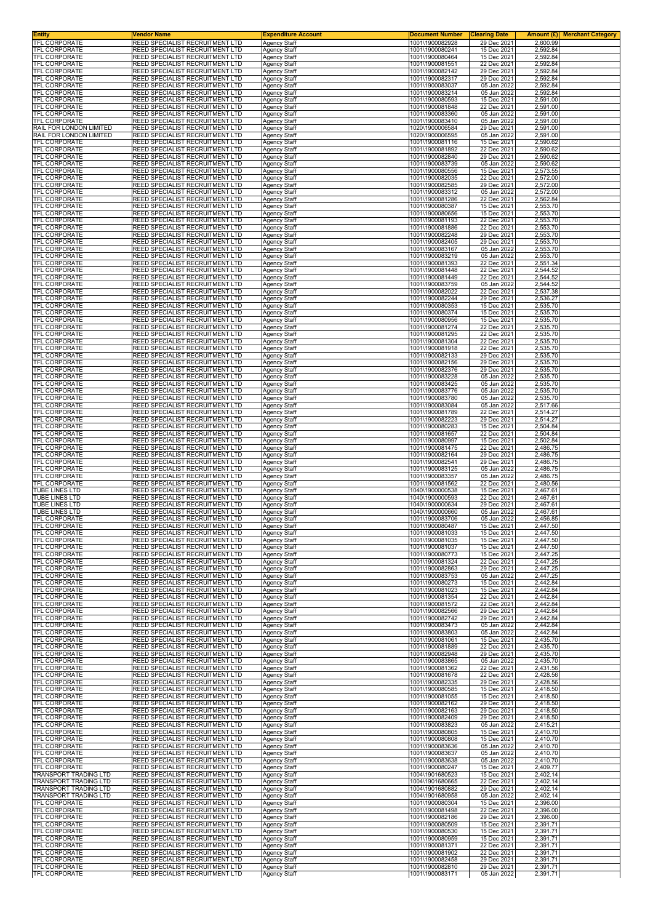| <b>Entity</b><br>TFL CORPORATE                        | <b>Vendor Name</b><br>REED SPECIALIST RECRUITMENT LTD              | <b>Expenditure Account</b>                 | <b>Document Number</b>             | <b>Clearing Date</b>       | <b>Amount (£) Merchant Category</b> |
|-------------------------------------------------------|--------------------------------------------------------------------|--------------------------------------------|------------------------------------|----------------------------|-------------------------------------|
| <b>TFL CORPORATE</b>                                  | REED SPECIALIST RECRUITMENT LTD                                    | Agency Staff<br><b>Agency Staff</b>        | 1001\1900082928<br>1001\1900080241 | 29 Dec 2021<br>15 Dec 2021 | 2,600.99<br>2,592.84                |
| <b>TFL CORPORATE</b>                                  | REED SPECIALIST RECRUITMENT LTD                                    | <b>Agency Staff</b>                        | 1001\1900080464                    | 15 Dec 2021                | 2,592.84                            |
| <b>TFL CORPORATE</b><br>TFL CORPORATE                 | REED SPECIALIST RECRUITMENT LTD<br>REED SPECIALIST RECRUITMENT LTD | <b>Agency Staff</b><br>Agency Staff        | 1001\1900081551<br>1001\1900082142 | 22 Dec 2021<br>29 Dec 2021 | 2,592.84<br>2,592.84                |
| TFL CORPORATE                                         | REED SPECIALIST RECRUITMENT LTD                                    | <b>Agency Staff</b>                        | 1001\1900082317                    | 29 Dec 2021                | 2,592.84                            |
| TFL CORPORATE<br><b>TFL CORPORATE</b>                 | REED SPECIALIST RECRUITMENT LTD<br>REED SPECIALIST RECRUITMENT LTD | <b>Agency Staff</b>                        | 1001\1900083037<br>1001\1900083214 | 05 Jan 2022<br>05 Jan 2022 | 2,592.84<br>2,592.84                |
| TFL CORPORATE                                         | REED SPECIALIST RECRUITMENT LTD                                    | <b>Agency Staff</b><br><b>Agency Staff</b> | 1001\1900080593                    | 15 Dec 2021                | 2,591.00                            |
| TFL CORPORATE                                         | REED SPECIALIST RECRUITMENT LTD                                    | Agency Staff                               | 1001\1900081848                    | 22 Dec 2021                | 2,591.00                            |
| TFL CORPORATE<br>TFL CORPORATE                        | REED SPECIALIST RECRUITMENT LTD<br>REED SPECIALIST RECRUITMENT LTD | <b>Agency Staff</b><br><b>Agency Staff</b> | 1001\1900083360<br>1001\1900083410 | 05 Jan 2022<br>05 Jan 2022 | 2,591.00<br>2,591.00                |
| RAIL FOR LONDON LIMITED                               | REED SPECIALIST RECRUITMENT LTD                                    | Agency Staff                               | 1020\1900006584                    | 29 Dec 2021                | 2,591.00                            |
| RAIL FOR LONDON LIMITED<br>TFL CORPORATE              | REED SPECIALIST RECRUITMENT LTD<br>REED SPECIALIST RECRUITMENT LTD | <b>Agency Staff</b>                        | 1020\1900006595<br>1001\1900081116 | 05 Jan 2022<br>15 Dec 2021 | 2,591.00<br>2,590.62                |
| TFL CORPORATE                                         | REED SPECIALIST RECRUITMENT LTD                                    | <b>Agency Staff</b><br>Agency Staff        | 1001\1900081892                    | 22 Dec 2021                | 2,590.62                            |
| TFL CORPORATE                                         | REED SPECIALIST RECRUITMENT LTD                                    | Agency Staff                               | 1001\1900082840                    | 29 Dec 2021                | 2,590.62                            |
| TFL CORPORATE<br>TFL CORPORATE                        | REED SPECIALIST RECRUITMENT LTD<br>REED SPECIALIST RECRUITMENT LTD | <b>Agency Staff</b><br><b>Agency Staff</b> | 1001\1900083739<br>1001\1900080556 | 05 Jan 2022<br>15 Dec 2021 | 2,590.62<br>2,573.55                |
| TFL CORPORATE                                         | REED SPECIALIST RECRUITMENT LTD                                    | <b>Agency Staff</b>                        | 1001\1900082035                    | 22 Dec 2021                | 2,572.00                            |
| TFL CORPORATE<br>TFL CORPORATE                        | REED SPECIALIST RECRUITMENT LTD<br>REED SPECIALIST RECRUITMENT LTD | <b>Agency Staff</b><br><b>Agency Staff</b> | 1001\1900082585<br>1001\1900083312 | 29 Dec 2021<br>05 Jan 2022 | 2,572.00<br>2,572.00                |
| TFL CORPORATE                                         | REED SPECIALIST RECRUITMENT LTD                                    | <b>Agency Staff</b>                        | 1001\1900081286                    | 22 Dec 2021                | 2,562.84                            |
| TFL CORPORATE<br>TFL CORPORATE                        | REED SPECIALIST RECRUITMENT LTD<br>REED SPECIALIST RECRUITMENT LTD | <b>Agency Staff</b><br><b>Agency Staff</b> | 1001\1900080387<br>1001\1900080656 | 15 Dec 2021<br>15 Dec 2021 | 2,553.70<br>2,553.70                |
| TFL CORPORATE                                         | REED SPECIALIST RECRUITMENT LTD                                    | <b>Agency Staff</b>                        | 1001\1900081193                    | 22 Dec 2021                | 2,553.70                            |
| TFL CORPORATE<br><b>TFL CORPORATE</b>                 | REED SPECIALIST RECRUITMENT LTD<br>REED SPECIALIST RECRUITMENT LTD | <b>Agency Staff</b>                        | 1001\1900081886<br>1001\1900082248 | 22 Dec 2021<br>29 Dec 2021 | 2,553.70                            |
| TFL CORPORATE                                         | REED SPECIALIST RECRUITMENT LTD                                    | <b>Agency Staff</b><br><b>Agency Staff</b> | 1001\1900082405                    | 29 Dec 2021                | 2,553.70<br>2,553.70                |
| TFL CORPORATE                                         | REED SPECIALIST RECRUITMENT LTD                                    | <b>Agency Staff</b>                        | 1001\1900083167                    | 05 Jan 2022                | 2,553.70                            |
| TFL CORPORATE<br><b>TFL CORPORATE</b>                 | REED SPECIALIST RECRUITMENT LTD<br>REED SPECIALIST RECRUITMENT LTD | <b>Agency Staff</b><br><b>Agency Staff</b> | 1001\1900083219<br>1001\1900081393 | 05 Jan 2022<br>22 Dec 2021 | 2,553.70<br>2,551.34                |
| TFL CORPORATE                                         | REED SPECIALIST RECRUITMENT LTD                                    | <b>Agency Staff</b>                        | 1001\1900081448                    | 22 Dec 2021                | 2,544.52                            |
| TFL CORPORATE<br>TFL CORPORATE                        | REED SPECIALIST RECRUITMENT LTD<br>REED SPECIALIST RECRUITMENT LTD | <b>Agency Staff</b><br>Agency Staff        | 1001\1900081449<br>1001\1900083759 | 22 Dec 2021<br>05 Jan 2022 | 2,544.52<br>2,544.52                |
| <b>TFL CORPORATE</b>                                  | REED SPECIALIST RECRUITMENT LTD                                    | <b>Agency Staff</b>                        | 1001\1900082022                    | 22 Dec 2021                | 2,537.38                            |
| <b>TFL CORPORATE</b>                                  | REED SPECIALIST RECRUITMENT LTD                                    | <b>Agency Staff</b>                        | 1001\1900082244                    | 29 Dec 2021                | 2,536.27                            |
| TFL CORPORATE<br>TFL CORPORATE                        | REED SPECIALIST RECRUITMENT LTD<br>REED SPECIALIST RECRUITMENT LTD | <b>Agency Staff</b><br><b>Agency Staff</b> | 1001\1900080353<br>1001\1900080374 | 15 Dec 2021<br>15 Dec 2021 | 2,535.70<br>2,535.70                |
| <b>TFL CORPORATE</b>                                  | REED SPECIALIST RECRUITMENT LTD                                    | <b>Agency Staff</b>                        | 1001\1900080956                    | 15 Dec 2021                | 2,535.70                            |
| TFL CORPORATE<br><b>TFL CORPORATE</b>                 | REED SPECIALIST RECRUITMENT LTD<br>REED SPECIALIST RECRUITMENT LTD | Agency Staff                               | 1001\1900081274<br>1001\1900081295 | 22 Dec 2021<br>22 Dec 2021 | 2,535.70<br>2,535.70                |
| <b>TFL CORPORATE</b>                                  | REED SPECIALIST RECRUITMENT LTD                                    | Agency Staff<br><b>Agency Staff</b>        | 1001\1900081304                    | 22 Dec 2021                | 2,535.70                            |
| TFL CORPORATE                                         | REED SPECIALIST RECRUITMENT LTD                                    | <b>Agency Staff</b>                        | 1001\1900081918                    | 22 Dec 2021                | 2,535.70                            |
| TFL CORPORATE<br>TFL CORPORATE                        | REED SPECIALIST RECRUITMENT LTD<br>REED SPECIALIST RECRUITMENT LTD | <b>Agency Staff</b><br><b>Agency Staff</b> | 1001\1900082133<br>1001\1900082156 | 29 Dec 2021<br>29 Dec 2021 | 2,535.70<br>2,535.70                |
| TFL CORPORATE                                         | REED SPECIALIST RECRUITMENT LTD                                    | Agency Staff                               | 1001\1900082376                    | 29 Dec 2021                | 2,535.70                            |
| <b>TFL CORPORATE</b><br>TFL CORPORATE                 | REED SPECIALIST RECRUITMENT LTD<br>REED SPECIALIST RECRUITMENT LTD | <b>Agency Staff</b><br><b>Agency Staff</b> | 1001\1900083228<br>1001\1900083425 | 05 Jan 2022<br>05 Jan 2022 | 2,535.70<br>2,535.70                |
| TFL CORPORATE                                         | REED SPECIALIST RECRUITMENT LTD                                    | Agency Staff                               | 1001\1900083776                    | 05 Jan 2022                | 2,535.70                            |
| TFL CORPORATE                                         | REED SPECIALIST RECRUITMENT LTD                                    | <b>Agency Staff</b>                        | 1001\1900083780                    | 05 Jan 2022                | 2,535.70                            |
| TFL CORPORATE<br>TFL CORPORATE                        | REED SPECIALIST RECRUITMENT LTD<br>REED SPECIALIST RECRUITMENT LTD | <b>Agency Staff</b><br><b>Agency Staff</b> | 1001\1900083084<br>1001\1900081789 | 05 Jan 2022<br>22 Dec 2021 | 2,517.66<br>2,514.27                |
| TFL CORPORATE                                         | REED SPECIALIST RECRUITMENT LTD                                    | <b>Agency Staff</b>                        | 1001\1900082223                    | 29 Dec 2021                | 2,514.27                            |
| TFL CORPORATE<br>TFL CORPORATE                        | REED SPECIALIST RECRUITMENT LTD<br>REED SPECIALIST RECRUITMENT LTD | <b>Agency Staff</b><br><b>Agency Staff</b> | 1001\1900080283<br>1001\1900081657 | 15 Dec 2021<br>22 Dec 2021 | 2,504.84<br>2,504.84                |
| TFL CORPORATE                                         | REED SPECIALIST RECRUITMENT LTD                                    | <b>Agency Staff</b>                        | 1001\1900080997                    | 15 Dec 2021                | 2,502.84                            |
| TFL CORPORATE<br>TFL CORPORATE                        | REED SPECIALIST RECRUITMENT LTD<br>REED SPECIALIST RECRUITMENT LTD | <b>Agency Staff</b>                        | 1001\1900081475<br>1001\1900082164 | 22 Dec 2021<br>29 Dec 2021 | 2,486.75                            |
| TFL CORPORATE                                         | REED SPECIALIST RECRUITMENT LTD                                    | <b>Agency Staff</b><br><b>Agency Staff</b> | 1001\1900082541                    | 29 Dec 2021                | 2,486.75<br>2,486.75                |
| TFL CORPORATE                                         | REED SPECIALIST RECRUITMENT LTD                                    | Agency Staff                               | 1001\1900083125                    | 05 Jan 2022                | 2,486.75                            |
| TFL CORPORATE<br>TFL CORPORATE                        | REED SPECIALIST RECRUITMENT LTD<br>REED SPECIALIST RECRUITMENT LTD | <b>Agency Staff</b><br><b>Agency Staff</b> | 1001\1900083357<br>1001\1900081562 | 05 Jan 2022<br>22 Dec 2021 | 2,486.75<br>2,480.56                |
| TUBE LINES LTD                                        | REED SPECIALIST RECRUITMENT LTD                                    | <b>Agency Staff</b>                        | 1040\1900000538                    | 15 Dec 2021                | 2,467.61                            |
| TUBE LINES LTD<br>TUBE LINES LTD                      | REED SPECIALIST RECRUITMENT LTD<br>REED SPECIALIST RECRUITMENT LTD | <b>Agency Staff</b><br>Agency Staff        | 1040\1900000593<br>1040\1900000634 | 22 Dec 2021<br>29 Dec 2021 | 2,467.61<br>2,467.61                |
| TUBE LINES LTD                                        | REED SPECIALIST RECRUITMENT LTD                                    | <b>Agency Staff</b>                        | 1040\1900000660                    | 05 Jan 2022                | 2,467.61                            |
| TFL CORPORATE                                         | REED SPECIALIST RECRUITMENT LTD<br>REED SPECIALIST RECRUITMENT LTD | <b>Agency Staff</b>                        | 1001\1900083706                    | 05 Jan 2022                | 2,456.85<br>2.447.50                |
| <b>IFL CORPORATE</b><br><b>TFL CORPORATE</b>          | REED SPECIALIST RECRUITMENT LTD                                    | Agency Staff<br><b>Agency Staff</b>        | 1001\1900080487<br>1001\1900081033 | 15 Dec 2021<br>15 Dec 2021 | 2,447.50                            |
| <b>TFL CORPORATE</b>                                  | REED SPECIALIST RECRUITMENT LTD                                    | <b>Agency Staff</b>                        | 1001\1900081035                    | 15 Dec 2021                | 2,447.50                            |
| TFL CORPORATE<br>TFL CORPORATE                        | REED SPECIALIST RECRUITMENT LTD<br>REED SPECIALIST RECRUITMENT LTD | Agency Staff<br><b>Agency Staff</b>        | 1001\1900081037<br>1001\1900080773 | 15 Dec 2021<br>15 Dec 2021 | 2,447.50<br>2,447.25                |
| TFL CORPORATE                                         | REED SPECIALIST RECRUITMENT LTD                                    | <b>Agency Staff</b>                        | 1001\1900081324                    | 22 Dec 2021                | 2,447.25                            |
| TFL CORPORATE                                         | REED SPECIALIST RECRUITMENT LTD                                    | Agency Staff                               | 1001\1900082863<br>1001\1900083753 | 29 Dec 2021<br>05 Jan 2022 | 2,447.25<br>2,447.25                |
| TFL CORPORATE<br>TFL CORPORATE                        | REED SPECIALIST RECRUITMENT LTD<br>REED SPECIALIST RECRUITMENT LTD | <b>Agency Staff</b><br><b>Agency Staff</b> | 1001\1900080273                    | 15 Dec 2021                | 2,442.84                            |
| TFL CORPORATE                                         | REED SPECIALIST RECRUITMENT LTD                                    | <b>Agency Staff</b>                        | 1001\1900081023                    | 15 Dec 2021                | 2,442.84                            |
| <b>TFL CORPORATE</b><br><b>TFL CORPORATE</b>          | REED SPECIALIST RECRUITMENT LTD<br>REED SPECIALIST RECRUITMENT LTD | <b>Agency Staff</b><br>Agency Staff        | 1001\1900081354<br>1001\1900081572 | 22 Dec 2021<br>22 Dec 2021 | 2,442.84<br>2,442.84                |
| TFL CORPORATE                                         | REED SPECIALIST RECRUITMENT LTD                                    | <b>Agency Staff</b>                        | 1001\1900082566                    | 29 Dec 2021                | 2,442.84                            |
| <b>TFL CORPORATE</b><br>TFL CORPORATE                 | REED SPECIALIST RECRUITMENT LTD<br>REED SPECIALIST RECRUITMENT LTD | <b>Agency Staff</b><br><b>Agency Staff</b> | 1001\1900082742<br>1001\1900083473 | 29 Dec 2021<br>05 Jan 2022 | 2,442.84<br>2,442.84                |
| TFL CORPORATE                                         | REED SPECIALIST RECRUITMENT LTD                                    | <b>Agency Staff</b>                        | 1001\1900083803                    | 05 Jan 2022                | 2,442.84                            |
| TFL CORPORATE<br><b>TFL CORPORATE</b>                 | REED SPECIALIST RECRUITMENT LTD<br>REED SPECIALIST RECRUITMENT LTD | Agency Staff<br><b>Agency Staff</b>        | 1001\1900081061<br>1001\1900081889 | 15 Dec 2021<br>22 Dec 2021 | 2,435.70<br>2,435.70                |
| TFL CORPORATE                                         | REED SPECIALIST RECRUITMENT LTD                                    | Agency Staff                               | 1001\1900082948                    | 29 Dec 2021                | 2,435.70                            |
| <b>TFL CORPORATE</b><br>TFL CORPORATE                 | REED SPECIALIST RECRUITMENT LTD<br>REED SPECIALIST RECRUITMENT LTD | <b>Agency Staff</b><br><b>Agency Staff</b> | 1001\1900083865<br>1001\1900081362 | 05 Jan 2022<br>22 Dec 2021 | 2,435.70<br>2,431.56                |
| TFL CORPORATE                                         | REED SPECIALIST RECRUITMENT LTD                                    | <b>Agency Staff</b>                        | 1001\1900081678                    | 22 Dec 2021                | 2,428.56                            |
| TFL CORPORATE                                         | REED SPECIALIST RECRUITMENT LTD                                    | Agency Staff                               | 1001\1900082335                    | 29 Dec 2021                | 2,428.56                            |
| <b>TFL CORPORATE</b><br>TFL CORPORATE                 | REED SPECIALIST RECRUITMENT LTD<br>REED SPECIALIST RECRUITMENT LTD | <b>Agency Staff</b><br><b>Agency Staff</b> | 1001\1900080585<br>1001\1900081055 | 15 Dec 2021<br>15 Dec 2021 | 2,418.50<br>2,418.50                |
| TFL CORPORATE                                         | REED SPECIALIST RECRUITMENT LTD                                    | <b>Agency Staff</b>                        | 1001\1900082162                    | 29 Dec 2021                | 2,418.50                            |
| TFL CORPORATE<br>TFL CORPORATE                        | REED SPECIALIST RECRUITMENT LTD<br>REED SPECIALIST RECRUITMENT LTD | <b>Agency Staff</b><br><b>Agency Staff</b> | 1001\1900082163<br>1001\1900082409 | 29 Dec 2021<br>29 Dec 2021 | 2,418.50<br>2,418.50                |
| TFL CORPORATE                                         | REED SPECIALIST RECRUITMENT LTD                                    | Agency Staff                               | 1001\1900083823                    | 05 Jan 2022                | 2,415.21                            |
| <b>TFL CORPORATE</b>                                  | REED SPECIALIST RECRUITMENT LTD                                    | <b>Agency Staff</b>                        | 1001\1900080805                    | 15 Dec 2021                | 2,410.70<br>2,410.70                |
| TFL CORPORATE<br>TFL CORPORATE                        | REED SPECIALIST RECRUITMENT LTD<br>REED SPECIALIST RECRUITMENT LTD | <b>Agency Staff</b><br><b>Agency Staff</b> | 1001\1900080808<br>1001\1900083636 | 15 Dec 2021<br>05 Jan 2022 | 2,410.70                            |
| TFL CORPORATE                                         | REED SPECIALIST RECRUITMENT LTD                                    | <b>Agency Staff</b>                        | 1001\1900083637                    | 05 Jan 2022                | 2,410.70                            |
| TFL CORPORATE<br>TFL CORPORATE                        | REED SPECIALIST RECRUITMENT LTD<br>REED SPECIALIST RECRUITMENT LTD | <b>Agency Staff</b><br>Agency Staff        | 1001\1900083638<br>1001\1900080247 | 05 Jan 2022<br>15 Dec 2021 | 2,410.70<br>2,409.77                |
| TRANSPORT TRADING LTD                                 | REED SPECIALIST RECRUITMENT LTD                                    | <b>Agency Staff</b>                        | 1004\1901680523                    | 15 Dec 2021                | 2,402.14                            |
| <b>TRANSPORT TRADING LTD</b><br>TRANSPORT TRADING LTD | REED SPECIALIST RECRUITMENT LTD<br>REED SPECIALIST RECRUITMENT LTD | Agency Staff<br><b>Agency Staff</b>        | 1004\1901680665<br>1004\1901680882 | 22 Dec 2021<br>29 Dec 2021 | 2,402.14<br>2,402.14                |
| TRANSPORT TRADING LTD                                 | REED SPECIALIST RECRUITMENT LTD                                    | <b>Agency Staff</b>                        | 1004\1901680958                    | 05 Jan 2022                | 2,402.14                            |
| TFL CORPORATE                                         | REED SPECIALIST RECRUITMENT LTD                                    | <b>Agency Staff</b>                        | 1001\1900080304                    | 15 Dec 2021                | 2,396.00                            |
| TFL CORPORATE<br>TFL CORPORATE                        | REED SPECIALIST RECRUITMENT LTD<br>REED SPECIALIST RECRUITMENT LTD | <b>Agency Staff</b><br><b>Agency Staff</b> | 1001\1900081498<br>1001\1900082186 | 22 Dec 2021<br>29 Dec 2021 | 2,396.00<br>2,396.00                |
| TFL CORPORATE                                         | REED SPECIALIST RECRUITMENT LTD                                    | <b>Agency Staff</b>                        | 1001\1900080509                    | 15 Dec 2021                | 2,391.71                            |
| TFL CORPORATE<br>TFL CORPORATE                        | REED SPECIALIST RECRUITMENT LTD<br>REED SPECIALIST RECRUITMENT LTD | <b>Agency Staff</b><br><b>Agency Staff</b> | 1001\1900080530<br>1001\1900080959 | 15 Dec 2021<br>15 Dec 2021 | 2,391.71<br>2,391.71                |
| TFL CORPORATE                                         | REED SPECIALIST RECRUITMENT LTD                                    | <b>Agency Staff</b>                        | 1001\1900081371                    | 22 Dec 2021                | 2,391.71                            |
| TFL CORPORATE<br><b>TFL CORPORATE</b>                 | REED SPECIALIST RECRUITMENT LTD<br>REED SPECIALIST RECRUITMENT LTD | Agency Staff                               | 1001\1900081902<br>1001\1900082458 | 22 Dec 2021<br>29 Dec 2021 | 2,391.71<br>2,391.71                |
| <b>TFL CORPORATE</b>                                  | REED SPECIALIST RECRUITMENT LTD                                    | Agency Staff<br>Agency Staff               | 1001\1900082810                    | 29 Dec 2021                | 2,391.71                            |
| TFL CORPORATE                                         | REED SPECIALIST RECRUITMENT LTD                                    | Agency Staff                               | 1001\1900083171                    | 05 Jan 2022                | 2,391.71                            |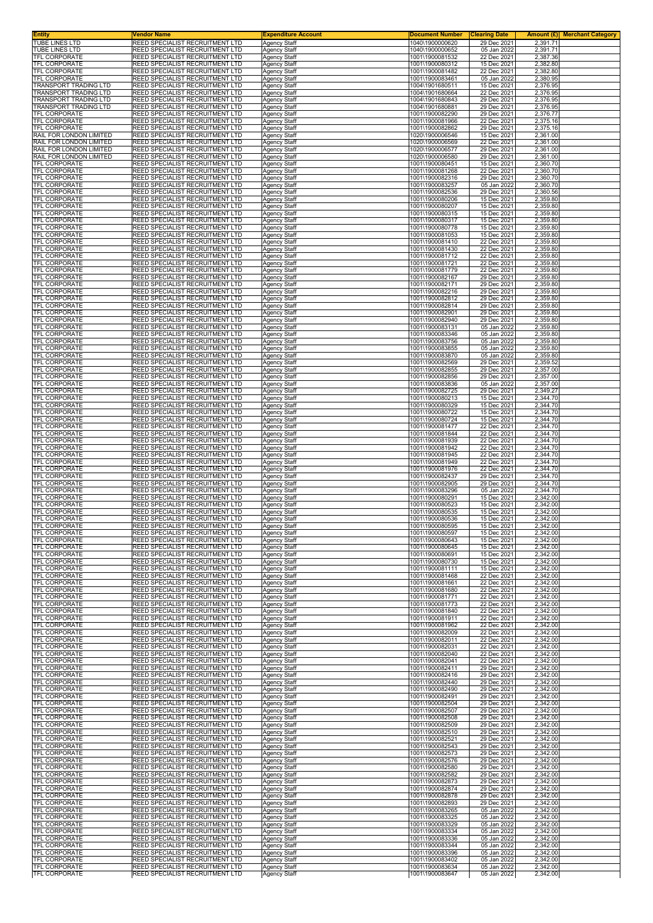| <b>Entity</b><br><b>TUBE LINES LTD</b>                | Vendor Name<br>REED SPECIALIST RECRUITMENT LTD                     | <b>Expenditure Account</b>                 | <b>Document Number</b><br>1040\1900000620 | <b>Clearing Date</b><br>29 Dec 2021 | <b>Amount (£) Merchant Category</b><br>2,391.71 |
|-------------------------------------------------------|--------------------------------------------------------------------|--------------------------------------------|-------------------------------------------|-------------------------------------|-------------------------------------------------|
| TUBE LINES LTD                                        | REED SPECIALIST RECRUITMENT LTD                                    | <b>Agency Staff</b><br>Agency Staff        | 1040\1900000652                           | 05 Jan 2022                         | 2,391.71                                        |
| TFL CORPORATE                                         | REED SPECIALIST RECRUITMENT LTD                                    | Agency Staff                               | 1001\1900081532                           | 22 Dec 2021                         | 2,387.36                                        |
| TFL CORPORATE<br>TFL CORPORATE                        | REED SPECIALIST RECRUITMENT LTD<br>REED SPECIALIST RECRUITMENT LTD | Agency Staff<br>Agency Staff               | 1001\1900080312<br>1001\1900081482        | 15 Dec 2021<br>22 Dec 2021          | 2,382.80<br>2,382.80                            |
| TFL CORPORATE                                         | REED SPECIALIST RECRUITMENT LTD                                    | Agency Staff                               | 1001\1900083461                           | 05 Jan 2022                         | 2,380.95                                        |
| <b>TRANSPORT TRADING LTD</b><br>TRANSPORT TRADING LTD | REED SPECIALIST RECRUITMENT LTD<br>REED SPECIALIST RECRUITMENT LTD | Agency Staff<br>Agency Staff               | 1004\1901680511<br>1004\1901680664        | 15 Dec 2021<br>22 Dec 2021          | 2,376.95<br>2,376.95                            |
| TRANSPORT TRADING LTD                                 | REED SPECIALIST RECRUITMENT LTD                                    | Agency Staff                               | 1004\1901680843                           | 29 Dec 2021                         | 2,376.95                                        |
| TRANSPORT TRADING LTD                                 | REED SPECIALIST RECRUITMENT LTD                                    | Agency Staff                               | 1004\1901680881                           | 29 Dec 2021                         | 2,376.95                                        |
| TFL CORPORATE<br>TFL CORPORATE                        | REED SPECIALIST RECRUITMENT LTD<br>REED SPECIALIST RECRUITMENT LTD | Agency Staff<br>Agency Staff               | 1001\1900082290<br>1001\1900081966        | 29 Dec 2021<br>22 Dec 2021          | 2,376.77<br>2,375.16                            |
| TFL CORPORATE                                         | REED SPECIALIST RECRUITMENT LTD                                    | Agency Staff                               | 1001\1900082862                           | 29 Dec 2021                         | 2,375.16                                        |
| RAIL FOR LONDON LIMITED<br>RAIL FOR LONDON LIMITED    | REED SPECIALIST RECRUITMENT LTD<br>REED SPECIALIST RECRUITMENT LTD | <b>Agency Staff</b><br>Agency Staff        | 1020\1900006546<br>1020\1900006569        | 15 Dec 2021<br>22 Dec 2021          | 2,361.00<br>2,361.00                            |
| RAIL FOR LONDON LIMITED                               | REED SPECIALIST RECRUITMENT LTD                                    | Agency Staff                               | 1020\1900006577                           | 29 Dec 2021                         | 2,361.00                                        |
| RAIL FOR LONDON LIMITED<br>TFL CORPORATE              | REED SPECIALIST RECRUITMENT LTD<br>REED SPECIALIST RECRUITMENT LTD | <b>Agency Staff</b>                        | 1020\1900006580<br>1001\1900080451        | 29 Dec 2021<br>15 Dec 2021          | 2,361.00<br>2,360.70                            |
| TFL CORPORATE                                         | REED SPECIALIST RECRUITMENT LTD                                    | Agency Staff<br>Agency Staff               | 1001\1900081268                           | 22 Dec 2021                         | 2,360.70                                        |
| TFL CORPORATE                                         | REED SPECIALIST RECRUITMENT LTD                                    | Agency Staff                               | 1001\1900082316                           | 29 Dec 2021                         | 2,360.70                                        |
| TFL CORPORATE<br><b>TFL CORPORATE</b>                 | REED SPECIALIST RECRUITMENT LTD<br>REED SPECIALIST RECRUITMENT LTD | <b>Agency Staff</b><br><b>Agency Staff</b> | 1001\1900083257<br>1001\1900082536        | 05 Jan 2022<br>29 Dec 2021          | 2,360.70<br>2,360.56                            |
| TFL CORPORATE                                         | REED SPECIALIST RECRUITMENT LTD                                    | Agency Staff                               | 1001\1900080206                           | 15 Dec 2021                         | 2,359.80                                        |
| <b>TFL CORPORATE</b><br><b>TFL CORPORATE</b>          | REED SPECIALIST RECRUITMENT LTD<br>REED SPECIALIST RECRUITMENT LTD | Agency Staff<br>Agency Staff               | 1001\1900080207<br>1001\1900080315        | 15 Dec 2021<br>15 Dec 2021          | 2,359.80<br>2,359.80                            |
| <b>TFL CORPORATE</b>                                  | REED SPECIALIST RECRUITMENT LTD                                    | <b>Agency Staff</b>                        | 1001\1900080317                           | 15 Dec 2021                         | 2,359.80                                        |
| TFL CORPORATE<br>TFL CORPORATE                        | REED SPECIALIST RECRUITMENT LTD<br>REED SPECIALIST RECRUITMENT LTD | Agency Staff<br>Agency Staff               | 1001\1900080778<br>1001\1900081053        | 15 Dec 2021<br>15 Dec 2021          | 2,359.80<br>2,359.80                            |
| TFL CORPORATE                                         | REED SPECIALIST RECRUITMENT LTD                                    | <b>Agency Staff</b>                        | 1001\1900081410                           | 22 Dec 2021                         | 2,359.80                                        |
| TFL CORPORATE<br>TFL CORPORATE                        | REED SPECIALIST RECRUITMENT LTD<br>REED SPECIALIST RECRUITMENT LTD | Agency Staff<br>Agency Staff               | 1001\1900081430<br>1001\1900081712        | 22 Dec 2021<br>22 Dec 2021          | 2,359.80<br>2,359.80                            |
| TFL CORPORATE                                         | REED SPECIALIST RECRUITMENT LTD                                    | Agency Staff                               | 1001\1900081721                           | 22 Dec 2021                         | 2,359.80                                        |
| TFL CORPORATE                                         | REED SPECIALIST RECRUITMENT LTD                                    | <b>Agency Staff</b>                        | 1001\1900081779                           | 22 Dec 2021                         | 2,359.80                                        |
| TFL CORPORATE<br>TFL CORPORATE                        | REED SPECIALIST RECRUITMENT LTD<br>REED SPECIALIST RECRUITMENT LTD | Agency Staff<br>Agency Staff               | 1001\1900082167<br>1001\1900082171        | 29 Dec 2021<br>29 Dec 2021          | 2,359.80<br>2,359.80                            |
| TFL CORPORATE                                         | REED SPECIALIST RECRUITMENT LTD                                    | <b>Agency Staff</b>                        | 1001\1900082216                           | 29 Dec 2021                         | 2,359.80                                        |
| TFL CORPORATE<br>TFL CORPORATE                        | REED SPECIALIST RECRUITMENT LTD<br>REED SPECIALIST RECRUITMENT LTD | Agency Staff<br>Agency Staff               | 1001\1900082812<br>1001\1900082814        | 29 Dec 2021<br>29 Dec 2021          | 2,359.80<br>2,359.80                            |
| TFL CORPORATE                                         | REED SPECIALIST RECRUITMENT LTD                                    | <b>Agency Staff</b>                        | 1001\1900082901                           | 29 Dec 2021                         | 2,359.80                                        |
| <b>TFL CORPORATE</b><br>TFL CORPORATE                 | REED SPECIALIST RECRUITMENT LTD<br>REED SPECIALIST RECRUITMENT LTD | Agency Staff<br>Agency Staff               | 1001\1900082940<br>1001\1900083131        | 29 Dec 2021<br>05 Jan 2022          | 2,359.80<br>2,359.80                            |
| <b>TFL CORPORATE</b>                                  | REED SPECIALIST RECRUITMENT LTD                                    | Agency Staff                               | 1001\1900083346                           | 05 Jan 2022                         | 2,359.80                                        |
| TFL CORPORATE                                         | REED SPECIALIST RECRUITMENT LTD                                    | Agency Staff                               | 1001\1900083756                           | 05 Jan 2022                         | 2,359.80                                        |
| TFL CORPORATE<br>TFL CORPORATE                        | REED SPECIALIST RECRUITMENT LTD<br>REED SPECIALIST RECRUITMENT LTD | Agency Staff<br>Agency Staff               | 1001\1900083855<br>1001\1900083870        | 05 Jan 2022<br>05 Jan 2022          | 2,359.80<br>2,359.80                            |
| TFL CORPORATE                                         | REED SPECIALIST RECRUITMENT LTD                                    | Agency Staff                               | 1001\1900082569                           | 29 Dec 2021                         | 2,359.52                                        |
| TFL CORPORATE<br><b>TFL CORPORATE</b>                 | REED SPECIALIST RECRUITMENT LTD<br>REED SPECIALIST RECRUITMENT LTD | Agency Staff<br>Agency Staff               | 1001\1900082855<br>1001\1900082856        | 29 Dec 2021<br>29 Dec 2021          | 2,357.00<br>2,357.00                            |
| <b>TFL CORPORATE</b>                                  | REED SPECIALIST RECRUITMENT LTD                                    | Agency Staff                               | 1001\1900083836                           | 05 Jan 2022                         | 2,357.00                                        |
| TFL CORPORATE<br>TFL CORPORATE                        | REED SPECIALIST RECRUITMENT LTD<br>REED SPECIALIST RECRUITMENT LTD | Agency Staff<br><b>Agency Staff</b>        | 1001\1900082725<br>1001\1900080213        | 29 Dec 2021<br>15 Dec 2021          | 2,349.27<br>2,344.70                            |
| TFL CORPORATE                                         | REED SPECIALIST RECRUITMENT LTD                                    | Agency Staff                               | 1001\1900080329                           | 15 Dec 2021                         | 2,344.70                                        |
| TFL CORPORATE                                         | REED SPECIALIST RECRUITMENT LTD                                    | Agency Staff                               | 1001\1900080722                           | 15 Dec 2021                         | 2,344.70                                        |
| TFL CORPORATE<br>TFL CORPORATE                        | REED SPECIALIST RECRUITMENT LTD<br>REED SPECIALIST RECRUITMENT LTD | Agency Staff<br>Agency Staff               | 1001\1900080724<br>1001\1900081477        | 15 Dec 2021<br>22 Dec 2021          | 2,344.70<br>2,344.70                            |
| TFL CORPORATE                                         | REED SPECIALIST RECRUITMENT LTD                                    | Agency Staff                               | 1001\1900081844                           | 22 Dec 2021                         | 2,344.70                                        |
| <b>TFL CORPORATE</b><br>TFL CORPORATE                 | REED SPECIALIST RECRUITMENT LTD<br>REED SPECIALIST RECRUITMENT LTD | <b>Agency Staff</b><br>Agency Staff        | 1001\1900081939<br>1001\1900081942        | 22 Dec 2021<br>22 Dec 2021          | 2,344.70<br>2,344.70                            |
| TFL CORPORATE                                         | REED SPECIALIST RECRUITMENT LTD                                    | Agency Staff                               | 1001\1900081945                           | 22 Dec 2021                         | 2,344.70                                        |
| TFL CORPORATE<br>TFL CORPORATE                        | REED SPECIALIST RECRUITMENT LTD<br>REED SPECIALIST RECRUITMENT LTD | Agency Staff<br>Agency Staff               | 1001\1900081949<br>1001\1900081976        | 22 Dec 2021<br>22 Dec 2021          | 2,344.70<br>2,344.70                            |
| TFL CORPORATE                                         | REED SPECIALIST RECRUITMENT LTD                                    | Agency Staff                               | 1001\1900082437                           | 29 Dec 2021                         | 2,344.70                                        |
| TFL CORPORATE                                         | REED SPECIALIST RECRUITMENT LTD<br>REED SPECIALIST RECRUITMENT LTD | Agency Staff                               | 1001\1900082905<br>1001\1900083296        | 29 Dec 2021                         | 2,344.70                                        |
| <b>TFL CORPORATE</b><br><b>TFL CORPORATE</b>          | REED SPECIALIST RECRUITMENT LTD                                    | <b>Agency Staff</b><br>Agency Staff        | 1001\1900080291                           | 05 Jan 2022<br>15 Dec 2021          | 2,344.70<br>2,342.00                            |
| <b>TFL CORPORATE</b>                                  | REED SPECIALIST RECRUITMENT LTD                                    | Agency Staff                               | 1001\1900080523                           | 15 Dec 2021                         | 2,342.00                                        |
| TFL CORPORATE<br>TFL CORPORATE                        | REED SPECIALIST RECRUITMENT LTD<br>REED SPECIALIST RECRUITMENT LTD | Agency Staff<br><b>Agency Staff</b>        | 1001\1900080535<br>1001\1900080536        | 15 Dec 2021<br>15 Dec 2021          | 2,342.00<br>2,342.00                            |
| <b>IFL CORPORATE</b>                                  | REED SPECIALIST RECRUITMENT LTD                                    | Agency Staff                               | 1001\1900080595                           | 15 Dec 2021                         | 2,342.00                                        |
| <b>TFL CORPORATE</b><br><b>TFL CORPORATE</b>          | REED SPECIALIST RECRUITMENT LTD<br>REED SPECIALIST RECRUITMENT LTD | <b>Agency Staff</b><br>Agency Staff        | 1001\1900080597<br>1001\1900080643        | 15 Dec 2021<br>15 Dec 2021          | 2,342.00<br>2,342.00                            |
| TFL CORPORATE                                         | REED SPECIALIST RECRUITMENT LTD                                    | Agency Staff                               | 1001\1900080645                           | 15 Dec 2021                         | 2,342.00                                        |
| <b>TFL CORPORATE</b><br>TFL CORPORATE                 | REED SPECIALIST RECRUITMENT LTD<br>REED SPECIALIST RECRUITMENT LTD | <b>Agency Staff</b><br>Agency Staff        | 1001\1900080691<br>1001\1900080730        | 15 Dec 2021<br>15 Dec 2021          | 2,342.00<br>2,342.00                            |
| TFL CORPORATE                                         | REED SPECIALIST RECRUITMENT LTD                                    | Agency Staff                               | 1001\1900081111                           | 15 Dec 2021                         | 2,342.00                                        |
| TFL CORPORATE                                         | REED SPECIALIST RECRUITMENT LTD                                    | <b>Agency Staff</b>                        | 1001\1900081468<br>1001\1900081661        | 22 Dec 2021                         | 2,342.00<br>2,342.00                            |
| TFL CORPORATE<br>TFL CORPORATE                        | REED SPECIALIST RECRUITMENT LTD<br>REED SPECIALIST RECRUITMENT LTD | Agency Staff<br><b>Agency Staff</b>        | 1001\1900081680                           | 22 Dec 2021<br>22 Dec 2021          | 2,342.00                                        |
| <b>TFL CORPORATE</b>                                  | REED SPECIALIST RECRUITMENT LTD                                    | Agency Staff                               | 1001\1900081771                           | 22 Dec 2021                         | 2,342.00                                        |
| <b>TFL CORPORATE</b><br>TFL CORPORATE                 | REED SPECIALIST RECRUITMENT LTD<br>REED SPECIALIST RECRUITMENT LTD | <b>Agency Staff</b><br>Agency Staff        | 1001\1900081773<br>1001\1900081840        | 22 Dec 2021<br>22 Dec 2021          | 2,342.00<br>2,342.00                            |
| TFL CORPORATE                                         | REED SPECIALIST RECRUITMENT LTD                                    | <b>Agency Staff</b>                        | 1001\1900081911                           | 22 Dec 2021                         | 2,342.00                                        |
| <b>TFL CORPORATE</b><br>TFL CORPORATE                 | REED SPECIALIST RECRUITMENT LTD<br>REED SPECIALIST RECRUITMENT LTD | <b>Agency Staff</b><br>Agency Staff        | 1001\1900081962<br>1001\1900082009        | 22 Dec 2021<br>22 Dec 2021          | 2,342.00<br>2,342.00                            |
| <b>TFL CORPORATE</b>                                  | REED SPECIALIST RECRUITMENT LTD                                    | <b>Agency Staff</b>                        | 1001\1900082011                           | 22 Dec 2021                         | 2,342.00                                        |
| <b>TFL CORPORATE</b><br>TFL CORPORATE                 | REED SPECIALIST RECRUITMENT LTD<br>REED SPECIALIST RECRUITMENT LTD | Agency Staff<br>Agency Staff               | 1001\1900082031<br>1001\1900082040        | 22 Dec 2021<br>22 Dec 2021          | 2.342.00<br>2,342.00                            |
| TFL CORPORATE                                         | REED SPECIALIST RECRUITMENT LTD                                    | <b>Agency Staff</b>                        | 1001\1900082041                           | 22 Dec 2021                         | 2,342.00                                        |
| <b>TFL CORPORATE</b><br>TFL CORPORATE                 | REED SPECIALIST RECRUITMENT LTD<br>REED SPECIALIST RECRUITMENT LTD | <b>Agency Staff</b>                        | 1001\1900082411<br>1001\1900082416        | 29 Dec 2021<br>29 Dec 2021          | 2,342.00<br>2,342.00                            |
| TFL CORPORATE                                         | REED SPECIALIST RECRUITMENT LTD                                    | Agency Staff<br>Agency Staff               | 1001\1900082440                           | 29 Dec 2021                         | 2,342.00                                        |
| <b>TFL CORPORATE</b>                                  | REED SPECIALIST RECRUITMENT LTD                                    | <b>Agency Staff</b>                        | 1001\1900082490                           | 29 Dec 2021                         | 2,342.00                                        |
| TFL CORPORATE<br>TFL CORPORATE                        | REED SPECIALIST RECRUITMENT LTD<br>REED SPECIALIST RECRUITMENT LTD | <b>Agency Staff</b><br>Agency Staff        | 1001\1900082491<br>1001\1900082504        | 29 Dec 2021<br>29 Dec 2021          | 2,342.00<br>2,342.00                            |
| TFL CORPORATE                                         | REED SPECIALIST RECRUITMENT LTD                                    | <b>Agency Staff</b>                        | 1001\1900082507                           | 29 Dec 2021                         | 2,342.00                                        |
| TFL CORPORATE<br>TFL CORPORATE                        | REED SPECIALIST RECRUITMENT LTD<br>REED SPECIALIST RECRUITMENT LTD | Agency Staff<br>Agency Staff               | 1001\1900082508<br>1001\1900082509        | 29 Dec 2021<br>29 Dec 2021          | 2,342.00<br>2,342.00                            |
| <b>TFL CORPORATE</b>                                  | REED SPECIALIST RECRUITMENT LTD                                    | <b>Agency Staff</b>                        | 1001\1900082510                           | 29 Dec 2021                         | 2,342.00                                        |
| TFL CORPORATE<br>TFL CORPORATE                        | REED SPECIALIST RECRUITMENT LTD<br>REED SPECIALIST RECRUITMENT LTD | Agency Staff<br>Agency Staff               | 1001\1900082521<br>1001\1900082543        | 29 Dec 2021<br>29 Dec 2021          | 2,342.00<br>2,342.00                            |
| TFL CORPORATE                                         | REED SPECIALIST RECRUITMENT LTD                                    | <b>Agency Staff</b>                        | 1001\1900082573                           | 29 Dec 2021                         | 2,342.00                                        |
| TFL CORPORATE                                         | REED SPECIALIST RECRUITMENT LTD                                    | Agency Staff                               | 1001\1900082576                           | 29 Dec 2021                         | 2,342.00                                        |
| TFL CORPORATE<br><b>TFL CORPORATE</b>                 | REED SPECIALIST RECRUITMENT LTD<br>REED SPECIALIST RECRUITMENT LTD | Agency Staff<br><b>Agency Staff</b>        | 1001\1900082580<br>1001\1900082582        | 29 Dec 2021<br>29 Dec 2021          | 2,342.00<br>2,342.00                            |
| <b>TFL CORPORATE</b>                                  | REED SPECIALIST RECRUITMENT LTD                                    | Agency Staff                               | 1001\1900082873                           | 29 Dec 2021                         | 2,342.00                                        |
| TFL CORPORATE<br>TFL CORPORATE                        | REED SPECIALIST RECRUITMENT LTD<br>REED SPECIALIST RECRUITMENT LTD | Agency Staff<br><b>Agency Staff</b>        | 1001\1900082874<br>1001\1900082878        | 29 Dec 2021<br>29 Dec 2021          | 2,342.00<br>2,342.00                            |
| TFL CORPORATE                                         | REED SPECIALIST RECRUITMENT LTD                                    | Agency Staff                               | 1001\1900082893                           | 29 Dec 2021                         | 2,342.00                                        |
| TFL CORPORATE<br><b>TFL CORPORATE</b>                 | REED SPECIALIST RECRUITMENT LTD<br>REED SPECIALIST RECRUITMENT LTD | Agency Staff<br><b>Agency Staff</b>        | 1001\1900083265<br>1001\1900083325        | 05 Jan 2022<br>05 Jan 2022          | 2,342.00<br>2,342.00                            |
| TFL CORPORATE                                         | REED SPECIALIST RECRUITMENT LTD                                    | <b>Agency Staff</b>                        | 1001\1900083329                           | 05 Jan 2022                         | 2,342.00                                        |
| TFL CORPORATE                                         | REED SPECIALIST RECRUITMENT LTD                                    | Agency Staff                               | 1001\1900083334                           | 05 Jan 2022                         | 2,342.00                                        |
| TFL CORPORATE<br><b>TFL CORPORATE</b>                 | REED SPECIALIST RECRUITMENT LTD<br>REED SPECIALIST RECRUITMENT LTD | <b>Agency Staff</b><br><b>Agency Staff</b> | 1001\1900083336<br>1001\1900083344        | 05 Jan 2022<br>05 Jan 2022          | 2,342.00<br>2,342.00                            |
| TFL CORPORATE                                         | REED SPECIALIST RECRUITMENT LTD                                    | Agency Staff                               | 1001\1900083396                           | 05 Jan 2022                         | 2,342.00                                        |
| <b>TFL CORPORATE</b><br><b>TFL CORPORATE</b>          | REED SPECIALIST RECRUITMENT LTD<br>REED SPECIALIST RECRUITMENT LTD | <b>Agency Staff</b><br>Agency Staff        | 1001\1900083402<br>1001\1900083634        | 05 Jan 2022<br>05 Jan 2022          | 2,342.00<br>2,342.00                            |
| TFL CORPORATE                                         | REED SPECIALIST RECRUITMENT LTD                                    | <b>Agency Staff</b>                        | 1001\1900083647                           | 05 Jan 2022                         | 2,342.00                                        |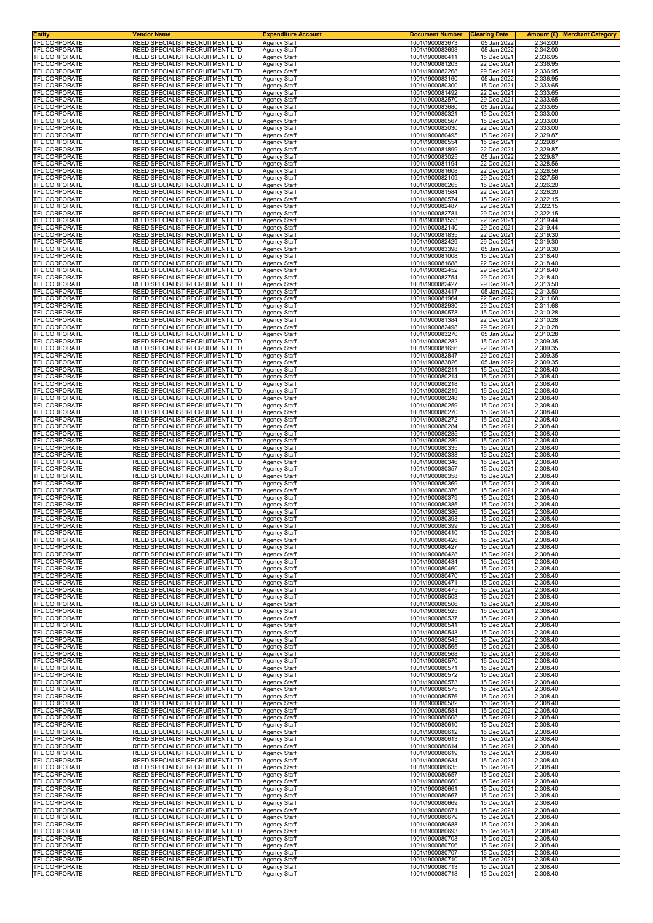| <b>Entity</b><br>TFL CORPORATE               | <b>Vendor Name</b><br>REED SPECIALIST RECRUITMENT LTD                     | <b>Expenditure Account</b>                 | <b>Document Number</b><br>1001\1900083673 | <b>Clearing Date</b>       |                      | <b>Amount (£)</b> Merchant Category |
|----------------------------------------------|---------------------------------------------------------------------------|--------------------------------------------|-------------------------------------------|----------------------------|----------------------|-------------------------------------|
| <b>TFL CORPORATE</b>                         | <b>REED SPECIALIST RECRUITMENT LTD</b>                                    | Agency Staff<br><b>Agency Staff</b>        | 1001\1900083693                           | 05 Jan 2022<br>05 Jan 2022 | 2,342.00<br>2,342.00 |                                     |
| <b>TFL CORPORATE</b><br><b>TFL CORPORATE</b> | REED SPECIALIST RECRUITMENT LTD                                           | Agency Staff                               | 1001\1900080411<br>1001\1900081203        | 15 Dec 2021                | 2,336.95             |                                     |
| TFL CORPORATE                                | REED SPECIALIST RECRUITMENT LTD<br><b>REED SPECIALIST RECRUITMENT LTD</b> | <b>Agency Staff</b><br>Agency Staff        | 1001\1900082268                           | 22 Dec 2021<br>29 Dec 2021 | 2,336.95<br>2,336.95 |                                     |
| TFL CORPORATE                                | REED SPECIALIST RECRUITMENT LTD                                           | Agency Staff                               | 1001\1900083160                           | 05 Jan 2022                | 2,336.95             |                                     |
| TFL CORPORATE<br><b>TFL CORPORATE</b>        | REED SPECIALIST RECRUITMENT LTD<br>REED SPECIALIST RECRUITMENT LTD        | <b>Agency Staff</b><br>Agency Staff        | 1001\1900080300<br>1001\1900081492        | 15 Dec 2021<br>22 Dec 2021 | 2,333.65<br>2,333.65 |                                     |
| TFL CORPORATE                                | REED SPECIALIST RECRUITMENT LTD                                           | Agency Staff                               | 1001\1900082570                           | 29 Dec 2021                | 2,333.65             |                                     |
| TFL CORPORATE<br>TFL CORPORATE               | REED SPECIALIST RECRUITMENT LTD<br>REED SPECIALIST RECRUITMENT LTD        | Agency Staff<br>Agency Staff               | 1001\1900083680<br>1001\1900080321        | 05 Jan 2022<br>15 Dec 2021 | 2,333.65<br>2,333.00 |                                     |
| TFL CORPORATE                                | REED SPECIALIST RECRUITMENT LTD                                           | Agency Staff                               | 1001\1900080567                           | 15 Dec 2021                | 2,333.00             |                                     |
| TFL CORPORATE<br>TFL CORPORATE               | REED SPECIALIST RECRUITMENT LTD<br>REED SPECIALIST RECRUITMENT LTD        | Agency Staff<br><b>Agency Staff</b>        | 1001\1900082030<br>1001\1900080495        | 22 Dec 2021<br>15 Dec 2021 | 2,333.00<br>2,329.87 |                                     |
| TFL CORPORATE                                | REED SPECIALIST RECRUITMENT LTD                                           | Agency Staff                               | 1001\1900080554<br>1001\1900081899        | 15 Dec 2021<br>22 Dec 2021 | 2,329.87<br>2,329.87 |                                     |
| TFL CORPORATE<br>TFL CORPORATE               | REED SPECIALIST RECRUITMENT LTD<br>REED SPECIALIST RECRUITMENT LTD        | Agency Staff<br>Agency Staff               | 1001\1900083025                           | 05 Jan 2022                | 2,329.87             |                                     |
| TFL CORPORATE<br>TFL CORPORATE               | REED SPECIALIST RECRUITMENT LTD<br>REED SPECIALIST RECRUITMENT LTD        | <b>Agency Staff</b>                        | 1001\1900081194<br>1001\1900081608        | 22 Dec 2021<br>22 Dec 2021 | 2,328.56<br>2,328.56 |                                     |
| TFL CORPORATE                                | REED SPECIALIST RECRUITMENT LTD                                           | Agency Staff<br><b>Agency Staff</b>        | 1001\1900082109                           | 29 Dec 2021                | 2,327.56             |                                     |
| TFL CORPORATE<br>TFL CORPORATE               | REED SPECIALIST RECRUITMENT LTD<br>REED SPECIALIST RECRUITMENT LTD        | Agency Staff<br>Agency Staff               | 1001\1900080265<br>1001\1900081584        | 15 Dec 2021<br>22 Dec 2021 | 2,326.20<br>2,326.20 |                                     |
| TFL CORPORATE                                | REED SPECIALIST RECRUITMENT LTD                                           | <b>Agency Staff</b>                        | 1001\1900080574                           | 15 Dec 2021                | 2,322.15             |                                     |
| TFL CORPORATE<br>TFL CORPORATE               | REED SPECIALIST RECRUITMENT LTD<br>REED SPECIALIST RECRUITMENT LTD        | Agency Staff<br>Agency Staff               | 1001\1900082487<br>1001\1900082781        | 29 Dec 2021<br>29 Dec 2021 | 2,322.15<br>2,322.15 |                                     |
| TFL CORPORATE                                | REED SPECIALIST RECRUITMENT LTD                                           | <b>Agency Staff</b>                        | 1001\1900081553                           | 22 Dec 2021                | 2,319.44             |                                     |
| TFL CORPORATE<br><b>TFL CORPORATE</b>        | REED SPECIALIST RECRUITMENT LTD<br>REED SPECIALIST RECRUITMENT LTD        | <b>Agency Staff</b><br>Agency Staff        | 1001\1900082140<br>1001\1900081835        | 29 Dec 2021<br>22 Dec 2021 | 2,319.44<br>2,319.30 |                                     |
| TFL CORPORATE                                | REED SPECIALIST RECRUITMENT LTD                                           | <b>Agency Staff</b>                        | 1001\1900082429                           | 29 Dec 2021                | 2,319.30             |                                     |
| TFL CORPORATE<br>TFL CORPORATE               | REED SPECIALIST RECRUITMENT LTD<br>REED SPECIALIST RECRUITMENT LTD        | Agency Staff<br>Agency Staff               | 1001\1900083398<br>1001\1900081008        | 05 Jan 2022<br>15 Dec 2021 | 2,319.30<br>2,318.40 |                                     |
| <b>TFL CORPORATE</b>                         | REED SPECIALIST RECRUITMENT LTD                                           | <b>Agency Staff</b>                        | 1001\1900081688                           | 22 Dec 2021                | 2,318.40             |                                     |
| <b>TFL CORPORATE</b><br><b>TFL CORPORATE</b> | REED SPECIALIST RECRUITMENT LTD<br>REED SPECIALIST RECRUITMENT LTD        | <b>Agency Staff</b><br>Agency Staff        | 1001\1900082452<br>1001\1900082754        | 29 Dec 2021<br>29 Dec 2021 | 2,318.40<br>2,318.40 |                                     |
| TFL CORPORATE                                | REED SPECIALIST RECRUITMENT LTD                                           | Agency Staff                               | 1001\1900082427                           | 29 Dec 2021                | 2,313.50             |                                     |
| <b>TFL CORPORATE</b><br><b>TFL CORPORATE</b> | REED SPECIALIST RECRUITMENT LTD<br>REED SPECIALIST RECRUITMENT LTD        | Agency Staff<br><b>Agency Staff</b>        | 1001\1900083417<br>1001\1900081964        | 05 Jan 2022<br>22 Dec 2021 | 2,313.50<br>2,311.68 |                                     |
| TFL CORPORATE                                | REED SPECIALIST RECRUITMENT LTD                                           | Agency Staff                               | 1001\1900082930                           | 29 Dec 2021                | 2,311.68             |                                     |
| TFL CORPORATE<br>TFL CORPORATE               | REED SPECIALIST RECRUITMENT LTD<br>REED SPECIALIST RECRUITMENT LTD        | <b>Agency Staff</b><br>Agency Staff        | 1001\1900080578<br>1001\1900081384        | 15 Dec 2021<br>22 Dec 2021 | 2,310.28<br>2,310.28 |                                     |
| <b>TFL CORPORATE</b>                         | REED SPECIALIST RECRUITMENT LTD                                           | Agency Staff                               | 1001\1900082498                           | 29 Dec 2021                | 2,310.28             |                                     |
| <b>TFL CORPORATE</b><br><b>TFL CORPORATE</b> | REED SPECIALIST RECRUITMENT LTD<br>REED SPECIALIST RECRUITMENT LTD        | Agency Staff<br>Agency Staff               | 1001\1900083270<br>1001\1900080282        | 05 Jan 2022<br>15 Dec 2021 | 2,310.28<br>2,309.35 |                                     |
| <b>TFL CORPORATE</b>                         | REED SPECIALIST RECRUITMENT LTD                                           | <b>Agency Staff</b>                        | 1001\1900081656                           | 22 Dec 2021                | 2,309.35             |                                     |
| TFL CORPORATE<br>TFL CORPORATE               | REED SPECIALIST RECRUITMENT LTD<br>REED SPECIALIST RECRUITMENT LTD        | <b>Agency Staff</b><br>Agency Staff        | 1001\1900082847<br>1001\1900083826        | 29 Dec 2021<br>05 Jan 2022 | 2,309.35<br>2,309.35 |                                     |
| TFL CORPORATE<br><b>TFL CORPORATE</b>        | REED SPECIALIST RECRUITMENT LTD<br>REED SPECIALIST RECRUITMENT LTD        | Agency Staff<br><b>Agency Staff</b>        | 1001\1900080211<br>1001\1900080214        | 15 Dec 2021<br>15 Dec 2021 | 2,308.40<br>2,308.40 |                                     |
| TFL CORPORATE                                | REED SPECIALIST RECRUITMENT LTD                                           | Agency Staff                               | 1001\1900080218                           | 15 Dec 2021                | 2,308.40             |                                     |
| TFL CORPORATE<br>TFL CORPORATE               | REED SPECIALIST RECRUITMENT LTD<br>REED SPECIALIST RECRUITMENT LTD        | Agency Staff<br><b>Agency Staff</b>        | 1001\1900080219<br>1001\1900080248        | 15 Dec 2021<br>15 Dec 2021 | 2,308.40<br>2,308.40 |                                     |
| TFL CORPORATE                                | <b>REED SPECIALIST RECRUITMENT LTD</b>                                    | Agency Staff                               | 1001\1900080259                           | 15 Dec 2021                | 2,308.40             |                                     |
| TFL CORPORATE<br>TFL CORPORATE               | REED SPECIALIST RECRUITMENT LTD<br>REED SPECIALIST RECRUITMENT LTD        | Agency Staff<br><b>Agency Staff</b>        | 1001\1900080270<br>1001\1900080272        | 15 Dec 2021<br>15 Dec 2021 | 2,308.40<br>2,308.40 |                                     |
| TFL CORPORATE                                | REED SPECIALIST RECRUITMENT LTD                                           | Agency Staff                               | 1001\1900080284                           | 15 Dec 2021                | 2,308.40             |                                     |
| TFL CORPORATE<br>TFL CORPORATE               | REED SPECIALIST RECRUITMENT LTD<br>REED SPECIALIST RECRUITMENT LTD        | Agency Staff<br><b>Agency Staff</b>        | 1001\1900080285<br>1001\1900080289        | 15 Dec 2021<br>15 Dec 2021 | 2,308.40<br>2,308.40 |                                     |
| TFL CORPORATE<br>TFL CORPORATE               | REED SPECIALIST RECRUITMENT LTD<br>REED SPECIALIST RECRUITMENT LTD        | Agency Staff                               | 1001\1900080335<br>1001\1900080338        | 15 Dec 2021<br>15 Dec 2021 | 2,308.40<br>2,308.40 |                                     |
| TFL CORPORATE                                | REED SPECIALIST RECRUITMENT LTD                                           | Agency Staff<br>Agency Staff               | 1001\1900080346                           | 15 Dec 2021                | 2,308.40             |                                     |
| TFL CORPORATE<br>TFL CORPORATE               | REED SPECIALIST RECRUITMENT LTD<br>REED SPECIALIST RECRUITMENT LTD        | Agency Staff<br>Agency Staff               | 1001\1900080357<br>1001\1900080358        | 15 Dec 2021<br>15 Dec 2021 | 2,308.40<br>2,308.40 |                                     |
| <b>TFL CORPORATE</b>                         | REED SPECIALIST RECRUITMENT LTD                                           | Agency Staff                               | 1001\1900080369                           | 15 Dec 2021                | 2,308.40             |                                     |
| TFL CORPORATE<br><b>TFL CORPORATE</b>        | <b>REED SPECIALIST RECRUITMENT LTD</b><br>REED SPECIALIST RECRUITMENT LTD | <b>Agency Staff</b><br>Agency Staff        | 1001\1900080376<br>1001\1900080379        | 15 Dec 2021<br>15 Dec 2021 | 2,308.40<br>2,308.40 |                                     |
| TFL CORPORATE                                | REED SPECIALIST RECRUITMENT LTD                                           | Agency Staff                               | 1001\1900080385                           | 15 Dec 2021                | 2,308.40             |                                     |
| TFL CORPORATE<br>TFL CORPORATE               | REED SPECIALIST RECRUITMENT LTD<br>REED SPECIALIST RECRUITMENT LTD        | Agency Staff<br><b>Agency Staff</b>        | 1001\1900080386<br>1001\1900080393        | 15 Dec 2021<br>15 Dec 2021 | 2,308.40<br>2,308.40 |                                     |
| <b>IFL CORPORATE</b><br>TFL CORPORATE        | REED SPECIALIST RECRUITMENT LTD<br><b>REED SPECIALIST RECRUITMENT LTD</b> | Agency Staff<br><b>Agency Staff</b>        | 1001\1900080399<br>1001\1900080410        | 15 Dec 2021<br>15 Dec 2021 | 2,308.40<br>2,308.40 |                                     |
| <b>TFL CORPORATE</b>                         | REED SPECIALIST RECRUITMENT LTD                                           | <b>Agency Staff</b>                        | 1001\1900080426                           | 15 Dec 2021                | 2,308.40             |                                     |
| TFL CORPORATE<br><b>TFL CORPORATE</b>        | REED SPECIALIST RECRUITMENT LTD<br>REED SPECIALIST RECRUITMENT LTD        | Agency Staff<br>Agency Staff               | 1001\1900080427<br>1001\1900080428        | 15 Dec 2021<br>15 Dec 2021 | 2,308.40<br>2,308.40 |                                     |
| TFL CORPORATE                                | REED SPECIALIST RECRUITMENT LTD                                           | Agency Staff                               | 1001\1900080434                           | 15 Dec 2021                | 2,308.40             |                                     |
| TFL CORPORATE<br>TFL CORPORATE               | REED SPECIALIST RECRUITMENT LTD<br><b>REED SPECIALIST RECRUITMENT LTD</b> | Agency Staff<br><b>Agency Staff</b>        | 1001\1900080460<br>1001\1900080470        | 15 Dec 2021<br>15 Dec 2021 | 2,308.40<br>2,308.40 |                                     |
| TFL CORPORATE                                | <b>REED SPECIALIST RECRUITMENT LTD</b>                                    | <b>Agency Staff</b>                        | 1001\1900080471                           | 15 Dec 2021                | 2,308.40             |                                     |
| TFL CORPORATE<br><b>TFL CORPORATE</b>        | REED SPECIALIST RECRUITMENT LTD<br>REED SPECIALIST RECRUITMENT LTD        | Agency Staff<br><b>Agency Staff</b>        | 1001\1900080475<br>1001\1900080503        | 15 Dec 2021<br>15 Dec 2021 | 2,308.40<br>2,308.40 |                                     |
| <b>TFL CORPORATE</b>                         | <b>REED SPECIALIST RECRUITMENT LTD</b>                                    | Agency Staff                               | 1001\1900080506                           | 15 Dec 2021                | 2,308.40             |                                     |
| TFL CORPORATE<br>TFL CORPORATE               | REED SPECIALIST RECRUITMENT LTD<br>REED SPECIALIST RECRUITMENT LTD        | <b>Agency Staff</b><br><b>Agency Staff</b> | 1001\1900080525<br>1001\1900080537        | 15 Dec 2021<br>15 Dec 2021 | 2,308.40<br>2,308.40 |                                     |
| TFL CORPORATE                                | <b>REED SPECIALIST RECRUITMENT LTD</b>                                    | <b>Agency Staff</b>                        | 1001\1900080541                           | 15 Dec 2021                | 2,308.40             |                                     |
| TFL CORPORATE<br>TFL CORPORATE               | REED SPECIALIST RECRUITMENT LTD<br>REED SPECIALIST RECRUITMENT LTD        | Agency Staff<br>Agency Staff               | 1001\1900080543<br>1001\1900080545        | 15 Dec 2021<br>15 Dec 2021 | 2,308.40<br>2,308.40 |                                     |
| TFL CORPORATE<br>TFL CORPORATE               | <b>REED SPECIALIST RECRUITMENT LTD</b><br>REED SPECIALIST RECRUITMENT LTD | Agency Staff<br>Agency Staff               | 1001\1900080565<br>1001\1900080568        | 15 Dec 2021<br>15 Dec 2021 | 2,308.40<br>2,308.40 |                                     |
| <b>TFL CORPORATE</b>                         | REED SPECIALIST RECRUITMENT LTD                                           | <b>Agency Staff</b>                        | 1001\1900080570                           | 15 Dec 2021                | 2,308.40             |                                     |
| TFL CORPORATE<br>TFL CORPORATE               | <b>REED SPECIALIST RECRUITMENT LTD</b><br>REED SPECIALIST RECRUITMENT LTD | <b>Agency Staff</b><br>Agency Staff        | 1001\1900080571<br>1001\1900080572        | 15 Dec 2021<br>15 Dec 2021 | 2,308.40<br>2,308.40 |                                     |
| TFL CORPORATE                                | REED SPECIALIST RECRUITMENT LTD                                           | Agency Staff                               | 1001\1900080573                           | 15 Dec 2021                | 2,308.40             |                                     |
| TFL CORPORATE<br>TFL CORPORATE               | <b>REED SPECIALIST RECRUITMENT LTD</b><br>REED SPECIALIST RECRUITMENT LTD | <b>Agency Staff</b><br><b>Agency Staff</b> | 1001\1900080575<br>1001\1900080576        | 15 Dec 2021<br>15 Dec 2021 | 2,308.40<br>2,308.40 |                                     |
| TFL CORPORATE                                | REED SPECIALIST RECRUITMENT LTD                                           | Agency Staff                               | 1001\1900080582                           | 15 Dec 2021                | 2,308.40             |                                     |
| TFL CORPORATE<br>TFL CORPORATE               | <b>REED SPECIALIST RECRUITMENT LTD</b><br>REED SPECIALIST RECRUITMENT LTD | <b>Agency Staff</b><br>Agency Staff        | 1001\1900080584<br>1001\1900080608        | 15 Dec 2021<br>15 Dec 2021 | 2,308.40<br>2,308.40 |                                     |
| TFL CORPORATE<br><b>TFL CORPORATE</b>        | REED SPECIALIST RECRUITMENT LTD<br>REED SPECIALIST RECRUITMENT LTD        | Agency Staff                               | 1001\1900080610<br>1001\1900080612        | 15 Dec 2021<br>15 Dec 2021 | 2,308.40<br>2,308.40 |                                     |
| TFL CORPORATE                                | REED SPECIALIST RECRUITMENT LTD                                           | Agency Staff<br>Agency Staff               | 1001\1900080613                           | 15 Dec 2021                | 2,308.40             |                                     |
| TFL CORPORATE<br>TFL CORPORATE               | REED SPECIALIST RECRUITMENT LTD<br><b>REED SPECIALIST RECRUITMENT LTD</b> | Agency Staff<br><b>Agency Staff</b>        | 1001\1900080614<br>1001\1900080619        | 15 Dec 2021<br>15 Dec 2021 | 2,308.40<br>2,308.40 |                                     |
| TFL CORPORATE                                | REED SPECIALIST RECRUITMENT LTD                                           | Agency Staff                               | 1001\1900080634                           | 15 Dec 2021                | 2,308.40             |                                     |
| TFL CORPORATE<br>TFL CORPORATE               | REED SPECIALIST RECRUITMENT LTD<br>REED SPECIALIST RECRUITMENT LTD        | Agency Staff<br>Agency Staff               | 1001\1900080635<br>1001\1900080657        | 15 Dec 2021<br>15 Dec 2021 | 2,308.40<br>2,308.40 |                                     |
| <b>TFL CORPORATE</b>                         | <b>REED SPECIALIST RECRUITMENT LTD</b>                                    | Agency Staff                               | 1001\1900080660                           | 15 Dec 2021                | 2,308.40             |                                     |
| TFL CORPORATE<br>TFL CORPORATE               | REED SPECIALIST RECRUITMENT LTD<br>REED SPECIALIST RECRUITMENT LTD        | <b>Agency Staff</b><br><b>Agency Staff</b> | 1001\1900080661<br>1001\1900080667        | 15 Dec 2021<br>15 Dec 2021 | 2,308.40<br>2,308.40 |                                     |
| TFL CORPORATE<br>TFL CORPORATE               | REED SPECIALIST RECRUITMENT LTD<br>REED SPECIALIST RECRUITMENT LTD        | Agency Staff<br><b>Agency Staff</b>        | 1001\1900080669<br>1001\1900080671        | 15 Dec 2021<br>15 Dec 2021 | 2,308.40<br>2,308.40 |                                     |
| TFL CORPORATE                                | REED SPECIALIST RECRUITMENT LTD                                           | Agency Staff                               | 1001\1900080679                           | 15 Dec 2021                | 2,308.40             |                                     |
| TFL CORPORATE<br>TFL CORPORATE               | REED SPECIALIST RECRUITMENT LTD<br>REED SPECIALIST RECRUITMENT LTD        | <b>Agency Staff</b><br>Agency Staff        | 1001\1900080688<br>1001\1900080693        | 15 Dec 2021<br>15 Dec 2021 | 2,308.40<br>2,308.40 |                                     |
| TFL CORPORATE                                | <b>REED SPECIALIST RECRUITMENT LTD</b>                                    | <b>Agency Staff</b>                        | 1001\1900080703                           | 15 Dec 2021                | 2,308.40             |                                     |
| TFL CORPORATE<br>TFL CORPORATE               | <b>REED SPECIALIST RECRUITMENT LTD</b><br>REED SPECIALIST RECRUITMENT LTD | <b>Agency Staff</b><br>Agency Staff        | 1001\1900080706<br>1001\1900080707        | 15 Dec 2021<br>15 Dec 2021 | 2,308.40<br>2,308.40 |                                     |
| <b>TFL CORPORATE</b><br><b>TFL CORPORATE</b> | REED SPECIALIST RECRUITMENT LTD                                           | <b>Agency Staff</b>                        | 1001\1900080710<br>1001\1900080713        | 15 Dec 2021                | 2,308.40             |                                     |
| TFL CORPORATE                                | REED SPECIALIST RECRUITMENT LTD<br>REED SPECIALIST RECRUITMENT LTD        | Agency Staff<br>Agency Staff               | 1001\1900080718                           | 15 Dec 2021<br>15 Dec 2021 | 2,308.40<br>2,308.40 |                                     |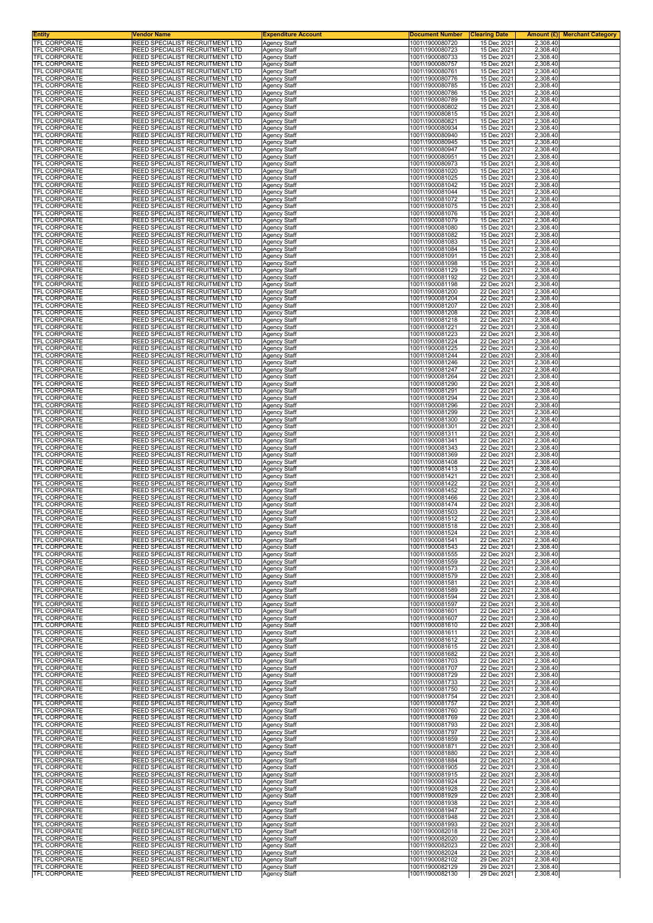| Entity<br><b>TFL CORPORATE</b>               | Vendor Name<br>REED SPECIALIST RECRUITMENT LTD                     | <b>Expenditure Account</b>                 | <b>Document Number</b>             | <b>Clearing Date</b>       | Amount (£) <br><b>Merchant Category</b> |
|----------------------------------------------|--------------------------------------------------------------------|--------------------------------------------|------------------------------------|----------------------------|-----------------------------------------|
| TFL CORPORATE                                | REED SPECIALIST RECRUITMENT LTD                                    | <b>Agency Staff</b><br>Agency Staff        | 1001\1900080720<br>1001\1900080723 | 15 Dec 2021<br>15 Dec 2021 | 2,308.40<br>2,308.40                    |
| TFL CORPORATE                                | REED SPECIALIST RECRUITMENT LTD                                    | Agency Staff                               | 1001\1900080733                    | 15 Dec 2021                | 2,308.40                                |
| TFL CORPORATE<br>TFL CORPORATE               | REED SPECIALIST RECRUITMENT LTD<br>REED SPECIALIST RECRUITMENT LTD | Agency Staff<br>Agency Staff               | 1001\1900080757<br>1001\1900080761 | 15 Dec 2021<br>15 Dec 2021 | 2,308.40<br>2,308.40                    |
| TFL CORPORATE                                | REED SPECIALIST RECRUITMENT LTD                                    | Agency Staff                               | 1001\1900080776                    | 15 Dec 2021                | 2,308.40                                |
| TFL CORPORATE                                | REED SPECIALIST RECRUITMENT LTD<br>REED SPECIALIST RECRUITMENT LTD | Agency Staff                               | 1001\1900080785<br>1001\1900080786 | 15 Dec 2021<br>15 Dec 2021 | 2,308.40                                |
| TFL CORPORATE<br>TFL CORPORATE               | REED SPECIALIST RECRUITMENT LTD                                    | Agency Staff<br>Agency Staff               | 1001\1900080789                    | 15 Dec 2021                | 2,308.40<br>2,308.40                    |
| TFL CORPORATE                                | REED SPECIALIST RECRUITMENT LTD                                    | Agency Staff                               | 1001\1900080802                    | 15 Dec 2021                | 2,308.40                                |
| TFL CORPORATE<br>TFL CORPORATE               | REED SPECIALIST RECRUITMENT LTD<br>REED SPECIALIST RECRUITMENT LTD | Agency Staff<br>Agency Staff               | 1001\1900080815<br>1001\1900080821 | 15 Dec 2021<br>15 Dec 2021 | 2,308.40<br>2,308.40                    |
| TFL CORPORATE                                | REED SPECIALIST RECRUITMENT LTD                                    | Agency Staff                               | 1001\1900080934                    | 15 Dec 2021                | 2,308.40                                |
| TFL CORPORATE<br>TFL CORPORATE               | REED SPECIALIST RECRUITMENT LTD<br>REED SPECIALIST RECRUITMENT LTD | <b>Agency Staff</b>                        | 1001\1900080940<br>1001\1900080945 | 15 Dec 2021<br>15 Dec 2021 | 2,308.40<br>2,308.40                    |
| <b>TFL CORPORATE</b>                         | REED SPECIALIST RECRUITMENT LTD                                    | Agency Staff<br>Agency Staff               | 1001\1900080947                    | 15 Dec 2021                | 2,308.40                                |
| TFL CORPORATE                                | REED SPECIALIST RECRUITMENT LTD                                    | <b>Agency Staff</b>                        | 1001\1900080951                    | 15 Dec 2021                | 2,308.40                                |
| TFL CORPORATE<br>TFL CORPORATE               | REED SPECIALIST RECRUITMENT LTD<br>REED SPECIALIST RECRUITMENT LTD | Agency Staff<br>Agency Staff               | 1001\1900080973<br>1001\1900081020 | 15 Dec 2021<br>15 Dec 2021 | 2,308.40<br>2,308.40                    |
| <b>TFL CORPORATE</b>                         | REED SPECIALIST RECRUITMENT LTD                                    | Agency Staff                               | 1001\1900081025                    | 15 Dec 2021                | 2,308.40                                |
| TFL CORPORATE<br>TFL CORPORATE               | REED SPECIALIST RECRUITMENT LTD<br>REED SPECIALIST RECRUITMENT LTD | Agency Staff<br><b>Agency Staff</b>        | 1001\1900081042<br>1001\1900081044 | 15 Dec 2021<br>15 Dec 2021 | 2,308.40<br>2,308.40                    |
| <b>TFL CORPORATE</b>                         | REED SPECIALIST RECRUITMENT LTD                                    | Agency Staff                               | 1001\1900081072                    | 15 Dec 2021                | 2,308.40                                |
| <b>TFL CORPORATE</b><br><b>TFL CORPORATE</b> | REED SPECIALIST RECRUITMENT LTD<br>REED SPECIALIST RECRUITMENT LTD | Agency Staff<br>Agency Staff               | 1001\1900081075<br>1001\1900081076 | 15 Dec 2021<br>15 Dec 2021 | 2,308.40<br>2,308.40                    |
| <b>TFL CORPORATE</b>                         | REED SPECIALIST RECRUITMENT LTD                                    | <b>Agency Staff</b>                        | 1001\1900081079                    | 15 Dec 2021                | 2,308.40                                |
| TFL CORPORATE<br>TFL CORPORATE               | REED SPECIALIST RECRUITMENT LTD<br>REED SPECIALIST RECRUITMENT LTD | <b>Agency Staff</b>                        | 1001\1900081080<br>1001\1900081082 | 15 Dec 2021<br>15 Dec 2021 | 2,308.40<br>2,308.40                    |
| TFL CORPORATE                                | REED SPECIALIST RECRUITMENT LTD                                    | Agency Staff<br><b>Agency Staff</b>        | 1001\1900081083                    | 15 Dec 2021                | 2,308.40                                |
| TFL CORPORATE                                | REED SPECIALIST RECRUITMENT LTD                                    | Agency Staff                               | 1001\1900081084                    | 15 Dec 2021                | 2,308.40                                |
| TFL CORPORATE<br>TFL CORPORATE               | REED SPECIALIST RECRUITMENT LTD<br>REED SPECIALIST RECRUITMENT LTD | Agency Staff<br><b>Agency Staff</b>        | 1001\1900081091<br>1001\1900081098 | 15 Dec 2021<br>15 Dec 2021 | 2,308.40<br>2,308.40                    |
| TFL CORPORATE                                | REED SPECIALIST RECRUITMENT LTD                                    | <b>Agency Staff</b>                        | 1001\1900081129                    | 15 Dec 2021                | 2,308.40                                |
| TFL CORPORATE<br>TFL CORPORATE               | REED SPECIALIST RECRUITMENT LTD<br>REED SPECIALIST RECRUITMENT LTD | Agency Staff<br>Agency Staff               | 1001\1900081192<br>1001\1900081198 | 22 Dec 2021<br>22 Dec 2021 | 2,308.40<br>2,308.40                    |
| TFL CORPORATE                                | REED SPECIALIST RECRUITMENT LTD                                    | Agency Staff                               | 1001\1900081200                    | 22 Dec 2021                | 2,308.40                                |
| TFL CORPORATE                                | REED SPECIALIST RECRUITMENT LTD                                    | Agency Staff                               | 1001\1900081204                    | 22 Dec 2021                | 2,308.40                                |
| TFL CORPORATE<br>TFL CORPORATE               | REED SPECIALIST RECRUITMENT LTD<br>REED SPECIALIST RECRUITMENT LTD | Agency Staff<br><b>Agency Staff</b>        | 1001\1900081207<br>1001\1900081208 | 22 Dec 2021<br>22 Dec 2021 | 2,308.40<br>2,308.40                    |
| TFL CORPORATE                                | REED SPECIALIST RECRUITMENT LTD                                    | Agency Staff                               | 1001\1900081218                    | 22 Dec 2021                | 2,308.40                                |
| TFL CORPORATE<br><b>TFL CORPORATE</b>        | REED SPECIALIST RECRUITMENT LTD<br>REED SPECIALIST RECRUITMENT LTD | Agency Staff<br>Agency Staff               | 1001\1900081221<br>1001\1900081223 | 22 Dec 2021<br>22 Dec 2021 | 2,308.40<br>2,308.40                    |
| TFL CORPORATE                                | REED SPECIALIST RECRUITMENT LTD                                    | Agency Staff                               | 1001\1900081224                    | 22 Dec 2021                | 2,308.40                                |
| TFL CORPORATE                                | REED SPECIALIST RECRUITMENT LTD                                    | Agency Staff                               | 1001\1900081225                    | 22 Dec 2021                | 2,308.40                                |
| TFL CORPORATE<br>TFL CORPORATE               | REED SPECIALIST RECRUITMENT LTD<br>REED SPECIALIST RECRUITMENT LTD | Agency Staff<br>Agency Staff               | 1001\1900081244<br>1001\1900081246 | 22 Dec 2021<br>22 Dec 2021 | 2,308.40<br>2,308.40                    |
| TFL CORPORATE                                | REED SPECIALIST RECRUITMENT LTD                                    | Agency Staff                               | 1001\1900081247                    | 22 Dec 2021                | 2,308.40                                |
| <b>TFL CORPORATE</b><br><b>TFL CORPORATE</b> | REED SPECIALIST RECRUITMENT LTD<br>REED SPECIALIST RECRUITMENT LTD | Agency Staff<br>Agency Staff               | 1001\1900081264<br>1001\1900081290 | 22 Dec 2021<br>22 Dec 2021 | 2,308.40<br>2,308.40                    |
| TFL CORPORATE                                | REED SPECIALIST RECRUITMENT LTD                                    | Agency Staff                               | 1001\1900081291                    | 22 Dec 2021                | 2,308.40                                |
| TFL CORPORATE                                | REED SPECIALIST RECRUITMENT LTD                                    | <b>Agency Staff</b>                        | 1001\1900081294                    | 22 Dec 2021                | 2,308.40                                |
| TFL CORPORATE<br>TFL CORPORATE               | REED SPECIALIST RECRUITMENT LTD<br>REED SPECIALIST RECRUITMENT LTD | Agency Staff<br>Agency Staff               | 1001\1900081296<br>1001\1900081299 | 22 Dec 2021<br>22 Dec 2021 | 2,308.40<br>2,308.40                    |
| TFL CORPORATE                                | REED SPECIALIST RECRUITMENT LTD                                    | Agency Staff                               | 1001\1900081300                    | 22 Dec 2021                | 2,308.40                                |
| TFL CORPORATE<br>TFL CORPORATE               | REED SPECIALIST RECRUITMENT LTD<br>REED SPECIALIST RECRUITMENT LTD | Agency Staff                               | 1001\1900081301<br>1001\1900081311 | 22 Dec 2021<br>22 Dec 2021 | 2,308.40<br>2,308.40                    |
| <b>TFL CORPORATE</b>                         | REED SPECIALIST RECRUITMENT LTD                                    | Agency Staff<br><b>Agency Staff</b>        | 1001\1900081341                    | 22 Dec 2021                | 2,308.40                                |
| TFL CORPORATE                                | REED SPECIALIST RECRUITMENT LTD                                    | Agency Staff                               | 1001\1900081343                    | 22 Dec 2021                | 2,308.40                                |
| TFL CORPORATE<br>TFL CORPORATE               | REED SPECIALIST RECRUITMENT LTD<br>REED SPECIALIST RECRUITMENT LTD | Agency Staff<br>Agency Staff               | 1001\1900081369<br>1001\1900081408 | 22 Dec 2021<br>22 Dec 2021 | 2,308.40<br>2,308.40                    |
| TFL CORPORATE                                | REED SPECIALIST RECRUITMENT LTD                                    | Agency Staff                               | 1001\1900081413                    | 22 Dec 2021                | 2,308.40                                |
| TFL CORPORATE<br>TFL CORPORATE               | REED SPECIALIST RECRUITMENT LTD<br>REED SPECIALIST RECRUITMENT LTD | Agency Staff<br>Agency Staff               | 1001\1900081421<br>1001\1900081422 | 22 Dec 2021<br>22 Dec 2021 | 2,308.40<br>2,308.40                    |
| <b>TFL CORPORATE</b>                         | REED SPECIALIST RECRUITMENT LTD                                    | <b>Agency Staff</b>                        | 1001\1900081452                    | 22 Dec 2021                | 2,308.40                                |
| <b>TFL CORPORATE</b><br><b>TFL CORPORATE</b> | REED SPECIALIST RECRUITMENT LTD<br>REED SPECIALIST RECRUITMENT LTD | Agency Staff                               | 1001\1900081466<br>1001\1900081474 | 22 Dec 2021<br>22 Dec 2021 | 2,308.40<br>2,308.40                    |
| TFL CORPORATE                                | REED SPECIALIST RECRUITMENT LTD                                    | Agency Staff<br>Agency Staff               | 1001\1900081503                    | 22 Dec 2021                | 2,308.40                                |
| TFL CORPORATE                                | REED SPECIALIST RECRUITMENT LTD                                    | Agency Staff                               | 1001\1900081512                    | 22 Dec 2021                | 2,308.40                                |
| <b>IFL CORPORATE</b><br><b>TFL CORPORATE</b> | REED SPECIALIST RECRUITMENT LTD<br>REED SPECIALIST RECRUITMENT LTD | Agency Staff<br><b>Agency Staff</b>        | 1001\1900081518<br>1001\1900081524 | 22 Dec 2021<br>22 Dec 2021 | 2.308.40<br>2,308.40                    |
| <b>TFL CORPORATE</b>                         | REED SPECIALIST RECRUITMENT LTD                                    | Agency Staff                               | 1001\1900081541                    | 22 Dec 2021                | 2,308.40                                |
| TFL CORPORATE<br><b>TFL CORPORATE</b>        | REED SPECIALIST RECRUITMENT LTD<br>REED SPECIALIST RECRUITMENT LTD | Agency Staff<br><b>Agency Staff</b>        | 1001\1900081543<br>1001\1900081555 | 22 Dec 2021<br>22 Dec 2021 | 2,308.40<br>2,308.40                    |
| TFL CORPORATE                                | REED SPECIALIST RECRUITMENT LTD                                    | Agency Staff                               | 1001\1900081559                    | 22 Dec 2021                | 2,308.40                                |
| TFL CORPORATE                                | REED SPECIALIST RECRUITMENT LTD                                    | Agency Staff                               | 1001\1900081573                    | 22 Dec 2021                | 2,308.40                                |
| TFL CORPORATE<br>TFL CORPORATE               | REED SPECIALIST RECRUITMENT LTD<br>REED SPECIALIST RECRUITMENT LTD | <b>Agency Staff</b><br>Agency Staff        | 1001\1900081579<br>1001\1900081581 | 22 Dec 2021<br>22 Dec 2021 | 2,308.40<br>2,308.40                    |
| TFL CORPORATE                                | REED SPECIALIST RECRUITMENT LTD                                    | <b>Agency Staff</b>                        | 1001\1900081589                    | 22 Dec 2021                | 2,308.40                                |
| TFL CORPORATE<br><b>TFL CORPORATE</b>        | REED SPECIALIST RECRUITMENT LTD<br>REED SPECIALIST RECRUITMENT LTD | Agency Staff<br>Agency Staff               | 1001\1900081594<br>1001\1900081597 | 22 Dec 2021<br>22 Dec 2021 | 2,308.40<br>2,308.40                    |
| TFL CORPORATE                                | REED SPECIALIST RECRUITMENT LTD                                    | Agency Staff                               | 1001\1900081601                    | 22 Dec 2021                | 2,308.40                                |
| TFL CORPORATE<br><b>TFL CORPORATE</b>        | REED SPECIALIST RECRUITMENT LTD<br>REED SPECIALIST RECRUITMENT LTD | <b>Agency Staff</b><br><b>Agency Staff</b> | 1001\1900081607<br>1001\1900081610 | 22 Dec 2021<br>22 Dec 2021 | 2,308.40<br>2,308.40                    |
| TFL CORPORATE                                | REED SPECIALIST RECRUITMENT LTD                                    | Agency Staff                               | 1001\1900081611                    | 22 Dec 2021                | 2,308.40                                |
| <b>TFL CORPORATE</b>                         | REED SPECIALIST RECRUITMENT LTD                                    | <b>Agency Staff</b>                        | 1001\1900081612                    | 22 Dec 2021                | 2,308.40                                |
| <b>TFL CORPORATE</b><br>TFL CORPORATE        | REED SPECIALIST RECRUITMENT LTD<br>REED SPECIALIST RECRUITMENT LTD | Agency Staff<br>Agency Staff               | 1001\1900081615<br>1001\1900081682 | 22 Dec 2021<br>22 Dec 2021 | 2,308.40<br>2,308.40                    |
| TFL CORPORATE                                | REED SPECIALIST RECRUITMENT LTD                                    | <b>Agency Staff</b>                        | 1001\1900081703                    | 22 Dec 2021                | 2,308.40                                |
| <b>TFL CORPORATE</b><br>TFL CORPORATE        | REED SPECIALIST RECRUITMENT LTD<br>REED SPECIALIST RECRUITMENT LTD | <b>Agency Staff</b><br>Agency Staff        | 1001\1900081707<br>1001\1900081729 | 22 Dec 2021<br>22 Dec 2021 | 2,308.40<br>2,308.40                    |
| TFL CORPORATE                                | REED SPECIALIST RECRUITMENT LTD                                    | Agency Staff                               | 1001\1900081733                    | 22 Dec 2021                | 2,308.40                                |
| <b>TFL CORPORATE</b><br>TFL CORPORATE        | REED SPECIALIST RECRUITMENT LTD<br>REED SPECIALIST RECRUITMENT LTD | <b>Agency Staff</b><br>Agency Staff        | 1001\1900081750<br>1001\1900081754 | 22 Dec 2021<br>22 Dec 2021 | 2,308.40<br>2,308.40                    |
| TFL CORPORATE                                | REED SPECIALIST RECRUITMENT LTD                                    | Agency Staff                               | 1001\1900081757                    | 22 Dec 2021                | 2,308.40                                |
| TFL CORPORATE<br>TFL CORPORATE               | REED SPECIALIST RECRUITMENT LTD<br>REED SPECIALIST RECRUITMENT LTD | <b>Agency Staff</b>                        | 1001\1900081760<br>1001\1900081769 | 22 Dec 2021<br>22 Dec 2021 | 2,308.40<br>2,308.40                    |
| TFL CORPORATE                                | REED SPECIALIST RECRUITMENT LTD                                    | Agency Staff<br>Agency Staff               | 1001\1900081793                    | 22 Dec 2021                | 2,308.40                                |
| <b>TFL CORPORATE</b>                         | REED SPECIALIST RECRUITMENT LTD                                    | <b>Agency Staff</b>                        | 1001\1900081797                    | 22 Dec 2021                | 2,308.40                                |
| TFL CORPORATE<br>TFL CORPORATE               | REED SPECIALIST RECRUITMENT LTD<br>REED SPECIALIST RECRUITMENT LTD | Agency Staff<br>Agency Staff               | 1001\1900081859<br>1001\1900081871 | 22 Dec 2021<br>22 Dec 2021 | 2,308.40<br>2,308.40                    |
| TFL CORPORATE                                | REED SPECIALIST RECRUITMENT LTD                                    | <b>Agency Staff</b>                        | 1001\1900081880                    | 22 Dec 2021                | 2,308.40                                |
| TFL CORPORATE<br>TFL CORPORATE               | REED SPECIALIST RECRUITMENT LTD<br>REED SPECIALIST RECRUITMENT LTD | Agency Staff<br>Agency Staff               | 1001\1900081884<br>1001\1900081905 | 22 Dec 2021<br>22 Dec 2021 | 2,308.40<br>2,308.40                    |
| <b>TFL CORPORATE</b>                         | REED SPECIALIST RECRUITMENT LTD                                    | <b>Agency Staff</b>                        | 1001\1900081915                    | 22 Dec 2021                | 2,308.40                                |
| <b>TFL CORPORATE</b>                         | REED SPECIALIST RECRUITMENT LTD                                    | Agency Staff                               | 1001\1900081924                    | 22 Dec 2021                | 2,308.40                                |
| TFL CORPORATE<br>TFL CORPORATE               | REED SPECIALIST RECRUITMENT LTD<br>REED SPECIALIST RECRUITMENT LTD | Agency Staff<br><b>Agency Staff</b>        | 1001\1900081928<br>1001\1900081929 | 22 Dec 2021<br>22 Dec 2021 | 2,308.40<br>2,308.40                    |
| TFL CORPORATE                                | REED SPECIALIST RECRUITMENT LTD                                    | Agency Staff                               | 1001\1900081938                    | 22 Dec 2021                | 2,308.40                                |
| TFL CORPORATE<br><b>TFL CORPORATE</b>        | REED SPECIALIST RECRUITMENT LTD<br>REED SPECIALIST RECRUITMENT LTD | Agency Staff<br><b>Agency Staff</b>        | 1001\1900081947<br>1001\1900081948 | 22 Dec 2021<br>22 Dec 2021 | 2,308.40<br>2,308.40                    |
| TFL CORPORATE                                | REED SPECIALIST RECRUITMENT LTD                                    | <b>Agency Staff</b>                        | 1001\1900081993                    | 22 Dec 2021                | 2,308.40                                |
| TFL CORPORATE<br>TFL CORPORATE               | REED SPECIALIST RECRUITMENT LTD<br>REED SPECIALIST RECRUITMENT LTD | Agency Staff<br><b>Agency Staff</b>        | 1001\1900082018<br>1001\1900082020 | 22 Dec 2021<br>22 Dec 2021 | 2,308.40<br>2,308.40                    |
| <b>TFL CORPORATE</b>                         | REED SPECIALIST RECRUITMENT LTD                                    | <b>Agency Staff</b>                        | 1001\1900082023                    | 22 Dec 2021                | 2,308.40                                |
| TFL CORPORATE                                | REED SPECIALIST RECRUITMENT LTD                                    | Agency Staff                               | 1001\1900082024                    | 22 Dec 2021                | 2,308.40                                |
| <b>TFL CORPORATE</b><br><b>TFL CORPORATE</b> | REED SPECIALIST RECRUITMENT LTD<br>REED SPECIALIST RECRUITMENT LTD | <b>Agency Staff</b><br>Agency Staff        | 1001\1900082102<br>1001\1900082129 | 29 Dec 2021<br>29 Dec 2021 | 2,308.40<br>2,308.40                    |
| TFL CORPORATE                                | REED SPECIALIST RECRUITMENT LTD                                    | <b>Agency Staff</b>                        | 1001\1900082130                    | 29 Dec 2021                | 2,308.40                                |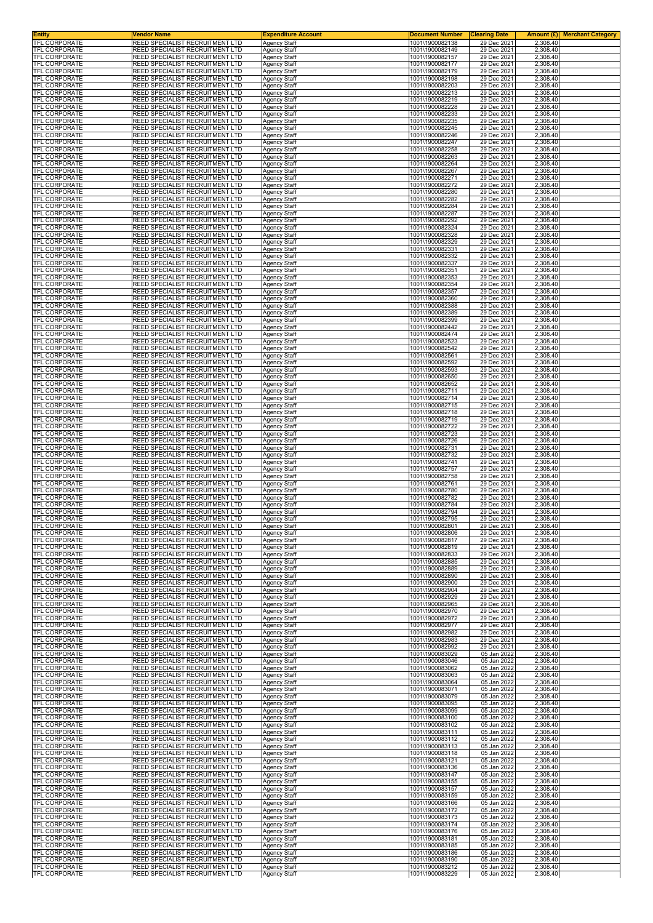| <b>Entity</b><br>TFL CORPORATE               | Vendor Name<br>REED SPECIALIST RECRUITMENT LTD                            | <b>Expenditure Account</b>                 | <b>Document Number</b>             | <b>Clearing Date</b>       |                      | <b>Amount (£)</b> Merchant Category |
|----------------------------------------------|---------------------------------------------------------------------------|--------------------------------------------|------------------------------------|----------------------------|----------------------|-------------------------------------|
| <b>TFL CORPORATE</b>                         | <b>REED SPECIALIST RECRUITMENT LTD</b>                                    | <b>Agency Staff</b><br><b>Agency Staff</b> | 1001\1900082138<br>1001\1900082149 | 29 Dec 2021<br>29 Dec 2021 | 2,308.40<br>2,308.40 |                                     |
| <b>TFL CORPORATE</b>                         | REED SPECIALIST RECRUITMENT LTD                                           | Agency Staff                               | 1001\1900082157                    | 29 Dec 2021                | 2,308.40             |                                     |
| <b>TFL CORPORATE</b><br>TFL CORPORATE        | REED SPECIALIST RECRUITMENT LTD<br>REED SPECIALIST RECRUITMENT LTD        | <b>Agency Staff</b><br>Agency Staff        | 1001\1900082177<br>1001\1900082179 | 29 Dec 2021<br>29 Dec 2021 | 2,308.40<br>2,308.40 |                                     |
| TFL CORPORATE                                | REED SPECIALIST RECRUITMENT LTD                                           | Agency Staff                               | 1001\1900082198                    | 29 Dec 2021                | 2,308.40             |                                     |
| TFL CORPORATE<br><b>TFL CORPORATE</b>        | REED SPECIALIST RECRUITMENT LTD<br>REED SPECIALIST RECRUITMENT LTD        | <b>Agency Staff</b><br>Agency Staff        | 1001\1900082203<br>1001\1900082213 | 29 Dec 2021<br>29 Dec 2021 | 2,308.40<br>2,308.40 |                                     |
| TFL CORPORATE                                | REED SPECIALIST RECRUITMENT LTD                                           | Agency Staff                               | 1001\1900082219                    | 29 Dec 2021                | 2,308.40             |                                     |
| TFL CORPORATE<br>TFL CORPORATE               | REED SPECIALIST RECRUITMENT LTD<br>REED SPECIALIST RECRUITMENT LTD        | Agency Staff<br>Agency Staff               | 1001\1900082228<br>1001\1900082233 | 29 Dec 2021<br>29 Dec 2021 | 2,308.40<br>2,308.40 |                                     |
| TFL CORPORATE                                | REED SPECIALIST RECRUITMENT LTD                                           | Agency Staff                               | 1001\1900082235                    | 29 Dec 2021                | 2,308.40             |                                     |
| TFL CORPORATE<br>TFL CORPORATE               | REED SPECIALIST RECRUITMENT LTD<br>REED SPECIALIST RECRUITMENT LTD        | Agency Staff<br><b>Agency Staff</b>        | 1001\1900082245<br>1001\1900082246 | 29 Dec 2021<br>29 Dec 2021 | 2,308.40<br>2,308.40 |                                     |
| TFL CORPORATE                                | REED SPECIALIST RECRUITMENT LTD                                           | <b>Agency Staff</b>                        | 1001\1900082247<br>1001\1900082258 | 29 Dec 2021<br>29 Dec 2021 | 2,308.40<br>2,308.40 |                                     |
| TFL CORPORATE<br>TFL CORPORATE               | REED SPECIALIST RECRUITMENT LTD<br>REED SPECIALIST RECRUITMENT LTD        | Agency Staff<br>Agency Staff               | 1001\1900082263                    | 29 Dec 2021                | 2,308.40             |                                     |
| <b>TFL CORPORATE</b><br>TFL CORPORATE        | REED SPECIALIST RECRUITMENT LTD<br>REED SPECIALIST RECRUITMENT LTD        | <b>Agency Staff</b>                        | 1001\1900082264<br>1001\1900082267 | 29 Dec 2021<br>29 Dec 2021 | 2,308.40<br>2,308.40 |                                     |
| TFL CORPORATE                                | REED SPECIALIST RECRUITMENT LTD                                           | Agency Staff<br><b>Agency Staff</b>        | 1001\1900082271                    | 29 Dec 2021                | 2,308.40             |                                     |
| TFL CORPORATE<br>TFL CORPORATE               | REED SPECIALIST RECRUITMENT LTD<br>REED SPECIALIST RECRUITMENT LTD        | Agency Staff<br><b>Agency Staff</b>        | 1001\1900082272<br>1001\1900082280 | 29 Dec 2021<br>29 Dec 2021 | 2,308.40<br>2,308.40 |                                     |
| TFL CORPORATE                                | REED SPECIALIST RECRUITMENT LTD                                           | <b>Agency Staff</b>                        | 1001\1900082282                    | 29 Dec 2021                | 2,308.40             |                                     |
| TFL CORPORATE<br>TFL CORPORATE               | REED SPECIALIST RECRUITMENT LTD<br>REED SPECIALIST RECRUITMENT LTD        | Agency Staff<br>Agency Staff               | 1001\1900082284<br>1001\1900082287 | 29 Dec 2021<br>29 Dec 2021 | 2,308.40<br>2,308.40 |                                     |
| TFL CORPORATE                                | REED SPECIALIST RECRUITMENT LTD                                           | <b>Agency Staff</b>                        | 1001\1900082292                    | 29 Dec 2021                | 2,308.40             |                                     |
| TFL CORPORATE<br><b>TFL CORPORATE</b>        | REED SPECIALIST RECRUITMENT LTD<br>REED SPECIALIST RECRUITMENT LTD        | <b>Agency Staff</b><br>Agency Staff        | 1001\1900082324<br>1001\1900082328 | 29 Dec 2021<br>29 Dec 2021 | 2,308.40<br>2,308.40 |                                     |
| TFL CORPORATE                                | REED SPECIALIST RECRUITMENT LTD                                           | <b>Agency Staff</b>                        | 1001\1900082329                    | 29 Dec 2021                | 2,308.40             |                                     |
| TFL CORPORATE<br>TFL CORPORATE               | REED SPECIALIST RECRUITMENT LTD<br>REED SPECIALIST RECRUITMENT LTD        | Agency Staff<br>Agency Staff               | 1001\1900082331<br>1001\1900082332 | 29 Dec 2021<br>29 Dec 2021 | 2.308.40<br>2,308.40 |                                     |
| <b>TFL CORPORATE</b>                         | REED SPECIALIST RECRUITMENT LTD                                           | <b>Agency Staff</b>                        | 1001\1900082337                    | 29 Dec 2021                | 2,308.40             |                                     |
| <b>TFL CORPORATE</b><br><b>TFL CORPORATE</b> | REED SPECIALIST RECRUITMENT LTD<br>REED SPECIALIST RECRUITMENT LTD        | <b>Agency Staff</b><br>Agency Staff        | 1001\1900082351<br>1001\1900082353 | 29 Dec 2021<br>29 Dec 2021 | 2,308.40<br>2,308.40 |                                     |
| TFL CORPORATE                                | REED SPECIALIST RECRUITMENT LTD                                           | Agency Staff                               | 1001\1900082354                    | 29 Dec 2021                | 2,308.40             |                                     |
| <b>TFL CORPORATE</b><br><b>TFL CORPORATE</b> | REED SPECIALIST RECRUITMENT LTD<br>REED SPECIALIST RECRUITMENT LTD        | <b>Agency Staff</b><br><b>Agency Staff</b> | 1001\1900082357<br>1001\1900082360 | 29 Dec 2021<br>29 Dec 2021 | 2,308.40<br>2,308.40 |                                     |
| TFL CORPORATE                                | REED SPECIALIST RECRUITMENT LTD                                           | Agency Staff                               | 1001\1900082388                    | 29 Dec 2021                | 2,308.40             |                                     |
| TFL CORPORATE<br>TFL CORPORATE               | REED SPECIALIST RECRUITMENT LTD<br>REED SPECIALIST RECRUITMENT LTD        | <b>Agency Staff</b><br>Agency Staff        | 1001\1900082389<br>1001\1900082399 | 29 Dec 2021<br>29 Dec 2021 | 2,308.40<br>2,308.40 |                                     |
| <b>TFL CORPORATE</b>                         | REED SPECIALIST RECRUITMENT LTD                                           | Agency Staff                               | 1001\1900082442                    | 29 Dec 2021                | 2,308.40             |                                     |
| <b>TFL CORPORATE</b><br><b>TFL CORPORATE</b> | REED SPECIALIST RECRUITMENT LTD<br>REED SPECIALIST RECRUITMENT LTD        | Agency Staff<br>Agency Staff               | 1001\1900082474<br>1001\1900082523 | 29 Dec 2021<br>29 Dec 2021 | 2,308.40<br>2,308.40 |                                     |
| TFL CORPORATE                                | REED SPECIALIST RECRUITMENT LTD                                           | <b>Agency Staff</b>                        | 1001\1900082542                    | 29 Dec 2021                | 2,308.40             |                                     |
| TFL CORPORATE<br>TFL CORPORATE               | REED SPECIALIST RECRUITMENT LTD<br>REED SPECIALIST RECRUITMENT LTD        | <b>Agency Staff</b><br>Agency Staff        | 1001\1900082561<br>1001\1900082592 | 29 Dec 2021<br>29 Dec 2021 | 2,308.40<br>2,308.40 |                                     |
| TFL CORPORATE<br><b>TFL CORPORATE</b>        | REED SPECIALIST RECRUITMENT LTD<br>REED SPECIALIST RECRUITMENT LTD        | Agency Staff<br><b>Agency Staff</b>        | 1001\1900082593<br>1001\1900082650 | 29 Dec 2021<br>29 Dec 2021 | 2,308.40<br>2,308.40 |                                     |
| TFL CORPORATE                                | REED SPECIALIST RECRUITMENT LTD                                           | Agency Staff                               | 1001\1900082652                    | 29 Dec 2021                | 2,308.40             |                                     |
| TFL CORPORATE<br>TFL CORPORATE               | REED SPECIALIST RECRUITMENT LTD<br>REED SPECIALIST RECRUITMENT LTD        | Agency Staff<br><b>Agency Staff</b>        | 1001\1900082711<br>1001\1900082714 | 29 Dec 2021<br>29 Dec 2021 | 2,308.40<br>2,308.40 |                                     |
| TFL CORPORATE                                | <b>REED SPECIALIST RECRUITMENT LTD</b>                                    | Agency Staff                               | 1001\1900082715                    | 29 Dec 2021                | 2,308.40             |                                     |
| TFL CORPORATE<br>TFL CORPORATE               | REED SPECIALIST RECRUITMENT LTD<br>REED SPECIALIST RECRUITMENT LTD        | Agency Staff<br><b>Agency Staff</b>        | 1001\1900082718<br>1001\1900082719 | 29 Dec 2021<br>29 Dec 2021 | 2,308.40<br>2,308.40 |                                     |
| TFL CORPORATE                                | REED SPECIALIST RECRUITMENT LTD                                           | Agency Staff                               | 1001\1900082722                    | 29 Dec 2021                | 2,308.40             |                                     |
| TFL CORPORATE<br>TFL CORPORATE               | REED SPECIALIST RECRUITMENT LTD<br>REED SPECIALIST RECRUITMENT LTD        | Agency Staff<br><b>Agency Staff</b>        | 1001\1900082723<br>1001\1900082726 | 29 Dec 2021<br>29 Dec 2021 | 2,308.40<br>2,308.40 |                                     |
| TFL CORPORATE<br>TFL CORPORATE               | REED SPECIALIST RECRUITMENT LTD<br>REED SPECIALIST RECRUITMENT LTD        | Agency Staff                               | 1001\1900082731<br>1001\1900082732 | 29 Dec 2021<br>29 Dec 2021 | 2,308.40<br>2,308.40 |                                     |
| TFL CORPORATE                                | REED SPECIALIST RECRUITMENT LTD                                           | Agency Staff<br>Agency Staff               | 1001\1900082741                    | 29 Dec 2021                | 2,308.40             |                                     |
| TFL CORPORATE<br>TFL CORPORATE               | REED SPECIALIST RECRUITMENT LTD<br>REED SPECIALIST RECRUITMENT LTD        | Agency Staff<br>Agency Staff               | 1001\1900082757<br>1001\1900082758 | 29 Dec 2021<br>29 Dec 2021 | 2,308.40<br>2,308.40 |                                     |
| <b>TFL CORPORATE</b>                         | REED SPECIALIST RECRUITMENT LTD                                           | Agency Staff                               | 1001\1900082761                    | 29 Dec 2021                | 2,308.40             |                                     |
| TFL CORPORATE<br><b>TFL CORPORATE</b>        | <b>REED SPECIALIST RECRUITMENT LTD</b><br>REED SPECIALIST RECRUITMENT LTD | <b>Agency Staff</b><br>Agency Staff        | 1001\1900082780<br>1001\1900082782 | 29 Dec 2021<br>29 Dec 2021 | 2,308.40<br>2,308.40 |                                     |
| TFL CORPORATE                                | REED SPECIALIST RECRUITMENT LTD                                           | Agency Staff                               | 1001\1900082784                    | 29 Dec 2021                | 2,308.40             |                                     |
| TFL CORPORATE<br>TFL CORPORATE               | REED SPECIALIST RECRUITMENT LTD<br>REED SPECIALIST RECRUITMENT LTD        | Agency Staff<br><b>Agency Staff</b>        | 1001\1900082794<br>1001\1900082795 | 29 Dec 2021<br>29 Dec 2021 | 2,308.40<br>2,308.40 |                                     |
| <b>IFL CORPORATE</b><br>TFL CORPORATE        | REED SPECIALIST RECRUITMENT LTD<br><b>REED SPECIALIST RECRUITMENT LTD</b> | Agency Staff<br><b>Agency Staff</b>        | 1001\1900082801<br>1001\1900082806 | 29 Dec 2021<br>29 Dec 2021 | 2,308.40<br>2,308.40 |                                     |
| TFL CORPORATE                                | REED SPECIALIST RECRUITMENT LTD                                           | <b>Agency Staff</b>                        | 1001\1900082817                    | 29 Dec 2021                | 2,308.40             |                                     |
| TFL CORPORATE<br><b>TFL CORPORATE</b>        | REED SPECIALIST RECRUITMENT LTD<br>REED SPECIALIST RECRUITMENT LTD        | Agency Staff<br>Agency Staff               | 1001\1900082819<br>1001\1900082833 | 29 Dec 2021<br>29 Dec 2021 | 2,308.40<br>2,308.40 |                                     |
| TFL CORPORATE                                | REED SPECIALIST RECRUITMENT LTD                                           | Agency Staff                               | 1001\1900082885                    | 29 Dec 2021                | 2,308.40             |                                     |
| TFL CORPORATE<br>TFL CORPORATE               | REED SPECIALIST RECRUITMENT LTD<br><b>REED SPECIALIST RECRUITMENT LTD</b> | Agency Staff<br><b>Agency Staff</b>        | 1001\1900082889<br>1001\1900082890 | 29 Dec 2021<br>29 Dec 2021 | 2,308.40<br>2,308.40 |                                     |
| TFL CORPORATE                                | <b>REED SPECIALIST RECRUITMENT LTD</b>                                    | <b>Agency Staff</b>                        | 1001\1900082900                    | 29 Dec 2021                | 2,308.40             |                                     |
| TFL CORPORATE<br><b>TFL CORPORATE</b>        | REED SPECIALIST RECRUITMENT LTD<br>REED SPECIALIST RECRUITMENT LTD        | Agency Staff<br><b>Agency Staff</b>        | 1001\1900082904<br>1001\1900082929 | 29 Dec 2021<br>29 Dec 2021 | 2,308.40<br>2,308.40 |                                     |
| <b>TFL CORPORATE</b>                         | <b>REED SPECIALIST RECRUITMENT LTD</b>                                    | <b>Agency Staff</b>                        | 1001\1900082965                    | 29 Dec 2021                | 2,308.40             |                                     |
| TFL CORPORATE<br>TFL CORPORATE               | REED SPECIALIST RECRUITMENT LTD<br>REED SPECIALIST RECRUITMENT LTD        | <b>Agency Staff</b><br><b>Agency Staff</b> | 1001\1900082970<br>1001\1900082972 | 29 Dec 2021<br>29 Dec 2021 | 2,308.40<br>2,308.40 |                                     |
| TFL CORPORATE                                | <b>REED SPECIALIST RECRUITMENT LTD</b>                                    | <b>Agency Staff</b>                        | 1001\1900082977                    | 29 Dec 2021                | 2,308.40             |                                     |
| TFL CORPORATE<br>TFL CORPORATE               | REED SPECIALIST RECRUITMENT LTD<br>REED SPECIALIST RECRUITMENT LTD        | Agency Staff<br>Agency Staff               | 1001\1900082982<br>1001\1900082983 | 29 Dec 2021<br>29 Dec 2021 | 2,308.40<br>2,308.40 |                                     |
| TFL CORPORATE<br>TFL CORPORATE               | <b>REED SPECIALIST RECRUITMENT LTD</b><br>REED SPECIALIST RECRUITMENT LTD | Agency Staff<br>Agency Staff               | 1001\1900082992<br>1001\1900083029 | 29 Dec 2021<br>05 Jan 2022 | 2,308.40<br>2,308.40 |                                     |
| <b>TFL CORPORATE</b>                         | REED SPECIALIST RECRUITMENT LTD                                           | <b>Agency Staff</b>                        | 1001\1900083046                    | 05 Jan 2022                | 2,308.40             |                                     |
| TFL CORPORATE<br>TFL CORPORATE               | <b>REED SPECIALIST RECRUITMENT LTD</b><br>REED SPECIALIST RECRUITMENT LTD | <b>Agency Staff</b><br>Agency Staff        | 1001\1900083062<br>1001\1900083063 | 05 Jan 2022<br>05 Jan 2022 | 2,308.40<br>2,308.40 |                                     |
| TFL CORPORATE                                | REED SPECIALIST RECRUITMENT LTD                                           | Agency Staff                               | 1001\1900083064                    | 05 Jan 2022                | 2,308.40             |                                     |
| TFL CORPORATE<br>TFL CORPORATE               | <b>REED SPECIALIST RECRUITMENT LTD</b><br>REED SPECIALIST RECRUITMENT LTD | <b>Agency Staff</b><br><b>Agency Staff</b> | 1001\1900083071<br>1001\1900083079 | 05 Jan 2022<br>05 Jan 2022 | 2,308.40<br>2,308.40 |                                     |
| TFL CORPORATE                                | REED SPECIALIST RECRUITMENT LTD                                           | Agency Staff                               | 1001\1900083095                    | 05 Jan 2022                | 2,308.40             |                                     |
| TFL CORPORATE<br>TFL CORPORATE               | <b>REED SPECIALIST RECRUITMENT LTD</b><br>REED SPECIALIST RECRUITMENT LTD | <b>Agency Staff</b><br>Agency Staff        | 1001\1900083099<br>1001\1900083100 | 05 Jan 2022<br>05 Jan 2022 | 2,308.40<br>2,308.40 |                                     |
| TFL CORPORATE<br><b>TFL CORPORATE</b>        | REED SPECIALIST RECRUITMENT LTD<br>REED SPECIALIST RECRUITMENT LTD        | Agency Staff<br>Agency Staff               | 1001\1900083102<br>1001\1900083111 | 05 Jan 2022<br>05 Jan 2022 | 2,308.40<br>2,308.40 |                                     |
| TFL CORPORATE                                | REED SPECIALIST RECRUITMENT LTD                                           | Agency Staff                               | 1001\1900083112                    | 05 Jan 2022                | 2,308.40             |                                     |
| TFL CORPORATE<br>TFL CORPORATE               | REED SPECIALIST RECRUITMENT LTD<br><b>REED SPECIALIST RECRUITMENT LTD</b> | Agency Staff<br><b>Agency Staff</b>        | 1001\1900083113<br>1001\1900083118 | 05 Jan 2022<br>05 Jan 2022 | 2,308.40<br>2,308.40 |                                     |
| TFL CORPORATE                                | REED SPECIALIST RECRUITMENT LTD                                           | Agency Staff                               | 1001\1900083121                    | 05 Jan 2022                | 2,308.40             |                                     |
| TFL CORPORATE<br>TFL CORPORATE               | REED SPECIALIST RECRUITMENT LTD<br>REED SPECIALIST RECRUITMENT LTD        | Agency Staff<br>Agency Staff               | 1001\1900083136<br>1001\1900083147 | 05 Jan 2022<br>05 Jan 2022 | 2,308.40<br>2,308.40 |                                     |
| <b>TFL CORPORATE</b>                         | <b>REED SPECIALIST RECRUITMENT LTD</b>                                    | Agency Staff                               | 1001\1900083155                    | 05 Jan 2022                | 2,308.40             |                                     |
| TFL CORPORATE<br>TFL CORPORATE               | REED SPECIALIST RECRUITMENT LTD<br>REED SPECIALIST RECRUITMENT LTD        | <b>Agency Staff</b><br><b>Agency Staff</b> | 1001\1900083157<br>1001\1900083159 | 05 Jan 2022<br>05 Jan 2022 | 2,308.40<br>2,308.40 |                                     |
| TFL CORPORATE<br>TFL CORPORATE               | REED SPECIALIST RECRUITMENT LTD<br>REED SPECIALIST RECRUITMENT LTD        | Agency Staff<br><b>Agency Staff</b>        | 1001\1900083166<br>1001\1900083172 | 05 Jan 2022<br>05 Jan 2022 | 2,308.40<br>2,308.40 |                                     |
| TFL CORPORATE                                | REED SPECIALIST RECRUITMENT LTD                                           | Agency Staff                               | 1001\1900083173                    | 05 Jan 2022                | 2,308.40             |                                     |
| TFL CORPORATE<br>TFL CORPORATE               | REED SPECIALIST RECRUITMENT LTD<br>REED SPECIALIST RECRUITMENT LTD        | <b>Agency Staff</b><br>Agency Staff        | 1001\1900083174<br>1001\1900083176 | 05 Jan 2022<br>05 Jan 2022 | 2,308.40<br>2,308.40 |                                     |
| TFL CORPORATE                                | <b>REED SPECIALIST RECRUITMENT LTD</b>                                    | <b>Agency Staff</b>                        | 1001\1900083181                    | 05 Jan 2022                | 2,308.40             |                                     |
| TFL CORPORATE<br>TFL CORPORATE               | <b>REED SPECIALIST RECRUITMENT LTD</b><br>REED SPECIALIST RECRUITMENT LTD | <b>Agency Staff</b><br>Agency Staff        | 1001\1900083185<br>1001\1900083186 | 05 Jan 2022<br>05 Jan 2022 | 2,308.40<br>2,308.40 |                                     |
| <b>TFL CORPORATE</b><br><b>TFL CORPORATE</b> | REED SPECIALIST RECRUITMENT LTD                                           | <b>Agency Staff</b>                        | 1001\1900083190<br>1001\1900083212 | 05 Jan 2022                | 2,308.40             |                                     |
| TFL CORPORATE                                | REED SPECIALIST RECRUITMENT LTD<br>REED SPECIALIST RECRUITMENT LTD        | Agency Staff<br>Agency Staff               | 1001\1900083229                    | 05 Jan 2022<br>05 Jan 2022 | 2,308.40<br>2,308.40 |                                     |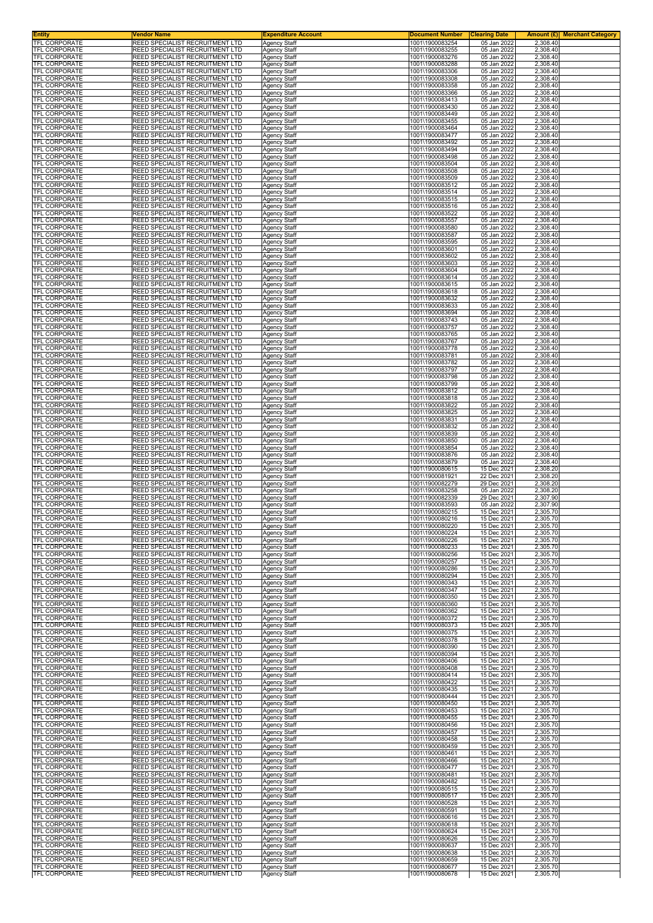| <b>Entity</b><br>TFL CORPORATE               | <b>Vendor Name</b><br>REED SPECIALIST RECRUITMENT LTD                     | <b>Expenditure Account</b>                 | <b>Document Number</b>             | <b>Clearing Date</b>       |                      | <b>Amount (£)</b> Merchant Category |
|----------------------------------------------|---------------------------------------------------------------------------|--------------------------------------------|------------------------------------|----------------------------|----------------------|-------------------------------------|
| <b>TFL CORPORATE</b>                         | <b>REED SPECIALIST RECRUITMENT LTD</b>                                    | <b>Agency Staff</b><br><b>Agency Staff</b> | 1001\1900083254<br>1001\1900083255 | 05 Jan 2022<br>05 Jan 2022 | 2,308.40<br>2,308.40 |                                     |
| <b>TFL CORPORATE</b><br><b>TFL CORPORATE</b> | REED SPECIALIST RECRUITMENT LTD                                           | Agency Staff                               | 1001\1900083276                    | 05 Jan 2022                | 2,308.40             |                                     |
| TFL CORPORATE                                | REED SPECIALIST RECRUITMENT LTD<br>REED SPECIALIST RECRUITMENT LTD        | <b>Agency Staff</b><br>Agency Staff        | 1001\1900083288<br>1001\1900083306 | 05 Jan 2022<br>05 Jan 2022 | 2,308.40<br>2,308.40 |                                     |
| TFL CORPORATE                                | REED SPECIALIST RECRUITMENT LTD                                           | Agency Staff                               | 1001\1900083308                    | 05 Jan 2022                | 2,308.40             |                                     |
| TFL CORPORATE<br><b>TFL CORPORATE</b>        | REED SPECIALIST RECRUITMENT LTD<br>REED SPECIALIST RECRUITMENT LTD        | <b>Agency Staff</b><br>Agency Staff        | 1001\1900083358<br>1001\1900083366 | 05 Jan 2022<br>05 Jan 2022 | 2,308.40<br>2,308.40 |                                     |
| TFL CORPORATE                                | REED SPECIALIST RECRUITMENT LTD                                           | Agency Staff                               | 1001\1900083413                    | 05 Jan 2022                | 2,308.40             |                                     |
| TFL CORPORATE<br>TFL CORPORATE               | REED SPECIALIST RECRUITMENT LTD<br>REED SPECIALIST RECRUITMENT LTD        | Agency Staff<br>Agency Staff               | 1001\1900083430<br>1001\1900083449 | 05 Jan 2022<br>05 Jan 2022 | 2,308.40<br>2,308.40 |                                     |
| TFL CORPORATE                                | REED SPECIALIST RECRUITMENT LTD                                           | Agency Staff                               | 1001\1900083455                    | 05 Jan 2022                | 2,308.40             |                                     |
| TFL CORPORATE<br>TFL CORPORATE               | REED SPECIALIST RECRUITMENT LTD<br>REED SPECIALIST RECRUITMENT LTD        | Agency Staff<br><b>Agency Staff</b>        | 1001\1900083464<br>1001\1900083477 | 05 Jan 2022<br>05 Jan 2022 | 2,308.40<br>2,308.40 |                                     |
| TFL CORPORATE                                | REED SPECIALIST RECRUITMENT LTD                                           | <b>Agency Staff</b>                        | 1001\1900083492<br>1001\1900083494 | 05 Jan 2022                | 2,308.40<br>2,308.40 |                                     |
| TFL CORPORATE<br>TFL CORPORATE               | REED SPECIALIST RECRUITMENT LTD<br>REED SPECIALIST RECRUITMENT LTD        | Agency Staff<br>Agency Staff               | 1001\1900083498                    | 05 Jan 2022<br>05 Jan 2022 | 2,308.40             |                                     |
| TFL CORPORATE<br>TFL CORPORATE               | REED SPECIALIST RECRUITMENT LTD<br>REED SPECIALIST RECRUITMENT LTD        | <b>Agency Staff</b>                        | 1001\1900083504<br>1001\1900083508 | 05 Jan 2022<br>05 Jan 2022 | 2,308.40<br>2,308.40 |                                     |
| TFL CORPORATE                                | REED SPECIALIST RECRUITMENT LTD                                           | Agency Staff<br><b>Agency Staff</b>        | 1001\1900083509                    | 05 Jan 2022                | 2,308.40             |                                     |
| TFL CORPORATE<br>TFL CORPORATE               | REED SPECIALIST RECRUITMENT LTD<br>REED SPECIALIST RECRUITMENT LTD        | Agency Staff<br><b>Agency Staff</b>        | 1001\1900083512<br>1001\1900083514 | 05 Jan 2022<br>05 Jan 2022 | 2,308.40<br>2,308.40 |                                     |
| TFL CORPORATE                                | REED SPECIALIST RECRUITMENT LTD                                           | <b>Agency Staff</b>                        | 1001\1900083515                    | 05 Jan 2022                | 2,308.40             |                                     |
| TFL CORPORATE<br>TFL CORPORATE               | REED SPECIALIST RECRUITMENT LTD<br>REED SPECIALIST RECRUITMENT LTD        | Agency Staff<br>Agency Staff               | 1001\1900083516<br>1001\1900083522 | 05 Jan 2022<br>05 Jan 2022 | 2,308.40<br>2,308.40 |                                     |
| TFL CORPORATE                                | REED SPECIALIST RECRUITMENT LTD                                           | <b>Agency Staff</b>                        | 1001\1900083557                    | 05 Jan 2022                | 2,308.40             |                                     |
| TFL CORPORATE<br><b>TFL CORPORATE</b>        | REED SPECIALIST RECRUITMENT LTD<br>REED SPECIALIST RECRUITMENT LTD        | <b>Agency Staff</b><br>Agency Staff        | 1001\1900083580<br>1001\1900083587 | 05 Jan 2022<br>05 Jan 2022 | 2,308.40<br>2,308.40 |                                     |
| TFL CORPORATE                                | REED SPECIALIST RECRUITMENT LTD                                           | <b>Agency Staff</b>                        | 1001\1900083595                    | 05 Jan 2022                | 2,308.40             |                                     |
| TFL CORPORATE<br>TFL CORPORATE               | REED SPECIALIST RECRUITMENT LTD<br>REED SPECIALIST RECRUITMENT LTD        | Agency Staff<br>Agency Staff               | 1001\1900083601<br>1001\1900083602 | 05 Jan 2022<br>05 Jan 2022 | 2.308.40<br>2,308.40 |                                     |
| <b>TFL CORPORATE</b>                         | REED SPECIALIST RECRUITMENT LTD                                           | <b>Agency Staff</b>                        | 1001\1900083603                    | 05 Jan 2022                | 2,308.40             |                                     |
| <b>TFL CORPORATE</b><br><b>TFL CORPORATE</b> | REED SPECIALIST RECRUITMENT LTD<br>REED SPECIALIST RECRUITMENT LTD        | <b>Agency Staff</b><br>Agency Staff        | 1001\1900083604<br>1001\1900083614 | 05 Jan 2022<br>05 Jan 2022 | 2,308.40<br>2,308.40 |                                     |
| TFL CORPORATE                                | REED SPECIALIST RECRUITMENT LTD                                           | Agency Staff                               | 1001\1900083615                    | 05 Jan 2022                | 2,308.40             |                                     |
| <b>TFL CORPORATE</b><br><b>TFL CORPORATE</b> | REED SPECIALIST RECRUITMENT LTD<br>REED SPECIALIST RECRUITMENT LTD        | Agency Staff<br><b>Agency Staff</b>        | 1001\1900083618<br>1001\1900083632 | 05 Jan 2022<br>05 Jan 2022 | 2,308.40<br>2,308.40 |                                     |
| TFL CORPORATE                                | REED SPECIALIST RECRUITMENT LTD                                           | Agency Staff                               | 1001\1900083633                    | 05 Jan 2022                | 2,308.40             |                                     |
| TFL CORPORATE<br>TFL CORPORATE               | REED SPECIALIST RECRUITMENT LTD<br>REED SPECIALIST RECRUITMENT LTD        | <b>Agency Staff</b><br>Agency Staff        | 1001\1900083694<br>1001\1900083743 | 05 Jan 2022<br>05 Jan 2022 | 2,308.40<br>2,308.40 |                                     |
| <b>TFL CORPORATE</b>                         | REED SPECIALIST RECRUITMENT LTD                                           | Agency Staff                               | 1001\1900083757                    | 05 Jan 2022                | 2,308.40             |                                     |
| <b>TFL CORPORATE</b><br><b>TFL CORPORATE</b> | REED SPECIALIST RECRUITMENT LTD<br>REED SPECIALIST RECRUITMENT LTD        | Agency Staff<br>Agency Staff               | 1001\1900083765<br>1001\1900083767 | 05 Jan 2022<br>05 Jan 2022 | 2,308.40<br>2,308.40 |                                     |
| TFL CORPORATE                                | REED SPECIALIST RECRUITMENT LTD                                           | <b>Agency Staff</b>                        | 1001\1900083778                    | 05 Jan 2022                | 2,308.40             |                                     |
| TFL CORPORATE<br>TFL CORPORATE               | REED SPECIALIST RECRUITMENT LTD<br>REED SPECIALIST RECRUITMENT LTD        | <b>Agency Staff</b><br>Agency Staff        | 1001\1900083781<br>1001\1900083782 | 05 Jan 2022<br>05 Jan 2022 | 2,308.40<br>2,308.40 |                                     |
| TFL CORPORATE<br><b>TFL CORPORATE</b>        | REED SPECIALIST RECRUITMENT LTD<br>REED SPECIALIST RECRUITMENT LTD        | Agency Staff<br><b>Agency Staff</b>        | 1001\1900083797<br>1001\1900083798 | 05 Jan 2022<br>05 Jan 2022 | 2,308.40<br>2,308.40 |                                     |
| TFL CORPORATE                                | REED SPECIALIST RECRUITMENT LTD                                           | Agency Staff                               | 1001\1900083799                    | 05 Jan 2022                | 2,308.40             |                                     |
| TFL CORPORATE<br>TFL CORPORATE               | REED SPECIALIST RECRUITMENT LTD<br>REED SPECIALIST RECRUITMENT LTD        | Agency Staff<br><b>Agency Staff</b>        | 1001\1900083812<br>1001\1900083818 | 05 Jan 2022<br>05 Jan 2022 | 2,308.40<br>2,308.40 |                                     |
| TFL CORPORATE                                | <b>REED SPECIALIST RECRUITMENT LTD</b>                                    | Agency Staff                               | 1001\1900083822                    | 05 Jan 2022                | 2,308.40             |                                     |
| TFL CORPORATE<br>TFL CORPORATE               | REED SPECIALIST RECRUITMENT LTD<br>REED SPECIALIST RECRUITMENT LTD        | Agency Staff<br><b>Agency Staff</b>        | 1001\1900083825<br>1001\1900083831 | 05 Jan 2022<br>05 Jan 2022 | 2,308.40<br>2,308.40 |                                     |
| TFL CORPORATE                                | REED SPECIALIST RECRUITMENT LTD                                           | Agency Staff                               | 1001\1900083832                    | 05 Jan 2022                | 2,308.40             |                                     |
| TFL CORPORATE<br>TFL CORPORATE               | REED SPECIALIST RECRUITMENT LTD<br>REED SPECIALIST RECRUITMENT LTD        | Agency Staff<br><b>Agency Staff</b>        | 1001\1900083839<br>1001\1900083850 | 05 Jan 2022<br>05 Jan 2022 | 2,308.40<br>2,308.40 |                                     |
| TFL CORPORATE<br>TFL CORPORATE               | REED SPECIALIST RECRUITMENT LTD<br>REED SPECIALIST RECRUITMENT LTD        | Agency Staff                               | 1001\1900083854<br>1001\1900083876 | 05 Jan 2022<br>05 Jan 2022 | 2,308.40<br>2,308.40 |                                     |
| TFL CORPORATE                                | REED SPECIALIST RECRUITMENT LTD                                           | Agency Staff<br>Agency Staff               | 1001\1900083879                    | 05 Jan 2022                | 2,308.40             |                                     |
| TFL CORPORATE<br>TFL CORPORATE               | REED SPECIALIST RECRUITMENT LTD<br>REED SPECIALIST RECRUITMENT LTD        | Agency Staff<br>Agency Staff               | 1001\1900080615<br>1001\1900081921 | 15 Dec 2021<br>22 Dec 2021 | 2,308.20<br>2,308.20 |                                     |
| <b>TFL CORPORATE</b>                         | REED SPECIALIST RECRUITMENT LTD                                           | Agency Staff                               | 1001\1900082279                    | 29 Dec 2021                | 2,308.20             |                                     |
| TFL CORPORATE<br><b>TFL CORPORATE</b>        | <b>REED SPECIALIST RECRUITMENT LTD</b><br>REED SPECIALIST RECRUITMENT LTD | <b>Agency Staff</b><br>Agency Staff        | 1001\1900083258<br>1001\1900082339 | 05 Jan 2022<br>29 Dec 2021 | 2,308.20<br>2,307.90 |                                     |
| TFL CORPORATE                                | REED SPECIALIST RECRUITMENT LTD                                           | Agency Staff                               | 1001\1900083593                    | 05 Jan 2022                | 2,307.90             |                                     |
| TFL CORPORATE<br>TFL CORPORATE               | REED SPECIALIST RECRUITMENT LTD<br>REED SPECIALIST RECRUITMENT LTD        | Agency Staff<br><b>Agency Staff</b>        | 1001\1900080215<br>1001\1900080216 | 15 Dec 2021<br>15 Dec 2021 | 2,305.70<br>2,305.70 |                                     |
| <b>IFL CORPORATE</b><br>TFL CORPORATE        | REED SPECIALIST RECRUITMENT LTD<br><b>REED SPECIALIST RECRUITMENT LTD</b> | Agency Staff<br><b>Agency Staff</b>        | 1001\1900080220<br>1001\1900080224 | 15 Dec 2021<br>15 Dec 2021 | 2,305.70<br>2,305.70 |                                     |
| TFL CORPORATE                                | REED SPECIALIST RECRUITMENT LTD                                           | <b>Agency Staff</b>                        | 1001\1900080226                    | 15 Dec 2021                | 2,305.70             |                                     |
| TFL CORPORATE<br><b>TFL CORPORATE</b>        | REED SPECIALIST RECRUITMENT LTD<br>REED SPECIALIST RECRUITMENT LTD        | Agency Staff<br>Agency Staff               | 1001\1900080233<br>1001\1900080256 | 15 Dec 2021<br>15 Dec 2021 | 2,305.70<br>2,305.70 |                                     |
| TFL CORPORATE                                | REED SPECIALIST RECRUITMENT LTD                                           | Agency Staff                               | 1001\1900080257                    | 15 Dec 2021                | 2,305.70             |                                     |
| TFL CORPORATE<br>TFL CORPORATE               | REED SPECIALIST RECRUITMENT LTD<br><b>REED SPECIALIST RECRUITMENT LTD</b> | Agency Staff<br><b>Agency Staff</b>        | 1001\1900080286<br>1001\1900080294 | 15 Dec 2021<br>15 Dec 2021 | 2,305.70<br>2,305.70 |                                     |
| TFL CORPORATE                                | <b>REED SPECIALIST RECRUITMENT LTD</b>                                    | <b>Agency Staff</b>                        | 1001\1900080343                    | 15 Dec 2021                | 2,305.70             |                                     |
| TFL CORPORATE<br><b>TFL CORPORATE</b>        | REED SPECIALIST RECRUITMENT LTD<br>REED SPECIALIST RECRUITMENT LTD        | Agency Staff<br><b>Agency Staff</b>        | 1001\1900080347<br>1001\1900080350 | 15 Dec 2021<br>15 Dec 2021 | 2,305.70<br>2,305.70 |                                     |
| <b>TFL CORPORATE</b>                         | <b>REED SPECIALIST RECRUITMENT LTD</b>                                    | Agency Staff                               | 1001\1900080360                    | 15 Dec 2021                | 2,305.70             |                                     |
| TFL CORPORATE<br><b>TFL CORPORATE</b>        | REED SPECIALIST RECRUITMENT LTD<br>REED SPECIALIST RECRUITMENT LTD        | <b>Agency Staff</b><br><b>Agency Staff</b> | 1001\1900080362<br>1001\1900080372 | 15 Dec 2021<br>15 Dec 2021 | 2,305.70<br>2,305.70 |                                     |
| TFL CORPORATE<br>TFL CORPORATE               | <b>REED SPECIALIST RECRUITMENT LTD</b><br>REED SPECIALIST RECRUITMENT LTD | <b>Agency Staff</b>                        | 1001\1900080373<br>1001\1900080375 | 15 Dec 2021<br>15 Dec 2021 | 2,305.70<br>2,305.70 |                                     |
| TFL CORPORATE                                | REED SPECIALIST RECRUITMENT LTD                                           | Agency Staff<br>Agency Staff               | 1001\1900080378                    | 15 Dec 2021                | 2,305.70             |                                     |
| TFL CORPORATE<br>TFL CORPORATE               | <b>REED SPECIALIST RECRUITMENT LTD</b><br>REED SPECIALIST RECRUITMENT LTD | Agency Staff<br>Agency Staff               | 1001\1900080390<br>1001\1900080394 | 15 Dec 2021<br>15 Dec 2021 | 2,305.70<br>2,305.70 |                                     |
| <b>TFL CORPORATE</b>                         | REED SPECIALIST RECRUITMENT LTD                                           | Agency Staff                               | 1001\1900080406                    | 15 Dec 2021                | 2,305.70             |                                     |
| TFL CORPORATE<br>TFL CORPORATE               | <b>REED SPECIALIST RECRUITMENT LTD</b><br>REED SPECIALIST RECRUITMENT LTD | <b>Agency Staff</b><br>Agency Staff        | 1001\1900080408<br>1001\1900080414 | 15 Dec 2021<br>15 Dec 2021 | 2,305.70<br>2,305.70 |                                     |
| TFL CORPORATE                                | REED SPECIALIST RECRUITMENT LTD                                           | Agency Staff                               | 1001\1900080422                    | 15 Dec 2021                | 2,305.70             |                                     |
| TFL CORPORATE<br>TFL CORPORATE               | <b>REED SPECIALIST RECRUITMENT LTD</b><br>REED SPECIALIST RECRUITMENT LTD | <b>Agency Staff</b><br><b>Agency Staff</b> | 1001\1900080435<br>1001\1900080444 | 15 Dec 2021<br>15 Dec 2021 | 2,305.70<br>2,305.70 |                                     |
| TFL CORPORATE<br>TFL CORPORATE               | REED SPECIALIST RECRUITMENT LTD<br><b>REED SPECIALIST RECRUITMENT LTD</b> | Agency Staff<br><b>Agency Staff</b>        | 1001\1900080450<br>1001\1900080453 | 15 Dec 2021<br>15 Dec 2021 | 2,305.70<br>2,305.70 |                                     |
| TFL CORPORATE                                | REED SPECIALIST RECRUITMENT LTD                                           | Agency Staff                               | 1001\1900080455                    | 15 Dec 2021                | 2,305.70             |                                     |
| TFL CORPORATE<br><b>TFL CORPORATE</b>        | REED SPECIALIST RECRUITMENT LTD<br>REED SPECIALIST RECRUITMENT LTD        | Agency Staff<br>Agency Staff               | 1001\1900080456<br>1001\1900080457 | 15 Dec 2021<br>15 Dec 2021 | 2,305.70<br>2,305.70 |                                     |
| TFL CORPORATE                                | REED SPECIALIST RECRUITMENT LTD                                           | Agency Staff                               | 1001\1900080458                    | 15 Dec 2021                | 2,305.70             |                                     |
| TFL CORPORATE<br>TFL CORPORATE               | REED SPECIALIST RECRUITMENT LTD<br><b>REED SPECIALIST RECRUITMENT LTD</b> | Agency Staff<br><b>Agency Staff</b>        | 1001\1900080459<br>1001\1900080461 | 15 Dec 2021<br>15 Dec 2021 | 2,305.70<br>2,305.70 |                                     |
| TFL CORPORATE                                | REED SPECIALIST RECRUITMENT LTD                                           | Agency Staff                               | 1001\1900080466                    | 15 Dec 2021                | 2,305.70             |                                     |
| TFL CORPORATE<br>TFL CORPORATE               | REED SPECIALIST RECRUITMENT LTD<br>REED SPECIALIST RECRUITMENT LTD        | Agency Staff<br>Agency Staff               | 1001\1900080477<br>1001\1900080481 | 15 Dec 2021<br>15 Dec 2021 | 2,305.70<br>2,305.70 |                                     |
| <b>TFL CORPORATE</b><br>TFL CORPORATE        | <b>REED SPECIALIST RECRUITMENT LTD</b><br>REED SPECIALIST RECRUITMENT LTD | Agency Staff<br><b>Agency Staff</b>        | 1001\1900080482<br>1001\1900080515 | 15 Dec 2021<br>15 Dec 2021 | 2,305.70<br>2,305.70 |                                     |
| TFL CORPORATE                                | REED SPECIALIST RECRUITMENT LTD                                           | <b>Agency Staff</b>                        | 1001\1900080517                    | 15 Dec 2021                | 2,305.70             |                                     |
| TFL CORPORATE<br>TFL CORPORATE               | REED SPECIALIST RECRUITMENT LTD<br>REED SPECIALIST RECRUITMENT LTD        | Agency Staff<br><b>Agency Staff</b>        | 1001\1900080528<br>1001\1900080591 | 15 Dec 2021<br>15 Dec 2021 | 2,305.70<br>2,305.70 |                                     |
| TFL CORPORATE                                | REED SPECIALIST RECRUITMENT LTD                                           | Agency Staff                               | 1001\1900080616                    | 15 Dec 2021                | 2,305.70             |                                     |
| TFL CORPORATE<br>TFL CORPORATE               | REED SPECIALIST RECRUITMENT LTD<br>REED SPECIALIST RECRUITMENT LTD        | <b>Agency Staff</b><br>Agency Staff        | 1001\1900080618<br>1001\1900080624 | 15 Dec 2021<br>15 Dec 2021 | 2,305.70<br>2,305.70 |                                     |
| TFL CORPORATE                                | <b>REED SPECIALIST RECRUITMENT LTD</b>                                    | <b>Agency Staff</b>                        | 1001\1900080626                    | 15 Dec 2021                | 2,305.70             |                                     |
| TFL CORPORATE<br>TFL CORPORATE               | <b>REED SPECIALIST RECRUITMENT LTD</b><br>REED SPECIALIST RECRUITMENT LTD | <b>Agency Staff</b><br>Agency Staff        | 1001\1900080637<br>1001\1900080638 | 15 Dec 2021<br>15 Dec 2021 | 2,305.70<br>2,305.70 |                                     |
| <b>TFL CORPORATE</b><br><b>TFL CORPORATE</b> | REED SPECIALIST RECRUITMENT LTD<br>REED SPECIALIST RECRUITMENT LTD        | <b>Agency Staff</b>                        | 1001\1900080659<br>1001\1900080677 | 15 Dec 2021<br>15 Dec 2021 | 2,305.70<br>2,305.70 |                                     |
| TFL CORPORATE                                | REED SPECIALIST RECRUITMENT LTD                                           | Agency Staff<br>Agency Staff               | 1001\1900080678                    | 15 Dec 2021                | 2,305.70             |                                     |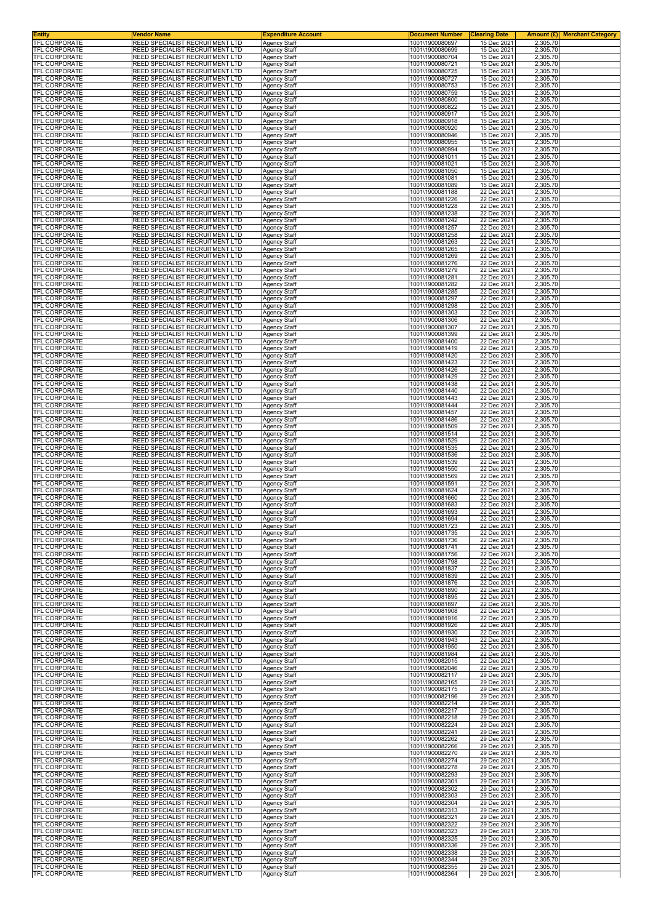| Entity<br><b>TFL CORPORATE</b>               | Vendor Name<br>REED SPECIALIST RECRUITMENT LTD                     | <b>Expenditure Account</b>                 | <b>Document Number</b><br>1001\1900080697 | <b>Clearing Date</b><br>15 Dec 2021 | Amount (£) <br><b>Merchant Category</b><br>2,305.70 |
|----------------------------------------------|--------------------------------------------------------------------|--------------------------------------------|-------------------------------------------|-------------------------------------|-----------------------------------------------------|
| TFL CORPORATE                                | REED SPECIALIST RECRUITMENT LTD                                    | <b>Agency Staff</b><br>Agency Staff        | 1001\1900080699                           | 15 Dec 2021                         | 2,305.70                                            |
| TFL CORPORATE                                | REED SPECIALIST RECRUITMENT LTD                                    | Agency Staff                               | 1001\1900080704                           | 15 Dec 2021                         | 2,305.70                                            |
| TFL CORPORATE<br>TFL CORPORATE               | REED SPECIALIST RECRUITMENT LTD<br>REED SPECIALIST RECRUITMENT LTD | <b>Agency Staff</b><br>Agency Staff        | 1001\1900080721<br>1001\1900080725        | 15 Dec 2021<br>15 Dec 2021          | 2,305.70<br>2,305.70                                |
| TFL CORPORATE                                | REED SPECIALIST RECRUITMENT LTD                                    | Agency Staff                               | 1001\1900080727                           | 15 Dec 2021                         | 2,305.70                                            |
| TFL CORPORATE                                | REED SPECIALIST RECRUITMENT LTD<br>REED SPECIALIST RECRUITMENT LTD | Agency Staff                               | 1001\1900080753<br>1001\1900080759        | 15 Dec 2021<br>15 Dec 2021          | 2,305.70                                            |
| TFL CORPORATE<br>TFL CORPORATE               | REED SPECIALIST RECRUITMENT LTD                                    | Agency Staff<br>Agency Staff               | 1001\1900080800                           | 15 Dec 2021                         | 2,305.70<br>2,305.70                                |
| TFL CORPORATE                                | REED SPECIALIST RECRUITMENT LTD                                    | Agency Staff                               | 1001\1900080822                           | 15 Dec 2021                         | 2,305.70                                            |
| TFL CORPORATE<br>TFL CORPORATE               | REED SPECIALIST RECRUITMENT LTD<br>REED SPECIALIST RECRUITMENT LTD | Agency Staff<br>Agency Staff               | 1001\1900080917<br>1001\1900080918        | 15 Dec 2021<br>15 Dec 2021          | 2,305.70<br>2,305.70                                |
| TFL CORPORATE                                | REED SPECIALIST RECRUITMENT LTD                                    | Agency Staff                               | 1001\1900080920                           | 15 Dec 2021                         | 2,305.70                                            |
| TFL CORPORATE<br>TFL CORPORATE               | REED SPECIALIST RECRUITMENT LTD<br>REED SPECIALIST RECRUITMENT LTD | <b>Agency Staff</b>                        | 1001\1900080946                           | 15 Dec 2021                         | 2,305.70                                            |
| <b>TFL CORPORATE</b>                         | REED SPECIALIST RECRUITMENT LTD                                    | Agency Staff<br>Agency Staff               | 1001\1900080955<br>1001\1900080994        | 15 Dec 2021<br>15 Dec 2021          | 2,305.70<br>2,305.70                                |
| TFL CORPORATE                                | REED SPECIALIST RECRUITMENT LTD                                    | <b>Agency Staff</b>                        | 1001\1900081011                           | 15 Dec 2021                         | 2,305.70                                            |
| TFL CORPORATE<br>TFL CORPORATE               | REED SPECIALIST RECRUITMENT LTD<br>REED SPECIALIST RECRUITMENT LTD | Agency Staff<br>Agency Staff               | 1001\1900081021<br>1001\1900081050        | 15 Dec 2021<br>15 Dec 2021          | 2,305.70<br>2,305.70                                |
| <b>TFL CORPORATE</b>                         | REED SPECIALIST RECRUITMENT LTD                                    | Agency Staff                               | 1001\1900081081                           | 15 Dec 2021                         | 2,305.70                                            |
| TFL CORPORATE                                | REED SPECIALIST RECRUITMENT LTD                                    | <b>Agency Staff</b>                        | 1001\1900081089                           | 15 Dec 2021<br>22 Dec 2021          | 2,305.70                                            |
| TFL CORPORATE<br>TFL CORPORATE               | REED SPECIALIST RECRUITMENT LTD<br>REED SPECIALIST RECRUITMENT LTD | <b>Agency Staff</b><br>Agency Staff        | 1001\1900081188<br>1001\1900081226        | 22 Dec 2021                         | 2,305.70<br>2,305.70                                |
| <b>TFL CORPORATE</b>                         | REED SPECIALIST RECRUITMENT LTD                                    | Agency Staff                               | 1001\1900081228                           | 22 Dec 2021                         | 2,305.70                                            |
| <b>TFL CORPORATE</b><br><b>TFL CORPORATE</b> | REED SPECIALIST RECRUITMENT LTD<br>REED SPECIALIST RECRUITMENT LTD | Agency Staff<br><b>Agency Staff</b>        | 1001\1900081238<br>1001\1900081242        | 22 Dec 2021<br>22 Dec 2021          | 2,305.70<br>2,305.70                                |
| TFL CORPORATE                                | REED SPECIALIST RECRUITMENT LTD                                    | <b>Agency Staff</b>                        | 1001\1900081257                           | 22 Dec 2021                         | 2,305.70                                            |
| TFL CORPORATE                                | REED SPECIALIST RECRUITMENT LTD                                    | Agency Staff                               | 1001\1900081258                           | 22 Dec 2021                         | 2,305.70                                            |
| TFL CORPORATE<br>TFL CORPORATE               | REED SPECIALIST RECRUITMENT LTD<br>REED SPECIALIST RECRUITMENT LTD | <b>Agency Staff</b><br>Agency Staff        | 1001\1900081263<br>1001\1900081265        | 22 Dec 2021<br>22 Dec 2021          | 2,305.70<br>2,305.70                                |
| TFL CORPORATE                                | REED SPECIALIST RECRUITMENT LTD                                    | Agency Staff                               | 1001\1900081269                           | 22 Dec 2021                         | 2,305.70                                            |
| TFL CORPORATE<br>TFL CORPORATE               | REED SPECIALIST RECRUITMENT LTD<br>REED SPECIALIST RECRUITMENT LTD | <b>Agency Staff</b><br><b>Agency Staff</b> | 1001\1900081276<br>1001\1900081279        | 22 Dec 2021<br>22 Dec 2021          | 2,305.70<br>2,305.70                                |
| TFL CORPORATE                                | REED SPECIALIST RECRUITMENT LTD                                    | Agency Staff                               | 1001\1900081281                           | 22 Dec 2021                         | 2,305.70                                            |
| TFL CORPORATE                                | REED SPECIALIST RECRUITMENT LTD                                    | Agency Staff                               | 1001\1900081282                           | 22 Dec 2021                         | 2,305.70                                            |
| <b>TFL CORPORATE</b><br>TFL CORPORATE        | REED SPECIALIST RECRUITMENT LTD<br>REED SPECIALIST RECRUITMENT LTD | <b>Agency Staff</b><br>Agency Staff        | 1001\1900081285<br>1001\1900081297        | 22 Dec 2021<br>22 Dec 2021          | 2,305.70<br>2,305.70                                |
| TFL CORPORATE                                | REED SPECIALIST RECRUITMENT LTD                                    | Agency Staff                               | 1001\1900081298                           | 22 Dec 2021                         | 2,305.70                                            |
| TFL CORPORATE<br><b>TFL CORPORATE</b>        | REED SPECIALIST RECRUITMENT LTD<br>REED SPECIALIST RECRUITMENT LTD | <b>Agency Staff</b><br>Agency Staff        | 1001\1900081303<br>1001\1900081306        | 22 Dec 2021<br>22 Dec 2021          | 2,305.70<br>2,305.70                                |
| TFL CORPORATE                                | REED SPECIALIST RECRUITMENT LTD                                    | Agency Staff                               | 1001\1900081307                           | 22 Dec 2021                         | 2,305.70                                            |
| <b>TFL CORPORATE</b>                         | REED SPECIALIST RECRUITMENT LTD<br>REED SPECIALIST RECRUITMENT LTD | Agency Staff                               | 1001\1900081399                           | 22 Dec 2021<br>22 Dec 2021          | 2,305.70                                            |
| TFL CORPORATE<br>TFL CORPORATE               | REED SPECIALIST RECRUITMENT LTD                                    | Agency Staff<br>Agency Staff               | 1001\1900081400<br>1001\1900081419        | 22 Dec 2021                         | 2,305.70<br>2,305.70                                |
| TFL CORPORATE                                | REED SPECIALIST RECRUITMENT LTD                                    | Agency Staff                               | 1001\1900081420                           | 22 Dec 2021                         | 2,305.70                                            |
| TFL CORPORATE<br>TFL CORPORATE               | REED SPECIALIST RECRUITMENT LTD<br>REED SPECIALIST RECRUITMENT LTD | Agency Staff<br>Agency Staff               | 1001\1900081423<br>1001\1900081426        | 22 Dec 2021<br>22 Dec 2021          | 2,305.70<br>2,305.70                                |
| <b>TFL CORPORATE</b>                         | REED SPECIALIST RECRUITMENT LTD                                    | Agency Staff                               | 1001\1900081429                           | 22 Dec 2021                         | 2,305.70                                            |
| <b>TFL CORPORATE</b>                         | REED SPECIALIST RECRUITMENT LTD                                    | Agency Staff                               | 1001\1900081438                           | 22 Dec 2021                         | 2,305.70                                            |
| TFL CORPORATE<br>TFL CORPORATE               | REED SPECIALIST RECRUITMENT LTD<br>REED SPECIALIST RECRUITMENT LTD | Agency Staff<br><b>Agency Staff</b>        | 1001\1900081440<br>1001\1900081443        | 22 Dec 2021<br>22 Dec 2021          | 2,305.70<br>2,305.70                                |
| TFL CORPORATE                                | REED SPECIALIST RECRUITMENT LTD                                    | Agency Staff                               | 1001\1900081444                           | 22 Dec 2021                         | 2,305.70                                            |
| TFL CORPORATE<br>TFL CORPORATE               | REED SPECIALIST RECRUITMENT LTD<br>REED SPECIALIST RECRUITMENT LTD | Agency Staff<br>Agency Staff               | 1001\1900081457<br>1001\1900081486        | 22 Dec 2021<br>22 Dec 2021          | 2,305.70<br>2,305.70                                |
| TFL CORPORATE                                | REED SPECIALIST RECRUITMENT LTD                                    | Agency Staff                               | 1001\1900081509                           | 22 Dec 2021                         | 2,305.70                                            |
| TFL CORPORATE                                | REED SPECIALIST RECRUITMENT LTD                                    | Agency Staff                               | 1001\1900081514                           | 22 Dec 2021                         | 2,305.70                                            |
| <b>TFL CORPORATE</b><br>TFL CORPORATE        | REED SPECIALIST RECRUITMENT LTD<br>REED SPECIALIST RECRUITMENT LTD | <b>Agency Staff</b><br>Agency Staff        | 1001\1900081529<br>1001\1900081535        | 22 Dec 2021<br>22 Dec 2021          | 2,305.70<br>2,305.70                                |
| TFL CORPORATE                                | REED SPECIALIST RECRUITMENT LTD                                    | Agency Staff                               | 1001\1900081536                           | 22 Dec 2021                         | 2,305.70                                            |
| TFL CORPORATE<br>TFL CORPORATE               | REED SPECIALIST RECRUITMENT LTD<br>REED SPECIALIST RECRUITMENT LTD | Agency Staff<br><b>Agency Staff</b>        | 1001\1900081539<br>1001\1900081550        | 22 Dec 2021<br>22 Dec 2021          | 2,305.70<br>2,305.70                                |
| TFL CORPORATE                                | REED SPECIALIST RECRUITMENT LTD                                    | Agency Staff                               | 1001\1900081569                           | 22 Dec 2021                         | 2,305.70                                            |
| TFL CORPORATE<br><b>TFL CORPORATE</b>        | REED SPECIALIST RECRUITMENT LTD<br>REED SPECIALIST RECRUITMENT LTD | Agency Staff<br>Agency Staff               | 1001\1900081591<br>1001\1900081624        | 22 Dec 2021<br>22 Dec 2021          | 2,305.70<br>2,305.70                                |
| <b>TFL CORPORATE</b>                         | REED SPECIALIST RECRUITMENT LTD                                    | Agency Staff                               | 1001\1900081660                           | 22 Dec 2021                         | 2,305.70                                            |
| <b>TFL CORPORATE</b>                         | REED SPECIALIST RECRUITMENT LTD                                    | Agency Staff                               | 1001\1900081683                           | 22 Dec 2021                         | 2,305.70                                            |
| TFL CORPORATE<br>TFL CORPORATE               | REED SPECIALIST RECRUITMENT LTD<br>REED SPECIALIST RECRUITMENT LTD | Agency Staff<br>Agency Staff               | 1001\1900081693<br>1001\1900081694        | 22 Dec 2021<br>22 Dec 2021          | 2,305.70<br>2,305.70                                |
| <b>IFL CORPORATE</b>                         | REED SPECIALIST RECRUITMENT LTD                                    | Agency Staff                               | 1001\1900081723                           | 22 Dec 2021                         | 2.305.70                                            |
| <b>TFL CORPORATE</b><br><b>TFL CORPORATE</b> | REED SPECIALIST RECRUITMENT LTD<br>REED SPECIALIST RECRUITMENT LTD | <b>Agency Staff</b>                        | 1001\1900081735<br>1001\1900081736        | 22 Dec 2021<br>22 Dec 2021          | 2,305.70<br>2,305.70                                |
| TFL CORPORATE                                | REED SPECIALIST RECRUITMENT LTD                                    | Agency Staff<br>Agency Staff               | 1001\1900081741                           | 22 Dec 2021                         | 2,305.70                                            |
| <b>TFL CORPORATE</b>                         | REED SPECIALIST RECRUITMENT LTD                                    | <b>Agency Staff</b>                        | 1001\1900081756                           | 22 Dec 2021                         | 2,305.70                                            |
| TFL CORPORATE<br>TFL CORPORATE               | REED SPECIALIST RECRUITMENT LTD<br>REED SPECIALIST RECRUITMENT LTD | Agency Staff<br>Agency Staff               | 1001\1900081798<br>1001\1900081837        | 22 Dec 2021<br>22 Dec 2021          | 2,305.70<br>2,305.70                                |
| TFL CORPORATE                                | REED SPECIALIST RECRUITMENT LTD                                    | <b>Agency Staff</b>                        | 1001\1900081839                           | 22 Dec 2021                         | 2,305.70                                            |
| TFL CORPORATE<br>TFL CORPORATE               | REED SPECIALIST RECRUITMENT LTD<br>REED SPECIALIST RECRUITMENT LTD | Agency Staff                               | 1001\1900081876<br>1001\1900081890        | 22 Dec 2021<br>22 Dec 2021          | 2,305.70<br>2,305.70                                |
| TFL CORPORATE                                | REED SPECIALIST RECRUITMENT LTD                                    | <b>Agency Staff</b><br>Agency Staff        | 1001\1900081895                           | 22 Dec 2021                         | 2,305.70                                            |
| <b>TFL CORPORATE</b>                         | REED SPECIALIST RECRUITMENT LTD                                    | Agency Staff                               | 1001\1900081897                           | 22 Dec 2021                         | 2,305.70                                            |
| TFL CORPORATE<br>TFL CORPORATE               | REED SPECIALIST RECRUITMENT LTD<br>REED SPECIALIST RECRUITMENT LTD | Agency Staff<br><b>Agency Staff</b>        | 1001\1900081908<br>1001\1900081916        | 22 Dec 2021<br>22 Dec 2021          | 2,305.70<br>2,305.70                                |
| <b>TFL CORPORATE</b>                         | REED SPECIALIST RECRUITMENT LTD                                    | <b>Agency Staff</b>                        | 1001\1900081926                           | 22 Dec 2021                         | 2,305.70                                            |
| TFL CORPORATE<br><b>TFL CORPORATE</b>        | REED SPECIALIST RECRUITMENT LTD<br>REED SPECIALIST RECRUITMENT LTD | Agency Staff<br><b>Agency Staff</b>        | 1001\1900081930<br>1001\1900081943        | 22 Dec 2021<br>22 Dec 2021          | 2,305.70<br>2,305.70                                |
| <b>TFL CORPORATE</b>                         | REED SPECIALIST RECRUITMENT LTD                                    | Agency Staff                               | 1001\1900081950                           | 22 Dec 2021                         | 2,305.70                                            |
| TFL CORPORATE                                | REED SPECIALIST RECRUITMENT LTD                                    | Agency Staff                               | 1001\1900081984                           | 22 Dec 2021                         | 2,305.70                                            |
| TFL CORPORATE<br><b>TFL CORPORATE</b>        | REED SPECIALIST RECRUITMENT LTD<br>REED SPECIALIST RECRUITMENT LTD | <b>Agency Staff</b><br><b>Agency Staff</b> | 1001\1900082015<br>1001\1900082046        | 22 Dec 2021<br>22 Dec 2021          | 2,305.70<br>2,305.70                                |
| TFL CORPORATE                                | REED SPECIALIST RECRUITMENT LTD                                    | Agency Staff                               | 1001\1900082117                           | 29 Dec 2021                         | 2,305.70                                            |
| TFL CORPORATE<br><b>TFL CORPORATE</b>        | REED SPECIALIST RECRUITMENT LTD<br>REED SPECIALIST RECRUITMENT LTD | Agency Staff<br><b>Agency Staff</b>        | 1001\1900082165<br>1001\1900082175        | 29 Dec 2021<br>29 Dec 2021          | 2,305.70<br>2,305.70                                |
| TFL CORPORATE                                | REED SPECIALIST RECRUITMENT LTD                                    | <b>Agency Staff</b>                        | 1001\1900082196                           | 29 Dec 2021                         | 2,305.70                                            |
| TFL CORPORATE                                | REED SPECIALIST RECRUITMENT LTD                                    | Agency Staff                               | 1001\1900082214                           | 29 Dec 2021                         | 2,305.70                                            |
| TFL CORPORATE<br>TFL CORPORATE               | REED SPECIALIST RECRUITMENT LTD<br>REED SPECIALIST RECRUITMENT LTD | Agency Staff<br>Agency Staff               | 1001\1900082217<br>1001\1900082218        | 29 Dec 2021<br>29 Dec 2021          | 2,305.70<br>2,305.70                                |
| TFL CORPORATE                                | REED SPECIALIST RECRUITMENT LTD                                    | Agency Staff                               | 1001\1900082224                           | 29 Dec 2021                         | 2,305.70                                            |
| <b>TFL CORPORATE</b><br>TFL CORPORATE        | REED SPECIALIST RECRUITMENT LTD<br>REED SPECIALIST RECRUITMENT LTD | <b>Agency Staff</b><br>Agency Staff        | 1001\1900082241<br>1001\1900082262        | 29 Dec 2021<br>29 Dec 2021          | 2,305.70<br>2,305.70                                |
| TFL CORPORATE                                | REED SPECIALIST RECRUITMENT LTD                                    | Agency Staff                               | 1001\1900082266                           | 29 Dec 2021                         | 2,305.70                                            |
| TFL CORPORATE                                | REED SPECIALIST RECRUITMENT LTD                                    | <b>Agency Staff</b>                        | 1001\1900082270                           | 29 Dec 2021                         | 2,305.70                                            |
| TFL CORPORATE<br>TFL CORPORATE               | REED SPECIALIST RECRUITMENT LTD<br>REED SPECIALIST RECRUITMENT LTD | Agency Staff<br>Agency Staff               | 1001\1900082274<br>1001\1900082278        | 29 Dec 2021<br>29 Dec 2021          | 2,305.70<br>2,305.70                                |
| <b>TFL CORPORATE</b>                         | REED SPECIALIST RECRUITMENT LTD                                    | <b>Agency Staff</b>                        | 1001\1900082293                           | 29 Dec 2021                         | 2,305.70                                            |
| <b>TFL CORPORATE</b><br>TFL CORPORATE        | REED SPECIALIST RECRUITMENT LTD<br>REED SPECIALIST RECRUITMENT LTD | Agency Staff<br>Agency Staff               | 1001\1900082301<br>1001\1900082302        | 29 Dec 2021<br>29 Dec 2021          | 2,305.70<br>2,305.70                                |
| TFL CORPORATE                                | REED SPECIALIST RECRUITMENT LTD                                    | <b>Agency Staff</b>                        | 1001\1900082303                           | 29 Dec 2021                         | 2,305.70                                            |
| TFL CORPORATE                                | REED SPECIALIST RECRUITMENT LTD                                    | Agency Staff                               | 1001\1900082304                           | 29 Dec 2021                         | 2,305.70                                            |
| TFL CORPORATE<br><b>TFL CORPORATE</b>        | REED SPECIALIST RECRUITMENT LTD<br>REED SPECIALIST RECRUITMENT LTD | Agency Staff<br>Agency Staff               | 1001\1900082313<br>1001\1900082321        | 29 Dec 2021<br>29 Dec 2021          | 2,305.70<br>2,305.70                                |
| TFL CORPORATE                                | REED SPECIALIST RECRUITMENT LTD                                    | <b>Agency Staff</b>                        | 1001\1900082322                           | 29 Dec 2021                         | 2,305.70                                            |
| TFL CORPORATE<br>TFL CORPORATE               | REED SPECIALIST RECRUITMENT LTD<br>REED SPECIALIST RECRUITMENT LTD | Agency Staff<br><b>Agency Staff</b>        | 1001\1900082323<br>1001\1900082325        | 29 Dec 2021<br>29 Dec 2021          | 2,305.70<br>2,305.70                                |
| <b>TFL CORPORATE</b>                         | REED SPECIALIST RECRUITMENT LTD                                    | <b>Agency Staff</b>                        | 1001\1900082336                           | 29 Dec 2021                         | 2,305.70                                            |
| TFL CORPORATE                                | REED SPECIALIST RECRUITMENT LTD                                    | Agency Staff                               | 1001\1900082338                           | 29 Dec 2021                         | 2,305.70                                            |
| <b>TFL CORPORATE</b><br><b>TFL CORPORATE</b> | REED SPECIALIST RECRUITMENT LTD<br>REED SPECIALIST RECRUITMENT LTD | <b>Agency Staff</b><br>Agency Staff        | 1001\1900082344<br>1001\1900082355        | 29 Dec 2021<br>29 Dec 2021          | 2,305.70<br>2,305.70                                |
| TFL CORPORATE                                | REED SPECIALIST RECRUITMENT LTD                                    | <b>Agency Staff</b>                        | 1001\1900082364                           | 29 Dec 2021                         | 2,305.70                                            |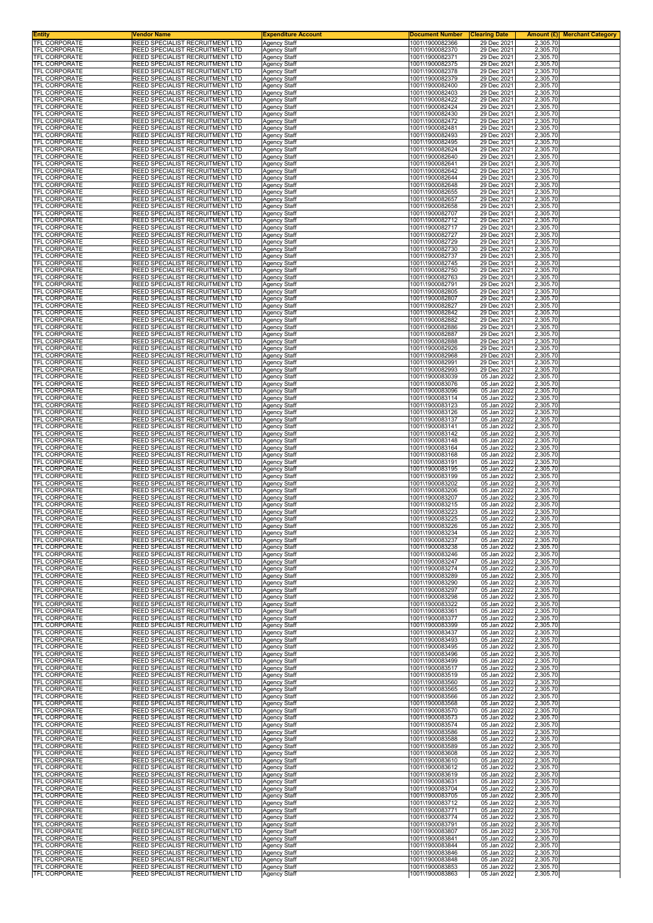| <b>Entity</b><br>TFL CORPORATE               | <b>Vendor Name</b><br>REED SPECIALIST RECRUITMENT LTD                     | <b>Expenditure Account</b>                 | <b>Document Number</b>             | <b>Clearing Date</b>       |                      | <b>Amount (£)</b> Merchant Category |
|----------------------------------------------|---------------------------------------------------------------------------|--------------------------------------------|------------------------------------|----------------------------|----------------------|-------------------------------------|
| <b>TFL CORPORATE</b>                         | <b>REED SPECIALIST RECRUITMENT LTD</b>                                    | <b>Agency Staff</b><br><b>Agency Staff</b> | 1001\1900082366<br>1001\1900082370 | 29 Dec 2021<br>29 Dec 2021 | 2,305.70<br>2,305.70 |                                     |
| <b>TFL CORPORATE</b>                         | REED SPECIALIST RECRUITMENT LTD                                           | Agency Staff                               | 1001\1900082371                    | 29 Dec 2021                | 2,305.70             |                                     |
| <b>TFL CORPORATE</b><br>TFL CORPORATE        | REED SPECIALIST RECRUITMENT LTD<br>REED SPECIALIST RECRUITMENT LTD        | <b>Agency Staff</b><br>Agency Staff        | 1001\1900082375<br>1001\1900082378 | 29 Dec 2021<br>29 Dec 2021 | 2,305.70<br>2,305.70 |                                     |
| TFL CORPORATE                                | REED SPECIALIST RECRUITMENT LTD                                           | Agency Staff                               | 1001\1900082379                    | 29 Dec 2021                | 2,305.70             |                                     |
| TFL CORPORATE<br><b>TFL CORPORATE</b>        | REED SPECIALIST RECRUITMENT LTD<br>REED SPECIALIST RECRUITMENT LTD        | <b>Agency Staff</b><br>Agency Staff        | 1001\1900082400<br>1001\1900082403 | 29 Dec 2021<br>29 Dec 2021 | 2,305.70<br>2,305.70 |                                     |
| TFL CORPORATE                                | REED SPECIALIST RECRUITMENT LTD                                           | Agency Staff                               | 1001\1900082422                    | 29 Dec 2021                | 2,305.70             |                                     |
| TFL CORPORATE<br>TFL CORPORATE               | REED SPECIALIST RECRUITMENT LTD<br>REED SPECIALIST RECRUITMENT LTD        | Agency Staff<br>Agency Staff               | 1001\1900082424<br>1001\1900082430 | 29 Dec 2021<br>29 Dec 2021 | 2,305.70<br>2,305.70 |                                     |
| TFL CORPORATE                                | REED SPECIALIST RECRUITMENT LTD                                           | Agency Staff                               | 1001\1900082472                    | 29 Dec 2021                | 2,305.70             |                                     |
| TFL CORPORATE<br>TFL CORPORATE               | REED SPECIALIST RECRUITMENT LTD<br>REED SPECIALIST RECRUITMENT LTD        | Agency Staff<br><b>Agency Staff</b>        | 1001\1900082481<br>1001\1900082493 | 29 Dec 2021<br>29 Dec 2021 | 2,305.70<br>2,305.70 |                                     |
| TFL CORPORATE                                | REED SPECIALIST RECRUITMENT LTD                                           | <b>Agency Staff</b>                        | 1001\1900082495<br>1001\1900082624 | 29 Dec 2021<br>29 Dec 2021 | 2,305.70             |                                     |
| TFL CORPORATE<br>TFL CORPORATE               | REED SPECIALIST RECRUITMENT LTD<br>REED SPECIALIST RECRUITMENT LTD        | Agency Staff<br>Agency Staff               | 1001\1900082640                    | 29 Dec 2021                | 2,305.70<br>2,305.70 |                                     |
| <b>TFL CORPORATE</b><br>TFL CORPORATE        | REED SPECIALIST RECRUITMENT LTD<br>REED SPECIALIST RECRUITMENT LTD        | <b>Agency Staff</b>                        | 1001\1900082641<br>1001\1900082642 | 29 Dec 2021<br>29 Dec 2021 | 2,305.70<br>2,305.70 |                                     |
| TFL CORPORATE                                | REED SPECIALIST RECRUITMENT LTD                                           | Agency Staff<br><b>Agency Staff</b>        | 1001\1900082644                    | 29 Dec 2021                | 2,305.70             |                                     |
| TFL CORPORATE<br>TFL CORPORATE               | REED SPECIALIST RECRUITMENT LTD<br>REED SPECIALIST RECRUITMENT LTD        | Agency Staff<br><b>Agency Staff</b>        | 1001\1900082648<br>1001\1900082655 | 29 Dec 2021<br>29 Dec 2021 | 2,305.70<br>2,305.70 |                                     |
| TFL CORPORATE                                | REED SPECIALIST RECRUITMENT LTD                                           | <b>Agency Staff</b>                        | 1001\1900082657                    | 29 Dec 2021                | 2,305.70             |                                     |
| TFL CORPORATE<br>TFL CORPORATE               | REED SPECIALIST RECRUITMENT LTD<br>REED SPECIALIST RECRUITMENT LTD        | Agency Staff<br>Agency Staff               | 1001\1900082658<br>1001\1900082707 | 29 Dec 2021<br>29 Dec 2021 | 2,305.70<br>2,305.70 |                                     |
| TFL CORPORATE                                | REED SPECIALIST RECRUITMENT LTD                                           | <b>Agency Staff</b>                        | 1001\1900082712                    | 29 Dec 2021                | 2,305.70             |                                     |
| TFL CORPORATE<br><b>TFL CORPORATE</b>        | REED SPECIALIST RECRUITMENT LTD<br>REED SPECIALIST RECRUITMENT LTD        | <b>Agency Staff</b><br>Agency Staff        | 1001\1900082717<br>1001\1900082727 | 29 Dec 2021<br>29 Dec 2021 | 2,305.70<br>2,305.70 |                                     |
| TFL CORPORATE                                | REED SPECIALIST RECRUITMENT LTD                                           | <b>Agency Staff</b>                        | 1001\1900082729                    | 29 Dec 2021                | 2,305.70             |                                     |
| TFL CORPORATE<br>TFL CORPORATE               | REED SPECIALIST RECRUITMENT LTD<br>REED SPECIALIST RECRUITMENT LTD        | Agency Staff<br>Agency Staff               | 1001\1900082730<br>1001\1900082737 | 29 Dec 2021<br>29 Dec 2021 | 2,305.70<br>2,305.70 |                                     |
| <b>TFL CORPORATE</b>                         | REED SPECIALIST RECRUITMENT LTD                                           | <b>Agency Staff</b>                        | 1001\1900082745                    | 29 Dec 2021                | 2,305.70             |                                     |
| <b>TFL CORPORATE</b><br><b>TFL CORPORATE</b> | REED SPECIALIST RECRUITMENT LTD<br>REED SPECIALIST RECRUITMENT LTD        | <b>Agency Staff</b><br>Agency Staff        | 1001\1900082750<br>1001\1900082763 | 29 Dec 2021<br>29 Dec 2021 | 2,305.70<br>2,305.70 |                                     |
| TFL CORPORATE                                | REED SPECIALIST RECRUITMENT LTD                                           | Agency Staff                               | 1001\1900082791                    | 29 Dec 2021                | 2,305.70             |                                     |
| <b>TFL CORPORATE</b><br><b>TFL CORPORATE</b> | REED SPECIALIST RECRUITMENT LTD<br>REED SPECIALIST RECRUITMENT LTD        | <b>Agency Staff</b><br><b>Agency Staff</b> | 1001\1900082805<br>1001\1900082807 | 29 Dec 2021<br>29 Dec 2021 | 2,305.70<br>2,305.70 |                                     |
| TFL CORPORATE                                | REED SPECIALIST RECRUITMENT LTD                                           | Agency Staff                               | 1001\1900082827                    | 29 Dec 2021                | 2,305.70             |                                     |
| TFL CORPORATE<br>TFL CORPORATE               | REED SPECIALIST RECRUITMENT LTD<br>REED SPECIALIST RECRUITMENT LTD        | <b>Agency Staff</b><br>Agency Staff        | 1001\1900082842<br>1001\1900082882 | 29 Dec 2021<br>29 Dec 2021 | 2,305.70<br>2,305.70 |                                     |
| <b>TFL CORPORATE</b>                         | REED SPECIALIST RECRUITMENT LTD                                           | Agency Staff                               | 1001\1900082886                    | 29 Dec 2021                | 2,305.70             |                                     |
| <b>TFL CORPORATE</b><br><b>TFL CORPORATE</b> | REED SPECIALIST RECRUITMENT LTD<br>REED SPECIALIST RECRUITMENT LTD        | Agency Staff<br>Agency Staff               | 1001\1900082887<br>1001\1900082888 | 29 Dec 2021<br>29 Dec 2021 | 2,305.70<br>2,305.70 |                                     |
| <b>TFL CORPORATE</b>                         | REED SPECIALIST RECRUITMENT LTD                                           | <b>Agency Staff</b>                        | 1001\1900082926                    | 29 Dec 2021                | 2,305.70             |                                     |
| TFL CORPORATE<br>TFL CORPORATE               | REED SPECIALIST RECRUITMENT LTD<br>REED SPECIALIST RECRUITMENT LTD        | <b>Agency Staff</b><br>Agency Staff        | 1001\1900082968<br>1001\1900082991 | 29 Dec 2021<br>29 Dec 2021 | 2,305.70<br>2,305.70 |                                     |
| TFL CORPORATE<br><b>TFL CORPORATE</b>        | REED SPECIALIST RECRUITMENT LTD<br>REED SPECIALIST RECRUITMENT LTD        | Agency Staff<br><b>Agency Staff</b>        | 1001\1900082993<br>1001\1900083039 | 29 Dec 2021<br>05 Jan 2022 | 2,305.70<br>2,305.70 |                                     |
| TFL CORPORATE                                | REED SPECIALIST RECRUITMENT LTD                                           | Agency Staff                               | 1001\1900083076                    | 05 Jan 2022                | 2,305.70             |                                     |
| TFL CORPORATE<br>TFL CORPORATE               | REED SPECIALIST RECRUITMENT LTD<br>REED SPECIALIST RECRUITMENT LTD        | Agency Staff<br><b>Agency Staff</b>        | 1001\1900083096<br>1001\1900083114 | 05 Jan 2022<br>05 Jan 2022 | 2,305.70<br>2,305.70 |                                     |
| TFL CORPORATE                                | <b>REED SPECIALIST RECRUITMENT LTD</b>                                    | Agency Staff                               | 1001\1900083123                    | 05 Jan 2022                | 2,305.70             |                                     |
| TFL CORPORATE<br>TFL CORPORATE               | REED SPECIALIST RECRUITMENT LTD<br>REED SPECIALIST RECRUITMENT LTD        | Agency Staff<br><b>Agency Staff</b>        | 1001\1900083126<br>1001\1900083137 | 05 Jan 2022<br>05 Jan 2022 | 2,305.70<br>2,305.70 |                                     |
| TFL CORPORATE                                | REED SPECIALIST RECRUITMENT LTD                                           | Agency Staff                               | 1001\1900083141                    | 05 Jan 2022                | 2,305.70             |                                     |
| TFL CORPORATE<br>TFL CORPORATE               | REED SPECIALIST RECRUITMENT LTD<br>REED SPECIALIST RECRUITMENT LTD        | Agency Staff<br><b>Agency Staff</b>        | 1001\1900083142<br>1001\1900083148 | 05 Jan 2022<br>05 Jan 2022 | 2,305.70<br>2,305.70 |                                     |
| TFL CORPORATE<br>TFL CORPORATE               | REED SPECIALIST RECRUITMENT LTD<br>REED SPECIALIST RECRUITMENT LTD        | Agency Staff                               | 1001\1900083164<br>1001\1900083168 | 05 Jan 2022                | 2,305.70             |                                     |
| TFL CORPORATE                                | REED SPECIALIST RECRUITMENT LTD                                           | Agency Staff<br>Agency Staff               | 1001\1900083191                    | 05 Jan 2022<br>05 Jan 2022 | 2,305.70<br>2,305.70 |                                     |
| TFL CORPORATE<br>TFL CORPORATE               | REED SPECIALIST RECRUITMENT LTD<br>REED SPECIALIST RECRUITMENT LTD        | Agency Staff<br>Agency Staff               | 1001\1900083195<br>1001\1900083199 | 05 Jan 2022<br>05 Jan 2022 | 2,305.70<br>2,305.70 |                                     |
| <b>TFL CORPORATE</b>                         | REED SPECIALIST RECRUITMENT LTD                                           | Agency Staff                               | 1001\1900083202                    | 05 Jan 2022                | 2,305.70             |                                     |
| TFL CORPORATE<br><b>TFL CORPORATE</b>        | <b>REED SPECIALIST RECRUITMENT LTD</b><br>REED SPECIALIST RECRUITMENT LTD | <b>Agency Staff</b><br>Agency Staff        | 1001\1900083206<br>1001\1900083207 | 05 Jan 2022<br>05 Jan 2022 | 2,305.70<br>2,305.70 |                                     |
| TFL CORPORATE                                | REED SPECIALIST RECRUITMENT LTD                                           | Agency Staff                               | 1001\1900083215                    | 05 Jan 2022                | 2,305.70             |                                     |
| TFL CORPORATE<br>TFL CORPORATE               | REED SPECIALIST RECRUITMENT LTD<br>REED SPECIALIST RECRUITMENT LTD        | Agency Staff<br><b>Agency Staff</b>        | 1001\1900083223<br>1001\1900083225 | 05 Jan 2022<br>05 Jan 2022 | 2,305.70<br>2,305.70 |                                     |
| <b>IFL CORPORATE</b><br>TFL CORPORATE        | REED SPECIALIST RECRUITMENT LTD<br><b>REED SPECIALIST RECRUITMENT LTD</b> | Agency Staff<br><b>Agency Staff</b>        | 1001\1900083226<br>1001\1900083234 | 05 Jan 2022<br>05 Jan 2022 | 2,305.70<br>2,305.70 |                                     |
| <b>TFL CORPORATE</b>                         | REED SPECIALIST RECRUITMENT LTD                                           | <b>Agency Staff</b>                        | 1001\1900083237                    | 05 Jan 2022                | 2,305.70             |                                     |
| TFL CORPORATE<br>TFL CORPORATE               | REED SPECIALIST RECRUITMENT LTD<br>REED SPECIALIST RECRUITMENT LTD        | Agency Staff<br>Agency Staff               | 1001\1900083238<br>1001\1900083246 | 05 Jan 2022<br>05 Jan 2022 | 2,305.70<br>2,305.70 |                                     |
| TFL CORPORATE                                | REED SPECIALIST RECRUITMENT LTD                                           | Agency Staff                               | 1001\1900083247                    | 05 Jan 2022                | 2,305.70             |                                     |
| TFL CORPORATE<br>TFL CORPORATE               | REED SPECIALIST RECRUITMENT LTD<br><b>REED SPECIALIST RECRUITMENT LTD</b> | Agency Staff<br><b>Agency Staff</b>        | 1001\1900083274<br>1001\1900083289 | 05 Jan 2022<br>05 Jan 2022 | 2,305.70<br>2,305.70 |                                     |
| TFL CORPORATE                                | <b>REED SPECIALIST RECRUITMENT LTD</b>                                    | <b>Agency Staff</b>                        | 1001\1900083290                    | 05 Jan 2022                | 2,305.70             |                                     |
| TFL CORPORATE<br><b>TFL CORPORATE</b>        | REED SPECIALIST RECRUITMENT LTD<br>REED SPECIALIST RECRUITMENT LTD        | Agency Staff<br><b>Agency Staff</b>        | 1001\1900083297<br>1001\1900083298 | 05 Jan 2022<br>05 Jan 2022 | 2,305.70<br>2,305.70 |                                     |
| <b>TFL CORPORATE</b>                         | <b>REED SPECIALIST RECRUITMENT LTD</b>                                    | <b>Agency Staff</b>                        | 1001\1900083322                    | 05 Jan 2022                | 2,305.70             |                                     |
| TFL CORPORATE<br><b>TFL CORPORATE</b>        | REED SPECIALIST RECRUITMENT LTD<br>REED SPECIALIST RECRUITMENT LTD        | <b>Agency Staff</b><br><b>Agency Staff</b> | 1001\1900083361<br>1001\1900083377 | 05 Jan 2022<br>05 Jan 2022 | 2,305.70<br>2,305.70 |                                     |
| TFL CORPORATE                                | <b>REED SPECIALIST RECRUITMENT LTD</b>                                    | <b>Agency Staff</b>                        | 1001\1900083399                    | 05 Jan 2022                | 2,305.70             |                                     |
| TFL CORPORATE<br>TFL CORPORATE               | REED SPECIALIST RECRUITMENT LTD<br>REED SPECIALIST RECRUITMENT LTD        | Agency Staff<br>Agency Staff               | 1001\1900083437<br>1001\1900083493 | 05 Jan 2022<br>05 Jan 2022 | 2,305.70<br>2,305.70 |                                     |
| TFL CORPORATE<br>TFL CORPORATE               | <b>REED SPECIALIST RECRUITMENT LTD</b><br>REED SPECIALIST RECRUITMENT LTD | Agency Staff<br>Agency Staff               | 1001\1900083495<br>1001\1900083496 | 05 Jan 2022<br>05 Jan 2022 | 2,305.70<br>2,305.70 |                                     |
| <b>TFL CORPORATE</b>                         | REED SPECIALIST RECRUITMENT LTD                                           | <b>Agency Staff</b>                        | 1001\1900083499                    | 05 Jan 2022                | 2,305.70             |                                     |
| TFL CORPORATE<br>TFL CORPORATE               | <b>REED SPECIALIST RECRUITMENT LTD</b><br>REED SPECIALIST RECRUITMENT LTD | <b>Agency Staff</b><br>Agency Staff        | 1001\1900083517<br>1001\1900083519 | 05 Jan 2022<br>05 Jan 2022 | 2,305.70<br>2,305.70 |                                     |
| TFL CORPORATE                                | REED SPECIALIST RECRUITMENT LTD                                           | Agency Staff                               | 1001\1900083560                    | 05 Jan 2022                | 2,305.70             |                                     |
| TFL CORPORATE<br>TFL CORPORATE               | <b>REED SPECIALIST RECRUITMENT LTD</b><br>REED SPECIALIST RECRUITMENT LTD | <b>Agency Staff</b><br><b>Agency Staff</b> | 1001\1900083565<br>1001\1900083566 | 05 Jan 2022<br>05 Jan 2022 | 2,305.70<br>2,305.70 |                                     |
| TFL CORPORATE                                | REED SPECIALIST RECRUITMENT LTD                                           | Agency Staff                               | 1001\1900083568                    | 05 Jan 2022                | 2,305.70             |                                     |
| TFL CORPORATE<br>TFL CORPORATE               | <b>REED SPECIALIST RECRUITMENT LTD</b><br>REED SPECIALIST RECRUITMENT LTD | <b>Agency Staff</b><br>Agency Staff        | 1001\1900083570<br>1001\1900083573 | 05 Jan 2022<br>05 Jan 2022 | 2,305.70<br>2,305.70 |                                     |
| TFL CORPORATE<br><b>TFL CORPORATE</b>        | REED SPECIALIST RECRUITMENT LTD<br>REED SPECIALIST RECRUITMENT LTD        | Agency Staff                               | 1001\1900083574<br>1001\1900083586 | 05 Jan 2022<br>05 Jan 2022 | 2,305.70<br>2,305.70 |                                     |
| TFL CORPORATE                                | REED SPECIALIST RECRUITMENT LTD                                           | Agency Staff<br>Agency Staff               | 1001\1900083588                    | 05 Jan 2022                | 2,305.70             |                                     |
| TFL CORPORATE<br>TFL CORPORATE               | REED SPECIALIST RECRUITMENT LTD<br><b>REED SPECIALIST RECRUITMENT LTD</b> | Agency Staff<br><b>Agency Staff</b>        | 1001\1900083589<br>1001\1900083608 | 05 Jan 2022<br>05 Jan 2022 | 2,305.70<br>2,305.70 |                                     |
| TFL CORPORATE                                | REED SPECIALIST RECRUITMENT LTD                                           | Agency Staff                               | 1001\1900083610                    | 05 Jan 2022                | 2,305.70             |                                     |
| TFL CORPORATE<br>TFL CORPORATE               | REED SPECIALIST RECRUITMENT LTD<br>REED SPECIALIST RECRUITMENT LTD        | Agency Staff<br>Agency Staff               | 1001\1900083612<br>1001\1900083619 | 05 Jan 2022<br>05 Jan 2022 | 2,305.70<br>2,305.70 |                                     |
| <b>TFL CORPORATE</b>                         | <b>REED SPECIALIST RECRUITMENT LTD</b>                                    | Agency Staff                               | 1001\1900083631                    | 05 Jan 2022                | 2,305.70             |                                     |
| TFL CORPORATE<br>TFL CORPORATE               | REED SPECIALIST RECRUITMENT LTD<br>REED SPECIALIST RECRUITMENT LTD        | <b>Agency Staff</b><br><b>Agency Staff</b> | 1001\1900083704<br>1001\1900083705 | 05 Jan 2022<br>05 Jan 2022 | 2,305.70<br>2,305.70 |                                     |
| TFL CORPORATE<br>TFL CORPORATE               | REED SPECIALIST RECRUITMENT LTD<br>REED SPECIALIST RECRUITMENT LTD        | Agency Staff<br><b>Agency Staff</b>        | 1001\1900083712<br>1001\1900083771 | 05 Jan 2022<br>05 Jan 2022 | 2,305.70<br>2,305.70 |                                     |
| TFL CORPORATE                                | REED SPECIALIST RECRUITMENT LTD                                           | Agency Staff                               | 1001\1900083774                    | 05 Jan 2022                | 2,305.70             |                                     |
| TFL CORPORATE<br>TFL CORPORATE               | REED SPECIALIST RECRUITMENT LTD<br>REED SPECIALIST RECRUITMENT LTD        | <b>Agency Staff</b><br>Agency Staff        | 1001\1900083791<br>1001\1900083807 | 05 Jan 2022<br>05 Jan 2022 | 2,305.70<br>2,305.70 |                                     |
| TFL CORPORATE                                | <b>REED SPECIALIST RECRUITMENT LTD</b>                                    | <b>Agency Staff</b>                        | 1001\1900083841                    | 05 Jan 2022                | 2,305.70             |                                     |
| TFL CORPORATE<br>TFL CORPORATE               | <b>REED SPECIALIST RECRUITMENT LTD</b><br>REED SPECIALIST RECRUITMENT LTD | <b>Agency Staff</b><br>Agency Staff        | 1001\1900083844<br>1001\1900083846 | 05 Jan 2022<br>05 Jan 2022 | 2,305.70<br>2,305.70 |                                     |
| <b>TFL CORPORATE</b><br><b>TFL CORPORATE</b> | REED SPECIALIST RECRUITMENT LTD                                           | <b>Agency Staff</b>                        | 1001\1900083848<br>1001\1900083853 | 05 Jan 2022                | 2,305.70             |                                     |
| TFL CORPORATE                                | REED SPECIALIST RECRUITMENT LTD<br>REED SPECIALIST RECRUITMENT LTD        | Agency Staff<br>Agency Staff               | 1001\1900083863                    | 05 Jan 2022<br>05 Jan 2022 | 2,305.70<br>2,305.70 |                                     |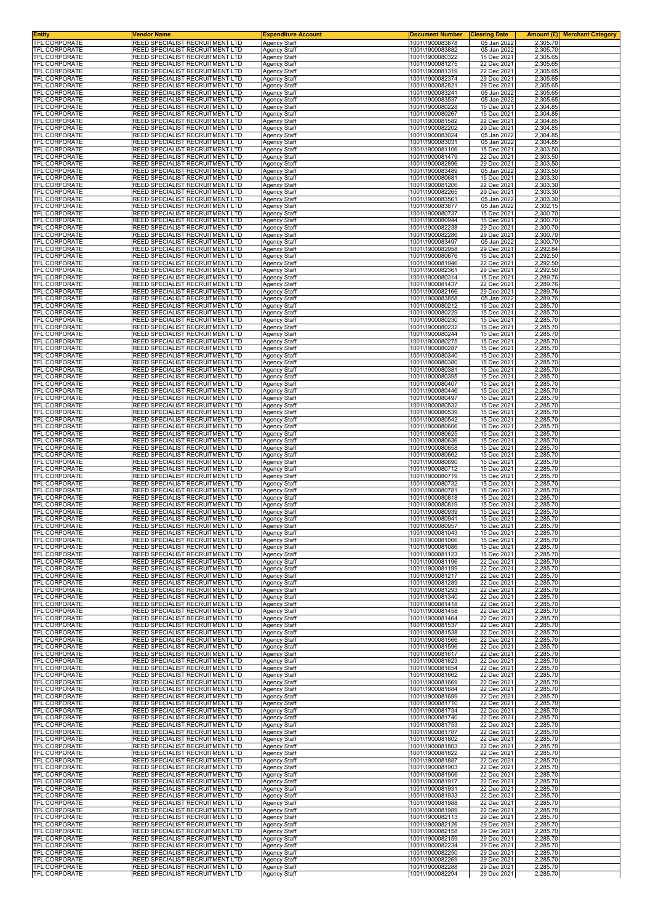| <b>Entity</b><br>TFL CORPORATE               | <b>Vendor Name</b><br>REED SPECIALIST RECRUITMENT LTD              | <b>Expenditure Account</b>                 | <b>Document Number</b>             | <b>Clearing Date</b>       | <b>Amount (£) Merchant Category</b> |
|----------------------------------------------|--------------------------------------------------------------------|--------------------------------------------|------------------------------------|----------------------------|-------------------------------------|
| <b>TFL CORPORATE</b>                         | REED SPECIALIST RECRUITMENT LTD                                    | Agency Staff<br><b>Agency Staff</b>        | 1001\1900083878<br>1001\1900083882 | 05 Jan 2022<br>05 Jan 2022 | 2,305.70<br>2,305.70                |
| <b>TFL CORPORATE</b>                         | REED SPECIALIST RECRUITMENT LTD                                    | <b>Agency Staff</b>                        | 1001\1900080322                    | 15 Dec 2021                | 2,305.65                            |
| <b>TFL CORPORATE</b><br>TFL CORPORATE        | REED SPECIALIST RECRUITMENT LTD<br>REED SPECIALIST RECRUITMENT LTD | <b>Agency Staff</b><br>Agency Staff        | 1001\1900081275<br>1001\1900081319 | 22 Dec 2021<br>22 Dec 2021 | 2,305.65<br>2,305.65                |
| TFL CORPORATE                                | REED SPECIALIST RECRUITMENT LTD                                    | <b>Agency Staff</b>                        | 1001\1900082374                    | 29 Dec 2021                | 2,305.65                            |
| TFL CORPORATE<br><b>TFL CORPORATE</b>        | REED SPECIALIST RECRUITMENT LTD<br>REED SPECIALIST RECRUITMENT LTD | <b>Agency Staff</b><br><b>Agency Staff</b> | 1001\1900082821<br>1001\1900083241 | 29 Dec 2021<br>05 Jan 2022 | 2,305.65<br>2,305.65                |
| TFL CORPORATE                                | REED SPECIALIST RECRUITMENT LTD                                    | <b>Agency Staff</b>                        | 1001\1900083537                    | 05 Jan 2022                | 2,305.65                            |
| TFL CORPORATE                                | REED SPECIALIST RECRUITMENT LTD                                    | Agency Staff                               | 1001\1900080228                    | 15 Dec 2021                | 2,304.85                            |
| TFL CORPORATE<br>TFL CORPORATE               | REED SPECIALIST RECRUITMENT LTD<br>REED SPECIALIST RECRUITMENT LTD | <b>Agency Staff</b><br><b>Agency Staff</b> | 1001\1900080267<br>1001\1900081582 | 15 Dec 2021<br>22 Dec 2021 | 2,304.85<br>2,304.85                |
| TFL CORPORATE                                | REED SPECIALIST RECRUITMENT LTD                                    | <b>Agency Staff</b>                        | 1001\1900082202                    | 29 Dec 2021                | 2,304.85                            |
| TFL CORPORATE<br>TFL CORPORATE               | REED SPECIALIST RECRUITMENT LTD<br>REED SPECIALIST RECRUITMENT LTD | <b>Agency Staff</b>                        | 1001\1900083024<br>1001\1900083031 | 05 Jan 2022<br>05 Jan 2022 | 2,304.85<br>2,304.85                |
| TFL CORPORATE                                | REED SPECIALIST RECRUITMENT LTD                                    | <b>Agency Staff</b><br>Agency Staff        | 1001\1900081106                    | 15 Dec 2021                | 2,303.50                            |
| TFL CORPORATE                                | REED SPECIALIST RECRUITMENT LTD                                    | Agency Staff                               | 1001\1900081479                    | 22 Dec 2021                | 2,303.50                            |
| <b>TFL CORPORATE</b><br>TFL CORPORATE        | REED SPECIALIST RECRUITMENT LTD<br>REED SPECIALIST RECRUITMENT LTD | <b>Agency Staff</b><br><b>Agency Staff</b> | 1001\1900082896<br>1001\1900083489 | 29 Dec 2021<br>05 Jan 2022 | 2,303.50<br>2,303.50                |
| TFL CORPORATE                                | REED SPECIALIST RECRUITMENT LTD                                    | <b>Agency Staff</b>                        | 1001\1900080681                    | 15 Dec 2021                | 2,303.30                            |
| TFL CORPORATE<br>TFL CORPORATE               | REED SPECIALIST RECRUITMENT LTD<br>REED SPECIALIST RECRUITMENT LTD | <b>Agency Staff</b><br><b>Agency Staff</b> | 1001\1900081206<br>1001\1900082265 | 22 Dec 2021<br>29 Dec 2021 | 2,303.30<br>2,303.30                |
| TFL CORPORATE                                | REED SPECIALIST RECRUITMENT LTD                                    | <b>Agency Staff</b>                        | 1001\1900083561                    | 05 Jan 2022                | 2,303.30                            |
| TFL CORPORATE                                | REED SPECIALIST RECRUITMENT LTD                                    | <b>Agency Staff</b>                        | 1001\1900083677                    | 05 Jan 2022                | 2,302.15                            |
| TFL CORPORATE<br>TFL CORPORATE               | REED SPECIALIST RECRUITMENT LTD<br>REED SPECIALIST RECRUITMENT LTD | <b>Agency Staff</b><br><b>Agency Staff</b> | 1001\1900080737<br>1001\1900080944 | 15 Dec 2021<br>15 Dec 2021 | 2,300.70<br>2,300.70                |
| TFL CORPORATE                                | REED SPECIALIST RECRUITMENT LTD                                    | <b>Agency Staff</b>                        | 1001\1900082238                    | 29 Dec 2021                | 2,300.70                            |
| <b>TFL CORPORATE</b><br>TFL CORPORATE        | REED SPECIALIST RECRUITMENT LTD<br>REED SPECIALIST RECRUITMENT LTD | <b>Agency Staff</b><br><b>Agency Staff</b> | 1001\1900082286<br>1001\1900083497 | 29 Dec 2021<br>05 Jan 2022 | 2,300.70<br>2,300.70                |
| TFL CORPORATE                                | REED SPECIALIST RECRUITMENT LTD                                    | <b>Agency Staff</b>                        | 1001\1900082958                    | 29 Dec 2021                | 2,292.84                            |
| TFL CORPORATE                                | REED SPECIALIST RECRUITMENT LTD                                    | <b>Agency Staff</b>                        | 1001\1900080676                    | 15 Dec 2021                | 2,292.50                            |
| <b>TFL CORPORATE</b><br>TFL CORPORATE        | REED SPECIALIST RECRUITMENT LTD<br>REED SPECIALIST RECRUITMENT LTD | <b>Agency Staff</b><br><b>Agency Staff</b> | 1001\1900081946<br>1001\1900082361 | 22 Dec 2021<br>29 Dec 2021 | 2,292.50<br>2,292.50                |
| TFL CORPORATE                                | REED SPECIALIST RECRUITMENT LTD                                    | <b>Agency Staff</b>                        | 1001\1900080314                    | 15 Dec 2021                | 2,289.76                            |
| TFL CORPORATE<br><b>TFL CORPORATE</b>        | REED SPECIALIST RECRUITMENT LTD<br>REED SPECIALIST RECRUITMENT LTD | Agency Staff                               | 1001\1900081437<br>1001\1900082166 | 22 Dec 2021<br>29 Dec 2021 | 2,289.76<br>2,289.76                |
| <b>TFL CORPORATE</b>                         | REED SPECIALIST RECRUITMENT LTD                                    | <b>Agency Staff</b><br><b>Agency Staff</b> | 1001\1900083858                    | 05 Jan 2022                | 2,289.76                            |
| TFL CORPORATE                                | REED SPECIALIST RECRUITMENT LTD                                    | <b>Agency Staff</b>                        | 1001\1900080212                    | 15 Dec 2021                | 2,285.70                            |
| TFL CORPORATE<br><b>TFL CORPORATE</b>        | REED SPECIALIST RECRUITMENT LTD<br>REED SPECIALIST RECRUITMENT LTD | <b>Agency Staff</b><br><b>Agency Staff</b> | 1001\1900080229<br>1001\1900080230 | 15 Dec 2021<br>15 Dec 2021 | 2,285.70<br>2,285.70                |
| TFL CORPORATE                                | REED SPECIALIST RECRUITMENT LTD                                    | Agency Staff                               | 1001\1900080232                    | 15 Dec 2021                | 2,285.70                            |
| <b>TFL CORPORATE</b><br><b>TFL CORPORATE</b> | REED SPECIALIST RECRUITMENT LTD<br>REED SPECIALIST RECRUITMENT LTD | Agency Staff<br><b>Agency Staff</b>        | 1001\1900080244<br>1001\1900080275 | 15 Dec 2021<br>15 Dec 2021 | 2,285.70<br>2,285.70                |
| <b>TFL CORPORATE</b>                         | REED SPECIALIST RECRUITMENT LTD                                    | <b>Agency Staff</b>                        | 1001\1900080287                    | 15 Dec 2021                | 2,285.70                            |
| TFL CORPORATE                                | REED SPECIALIST RECRUITMENT LTD                                    | <b>Agency Staff</b>                        | 1001\1900080340                    | 15 Dec 2021                | 2,285.70                            |
| TFL CORPORATE<br>TFL CORPORATE               | REED SPECIALIST RECRUITMENT LTD<br>REED SPECIALIST RECRUITMENT LTD | <b>Agency Staff</b><br>Agency Staff        | 1001\1900080380<br>1001\1900080381 | 15 Dec 2021<br>15 Dec 2021 | 2,285.70<br>2,285.70                |
| <b>TFL CORPORATE</b>                         | REED SPECIALIST RECRUITMENT LTD                                    | <b>Agency Staff</b>                        | 1001\1900080395                    | 15 Dec 2021                | 2,285.70                            |
| TFL CORPORATE<br>TFL CORPORATE               | REED SPECIALIST RECRUITMENT LTD<br>REED SPECIALIST RECRUITMENT LTD | <b>Agency Staff</b><br><b>Agency Staff</b> | 1001\1900080407<br>1001\1900080446 | 15 Dec 2021<br>15 Dec 2021 | 2,285.70<br>2,285.70                |
| TFL CORPORATE                                | REED SPECIALIST RECRUITMENT LTD                                    | <b>Agency Staff</b>                        | 1001\1900080497                    | 15 Dec 2021                | 2,285.70                            |
| TFL CORPORATE                                | REED SPECIALIST RECRUITMENT LTD                                    | <b>Agency Staff</b>                        | 1001\1900080532                    | 15 Dec 2021                | 2,285.70                            |
| TFL CORPORATE<br>TFL CORPORATE               | REED SPECIALIST RECRUITMENT LTD<br>REED SPECIALIST RECRUITMENT LTD | <b>Agency Staff</b><br><b>Agency Staff</b> | 1001\1900080539<br>1001\1900080542 | 15 Dec 2021<br>15 Dec 2021 | 2,285.70<br>2,285.70                |
| TFL CORPORATE                                | REED SPECIALIST RECRUITMENT LTD                                    | <b>Agency Staff</b>                        | 1001\1900080606                    | 15 Dec 2021                | 2,285.70                            |
| TFL CORPORATE<br>TFL CORPORATE               | REED SPECIALIST RECRUITMENT LTD<br>REED SPECIALIST RECRUITMENT LTD | <b>Agency Staff</b><br><b>Agency Staff</b> | 1001\1900080625<br>1001\1900080636 | 15 Dec 2021<br>15 Dec 2021 | 2,285.70<br>2,285.70                |
| TFL CORPORATE                                | REED SPECIALIST RECRUITMENT LTD                                    | <b>Agency Staff</b>                        | 1001\1900080658                    | 15 Dec 2021                | 2,285.70                            |
| TFL CORPORATE                                | REED SPECIALIST RECRUITMENT LTD                                    | <b>Agency Staff</b>                        | 1001\1900080662                    | 15 Dec 2021                | 2,285.70                            |
| TFL CORPORATE<br>TFL CORPORATE               | REED SPECIALIST RECRUITMENT LTD<br>REED SPECIALIST RECRUITMENT LTD | <b>Agency Staff</b><br>Agency Staff        | 1001\1900080690<br>1001\1900080712 | 15 Dec 2021<br>15 Dec 2021 | 2,285.70<br>2,285.70                |
| TFL CORPORATE                                | REED SPECIALIST RECRUITMENT LTD                                    | <b>Agency Staff</b>                        | 1001\1900080719                    | 15 Dec 2021                | 2,285.70                            |
| <b>TFL CORPORATE</b><br>TFL CORPORATE        | REED SPECIALIST RECRUITMENT LTD<br>REED SPECIALIST RECRUITMENT LTD | <b>Agency Staff</b>                        | 1001\1900080732<br>1001\1900080781 | 15 Dec 2021<br>15 Dec 2021 | 2,285.70<br>2,285.70                |
| <b>TFL CORPORATE</b>                         | REED SPECIALIST RECRUITMENT LTD                                    | <b>Agency Staff</b><br><b>Agency Staff</b> | 1001\1900080818                    | 15 Dec 2021                | 2,285.70                            |
| TFL CORPORATE                                | REED SPECIALIST RECRUITMENT LTD                                    | Agency Staff                               | 1001\1900080819                    | 15 Dec 2021                | 2,285.70                            |
| TFL CORPORATE<br>TFL CORPORATE               | REED SPECIALIST RECRUITMENT LTD<br>REED SPECIALIST RECRUITMENT LTD | <b>Agency Staff</b><br><b>Agency Staff</b> | 1001\1900080939<br>1001\1900080941 | 15 Dec 2021<br>15 Dec 2021 | 2,285.70<br>2,285.70                |
| <b>IFL CORPORATE</b>                         | REED SPECIALIST RECRUITMENT LTD                                    | Agency Staff                               | 1001\1900080957                    | 15 Dec 2021                | 2.285.70                            |
| <b>TFL CORPORATE</b><br><b>TFL CORPORATE</b> | REED SPECIALIST RECRUITMENT LTD<br>REED SPECIALIST RECRUITMENT LTD | <b>Agency Staff</b>                        | 1001\1900081043<br>1001\1900081066 | 15 Dec 2021<br>15 Dec 2021 | 2,285.70                            |
| TFL CORPORATE                                | REED SPECIALIST RECRUITMENT LTD                                    | <b>Agency Staff</b><br>Agency Staff        | 1001\1900081086                    | 15 Dec 2021                | 2,285.70<br>2,285.70                |
| TFL CORPORATE                                | REED SPECIALIST RECRUITMENT LTD                                    | <b>Agency Staff</b>                        | 1001\1900081123                    | 15 Dec 2021                | 2,285.70                            |
| TFL CORPORATE<br>TFL CORPORATE               | REED SPECIALIST RECRUITMENT LTD<br>REED SPECIALIST RECRUITMENT LTD | <b>Agency Staff</b><br><b>Agency Staff</b> | 1001\1900081196<br>1001\1900081199 | 22 Dec 2021<br>22 Dec 2021 | 2,285.70<br>2,285.70                |
| TFL CORPORATE                                | REED SPECIALIST RECRUITMENT LTD                                    | <b>Agency Staff</b>                        | 1001\1900081217                    | 22 Dec 2021                | 2,285.70                            |
| TFL CORPORATE                                | REED SPECIALIST RECRUITMENT LTD                                    | <b>Agency Staff</b>                        | 1001\1900081289                    | 22 Dec 2021                | 2,285.70                            |
| TFL CORPORATE<br><b>TFL CORPORATE</b>        | REED SPECIALIST RECRUITMENT LTD<br>REED SPECIALIST RECRUITMENT LTD | <b>Agency Staff</b><br><b>Agency Staff</b> | 1001\1900081293<br>1001\1900081340 | 22 Dec 2021<br>22 Dec 2021 | 2,285.70<br>2,285.70                |
| <b>TFL CORPORATE</b>                         | REED SPECIALIST RECRUITMENT LTD                                    | Agency Staff                               | 1001\1900081418                    | 22 Dec 2021                | 2,285.70                            |
| TFL CORPORATE<br><b>TFL CORPORATE</b>        | REED SPECIALIST RECRUITMENT LTD<br>REED SPECIALIST RECRUITMENT LTD | <b>Agency Staff</b><br><b>Agency Staff</b> | 1001\1900081458<br>1001\1900081464 | 22 Dec 2021<br>22 Dec 2021 | 2,285.70<br>2,285.70                |
| TFL CORPORATE                                | REED SPECIALIST RECRUITMENT LTD                                    | <b>Agency Staff</b>                        | 1001\1900081537                    | 22 Dec 2021                | 2,285.70                            |
| TFL CORPORATE<br>TFL CORPORATE               | REED SPECIALIST RECRUITMENT LTD<br>REED SPECIALIST RECRUITMENT LTD | <b>Agency Staff</b><br>Agency Staff        | 1001\1900081538<br>1001\1900081566 | 22 Dec 2021<br>22 Dec 2021 | 2,285.70<br>2,285.70                |
| <b>TFL CORPORATE</b>                         | REED SPECIALIST RECRUITMENT LTD                                    | <b>Agency Staff</b>                        | 1001\1900081596                    | 22 Dec 2021                | 2,285.70                            |
| TFL CORPORATE                                | REED SPECIALIST RECRUITMENT LTD                                    | Agency Staff                               | 1001\1900081617                    | 22 Dec 2021                | 2,285.70                            |
| <b>TFL CORPORATE</b><br>TFL CORPORATE        | REED SPECIALIST RECRUITMENT LTD<br>REED SPECIALIST RECRUITMENT LTD | <b>Agency Staff</b><br><b>Agency Staff</b> | 1001\1900081623<br>1001\1900081654 | 22 Dec 2021<br>22 Dec 2021 | 2,285.70<br>2,285.70                |
| TFL CORPORATE                                | REED SPECIALIST RECRUITMENT LTD                                    | <b>Agency Staff</b>                        | 1001\1900081662                    | 22 Dec 2021                | 2,285.70                            |
| TFL CORPORATE<br><b>TFL CORPORATE</b>        | REED SPECIALIST RECRUITMENT LTD<br>REED SPECIALIST RECRUITMENT LTD | Agency Staff<br><b>Agency Staff</b>        | 1001\1900081669<br>1001\1900081684 | 22 Dec 2021<br>22 Dec 2021 | 2,285.70<br>2,285.70                |
| TFL CORPORATE                                | REED SPECIALIST RECRUITMENT LTD                                    | <b>Agency Staff</b>                        | 1001\1900081699                    | 22 Dec 2021                | 2,285.70                            |
| TFL CORPORATE                                | REED SPECIALIST RECRUITMENT LTD                                    | <b>Agency Staff</b>                        | 1001\1900081710                    | 22 Dec 2021                | 2,285.70                            |
| TFL CORPORATE<br>TFL CORPORATE               | REED SPECIALIST RECRUITMENT LTD<br>REED SPECIALIST RECRUITMENT LTD | <b>Agency Staff</b><br><b>Agency Staff</b> | 1001\1900081734<br>1001\1900081740 | 22 Dec 2021<br>22 Dec 2021 | 2,285.70<br>2,285.70                |
| TFL CORPORATE                                | REED SPECIALIST RECRUITMENT LTD                                    | Agency Staff                               | 1001\1900081753                    | 22 Dec 2021                | 2,285.70                            |
| <b>TFL CORPORATE</b><br>TFL CORPORATE        | REED SPECIALIST RECRUITMENT LTD<br>REED SPECIALIST RECRUITMENT LTD | <b>Agency Staff</b><br><b>Agency Staff</b> | 1001\1900081787<br>1001\1900081802 | 22 Dec 2021<br>22 Dec 2021 | 2,285.70<br>2,285.70                |
| TFL CORPORATE                                | REED SPECIALIST RECRUITMENT LTD                                    | <b>Agency Staff</b>                        | 1001\1900081803                    | 22 Dec 2021                | 2,285.70                            |
| TFL CORPORATE                                | REED SPECIALIST RECRUITMENT LTD                                    | <b>Agency Staff</b>                        | 1001\1900081822                    | 22 Dec 2021                | 2,285.70                            |
| TFL CORPORATE<br>TFL CORPORATE               | REED SPECIALIST RECRUITMENT LTD<br>REED SPECIALIST RECRUITMENT LTD | <b>Agency Staff</b><br>Agency Staff        | 1001\1900081887<br>1001\1900081903 | 22 Dec 2021<br>22 Dec 2021 | 2,285.70<br>2,285.70                |
| TFL CORPORATE                                | REED SPECIALIST RECRUITMENT LTD                                    | <b>Agency Staff</b>                        | 1001\1900081906                    | 22 Dec 2021                | 2,285.70                            |
| TFL CORPORATE<br>TFL CORPORATE               | REED SPECIALIST RECRUITMENT LTD<br>REED SPECIALIST RECRUITMENT LTD | Agency Staff                               | 1001\1900081917<br>1001\1900081931 | 22 Dec 2021<br>22 Dec 2021 | 2,285.70<br>2,285.70                |
| TFL CORPORATE                                | REED SPECIALIST RECRUITMENT LTD                                    | <b>Agency Staff</b><br><b>Agency Staff</b> | 1001\1900081933                    | 22 Dec 2021                | 2,285.70                            |
| TFL CORPORATE                                | REED SPECIALIST RECRUITMENT LTD                                    | <b>Agency Staff</b>                        | 1001\1900081988                    | 22 Dec 2021                | 2,285.70                            |
| TFL CORPORATE<br>TFL CORPORATE               | REED SPECIALIST RECRUITMENT LTD<br>REED SPECIALIST RECRUITMENT LTD | <b>Agency Staff</b><br><b>Agency Staff</b> | 1001\1900081989<br>1001\1900082113 | 22 Dec 2021<br>29 Dec 2021 | 2,285.70<br>2,285.70                |
| TFL CORPORATE                                | REED SPECIALIST RECRUITMENT LTD                                    | <b>Agency Staff</b>                        | 1001\1900082126                    | 29 Dec 2021                | 2,285.70                            |
| TFL CORPORATE<br>TFL CORPORATE               | REED SPECIALIST RECRUITMENT LTD<br>REED SPECIALIST RECRUITMENT LTD | <b>Agency Staff</b><br><b>Agency Staff</b> | 1001\1900082158<br>1001\1900082159 | 29 Dec 2021<br>29 Dec 2021 | 2,285.70<br>2,285.70                |
| TFL CORPORATE                                | REED SPECIALIST RECRUITMENT LTD                                    | <b>Agency Staff</b>                        | 1001\1900082234                    | 29 Dec 2021                | 2,285.70                            |
| TFL CORPORATE                                | REED SPECIALIST RECRUITMENT LTD                                    | Agency Staff                               | 1001\1900082250                    | 29 Dec 2021                | 2,285.70                            |
| <b>TFL CORPORATE</b><br><b>TFL CORPORATE</b> | REED SPECIALIST RECRUITMENT LTD<br>REED SPECIALIST RECRUITMENT LTD | Agency Staff<br>Agency Staff               | 1001\1900082269<br>1001\1900082288 | 29 Dec 2021<br>29 Dec 2021 | 2,285.70<br>2,285.70                |
| TFL CORPORATE                                | REED SPECIALIST RECRUITMENT LTD                                    | Agency Staff                               | 1001\1900082294                    | 29 Dec 2021                | 2,285.70                            |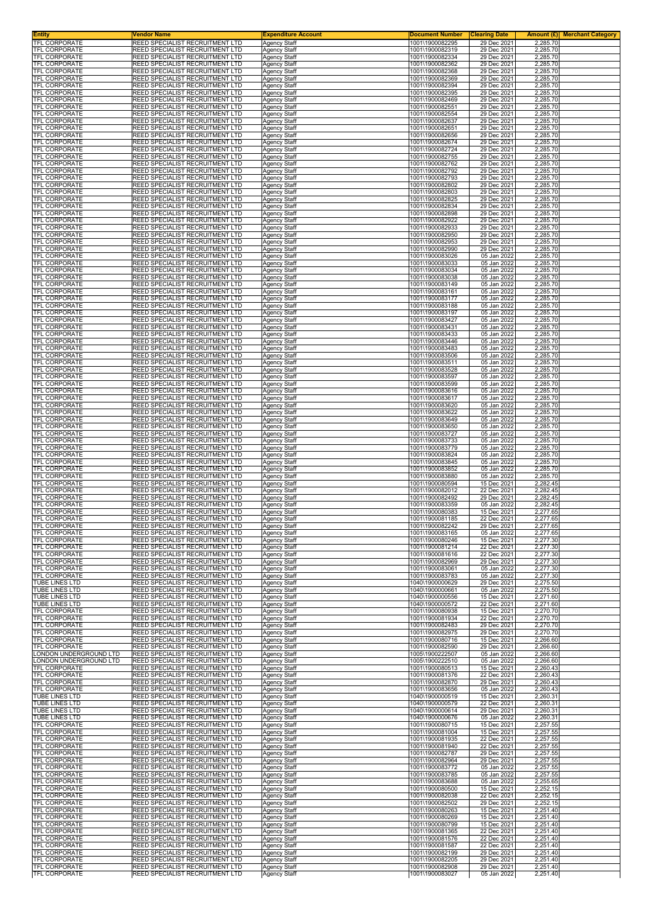| Entity<br><b>TFL CORPORATE</b>        | Vendor Name<br>REED SPECIALIST RECRUITMENT LTD                     | <b>Expenditure Account</b>                 | <b>Document Number</b>             | <b>Clearing Date</b>       | <b>Amount (£) Merchant Category</b> |
|---------------------------------------|--------------------------------------------------------------------|--------------------------------------------|------------------------------------|----------------------------|-------------------------------------|
| TFL CORPORATE                         | REED SPECIALIST RECRUITMENT LTD                                    | <b>Agency Staff</b><br><b>Agency Staff</b> | 1001\1900082295<br>1001\1900082319 | 29 Dec 2021<br>29 Dec 2021 | 2,285.70<br>2,285.70                |
| TFL CORPORATE                         | REED SPECIALIST RECRUITMENT LTD                                    | Agency Staff                               | 1001\1900082334<br>1001\1900082362 | 29 Dec 2021                | 2,285.70                            |
| TFL CORPORATE                         | REED SPECIALIST RECRUITMENT LTD                                    | Agency Staff                               | 1001\1900082368                    | 29 Dec 2021                | 2,285.70                            |
| TFL CORPORATE                         | REED SPECIALIST RECRUITMENT LTD                                    | Agency Staff                               |                                    | 29 Dec 2021                | 2,285.70                            |
| TFL CORPORATE                         | REED SPECIALIST RECRUITMENT LTD                                    | Agency Staff                               | 1001\1900082369                    | 29 Dec 2021                | 2,285.70                            |
| TFL CORPORATE                         | REED SPECIALIST RECRUITMENT LTD                                    | <b>Agency Staff</b>                        | 1001\1900082394                    | 29 Dec 2021                | 2,285.70                            |
| TFL CORPORATE                         | REED SPECIALIST RECRUITMENT LTD                                    | <b>Agency Staff</b>                        | 1001\1900082395                    | 29 Dec 2021                | 2,285.70                            |
| TFL CORPORATE                         | REED SPECIALIST RECRUITMENT LTD                                    | Agency Staff                               | 1001\1900082469                    | 29 Dec 2021                | 2,285.70                            |
| TFL CORPORATE                         | REED SPECIALIST RECRUITMENT LTD                                    | Agency Staff                               | 1001\1900082551                    | 29 Dec 2021                | 2,285.70                            |
| TFL CORPORATE                         | REED SPECIALIST RECRUITMENT LTD                                    | Agency Staff                               | 1001\1900082554                    | 29 Dec 2021                | 2,285.70                            |
| TFL CORPORATE                         | REED SPECIALIST RECRUITMENT LTD                                    | Agency Staff                               | 1001\1900082637                    | 29 Dec 2021                | 2,285.70                            |
| TFL CORPORATE                         | REED SPECIALIST RECRUITMENT LTD                                    | Agency Staff                               | 1001\1900082651                    | 29 Dec 2021                | 2,285.70                            |
| TFL CORPORATE                         | REED SPECIALIST RECRUITMENT LTD                                    | <b>Agency Staff</b>                        | 1001\1900082656                    | 29 Dec 2021                | 2,285.70                            |
| TFL CORPORATE<br><b>TFL CORPORATE</b> | REED SPECIALIST RECRUITMENT LTD                                    | Agency Staff                               | 1001\1900082674                    | 29 Dec 2021<br>29 Dec 2021 | 2,285.70                            |
| TFL CORPORATE                         | REED SPECIALIST RECRUITMENT LTD<br>REED SPECIALIST RECRUITMENT LTD | Agency Staff<br><b>Agency Staff</b>        | 1001\1900082724<br>1001\1900082755 | 29 Dec 2021                | 2,285.70<br>2,285.70                |
| TFL CORPORATE                         | REED SPECIALIST RECRUITMENT LTD                                    | Agency Staff                               | 1001\1900082762                    | 29 Dec 2021                | 2,285.70                            |
| TFL CORPORATE                         | REED SPECIALIST RECRUITMENT LTD                                    |                                            | 1001\1900082792                    | 29 Dec 2021                | 2,285.70                            |
| <b>TFL CORPORATE</b>                  | REED SPECIALIST RECRUITMENT LTD                                    | Agency Staff<br>Agency Staff               | 1001\1900082793                    | 29 Dec 2021                | 2,285.70                            |
| TFL CORPORATE                         | REED SPECIALIST RECRUITMENT LTD                                    | <b>Agency Staff</b>                        | 1001\1900082802                    | 29 Dec 2021                | 2,285.70                            |
| TFL CORPORATE                         | REED SPECIALIST RECRUITMENT LTD                                    |                                            | 1001\1900082803                    | 29 Dec 2021                | 2,285.70                            |
| <b>TFL CORPORATE</b>                  | REED SPECIALIST RECRUITMENT LTD                                    | Agency Staff<br>Agency Staff               | 1001\1900082825                    | 29 Dec 2021                | 2,285.70                            |
| <b>TFL CORPORATE</b>                  | REED SPECIALIST RECRUITMENT LTD                                    | Agency Staff                               | 1001\1900082834                    | 29 Dec 2021                | 2,285.70                            |
| <b>TFL CORPORATE</b>                  | REED SPECIALIST RECRUITMENT LTD                                    |                                            | 1001\1900082898                    | 29 Dec 2021                | 2,285.70                            |
| <b>TFL CORPORATE</b>                  | REED SPECIALIST RECRUITMENT LTD                                    | Agency Staff<br><b>Agency Staff</b>        | 1001\1900082922                    | 29 Dec 2021                | 2,285.70                            |
| TFL CORPORATE                         | REED SPECIALIST RECRUITMENT LTD                                    | <b>Agency Staff</b>                        | 1001\1900082933                    | 29 Dec 2021                | 2,285.70                            |
| TFL CORPORATE                         | REED SPECIALIST RECRUITMENT LTD                                    | Agency Staff                               | 1001\1900082950                    | 29 Dec 2021                | 2,285.70                            |
| TFL CORPORATE                         | REED SPECIALIST RECRUITMENT LTD                                    | <b>Agency Staff</b>                        | 1001\1900082953                    | 29 Dec 2021                | 2,285.70                            |
| TFL CORPORATE                         | REED SPECIALIST RECRUITMENT LTD                                    | Agency Staff                               | 1001\1900082990                    | 29 Dec 2021                | 2,285.70                            |
| TFL CORPORATE                         | REED SPECIALIST RECRUITMENT LTD                                    | Agency Staff                               | 1001\1900083026                    | 05 Jan 2022                | 2,285.70                            |
| TFL CORPORATE                         | REED SPECIALIST RECRUITMENT LTD                                    | <b>Agency Staff</b>                        | 1001\1900083033                    | 05 Jan 2022                | 2,285.70                            |
| TFL CORPORATE                         | REED SPECIALIST RECRUITMENT LTD                                    | <b>Agency Staff</b>                        | 1001\1900083034                    | 05 Jan 2022                | 2,285.70                            |
| TFL CORPORATE                         | REED SPECIALIST RECRUITMENT LTD                                    | Agency Staff                               | 1001\1900083038                    | 05 Jan 2022                | 2,285.70                            |
| TFL CORPORATE                         | REED SPECIALIST RECRUITMENT LTD                                    | Agency Staff                               | 1001\1900083149                    | 05 Jan 2022                | 2,285.70                            |
| <b>TFL CORPORATE</b>                  | REED SPECIALIST RECRUITMENT LTD                                    | Agency Staff                               | 1001\1900083161                    | 05 Jan 2022                | 2,285.70                            |
| TFL CORPORATE                         | REED SPECIALIST RECRUITMENT LTD                                    | Agency Staff                               | 1001\1900083177                    | 05 Jan 2022                | 2,285.70                            |
| TFL CORPORATE                         | REED SPECIALIST RECRUITMENT LTD                                    | Agency Staff                               | 1001\1900083188                    | 05 Jan 2022                | 2,285.70                            |
| TFL CORPORATE                         | REED SPECIALIST RECRUITMENT LTD                                    | <b>Agency Staff</b>                        | 1001\1900083197                    | 05 Jan 2022                | 2,285.70                            |
| <b>TFL CORPORATE</b>                  | REED SPECIALIST RECRUITMENT LTD                                    | Agency Staff                               | 1001\1900083427                    | 05 Jan 2022                | 2,285.70                            |
| TFL CORPORATE                         | REED SPECIALIST RECRUITMENT LTD                                    | Agency Staff                               | 1001\1900083431                    | 05 Jan 2022                | 2,285.70                            |
| <b>TFL CORPORATE</b>                  | REED SPECIALIST RECRUITMENT LTD                                    | Agency Staff                               | 1001\1900083433                    | 05 Jan 2022                | 2,285.70                            |
| TFL CORPORATE                         | REED SPECIALIST RECRUITMENT LTD                                    | Agency Staff                               | 1001\1900083446                    | 05 Jan 2022                | 2,285.70                            |
| TFL CORPORATE                         | REED SPECIALIST RECRUITMENT LTD                                    | Agency Staff                               | 1001\1900083483                    | 05 Jan 2022                | 2,285.70                            |
| TFL CORPORATE                         | REED SPECIALIST RECRUITMENT LTD                                    | Agency Staff                               | 1001\1900083506                    | 05 Jan 2022                | 2,285.70                            |
| TFL CORPORATE                         | REED SPECIALIST RECRUITMENT LTD                                    | Agency Staff                               | 1001\1900083511                    | 05 Jan 2022                | 2,285.70                            |
| TFL CORPORATE                         | REED SPECIALIST RECRUITMENT LTD                                    | Agency Staff                               | 1001\1900083528                    | 05 Jan 2022                | 2,285.70                            |
| <b>TFL CORPORATE</b>                  | REED SPECIALIST RECRUITMENT LTD                                    | Agency Staff                               | 1001\1900083597                    | 05 Jan 2022                | 2,285.70                            |
| <b>TFL CORPORATE</b>                  | REED SPECIALIST RECRUITMENT LTD                                    | Agency Staff                               | 1001\1900083599                    | 05 Jan 2022                | 2,285.70                            |
| TFL CORPORATE                         | REED SPECIALIST RECRUITMENT LTD                                    | Agency Staff                               | 1001\1900083616                    | 05 Jan 2022                | 2,285.70                            |
| TFL CORPORATE                         | REED SPECIALIST RECRUITMENT LTD                                    | <b>Agency Staff</b>                        | 1001\1900083617                    | 05 Jan 2022                | 2,285.70                            |
| TFL CORPORATE                         | REED SPECIALIST RECRUITMENT LTD                                    | Agency Staff                               | 1001\1900083620                    | 05 Jan 2022                | 2,285.70                            |
| TFL CORPORATE                         | REED SPECIALIST RECRUITMENT LTD                                    | Agency Staff                               | 1001\1900083622                    | 05 Jan 2022                | 2,285.70                            |
| TFL CORPORATE                         | REED SPECIALIST RECRUITMENT LTD                                    | Agency Staff                               | 1001\1900083649                    | 05 Jan 2022                | 2,285.70                            |
| TFL CORPORATE                         | REED SPECIALIST RECRUITMENT LTD                                    | Agency Staff                               | 1001\1900083650                    | 05 Jan 2022                | 2,285.70                            |
| TFL CORPORATE                         | REED SPECIALIST RECRUITMENT LTD                                    | Agency Staff                               | 1001\1900083727                    | 05 Jan 2022                | 2,285.70                            |
| <b>TFL CORPORATE</b>                  | REED SPECIALIST RECRUITMENT LTD                                    | <b>Agency Staff</b>                        | 1001\1900083733                    | 05 Jan 2022                | 2,285.70                            |
| TFL CORPORATE                         | REED SPECIALIST RECRUITMENT LTD                                    | Agency Staff                               | 1001\1900083779                    | 05 Jan 2022                | 2,285.70                            |
| TFL CORPORATE                         | REED SPECIALIST RECRUITMENT LTD                                    | Agency Staff                               | 1001\1900083824                    | 05 Jan 2022                | 2,285.70                            |
| TFL CORPORATE                         | REED SPECIALIST RECRUITMENT LTD                                    | Agency Staff                               | 1001\1900083845                    | 05 Jan 2022                | 2,285.70                            |
| TFL CORPORATE                         | REED SPECIALIST RECRUITMENT LTD<br>REED SPECIALIST RECRUITMENT LTD | Agency Staff                               | 1001\1900083852                    | 05 Jan 2022                | 2,285.70                            |
| TFL CORPORATE                         | REED SPECIALIST RECRUITMENT LTD                                    | Agency Staff                               | 1001\1900083880                    | 05 Jan 2022                | 2,285.70                            |
| TFL CORPORATE                         |                                                                    | Agency Staff                               | 1001\1900080594                    | 15 Dec 2021                | 2,282.45                            |
| <b>TFL CORPORATE</b>                  | REED SPECIALIST RECRUITMENT LTD                                    | <b>Agency Staff</b>                        | 1001\1900082012                    | 22 Dec 2021                | 2,282.45                            |
| <b>TFL CORPORATE</b>                  | REED SPECIALIST RECRUITMENT LTD                                    | Agency Staff                               | 1001\1900082492                    | 29 Dec 2021                | 2,282.45                            |
| <b>TFL CORPORATE</b>                  | REED SPECIALIST RECRUITMENT LTD                                    | Agency Staff                               | 1001\1900083359                    | 05 Jan 2022                | 2,282.45                            |
| TFL CORPORATE                         | REED SPECIALIST RECRUITMENT LTD                                    | Agency Staff                               | 1001\1900080383                    | 15 Dec 2021                | 2,277.65                            |
| TFL CORPORATE                         | REED SPECIALIST RECRUITMENT LTD                                    | <b>Agency Staff</b>                        | 1001\1900081185                    | 22 Dec 2021                | 2,277.65                            |
| <b>IFL CORPORATE</b>                  | REED SPECIALIST RECRUITMENT LTD                                    | Agency Staff                               | 1001\1900082242                    | 29 Dec 2021                | 2,277.65                            |
| TFL CORPORATE                         | REED SPECIALIST RECRUITMENT LTD                                    | <b>Agency Staff</b>                        | 1001\1900083165                    | 05 Jan 2022                | 2,277.65                            |
| <b>TFL CORPORATE</b>                  | REED SPECIALIST RECRUITMENT LTD                                    | Agency Staff                               | 1001\1900080246                    | 15 Dec 2021                | 2,277.30                            |
| TFL CORPORATE                         | REED SPECIALIST RECRUITMENT LTD                                    | Agency Staff                               | 1001\1900081214                    | 22 Dec 2021                | 2,277.30                            |
| <b>TFL CORPORATE</b>                  | REED SPECIALIST RECRUITMENT LTD                                    | <b>Agency Staff</b>                        | 1001\1900081616                    | 22 Dec 2021                | 2,277.30                            |
| TFL CORPORATE                         | REED SPECIALIST RECRUITMENT LTD                                    | Agency Staff                               | 1001\1900082969                    | 29 Dec 2021                | 2,277.30                            |
| TFL CORPORATE                         | REED SPECIALIST RECRUITMENT LTD                                    | Agency Staff                               | 1001\1900083061                    | 05 Jan 2022                | 2,277.30                            |
| TFL CORPORATE                         | REED SPECIALIST RECRUITMENT LTD                                    | <b>Agency Staff</b>                        | 1001\1900083783                    | 05 Jan 2022                | 2,277.30                            |
| TUBE LINES LTD                        | REED SPECIALIST RECRUITMENT LTD                                    | Agency Staff                               | 1040\1900000629                    | 29 Dec 2021                | 2,275.50                            |
| TUBE LINES LTD                        | REED SPECIALIST RECRUITMENT LTD                                    | <b>Agency Staff</b>                        | 1040\1900000661                    | 05 Jan 2022                | 2,275.50                            |
| TUBE LINES LTD                        | REED SPECIALIST RECRUITMENT LTD                                    | Agency Staff                               | 1040\1900000556                    | 15 Dec 2021                | 2,271.60                            |
| TUBE LINES LTD                        | REED SPECIALIST RECRUITMENT LTD                                    | Agency Staff                               | 1040\1900000572                    | 22 Dec 2021                | 2,271.60                            |
| TFL CORPORATE                         | REED SPECIALIST RECRUITMENT LTD                                    | Agency Staff                               | 1001\1900080938                    | 15 Dec 2021                | 2,270.70                            |
| <b>TFL CORPORATE</b>                  | REED SPECIALIST RECRUITMENT LTD                                    | <b>Agency Staff</b>                        | 1001\1900081934                    | 22 Dec 2021                | 2,270.70                            |
| <b>TFL CORPORATE</b>                  | REED SPECIALIST RECRUITMENT LTD                                    | Agency Staff                               | 1001\1900082483                    | 29 Dec 2021                | 2,270.70                            |
| TFL CORPORATE                         | REED SPECIALIST RECRUITMENT LTD                                    | Agency Staff                               | 1001\1900082975                    | 29 Dec 2021                | 2,270.70                            |
| <b>TFL CORPORATE</b>                  | REED SPECIALIST RECRUITMENT LTD                                    | <b>Agency Staff</b>                        | 1001\1900080716                    | 15 Dec 2021                | 2,266.60                            |
| <b>TFL CORPORATE</b>                  | REED SPECIALIST RECRUITMENT LTD                                    | Agency Staff                               | 1001\1900082590                    | 29 Dec 2021                | 2,266.60                            |
| ONDON UNDERGROUND LTD                 | REED SPECIALIST RECRUITMENT LTD                                    | Agency Staff                               | 1005\1900222507                    | 05 Jan 2022                | 2,266.60                            |
| ONDON UNDERGROUND LTD                 | REED SPECIALIST RECRUITMENT LTD                                    | <b>Agency Staff</b>                        | 1005\1900222510                    | 05 Jan 2022                | 2,266.60                            |
| TFL CORPORATE                         | REED SPECIALIST RECRUITMENT LTD                                    | <b>Agency Staff</b>                        | 1001\1900080513                    | 15 Dec 2021                | 2,260.43                            |
| TFL CORPORATE                         | REED SPECIALIST RECRUITMENT LTD                                    | Agency Staff                               | 1001\1900081376                    | 22 Dec 2021                | 2,260.43                            |
| TFL CORPORATE<br><b>TFL CORPORATE</b> | REED SPECIALIST RECRUITMENT LTD<br>REED SPECIALIST RECRUITMENT LTD | Agency Staff                               | 1001\1900082870<br>1001\1900083656 | 29 Dec 2021                | 2,260.43<br>2,260.43                |
| <b>TUBE LINES LTD</b>                 | REED SPECIALIST RECRUITMENT LTD                                    | <b>Agency Staff</b><br><b>Agency Staff</b> | 1040\1900000519                    | 05 Jan 2022<br>15 Dec 2021 | 2,260.31                            |
| TUBE LINES LTD                        | REED SPECIALIST RECRUITMENT LTD                                    | Agency Staff                               | 1040\1900000579                    | 22 Dec 2021                | 2,260.31                            |
| TUBE LINES LTD                        | REED SPECIALIST RECRUITMENT LTD                                    | <b>Agency Staff</b>                        | 1040\1900000614                    | 29 Dec 2021                | 2,260.31                            |
| TUBE LINES LTD                        | REED SPECIALIST RECRUITMENT LTD                                    | Agency Staff                               | 1040\1900000676                    | 05 Jan 2022                | 2,260.31                            |
| TFL CORPORATE                         | REED SPECIALIST RECRUITMENT LTD                                    | Agency Staff                               | 1001\1900080715                    | 15 Dec 2021                | 2,257.55                            |
| <b>TFL CORPORATE</b>                  | REED SPECIALIST RECRUITMENT LTD                                    | <b>Agency Staff</b>                        | 1001\1900081004                    | 15 Dec 2021                | 2,257.55                            |
| TFL CORPORATE                         | REED SPECIALIST RECRUITMENT LTD                                    | Agency Staff                               | 1001\1900081935                    | 22 Dec 2021                | 2,257.55                            |
| TFL CORPORATE                         | REED SPECIALIST RECRUITMENT LTD                                    | Agency Staff                               | 1001\1900081940                    | 22 Dec 2021                | 2,257.55                            |
| TFL CORPORATE                         | REED SPECIALIST RECRUITMENT LTD                                    | <b>Agency Staff</b>                        | 1001\1900082787                    | 29 Dec 2021                | 2,257.55                            |
| TFL CORPORATE                         | REED SPECIALIST RECRUITMENT LTD                                    | Agency Staff                               | 1001\1900082964                    | 29 Dec 2021                | 2,257.55                            |
| TFL CORPORATE                         | REED SPECIALIST RECRUITMENT LTD                                    | Agency Staff                               | 1001\1900083772                    | 05 Jan 2022                | 2,257.55                            |
| <b>TFL CORPORATE</b>                  | REED SPECIALIST RECRUITMENT LTD                                    | <b>Agency Staff</b>                        | 1001\1900083785                    | 05 Jan 2022                | 2,257.55                            |
| <b>TFL CORPORATE</b>                  | REED SPECIALIST RECRUITMENT LTD                                    | Agency Staff                               | 1001\1900083688                    | 05 Jan 2022                | 2,255.65                            |
| TFL CORPORATE                         | REED SPECIALIST RECRUITMENT LTD                                    | Agency Staff                               | 1001\1900080500                    | 15 Dec 2021                | 2,252.15                            |
| TFL CORPORATE                         | REED SPECIALIST RECRUITMENT LTD                                    | <b>Agency Staff</b>                        | 1001\1900082038                    | 22 Dec 2021                | 2,252.15                            |
| TFL CORPORATE                         | REED SPECIALIST RECRUITMENT LTD                                    | Agency Staff                               | 1001\1900082502                    | 29 Dec 2021                | 2,252.15                            |
| TFL CORPORATE                         | REED SPECIALIST RECRUITMENT LTD                                    | Agency Staff                               | 1001\1900080263                    | 15 Dec 2021                | 2,251.40                            |
| <b>TFL CORPORATE</b>                  | REED SPECIALIST RECRUITMENT LTD                                    | <b>Agency Staff</b>                        | 1001\1900080269                    | 15 Dec 2021                | 2,251.40                            |
| TFL CORPORATE                         | REED SPECIALIST RECRUITMENT LTD                                    | <b>Agency Staff</b>                        | 1001\1900080799                    | 15 Dec 2021                | 2,251.40                            |
| TFL CORPORATE                         | REED SPECIALIST RECRUITMENT LTD                                    | Agency Staff                               | 1001\1900081365                    | 22 Dec 2021                | 2,251.40                            |
| TFL CORPORATE                         | REED SPECIALIST RECRUITMENT LTD                                    | <b>Agency Staff</b>                        | 1001\1900081576                    | 22 Dec 2021                | 2,251.40                            |
| <b>TFL CORPORATE</b>                  | REED SPECIALIST RECRUITMENT LTD                                    | <b>Agency Staff</b>                        | 1001\1900081587                    | 22 Dec 2021                | 2,251.40                            |
| TFL CORPORATE                         | REED SPECIALIST RECRUITMENT LTD                                    | Agency Staff                               | 1001\1900082199                    | 29 Dec 2021                | 2,251.40                            |
| <b>TFL CORPORATE</b>                  | REED SPECIALIST RECRUITMENT LTD                                    | <b>Agency Staff</b>                        | 1001\1900082205                    | 29 Dec 2021                | 2,251.40                            |
| <b>TFL CORPORATE</b>                  | REED SPECIALIST RECRUITMENT LTD                                    | Agency Staff                               | 1001\1900082908                    | 29 Dec 2021                | 2,251.40                            |
| TFL CORPORATE                         | REED SPECIALIST RECRUITMENT LTD                                    | <b>Agency Staff</b>                        | 1001\1900083027                    | 05 Jan 2022                | 2,251.40                            |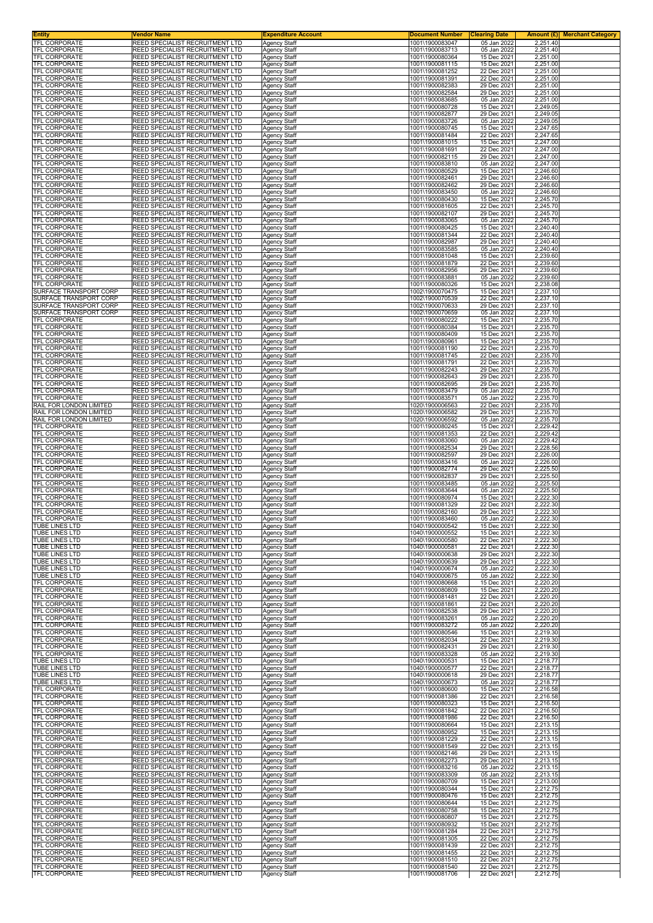| <b>Entity</b><br>TFL CORPORATE                     | <b>Vendor Name</b><br>REED SPECIALIST RECRUITMENT LTD              | <b>Expenditure Account</b>                 | <b>Document Number</b>             | <b>Clearing Date</b>       | <b>Amount (£)</b> Merchant Category |
|----------------------------------------------------|--------------------------------------------------------------------|--------------------------------------------|------------------------------------|----------------------------|-------------------------------------|
| <b>TFL CORPORATE</b>                               | REED SPECIALIST RECRUITMENT LTD                                    | Agency Staff<br><b>Agency Staff</b>        | 1001\1900083047<br>1001\1900083713 | 05 Jan 2022<br>05 Jan 2022 | 2,251.40<br>2,251.40                |
| <b>TFL CORPORATE</b>                               | REED SPECIALIST RECRUITMENT LTD                                    | <b>Agency Staff</b>                        | 1001\1900080364                    | 15 Dec 2021                | 2,251.00                            |
| <b>TFL CORPORATE</b><br>TFL CORPORATE              | REED SPECIALIST RECRUITMENT LTD<br>REED SPECIALIST RECRUITMENT LTD | <b>Agency Staff</b><br>Agency Staff        | 1001\1900081115<br>1001\1900081252 | 15 Dec 2021<br>22 Dec 2021 | 2,251.00<br>2,251.00                |
| TFL CORPORATE                                      | REED SPECIALIST RECRUITMENT LTD                                    | <b>Agency Staff</b>                        | 1001\1900081391                    | 22 Dec 2021                | 2,251.00                            |
| TFL CORPORATE<br><b>TFL CORPORATE</b>              | REED SPECIALIST RECRUITMENT LTD<br>REED SPECIALIST RECRUITMENT LTD | <b>Agency Staff</b><br><b>Agency Staff</b> | 1001\1900082383<br>1001\1900082584 | 29 Dec 2021<br>29 Dec 2021 | 2,251.00<br>2,251.00                |
| TFL CORPORATE                                      | REED SPECIALIST RECRUITMENT LTD                                    | <b>Agency Staff</b>                        | 1001\1900083685                    | 05 Jan 2022                | 2,251.00                            |
| TFL CORPORATE                                      | REED SPECIALIST RECRUITMENT LTD                                    | Agency Staff                               | 1001\1900080728                    | 15 Dec 2021                | 2,249.05                            |
| TFL CORPORATE<br>TFL CORPORATE                     | REED SPECIALIST RECRUITMENT LTD<br>REED SPECIALIST RECRUITMENT LTD | <b>Agency Staff</b><br>Agency Staff        | 1001\1900082877<br>1001\1900083726 | 29 Dec 2021<br>05 Jan 2022 | 2,249.05<br>2,249.05                |
| TFL CORPORATE                                      | REED SPECIALIST RECRUITMENT LTD                                    | <b>Agency Staff</b>                        | 1001\1900080745                    | 15 Dec 2021                | 2,247.65                            |
| TFL CORPORATE<br>TFL CORPORATE                     | REED SPECIALIST RECRUITMENT LTD<br>REED SPECIALIST RECRUITMENT LTD | <b>Agency Staff</b><br><b>Agency Staff</b> | 1001\1900081484<br>1001\1900081015 | 22 Dec 2021<br>15 Dec 2021 | 2,247.65<br>2,247.00                |
| TFL CORPORATE                                      | REED SPECIALIST RECRUITMENT LTD                                    | Agency Staff                               | 1001\1900081691                    | 22 Dec 2021                | 2,247.00                            |
| TFL CORPORATE                                      | REED SPECIALIST RECRUITMENT LTD<br>REED SPECIALIST RECRUITMENT LTD | <b>Agency Staff</b>                        | 1001\1900082115<br>1001\1900083810 | 29 Dec 2021                | 2,247.00                            |
| TFL CORPORATE<br>TFL CORPORATE                     | REED SPECIALIST RECRUITMENT LTD                                    | <b>Agency Staff</b><br><b>Agency Staff</b> | 1001\1900080529                    | 05 Jan 2022<br>15 Dec 2021 | 2,247.00<br>2,246.60                |
| TFL CORPORATE                                      | REED SPECIALIST RECRUITMENT LTD                                    | <b>Agency Staff</b>                        | 1001\1900082461                    | 29 Dec 2021                | 2,246.60                            |
| TFL CORPORATE<br>TFL CORPORATE                     | REED SPECIALIST RECRUITMENT LTD<br>REED SPECIALIST RECRUITMENT LTD | <b>Agency Staff</b><br><b>Agency Staff</b> | 1001\1900082462<br>1001\1900083450 | 29 Dec 2021<br>05 Jan 2022 | 2,246.60<br>2,246.60                |
| TFL CORPORATE                                      | REED SPECIALIST RECRUITMENT LTD                                    | <b>Agency Staff</b>                        | 1001\1900080430                    | 15 Dec 2021                | 2,245.70                            |
| TFL CORPORATE<br>TFL CORPORATE                     | REED SPECIALIST RECRUITMENT LTD<br>REED SPECIALIST RECRUITMENT LTD | <b>Agency Staff</b><br><b>Agency Staff</b> | 1001\1900081605<br>1001\1900082107 | 22 Dec 2021<br>29 Dec 2021 | 2,245.70<br>2,245.70                |
| TFL CORPORATE                                      | REED SPECIALIST RECRUITMENT LTD                                    | <b>Agency Staff</b>                        | 1001\1900083065                    | 05 Jan 2022                | 2,245.70                            |
| TFL CORPORATE<br><b>TFL CORPORATE</b>              | REED SPECIALIST RECRUITMENT LTD<br>REED SPECIALIST RECRUITMENT LTD | <b>Agency Staff</b>                        | 1001\1900080425<br>1001\1900081344 | 15 Dec 2021<br>22 Dec 2021 | 2,240.40<br>2,240.40                |
| TFL CORPORATE                                      | REED SPECIALIST RECRUITMENT LTD                                    | <b>Agency Staff</b><br><b>Agency Staff</b> | 1001\1900082987                    | 29 Dec 2021                | 2,240.40                            |
| TFL CORPORATE                                      | REED SPECIALIST RECRUITMENT LTD                                    | <b>Agency Staff</b>                        | 1001\1900083585                    | 05 Jan 2022                | 2,240.40                            |
| TFL CORPORATE<br><b>TFL CORPORATE</b>              | REED SPECIALIST RECRUITMENT LTD<br>REED SPECIALIST RECRUITMENT LTD | <b>Agency Staff</b><br><b>Agency Staff</b> | 1001\1900081048<br>1001\1900081879 | 15 Dec 2021<br>22 Dec 2021 | 2,239.60<br>2,239.60                |
| <b>TFL CORPORATE</b>                               | REED SPECIALIST RECRUITMENT LTD                                    | <b>Agency Staff</b>                        | 1001\1900082956                    | 29 Dec 2021                | 2,239.60                            |
| <b>TFL CORPORATE</b><br>TFL CORPORATE              | REED SPECIALIST RECRUITMENT LTD<br>REED SPECIALIST RECRUITMENT LTD | <b>Agency Staff</b><br>Agency Staff        | 1001\1900083881<br>1001\1900080326 | 05 Jan 2022<br>15 Dec 2021 | 2,239.60<br>2,238.08                |
| SURFACE TRANSPORT CORP                             | REED SPECIALIST RECRUITMENT LTD                                    | <b>Agency Staff</b>                        | 1002\1900070475                    | 15 Dec 2021                | 2,237.10                            |
| SURFACE TRANSPORT CORP                             | REED SPECIALIST RECRUITMENT LTD                                    | <b>Agency Staff</b>                        | 1002\1900070539                    | 22 Dec 2021                | 2,237.10                            |
| SURFACE TRANSPORT CORP<br>SURFACE TRANSPORT CORP   | REED SPECIALIST RECRUITMENT LTD<br>REED SPECIALIST RECRUITMENT LTD | <b>Agency Staff</b><br><b>Agency Staff</b> | 1002\1900070633<br>1002\1900070659 | 29 Dec 2021<br>05 Jan 2022 | 2,237.10<br>2,237.10                |
| TFL CORPORATE                                      | REED SPECIALIST RECRUITMENT LTD                                    | <b>Agency Staff</b>                        | 1001\1900080222                    | 15 Dec 2021                | 2,235.70                            |
| <b>TFL CORPORATE</b><br><b>TFL CORPORATE</b>       | REED SPECIALIST RECRUITMENT LTD<br>REED SPECIALIST RECRUITMENT LTD | Agency Staff                               | 1001\1900080384<br>1001\1900080409 | 15 Dec 2021<br>15 Dec 2021 | 2,235.70<br>2,235.70                |
| <b>TFL CORPORATE</b>                               | REED SPECIALIST RECRUITMENT LTD                                    | Agency Staff<br><b>Agency Staff</b>        | 1001\1900080961                    | 15 Dec 2021                | 2,235.70                            |
| <b>TFL CORPORATE</b>                               | REED SPECIALIST RECRUITMENT LTD                                    | <b>Agency Staff</b>                        | 1001\1900081190                    | 22 Dec 2021                | 2,235.70                            |
| TFL CORPORATE<br>TFL CORPORATE                     | REED SPECIALIST RECRUITMENT LTD<br>REED SPECIALIST RECRUITMENT LTD | <b>Agency Staff</b><br><b>Agency Staff</b> | 1001\1900081745<br>1001\1900081791 | 22 Dec 2021<br>22 Dec 2021 | 2,235.70<br>2,235.70                |
| TFL CORPORATE                                      | REED SPECIALIST RECRUITMENT LTD                                    | Agency Staff                               | 1001\1900082243                    | 29 Dec 2021                | 2,235.70                            |
| <b>TFL CORPORATE</b><br>TFL CORPORATE              | REED SPECIALIST RECRUITMENT LTD<br>REED SPECIALIST RECRUITMENT LTD | <b>Agency Staff</b><br><b>Agency Staff</b> | 1001\1900082643<br>1001\1900082695 | 29 Dec 2021<br>29 Dec 2021 | 2,235.70<br>2,235.70                |
| TFL CORPORATE                                      | REED SPECIALIST RECRUITMENT LTD                                    | <b>Agency Staff</b>                        | 1001\1900083479                    | 05 Jan 2022                | 2,235.70                            |
| TFL CORPORATE                                      | REED SPECIALIST RECRUITMENT LTD                                    | <b>Agency Staff</b>                        | 1001\1900083571                    | 05 Jan 2022                | 2,235.70                            |
| RAIL FOR LONDON LIMITED<br>RAIL FOR LONDON LIMITED | REED SPECIALIST RECRUITMENT LTD<br>REED SPECIALIST RECRUITMENT LTD | <b>Agency Staff</b><br><b>Agency Staff</b> | 1020\1900006563<br>1020\1900006582 | 22 Dec 2021<br>29 Dec 2021 | 2,235.70<br>2,235.70                |
| RAIL FOR LONDON LIMITED                            | REED SPECIALIST RECRUITMENT LTD                                    | <b>Agency Staff</b>                        | 1020\1900006592                    | 05 Jan 2022                | 2,235.70                            |
| TFL CORPORATE<br>TFL CORPORATE                     | REED SPECIALIST RECRUITMENT LTD<br>REED SPECIALIST RECRUITMENT LTD | <b>Agency Staff</b>                        | 1001\1900080245<br>1001\1900081353 | 15 Dec 2021<br>22 Dec 2021 | 2,229.42<br>2,229.42                |
| TFL CORPORATE                                      | REED SPECIALIST RECRUITMENT LTD                                    | <b>Agency Staff</b><br><b>Agency Staff</b> | 1001\1900083060                    | 05 Jan 2022                | 2,229.42                            |
| TFL CORPORATE                                      | REED SPECIALIST RECRUITMENT LTD                                    | <b>Agency Staff</b>                        | 1001\1900082534                    | 29 Dec 2021                | 2,228.56                            |
| TFL CORPORATE<br>TFL CORPORATE                     | REED SPECIALIST RECRUITMENT LTD<br>REED SPECIALIST RECRUITMENT LTD | <b>Agency Staff</b><br><b>Agency Staff</b> | 1001\1900082597<br>1001\1900083416 | 29 Dec 2021<br>05 Jan 2022 | 2,226.00<br>2,226.00                |
| TFL CORPORATE                                      | REED SPECIALIST RECRUITMENT LTD                                    | Agency Staff                               | 1001\1900082774                    | 29 Dec 2021                | 2,225.50                            |
| TFL CORPORATE<br><b>TFL CORPORATE</b>              | REED SPECIALIST RECRUITMENT LTD<br>REED SPECIALIST RECRUITMENT LTD | <b>Agency Staff</b><br><b>Agency Staff</b> | 1001\1900082837<br>1001\1900083485 | 29 Dec 2021<br>05 Jan 2022 | 2,225.50<br>2,225.50                |
| <b>TFL CORPORATE</b>                               | REED SPECIALIST RECRUITMENT LTD                                    | <b>Agency Staff</b>                        | 1001\1900083644                    | 05 Jan 2022                | 2,225.50                            |
| <b>TFL CORPORATE</b><br>TFL CORPORATE              | REED SPECIALIST RECRUITMENT LTD<br>REED SPECIALIST RECRUITMENT LTD | <b>Agency Staff</b>                        | 1001\1900080974<br>1001\1900081329 | 15 Dec 2021<br>22 Dec 2021 | 2,222.30<br>2,222.30                |
| TFL CORPORATE                                      | REED SPECIALIST RECRUITMENT LTD                                    | Agency Staff<br><b>Agency Staff</b>        | 1001\1900082160                    | 29 Dec 2021                | 2,222.30                            |
| TFL CORPORATE                                      | REED SPECIALIST RECRUITMENT LTD                                    | <b>Agency Staff</b>                        | 1001\1900083460                    | 05 Jan 2022                | 2,222.30                            |
| TUBE LINES LTD<br>TUBE LINES LTD                   | REED SPECIALIST RECRUITMENT LTD<br>REED SPECIALIST RECRUITMENT LTD | Agency Staff<br><b>Agency Staff</b>        | 1040\1900000542<br>1040\1900000552 | 15 Dec 2021<br>15 Dec 2021 | 2,222.30<br>2,222.30                |
| TUBE LINES LTD                                     | REED SPECIALIST RECRUITMENT LTD                                    | <b>Agency Staff</b>                        | 1040\1900000580                    | 22 Dec 2021                | 2,222.30                            |
| TUBE LINES LTD<br>TUBE LINES LTD                   | REED SPECIALIST RECRUITMENT LTD<br>REED SPECIALIST RECRUITMENT LTD | Agency Staff<br><b>Agency Staff</b>        | 1040\1900000581<br>1040\1900000638 | 22 Dec 2021<br>29 Dec 2021 | 2,222.30<br>2,222.30                |
| TUBE LINES LTD                                     | REED SPECIALIST RECRUITMENT LTD                                    | <b>Agency Staff</b>                        | 1040\1900000639                    | 29 Dec 2021                | 2,222.30                            |
| TUBE LINES LTD                                     | REED SPECIALIST RECRUITMENT LTD                                    | <b>Agency Staff</b>                        | 1040\1900000674                    | 05 Jan 2022                | 2,222.30                            |
| TUBE LINES LTD<br>TFL CORPORATE                    | REED SPECIALIST RECRUITMENT LTD<br>REED SPECIALIST RECRUITMENT LTD | <b>Agency Staff</b><br><b>Agency Staff</b> | 1040\1900000675<br>1001\1900080668 | 05 Jan 2022<br>15 Dec 2021 | 2,222.30<br>2,220.20                |
| TFL CORPORATE                                      | REED SPECIALIST RECRUITMENT LTD                                    | <b>Agency Staff</b>                        | 1001\1900080809                    | 15 Dec 2021                | 2,220.20                            |
| <b>TFL CORPORATE</b><br><b>TFL CORPORATE</b>       | REED SPECIALIST RECRUITMENT LTD<br>REED SPECIALIST RECRUITMENT LTD | <b>Agency Staff</b>                        | 1001\1900081481                    | 22 Dec 2021<br>22 Dec 2021 | 2,220.20                            |
| TFL CORPORATE                                      | REED SPECIALIST RECRUITMENT LTD                                    | Agency Staff<br><b>Agency Staff</b>        | 1001\1900081861<br>1001\1900082538 | 29 Dec 2021                | 2,220.20<br>2,220.20                |
| TFL CORPORATE                                      | REED SPECIALIST RECRUITMENT LTD                                    | <b>Agency Staff</b>                        | 1001\1900083261                    | 05 Jan 2022                | 2,220.20                            |
| TFL CORPORATE<br>TFL CORPORATE                     | REED SPECIALIST RECRUITMENT LTD<br>REED SPECIALIST RECRUITMENT LTD | <b>Agency Staff</b><br><b>Agency Staff</b> | 1001\1900083272<br>1001\1900080546 | 05 Jan 2022<br>15 Dec 2021 | 2,220.20<br>2,219.30                |
| <b>TFL CORPORATE</b>                               | REED SPECIALIST RECRUITMENT LTD                                    | Agency Staff                               | 1001\1900082034                    | 22 Dec 2021                | 2,219.30                            |
| <b>TFL CORPORATE</b><br>TFL CORPORATE              | REED SPECIALIST RECRUITMENT LTD<br>REED SPECIALIST RECRUITMENT LTD | <b>Agency Staff</b><br>Agency Staff        | 1001\1900082431<br>1001\1900083328 | 29 Dec 2021<br>05 Jan 2022 | 2,219.30<br>2,219.30                |
| TUBE LINES LTD                                     | REED SPECIALIST RECRUITMENT LTD                                    | <b>Agency Staff</b>                        | 1040\1900000531                    | 15 Dec 2021                | 2,218.77                            |
| TUBE LINES LTD<br>TUBE LINES LTD                   | REED SPECIALIST RECRUITMENT LTD<br>REED SPECIALIST RECRUITMENT LTD | <b>Agency Staff</b>                        | 1040\1900000577<br>1040\1900000618 | 22 Dec 2021<br>29 Dec 2021 | 2,218.77                            |
| TUBE LINES LTD                                     | REED SPECIALIST RECRUITMENT LTD                                    | <b>Agency Staff</b><br>Agency Staff        | 1040\1900000673                    | 05 Jan 2022                | 2,218.77<br>2,218.77                |
| <b>TFL CORPORATE</b>                               | REED SPECIALIST RECRUITMENT LTD                                    | <b>Agency Staff</b>                        | 1001\1900080600                    | 15 Dec 2021                | 2,216.58                            |
| TFL CORPORATE<br>TFL CORPORATE                     | REED SPECIALIST RECRUITMENT LTD<br>REED SPECIALIST RECRUITMENT LTD | <b>Agency Staff</b><br><b>Agency Staff</b> | 1001\1900081386<br>1001\1900080323 | 22 Dec 2021<br>15 Dec 2021 | 2,216.58<br>2,216.50                |
| TFL CORPORATE                                      | REED SPECIALIST RECRUITMENT LTD                                    | <b>Agency Staff</b>                        | 1001\1900081842                    | 22 Dec 2021                | 2,216.50                            |
| TFL CORPORATE<br>TFL CORPORATE                     | REED SPECIALIST RECRUITMENT LTD<br>REED SPECIALIST RECRUITMENT LTD | <b>Agency Staff</b><br>Agency Staff        | 1001\1900081986<br>1001\1900080664 | 22 Dec 2021<br>15 Dec 2021 | 2,216.50<br>2,213.15                |
| <b>TFL CORPORATE</b>                               | REED SPECIALIST RECRUITMENT LTD                                    | <b>Agency Staff</b>                        | 1001\1900080952                    | 15 Dec 2021                | 2,213.15                            |
| TFL CORPORATE                                      | REED SPECIALIST RECRUITMENT LTD                                    | <b>Agency Staff</b>                        | 1001\1900081229                    | 22 Dec 2021                | 2,213.15                            |
| TFL CORPORATE<br>TFL CORPORATE                     | REED SPECIALIST RECRUITMENT LTD<br>REED SPECIALIST RECRUITMENT LTD | <b>Agency Staff</b><br><b>Agency Staff</b> | 1001\1900081549<br>1001\1900082146 | 22 Dec 2021<br>29 Dec 2021 | 2,213.15<br>2,213.15                |
| TFL CORPORATE                                      | REED SPECIALIST RECRUITMENT LTD                                    | <b>Agency Staff</b>                        | 1001\1900082273                    | 29 Dec 2021                | 2,213.15                            |
| TFL CORPORATE<br>TFL CORPORATE                     | REED SPECIALIST RECRUITMENT LTD<br>REED SPECIALIST RECRUITMENT LTD | Agency Staff<br><b>Agency Staff</b>        | 1001\1900083216<br>1001\1900083309 | 05 Jan 2022<br>05 Jan 2022 | 2,213.15<br>2,213.15                |
| TFL CORPORATE                                      | REED SPECIALIST RECRUITMENT LTD                                    | Agency Staff                               | 1001\1900080709                    | 15 Dec 2021                | 2,213.00                            |
| TFL CORPORATE                                      | REED SPECIALIST RECRUITMENT LTD                                    | <b>Agency Staff</b>                        | 1001\1900080344                    | 15 Dec 2021                | 2,212.75                            |
| TFL CORPORATE<br>TFL CORPORATE                     | REED SPECIALIST RECRUITMENT LTD<br>REED SPECIALIST RECRUITMENT LTD | <b>Agency Staff</b><br><b>Agency Staff</b> | 1001\1900080476<br>1001\1900080644 | 15 Dec 2021<br>15 Dec 2021 | 2,212.75<br>2,212.75                |
| TFL CORPORATE                                      | REED SPECIALIST RECRUITMENT LTD                                    | <b>Agency Staff</b>                        | 1001\1900080758                    | 15 Dec 2021                | 2,212.75                            |
| TFL CORPORATE<br>TFL CORPORATE                     | REED SPECIALIST RECRUITMENT LTD<br>REED SPECIALIST RECRUITMENT LTD | <b>Agency Staff</b><br><b>Agency Staff</b> | 1001\1900080807<br>1001\1900080932 | 15 Dec 2021<br>15 Dec 2021 | 2,212.75<br>2,212.75                |
| TFL CORPORATE                                      | REED SPECIALIST RECRUITMENT LTD                                    | <b>Agency Staff</b>                        | 1001\1900081284                    | 22 Dec 2021                | 2,212.75                            |
| TFL CORPORATE                                      | REED SPECIALIST RECRUITMENT LTD                                    | <b>Agency Staff</b>                        | 1001\1900081305                    | 22 Dec 2021                | 2,212.75                            |
| TFL CORPORATE<br>TFL CORPORATE                     | REED SPECIALIST RECRUITMENT LTD<br>REED SPECIALIST RECRUITMENT LTD | <b>Agency Staff</b><br>Agency Staff        | 1001\1900081439<br>1001\1900081455 | 22 Dec 2021<br>22 Dec 2021 | 2,212.75<br>2,212.75                |
| <b>TFL CORPORATE</b>                               | REED SPECIALIST RECRUITMENT LTD                                    | Agency Staff                               | 1001\1900081510                    | 22 Dec 2021                | 2,212.75                            |
| <b>TFL CORPORATE</b><br>TFL CORPORATE              | REED SPECIALIST RECRUITMENT LTD<br>REED SPECIALIST RECRUITMENT LTD | Agency Staff                               | 1001\1900081540<br>1001\1900081706 | 22 Dec 2021<br>22 Dec 2021 | 2,212.75                            |
|                                                    |                                                                    | Agency Staff                               |                                    |                            | 2,212.75                            |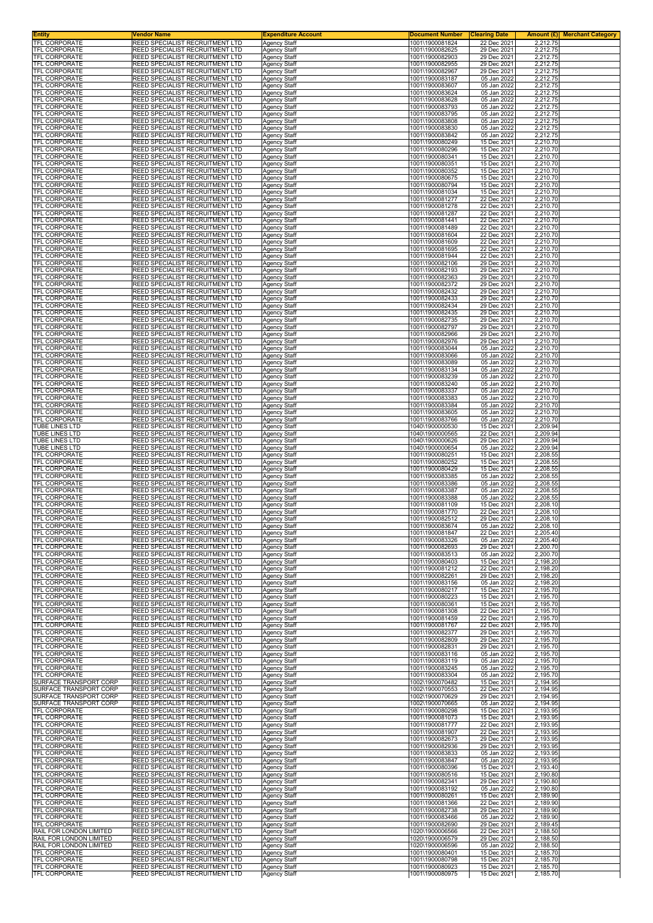| Entity<br><b>TFL CORPORATE</b>                     | Vendor Name<br>REED SPECIALIST RECRUITMENT LTD                     | <b>Expenditure Account</b>                 | <b>Document Number</b>             | <b>Clearing Date</b>       | Amount (£) <br><b>Merchant Category</b> |
|----------------------------------------------------|--------------------------------------------------------------------|--------------------------------------------|------------------------------------|----------------------------|-----------------------------------------|
| TFL CORPORATE                                      | REED SPECIALIST RECRUITMENT LTD                                    | <b>Agency Staff</b><br>Agency Staff        | 1001\1900081824<br>1001\1900082625 | 22 Dec 2021<br>29 Dec 2021 | 2,212.75<br>2,212.75                    |
| TFL CORPORATE                                      | REED SPECIALIST RECRUITMENT LTD                                    | Agency Staff                               | 1001\1900082903                    | 29 Dec 2021                | 2,212.75                                |
| TFL CORPORATE<br>TFL CORPORATE                     | REED SPECIALIST RECRUITMENT LTD<br>REED SPECIALIST RECRUITMENT LTD | <b>Agency Staff</b><br>Agency Staff        | 1001\1900082955<br>1001\1900082967 | 29 Dec 2021<br>29 Dec 2021 | 2,212.75<br>2,212.75                    |
| TFL CORPORATE                                      | REED SPECIALIST RECRUITMENT LTD                                    | Agency Staff                               | 1001\1900083187                    | 05 Jan 2022                | 2,212.75                                |
| TFL CORPORATE<br>TFL CORPORATE                     | REED SPECIALIST RECRUITMENT LTD<br>REED SPECIALIST RECRUITMENT LTD | Agency Staff<br>Agency Staff               | 1001\1900083607<br>1001\1900083624 | 05 Jan 2022<br>05 Jan 2022 | 2,212.75<br>2,212.75                    |
| TFL CORPORATE                                      | REED SPECIALIST RECRUITMENT LTD                                    | Agency Staff                               | 1001\1900083628                    | 05 Jan 2022                | 2,212.75                                |
| TFL CORPORATE<br>TFL CORPORATE                     | REED SPECIALIST RECRUITMENT LTD<br>REED SPECIALIST RECRUITMENT LTD | Agency Staff<br>Agency Staff               | 1001\1900083793<br>1001\1900083795 | 05 Jan 2022<br>05 Jan 2022 | 2,212.75<br>2,212.75                    |
| TFL CORPORATE                                      | REED SPECIALIST RECRUITMENT LTD                                    | Agency Staff                               | 1001\1900083808                    | 05 Jan 2022                | 2,212.75                                |
| TFL CORPORATE<br>TFL CORPORATE                     | REED SPECIALIST RECRUITMENT LTD<br>REED SPECIALIST RECRUITMENT LTD | Agency Staff<br><b>Agency Staff</b>        | 1001\1900083830<br>1001\1900083842 | 05 Jan 2022<br>05 Jan 2022 | 2,212.75<br>2,212.75                    |
| TFL CORPORATE                                      | REED SPECIALIST RECRUITMENT LTD                                    | Agency Staff                               | 1001\1900080249                    | 15 Dec 2021                | 2,210.70                                |
| <b>TFL CORPORATE</b><br>TFL CORPORATE              | REED SPECIALIST RECRUITMENT LTD<br>REED SPECIALIST RECRUITMENT LTD | Agency Staff<br><b>Agency Staff</b>        | 1001\1900080296<br>1001\1900080341 | 15 Dec 2021<br>15 Dec 2021 | 2,210.70<br>2,210.70                    |
| TFL CORPORATE                                      | REED SPECIALIST RECRUITMENT LTD                                    | Agency Staff                               | 1001\1900080351                    | 15 Dec 2021                | 2,210.70                                |
| TFL CORPORATE<br><b>TFL CORPORATE</b>              | REED SPECIALIST RECRUITMENT LTD<br>REED SPECIALIST RECRUITMENT LTD | Agency Staff<br>Agency Staff               | 1001\1900080352<br>1001\1900080675 | 15 Dec 2021<br>15 Dec 2021 | 2,210.70<br>2,210.70                    |
| TFL CORPORATE                                      | REED SPECIALIST RECRUITMENT LTD                                    | <b>Agency Staff</b>                        | 1001\1900080794                    | 15 Dec 2021                | 2,210.70                                |
| TFL CORPORATE<br><b>TFL CORPORATE</b>              | REED SPECIALIST RECRUITMENT LTD<br>REED SPECIALIST RECRUITMENT LTD | <b>Agency Staff</b><br>Agency Staff        | 1001\1900081034<br>1001\1900081277 | 15 Dec 2021<br>22 Dec 2021 | 2,210.70<br>2,210.70                    |
| <b>TFL CORPORATE</b>                               | REED SPECIALIST RECRUITMENT LTD                                    | Agency Staff                               | 1001\1900081278                    | 22 Dec 2021                | 2,210.70                                |
| <b>TFL CORPORATE</b><br><b>TFL CORPORATE</b>       | REED SPECIALIST RECRUITMENT LTD<br>REED SPECIALIST RECRUITMENT LTD | Agency Staff<br><b>Agency Staff</b>        | 1001\1900081287<br>1001\1900081441 | 22 Dec 2021<br>22 Dec 2021 | 2,210.70<br>2,210.70                    |
| TFL CORPORATE                                      | REED SPECIALIST RECRUITMENT LTD                                    | Agency Staff                               | 1001\1900081489                    | 22 Dec 2021                | 2,210.70                                |
| TFL CORPORATE<br>TFL CORPORATE                     | REED SPECIALIST RECRUITMENT LTD<br>REED SPECIALIST RECRUITMENT LTD | Agency Staff<br><b>Agency Staff</b>        | 1001\1900081604<br>1001\1900081609 | 22 Dec 2021<br>22 Dec 2021 | 2,210.70<br>2,210.70                    |
| TFL CORPORATE                                      | REED SPECIALIST RECRUITMENT LTD                                    | Agency Staff                               | 1001\1900081695                    | 22 Dec 2021                | 2,210.70                                |
| TFL CORPORATE<br>TFL CORPORATE                     | REED SPECIALIST RECRUITMENT LTD<br>REED SPECIALIST RECRUITMENT LTD | Agency Staff<br>Agency Staff               | 1001\1900081944<br>1001\1900082106 | 22 Dec 2021<br>29 Dec 2021 | 2,210.70<br>2,210.70                    |
| TFL CORPORATE                                      | REED SPECIALIST RECRUITMENT LTD                                    | <b>Agency Staff</b>                        | 1001\1900082193                    | 29 Dec 2021                | 2,210.70                                |
| TFL CORPORATE<br>TFL CORPORATE                     | REED SPECIALIST RECRUITMENT LTD<br>REED SPECIALIST RECRUITMENT LTD | Agency Staff<br>Agency Staff               | 1001\1900082363<br>1001\1900082372 | 29 Dec 2021<br>29 Dec 2021 | 2,210.70<br>2,210.70                    |
| <b>TFL CORPORATE</b>                               | REED SPECIALIST RECRUITMENT LTD                                    | Agency Staff                               | 1001\1900082432                    | 29 Dec 2021                | 2,210.70                                |
| TFL CORPORATE<br>TFL CORPORATE                     | REED SPECIALIST RECRUITMENT LTD<br>REED SPECIALIST RECRUITMENT LTD | Agency Staff<br>Agency Staff               | 1001\1900082433<br>1001\1900082434 | 29 Dec 2021<br>29 Dec 2021 | 2,210.70<br>2,210.70                    |
| TFL CORPORATE                                      | REED SPECIALIST RECRUITMENT LTD                                    | <b>Agency Staff</b>                        | 1001\1900082435                    | 29 Dec 2021                | 2,210.70                                |
| TFL CORPORATE<br>TFL CORPORATE                     | REED SPECIALIST RECRUITMENT LTD<br>REED SPECIALIST RECRUITMENT LTD | Agency Staff<br>Agency Staff               | 1001\1900082735<br>1001\1900082797 | 29 Dec 2021<br>29 Dec 2021 | 2,210.70<br>2,210.70                    |
| <b>TFL CORPORATE</b>                               | REED SPECIALIST RECRUITMENT LTD                                    | Agency Staff                               | 1001\1900082966                    | 29 Dec 2021                | 2,210.70                                |
| TFL CORPORATE<br>TFL CORPORATE                     | REED SPECIALIST RECRUITMENT LTD<br>REED SPECIALIST RECRUITMENT LTD | Agency Staff                               | 1001\1900082976<br>1001\1900083044 | 29 Dec 2021<br>05 Jan 2022 | 2,210.70<br>2,210.70                    |
| TFL CORPORATE                                      | REED SPECIALIST RECRUITMENT LTD                                    | Agency Staff<br>Agency Staff               | 1001\1900083066                    | 05 Jan 2022                | 2,210.70                                |
| TFL CORPORATE                                      | REED SPECIALIST RECRUITMENT LTD                                    | Agency Staff                               | 1001\1900083089                    | 05 Jan 2022                | 2,210.70                                |
| TFL CORPORATE<br><b>TFL CORPORATE</b>              | REED SPECIALIST RECRUITMENT LTD<br>REED SPECIALIST RECRUITMENT LTD | Agency Staff<br>Agency Staff               | 1001\1900083134<br>1001\1900083239 | 05 Jan 2022<br>05 Jan 2022 | 2,210.70<br>2,210.70                    |
| TFL CORPORATE                                      | REED SPECIALIST RECRUITMENT LTD                                    | Agency Staff                               | 1001\1900083240                    | 05 Jan 2022                | 2,210.70                                |
| <b>TFL CORPORATE</b><br>TFL CORPORATE              | REED SPECIALIST RECRUITMENT LTD<br>REED SPECIALIST RECRUITMENT LTD | Agency Staff<br><b>Agency Staff</b>        | 1001\1900083337<br>1001\1900083383 | 05 Jan 2022<br>05 Jan 2022 | 2,210.70<br>2,210.70                    |
| TFL CORPORATE                                      | REED SPECIALIST RECRUITMENT LTD                                    | Agency Staff                               | 1001\1900083384                    | 05 Jan 2022                | 2,210.70                                |
| TFL CORPORATE<br>TFL CORPORATE                     | REED SPECIALIST RECRUITMENT LTD<br>REED SPECIALIST RECRUITMENT LTD | Agency Staff<br>Agency Staff               | 1001\1900083605<br>1001\1900083766 | 05 Jan 2022<br>05 Jan 2022 | 2,210.70<br>2,210.70                    |
| TUBE LINES LTD                                     | REED SPECIALIST RECRUITMENT LTD                                    | Agency Staff                               | 1040\1900000530                    | 15 Dec 2021                | 2,209.94                                |
| TUBE LINES LTD<br><b>TUBE LINES LTD</b>            | REED SPECIALIST RECRUITMENT LTD<br>REED SPECIALIST RECRUITMENT LTD | Agency Staff<br><b>Agency Staff</b>        | 1040\1900000565<br>1040\1900000626 | 22 Dec 2021<br>29 Dec 2021 | 2,209.94<br>2,209.94                    |
| <b>TUBE LINES LTD</b>                              | REED SPECIALIST RECRUITMENT LTD                                    | Agency Staff                               | 1040\1900000654                    | 05 Jan 2022                | 2,209.94                                |
| TFL CORPORATE<br>TFL CORPORATE                     | REED SPECIALIST RECRUITMENT LTD<br>REED SPECIALIST RECRUITMENT LTD | Agency Staff<br>Agency Staff               | 1001\1900080251<br>1001\1900080252 | 15 Dec 2021<br>15 Dec 2021 | 2,208.55<br>2,208.55                    |
| TFL CORPORATE                                      | REED SPECIALIST RECRUITMENT LTD                                    | <b>Agency Staff</b>                        | 1001\1900080429                    | 15 Dec 2021                | 2,208.55                                |
| TFL CORPORATE<br>TFL CORPORATE                     | REED SPECIALIST RECRUITMENT LTD<br>REED SPECIALIST RECRUITMENT LTD | Agency Staff<br>Agency Staff               | 1001\1900083385<br>1001\1900083386 | 05 Jan 2022<br>05 Jan 2022 | 2,208.55<br>2,208.55                    |
| <b>TFL CORPORATE</b>                               | REED SPECIALIST RECRUITMENT LTD                                    | <b>Agency Staff</b>                        | 1001\1900083387                    | 05 Jan 2022                | 2,208.55                                |
| <b>TFL CORPORATE</b><br><b>TFL CORPORATE</b>       | REED SPECIALIST RECRUITMENT LTD<br>REED SPECIALIST RECRUITMENT LTD | Agency Staff<br>Agency Staff               | 1001\1900083388<br>1001\1900081109 | 05 Jan 2022<br>15 Dec 2021 | 2,208.55<br>2,208.10                    |
| TFL CORPORATE                                      | REED SPECIALIST RECRUITMENT LTD                                    | Agency Staff                               | 1001\1900081770                    | 22 Dec 2021                | 2,208.10                                |
| TFL CORPORATE<br><b>IFL CORPORATE</b>              | REED SPECIALIST RECRUITMENT LTD<br>REED SPECIALIST RECRUITMENT LTD | <b>Agency Staff</b><br>Agency Staff        | 1001\1900082512<br>1001\1900083674 | 29 Dec 2021<br>05 Jan 2022 | 2,208.10<br>2.208.10                    |
| <b>TFL CORPORATE</b><br><b>TFL CORPORATE</b>       | REED SPECIALIST RECRUITMENT LTD<br>REED SPECIALIST RECRUITMENT LTD | <b>Agency Staff</b>                        | 1001\1900081847                    | 22 Dec 2021                | 2,205.40                                |
| TFL CORPORATE                                      | REED SPECIALIST RECRUITMENT LTD                                    | Agency Staff<br>Agency Staff               | 1001\1900083326<br>1001\1900082693 | 05 Jan 2022<br>29 Dec 2021 | 2,205.40<br>2,200.70                    |
| <b>TFL CORPORATE</b>                               | REED SPECIALIST RECRUITMENT LTD                                    | <b>Agency Staff</b>                        | 1001\1900083513                    | 05 Jan 2022                | 2,200.70                                |
| TFL CORPORATE<br>TFL CORPORATE                     | REED SPECIALIST RECRUITMENT LTD<br>REED SPECIALIST RECRUITMENT LTD | Agency Staff<br>Agency Staff               | 1001\1900080403<br>1001\1900081212 | 15 Dec 2021<br>22 Dec 2021 | 2,198.20<br>2,198.20                    |
| TFL CORPORATE<br>TFL CORPORATE                     | REED SPECIALIST RECRUITMENT LTD<br>REED SPECIALIST RECRUITMENT LTD | <b>Agency Staff</b>                        | 1001\1900082261<br>1001\1900083156 | 29 Dec 2021<br>05 Jan 2022 | 2,198.20<br>2,198.20                    |
| TFL CORPORATE                                      | REED SPECIALIST RECRUITMENT LTD                                    | Agency Staff<br><b>Agency Staff</b>        | 1001\1900080217                    | 15 Dec 2021                | 2,195.70                                |
| TFL CORPORATE<br><b>TFL CORPORATE</b>              | REED SPECIALIST RECRUITMENT LTD<br>REED SPECIALIST RECRUITMENT LTD | <b>Agency Staff</b>                        | 1001\1900080223<br>1001\1900080361 | 15 Dec 2021<br>15 Dec 2021 | 2,195.70<br>2,195.70                    |
| TFL CORPORATE                                      | REED SPECIALIST RECRUITMENT LTD                                    | Agency Staff<br>Agency Staff               | 1001\1900081308                    | 22 Dec 2021                | 2,195.70                                |
| <b>TFL CORPORATE</b><br><b>TFL CORPORATE</b>       | REED SPECIALIST RECRUITMENT LTD<br>REED SPECIALIST RECRUITMENT LTD | <b>Agency Staff</b><br><b>Agency Staff</b> | 1001\1900081459<br>1001\1900081767 | 22 Dec 2021<br>22 Dec 2021 | 2,195.70<br>2,195.70                    |
| TFL CORPORATE                                      | REED SPECIALIST RECRUITMENT LTD                                    | Agency Staff                               | 1001\1900082377                    | 29 Dec 2021                | 2,195.70                                |
| <b>TFL CORPORATE</b><br><b>TFL CORPORATE</b>       | REED SPECIALIST RECRUITMENT LTD<br>REED SPECIALIST RECRUITMENT LTD | <b>Agency Staff</b><br>Agency Staff        | 1001\1900082809<br>1001\1900082831 | 29 Dec 2021<br>29 Dec 2021 | 2,195.70<br>2,195.70                    |
| TFL CORPORATE                                      | REED SPECIALIST RECRUITMENT LTD                                    | Agency Staff                               | 1001\1900083116                    | 05 Jan 2022                | 2,195.70                                |
| TFL CORPORATE<br>TFL CORPORATE                     | REED SPECIALIST RECRUITMENT LTD<br>REED SPECIALIST RECRUITMENT LTD | <b>Agency Staff</b><br><b>Agency Staff</b> | 1001\1900083119<br>1001\1900083245 | 05 Jan 2022<br>05 Jan 2022 | 2,195.70<br>2,195.70                    |
| TFL CORPORATE                                      | REED SPECIALIST RECRUITMENT LTD                                    | Agency Staff                               | 1001\1900083304                    | 05 Jan 2022                | 2,195.70                                |
| SURFACE TRANSPORT CORP<br>SURFACE TRANSPORT CORP   | REED SPECIALIST RECRUITMENT LTD<br>REED SPECIALIST RECRUITMENT LTD | Agency Staff<br><b>Agency Staff</b>        | 1002\1900070482<br>1002\1900070553 | 15 Dec 2021<br>22 Dec 2021 | 2,194.95<br>2,194.95                    |
| SURFACE TRANSPORT CORP                             | REED SPECIALIST RECRUITMENT LTD                                    | Agency Staff                               | 1002\1900070629                    | 29 Dec 2021                | 2,194.95                                |
| SURFACE TRANSPORT CORP<br>TFL CORPORATE            | REED SPECIALIST RECRUITMENT LTD<br>REED SPECIALIST RECRUITMENT LTD | Agency Staff<br><b>Agency Staff</b>        | 1002\1900070665<br>1001\1900080298 | 05 Jan 2022<br>15 Dec 2021 | 2,194.95<br>2,193.95                    |
| TFL CORPORATE                                      | REED SPECIALIST RECRUITMENT LTD                                    | Agency Staff                               | 1001\1900081073                    | 15 Dec 2021                | 2,193.95                                |
| TFL CORPORATE<br><b>TFL CORPORATE</b>              | REED SPECIALIST RECRUITMENT LTD<br>REED SPECIALIST RECRUITMENT LTD | Agency Staff<br><b>Agency Staff</b>        | 1001\1900081777<br>1001\1900081907 | 22 Dec 2021<br>22 Dec 2021 | 2,193.95<br>2,193.95                    |
| TFL CORPORATE                                      | REED SPECIALIST RECRUITMENT LTD                                    | Agency Staff                               | 1001\1900082673                    | 29 Dec 2021                | 2,193.95                                |
| TFL CORPORATE<br>TFL CORPORATE                     | REED SPECIALIST RECRUITMENT LTD<br>REED SPECIALIST RECRUITMENT LTD | Agency Staff<br><b>Agency Staff</b>        | 1001\1900082936<br>1001\1900083833 | 29 Dec 2021<br>05 Jan 2022 | 2,193.95<br>2,193.95                    |
| TFL CORPORATE                                      | REED SPECIALIST RECRUITMENT LTD                                    | Agency Staff                               | 1001\1900083847                    | 05 Jan 2022                | 2,193.95                                |
| TFL CORPORATE<br><b>TFL CORPORATE</b>              | REED SPECIALIST RECRUITMENT LTD<br>REED SPECIALIST RECRUITMENT LTD | Agency Staff<br><b>Agency Staff</b>        | 1001\1900080396<br>1001\1900080516 | 15 Dec 2021<br>15 Dec 2021 | 2,193.40<br>2,190.80                    |
| <b>TFL CORPORATE</b>                               | REED SPECIALIST RECRUITMENT LTD                                    | Agency Staff                               | 1001\1900082341                    | 29 Dec 2021                | 2,190.80                                |
| TFL CORPORATE<br>TFL CORPORATE                     | REED SPECIALIST RECRUITMENT LTD<br>REED SPECIALIST RECRUITMENT LTD | Agency Staff<br><b>Agency Staff</b>        | 1001\1900083192<br>1001\1900080261 | 05 Jan 2022<br>15 Dec 2021 | 2,190.80<br>2,189.90                    |
| TFL CORPORATE                                      | REED SPECIALIST RECRUITMENT LTD                                    | Agency Staff                               | 1001\1900081366                    | 22 Dec 2021                | 2,189.90                                |
| TFL CORPORATE<br><b>TFL CORPORATE</b>              | REED SPECIALIST RECRUITMENT LTD<br>REED SPECIALIST RECRUITMENT LTD | Agency Staff<br>Agency Staff               | 1001\1900082738<br>1001\1900083466 | 29 Dec 2021<br>05 Jan 2022 | 2,189.90<br>2,189.90                    |
| <b>TFL CORPORATE</b>                               | REED SPECIALIST RECRUITMENT LTD                                    | <b>Agency Staff</b>                        | 1001\1900082690                    | 29 Dec 2021                | 2,189.45                                |
| RAIL FOR LONDON LIMITED<br>RAIL FOR LONDON LIMITED | REED SPECIALIST RECRUITMENT LTD<br>REED SPECIALIST RECRUITMENT LTD | Agency Staff<br><b>Agency Staff</b>        | 1020\1900006566<br>1020\1900006579 | 22 Dec 2021<br>29 Dec 2021 | 2,188.50<br>2,188.50                    |
| RAIL FOR LONDON LIMITED                            | REED SPECIALIST RECRUITMENT LTD                                    | <b>Agency Staff</b>                        | 1020\1900006596                    | 05 Jan 2022                | 2,188.50                                |
| TFL CORPORATE<br>TFL CORPORATE                     | REED SPECIALIST RECRUITMENT LTD<br>REED SPECIALIST RECRUITMENT LTD | Agency Staff<br><b>Agency Staff</b>        | 1001\1900080401<br>1001\1900080798 | 15 Dec 2021<br>15 Dec 2021 | 2,185.70<br>2,185.70                    |
| <b>TFL CORPORATE</b>                               | REED SPECIALIST RECRUITMENT LTD                                    | Agency Staff                               | 1001\1900080923                    | 15 Dec 2021                | 2,185.70                                |
| TFL CORPORATE                                      | REED SPECIALIST RECRUITMENT LTD                                    | Agency Staff                               | 1001\1900080975                    | 15 Dec 2021                | 2,185.70                                |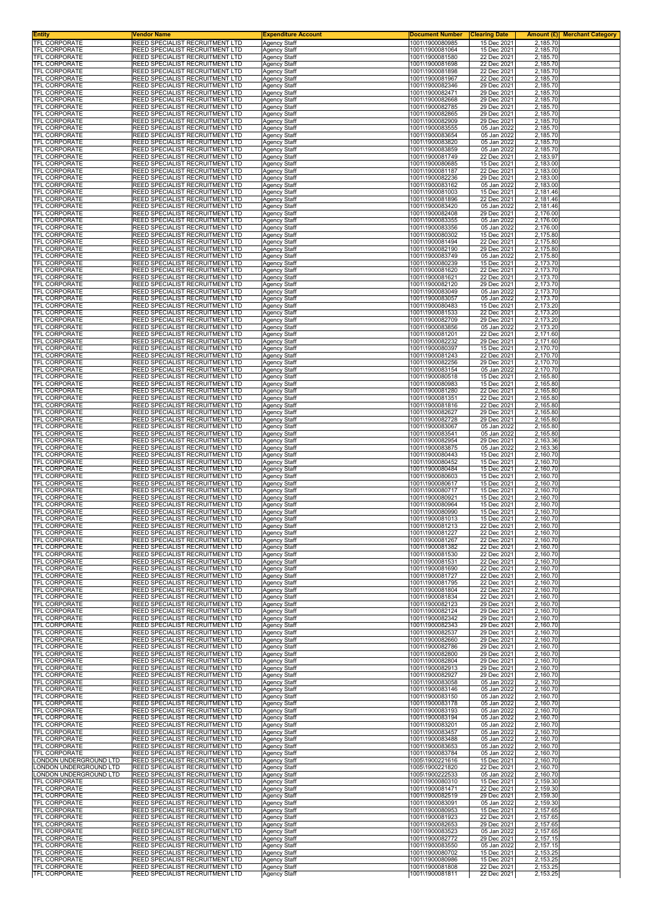| Entity<br><b>TFL CORPORATE</b>                 | Vendor Name<br>REED SPECIALIST RECRUITMENT LTD                     | <b>Expenditure Account</b>                 | <b>Document Number</b><br>1001\1900080985 | <b>Clearing Date</b><br>Amount (£) <br><b>Merchant Category</b><br>15 Dec 2021<br>2,185.70 |
|------------------------------------------------|--------------------------------------------------------------------|--------------------------------------------|-------------------------------------------|--------------------------------------------------------------------------------------------|
| TFL CORPORATE                                  | REED SPECIALIST RECRUITMENT LTD                                    | <b>Agency Staff</b><br><b>Agency Staff</b> | 1001\1900081064                           | 15 Dec 2021<br>2,185.70                                                                    |
| TFL CORPORATE                                  | REED SPECIALIST RECRUITMENT LTD                                    | Agency Staff                               | 1001\1900081580                           | 2,185.70<br>22 Dec 2021                                                                    |
| TFL CORPORATE<br>TFL CORPORATE                 | REED SPECIALIST RECRUITMENT LTD<br>REED SPECIALIST RECRUITMENT LTD | <b>Agency Staff</b><br>Agency Staff        | 1001\1900081698<br>1001\1900081898        | 22 Dec 2021<br>2,185.70<br>22 Dec 2021<br>2,185.70                                         |
| TFL CORPORATE                                  | REED SPECIALIST RECRUITMENT LTD                                    | Agency Staff                               | 1001\1900081967                           | 22 Dec 2021<br>2,185.70                                                                    |
| TFL CORPORATE                                  | REED SPECIALIST RECRUITMENT LTD<br>REED SPECIALIST RECRUITMENT LTD | <b>Agency Staff</b>                        | 1001\1900082346<br>1001\1900082471        | 29 Dec 2021<br>2,185.70<br>29 Dec 2021                                                     |
| TFL CORPORATE<br>TFL CORPORATE                 | REED SPECIALIST RECRUITMENT LTD                                    | Agency Staff<br>Agency Staff               | 1001\1900082668                           | 2,185.70<br>29 Dec 2021<br>2,185.70                                                        |
| TFL CORPORATE                                  | REED SPECIALIST RECRUITMENT LTD                                    | Agency Staff                               | 1001\1900082785                           | 29 Dec 2021<br>2,185.70                                                                    |
| TFL CORPORATE<br>TFL CORPORATE                 | REED SPECIALIST RECRUITMENT LTD<br>REED SPECIALIST RECRUITMENT LTD | Agency Staff<br>Agency Staff               | 1001\1900082865<br>1001\1900082909        | 29 Dec 2021<br>2,185.70<br>29 Dec 2021<br>2,185.70                                         |
| TFL CORPORATE                                  | REED SPECIALIST RECRUITMENT LTD                                    | Agency Staff                               | 1001\1900083555                           | 05 Jan 2022<br>2,185.70                                                                    |
| TFL CORPORATE<br>TFL CORPORATE                 | REED SPECIALIST RECRUITMENT LTD<br>REED SPECIALIST RECRUITMENT LTD | <b>Agency Staff</b>                        | 1001\1900083654<br>1001\1900083820        | 05 Jan 2022<br>2,185.70<br>05 Jan 2022<br>2,185.70                                         |
| <b>TFL CORPORATE</b>                           | REED SPECIALIST RECRUITMENT LTD                                    | Agency Staff<br>Agency Staff               | 1001\1900083859                           | 05 Jan 2022<br>2,185.70                                                                    |
| TFL CORPORATE                                  | REED SPECIALIST RECRUITMENT LTD                                    | <b>Agency Staff</b>                        | 1001\1900081749                           | 2,183.97<br>22 Dec 2021                                                                    |
| TFL CORPORATE<br>TFL CORPORATE                 | REED SPECIALIST RECRUITMENT LTD<br>REED SPECIALIST RECRUITMENT LTD | Agency Staff<br>Agency Staff               | 1001\1900080685<br>1001\1900081187        | 15 Dec 2021<br>2,183.00<br>22 Dec 2021<br>2,183.00                                         |
| <b>TFL CORPORATE</b>                           | REED SPECIALIST RECRUITMENT LTD                                    | Agency Staff                               | 1001\1900082236                           | 29 Dec 2021<br>2,183.00                                                                    |
| TFL CORPORATE<br>TFL CORPORATE                 | REED SPECIALIST RECRUITMENT LTD<br>REED SPECIALIST RECRUITMENT LTD | <b>Agency Staff</b><br><b>Agency Staff</b> | 1001\1900083162<br>1001\1900081003        | 05 Jan 2022<br>2,183.00<br>15 Dec 2021<br>2,181.46                                         |
| <b>TFL CORPORATE</b>                           | REED SPECIALIST RECRUITMENT LTD                                    | Agency Staff                               | 1001\1900081896                           | 22 Dec 2021<br>2,181.46                                                                    |
| <b>TFL CORPORATE</b><br><b>TFL CORPORATE</b>   | REED SPECIALIST RECRUITMENT LTD<br>REED SPECIALIST RECRUITMENT LTD | Agency Staff<br>Agency Staff               | 1001\1900083420<br>1001\1900082408        | 05 Jan 2022<br>2,181.46<br>29 Dec 2021<br>2,176.00                                         |
| <b>TFL CORPORATE</b>                           | REED SPECIALIST RECRUITMENT LTD                                    | <b>Agency Staff</b>                        | 1001\1900083355                           | 05 Jan 2022<br>2,176.00                                                                    |
| TFL CORPORATE                                  | REED SPECIALIST RECRUITMENT LTD<br>REED SPECIALIST RECRUITMENT LTD | <b>Agency Staff</b>                        | 1001\1900083356<br>1001\1900080302        | 05 Jan 2022<br>2,176.00<br>15 Dec 2021                                                     |
| TFL CORPORATE<br>TFL CORPORATE                 | REED SPECIALIST RECRUITMENT LTD                                    | Agency Staff<br><b>Agency Staff</b>        | 1001\1900081494                           | 2,175.80<br>22 Dec 2021<br>2,175.80                                                        |
| TFL CORPORATE                                  | REED SPECIALIST RECRUITMENT LTD                                    | Agency Staff                               | 1001\1900082190                           | 2,175.80<br>29 Dec 2021                                                                    |
| TFL CORPORATE<br>TFL CORPORATE                 | REED SPECIALIST RECRUITMENT LTD<br>REED SPECIALIST RECRUITMENT LTD | Agency Staff<br><b>Agency Staff</b>        | 1001\1900083749<br>1001\1900080239        | 2,175.80<br>05 Jan 2022<br>15 Dec 2021<br>2,173.70                                         |
| TFL CORPORATE                                  | REED SPECIALIST RECRUITMENT LTD                                    | <b>Agency Staff</b>                        | 1001\1900081620                           | 2,173.70<br>22 Dec 2021                                                                    |
| TFL CORPORATE<br>TFL CORPORATE                 | REED SPECIALIST RECRUITMENT LTD<br>REED SPECIALIST RECRUITMENT LTD | Agency Staff<br>Agency Staff               | 1001\1900081621<br>1001\1900082120        | 22 Dec 2021<br>2,173.70<br>29 Dec 2021<br>2,173.70                                         |
| <b>TFL CORPORATE</b>                           | REED SPECIALIST RECRUITMENT LTD                                    | <b>Agency Staff</b>                        | 1001\1900083049                           | 2,173.70<br>05 Jan 2022                                                                    |
| TFL CORPORATE                                  | REED SPECIALIST RECRUITMENT LTD                                    | Agency Staff                               | 1001\1900083057                           | 05 Jan 2022<br>2,173.70                                                                    |
| TFL CORPORATE<br>TFL CORPORATE                 | REED SPECIALIST RECRUITMENT LTD<br>REED SPECIALIST RECRUITMENT LTD | Agency Staff<br><b>Agency Staff</b>        | 1001\1900080483<br>1001\1900081533        | 2,173.20<br>15 Dec 2021<br>22 Dec 2021<br>2,173.20                                         |
| TFL CORPORATE                                  | REED SPECIALIST RECRUITMENT LTD                                    | Agency Staff                               | 1001\1900082709                           | 29 Dec 2021<br>2,173.20                                                                    |
| TFL CORPORATE<br><b>TFL CORPORATE</b>          | REED SPECIALIST RECRUITMENT LTD<br>REED SPECIALIST RECRUITMENT LTD | Agency Staff<br>Agency Staff               | 1001\1900083856<br>1001\1900081201        | 05 Jan 2022<br>2,173.20<br>2,171.60<br>22 Dec 2021                                         |
| TFL CORPORATE                                  | REED SPECIALIST RECRUITMENT LTD                                    | Agency Staff                               | 1001\1900082232                           | 29 Dec 2021<br>2,171.60                                                                    |
| TFL CORPORATE                                  | REED SPECIALIST RECRUITMENT LTD                                    | Agency Staff                               | 1001\1900080397                           | 15 Dec 2021<br>2,170.70                                                                    |
| TFL CORPORATE<br>TFL CORPORATE                 | REED SPECIALIST RECRUITMENT LTD<br>REED SPECIALIST RECRUITMENT LTD | Agency Staff<br>Agency Staff               | 1001\1900081243<br>1001\1900082256        | 2,170.70<br>22 Dec 2021<br>29 Dec 2021<br>2,170.70                                         |
| TFL CORPORATE                                  | REED SPECIALIST RECRUITMENT LTD                                    | Agency Staff                               | 1001\1900083154                           | 05 Jan 2022<br>2,170.70                                                                    |
| <b>TFL CORPORATE</b><br><b>TFL CORPORATE</b>   | REED SPECIALIST RECRUITMENT LTD<br>REED SPECIALIST RECRUITMENT LTD | Agency Staff<br>Agency Staff               | 1001\1900080518<br>1001\1900080983        | 2,165.80<br>15 Dec 2021<br>15 Dec 2021<br>2,165.80                                         |
| TFL CORPORATE                                  | REED SPECIALIST RECRUITMENT LTD                                    | Agency Staff                               | 1001\1900081280                           | 22 Dec 2021<br>2,165.80                                                                    |
| TFL CORPORATE                                  | REED SPECIALIST RECRUITMENT LTD                                    | <b>Agency Staff</b>                        | 1001\1900081351                           | 22 Dec 2021<br>2,165.80                                                                    |
| TFL CORPORATE<br>TFL CORPORATE                 | REED SPECIALIST RECRUITMENT LTD<br>REED SPECIALIST RECRUITMENT LTD | Agency Staff<br>Agency Staff               | 1001\1900081816<br>1001\1900082627        | 22 Dec 2021<br>2,165.80<br>29 Dec 2021<br>2,165.80                                         |
| TFL CORPORATE                                  | REED SPECIALIST RECRUITMENT LTD                                    | Agency Staff                               | 1001\1900082728                           | 29 Dec 2021<br>2,165.80                                                                    |
| TFL CORPORATE<br>TFL CORPORATE                 | REED SPECIALIST RECRUITMENT LTD<br>REED SPECIALIST RECRUITMENT LTD | Agency Staff<br>Agency Staff               | 1001\1900083067<br>1001\1900083541        | 05 Jan 2022<br>2,165.80<br>05 Jan 2022<br>2,165.80                                         |
| <b>TFL CORPORATE</b>                           | REED SPECIALIST RECRUITMENT LTD                                    | Agency Staff                               | 1001\1900082954                           | 29 Dec 2021<br>2,163.36                                                                    |
| TFL CORPORATE<br>TFL CORPORATE                 | REED SPECIALIST RECRUITMENT LTD<br>REED SPECIALIST RECRUITMENT LTD | Agency Staff                               | 1001\1900083875<br>1001\1900080443        | 05 Jan 2022<br>2,163.36<br>15 Dec 2021<br>2,160.70                                         |
| TFL CORPORATE                                  | REED SPECIALIST RECRUITMENT LTD                                    | Agency Staff<br>Agency Staff               | 1001\1900080452                           | 15 Dec 2021<br>2,160.70                                                                    |
| TFL CORPORATE                                  | REED SPECIALIST RECRUITMENT LTD                                    | Agency Staff                               | 1001\1900080484                           | 2,160.70<br>15 Dec 2021                                                                    |
| TFL CORPORATE<br>TFL CORPORATE                 | REED SPECIALIST RECRUITMENT LTD<br>REED SPECIALIST RECRUITMENT LTD | Agency Staff<br>Agency Staff               | 1001\1900080603<br>1001\1900080617        | 15 Dec 2021<br>2,160.70<br>15 Dec 2021<br>2,160.70                                         |
| <b>TFL CORPORATE</b>                           | REED SPECIALIST RECRUITMENT LTD                                    | Agency Staff                               | 1001\1900080717                           | 2,160.70<br>15 Dec 2021                                                                    |
| <b>TFL CORPORATE</b><br><b>TFL CORPORATE</b>   | REED SPECIALIST RECRUITMENT LTD<br>REED SPECIALIST RECRUITMENT LTD | Agency Staff<br>Agency Staff               | 1001\1900080921<br>1001\1900080964        | 15 Dec 2021<br>2,160.70<br>15 Dec 2021<br>2,160.70                                         |
| TFL CORPORATE                                  | REED SPECIALIST RECRUITMENT LTD                                    | Agency Staff                               | 1001\1900080990                           | 2,160.70<br>15 Dec 2021                                                                    |
| TFL CORPORATE<br><b>IFL CORPORATE</b>          | REED SPECIALIST RECRUITMENT LTD<br>REED SPECIALIST RECRUITMENT LTD | Agency Staff                               | 1001\1900081013<br>1001\1900081213        | 15 Dec 2021<br>2,160.70<br>22 Dec 2021<br>2,160.70                                         |
| <b>TFL CORPORATE</b>                           | REED SPECIALIST RECRUITMENT LTD                                    | Agency Staff<br><b>Agency Staff</b>        | 1001\1900081227                           | 22 Dec 2021<br>2,160.70                                                                    |
| <b>TFL CORPORATE</b>                           | REED SPECIALIST RECRUITMENT LTD                                    | Agency Staff                               | 1001\1900081267                           | 22 Dec 2021<br>2,160.70                                                                    |
| TFL CORPORATE<br><b>TFL CORPORATE</b>          | REED SPECIALIST RECRUITMENT LTD<br>REED SPECIALIST RECRUITMENT LTD | Agency Staff<br><b>Agency Staff</b>        | 1001\1900081382<br>1001\1900081530        | 22 Dec 2021<br>2,160.70<br>22 Dec 2021<br>2,160.70                                         |
| TFL CORPORATE                                  | REED SPECIALIST RECRUITMENT LTD                                    | Agency Staff                               | 1001\1900081531                           | 22 Dec 2021<br>2,160.70                                                                    |
| TFL CORPORATE<br>TFL CORPORATE                 | REED SPECIALIST RECRUITMENT LTD<br>REED SPECIALIST RECRUITMENT LTD | Agency Staff<br><b>Agency Staff</b>        | 1001\1900081690<br>1001\1900081727        | 22 Dec 2021<br>2,160.70<br>22 Dec 2021<br>2,160.70                                         |
| TFL CORPORATE                                  | REED SPECIALIST RECRUITMENT LTD                                    | Agency Staff                               | 1001\1900081795                           | 22 Dec 2021<br>2,160.70                                                                    |
| TFL CORPORATE<br><b>TFL CORPORATE</b>          | REED SPECIALIST RECRUITMENT LTD<br>REED SPECIALIST RECRUITMENT LTD | <b>Agency Staff</b><br><b>Agency Staff</b> | 1001\1900081804<br>1001\1900081834        | 22 Dec 2021<br>2,160.70<br>22 Dec 2021<br>2,160.70                                         |
| <b>TFL CORPORATE</b>                           | REED SPECIALIST RECRUITMENT LTD                                    | Agency Staff                               | 1001\1900082123                           | 29 Dec 2021<br>2.160.70                                                                    |
| TFL CORPORATE                                  | REED SPECIALIST RECRUITMENT LTD                                    | Agency Staff                               | 1001\1900082124                           | 29 Dec 2021<br>2,160.70                                                                    |
| <b>TFL CORPORATE</b><br><b>TFL CORPORATE</b>   | REED SPECIALIST RECRUITMENT LTD<br>REED SPECIALIST RECRUITMENT LTD | <b>Agency Staff</b><br><b>Agency Staff</b> | 1001\1900082342<br>1001\1900082343        | 29 Dec 2021<br>2,160.70<br>29 Dec 2021<br>2,160.70                                         |
| TFL CORPORATE                                  | REED SPECIALIST RECRUITMENT LTD                                    | Agency Staff                               | 1001\1900082537                           | 29 Dec 2021<br>2,160.70                                                                    |
| <b>TFL CORPORATE</b><br><b>TFL CORPORATE</b>   | REED SPECIALIST RECRUITMENT LTD<br>REED SPECIALIST RECRUITMENT LTD | Agency Staff<br>Agency Staff               | 1001\1900082660<br>1001\1900082786        | 29 Dec 2021<br>2,160.70<br>29 Dec 2021<br>2,160.70                                         |
| TFL CORPORATE                                  | REED SPECIALIST RECRUITMENT LTD                                    | Agency Staff                               | 1001\1900082800                           | 29 Dec 2021<br>2,160.70                                                                    |
| TFL CORPORATE<br><b>TFL CORPORATE</b>          | REED SPECIALIST RECRUITMENT LTD<br>REED SPECIALIST RECRUITMENT LTD | <b>Agency Staff</b><br><b>Agency Staff</b> | 1001\1900082804<br>1001\1900082913        | 29 Dec 2021<br>2,160.70<br>29 Dec 2021<br>2,160.70                                         |
| TFL CORPORATE                                  | REED SPECIALIST RECRUITMENT LTD                                    | Agency Staff                               | 1001\1900082927                           | 29 Dec 2021<br>2,160.70                                                                    |
| TFL CORPORATE<br><b>TFL CORPORATE</b>          | REED SPECIALIST RECRUITMENT LTD<br>REED SPECIALIST RECRUITMENT LTD | Agency Staff                               | 1001\1900083058<br>1001\1900083146        | 05 Jan 2022<br>2,160.70<br>05 Jan 2022<br>2,160.70                                         |
| TFL CORPORATE                                  | REED SPECIALIST RECRUITMENT LTD                                    | <b>Agency Staff</b><br>Agency Staff        | 1001\1900083150                           | 05 Jan 2022<br>2,160.70                                                                    |
| TFL CORPORATE                                  | REED SPECIALIST RECRUITMENT LTD                                    | Agency Staff                               | 1001\1900083178                           | 05 Jan 2022<br>2,160.70                                                                    |
| TFL CORPORATE<br>TFL CORPORATE                 | REED SPECIALIST RECRUITMENT LTD<br>REED SPECIALIST RECRUITMENT LTD | <b>Agency Staff</b><br>Agency Staff        | 1001\1900083193<br>1001\1900083194        | 05 Jan 2022<br>2,160.70<br>05 Jan 2022<br>2,160.70                                         |
| TFL CORPORATE                                  | REED SPECIALIST RECRUITMENT LTD                                    | Agency Staff                               | 1001\1900083201                           | 05 Jan 2022<br>2,160.70                                                                    |
| <b>TFL CORPORATE</b><br>TFL CORPORATE          | REED SPECIALIST RECRUITMENT LTD<br>REED SPECIALIST RECRUITMENT LTD | <b>Agency Staff</b><br>Agency Staff        | 1001\1900083457<br>1001\1900083488        | 05 Jan 2022<br>2,160.70<br>05 Jan 2022<br>2,160.70                                         |
| TFL CORPORATE                                  | REED SPECIALIST RECRUITMENT LTD                                    | Agency Staff                               | 1001\1900083653                           | 05 Jan 2022<br>2,160.70                                                                    |
| TFL CORPORATE                                  | REED SPECIALIST RECRUITMENT LTD                                    | <b>Agency Staff</b>                        | 1001\1900083784                           | 2,160.70<br>05 Jan 2022                                                                    |
| ONDON UNDERGROUND LTD<br>ONDON UNDERGROUND LTD | REED SPECIALIST RECRUITMENT LTD<br>REED SPECIALIST RECRUITMENT LTD | Agency Staff<br>Agency Staff               | 1005\1900221616<br>1005\1900221820        | 15 Dec 2021<br>2,160.70<br>22 Dec 2021<br>2,160.70                                         |
| ONDON UNDERGROUND LTD                          | REED SPECIALIST RECRUITMENT LTD                                    | <b>Agency Staff</b>                        | 1005\1900222533                           | 05 Jan 2022<br>2,160.70                                                                    |
| <b>TFL CORPORATE</b><br>TFL CORPORATE          | REED SPECIALIST RECRUITMENT LTD<br>REED SPECIALIST RECRUITMENT LTD | Agency Staff<br>Agency Staff               | 1001\1900080310<br>1001\1900081471        | 15 Dec 2021<br>2,159.30<br>22 Dec 2021<br>2,159.30                                         |
| TFL CORPORATE                                  | REED SPECIALIST RECRUITMENT LTD                                    | <b>Agency Staff</b>                        | 1001\1900082519                           | 29 Dec 2021<br>2,159.30                                                                    |
| TFL CORPORATE<br>TFL CORPORATE                 | REED SPECIALIST RECRUITMENT LTD<br>REED SPECIALIST RECRUITMENT LTD | Agency Staff<br>Agency Staff               | 1001\1900083091<br>1001\1900080953        | 05 Jan 2022<br>2,159.30<br>15 Dec 2021<br>2,157.65                                         |
| <b>TFL CORPORATE</b>                           | REED SPECIALIST RECRUITMENT LTD                                    | Agency Staff                               | 1001\1900081923                           | 22 Dec 2021<br>2,157.65                                                                    |
| TFL CORPORATE                                  | REED SPECIALIST RECRUITMENT LTD                                    | <b>Agency Staff</b>                        | 1001\1900082653                           | 29 Dec 2021<br>2,157.65                                                                    |
| TFL CORPORATE<br>TFL CORPORATE                 | REED SPECIALIST RECRUITMENT LTD<br>REED SPECIALIST RECRUITMENT LTD | Agency Staff<br><b>Agency Staff</b>        | 1001\1900083523<br>1001\1900082772        | 05 Jan 2022<br>2,157.65<br>29 Dec 2021<br>2,157.15                                         |
| <b>TFL CORPORATE</b>                           | REED SPECIALIST RECRUITMENT LTD                                    | <b>Agency Staff</b>                        | 1001\1900083550                           | 05 Jan 2022<br>2,157.15                                                                    |
| TFL CORPORATE<br><b>TFL CORPORATE</b>          | REED SPECIALIST RECRUITMENT LTD<br>REED SPECIALIST RECRUITMENT LTD | Agency Staff<br><b>Agency Staff</b>        | 1001\1900080702<br>1001\1900080986        | 15 Dec 2021<br>2,153.25<br>2,153.25<br>15 Dec 2021                                         |
| <b>TFL CORPORATE</b>                           | REED SPECIALIST RECRUITMENT LTD                                    | Agency Staff                               | 1001\1900081808                           | 22 Dec 2021<br>2,153.25                                                                    |
| TFL CORPORATE                                  | REED SPECIALIST RECRUITMENT LTD                                    | <b>Agency Staff</b>                        | 1001\1900081811                           | 22 Dec 2021<br>2,153.25                                                                    |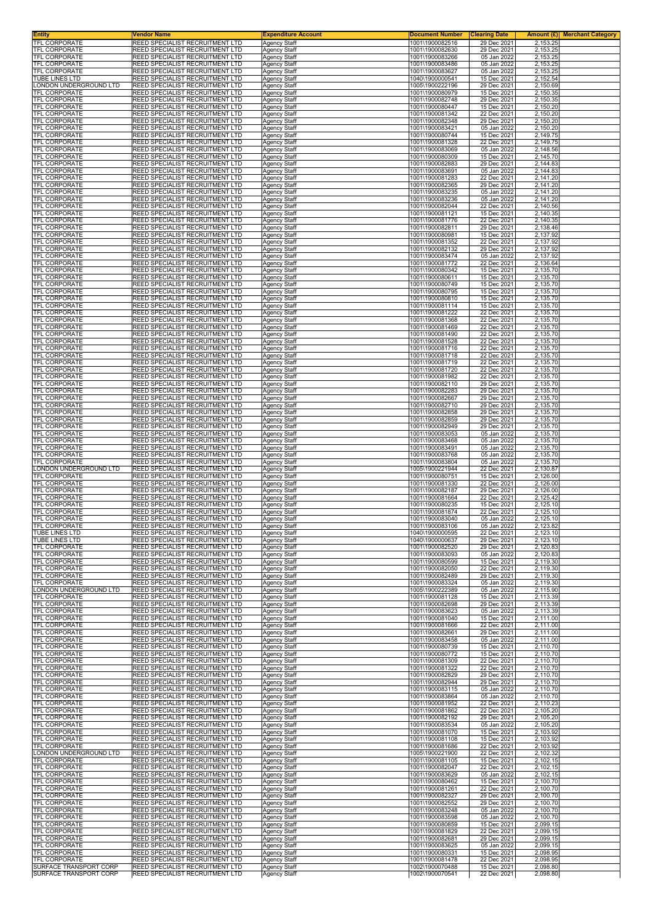| Entity<br><b>TFL CORPORATE</b>                | Vendor Name<br>REED SPECIALIST RECRUITMENT LTD                     | <b>Expenditure Account</b><br><b>Agency Staff</b> | <b>Document Number</b><br>1001\1900082516 | <b>Clearing Date</b><br>Amount $(E)$<br><b>Merchant Category</b><br>29 Dec 2021<br>2,153.25 |
|-----------------------------------------------|--------------------------------------------------------------------|---------------------------------------------------|-------------------------------------------|---------------------------------------------------------------------------------------------|
| TFL CORPORATE                                 | REED SPECIALIST RECRUITMENT LTD                                    | <b>Agency Staff</b>                               | 1001\1900082630                           | 29 Dec 2021<br>2,153.25                                                                     |
| TFL CORPORATE<br>TFL CORPORATE                | REED SPECIALIST RECRUITMENT LTD<br>REED SPECIALIST RECRUITMENT LTD | Agency Staff                                      | 1001\1900083266<br>1001\1900083486        | 05 Jan 2022<br>2,153.25<br>05 Jan 2022<br>2,153.25                                          |
| TFL CORPORATE                                 | REED SPECIALIST RECRUITMENT LTD                                    | Agency Staff<br>Agency Staff                      | 1001\1900083627                           | 05 Jan 2022<br>2,153.25                                                                     |
| TUBE LINES LTD                                | REED SPECIALIST RECRUITMENT LTD                                    | Agency Staff                                      | 1040\1900000541                           | 15 Dec 2021<br>2,152.54                                                                     |
| ONDON UNDERGROUND LTD<br>TFL CORPORATE        | REED SPECIALIST RECRUITMENT LTD<br>REED SPECIALIST RECRUITMENT LTD | <b>Agency Staff</b><br>Agency Staff               | 1005\1900222196<br>1001\1900080979        | 29 Dec 2021<br>2,150.69<br>15 Dec 2021<br>2,150.35                                          |
| TFL CORPORATE                                 | REED SPECIALIST RECRUITMENT LTD                                    | Agency Staff                                      | 1001\1900082748                           | 29 Dec 2021<br>2,150.35<br>2,150.20                                                         |
| TFL CORPORATE<br>TFL CORPORATE                | REED SPECIALIST RECRUITMENT LTD<br>REED SPECIALIST RECRUITMENT LTD | Agency Staff<br>Agency Staff                      | 1001\1900080447<br>1001\1900081342        | 15 Dec 2021<br>22 Dec 2021<br>2,150.20                                                      |
| TFL CORPORATE                                 | REED SPECIALIST RECRUITMENT LTD                                    | Agency Staff                                      | 1001\1900082348                           | 29 Dec 2021<br>2,150.20                                                                     |
| TFL CORPORATE<br>TFL CORPORATE                | REED SPECIALIST RECRUITMENT LTD<br>REED SPECIALIST RECRUITMENT LTD | Agency Staff<br><b>Agency Staff</b>               | 1001\1900083421<br>1001\1900080744        | 05 Jan 2022<br>2,150.20<br>15 Dec 2021<br>2,149.75                                          |
| TFL CORPORATE                                 | REED SPECIALIST RECRUITMENT LTD                                    | Agency Staff                                      | 1001\1900081328                           | 22 Dec 2021<br>2,149.75                                                                     |
| <b>TFL CORPORATE</b><br>TFL CORPORATE         | REED SPECIALIST RECRUITMENT LTD<br>REED SPECIALIST RECRUITMENT LTD | Agency Staff<br><b>Agency Staff</b>               | 1001\1900083069<br>1001\1900080309        | 05 Jan 2022<br>2,148.56<br>15 Dec 2021<br>2,145.70                                          |
| TFL CORPORATE                                 | REED SPECIALIST RECRUITMENT LTD                                    | Agency Staff                                      | 1001\1900082883                           | 29 Dec 2021<br>2,144.83                                                                     |
| TFL CORPORATE<br><b>TFL CORPORATE</b>         | REED SPECIALIST RECRUITMENT LTD<br>REED SPECIALIST RECRUITMENT LTD | Agency Staff<br>Agency Staff                      | 1001\1900083691<br>1001\1900081283        | 05 Jan 2022<br>2,144.83<br>22 Dec 2021<br>2,141.20                                          |
| TFL CORPORATE                                 | REED SPECIALIST RECRUITMENT LTD                                    | Agency Staff                                      | 1001\1900082365                           | 29 Dec 2021<br>2,141.20                                                                     |
| <b>TFL CORPORATE</b><br><b>TFL CORPORATE</b>  | REED SPECIALIST RECRUITMENT LTD<br>REED SPECIALIST RECRUITMENT LTD | <b>Agency Staff</b><br>Agency Staff               | 1001\1900083235<br>1001\1900083236        | 05 Jan 2022<br>2,141.20<br>05 Jan 2022<br>2,141.20                                          |
| <b>TFL CORPORATE</b>                          | REED SPECIALIST RECRUITMENT LTD                                    | Agency Staff                                      | 1001\1900082044                           | 22 Dec 2021<br>2,140.56                                                                     |
| <b>TFL CORPORATE</b><br><b>TFL CORPORATE</b>  | REED SPECIALIST RECRUITMENT LTD<br>REED SPECIALIST RECRUITMENT LTD | Agency Staff<br><b>Agency Staff</b>               | 1001\1900081121<br>1001\1900081776        | 15 Dec 2021<br>2,140.35<br>22 Dec 2021<br>2,140.35                                          |
| TFL CORPORATE                                 | REED SPECIALIST RECRUITMENT LTD                                    | Agency Staff                                      | 1001\1900082811                           | 29 Dec 2021<br>2,138.46                                                                     |
| TFL CORPORATE<br>TFL CORPORATE                | REED SPECIALIST RECRUITMENT LTD<br>REED SPECIALIST RECRUITMENT LTD | Agency Staff<br><b>Agency Staff</b>               | 1001\1900080981<br>1001\1900081352        | 15 Dec 2021<br>2,137.92<br>22 Dec 2021<br>2,137.92                                          |
| TFL CORPORATE                                 | REED SPECIALIST RECRUITMENT LTD                                    | Agency Staff                                      | 1001\1900082132                           | 2,137.92<br>29 Dec 2021                                                                     |
| TFL CORPORATE<br>TFL CORPORATE                | REED SPECIALIST RECRUITMENT LTD<br>REED SPECIALIST RECRUITMENT LTD | Agency Staff<br>Agency Staff                      | 1001\1900083474<br>1001\1900081772        | 05 Jan 2022<br>2,137.92<br>2,136.64<br>22 Dec 2021                                          |
| TFL CORPORATE                                 | REED SPECIALIST RECRUITMENT LTD                                    | Agency Staff                                      | 1001\1900080342                           | 15 Dec 2021<br>2,135.70                                                                     |
| TFL CORPORATE<br>TFL CORPORATE                | REED SPECIALIST RECRUITMENT LTD<br>REED SPECIALIST RECRUITMENT LTD | Agency Staff<br>Agency Staff                      | 1001\1900080611<br>1001\1900080749        | 15 Dec 2021<br>2,135.70<br>15 Dec 2021<br>2,135.70                                          |
| TFL CORPORATE                                 | REED SPECIALIST RECRUITMENT LTD                                    | Agency Staff                                      | 1001\1900080795                           | 2,135.70<br>15 Dec 2021                                                                     |
| TFL CORPORATE<br>TFL CORPORATE                | REED SPECIALIST RECRUITMENT LTD<br>REED SPECIALIST RECRUITMENT LTD | Agency Staff<br>Agency Staff                      | 1001\1900080810<br>1001\1900081114        | 15 Dec 2021<br>2,135.70<br>15 Dec 2021<br>2,135.70                                          |
| TFL CORPORATE                                 | REED SPECIALIST RECRUITMENT LTD                                    | Agency Staff                                      | 1001\1900081222                           | 2,135.70<br>22 Dec 2021                                                                     |
| <b>TFL CORPORATE</b><br>TFL CORPORATE         | REED SPECIALIST RECRUITMENT LTD<br>REED SPECIALIST RECRUITMENT LTD | Agency Staff<br>Agency Staff                      | 1001\1900081368<br>1001\1900081469        | 22 Dec 2021<br>2,135.70<br>22 Dec 2021<br>2,135.70                                          |
| <b>TFL CORPORATE</b>                          | REED SPECIALIST RECRUITMENT LTD                                    | Agency Staff                                      | 1001\1900081490                           | 2,135.70<br>22 Dec 2021                                                                     |
| TFL CORPORATE<br>TFL CORPORATE                | REED SPECIALIST RECRUITMENT LTD<br>REED SPECIALIST RECRUITMENT LTD | Agency Staff<br>Agency Staff                      | 1001\1900081528<br>1001\1900081716        | 22 Dec 2021<br>2,135.70<br>22 Dec 2021<br>2,135.70                                          |
| TFL CORPORATE                                 | REED SPECIALIST RECRUITMENT LTD                                    | Agency Staff                                      | 1001\1900081718                           | 22 Dec 2021<br>2,135.70                                                                     |
| TFL CORPORATE<br>TFL CORPORATE                | REED SPECIALIST RECRUITMENT LTD<br>REED SPECIALIST RECRUITMENT LTD | Agency Staff<br>Agency Staff                      | 1001\1900081719<br>1001\1900081720        | 22 Dec 2021<br>2,135.70<br>22 Dec 2021<br>2,135.70                                          |
| <b>TFL CORPORATE</b><br><b>TFL CORPORATE</b>  | REED SPECIALIST RECRUITMENT LTD                                    | Agency Staff                                      | 1001\1900081982                           | 22 Dec 2021<br>2,135.70                                                                     |
| TFL CORPORATE                                 | REED SPECIALIST RECRUITMENT LTD<br>REED SPECIALIST RECRUITMENT LTD | Agency Staff<br>Agency Staff                      | 1001\1900082110<br>1001\1900082283        | 29 Dec 2021<br>2,135.70<br>29 Dec 2021<br>2,135.70                                          |
| TFL CORPORATE                                 | REED SPECIALIST RECRUITMENT LTD                                    | <b>Agency Staff</b>                               | 1001\1900082667                           | 29 Dec 2021<br>2,135.70                                                                     |
| TFL CORPORATE<br>TFL CORPORATE                | REED SPECIALIST RECRUITMENT LTD<br>REED SPECIALIST RECRUITMENT LTD | Agency Staff<br>Agency Staff                      | 1001\1900082710<br>1001\1900082858        | 29 Dec 2021<br>2,135.70<br>29 Dec 2021<br>2,135.70                                          |
| TFL CORPORATE                                 | REED SPECIALIST RECRUITMENT LTD                                    | Agency Staff                                      | 1001\1900082859                           | 29 Dec 2021<br>2,135.70                                                                     |
| TFL CORPORATE<br>TFL CORPORATE                | REED SPECIALIST RECRUITMENT LTD<br>REED SPECIALIST RECRUITMENT LTD | Agency Staff<br>Agency Staff                      | 1001\1900082949<br>1001\1900083053        | 29 Dec 2021<br>2,135.70<br>2,135.70<br>05 Jan 2022                                          |
| <b>TFL CORPORATE</b><br><b>TFL CORPORATE</b>  | REED SPECIALIST RECRUITMENT LTD<br>REED SPECIALIST RECRUITMENT LTD | Agency Staff                                      | 1001\1900083468                           | 05 Jan 2022<br>2,135.70<br>05 Jan 2022                                                      |
| TFL CORPORATE                                 | REED SPECIALIST RECRUITMENT LTD                                    | Agency Staff<br>Agency Staff                      | 1001\1900083491<br>1001\1900083768        | 2,135.70<br>2,135.70<br>05 Jan 2022                                                         |
| TFL CORPORATE<br>ONDON UNDERGROUND LTD.       | REED SPECIALIST RECRUITMENT LTD<br>REED SPECIALIST RECRUITMENT LTD | Agency Staff<br>Agency Staff                      | 1001\1900083804<br>1005\1900221944        | 05 Jan 2022<br>2,135.70<br>22 Dec 2021<br>2,130.87                                          |
| TFL CORPORATE                                 | REED SPECIALIST RECRUITMENT LTD                                    | Agency Staff                                      | 1001\1900080751                           | 15 Dec 2021<br>2,126.00                                                                     |
| TFL CORPORATE<br>TFL CORPORATE                | REED SPECIALIST RECRUITMENT LTD<br>REED SPECIALIST RECRUITMENT LTD | Agency Staff<br><b>Agency Staff</b>               | 1001\1900081330<br>1001\1900082187        | 22 Dec 2021<br>2,126.00<br>2,126.00<br>29 Dec 2021                                          |
| <b>TFL CORPORATE</b>                          | REED SPECIALIST RECRUITMENT LTD                                    | Agency Staff                                      | 1001\1900081664                           | 22 Dec 2021<br>2,125.42                                                                     |
| <b>TFL CORPORATE</b><br>TFL CORPORATE         | REED SPECIALIST RECRUITMENT LTD<br>REED SPECIALIST RECRUITMENT LTD | Agency Staff<br>Agency Staff                      | 1001\1900080235<br>1001\1900081874        | 15 Dec 2021<br>2,125.10<br>2,125.10<br>22 Dec 2021                                          |
| TFL CORPORATE                                 | REED SPECIALIST RECRUITMENT LTD                                    | <b>Agency Staff</b>                               | 1001\1900083040                           | 2,125.10<br>05 Jan 2022                                                                     |
| <b>IFL CORPORATE</b><br><b>TUBE LINES LTD</b> | REED SPECIALIST RECRUITMENT LTD<br>REED SPECIALIST RECRUITMENT LTD | Agency Staff<br><b>Agency Staff</b>               | 1001\1900083106<br>1040\1900000595        | 05 Jan 2022<br>2,123.82<br>22 Dec 2021<br>2,123.10                                          |
| TUBE LINES LTD                                | REED SPECIALIST RECRUITMENT LTD                                    | Agency Staff                                      | 1040\1900000637                           | 29 Dec 2021<br>2,123.10                                                                     |
| TFL CORPORATE<br><b>TFL CORPORATE</b>         | REED SPECIALIST RECRUITMENT LTD<br>REED SPECIALIST RECRUITMENT LTD | Agency Staff<br><b>Agency Staff</b>               | 1001\1900082520<br>1001\1900083093        | 29 Dec 2021<br>2,120.83<br>2,120.83<br>05 Jan 2022                                          |
| TFL CORPORATE                                 | REED SPECIALIST RECRUITMENT LTD                                    | Agency Staff                                      | 1001\1900080599                           | 15 Dec 2021<br>2,119.30                                                                     |
| TFL CORPORATE<br>TFL CORPORATE                | REED SPECIALIST RECRUITMENT LTD<br>REED SPECIALIST RECRUITMENT LTD | Agency Staff<br><b>Agency Staff</b>               | 1001\1900082050<br>1001\1900082489        | 22 Dec 2021<br>2,119.30<br>29 Dec 2021<br>2,119.30                                          |
| TFL CORPORATE                                 | REED SPECIALIST RECRUITMENT LTD                                    | Agency Staff                                      | 1001\1900083324                           | 05 Jan 2022<br>2,119.30                                                                     |
| LONDON UNDERGROUND LTD<br>TFL CORPORATE       | REED SPECIALIST RECRUITMENT LTD<br>REED SPECIALIST RECRUITMENT LTD | <b>Agency Staff</b><br>Agency Staff               | 1005\1900222389<br>1001\1900081128        | 05 Jan 2022<br>2,115.90<br>15 Dec 2021<br>2,113.39                                          |
| TFL CORPORATE                                 | REED SPECIALIST RECRUITMENT LTD                                    | Agency Staff                                      | 1001\1900082698                           | 29 Dec 2021<br>2,113.39                                                                     |
| TFL CORPORATE<br><b>TFL CORPORATE</b>         | REED SPECIALIST RECRUITMENT LTD<br>REED SPECIALIST RECRUITMENT LTD | Agency Staff<br><b>Agency Staff</b>               | 1001\1900083623<br>1001\1900081040        | 05 Jan 2022<br>2,113.39<br>15 Dec 2021<br>2.111.00                                          |
| TFL CORPORATE                                 | REED SPECIALIST RECRUITMENT LTD                                    | Agency Staff                                      | 1001\1900081666                           | 22 Dec 2021<br>2,111.00                                                                     |
| TFL CORPORATE<br><b>TFL CORPORATE</b>         | REED SPECIALIST RECRUITMENT LTD<br>REED SPECIALIST RECRUITMENT LTD | Agency Staff<br><b>Agency Staff</b>               | 1001\1900082661<br>1001\1900083458        | 29 Dec 2021<br>2,111.00<br>05 Jan 2022<br>2,111.00                                          |
| <b>TFL CORPORATE</b>                          | REED SPECIALIST RECRUITMENT LTD                                    | Agency Staff                                      | 1001\1900080739                           | 15 Dec 2021<br>2,110.70                                                                     |
| TFL CORPORATE<br>TFL CORPORATE                | REED SPECIALIST RECRUITMENT LTD<br>REED SPECIALIST RECRUITMENT LTD | Agency Staff<br><b>Agency Staff</b>               | 1001\1900080772<br>1001\1900081309        | 15 Dec 2021<br>2,110.70<br>22 Dec 2021<br>2,110.70                                          |
| <b>TFL CORPORATE</b>                          | REED SPECIALIST RECRUITMENT LTD                                    | <b>Agency Staff</b>                               | 1001\1900081322                           | 22 Dec 2021<br>2,110.70                                                                     |
| TFL CORPORATE<br>TFL CORPORATE                | REED SPECIALIST RECRUITMENT LTD<br>REED SPECIALIST RECRUITMENT LTD | Agency Staff<br>Agency Staff                      | 1001\1900082829<br>1001\1900082944        | 29 Dec 2021<br>2,110.70<br>29 Dec 2021<br>2,110.70                                          |
| <b>TFL CORPORATE</b>                          | REED SPECIALIST RECRUITMENT LTD                                    | <b>Agency Staff</b>                               | 1001\1900083115                           | 2,110.70<br>05 Jan 2022                                                                     |
| TFL CORPORATE<br>TFL CORPORATE                | REED SPECIALIST RECRUITMENT LTD<br>REED SPECIALIST RECRUITMENT LTD | Agency Staff<br>Agency Staff                      | 1001\1900083864<br>1001\1900081952        | 05 Jan 2022<br>2,110.70<br>22 Dec 2021<br>2,110.23                                          |
| TFL CORPORATE                                 | REED SPECIALIST RECRUITMENT LTD                                    | <b>Agency Staff</b>                               | 1001\1900081862                           | 22 Dec 2021<br>2,105.20                                                                     |
| TFL CORPORATE<br>TFL CORPORATE                | REED SPECIALIST RECRUITMENT LTD<br>REED SPECIALIST RECRUITMENT LTD | Agency Staff<br>Agency Staff                      | 1001\1900082192<br>1001\1900083534        | 29 Dec 2021<br>2,105.20<br>05 Jan 2022<br>2,105.20                                          |
| <b>TFL CORPORATE</b>                          | REED SPECIALIST RECRUITMENT LTD                                    | <b>Agency Staff</b>                               | 1001\1900081070                           | 15 Dec 2021<br>2,103.92                                                                     |
| TFL CORPORATE<br><b>TFL CORPORATE</b>         | REED SPECIALIST RECRUITMENT LTD<br>REED SPECIALIST RECRUITMENT LTD | Agency Staff<br>Agency Staff                      | 1001\1900081108<br>1001\1900081686        | 15 Dec 2021<br>2,103.92<br>22 Dec 2021<br>2,103.92                                          |
| LONDON UNDERGROUND LTD<br>TFL CORPORATE       | REED SPECIALIST RECRUITMENT LTD<br>REED SPECIALIST RECRUITMENT LTD | <b>Agency Staff</b><br>Agency Staff               | 1005\1900221900<br>1001\1900081105        | 22 Dec 2021<br>2,102.32<br>15 Dec 2021<br>2,102.15                                          |
| TFL CORPORATE                                 | REED SPECIALIST RECRUITMENT LTD                                    | Agency Staff                                      | 1001\1900082047                           | 22 Dec 2021<br>2,102.15                                                                     |
| TFL CORPORATE<br><b>TFL CORPORATE</b>         | REED SPECIALIST RECRUITMENT LTD<br>REED SPECIALIST RECRUITMENT LTD | <b>Agency Staff</b><br>Agency Staff               | 1001\1900083629<br>1001\1900080462        | 2,102.15<br>05 Jan 2022<br>15 Dec 2021<br>2,100.70                                          |
| TFL CORPORATE                                 | REED SPECIALIST RECRUITMENT LTD                                    | Agency Staff                                      | 1001\1900081261                           | 22 Dec 2021<br>2,100.70                                                                     |
| TFL CORPORATE<br>TFL CORPORATE                | REED SPECIALIST RECRUITMENT LTD<br>REED SPECIALIST RECRUITMENT LTD | <b>Agency Staff</b><br>Agency Staff               | 1001\1900082327<br>1001\1900082552        | 29 Dec 2021<br>2,100.70<br>29 Dec 2021<br>2,100.70                                          |
| TFL CORPORATE                                 | REED SPECIALIST RECRUITMENT LTD                                    | Agency Staff                                      | 1001\1900083248                           | 05 Jan 2022<br>2,100.70                                                                     |
| <b>TFL CORPORATE</b><br>TFL CORPORATE         | REED SPECIALIST RECRUITMENT LTD<br>REED SPECIALIST RECRUITMENT LTD | Agency Staff<br>Agency Staff                      | 1001\1900083598<br>1001\1900080859        | 05 Jan 2022<br>2,100.70<br>2,099.15<br>15 Dec 2021                                          |
| <b>TFL CORPORATE</b>                          | REED SPECIALIST RECRUITMENT LTD                                    | Agency Staff                                      | 1001\1900081829                           | 22 Dec 2021<br>2,099.15                                                                     |
| TFL CORPORATE<br><b>TFL CORPORATE</b>         | REED SPECIALIST RECRUITMENT LTD<br>REED SPECIALIST RECRUITMENT LTD | <b>Agency Staff</b><br><b>Agency Staff</b>        | 1001\1900082681<br>1001\1900083625        | 29 Dec 2021<br>2,099.15<br>05 Jan 2022<br>2,099.15                                          |
| TFL CORPORATE<br><b>TFL CORPORATE</b>         | REED SPECIALIST RECRUITMENT LTD<br>REED SPECIALIST RECRUITMENT LTD | Agency Staff<br><b>Agency Staff</b>               | 1001\1900080331<br>1001\1900081478        | 15 Dec 2021<br>2,098.95<br>22 Dec 2021<br>2,098.95                                          |
| SURFACE TRANSPORT CORP                        | REED SPECIALIST RECRUITMENT LTD                                    | Agency Staff                                      | 1002\1900070488                           | 15 Dec 2021<br>2,098.80                                                                     |
| SURFACE TRANSPORT CORP                        | REED SPECIALIST RECRUITMENT LTD                                    | <b>Agency Staff</b>                               | 1002\1900070541                           | 22 Dec 2021<br>2,098.80                                                                     |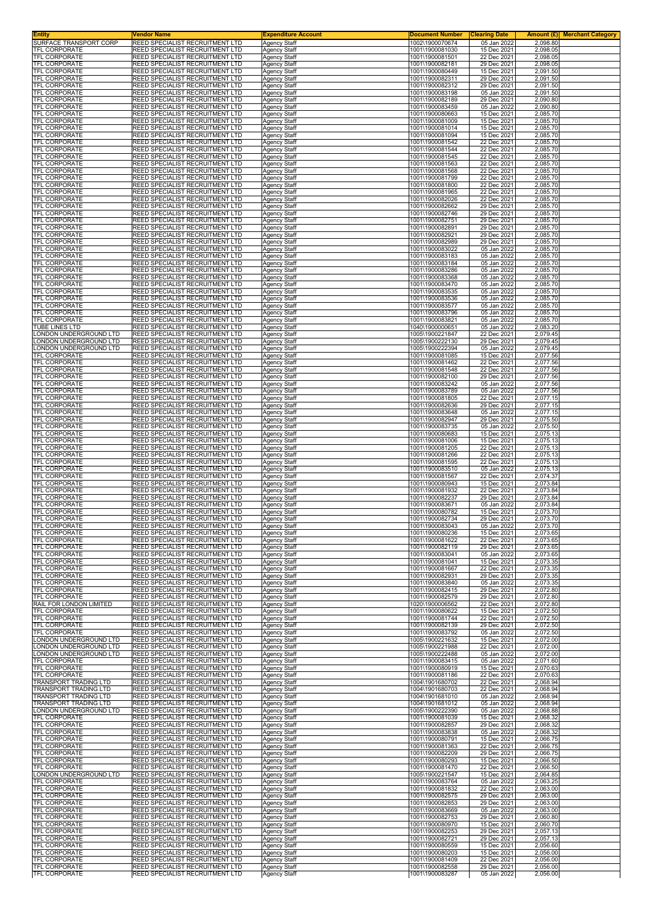| <b>Entity</b><br>SURFACE TRANSPORT CORP         | <b>√endor Name</b><br>REED SPECIALIST RECRUITMENT LTD              | <b>Expenditure Account</b>                 | <b>Document Number</b><br>1002\1900070674 | <b>Clearing Date</b><br>Amount (£) <br>05 Jan 2022<br>2,098.80 | <b>Merchant Category</b> |
|-------------------------------------------------|--------------------------------------------------------------------|--------------------------------------------|-------------------------------------------|----------------------------------------------------------------|--------------------------|
| <b>TFL CORPORATE</b>                            | REED SPECIALIST RECRUITMENT LTD                                    | Agency Staff<br>Agency Staff               | 1001\1900081030                           | 15 Dec 2021<br>2,098.05                                        |                          |
| TFL CORPORATE                                   | REED SPECIALIST RECRUITMENT LTD                                    | Agency Staff                               | 1001\1900081501                           | 22 Dec 2021<br>2,098.05                                        |                          |
| TFL CORPORATE<br><b>TFL CORPORATE</b>           | REED SPECIALIST RECRUITMENT LTD<br>REED SPECIALIST RECRUITMENT LTD | Agency Staff<br>Agency Staff               | 1001\1900082181<br>1001\1900080449        | 29 Dec 2021<br>2,098.05<br>15 Dec 2021<br>2,091.50             |                          |
| TFL CORPORATE                                   | REED SPECIALIST RECRUITMENT LTD                                    | Agency Staff                               | 1001\1900082311                           | 29 Dec 2021<br>2,091.50                                        |                          |
| TFL CORPORATE<br>TFL CORPORATE                  | REED SPECIALIST RECRUITMENT LTD<br>REED SPECIALIST RECRUITMENT LTD | Agency Staff<br>Agency Staff               | 1001\1900082312<br>1001\1900083198        | 29 Dec 2021<br>2,091.50<br>05 Jan 2022<br>2,091.50             |                          |
| TFL CORPORATE                                   | REED SPECIALIST RECRUITMENT LTD                                    | Agency Staff                               | 1001\1900082189                           | 29 Dec 2021<br>2,090.80                                        |                          |
| TFL CORPORATE<br><b>TFL CORPORATE</b>           | REED SPECIALIST RECRUITMENT LTD<br>REED SPECIALIST RECRUITMENT LTD | Agency Staff<br>Agency Staff               | 1001\1900083459<br>1001\1900080663        | 05 Jan 2022<br>2,090.80<br>15 Dec 2021<br>2,085.70             |                          |
| TFL CORPORATE                                   | REED SPECIALIST RECRUITMENT LTD                                    | Agency Staff                               | 1001\1900081009                           | 15 Dec 2021<br>2,085.70                                        |                          |
| TFL CORPORATE<br>TFL CORPORATE                  | REED SPECIALIST RECRUITMENT LTD<br>REED SPECIALIST RECRUITMENT LTD | Agency Staff<br>Agency Staff               | 1001\1900081014<br>1001\1900081094        | 15 Dec 2021<br>2,085.70<br>15 Dec 2021<br>2,085.70             |                          |
| TFL CORPORATE                                   | REED SPECIALIST RECRUITMENT LTD                                    | Agency Staff                               | 1001\1900081542                           | 22 Dec 2021<br>2,085.70                                        |                          |
| TFL CORPORATE<br>TFL CORPORATE                  | REED SPECIALIST RECRUITMENT LTD<br>REED SPECIALIST RECRUITMENT LTD | Agency Staff<br>Agency Staff               | 1001\1900081544<br>1001\1900081545        | 22 Dec 2021<br>2,085.70<br>2,085.70<br>22 Dec 2021             |                          |
| <b>TFL CORPORATE</b><br>TFL CORPORATE           | REED SPECIALIST RECRUITMENT LTD<br>REED SPECIALIST RECRUITMENT LTD | Agency Staff                               | 1001\1900081563<br>1001\1900081568        | 22 Dec 2021<br>2,085.70<br>22 Dec 2021<br>2,085.70             |                          |
| <b>TFL CORPORATE</b>                            | REED SPECIALIST RECRUITMENT LTD                                    | Agency Staff<br>Agency Staff               | 1001\1900081799                           | 22 Dec 2021<br>2,085.70                                        |                          |
| TFL CORPORATE<br>TFL CORPORATE                  | REED SPECIALIST RECRUITMENT LTD<br>REED SPECIALIST RECRUITMENT LTD | Agency Staff                               | 1001\1900081800<br>1001\1900081965        | 22 Dec 2021<br>2,085.70<br>22 Dec 2021<br>2,085.70             |                          |
| <b>TFL CORPORATE</b>                            | REED SPECIALIST RECRUITMENT LTD                                    | Agency Staff<br>Agency Staff               | 1001\1900082026                           | 22 Dec 2021<br>2,085.70                                        |                          |
| TFL CORPORATE<br>TFL CORPORATE                  | REED SPECIALIST RECRUITMENT LTD<br>REED SPECIALIST RECRUITMENT LTD | <b>Agency Staff</b>                        | 1001\1900082662<br>1001\1900082746        | 29 Dec 2021<br>2,085.70<br>29 Dec 2021<br>2,085.70             |                          |
| TFL CORPORATE                                   | REED SPECIALIST RECRUITMENT LTD                                    | Agency Staff<br>Agency Staff               | 1001\1900082751                           | 29 Dec 2021<br>2,085.70                                        |                          |
| <b>TFL CORPORATE</b><br>TFL CORPORATE           | REED SPECIALIST RECRUITMENT LTD<br>REED SPECIALIST RECRUITMENT LTD | Agency Staff<br>Agency Staff               | 1001\1900082891<br>1001\1900082921        | 29 Dec 2021<br>2,085.70<br>29 Dec 2021<br>2,085.70             |                          |
| <b>TFL CORPORATE</b>                            | REED SPECIALIST RECRUITMENT LTD                                    | <b>Agency Staff</b>                        | 1001\1900082989                           | 29 Dec 2021<br>2,085.70                                        |                          |
| <b>TFL CORPORATE</b><br><b>TFL CORPORATE</b>    | REED SPECIALIST RECRUITMENT LTD<br>REED SPECIALIST RECRUITMENT LTD | Agency Staff<br>Agency Staff               | 1001\1900083022<br>1001\1900083183        | 05 Jan 2022<br>2,085.70<br>2,085.70<br>05 Jan 2022             |                          |
| TFL CORPORATE                                   | REED SPECIALIST RECRUITMENT LTD                                    | <b>Agency Staff</b>                        | 1001\1900083184                           | 05 Jan 2022<br>2,085.70                                        |                          |
| TFL CORPORATE<br>TFL CORPORATE                  | REED SPECIALIST RECRUITMENT LTD<br>REED SPECIALIST RECRUITMENT LTD | Agency Staff<br>Agency Staff               | 1001\1900083286<br>1001\1900083368        | 05 Jan 2022<br>2,085.70<br>05 Jan 2022<br>2,085.70             |                          |
| TFL CORPORATE                                   | REED SPECIALIST RECRUITMENT LTD                                    | Agency Staff                               | 1001\1900083470                           | 05 Jan 2022<br>2,085.70                                        |                          |
| <b>TFL CORPORATE</b><br>TFL CORPORATE           | REED SPECIALIST RECRUITMENT LTD<br>REED SPECIALIST RECRUITMENT LTD | Agency Staff<br>Agency Staff               | 1001\1900083535<br>1001\1900083536        | 05 Jan 2022<br>2,085.70<br>05 Jan 2022<br>2,085.70             |                          |
| TFL CORPORATE                                   | REED SPECIALIST RECRUITMENT LTD                                    | Agency Staff                               | 1001\1900083577                           | 05 Jan 2022<br>2,085.70                                        |                          |
| <b>TFL CORPORATE</b><br><b>TFL CORPORATE</b>    | REED SPECIALIST RECRUITMENT LTD<br>REED SPECIALIST RECRUITMENT LTD | <b>Agency Staff</b><br>Agency Staff        | 1001\1900083796<br>1001\1900083821        | 05 Jan 2022<br>2,085.70<br>05 Jan 2022<br>2,085.70             |                          |
| <b>TUBE LINES LTD</b>                           | REED SPECIALIST RECRUITMENT LTD                                    | Agency Staff                               | 1040\1900000651                           | 05 Jan 2022<br>2,083.20                                        |                          |
| ONDON UNDERGROUND LTD<br>ONDON UNDERGROUND LTD  | REED SPECIALIST RECRUITMENT LTD<br>REED SPECIALIST RECRUITMENT LTD | Agency Staff<br>Agency Staff               | 1005\1900221847<br>1005\1900222130        | 2,079.45<br>22 Dec 2021<br>29 Dec 2021<br>2,079.45             |                          |
| ONDON UNDERGROUND LTD                           | REED SPECIALIST RECRUITMENT LTD                                    | Agency Staff                               | 1005\1900222394                           | 05 Jan 2022<br>2,079.45                                        |                          |
| TFL CORPORATE<br>TFL CORPORATE                  | REED SPECIALIST RECRUITMENT LTD<br>REED SPECIALIST RECRUITMENT LTD | Agency Staff<br>Agency Staff               | 1001\1900081085<br>1001\1900081462        | 15 Dec 2021<br>2,077.56<br>22 Dec 2021<br>2,077.56             |                          |
| TFL CORPORATE<br>TFL CORPORATE                  | REED SPECIALIST RECRUITMENT LTD<br>REED SPECIALIST RECRUITMENT LTD | Agency Staff<br>Agency Staff               | 1001\1900081548<br>1001\1900082100        | 22 Dec 2021<br>2,077.56<br>29 Dec 2021<br>2,077.56             |                          |
| TFL CORPORATE                                   | REED SPECIALIST RECRUITMENT LTD                                    | Agency Staff                               | 1001\1900083242                           | 05 Jan 2022<br>2,077.56                                        |                          |
| TFL CORPORATE<br>TFL CORPORATE                  | REED SPECIALIST RECRUITMENT LTD<br>REED SPECIALIST RECRUITMENT LTD | Agency Staff<br>Agency Staff               | 1001\1900083789<br>1001\1900081805        | 05 Jan 2022<br>2,077.56<br>22 Dec 2021<br>2,077.15             |                          |
| TFL CORPORATE                                   | REED SPECIALIST RECRUITMENT LTD                                    | Agency Staff                               | 1001\1900082636                           | 29 Dec 2021<br>2,077.15                                        |                          |
| TFL CORPORATE<br>TFL CORPORATE                  | REED SPECIALIST RECRUITMENT LTD<br>REED SPECIALIST RECRUITMENT LTD | Agency Staff<br>Agency Staff               | 1001\1900083648<br>1001\1900082947        | 05 Jan 2022<br>2,077.15<br>2,075.50<br>29 Dec 2021             |                          |
| <b>TFL CORPORATE</b>                            | REED SPECIALIST RECRUITMENT LTD                                    | Agency Staff                               | 1001\1900083735                           | 05 Jan 2022<br>2,075.50                                        |                          |
| <b>TFL CORPORATE</b><br>TFL CORPORATE           | REED SPECIALIST RECRUITMENT LTD<br>REED SPECIALIST RECRUITMENT LTD | Agency Staff<br><b>Agency Staff</b>        | 1001\1900080683<br>1001\1900081006        | 15 Dec 2021<br>2,075.13<br>15 Dec 2021<br>2,075.13             |                          |
| <b>TFL CORPORATE</b><br>TFL CORPORATE           | REED SPECIALIST RECRUITMENT LTD<br>REED SPECIALIST RECRUITMENT LTD | Agency Staff<br>Agency Staff               | 1001\1900081205<br>1001\1900081266        | 22 Dec 2021<br>2,075.13<br>22 Dec 2021<br>2,075.13             |                          |
| TFL CORPORATE                                   | REED SPECIALIST RECRUITMENT LTD                                    | Agency Staff                               | 1001\1900081595                           | 22 Dec 2021<br>2,075.13                                        |                          |
| <b>TFL CORPORATE</b><br>TFL CORPORATE           | REED SPECIALIST RECRUITMENT LTD<br>REED SPECIALIST RECRUITMENT LTD | Agency Staff<br>Agency Staff               | 1001\1900083510<br>1001\1900081567        | 05 Jan 2022<br>2,075.13<br>22 Dec 2021<br>2,074.37             |                          |
| <b>TFL CORPORATE</b>                            | REED SPECIALIST RECRUITMENT LTD                                    | Agency Staff                               | 1001\1900080943                           | 15 Dec 2021<br>2,073.84                                        |                          |
| <b>TFL CORPORATE</b><br><b>TFL CORPORATE</b>    | REED SPECIALIST RECRUITMENT LTD<br>REED SPECIALIST RECRUITMENT LTD | <b>Agency Staff</b><br>Agency Staff        | 1001\1900081932<br>1001\1900082237        | 2,073.84<br>22 Dec 2021<br>29 Dec 2021<br>2,073.84             |                          |
| TFL CORPORATE<br><b>TFL CORPORATE</b>           | REED SPECIALIST RECRUITMENT LTD<br>REED SPECIALIST RECRUITMENT LTD | Agency Staff                               | 1001\1900083671<br>1001\1900080782        | 05 Jan 2022<br>2,073.84<br>2,073.70<br>15 Dec 2021             |                          |
| TFL CORPORATE                                   | REED SPECIALIST RECRUITMENT LTD                                    | Agency Staff<br>Agency Staff               | 1001\1900082734                           | 2,073.70<br>29 Dec 2021                                        |                          |
| <b>IFL CORPORATE</b><br>TFL CORPORATE           | REED SPECIALIST RECRUITMENT LTD<br>REED SPECIALIST RECRUITMENT LTD | Agency Staff<br>Agency Staff               | 1001\1900083043<br>1001\1900080236        | 05 Jan 2022<br>2.073.70<br>15 Dec 2021<br>2,073.65             |                          |
| <b>TFL CORPORATE</b>                            | REED SPECIALIST RECRUITMENT LTD                                    | <b>Agency Staff</b>                        | 1001\1900081622                           | 22 Dec 2021<br>2,073.65                                        |                          |
| TFL CORPORATE<br><b>TFL CORPORATE</b>           | REED SPECIALIST RECRUITMENT LTD<br>REED SPECIALIST RECRUITMENT LTD | Agency Staff<br><b>Agency Staff</b>        | 1001\1900082119<br>1001\1900083041        | 29 Dec 2021<br>2,073.65<br>05 Jan 2022<br>2,073.65             |                          |
| TFL CORPORATE<br>TFL CORPORATE                  | REED SPECIALIST RECRUITMENT LTD<br>REED SPECIALIST RECRUITMENT LTD | Agency Staff<br>Agency Staff               | 1001\1900081041<br>1001\1900081667        | 15 Dec 2021<br>2,073.35<br>22 Dec 2021<br>2,073.35             |                          |
| <b>TFL CORPORATE</b>                            | REED SPECIALIST RECRUITMENT LTD                                    | <b>Agency Staff</b>                        | 1001\1900082931                           | 29 Dec 2021<br>2,073.35                                        |                          |
| TFL CORPORATE<br>TFL CORPORATE                  | REED SPECIALIST RECRUITMENT LTD<br>REED SPECIALIST RECRUITMENT LTD | Agency Staff<br>Agency Staff               | 1001\1900083840<br>1001\1900082415        | 05 Jan 2022<br>2,073.35<br>29 Dec 2021<br>2,072.80             |                          |
| TFL CORPORATE                                   | REED SPECIALIST RECRUITMENT LTD                                    | <b>Agency Staff</b>                        | 1001\1900082579                           | 29 Dec 2021<br>2,072.80                                        |                          |
| RAIL FOR LONDON LIMITED<br><b>TFL CORPORATE</b> | REED SPECIALIST RECRUITMENT LTD<br>REED SPECIALIST RECRUITMENT LTD | Agency Staff<br>Agency Staff               | 1020\1900006562<br>1001\1900080622        | 2,072.80<br>22 Dec 2021<br>15 Dec 2021<br>2,072.50             |                          |
| <b>TFL CORPORATE</b><br><b>TFL CORPORATE</b>    | REED SPECIALIST RECRUITMENT LTD<br>REED SPECIALIST RECRUITMENT LTD | <b>Agency Staff</b>                        | 1001\1900081744<br>1001\1900082139        | 22 Dec 2021<br>2,072.50                                        |                          |
| TFL CORPORATE                                   | REED SPECIALIST RECRUITMENT LTD                                    | Agency Staff<br>Agency Staff               | 1001\1900083792                           | 29 Dec 2021<br>2,072.50<br>05 Jan 2022<br>2,072.50             |                          |
| LONDON UNDERGROUND LTD<br>ONDON UNDERGROUND LTD | REED SPECIALIST RECRUITMENT LTD<br>REED SPECIALIST RECRUITMENT LTD | <b>Agency Staff</b><br>Agency Staff        | 1005\1900221632<br>1005\1900221988        | 2,072.00<br>15 Dec 2021<br>22 Dec 2021<br>2,072.00             |                          |
| ONDON UNDERGROUND LTD                           | REED SPECIALIST RECRUITMENT LTD                                    | Agency Staff                               | 1005\1900222488                           | 2,072.00<br>05 Jan 2022                                        |                          |
| TFL CORPORATE<br><b>TFL CORPORATE</b>           | REED SPECIALIST RECRUITMENT LTD<br>REED SPECIALIST RECRUITMENT LTD | <b>Agency Staff</b><br><b>Agency Staff</b> | 1001\1900083415<br>1001\1900080919        | 05 Jan 2022<br>2,071.60<br>15 Dec 2021<br>2,070.63             |                          |
| TFL CORPORATE                                   | REED SPECIALIST RECRUITMENT LTD                                    | Agency Staff                               | 1001\1900081186                           | 22 Dec 2021<br>2,070.63                                        |                          |
| TRANSPORT TRADING LTD<br>TRANSPORT TRADING LTD  | REED SPECIALIST RECRUITMENT LTD<br>REED SPECIALIST RECRUITMENT LTD | Agency Staff<br>Agency Staff               | 1004\1901680702<br>1004\1901680703        | 22 Dec 2021<br>2,068.94<br>22 Dec 2021<br>2,068.94             |                          |
| TRANSPORT TRADING LTD<br>TRANSPORT TRADING LTD  | REED SPECIALIST RECRUITMENT LTD<br>REED SPECIALIST RECRUITMENT LTD | Agency Staff<br>Agency Staff               | 1004\1901681010<br>1004\1901681012        | 05 Jan 2022<br>2,068.94<br>05 Jan 2022<br>2,068.94             |                          |
| ONDON UNDERGROUND LTD                           | REED SPECIALIST RECRUITMENT LTD                                    | <b>Agency Staff</b>                        | 1005\1900222390                           | 05 Jan 2022<br>2,068.88                                        |                          |
| TFL CORPORATE<br>TFL CORPORATE                  | REED SPECIALIST RECRUITMENT LTD<br>REED SPECIALIST RECRUITMENT LTD | Agency Staff<br>Agency Staff               | 1001\1900081039<br>1001\1900082857        | 15 Dec 2021<br>2,068.32<br>29 Dec 2021<br>2,068.32             |                          |
| TFL CORPORATE                                   | REED SPECIALIST RECRUITMENT LTD                                    | <b>Agency Staff</b>                        | 1001\1900083838                           | 2,068.32<br>05 Jan 2022                                        |                          |
| TFL CORPORATE<br>TFL CORPORATE                  | REED SPECIALIST RECRUITMENT LTD<br>REED SPECIALIST RECRUITMENT LTD | Agency Staff<br>Agency Staff               | 1001\1900080791<br>1001\1900081363        | 15 Dec 2021<br>2,066.75<br>22 Dec 2021<br>2,066.75             |                          |
| TFL CORPORATE                                   | REED SPECIALIST RECRUITMENT LTD<br>REED SPECIALIST RECRUITMENT LTD | <b>Agency Staff</b>                        | 1001\1900082209                           | 29 Dec 2021<br>2,066.75                                        |                          |
| TFL CORPORATE<br>TFL CORPORATE                  | REED SPECIALIST RECRUITMENT LTD                                    | Agency Staff<br>Agency Staff               | 1001\1900080293<br>1001\1900081470        | 15 Dec 2021<br>2,066.50<br>22 Dec 2021<br>2,066.50             |                          |
| LONDON UNDERGROUND LTD<br>TFL CORPORATE         | REED SPECIALIST RECRUITMENT LTD<br>REED SPECIALIST RECRUITMENT LTD | <b>Agency Staff</b><br>Agency Staff        | 1005\1900221547<br>1001\1900083764        | 15 Dec 2021<br>2,064.85<br>05 Jan 2022<br>2,063.25             |                          |
| TFL CORPORATE                                   | REED SPECIALIST RECRUITMENT LTD                                    | Agency Staff                               | 1001\1900081832                           | 22 Dec 2021<br>2,063.00                                        |                          |
| <b>TFL CORPORATE</b><br>TFL CORPORATE           | REED SPECIALIST RECRUITMENT LTD<br>REED SPECIALIST RECRUITMENT LTD | <b>Agency Staff</b><br>Agency Staff        | 1001\1900082575<br>1001\1900082853        | 29 Dec 2021<br>2,063.00<br>29 Dec 2021<br>2,063.00             |                          |
| TFL CORPORATE                                   | REED SPECIALIST RECRUITMENT LTD                                    | Agency Staff                               | 1001\1900083669                           | 05 Jan 2022<br>2,063.00                                        |                          |
| TFL CORPORATE<br><b>TFL CORPORATE</b>           | REED SPECIALIST RECRUITMENT LTD<br>REED SPECIALIST RECRUITMENT LTD | <b>Agency Staff</b><br>Agency Staff        | 1001\1900082753<br>1001\1900080970        | 29 Dec 2021<br>2,060.80<br>15 Dec 2021<br>2,060.70             |                          |
| TFL CORPORATE<br><b>TFL CORPORATE</b>           | REED SPECIALIST RECRUITMENT LTD                                    | Agency Staff                               | 1001\1900082253                           | 29 Dec 2021<br>2,057.13                                        |                          |
| <b>TFL CORPORATE</b>                            | REED SPECIALIST RECRUITMENT LTD<br>REED SPECIALIST RECRUITMENT LTD | <b>Agency Staff</b><br><b>Agency Staff</b> | 1001\1900082721<br>1001\1900080559        | 29 Dec 2021<br>2,057.13<br>15 Dec 2021<br>2,056.60             |                          |
| TFL CORPORATE<br><b>TFL CORPORATE</b>           | REED SPECIALIST RECRUITMENT LTD<br>REED SPECIALIST RECRUITMENT LTD | Agency Staff<br>Agency Staff               | 1001\1900080203<br>1001\1900081409        | 15 Dec 2021<br>2,056.00<br>2,056.00<br>22 Dec 2021             |                          |
| <b>TFL CORPORATE</b>                            | REED SPECIALIST RECRUITMENT LTD                                    | Agency Staff                               | 1001\1900082558                           | 29 Dec 2021<br>2,056.00                                        |                          |
| TFL CORPORATE                                   | REED SPECIALIST RECRUITMENT LTD                                    | Agency Staff                               | 1001\1900083287                           | 05 Jan 2022<br>2,056.00                                        |                          |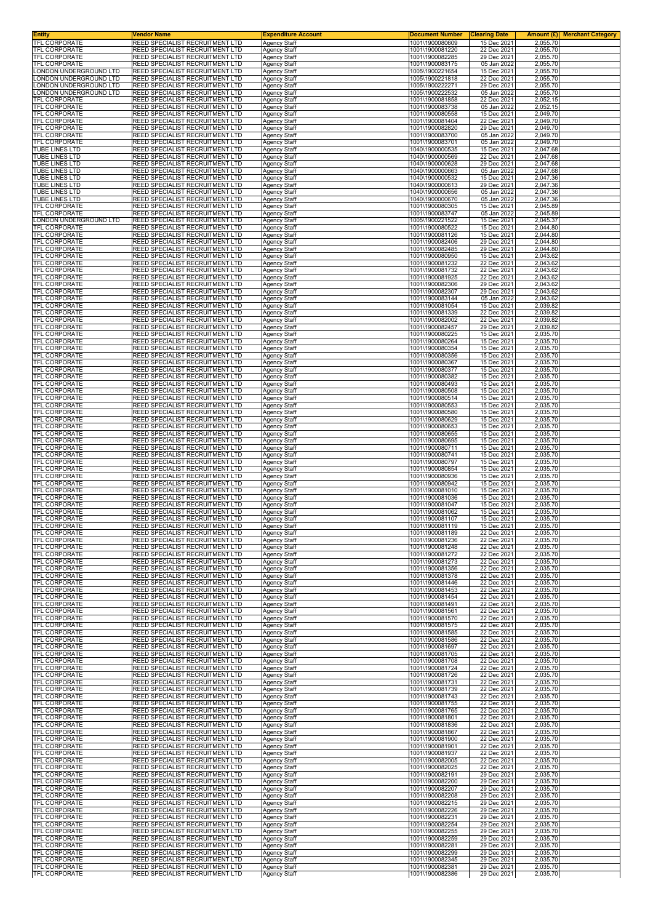| <b>Entity</b><br>TFL CORPORATE                 | Vendor Name<br>REED SPECIALIST RECRUITMENT LTD                                   | <b>Expenditure Account</b><br><b>Agency Staff</b> | <b>Document Number</b><br>1001\1900080609 | <b>Clearing Date</b><br>15 Dec 2021 | 2,055.70             | <b>Amount (£)</b> Merchant Category |
|------------------------------------------------|----------------------------------------------------------------------------------|---------------------------------------------------|-------------------------------------------|-------------------------------------|----------------------|-------------------------------------|
| <b>TFL CORPORATE</b>                           | <b>REED SPECIALIST RECRUITMENT LTD</b>                                           | <b>Agency Staff</b>                               | 1001\1900081220                           | 22 Dec 2021                         | 2,055.70             |                                     |
| <b>TFL CORPORATE</b><br>TFL CORPORATE          | REED SPECIALIST RECRUITMENT LTD<br>REED SPECIALIST RECRUITMENT LTD               | Agency Staff<br><b>Agency Staff</b>               | 1001\1900082285<br>1001\1900083175        | 29 Dec 2021<br>05 Jan 2022          | 2,055.70<br>2,055.70 |                                     |
| LONDON UNDERGROUND LTD                         | <b>REED SPECIALIST RECRUITMENT LTD</b>                                           | Agency Staff                                      | 1005\1900221654                           | 15 Dec 2021                         | 2,055.70             |                                     |
| ONDON UNDERGROUND LTD<br>ONDON UNDERGROUND LTD | REED SPECIALIST RECRUITMENT LTD<br>REED SPECIALIST RECRUITMENT LTD               | Agency Staff                                      | 1005\1900221818<br>1005\1900222271        | 22 Dec 2021<br>29 Dec 2021          | 2,055.70<br>2,055.70 |                                     |
| ONDON UNDERGROUND LTD                          | <b>REED SPECIALIST RECRUITMENT LTD</b>                                           | <b>Agency Staff</b><br>Agency Staff               | 1005\1900222532                           | 05 Jan 2022                         | 2,055.70             |                                     |
| <b>TFL CORPORATE</b><br>TFL CORPORATE          | REED SPECIALIST RECRUITMENT LTD<br>REED SPECIALIST RECRUITMENT LTD               | Agency Staff<br>Agency Staff                      | 1001\1900081858<br>1001\1900083738        | 22 Dec 2021<br>05 Jan 2022          | 2,052.15<br>2,052.15 |                                     |
| TFL CORPORATE                                  | REED SPECIALIST RECRUITMENT LTD                                                  | Agency Staff                                      | 1001\1900080558                           | 15 Dec 2021                         | 2,049.70             |                                     |
| TFL CORPORATE<br>TFL CORPORATE                 | REED SPECIALIST RECRUITMENT LTD<br>REED SPECIALIST RECRUITMENT LTD               | Agency Staff<br>Agency Staff                      | 1001\1900081404<br>1001\1900082820        | 22 Dec 2021<br>29 Dec 2021          | 2,049.70<br>2,049.70 |                                     |
| TFL CORPORATE                                  | REED SPECIALIST RECRUITMENT LTD                                                  | <b>Agency Staff</b>                               | 1001\1900083700                           | 05 Jan 2022                         | 2,049.70             |                                     |
| TFL CORPORATE<br>TUBE LINES LTD                | REED SPECIALIST RECRUITMENT LTD<br>REED SPECIALIST RECRUITMENT LTD               | <b>Agency Staff</b><br>Agency Staff               | 1001\1900083701<br>1040\1900000535        | 05 Jan 2022<br>15 Dec 2021          | 2,049.70<br>2,047.68 |                                     |
| TUBE LINES LTD                                 | REED SPECIALIST RECRUITMENT LTD                                                  | Agency Staff                                      | 1040\1900000569                           | 22 Dec 2021                         | 2,047.68             |                                     |
| TUBE LINES LTD<br>TUBE LINES LTD               | REED SPECIALIST RECRUITMENT LTD<br>REED SPECIALIST RECRUITMENT LTD               | <b>Agency Staff</b><br>Agency Staff               | 1040\1900000628<br>1040\1900000663        | 29 Dec 2021<br>05 Jan 2022          | 2,047.68<br>2,047.68 |                                     |
| TUBE LINES LTD                                 | REED SPECIALIST RECRUITMENT LTD                                                  | <b>Agency Staff</b>                               | 1040\1900000532                           | 15 Dec 2021                         | 2,047.36             |                                     |
| TUBE LINES LTD<br>TUBE LINES LTD               | REED SPECIALIST RECRUITMENT LTD<br>REED SPECIALIST RECRUITMENT LTD               | Agency Staff<br><b>Agency Staff</b>               | 1040\1900000613<br>1040\1900000656        | 29 Dec 2021<br>05 Jan 2022          | 2,047.36<br>2,047.36 |                                     |
| TUBE LINES LTD                                 | REED SPECIALIST RECRUITMENT LTD                                                  | Agency Staff                                      | 1040\1900000670                           | 05 Jan 2022                         | 2,047.36             |                                     |
| TFL CORPORATE<br>TFL CORPORATE                 | REED SPECIALIST RECRUITMENT LTD<br>REED SPECIALIST RECRUITMENT LTD               | Agency Staff<br>Agency Staff                      | 1001\1900080305<br>1001\1900083747        | 15 Dec 2021<br>05 Jan 2022          | 2,045.89<br>2,045.89 |                                     |
| LONDON UNDERGROUND LTD                         | <b>REED SPECIALIST RECRUITMENT LTD</b>                                           | <b>Agency Staff</b>                               | 1005\1900221522                           | 15 Dec 2021                         | 2,045.37             |                                     |
| TFL CORPORATE<br>TFL CORPORATE                 | REED SPECIALIST RECRUITMENT LTD<br>REED SPECIALIST RECRUITMENT LTD               | <b>Agency Staff</b><br>Agency Staff               | 1001\1900080522<br>1001\1900081126        | 15 Dec 2021<br>15 Dec 2021          | 2,044.80<br>2,044.80 |                                     |
| TFL CORPORATE<br>TFL CORPORATE                 | REED SPECIALIST RECRUITMENT LTD<br>REED SPECIALIST RECRUITMENT LTD               | <b>Agency Staff</b>                               | 1001\1900082406<br>1001\1900082485        | 29 Dec 2021<br>29 Dec 2021          | 2,044.80<br>2.044.80 |                                     |
| TFL CORPORATE                                  | REED SPECIALIST RECRUITMENT LTD                                                  | Agency Staff<br>Agency Staff                      | 1001\1900080950                           | 15 Dec 2021                         | 2,043.62             |                                     |
| <b>TFL CORPORATE</b><br><b>TFL CORPORATE</b>   | REED SPECIALIST RECRUITMENT LTD<br>REED SPECIALIST RECRUITMENT LTD               | <b>Agency Staff</b>                               | 1001\1900081232<br>1001\1900081732        | 22 Dec 2021                         | 2,043.62<br>2,043.62 |                                     |
| <b>TFL CORPORATE</b>                           | REED SPECIALIST RECRUITMENT LTD                                                  | <b>Agency Staff</b><br>Agency Staff               | 1001\1900081925                           | 22 Dec 2021<br>22 Dec 2021          | 2,043.62             |                                     |
| TFL CORPORATE<br><b>TFL CORPORATE</b>          | REED SPECIALIST RECRUITMENT LTD<br>REED SPECIALIST RECRUITMENT LTD               | Agency Staff<br><b>Agency Staff</b>               | 1001\1900082306<br>1001\1900082307        | 29 Dec 2021<br>29 Dec 2021          | 2,043.62<br>2,043.62 |                                     |
| TFL CORPORATE                                  | REED SPECIALIST RECRUITMENT LTD                                                  | <b>Agency Staff</b>                               | 1001\1900083144                           | 05 Jan 2022                         | 2,043.62             |                                     |
| TFL CORPORATE<br>TFL CORPORATE                 | REED SPECIALIST RECRUITMENT LTD<br>REED SPECIALIST RECRUITMENT LTD               | Agency Staff<br><b>Agency Staff</b>               | 1001\1900081054<br>1001\1900081339        | 15 Dec 2021<br>22 Dec 2021          | 2,039.82<br>2.039.82 |                                     |
| TFL CORPORATE                                  | REED SPECIALIST RECRUITMENT LTD                                                  | Agency Staff                                      | 1001\1900082002                           | 22 Dec 2021                         | 2,039.82             |                                     |
| <b>TFL CORPORATE</b><br><b>TFL CORPORATE</b>   | REED SPECIALIST RECRUITMENT LTD<br>REED SPECIALIST RECRUITMENT LTD               | Agency Staff<br>Agency Staff                      | 1001\1900082457<br>1001\1900080225        | 29 Dec 2021<br>15 Dec 2021          | 2,039.82<br>2,035.70 |                                     |
| TFL CORPORATE                                  | REED SPECIALIST RECRUITMENT LTD                                                  | Agency Staff                                      | 1001\1900080264                           | 15 Dec 2021                         | 2,035.70             |                                     |
| TFL CORPORATE<br>TFL CORPORATE                 | REED SPECIALIST RECRUITMENT LTD<br>REED SPECIALIST RECRUITMENT LTD               | <b>Agency Staff</b><br><b>Agency Staff</b>        | 1001\1900080354<br>1001\1900080356        | 15 Dec 2021<br>15 Dec 2021          | 2,035.70<br>2,035.70 |                                     |
| TFL CORPORATE<br>TFL CORPORATE                 | REED SPECIALIST RECRUITMENT LTD<br>REED SPECIALIST RECRUITMENT LTD               | Agency Staff                                      | 1001\1900080367<br>1001\1900080377        | 15 Dec 2021<br>15 Dec 2021          | 2,035.70<br>2,035.70 |                                     |
| <b>TFL CORPORATE</b>                           | REED SPECIALIST RECRUITMENT LTD                                                  | Agency Staff<br><b>Agency Staff</b>               | 1001\1900080382                           | 15 Dec 2021                         | 2,035.70             |                                     |
| TFL CORPORATE<br>TFL CORPORATE                 | REED SPECIALIST RECRUITMENT LTD<br>REED SPECIALIST RECRUITMENT LTD               | Agency Staff<br>Agency Staff                      | 1001\1900080493<br>1001\1900080508        | 15 Dec 2021<br>15 Dec 2021          | 2,035.70<br>2,035.70 |                                     |
| TFL CORPORATE                                  | REED SPECIALIST RECRUITMENT LTD                                                  | <b>Agency Staff</b>                               | 1001\1900080514                           | 15 Dec 2021                         | 2,035.70             |                                     |
| TFL CORPORATE<br>TFL CORPORATE                 | <b>REED SPECIALIST RECRUITMENT LTD</b><br>REED SPECIALIST RECRUITMENT LTD        | Agency Staff<br>Agency Staff                      | 1001\1900080553<br>1001\1900080580        | 15 Dec 2021<br>15 Dec 2021          | 2,035.70<br>2,035.70 |                                     |
| TFL CORPORATE                                  | REED SPECIALIST RECRUITMENT LTD                                                  | <b>Agency Staff</b>                               | 1001\1900080629                           | 15 Dec 2021                         | 2,035.70             |                                     |
| TFL CORPORATE<br>TFL CORPORATE                 | REED SPECIALIST RECRUITMENT LTD<br>REED SPECIALIST RECRUITMENT LTD               | Agency Staff<br>Agency Staff                      | 1001\1900080653<br>1001\1900080655        | 15 Dec 2021<br>15 Dec 2021          | 2,035.70<br>2,035.70 |                                     |
| TFL CORPORATE                                  | REED SPECIALIST RECRUITMENT LTD                                                  | <b>Agency Staff</b>                               | 1001\1900080695                           | 15 Dec 2021                         | 2,035.70             |                                     |
| TFL CORPORATE<br>TFL CORPORATE                 | REED SPECIALIST RECRUITMENT LTD<br>REED SPECIALIST RECRUITMENT LTD               | <b>Agency Staff</b><br>Agency Staff               | 1001\1900080711<br>1001\1900080741        | 15 Dec 2021<br>15 Dec 2021          | 2,035.70<br>2,035.70 |                                     |
| TFL CORPORATE                                  | REED SPECIALIST RECRUITMENT LTD                                                  | Agency Staff                                      | 1001\1900080797                           | 15 Dec 2021                         | 2,035.70             |                                     |
| TFL CORPORATE<br>TFL CORPORATE                 | REED SPECIALIST RECRUITMENT LTD<br>REED SPECIALIST RECRUITMENT LTD               | Agency Staff<br>Agency Staff                      | 1001\1900080854<br>1001\1900080936        | 15 Dec 2021<br>15 Dec 2021          | 2,035.70<br>2,035.70 |                                     |
| <b>TFL CORPORATE</b><br><b>TFL CORPORATE</b>   | REED SPECIALIST RECRUITMENT LTD<br><b>REED SPECIALIST RECRUITMENT LTD</b>        | Agency Staff<br><b>Agency Staff</b>               | 1001\1900080942<br>1001\1900081010        | 15 Dec 2021<br>15 Dec 2021          | 2,035.70<br>2,035.70 |                                     |
| <b>TFL CORPORATE</b>                           | REED SPECIALIST RECRUITMENT LTD                                                  | Agency Staff                                      | 1001\1900081036                           | 15 Dec 2021                         | 2,035.70             |                                     |
| TFL CORPORATE<br>TFL CORPORATE                 | REED SPECIALIST RECRUITMENT LTD<br>REED SPECIALIST RECRUITMENT LTD               | Agency Staff<br>Agency Staff                      | 1001\1900081047<br>1001\1900081062        | 15 Dec 2021<br>15 Dec 2021          | 2,035.70<br>2.035.70 |                                     |
| <b>TFL CORPORATE</b>                           | REED SPECIALIST RECRUITMENT LTD                                                  | <b>Agency Staff</b>                               | 1001\1900081107                           | 15 Dec 2021                         | 2,035.70             |                                     |
| <b>IFL CORPORATE</b><br>TFL CORPORATE          | REED SPECIALIST RECRUITMENT LTD<br><b>REED SPECIALIST RECRUITMENT LTD</b>        | Agency Staff<br><b>Agency Staff</b>               | 1001\1900081119<br>1001\1900081189        | 15 Dec 2021<br>22 Dec 2021          | 2,035.70<br>2,035.70 |                                     |
| TFL CORPORATE                                  | REED SPECIALIST RECRUITMENT LTD<br>REED SPECIALIST RECRUITMENT LTD               | <b>Agency Staff</b>                               | 1001\1900081236                           | 22 Dec 2021<br>22 Dec 2021          | 2,035.70<br>2,035.70 |                                     |
| TFL CORPORATE<br><b>TFL CORPORATE</b>          | REED SPECIALIST RECRUITMENT LTD                                                  | Agency Staff<br>Agency Staff                      | 1001\1900081248<br>1001\1900081272        | 22 Dec 2021                         | 2,035.70             |                                     |
| TFL CORPORATE<br>TFL CORPORATE                 | REED SPECIALIST RECRUITMENT LTD<br>REED SPECIALIST RECRUITMENT LTD               | Agency Staff<br>Agency Staff                      | 1001\1900081273<br>1001\1900081356        | 22 Dec 2021<br>22 Dec 2021          | 2,035.70<br>2,035.70 |                                     |
| TFL CORPORATE                                  | <b>REED SPECIALIST RECRUITMENT LTD</b>                                           | <b>Agency Staff</b>                               | 1001\1900081378                           | 22 Dec 2021                         | 2,035.70             |                                     |
| TFL CORPORATE<br>TFL CORPORATE                 | <b>REED SPECIALIST RECRUITMENT LTD</b><br>REED SPECIALIST RECRUITMENT LTD        | <b>Agency Staff</b><br>Agency Staff               | 1001\1900081446<br>1001\1900081453        | 22 Dec 2021<br>22 Dec 2021          | 2,035.70<br>2,035.70 |                                     |
| <b>TFL CORPORATE</b>                           | REED SPECIALIST RECRUITMENT LTD                                                  | <b>Agency Staff</b>                               | 1001\1900081454                           | 22 Dec 2021                         | 2,035.70             |                                     |
| <b>TFL CORPORATE</b><br>TFL CORPORATE          | <b>REED SPECIALIST RECRUITMENT LTD</b><br>REED SPECIALIST RECRUITMENT LTD        | Agency Staff<br><b>Agency Staff</b>               | 1001\1900081491<br>1001\1900081561        | 22 Dec 2021<br>22 Dec 2021          | 2,035.70<br>2,035.70 |                                     |
| TFL CORPORATE<br>TFL CORPORATE                 | REED SPECIALIST RECRUITMENT LTD<br><b>REED SPECIALIST RECRUITMENT LTD</b>        | <b>Agency Staff</b><br><b>Agency Staff</b>        | 1001\1900081570<br>1001\1900081575        | 22 Dec 2021                         | 2,035.70             |                                     |
| <b>TFL CORPORATE</b>                           | REED SPECIALIST RECRUITMENT LTD                                                  | Agency Staff                                      | 1001\1900081585                           | 22 Dec 2021<br>22 Dec 2021          | 2,035.70<br>2,035.70 |                                     |
| TFL CORPORATE<br>TFL CORPORATE                 | REED SPECIALIST RECRUITMENT LTD<br><b>REED SPECIALIST RECRUITMENT LTD</b>        | Agency Staff<br>Agency Staff                      | 1001\1900081586<br>1001\1900081697        | 22 Dec 2021<br>22 Dec 2021          | 2,035.70<br>2,035.70 |                                     |
| TFL CORPORATE                                  | REED SPECIALIST RECRUITMENT LTD                                                  | Agency Staff                                      | 1001\1900081705                           | 22 Dec 2021                         | 2,035.70             |                                     |
| <b>TFL CORPORATE</b><br>TFL CORPORATE          | REED SPECIALIST RECRUITMENT LTD<br><b>REED SPECIALIST RECRUITMENT LTD</b>        | <b>Agency Staff</b><br><b>Agency Staff</b>        | 1001\1900081708<br>1001\1900081724        | 22 Dec 2021<br>22 Dec 2021          | 2,035.70<br>2,035.70 |                                     |
| TFL CORPORATE                                  | REED SPECIALIST RECRUITMENT LTD                                                  | Agency Staff                                      | 1001\1900081726                           | 22 Dec 2021                         | 2,035.70             |                                     |
| TFL CORPORATE<br><b>TFL CORPORATE</b>          | REED SPECIALIST RECRUITMENT LTD<br><b>REED SPECIALIST RECRUITMENT LTD</b>        | Agency Staff<br><b>Agency Staff</b>               | 1001\1900081731<br>1001\1900081739        | 22 Dec 2021<br>22 Dec 2021          | 2,035.70<br>2,035.70 |                                     |
| TFL CORPORATE<br>TFL CORPORATE                 | REED SPECIALIST RECRUITMENT LTD<br>REED SPECIALIST RECRUITMENT LTD               | <b>Agency Staff</b>                               | 1001\1900081743<br>1001\1900081755        | 22 Dec 2021<br>22 Dec 2021          | 2,035.70<br>2,035.70 |                                     |
| TFL CORPORATE                                  | <b>REED SPECIALIST RECRUITMENT LTD</b>                                           | Agency Staff<br><b>Agency Staff</b>               | 1001\1900081765                           | 22 Dec 2021                         | 2,035.70             |                                     |
| TFL CORPORATE<br>TFL CORPORATE                 | REED SPECIALIST RECRUITMENT LTD<br>REED SPECIALIST RECRUITMENT LTD               | Agency Staff<br>Agency Staff                      | 1001\1900081801<br>1001\1900081836        | 22 Dec 2021<br>22 Dec 2021          | 2,035.70<br>2,035.70 |                                     |
| <b>TFL CORPORATE</b>                           | REED SPECIALIST RECRUITMENT LTD                                                  | Agency Staff                                      | 1001\1900081867                           | 22 Dec 2021                         | 2,035.70             |                                     |
| TFL CORPORATE<br>TFL CORPORATE                 | REED SPECIALIST RECRUITMENT LTD<br>REED SPECIALIST RECRUITMENT LTD               | Agency Staff<br>Agency Staff                      | 1001\1900081900<br>1001\1900081901        | 22 Dec 2021<br>22 Dec 2021          | 2,035.70<br>2,035.70 |                                     |
| TFL CORPORATE                                  | <b>REED SPECIALIST RECRUITMENT LTD</b>                                           | <b>Agency Staff</b>                               | 1001\1900081937                           | 22 Dec 2021                         | 2,035.70             |                                     |
| TFL CORPORATE<br>TFL CORPORATE                 | <b>REED SPECIALIST RECRUITMENT LTD</b><br>REED SPECIALIST RECRUITMENT LTD        | Agency Staff<br>Agency Staff                      | 1001\1900082005<br>1001\1900082025        | 22 Dec 2021<br>22 Dec 2021          | 2,035.70<br>2,035.70 |                                     |
| TFL CORPORATE<br><b>TFL CORPORATE</b>          | REED SPECIALIST RECRUITMENT LTD<br><b>REED SPECIALIST RECRUITMENT LTD</b>        | Agency Staff<br>Agency Staff                      | 1001\1900082191<br>1001\1900082200        | 29 Dec 2021<br>29 Dec 2021          | 2,035.70<br>2,035.70 |                                     |
| TFL CORPORATE                                  | REED SPECIALIST RECRUITMENT LTD                                                  | <b>Agency Staff</b>                               | 1001\1900082207                           | 29 Dec 2021                         | 2,035.70             |                                     |
| TFL CORPORATE<br>TFL CORPORATE                 | REED SPECIALIST RECRUITMENT LTD<br>REED SPECIALIST RECRUITMENT LTD               | <b>Agency Staff</b><br>Agency Staff               | 1001\1900082208<br>1001\1900082215        | 29 Dec 2021<br>29 Dec 2021          | 2,035.70<br>2,035.70 |                                     |
| TFL CORPORATE                                  | REED SPECIALIST RECRUITMENT LTD                                                  | <b>Agency Staff</b>                               | 1001\1900082226                           | 29 Dec 2021                         | 2,035.70             |                                     |
| TFL CORPORATE<br>TFL CORPORATE                 | REED SPECIALIST RECRUITMENT LTD<br>REED SPECIALIST RECRUITMENT LTD               | Agency Staff<br><b>Agency Staff</b>               | 1001\1900082231<br>1001\1900082254        | 29 Dec 2021<br>29 Dec 2021          | 2,035.70<br>2,035.70 |                                     |
| TFL CORPORATE                                  | REED SPECIALIST RECRUITMENT LTD                                                  | Agency Staff                                      | 1001\1900082255                           | 29 Dec 2021                         | 2,035.70             |                                     |
| TFL CORPORATE<br>TFL CORPORATE                 | <b>REED SPECIALIST RECRUITMENT LTD</b><br><b>REED SPECIALIST RECRUITMENT LTD</b> | <b>Agency Staff</b><br><b>Agency Staff</b>        | 1001\1900082259<br>1001\1900082281        | 29 Dec 2021<br>29 Dec 2021          | 2,035.70<br>2,035.70 |                                     |
| TFL CORPORATE<br><b>TFL CORPORATE</b>          | REED SPECIALIST RECRUITMENT LTD<br>REED SPECIALIST RECRUITMENT LTD               | Agency Staff<br><b>Agency Staff</b>               | 1001\1900082299<br>1001\1900082345        | 29 Dec 2021<br>29 Dec 2021          | 2,035.70<br>2,035.70 |                                     |
| <b>TFL CORPORATE</b>                           | REED SPECIALIST RECRUITMENT LTD                                                  | Agency Staff                                      | 1001\1900082381                           | 29 Dec 2021                         | 2,035.70             |                                     |
| TFL CORPORATE                                  | REED SPECIALIST RECRUITMENT LTD                                                  | Agency Staff                                      | 1001\1900082386                           | 29 Dec 2021                         | 2,035.70             |                                     |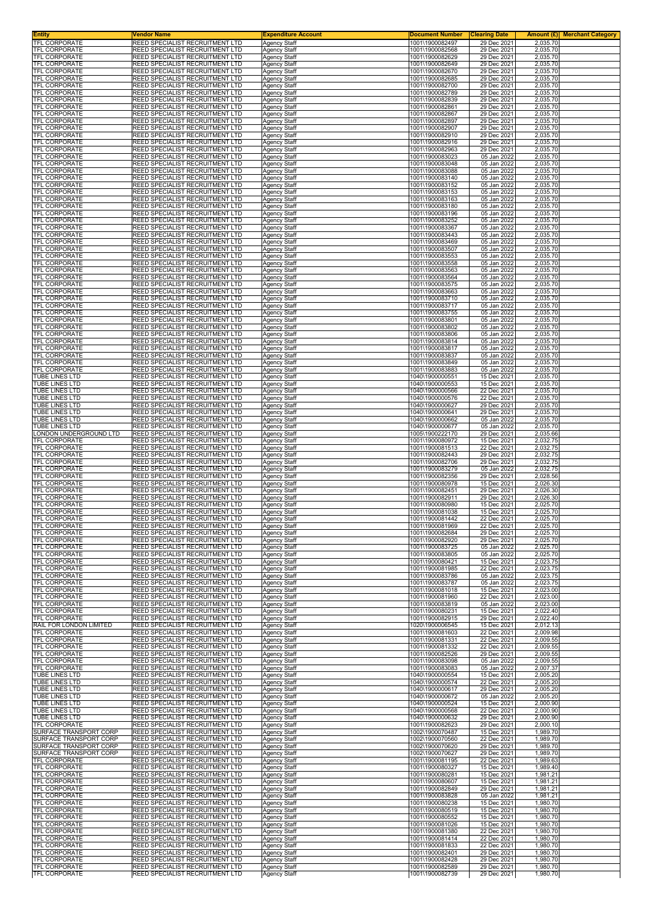| <b>Entity</b><br>TFL CORPORATE                   | <b>Vendor Name</b><br>REED SPECIALIST RECRUITMENT LTD                     | <b>Expenditure Account</b>                 | <b>Document Number</b>             | <b>Clearing Date</b>       | <b>Amount (£) Merchant Category</b> |
|--------------------------------------------------|---------------------------------------------------------------------------|--------------------------------------------|------------------------------------|----------------------------|-------------------------------------|
| <b>TFL CORPORATE</b>                             | REED SPECIALIST RECRUITMENT LTD                                           | Agency Staff<br><b>Agency Staff</b>        | 1001\1900082497<br>1001\1900082568 | 29 Dec 2021<br>29 Dec 2021 | 2,035.70<br>2,035.70                |
| <b>TFL CORPORATE</b>                             | REED SPECIALIST RECRUITMENT LTD                                           | <b>Agency Staff</b>                        | 1001\1900082629                    | 29 Dec 2021                | 2,035.70                            |
| <b>TFL CORPORATE</b><br>TFL CORPORATE            | REED SPECIALIST RECRUITMENT LTD<br>REED SPECIALIST RECRUITMENT LTD        | <b>Agency Staff</b>                        | 1001\1900082649<br>1001\1900082670 | 29 Dec 2021<br>29 Dec 2021 | 2,035.70                            |
| TFL CORPORATE                                    | REED SPECIALIST RECRUITMENT LTD                                           | Agency Staff<br><b>Agency Staff</b>        | 1001\1900082685                    | 29 Dec 2021                | 2,035.70<br>2,035.70                |
| TFL CORPORATE                                    | REED SPECIALIST RECRUITMENT LTD                                           | <b>Agency Staff</b>                        | 1001\1900082700                    | 29 Dec 2021                | 2,035.70                            |
| <b>TFL CORPORATE</b><br>TFL CORPORATE            | REED SPECIALIST RECRUITMENT LTD<br>REED SPECIALIST RECRUITMENT LTD        | <b>Agency Staff</b><br><b>Agency Staff</b> | 1001\1900082789<br>1001\1900082839 | 29 Dec 2021<br>29 Dec 2021 | 2,035.70<br>2,035.70                |
| TFL CORPORATE                                    | REED SPECIALIST RECRUITMENT LTD                                           | Agency Staff                               | 1001\1900082861                    | 29 Dec 2021                | 2,035.70                            |
| TFL CORPORATE                                    | REED SPECIALIST RECRUITMENT LTD                                           | <b>Agency Staff</b>                        | 1001\1900082867                    | 29 Dec 2021                | 2,035.70                            |
| TFL CORPORATE<br>TFL CORPORATE                   | REED SPECIALIST RECRUITMENT LTD<br>REED SPECIALIST RECRUITMENT LTD        | Agency Staff<br><b>Agency Staff</b>        | 1001\1900082897<br>1001\1900082907 | 29 Dec 2021<br>29 Dec 2021 | 2,035.70<br>2,035.70                |
| TFL CORPORATE                                    | REED SPECIALIST RECRUITMENT LTD                                           | <b>Agency Staff</b>                        | 1001\1900082910                    | 29 Dec 2021                | 2,035.70                            |
| TFL CORPORATE<br>TFL CORPORATE                   | REED SPECIALIST RECRUITMENT LTD<br>REED SPECIALIST RECRUITMENT LTD        | <b>Agency Staff</b><br>Agency Staff        | 1001\1900082916<br>1001\1900082963 | 29 Dec 2021<br>29 Dec 2021 | 2,035.70<br>2,035.70                |
| TFL CORPORATE                                    | REED SPECIALIST RECRUITMENT LTD                                           | <b>Agency Staff</b>                        | 1001\1900083023                    | 05 Jan 2022                | 2,035.70                            |
| <b>TFL CORPORATE</b>                             | REED SPECIALIST RECRUITMENT LTD<br>REED SPECIALIST RECRUITMENT LTD        | <b>Agency Staff</b>                        | 1001\1900083048<br>1001\1900083088 | 05 Jan 2022                | 2,035.70                            |
| TFL CORPORATE<br>TFL CORPORATE                   | REED SPECIALIST RECRUITMENT LTD                                           | <b>Agency Staff</b><br><b>Agency Staff</b> | 1001\1900083140                    | 05 Jan 2022<br>05 Jan 2022 | 2,035.70<br>2,035.70                |
| TFL CORPORATE                                    | REED SPECIALIST RECRUITMENT LTD                                           | <b>Agency Staff</b>                        | 1001\1900083152                    | 05 Jan 2022                | 2,035.70                            |
| TFL CORPORATE<br>TFL CORPORATE                   | REED SPECIALIST RECRUITMENT LTD<br>REED SPECIALIST RECRUITMENT LTD        | <b>Agency Staff</b><br><b>Agency Staff</b> | 1001\1900083153<br>1001\1900083163 | 05 Jan 2022<br>05 Jan 2022 | 2,035.70<br>2,035.70                |
| TFL CORPORATE                                    | REED SPECIALIST RECRUITMENT LTD                                           | <b>Agency Staff</b>                        | 1001\1900083180                    | 05 Jan 2022                | 2,035.70                            |
| TFL CORPORATE<br>TFL CORPORATE                   | REED SPECIALIST RECRUITMENT LTD<br>REED SPECIALIST RECRUITMENT LTD        | <b>Agency Staff</b><br><b>Agency Staff</b> | 1001\1900083196<br>1001\1900083252 | 05 Jan 2022<br>05 Jan 2022 | 2,035.70<br>2,035.70                |
| TFL CORPORATE                                    | REED SPECIALIST RECRUITMENT LTD                                           | <b>Agency Staff</b>                        | 1001\1900083367                    | 05 Jan 2022                | 2,035.70                            |
| <b>TFL CORPORATE</b>                             | REED SPECIALIST RECRUITMENT LTD                                           | <b>Agency Staff</b>                        | 1001\1900083443<br>1001\1900083469 | 05 Jan 2022                | 2,035.70                            |
| TFL CORPORATE<br>TFL CORPORATE                   | REED SPECIALIST RECRUITMENT LTD<br>REED SPECIALIST RECRUITMENT LTD        | <b>Agency Staff</b><br><b>Agency Staff</b> | 1001\1900083507                    | 05 Jan 2022<br>05 Jan 2022 | 2,035.70<br>2,035.70                |
| TFL CORPORATE                                    | REED SPECIALIST RECRUITMENT LTD                                           | <b>Agency Staff</b>                        | 1001\1900083553                    | 05 Jan 2022                | 2,035.70                            |
| <b>TFL CORPORATE</b><br>TFL CORPORATE            | REED SPECIALIST RECRUITMENT LTD<br>REED SPECIALIST RECRUITMENT LTD        | <b>Agency Staff</b><br><b>Agency Staff</b> | 1001\1900083558<br>1001\1900083563 | 05 Jan 2022<br>05 Jan 2022 | 2,035.70<br>2,035.70                |
| TFL CORPORATE                                    | REED SPECIALIST RECRUITMENT LTD                                           | <b>Agency Staff</b>                        | 1001\1900083564                    | 05 Jan 2022                | 2,035.70                            |
| TFL CORPORATE<br><b>TFL CORPORATE</b>            | REED SPECIALIST RECRUITMENT LTD<br>REED SPECIALIST RECRUITMENT LTD        | Agency Staff                               | 1001\1900083575<br>1001\1900083663 | 05 Jan 2022<br>05 Jan 2022 | 2,035.70                            |
| <b>TFL CORPORATE</b>                             | REED SPECIALIST RECRUITMENT LTD                                           | <b>Agency Staff</b><br><b>Agency Staff</b> | 1001\1900083710                    | 05 Jan 2022                | 2,035.70<br>2,035.70                |
| TFL CORPORATE                                    | REED SPECIALIST RECRUITMENT LTD                                           | <b>Agency Staff</b>                        | 1001\1900083717                    | 05 Jan 2022                | 2,035.70                            |
| TFL CORPORATE<br><b>TFL CORPORATE</b>            | REED SPECIALIST RECRUITMENT LTD<br>REED SPECIALIST RECRUITMENT LTD        | <b>Agency Staff</b><br><b>Agency Staff</b> | 1001\1900083755<br>1001\1900083801 | 05 Jan 2022<br>05 Jan 2022 | 2,035.70<br>2,035.70                |
| TFL CORPORATE                                    | REED SPECIALIST RECRUITMENT LTD                                           | Agency Staff                               | 1001\1900083802                    | 05 Jan 2022                | 2,035.70                            |
| <b>TFL CORPORATE</b>                             | REED SPECIALIST RECRUITMENT LTD                                           | Agency Staff                               | 1001\1900083806                    | 05 Jan 2022<br>05 Jan 2022 | 2,035.70                            |
| TFL CORPORATE<br><b>TFL CORPORATE</b>            | REED SPECIALIST RECRUITMENT LTD<br>REED SPECIALIST RECRUITMENT LTD        | <b>Agency Staff</b><br><b>Agency Staff</b> | 1001\1900083814<br>1001\1900083817 | 05 Jan 2022                | 2,035.70<br>2,035.70                |
| TFL CORPORATE                                    | REED SPECIALIST RECRUITMENT LTD                                           | <b>Agency Staff</b>                        | 1001\1900083837                    | 05 Jan 2022                | 2,035.70                            |
| TFL CORPORATE<br>TFL CORPORATE                   | REED SPECIALIST RECRUITMENT LTD<br>REED SPECIALIST RECRUITMENT LTD        | <b>Agency Staff</b><br>Agency Staff        | 1001\1900083849<br>1001\1900083883 | 05 Jan 2022<br>05 Jan 2022 | 2,035.70<br>2,035.70                |
| TUBE LINES LTD                                   | REED SPECIALIST RECRUITMENT LTD                                           | <b>Agency Staff</b>                        | 1040\1900000551                    | 15 Dec 2021                | 2,035.70                            |
| TUBE LINES LTD                                   | REED SPECIALIST RECRUITMENT LTD                                           | <b>Agency Staff</b>                        | 1040\1900000553                    | 15 Dec 2021                | 2,035.70                            |
| TUBE LINES LTD<br>TUBE LINES LTD                 | REED SPECIALIST RECRUITMENT LTD<br>REED SPECIALIST RECRUITMENT LTD        | <b>Agency Staff</b><br><b>Agency Staff</b> | 1040\1900000566<br>1040\1900000576 | 22 Dec 2021<br>22 Dec 2021 | 2,035.70<br>2,035.70                |
| TUBE LINES LTD                                   | REED SPECIALIST RECRUITMENT LTD                                           | <b>Agency Staff</b>                        | 1040\1900000627                    | 29 Dec 2021                | 2,035.70                            |
| TUBE LINES LTD<br>TUBE LINES LTD                 | REED SPECIALIST RECRUITMENT LTD<br>REED SPECIALIST RECRUITMENT LTD        | <b>Agency Staff</b><br>Agency Staff        | 1040\1900000641<br>1040\1900000662 | 29 Dec 2021<br>05 Jan 2022 | 2,035.70<br>2,035.70                |
| TUBE LINES LTD                                   | REED SPECIALIST RECRUITMENT LTD                                           | <b>Agency Staff</b>                        | 1040\1900000677                    | 05 Jan 2022                | 2,035.70                            |
| LONDON UNDERGROUND LTD                           | REED SPECIALIST RECRUITMENT LTD                                           | <b>Agency Staff</b>                        | 1005\1900222170                    | 29 Dec 2021                | 2,035.66                            |
| TFL CORPORATE<br>TFL CORPORATE                   | REED SPECIALIST RECRUITMENT LTD<br>REED SPECIALIST RECRUITMENT LTD        | <b>Agency Staff</b><br><b>Agency Staff</b> | 1001\1900080972<br>1001\1900081513 | 15 Dec 2021<br>22 Dec 2021 | 2,032.75<br>2,032.75                |
| TFL CORPORATE                                    | REED SPECIALIST RECRUITMENT LTD                                           | <b>Agency Staff</b>                        | 1001\1900082443                    | 29 Dec 2021                | 2,032.75                            |
| TFL CORPORATE<br>TFL CORPORATE                   | REED SPECIALIST RECRUITMENT LTD<br>REED SPECIALIST RECRUITMENT LTD        | <b>Agency Staff</b><br>Agency Staff        | 1001\1900082706<br>1001\1900083279 | 29 Dec 2021<br>05 Jan 2022 | 2,032.75<br>2,032.75                |
| TFL CORPORATE                                    | REED SPECIALIST RECRUITMENT LTD                                           | <b>Agency Staff</b>                        | 1001\1900082356                    | 29 Dec 2021                | 2,028.56                            |
| <b>TFL CORPORATE</b><br><b>TFL CORPORATE</b>     | REED SPECIALIST RECRUITMENT LTD<br>REED SPECIALIST RECRUITMENT LTD        | <b>Agency Staff</b><br><b>Agency Staff</b> | 1001\1900080978<br>1001\1900082451 | 15 Dec 2021<br>29 Dec 2021 | 2,026.30<br>2,026.30                |
| <b>TFL CORPORATE</b>                             | REED SPECIALIST RECRUITMENT LTD                                           | <b>Agency Staff</b>                        | 1001\1900082911                    | 29 Dec 2021                | 2,026.30                            |
| TFL CORPORATE                                    | REED SPECIALIST RECRUITMENT LTD                                           | Agency Staff                               | 1001\1900080980                    | 15 Dec 2021                | 2,025.70                            |
| TFL CORPORATE<br>TFL CORPORATE                   | REED SPECIALIST RECRUITMENT LTD<br>REED SPECIALIST RECRUITMENT LTD        | Agency Staff<br><b>Agency Staff</b>        | 1001\1900081038<br>1001\1900081442 | 15 Dec 2021<br>22 Dec 2021 | 2,025.70<br>2,025.70                |
| <b>IFL CORPORATE</b>                             | REED SPECIALIST RECRUITMENT LTD                                           | Agency Staff                               | 1001\1900081969                    | 22 Dec 2021                | 2.025.70                            |
| <b>TFL CORPORATE</b><br><b>TFL CORPORATE</b>     | REED SPECIALIST RECRUITMENT LTD<br>REED SPECIALIST RECRUITMENT LTD        | <b>Agency Staff</b>                        | 1001\1900082684<br>1001\1900082920 | 29 Dec 2021<br>29 Dec 2021 | 2,025.70<br>2,025.70                |
| TFL CORPORATE                                    | REED SPECIALIST RECRUITMENT LTD                                           | <b>Agency Staff</b><br>Agency Staff        | 1001\1900083725                    | 05 Jan 2022                | 2,025.70                            |
| <b>TFL CORPORATE</b>                             | REED SPECIALIST RECRUITMENT LTD                                           | <b>Agency Staff</b>                        | 1001\1900083805                    | 05 Jan 2022                | 2,025.70                            |
| TFL CORPORATE<br>TFL CORPORATE                   | REED SPECIALIST RECRUITMENT LTD<br>REED SPECIALIST RECRUITMENT LTD        | <b>Agency Staff</b><br><b>Agency Staff</b> | 1001\1900080421<br>1001\1900081985 | 15 Dec 2021<br>22 Dec 2021 | 2,023.75<br>2,023.75                |
| TFL CORPORATE                                    | REED SPECIALIST RECRUITMENT LTD                                           | <b>Agency Staff</b>                        | 1001\1900083786                    | 05 Jan 2022                | 2,023.75                            |
| TFL CORPORATE<br>TFL CORPORATE                   | REED SPECIALIST RECRUITMENT LTD<br>REED SPECIALIST RECRUITMENT LTD        | <b>Agency Staff</b><br><b>Agency Staff</b> | 1001\1900083787<br>1001\1900081018 | 05 Jan 2022<br>15 Dec 2021 | 2,023.75<br>2,023.00                |
| <b>TFL CORPORATE</b>                             | REED SPECIALIST RECRUITMENT LTD                                           | <b>Agency Staff</b>                        | 1001\1900081960                    | 22 Dec 2021                | 2,023.00                            |
| <b>TFL CORPORATE</b>                             | REED SPECIALIST RECRUITMENT LTD                                           | Agency Staff                               | 1001\1900083819                    | 05 Jan 2022                | 2,023.00                            |
| TFL CORPORATE<br>TFL CORPORATE                   | REED SPECIALIST RECRUITMENT LTD<br>REED SPECIALIST RECRUITMENT LTD        | <b>Agency Staff</b><br><b>Agency Staff</b> | 1001\1900080231<br>1001\1900082915 | 15 Dec 2021<br>29 Dec 2021 | 2,022.40<br>2,022.40                |
| RAIL FOR LONDON LIMITED                          | REED SPECIALIST RECRUITMENT LTD                                           | <b>Agency Staff</b>                        | 1020\1900006545                    | 15 Dec 2021                | 2,012.13                            |
| TFL CORPORATE<br>TFL CORPORATE                   | REED SPECIALIST RECRUITMENT LTD<br>REED SPECIALIST RECRUITMENT LTD        | <b>Agency Staff</b><br>Agency Staff        | 1001\1900081603<br>1001\1900081331 | 22 Dec 2021<br>22 Dec 2021 | 2,009.98<br>2,009.55                |
| <b>TFL CORPORATE</b>                             | <b>REED SPECIALIST RECRUITMENT LTD</b>                                    | <b>Agency Staff</b>                        | 1001\1900081332                    | 22 Dec 2021                | 2,009.55                            |
| TFL CORPORATE<br>TFL CORPORATE                   | REED SPECIALIST RECRUITMENT LTD<br>REED SPECIALIST RECRUITMENT LTD        | Agency Staff<br><b>Agency Staff</b>        | 1001\1900082526<br>1001\1900083098 | 29 Dec 2021<br>05 Jan 2022 | 2,009.55<br>2,009.55                |
| TFL CORPORATE                                    | REED SPECIALIST RECRUITMENT LTD                                           | <b>Agency Staff</b>                        | 1001\1900083083                    | 05 Jan 2022                | 2,007.37                            |
| TUBE LINES LTD                                   | REED SPECIALIST RECRUITMENT LTD                                           | <b>Agency Staff</b>                        | 1040\1900000554                    | 15 Dec 2021                | 2,005.20                            |
| TUBE LINES LTD<br>TUBE LINES LTD                 | REED SPECIALIST RECRUITMENT LTD<br>REED SPECIALIST RECRUITMENT LTD        | Agency Staff<br><b>Agency Staff</b>        | 1040\1900000574<br>1040\1900000617 | 22 Dec 2021<br>29 Dec 2021 | 2,005.20<br>2,005.20                |
| TUBE LINES LTD                                   | REED SPECIALIST RECRUITMENT LTD                                           | <b>Agency Staff</b>                        | 1040\1900000672                    | 05 Jan 2022                | 2,005.20                            |
| TUBE LINES LTD<br>TUBE LINES LTD                 | REED SPECIALIST RECRUITMENT LTD<br>REED SPECIALIST RECRUITMENT LTD        | <b>Agency Staff</b>                        | 1040\1900000524<br>1040\1900000568 | 15 Dec 2021<br>22 Dec 2021 | 2,000.90<br>2,000.90                |
| TUBE LINES LTD                                   | REED SPECIALIST RECRUITMENT LTD                                           | <b>Agency Staff</b><br><b>Agency Staff</b> | 1040\1900000632                    | 29 Dec 2021                | 2,000.90                            |
| TFL CORPORATE                                    | REED SPECIALIST RECRUITMENT LTD                                           | Agency Staff                               | 1001\1900082623                    | 29 Dec 2021                | 2,000.10                            |
| SURFACE TRANSPORT CORP<br>SURFACE TRANSPORT CORP | REED SPECIALIST RECRUITMENT LTD<br>REED SPECIALIST RECRUITMENT LTD        | <b>Agency Staff</b><br><b>Agency Staff</b> | 1002\1900070487<br>1002\1900070560 | 15 Dec 2021<br>22 Dec 2021 | 1,989.70<br>1,989.70                |
| SURFACE TRANSPORT CORP                           | REED SPECIALIST RECRUITMENT LTD                                           | <b>Agency Staff</b>                        | 1002\1900070620                    | 29 Dec 2021                | 1,989.70                            |
| SURFACE TRANSPORT CORP<br>TFL CORPORATE          | <b>REED SPECIALIST RECRUITMENT LTD</b><br>REED SPECIALIST RECRUITMENT LTD | <b>Agency Staff</b>                        | 1002\1900070627                    | 29 Dec 2021                | 1,989.70                            |
| TFL CORPORATE                                    | REED SPECIALIST RECRUITMENT LTD                                           | <b>Agency Staff</b><br>Agency Staff        | 1001\1900081195<br>1001\1900080327 | 22 Dec 2021<br>15 Dec 2021 | 1,989.63<br>1,989.40                |
| TFL CORPORATE                                    | REED SPECIALIST RECRUITMENT LTD                                           | <b>Agency Staff</b>                        | 1001\1900080281                    | 15 Dec 2021                | 1,981.21                            |
| <b>TFL CORPORATE</b><br>TFL CORPORATE            | REED SPECIALIST RECRUITMENT LTD<br>REED SPECIALIST RECRUITMENT LTD        | Agency Staff<br><b>Agency Staff</b>        | 1001\1900080607<br>1001\1900082849 | 15 Dec 2021<br>29 Dec 2021 | 1,981.21<br>1,981.21                |
| TFL CORPORATE                                    | REED SPECIALIST RECRUITMENT LTD                                           | <b>Agency Staff</b>                        | 1001\1900083828                    | 05 Jan 2022                | 1,981.21                            |
| TFL CORPORATE                                    | REED SPECIALIST RECRUITMENT LTD                                           | <b>Agency Staff</b>                        | 1001\1900080238                    | 15 Dec 2021                | 1,980.70                            |
| TFL CORPORATE<br>TFL CORPORATE                   | REED SPECIALIST RECRUITMENT LTD<br>REED SPECIALIST RECRUITMENT LTD        | <b>Agency Staff</b><br><b>Agency Staff</b> | 1001\1900080519<br>1001\1900080552 | 15 Dec 2021<br>15 Dec 2021 | 1,980.70<br>1,980.70                |
| TFL CORPORATE                                    | REED SPECIALIST RECRUITMENT LTD                                           | <b>Agency Staff</b>                        | 1001\1900081026                    | 15 Dec 2021                | 1,980.70                            |
| TFL CORPORATE<br>TFL CORPORATE                   | REED SPECIALIST RECRUITMENT LTD<br>REED SPECIALIST RECRUITMENT LTD        | <b>Agency Staff</b><br><b>Agency Staff</b> | 1001\1900081380<br>1001\1900081414 | 22 Dec 2021<br>22 Dec 2021 | 1,980.70<br>1,980.70                |
| TFL CORPORATE                                    | REED SPECIALIST RECRUITMENT LTD                                           | <b>Agency Staff</b>                        | 1001\1900081833                    | 22 Dec 2021                | 1,980.70                            |
| TFL CORPORATE<br><b>TFL CORPORATE</b>            | REED SPECIALIST RECRUITMENT LTD                                           | Agency Staff                               | 1001\1900082401                    | 29 Dec 2021                | 1,980.70                            |
| <b>TFL CORPORATE</b>                             | REED SPECIALIST RECRUITMENT LTD<br>REED SPECIALIST RECRUITMENT LTD        | Agency Staff<br>Agency Staff               | 1001\1900082428<br>1001\1900082589 | 29 Dec 2021<br>29 Dec 2021 | 1,980.70<br>1,980.70                |
| TFL CORPORATE                                    | REED SPECIALIST RECRUITMENT LTD                                           | Agency Staff                               | 1001\1900082739                    | 29 Dec 2021                | 1,980.70                            |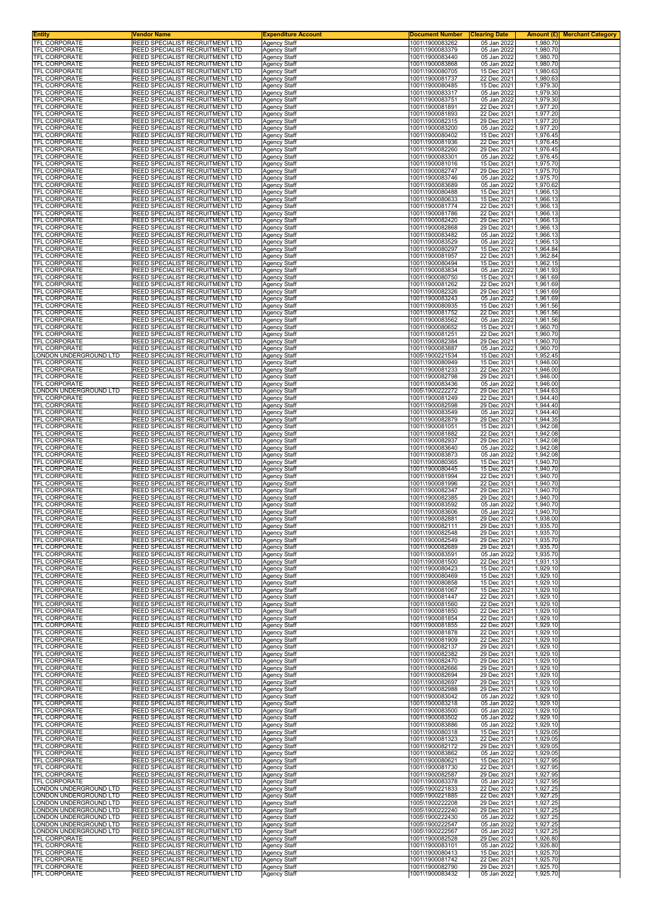| <b>Entity</b>                                    | <b>Vendor Name</b>                                                        | <b>Expenditure Account</b>                 | <b>Document Number</b>             | <b>Clearing Date</b>       | <b>Amount (£) Merchant Category</b> |
|--------------------------------------------------|---------------------------------------------------------------------------|--------------------------------------------|------------------------------------|----------------------------|-------------------------------------|
| TFL CORPORATE<br><b>TFL CORPORATE</b>            | REED SPECIALIST RECRUITMENT LTD<br>REED SPECIALIST RECRUITMENT LTD        | Agency Staff<br><b>Agency Staff</b>        | 1001\1900083262<br>1001\1900083379 | 05 Jan 2022<br>05 Jan 2022 | 1,980.70<br>1,980.70                |
| <b>TFL CORPORATE</b>                             | REED SPECIALIST RECRUITMENT LTD                                           | <b>Agency Staff</b>                        | 1001\1900083440                    | 05 Jan 2022                | 1,980.70                            |
| <b>TFL CORPORATE</b>                             | REED SPECIALIST RECRUITMENT LTD                                           | <b>Agency Staff</b>                        | 1001\1900083868<br>1001\1900080705 | 05 Jan 2022<br>15 Dec 2021 | 1,980.70                            |
| TFL CORPORATE<br>TFL CORPORATE                   | REED SPECIALIST RECRUITMENT LTD<br>REED SPECIALIST RECRUITMENT LTD        | Agency Staff<br><b>Agency Staff</b>        | 1001\1900081737                    | 22 Dec 2021                | 1,980.63<br>1,980.63                |
| TFL CORPORATE                                    | REED SPECIALIST RECRUITMENT LTD                                           | <b>Agency Staff</b>                        | 1001\1900080485                    | 15 Dec 2021                | 1,979.30                            |
| <b>TFL CORPORATE</b><br>TFL CORPORATE            | REED SPECIALIST RECRUITMENT LTD<br>REED SPECIALIST RECRUITMENT LTD        | <b>Agency Staff</b><br><b>Agency Staff</b> | 1001\1900083317<br>1001\1900083751 | 05 Jan 2022<br>05 Jan 2022 | 1,979.30<br>1,979.30                |
| TFL CORPORATE                                    | REED SPECIALIST RECRUITMENT LTD                                           | Agency Staff                               | 1001\1900081891                    | 22 Dec 2021                | 1,977.20                            |
| TFL CORPORATE<br>TFL CORPORATE                   | REED SPECIALIST RECRUITMENT LTD<br>REED SPECIALIST RECRUITMENT LTD        | <b>Agency Staff</b>                        | 1001\1900081893<br>1001\1900082315 | 22 Dec 2021<br>29 Dec 2021 | 1,977.20<br>1,977.20                |
| TFL CORPORATE                                    | REED SPECIALIST RECRUITMENT LTD                                           | <b>Agency Staff</b><br><b>Agency Staff</b> | 1001\1900083200                    | 05 Jan 2022                | 1,977.20                            |
| TFL CORPORATE                                    | REED SPECIALIST RECRUITMENT LTD                                           | <b>Agency Staff</b>                        | 1001\1900080402                    | 15 Dec 2021                | 1,976.45                            |
| TFL CORPORATE<br>TFL CORPORATE                   | REED SPECIALIST RECRUITMENT LTD<br>REED SPECIALIST RECRUITMENT LTD        | <b>Agency Staff</b><br>Agency Staff        | 1001\1900081936<br>1001\1900082260 | 22 Dec 2021<br>29 Dec 2021 | 1,976.45<br>1,976.45                |
| TFL CORPORATE                                    | REED SPECIALIST RECRUITMENT LTD                                           | Agency Staff                               | 1001\1900083301                    | 05 Jan 2022                | 1,976.45                            |
| <b>TFL CORPORATE</b><br>TFL CORPORATE            | REED SPECIALIST RECRUITMENT LTD<br>REED SPECIALIST RECRUITMENT LTD        | <b>Agency Staff</b><br><b>Agency Staff</b> | 1001\1900081016<br>1001\1900082747 | 15 Dec 2021<br>29 Dec 2021 | 1,975.70<br>1,975.70                |
| TFL CORPORATE                                    | REED SPECIALIST RECRUITMENT LTD                                           | <b>Agency Staff</b>                        | 1001\1900083746                    | 05 Jan 2022                | 1,975.70                            |
| TFL CORPORATE<br>TFL CORPORATE                   | REED SPECIALIST RECRUITMENT LTD<br>REED SPECIALIST RECRUITMENT LTD        | <b>Agency Staff</b><br><b>Agency Staff</b> | 1001\1900083689<br>1001\1900080488 | 05 Jan 2022<br>15 Dec 2021 | 1,970.62<br>1,966.13                |
| TFL CORPORATE                                    | REED SPECIALIST RECRUITMENT LTD                                           | <b>Agency Staff</b>                        | 1001\1900080633                    | 15 Dec 2021                | 1,966.13                            |
| TFL CORPORATE<br>TFL CORPORATE                   | REED SPECIALIST RECRUITMENT LTD<br>REED SPECIALIST RECRUITMENT LTD        | <b>Agency Staff</b><br><b>Agency Staff</b> | 1001\1900081774<br>1001\1900081786 | 22 Dec 2021<br>22 Dec 2021 | 1,966.13<br>1,966.13                |
| TFL CORPORATE                                    | REED SPECIALIST RECRUITMENT LTD                                           | <b>Agency Staff</b>                        | 1001\1900082420                    | 29 Dec 2021                | 1,966.13                            |
| TFL CORPORATE<br><b>TFL CORPORATE</b>            | REED SPECIALIST RECRUITMENT LTD                                           | <b>Agency Staff</b>                        | 1001\1900082868                    | 29 Dec 2021                | 1,966.13                            |
| TFL CORPORATE                                    | REED SPECIALIST RECRUITMENT LTD<br>REED SPECIALIST RECRUITMENT LTD        | <b>Agency Staff</b><br><b>Agency Staff</b> | 1001\1900083482<br>1001\1900083529 | 05 Jan 2022<br>05 Jan 2022 | 1,966.13<br>1,966.13                |
| TFL CORPORATE                                    | REED SPECIALIST RECRUITMENT LTD                                           | <b>Agency Staff</b>                        | 1001\1900080297                    | 15 Dec 2021                | 1,964.84                            |
| TFL CORPORATE<br><b>TFL CORPORATE</b>            | REED SPECIALIST RECRUITMENT LTD<br>REED SPECIALIST RECRUITMENT LTD        | <b>Agency Staff</b><br><b>Agency Staff</b> | 1001\1900081957<br>1001\1900080494 | 22 Dec 2021<br>15 Dec 2021 | 1,962.84<br>1,962.15                |
| TFL CORPORATE                                    | REED SPECIALIST RECRUITMENT LTD                                           | <b>Agency Staff</b>                        | 1001\1900083834                    | 05 Jan 2022                | 1,961.93                            |
| TFL CORPORATE<br>TFL CORPORATE                   | REED SPECIALIST RECRUITMENT LTD<br>REED SPECIALIST RECRUITMENT LTD        | <b>Agency Staff</b><br>Agency Staff        | 1001\1900080750<br>1001\1900081262 | 15 Dec 2021<br>22 Dec 2021 | 1,961.69<br>1,961.69                |
| <b>TFL CORPORATE</b>                             | REED SPECIALIST RECRUITMENT LTD                                           | <b>Agency Staff</b>                        | 1001\1900082326                    | 29 Dec 2021                | 1,961.69                            |
| <b>TFL CORPORATE</b>                             | REED SPECIALIST RECRUITMENT LTD                                           | <b>Agency Staff</b>                        | 1001\1900083243                    | 05 Jan 2022                | 1,961.69                            |
| TFL CORPORATE<br>TFL CORPORATE                   | REED SPECIALIST RECRUITMENT LTD<br>REED SPECIALIST RECRUITMENT LTD        | <b>Agency Staff</b><br><b>Agency Staff</b> | 1001\1900080935<br>1001\1900081752 | 15 Dec 2021<br>22 Dec 2021 | 1,961.56<br>1,961.56                |
| <b>TFL CORPORATE</b>                             | REED SPECIALIST RECRUITMENT LTD                                           | <b>Agency Staff</b>                        | 1001\1900083562                    | 05 Jan 2022                | 1,961.56                            |
| TFL CORPORATE<br><b>TFL CORPORATE</b>            | REED SPECIALIST RECRUITMENT LTD<br>REED SPECIALIST RECRUITMENT LTD        | Agency Staff<br>Agency Staff               | 1001\1900080652<br>1001\1900081251 | 15 Dec 2021<br>22 Dec 2021 | 1,960.70<br>1,960.70                |
| TFL CORPORATE                                    | REED SPECIALIST RECRUITMENT LTD                                           | <b>Agency Staff</b>                        | 1001\1900082384                    | 29 Dec 2021                | 1,960.70                            |
| TFL CORPORATE                                    | REED SPECIALIST RECRUITMENT LTD                                           | <b>Agency Staff</b>                        | 1001\1900083887                    | 05 Jan 2022                | 1,960.70                            |
| LONDON UNDERGROUND LTD<br>TFL CORPORATE          | <b>REED SPECIALIST RECRUITMENT LTD</b><br>REED SPECIALIST RECRUITMENT LTD | <b>Agency Staff</b><br><b>Agency Staff</b> | 1005\1900221534<br>1001\1900080949 | 15 Dec 2021<br>15 Dec 2021 | 1,952.45<br>1,946.00                |
| TFL CORPORATE                                    | REED SPECIALIST RECRUITMENT LTD                                           | Agency Staff                               | 1001\1900081233                    | 22 Dec 2021                | 1,946.00                            |
| TFL CORPORATE<br>TFL CORPORATE                   | REED SPECIALIST RECRUITMENT LTD<br>REED SPECIALIST RECRUITMENT LTD        | <b>Agency Staff</b><br><b>Agency Staff</b> | 1001\1900082798<br>1001\1900083436 | 29 Dec 2021<br>05 Jan 2022 | 1,946.00<br>1,946.00                |
| LONDON UNDERGROUND LTD                           | REED SPECIALIST RECRUITMENT LTD                                           | <b>Agency Staff</b>                        | 1005\1900222272                    | 29 Dec 2021                | 1,944.63                            |
| TFL CORPORATE                                    | REED SPECIALIST RECRUITMENT LTD                                           | <b>Agency Staff</b>                        | 1001\1900081249                    | 22 Dec 2021                | 1,944.40                            |
| TFL CORPORATE<br>TFL CORPORATE                   | REED SPECIALIST RECRUITMENT LTD<br>REED SPECIALIST RECRUITMENT LTD        | <b>Agency Staff</b><br><b>Agency Staff</b> | 1001\1900082598<br>1001\1900083549 | 29 Dec 2021<br>05 Jan 2022 | 1,944.40<br>1,944.40                |
| TFL CORPORATE                                    | REED SPECIALIST RECRUITMENT LTD                                           | <b>Agency Staff</b>                        | 1001\1900082879                    | 29 Dec 2021                | 1,944.35                            |
| TFL CORPORATE<br>TFL CORPORATE                   | REED SPECIALIST RECRUITMENT LTD<br>REED SPECIALIST RECRUITMENT LTD        | <b>Agency Staff</b><br><b>Agency Staff</b> | 1001\1900081051<br>1001\1900081882 | 15 Dec 2021<br>22 Dec 2021 | 1,942.08<br>1,942.08                |
| TFL CORPORATE                                    | REED SPECIALIST RECRUITMENT LTD                                           | <b>Agency Staff</b>                        | 1001\1900082937                    | 29 Dec 2021                | 1,942.08                            |
| TFL CORPORATE<br>TFL CORPORATE                   | REED SPECIALIST RECRUITMENT LTD<br>REED SPECIALIST RECRUITMENT LTD        | <b>Agency Staff</b><br><b>Agency Staff</b> | 1001\1900083640<br>1001\1900083873 | 05 Jan 2022<br>05 Jan 2022 | 1,942.08<br>1,942.08                |
| TFL CORPORATE                                    | REED SPECIALIST RECRUITMENT LTD                                           | <b>Agency Staff</b>                        | 1001\1900080365                    | 15 Dec 2021                | 1,940.70                            |
| TFL CORPORATE                                    | REED SPECIALIST RECRUITMENT LTD                                           | Agency Staff                               | 1001\1900080445                    | 15 Dec 2021                | 1.940.70                            |
| TFL CORPORATE<br><b>TFL CORPORATE</b>            | REED SPECIALIST RECRUITMENT LTD<br>REED SPECIALIST RECRUITMENT LTD        | <b>Agency Staff</b><br><b>Agency Staff</b> | 1001\1900081994<br>1001\1900081996 | 22 Dec 2021<br>22 Dec 2021 | 1,940.70<br>1,940.70                |
| <b>TFL CORPORATE</b>                             | REED SPECIALIST RECRUITMENT LTD                                           | <b>Agency Staff</b>                        | 1001\1900082347                    | 29 Dec 2021                | 1.940.70                            |
| <b>TFL CORPORATE</b><br>TFL CORPORATE            | REED SPECIALIST RECRUITMENT LTD<br>REED SPECIALIST RECRUITMENT LTD        | <b>Agency Staff</b><br>Agency Staff        | 1001\1900082385<br>1001\1900083592 | 29 Dec 2021<br>05 Jan 2022 | 1,940.70<br>1,940.70                |
| TFL CORPORATE                                    | <b>REED SPECIALIST RECRUITMENT LTD</b>                                    | Agency Staff                               | 1001\1900083606                    | 05 Jan 2022                | 1.940.70                            |
| TFL CORPORATE<br><b>IFL CORPORATE</b>            | REED SPECIALIST RECRUITMENT LTD<br>REED SPECIALIST RECRUITMENT LTD        | <b>Agency Staff</b>                        | 1001\1900082881<br>1001\1900082111 | 29 Dec 2021<br>29 Dec 2021 | 1,938.00<br>1,935.70                |
| <b>TFL CORPORATE</b>                             | REED SPECIALIST RECRUITMENT LTD                                           | Agency Staff<br><b>Agency Staff</b>        | 1001\1900082548                    | 29 Dec 2021                | 1,935.70                            |
| <b>TFL CORPORATE</b>                             | REED SPECIALIST RECRUITMENT LTD                                           | <b>Agency Staff</b>                        | 1001\1900082549                    | 29 Dec 2021                | 1,935.70                            |
| TFL CORPORATE<br><b>TFL CORPORATE</b>            | REED SPECIALIST RECRUITMENT LTD<br>REED SPECIALIST RECRUITMENT LTD        | Agency Staff<br><b>Agency Staff</b>        | 1001\1900082689<br>1001\1900083591 | 29 Dec 2021<br>05 Jan 2022 | 1,935.70<br>1,935.70                |
| TFL CORPORATE                                    | REED SPECIALIST RECRUITMENT LTD                                           | <b>Agency Staff</b>                        | 1001\1900081500                    | 22 Dec 2021                | 1,931.13                            |
| TFL CORPORATE<br>TFL CORPORATE                   | REED SPECIALIST RECRUITMENT LTD<br>REED SPECIALIST RECRUITMENT LTD        | <b>Agency Staff</b><br><b>Agency Staff</b> | 1001\1900080423<br>1001\1900080469 | 15 Dec 2021<br>15 Dec 2021 | 1,929.10<br>1,929.10                |
| TFL CORPORATE                                    | REED SPECIALIST RECRUITMENT LTD                                           | <b>Agency Staff</b>                        | 1001\1900080858                    | 15 Dec 2021                | 1,929.10                            |
| TFL CORPORATE<br><b>TFL CORPORATE</b>            | REED SPECIALIST RECRUITMENT LTD<br>REED SPECIALIST RECRUITMENT LTD        | <b>Agency Staff</b><br><b>Agency Staff</b> | 1001\1900081067<br>1001\1900081447 | 15 Dec 2021<br>22 Dec 2021 | 1,929.10<br>1,929.10                |
| <b>TFL CORPORATE</b>                             | REED SPECIALIST RECRUITMENT LTD                                           | Agency Staff                               | 1001\1900081560                    | 22 Dec 2021                | 1,929.10                            |
| TFL CORPORATE                                    | REED SPECIALIST RECRUITMENT LTD                                           | <b>Agency Staff</b>                        | 1001\1900081850                    | 22 Dec 2021                | 1,929.10                            |
| <b>TFL CORPORATE</b><br>TFL CORPORATE            | REED SPECIALIST RECRUITMENT LTD<br>REED SPECIALIST RECRUITMENT LTD        | <b>Agency Staff</b><br><b>Agency Staff</b> | 1001\1900081854<br>1001\1900081855 | 22 Dec 2021<br>22 Dec 2021 | 1,929.10<br>1,929.10                |
| TFL CORPORATE                                    | REED SPECIALIST RECRUITMENT LTD                                           | Agency Staff                               | 1001\1900081878                    | 22 Dec 2021                | 1,929.10                            |
| TFL CORPORATE<br><b>TFL CORPORATE</b>            | REED SPECIALIST RECRUITMENT LTD<br><b>REED SPECIALIST RECRUITMENT LTD</b> | Agency Staff<br><b>Agency Staff</b>        | 1001\1900081909<br>1001\1900082137 | 22 Dec 2021<br>29 Dec 2021 | 1,929.10<br>1,929.10                |
| TFL CORPORATE                                    | REED SPECIALIST RECRUITMENT LTD                                           | Agency Staff                               | 1001\1900082382                    | 29 Dec 2021                | 1,929.10                            |
| TFL CORPORATE<br>TFL CORPORATE                   | REED SPECIALIST RECRUITMENT LTD<br>REED SPECIALIST RECRUITMENT LTD        | <b>Agency Staff</b><br><b>Agency Staff</b> | 1001\1900082470<br>1001\1900082666 | 29 Dec 2021<br>29 Dec 2021 | 1,929.10<br>1,929.10                |
| TFL CORPORATE                                    | REED SPECIALIST RECRUITMENT LTD                                           | <b>Agency Staff</b>                        | 1001\1900082694                    | 29 Dec 2021                | 1,929.10                            |
| TFL CORPORATE<br><b>TFL CORPORATE</b>            | REED SPECIALIST RECRUITMENT LTD<br>REED SPECIALIST RECRUITMENT LTD        | Agency Staff                               | 1001\1900082697<br>1001\1900082988 | 29 Dec 2021<br>29 Dec 2021 | 1,929.10<br>1,929.10                |
| TFL CORPORATE                                    | REED SPECIALIST RECRUITMENT LTD                                           | <b>Agency Staff</b><br><b>Agency Staff</b> | 1001\1900083042                    | 05 Jan 2022                | 1,929.10                            |
| TFL CORPORATE                                    | REED SPECIALIST RECRUITMENT LTD                                           | Agency Staff                               | 1001\1900083218                    | 05 Jan 2022                | 1,929.10                            |
| TFL CORPORATE<br>TFL CORPORATE                   | REED SPECIALIST RECRUITMENT LTD<br>REED SPECIALIST RECRUITMENT LTD        | <b>Agency Staff</b><br><b>Agency Staff</b> | 1001\1900083500<br>1001\1900083502 | 05 Jan 2022<br>05 Jan 2022 | 1,929.10<br>1,929.10                |
| TFL CORPORATE                                    | REED SPECIALIST RECRUITMENT LTD                                           | Agency Staff                               | 1001\1900083886                    | 05 Jan 2022                | 1,929.10                            |
| <b>TFL CORPORATE</b><br>TFL CORPORATE            | REED SPECIALIST RECRUITMENT LTD<br>REED SPECIALIST RECRUITMENT LTD        | <b>Agency Staff</b><br><b>Agency Staff</b> | 1001\1900080318<br>1001\1900081323 | 15 Dec 2021<br>22 Dec 2021 | 1,929.05<br>1,929.05                |
| TFL CORPORATE                                    | REED SPECIALIST RECRUITMENT LTD                                           | <b>Agency Staff</b>                        | 1001\1900082172                    | 29 Dec 2021                | 1,929.05                            |
| TFL CORPORATE<br>TFL CORPORATE                   | REED SPECIALIST RECRUITMENT LTD<br>REED SPECIALIST RECRUITMENT LTD        | <b>Agency Staff</b>                        | 1001\1900083862                    | 05 Jan 2022                | 1,929.05                            |
| TFL CORPORATE                                    | REED SPECIALIST RECRUITMENT LTD                                           | <b>Agency Staff</b><br>Agency Staff        | 1001\1900080621<br>1001\1900081730 | 15 Dec 2021<br>22 Dec 2021 | 1,927.95<br>1,927.95                |
| TFL CORPORATE                                    | REED SPECIALIST RECRUITMENT LTD                                           | <b>Agency Staff</b>                        | 1001\1900082587                    | 29 Dec 2021                | 1,927.95                            |
| <b>TFL CORPORATE</b><br>LONDON UNDERGROUND LTD   | <b>REED SPECIALIST RECRUITMENT LTD</b><br>REED SPECIALIST RECRUITMENT LTD | Agency Staff<br><b>Agency Staff</b>        | 1001\1900083378<br>1005\1900221833 | 05 Jan 2022<br>22 Dec 2021 | 1,927.95<br>1,927.25                |
| LONDON UNDERGROUND LTD                           | REED SPECIALIST RECRUITMENT LTD                                           | <b>Agency Staff</b>                        | 1005\1900221885                    | 22 Dec 2021                | 1,927.25                            |
| LONDON UNDERGROUND LTD<br>LONDON UNDERGROUND LTD | REED SPECIALIST RECRUITMENT LTD<br>REED SPECIALIST RECRUITMENT LTD        | <b>Agency Staff</b><br><b>Agency Staff</b> | 1005\1900222208<br>1005\1900222240 | 29 Dec 2021<br>29 Dec 2021 | 1,927.25<br>1,927.25                |
| LONDON UNDERGROUND LTD                           | REED SPECIALIST RECRUITMENT LTD                                           | <b>Agency Staff</b>                        | 1005\1900222430                    | 05 Jan 2022                | 1,927.25                            |
| ONDON UNDERGROUND LTD                            | REED SPECIALIST RECRUITMENT LTD                                           | <b>Agency Staff</b>                        | 1005\1900222547                    | 05 Jan 2022                | 1,927.25                            |
| LONDON UNDERGROUND LTD<br>TFL CORPORATE          | REED SPECIALIST RECRUITMENT LTD<br>REED SPECIALIST RECRUITMENT LTD        | Agency Staff<br><b>Agency Staff</b>        | 1005\1900222567<br>1001\1900082528 | 05 Jan 2022<br>29 Dec 2021 | 1,927.25<br>1,926.80                |
| TFL CORPORATE                                    | REED SPECIALIST RECRUITMENT LTD                                           | <b>Agency Staff</b>                        | 1001\1900083101                    | 05 Jan 2022                | 1,926.80                            |
| TFL CORPORATE<br><b>TFL CORPORATE</b>            | REED SPECIALIST RECRUITMENT LTD<br>REED SPECIALIST RECRUITMENT LTD        | Agency Staff<br>Agency Staff               | 1001\1900080413<br>1001\1900081742 | 15 Dec 2021<br>22 Dec 2021 | 1,925.70<br>1,925.70                |
| <b>TFL CORPORATE</b>                             | REED SPECIALIST RECRUITMENT LTD                                           | Agency Staff                               | 1001\1900082790                    | 29 Dec 2021                | 1,925.70                            |
| TFL CORPORATE                                    | REED SPECIALIST RECRUITMENT LTD                                           | Agency Staff                               | 1001\1900083432                    | 05 Jan 2022                | 1,925.70                            |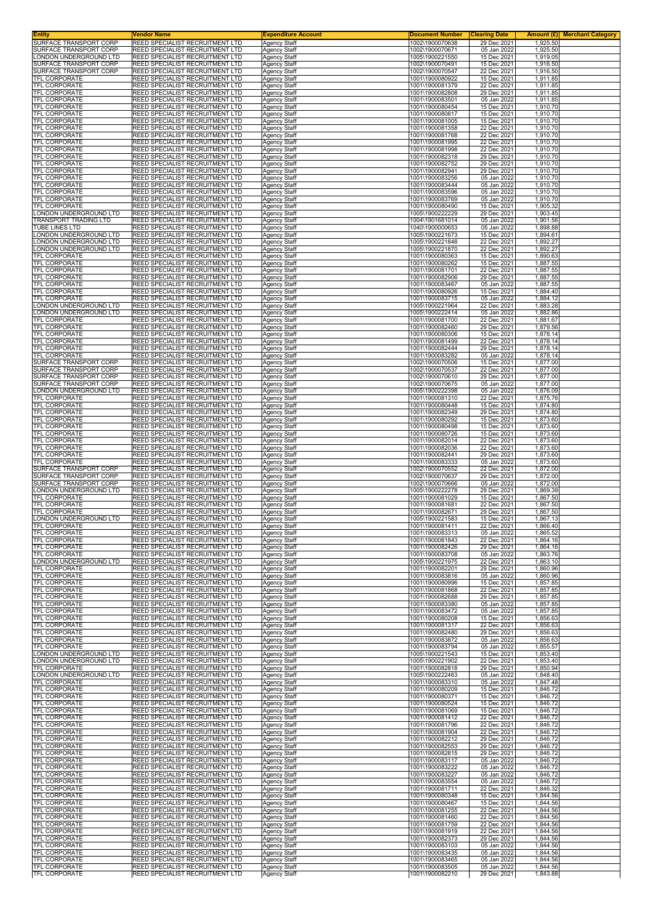| <b>Entity</b>                                    | Vendor Name                                                        | <b>Expenditure Account</b>                 | <b>Document Number</b>             | <b>Clearing Date</b>       | <b>Merchant Category</b><br>Amount (£) |
|--------------------------------------------------|--------------------------------------------------------------------|--------------------------------------------|------------------------------------|----------------------------|----------------------------------------|
| SURFACE TRANSPORT CORP<br>URFACE TRANSPORT CORP  | REED SPECIALIST RECRUITMENT LTD<br>REED SPECIALIST RECRUITMENT LTD | <b>Agency Staff</b><br><b>Agency Staff</b> | 1002\1900070638<br>1002\1900070671 | 29 Dec 2021<br>05 Jan 2022 | 1,925.50<br>1,925.50                   |
| ONDON UNDERGROUND LTD                            | REED SPECIALIST RECRUITMENT LTD                                    | Agency Staff                               | 1005\1900221550                    | 15 Dec 2021                | 1,919.05                               |
| SURFACE TRANSPORT CORP                           | REED SPECIALIST RECRUITMENT LTD<br>REED SPECIALIST RECRUITMENT LTD | Agency Staff                               | 1002\1900070491<br>1002\1900070547 | 15 Dec 2021<br>22 Dec 2021 | 1,916.50                               |
| URFACE TRANSPORT CORP<br>TFL CORPORATE           | REED SPECIALIST RECRUITMENT LTD                                    | Agency Staff<br>Agency Staff               | 1001\1900080922                    | 15 Dec 2021                | 1,916.50<br>1,911.85                   |
| TFL CORPORATE                                    | REED SPECIALIST RECRUITMENT LTD                                    | <b>Agency Staff</b>                        | 1001\1900081379                    | 22 Dec 2021                | 1,911.85                               |
| TFL CORPORATE<br><b>TFL CORPORATE</b>            | REED SPECIALIST RECRUITMENT LTD<br>REED SPECIALIST RECRUITMENT LTD | Agency Staff<br>Agency Staff               | 1001\1900082808<br>1001\1900083501 | 29 Dec 2021<br>05 Jan 2022 | 1,911.85<br>1,911.85                   |
| TFL CORPORATE                                    | REED SPECIALIST RECRUITMENT LTD                                    | Agency Staff                               | 1001\1900080454                    | 15 Dec 2021                | 1,910.70                               |
| TFL CORPORATE                                    | REED SPECIALIST RECRUITMENT LTD                                    | Agency Staff                               | 1001\1900080817                    | 15 Dec 2021                | 1,910.70                               |
| TFL CORPORATE<br>TFL CORPORATE                   | REED SPECIALIST RECRUITMENT LTD<br>REED SPECIALIST RECRUITMENT LTD | Agency Staff<br>Agency Staff               | 1001\1900081005<br>1001\1900081358 | 15 Dec 2021<br>22 Dec 2021 | 1,910.70<br>1,910.70                   |
| TFL CORPORATE                                    | REED SPECIALIST RECRUITMENT LTD                                    | <b>Agency Staff</b>                        | 1001\1900081768                    | 22 Dec 2021                | 1,910.70                               |
| TFL CORPORATE<br>TFL CORPORATE                   | REED SPECIALIST RECRUITMENT LTD<br>REED SPECIALIST RECRUITMENT LTD | <b>Agency Staff</b><br>Agency Staff        | 1001\1900081995<br>1001\1900081998 | 22 Dec 2021<br>22 Dec 2021 | 1,910.70<br>1,910.70                   |
| TFL CORPORATE                                    | REED SPECIALIST RECRUITMENT LTD                                    | <b>Agency Staff</b>                        | 1001\1900082318                    | 29 Dec 2021                | 1,910.70                               |
| TFL CORPORATE                                    | REED SPECIALIST RECRUITMENT LTD<br>REED SPECIALIST RECRUITMENT LTD | Agency Staff                               | 1001\1900082752                    | 29 Dec 2021                | 1,910.70                               |
| TFL CORPORATE<br><b>TFL CORPORATE</b>            | REED SPECIALIST RECRUITMENT LTD                                    | Agency Staff<br>Agency Staff               | 1001\1900082941<br>1001\1900083256 | 29 Dec 2021<br>05 Jan 2022 | 1,910.70<br>1,910.70                   |
| TFL CORPORATE                                    | REED SPECIALIST RECRUITMENT LTD                                    | <b>Agency Staff</b>                        | 1001\1900083444                    | 05 Jan 2022                | 1,910.70                               |
| TFL CORPORATE<br><b>TFL CORPORATE</b>            | REED SPECIALIST RECRUITMENT LTD<br>REED SPECIALIST RECRUITMENT LTD | Agency Staff<br>Agency Staff               | 1001\1900083596<br>1001\1900083769 | 05 Jan 2022<br>05 Jan 2022 | 1,910.70<br>1,910.70                   |
| TFL CORPORATE                                    | REED SPECIALIST RECRUITMENT LTD                                    | Agency Staff                               | 1001\1900080490                    | 15 Dec 2021                | 1,905.32                               |
| ONDON UNDERGROUND LTD<br>RANSPORT TRADING LTD    | REED SPECIALIST RECRUITMENT LTD<br>REED SPECIALIST RECRUITMENT LTD | Agency Staff<br><b>Agency Staff</b>        | 1005\1900222229<br>1004\1901681014 | 29 Dec 2021<br>05 Jan 2022 | 1,903.45<br>1,901.56                   |
| UBE LINES LTD                                    | REED SPECIALIST RECRUITMENT LTD                                    | <b>Agency Staff</b>                        | 1040\1900000653                    | 05 Jan 2022                | 1,898.88                               |
| ONDON UNDERGROUND LTD<br>ONDON UNDERGROUND LTD   | REED SPECIALIST RECRUITMENT LTD<br>REED SPECIALIST RECRUITMENT LTD | Agency Staff                               | 1005\1900221673<br>1005\1900221848 | 15 Dec 2021<br>22 Dec 2021 | 1,894.61<br>1,892.27                   |
| ONDON UNDERGROUND LTD                            | REED SPECIALIST RECRUITMENT LTD                                    | <b>Agency Staff</b><br>Agency Staff        | 1005\1900221870                    | 22 Dec 2021                | 1,892.27                               |
| <b>FEL CORPORATE</b>                             | REED SPECIALIST RECRUITMENT LTD                                    | Agency Staff                               | 1001\1900080363                    | 15 Dec 2021                | 1,890.63                               |
| <b>TFL CORPORATE</b><br><b>TFL CORPORATE</b>     | REED SPECIALIST RECRUITMENT LTD<br>REED SPECIALIST RECRUITMENT LTD | Agency Staff<br><b>Agency Staff</b>        | 1001\1900080262<br>1001\1900081701 | 15 Dec 2021<br>22 Dec 2021 | 1,887.55<br>1,887.55                   |
| TFL CORPORATE                                    | REED SPECIALIST RECRUITMENT LTD                                    | Agency Staff                               | 1001\1900082906                    | 29 Dec 2021                | 1,887.55                               |
| <b>TFL CORPORATE</b><br>TFL CORPORATE            | REED SPECIALIST RECRUITMENT LTD<br>REED SPECIALIST RECRUITMENT LTD | Agency Staff<br>Agency Staff               | 1001\1900083467<br>1001\1900080926 | 05 Jan 2022<br>15 Dec 2021 | 1,887.55<br>1,884.40                   |
| TFL CORPORATE                                    | REED SPECIALIST RECRUITMENT LTD                                    | Agency Staff                               | 1001\1900083715                    | 05 Jan 2022                | 1,884.12                               |
| ONDON UNDERGROUND LTD.<br>ONDON UNDERGROUND LTD  | REED SPECIALIST RECRUITMENT LTD<br>REED SPECIALIST RECRUITMENT LTD | Agency Staff<br><b>Agency Staff</b>        | 1005\1900221964<br>1005\1900222414 | 22 Dec 2021<br>05 Jan 2022 | 1,883.28<br>1,882.86                   |
| <b>TFL CORPORATE</b>                             | REED SPECIALIST RECRUITMENT LTD                                    | Agency Staff                               | 1001\1900081700                    | 22 Dec 2021                | 1,881.67                               |
| TFL CORPORATE                                    | REED SPECIALIST RECRUITMENT LTD                                    | Agency Staff                               | 1001\1900082460                    | 29 Dec 2021                | 1,879.56                               |
| TFL CORPORATE<br>TFL CORPORATE                   | REED SPECIALIST RECRUITMENT LTD<br>REED SPECIALIST RECRUITMENT LTD | Agency Staff<br>Agency Staff               | 1001\1900080306<br>1001\1900081499 | 15 Dec 2021<br>22 Dec 2021 | 1,878.14<br>1,878.14                   |
| TFL CORPORATE                                    | REED SPECIALIST RECRUITMENT LTD                                    | Agency Staff                               | 1001\1900082444                    | 29 Dec 2021                | 1,878.14                               |
| TFL CORPORATE<br>SURFACE TRANSPORT CORP          | REED SPECIALIST RECRUITMENT LTD<br>REED SPECIALIST RECRUITMENT LTD | Agency Staff<br>Agency Staff               | 1001\1900083282<br>1002\1900070506 | 05 Jan 2022<br>15 Dec 2021 | 1,878.14<br>1,877.00                   |
| SURFACE TRANSPORT CORP                           | REED SPECIALIST RECRUITMENT LTD                                    | Agency Staff                               | 1002\1900070537                    | 22 Dec 2021                | 1,877.00                               |
| SURFACE TRANSPORT CORP                           | REED SPECIALIST RECRUITMENT LTD                                    | Agency Staff                               | 1002\1900070610                    | 29 Dec 2021                | 1,877.00                               |
| SURFACE TRANSPORT CORP<br>ONDON UNDERGROUND LTD  | REED SPECIALIST RECRUITMENT LTD<br>REED SPECIALIST RECRUITMENT LTD | Agency Staff<br>Agency Staff               | 1002\1900070675<br>1005\1900222398 | 05 Jan 2022<br>05 Jan 2022 | 1,877.00<br>1,876.09                   |
| TFL CORPORATE                                    | REED SPECIALIST RECRUITMENT LTD                                    | <b>Agency Staff</b>                        | 1001\1900081310                    | 22 Dec 2021                | 1,875.76                               |
| TFL CORPORATE<br>TFL CORPORATE                   | REED SPECIALIST RECRUITMENT LTD<br>REED SPECIALIST RECRUITMENT LTD | Agency Staff<br>Agency Staff               | 1001\1900080448<br>1001\1900082349 | 15 Dec 2021<br>29 Dec 2021 | 1,874.80<br>1,874.80                   |
| TFL CORPORATE                                    | REED SPECIALIST RECRUITMENT LTD                                    | Agency Staff                               | 1001\1900080292                    | 15 Dec 2021                | 1,873.60                               |
| TFL CORPORATE                                    | REED SPECIALIST RECRUITMENT LTD<br>REED SPECIALIST RECRUITMENT LTD | Agency Staff                               | 1001\1900080498                    | 15 Dec 2021                | 1,873.60                               |
| TFL CORPORATE<br><b>TFL CORPORATE</b>            | REED SPECIALIST RECRUITMENT LTD                                    | Agency Staff<br><b>Agency Staff</b>        | 1001\1900080726<br>1001\1900082014 | 15 Dec 2021<br>22 Dec 2021 | 1,873.60<br>1,873.60                   |
| TFL CORPORATE                                    | REED SPECIALIST RECRUITMENT LTD                                    | Agency Staff                               | 1001\1900082036                    | 22 Dec 2021                | 1,873.60                               |
| TFL CORPORATE<br>TFL CORPORATE                   | REED SPECIALIST RECRUITMENT LTD<br>REED SPECIALIST RECRUITMENT LTD | Agency Staff<br>Agency Staff               | 1001\1900082441<br>1001\1900083333 | 29 Dec 2021<br>05 Jan 2022 | 1,873.60<br>1,873.60                   |
| SURFACE TRANSPORT CORP                           | REED SPECIALIST RECRUITMENT LTD                                    | Agency Staff                               | 1002\1900070552                    | 22 Dec 2021                | 1,872.00                               |
| SURFACE TRANSPORT CORP<br>SURFACE TRANSPORT CORP | REED SPECIALIST RECRUITMENT LTD<br>REED SPECIALIST RECRUITMENT LTD | Agency Staff<br>Agency Staff               | 1002\1900070637<br>1002\1900070666 | 29 Dec 2021<br>05 Jan 2022 | 1,872.00<br>1,872.00                   |
| ONDON UNDERGROUND LTD                            | REED SPECIALIST RECRUITMENT LTD                                    | <b>Agency Staff</b>                        | 1005\1900222278                    | 29 Dec 2021                | 1,869.39                               |
| TFL CORPORATE<br>TFL CORPORATE                   | REED SPECIALIST RECRUITMENT LTD<br>REED SPECIALIST RECRUITMENT LTD | Agency Staff                               | 1001\1900081029<br>1001\1900081681 | 15 Dec 2021<br>22 Dec 2021 | 1,867.50<br>1,867.50                   |
| TFL CORPORATE                                    | REED SPECIALIST RECRUITMENT LTD                                    | Agency Staff<br>Agency Staff               | 1001\1900082671                    | 29 Dec 2021                | 1,867.50                               |
| ONDON UNDERGROUND LTD                            | REED SPECIALIST RECRUITMENT LTD                                    | <b>Agency Staff</b>                        | 1005\1900221583                    | 15 Dec 2021                | 1,867.13                               |
| <b>IFL CORPORATE</b><br><b>TFL CORPORATE</b>     | REED SPECIALIST RECRUITMENT LTD<br>REED SPECIALIST RECRUITMENT LTD | Agency Staff<br><b>Agency Staff</b>        | 1001\1900081411<br>1001\1900083313 | 22 Dec 2021<br>05 Jan 2022 | 1.866.40<br>1,865.52                   |
| <b>TFL CORPORATE</b>                             | REED SPECIALIST RECRUITMENT LTD                                    | <b>Agency Staff</b>                        | 1001\1900081843                    | 22 Dec 2021                | 1,864.16                               |
| TFL CORPORATE<br><b>TFL CORPORATE</b>            | REED SPECIALIST RECRUITMENT LTD<br>REED SPECIALIST RECRUITMENT LTD | Agency Staff<br><b>Agency Staff</b>        | 1001\1900082426<br>1001\1900083708 | 29 Dec 2021<br>05 Jan 2022 | 1,864.16<br>1,863.76                   |
| LONDON UNDERGROUND LTD                           | REED SPECIALIST RECRUITMENT LTD                                    | Agency Staff                               | 1005\1900221975                    | 22 Dec 2021                | 1,863.10                               |
| TFL CORPORATE<br>TFL CORPORATE                   | REED SPECIALIST RECRUITMENT LTD<br>REED SPECIALIST RECRUITMENT LTD | Agency Staff<br><b>Agency Staff</b>        | 1001\1900082201<br>1001\1900083816 | 29 Dec 2021<br>05 Jan 2022 | 1,860.96<br>1,860.96                   |
| TFL CORPORATE                                    | REED SPECIALIST RECRUITMENT LTD                                    | Agency Staff                               | 1001\1900080996                    | 15 Dec 2021                | 1,857.85                               |
| TFL CORPORATE                                    | REED SPECIALIST RECRUITMENT LTD                                    | <b>Agency Staff</b>                        | 1001\1900081868                    | 22 Dec 2021                | 1,857.85                               |
| TFL CORPORATE<br><b>TFL CORPORATE</b>            | REED SPECIALIST RECRUITMENT LTD<br>REED SPECIALIST RECRUITMENT LTD | Agency Staff<br>Agency Staff               | 1001\1900082688<br>1001\1900083380 | 29 Dec 2021<br>05 Jan 2022 | 1,857.85<br>1,857.85                   |
| TFL CORPORATE                                    | REED SPECIALIST RECRUITMENT LTD                                    | Agency Staff                               | 1001\1900083472                    | 05 Jan 2022                | 1,857.85                               |
| TFL CORPORATE<br><b>TFL CORPORATE</b>            | REED SPECIALIST RECRUITMENT LTD<br>REED SPECIALIST RECRUITMENT LTD | <b>Agency Staff</b><br><b>Agency Staff</b> | 1001\1900080208<br>1001\1900081317 | 15 Dec 2021<br>22 Dec 2021 | 1,856.63<br>1,856.63                   |
| TFL CORPORATE                                    | REED SPECIALIST RECRUITMENT LTD                                    | Agency Staff                               | 1001\1900082480                    | 29 Dec 2021                | 1,856.63                               |
| <b>TFL CORPORATE</b><br><b>TFL CORPORATE</b>     | REED SPECIALIST RECRUITMENT LTD<br>REED SPECIALIST RECRUITMENT LTD | Agency Staff<br>Agency Staff               | 1001\1900083872<br>1001\1900083794 | 05 Jan 2022<br>05 Jan 2022 | 1,856.63<br>1,855.57                   |
| ONDON UNDERGROUND LTD                            | REED SPECIALIST RECRUITMENT LTD                                    | Agency Staff                               | 1005\1900221543                    | 15 Dec 2021                | 1,853.40                               |
| ONDON UNDERGROUND LTD<br>TFL CORPORATE           | REED SPECIALIST RECRUITMENT LTD<br>REED SPECIALIST RECRUITMENT LTD | <b>Agency Staff</b><br><b>Agency Staff</b> | 1005\1900221902<br>1001\1900082818 | 22 Dec 2021<br>29 Dec 2021 | 1,853.40<br>1,850.94                   |
| ONDON UNDERGROUND LTD                            | REED SPECIALIST RECRUITMENT LTD                                    | Agency Staff                               | 1005\1900222463                    | 05 Jan 2022                | 1,848.40                               |
| TFL CORPORATE                                    | REED SPECIALIST RECRUITMENT LTD                                    | Agency Staff                               | 1001\1900083310                    | 05 Jan 2022                | 1,847.48                               |
| TFL CORPORATE<br>TFL CORPORATE                   | REED SPECIALIST RECRUITMENT LTD<br>REED SPECIALIST RECRUITMENT LTD | <b>Agency Staff</b><br>Agency Staff        | 1001\1900080209<br>1001\1900080371 | 15 Dec 2021<br>15 Dec 2021 | 1,846.72<br>1,846.72                   |
| TFL CORPORATE                                    | REED SPECIALIST RECRUITMENT LTD                                    | Agency Staff                               | 1001\1900080524                    | 15 Dec 2021                | 1,846.72                               |
| TFL CORPORATE<br>TFL CORPORATE                   | REED SPECIALIST RECRUITMENT LTD<br>REED SPECIALIST RECRUITMENT LTD | <b>Agency Staff</b><br>Agency Staff        | 1001\1900081069<br>1001\1900081412 | 15 Dec 2021<br>22 Dec 2021 | 1,846.72<br>1,846.72                   |
| TFL CORPORATE                                    | REED SPECIALIST RECRUITMENT LTD                                    | Agency Staff                               | 1001\1900081796                    | 22 Dec 2021                | 1,846.72                               |
| <b>TFL CORPORATE</b><br>TFL CORPORATE            | REED SPECIALIST RECRUITMENT LTD<br>REED SPECIALIST RECRUITMENT LTD | <b>Agency Staff</b><br>Agency Staff        | 1001\1900081904<br>1001\1900082212 | 22 Dec 2021<br>29 Dec 2021 | 1,846.72<br>1,846.72                   |
| TFL CORPORATE                                    | REED SPECIALIST RECRUITMENT LTD                                    | Agency Staff                               | 1001\1900082553                    | 29 Dec 2021                | 1,846.72                               |
| TFL CORPORATE                                    | REED SPECIALIST RECRUITMENT LTD                                    | <b>Agency Staff</b>                        | 1001\1900082815                    | 29 Dec 2021                | 1,846.72                               |
| TFL CORPORATE<br>TFL CORPORATE                   | REED SPECIALIST RECRUITMENT LTD<br>REED SPECIALIST RECRUITMENT LTD | Agency Staff<br>Agency Staff               | 1001\1900083117<br>1001\1900083222 | 05 Jan 2022<br>05 Jan 2022 | 1,846.72<br>1,846.72                   |
| <b>TFL CORPORATE</b>                             | REED SPECIALIST RECRUITMENT LTD                                    | <b>Agency Staff</b>                        | 1001\1900083227                    | 05 Jan 2022                | 1,846.72                               |
| <b>TFL CORPORATE</b><br>TFL CORPORATE            | REED SPECIALIST RECRUITMENT LTD<br>REED SPECIALIST RECRUITMENT LTD | Agency Staff<br>Agency Staff               | 1001\1900083554<br>1001\1900081711 | 05 Jan 2022<br>22 Dec 2021 | 1,846.72<br>1,846.32                   |
| TFL CORPORATE                                    | REED SPECIALIST RECRUITMENT LTD                                    | <b>Agency Staff</b>                        | 1001\1900080348                    | 15 Dec 2021                | 1,844.56                               |
| TFL CORPORATE<br>TFL CORPORATE                   | REED SPECIALIST RECRUITMENT LTD<br>REED SPECIALIST RECRUITMENT LTD | Agency Staff<br>Agency Staff               | 1001\1900080467<br>1001\1900081255 | 15 Dec 2021<br>22 Dec 2021 | 1,844.56<br>1,844.56                   |
| <b>TFL CORPORATE</b>                             | REED SPECIALIST RECRUITMENT LTD                                    | Agency Staff                               | 1001\1900081460                    | 22 Dec 2021                | 1,844.56                               |
| TFL CORPORATE                                    | REED SPECIALIST RECRUITMENT LTD                                    | <b>Agency Staff</b>                        | 1001\1900081759                    | 22 Dec 2021                | 1,844.56                               |
| TFL CORPORATE<br>TFL CORPORATE                   | REED SPECIALIST RECRUITMENT LTD<br>REED SPECIALIST RECRUITMENT LTD | Agency Staff<br><b>Agency Staff</b>        | 1001\1900081919<br>1001\1900082373 | 22 Dec 2021<br>29 Dec 2021 | 1,844.56<br>1,844.56                   |
| <b>TFL CORPORATE</b>                             | REED SPECIALIST RECRUITMENT LTD                                    | <b>Agency Staff</b>                        | 1001\1900083103                    | 05 Jan 2022                | 1,844.56                               |
| TFL CORPORATE<br><b>TFL CORPORATE</b>            | REED SPECIALIST RECRUITMENT LTD<br>REED SPECIALIST RECRUITMENT LTD | Agency Staff<br><b>Agency Staff</b>        | 1001\1900083435<br>1001\1900083465 | 05 Jan 2022<br>05 Jan 2022 | 1,844.56<br>1,844.56                   |
| <b>TFL CORPORATE</b>                             | REED SPECIALIST RECRUITMENT LTD                                    | Agency Staff                               | 1001\1900083505                    | 05 Jan 2022                | 1,844.56                               |
| TFL CORPORATE                                    | REED SPECIALIST RECRUITMENT LTD                                    | Agency Staff                               | 1001\1900082210                    | 29 Dec 2021                | 1,843.88                               |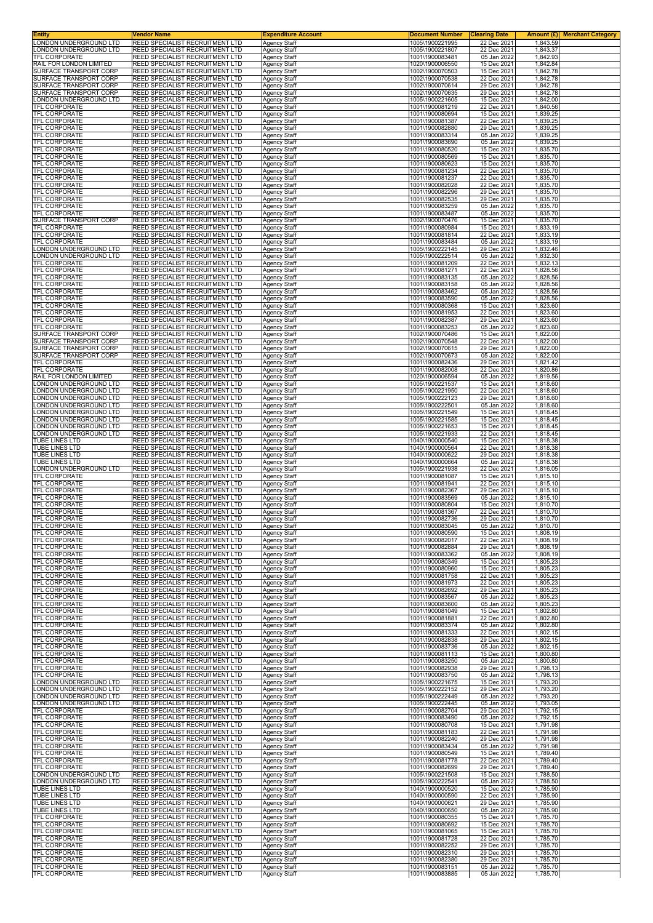| Entity<br>ONDON UNDERGROUND LTD                   | Vendor Name<br>REED SPECIALIST RECRUITMENT LTD                     | <b>Expenditure Account</b>                 | <b>Document Number</b><br>1005\1900221995 | <b>Clearing Date</b><br>22 Dec 2021 | <b>Amount (£)</b> Merchant Category<br>1,843.59 |
|---------------------------------------------------|--------------------------------------------------------------------|--------------------------------------------|-------------------------------------------|-------------------------------------|-------------------------------------------------|
| ONDON UNDERGROUND LTD.                            | REED SPECIALIST RECRUITMENT LTD                                    | <b>Agency Staff</b><br><b>Agency Staff</b> | 1005\1900221807                           | 22 Dec 2021                         | 1,843.37                                        |
| <b>TFL CORPORATE</b>                              | REED SPECIALIST RECRUITMENT LTD                                    | Agency Staff                               | 1001\1900083481                           | 05 Jan 2022                         | 1,842.93                                        |
| RAIL FOR LONDON LIMITED<br>SURFACE TRANSPORT CORP | REED SPECIALIST RECRUITMENT LTD<br>REED SPECIALIST RECRUITMENT LTD | <b>Agency Staff</b><br>Agency Staff        | 1020\1900006550<br>1002\1900070503        | 15 Dec 2021<br>15 Dec 2021          | 1,842.84<br>1,842.78                            |
| <b>SURFACE TRANSPORT CORP</b>                     | REED SPECIALIST RECRUITMENT LTD                                    | Agency Staff                               | 1002\1900070538                           | 22 Dec 2021                         | 1,842.78                                        |
| SURFACE TRANSPORT CORP<br>SURFACE TRANSPORT CORP  | REED SPECIALIST RECRUITMENT LTD<br>REED SPECIALIST RECRUITMENT LTD | <b>Agency Staff</b><br>Agency Staff        | 1002\1900070614<br>1002\1900070635        | 29 Dec 2021<br>29 Dec 2021          | 1,842.78<br>1,842.78                            |
| ONDON UNDERGROUND LTD                             | REED SPECIALIST RECRUITMENT LTD                                    | Agency Staff                               | 1005\1900221605                           | 15 Dec 2021<br>22 Dec 2021          | 1,842.00                                        |
| TFL CORPORATE<br>TFL CORPORATE                    | REED SPECIALIST RECRUITMENT LTD<br>REED SPECIALIST RECRUITMENT LTD | Agency Staff<br>Agency Staff               | 1001\1900081219<br>1001\1900080694        | 15 Dec 2021                         | 1,840.56<br>1,839.25                            |
| TFL CORPORATE                                     | REED SPECIALIST RECRUITMENT LTD                                    | <b>Agency Staff</b>                        | 1001\1900081387                           | 22 Dec 2021                         | 1,839.25                                        |
| TFL CORPORATE<br>TFL CORPORATE                    | REED SPECIALIST RECRUITMENT LTD<br>REED SPECIALIST RECRUITMENT LTD | <b>Agency Staff</b><br><b>Agency Staff</b> | 1001\1900082880<br>1001\1900083314        | 29 Dec 2021<br>05 Jan 2022          | 1,839.25<br>1,839.25                            |
| TFL CORPORATE                                     | REED SPECIALIST RECRUITMENT LTD                                    | <b>Agency Staff</b>                        | 1001\1900083690                           | 05 Jan 2022                         | 1,839.25                                        |
| TFL CORPORATE<br>TFL CORPORATE                    | REED SPECIALIST RECRUITMENT LTD<br>REED SPECIALIST RECRUITMENT LTD | Agency Staff<br><b>Agency Staff</b>        | 1001\1900080520<br>1001\1900080569        | 15 Dec 2021<br>15 Dec 2021          | 1,835.70<br>1,835.70                            |
| TFL CORPORATE                                     | REED SPECIALIST RECRUITMENT LTD                                    | Agency Staff                               | 1001\1900080623                           | 15 Dec 2021                         | 1,835.70                                        |
| TFL CORPORATE<br>TFL CORPORATE                    | REED SPECIALIST RECRUITMENT LTD<br>REED SPECIALIST RECRUITMENT LTD | <b>Agency Staff</b><br><b>Agency Staff</b> | 1001\1900081234<br>1001\1900081237        | 22 Dec 2021<br>22 Dec 2021          | 1,835.70<br>1,835.70                            |
| TFL CORPORATE                                     | REED SPECIALIST RECRUITMENT LTD                                    | <b>Agency Staff</b>                        | 1001\1900082028                           | 22 Dec 2021                         | 1,835.70                                        |
| TFL CORPORATE<br>TFL CORPORATE                    | REED SPECIALIST RECRUITMENT LTD<br>REED SPECIALIST RECRUITMENT LTD | Agency Staff<br><b>Agency Staff</b>        | 1001\1900082296<br>1001\1900082535        | 29 Dec 2021<br>29 Dec 2021          | 1,835.70<br>1,835.70                            |
| TFL CORPORATE                                     | REED SPECIALIST RECRUITMENT LTD                                    | Agency Staff                               | 1001\1900083259                           | 05 Jan 2022                         | 1,835.70                                        |
| TFL CORPORATE<br>SURFACE TRANSPORT CORP           | REED SPECIALIST RECRUITMENT LTD<br>REED SPECIALIST RECRUITMENT LTD | <b>Agency Staff</b><br><b>Agency Staff</b> | 1001\1900083487<br>1002\1900070476        | 05 Jan 2022<br>15 Dec 2021          | 1,835.70<br>1,835.70                            |
| TFL CORPORATE                                     | REED SPECIALIST RECRUITMENT LTD                                    | <b>Agency Staff</b>                        | 1001\1900080984                           | 15 Dec 2021                         | 1,833.19                                        |
| TFL CORPORATE<br><b>TFL CORPORATE</b>             | REED SPECIALIST RECRUITMENT LTD<br>REED SPECIALIST RECRUITMENT LTD | Agency Staff<br><b>Agency Staff</b>        | 1001\1900081814<br>1001\1900083484        | 22 Dec 2021<br>05 Jan 2022          | 1,833.19<br>1,833.19                            |
| ONDON UNDERGROUND LTD                             | REED SPECIALIST RECRUITMENT LTD                                    | Agency Staff                               | 1005\1900222145                           | 29 Dec 2021                         | 1,832.46                                        |
| ONDON UNDERGROUND LTD.<br>TFL CORPORATE           | REED SPECIALIST RECRUITMENT LTD<br>REED SPECIALIST RECRUITMENT LTD | <b>Agency Staff</b><br><b>Agency Staff</b> | 1005\1900222514<br>1001\1900081209        | 05 Jan 2022<br>22 Dec 2021          | 1,832.30<br>1,832.13                            |
| TFL CORPORATE                                     | REED SPECIALIST RECRUITMENT LTD                                    | <b>Agency Staff</b>                        | 1001\1900081271<br>1001\1900083135        | 22 Dec 2021                         | 1,828.56                                        |
| TFL CORPORATE<br>TFL CORPORATE                    | REED SPECIALIST RECRUITMENT LTD<br>REED SPECIALIST RECRUITMENT LTD | Agency Staff<br>Agency Staff               | 1001\1900083158                           | 05 Jan 2022<br>05 Jan 2022          | 1,828.56<br>1,828.56                            |
| <b>TFL CORPORATE</b>                              | REED SPECIALIST RECRUITMENT LTD                                    | Agency Staff                               | 1001\1900083462                           | 05 Jan 2022<br>05 Jan 2022          | 1,828.56                                        |
| TFL CORPORATE<br>TFL CORPORATE                    | REED SPECIALIST RECRUITMENT LTD<br>REED SPECIALIST RECRUITMENT LTD | <b>Agency Staff</b><br><b>Agency Staff</b> | 1001\1900083590<br>1001\1900080368        | 15 Dec 2021                         | 1,828.56<br>1,823.60                            |
| TFL CORPORATE<br><b>TFL CORPORATE</b>             | REED SPECIALIST RECRUITMENT LTD                                    | <b>Agency Staff</b>                        | 1001\1900081953                           | 22 Dec 2021                         | 1,823.60                                        |
| <b>TFL CORPORATE</b>                              | REED SPECIALIST RECRUITMENT LTD<br>REED SPECIALIST RECRUITMENT LTD | Agency Staff<br>Agency Staff               | 1001\1900082387<br>1001\1900083253        | 29 Dec 2021<br>05 Jan 2022          | 1,823.60<br>1,823.60                            |
| SURFACE TRANSPORT CORP<br>SURFACE TRANSPORT CORP  | REED SPECIALIST RECRUITMENT LTD<br>REED SPECIALIST RECRUITMENT LTD | <b>Agency Staff</b>                        | 1002\1900070486<br>1002\1900070548        | 15 Dec 2021<br>22 Dec 2021          | 1,822.00                                        |
| SURFACE TRANSPORT CORP                            | REED SPECIALIST RECRUITMENT LTD                                    | Agency Staff<br><b>Agency Staff</b>        | 1002\1900070615                           | 29 Dec 2021                         | 1,822.00<br>1,822.00                            |
| SURFACE TRANSPORT CORP<br>TFL CORPORATE           | REED SPECIALIST RECRUITMENT LTD<br>REED SPECIALIST RECRUITMENT LTD | <b>Agency Staff</b><br>Agency Staff        | 1002\1900070673<br>1001\1900082436        | 05 Jan 2022<br>29 Dec 2021          | 1,822.00<br>1,821.42                            |
| TFL CORPORATE                                     | REED SPECIALIST RECRUITMENT LTD                                    | Agency Staff                               | 1001\1900082008                           | 22 Dec 2021                         | 1,820.86                                        |
| RAIL FOR LONDON LIMITED<br>ONDON UNDERGROUND LTD. | REED SPECIALIST RECRUITMENT LTD<br>REED SPECIALIST RECRUITMENT LTD | <b>Agency Staff</b><br>Agency Staff        | 1020\1900006594<br>1005\1900221537        | 05 Jan 2022<br>15 Dec 2021          | 1,819.56<br>1,818.60                            |
| ONDON UNDERGROUND LTD                             | REED SPECIALIST RECRUITMENT LTD                                    | <b>Agency Staff</b>                        | 1005\1900221950                           | 22 Dec 2021                         | 1,818.60                                        |
| ONDON UNDERGROUND LTD.<br>ONDON UNDERGROUND LTD.  | REED SPECIALIST RECRUITMENT LTD<br>REED SPECIALIST RECRUITMENT LTD | <b>Agency Staff</b><br><b>Agency Staff</b> | 1005\1900222123<br>1005\1900222501        | 29 Dec 2021<br>05 Jan 2022          | 1,818.60<br>1,818.60                            |
| ONDON UNDERGROUND LTD                             | REED SPECIALIST RECRUITMENT LTD                                    | <b>Agency Staff</b>                        | 1005\1900221549                           | 15 Dec 2021                         | 1,818.45                                        |
| ONDON UNDERGROUND LTD<br>ONDON UNDERGROUND LTD.   | REED SPECIALIST RECRUITMENT LTD<br>REED SPECIALIST RECRUITMENT LTD | <b>Agency Staff</b><br>Agency Staff        | 1005\1900221585<br>1005\1900221653        | 15 Dec 2021<br>15 Dec 2021          | 1,818.45<br>1,818.45                            |
| ONDON UNDERGROUND LTD<br><b>TUBE LINES LTD</b>    | REED SPECIALIST RECRUITMENT LTD<br>REED SPECIALIST RECRUITMENT LTD | <b>Agency Staff</b>                        | 1005\1900221933<br>1040\1900000540        | 22 Dec 2021                         | 1,818.45<br>1,818.38                            |
| TUBE LINES LTD                                    | REED SPECIALIST RECRUITMENT LTD                                    | <b>Agency Staff</b><br><b>Agency Staff</b> | 1040\1900000564                           | 15 Dec 2021<br>22 Dec 2021          | 1,818.38                                        |
| TUBE LINES LTD<br><b>TUBE LINES LTD</b>           | REED SPECIALIST RECRUITMENT LTD<br>REED SPECIALIST RECRUITMENT LTD | Agency Staff<br>Agency Staff               | 1040\1900000622<br>1040\1900000664        | 29 Dec 2021<br>05 Jan 2022          | 1,818.38<br>1,818.38                            |
| ONDON UNDERGROUND LTD                             | REED SPECIALIST RECRUITMENT LTD                                    | Agency Staff                               | 1005\1900221938                           | 22 Dec 2021                         | 1,816.05                                        |
| TFL CORPORATE<br>TFL CORPORATE                    | REED SPECIALIST RECRUITMENT LTD<br>REED SPECIALIST RECRUITMENT LTD | <b>Agency Staff</b><br><b>Agency Staff</b> | 1001\1900081087<br>1001\1900081941        | 15 Dec 2021<br>22 Dec 2021          | 1,815.10<br>1,815.10                            |
| <b>TFL CORPORATE</b><br><b>TFL CORPORATE</b>      | REED SPECIALIST RECRUITMENT LTD<br>REED SPECIALIST RECRUITMENT LTD | <b>Agency Staff</b><br>Agency Staff        | 1001\1900082367<br>1001\1900083569        | 29 Dec 2021<br>05 Jan 2022          | 1,815.10<br>1,815.10                            |
| TFL CORPORATE                                     | REED SPECIALIST RECRUITMENT LTD                                    | Agency Staff                               | 1001\1900080804                           | 15 Dec 2021                         | 1,810.70                                        |
| TFL CORPORATE<br><b>TFL CORPORATE</b>             | REED SPECIALIST RECRUITMENT LTD<br>REED SPECIALIST RECRUITMENT LTD | <b>Agency Staff</b><br><b>Agency Staff</b> | 1001\1900081367<br>1001\1900082736        | 22 Dec 2021<br>29 Dec 2021          | 1,810.70<br>1,810.70                            |
| TFL CORPORATE                                     | REED SPECIALIST RECRUITMENT LTD                                    | Agency Staff                               | 1001\1900083045                           | 05 Jan 2022                         | 1.810.70                                        |
| TFL CORPORATE<br>TFL CORPORATE                    | REED SPECIALIST RECRUITMENT LTD<br>REED SPECIALIST RECRUITMENT LTD | <b>Agency Staff</b><br><b>Agency Staff</b> | 1001\1900080590<br>1001\1900082017        | 15 Dec 2021<br>22 Dec 2021          | 1,808.19<br>1,808.19                            |
| TFL CORPORATE<br>TFL CORPORATE                    | REED SPECIALIST RECRUITMENT LTD<br>REED SPECIALIST RECRUITMENT LTD | Agency Staff<br>Agency Staff               | 1001\1900082884<br>1001\1900083362        | 29 Dec 2021<br>05 Jan 2022          | 1,808.19<br>1,808.19                            |
| <b>TFL CORPORATE</b>                              | REED SPECIALIST RECRUITMENT LTD                                    | <b>Agency Staff</b>                        | 1001\1900080349                           | 15 Dec 2021                         | 1,805.23                                        |
| <b>TFL CORPORATE</b><br>TFL CORPORATE             | REED SPECIALIST RECRUITMENT LTD<br>REED SPECIALIST RECRUITMENT LTD | <b>Agency Staff</b><br><b>Agency Staff</b> | 1001\1900080960<br>1001\1900081758        | 15 Dec 2021<br>22 Dec 2021          | 1,805.23<br>1,805.23                            |
| TFL CORPORATE                                     | REED SPECIALIST RECRUITMENT LTD                                    | <b>Agency Staff</b>                        | 1001\1900081973                           | 22 Dec 2021                         | 1,805.23                                        |
| TFL CORPORATE<br>TFL CORPORATE                    | REED SPECIALIST RECRUITMENT LTD<br>REED SPECIALIST RECRUITMENT LTD | <b>Agency Staff</b><br><b>Agency Staff</b> | 1001\1900082692<br>1001\1900083567        | 29 Dec 2021<br>05 Jan 2022          | 1,805.23<br>1,805.23                            |
| TFL CORPORATE                                     | REED SPECIALIST RECRUITMENT LTD                                    | Agency Staff                               | 1001\1900083600                           | 05 Jan 2022                         | 1,805.23                                        |
| TFL CORPORATE<br>TFL CORPORATE                    | REED SPECIALIST RECRUITMENT LTD<br>REED SPECIALIST RECRUITMENT LTD | <b>Agency Staff</b><br><b>Agency Staff</b> | 1001\1900081049<br>1001\1900081881        | 15 Dec 2021<br>22 Dec 2021          | 1,802.80<br>1,802.80                            |
| TFL CORPORATE<br>TFL CORPORATE                    | REED SPECIALIST RECRUITMENT LTD<br>REED SPECIALIST RECRUITMENT LTD | <b>Agency Staff</b>                        | 1001\1900083374<br>1001\1900081333        | 05 Jan 2022<br>22 Dec 2021          | 1,802.80<br>1,802.15                            |
| <b>TFL CORPORATE</b>                              | REED SPECIALIST RECRUITMENT LTD                                    | Agency Staff<br><b>Agency Staff</b>        | 1001\1900082838                           | 29 Dec 2021                         | 1,802.15                                        |
| TFL CORPORATE<br>TFL CORPORATE                    | REED SPECIALIST RECRUITMENT LTD<br>REED SPECIALIST RECRUITMENT LTD | <b>Agency Staff</b><br><b>Agency Staff</b> | 1001\1900083736<br>1001\1900081113        | 05 Jan 2022<br>15 Dec 2021          | 1,802.15<br>1,800.80                            |
| TFL CORPORATE                                     | REED SPECIALIST RECRUITMENT LTD                                    | <b>Agency Staff</b>                        | 1001\1900083250                           | 05 Jan 2022                         | 1,800.80                                        |
| TFL CORPORATE<br><b>TFL CORPORATE</b>             | REED SPECIALIST RECRUITMENT LTD<br>REED SPECIALIST RECRUITMENT LTD | <b>Agency Staff</b><br>Agency Staff        | 1001\1900082938<br>1001\1900083750        | 29 Dec 2021<br>05 Jan 2022          | 1,798.13<br>1,798.13                            |
| LONDON UNDERGROUND LTD                            | REED SPECIALIST RECRUITMENT LTD                                    | Agency Staff                               | 1005\1900221675                           | 15 Dec 2021                         | 1,793.20                                        |
| ONDON UNDERGROUND LTD<br>ONDON UNDERGROUND LTD    | REED SPECIALIST RECRUITMENT LTD<br>REED SPECIALIST RECRUITMENT LTD | Agency Staff<br>Agency Staff               | 1005\1900222152<br>1005\1900222449        | 29 Dec 2021<br>05 Jan 2022          | 1,793.20<br>1,793.20                            |
| ONDON UNDERGROUND LTD                             | REED SPECIALIST RECRUITMENT LTD                                    | <b>Agency Staff</b>                        | 1005\1900222445                           | 05 Jan 2022                         | 1,793.05                                        |
| TFL CORPORATE<br>TFL CORPORATE                    | REED SPECIALIST RECRUITMENT LTD<br>REED SPECIALIST RECRUITMENT LTD | <b>Agency Staff</b><br>Agency Staff        | 1001\1900082704<br>1001\1900083490        | 29 Dec 2021<br>05 Jan 2022          | 1,792.15<br>1,792.15                            |
| TFL CORPORATE                                     | REED SPECIALIST RECRUITMENT LTD                                    | Agency Staff                               | 1001\1900080708                           | 15 Dec 2021<br>22 Dec 2021          | 1,791.98                                        |
| TFL CORPORATE<br>TFL CORPORATE                    | REED SPECIALIST RECRUITMENT LTD<br>REED SPECIALIST RECRUITMENT LTD | Agency Staff<br><b>Agency Staff</b>        | 1001\1900081183<br>1001\1900082240        | 29 Dec 2021                         | 1,791.98<br>1,791.98                            |
| TFL CORPORATE<br>TFL CORPORATE                    | REED SPECIALIST RECRUITMENT LTD<br>REED SPECIALIST RECRUITMENT LTD | <b>Agency Staff</b><br><b>Agency Staff</b> | 1001\1900083434<br>1001\1900080549        | 05 Jan 2022<br>15 Dec 2021          | 1,791.98<br>1,789.40                            |
| TFL CORPORATE                                     | REED SPECIALIST RECRUITMENT LTD                                    | Agency Staff                               | 1001\1900081778                           | 22 Dec 2021                         | 1,789.40                                        |
| TFL CORPORATE<br>ONDON UNDERGROUND LTD            | REED SPECIALIST RECRUITMENT LTD<br>REED SPECIALIST RECRUITMENT LTD | Agency Staff<br><b>Agency Staff</b>        | 1001\1900082699<br>1005\1900221508        | 29 Dec 2021<br>15 Dec 2021          | 1,789.40<br>1,788.50                            |
| ONDON UNDERGROUND LTD                             | REED SPECIALIST RECRUITMENT LTD                                    | Agency Staff                               | 1005\1900222541                           | 05 Jan 2022                         | 1,788.50                                        |
| TUBE LINES LTD<br><b>TUBE LINES LTD</b>           | REED SPECIALIST RECRUITMENT LTD<br>REED SPECIALIST RECRUITMENT LTD | <b>Agency Staff</b><br><b>Agency Staff</b> | 1040\1900000520<br>1040\1900000590        | 15 Dec 2021<br>22 Dec 2021          | 1,785.90<br>1,785.90                            |
| <b>TUBE LINES LTD</b>                             | REED SPECIALIST RECRUITMENT LTD                                    | <b>Agency Staff</b>                        | 1040\1900000621                           | 29 Dec 2021                         | 1,785.90                                        |
| TUBE LINES LTD<br>TFL CORPORATE                   | REED SPECIALIST RECRUITMENT LTD<br>REED SPECIALIST RECRUITMENT LTD | Agency Staff<br><b>Agency Staff</b>        | 1040\1900000650<br>1001\1900080355        | 05 Jan 2022<br>15 Dec 2021          | 1,785.90<br>1,785.70                            |
| TFL CORPORATE<br>TFL CORPORATE                    | REED SPECIALIST RECRUITMENT LTD<br>REED SPECIALIST RECRUITMENT LTD | Agency Staff<br>Agency Staff               | 1001\1900080692<br>1001\1900081065        | 15 Dec 2021<br>15 Dec 2021          | 1,785.70<br>1,785.70                            |
| TFL CORPORATE                                     | REED SPECIALIST RECRUITMENT LTD                                    | <b>Agency Staff</b>                        | 1001\1900081728                           | 22 Dec 2021                         | 1,785.70                                        |
| TFL CORPORATE<br>TFL CORPORATE                    | REED SPECIALIST RECRUITMENT LTD<br>REED SPECIALIST RECRUITMENT LTD | <b>Agency Staff</b><br><b>Agency Staff</b> | 1001\1900082252<br>1001\1900082310        | 29 Dec 2021<br>29 Dec 2021          | 1,785.70<br>1,785.70                            |
| TFL CORPORATE                                     | REED SPECIALIST RECRUITMENT LTD                                    | <b>Agency Staff</b>                        | 1001\1900082380                           | 29 Dec 2021                         | 1,785.70                                        |
| TFL CORPORATE<br>TFL CORPORATE                    | REED SPECIALIST RECRUITMENT LTD<br>REED SPECIALIST RECRUITMENT LTD | Agency Staff<br>Agency Staff               | 1001\1900083151<br>1001\1900083885        | 05 Jan 2022<br>05 Jan 2022          | 1,785.70<br>1,785.70                            |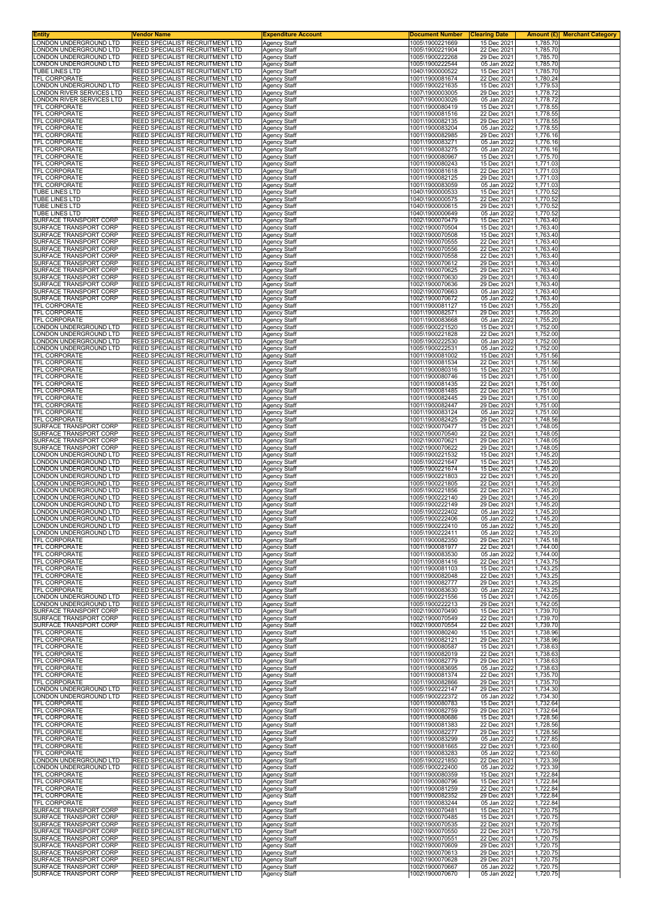| Entity<br>ONDON UNDERGROUND LTD                       | Vendor Name<br>REED SPECIALIST RECRUITMENT LTD                     | <b>Expenditure Account</b>                 | <b>Document Number</b><br>1005\1900221669 | <b>Clearing Date</b><br>15 Dec 2021 | Amount $(E)$<br><b>Merchant Category</b><br>1,785.70 |
|-------------------------------------------------------|--------------------------------------------------------------------|--------------------------------------------|-------------------------------------------|-------------------------------------|------------------------------------------------------|
| ONDON UNDERGROUND LTD.                                | REED SPECIALIST RECRUITMENT LTD                                    | <b>Agency Staff</b><br><b>Agency Staff</b> | 1005\1900221904                           | 22 Dec 2021                         | 1,785.70                                             |
| ONDON UNDERGROUND LTD                                 | REED SPECIALIST RECRUITMENT LTD                                    | Agency Staff                               | 1005\1900222268                           | 29 Dec 2021                         | 1,785.70                                             |
| ONDON UNDERGROUND LTD<br>TUBE LINES LTD               | REED SPECIALIST RECRUITMENT LTD<br>REED SPECIALIST RECRUITMENT LTD | <b>Agency Staff</b><br>Agency Staff        | 1005\1900222544<br>1040\1900000522        | 05 Jan 2022<br>15 Dec 2021          | 1,785.70<br>1,785.70                                 |
| TFL CORPORATE                                         | REED SPECIALIST RECRUITMENT LTD                                    | Agency Staff                               | 1001\1900081674                           | 22 Dec 2021                         | 1,780.24                                             |
| ONDON UNDERGROUND LTD                                 | REED SPECIALIST RECRUITMENT LTD<br>REED SPECIALIST RECRUITMENT LTD | <b>Agency Staff</b>                        | 1005\1900221635                           | 15 Dec 2021<br>29 Dec 2021          | 1,779.53                                             |
| ONDON RIVER SERVICES LTD.<br>ONDON RIVER SERVICES LTD | REED SPECIALIST RECRUITMENT LTD                                    | Agency Staff<br>Agency Staff               | 1007\1900003005<br>1007\1900003026        | 05 Jan 2022                         | 1,778.72<br>1,778.72                                 |
| TFL CORPORATE                                         | REED SPECIALIST RECRUITMENT LTD                                    | Agency Staff                               | 1001\1900080419                           | 15 Dec 2021                         | 1,778.55                                             |
| TFL CORPORATE<br>TFL CORPORATE                        | REED SPECIALIST RECRUITMENT LTD<br>REED SPECIALIST RECRUITMENT LTD | Agency Staff<br><b>Agency Staff</b>        | 1001\1900081516<br>1001\1900082135        | 22 Dec 2021<br>29 Dec 2021          | 1,778.55<br>1,778.55                                 |
| TFL CORPORATE                                         | REED SPECIALIST RECRUITMENT LTD                                    | <b>Agency Staff</b>                        | 1001\1900083204                           | 05 Jan 2022                         | 1,778.55                                             |
| TFL CORPORATE<br>TFL CORPORATE                        | REED SPECIALIST RECRUITMENT LTD<br>REED SPECIALIST RECRUITMENT LTD | <b>Agency Staff</b><br><b>Agency Staff</b> | 1001\1900082985<br>1001\1900083271        | 29 Dec 2021<br>05 Jan 2022          | 1,776.16<br>1,776.16                                 |
| <b>TFL CORPORATE</b>                                  | REED SPECIALIST RECRUITMENT LTD                                    | Agency Staff                               | 1001\1900083275                           | 05 Jan 2022                         | 1,776.16                                             |
| TFL CORPORATE                                         | REED SPECIALIST RECRUITMENT LTD                                    | <b>Agency Staff</b>                        | 1001\1900080967                           | 15 Dec 2021                         | 1,775.70                                             |
| TFL CORPORATE<br>TFL CORPORATE                        | REED SPECIALIST RECRUITMENT LTD<br>REED SPECIALIST RECRUITMENT LTD | Agency Staff<br><b>Agency Staff</b>        | 1001\1900080243<br>1001\1900081618        | 15 Dec 2021<br>22 Dec 2021          | 1,771.03<br>1,771.03                                 |
| TFL CORPORATE                                         | REED SPECIALIST RECRUITMENT LTD                                    | <b>Agency Staff</b>                        | 1001\1900082125                           | 29 Dec 2021                         | 1,771.03                                             |
| TFL CORPORATE<br>TUBE LINES LTD                       | REED SPECIALIST RECRUITMENT LTD<br>REED SPECIALIST RECRUITMENT LTD | <b>Agency Staff</b><br>Agency Staff        | 1001\1900083059<br>1040\1900000533        | 05 Jan 2022<br>15 Dec 2021          | 1,771.03<br>1,770.52                                 |
| TUBE LINES LTD                                        | REED SPECIALIST RECRUITMENT LTD                                    | <b>Agency Staff</b>                        | 1040\1900000575                           | 22 Dec 2021                         | 1,770.52                                             |
| TUBE LINES LTD<br>TUBE LINES LTD                      | REED SPECIALIST RECRUITMENT LTD<br>REED SPECIALIST RECRUITMENT LTD | <b>Agency Staff</b><br><b>Agency Staff</b> | 1040\1900000615<br>1040\1900000649        | 29 Dec 2021<br>05 Jan 2022          | 1,770.52<br>1,770.52                                 |
| SURFACE TRANSPORT CORP                                | REED SPECIALIST RECRUITMENT LTD                                    | <b>Agency Staff</b>                        | 1002\1900070479                           | 15 Dec 2021                         | 1,763.40                                             |
| SURFACE TRANSPORT CORP                                | REED SPECIALIST RECRUITMENT LTD                                    | <b>Agency Staff</b>                        | 1002\1900070504                           | 15 Dec 2021                         | 1,763.40                                             |
| SURFACE TRANSPORT CORP<br>SURFACE TRANSPORT CORP      | REED SPECIALIST RECRUITMENT LTD<br>REED SPECIALIST RECRUITMENT LTD | Agency Staff<br><b>Agency Staff</b>        | 1002\1900070508<br>1002\1900070555        | 15 Dec 2021<br>22 Dec 2021          | 1,763.40<br>1,763.40                                 |
| SURFACE TRANSPORT CORP                                | REED SPECIALIST RECRUITMENT LTD                                    | Agency Staff                               | 1002\1900070556                           | 22 Dec 2021                         | 1,763.40                                             |
| SURFACE TRANSPORT CORP<br>SURFACE TRANSPORT CORP      | REED SPECIALIST RECRUITMENT LTD<br>REED SPECIALIST RECRUITMENT LTD | <b>Agency Staff</b><br><b>Agency Staff</b> | 1002\1900070558<br>1002\1900070612        | 22 Dec 2021<br>29 Dec 2021          | 1,763.40<br>1,763.40                                 |
| SURFACE TRANSPORT CORP                                | REED SPECIALIST RECRUITMENT LTD                                    | <b>Agency Staff</b>                        | 1002\1900070625                           | 29 Dec 2021                         | 1.763.40                                             |
| SURFACE TRANSPORT CORP                                | REED SPECIALIST RECRUITMENT LTD                                    | Agency Staff                               | 1002\1900070630                           | 29 Dec 2021                         | 1,763.40                                             |
| SURFACE TRANSPORT CORP<br>SURFACE TRANSPORT CORP      | REED SPECIALIST RECRUITMENT LTD<br>REED SPECIALIST RECRUITMENT LTD | Agency Staff<br><b>Agency Staff</b>        | 1002\1900070636<br>1002\1900070663        | 29 Dec 2021<br>05 Jan 2022          | 1,763.40<br>1,763.40                                 |
| SURFACE TRANSPORT CORP                                | REED SPECIALIST RECRUITMENT LTD                                    | <b>Agency Staff</b>                        | 1002\1900070672                           | 05 Jan 2022                         | 1,763.40                                             |
| TFL CORPORATE<br>TFL CORPORATE                        | REED SPECIALIST RECRUITMENT LTD<br>REED SPECIALIST RECRUITMENT LTD | <b>Agency Staff</b><br><b>Agency Staff</b> | 1001\1900081127<br>1001\1900082571        | 15 Dec 2021<br>29 Dec 2021          | 1,755.20<br>1,755.20                                 |
| TFL CORPORATE                                         | REED SPECIALIST RECRUITMENT LTD                                    | Agency Staff                               | 1001\1900083668                           | 05 Jan 2022                         | 1,755.20                                             |
| ONDON UNDERGROUND LTD                                 | REED SPECIALIST RECRUITMENT LTD                                    | Agency Staff                               | 1005\1900221520                           | 15 Dec 2021                         | 1,752.00                                             |
| ONDON UNDERGROUND LTD<br>ONDON UNDERGROUND LTD        | REED SPECIALIST RECRUITMENT LTD<br>REED SPECIALIST RECRUITMENT LTD | <b>Agency Staff</b><br>Agency Staff        | 1005\1900221828<br>1005\1900222530        | 22 Dec 2021<br>05 Jan 2022          | 1,752.00<br>1,752.00                                 |
| ONDON UNDERGROUND LTD                                 | REED SPECIALIST RECRUITMENT LTD                                    | <b>Agency Staff</b>                        | 1005\1900222531                           | 05 Jan 2022                         | 1,752.00                                             |
| TFL CORPORATE<br>TFL CORPORATE                        | REED SPECIALIST RECRUITMENT LTD<br>REED SPECIALIST RECRUITMENT LTD | <b>Agency Staff</b>                        | 1001\1900081002<br>1001\1900081534        | 15 Dec 2021<br>22 Dec 2021          | 1,751.56<br>1,751.56                                 |
| TFL CORPORATE                                         | REED SPECIALIST RECRUITMENT LTD                                    | Agency Staff<br><b>Agency Staff</b>        | 1001\1900080316                           | 15 Dec 2021                         | 1,751.00                                             |
| TFL CORPORATE                                         | REED SPECIALIST RECRUITMENT LTD                                    | <b>Agency Staff</b>                        | 1001\1900080746                           | 15 Dec 2021                         | 1,751.00                                             |
| TFL CORPORATE<br>TFL CORPORATE                        | REED SPECIALIST RECRUITMENT LTD<br>REED SPECIALIST RECRUITMENT LTD | Agency Staff<br><b>Agency Staff</b>        | 1001\1900081435<br>1001\1900081485        | 22 Dec 2021<br>22 Dec 2021          | 1,751.00<br>1,751.00                                 |
| TFL CORPORATE                                         | REED SPECIALIST RECRUITMENT LTD                                    | <b>Agency Staff</b>                        | 1001\1900082445                           | 29 Dec 2021                         | 1,751.00                                             |
| TFL CORPORATE<br>TFL CORPORATE                        | REED SPECIALIST RECRUITMENT LTD<br>REED SPECIALIST RECRUITMENT LTD | <b>Agency Staff</b>                        | 1001\1900082447<br>1001\1900083124        | 29 Dec 2021<br>05 Jan 2022          | 1,751.00<br>1,751.00                                 |
| TFL CORPORATE                                         | REED SPECIALIST RECRUITMENT LTD                                    | <b>Agency Staff</b><br><b>Agency Staff</b> | 1001\1900082425                           | 29 Dec 2021                         | 1,748.56                                             |
| SURFACE TRANSPORT CORP                                | REED SPECIALIST RECRUITMENT LTD                                    | Agency Staff                               | 1002\1900070477                           | 15 Dec 2021                         | 1,748.05                                             |
| SURFACE TRANSPORT CORP<br>SURFACE TRANSPORT CORP      | REED SPECIALIST RECRUITMENT LTD<br>REED SPECIALIST RECRUITMENT LTD | <b>Agency Staff</b><br><b>Agency Staff</b> | 1002\1900070540<br>1002\1900070621        | 22 Dec 2021<br>29 Dec 2021          | 1,748.05<br>1,748.05                                 |
| SURFACE TRANSPORT CORP                                | REED SPECIALIST RECRUITMENT LTD                                    | <b>Agency Staff</b>                        | 1002\1900070622                           | 29 Dec 2021                         | 1,748.05                                             |
| ONDON UNDERGROUND LTD<br>ONDON UNDERGROUND LTD        | REED SPECIALIST RECRUITMENT LTD<br>REED SPECIALIST RECRUITMENT LTD | Agency Staff<br>Agency Staff               | 1005\1900221532<br>1005\1900221647        | 15 Dec 2021<br>15 Dec 2021          | 1,745.20<br>1,745.20                                 |
| ONDON UNDERGROUND LTD                                 | REED SPECIALIST RECRUITMENT LTD                                    | Agency Staff                               | 1005\1900221674                           | 15 Dec 2021                         | 1,745.20                                             |
| ONDON UNDERGROUND LTD.                                | REED SPECIALIST RECRUITMENT LTD                                    | <b>Agency Staff</b>                        | 1005\1900221803                           | 22 Dec 2021                         | 1,745.20                                             |
| ONDON UNDERGROUND LTD<br>ONDON UNDERGROUND LTD        | REED SPECIALIST RECRUITMENT LTD<br>REED SPECIALIST RECRUITMENT LTD | <b>Agency Staff</b><br><b>Agency Staff</b> | 1005\1900221805<br>1005\1900221856        | 22 Dec 2021<br>22 Dec 2021          | 1,745.20<br>1,745.20                                 |
| ONDON UNDERGROUND LTD                                 | REED SPECIALIST RECRUITMENT LTD                                    | Agency Staff                               | 1005\1900222140                           | 29 Dec 2021                         | 1,745.20                                             |
| ONDON UNDERGROUND LTD<br>ONDON UNDERGROUND LTD.       | REED SPECIALIST RECRUITMENT LTD<br>REED SPECIALIST RECRUITMENT LTD | Agency Staff<br>Agency Staff               | 1005\1900222149<br>1005\1900222402        | 29 Dec 2021<br>05 Jan 2022          | 1,745.20<br>1,745.20                                 |
| ONDON UNDERGROUND LTD                                 | REED SPECIALIST RECRUITMENT LTD                                    | <b>Agency Staff</b>                        | 1005\1900222406                           | 05 Jan 2022                         | 1,745.20                                             |
| LONDON UNDERGROUND LTD<br>ONDON UNDERGROUND LTD       | REED SPECIALIST RECRUITMENT LTD<br>REED SPECIALIST RECRUITMENT LTD | Agency Staff<br><b>Agency Staff</b>        | 1005\1900222410<br>1005\1900222411        | 05 Jan 2022<br>05 Jan 2022          | 1,745.20<br>1,745.20                                 |
| <b>TFL CORPORATE</b>                                  | REED SPECIALIST RECRUITMENT LTD                                    | <b>Agency Staff</b>                        | 1001\1900082350                           | 29 Dec 2021                         | 1,745.18                                             |
| TFL CORPORATE                                         | REED SPECIALIST RECRUITMENT LTD                                    | Agency Staff                               | 1001\1900081977                           | 22 Dec 2021                         | 1,744.00                                             |
| <b>TFL CORPORATE</b><br>TFL CORPORATE                 | REED SPECIALIST RECRUITMENT LTD<br>REED SPECIALIST RECRUITMENT LTD | Agency Staff<br><b>Agency Staff</b>        | 1001\1900083530<br>1001\1900081416        | 05 Jan 2022<br>22 Dec 2021          | 1,744.00<br>1,743.75                                 |
| <b>TFL CORPORATE</b>                                  | REED SPECIALIST RECRUITMENT LTD                                    | <b>Agency Staff</b>                        | 1001\1900081103                           | 15 Dec 2021                         | 1,743.25                                             |
| TFL CORPORATE<br>TFL CORPORATE                        | REED SPECIALIST RECRUITMENT LTD<br>REED SPECIALIST RECRUITMENT LTD | <b>Agency Staff</b><br><b>Agency Staff</b> | 1001\1900082048<br>1001\1900082777        | 22 Dec 2021<br>29 Dec 2021          | 1,743.25<br>1,743.25                                 |
| <b>TFL CORPORATE</b>                                  | REED SPECIALIST RECRUITMENT LTD                                    | <b>Agency Staff</b>                        | 1001\1900083630                           | 05 Jan 2022                         | 1,743.25                                             |
| ONDON UNDERGROUND LTD                                 | REED SPECIALIST RECRUITMENT LTD                                    | <b>Agency Staff</b>                        | 1005\1900221556                           | 15 Dec 2021                         | 1,742.05                                             |
| ONDON UNDERGROUND LTD<br>SURFACE TRANSPORT CORP       | REED SPECIALIST RECRUITMENT LTD<br>REED SPECIALIST RECRUITMENT LTD | Agency Staff<br><b>Agency Staff</b>        | 1005\1900222213<br>1002\1900070490        | 29 Dec 2021<br>15 Dec 2021          | 1,742.05<br>1,739.70                                 |
| SURFACE TRANSPORT CORP                                | REED SPECIALIST RECRUITMENT LTD                                    | <b>Agency Staff</b>                        | 1002\1900070549                           | 22 Dec 2021                         | 1,739.70                                             |
| SURFACE TRANSPORT CORP<br>TFL CORPORATE               | REED SPECIALIST RECRUITMENT LTD<br>REED SPECIALIST RECRUITMENT LTD | <b>Agency Staff</b><br>Agency Staff        | 1002\1900070554<br>1001\1900080240        | 22 Dec 2021<br>15 Dec 2021          | 1,739.70<br>1,738.96                                 |
| <b>TFL CORPORATE</b>                                  | REED SPECIALIST RECRUITMENT LTD                                    | Agency Staff                               | 1001\1900082121                           | 29 Dec 2021                         | 1,738.96                                             |
| TFL CORPORATE<br>TFL CORPORATE                        | REED SPECIALIST RECRUITMENT LTD<br>REED SPECIALIST RECRUITMENT LTD | Agency Staff<br><b>Agency Staff</b>        | 1001\1900080587<br>1001\1900082019        | 15 Dec 2021<br>22 Dec 2021          | 1,738.63<br>1,738.63                                 |
| TFL CORPORATE                                         | REED SPECIALIST RECRUITMENT LTD                                    | <b>Agency Staff</b>                        | 1001\1900082779                           | 29 Dec 2021                         | 1,738.63                                             |
| TFL CORPORATE                                         | REED SPECIALIST RECRUITMENT LTD                                    | <b>Agency Staff</b>                        | 1001\1900083695                           | 05 Jan 2022                         | 1,738.63                                             |
| TFL CORPORATE<br>TFL CORPORATE                        | REED SPECIALIST RECRUITMENT LTD<br>REED SPECIALIST RECRUITMENT LTD | Agency Staff<br>Agency Staff               | 1001\1900081374<br>1001\1900082866        | 22 Dec 2021<br>29 Dec 2021          | 1,735.70<br>1,735.70                                 |
| ONDON UNDERGROUND LTD                                 | REED SPECIALIST RECRUITMENT LTD                                    | <b>Agency Staff</b>                        | 1005\1900222147                           | 29 Dec 2021                         | 1,734.30                                             |
| ONDON UNDERGROUND LTD<br>TFL CORPORATE                | REED SPECIALIST RECRUITMENT LTD<br>REED SPECIALIST RECRUITMENT LTD | <b>Agency Staff</b><br>Agency Staff        | 1005\1900222372<br>1001\1900080783        | 05 Jan 2022<br>15 Dec 2021          | 1,734.30<br>1,732.64                                 |
| TFL CORPORATE                                         | REED SPECIALIST RECRUITMENT LTD                                    | <b>Agency Staff</b>                        | 1001\1900082759                           | 29 Dec 2021                         | 1,732.64                                             |
| TFL CORPORATE                                         | REED SPECIALIST RECRUITMENT LTD                                    | Agency Staff                               | 1001\1900080686                           | 15 Dec 2021                         | 1,728.56                                             |
| TFL CORPORATE<br>TFL CORPORATE                        | REED SPECIALIST RECRUITMENT LTD<br>REED SPECIALIST RECRUITMENT LTD | Agency Staff<br><b>Agency Staff</b>        | 1001\1900081383<br>1001\1900082277        | 22 Dec 2021<br>29 Dec 2021          | 1,728.56<br>1,728.56                                 |
| TFL CORPORATE                                         | REED SPECIALIST RECRUITMENT LTD                                    | Agency Staff                               | 1001\1900083299                           | 05 Jan 2022                         | 1,727.85                                             |
| TFL CORPORATE<br>TFL CORPORATE                        | REED SPECIALIST RECRUITMENT LTD<br>REED SPECIALIST RECRUITMENT LTD | <b>Agency Staff</b><br><b>Agency Staff</b> | 1001\1900081665<br>1001\1900083283        | 22 Dec 2021<br>05 Jan 2022          | 1,723.60<br>1,723.60                                 |
| LONDON UNDERGROUND LTD                                | REED SPECIALIST RECRUITMENT LTD                                    | Agency Staff                               | 1005\1900221850                           | 22 Dec 2021                         | 1,723.39                                             |
| ONDON UNDERGROUND LTD<br>TFL CORPORATE                | REED SPECIALIST RECRUITMENT LTD<br>REED SPECIALIST RECRUITMENT LTD | Agency Staff                               | 1005\1900222400<br>1001\1900080359        | 05 Jan 2022<br>15 Dec 2021          | 1,723.39<br>1,722.84                                 |
| TFL CORPORATE                                         | REED SPECIALIST RECRUITMENT LTD                                    | <b>Agency Staff</b><br>Agency Staff        | 1001\1900080796                           | 15 Dec 2021                         | 1,722.84                                             |
| TFL CORPORATE                                         | REED SPECIALIST RECRUITMENT LTD                                    | <b>Agency Staff</b>                        | 1001\1900081259                           | 22 Dec 2021                         | 1,722.84                                             |
| TFL CORPORATE<br>TFL CORPORATE                        | REED SPECIALIST RECRUITMENT LTD<br>REED SPECIALIST RECRUITMENT LTD | <b>Agency Staff</b><br><b>Agency Staff</b> | 1001\1900082352<br>1001\1900083244        | 29 Dec 2021<br>05 Jan 2022          | 1,722.84<br>1,722.84                                 |
| SURFACE TRANSPORT CORP                                | REED SPECIALIST RECRUITMENT LTD                                    | <b>Agency Staff</b>                        | 1002\1900070481                           | 15 Dec 2021                         | 1,720.75                                             |
| SURFACE TRANSPORT CORP<br>SURFACE TRANSPORT CORP      | REED SPECIALIST RECRUITMENT LTD<br>REED SPECIALIST RECRUITMENT LTD | <b>Agency Staff</b>                        | 1002\1900070485<br>1002\1900070535        | 15 Dec 2021<br>22 Dec 2021          | 1,720.75<br>1,720.75                                 |
| SURFACE TRANSPORT CORP                                | REED SPECIALIST RECRUITMENT LTD                                    | Agency Staff<br>Agency Staff               | 1002\1900070550                           | 22 Dec 2021                         | 1,720.75                                             |
| SURFACE TRANSPORT CORP                                | REED SPECIALIST RECRUITMENT LTD                                    | <b>Agency Staff</b>                        | 1002\1900070551                           | 22 Dec 2021                         | 1,720.75                                             |
| SURFACE TRANSPORT CORP<br>SURFACE TRANSPORT CORP      | REED SPECIALIST RECRUITMENT LTD<br>REED SPECIALIST RECRUITMENT LTD | <b>Agency Staff</b><br><b>Agency Staff</b> | 1002\1900070609<br>1002\1900070613        | 29 Dec 2021<br>29 Dec 2021          | 1,720.75<br>1,720.75                                 |
| SURFACE TRANSPORT CORP                                | REED SPECIALIST RECRUITMENT LTD                                    | <b>Agency Staff</b>                        | 1002\1900070628                           | 29 Dec 2021                         | 1,720.75                                             |
| SURFACE TRANSPORT CORP<br>SURFACE TRANSPORT CORP      | REED SPECIALIST RECRUITMENT LTD<br>REED SPECIALIST RECRUITMENT LTD | Agency Staff<br>Agency Staff               | 1002\1900070667<br>1002\1900070670        | 05 Jan 2022<br>05 Jan 2022          | 1,720.75<br>1,720.75                                 |
|                                                       |                                                                    |                                            |                                           |                                     |                                                      |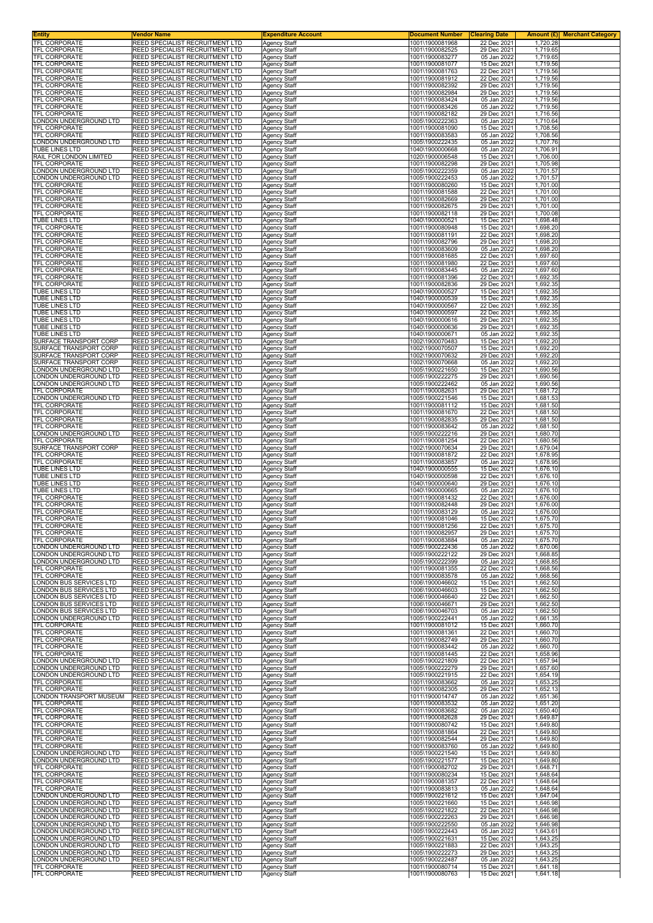| Entity<br>TFL CORPORATE                          | Vendor Name                                                        | <b>Expenditure Account</b>                 | <b>Document Number</b><br>1001\1900081968 | <b>Clearing Date</b>       | <b>Amount (£)</b> Merchant Category<br>1,720.28 |
|--------------------------------------------------|--------------------------------------------------------------------|--------------------------------------------|-------------------------------------------|----------------------------|-------------------------------------------------|
| <b>TFL CORPORATE</b>                             | REED SPECIALIST RECRUITMENT LTD<br>REED SPECIALIST RECRUITMENT LTD | Agency Staff<br><b>Agency Staff</b>        | 1001\1900082525                           | 22 Dec 2021<br>29 Dec 2021 | 1,719.65                                        |
| TFL CORPORATE<br><b>TFL CORPORATE</b>            | REED SPECIALIST RECRUITMENT LTD                                    | Agency Staff                               | 1001\1900083277                           | 05 Jan 2022                | 1,719.65                                        |
| TFL CORPORATE                                    | REED SPECIALIST RECRUITMENT LTD<br>REED SPECIALIST RECRUITMENT LTD | <b>Agency Staff</b><br>Agency Staff        | 1001\1900081077<br>1001\1900081763        | 15 Dec 2021<br>22 Dec 2021 | 1,719.56<br>1,719.56                            |
| TFL CORPORATE                                    | REED SPECIALIST RECRUITMENT LTD                                    | Agency Staff                               | 1001\1900081912                           | 22 Dec 2021                | 1,719.56                                        |
| <b>TFL CORPORATE</b><br><b>TFL CORPORATE</b>     | REED SPECIALIST RECRUITMENT LTD<br>REED SPECIALIST RECRUITMENT LTD | <b>Agency Staff</b><br>Agency Staff        | 1001\1900082392<br>1001\1900082984        | 29 Dec 2021<br>29 Dec 2021 | 1,719.56<br>1,719.56                            |
| TFL CORPORATE<br><b>TFL CORPORATE</b>            | REED SPECIALIST RECRUITMENT LTD<br>REED SPECIALIST RECRUITMENT LTD | Agency Staff                               | 1001\1900083424                           | 05 Jan 2022<br>05 Jan 2022 | 1,719.56                                        |
| TFL CORPORATE                                    | REED SPECIALIST RECRUITMENT LTD                                    | Agency Staff<br>Agency Staff               | 1001\1900083426<br>1001\1900082182        | 29 Dec 2021                | 1,719.56<br>1,716.56                            |
| ONDON UNDERGROUND LTD                            | REED SPECIALIST RECRUITMENT LTD                                    | <b>Agency Staff</b>                        | 1005\1900222363                           | 05 Jan 2022                | 1,710.64                                        |
| <b>TFL CORPORATE</b><br>TFL CORPORATE            | REED SPECIALIST RECRUITMENT LTD<br>REED SPECIALIST RECRUITMENT LTD | <b>Agency Staff</b><br><b>Agency Staff</b> | 1001\1900081090<br>1001\1900083583        | 15 Dec 2021<br>05 Jan 2022 | 1,708.56<br>1,708.56                            |
| ONDON UNDERGROUND LTD                            | REED SPECIALIST RECRUITMENT LTD                                    | Agency Staff                               | 1005\1900222435                           | 05 Jan 2022                | 1,707.76                                        |
| TUBE LINES LTD<br>RAIL FOR LONDON LIMITED        | REED SPECIALIST RECRUITMENT LTD<br>REED SPECIALIST RECRUITMENT LTD | Agency Staff<br><b>Agency Staff</b>        | 1040\1900000668<br>1020\1900006548        | 05 Jan 2022<br>15 Dec 2021 | 1,706.91<br>1,706.00                            |
| TFL CORPORATE<br>ONDON UNDERGROUND LTD           | REED SPECIALIST RECRUITMENT LTD<br>REED SPECIALIST RECRUITMENT LTD | Agency Staff<br><b>Agency Staff</b>        | 1001\1900082298<br>1005\1900222359        | 29 Dec 2021<br>05 Jan 2022 | 1,705.98<br>1,701.57                            |
| ONDON UNDERGROUND LTD.                           | REED SPECIALIST RECRUITMENT LTD                                    | <b>Agency Staff</b>                        | 1005\1900222453                           | 05 Jan 2022                | 1,701.57                                        |
| TFL CORPORATE<br><b>TFL CORPORATE</b>            | REED SPECIALIST RECRUITMENT LTD<br>REED SPECIALIST RECRUITMENT LTD | <b>Agency Staff</b>                        | 1001\1900080260<br>1001\1900081588        | 15 Dec 2021<br>22 Dec 2021 | 1,701.00<br>1,701.00                            |
| TFL CORPORATE                                    | REED SPECIALIST RECRUITMENT LTD                                    | Agency Staff<br><b>Agency Staff</b>        | 1001\1900082669                           | 29 Dec 2021                | 1,701.00                                        |
| TFL CORPORATE<br>TFL CORPORATE                   | REED SPECIALIST RECRUITMENT LTD<br>REED SPECIALIST RECRUITMENT LTD | Agency Staff<br><b>Agency Staff</b>        | 1001\1900082675<br>1001\1900082118        | 29 Dec 2021<br>29 Dec 2021 | 1,701.00<br>1,700.08                            |
| TUBE LINES LTD                                   | REED SPECIALIST RECRUITMENT LTD                                    | <b>Agency Staff</b>                        | 1040\1900000521                           | 15 Dec 2021                | 1,698.48                                        |
| TFL CORPORATE<br>TFL CORPORATE                   | REED SPECIALIST RECRUITMENT LTD<br>REED SPECIALIST RECRUITMENT LTD | <b>Agency Staff</b><br>Agency Staff        | 1001\1900080948<br>1001\1900081191        | 15 Dec 2021<br>22 Dec 2021 | 1,698.20<br>1,698.20                            |
| TFL CORPORATE                                    | REED SPECIALIST RECRUITMENT LTD                                    | <b>Agency Staff</b>                        | 1001\1900082796                           | 29 Dec 2021                | 1,698.20                                        |
| TFL CORPORATE<br>TFL CORPORATE                   | REED SPECIALIST RECRUITMENT LTD<br>REED SPECIALIST RECRUITMENT LTD | Agency Staff<br><b>Agency Staff</b>        | 1001\1900083609<br>1001\1900081685        | 05 Jan 2022<br>22 Dec 2021 | 1,698.20<br>1,697.60                            |
| TFL CORPORATE                                    | REED SPECIALIST RECRUITMENT LTD                                    | <b>Agency Staff</b>                        | 1001\1900081980                           | 22 Dec 2021                | 1,697.60                                        |
| TFL CORPORATE<br>TFL CORPORATE                   | REED SPECIALIST RECRUITMENT LTD<br>REED SPECIALIST RECRUITMENT LTD | <b>Agency Staff</b><br>Agency Staff        | 1001\1900083445<br>1001\1900081396        | 05 Jan 2022<br>22 Dec 2021 | 1.697.60<br>1,692.35                            |
| TFL CORPORATE                                    | REED SPECIALIST RECRUITMENT LTD                                    | Agency Staff                               | 1001\1900082836                           | 29 Dec 2021                | 1,692.35                                        |
| <b>TUBE LINES LTD</b><br><b>TUBE LINES LTD</b>   | REED SPECIALIST RECRUITMENT LTD<br>REED SPECIALIST RECRUITMENT LTD | Agency Staff<br><b>Agency Staff</b>        | 1040\1900000527<br>1040\1900000539        | 15 Dec 2021<br>15 Dec 2021 | 1,692.35<br>1,692.35                            |
| TUBE LINES LTD                                   | REED SPECIALIST RECRUITMENT LTD                                    | <b>Agency Staff</b>                        | 1040\1900000567                           | 22 Dec 2021                | 1,692.35                                        |
| <b>TUBE LINES LTD</b><br>TUBE LINES LTD          | REED SPECIALIST RECRUITMENT LTD<br>REED SPECIALIST RECRUITMENT LTD | <b>Agency Staff</b><br>Agency Staff        | 1040\1900000597<br>1040\1900000616        | 22 Dec 2021<br>29 Dec 2021 | 1.692.35<br>1,692.35                            |
| TUBE LINES LTD                                   | REED SPECIALIST RECRUITMENT LTD                                    | Agency Staff                               | 1040\1900000636                           | 29 Dec 2021                | 1,692.35                                        |
| TUBE LINES LTD<br>SURFACE TRANSPORT CORP         | REED SPECIALIST RECRUITMENT LTD<br>REED SPECIALIST RECRUITMENT LTD | <b>Agency Staff</b><br>Agency Staff        | 1040\1900000671<br>1002\1900070483        | 05 Jan 2022<br>15 Dec 2021 | 1,692.35<br>1,692.20                            |
| SURFACE TRANSPORT CORP                           | REED SPECIALIST RECRUITMENT LTD                                    | <b>Agency Staff</b>                        | 1002\1900070507                           | 15 Dec 2021                | 1,692.20                                        |
| SURFACE TRANSPORT CORP<br>SURFACE TRANSPORT CORP | REED SPECIALIST RECRUITMENT LTD<br>REED SPECIALIST RECRUITMENT LTD | <b>Agency Staff</b><br>Agency Staff        | 1002\1900070632<br>1002\1900070668        | 29 Dec 2021<br>05 Jan 2022 | 1,692.20<br>1,692.20                            |
| ONDON UNDERGROUND LTD<br>ONDON UNDERGROUND LTD   | REED SPECIALIST RECRUITMENT LTD<br>REED SPECIALIST RECRUITMENT LTD | Agency Staff<br>Agency Staff               | 1005\1900221650<br>1005\1900222275        | 15 Dec 2021<br>29 Dec 2021 | 1,690.56<br>1,690.56                            |
| ONDON UNDERGROUND LTD.                           | REED SPECIALIST RECRUITMENT LTD                                    | Agency Staff                               | 1005\1900222462                           | 05 Jan 2022                | 1,690.56                                        |
| <b>TFL CORPORATE</b><br>ONDON UNDERGROUND LTD    | REED SPECIALIST RECRUITMENT LTD<br>REED SPECIALIST RECRUITMENT LTD | <b>Agency Staff</b><br><b>Agency Staff</b> | 1001\1900082631<br>1005\1900221546        | 29 Dec 2021<br>15 Dec 2021 | 1,681.72<br>1,681.53                            |
| TFL CORPORATE                                    | REED SPECIALIST RECRUITMENT LTD                                    | <b>Agency Staff</b>                        | 1001\1900081112                           | 15 Dec 2021                | 1,681.50                                        |
| TFL CORPORATE<br>TFL CORPORATE                   | REED SPECIALIST RECRUITMENT LTD<br>REED SPECIALIST RECRUITMENT LTD | <b>Agency Staff</b><br><b>Agency Staff</b> | 1001\1900081670<br>1001\1900082835        | 22 Dec 2021<br>29 Dec 2021 | 1,681.50<br>1,681.50                            |
| TFL CORPORATE<br>ONDON UNDERGROUND LTD.          | REED SPECIALIST RECRUITMENT LTD<br>REED SPECIALIST RECRUITMENT LTD | Agency Staff<br><b>Agency Staff</b>        | 1001\1900083642<br>1005\1900222216        | 05 Jan 2022<br>29 Dec 2021 | 1,681.50<br>1,680.70                            |
| TFL CORPORATE                                    | REED SPECIALIST RECRUITMENT LTD                                    | <b>Agency Staff</b>                        | 1001\1900081254                           | 22 Dec 2021                | 1,680.56                                        |
| SURFACE TRANSPORT CORP<br>TFL CORPORATE          | REED SPECIALIST RECRUITMENT LTD<br>REED SPECIALIST RECRUITMENT LTD | <b>Agency Staff</b><br>Agency Staff        | 1002\1900070634<br>1001\1900081872        | 29 Dec 2021<br>22 Dec 2021 | 1,679.04<br>1,678.95                            |
| TFL CORPORATE                                    | REED SPECIALIST RECRUITMENT LTD                                    | Agency Staff                               | 1001\1900083857                           | 05 Jan 2022                | 1,678.95                                        |
| <b>TUBE LINES LTD</b><br>TUBE LINES LTD          | REED SPECIALIST RECRUITMENT LTD<br>REED SPECIALIST RECRUITMENT LTD | Agency Staff<br><b>Agency Staff</b>        | 1040\1900000555<br>1040\1900000598        | 15 Dec 2021<br>22 Dec 2021 | 1,676.10<br>1,676.10                            |
| TUBE LINES LTD<br>TUBE LINES LTD                 | REED SPECIALIST RECRUITMENT LTD<br>REED SPECIALIST RECRUITMENT LTD | <b>Agency Staff</b><br><b>Agency Staff</b> | 1040\1900000640<br>1040\1900000665        | 29 Dec 2021<br>05 Jan 2022 | 1,676.10<br>1,676.10                            |
| <b>TFL CORPORATE</b>                             | REED SPECIALIST RECRUITMENT LTD                                    | Agency Staff                               | 1001\1900081432                           | 22 Dec 2021                | 1,676.00                                        |
| TFL CORPORATE<br><b>TFL CORPORATE</b>            | REED SPECIALIST RECRUITMENT LTD<br>REED SPECIALIST RECRUITMENT LTD | Agency Staff<br>Agency Staff               | 1001\1900082448<br>1001\1900083129        | 29 Dec 2021<br>05 Jan 2022 | 1,676.00<br>1,676.00                            |
| <b>TFL CORPORATE</b><br>TFL CORPORATE            | REED SPECIALIST RECRUITMENT LTD<br>REED SPECIALIST RECRUITMENT LTD | <b>Agency Staff</b>                        | 1001\1900081046<br>1001\1900081256        | 15 Dec 2021                | 1,675.70<br>1.675.70                            |
| TFL CORPORATE                                    | REED SPECIALIST RECRUITMENT LTD                                    | Agency Staff<br><b>Agency Staff</b>        | 1001\1900082957                           | 22 Dec 2021<br>29 Dec 2021 | 1,675.70                                        |
| TFL CORPORATE<br>LONDON UNDERGROUND LTD          | REED SPECIALIST RECRUITMENT LTD<br>REED SPECIALIST RECRUITMENT LTD | <b>Agency Staff</b><br>Agency Staff        | 1001\1900083884<br>1005\1900222436        | 05 Jan 2022<br>05 Jan 2022 | 1,675.70<br>1,670.06                            |
| ONDON UNDERGROUND LTD                            | REED SPECIALIST RECRUITMENT LTD                                    | Agency Staff                               | 1005\1900222122                           | 29 Dec 2021                | 1,668.85                                        |
| ONDON UNDERGROUND LTD<br><b>TFL CORPORATE</b>    | REED SPECIALIST RECRUITMENT LTD<br>REED SPECIALIST RECRUITMENT LTD | <b>Agency Staff</b><br><b>Agency Staff</b> | 1005\1900222399<br>1001\1900081355        | 05 Jan 2022<br>22 Dec 2021 | 1,668.85<br>1,668.56                            |
| TFL CORPORATE                                    | REED SPECIALIST RECRUITMENT LTD<br>REED SPECIALIST RECRUITMENT LTD | <b>Agency Staff</b>                        | 1001\1900083578                           | 05 Jan 2022                | 1,668.56                                        |
| ONDON BUS SERVICES LTD<br>ONDON BUS SERVICES LTD | REED SPECIALIST RECRUITMENT LTD                                    | <b>Agency Staff</b><br><b>Agency Staff</b> | 1006\1900046602<br>1006\1900046603        | 15 Dec 2021<br>15 Dec 2021 | 1,662.50<br>1,662.50                            |
| ONDON BUS SERVICES LTD<br>ONDON BUS SERVICES LTD | REED SPECIALIST RECRUITMENT LTD<br>REED SPECIALIST RECRUITMENT LTD | Agency Staff<br>Agency Staff               | 1006\1900046640<br>1006\1900046671        | 22 Dec 2021<br>29 Dec 2021 | 1,662.50<br>1,662.50                            |
| ONDON BUS SERVICES LTD                           | REED SPECIALIST RECRUITMENT LTD                                    | <b>Agency Staff</b>                        | 1006\1900046703                           | 05 Jan 2022                | 1,662.50                                        |
| ONDON UNDERGROUND LTD<br>TFL CORPORATE           | REED SPECIALIST RECRUITMENT LTD<br>REED SPECIALIST RECRUITMENT LTD | <b>Agency Staff</b><br><b>Agency Staff</b> | 1005\1900222441<br>1001\1900081012        | 05 Jan 2022<br>15 Dec 2021 | 1,661.35<br>1,660.70                            |
| TFL CORPORATE                                    | REED SPECIALIST RECRUITMENT LTD                                    | Agency Staff                               | 1001\1900081361                           | 22 Dec 2021<br>29 Dec 2021 | 1,660.70                                        |
| TFL CORPORATE<br><b>TFL CORPORATE</b>            | REED SPECIALIST RECRUITMENT LTD<br>REED SPECIALIST RECRUITMENT LTD | <b>Agency Staff</b><br>Agency Staff        | 1001\1900082749<br>1001\1900083442        | 05 Jan 2022                | 1,660.70<br>1,660.70                            |
| TFL CORPORATE<br>ONDON UNDERGROUND LTD           | REED SPECIALIST RECRUITMENT LTD<br>REED SPECIALIST RECRUITMENT LTD | <b>Agency Staff</b><br><b>Agency Staff</b> | 1001\1900081445<br>1005\1900221809        | 22 Dec 2021<br>22 Dec 2021 | 1,658.96<br>1,657.94                            |
| ONDON UNDERGROUND LTD                            | REED SPECIALIST RECRUITMENT LTD                                    | <b>Agency Staff</b>                        | 1005\1900222279                           | 29 Dec 2021                | 1,657.60                                        |
| ONDON UNDERGROUND LTD<br>TFL CORPORATE           | REED SPECIALIST RECRUITMENT LTD<br>REED SPECIALIST RECRUITMENT LTD | Agency Staff<br>Agency Staff               | 1005\1900221915<br>1001\1900083662        | 22 Dec 2021<br>05 Jan 2022 | 1,654.19<br>1,653.25                            |
| TFL CORPORATE                                    | REED SPECIALIST RECRUITMENT LTD                                    | Agency Staff                               | 1001\1900082305                           | 29 Dec 2021                | 1,652.13                                        |
| ONDON TRANSPORT MUSEUM<br>TFL CORPORATE          | REED SPECIALIST RECRUITMENT LTD<br>REED SPECIALIST RECRUITMENT LTD | <b>Agency Staff</b><br><b>Agency Staff</b> | 1011\1900014747<br>1001\1900083532        | 05 Jan 2022<br>05 Jan 2022 | 1,651.36<br>1,651.20                            |
| TFL CORPORATE<br>TFL CORPORATE                   | REED SPECIALIST RECRUITMENT LTD<br>REED SPECIALIST RECRUITMENT LTD | <b>Agency Staff</b><br>Agency Staff        | 1001\1900083682<br>1001\1900082628        | 05 Jan 2022<br>29 Dec 2021 | 1,650.40<br>1,649.87                            |
| TFL CORPORATE                                    | REED SPECIALIST RECRUITMENT LTD                                    | Agency Staff                               | 1001\1900080742                           | 15 Dec 2021                | 1,649.80                                        |
| TFL CORPORATE<br>TFL CORPORATE                   | REED SPECIALIST RECRUITMENT LTD<br>REED SPECIALIST RECRUITMENT LTD | Agency Staff<br>Agency Staff               | 1001\1900081864<br>1001\1900082544        | 22 Dec 2021<br>29 Dec 2021 | 1,649.80<br>1,649.80                            |
| TFL CORPORATE                                    | REED SPECIALIST RECRUITMENT LTD                                    | <b>Agency Staff</b>                        | 1001\1900083760                           | 05 Jan 2022                | 1,649.80                                        |
| ONDON UNDERGROUND LTD<br>ONDON UNDERGROUND LTD   | REED SPECIALIST RECRUITMENT LTD<br>REED SPECIALIST RECRUITMENT LTD | <b>Agency Staff</b><br>Agency Staff        | 1005\1900221540<br>1005\1900221577        | 15 Dec 2021<br>15 Dec 2021 | 1,649.80<br>1,649.80                            |
| TFL CORPORATE<br>TFL CORPORATE                   | REED SPECIALIST RECRUITMENT LTD<br>REED SPECIALIST RECRUITMENT LTD | <b>Agency Staff</b><br><b>Agency Staff</b> | 1001\1900082702<br>1001\1900080234        | 29 Dec 2021<br>15 Dec 2021 | 1,648.71<br>1,648.64                            |
| TFL CORPORATE                                    | REED SPECIALIST RECRUITMENT LTD                                    | Agency Staff                               | 1001\1900081357                           | 22 Dec 2021                | 1,648.64                                        |
| TFL CORPORATE<br>ONDON UNDERGROUND LTD           | REED SPECIALIST RECRUITMENT LTD<br>REED SPECIALIST RECRUITMENT LTD | <b>Agency Staff</b><br><b>Agency Staff</b> | 1001\1900083813<br>1005\1900221612        | 05 Jan 2022<br>15 Dec 2021 | 1,648.64<br>1,647.04                            |
| ONDON UNDERGROUND LTD                            | REED SPECIALIST RECRUITMENT LTD                                    | <b>Agency Staff</b>                        | 1005\1900221660                           | 15 Dec 2021                | 1,646.98                                        |
| ONDON UNDERGROUND LTD<br>ONDON UNDERGROUND LTD   | REED SPECIALIST RECRUITMENT LTD<br>REED SPECIALIST RECRUITMENT LTD | Agency Staff<br><b>Agency Staff</b>        | 1005\1900221822<br>1005\1900222263        | 22 Dec 2021<br>29 Dec 2021 | 1,646.98<br>1,646.98                            |
| ONDON UNDERGROUND LTD<br>ONDON UNDERGROUND LTD   | REED SPECIALIST RECRUITMENT LTD<br>REED SPECIALIST RECRUITMENT LTD | Agency Staff<br>Agency Staff               | 1005\1900222550<br>1005\1900222443        | 05 Jan 2022<br>05 Jan 2022 | 1,646.98<br>1,643.61                            |
| ONDON UNDERGROUND LTD                            | REED SPECIALIST RECRUITMENT LTD                                    | <b>Agency Staff</b>                        | 1005\1900221631                           | 15 Dec 2021                | 1,643.25                                        |
| ONDON UNDERGROUND LTD.<br>ONDON UNDERGROUND LTD  | REED SPECIALIST RECRUITMENT LTD<br>REED SPECIALIST RECRUITMENT LTD | <b>Agency Staff</b><br><b>Agency Staff</b> | 1005\1900221883<br>1005\1900222273        | 22 Dec 2021<br>29 Dec 2021 | 1,643.25<br>1,643.25                            |
| ONDON UNDERGROUND LTD                            | REED SPECIALIST RECRUITMENT LTD                                    | Agency Staff                               | 1005\1900222487                           | 05 Jan 2022                | 1,643.25                                        |
| TFL CORPORATE<br>TFL CORPORATE                   | REED SPECIALIST RECRUITMENT LTD<br>REED SPECIALIST RECRUITMENT LTD | Agency Staff<br>Agency Staff               | 1001\1900080714<br>1001\1900080763        | 15 Dec 2021<br>15 Dec 2021 | 1,641.18<br>1,641.18                            |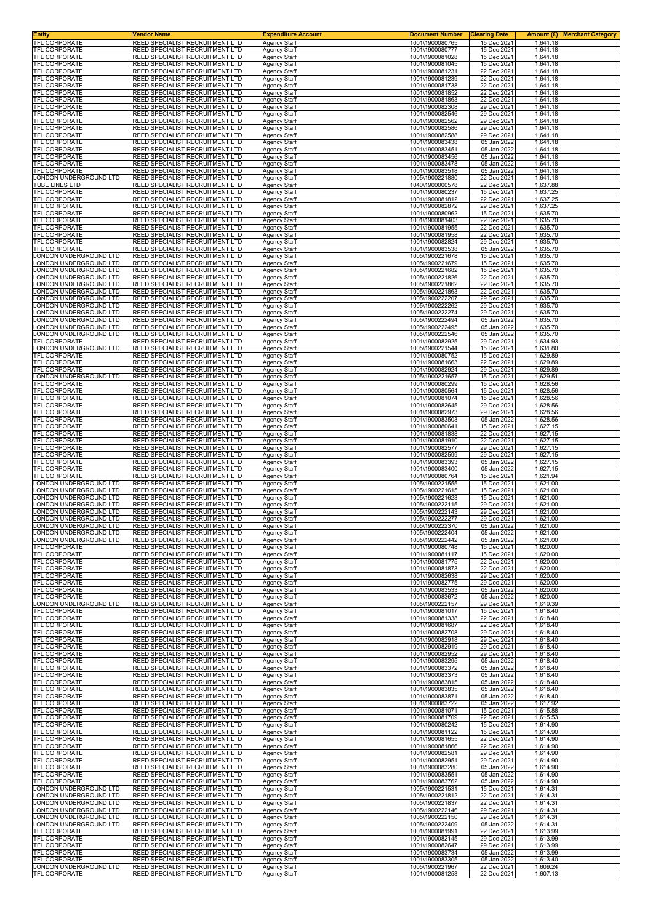| <b>Entity</b>                                    | Vendor Name                                                               | <b>Expenditure Account</b>                 | <b>Document Number</b>             | <b>Clearing Date</b>       | <b>Amount (£)</b> Merchant Category |
|--------------------------------------------------|---------------------------------------------------------------------------|--------------------------------------------|------------------------------------|----------------------------|-------------------------------------|
| TFL CORPORATE<br><b>TFL CORPORATE</b>            | REED SPECIALIST RECRUITMENT LTD<br><b>REED SPECIALIST RECRUITMENT LTD</b> | Agency Staff<br><b>Agency Staff</b>        | 1001\1900080765<br>1001\1900080777 | 15 Dec 2021<br>15 Dec 2021 | 1,641.18<br>1,641.18                |
| <b>TFL CORPORATE</b>                             | REED SPECIALIST RECRUITMENT LTD                                           | <b>Agency Staff</b>                        | 1001\1900081028                    | 15 Dec 2021                | 1,641.18                            |
| TFL CORPORATE<br>TFL CORPORATE                   | REED SPECIALIST RECRUITMENT LTD<br>REED SPECIALIST RECRUITMENT LTD        | Agency Staff<br>Agency Staff               | 1001\1900081045<br>1001\1900081231 | 15 Dec 2021<br>22 Dec 2021 | 1,641.18<br>1,641.18                |
| TFL CORPORATE                                    | REED SPECIALIST RECRUITMENT LTD                                           | <b>Agency Staff</b>                        | 1001\1900081239                    | 22 Dec 2021                | 1,641.18                            |
| TFL CORPORATE                                    | REED SPECIALIST RECRUITMENT LTD                                           | <b>Agency Staff</b>                        | 1001\1900081738                    | 22 Dec 2021                | 1,641.18                            |
| TFL CORPORATE<br><b>TFL CORPORATE</b>            | REED SPECIALIST RECRUITMENT LTD<br>REED SPECIALIST RECRUITMENT LTD        | <b>Agency Staff</b><br><b>Agency Staff</b> | 1001\1900081852<br>1001\1900081863 | 22 Dec 2021<br>22 Dec 2021 | 1,641.18<br>1,641.18                |
| TFL CORPORATE                                    | REED SPECIALIST RECRUITMENT LTD                                           | Agency Staff                               | 1001\1900082308                    | 29 Dec 2021                | 1,641.18                            |
| TFL CORPORATE<br>TFL CORPORATE                   | REED SPECIALIST RECRUITMENT LTD<br>REED SPECIALIST RECRUITMENT LTD        | <b>Agency Staff</b><br><b>Agency Staff</b> | 1001\1900082546<br>1001\1900082562 | 29 Dec 2021<br>29 Dec 2021 | 1,641.18<br>1,641.18                |
| TFL CORPORATE                                    | REED SPECIALIST RECRUITMENT LTD                                           | <b>Agency Staff</b>                        | 1001\1900082586                    | 29 Dec 2021                | 1,641.18                            |
| TFL CORPORATE<br><b>TFL CORPORATE</b>            | REED SPECIALIST RECRUITMENT LTD<br>REED SPECIALIST RECRUITMENT LTD        | <b>Agency Staff</b><br><b>Agency Staff</b> | 1001\1900082588<br>1001\1900083438 | 29 Dec 2021<br>05 Jan 2022 | 1,641.18<br>1,641.18                |
| <b>TFL CORPORATE</b>                             | REED SPECIALIST RECRUITMENT LTD                                           | Agency Staff                               | 1001\1900083451                    | 05 Jan 2022                | 1,641.18                            |
| TFL CORPORATE<br><b>TFL CORPORATE</b>            | REED SPECIALIST RECRUITMENT LTD                                           | <b>Agency Staff</b>                        | 1001\1900083456<br>1001\1900083478 | 05 Jan 2022                | 1,641.18                            |
| TFL CORPORATE                                    | REED SPECIALIST RECRUITMENT LTD<br>REED SPECIALIST RECRUITMENT LTD        | <b>Agency Staff</b><br><b>Agency Staff</b> | 1001\1900083518                    | 05 Jan 2022<br>05 Jan 2022 | 1,641.18<br>1,641.18                |
| LONDON UNDERGROUND LTD                           | REED SPECIALIST RECRUITMENT LTD                                           | Agency Staff                               | 1005\1900221880                    | 22 Dec 2021                | 1,641.18                            |
| TUBE LINES LTD<br>TFL CORPORATE                  | REED SPECIALIST RECRUITMENT LTD<br>REED SPECIALIST RECRUITMENT LTD        | <b>Agency Staff</b><br><b>Agency Staff</b> | 1040\1900000578<br>1001\1900080237 | 22 Dec 2021<br>15 Dec 2021 | 1,637.88<br>1,637.25                |
| TFL CORPORATE                                    | REED SPECIALIST RECRUITMENT LTD                                           | <b>Agency Staff</b>                        | 1001\1900081812                    | 22 Dec 2021                | 1,637.25                            |
| TFL CORPORATE<br>TFL CORPORATE                   | REED SPECIALIST RECRUITMENT LTD<br>REED SPECIALIST RECRUITMENT LTD        | <b>Agency Staff</b><br><b>Agency Staff</b> | 1001\1900082872<br>1001\1900080962 | 29 Dec 2021<br>15 Dec 2021 | 1,637.25<br>1,635.70                |
| TFL CORPORATE                                    | REED SPECIALIST RECRUITMENT LTD                                           | <b>Agency Staff</b>                        | 1001\1900081403                    | 22 Dec 2021                | 1,635.70                            |
| TFL CORPORATE<br><b>TFL CORPORATE</b>            | REED SPECIALIST RECRUITMENT LTD<br>REED SPECIALIST RECRUITMENT LTD        | <b>Agency Staff</b><br><b>Agency Staff</b> | 1001\1900081955<br>1001\1900081958 | 22 Dec 2021<br>22 Dec 2021 | 1,635.70<br>1,635.70                |
| TFL CORPORATE                                    | REED SPECIALIST RECRUITMENT LTD                                           | Agency Staff                               | 1001\1900082824                    | 29 Dec 2021                | 1,635.70                            |
| TFL CORPORATE                                    | REED SPECIALIST RECRUITMENT LTD                                           | Agency Staff                               | 1001\1900083538                    | 05 Jan 2022<br>15 Dec 2021 | 1,635.70                            |
| ONDON UNDERGROUND LTD.<br>ONDON UNDERGROUND LTD. | REED SPECIALIST RECRUITMENT LTD<br>REED SPECIALIST RECRUITMENT LTD        | <b>Agency Staff</b><br><b>Agency Staff</b> | 1005\1900221678<br>1005\1900221679 | 15 Dec 2021                | 1,635.70<br>1,635.70                |
| ONDON UNDERGROUND LTD                            | REED SPECIALIST RECRUITMENT LTD                                           | <b>Agency Staff</b>                        | 1005\1900221682                    | 15 Dec 2021                | 1,635.70                            |
| ONDON UNDERGROUND LTD<br>ONDON UNDERGROUND LTD   | REED SPECIALIST RECRUITMENT LTD<br>REED SPECIALIST RECRUITMENT LTD        | <b>Agency Staff</b><br><b>Agency Staff</b> | 1005\1900221826<br>1005\1900221862 | 22 Dec 2021<br>22 Dec 2021 | 1,635.70<br>1,635.70                |
| ONDON UNDERGROUND LTD.                           | REED SPECIALIST RECRUITMENT LTD                                           | <b>Agency Staff</b>                        | 1005\1900221863                    | 22 Dec 2021                | 1,635.70                            |
| ONDON UNDERGROUND LTD<br>ONDON UNDERGROUND LTD   | REED SPECIALIST RECRUITMENT LTD                                           | <b>Agency Staff</b>                        | 1005\1900222207                    | 29 Dec 2021                | 1,635.70                            |
| ONDON UNDERGROUND LTD                            | REED SPECIALIST RECRUITMENT LTD<br>REED SPECIALIST RECRUITMENT LTD        | <b>Agency Staff</b><br><b>Agency Staff</b> | 1005\1900222262<br>1005\1900222274 | 29 Dec 2021<br>29 Dec 2021 | 1,635.70<br>1,635.70                |
| ONDON UNDERGROUND LTD                            | REED SPECIALIST RECRUITMENT LTD                                           | <b>Agency Staff</b>                        | 1005\1900222494                    | 05 Jan 2022                | 1,635.70                            |
| ONDON UNDERGROUND LTD<br>ONDON UNDERGROUND LTD   | REED SPECIALIST RECRUITMENT LTD<br>REED SPECIALIST RECRUITMENT LTD        | Agency Staff<br>Agency Staff               | 1005\1900222495<br>1005\1900222546 | 05 Jan 2022<br>05 Jan 2022 | 1,635.70<br>1,635.70                |
| TFL CORPORATE                                    | REED SPECIALIST RECRUITMENT LTD                                           | <b>Agency Staff</b>                        | 1001\1900082925                    | 29 Dec 2021                | 1,634.93                            |
| LONDON UNDERGROUND LTD<br>TFL CORPORATE          | REED SPECIALIST RECRUITMENT LTD<br>REED SPECIALIST RECRUITMENT LTD        | <b>Agency Staff</b><br><b>Agency Staff</b> | 1005\1900221544<br>1001\1900080752 | 15 Dec 2021<br>15 Dec 2021 | 1,631.80<br>1,629.89                |
| TFL CORPORATE                                    | REED SPECIALIST RECRUITMENT LTD                                           | <b>Agency Staff</b>                        | 1001\1900081663                    | 22 Dec 2021                | 1,629.89                            |
| TFL CORPORATE                                    | REED SPECIALIST RECRUITMENT LTD<br>REED SPECIALIST RECRUITMENT LTD        | Agency Staff                               | 1001\1900082924<br>1005\1900221657 | 29 Dec 2021                | 1,629.89<br>1,629.51                |
| LONDON UNDERGROUND LTD<br>TFL CORPORATE          | REED SPECIALIST RECRUITMENT LTD                                           | <b>Agency Staff</b><br><b>Agency Staff</b> | 1001\1900080299                    | 15 Dec 2021<br>15 Dec 2021 | 1,628.56                            |
| TFL CORPORATE                                    | REED SPECIALIST RECRUITMENT LTD                                           | <b>Agency Staff</b>                        | 1001\1900080564                    | 15 Dec 2021                | 1,628.56                            |
| TFL CORPORATE<br>TFL CORPORATE                   | REED SPECIALIST RECRUITMENT LTD<br>REED SPECIALIST RECRUITMENT LTD        | <b>Agency Staff</b><br><b>Agency Staff</b> | 1001\1900081074<br>1001\1900082645 | 15 Dec 2021<br>29 Dec 2021 | 1,628.56<br>1,628.56                |
| TFL CORPORATE                                    | REED SPECIALIST RECRUITMENT LTD                                           | <b>Agency Staff</b>                        | 1001\1900082973                    | 29 Dec 2021                | 1,628.56                            |
| TFL CORPORATE<br>TFL CORPORATE                   | REED SPECIALIST RECRUITMENT LTD<br>REED SPECIALIST RECRUITMENT LTD        | <b>Agency Staff</b>                        | 1001\1900083503<br>1001\1900080641 | 05 Jan 2022<br>15 Dec 2021 | 1,628.56<br>1,627.15                |
| TFL CORPORATE                                    | REED SPECIALIST RECRUITMENT LTD                                           | <b>Agency Staff</b><br><b>Agency Staff</b> | 1001\1900081838                    | 22 Dec 2021                | 1,627.15                            |
| TFL CORPORATE                                    | REED SPECIALIST RECRUITMENT LTD                                           | <b>Agency Staff</b>                        | 1001\1900081910                    | 22 Dec 2021                | 1,627.15                            |
| TFL CORPORATE<br>TFL CORPORATE                   | REED SPECIALIST RECRUITMENT LTD<br>REED SPECIALIST RECRUITMENT LTD        | <b>Agency Staff</b><br><b>Agency Staff</b> | 1001\1900082577<br>1001\1900082599 | 29 Dec 2021<br>29 Dec 2021 | 1,627.15<br>1,627.15                |
| TFL CORPORATE                                    | REED SPECIALIST RECRUITMENT LTD                                           | <b>Agency Staff</b>                        | 1001\1900083393                    | 05 Jan 2022                | 1,627.15                            |
| TFL CORPORATE<br>TFL CORPORATE                   | REED SPECIALIST RECRUITMENT LTD<br>REED SPECIALIST RECRUITMENT LTD        | Agency Staff<br><b>Agency Staff</b>        | 1001\1900083400<br>1001\1900080764 | 05 Jan 2022<br>15 Dec 2021 | 1,627.15<br>1,621.94                |
| LONDON UNDERGROUND LTD                           | REED SPECIALIST RECRUITMENT LTD                                           | <b>Agency Staff</b>                        | 1005\1900221555                    | 15 Dec 2021                | 1,621.00                            |
| ONDON UNDERGROUND LTD.                           | REED SPECIALIST RECRUITMENT LTD                                           | <b>Agency Staff</b>                        | 1005\1900221615                    | 15 Dec 2021                | 1,621.00                            |
| ONDON UNDERGROUND LTD<br>ONDON UNDERGROUND LTD   | REED SPECIALIST RECRUITMENT LTD<br>REED SPECIALIST RECRUITMENT LTD        | <b>Agency Staff</b><br>Agency Staff        | 1005\1900221623<br>1005\1900222115 | 15 Dec 2021<br>29 Dec 2021 | 1,621.00<br>1,621.00                |
| ONDON UNDERGROUND LTD.                           | REED SPECIALIST RECRUITMENT LTD                                           | Agency Staff                               | 1005\1900222143                    | 29 Dec 2021                | 1,621.00                            |
| ONDON UNDERGROUND LTD<br>LONDON UNDERGROUND LTD  | REED SPECIALIST RECRUITMENT LTD<br>REED SPECIALIST RECRUITMENT LTD        | <b>Agency Staff</b><br>Agency Staff        | 1005\1900222277<br>1005\1900222370 | 29 Dec 2021<br>05 Jan 2022 | 1,621.00<br>1.621.00                |
| LONDON UNDERGROUND LTD                           | <b>REED SPECIALIST RECRUITMENT LTD</b>                                    | <b>Agency Staff</b>                        | 1005\1900222404                    | 05 Jan 2022                | 1,621.00                            |
| LONDON UNDERGROUND LTD<br>TFL CORPORATE          | REED SPECIALIST RECRUITMENT LTD<br>REED SPECIALIST RECRUITMENT LTD        | <b>Agency Staff</b><br>Agency Staff        | 1005\1900222442<br>1001\1900080748 | 05 Jan 2022<br>15 Dec 2021 | 1,621.00<br>1,620.00                |
| TFL CORPORATE                                    | REED SPECIALIST RECRUITMENT LTD                                           | <b>Agency Staff</b>                        | 1001\1900081117                    | 15 Dec 2021                | 1,620.00                            |
| TFL CORPORATE                                    | REED SPECIALIST RECRUITMENT LTD                                           | Agency Staff                               | 1001\1900081775                    | 22 Dec 2021                | 1,620.00                            |
| TFL CORPORATE<br>TFL CORPORATE                   | REED SPECIALIST RECRUITMENT LTD<br>REED SPECIALIST RECRUITMENT LTD        | Agency Staff<br><b>Agency Staff</b>        | 1001\1900081873<br>1001\1900082638 | 22 Dec 2021<br>29 Dec 2021 | 1,620.00<br>1,620.00                |
| TFL CORPORATE                                    | REED SPECIALIST RECRUITMENT LTD                                           | <b>Agency Staff</b>                        | 1001\1900082775                    | 29 Dec 2021                | 1,620.00                            |
| TFL CORPORATE<br><b>TFL CORPORATE</b>            | REED SPECIALIST RECRUITMENT LTD<br>REED SPECIALIST RECRUITMENT LTD        | <b>Agency Staff</b><br><b>Agency Staff</b> | 1001\1900083533<br>1001\1900083672 | 05 Jan 2022<br>05 Jan 2022 | 1,620.00<br>1,620.00                |
| LONDON UNDERGROUND LTD                           | <b>REED SPECIALIST RECRUITMENT LTD</b>                                    | Agency Staff                               | 1005\1900222157                    | 29 Dec 2021                | 1,619.39                            |
| TFL CORPORATE<br><b>TFL CORPORATE</b>            | REED SPECIALIST RECRUITMENT LTD<br>REED SPECIALIST RECRUITMENT LTD        | <b>Agency Staff</b><br><b>Agency Staff</b> | 1001\1900081017<br>1001\1900081338 | 15 Dec 2021<br>22 Dec 2021 | 1,618.40<br>1,618.40                |
| TFL CORPORATE                                    | REED SPECIALIST RECRUITMENT LTD                                           | <b>Agency Staff</b>                        | 1001\1900081687                    | 22 Dec 2021                | 1,618.40                            |
| TFL CORPORATE<br>TFL CORPORATE                   | REED SPECIALIST RECRUITMENT LTD<br>REED SPECIALIST RECRUITMENT LTD        | Agency Staff<br>Agency Staff               | 1001\1900082708<br>1001\1900082918 | 29 Dec 2021<br>29 Dec 2021 | 1,618.40<br>1,618.40                |
| TFL CORPORATE                                    | <b>REED SPECIALIST RECRUITMENT LTD</b>                                    | <b>Agency Staff</b>                        | 1001\1900082919                    | 29 Dec 2021                | 1,618.40                            |
| TFL CORPORATE                                    | REED SPECIALIST RECRUITMENT LTD                                           | Agency Staff                               | 1001\1900082952                    | 29 Dec 2021                | 1,618.40                            |
| TFL CORPORATE<br>TFL CORPORATE                   | REED SPECIALIST RECRUITMENT LTD<br>REED SPECIALIST RECRUITMENT LTD        | <b>Agency Staff</b><br><b>Agency Staff</b> | 1001\1900083295<br>1001\1900083372 | 05 Jan 2022<br>05 Jan 2022 | 1,618.40<br>1,618.40                |
| TFL CORPORATE                                    | REED SPECIALIST RECRUITMENT LTD                                           | <b>Agency Staff</b>                        | 1001\1900083373                    | 05 Jan 2022                | 1,618.40                            |
| TFL CORPORATE<br>TFL CORPORATE                   | REED SPECIALIST RECRUITMENT LTD<br>REED SPECIALIST RECRUITMENT LTD        | Agency Staff<br><b>Agency Staff</b>        | 1001\1900083815<br>1001\1900083835 | 05 Jan 2022<br>05 Jan 2022 | 1,618.40<br>1,618.40                |
| TFL CORPORATE                                    | REED SPECIALIST RECRUITMENT LTD                                           | <b>Agency Staff</b>                        | 1001\1900083871                    | 05 Jan 2022                | 1,618.40                            |
| TFL CORPORATE<br>TFL CORPORATE                   | REED SPECIALIST RECRUITMENT LTD<br>REED SPECIALIST RECRUITMENT LTD        | Agency Staff<br><b>Agency Staff</b>        | 1001\1900083722<br>1001\1900081071 | 05 Jan 2022<br>15 Dec 2021 | 1,617.92<br>1,615.88                |
| TFL CORPORATE                                    | REED SPECIALIST RECRUITMENT LTD                                           | <b>Agency Staff</b>                        | 1001\1900081709                    | 22 Dec 2021                | 1,615.53                            |
| TFL CORPORATE<br><b>TFL CORPORATE</b>            | REED SPECIALIST RECRUITMENT LTD<br>REED SPECIALIST RECRUITMENT LTD        | Agency Staff                               | 1001\1900080242                    | 15 Dec 2021<br>15 Dec 2021 | 1,614.90                            |
| TFL CORPORATE                                    | REED SPECIALIST RECRUITMENT LTD                                           | Agency Staff<br><b>Agency Staff</b>        | 1001\1900081122<br>1001\1900081655 | 22 Dec 2021                | 1,614.90<br>1,614.90                |
| TFL CORPORATE                                    | REED SPECIALIST RECRUITMENT LTD                                           | <b>Agency Staff</b>                        | 1001\1900081866                    | 22 Dec 2021                | 1,614.90                            |
| TFL CORPORATE<br>TFL CORPORATE                   | REED SPECIALIST RECRUITMENT LTD<br>REED SPECIALIST RECRUITMENT LTD        | <b>Agency Staff</b><br><b>Agency Staff</b> | 1001\1900082581<br>1001\1900082951 | 29 Dec 2021<br>29 Dec 2021 | 1,614.90<br>1,614.90                |
| TFL CORPORATE                                    | REED SPECIALIST RECRUITMENT LTD                                           | Agency Staff                               | 1001\1900083280                    | 05 Jan 2022                | 1,614.90                            |
| TFL CORPORATE<br><b>TFL CORPORATE</b>            | REED SPECIALIST RECRUITMENT LTD<br><b>REED SPECIALIST RECRUITMENT LTD</b> | <b>Agency Staff</b><br>Agency Staff        | 1001\1900083551<br>1001\1900083762 | 05 Jan 2022<br>05 Jan 2022 | 1,614.90<br>1,614.90                |
| LONDON UNDERGROUND LTD                           | REED SPECIALIST RECRUITMENT LTD                                           | <b>Agency Staff</b>                        | 1005\1900221531                    | 15 Dec 2021                | 1,614.31                            |
| LONDON UNDERGROUND LTD<br>LONDON UNDERGROUND LTD | REED SPECIALIST RECRUITMENT LTD<br>REED SPECIALIST RECRUITMENT LTD        | <b>Agency Staff</b><br><b>Agency Staff</b> | 1005\1900221812<br>1005\1900221837 | 22 Dec 2021<br>22 Dec 2021 | 1,614.31<br>1,614.31                |
| LONDON UNDERGROUND LTD                           | REED SPECIALIST RECRUITMENT LTD                                           | <b>Agency Staff</b>                        | 1005\1900222146                    | 29 Dec 2021                | 1,614.31                            |
| LONDON UNDERGROUND LTD                           | REED SPECIALIST RECRUITMENT LTD                                           | <b>Agency Staff</b>                        | 1005\1900222150                    | 29 Dec 2021                | 1,614.31                            |
| LONDON UNDERGROUND LTD<br>TFL CORPORATE          | REED SPECIALIST RECRUITMENT LTD<br>REED SPECIALIST RECRUITMENT LTD        | <b>Agency Staff</b><br>Agency Staff        | 1005\1900222409<br>1001\1900081991 | 05 Jan 2022<br>22 Dec 2021 | 1,614.31<br>1,613.99                |
| TFL CORPORATE                                    | REED SPECIALIST RECRUITMENT LTD                                           | <b>Agency Staff</b>                        | 1001\1900082145                    | 29 Dec 2021                | 1,613.99                            |
| TFL CORPORATE<br>TFL CORPORATE                   | REED SPECIALIST RECRUITMENT LTD<br>REED SPECIALIST RECRUITMENT LTD        | <b>Agency Staff</b><br>Agency Staff        | 1001\1900082647<br>1001\1900083734 | 29 Dec 2021<br>05 Jan 2022 | 1,613.99<br>1,613.99                |
| <b>TFL CORPORATE</b>                             | REED SPECIALIST RECRUITMENT LTD                                           | <b>Agency Staff</b>                        | 1001\1900083305                    | 05 Jan 2022                | 1,613.40                            |
| LONDON UNDERGROUND LTD<br>TFL CORPORATE          | <b>REED SPECIALIST RECRUITMENT LTD</b><br>REED SPECIALIST RECRUITMENT LTD | Agency Staff<br>Agency Staff               | 1005\1900221967<br>1001\1900081253 | 22 Dec 2021<br>22 Dec 2021 | 1,609.24<br>1,607.13                |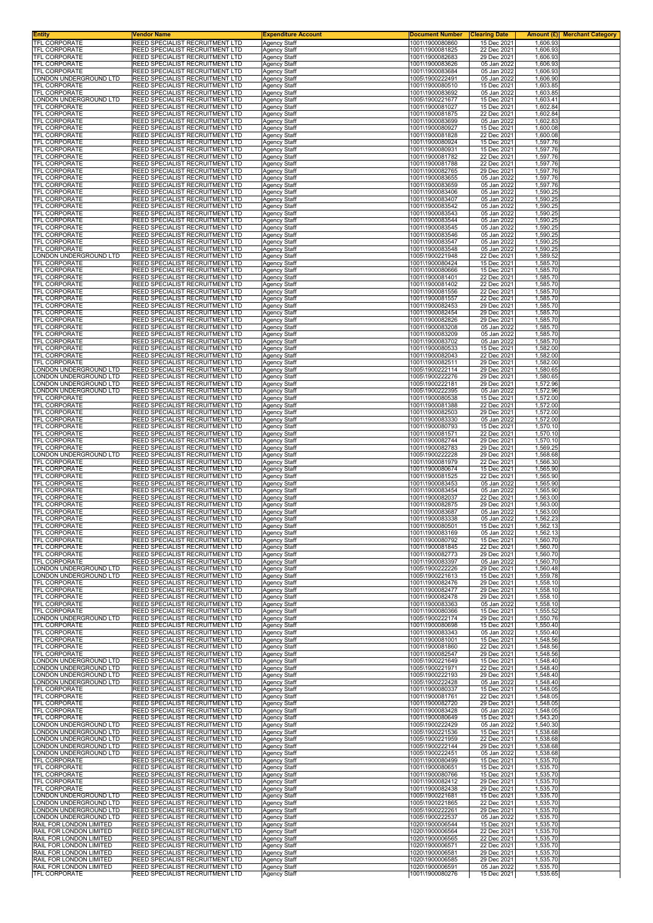| Entity                                 | Vendor Name                                                        | <b>Expenditure Account</b>          | <b>Document Number</b>             | <b>Clearing Date</b>       | <b>Amount (£) Merchant Category</b> |
|----------------------------------------|--------------------------------------------------------------------|-------------------------------------|------------------------------------|----------------------------|-------------------------------------|
| TFL CORPORATE                          | REED SPECIALIST RECRUITMENT LTD                                    | <b>Agency Staff</b>                 | 1001\1900080860                    | 15 Dec 2021                | 1,606.93                            |
| TFL CORPORATE                          | REED SPECIALIST RECRUITMENT LTD                                    | <b>Agency Staff</b>                 | 1001\1900081825                    | 22 Dec 2021                | 1,606.93                            |
| TFL CORPORATE                          | REED SPECIALIST RECRUITMENT LTD                                    | <b>Agency Staff</b>                 | 1001\1900082683                    | 29 Dec 2021                | 1,606.93                            |
| <b>TFL CORPORATE</b>                   | REED SPECIALIST RECRUITMENT LTD                                    | <b>Agency Staff</b>                 | 1001\1900083626                    | 05 Jan 2022                | 1,606.93                            |
| TFL CORPORATE                          | REED SPECIALIST RECRUITMENT LTD                                    | Agency Staff                        | 1001\1900083684<br>1005\1900222491 | 05 Jan 2022<br>05 Jan 2022 | 1,606.93                            |
| ONDON UNDERGROUND LTD<br>TFL CORPORATE | REED SPECIALIST RECRUITMENT LTD<br>REED SPECIALIST RECRUITMENT LTD | Agency Staff<br><b>Agency Staff</b> | 1001\1900080510                    | 15 Dec 2021                | 1,606.90<br>1,603.85                |
| TFL CORPORATE                          | REED SPECIALIST RECRUITMENT LTD                                    | Agency Staff                        | 1001\1900083692                    | 05 Jan 2022                | 1,603.85                            |
| LONDON UNDERGROUND LTD                 | REED SPECIALIST RECRUITMENT LTD                                    | Agency Staff                        | 1005\1900221677                    | 15 Dec 2021                | 1,603.41                            |
| TFL CORPORATE                          | REED SPECIALIST RECRUITMENT LTD                                    | Agency Staff                        | 1001\1900081027                    | 15 Dec 2021                | 1,602.84                            |
| TFL CORPORATE                          | REED SPECIALIST RECRUITMENT LTD                                    | Agency Staff                        | 1001\1900081875                    | 22 Dec 2021                | 1,602.84                            |
| <b>TFL CORPORATE</b>                   | REED SPECIALIST RECRUITMENT LTD                                    | Agency Staff                        | 1001\1900083699                    | 05 Jan 2022                | 1,602.83                            |
| TFL CORPORATE                          | REED SPECIALIST RECRUITMENT LTD                                    | <b>Agency Staff</b>                 | 1001\1900080927                    | 15 Dec 2021                | 1,600.08                            |
| TFL CORPORATE                          | REED SPECIALIST RECRUITMENT LTD                                    | <b>Agency Staff</b>                 | 1001\1900081828                    | 22 Dec 2021                | 1,600.08                            |
| TFL CORPORATE                          | REED SPECIALIST RECRUITMENT LTD                                    | Agency Staff                        | 1001\1900080924                    | 15 Dec 2021                | 1,597.76                            |
| TFL CORPORATE                          | REED SPECIALIST RECRUITMENT LTD                                    | Agency Staff                        | 1001\1900080931                    | 15 Dec 2021                | 1,597.76                            |
| TFL CORPORATE                          | REED SPECIALIST RECRUITMENT LTD                                    | Agency Staff                        | 1001\1900081782                    | 22 Dec 2021                | 1,597.76                            |
| TFL CORPORATE                          | REED SPECIALIST RECRUITMENT LTD                                    | Agency Staff                        | 1001\1900081788                    | 22 Dec 2021                | 1,597.76                            |
| TFL CORPORATE                          | REED SPECIALIST RECRUITMENT LTD                                    | <b>Agency Staff</b>                 | 1001\1900082765                    | 29 Dec 2021                | 1,597.76                            |
| TFL CORPORATE                          | REED SPECIALIST RECRUITMENT LTD                                    | <b>Agency Staff</b>                 | 1001\1900083655                    | 05 Jan 2022                | 1,597.76                            |
| TFL CORPORATE                          | REED SPECIALIST RECRUITMENT LTD                                    | <b>Agency Staff</b>                 | 1001\1900083659                    | 05 Jan 2022                | 1,597.76                            |
| TFL CORPORATE                          | REED SPECIALIST RECRUITMENT LTD                                    | Agency Staff                        | 1001\1900083406                    | 05 Jan 2022                | 1,590.25                            |
| TFL CORPORATE                          | REED SPECIALIST RECRUITMENT LTD                                    | Agency Staff                        | 1001\1900083407                    | 05 Jan 2022                | 1,590.25                            |
| TFL CORPORATE                          | REED SPECIALIST RECRUITMENT LTD                                    | Agency Staff                        | 1001\1900083542                    | 05 Jan 2022                | 1,590.25                            |
| TFL CORPORATE                          | REED SPECIALIST RECRUITMENT LTD                                    | <b>Agency Staff</b>                 | 1001\1900083543                    | 05 Jan 2022                | 1,590.25                            |
| TFL CORPORATE                          | REED SPECIALIST RECRUITMENT LTD                                    | <b>Agency Staff</b>                 | 1001\1900083544                    | 05 Jan 2022                | 1,590.25                            |
| TFL CORPORATE                          | REED SPECIALIST RECRUITMENT LTD                                    | <b>Agency Staff</b>                 | 1001\1900083545                    | 05 Jan 2022                | 1,590.25                            |
| TFL CORPORATE                          | REED SPECIALIST RECRUITMENT LTD                                    | Agency Staff                        | 1001\1900083546                    | 05 Jan 2022                | 1,590.25                            |
| TFL CORPORATE                          | REED SPECIALIST RECRUITMENT LTD                                    | Agency Staff                        | 1001\1900083547                    | 05 Jan 2022                | 1,590.25                            |
| TFL CORPORATE                          | REED SPECIALIST RECRUITMENT LTD                                    | Agency Staff                        | 1001\1900083548                    | 05 Jan 2022                | 1,590.25                            |
| ONDON UNDERGROUND LTD                  | REED SPECIALIST RECRUITMENT LTD                                    | <b>Agency Staff</b>                 | 1005\1900221948                    | 22 Dec 2021                | 1.589.52                            |
| TFL CORPORATE                          | REED SPECIALIST RECRUITMENT LTD                                    | <b>Agency Staff</b>                 | 1001\1900080424                    | 15 Dec 2021                | 1,585.70                            |
| TFL CORPORATE                          | REED SPECIALIST RECRUITMENT LTD                                    | <b>Agency Staff</b>                 | 1001\1900080666                    | 15 Dec 2021                | 1,585.70                            |
| <b>TFL CORPORATE</b>                   | REED SPECIALIST RECRUITMENT LTD                                    | Agency Staff                        | 1001\1900081401                    | 22 Dec 2021                | 1,585.70                            |
| TFL CORPORATE                          | REED SPECIALIST RECRUITMENT LTD                                    | Agency Staff                        | 1001\1900081402                    | 22 Dec 2021                | 1,585.70                            |
| TFL CORPORATE                          | REED SPECIALIST RECRUITMENT LTD                                    | Agency Staff                        | 1001\1900081556                    | 22 Dec 2021                | 1,585.70                            |
| <b>TFL CORPORATE</b>                   | REED SPECIALIST RECRUITMENT LTD                                    | Agency Staff                        | 1001\1900081557                    | 22 Dec 2021                | 1,585.70                            |
| TFL CORPORATE                          | REED SPECIALIST RECRUITMENT LTD                                    | Agency Staff                        | 1001\1900082453                    | 29 Dec 2021                | 1,585.70                            |
| TFL CORPORATE                          | REED SPECIALIST RECRUITMENT LTD                                    | <b>Agency Staff</b>                 | 1001\1900082454                    | 29 Dec 2021                | 1,585.70                            |
| TFL CORPORATE                          | REED SPECIALIST RECRUITMENT LTD                                    | Agency Staff                        | 1001\1900082826                    | 29 Dec 2021                | 1,585.70                            |
| <b>TFL CORPORATE</b>                   | REED SPECIALIST RECRUITMENT LTD                                    | Agency Staff                        | 1001\1900083208                    | 05 Jan 2022                | 1,585.70                            |
| TFL CORPORATE                          | REED SPECIALIST RECRUITMENT LTD                                    | Agency Staff                        | 1001\1900083209<br>1001\1900083702 | 05 Jan 2022<br>05 Jan 2022 | 1,585.70                            |
| TFL CORPORATE<br>TFL CORPORATE         | REED SPECIALIST RECRUITMENT LTD<br>REED SPECIALIST RECRUITMENT LTD | Agency Staff<br><b>Agency Staff</b> | 1001\1900080533                    | 15 Dec 2021                | 1,585.70<br>1,582.00                |
| TFL CORPORATE                          | REED SPECIALIST RECRUITMENT LTD                                    | Agency Staff                        | 1001\1900082043                    | 22 Dec 2021                | 1,582.00                            |
| TFL CORPORATE                          | REED SPECIALIST RECRUITMENT LTD                                    | Agency Staff                        | 1001\1900082511                    | 29 Dec 2021                | 1,582.00                            |
| ONDON UNDERGROUND LTD                  | REED SPECIALIST RECRUITMENT LTD                                    | Agency Staff                        | 1005\1900222114                    | 29 Dec 2021                | 1,580.65                            |
| ONDON UNDERGROUND LTD                  | REED SPECIALIST RECRUITMENT LTD                                    | Agency Staff                        | 1005\1900222276                    | 29 Dec 2021                | 1,580.65                            |
| ONDON UNDERGROUND LTD                  | REED SPECIALIST RECRUITMENT LTD                                    | Agency Staff                        | 1005\1900222181                    | 29 Dec 2021                | 1,572.96                            |
| ONDON UNDERGROUND LTD                  | REED SPECIALIST RECRUITMENT LTD                                    | <b>Agency Staff</b>                 | 1005\1900222395                    | 05 Jan 2022                | 1,572.96                            |
| TFL CORPORATE                          | REED SPECIALIST RECRUITMENT LTD                                    | <b>Agency Staff</b>                 | 1001\1900080538                    | 15 Dec 2021                | 1,572.00                            |
| TFL CORPORATE                          | REED SPECIALIST RECRUITMENT LTD                                    | Agency Staff                        | 1001\1900081388                    | 22 Dec 2021                | 1,572.00                            |
| TFL CORPORATE                          | REED SPECIALIST RECRUITMENT LTD                                    | Agency Staff                        | 1001\1900082503                    | 29 Dec 2021                | 1,572.00                            |
| <b>TFL CORPORATE</b>                   | REED SPECIALIST RECRUITMENT LTD                                    | Agency Staff                        | 1001\1900083330                    | 05 Jan 2022                | 1,572.00                            |
| TFL CORPORATE                          | REED SPECIALIST RECRUITMENT LTD                                    | Agency Staff                        | 1001\1900080793                    | 15 Dec 2021                | 1,570.10                            |
| TFL CORPORATE                          | REED SPECIALIST RECRUITMENT LTD                                    | Agency Staff                        | 1001\1900081571                    | 22 Dec 2021                | 1,570.10                            |
| TFL CORPORATE                          | REED SPECIALIST RECRUITMENT LTD                                    | <b>Agency Staff</b>                 | 1001\1900082744                    | 29 Dec 2021                | 1,570.10                            |
| TFL CORPORATE                          | REED SPECIALIST RECRUITMENT LTD                                    | <b>Agency Staff</b>                 | 1001\1900082783                    | 29 Dec 2021                | 1,569.25                            |
| LONDON UNDERGROUND LTD                 | REED SPECIALIST RECRUITMENT LTD                                    | Agency Staff                        | 1005\1900222228                    | 29 Dec 2021                | 1,568.68                            |
| TFL CORPORATE                          | REED SPECIALIST RECRUITMENT LTD                                    | Agency Staff                        | 1001\1900081979                    | 22 Dec 2021                | 1,566.30                            |
| TFL CORPORATE                          | REED SPECIALIST RECRUITMENT LTD                                    | <b>Agency Staff</b>                 | 1001\1900080674                    | 15 Dec 2021                | 1,565.90                            |
| TFL CORPORATE                          | REED SPECIALIST RECRUITMENT LTD                                    | Agency Staff                        | 1001\1900081525                    | 22 Dec 2021                | 1,565.90                            |
| TFL CORPORATE                          | REED SPECIALIST RECRUITMENT LTD                                    | Agency Staff                        | 1001\1900083453                    | 05 Jan 2022                | 1,565.90                            |
| TFL CORPORATE                          | REED SPECIALIST RECRUITMENT LTD                                    | <b>Agency Staff</b>                 | 1001\1900083454                    | 05 Jan 2022                | 1,565.90                            |
| <b>TFL CORPORATE</b>                   | REED SPECIALIST RECRUITMENT LTD                                    | Agency Staff                        | 1001\1900082037                    | 22 Dec 2021                | 1,563.00                            |
| TFL CORPORATE                          | REED SPECIALIST RECRUITMENT LTD                                    | Agency Staff                        | 1001\1900082875                    | 29 Dec 2021                | 1,563.00                            |
| TFL CORPORATE                          | REED SPECIALIST RECRUITMENT LTD                                    | <b>Agency Staff</b>                 | 1001\1900083687                    | 05 Jan 2022                | 1,563.00                            |
| TFL CORPORATE                          | REED SPECIALIST RECRUITMENT LTD                                    | Agency Staff                        | 1001\1900083338                    | 05 Jan 2022                | 1,562.23                            |
| IFL CORPORATE                          | REED SPECIALIST RECRUITMENT LTD                                    | Agency Staff                        | 1001\1900080501                    | 15 Dec 2021                | 1,562.13                            |
| TFL CORPORATE                          | REED SPECIALIST RECRUITMENT LTD                                    | <b>Agency Staff</b>                 | 1001\1900083169                    | 05 Jan 2022                | 1,562.13                            |
| TFL CORPORATE                          | REED SPECIALIST RECRUITMENT LTD                                    | <b>Agency Staff</b>                 | 1001\1900080792                    | 15 Dec 2021                | 1,560.70                            |
| <b>TFL CORPORATE</b>                   | REED SPECIALIST RECRUITMENT LTD                                    | Agency Staff                        | 1001\1900081845                    | 22 Dec 2021                | 1,560.70                            |
| TFL CORPORATE                          | REED SPECIALIST RECRUITMENT LTD                                    | <b>Agency Staff</b>                 | 1001\1900082773                    | 29 Dec 2021                | 1,560.70                            |
| TFL CORPORATE                          | REED SPECIALIST RECRUITMENT LTD                                    | Agency Staff                        | 1001\1900083397                    | 05 Jan 2022                | 1,560.70                            |
| ONDON UNDERGROUND LTD                  | REED SPECIALIST RECRUITMENT LTD                                    |                                     | 1005\1900222226                    | 29 Dec 2021                | 1,560.48                            |
| LONDON UNDERGROUND LTD                 | REED SPECIALIST RECRUITMENT LTD                                    | Agency Staff<br><b>Agency Staff</b> | 1005\1900221613                    | 15 Dec 2021                | 1,559.78                            |
| TFL CORPORATE                          | REED SPECIALIST RECRUITMENT LTD                                    | <b>Agency Staff</b>                 | 1001\1900082476                    | 29 Dec 2021                | 1,558.10                            |
| <b>TFL CORPORATE</b>                   | REED SPECIALIST RECRUITMENT LTD                                    | <b>Agency Staff</b>                 | 1001\1900082477                    | 29 Dec 2021                | 1,558.10                            |
| TFL CORPORATE                          | REED SPECIALIST RECRUITMENT LTD                                    | Agency Staff                        | 1001\1900082478                    | 29 Dec 2021                | 1,558.10                            |
| <b>TFL CORPORATE</b>                   | REED SPECIALIST RECRUITMENT LTD                                    | Agency Staff                        | 1001\1900083363                    | 05 Jan 2022                | 1,558.10                            |
| TFL CORPORATE                          | REED SPECIALIST RECRUITMENT LTD                                    | Agency Staff                        | 1001\1900080366                    | 15 Dec 2021                | 1,555.52                            |
| LONDON UNDERGROUND LTD                 | REED SPECIALIST RECRUITMENT LTD                                    | <b>Agency Staff</b>                 | 1005\1900222174                    | 29 Dec 2021                | 1,550.76                            |
| <b>TFL CORPORATE</b>                   | REED SPECIALIST RECRUITMENT LTD                                    | <b>Agency Staff</b>                 | 1001\1900080698                    | 15 Dec 2021                | 1.550.40                            |
| <b>TFL CORPORATE</b>                   | REED SPECIALIST RECRUITMENT LTD                                    | Agency Staff                        | 1001\1900083343                    | 05 Jan 2022                | 1,550.40                            |
| TFL CORPORATE                          | REED SPECIALIST RECRUITMENT LTD                                    | Agency Staff                        | 1001\1900081001                    | 15 Dec 2021                | 1,548.56                            |
| <b>TFL CORPORATE</b><br>TFL CORPORATE  | REED SPECIALIST RECRUITMENT LTD<br>REED SPECIALIST RECRUITMENT LTD | Agency Staff                        | 1001\1900081860                    | 22 Dec 2021<br>29 Dec 2021 | 1,548.56<br>1,548.56                |
| ONDON UNDERGROUND LTD                  | REED SPECIALIST RECRUITMENT LTD                                    | Agency Staff<br><b>Agency Staff</b> | 1001\1900082547<br>1005\1900221649 | 15 Dec 2021                | 1,548.40                            |
| ONDON UNDERGROUND LTD.                 | REED SPECIALIST RECRUITMENT LTD                                    | <b>Agency Staff</b>                 | 1005\1900221971                    | 22 Dec 2021                | 1,548.40                            |
| ONDON UNDERGROUND LTD                  | REED SPECIALIST RECRUITMENT LTD                                    | Agency Staff                        | 1005\1900222193                    | 29 Dec 2021                | 1,548.40                            |
| ONDON UNDERGROUND LTD                  | REED SPECIALIST RECRUITMENT LTD                                    | Agency Staff                        | 1005\1900222428                    | 05 Jan 2022                | 1,548.40                            |
| TFL CORPORATE                          | REED SPECIALIST RECRUITMENT LTD                                    | Agency Staff                        | 1001\1900080337                    | 15 Dec 2021                | 1,548.05                            |
| TFL CORPORATE                          | REED SPECIALIST RECRUITMENT LTD                                    | <b>Agency Staff</b>                 | 1001\1900081761                    | 22 Dec 2021                | 1,548.05                            |
| TFL CORPORATE                          | REED SPECIALIST RECRUITMENT LTD                                    | Agency Staff                        | 1001\1900082720                    | 29 Dec 2021                | 1,548.05                            |
| TFL CORPORATE                          | REED SPECIALIST RECRUITMENT LTD                                    | <b>Agency Staff</b>                 | 1001\1900083428                    | 05 Jan 2022                | 1,548.05                            |
| TFL CORPORATE                          | REED SPECIALIST RECRUITMENT LTD                                    | <b>Agency Staff</b>                 | 1001\1900080649                    | 15 Dec 2021                | 1,543.20                            |
| LONDON UNDERGROUND LTD                 | REED SPECIALIST RECRUITMENT LTD                                    | Agency Staff                        | 1005\1900222429                    | 05 Jan 2022                | 1,540.30                            |
| LONDON UNDERGROUND LTD                 | REED SPECIALIST RECRUITMENT LTD                                    | <b>Agency Staff</b>                 | 1005\1900221536                    | 15 Dec 2021                | 1,538.68                            |
| ONDON UNDERGROUND LTD                  | REED SPECIALIST RECRUITMENT LTD                                    | Agency Staff                        | 1005\1900221959                    | 22 Dec 2021                | 1,538.68                            |
| ONDON UNDERGROUND LTD                  | REED SPECIALIST RECRUITMENT LTD                                    | Agency Staff                        | 1005\1900222144                    | 29 Dec 2021                | 1,538.68                            |
| ONDON UNDERGROUND LTD.                 | REED SPECIALIST RECRUITMENT LTD                                    | <b>Agency Staff</b>                 | 1005\1900222451                    | 05 Jan 2022                | 1,538.68                            |
| TFL CORPORATE                          | REED SPECIALIST RECRUITMENT LTD                                    | <b>Agency Staff</b>                 | 1001\1900080499                    | 15 Dec 2021                | 1,535.70                            |
| TFL CORPORATE                          | REED SPECIALIST RECRUITMENT LTD                                    | <b>Agency Staff</b>                 | 1001\1900080651                    | 15 Dec 2021                | 1,535.70                            |
| TFL CORPORATE                          | REED SPECIALIST RECRUITMENT LTD                                    | Agency Staff                        | 1001\1900080766                    | 15 Dec 2021                | 1,535.70                            |
| TFL CORPORATE                          | REED SPECIALIST RECRUITMENT LTD                                    | Agency Staff                        | 1001\1900082412                    | 29 Dec 2021                | 1,535.70                            |
| TFL CORPORATE                          | REED SPECIALIST RECRUITMENT LTD                                    | <b>Agency Staff</b>                 | 1001\1900082438                    | 29 Dec 2021                | 1,535.70                            |
| ONDON UNDERGROUND LTD                  | REED SPECIALIST RECRUITMENT LTD                                    | <b>Agency Staff</b>                 | 1005\1900221681                    | 15 Dec 2021                | 1,535.70                            |
| LONDON UNDERGROUND LTD                 | REED SPECIALIST RECRUITMENT LTD                                    | Agency Staff                        | 1005\1900221865                    | 22 Dec 2021                | 1,535.70                            |
| LONDON UNDERGROUND LTD                 | REED SPECIALIST RECRUITMENT LTD                                    |                                     | 1005\1900222261                    | 29 Dec 2021                | 1,535.70                            |
| LONDON UNDERGROUND LTD                 | REED SPECIALIST RECRUITMENT LTD                                    | Agency Staff<br>Agency Staff        | 1005\1900222537                    | 05 Jan 2022                | 1,535.70                            |
| RAIL FOR LONDON LIMITED                | REED SPECIALIST RECRUITMENT LTD                                    | Agency Staff                        | 1020\1900006544                    | 15 Dec 2021                | 1,535.70                            |
| RAIL FOR LONDON LIMITED                | REED SPECIALIST RECRUITMENT LTD                                    | Agency Staff                        | 1020\1900006564                    | 22 Dec 2021                | 1,535.70                            |
| RAIL FOR LONDON LIMITED                | REED SPECIALIST RECRUITMENT LTD                                    | <b>Agency Staff</b>                 | 1020\1900006565                    | 22 Dec 2021                | 1,535.70                            |
| RAIL FOR LONDON LIMITED                | REED SPECIALIST RECRUITMENT LTD                                    | <b>Agency Staff</b>                 | 1020\1900006571                    | 22 Dec 2021                | 1,535.70                            |
| RAIL FOR LONDON LIMITED                | REED SPECIALIST RECRUITMENT LTD                                    | Agency Staff                        | 1020\1900006581                    | 29 Dec 2021                | 1,535.70                            |
| RAIL FOR LONDON LIMITED                | REED SPECIALIST RECRUITMENT LTD                                    | Agency Staff                        | 1020\1900006585                    | 29 Dec 2021                | 1,535.70                            |
| RAIL FOR LONDON LIMITED                | REED SPECIALIST RECRUITMENT LTD                                    | Agency Staff                        | 1020\1900006591                    | 05 Jan 2022                | 1,535.70                            |
| TFL CORPORATE                          | REED SPECIALIST RECRUITMENT LTD                                    | Agency Staff                        | 1001\1900080276                    | 15 Dec 2021                | 1,535.65                            |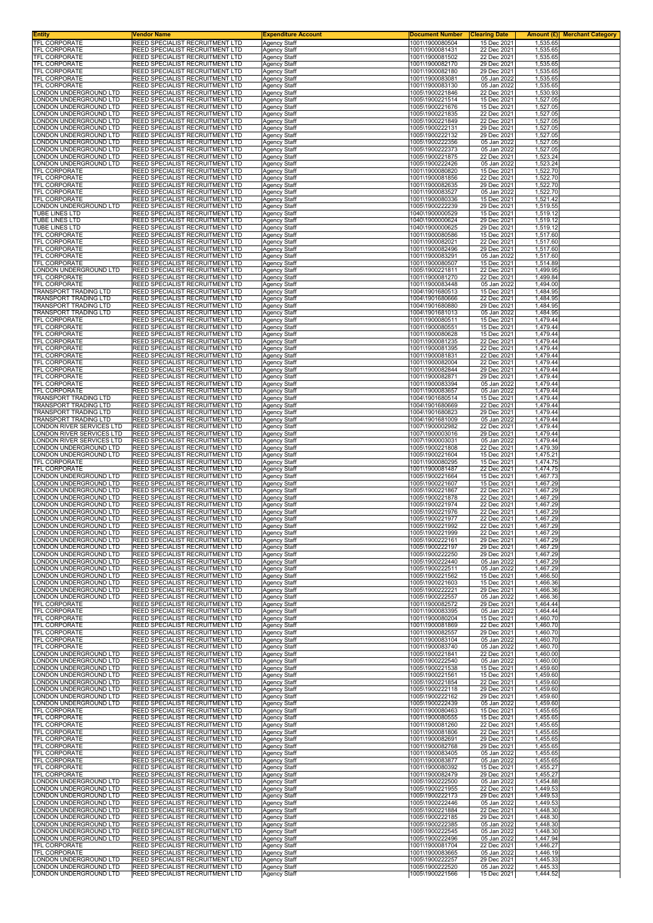| Entity                                                    | Vendor Name                                                        | <b>Expenditure Account</b>                 | <b>Document Number</b>             | <b>Clearing Date</b>       | Amount $(E)$<br><b>Merchant Category</b> |
|-----------------------------------------------------------|--------------------------------------------------------------------|--------------------------------------------|------------------------------------|----------------------------|------------------------------------------|
| TFL CORPORATE<br><b>TFL CORPORATE</b>                     | REED SPECIALIST RECRUITMENT LTD<br>REED SPECIALIST RECRUITMENT LTD | Agency Staff<br><b>Agency Staff</b>        | 1001\1900080504<br>1001\1900081431 | 15 Dec 2021<br>22 Dec 2021 | 1,535.65<br>1,535.65                     |
| TFL CORPORATE                                             | REED SPECIALIST RECRUITMENT LTD                                    | Agency Staff                               | 1001\1900081502                    | 22 Dec 2021                | 1,535.65                                 |
| <b>TFL CORPORATE</b><br>TFL CORPORATE                     | REED SPECIALIST RECRUITMENT LTD<br>REED SPECIALIST RECRUITMENT LTD | <b>Agency Staff</b>                        | 1001\1900082170<br>1001\1900082180 | 29 Dec 2021<br>29 Dec 2021 | 1,535.65                                 |
| TFL CORPORATE                                             | REED SPECIALIST RECRUITMENT LTD                                    | Agency Staff<br>Agency Staff               | 1001\1900083081                    | 05 Jan 2022                | 1,535.65<br>1,535.65                     |
| <b>TFL CORPORATE</b>                                      | REED SPECIALIST RECRUITMENT LTD                                    | <b>Agency Staff</b>                        | 1001\1900083130                    | 05 Jan 2022                | 1,535.65                                 |
| ONDON UNDERGROUND LTD<br>ONDON UNDERGROUND LTD            | REED SPECIALIST RECRUITMENT LTD<br>REED SPECIALIST RECRUITMENT LTD | Agency Staff<br>Agency Staff               | 1005\1900221846<br>1005\1900221514 | 22 Dec 2021<br>15 Dec 2021 | 1,530.93<br>1,527.05                     |
| ONDON UNDERGROUND LTD                                     | REED SPECIALIST RECRUITMENT LTD                                    | Agency Staff                               | 1005\1900221676                    | 15 Dec 2021                | 1,527.05                                 |
| ONDON UNDERGROUND LTD.                                    | REED SPECIALIST RECRUITMENT LTD                                    | Agency Staff                               | 1005\1900221835                    | 22 Dec 2021                | 1,527.05                                 |
| ONDON UNDERGROUND LTD<br>ONDON UNDERGROUND LTD.           | REED SPECIALIST RECRUITMENT LTD<br>REED SPECIALIST RECRUITMENT LTD | <b>Agency Staff</b><br><b>Agency Staff</b> | 1005\1900221849<br>1005\1900222131 | 22 Dec 2021<br>29 Dec 2021 | 1,527.05<br>1,527.05                     |
| ONDON UNDERGROUND LTD.                                    | REED SPECIALIST RECRUITMENT LTD                                    | <b>Agency Staff</b>                        | 1005\1900222132                    | 29 Dec 2021                | 1,527.05                                 |
| ONDON UNDERGROUND LTD<br>ONDON UNDERGROUND LTD            | REED SPECIALIST RECRUITMENT LTD<br>REED SPECIALIST RECRUITMENT LTD | Agency Staff<br>Agency Staff               | 1005\1900222356<br>1005\1900222373 | 05 Jan 2022<br>05 Jan 2022 | 1,527.05<br>1,527.05                     |
| ONDON UNDERGROUND LTD.                                    | REED SPECIALIST RECRUITMENT LTD                                    | <b>Agency Staff</b>                        | 1005\1900221875                    | 22 Dec 2021                | 1,523.24                                 |
| ONDON UNDERGROUND LTD<br><b>TFL CORPORATE</b>             | REED SPECIALIST RECRUITMENT LTD                                    | Agency Staff                               | 1005\1900222426                    | 05 Jan 2022                | 1,523.24                                 |
| TFL CORPORATE                                             | REED SPECIALIST RECRUITMENT LTD<br>REED SPECIALIST RECRUITMENT LTD | <b>Agency Staff</b><br><b>Agency Staff</b> | 1001\1900080820<br>1001\1900081856 | 15 Dec 2021<br>22 Dec 2021 | 1,522.70<br>1,522.70                     |
| TFL CORPORATE                                             | REED SPECIALIST RECRUITMENT LTD                                    | <b>Agency Staff</b>                        | 1001\1900082635                    | 29 Dec 2021                | 1,522.70                                 |
| <b>TFL CORPORATE</b><br>TFL CORPORATE                     | REED SPECIALIST RECRUITMENT LTD<br>REED SPECIALIST RECRUITMENT LTD | Agency Staff<br><b>Agency Staff</b>        | 1001\1900083527<br>1001\1900080336 | 05 Jan 2022<br>15 Dec 2021 | 1,522.70<br>1,521.42                     |
| ONDON UNDERGROUND LTD                                     | REED SPECIALIST RECRUITMENT LTD                                    | Agency Staff                               | 1005\1900222239                    | 29 Dec 2021                | 1,519.55                                 |
| TUBE LINES LTD                                            | REED SPECIALIST RECRUITMENT LTD                                    | <b>Agency Staff</b>                        | 1040\1900000529                    | 15 Dec 2021                | 1,519.12                                 |
| <b>TUBE LINES LTD</b><br>TUBE LINES LTD                   | REED SPECIALIST RECRUITMENT LTD<br>REED SPECIALIST RECRUITMENT LTD | <b>Agency Staff</b><br><b>Agency Staff</b> | 1040\1900000624<br>1040\1900000625 | 29 Dec 2021<br>29 Dec 2021 | 1,519.12<br>1,519.12                     |
| TFL CORPORATE                                             | REED SPECIALIST RECRUITMENT LTD                                    | Agency Staff                               | 1001\1900080586                    | 15 Dec 2021                | 1,517.60                                 |
| TFL CORPORATE<br>TFL CORPORATE                            | REED SPECIALIST RECRUITMENT LTD<br>REED SPECIALIST RECRUITMENT LTD | <b>Agency Staff</b><br>Agency Staff        | 1001\1900082021<br>1001\1900082496 | 22 Dec 2021<br>29 Dec 2021 | 1,517.60<br>1,517.60                     |
| TFL CORPORATE                                             | REED SPECIALIST RECRUITMENT LTD                                    | <b>Agency Staff</b>                        | 1001\1900083291                    | 05 Jan 2022                | 1,517.60                                 |
| TFL CORPORATE                                             | REED SPECIALIST RECRUITMENT LTD                                    | <b>Agency Staff</b>                        | 1001\1900080507                    | 15 Dec 2021                | 1,514.89                                 |
| ONDON UNDERGROUND LTD<br>TFL CORPORATE                    | REED SPECIALIST RECRUITMENT LTD<br>REED SPECIALIST RECRUITMENT LTD | <b>Agency Staff</b><br>Agency Staff        | 1005\1900221811<br>1001\1900081270 | 22 Dec 2021<br>22 Dec 2021 | 1,499.95<br>1,499.84                     |
| TFL CORPORATE                                             | REED SPECIALIST RECRUITMENT LTD                                    | Agency Staff                               | 1001\1900083448                    | 05 Jan 2022                | 1,494.00                                 |
| TRANSPORT TRADING LTD<br>TRANSPORT TRADING LTD            | REED SPECIALIST RECRUITMENT LTD<br>REED SPECIALIST RECRUITMENT LTD | Agency Staff<br><b>Agency Staff</b>        | 1004\1901680513<br>1004\1901680666 | 15 Dec 2021<br>22 Dec 2021 | 1,484.95<br>1,484.95                     |
| TRANSPORT TRADING LTD                                     | REED SPECIALIST RECRUITMENT LTD                                    | <b>Agency Staff</b>                        | 1004\1901680880                    | 29 Dec 2021                | 1,484.95                                 |
| TRANSPORT TRADING LTD                                     | REED SPECIALIST RECRUITMENT LTD                                    | <b>Agency Staff</b>                        | 1004\1901681013                    | 05 Jan 2022                | 1,484.95                                 |
| <b>TFL CORPORATE</b><br><b>TFL CORPORATE</b>              | REED SPECIALIST RECRUITMENT LTD<br>REED SPECIALIST RECRUITMENT LTD | Agency Staff<br>Agency Staff               | 1001\1900080511<br>1001\1900080551 | 15 Dec 2021<br>15 Dec 2021 | 1,479.44<br>1,479.44                     |
| TFL CORPORATE                                             | REED SPECIALIST RECRUITMENT LTD                                    | <b>Agency Staff</b>                        | 1001\1900080628                    | 15 Dec 2021                | 1,479.44                                 |
| TFL CORPORATE<br>TFL CORPORATE                            | REED SPECIALIST RECRUITMENT LTD<br>REED SPECIALIST RECRUITMENT LTD | Agency Staff<br><b>Agency Staff</b>        | 1001\1900081235<br>1001\1900081395 | 22 Dec 2021<br>22 Dec 2021 | 1,479.44<br>1,479.44                     |
| <b>TFL CORPORATE</b>                                      | REED SPECIALIST RECRUITMENT LTD                                    | <b>Agency Staff</b>                        | 1001\1900081831                    | 22 Dec 2021                | 1,479.44                                 |
| TFL CORPORATE                                             | REED SPECIALIST RECRUITMENT LTD                                    | Agency Staff                               | 1001\1900082004                    | 22 Dec 2021                | 1,479.44                                 |
| TFL CORPORATE<br>TFL CORPORATE                            | REED SPECIALIST RECRUITMENT LTD<br>REED SPECIALIST RECRUITMENT LTD | Agency Staff<br>Agency Staff               | 1001\1900082844<br>1001\1900082871 | 29 Dec 2021<br>29 Dec 2021 | 1,479.44<br>1,479.44                     |
| TFL CORPORATE                                             | REED SPECIALIST RECRUITMENT LTD                                    | Agency Staff                               | 1001\1900083394                    | 05 Jan 2022                | 1,479.44                                 |
| <b>TFL CORPORATE</b><br>TRANSPORT TRADING LTD             | REED SPECIALIST RECRUITMENT LTD<br>REED SPECIALIST RECRUITMENT LTD | <b>Agency Staff</b><br><b>Agency Staff</b> | 1001\1900083657<br>1004\1901680514 | 05 Jan 2022<br>15 Dec 2021 | 1,479.44<br>1,479.44                     |
| TRANSPORT TRADING LTD                                     | REED SPECIALIST RECRUITMENT LTD                                    | <b>Agency Staff</b>                        | 1004\1901680669                    | 22 Dec 2021                | 1,479.44                                 |
| TRANSPORT TRADING LTD                                     | REED SPECIALIST RECRUITMENT LTD                                    | <b>Agency Staff</b>                        | 1004\1901680823                    | 29 Dec 2021                | 1,479.44                                 |
| <b>FRANSPORT TRADING LTD</b><br>ONDON RIVER SERVICES LTD. | REED SPECIALIST RECRUITMENT LTD<br>REED SPECIALIST RECRUITMENT LTD | <b>Agency Staff</b><br>Agency Staff        | 1004\1901681009<br>1007\1900002982 | 05 Jan 2022<br>22 Dec 2021 | 1,479.44<br>1,479.44                     |
| ONDON RIVER SERVICES LTD.                                 | REED SPECIALIST RECRUITMENT LTD                                    | <b>Agency Staff</b>                        | 1007\1900003016                    | 29 Dec 2021                | 1,479.44                                 |
| ONDON RIVER SERVICES LTD.<br>ONDON UNDERGROUND LTD        | REED SPECIALIST RECRUITMENT LTD<br>REED SPECIALIST RECRUITMENT LTD | <b>Agency Staff</b><br><b>Agency Staff</b> | 1007\1900003031<br>1005\1900221808 | 05 Jan 2022<br>22 Dec 2021 | 1,479.44<br>1,479.39                     |
| ONDON UNDERGROUND LTD                                     | REED SPECIALIST RECRUITMENT LTD                                    | Agency Staff                               | 1005\1900221604                    | 15 Dec 2021                | 1,475.21                                 |
| TFL CORPORATE                                             | REED SPECIALIST RECRUITMENT LTD                                    | Agency Staff                               | 1001\1900080295                    | 15 Dec 2021                | 1,474.75                                 |
| <b>TFL CORPORATE</b><br>ONDON UNDERGROUND LTD             | REED SPECIALIST RECRUITMENT LTD<br>REED SPECIALIST RECRUITMENT LTD | Agency Staff<br><b>Agency Staff</b>        | 1001\1900081487<br>1005\1900221664 | 22 Dec 2021<br>15 Dec 2021 | 1,474.75<br>1,467.73                     |
| ONDON UNDERGROUND LTD.                                    | REED SPECIALIST RECRUITMENT LTD                                    | <b>Agency Staff</b>                        | 1005\1900221607                    | 15 Dec 2021                | 1,467.29                                 |
| ONDON UNDERGROUND LTD<br>ONDON UNDERGROUND LTD            | REED SPECIALIST RECRUITMENT LTD<br>REED SPECIALIST RECRUITMENT LTD | <b>Agency Staff</b><br>Agency Staff        | 1005\1900221867<br>1005\1900221878 | 22 Dec 2021<br>22 Dec 2021 | 1,467.29<br>1,467.29                     |
| ONDON UNDERGROUND LTD                                     | REED SPECIALIST RECRUITMENT LTD                                    | Agency Staff                               | 1005\1900221974                    | 22 Dec 2021                | 1,467.29                                 |
| ONDON UNDERGROUND LTD<br>ONDON UNDERGROUND LTD            | REED SPECIALIST RECRUITMENT LTD<br>REED SPECIALIST RECRUITMENT LTD | Agency Staff                               | 1005\1900221976<br>1005\1900221977 | 22 Dec 2021<br>22 Dec 2021 | 1,467.29<br>1,467.29                     |
| ONDON UNDERGROUND LTD.                                    | REED SPECIALIST RECRUITMENT LTD                                    | <b>Agency Staff</b><br>Agency Staff        | 1005\1900221992                    | 22 Dec 2021                | 1.467.29                                 |
| ONDON UNDERGROUND LTD.                                    | REED SPECIALIST RECRUITMENT LTD                                    | <b>Agency Staff</b>                        | 1005\1900221999                    | 22 Dec 2021                | 1,467.29                                 |
| ONDON UNDERGROUND LTD<br>ONDON UNDERGROUND LTD            | REED SPECIALIST RECRUITMENT LTD<br>REED SPECIALIST RECRUITMENT LTD | <b>Agency Staff</b><br>Agency Staff        | 1005\1900222161<br>1005\1900222197 | 29 Dec 2021<br>29 Dec 2021 | 1,467.29<br>1,467.29                     |
| ONDON UNDERGROUND LTD                                     | REED SPECIALIST RECRUITMENT LTD                                    | Agency Staff                               | 1005\1900222250                    | 29 Dec 2021                | 1,467.29                                 |
| ONDON UNDERGROUND LTD<br>ONDON UNDERGROUND LTD            | REED SPECIALIST RECRUITMENT LTD<br>REED SPECIALIST RECRUITMENT LTD | <b>Agency Staff</b>                        | 1005\1900222440<br>1005\1900222511 | 05 Jan 2022<br>05 Jan 2022 | 1,467.29<br>1,467.29                     |
| ONDON UNDERGROUND LTD                                     | REED SPECIALIST RECRUITMENT LTD                                    | <b>Agency Staff</b><br><b>Agency Staff</b> | 1005\1900221562                    | 15 Dec 2021                | 1,466.50                                 |
| ONDON UNDERGROUND LTD                                     | REED SPECIALIST RECRUITMENT LTD                                    | <b>Agency Staff</b>                        | 1005\1900221603                    | 15 Dec 2021                | 1,466.36                                 |
| LONDON UNDERGROUND LTD<br>ONDON UNDERGROUND LTD           | REED SPECIALIST RECRUITMENT LTD<br>REED SPECIALIST RECRUITMENT LTD | <b>Agency Staff</b><br>Agency Staff        | 1005\1900222221<br>1005\1900222557 | 29 Dec 2021<br>05 Jan 2022 | 1,466.36<br>1,466.36                     |
| TFL CORPORATE                                             | REED SPECIALIST RECRUITMENT LTD                                    | Agency Staff                               | 1001\1900082572                    | 29 Dec 2021                | 1,464.44                                 |
| <b>TFL CORPORATE</b><br>TFL CORPORATE                     | REED SPECIALIST RECRUITMENT LTD<br>REED SPECIALIST RECRUITMENT LTD | <b>Agency Staff</b><br><b>Agency Staff</b> | 1001\1900083395<br>1001\1900080204 | 05 Jan 2022<br>15 Dec 2021 | 1.464.44<br>1,460.70                     |
| TFL CORPORATE                                             | REED SPECIALIST RECRUITMENT LTD                                    | <b>Agency Staff</b>                        | 1001\1900081869                    | 22 Dec 2021                | 1,460.70                                 |
| TFL CORPORATE                                             | REED SPECIALIST RECRUITMENT LTD                                    | Agency Staff                               | 1001\1900082557<br>1001\1900083104 | 29 Dec 2021                | 1,460.70                                 |
| TFL CORPORATE<br>TFL CORPORATE                            | REED SPECIALIST RECRUITMENT LTD<br>REED SPECIALIST RECRUITMENT LTD | <b>Agency Staff</b><br>Agency Staff        | 1001\1900083740                    | 05 Jan 2022<br>05 Jan 2022 | 1,460.70<br>1,460.70                     |
| ONDON UNDERGROUND LTD                                     | REED SPECIALIST RECRUITMENT LTD                                    | Agency Staff                               | 1005\1900221841                    | 22 Dec 2021                | 1,460.00                                 |
| ONDON UNDERGROUND LTD<br>ONDON UNDERGROUND LTD.           | REED SPECIALIST RECRUITMENT LTD<br>REED SPECIALIST RECRUITMENT LTD | <b>Agency Staff</b><br><b>Agency Staff</b> | 1005\1900222540<br>1005\1900221538 | 05 Jan 2022<br>15 Dec 2021 | 1,460.00<br>1,459.60                     |
| ONDON UNDERGROUND LTD                                     | REED SPECIALIST RECRUITMENT LTD                                    | Agency Staff                               | 1005\1900221561                    | 15 Dec 2021                | 1,459.60                                 |
| LONDON UNDERGROUND LTD                                    | REED SPECIALIST RECRUITMENT LTD                                    | Agency Staff                               | 1005\1900221854                    | 22 Dec 2021                | 1,459.60                                 |
| ONDON UNDERGROUND LTD<br>ONDON UNDERGROUND LTD            | REED SPECIALIST RECRUITMENT LTD<br>REED SPECIALIST RECRUITMENT LTD | Agency Staff<br><b>Agency Staff</b>        | 1005\1900222118<br>1005\1900222162 | 29 Dec 2021<br>29 Dec 2021 | 1,459.60<br>1,459.60                     |
| ONDON UNDERGROUND LTD                                     | REED SPECIALIST RECRUITMENT LTD                                    | Agency Staff                               | 1005\1900222439                    | 05 Jan 2022                | 1,459.60                                 |
| TFL CORPORATE<br>TFL CORPORATE                            | REED SPECIALIST RECRUITMENT LTD<br>REED SPECIALIST RECRUITMENT LTD | <b>Agency Staff</b><br>Agency Staff        | 1001\1900080463<br>1001\1900080555 | 15 Dec 2021<br>15 Dec 2021 | 1,455.65<br>1,455.65                     |
| TFL CORPORATE                                             | REED SPECIALIST RECRUITMENT LTD                                    | Agency Staff                               | 1001\1900081260                    | 22 Dec 2021                | 1,455.65                                 |
| TFL CORPORATE<br>TFL CORPORATE                            | REED SPECIALIST RECRUITMENT LTD<br>REED SPECIALIST RECRUITMENT LTD | Agency Staff<br>Agency Staff               | 1001\1900081806<br>1001\1900082691 | 22 Dec 2021<br>29 Dec 2021 | 1,455.65<br>1,455.65                     |
| TFL CORPORATE                                             | REED SPECIALIST RECRUITMENT LTD                                    | <b>Agency Staff</b>                        | 1001\1900082768                    | 29 Dec 2021                | 1,455.65                                 |
| TFL CORPORATE                                             | REED SPECIALIST RECRUITMENT LTD                                    | <b>Agency Staff</b>                        | 1001\1900083405                    | 05 Jan 2022                | 1,455.65                                 |
| TFL CORPORATE<br>TFL CORPORATE                            | REED SPECIALIST RECRUITMENT LTD<br>REED SPECIALIST RECRUITMENT LTD | Agency Staff<br>Agency Staff               | 1001\1900083877<br>1001\1900080392 | 05 Jan 2022<br>15 Dec 2021 | 1,455.65<br>1,455.27                     |
| TFL CORPORATE                                             | REED SPECIALIST RECRUITMENT LTD                                    | <b>Agency Staff</b>                        | 1001\1900082479                    | 29 Dec 2021                | 1,455.27                                 |
| ONDON UNDERGROUND LTD<br>ONDON UNDERGROUND LTD            | REED SPECIALIST RECRUITMENT LTD<br>REED SPECIALIST RECRUITMENT LTD | Agency Staff<br><b>Agency Staff</b>        | 1005\1900222500<br>1005\1900221955 | 05 Jan 2022<br>22 Dec 2021 | 1,454.88<br>1,449.53                     |
| ONDON UNDERGROUND LTD                                     | REED SPECIALIST RECRUITMENT LTD                                    | <b>Agency Staff</b>                        | 1005\1900222173                    | 29 Dec 2021                | 1,449.53                                 |
| ONDON UNDERGROUND LTD                                     | REED SPECIALIST RECRUITMENT LTD                                    | <b>Agency Staff</b>                        | 1005\1900222446                    | 05 Jan 2022                | 1,449.53                                 |
| ONDON UNDERGROUND LTD<br>ONDON UNDERGROUND LTD            | REED SPECIALIST RECRUITMENT LTD<br>REED SPECIALIST RECRUITMENT LTD | Agency Staff<br><b>Agency Staff</b>        | 1005\1900221884<br>1005\1900222185 | 22 Dec 2021<br>29 Dec 2021 | 1,448.30<br>1,448.30                     |
| ONDON UNDERGROUND LTD                                     | REED SPECIALIST RECRUITMENT LTD                                    | Agency Staff                               | 1005\1900222385                    | 05 Jan 2022                | 1,448.30                                 |
| ONDON UNDERGROUND LTD<br>ONDON UNDERGROUND LTD            | REED SPECIALIST RECRUITMENT LTD<br>REED SPECIALIST RECRUITMENT LTD | Agency Staff<br><b>Agency Staff</b>        | 1005\1900222545<br>1005\1900222496 | 05 Jan 2022<br>05 Jan 2022 | 1,448.30<br>1,447.94                     |
| TFL CORPORATE                                             | REED SPECIALIST RECRUITMENT LTD                                    | <b>Agency Staff</b>                        | 1001\1900081704                    | 22 Dec 2021                | 1,446.27                                 |
| TFL CORPORATE                                             | REED SPECIALIST RECRUITMENT LTD                                    | Agency Staff                               | 1001\1900083665                    | 05 Jan 2022                | 1,446.19                                 |
| ONDON UNDERGROUND LTD<br>ONDON UNDERGROUND LTD            | REED SPECIALIST RECRUITMENT LTD<br>REED SPECIALIST RECRUITMENT LTD | Agency Staff<br>Agency Staff               | 1005\1900222257<br>1005\1900222520 | 29 Dec 2021<br>05 Jan 2022 | 1,445.33<br>1,445.33                     |
| LONDON UNDERGROUND LTD                                    | REED SPECIALIST RECRUITMENT LTD                                    | Agency Staff                               | 1005\1900221566                    | 15 Dec 2021                | 1,444.52                                 |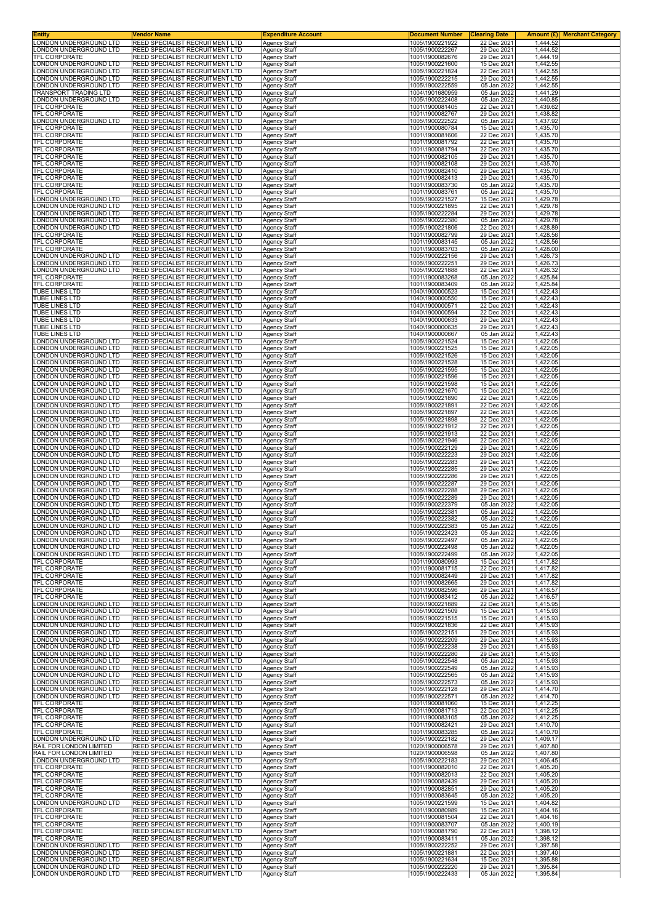| <b>Entity</b>                                     | Vendor Name                                                                      | <b>Expenditure Account</b>                 | <b>Document Number</b>             | <b>Clearing Date</b>       | <b>Merchant Category</b><br>Amount (£) |
|---------------------------------------------------|----------------------------------------------------------------------------------|--------------------------------------------|------------------------------------|----------------------------|----------------------------------------|
| LONDON UNDERGROUND LTD<br>ONDON UNDERGROUND LTD   | <b>REED SPECIALIST RECRUITMENT LTD</b><br><b>REED SPECIALIST RECRUITMENT LTD</b> | Agency Staff<br><b>Agency Staff</b>        | 1005\1900221922<br>1005\1900222267 | 22 Dec 2021<br>29 Dec 2021 | 1,444.52<br>1,444.52                   |
| TFL CORPORATE                                     | REED SPECIALIST RECRUITMENT LTD                                                  | <b>Agency Staff</b>                        | 1001\1900082676                    | 29 Dec 2021                | 1,444.19                               |
| LONDON UNDERGROUND LTD                            | REED SPECIALIST RECRUITMENT LTD<br><b>REED SPECIALIST RECRUITMENT LTD</b>        | <b>Agency Staff</b>                        | 1005\1900221600                    | 15 Dec 2021<br>22 Dec 2021 | 1,442.55                               |
| ONDON UNDERGROUND LTD<br>ONDON UNDERGROUND LTD    | REED SPECIALIST RECRUITMENT LTD                                                  | Agency Staff<br><b>Agency Staff</b>        | 1005\1900221824<br>1005\1900222215 | 29 Dec 2021                | 1,442.55<br>1,442.55                   |
| ONDON UNDERGROUND LTD.                            | REED SPECIALIST RECRUITMENT LTD                                                  | <b>Agency Staff</b>                        | 1005\1900222559                    | 05 Jan 2022                | 1,442.55                               |
| TRANSPORT TRADING LTD<br>LONDON UNDERGROUND LTD   | REED SPECIALIST RECRUITMENT LTD<br>REED SPECIALIST RECRUITMENT LTD               | <b>Agency Staff</b><br><b>Agency Staff</b> | 1004\1901680959<br>1005\1900222408 | 05 Jan 2022<br>05 Jan 2022 | 1.441.29<br>1,440.85                   |
| <b>TFL CORPORATE</b>                              | REED SPECIALIST RECRUITMENT LTD                                                  | Agency Staff                               | 1001\1900081405                    | 22 Dec 2021                | 1,439.62                               |
| TFL CORPORATE                                     | REED SPECIALIST RECRUITMENT LTD                                                  | <b>Agency Staff</b>                        | 1001\1900082767                    | 29 Dec 2021                | 1,438.82                               |
| LONDON UNDERGROUND LTD<br>TFL CORPORATE           | REED SPECIALIST RECRUITMENT LTD<br>REED SPECIALIST RECRUITMENT LTD               | Agency Staff<br>Agency Staff               | 1005\1900222522<br>1001\1900080784 | 05 Jan 2022<br>15 Dec 2021 | 1,437.92<br>1,435.70                   |
| TFL CORPORATE                                     | REED SPECIALIST RECRUITMENT LTD                                                  | <b>Agency Staff</b>                        | 1001\1900081606                    | 22 Dec 2021                | 1,435.70                               |
| TFL CORPORATE<br>TFL CORPORATE                    | REED SPECIALIST RECRUITMENT LTD<br>REED SPECIALIST RECRUITMENT LTD               | <b>Agency Staff</b><br>Agency Staff        | 1001\1900081792<br>1001\1900081794 | 22 Dec 2021<br>22 Dec 2021 | 1,435.70<br>1,435.70                   |
| TFL CORPORATE                                     | REED SPECIALIST RECRUITMENT LTD                                                  | Agency Staff                               | 1001\1900082105                    | 29 Dec 2021                | 1,435.70                               |
| TFL CORPORATE<br>TFL CORPORATE                    | REED SPECIALIST RECRUITMENT LTD<br>REED SPECIALIST RECRUITMENT LTD               | <b>Agency Staff</b>                        | 1001\1900082108<br>1001\1900082410 | 29 Dec 2021<br>29 Dec 2021 | 1,435.70<br>1,435.70                   |
| TFL CORPORATE                                     | REED SPECIALIST RECRUITMENT LTD                                                  | <b>Agency Staff</b><br>Agency Staff        | 1001\1900082413                    | 29 Dec 2021                | 1,435.70                               |
| TFL CORPORATE                                     | REED SPECIALIST RECRUITMENT LTD<br>REED SPECIALIST RECRUITMENT LTD               | <b>Agency Staff</b>                        | 1001\1900083730                    | 05 Jan 2022                | 1,435.70                               |
| TFL CORPORATE<br>LONDON UNDERGROUND LTD           | REED SPECIALIST RECRUITMENT LTD                                                  | <b>Agency Staff</b><br><b>Agency Staff</b> | 1001\1900083761<br>1005\1900221527 | 05 Jan 2022<br>15 Dec 2021 | 1,435.70<br>1,429.78                   |
| ONDON UNDERGROUND LTD                             | REED SPECIALIST RECRUITMENT LTD                                                  | <b>Agency Staff</b>                        | 1005\1900221895                    | 22 Dec 2021                | 1,429.78                               |
| ONDON UNDERGROUND LTD<br>ONDON UNDERGROUND LTD    | REED SPECIALIST RECRUITMENT LTD<br>REED SPECIALIST RECRUITMENT LTD               | <b>Agency Staff</b><br><b>Agency Staff</b> | 1005\1900222284<br>1005\1900222380 | 29 Dec 2021<br>05 Jan 2022 | 1,429.78<br>1,429.78                   |
| ONDON UNDERGROUND LTD.                            | REED SPECIALIST RECRUITMENT LTD                                                  | <b>Agency Staff</b>                        | 1005\1900221806                    | 22 Dec 2021                | 1,428.89                               |
| <b>TFL CORPORATE</b><br>TFL CORPORATE             | REED SPECIALIST RECRUITMENT LTD<br>REED SPECIALIST RECRUITMENT LTD               | <b>Agency Staff</b><br><b>Agency Staff</b> | 1001\1900082799<br>1001\1900083145 | 29 Dec 2021<br>05 Jan 2022 | 1,428.56<br>1,428.56                   |
| TFL CORPORATE                                     | REED SPECIALIST RECRUITMENT LTD                                                  | Agency Staff                               | 1001\1900083703                    | 05 Jan 2022                | 1,428.00                               |
| LONDON UNDERGROUND LTD                            | REED SPECIALIST RECRUITMENT LTD                                                  | <b>Agency Staff</b>                        | 1005\1900222156                    | 29 Dec 2021                | 1,426.73                               |
| LONDON UNDERGROUND LTD<br>ONDON UNDERGROUND LTD.  | REED SPECIALIST RECRUITMENT LTD<br>REED SPECIALIST RECRUITMENT LTD               | <b>Agency Staff</b><br><b>Agency Staff</b> | 1005\1900222251<br>1005\1900221888 | 29 Dec 2021<br>22 Dec 2021 | 1,426.73<br>1,426.32                   |
| TFL CORPORATE                                     | REED SPECIALIST RECRUITMENT LTD                                                  | <b>Agency Staff</b>                        | 1001\1900083268                    | 05 Jan 2022                | 1,425.84                               |
| TFL CORPORATE<br>TUBE LINES LTD                   | REED SPECIALIST RECRUITMENT LTD<br>REED SPECIALIST RECRUITMENT LTD               | <b>Agency Staff</b><br><b>Agency Staff</b> | 1001\1900083409<br>1040\1900000523 | 05 Jan 2022<br>15 Dec 2021 | 1,425.84<br>1,422.43                   |
| <b>TUBE LINES LTD</b>                             | REED SPECIALIST RECRUITMENT LTD                                                  | <b>Agency Staff</b>                        | 1040\1900000550                    | 15 Dec 2021                | 1,422.43                               |
| TUBE LINES LTD<br><b>TUBE LINES LTD</b>           | REED SPECIALIST RECRUITMENT LTD<br>REED SPECIALIST RECRUITMENT LTD               | <b>Agency Staff</b><br><b>Agency Staff</b> | 1040\1900000571<br>1040\1900000594 | 22 Dec 2021<br>22 Dec 2021 | 1,422.43<br>1,422.43                   |
| TUBE LINES LTD                                    | REED SPECIALIST RECRUITMENT LTD                                                  | <b>Agency Staff</b>                        | 1040\1900000633                    | 29 Dec 2021                | 1,422.43                               |
| TUBE LINES LTD                                    | REED SPECIALIST RECRUITMENT LTD                                                  | <b>Agency Staff</b>                        | 1040\1900000635                    | 29 Dec 2021                | 1,422.43                               |
| TUBE LINES LTD<br>ONDON UNDERGROUND LTD           | REED SPECIALIST RECRUITMENT LTD<br>REED SPECIALIST RECRUITMENT LTD               | Agency Staff<br><b>Agency Staff</b>        | 1040\1900000667<br>1005\1900221524 | 05 Jan 2022<br>15 Dec 2021 | 1,422.43<br>1,422.05                   |
| ONDON UNDERGROUND LTD                             | REED SPECIALIST RECRUITMENT LTD                                                  | <b>Agency Staff</b>                        | 1005\1900221525                    | 15 Dec 2021                | 1,422.05                               |
| LONDON UNDERGROUND LTD<br>ONDON UNDERGROUND LTD   | <b>REED SPECIALIST RECRUITMENT LTD</b><br>REED SPECIALIST RECRUITMENT LTD        | <b>Agency Staff</b><br><b>Agency Staff</b> | 1005\1900221526<br>1005\1900221528 | 15 Dec 2021<br>15 Dec 2021 | 1,422.05<br>1,422.05                   |
| ONDON UNDERGROUND LTD                             | REED SPECIALIST RECRUITMENT LTD                                                  | Agency Staff                               | 1005\1900221595                    | 15 Dec 2021                | 1,422.05                               |
| ONDON UNDERGROUND LTD                             | REED SPECIALIST RECRUITMENT LTD                                                  | <b>Agency Staff</b>                        | 1005\1900221596                    | 15 Dec 2021<br>15 Dec 2021 | 1,422.05                               |
| ONDON UNDERGROUND LTD<br>ONDON UNDERGROUND LTD    | REED SPECIALIST RECRUITMENT LTD<br>REED SPECIALIST RECRUITMENT LTD               | <b>Agency Staff</b><br><b>Agency Staff</b> | 1005\1900221598<br>1005\1900221670 | 15 Dec 2021                | 1,422.05<br>1,422.05                   |
| ONDON UNDERGROUND LTD.                            | REED SPECIALIST RECRUITMENT LTD                                                  | <b>Agency Staff</b>                        | 1005\1900221890                    | 22 Dec 2021                | 1,422.05                               |
| ONDON UNDERGROUND LTD<br>ONDON UNDERGROUND LTD    | REED SPECIALIST RECRUITMENT LTD<br>REED SPECIALIST RECRUITMENT LTD               | <b>Agency Staff</b><br><b>Agency Staff</b> | 1005\1900221891<br>1005\1900221897 | 22 Dec 2021<br>22 Dec 2021 | 1,422.05<br>1,422.05                   |
| ONDON UNDERGROUND LTD                             | REED SPECIALIST RECRUITMENT LTD                                                  | <b>Agency Staff</b>                        | 1005\1900221898                    | 22 Dec 2021                | 1,422.05                               |
| ONDON UNDERGROUND LTD<br>ONDON UNDERGROUND LTD    | REED SPECIALIST RECRUITMENT LTD<br>REED SPECIALIST RECRUITMENT LTD               | <b>Agency Staff</b><br><b>Agency Staff</b> | 1005\1900221912<br>1005\1900221913 | 22 Dec 2021<br>22 Dec 2021 | 1,422.05<br>1,422.05                   |
| ONDON UNDERGROUND LTD                             | REED SPECIALIST RECRUITMENT LTD                                                  | <b>Agency Staff</b>                        | 1005\1900221946                    | 22 Dec 2021                | 1,422.05                               |
| ONDON UNDERGROUND LTD.<br>ONDON UNDERGROUND LTD   | REED SPECIALIST RECRUITMENT LTD<br>REED SPECIALIST RECRUITMENT LTD               | <b>Agency Staff</b>                        | 1005\1900222129<br>1005\1900222223 | 29 Dec 2021<br>29 Dec 2021 | 1,422.05<br>1,422.05                   |
| ONDON UNDERGROUND LTD                             | REED SPECIALIST RECRUITMENT LTD                                                  | <b>Agency Staff</b><br><b>Agency Staff</b> | 1005\1900222283                    | 29 Dec 2021                | 1,422.05                               |
| ONDON UNDERGROUND LTD                             | REED SPECIALIST RECRUITMENT LTD                                                  | Agency Staff                               | 1005\1900222285                    | 29 Dec 2021                | 1,422.05                               |
| ONDON UNDERGROUND LTD<br>ONDON UNDERGROUND LTD    | REED SPECIALIST RECRUITMENT LTD<br>REED SPECIALIST RECRUITMENT LTD               | <b>Agency Staff</b><br><b>Agency Staff</b> | 1005\1900222286<br>1005\1900222287 | 29 Dec 2021<br>29 Dec 2021 | 1,422.05<br>1,422.05                   |
| ONDON UNDERGROUND LTD                             | REED SPECIALIST RECRUITMENT LTD                                                  | <b>Agency Staff</b>                        | 1005\1900222288                    | 29 Dec 2021                | 1,422.05                               |
| ONDON UNDERGROUND LTD<br>ONDON UNDERGROUND LTD    | REED SPECIALIST RECRUITMENT LTD<br>REED SPECIALIST RECRUITMENT LTD               | <b>Agency Staff</b><br>Agency Staff        | 1005\1900222289<br>1005\1900222379 | 29 Dec 2021<br>05 Jan 2022 | 1,422.05<br>1,422.05                   |
| ONDON UNDERGROUND LTD.                            | REED SPECIALIST RECRUITMENT LTD                                                  | Agency Staff                               | 1005\1900222381                    | 05 Jan 2022                | 1,422.05                               |
| ONDON UNDERGROUND LTD<br>LONDON UNDERGROUND LTD   | REED SPECIALIST RECRUITMENT LTD                                                  | <b>Agency Staff</b>                        | 1005\1900222382                    | 05 Jan 2022                | 1,422.05                               |
| LONDON UNDERGROUND LTD                            | REED SPECIALIST RECRUITMENT LTD<br><b>REED SPECIALIST RECRUITMENT LTD</b>        | Agency Staff<br><b>Agency Staff</b>        | 1005\1900222383<br>1005\1900222423 | 05 Jan 2022<br>05 Jan 2022 | 1,422.05<br>1,422.05                   |
| LONDON UNDERGROUND LTD                            | REED SPECIALIST RECRUITMENT LTD                                                  | <b>Agency Staff</b>                        | 1005\1900222497                    | 05 Jan 2022                | 1,422.05                               |
| LONDON UNDERGROUND LTD<br>LONDON UNDERGROUND LTD  | REED SPECIALIST RECRUITMENT LTD<br>REED SPECIALIST RECRUITMENT LTD               | Agency Staff<br>Agency Staff               | 1005\1900222498<br>1005\1900222499 | 05 Jan 2022<br>05 Jan 2022 | 1,422.05<br>1,422.05                   |
| TFL CORPORATE                                     | REED SPECIALIST RECRUITMENT LTD                                                  | Agency Staff                               | 1001\1900080993                    | 15 Dec 2021                | 1,417.82                               |
| TFL CORPORATE<br>TFL CORPORATE                    | REED SPECIALIST RECRUITMENT LTD<br>REED SPECIALIST RECRUITMENT LTD               | <b>Agency Staff</b><br><b>Agency Staff</b> | 1001\1900081715<br>1001\1900082449 | 22 Dec 2021<br>29 Dec 2021 | 1,417.82<br>1,417.82                   |
| TFL CORPORATE                                     | <b>REED SPECIALIST RECRUITMENT LTD</b>                                           | <b>Agency Staff</b>                        | 1001\1900082665                    | 29 Dec 2021                | 1,417.82                               |
| TFL CORPORATE<br>TFL CORPORATE                    | REED SPECIALIST RECRUITMENT LTD<br><b>REED SPECIALIST RECRUITMENT LTD</b>        | <b>Agency Staff</b><br><b>Agency Staff</b> | 1001\1900082596<br>1001\1900083412 | 29 Dec 2021<br>05 Jan 2022 | 1,416.57<br>1,416.57                   |
| LONDON UNDERGROUND LTD                            | <b>REED SPECIALIST RECRUITMENT LTD</b>                                           | Agency Staff                               | 1005\1900221889                    | 22 Dec 2021                | 1,415.95                               |
| ONDON UNDERGROUND LTD<br>LONDON UNDERGROUND LTD   | REED SPECIALIST RECRUITMENT LTD                                                  | <b>Agency Staff</b><br><b>Agency Staff</b> | 1005\1900221509                    | 15 Dec 2021                | 1,415.93                               |
| LONDON UNDERGROUND LTD                            | REED SPECIALIST RECRUITMENT LTD<br><b>REED SPECIALIST RECRUITMENT LTD</b>        | <b>Agency Staff</b>                        | 1005\1900221515<br>1005\1900221836 | 15 Dec 2021<br>22 Dec 2021 | 1,415.93<br>1,415.93                   |
| LONDON UNDERGROUND LTD                            | REED SPECIALIST RECRUITMENT LTD                                                  | Agency Staff                               | 1005\1900222151                    | 29 Dec 2021                | 1,415.93                               |
| LONDON UNDERGROUND LTD<br>ONDON UNDERGROUND LTD   | <b>REED SPECIALIST RECRUITMENT LTD</b><br>REED SPECIALIST RECRUITMENT LTD        | Agency Staff<br><b>Agency Staff</b>        | 1005\1900222209<br>1005\1900222238 | 29 Dec 2021<br>29 Dec 2021 | 1,415.93<br>1,415.93                   |
| LONDON UNDERGROUND LTD                            | REED SPECIALIST RECRUITMENT LTD                                                  | Agency Staff                               | 1005\1900222280                    | 29 Dec 2021                | 1,415.93                               |
| ONDON UNDERGROUND LTD<br>ONDON UNDERGROUND LTD.   | REED SPECIALIST RECRUITMENT LTD<br>REED SPECIALIST RECRUITMENT LTD               | <b>Agency Staff</b><br><b>Agency Staff</b> | 1005\1900222548<br>1005\1900222549 | 05 Jan 2022<br>05 Jan 2022 | 1,415.93<br>1,415.93                   |
| ONDON UNDERGROUND LTD                             | REED SPECIALIST RECRUITMENT LTD                                                  | Agency Staff                               | 1005\1900222565                    | 05 Jan 2022                | 1,415.93                               |
| ONDON UNDERGROUND LTD<br>ONDON UNDERGROUND LTD    | REED SPECIALIST RECRUITMENT LTD<br><b>REED SPECIALIST RECRUITMENT LTD</b>        | Agency Staff<br><b>Agency Staff</b>        | 1005\1900222573<br>1005\1900222128 | 05 Jan 2022<br>29 Dec 2021 | 1,415.93<br>1,414.70                   |
| LONDON UNDERGROUND LTD                            | REED SPECIALIST RECRUITMENT LTD                                                  | <b>Agency Staff</b>                        | 1005\1900222571                    | 05 Jan 2022                | 1,414.70                               |
| TFL CORPORATE                                     | REED SPECIALIST RECRUITMENT LTD                                                  | Agency Staff                               | 1001\1900081060                    | 15 Dec 2021                | 1,412.25                               |
| TFL CORPORATE<br>TFL CORPORATE                    | REED SPECIALIST RECRUITMENT LTD<br>REED SPECIALIST RECRUITMENT LTD               | <b>Agency Staff</b><br><b>Agency Staff</b> | 1001\1900081713<br>1001\1900083105 | 22 Dec 2021<br>05 Jan 2022 | 1,412.25<br>1,412.25                   |
| TFL CORPORATE                                     | REED SPECIALIST RECRUITMENT LTD                                                  | Agency Staff                               | 1001\1900082421                    | 29 Dec 2021                | 1,410.70                               |
| TFL CORPORATE<br>LONDON UNDERGROUND LTD           | REED SPECIALIST RECRUITMENT LTD<br>REED SPECIALIST RECRUITMENT LTD               | <b>Agency Staff</b><br>Agency Staff        | 1001\1900083285<br>1005\1900222182 | 05 Jan 2022<br>29 Dec 2021 | 1,410.70<br>1,409.17                   |
| RAIL FOR LONDON LIMITED                           | REED SPECIALIST RECRUITMENT LTD                                                  | <b>Agency Staff</b>                        | 1020\1900006578                    | 29 Dec 2021                | 1,407.80                               |
| RAIL FOR LONDON LIMITED<br>LONDON UNDERGROUND LTD | REED SPECIALIST RECRUITMENT LTD<br><b>REED SPECIALIST RECRUITMENT LTD</b>        | <b>Agency Staff</b><br><b>Agency Staff</b> | 1020\1900006598<br>1005\1900222183 | 05 Jan 2022<br>29 Dec 2021 | 1,407.80<br>1,406.45                   |
| TFL CORPORATE                                     | REED SPECIALIST RECRUITMENT LTD                                                  | Agency Staff                               | 1001\1900082010                    | 22 Dec 2021                | 1,405.20                               |
| TFL CORPORATE<br>TFL CORPORATE                    | REED SPECIALIST RECRUITMENT LTD<br><b>REED SPECIALIST RECRUITMENT LTD</b>        | <b>Agency Staff</b><br>Agency Staff        | 1001\1900082013<br>1001\1900082439 | 22 Dec 2021<br>29 Dec 2021 | 1,405.20<br>1,405.20                   |
| TFL CORPORATE                                     | REED SPECIALIST RECRUITMENT LTD                                                  | <b>Agency Staff</b>                        | 1001\1900082851                    | 29 Dec 2021                | 1,405.20                               |
| TFL CORPORATE<br>LONDON UNDERGROUND LTD           | REED SPECIALIST RECRUITMENT LTD<br>REED SPECIALIST RECRUITMENT LTD               | <b>Agency Staff</b>                        | 1001\1900083645                    | 05 Jan 2022                | 1,405.20                               |
| TFL CORPORATE                                     | REED SPECIALIST RECRUITMENT LTD                                                  | <b>Agency Staff</b><br><b>Agency Staff</b> | 1005\1900221599<br>1001\1900080989 | 15 Dec 2021<br>15 Dec 2021 | 1,404.82<br>1,404.16                   |
| TFL CORPORATE                                     | REED SPECIALIST RECRUITMENT LTD                                                  | <b>Agency Staff</b>                        | 1001\1900081504                    | 22 Dec 2021                | 1,404.16                               |
| TFL CORPORATE<br>TFL CORPORATE                    | REED SPECIALIST RECRUITMENT LTD<br>REED SPECIALIST RECRUITMENT LTD               | <b>Agency Staff</b><br>Agency Staff        | 1001\1900083707<br>1001\1900081790 | 05 Jan 2022<br>22 Dec 2021 | 1,400.19<br>1,398.12                   |
| TFL CORPORATE                                     | REED SPECIALIST RECRUITMENT LTD                                                  | <b>Agency Staff</b>                        | 1001\1900083411                    | 05 Jan 2022                | 1,398.12                               |
| LONDON UNDERGROUND LTD<br>LONDON UNDERGROUND LTD  | REED SPECIALIST RECRUITMENT LTD<br>REED SPECIALIST RECRUITMENT LTD               | <b>Agency Staff</b><br>Agency Staff        | 1005\1900222252<br>1005\1900221881 | 29 Dec 2021<br>22 Dec 2021 | 1,397.58<br>1,397.40                   |
| LONDON UNDERGROUND LTD                            | REED SPECIALIST RECRUITMENT LTD                                                  | <b>Agency Staff</b>                        | 1005\1900221634                    | 15 Dec 2021                | 1,395.88                               |
| LONDON UNDERGROUND LTD<br>LONDON UNDERGROUND LTD  | <b>REED SPECIALIST RECRUITMENT LTD</b><br>REED SPECIALIST RECRUITMENT LTD        | Agency Staff<br>Agency Staff               | 1005\1900222220<br>1005\1900222433 | 29 Dec 2021<br>05 Jan 2022 | 1,395.84<br>1,395.84                   |
|                                                   |                                                                                  |                                            |                                    |                            |                                        |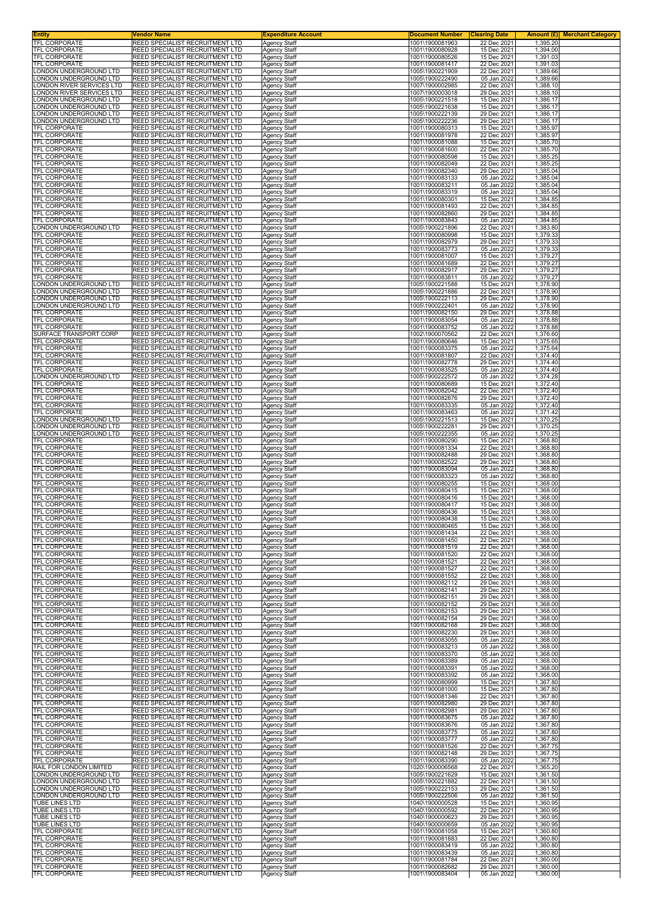| <b>Entity</b><br>TFL CORPORATE                    | Vendor Name<br>REED SPECIALIST RECRUITMENT LTD                            | <b>Expenditure Account</b><br><b>Agency Staff</b> | <b>Document Number</b><br>1001\1900081963 | <b>Clearing Date</b><br>22 Dec 2021 | 1,395.20             | <b>Amount (£) Merchant Category</b> |
|---------------------------------------------------|---------------------------------------------------------------------------|---------------------------------------------------|-------------------------------------------|-------------------------------------|----------------------|-------------------------------------|
| <b>TFL CORPORATE</b>                              | <b>REED SPECIALIST RECRUITMENT LTD</b>                                    | <b>Agency Staff</b>                               | 1001\1900080928                           | 15 Dec 2021                         | 1,394.00             |                                     |
| <b>TFL CORPORATE</b>                              | REED SPECIALIST RECRUITMENT LTD                                           | Agency Staff                                      | 1001\1900080526                           | 15 Dec 2021                         | 1,391.03             |                                     |
| TFL CORPORATE                                     | REED SPECIALIST RECRUITMENT LTD                                           | <b>Agency Staff</b>                               | 1001\1900081417                           | 22 Dec 2021                         | 1,391.03             |                                     |
| ONDON UNDERGROUND LTD                             | <b>REED SPECIALIST RECRUITMENT LTD</b>                                    | Agency Staff                                      | 1005\1900221909                           | 22 Dec 2021                         | 1,389.66             |                                     |
| ONDON UNDERGROUND LTD<br>ONDON RIVER SERVICES LTD | REED SPECIALIST RECRUITMENT LTD<br>REED SPECIALIST RECRUITMENT LTD        | Agency Staff                                      | 1005\1900222490                           | 05 Jan 2022<br>22 Dec 2021          | 1,389.66<br>1,388.10 |                                     |
| ONDON RIVER SERVICES LTD                          | <b>REED SPECIALIST RECRUITMENT LTD</b>                                    | <b>Agency Staff</b><br>Agency Staff               | 1007\1900002985<br>1007\1900003018        | 29 Dec 2021                         | 1,388.10             |                                     |
| ONDON UNDERGROUND LTD                             | REED SPECIALIST RECRUITMENT LTD                                           | Agency Staff                                      | 1005\1900221518                           | 15 Dec 2021                         | 1,386.17             |                                     |
| ONDON UNDERGROUND LTD                             | REED SPECIALIST RECRUITMENT LTD                                           | Agency Staff                                      | 1005\1900221638                           | 15 Dec 2021                         | 1,386.17             |                                     |
| ONDON UNDERGROUND LTD                             | <b>REED SPECIALIST RECRUITMENT LTD</b>                                    | Agency Staff                                      | 1005\1900222139                           | 29 Dec 2021                         | 1,386.17             |                                     |
| ONDON UNDERGROUND LTD                             | REED SPECIALIST RECRUITMENT LTD                                           | Agency Staff                                      | 1005\1900222236                           | 29 Dec 2021                         | 1,386.17             |                                     |
| TFL CORPORATE                                     | REED SPECIALIST RECRUITMENT LTD                                           | Agency Staff                                      | 1001\1900080313                           | 15 Dec 2021                         | 1,385.97             |                                     |
| TFL CORPORATE                                     | REED SPECIALIST RECRUITMENT LTD                                           | <b>Agency Staff</b>                               | 1001\1900081978                           | 22 Dec 2021                         | 1,385.97             |                                     |
| TFL CORPORATE                                     | REED SPECIALIST RECRUITMENT LTD                                           | <b>Agency Staff</b>                               | 1001\1900081088                           | 15 Dec 2021                         | 1,385.70             |                                     |
| TFL CORPORATE                                     | REED SPECIALIST RECRUITMENT LTD                                           | Agency Staff                                      | 1001\1900081600                           | 22 Dec 2021                         | 1,385.70             |                                     |
| TFL CORPORATE                                     | REED SPECIALIST RECRUITMENT LTD                                           | Agency Staff                                      | 1001\1900080598                           | 15 Dec 2021                         | 1,385.25             |                                     |
| TFL CORPORATE                                     | REED SPECIALIST RECRUITMENT LTD                                           | Agency Staff                                      | 1001\1900082049                           | 22 Dec 2021                         | 1,385.25             |                                     |
| TFL CORPORATE                                     | REED SPECIALIST RECRUITMENT LTD                                           | <b>Agency Staff</b>                               | 1001\1900082340                           | 29 Dec 2021                         | 1,385.04             |                                     |
| TFL CORPORATE                                     | REED SPECIALIST RECRUITMENT LTD                                           | <b>Agency Staff</b>                               | 1001\1900083133                           | 05 Jan 2022                         | 1,385.04             |                                     |
| TFL CORPORATE                                     | REED SPECIALIST RECRUITMENT LTD                                           | Agency Staff                                      | 1001\1900083211                           | 05 Jan 2022                         | 1,385.04             |                                     |
| TFL CORPORATE                                     | REED SPECIALIST RECRUITMENT LTD                                           | <b>Agency Staff</b>                               | 1001\1900083319                           | 05 Jan 2022                         | 1,385.04             |                                     |
| TFL CORPORATE                                     | REED SPECIALIST RECRUITMENT LTD                                           | <b>Agency Staff</b>                               | 1001\1900080301                           | 15 Dec 2021                         | 1,384.85             |                                     |
| TFL CORPORATE                                     | REED SPECIALIST RECRUITMENT LTD                                           | Agency Staff                                      | 1001\1900081493                           | 22 Dec 2021                         | 1,384.85             |                                     |
| TFL CORPORATE                                     | REED SPECIALIST RECRUITMENT LTD                                           | Agency Staff                                      | 1001\1900082860                           | 29 Dec 2021                         | 1,384.85             |                                     |
| TFL CORPORATE                                     | REED SPECIALIST RECRUITMENT LTD                                           | <b>Agency Staff</b>                               | 1001\1900083843                           | 05 Jan 2022                         | 1,384.85             |                                     |
| LONDON UNDERGROUND LTD                            | <b>REED SPECIALIST RECRUITMENT LTD</b>                                    | <b>Agency Staff</b>                               | 1005\1900221896                           | 22 Dec 2021                         | 1,383.80             |                                     |
| <b>TFL CORPORATE</b>                              | REED SPECIALIST RECRUITMENT LTD                                           | Agency Staff                                      | 1001\1900080998                           | 15 Dec 2021                         | 1,379.33             |                                     |
| TFL CORPORATE                                     | REED SPECIALIST RECRUITMENT LTD                                           | <b>Agency Staff</b>                               | 1001\1900082979                           | 29 Dec 2021                         | 1,379.33             |                                     |
| TFL CORPORATE                                     | REED SPECIALIST RECRUITMENT LTD                                           | Agency Staff                                      | 1001\1900083773                           | 05 Jan 2022                         | 1,379.33             |                                     |
| TFL CORPORATE                                     | REED SPECIALIST RECRUITMENT LTD                                           | Agency Staff                                      | 1001\1900081007                           | 15 Dec 2021                         | 1,379.27             |                                     |
| <b>TFL CORPORATE</b>                              | REED SPECIALIST RECRUITMENT LTD                                           | <b>Agency Staff</b>                               | 1001\1900081689                           | 22 Dec 2021                         | 1,379.27             |                                     |
| <b>TFL CORPORATE</b>                              | REED SPECIALIST RECRUITMENT LTD                                           | <b>Agency Staff</b>                               | 1001\1900082917                           | 29 Dec 2021                         | 1.379.27             |                                     |
| TFL CORPORATE                                     | REED SPECIALIST RECRUITMENT LTD                                           | Agency Staff                                      | 1001\1900083811                           | 05 Jan 2022                         | 1,379.27             |                                     |
| LONDON UNDERGROUND LTD                            | REED SPECIALIST RECRUITMENT LTD                                           | Agency Staff                                      | 1005\1900221588                           | 15 Dec 2021                         | 1,378.90             |                                     |
| ONDON UNDERGROUND LTD.                            | REED SPECIALIST RECRUITMENT LTD                                           | <b>Agency Staff</b>                               | 1005\1900221886                           | 22 Dec 2021                         | 1,378.90             |                                     |
| ONDON UNDERGROUND LTD                             | REED SPECIALIST RECRUITMENT LTD                                           | <b>Agency Staff</b>                               | 1005\1900222113                           | 29 Dec 2021                         | 1,378.90             |                                     |
| ONDON UNDERGROUND LTD                             | REED SPECIALIST RECRUITMENT LTD                                           | <b>Agency Staff</b>                               | 1005\1900222401                           | 05 Jan 2022                         | 1,378.90             |                                     |
| TFL CORPORATE                                     | <b>REED SPECIALIST RECRUITMENT LTD</b>                                    | <b>Agency Staff</b>                               | 1001\1900082150                           | 29 Dec 2021                         | 1,378.88             |                                     |
| TFL CORPORATE                                     | REED SPECIALIST RECRUITMENT LTD                                           | Agency Staff                                      | 1001\1900083054                           | 05 Jan 2022                         | 1,378.88             |                                     |
| TFL CORPORATE                                     | REED SPECIALIST RECRUITMENT LTD                                           | Agency Staff                                      | 1001\1900083752                           | 05 Jan 2022                         | 1,378.88             |                                     |
| SURFACE TRANSPORT CORP                            | REED SPECIALIST RECRUITMENT LTD                                           | Agency Staff                                      | 1002\1900070562                           | 22 Dec 2021                         | 1,376.60             |                                     |
| TFL CORPORATE                                     | REED SPECIALIST RECRUITMENT LTD                                           | Agency Staff                                      | 1001\1900080646                           | 15 Dec 2021                         | 1,375.65             |                                     |
| TFL CORPORATE                                     | REED SPECIALIST RECRUITMENT LTD                                           | <b>Agency Staff</b>                               | 1001\1900083375                           | 05 Jan 2022                         | 1,375.64             |                                     |
| TFL CORPORATE                                     | REED SPECIALIST RECRUITMENT LTD                                           | <b>Agency Staff</b>                               | 1001\1900081807                           | 22 Dec 2021                         | 1,374.40             |                                     |
| TFL CORPORATE                                     | REED SPECIALIST RECRUITMENT LTD                                           | Agency Staff                                      | 1001\1900082778                           | 29 Dec 2021                         | 1,374.40             |                                     |
| TFL CORPORATE                                     | REED SPECIALIST RECRUITMENT LTD                                           | Agency Staff                                      | 1001\1900083525                           | 05 Jan 2022                         | 1,374.40             |                                     |
| LONDON UNDERGROUND LTD                            | REED SPECIALIST RECRUITMENT LTD                                           | <b>Agency Staff</b>                               | 1005\1900222572                           | 05 Jan 2022                         | 1,374.28             |                                     |
| TFL CORPORATE                                     | REED SPECIALIST RECRUITMENT LTD                                           | Agency Staff                                      | 1001\1900080689                           | 15 Dec 2021                         | 1,372.40             |                                     |
| TFL CORPORATE                                     | REED SPECIALIST RECRUITMENT LTD                                           | <b>Agency Staff</b>                               | 1001\1900082042                           | 22 Dec 2021                         | 1,372.40             |                                     |
| TFL CORPORATE                                     | REED SPECIALIST RECRUITMENT LTD                                           | <b>Agency Staff</b>                               | 1001\1900082876                           | 29 Dec 2021                         | 1,372.40             |                                     |
| TFL CORPORATE                                     | <b>REED SPECIALIST RECRUITMENT LTD</b>                                    | Agency Staff                                      | 1001\1900083335                           | 05 Jan 2022                         | 1,372.40             |                                     |
| TFL CORPORATE                                     | REED SPECIALIST RECRUITMENT LTD                                           | Agency Staff                                      | 1001\1900083463                           | 05 Jan 2022                         | 1,371.42             |                                     |
| LONDON UNDERGROUND LTD                            | REED SPECIALIST RECRUITMENT LTD                                           | <b>Agency Staff</b>                               | 1005\1900221513                           | 15 Dec 2021                         | 1,370.25             |                                     |
| ONDON UNDERGROUND LTD                             | <b>REED SPECIALIST RECRUITMENT LTD</b>                                    | Agency Staff                                      | 1005\1900222281                           | 29 Dec 2021                         | 1,370.25             |                                     |
| LONDON UNDERGROUND LTD                            | REED SPECIALIST RECRUITMENT LTD                                           | Agency Staff                                      | 1005\1900222355                           | 05 Jan 2022                         | 1,370.25             |                                     |
| TFL CORPORATE                                     | REED SPECIALIST RECRUITMENT LTD                                           | <b>Agency Staff</b>                               | 1001\1900080290                           | 15 Dec 2021                         | 1,368.80             |                                     |
| TFL CORPORATE                                     | REED SPECIALIST RECRUITMENT LTD                                           | <b>Agency Staff</b>                               | 1001\1900081334                           | 22 Dec 2021                         | 1,368.80             |                                     |
| TFL CORPORATE                                     | REED SPECIALIST RECRUITMENT LTD                                           | Agency Staff                                      | 1001\1900082488                           | 29 Dec 2021                         | 1,368.80             |                                     |
| TFL CORPORATE                                     | REED SPECIALIST RECRUITMENT LTD                                           | Agency Staff                                      | 1001\1900082522                           | 29 Dec 2021                         | 1,368.80             |                                     |
| TFL CORPORATE                                     | REED SPECIALIST RECRUITMENT LTD                                           | Agency Staff                                      | 1001\1900083094                           | 05 Jan 2022                         | 1,368.80             |                                     |
| TFL CORPORATE                                     | REED SPECIALIST RECRUITMENT LTD                                           | Agency Staff                                      | 1001\1900083323                           | 05 Jan 2022                         | 1,368.80             |                                     |
| <b>TFL CORPORATE</b><br><b>TFL CORPORATE</b>      | REED SPECIALIST RECRUITMENT LTD                                           | <b>Agency Staff</b>                               | 1001\1900080255                           | 15 Dec 2021                         | 1,368.00             |                                     |
| <b>TFL CORPORATE</b>                              | <b>REED SPECIALIST RECRUITMENT LTD</b><br>REED SPECIALIST RECRUITMENT LTD | <b>Agency Staff</b><br>Agency Staff               | 1001\1900080415<br>1001\1900080416        | 15 Dec 2021<br>15 Dec 2021          | 1,368.00<br>1,368.00 |                                     |
| TFL CORPORATE                                     | REED SPECIALIST RECRUITMENT LTD                                           | Agency Staff                                      | 1001\1900080417                           | 15 Dec 2021                         | 1,368.00             |                                     |
| TFL CORPORATE                                     | REED SPECIALIST RECRUITMENT LTD                                           | Agency Staff                                      | 1001\1900080436                           | 15 Dec 2021                         | 1,368.00             |                                     |
| <b>TFL CORPORATE</b>                              | REED SPECIALIST RECRUITMENT LTD                                           | <b>Agency Staff</b>                               | 1001\1900080438                           | 15 Dec 2021                         | 1,368.00             |                                     |
| <b>IFL CORPORATE</b>                              | REED SPECIALIST RECRUITMENT LTD                                           | Agency Staff                                      | 1001\1900080465                           | 15 Dec 2021                         | 1,368.00             |                                     |
| TFL CORPORATE                                     | <b>REED SPECIALIST RECRUITMENT LTD</b>                                    | <b>Agency Staff</b>                               | 1001\1900081434                           | 22 Dec 2021                         | 1,368.00             |                                     |
| <b>TFL CORPORATE</b>                              | REED SPECIALIST RECRUITMENT LTD                                           | <b>Agency Staff</b>                               | 1001\1900081450                           | 22 Dec 2021                         | 1,368.00             |                                     |
| TFL CORPORATE                                     | REED SPECIALIST RECRUITMENT LTD                                           | Agency Staff                                      | 1001\1900081519                           | 22 Dec 2021                         | 1,368.00             |                                     |
| <b>TFL CORPORATE</b>                              | REED SPECIALIST RECRUITMENT LTD                                           | Agency Staff                                      | 1001\1900081520                           | 22 Dec 2021                         | 1,368.00             |                                     |
| TFL CORPORATE                                     | REED SPECIALIST RECRUITMENT LTD                                           | Agency Staff                                      | 1001\1900081521                           | 22 Dec 2021                         | 1,368.00             |                                     |
| TFL CORPORATE                                     | REED SPECIALIST RECRUITMENT LTD                                           | Agency Staff                                      | 1001\1900081527                           | 22 Dec 2021                         | 1,368.00             |                                     |
| TFL CORPORATE                                     | REED SPECIALIST RECRUITMENT LTD                                           | <b>Agency Staff</b>                               | 1001\1900081552                           | 22 Dec 2021                         | 1,368.00             |                                     |
| TFL CORPORATE                                     | <b>REED SPECIALIST RECRUITMENT LTD</b>                                    | <b>Agency Staff</b>                               | 1001\1900082112                           | 29 Dec 2021                         | 1,368.00             |                                     |
| TFL CORPORATE                                     | REED SPECIALIST RECRUITMENT LTD                                           | Agency Staff                                      | 1001\1900082141                           | 29 Dec 2021                         | 1,368.00             |                                     |
| <b>TFL CORPORATE</b>                              | REED SPECIALIST RECRUITMENT LTD                                           | <b>Agency Staff</b>                               | 1001\1900082151                           | 29 Dec 2021                         | 1,368.00             |                                     |
| <b>TFL CORPORATE</b>                              | <b>REED SPECIALIST RECRUITMENT LTD</b>                                    | <b>Agency Staff</b>                               | 1001\1900082152                           | 29 Dec 2021                         | 1,368.00             |                                     |
| TFL CORPORATE                                     | REED SPECIALIST RECRUITMENT LTD                                           | <b>Agency Staff</b>                               | 1001\1900082153                           | 29 Dec 2021                         | 1,368.00             |                                     |
| TFL CORPORATE                                     | REED SPECIALIST RECRUITMENT LTD                                           | <b>Agency Staff</b>                               | 1001\1900082154                           | 29 Dec 2021                         | 1,368.00             |                                     |
| TFL CORPORATE                                     | <b>REED SPECIALIST RECRUITMENT LTD</b>                                    | <b>Agency Staff</b>                               | 1001\1900082168                           | 29 Dec 2021                         | 1,368.00             |                                     |
| TFL CORPORATE                                     | REED SPECIALIST RECRUITMENT LTD                                           | Agency Staff                                      | 1001\1900082230                           | 29 Dec 2021                         | 1,368.00             |                                     |
| TFL CORPORATE                                     | REED SPECIALIST RECRUITMENT LTD                                           | Agency Staff                                      | 1001\1900083055                           | 05 Jan 2022                         | 1,368.00             |                                     |
| TFL CORPORATE                                     | <b>REED SPECIALIST RECRUITMENT LTD</b>                                    | <b>Agency Staff</b>                               | 1001\1900083213                           | 05 Jan 2022                         | 1,368.00             |                                     |
| TFL CORPORATE                                     | REED SPECIALIST RECRUITMENT LTD                                           | Agency Staff                                      | 1001\1900083370                           | 05 Jan 2022                         | 1,368.00             |                                     |
| <b>TFL CORPORATE</b>                              | REED SPECIALIST RECRUITMENT LTD                                           | Agency Staff                                      | 1001\1900083389                           | 05 Jan 2022                         | 1,368.00             |                                     |
| TFL CORPORATE                                     | <b>REED SPECIALIST RECRUITMENT LTD</b>                                    | <b>Agency Staff</b>                               | 1001\1900083391                           | 05 Jan 2022                         | 1,368.00             |                                     |
| TFL CORPORATE                                     | REED SPECIALIST RECRUITMENT LTD                                           | Agency Staff                                      | 1001\1900083392                           | 05 Jan 2022                         | 1,368.00             |                                     |
| TFL CORPORATE                                     | REED SPECIALIST RECRUITMENT LTD                                           | Agency Staff                                      | 1001\1900080999                           | 15 Dec 2021                         | 1,367.80             |                                     |
| TFL CORPORATE                                     | <b>REED SPECIALIST RECRUITMENT LTD</b>                                    | <b>Agency Staff</b>                               | 1001\1900081000                           | 15 Dec 2021                         | 1,367.80             |                                     |
| TFL CORPORATE                                     | REED SPECIALIST RECRUITMENT LTD                                           | <b>Agency Staff</b>                               | 1001\1900081346                           | 22 Dec 2021                         | 1,367.80             |                                     |
| TFL CORPORATE                                     | REED SPECIALIST RECRUITMENT LTD                                           | Agency Staff                                      | 1001\1900082980                           | 29 Dec 2021                         | 1,367.80             |                                     |
| TFL CORPORATE                                     | <b>REED SPECIALIST RECRUITMENT LTD</b>                                    | <b>Agency Staff</b>                               | 1001\1900082981                           | 29 Dec 2021                         | 1,367.80             |                                     |
| TFL CORPORATE                                     | REED SPECIALIST RECRUITMENT LTD                                           | Agency Staff                                      | 1001\1900083675                           | 05 Jan 2022                         | 1,367.80             |                                     |
| TFL CORPORATE                                     | REED SPECIALIST RECRUITMENT LTD                                           | Agency Staff                                      | 1001\1900083676                           | 05 Jan 2022                         | 1,367.80             |                                     |
| <b>TFL CORPORATE</b>                              | REED SPECIALIST RECRUITMENT LTD                                           | Agency Staff                                      | 1001\1900083775                           | 05 Jan 2022                         | 1,367.80             |                                     |
| TFL CORPORATE                                     | REED SPECIALIST RECRUITMENT LTD                                           | Agency Staff                                      | 1001\1900083777                           | 05 Jan 2022                         | 1,367.80             |                                     |
| TFL CORPORATE                                     | REED SPECIALIST RECRUITMENT LTD                                           | Agency Staff                                      | 1001\1900081526                           | 22 Dec 2021                         | 1,367.75             |                                     |
| TFL CORPORATE                                     | <b>REED SPECIALIST RECRUITMENT LTD</b>                                    | <b>Agency Staff</b>                               | 1001\1900082148                           | 29 Dec 2021                         | 1,367.75             |                                     |
| TFL CORPORATE                                     | REED SPECIALIST RECRUITMENT LTD                                           | Agency Staff                                      | 1001\1900083390                           | 05 Jan 2022                         | 1,367.75             |                                     |
| RAIL FOR LONDON LIMITED                           | REED SPECIALIST RECRUITMENT LTD                                           | Agency Staff                                      | 1020\1900006568                           | 22 Dec 2021                         | 1,365.20             |                                     |
| LONDON UNDERGROUND LTD                            | REED SPECIALIST RECRUITMENT LTD                                           | Agency Staff                                      | 1005\1900221629                           | 15 Dec 2021                         | 1,361.50             |                                     |
| ONDON UNDERGROUND LTD                             | <b>REED SPECIALIST RECRUITMENT LTD</b>                                    | Agency Staff                                      | 1005\1900221882                           | 22 Dec 2021                         | 1,361.50             |                                     |
| LONDON UNDERGROUND LTD                            | REED SPECIALIST RECRUITMENT LTD                                           | <b>Agency Staff</b>                               | 1005\1900222153                           | 29 Dec 2021                         | 1,361.50             |                                     |
| LONDON UNDERGROUND LTD                            | REED SPECIALIST RECRUITMENT LTD                                           | <b>Agency Staff</b>                               | 1005\1900222506                           | 05 Jan 2022                         | 1,361.50             |                                     |
| TUBE LINES LTD                                    | REED SPECIALIST RECRUITMENT LTD                                           | Agency Staff                                      | 1040\1900000528                           | 15 Dec 2021                         | 1,360.95             |                                     |
| TUBE LINES LTD                                    | REED SPECIALIST RECRUITMENT LTD                                           | <b>Agency Staff</b>                               | 1040\1900000592                           | 22 Dec 2021                         | 1,360.95             |                                     |
| TUBE LINES LTD                                    | REED SPECIALIST RECRUITMENT LTD                                           | Agency Staff                                      | 1040\1900000623                           | 29 Dec 2021                         | 1,360.95             |                                     |
| TUBE LINES LTD                                    | <b>REED SPECIALIST RECRUITMENT LTD</b>                                    | <b>Agency Staff</b>                               | 1040\1900000659                           | 05 Jan 2022                         | 1,360.95             |                                     |
| TFL CORPORATE                                     | REED SPECIALIST RECRUITMENT LTD                                           | <b>Agency Staff</b>                               | 1001\1900081058                           | 15 Dec 2021                         | 1,360.80             |                                     |
| TFL CORPORATE                                     | REED SPECIALIST RECRUITMENT LTD                                           | <b>Agency Staff</b>                               | 1001\1900081883                           | 22 Dec 2021                         | 1,360.80             |                                     |
| TFL CORPORATE                                     | <b>REED SPECIALIST RECRUITMENT LTD</b>                                    | <b>Agency Staff</b>                               | 1001\1900083419                           | 05 Jan 2022                         | 1,360.80             |                                     |
| TFL CORPORATE                                     | REED SPECIALIST RECRUITMENT LTD                                           | Agency Staff                                      | 1001\1900083439                           | 05 Jan 2022                         | 1,360.80             |                                     |
| <b>TFL CORPORATE</b>                              | REED SPECIALIST RECRUITMENT LTD                                           | <b>Agency Staff</b>                               | 1001\1900081784                           | 22 Dec 2021                         | 1,360.00             |                                     |
| <b>TFL CORPORATE</b>                              | REED SPECIALIST RECRUITMENT LTD                                           | Agency Staff                                      | 1001\1900082682                           | 29 Dec 2021                         | 1,360.00             |                                     |
| TFL CORPORATE                                     | REED SPECIALIST RECRUITMENT LTD                                           | Agency Staff                                      | 1001\1900083404                           | 05 Jan 2022                         | 1,360.00             |                                     |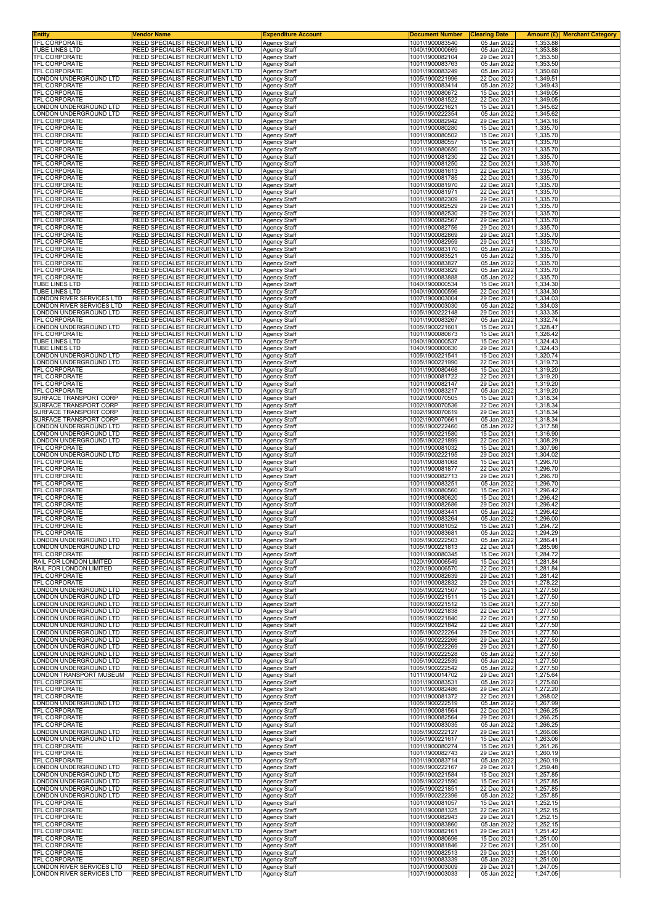| <b>Entity</b><br>TFL CORPORATE                       | Vendor Name<br>REED SPECIALIST RECRUITMENT LTD                            | <b>Expenditure Account</b><br>Agency Staff | <b>Document Number</b>             | <b>Clearing Date</b>       | Amount $(E)$<br><b>Merchant Category</b> |
|------------------------------------------------------|---------------------------------------------------------------------------|--------------------------------------------|------------------------------------|----------------------------|------------------------------------------|
| TUBE LINES LTD                                       | REED SPECIALIST RECRUITMENT LTD                                           | <b>Agency Staff</b>                        | 1001\1900083540<br>1040\1900000669 | 05 Jan 2022<br>05 Jan 2022 | 1,353.88<br>1,353.88                     |
| TFL CORPORATE                                        | REED SPECIALIST RECRUITMENT LTD                                           | <b>Agency Staff</b>                        | 1001\1900082104                    | 29 Dec 2021                | 1,353.50                                 |
| <b>TFL CORPORATE</b><br><b>TFL CORPORATE</b>         | REED SPECIALIST RECRUITMENT LTD<br><b>REED SPECIALIST RECRUITMENT LTD</b> | <b>Agency Staff</b><br>Agency Staff        | 1001\1900083763<br>1001\1900083249 | 05 Jan 2022<br>05 Jan 2022 | 1,353.50<br>1,350.60                     |
| LONDON UNDERGROUND LTD                               | REED SPECIALIST RECRUITMENT LTD                                           | <b>Agency Staff</b>                        | 1005\1900221996                    | 22 Dec 2021                | 1,349.51                                 |
| TFL CORPORATE<br><b>TFL CORPORATE</b>                | REED SPECIALIST RECRUITMENT LTD<br>REED SPECIALIST RECRUITMENT LTD        | <b>Agency Staff</b>                        | 1001\1900083414<br>1001\1900080672 | 05 Jan 2022                | 1,349.43                                 |
| TFL CORPORATE                                        | REED SPECIALIST RECRUITMENT LTD                                           | <b>Agency Staff</b><br><b>Agency Staff</b> | 1001\1900081522                    | 15 Dec 2021<br>22 Dec 2021 | 1,349.05<br>1,349.05                     |
| LONDON UNDERGROUND LTD                               | REED SPECIALIST RECRUITMENT LTD                                           | Agency Staff                               | 1005\1900221621                    | 15 Dec 2021                | 1,345.62                                 |
| ONDON UNDERGROUND LTD.<br>TFL CORPORATE              | REED SPECIALIST RECRUITMENT LTD<br>REED SPECIALIST RECRUITMENT LTD        | <b>Agency Staff</b><br><b>Agency Staff</b> | 1005\1900222354<br>1001\1900082942 | 05 Jan 2022<br>29 Dec 2021 | 1,345.62<br>1,343.16                     |
| TFL CORPORATE                                        | REED SPECIALIST RECRUITMENT LTD                                           | <b>Agency Staff</b>                        | 1001\1900080280                    | 15 Dec 2021                | 1,335.70                                 |
| TFL CORPORATE<br>TFL CORPORATE                       | REED SPECIALIST RECRUITMENT LTD<br>REED SPECIALIST RECRUITMENT LTD        | <b>Agency Staff</b><br><b>Agency Staff</b> | 1001\1900080502<br>1001\1900080557 | 15 Dec 2021<br>15 Dec 2021 | 1,335.70<br>1,335.70                     |
| <b>TFL CORPORATE</b>                                 | REED SPECIALIST RECRUITMENT LTD                                           | Agency Staff                               | 1001\1900080650                    | 15 Dec 2021                | 1,335.70                                 |
| TFL CORPORATE                                        | REED SPECIALIST RECRUITMENT LTD<br>REED SPECIALIST RECRUITMENT LTD        | Agency Staff                               | 1001\1900081230                    | 22 Dec 2021                | 1,335.70                                 |
| TFL CORPORATE<br>TFL CORPORATE                       | REED SPECIALIST RECRUITMENT LTD                                           | <b>Agency Staff</b><br><b>Agency Staff</b> | 1001\1900081250<br>1001\1900081613 | 22 Dec 2021<br>22 Dec 2021 | 1,335.70<br>1,335.70                     |
| TFL CORPORATE                                        | REED SPECIALIST RECRUITMENT LTD                                           | Agency Staff                               | 1001\1900081785                    | 22 Dec 2021                | 1,335.70                                 |
| TFL CORPORATE<br>TFL CORPORATE                       | REED SPECIALIST RECRUITMENT LTD<br>REED SPECIALIST RECRUITMENT LTD        | <b>Agency Staff</b><br><b>Agency Staff</b> | 1001\1900081970<br>1001\1900081971 | 22 Dec 2021<br>22 Dec 2021 | 1,335.70<br>1,335.70                     |
| TFL CORPORATE                                        | REED SPECIALIST RECRUITMENT LTD                                           | <b>Agency Staff</b>                        | 1001\1900082309                    | 29 Dec 2021                | 1,335.70                                 |
| TFL CORPORATE<br>TFL CORPORATE                       | REED SPECIALIST RECRUITMENT LTD<br>REED SPECIALIST RECRUITMENT LTD        | <b>Agency Staff</b><br><b>Agency Staff</b> | 1001\1900082529<br>1001\1900082530 | 29 Dec 2021<br>29 Dec 2021 | 1,335.70<br>1,335.70                     |
| TFL CORPORATE                                        | REED SPECIALIST RECRUITMENT LTD                                           | <b>Agency Staff</b>                        | 1001\1900082567                    | 29 Dec 2021                | 1,335.70                                 |
| TFL CORPORATE<br><b>TFL CORPORATE</b>                | REED SPECIALIST RECRUITMENT LTD<br>REED SPECIALIST RECRUITMENT LTD        | <b>Agency Staff</b><br><b>Agency Staff</b> | 1001\1900082756<br>1001\1900082869 | 29 Dec 2021<br>29 Dec 2021 | 1,335.70<br>1,335.70                     |
| TFL CORPORATE                                        | REED SPECIALIST RECRUITMENT LTD                                           | <b>Agency Staff</b>                        | 1001\1900082959                    | 29 Dec 2021                | 1,335.70                                 |
| TFL CORPORATE                                        | REED SPECIALIST RECRUITMENT LTD<br>REED SPECIALIST RECRUITMENT LTD        | Agency Staff                               | 1001\1900083170                    | 05 Jan 2022                | 1,335.70<br>1,335.70                     |
| TFL CORPORATE<br><b>TFL CORPORATE</b>                | REED SPECIALIST RECRUITMENT LTD                                           | <b>Agency Staff</b><br><b>Agency Staff</b> | 1001\1900083521<br>1001\1900083827 | 05 Jan 2022<br>05 Jan 2022 | 1,335.70                                 |
| TFL CORPORATE                                        | REED SPECIALIST RECRUITMENT LTD                                           | <b>Agency Staff</b>                        | 1001\1900083829                    | 05 Jan 2022                | 1,335.70                                 |
| TFL CORPORATE<br>TUBE LINES LTD                      | REED SPECIALIST RECRUITMENT LTD<br>REED SPECIALIST RECRUITMENT LTD        | <b>Agency Staff</b><br><b>Agency Staff</b> | 1001\1900083888<br>1040\1900000534 | 05 Jan 2022<br>15 Dec 2021 | 1,335.70<br>1,334.30                     |
| TUBE LINES LTD                                       | REED SPECIALIST RECRUITMENT LTD                                           | <b>Agency Staff</b>                        | 1040\1900000596                    | 22 Dec 2021                | 1,334.30                                 |
| ONDON RIVER SERVICES LTD<br>ONDON RIVER SERVICES LTD | REED SPECIALIST RECRUITMENT LTD<br>REED SPECIALIST RECRUITMENT LTD        | <b>Agency Staff</b><br><b>Agency Staff</b> | 1007\1900003004<br>1007\1900003030 | 29 Dec 2021<br>05 Jan 2022 | 1,334.03<br>1,334.03                     |
| ONDON UNDERGROUND LTD                                | REED SPECIALIST RECRUITMENT LTD                                           | <b>Agency Staff</b>                        | 1005\1900222148                    | 29 Dec 2021                | 1,333.35                                 |
| TFL CORPORATE                                        | REED SPECIALIST RECRUITMENT LTD                                           | <b>Agency Staff</b>                        | 1001\1900083267                    | 05 Jan 2022                | 1,332.74                                 |
| LONDON UNDERGROUND LTD<br>TFL CORPORATE              | REED SPECIALIST RECRUITMENT LTD<br>REED SPECIALIST RECRUITMENT LTD        | Agency Staff<br>Agency Staff               | 1005\1900221601<br>1001\1900080673 | 15 Dec 2021<br>15 Dec 2021 | 1,328.47<br>1,326.42                     |
| <b>TUBE LINES LTD</b>                                | REED SPECIALIST RECRUITMENT LTD                                           | <b>Agency Staff</b>                        | 1040\1900000537                    | 15 Dec 2021                | 1,324.43                                 |
| TUBE LINES LTD<br>LONDON UNDERGROUND LTD             | REED SPECIALIST RECRUITMENT LTD<br><b>REED SPECIALIST RECRUITMENT LTD</b> | <b>Agency Staff</b><br><b>Agency Staff</b> | 1040\1900000630<br>1005\1900221541 | 29 Dec 2021<br>15 Dec 2021 | 1,324.43<br>1,320.74                     |
| LONDON UNDERGROUND LTD                               | REED SPECIALIST RECRUITMENT LTD                                           | <b>Agency Staff</b>                        | 1005\1900221990                    | 22 Dec 2021                | 1,319.73                                 |
| TFL CORPORATE                                        | REED SPECIALIST RECRUITMENT LTD<br>REED SPECIALIST RECRUITMENT LTD        | Agency Staff                               | 1001\1900080468                    | 15 Dec 2021<br>22 Dec 2021 | 1,319.20                                 |
| TFL CORPORATE<br>TFL CORPORATE                       | REED SPECIALIST RECRUITMENT LTD                                           | <b>Agency Staff</b><br><b>Agency Staff</b> | 1001\1900081722<br>1001\1900082147 | 29 Dec 2021                | 1,319.20<br>1,319.20                     |
| TFL CORPORATE                                        | REED SPECIALIST RECRUITMENT LTD                                           | <b>Agency Staff</b>                        | 1001\1900083217                    | 05 Jan 2022                | 1,319.20                                 |
| SURFACE TRANSPORT CORP<br>SURFACE TRANSPORT CORP     | REED SPECIALIST RECRUITMENT LTD<br>REED SPECIALIST RECRUITMENT LTD        | <b>Agency Staff</b><br><b>Agency Staff</b> | 1002\1900070505<br>1002\1900070536 | 15 Dec 2021<br>22 Dec 2021 | 1,318.34<br>1,318.34                     |
| SURFACE TRANSPORT CORP                               | REED SPECIALIST RECRUITMENT LTD                                           | <b>Agency Staff</b>                        | 1002\1900070619                    | 29 Dec 2021                | 1,318.34                                 |
| SURFACE TRANSPORT CORP<br>ONDON UNDERGROUND LTD.     | REED SPECIALIST RECRUITMENT LTD<br><b>REED SPECIALIST RECRUITMENT LTD</b> | <b>Agency Staff</b><br><b>Agency Staff</b> | 1002\1900070661<br>1005\1900222460 | 05 Jan 2022<br>05 Jan 2022 | 1,318.34<br>1,317.58                     |
| ONDON UNDERGROUND LTD.                               | REED SPECIALIST RECRUITMENT LTD                                           | <b>Agency Staff</b>                        | 1005\1900221580                    | 15 Dec 2021                | 1,316.90                                 |
| LONDON UNDERGROUND LTD                               | REED SPECIALIST RECRUITMENT LTD                                           | <b>Agency Staff</b>                        | 1005\1900221899                    | 22 Dec 2021                | 1,308.29                                 |
| <b>TFL CORPORATE</b><br>LONDON UNDERGROUND LTD       | REED SPECIALIST RECRUITMENT LTD<br>REED SPECIALIST RECRUITMENT LTD        | <b>Agency Staff</b><br><b>Agency Staff</b> | 1001\1900081032<br>1005\1900222195 | 15 Dec 2021<br>29 Dec 2021 | 1,307.96<br>1,304.02                     |
| TFL CORPORATE                                        | REED SPECIALIST RECRUITMENT LTD                                           | <b>Agency Staff</b>                        | 1001\1900081068                    | 15 Dec 2021                | 1,296.70                                 |
| TFL CORPORATE<br>TFL CORPORATE                       | REED SPECIALIST RECRUITMENT LTD<br>REED SPECIALIST RECRUITMENT LTD        | Agency Staff<br><b>Agency Staff</b>        | 1001\1900081877<br>1001\1900082713 | 22 Dec 2021<br>29 Dec 2021 | 1,296.70<br>1,296.70                     |
| <b>TFL CORPORATE</b>                                 | REED SPECIALIST RECRUITMENT LTD                                           | <b>Agency Staff</b>                        | 1001\1900083251                    | 05 Jan 2022                | 1,296.70                                 |
| <b>TFL CORPORATE</b><br><b>TFL CORPORATE</b>         | REED SPECIALIST RECRUITMENT LTD<br>REED SPECIALIST RECRUITMENT LTD        | <b>Agency Staff</b><br><b>Agency Staff</b> | 1001\1900080560<br>1001\1900080620 | 15 Dec 2021<br>15 Dec 2021 | 1,296.42<br>1,296.42                     |
| TFL CORPORATE                                        | REED SPECIALIST RECRUITMENT LTD                                           | Agency Staff                               | 1001\1900082686                    | 29 Dec 2021                | 1,296.42                                 |
| TFL CORPORATE<br><b>TFL CORPORATE</b>                | <b>REED SPECIALIST RECRUITMENT LTD</b><br>REED SPECIALIST RECRUITMENT LTD | <b>Agency Staff</b>                        | 1001\1900083441<br>1001\1900083264 | 05 Jan 2022                | 1,296.42                                 |
| <b>IFL CORPORATE</b>                                 | REED SPECIALIST RECRUITMENT LTD                                           | <b>Agency Staff</b><br>Agency Staff        | 1001\1900081052                    | 05 Jan 2022<br>15 Dec 2021 | 1,296.00<br>1,294.72                     |
| TFL CORPORATE                                        | <b>REED SPECIALIST RECRUITMENT LTD</b>                                    | <b>Agency Staff</b>                        | 1001\1900083681                    | 05 Jan 2022                | 1,294.29                                 |
| LONDON UNDERGROUND LTD<br>LONDON UNDERGROUND LTD     | REED SPECIALIST RECRUITMENT LTD<br>REED SPECIALIST RECRUITMENT LTD        | <b>Agency Staff</b><br>Agency Staff        | 1005\1900222503<br>1005\1900221813 | 05 Jan 2022<br>22 Dec 2021 | 1,286.41<br>1,285.96                     |
| <b>TFL CORPORATE</b>                                 | REED SPECIALIST RECRUITMENT LTD                                           | Agency Staff                               | 1001\1900080345                    | 15 Dec 2021                | 1,284.72                                 |
| RAIL FOR LONDON LIMITED<br>RAIL FOR LONDON LIMITED   | REED SPECIALIST RECRUITMENT LTD<br>REED SPECIALIST RECRUITMENT LTD        | Agency Staff<br><b>Agency Staff</b>        | 1020\1900006549<br>1020\1900006570 | 15 Dec 2021<br>22 Dec 2021 | 1,281.84<br>1,281.84                     |
| TFL CORPORATE                                        | REED SPECIALIST RECRUITMENT LTD                                           | <b>Agency Staff</b>                        | 1001\1900082639                    | 29 Dec 2021                | 1,281.42                                 |
| TFL CORPORATE<br>LONDON UNDERGROUND LTD              | <b>REED SPECIALIST RECRUITMENT LTD</b><br>REED SPECIALIST RECRUITMENT LTD | <b>Agency Staff</b><br><b>Agency Staff</b> | 1001\1900082832<br>1005\1900221507 | 29 Dec 2021<br>15 Dec 2021 | 1,278.22<br>1,277.50                     |
| ONDON UNDERGROUND LTD                                | <b>REED SPECIALIST RECRUITMENT LTD</b>                                    | <b>Agency Staff</b>                        | 1005\1900221511                    | 15 Dec 2021                | 1,277.50                                 |
| ONDON UNDERGROUND LTD                                | <b>REED SPECIALIST RECRUITMENT LTD</b>                                    | Agency Staff                               | 1005\1900221512                    | 15 Dec 2021                | 1,277.50                                 |
| ONDON UNDERGROUND LTD<br>LONDON UNDERGROUND LTD      | REED SPECIALIST RECRUITMENT LTD<br>REED SPECIALIST RECRUITMENT LTD        | Agency Staff<br><b>Agency Staff</b>        | 1005\1900221838<br>1005\1900221840 | 22 Dec 2021<br>22 Dec 2021 | 1,277.50<br>1,277.50                     |
| LONDON UNDERGROUND LTD                               | <b>REED SPECIALIST RECRUITMENT LTD</b>                                    | <b>Agency Staff</b>                        | 1005\1900221842                    | 22 Dec 2021                | 1,277.50                                 |
| LONDON UNDERGROUND LTD<br>LONDON UNDERGROUND LTD     | REED SPECIALIST RECRUITMENT LTD<br><b>REED SPECIALIST RECRUITMENT LTD</b> | Agency Staff<br><b>Agency Staff</b>        | 1005\1900222264<br>1005\1900222266 | 29 Dec 2021<br>29 Dec 2021 | 1,277.50<br>1,277.50                     |
| ONDON UNDERGROUND LTD                                | REED SPECIALIST RECRUITMENT LTD                                           | Agency Staff                               | 1005\1900222269                    | 29 Dec 2021                | 1,277.50                                 |
| ONDON UNDERGROUND LTD<br>ONDON UNDERGROUND LTD       | REED SPECIALIST RECRUITMENT LTD<br>REED SPECIALIST RECRUITMENT LTD        | Agency Staff<br><b>Agency Staff</b>        | 1005\1900222528<br>1005\1900222539 | 05 Jan 2022<br>05 Jan 2022 | 1,277.50<br>1,277.50                     |
| LONDON UNDERGROUND LTD                               | REED SPECIALIST RECRUITMENT LTD                                           | <b>Agency Staff</b>                        | 1005\1900222542                    | 05 Jan 2022                | 1,277.50                                 |
| LONDON TRANSPORT MUSEUM<br>TFL CORPORATE             | REED SPECIALIST RECRUITMENT LTD<br>REED SPECIALIST RECRUITMENT LTD        | <b>Agency Staff</b><br>Agency Staff        | 1011\1900014702<br>1001\1900083531 | 29 Dec 2021<br>05 Jan 2022 | 1,275.64<br>1,275.60                     |
| TFL CORPORATE                                        | REED SPECIALIST RECRUITMENT LTD                                           | <b>Agency Staff</b>                        | 1001\1900082486                    | 29 Dec 2021                | 1,272.20                                 |
| TFL CORPORATE                                        | REED SPECIALIST RECRUITMENT LTD                                           | <b>Agency Staff</b>                        | 1001\1900081372                    | 22 Dec 2021                | 1,268.02                                 |
| LONDON UNDERGROUND LTD<br>TFL CORPORATE              | REED SPECIALIST RECRUITMENT LTD<br>REED SPECIALIST RECRUITMENT LTD        | Agency Staff<br><b>Agency Staff</b>        | 1005\1900222519<br>1001\1900081564 | 05 Jan 2022<br>22 Dec 2021 | 1,267.99<br>1,266.25                     |
| TFL CORPORATE                                        | REED SPECIALIST RECRUITMENT LTD                                           | <b>Agency Staff</b>                        | 1001\1900082564                    | 29 Dec 2021                | 1,266.25                                 |
| TFL CORPORATE<br>LONDON UNDERGROUND LTD              | REED SPECIALIST RECRUITMENT LTD<br>REED SPECIALIST RECRUITMENT LTD        | Agency Staff<br><b>Agency Staff</b>        | 1001\1900083035<br>1005\1900222127 | 05 Jan 2022<br>29 Dec 2021 | 1,266.25<br>1,266.06                     |
| <b>LONDON UNDERGROUND LTD</b>                        | REED SPECIALIST RECRUITMENT LTD                                           | <b>Agency Staff</b>                        | 1005\1900221617                    | 15 Dec 2021                | 1,263.06                                 |
| TFL CORPORATE<br>TFL CORPORATE                       | REED SPECIALIST RECRUITMENT LTD<br>REED SPECIALIST RECRUITMENT LTD        | <b>Agency Staff</b><br><b>Agency Staff</b> | 1001\1900080274<br>1001\1900082743 | 15 Dec 2021<br>29 Dec 2021 | 1,261.26<br>1,260.19                     |
| TFL CORPORATE                                        | REED SPECIALIST RECRUITMENT LTD                                           | <b>Agency Staff</b>                        | 1001\1900083714                    | 05 Jan 2022                | 1,260.19                                 |
| LONDON UNDERGROUND LTD                               | REED SPECIALIST RECRUITMENT LTD                                           | Agency Staff                               | 1005\1900222167<br>1005\1900221584 | 29 Dec 2021                | 1,259.48                                 |
| LONDON UNDERGROUND LTD<br>ONDON UNDERGROUND LTD      | REED SPECIALIST RECRUITMENT LTD<br><b>REED SPECIALIST RECRUITMENT LTD</b> | <b>Agency Staff</b><br>Agency Staff        | 1005\1900221590                    | 15 Dec 2021<br>15 Dec 2021 | 1,257.85<br>1,257.85                     |
| LONDON UNDERGROUND LTD                               | REED SPECIALIST RECRUITMENT LTD                                           | <b>Agency Staff</b>                        | 1005\1900221851                    | 22 Dec 2021                | 1,257.85                                 |
| LONDON UNDERGROUND LTD<br>TFL CORPORATE              | REED SPECIALIST RECRUITMENT LTD<br>REED SPECIALIST RECRUITMENT LTD        | <b>Agency Staff</b><br><b>Agency Staff</b> | 1005\1900222396<br>1001\1900081057 | 05 Jan 2022<br>15 Dec 2021 | 1,257.85<br>1,252.15                     |
| TFL CORPORATE                                        | REED SPECIALIST RECRUITMENT LTD                                           | <b>Agency Staff</b>                        | 1001\1900081325                    | 22 Dec 2021                | 1,252.15                                 |
| TFL CORPORATE<br>TFL CORPORATE                       | REED SPECIALIST RECRUITMENT LTD<br>REED SPECIALIST RECRUITMENT LTD        | <b>Agency Staff</b><br><b>Agency Staff</b> | 1001\1900082943<br>1001\1900083860 | 29 Dec 2021<br>05 Jan 2022 | 1,252.15<br>1,252.15                     |
| TFL CORPORATE                                        | REED SPECIALIST RECRUITMENT LTD                                           | Agency Staff                               | 1001\1900082161                    | 29 Dec 2021                | 1,251.42                                 |
| TFL CORPORATE                                        | REED SPECIALIST RECRUITMENT LTD                                           | <b>Agency Staff</b>                        | 1001\1900080696                    | 15 Dec 2021                | 1,251.00                                 |
| TFL CORPORATE<br>TFL CORPORATE                       | REED SPECIALIST RECRUITMENT LTD                                           | <b>Agency Staff</b><br>Agency Staff        | 1001\1900081846<br>1001\1900082513 | 22 Dec 2021<br>29 Dec 2021 | 1,251.00<br>1,251.00                     |
|                                                      | REED SPECIALIST RECRUITMENT LTD                                           |                                            |                                    |                            |                                          |
| <b>TFL CORPORATE</b><br>LONDON RIVER SERVICES LTD    | REED SPECIALIST RECRUITMENT LTD<br><b>REED SPECIALIST RECRUITMENT LTD</b> | <b>Agency Staff</b><br>Agency Staff        | 1001\1900083339<br>1007\1900003009 | 05 Jan 2022<br>29 Dec 2021 | 1,251.00<br>1,247.05                     |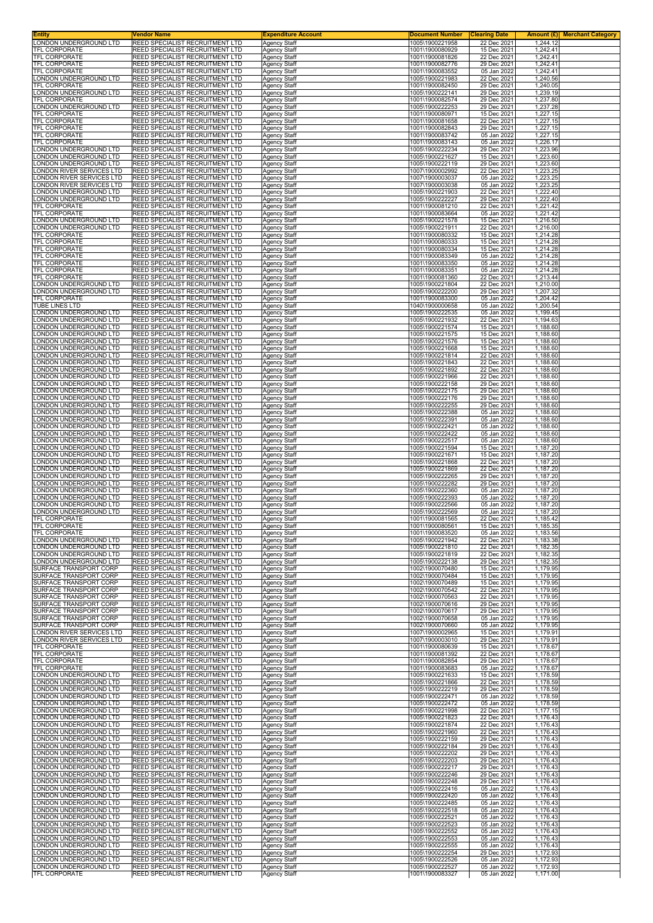| Entity<br>LONDON UNDERGROUND LTD                 | Vendor Name<br>REED SPECIALIST RECRUITMENT LTD                     | <b>Expenditure Account</b><br><b>Agency Staff</b> | <b>Document Number</b><br>1005\1900221958 | <b>Clearing Date</b><br>22 Dec 2021 | 1,244.12             | <b>Amount (£)</b> Merchant Category |
|--------------------------------------------------|--------------------------------------------------------------------|---------------------------------------------------|-------------------------------------------|-------------------------------------|----------------------|-------------------------------------|
| <b>TFL CORPORATE</b>                             | REED SPECIALIST RECRUITMENT LTD                                    | <b>Agency Staff</b>                               | 1001\1900080929                           | 15 Dec 2021                         | 1,242.41             |                                     |
| TFL CORPORATE                                    | REED SPECIALIST RECRUITMENT LTD                                    | Agency Staff                                      | 1001\1900081826                           | 22 Dec 2021                         | 1,242.41             |                                     |
| <b>TFL CORPORATE</b>                             | REED SPECIALIST RECRUITMENT LTD                                    | Agency Staff                                      | 1001\1900082776                           | 29 Dec 2021                         | 1,242.41             |                                     |
| TFL CORPORATE                                    | REED SPECIALIST RECRUITMENT LTD                                    | Agency Staff                                      | 1001\1900083552                           | 05 Jan 2022<br>22 Dec 2021          | 1,242.41             |                                     |
| ONDON UNDERGROUND LTD.<br><b>TFL CORPORATE</b>   | REED SPECIALIST RECRUITMENT LTD<br>REED SPECIALIST RECRUITMENT LTD | Agency Staff<br><b>Agency Staff</b>               | 1005\1900221983<br>1001\1900082450        | 29 Dec 2021                         | 1,240.56<br>1,240.05 |                                     |
| ONDON UNDERGROUND LTD                            | REED SPECIALIST RECRUITMENT LTD                                    | <b>Agency Staff</b>                               | 1005\1900222141                           | 29 Dec 2021                         | 1,239.19             |                                     |
| TFL CORPORATE                                    | REED SPECIALIST RECRUITMENT LTD                                    | Agency Staff                                      | 1001\1900082574                           | 29 Dec 2021                         | 1,237.80             |                                     |
| LONDON UNDERGROUND LTD                           | REED SPECIALIST RECRUITMENT LTD                                    | Agency Staff                                      | 1005\1900222253                           | 29 Dec 2021                         | 1,237.28             |                                     |
| TFL CORPORATE                                    | REED SPECIALIST RECRUITMENT LTD                                    | Agency Staff                                      | 1001\1900080971                           | 15 Dec 2021                         | 1,227.15             |                                     |
| TFL CORPORATE                                    | REED SPECIALIST RECRUITMENT LTD                                    | Agency Staff                                      | 1001\1900081658                           | 22 Dec 2021                         | 1,227.15             |                                     |
| TFL CORPORATE                                    | REED SPECIALIST RECRUITMENT LTD                                    | Agency Staff                                      | 1001\1900082843                           | 29 Dec 2021                         | 1,227.15             |                                     |
| TFL CORPORATE                                    | REED SPECIALIST RECRUITMENT LTD                                    | <b>Agency Staff</b>                               | 1001\1900083742                           | 05 Jan 2022                         | 1,227.15             |                                     |
| <b>TFL CORPORATE</b>                             | REED SPECIALIST RECRUITMENT LTD                                    | Agency Staff                                      | 1001\1900083143                           | 05 Jan 2022                         | 1,226.17             |                                     |
| ONDON UNDERGROUND LTD                            | REED SPECIALIST RECRUITMENT LTD                                    | <b>Agency Staff</b>                               | 1005\1900222234                           | 29 Dec 2021                         | 1,223.96             |                                     |
| ONDON UNDERGROUND LTD.                           | REED SPECIALIST RECRUITMENT LTD                                    | <b>Agency Staff</b>                               | 1005\1900221627                           | 15 Dec 2021                         | 1,223.60             |                                     |
| ONDON UNDERGROUND LTD                            | REED SPECIALIST RECRUITMENT LTD                                    | Agency Staff                                      | 1005\1900222119                           | 29 Dec 2021                         | 1,223.60             |                                     |
| ONDON RIVER SERVICES LTD                         | REED SPECIALIST RECRUITMENT LTD                                    | Agency Staff                                      | 1007\1900002992                           | 22 Dec 2021                         | 1,223.25             |                                     |
| ONDON RIVER SERVICES LTD                         | REED SPECIALIST RECRUITMENT LTD                                    | Agency Staff                                      | 1007\1900003037                           | 05 Jan 2022                         | 1,223.25             |                                     |
| ONDON RIVER SERVICES LTD                         | REED SPECIALIST RECRUITMENT LTD                                    | Agency Staff                                      | 1007\1900003038                           | 05 Jan 2022                         | 1,223.25             |                                     |
| ONDON UNDERGROUND LTD                            | REED SPECIALIST RECRUITMENT LTD                                    | Agency Staff                                      | 1005\1900221903                           | 22 Dec 2021                         | 1,222.40             |                                     |
| ONDON UNDERGROUND LTD                            | REED SPECIALIST RECRUITMENT LTD                                    | <b>Agency Staff</b>                               | 1005\1900222227                           | 29 Dec 2021                         | 1,222.40             |                                     |
| TFL CORPORATE                                    | REED SPECIALIST RECRUITMENT LTD                                    | <b>Agency Staff</b>                               | 1001\1900081210                           | 22 Dec 2021                         | 1,221.42             |                                     |
| TFL CORPORATE                                    | REED SPECIALIST RECRUITMENT LTD                                    | Agency Staff                                      | 1001\1900083664                           | 05 Jan 2022                         | 1,221.42             |                                     |
| ONDON UNDERGROUND LTD.                           | REED SPECIALIST RECRUITMENT LTD                                    | <b>Agency Staff</b>                               | 1005\1900221578                           | 15 Dec 2021                         | 1,216.50             |                                     |
| ONDON UNDERGROUND LTD.                           | REED SPECIALIST RECRUITMENT LTD                                    | <b>Agency Staff</b>                               | 1005\1900221911                           | 22 Dec 2021                         | 1,216.00             |                                     |
| TFL CORPORATE                                    | REED SPECIALIST RECRUITMENT LTD                                    | Agency Staff                                      | 1001\1900080332                           | 15 Dec 2021                         | 1,214.28             |                                     |
| TFL CORPORATE<br>TFL CORPORATE                   | REED SPECIALIST RECRUITMENT LTD<br>REED SPECIALIST RECRUITMENT LTD | Agency Staff                                      | 1001\1900080333<br>1001\1900080334        | 15 Dec 2021<br>15 Dec 2021          | 1,214.28<br>1.214.28 |                                     |
| <b>TFL CORPORATE</b>                             | REED SPECIALIST RECRUITMENT LTD                                    | <b>Agency Staff</b><br>Agency Staff               | 1001\1900083349                           | 05 Jan 2022                         | 1.214.28             |                                     |
| TFL CORPORATE                                    | REED SPECIALIST RECRUITMENT LTD                                    | <b>Agency Staff</b>                               | 1001\1900083350                           | 05 Jan 2022                         | 1,214.28             |                                     |
| TFL CORPORATE                                    | REED SPECIALIST RECRUITMENT LTD                                    | <b>Agency Staff</b>                               | 1001\1900083351                           | 05 Jan 2022                         | 1.214.28             |                                     |
| <b>TFL CORPORATE</b>                             | REED SPECIALIST RECRUITMENT LTD                                    | Agency Staff                                      | 1001\1900081360                           | 22 Dec 2021                         | 1,213.44             |                                     |
| ONDON UNDERGROUND LTD                            | REED SPECIALIST RECRUITMENT LTD                                    | Agency Staff                                      | 1005\1900221804                           | 22 Dec 2021                         | 1,210.00             |                                     |
| ONDON UNDERGROUND LTD                            | REED SPECIALIST RECRUITMENT LTD                                    | <b>Agency Staff</b>                               | 1005\1900222200                           | 29 Dec 2021                         | 1,207.32             |                                     |
| <b>TFL CORPORATE</b><br>TUBE LINES LTD           | REED SPECIALIST RECRUITMENT LTD<br>REED SPECIALIST RECRUITMENT LTD | Agency Staff                                      | 1001\1900083300<br>1040\1900000658        | 05 Jan 2022<br>05 Jan 2022          | 1,204.42<br>1,200.54 |                                     |
| ONDON UNDERGROUND LTD.                           | REED SPECIALIST RECRUITMENT LTD                                    | Agency Staff<br><b>Agency Staff</b>               | 1005\1900222535                           | 05 Jan 2022                         | 1,199.45             |                                     |
| ONDON UNDERGROUND LTD                            | REED SPECIALIST RECRUITMENT LTD                                    | Agency Staff                                      | 1005\1900221932                           | 22 Dec 2021                         | 1,194.63             |                                     |
| ONDON UNDERGROUND LTD                            | REED SPECIALIST RECRUITMENT LTD                                    | Agency Staff                                      | 1005\1900221574                           | 15 Dec 2021                         | 1,188.60             |                                     |
| ONDON UNDERGROUND LTD                            | REED SPECIALIST RECRUITMENT LTD                                    | <b>Agency Staff</b>                               | 1005\1900221575                           | 15 Dec 2021                         | 1,188.60             |                                     |
| ONDON UNDERGROUND LTD                            | REED SPECIALIST RECRUITMENT LTD                                    | Agency Staff                                      | 1005\1900221576                           | 15 Dec 2021                         | 1,188.60             |                                     |
| ONDON UNDERGROUND LTD                            | REED SPECIALIST RECRUITMENT LTD                                    | Agency Staff                                      | 1005\1900221668                           | 15 Dec 2021                         | 1,188.60             |                                     |
| ONDON UNDERGROUND LTD.<br>ONDON UNDERGROUND LTD  | REED SPECIALIST RECRUITMENT LTD<br>REED SPECIALIST RECRUITMENT LTD | <b>Agency Staff</b>                               | 1005\1900221814<br>1005\1900221843        | 22 Dec 2021<br>22 Dec 2021          | 1,188.60<br>1,188.60 |                                     |
| ONDON UNDERGROUND LTD                            | REED SPECIALIST RECRUITMENT LTD                                    | Agency Staff<br>Agency Staff                      | 1005\1900221892                           | 22 Dec 2021                         | 1,188.60             |                                     |
| ONDON UNDERGROUND LTD                            | REED SPECIALIST RECRUITMENT LTD                                    | Agency Staff                                      | 1005\1900221966                           | 22 Dec 2021                         | 1,188.60             |                                     |
| ONDON UNDERGROUND LTD                            | REED SPECIALIST RECRUITMENT LTD                                    | <b>Agency Staff</b>                               | 1005\1900222158                           | 29 Dec 2021                         | 1,188.60             |                                     |
| ONDON UNDERGROUND LTD                            | REED SPECIALIST RECRUITMENT LTD                                    | Agency Staff                                      | 1005\1900222175                           | 29 Dec 2021                         | 1,188.60             |                                     |
| ONDON UNDERGROUND LTD                            | REED SPECIALIST RECRUITMENT LTD                                    | <b>Agency Staff</b>                               | 1005\1900222176                           | 29 Dec 2021                         | 1,188.60             |                                     |
| ONDON UNDERGROUND LTD.                           | REED SPECIALIST RECRUITMENT LTD                                    | Agency Staff                                      | 1005\1900222255                           | 29 Dec 2021                         | 1,188.60             |                                     |
| ONDON UNDERGROUND LTD                            | REED SPECIALIST RECRUITMENT LTD                                    | Agency Staff                                      | 1005\1900222388                           | 05 Jan 2022                         | 1,188.60             |                                     |
| ONDON UNDERGROUND LTD                            | REED SPECIALIST RECRUITMENT LTD                                    | Agency Staff                                      | 1005\1900222391                           | 05 Jan 2022                         | 1,188.60             |                                     |
| ONDON UNDERGROUND LTD                            | REED SPECIALIST RECRUITMENT LTD                                    | Agency Staff                                      | 1005\1900222421                           | 05 Jan 2022                         | 1,188.60             |                                     |
| ONDON UNDERGROUND LTD                            | REED SPECIALIST RECRUITMENT LTD                                    | Agency Staff                                      | 1005\1900222422                           | 05 Jan 2022                         | 1,188.60             |                                     |
| ONDON UNDERGROUND LTD                            | REED SPECIALIST RECRUITMENT LTD                                    | <b>Agency Staff</b>                               | 1005\1900222517                           | 05 Jan 2022                         | 1,188.60             |                                     |
| ONDON UNDERGROUND LTD.                           | REED SPECIALIST RECRUITMENT LTD                                    | <b>Agency Staff</b>                               | 1005\1900221594                           | 15 Dec 2021                         | 1,187.20             |                                     |
| ONDON UNDERGROUND LTD                            | REED SPECIALIST RECRUITMENT LTD                                    | Agency Staff                                      | 1005\1900221671                           | 15 Dec 2021                         | 1,187.20             |                                     |
| ONDON UNDERGROUND LTD                            | REED SPECIALIST RECRUITMENT LTD                                    | <b>Agency Staff</b>                               | 1005\1900221868                           | 22 Dec 2021                         | 1,187.20             |                                     |
| ONDON UNDERGROUND LTD.                           | REED SPECIALIST RECRUITMENT LTD                                    | Agency Staff                                      | 1005\1900221869                           | 22 Dec 2021                         | 1,187.20             |                                     |
| ONDON UNDERGROUND LTD                            | REED SPECIALIST RECRUITMENT LTD                                    | Agency Staff                                      | 1005\1900222265                           | 29 Dec 2021                         | 1,187.20             |                                     |
| ONDON UNDERGROUND LTD                            | REED SPECIALIST RECRUITMENT LTD                                    | Agency Staff                                      | 1005\1900222282                           | 29 Dec 2021                         | 1,187.20             |                                     |
| ONDON UNDERGROUND LTD                            | REED SPECIALIST RECRUITMENT LTD                                    | <b>Agency Staff</b>                               | 1005\1900222360                           | 05 Jan 2022                         | 1.187.20             |                                     |
| ONDON UNDERGROUND LTD                            | REED SPECIALIST RECRUITMENT LTD                                    | Agency Staff                                      | 1005\1900222393                           | 05 Jan 2022                         | 1,187.20             |                                     |
| ONDON UNDERGROUND LTD<br>ONDON UNDERGROUND LTD   | REED SPECIALIST RECRUITMENT LTD                                    | Agency Staff                                      | 1005\1900222566<br>1005\1900222569        | 05 Jan 2022                         | 1,187.20<br>1,187.20 |                                     |
| TFL CORPORATE                                    | REED SPECIALIST RECRUITMENT LTD<br>REED SPECIALIST RECRUITMENT LTD | <b>Agency Staff</b><br>Agency Staff               | 1001\1900081565                           | 05 Jan 2022<br>22 Dec 2021          | 1,185.42             |                                     |
| IFL CORPORATE                                    | REED SPECIALIST RECRUITMENT LTD                                    | Agency Staff                                      | 1001\1900080561                           | 15 Dec 2021                         | 1,185.35             |                                     |
| TFL CORPORATE                                    | REED SPECIALIST RECRUITMENT LTD                                    | <b>Agency Staff</b>                               | 1001\1900083520                           | 05 Jan 2022                         | 1,183.56             |                                     |
| LONDON UNDERGROUND LTD                           | REED SPECIALIST RECRUITMENT LTD                                    | <b>Agency Staff</b>                               | 1005\1900221942                           | 22 Dec 2021                         | 1,183.38             |                                     |
| ONDON UNDERGROUND LTD                            | REED SPECIALIST RECRUITMENT LTD                                    | Agency Staff                                      | 1005\1900221810                           | 22 Dec 2021                         | 1,182.35             |                                     |
| LONDON UNDERGROUND LTD                           | REED SPECIALIST RECRUITMENT LTD                                    | <b>Agency Staff</b>                               | 1005\1900221819                           | 22 Dec 2021                         | 1,182.35             |                                     |
| ONDON UNDERGROUND LTD                            | REED SPECIALIST RECRUITMENT LTD                                    | Agency Staff                                      | 1005\1900222138                           | 29 Dec 2021                         | 1,182.35             |                                     |
| SURFACE TRANSPORT CORP                           | REED SPECIALIST RECRUITMENT LTD                                    | Agency Staff                                      | 1002\1900070480                           | 15 Dec 2021                         | 1,179.95             |                                     |
| SURFACE TRANSPORT CORP                           | REED SPECIALIST RECRUITMENT LTD                                    | <b>Agency Staff</b>                               | 1002\1900070484                           | 15 Dec 2021                         | 1,179.95             |                                     |
| SURFACE TRANSPORT CORP                           | REED SPECIALIST RECRUITMENT LTD                                    | <b>Agency Staff</b>                               | 1002\1900070489                           | 15 Dec 2021                         | 1,179.95             |                                     |
| SURFACE TRANSPORT CORP                           | REED SPECIALIST RECRUITMENT LTD                                    | <b>Agency Staff</b>                               | 1002\1900070542                           | 22 Dec 2021                         | 1,179.95             |                                     |
| SURFACE TRANSPORT CORP<br>SURFACE TRANSPORT CORP | REED SPECIALIST RECRUITMENT LTD                                    | <b>Agency Staff</b>                               | 1002\1900070563                           | 22 Dec 2021<br>29 Dec 2021          | 1,179.95<br>1,179.95 |                                     |
| SURFACE TRANSPORT CORP                           | REED SPECIALIST RECRUITMENT LTD<br>REED SPECIALIST RECRUITMENT LTD | Agency Staff<br>Agency Staff                      | 1002\1900070616<br>1002\1900070617        | 29 Dec 2021                         | 1,179.95             |                                     |
| SURFACE TRANSPORT CORP                           | REED SPECIALIST RECRUITMENT LTD                                    | <b>Agency Staff</b>                               | 1002\1900070658                           | 05 Jan 2022                         | 1,179.95             |                                     |
| SURFACE TRANSPORT CORP                           | REED SPECIALIST RECRUITMENT LTD                                    | <b>Agency Staff</b>                               | 1002\1900070660                           | 05 Jan 2022                         | 1,179.95             |                                     |
| LONDON RIVER SERVICES LTD                        | REED SPECIALIST RECRUITMENT LTD                                    | Agency Staff                                      | 1007\1900002965                           | 15 Dec 2021                         | 1,179.91             |                                     |
| LONDON RIVER SERVICES LTD                        | REED SPECIALIST RECRUITMENT LTD                                    | <b>Agency Staff</b>                               | 1007\1900003010                           | 29 Dec 2021                         | 1,179.91             |                                     |
| TFL CORPORATE                                    | REED SPECIALIST RECRUITMENT LTD                                    | Agency Staff                                      | 1001\1900080639                           | 15 Dec 2021                         | 1.178.67             |                                     |
| TFL CORPORATE                                    | REED SPECIALIST RECRUITMENT LTD                                    | Agency Staff                                      | 1001\1900081392                           | 22 Dec 2021                         | 1,178.67             |                                     |
| TFL CORPORATE                                    | REED SPECIALIST RECRUITMENT LTD                                    | <b>Agency Staff</b>                               | 1001\1900082854                           | 29 Dec 2021                         | 1,178.67             |                                     |
| TFL CORPORATE                                    | REED SPECIALIST RECRUITMENT LTD                                    | <b>Agency Staff</b>                               | 1001\1900083683                           | 05 Jan 2022                         | 1,178.67             |                                     |
| ONDON UNDERGROUND LTD                            | REED SPECIALIST RECRUITMENT LTD                                    | Agency Staff                                      | 1005\1900221633                           | 15 Dec 2021                         | 1,178.59             |                                     |
| ONDON UNDERGROUND LTD                            | REED SPECIALIST RECRUITMENT LTD                                    | <b>Agency Staff</b>                               | 1005\1900221866                           | 22 Dec 2021                         | 1,178.59             |                                     |
| ONDON UNDERGROUND LTD<br>ONDON UNDERGROUND LTD   | REED SPECIALIST RECRUITMENT LTD                                    | Agency Staff                                      | 1005\1900222219                           | 29 Dec 2021                         | 1,178.59             |                                     |
| ONDON UNDERGROUND LTD                            | REED SPECIALIST RECRUITMENT LTD<br>REED SPECIALIST RECRUITMENT LTD | Agency Staff<br>Agency Staff                      | 1005\1900222471<br>1005\1900222472        | 05 Jan 2022<br>05 Jan 2022          | 1,178.59<br>1,178.59 |                                     |
| ONDON UNDERGROUND LTD                            | REED SPECIALIST RECRUITMENT LTD                                    | <b>Agency Staff</b>                               | 1005\1900221998                           | 22 Dec 2021                         | 1,177.15             |                                     |
| ONDON UNDERGROUND LTD                            | REED SPECIALIST RECRUITMENT LTD                                    | Agency Staff                                      | 1005\1900221823                           | 22 Dec 2021                         | 1,176.43             |                                     |
| ONDON UNDERGROUND LTD                            | REED SPECIALIST RECRUITMENT LTD                                    | Agency Staff                                      | 1005\1900221874                           | 22 Dec 2021                         | 1,176.43             |                                     |
| ONDON UNDERGROUND LTD.                           | REED SPECIALIST RECRUITMENT LTD                                    | Agency Staff                                      | 1005\1900221960                           | 22 Dec 2021                         | 1,176.43             |                                     |
| ONDON UNDERGROUND LTD                            | REED SPECIALIST RECRUITMENT LTD                                    | Agency Staff                                      | 1005\1900222159                           | 29 Dec 2021                         | 1,176.43             |                                     |
| ONDON UNDERGROUND LTD                            | REED SPECIALIST RECRUITMENT LTD                                    | Agency Staff                                      | 1005\1900222184                           | 29 Dec 2021                         | 1,176.43             |                                     |
| ONDON UNDERGROUND LTD.                           | REED SPECIALIST RECRUITMENT LTD                                    | <b>Agency Staff</b>                               | 1005\1900222202                           | 29 Dec 2021                         | 1,176.43             |                                     |
| ONDON UNDERGROUND LTD                            | REED SPECIALIST RECRUITMENT LTD                                    | Agency Staff                                      | 1005\1900222203                           | 29 Dec 2021                         | 1,176.43             |                                     |
| ONDON UNDERGROUND LTD                            | REED SPECIALIST RECRUITMENT LTD                                    | <b>Agency Staff</b>                               | 1005\1900222217                           | 29 Dec 2021                         | 1,176.43             |                                     |
| ONDON UNDERGROUND LTD                            | REED SPECIALIST RECRUITMENT LTD                                    | <b>Agency Staff</b>                               | 1005\1900222246                           | 29 Dec 2021                         | 1,176.43             |                                     |
| ONDON UNDERGROUND LTD.                           | REED SPECIALIST RECRUITMENT LTD                                    | Agency Staff                                      | 1005\1900222248                           | 29 Dec 2021                         | 1,176.43             |                                     |
| ONDON UNDERGROUND LTD                            | REED SPECIALIST RECRUITMENT LTD                                    | <b>Agency Staff</b>                               | 1005\1900222416                           | 05 Jan 2022                         | 1,176.43             |                                     |
| ONDON UNDERGROUND LTD                            | REED SPECIALIST RECRUITMENT LTD                                    | <b>Agency Staff</b>                               | 1005\1900222420                           | 05 Jan 2022                         | 1,176.43             |                                     |
| ONDON UNDERGROUND LTD                            | REED SPECIALIST RECRUITMENT LTD                                    | Agency Staff                                      | 1005\1900222485                           | 05 Jan 2022                         | 1,176.43             |                                     |
| ONDON UNDERGROUND LTD                            | REED SPECIALIST RECRUITMENT LTD                                    | Agency Staff                                      | 1005\1900222518                           | 05 Jan 2022                         | 1,176.43             |                                     |
| ONDON UNDERGROUND LTD                            | REED SPECIALIST RECRUITMENT LTD                                    | <b>Agency Staff</b>                               | 1005\1900222521                           | 05 Jan 2022                         | 1,176.43             |                                     |
| ONDON UNDERGROUND LTD.                           | REED SPECIALIST RECRUITMENT LTD                                    | Agency Staff                                      | 1005\1900222523                           | 05 Jan 2022                         | 1,176.43             |                                     |
| ONDON UNDERGROUND LTD                            | REED SPECIALIST RECRUITMENT LTD                                    | Agency Staff                                      | 1005\1900222552                           | 05 Jan 2022                         | 1,176.43             |                                     |
| ONDON UNDERGROUND LTD                            | REED SPECIALIST RECRUITMENT LTD                                    | <b>Agency Staff</b>                               | 1005\1900222553                           | 05 Jan 2022                         | 1,176.43             |                                     |
| ONDON UNDERGROUND LTD.                           | REED SPECIALIST RECRUITMENT LTD                                    | <b>Agency Staff</b>                               | 1005\1900222555                           | 05 Jan 2022                         | 1,176.43             |                                     |
| ONDON UNDERGROUND LTD                            | REED SPECIALIST RECRUITMENT LTD                                    | Agency Staff                                      | 1005\1900222254                           | 29 Dec 2021                         | 1,172.93             |                                     |
| ONDON UNDERGROUND LTD                            | REED SPECIALIST RECRUITMENT LTD                                    | <b>Agency Staff</b>                               | 1005\1900222526                           | 05 Jan 2022                         | 1,172.93             |                                     |
| ONDON UNDERGROUND LTD.                           | REED SPECIALIST RECRUITMENT LTD                                    | Agency Staff                                      | 1005\1900222527                           | 05 Jan 2022                         | 1,172.93             |                                     |
| TFL CORPORATE                                    | REED SPECIALIST RECRUITMENT LTD                                    | Agency Staff                                      | 1001\1900083327                           | 05 Jan 2022                         | 1,171.00             |                                     |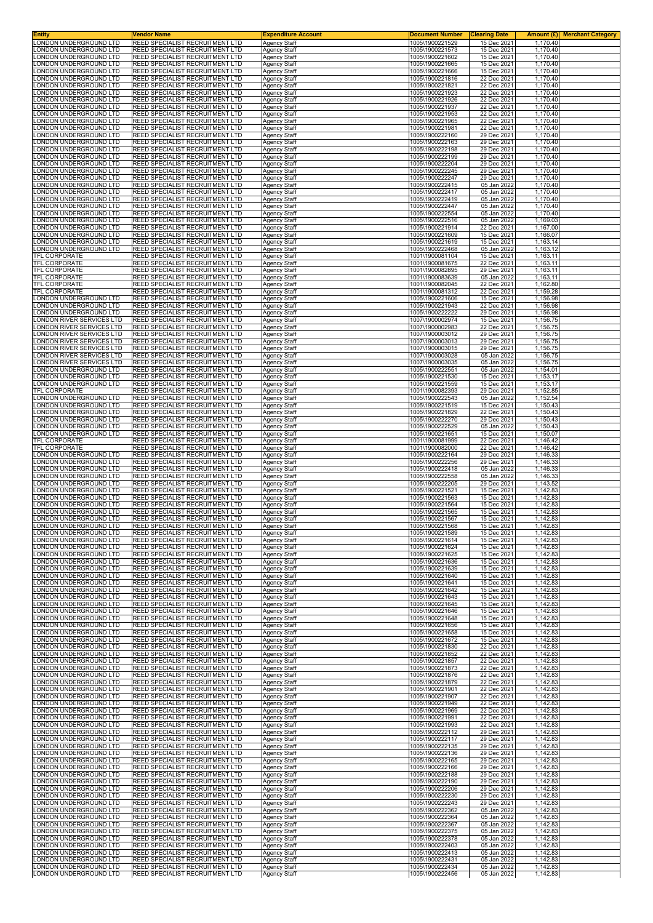| Entity<br>ONDON UNDERGROUND LTD                      | Vendor Name                                                        | <b>Expenditure Account</b>                 | <u>Document Number</u>             | <b>Clearing Date</b>       | 1.170.40             | <b>Amount (£)</b> Merchant Category |
|------------------------------------------------------|--------------------------------------------------------------------|--------------------------------------------|------------------------------------|----------------------------|----------------------|-------------------------------------|
| ONDON UNDERGROUND LTD.                               | REED SPECIALIST RECRUITMENT LTD<br>REED SPECIALIST RECRUITMENT LTD | <b>Agency Staff</b><br><b>Agency Staff</b> | 1005\1900221529<br>1005\1900221573 | 15 Dec 2021<br>15 Dec 2021 | 1,170.40             |                                     |
| ONDON UNDERGROUND LTD                                | REED SPECIALIST RECRUITMENT LTD                                    | Agency Staff                               | 1005\1900221602                    | 15 Dec 2021                | 1,170.40             |                                     |
| ONDON UNDERGROUND LTD<br>ONDON UNDERGROUND LTD       | REED SPECIALIST RECRUITMENT LTD<br>REED SPECIALIST RECRUITMENT LTD | Agency Staff<br>Agency Staff               | 1005\1900221665<br>1005\1900221666 | 15 Dec 2021<br>15 Dec 2021 | 1.170.40<br>1.170.40 |                                     |
| ONDON UNDERGROUND LTD                                | REED SPECIALIST RECRUITMENT LTD                                    | Agency Staff                               | 1005\1900221816                    | 22 Dec 2021                | 1,170.40             |                                     |
| ONDON UNDERGROUND LTD                                | REED SPECIALIST RECRUITMENT LTD                                    | <b>Agency Staff</b>                        | 1005\1900221821                    | 22 Dec 2021                | 1,170.40             |                                     |
| ONDON UNDERGROUND LTD<br>ONDON UNDERGROUND LTD       | REED SPECIALIST RECRUITMENT LTD<br>REED SPECIALIST RECRUITMENT LTD | Agency Staff<br><b>Agency Staff</b>        | 1005\1900221923<br>1005\1900221926 | 22 Dec 2021<br>22 Dec 2021 | 1,170.40<br>1,170.40 |                                     |
| ONDON UNDERGROUND LTD                                | REED SPECIALIST RECRUITMENT LTD                                    | Agency Staff                               | 1005\1900221937                    | 22 Dec 2021                | 1,170.40             |                                     |
| ONDON UNDERGROUND LTD<br>ONDON UNDERGROUND LTD       | REED SPECIALIST RECRUITMENT LTD<br>REED SPECIALIST RECRUITMENT LTD | Agency Staff<br>Agency Staff               | 1005\1900221953<br>1005\1900221965 | 22 Dec 2021<br>22 Dec 2021 | 1,170.40<br>1,170.40 |                                     |
| ONDON UNDERGROUND LTD.                               | REED SPECIALIST RECRUITMENT LTD                                    | Agency Staff                               | 1005\1900221981                    | 22 Dec 2021                | 1,170.40             |                                     |
| ONDON UNDERGROUND LTD.                               | REED SPECIALIST RECRUITMENT LTD                                    | <b>Agency Staff</b>                        | 1005\1900222160                    | 29 Dec 2021                | 1,170.40             |                                     |
| ONDON UNDERGROUND LTD<br>ONDON UNDERGROUND LTD       | REED SPECIALIST RECRUITMENT LTD<br>REED SPECIALIST RECRUITMENT LTD | Agency Staff<br>Agency Staff               | 1005\1900222163<br>1005\1900222198 | 29 Dec 2021<br>29 Dec 2021 | 1,170.40<br>1,170.40 |                                     |
| ONDON UNDERGROUND LTD.                               | REED SPECIALIST RECRUITMENT LTD                                    | Agency Staff                               | 1005\1900222199                    | 29 Dec 2021                | 1,170.40             |                                     |
| ONDON UNDERGROUND LTD<br>ONDON UNDERGROUND LTD       | REED SPECIALIST RECRUITMENT LTD<br>REED SPECIALIST RECRUITMENT LTD | Agency Staff<br>Agency Staff               | 1005\1900222204<br>1005\1900222245 | 29 Dec 2021<br>29 Dec 2021 | 1,170.40<br>1,170.40 |                                     |
| ONDON UNDERGROUND LTD.                               | REED SPECIALIST RECRUITMENT LTD                                    | <b>Agency Staff</b>                        | 1005\1900222247                    | 29 Dec 2021                | 1,170.40             |                                     |
| ONDON UNDERGROUND LTD                                | REED SPECIALIST RECRUITMENT LTD                                    | Agency Staff                               | 1005\1900222415                    | 05 Jan 2022                | 1,170.40             |                                     |
| ONDON UNDERGROUND LTD<br>ONDON UNDERGROUND LTD       | REED SPECIALIST RECRUITMENT LTD<br>REED SPECIALIST RECRUITMENT LTD | Agency Staff<br>Agency Staff               | 1005\1900222417<br>1005\1900222419 | 05 Jan 2022<br>05 Jan 2022 | 1,170.40<br>1,170.40 |                                     |
| ONDON UNDERGROUND LTD.                               | REED SPECIALIST RECRUITMENT LTD                                    | <b>Agency Staff</b>                        | 1005\1900222447                    | 05 Jan 2022                | 1,170.40             |                                     |
| ONDON UNDERGROUND LTD<br>ONDON UNDERGROUND LTD       | REED SPECIALIST RECRUITMENT LTD<br>REED SPECIALIST RECRUITMENT LTD | Agency Staff<br><b>Agency Staff</b>        | 1005\1900222554<br>1005\1900222516 | 05 Jan 2022<br>05 Jan 2022 | 1,170.40<br>1,169.03 |                                     |
| ONDON UNDERGROUND LTD.                               | REED SPECIALIST RECRUITMENT LTD                                    | <b>Agency Staff</b>                        | 1005\1900221914                    | 22 Dec 2021                | 1,167.00             |                                     |
| ONDON UNDERGROUND LTD                                | REED SPECIALIST RECRUITMENT LTD                                    | Agency Staff                               | 1005\1900221609                    | 15 Dec 2021                | 1,166.07             |                                     |
| ONDON UNDERGROUND LTD<br>ONDON UNDERGROUND LTD       | REED SPECIALIST RECRUITMENT LTD<br>REED SPECIALIST RECRUITMENT LTD | Agency Staff<br><b>Agency Staff</b>        | 1005\1900221619<br>1005\1900222468 | 15 Dec 2021<br>05 Jan 2022 | 1,163.14<br>1,163.12 |                                     |
| TFL CORPORATE                                        | REED SPECIALIST RECRUITMENT LTD                                    | <b>Agency Staff</b>                        | 1001\1900081104                    | 15 Dec 2021                | 1,163.11             |                                     |
| TFL CORPORATE<br><b>TFL CORPORATE</b>                | REED SPECIALIST RECRUITMENT LTD<br>REED SPECIALIST RECRUITMENT LTD | Agency Staff<br><b>Agency Staff</b>        | 1001\1900081675<br>1001\1900082895 | 22 Dec 2021<br>29 Dec 2021 | 1,163.11<br>1,163.11 |                                     |
| TFL CORPORATE                                        | REED SPECIALIST RECRUITMENT LTD                                    | <b>Agency Staff</b>                        | 1001\1900083639                    | 05 Jan 2022                | 1,163.11             |                                     |
| TFL CORPORATE<br><b>TFL CORPORATE</b>                | REED SPECIALIST RECRUITMENT LTD                                    | Agency Staff                               | 1001\1900082045                    | 22 Dec 2021<br>22 Dec 2021 | 1,162.80<br>1,159.28 |                                     |
| ONDON UNDERGROUND LTD                                | REED SPECIALIST RECRUITMENT LTD<br>REED SPECIALIST RECRUITMENT LTD | <b>Agency Staff</b><br>Agency Staff        | 1001\1900081312<br>1005\1900221606 | 15 Dec 2021                | 1,156.98             |                                     |
| ONDON UNDERGROUND LTD.                               | REED SPECIALIST RECRUITMENT LTD                                    | Agency Staff                               | 1005\1900221943                    | 22 Dec 2021                | 1,156.98             |                                     |
| ONDON UNDERGROUND LTD<br>ONDON RIVER SERVICES LTD    | REED SPECIALIST RECRUITMENT LTD<br>REED SPECIALIST RECRUITMENT LTD | <b>Agency Staff</b><br>Agency Staff        | 1005\1900222222<br>1007\1900002974 | 29 Dec 2021<br>15 Dec 2021 | 1.156.98<br>1,156.75 |                                     |
| ONDON RIVER SERVICES LTD                             | REED SPECIALIST RECRUITMENT LTD                                    | Agency Staff                               | 1007\1900002983                    | 22 Dec 2021                | 1,156.75             |                                     |
| ONDON RIVER SERVICES LTD<br>ONDON RIVER SERVICES LTD | REED SPECIALIST RECRUITMENT LTD                                    | <b>Agency Staff</b>                        | 1007\1900003012<br>1007\1900003013 | 29 Dec 2021                | 1,156.75             |                                     |
| ONDON RIVER SERVICES LTD                             | REED SPECIALIST RECRUITMENT LTD<br>REED SPECIALIST RECRUITMENT LTD | Agency Staff<br>Agency Staff               | 1007\1900003015                    | 29 Dec 2021<br>29 Dec 2021 | 1,156.75<br>1,156.75 |                                     |
| ONDON RIVER SERVICES LTD.                            | REED SPECIALIST RECRUITMENT LTD                                    | <b>Agency Staff</b>                        | 1007\1900003028                    | 05 Jan 2022                | 1,156.75             |                                     |
| ONDON RIVER SERVICES LTD<br>ONDON UNDERGROUND LTD    | REED SPECIALIST RECRUITMENT LTD<br>REED SPECIALIST RECRUITMENT LTD | Agency Staff<br>Agency Staff               | 1007\1900003035<br>1005\1900222551 | 05 Jan 2022<br>05 Jan 2022 | 1,156.75<br>1,154.01 |                                     |
| ONDON UNDERGROUND LTD                                | REED SPECIALIST RECRUITMENT LTD                                    | Agency Staff                               | 1005\1900221530                    | 15 Dec 2021                | 1,153.17             |                                     |
| ONDON UNDERGROUND LTD.<br><b>TFL CORPORATE</b>       | REED SPECIALIST RECRUITMENT LTD<br>REED SPECIALIST RECRUITMENT LTD | <b>Agency Staff</b><br>Agency Staff        | 1005\1900221559<br>1001\1900082393 | 15 Dec 2021<br>29 Dec 2021 | 1,153.17<br>1,152.85 |                                     |
| ONDON UNDERGROUND LTD                                | REED SPECIALIST RECRUITMENT LTD                                    | <b>Agency Staff</b>                        | 1005\1900222543                    | 05 Jan 2022                | 1,152.54             |                                     |
| ONDON UNDERGROUND LTD.                               | REED SPECIALIST RECRUITMENT LTD                                    | Agency Staff                               | 1005\1900221519                    | 15 Dec 2021                | 1,150.43             |                                     |
| ONDON UNDERGROUND LTD<br>ONDON UNDERGROUND LTD       | REED SPECIALIST RECRUITMENT LTD<br>REED SPECIALIST RECRUITMENT LTD | Agency Staff<br>Agency Staff               | 1005\1900221829<br>1005\1900222270 | 22 Dec 2021<br>29 Dec 2021 | 1,150.43<br>1,150.43 |                                     |
| ONDON UNDERGROUND LTD                                | REED SPECIALIST RECRUITMENT LTD                                    | Agency Staff                               | 1005\1900222529                    | 05 Jan 2022                | 1,150.43             |                                     |
| ONDON UNDERGROUND LTD.<br>TFL CORPORATE              | REED SPECIALIST RECRUITMENT LTD<br>REED SPECIALIST RECRUITMENT LTD | Agency Staff<br><b>Agency Staff</b>        | 1005\1900221651<br>1001\1900081999 | 15 Dec 2021<br>22 Dec 2021 | 1,150.07<br>1,146.42 |                                     |
| TFL CORPORATE                                        | REED SPECIALIST RECRUITMENT LTD                                    | <b>Agency Staff</b>                        | 1001\1900082000                    | 22 Dec 2021                | 1,146.42             |                                     |
| LONDON UNDERGROUND LTD                               | REED SPECIALIST RECRUITMENT LTD                                    | Agency Staff                               | 1005\1900222164                    | 29 Dec 2021                | 1,146.33             |                                     |
| ONDON UNDERGROUND LTD<br>ONDON UNDERGROUND LTD.      | REED SPECIALIST RECRUITMENT LTD<br>REED SPECIALIST RECRUITMENT LTD | <b>Agency Staff</b><br>Agency Staff        | 1005\1900222256<br>1005\1900222418 | 29 Dec 2021<br>05 Jan 2022 | 1,146.33<br>1,146.33 |                                     |
| ONDON UNDERGROUND LTD                                | REED SPECIALIST RECRUITMENT LTD                                    | Agency Staff                               | 1005\1900222558                    | 05 Jan 2022                | 1,146.33             |                                     |
| ONDON UNDERGROUND LTD.<br>ONDON UNDERGROUND LTD.     | REED SPECIALIST RECRUITMENT LTD<br>REED SPECIALIST RECRUITMENT LTD | Agency Staff<br><b>Agency Staff</b>        | 1005\1900222205<br>1005\1900221521 | 29 Dec 2021<br>15 Dec 2021 | 1,143.52<br>1,142.83 |                                     |
| ONDON UNDERGROUND LTD                                | REED SPECIALIST RECRUITMENT LTD                                    | Agency Staff                               | 1005\1900221563                    | 15 Dec 2021                | 1,142.83             |                                     |
| ONDON UNDERGROUND LTD                                | REED SPECIALIST RECRUITMENT LTD                                    | Agency Staff                               | 1005\1900221564                    | 15 Dec 2021                | 1,142.83             |                                     |
| ONDON UNDERGROUND LTD<br>ONDON UNDERGROUND LTD       | REED SPECIALIST RECRUITMENT LTD<br>REED SPECIALIST RECRUITMENT LTD | Agency Staff<br>Agency Staff               | 1005\1900221565<br>1005\1900221567 | 15 Dec 2021<br>15 Dec 2021 | 1,142.83<br>1,142.83 |                                     |
| ONDON UNDERGROUND LTD.                               | REED SPECIALIST RECRUITMENT LTD                                    | Agency Staff                               | 1005\1900221568                    | 15 Dec 2021                | 1,142.83             |                                     |
| ONDON UNDERGROUND LTD.<br>ONDON UNDERGROUND LTD      | REED SPECIALIST RECRUITMENT LTD<br>REED SPECIALIST RECRUITMENT LTD | <b>Agency Staff</b><br><b>Agency Staff</b> | 1005\1900221589<br>1005\1900221614 | 15 Dec 2021<br>15 Dec 2021 | 1,142.83<br>1,142.83 |                                     |
| ONDON UNDERGROUND LTD                                | REED SPECIALIST RECRUITMENT LTD                                    | Agency Staff                               | 1005\1900221624                    | 15 Dec 2021                | 1,142.83             |                                     |
| LONDON UNDERGROUND LTD<br>ONDON UNDERGROUND LTD      | REED SPECIALIST RECRUITMENT LTD                                    | <b>Agency Staff</b>                        | 1005\1900221625                    | 15 Dec 2021                | 1,142.83             |                                     |
| ONDON UNDERGROUND LTD                                | REED SPECIALIST RECRUITMENT LTD<br>REED SPECIALIST RECRUITMENT LTD | Agency Staff<br>Agency Staff               | 1005\1900221636<br>1005\1900221639 | 15 Dec 2021<br>15 Dec 2021 | 1,142.83<br>1,142.83 |                                     |
| ONDON UNDERGROUND LTD                                | REED SPECIALIST RECRUITMENT LTD                                    | <b>Agency Staff</b>                        | 1005\1900221640                    | 15 Dec 2021                | 1,142.83             |                                     |
| ONDON UNDERGROUND LTD<br>ONDON UNDERGROUND LTD       | REED SPECIALIST RECRUITMENT LTD<br>REED SPECIALIST RECRUITMENT LTD | <b>Agency Staff</b><br><b>Agency Staff</b> | 1005\1900221641<br>1005\1900221642 | 15 Dec 2021<br>15 Dec 2021 | 1,142.83<br>1,142.83 |                                     |
| ONDON UNDERGROUND LTD                                | REED SPECIALIST RECRUITMENT LTD                                    | <b>Agency Staff</b>                        | 1005\1900221643                    | 15 Dec 2021                | 1,142.83             |                                     |
| ONDON UNDERGROUND LTD                                | REED SPECIALIST RECRUITMENT LTD                                    | Agency Staff                               | 1005\1900221645                    | 15 Dec 2021                | 1,142.83             |                                     |
| ONDON UNDERGROUND LTD<br>ONDON UNDERGROUND LTD       | REED SPECIALIST RECRUITMENT LTD<br>REED SPECIALIST RECRUITMENT LTD | Agency Staff<br><b>Agency Staff</b>        | 1005\1900221646<br>1005\1900221648 | 15 Dec 2021<br>15 Dec 2021 | 1,142.83<br>1,142.83 |                                     |
| ONDON UNDERGROUND LTD                                | REED SPECIALIST RECRUITMENT LTD                                    | <b>Agency Staff</b>                        | 1005\1900221656                    | 15 Dec 2021                | 1,142.83             |                                     |
| ONDON UNDERGROUND LTD<br>ONDON UNDERGROUND LTD       | REED SPECIALIST RECRUITMENT LTD<br>REED SPECIALIST RECRUITMENT LTD | Agency Staff<br><b>Agency Staff</b>        | 1005\1900221658<br>1005\1900221672 | 15 Dec 2021<br>15 Dec 2021 | 1,142.83<br>1,142.83 |                                     |
| ONDON UNDERGROUND LTD                                | REED SPECIALIST RECRUITMENT LTD                                    | Agency Staff                               | 1005\1900221830                    | 22 Dec 2021                | 1,142.83             |                                     |
| ONDON UNDERGROUND LTD<br>ONDON UNDERGROUND LTD       | REED SPECIALIST RECRUITMENT LTD<br>REED SPECIALIST RECRUITMENT LTD | Agency Staff<br><b>Agency Staff</b>        | 1005\1900221852<br>1005\1900221857 | 22 Dec 2021<br>22 Dec 2021 | 1,142.83<br>1,142.83 |                                     |
| ONDON UNDERGROUND LTD                                | REED SPECIALIST RECRUITMENT LTD                                    | <b>Agency Staff</b>                        | 1005\1900221873                    | 22 Dec 2021                | 1,142.83             |                                     |
| ONDON UNDERGROUND LTD                                | REED SPECIALIST RECRUITMENT LTD                                    | Agency Staff                               | 1005\1900221876                    | 22 Dec 2021                | 1,142.83             |                                     |
| ONDON UNDERGROUND LTD<br>ONDON UNDERGROUND LTD       | REED SPECIALIST RECRUITMENT LTD<br>REED SPECIALIST RECRUITMENT LTD | <b>Agency Staff</b><br>Agency Staff        | 1005\1900221879<br>1005\1900221901 | 22 Dec 2021<br>22 Dec 2021 | 1,142.83<br>1,142.83 |                                     |
| ONDON UNDERGROUND LTD                                | REED SPECIALIST RECRUITMENT LTD                                    | Agency Staff                               | 1005\1900221907                    | 22 Dec 2021                | 1,142.83             |                                     |
| ONDON UNDERGROUND LTD<br>ONDON UNDERGROUND LTD       | REED SPECIALIST RECRUITMENT LTD<br>REED SPECIALIST RECRUITMENT LTD | Agency Staff<br><b>Agency Staff</b>        | 1005\1900221949<br>1005\1900221969 | 22 Dec 2021<br>22 Dec 2021 | 1,142.83<br>1,142.83 |                                     |
| ONDON UNDERGROUND LTD                                | REED SPECIALIST RECRUITMENT LTD                                    | Agency Staff                               | 1005\1900221991                    | 22 Dec 2021                | 1,142.83             |                                     |
| ONDON UNDERGROUND LTD                                | REED SPECIALIST RECRUITMENT LTD                                    | Agency Staff                               | 1005\1900221993                    | 22 Dec 2021                | 1,142.83             |                                     |
| ONDON UNDERGROUND LTD.<br>ONDON UNDERGROUND LTD      | REED SPECIALIST RECRUITMENT LTD<br>REED SPECIALIST RECRUITMENT LTD | <b>Agency Staff</b><br>Agency Staff        | 1005\1900222112<br>1005\1900222117 | 29 Dec 2021<br>29 Dec 2021 | 1,142.83<br>1,142.83 |                                     |
| ONDON UNDERGROUND LTD                                | REED SPECIALIST RECRUITMENT LTD                                    | Agency Staff                               | 1005\1900222135                    | 29 Dec 2021                | 1,142.83             |                                     |
| ONDON UNDERGROUND LTD<br>ONDON UNDERGROUND LTD       | REED SPECIALIST RECRUITMENT LTD<br>REED SPECIALIST RECRUITMENT LTD | <b>Agency Staff</b><br>Agency Staff        | 1005\1900222136<br>1005\1900222165 | 29 Dec 2021<br>29 Dec 2021 | 1,142.83<br>1,142.83 |                                     |
| ONDON UNDERGROUND LTD                                | REED SPECIALIST RECRUITMENT LTD                                    | <b>Agency Staff</b>                        | 1005\1900222166                    | 29 Dec 2021                | 1,142.83             |                                     |
| ONDON UNDERGROUND LTD                                | REED SPECIALIST RECRUITMENT LTD                                    | <b>Agency Staff</b>                        | 1005\1900222188                    | 29 Dec 2021                | 1,142.83             |                                     |
| ONDON UNDERGROUND LTD<br>ONDON UNDERGROUND LTD       | REED SPECIALIST RECRUITMENT LTD<br>REED SPECIALIST RECRUITMENT LTD | Agency Staff<br>Agency Staff               | 1005\1900222190<br>1005\1900222206 | 29 Dec 2021<br>29 Dec 2021 | 1,142.83<br>1,142.83 |                                     |
| ONDON UNDERGROUND LTD                                | REED SPECIALIST RECRUITMENT LTD                                    | <b>Agency Staff</b>                        | 1005\1900222230                    | 29 Dec 2021                | 1,142.83             |                                     |
| ONDON UNDERGROUND LTD<br>ONDON UNDERGROUND LTD       | REED SPECIALIST RECRUITMENT LTD<br>REED SPECIALIST RECRUITMENT LTD | Agency Staff<br>Agency Staff               | 1005\1900222243<br>1005\1900222362 | 29 Dec 2021<br>05 Jan 2022 | 1,142.83<br>1,142.83 |                                     |
| ONDON UNDERGROUND LTD                                | REED SPECIALIST RECRUITMENT LTD                                    | <b>Agency Staff</b>                        | 1005\1900222364                    | 05 Jan 2022                | 1,142.83             |                                     |
| ONDON UNDERGROUND LTD<br>ONDON UNDERGROUND LTD       | REED SPECIALIST RECRUITMENT LTD<br>REED SPECIALIST RECRUITMENT LTD | Agency Staff                               | 1005\1900222367<br>1005\1900222375 | 05 Jan 2022<br>05 Jan 2022 | 1,142.83<br>1,142.83 |                                     |
| ONDON UNDERGROUND LTD                                | REED SPECIALIST RECRUITMENT LTD                                    | Agency Staff<br><b>Agency Staff</b>        | 1005\1900222378                    | 05 Jan 2022                | 1,142.83             |                                     |
| ONDON UNDERGROUND LTD.                               | REED SPECIALIST RECRUITMENT LTD                                    | <b>Agency Staff</b>                        | 1005\1900222403                    | 05 Jan 2022                | 1,142.83             |                                     |
| ONDON UNDERGROUND LTD<br>ONDON UNDERGROUND LTD       | REED SPECIALIST RECRUITMENT LTD<br>REED SPECIALIST RECRUITMENT LTD | Agency Staff<br><b>Agency Staff</b>        | 1005\1900222413<br>1005\1900222431 | 05 Jan 2022<br>05 Jan 2022 | 1,142.83<br>1,142.83 |                                     |
| ONDON UNDERGROUND LTD                                | REED SPECIALIST RECRUITMENT LTD                                    | Agency Staff                               | 1005\1900222434                    | 05 Jan 2022                | 1,142.83             |                                     |
| ONDON UNDERGROUND LTD                                | REED SPECIALIST RECRUITMENT LTD                                    | Agency Staff                               | 1005\1900222456                    | 05 Jan 2022                | 1,142.83             |                                     |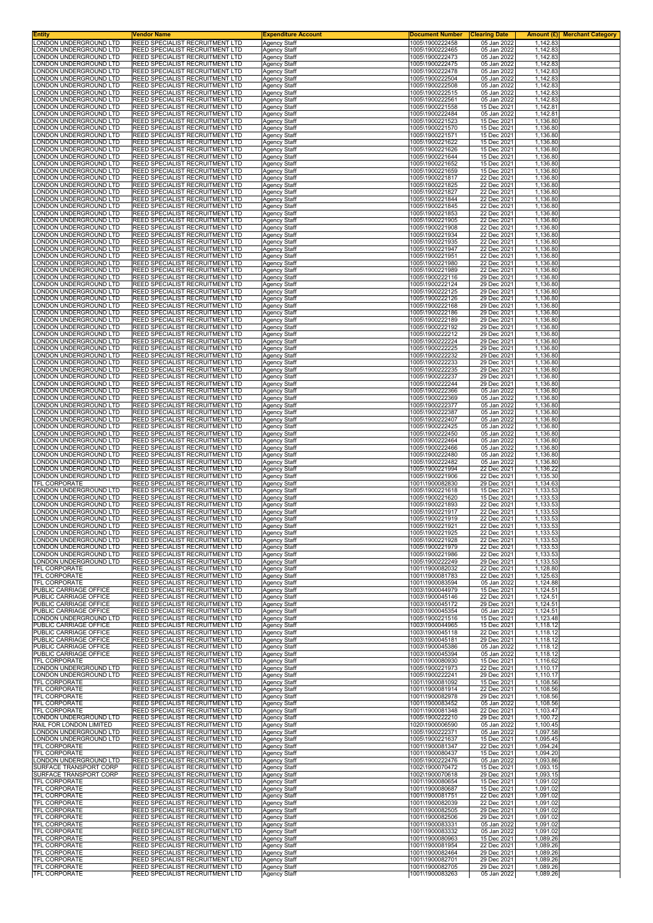| <b>Entity</b><br>LONDON UNDERGROUND LTD           | Vendor Name<br>REED SPECIALIST RECRUITMENT LTD                                   | <b>Expenditure Account</b><br><b>Agency Staff</b> | <b>Document Number</b><br>1005\1900222458 | <b>Clearing Date</b><br>05 Jan 2022 | 1,142.83             | <b>Amount (£)</b> Merchant Category |
|---------------------------------------------------|----------------------------------------------------------------------------------|---------------------------------------------------|-------------------------------------------|-------------------------------------|----------------------|-------------------------------------|
| ONDON UNDERGROUND LTD                             | <b>REED SPECIALIST RECRUITMENT LTD</b>                                           | <b>Agency Staff</b>                               | 1005\1900222465                           | 05 Jan 2022                         | 1,142.83             |                                     |
| ONDON UNDERGROUND LTD<br>ONDON UNDERGROUND LTD    | REED SPECIALIST RECRUITMENT LTD<br>REED SPECIALIST RECRUITMENT LTD               | Agency Staff<br><b>Agency Staff</b>               | 1005\1900222473<br>1005\1900222475        | 05 Jan 2022<br>05 Jan 2022          | 1,142.83<br>1,142.83 |                                     |
| ONDON UNDERGROUND LTD                             | <b>REED SPECIALIST RECRUITMENT LTD</b>                                           | Agency Staff                                      | 1005\1900222478                           | 05 Jan 2022                         | 1,142.83             |                                     |
| ONDON UNDERGROUND LTD                             | REED SPECIALIST RECRUITMENT LTD                                                  | Agency Staff                                      | 1005\1900222504                           | 05 Jan 2022                         | 1,142.83             |                                     |
| ONDON UNDERGROUND LTD<br>ONDON UNDERGROUND LTD    | <b>REED SPECIALIST RECRUITMENT LTD</b><br><b>REED SPECIALIST RECRUITMENT LTD</b> | <b>Agency Staff</b><br>Agency Staff               | 1005\1900222508<br>1005\1900222515        | 05 Jan 2022<br>05 Jan 2022          | 1,142.83<br>1,142.83 |                                     |
| ONDON UNDERGROUND LTD<br>ONDON UNDERGROUND LTD    | <b>REED SPECIALIST RECRUITMENT LTD</b><br>REED SPECIALIST RECRUITMENT LTD        | Agency Staff<br>Agency Staff                      | 1005\1900222561<br>1005\1900221558        | 05 Jan 2022<br>15 Dec 2021          | 1,142.83<br>1,142.81 |                                     |
| ONDON UNDERGROUND LTD                             | REED SPECIALIST RECRUITMENT LTD                                                  | Agency Staff                                      | 1005\1900222484                           | 05 Jan 2022                         | 1,142.81             |                                     |
| ONDON UNDERGROUND LTD<br>ONDON UNDERGROUND LTD    | REED SPECIALIST RECRUITMENT LTD<br>REED SPECIALIST RECRUITMENT LTD               | Agency Staff<br>Agency Staff                      | 1005\1900221523<br>1005\1900221570        | 15 Dec 2021<br>15 Dec 2021          | 1,136.80<br>1,136.80 |                                     |
| ONDON UNDERGROUND LTD.                            | <b>REED SPECIALIST RECRUITMENT LTD</b>                                           | <b>Agency Staff</b>                               | 1005\1900221571                           | 15 Dec 2021                         | 1,136.80             |                                     |
| ONDON UNDERGROUND LTD<br>ONDON UNDERGROUND LTD    | REED SPECIALIST RECRUITMENT LTD<br>REED SPECIALIST RECRUITMENT LTD               | Agency Staff<br>Agency Staff                      | 1005\1900221622<br>1005\1900221626        | 15 Dec 2021<br>15 Dec 2021          | 1,136.80<br>1,136.80 |                                     |
| ONDON UNDERGROUND LTD                             | <b>REED SPECIALIST RECRUITMENT LTD</b>                                           | Agency Staff                                      | 1005\1900221644                           | 15 Dec 2021                         | 1,136.80             |                                     |
| ONDON UNDERGROUND LTD<br>ONDON UNDERGROUND LTD    | REED SPECIALIST RECRUITMENT LTD<br>REED SPECIALIST RECRUITMENT LTD               | <b>Agency Staff</b><br><b>Agency Staff</b>        | 1005\1900221652<br>1005\1900221659        | 15 Dec 2021<br>15 Dec 2021          | 1,136.80<br>1,136.80 |                                     |
| ONDON UNDERGROUND LTD.                            | REED SPECIALIST RECRUITMENT LTD                                                  | <b>Agency Staff</b>                               | 1005\1900221817                           | 22 Dec 2021                         | 1,136.80             |                                     |
| ONDON UNDERGROUND LTD<br>ONDON UNDERGROUND LTD    | <b>REED SPECIALIST RECRUITMENT LTD</b><br>REED SPECIALIST RECRUITMENT LTD        | Agency Staff<br>Agency Staff                      | 1005\1900221825<br>1005\1900221827        | 22 Dec 2021<br>22 Dec 2021          | 1,136.80<br>1,136.80 |                                     |
| ONDON UNDERGROUND LTD                             | REED SPECIALIST RECRUITMENT LTD                                                  | <b>Agency Staff</b>                               | 1005\1900221844                           | 22 Dec 2021                         | 1,136.80             |                                     |
| ONDON UNDERGROUND LTD<br>ONDON UNDERGROUND LTD    | <b>REED SPECIALIST RECRUITMENT LTD</b><br>REED SPECIALIST RECRUITMENT LTD        | Agency Staff<br>Agency Staff                      | 1005\1900221845<br>1005\1900221853        | 22 Dec 2021<br>22 Dec 2021          | 1,136.80<br>1,136.80 |                                     |
| ONDON UNDERGROUND LTD.                            | REED SPECIALIST RECRUITMENT LTD                                                  | <b>Agency Staff</b>                               | 1005\1900221905                           | 22 Dec 2021                         | 1,136.80             |                                     |
| ONDON UNDERGROUND LTD<br>ONDON UNDERGROUND LTD    | REED SPECIALIST RECRUITMENT LTD<br>REED SPECIALIST RECRUITMENT LTD               | <b>Agency Staff</b><br>Agency Staff               | 1005\1900221908<br>1005\1900221934        | 22 Dec 2021<br>22 Dec 2021          | 1,136.80<br>1,136.80 |                                     |
| ONDON UNDERGROUND LTD                             | REED SPECIALIST RECRUITMENT LTD<br><b>REED SPECIALIST RECRUITMENT LTD</b>        | <b>Agency Staff</b>                               | 1005\1900221935                           | 22 Dec 2021                         | 1,136.80<br>1.136.80 |                                     |
| ONDON UNDERGROUND LTD<br>ONDON UNDERGROUND LTD    | REED SPECIALIST RECRUITMENT LTD                                                  | Agency Staff<br>Agency Staff                      | 1005\1900221947<br>1005\1900221951        | 22 Dec 2021<br>22 Dec 2021          | 1,136.80             |                                     |
| ONDON UNDERGROUND LTD.                            | <b>REED SPECIALIST RECRUITMENT LTD</b>                                           | <b>Agency Staff</b>                               | 1005\1900221980                           | 22 Dec 2021                         | 1,136.80             |                                     |
| ONDON UNDERGROUND LTD<br>ONDON UNDERGROUND LTD    | <b>REED SPECIALIST RECRUITMENT LTD</b><br>REED SPECIALIST RECRUITMENT LTD        | <b>Agency Staff</b><br>Agency Staff               | 1005\1900221989<br>1005\1900222116        | 22 Dec 2021<br>29 Dec 2021          | 1.136.80<br>1,136.80 |                                     |
| ONDON UNDERGROUND LTD<br>ONDON UNDERGROUND LTD    | REED SPECIALIST RECRUITMENT LTD<br>REED SPECIALIST RECRUITMENT LTD               | Agency Staff                                      | 1005\1900222124<br>1005\1900222125        | 29 Dec 2021<br>29 Dec 2021          | 1,136.80<br>1.136.80 |                                     |
| ONDON UNDERGROUND LTD                             | REED SPECIALIST RECRUITMENT LTD                                                  | Agency Staff<br>Agency Staff                      | 1005\1900222126                           | 29 Dec 2021                         | 1,136.80             |                                     |
| ONDON UNDERGROUND LTD<br>ONDON UNDERGROUND LTD    | REED SPECIALIST RECRUITMENT LTD<br><b>REED SPECIALIST RECRUITMENT LTD</b>        | Agency Staff<br><b>Agency Staff</b>               | 1005\1900222168<br>1005\1900222186        | 29 Dec 2021<br>29 Dec 2021          | 1,136.80<br>1,136.80 |                                     |
| ONDON UNDERGROUND LTD                             | REED SPECIALIST RECRUITMENT LTD                                                  | Agency Staff                                      | 1005\1900222189                           | 29 Dec 2021                         | 1,136.80             |                                     |
| ONDON UNDERGROUND LTD<br>ONDON UNDERGROUND LTD    | REED SPECIALIST RECRUITMENT LTD<br><b>REED SPECIALIST RECRUITMENT LTD</b>        | Agency Staff<br>Agency Staff                      | 1005\1900222192<br>1005\1900222212        | 29 Dec 2021<br>29 Dec 2021          | 1,136.80<br>1,136.80 |                                     |
| ONDON UNDERGROUND LTD                             | REED SPECIALIST RECRUITMENT LTD                                                  | Agency Staff                                      | 1005\1900222224                           | 29 Dec 2021                         | 1,136.80             |                                     |
| ONDON UNDERGROUND LTD<br>LONDON UNDERGROUND LTD   | REED SPECIALIST RECRUITMENT LTD<br><b>REED SPECIALIST RECRUITMENT LTD</b>        | <b>Agency Staff</b><br><b>Agency Staff</b>        | 1005\1900222225<br>1005\1900222232        | 29 Dec 2021<br>29 Dec 2021          | 1,136.80<br>1,136.80 |                                     |
| ONDON UNDERGROUND LTD                             | REED SPECIALIST RECRUITMENT LTD                                                  | Agency Staff                                      | 1005\1900222233                           | 29 Dec 2021                         | 1,136.80             |                                     |
| ONDON UNDERGROUND LTD<br>ONDON UNDERGROUND LTD    | REED SPECIALIST RECRUITMENT LTD<br><b>REED SPECIALIST RECRUITMENT LTD</b>        | Agency Staff<br><b>Agency Staff</b>               | 1005\1900222235<br>1005\1900222237        | 29 Dec 2021<br>29 Dec 2021          | 1,136.80<br>1,136.80 |                                     |
| ONDON UNDERGROUND LTD<br>ONDON UNDERGROUND LTD    | REED SPECIALIST RECRUITMENT LTD<br>REED SPECIALIST RECRUITMENT LTD               | <b>Agency Staff</b><br><b>Agency Staff</b>        | 1005\1900222244<br>1005\1900222366        | 29 Dec 2021<br>05 Jan 2022          | 1,136.80<br>1,136.80 |                                     |
| ONDON UNDERGROUND LTD                             | <b>REED SPECIALIST RECRUITMENT LTD</b>                                           | <b>Agency Staff</b>                               | 1005\1900222369                           | 05 Jan 2022                         | 1,136.80             |                                     |
| ONDON UNDERGROUND LTD<br>ONDON UNDERGROUND LTD    | <b>REED SPECIALIST RECRUITMENT LTD</b><br>REED SPECIALIST RECRUITMENT LTD        | Agency Staff<br>Agency Staff                      | 1005\1900222377<br>1005\1900222387        | 05 Jan 2022<br>05 Jan 2022          | 1,136.80<br>1,136.80 |                                     |
| ONDON UNDERGROUND LTD                             | REED SPECIALIST RECRUITMENT LTD                                                  | <b>Agency Staff</b>                               | 1005\1900222407                           | 05 Jan 2022                         | 1,136.80             |                                     |
| ONDON UNDERGROUND LTD<br>ONDON UNDERGROUND LTD    | <b>REED SPECIALIST RECRUITMENT LTD</b><br>REED SPECIALIST RECRUITMENT LTD        | Agency Staff<br>Agency Staff                      | 1005\1900222425<br>1005\1900222450        | 05 Jan 2022<br>05 Jan 2022          | 1,136.80<br>1,136.80 |                                     |
| ONDON UNDERGROUND LTD                             | REED SPECIALIST RECRUITMENT LTD                                                  | <b>Agency Staff</b>                               | 1005\1900222464                           | 05 Jan 2022                         | 1,136.80             |                                     |
| ONDON UNDERGROUND LTD<br>ONDON UNDERGROUND LTD    | <b>REED SPECIALIST RECRUITMENT LTD</b><br>REED SPECIALIST RECRUITMENT LTD        | <b>Agency Staff</b><br>Agency Staff               | 1005\1900222466<br>1005\1900222480        | 05 Jan 2022<br>05 Jan 2022          | 1,136.80<br>1,136.80 |                                     |
| ONDON UNDERGROUND LTD<br>ONDON UNDERGROUND LTD    | REED SPECIALIST RECRUITMENT LTD<br><b>REED SPECIALIST RECRUITMENT LTD</b>        | <b>Agency Staff</b><br>Agency Staff               | 1005\1900222482<br>1005\1900221994        | 05 Jan 2022<br>22 Dec 2021          | 1,136.80<br>1,136.22 |                                     |
| ONDON UNDERGROUND LTD                             | REED SPECIALIST RECRUITMENT LTD                                                  | Agency Staff                                      | 1005\1900221906                           | 22 Dec 2021                         | 1,135.30             |                                     |
| <b>TFL CORPORATE</b><br>ONDON UNDERGROUND LTD     | REED SPECIALIST RECRUITMENT LTD<br><b>REED SPECIALIST RECRUITMENT LTD</b>        | Agency Staff<br><b>Agency Staff</b>               | 1001\1900082830<br>1005\1900221618        | 29 Dec 2021<br>15 Dec 2021          | 1,134.63<br>1,133.53 |                                     |
| ONDON UNDERGROUND LTD<br>ONDON UNDERGROUND LTD    | REED SPECIALIST RECRUITMENT LTD                                                  | Agency Staff                                      | 1005\1900221620                           | 15 Dec 2021                         | 1,133.53             |                                     |
| ONDON UNDERGROUND LTD                             | REED SPECIALIST RECRUITMENT LTD<br><b>REED SPECIALIST RECRUITMENT LTD</b>        | Agency Staff<br>Agency Staff                      | 1005\1900221893<br>1005\1900221917        | 22 Dec 2021<br>22 Dec 2021          | 1,133.53<br>1,133.53 |                                     |
| LONDON UNDERGROUND LTD<br>LONDON UNDERGROUND LTD  | REED SPECIALIST RECRUITMENT LTD<br>IREED SPECIALIST RECRUITMENT LTD              | <b>Agency Staff</b><br>Agency Staff               | 1005\1900221919<br>1005\1900221921        | 22 Dec 2021<br>22 Dec 2021          | 1,133.53<br>1,133.53 |                                     |
| LONDON UNDERGROUND LTD                            | <b>REED SPECIALIST RECRUITMENT LTD</b>                                           | <b>Agency Staff</b>                               | 1005\1900221925                           | 22 Dec 2021                         | 1,133.53             |                                     |
| LONDON UNDERGROUND LTD<br>LONDON UNDERGROUND LTD  | REED SPECIALIST RECRUITMENT LTD<br>REED SPECIALIST RECRUITMENT LTD               | <b>Agency Staff</b><br>Agency Staff               | 1005\1900221928<br>1005\1900221979        | 22 Dec 2021<br>22 Dec 2021          | 1,133.53<br>1,133.53 |                                     |
| LONDON UNDERGROUND LTD                            | REED SPECIALIST RECRUITMENT LTD                                                  | Agency Staff                                      | 1005\1900221986                           | 22 Dec 2021                         | 1,133.53             |                                     |
| LONDON UNDERGROUND LTD<br>TFL CORPORATE           | REED SPECIALIST RECRUITMENT LTD<br>REED SPECIALIST RECRUITMENT LTD               | Agency Staff<br>Agency Staff                      | 1005\1900222249<br>1001\1900082032        | 29 Dec 2021<br>22 Dec 2021          | 1,133.53<br>1,128.80 |                                     |
| TFL CORPORATE                                     | REED SPECIALIST RECRUITMENT LTD                                                  | <b>Agency Staff</b>                               | 1001\1900081783                           | 22 Dec 2021                         | 1,125.63             |                                     |
| TFL CORPORATE<br>PUBLIC CARRIAGE OFFICE           | <b>REED SPECIALIST RECRUITMENT LTD</b><br>REED SPECIALIST RECRUITMENT LTD        | <b>Agency Staff</b><br><b>Agency Staff</b>        | 1001\1900083594<br>1003\1900044979        | 05 Jan 2022<br>15 Dec 2021          | 1,124.88<br>1,124.51 |                                     |
| PUBLIC CARRIAGE OFFICE<br>PUBLIC CARRIAGE OFFICE  | <b>REED SPECIALIST RECRUITMENT LTD</b><br><b>REED SPECIALIST RECRUITMENT LTD</b> | <b>Agency Staff</b>                               | 1003\1900045146<br>1003\1900045172        | 22 Dec 2021<br>29 Dec 2021          | 1,124.51<br>1,124.51 |                                     |
| PUBLIC CARRIAGE OFFICE                            | REED SPECIALIST RECRUITMENT LTD                                                  | Agency Staff<br><b>Agency Staff</b>               | 1003\1900045354                           | 05 Jan 2022                         | 1,124.51             |                                     |
| LONDON UNDERGROUND LTD<br>PUBLIC CARRIAGE OFFICE  | REED SPECIALIST RECRUITMENT LTD<br><b>REED SPECIALIST RECRUITMENT LTD</b>        | <b>Agency Staff</b><br><b>Agency Staff</b>        | 1005\1900221516<br>1003\1900044965        | 15 Dec 2021<br>15 Dec 2021          | 1,123.48<br>1,118.12 |                                     |
| PUBLIC CARRIAGE OFFICE                            | <b>REED SPECIALIST RECRUITMENT LTD</b>                                           | Agency Staff                                      | 1003\1900045118                           | 22 Dec 2021                         | 1,118.12             |                                     |
| PUBLIC CARRIAGE OFFICE<br>PUBLIC CARRIAGE OFFICE  | REED SPECIALIST RECRUITMENT LTD<br><b>REED SPECIALIST RECRUITMENT LTD</b>        | Agency Staff<br>Agency Staff                      | 1003\1900045181<br>1003\1900045386        | 29 Dec 2021<br>05 Jan 2022          | 1,118.12<br>1,118.12 |                                     |
| PUBLIC CARRIAGE OFFICE<br>TFL CORPORATE           | REED SPECIALIST RECRUITMENT LTD<br>REED SPECIALIST RECRUITMENT LTD               | Agency Staff<br><b>Agency Staff</b>               | 1003\1900045394<br>1001\1900080930        | 05 Jan 2022<br>15 Dec 2021          | 1,118.12<br>1,116.62 |                                     |
| LONDON UNDERGROUND LTD                            | <b>REED SPECIALIST RECRUITMENT LTD</b>                                           | <b>Agency Staff</b>                               | 1005\1900221973                           | 22 Dec 2021                         | 1,110.17             |                                     |
| LONDON UNDERGROUND LTD<br>TFL CORPORATE           | REED SPECIALIST RECRUITMENT LTD<br>REED SPECIALIST RECRUITMENT LTD               | Agency Staff<br>Agency Staff                      | 1005\1900222241<br>1001\1900081092        | 29 Dec 2021<br>15 Dec 2021          | 1,110.17<br>1,108.56 |                                     |
| TFL CORPORATE                                     | <b>REED SPECIALIST RECRUITMENT LTD</b>                                           | Agency Staff                                      | 1001\1900081914                           | 22 Dec 2021                         | 1,108.56             |                                     |
| TFL CORPORATE<br>TFL CORPORATE                    | REED SPECIALIST RECRUITMENT LTD<br>REED SPECIALIST RECRUITMENT LTD               | <b>Agency Staff</b><br>Agency Staff               | 1001\1900082978<br>1001\1900083452        | 29 Dec 2021<br>05 Jan 2022          | 1,108.56<br>1,108.56 |                                     |
| TFL CORPORATE                                     | <b>REED SPECIALIST RECRUITMENT LTD</b>                                           | <b>Agency Staff</b>                               | 1001\1900081348                           | 22 Dec 2021                         | 1,103.47             |                                     |
| LONDON UNDERGROUND LTD<br>RAIL FOR LONDON LIMITED | REED SPECIALIST RECRUITMENT LTD<br>REED SPECIALIST RECRUITMENT LTD               | Agency Staff<br>Agency Staff                      | 1005\1900222210<br>1020\1900006590        | 29 Dec 2021<br>05 Jan 2022          | 1,100.72<br>1,100.45 |                                     |
| LONDON UNDERGROUND LTD<br>LONDON UNDERGROUND LTD  | REED SPECIALIST RECRUITMENT LTD<br>REED SPECIALIST RECRUITMENT LTD               | Agency Staff<br>Agency Staff                      | 1005\1900222371<br>1005\1900221637        | 05 Jan 2022<br>15 Dec 2021          | 1,097.58<br>1,095.45 |                                     |
| TFL CORPORATE                                     | REED SPECIALIST RECRUITMENT LTD                                                  | Agency Staff                                      | 1001\1900081347                           | 22 Dec 2021                         | 1,094.24             |                                     |
| TFL CORPORATE<br>LONDON UNDERGROUND LTD           | <b>REED SPECIALIST RECRUITMENT LTD</b><br><b>REED SPECIALIST RECRUITMENT LTD</b> | <b>Agency Staff</b><br><b>Agency Staff</b>        | 1001\1900080437<br>1005\1900222476        | 15 Dec 2021<br>05 Jan 2022          | 1,094.20<br>1,093.86 |                                     |
| SURFACE TRANSPORT CORP<br>SURFACE TRANSPORT CORP  | REED SPECIALIST RECRUITMENT LTD<br>REED SPECIALIST RECRUITMENT LTD               | Agency Staff                                      | 1002\1900070472<br>1002\1900070618        | 15 Dec 2021<br>29 Dec 2021          | 1,093.15<br>1,093.15 |                                     |
| TFL CORPORATE                                     | <b>REED SPECIALIST RECRUITMENT LTD</b>                                           | <b>Agency Staff</b><br>Agency Staff               | 1001\1900080654                           | 15 Dec 2021                         | 1,091.02             |                                     |
| TFL CORPORATE<br>TFL CORPORATE                    | REED SPECIALIST RECRUITMENT LTD<br>REED SPECIALIST RECRUITMENT LTD               | <b>Agency Staff</b><br><b>Agency Staff</b>        | 1001\1900080687<br>1001\1900081751        | 15 Dec 2021<br>22 Dec 2021          | 1,091.02<br>1,091.02 |                                     |
| TFL CORPORATE                                     | REED SPECIALIST RECRUITMENT LTD                                                  | Agency Staff                                      | 1001\1900082039                           | 22 Dec 2021                         | 1,091.02             |                                     |
| TFL CORPORATE<br>TFL CORPORATE                    | REED SPECIALIST RECRUITMENT LTD<br>REED SPECIALIST RECRUITMENT LTD               | <b>Agency Staff</b><br>Agency Staff               | 1001\1900082505<br>1001\1900082506        | 29 Dec 2021<br>29 Dec 2021          | 1,091.02<br>1,091.02 |                                     |
| TFL CORPORATE<br>TFL CORPORATE                    | <b>REED SPECIALIST RECRUITMENT LTD</b>                                           | <b>Agency Staff</b>                               | 1001\1900083331<br>1001\1900083332        | 05 Jan 2022<br>05 Jan 2022          | 1,091.02<br>1,091.02 |                                     |
| TFL CORPORATE                                     | REED SPECIALIST RECRUITMENT LTD<br><b>REED SPECIALIST RECRUITMENT LTD</b>        | <b>Agency Staff</b><br><b>Agency Staff</b>        | 1001\1900080963                           | 15 Dec 2021                         | 1,089.26             |                                     |
| TFL CORPORATE<br>TFL CORPORATE                    | <b>REED SPECIALIST RECRUITMENT LTD</b><br>REED SPECIALIST RECRUITMENT LTD        | <b>Agency Staff</b><br>Agency Staff               | 1001\1900081954<br>1001\1900082464        | 22 Dec 2021<br>29 Dec 2021          | 1,089.26<br>1,089.26 |                                     |
| <b>TFL CORPORATE</b>                              | REED SPECIALIST RECRUITMENT LTD                                                  | <b>Agency Staff</b>                               | 1001\1900082701                           | 29 Dec 2021                         | 1,089.26             |                                     |
| <b>TFL CORPORATE</b><br>TFL CORPORATE             | <b>REED SPECIALIST RECRUITMENT LTD</b><br>REED SPECIALIST RECRUITMENT LTD        | Agency Staff<br>Agency Staff                      | 1001\1900082705<br>1001\1900083263        | 29 Dec 2021<br>05 Jan 2022          | 1,089.26<br>1,089.26 |                                     |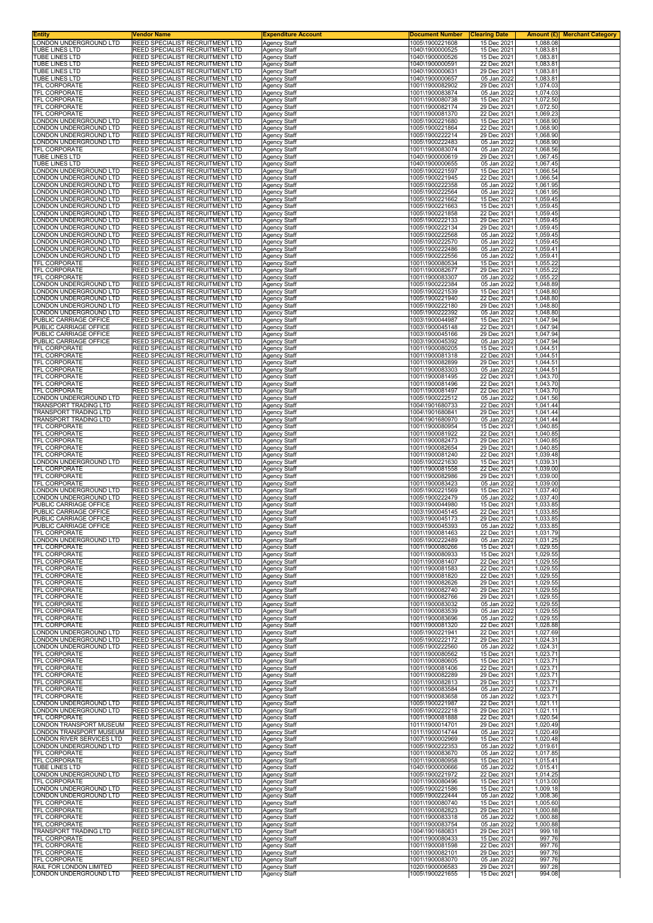| Entity                                | Vendor Name                                                        | <b>Expenditure Account</b>                 | <b>Document Number</b>             | <b>Clearing Date</b>       | <b>Amount (£)</b> Merchant Category |
|---------------------------------------|--------------------------------------------------------------------|--------------------------------------------|------------------------------------|----------------------------|-------------------------------------|
| ONDON UNDERGROUND LTD                 | REED SPECIALIST RECRUITMENT LTD                                    |                                            | 1005\1900221608                    | 15 Dec 2021                | 1,088.08                            |
| TUBE LINES LTD                        | REED SPECIALIST RECRUITMENT LTD                                    | <b>Agency Staff</b><br><b>Agency Staff</b> | 1040\1900000525                    | 15 Dec 2021                | 1,083.81                            |
| <b>TUBE LINES LTD</b>                 | REED SPECIALIST RECRUITMENT LTD                                    | Agency Staff                               | 1040\1900000526                    | 15 Dec 2021                | 1,083.81                            |
| TUBE LINES LTD                        | REED SPECIALIST RECRUITMENT LTD                                    | <b>Agency Staff</b>                        | 1040\1900000591                    | 22 Dec 2021                | 1,083.81                            |
| TUBE LINES LTD                        | REED SPECIALIST RECRUITMENT LTD                                    | Agency Staff                               | 1040\1900000631                    | 29 Dec 2021                | 1,083.81                            |
| <b>TUBE LINES LTD</b>                 | REED SPECIALIST RECRUITMENT LTD                                    | Agency Staff                               | 1040\1900000657                    | 05 Jan 2022                | 1,083.81                            |
| TFL CORPORATE                         | REED SPECIALIST RECRUITMENT LTD                                    | <b>Agency Staff</b>                        | 1001\1900082902                    | 29 Dec 2021                | 1,074.03                            |
| TFL CORPORATE                         | REED SPECIALIST RECRUITMENT LTD                                    | Agency Staff                               | 1001\1900083874                    | 05 Jan 2022                | 1,074.03                            |
| TFL CORPORATE<br><b>TFL CORPORATE</b> | REED SPECIALIST RECRUITMENT LTD<br>REED SPECIALIST RECRUITMENT LTD | Agency Staff                               | 1001\1900080738                    | 15 Dec 2021<br>29 Dec 2021 | 1,072.50                            |
| <b><i>TFL CORPORATE</i></b>           | REED SPECIALIST RECRUITMENT LTD                                    | Agency Staff<br>Agency Staff               | 1001\1900082174<br>1001\1900081370 | 22 Dec 2021                | 1,072.50<br>1,069.23                |
| ONDON UNDERGROUND LTD                 | REED SPECIALIST RECRUITMENT LTD                                    | <b>Agency Staff</b>                        | 1005\1900221680                    | 15 Dec 2021                | 1,068.90                            |
| ONDON UNDERGROUND LTD.                | REED SPECIALIST RECRUITMENT LTD                                    | <b>Agency Staff</b>                        | 1005\1900221864                    | 22 Dec 2021                | 1,068.90                            |
| ONDON UNDERGROUND LTD.                | REED SPECIALIST RECRUITMENT LTD                                    | <b>Agency Staff</b>                        | 1005\1900222214                    | 29 Dec 2021                | 1,068.90                            |
| ONDON UNDERGROUND LTD                 | REED SPECIALIST RECRUITMENT LTD                                    | <b>Agency Staff</b>                        | 1005\1900222483                    | 05 Jan 2022                | 1,068.90                            |
| <b>TFL CORPORATE</b>                  | REED SPECIALIST RECRUITMENT LTD                                    |                                            | 1001\1900083074                    | 05 Jan 2022                | 1,068.56                            |
| TUBE LINES LTD                        | REED SPECIALIST RECRUITMENT LTD                                    | Agency Staff<br><b>Agency Staff</b>        | 1040\1900000619                    | 29 Dec 2021                | 1,067.45                            |
| TUBE LINES LTD                        | REED SPECIALIST RECRUITMENT LTD                                    | Agency Staff                               | 1040\1900000655                    | 05 Jan 2022                | 1,067.45                            |
| ONDON UNDERGROUND LTD                 | REED SPECIALIST RECRUITMENT LTD                                    | <b>Agency Staff</b>                        | 1005\1900221597                    | 15 Dec 2021                | 1,066.54                            |
| ONDON UNDERGROUND LTD                 | REED SPECIALIST RECRUITMENT LTD                                    | <b>Agency Staff</b>                        | 1005\1900221945                    | 22 Dec 2021                | 1,066.54                            |
| ONDON UNDERGROUND LTD                 | REED SPECIALIST RECRUITMENT LTD                                    | <b>Agency Staff</b>                        | 1005\1900222358                    | 05 Jan 2022                | 1,061.95                            |
| ONDON UNDERGROUND LTD                 | REED SPECIALIST RECRUITMENT LTD                                    | Agency Staff                               | 1005\1900222564                    | 05 Jan 2022                | 1,061.95                            |
| ONDON UNDERGROUND LTD                 | REED SPECIALIST RECRUITMENT LTD                                    | <b>Agency Staff</b>                        | 1005\1900221662                    | 15 Dec 2021                | 1,059.45                            |
| ONDON UNDERGROUND LTD.                | REED SPECIALIST RECRUITMENT LTD                                    | Agency Staff                               | 1005\1900221663                    | 15 Dec 2021                | 1,059.45                            |
| ONDON UNDERGROUND LTD                 | REED SPECIALIST RECRUITMENT LTD                                    | <b>Agency Staff</b>                        | 1005\1900221858                    | 22 Dec 2021                | 1,059.45                            |
| ONDON UNDERGROUND LTD.                | REED SPECIALIST RECRUITMENT LTD                                    | <b>Agency Staff</b>                        | 1005\1900222133                    | 29 Dec 2021                | 1,059.45                            |
| ONDON UNDERGROUND LTD.                | REED SPECIALIST RECRUITMENT LTD                                    | <b>Agency Staff</b>                        | 1005\1900222134                    | 29 Dec 2021                | 1,059.45                            |
| ONDON UNDERGROUND LTD                 | REED SPECIALIST RECRUITMENT LTD                                    | Agency Staff                               | 1005\1900222568                    | 05 Jan 2022                | 1,059.45                            |
| ONDON UNDERGROUND LTD                 | REED SPECIALIST RECRUITMENT LTD                                    | <b>Agency Staff</b>                        | 1005\1900222570                    | 05 Jan 2022                | 1,059.45                            |
| ONDON UNDERGROUND LTD                 | REED SPECIALIST RECRUITMENT LTD                                    | Agency Staff                               | 1005\1900222486                    | 05 Jan 2022                | 1,059.41                            |
| ONDON UNDERGROUND LTD.                | REED SPECIALIST RECRUITMENT LTD                                    | <b>Agency Staff</b>                        | 1005\1900222556                    | 05 Jan 2022                | 1,059.41                            |
| TFL CORPORATE                         | REED SPECIALIST RECRUITMENT LTD                                    | <b>Agency Staff</b>                        | 1001\1900080534                    | 15 Dec 2021                | 1,055.22                            |
| TFL CORPORATE                         | REED SPECIALIST RECRUITMENT LTD                                    | <b>Agency Staff</b>                        | 1001\1900082677                    | 29 Dec 2021                | 1,055.22                            |
| TFL CORPORATE                         | REED SPECIALIST RECRUITMENT LTD                                    | Agency Staff                               | 1001\1900083307                    | 05 Jan 2022                | 1,055.22                            |
| ONDON UNDERGROUND LTD                 | REED SPECIALIST RECRUITMENT LTD                                    | Agency Staff                               | 1005\1900222384                    | 05 Jan 2022                | 1,048.89                            |
| ONDON UNDERGROUND LTD                 | REED SPECIALIST RECRUITMENT LTD                                    | Agency Staff                               | 1005\1900221539                    | 15 Dec 2021                | 1,048.80                            |
| ONDON UNDERGROUND LTD                 | REED SPECIALIST RECRUITMENT LTD                                    | <b>Agency Staff</b>                        | 1005\1900221940                    | 22 Dec 2021                | 1,048.80                            |
| ONDON UNDERGROUND LTD.                | REED SPECIALIST RECRUITMENT LTD                                    | <b>Agency Staff</b>                        | 1005\1900222180                    | 29 Dec 2021                | 1,048.80                            |
| ONDON UNDERGROUND LTD                 | REED SPECIALIST RECRUITMENT LTD                                    | <b>Agency Staff</b>                        | 1005\1900222392                    | 05 Jan 2022                | 1,048.80                            |
| PUBLIC CARRIAGE OFFICE                | REED SPECIALIST RECRUITMENT LTD                                    | Agency Staff                               | 1003\1900044987                    | 15 Dec 2021                | 1,047.94                            |
| PUBLIC CARRIAGE OFFICE                | REED SPECIALIST RECRUITMENT LTD                                    | Agency Staff                               | 1003\1900045148                    | 22 Dec 2021                | 1,047.94                            |
| PUBLIC CARRIAGE OFFICE                | REED SPECIALIST RECRUITMENT LTD                                    | <b>Agency Staff</b>                        | 1003\1900045166                    | 29 Dec 2021                | 1,047.94                            |
| PUBLIC CARRIAGE OFFICE                | REED SPECIALIST RECRUITMENT LTD                                    | Agency Staff                               | 1003\1900045392                    | 05 Jan 2022                | 1,047.94                            |
| TFL CORPORATE                         | REED SPECIALIST RECRUITMENT LTD                                    | <b>Agency Staff</b>                        | 1001\1900080205                    | 15 Dec 2021                | 1,044.51                            |
| TFL CORPORATE                         | REED SPECIALIST RECRUITMENT LTD                                    | <b>Agency Staff</b>                        | 1001\1900081318                    | 22 Dec 2021                | 1,044.51                            |
| TFL CORPORATE                         | REED SPECIALIST RECRUITMENT LTD                                    | Agency Staff                               | 1001\1900082899                    | 29 Dec 2021                | 1,044.51                            |
| TFL CORPORATE                         | REED SPECIALIST RECRUITMENT LTD                                    | <b>Agency Staff</b>                        | 1001\1900083303                    | 05 Jan 2022                | 1,044.51                            |
| TFL CORPORATE                         | REED SPECIALIST RECRUITMENT LTD                                    | <b>Agency Staff</b>                        | 1001\1900081495                    | 22 Dec 2021                | 1,043.70                            |
| TFL CORPORATE                         | REED SPECIALIST RECRUITMENT LTD                                    | Agency Staff                               | 1001\1900081496                    | 22 Dec 2021                | 1,043.70                            |
| <b>TFL CORPORATE</b>                  | REED SPECIALIST RECRUITMENT LTD                                    | <b>Agency Staff</b>                        | 1001\1900081497                    | 22 Dec 2021                | 1,043.70                            |
| ONDON UNDERGROUND LTD                 | REED SPECIALIST RECRUITMENT LTD                                    | <b>Agency Staff</b>                        | 1005\1900222512                    | 05 Jan 2022                | 1,041.56                            |
| TRANSPORT TRADING LTD                 | REED SPECIALIST RECRUITMENT LTD                                    | <b>Agency Staff</b>                        | 1004\1901680733                    | 22 Dec 2021                | 1,041.44                            |
| TRANSPORT TRADING LTD                 | REED SPECIALIST RECRUITMENT LTD                                    | <b>Agency Staff</b>                        | 1004\1901680841                    | 29 Dec 2021                | 1,041.44                            |
| TRANSPORT TRADING LTD                 | REED SPECIALIST RECRUITMENT LTD                                    | <b>Agency Staff</b>                        | 1004\1901680970                    | 05 Jan 2022                | 1,041.44                            |
| <b><i>FEL CORPORATE</i></b>           | REED SPECIALIST RECRUITMENT LTD                                    | Agency Staff                               | 1001\1900080954                    | 15 Dec 2021                | 1,040.85                            |
| TFL CORPORATE                         | REED SPECIALIST RECRUITMENT LTD                                    | <b>Agency Staff</b>                        | 1001\1900081922                    | 22 Dec 2021                | 1,040.85                            |
| <b>TFL CORPORATE</b>                  | REED SPECIALIST RECRUITMENT LTD                                    | <b>Agency Staff</b>                        | 1001\1900082473                    | 29 Dec 2021                | 1,040.85                            |
| TFL CORPORATE                         | REED SPECIALIST RECRUITMENT LTD                                    | <b>Agency Staff</b>                        | 1001\1900082654                    | 29 Dec 2021                | 1,040.85                            |
| TFL CORPORATE                         | REED SPECIALIST RECRUITMENT LTD                                    | Agency Staff                               | 1001\1900081240                    | 22 Dec 2021                | 1,039.48                            |
| ONDON UNDERGROUND LTD                 | REED SPECIALIST RECRUITMENT LTD                                    | Agency Staff                               | 1005\1900221630                    | 15 Dec 2021                | 1,039.31                            |
| <b><i>TFL CORPORATE</i></b>           | REED SPECIALIST RECRUITMENT LTD                                    | Agency Staff                               | 1001\1900081558                    | 22 Dec 2021                | 1,039.00                            |
| TFL CORPORATE                         | REED SPECIALIST RECRUITMENT LTD                                    | <b>Agency Staff</b>                        | 1001\1900082986                    | 29 Dec 2021                | 1,039.00                            |
| <b>TFL CORPORATE</b>                  | REED SPECIALIST RECRUITMENT LTD                                    | <b>Agency Staff</b>                        | 1001\1900083423                    | 05 Jan 2022                | 1,039.00                            |
| ONDON UNDERGROUND LTD                 | REED SPECIALIST RECRUITMENT LTD                                    | <b>Agency Staff</b>                        | 1005\1900221569                    | 15 Dec 2021                | 1,037.40                            |
| ONDON UNDERGROUND LTD                 | REED SPECIALIST RECRUITMENT LTD                                    | Agency Staff                               | 1005\1900222479                    | 05 Jan 2022                | 1,037.40                            |
| PUBLIC CARRIAGE OFFICE                | REED SPECIALIST RECRUITMENT LTD                                    | Agency Staff                               | 1003\1900044980                    | 15 Dec 2021                | 1,033.85                            |
| PUBLIC CARRIAGE OFFICE                | REED SPECIALIST RECRUITMENT LTD                                    | Agency Staff                               | 1003\1900045145                    | 22 Dec 2021                | 1,033.85                            |
| PUBLIC CARRIAGE OFFICE                | REED SPECIALIST RECRUITMENT LTD                                    | <b>Agency Staff</b>                        | 1003\1900045173                    | 29 Dec 2021                | 1,033.85                            |
| PUBLIC CARRIAGE OFFICE                | REED SPECIALIST RECRUITMENT LTD                                    | Agency Staff                               | 1003\1900045393                    | 05 Jan 2022                | 1,033.85                            |
| TFL CORPORATE                         | REED SPECIALIST RECRUITMENT LTD                                    | <b>Agency Staff</b>                        | 1001\1900081463                    | 22 Dec 2021                | 1,031.79                            |
| LONDON UNDERGROUND LTD                | REED SPECIALIST RECRUITMENT LTD                                    | <b>Agency Staff</b>                        | 1005\1900222489                    | 05 Jan 2022                | 1,031.25                            |
| TFL CORPORATE                         | REED SPECIALIST RECRUITMENT LTD                                    | Agency Staff                               | 1001\1900080266                    | 15 Dec 2021                | 1,029.55                            |
| TFL CORPORATE                         | REED SPECIALIST RECRUITMENT LTD                                    | Agency Staff                               | 1001\1900080933                    | 15 Dec 2021                | 1,029.55                            |
| TFL CORPORATE                         | REED SPECIALIST RECRUITMENT LTD                                    | <b>Agency Staff</b>                        | 1001\1900081407                    | 22 Dec 2021                | 1,029.55                            |
| <b>TFL CORPORATE</b>                  | REED SPECIALIST RECRUITMENT LTD                                    | <b>Agency Staff</b>                        | 1001\1900081583                    | 22 Dec 2021                | 1,029.55                            |
| TFL CORPORATE                         | REED SPECIALIST RECRUITMENT LTD                                    | <b>Agency Staff</b>                        | 1001\1900081820                    | 22 Dec 2021                | 1,029.55                            |
| TFL CORPORATE                         | REED SPECIALIST RECRUITMENT LTD                                    | <b>Agency Staff</b>                        | 1001\1900082626                    | 29 Dec 2021                | 1,029.55                            |
| TFL CORPORATE                         | REED SPECIALIST RECRUITMENT LTD                                    | <b>Agency Staff</b>                        | 1001\1900082740                    | 29 Dec 2021                | 1,029.55                            |
| TFL CORPORATE                         | REED SPECIALIST RECRUITMENT LTD                                    | Agency Staff                               | 1001\1900082766                    | 29 Dec 2021                | 1,029.55                            |
| TFL CORPORATE                         | REED SPECIALIST RECRUITMENT LTD                                    | Agency Staff                               | 1001\1900083032                    | 05 Jan 2022                | 1,029.55                            |
| TFL CORPORATE                         | REED SPECIALIST RECRUITMENT LTD                                    | <b>Agency Staff</b>                        | 1001\1900083539                    | 05 Jan 2022                | 1,029.55                            |
| TFL CORPORATE                         | REED SPECIALIST RECRUITMENT LTD                                    | <b>Agency Staff</b>                        | 1001\1900083696                    | 05 Jan 2022                | 1,029.55                            |
| TFL CORPORATE                         | REED SPECIALIST RECRUITMENT LTD                                    | <b>Agency Staff</b>                        | 1001\1900081320                    | 22 Dec 2021                | 1,028.88                            |
| LONDON UNDERGROUND LTD                | REED SPECIALIST RECRUITMENT LTD                                    | Agency Staff                               | 1005\1900221941                    | 22 Dec 2021                | 1,027.69                            |
| LONDON UNDERGROUND LTD                | REED SPECIALIST RECRUITMENT LTD                                    | <b>Agency Staff</b>                        | 1005\1900222172                    | 29 Dec 2021                | 1,024.31                            |
| ONDON UNDERGROUND LTD                 | REED SPECIALIST RECRUITMENT LTD                                    | Agency Staff                               | 1005\1900222560                    | 05 Jan 2022                | 1,024.31                            |
| TFL CORPORATE<br>TFL CORPORATE        | REED SPECIALIST RECRUITMENT LTD<br>REED SPECIALIST RECRUITMENT LTD | <b>Agency Staff</b>                        | 1001\1900080562<br>1001\1900080605 | 15 Dec 2021                | 1,023.71                            |
| TFL CORPORATE                         | REED SPECIALIST RECRUITMENT LTD                                    | <b>Agency Staff</b><br><b>Agency Staff</b> | 1001\1900081406                    | 15 Dec 2021<br>22 Dec 2021 | 1,023.71<br>1,023.71                |
| TFL CORPORATE                         | REED SPECIALIST RECRUITMENT LTD                                    | Agency Staff                               | 1001\1900082289                    | 29 Dec 2021                | 1,023.71                            |
| TFL CORPORATE                         | REED SPECIALIST RECRUITMENT LTD                                    | Agency Staff                               | 1001\1900082813                    | 29 Dec 2021                | 1,023.71                            |
| TFL CORPORATE                         | REED SPECIALIST RECRUITMENT LTD                                    | <b>Agency Staff</b>                        | 1001\1900083584                    | 05 Jan 2022                | 1,023.71                            |
| TFL CORPORATE                         | REED SPECIALIST RECRUITMENT LTD                                    | Agency Staff                               | 1001\1900083658                    | 05 Jan 2022                | 1,023.71                            |
| ONDON UNDERGROUND LTD                 | REED SPECIALIST RECRUITMENT LTD                                    | <b>Agency Staff</b>                        | 1005\1900221987                    | 22 Dec 2021                | 1,021.11                            |
| ONDON UNDERGROUND LTD                 | REED SPECIALIST RECRUITMENT LTD                                    | <b>Agency Staff</b>                        | 1005\1900222218                    | 29 Dec 2021                | 1,021.11                            |
| TFL CORPORATE                         | REED SPECIALIST RECRUITMENT LTD                                    | Agency Staff                               | 1001\1900081888                    | 22 Dec 2021                | 1,020.54                            |
| ONDON TRANSPORT MUSEUM                | REED SPECIALIST RECRUITMENT LTD                                    | Agency Staff                               | 1011\1900014701                    | 29 Dec 2021                | 1,020.49                            |
| ONDON TRANSPORT MUSEUM                | REED SPECIALIST RECRUITMENT LTD                                    | Agency Staff                               | 1011\1900014744                    | 05 Jan 2022                | 1,020.49                            |
| ONDON RIVER SERVICES LTD              | REED SPECIALIST RECRUITMENT LTD                                    | Agency Staff                               | 1007\1900002969                    | 15 Dec 2021                | 1,020.48                            |
| ONDON UNDERGROUND LTD                 | REED SPECIALIST RECRUITMENT LTD                                    | <b>Agency Staff</b>                        | 1005\1900222353                    | 05 Jan 2022                | 1,019.61                            |
| TFL CORPORATE                         | REED SPECIALIST RECRUITMENT LTD                                    | <b>Agency Staff</b>                        | 1001\1900083670                    | 05 Jan 2022                | 1,017.85                            |
| TFL CORPORATE                         | REED SPECIALIST RECRUITMENT LTD                                    | Agency Staff                               | 1001\1900080958                    | 15 Dec 2021                | 1,015.41                            |
| TUBE LINES LTD                        | REED SPECIALIST RECRUITMENT LTD                                    | Agency Staff                               | 1040\1900000666                    | 05 Jan 2022                | 1,015.41                            |
| ONDON UNDERGROUND LTD                 | REED SPECIALIST RECRUITMENT LTD                                    | <b>Agency Staff</b>                        | 1005\1900221972                    | 22 Dec 2021                | 1,014.25                            |
| TFL CORPORATE                         | REED SPECIALIST RECRUITMENT LTD                                    | Agency Staff                               | 1001\1900080496                    | 15 Dec 2021                | 1,013.00                            |
| ONDON UNDERGROUND LTD                 | REED SPECIALIST RECRUITMENT LTD                                    | <b>Agency Staff</b>                        | 1005\1900221586                    | 15 Dec 2021                | 1,009.18                            |
| ONDON UNDERGROUND LTD                 | REED SPECIALIST RECRUITMENT LTD                                    | <b>Agency Staff</b>                        | 1005\1900222444                    | 05 Jan 2022                | 1,008.36                            |
| TFL CORPORATE                         | REED SPECIALIST RECRUITMENT LTD                                    | <b>Agency Staff</b>                        | 1001\1900080740                    | 15 Dec 2021                | 1,005.60                            |
| TFL CORPORATE                         | REED SPECIALIST RECRUITMENT LTD                                    | Agency Staff                               | 1001\1900082823                    | 29 Dec 2021                | 1,000.88                            |
| TFL CORPORATE                         | REED SPECIALIST RECRUITMENT LTD                                    | <b>Agency Staff</b>                        | 1001\1900083318                    | 05 Jan 2022                | 1,000.88                            |
| TFL CORPORATE                         | REED SPECIALIST RECRUITMENT LTD                                    | Agency Staff                               | 1001\1900083754                    | 05 Jan 2022                | 1,000.88                            |
| TRANSPORT TRADING LTD                 | REED SPECIALIST RECRUITMENT LTD                                    | Agency Staff                               | 1004\1901680831                    | 29 Dec 2021                | 999.18                              |
| TFL CORPORATE                         | REED SPECIALIST RECRUITMENT LTD                                    | <b>Agency Staff</b>                        | 1001\1900080433                    | 15 Dec 2021                | 997.76                              |
| TFL CORPORATE                         | REED SPECIALIST RECRUITMENT LTD                                    | <b>Agency Staff</b>                        | 1001\1900081598                    | 22 Dec 2021                | 997.76                              |
| TFL CORPORATE                         | REED SPECIALIST RECRUITMENT LTD                                    | Agency Staff                               | 1001\1900082101                    | 29 Dec 2021                | 997.76                              |
| TFL CORPORATE                         | REED SPECIALIST RECRUITMENT LTD                                    | Agency Staff                               | 1001\1900083070                    | 05 Jan 2022                | 997.76                              |
| RAIL FOR LONDON LIMITED               | REED SPECIALIST RECRUITMENT LTD                                    | Agency Staff                               | 1020\1900006583                    | 29 Dec 2021                | 997.28                              |
| LONDON UNDERGROUND LTD                | REED SPECIALIST RECRUITMENT LTD                                    | Agency Staff                               | 1005\1900221655                    | 15 Dec 2021                | 994.08                              |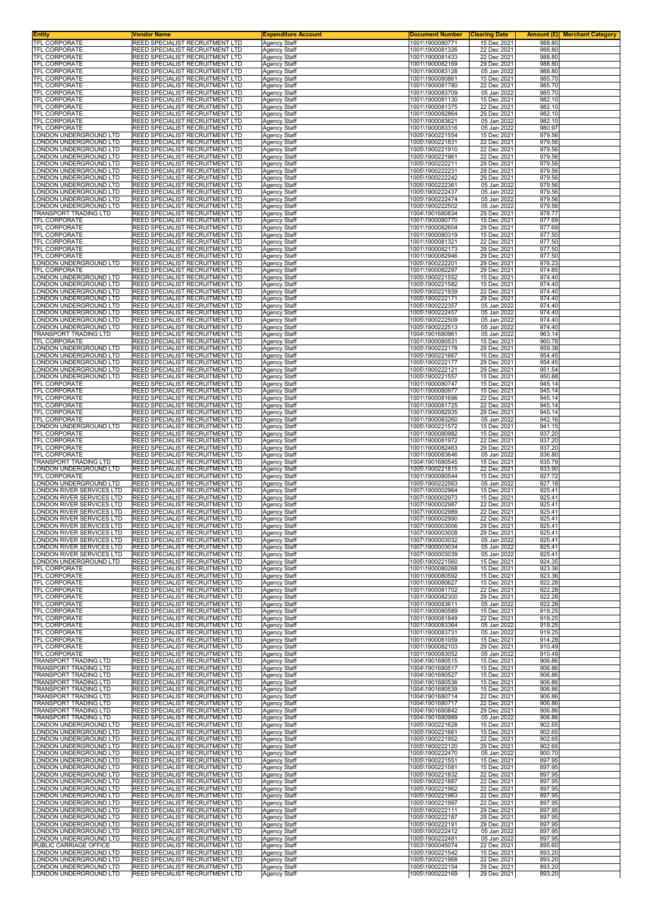| Entity<br>TFL CORPORATE                                | Vendor Name<br>REED SPECIALIST RECRUITMENT LTD                            | <b>Expenditure Account</b><br><b>Agency Staff</b> | <u>Document Number</u><br>1001\1900080771 | <b>Clearing Date</b><br>15 Dec 2021 | 988.80           | Amount (£) Merchant Category |
|--------------------------------------------------------|---------------------------------------------------------------------------|---------------------------------------------------|-------------------------------------------|-------------------------------------|------------------|------------------------------|
| TFL CORPORATE                                          | REED SPECIALIST RECRUITMENT LTD                                           | <b>Agency Staff</b>                               | 1001\1900081326                           | 22 Dec 2021                         | 988.80           |                              |
| TFL CORPORATE                                          | REED SPECIALIST RECRUITMENT LTD                                           | Agency Staff                                      | 1001\1900081433                           | 22 Dec 2021                         | 988.80           |                              |
| TFL CORPORATE<br><b>TFL CORPORATE</b>                  | REED SPECIALIST RECRUITMENT LTD<br>REED SPECIALIST RECRUITMENT LTD        | Agency Staff<br>Agency Staff                      | 1001\1900082169<br>1001\1900083128        | 29 Dec 2021<br>05 Jan 2022          | 988.80<br>988.80 |                              |
| TFL CORPORATE                                          | REED SPECIALIST RECRUITMENT LTD                                           | Agency Staff                                      | 1001\1900080861                           | 15 Dec 2021                         | 985.70           |                              |
| TFL CORPORATE<br>TFL CORPORATE                         | REED SPECIALIST RECRUITMENT LTD<br>REED SPECIALIST RECRUITMENT LTD        | Agency Staff<br>Agency Staff                      | 1001\1900081780<br>1001\1900083709        | 22 Dec 2021<br>05 Jan 2022          | 985.70<br>985.70 |                              |
| TFL CORPORATE                                          | REED SPECIALIST RECRUITMENT LTD                                           | Agency Staff                                      | 1001\1900081130                           | 15 Dec 2021                         | 982.10           |                              |
| TFL CORPORATE<br>TFL CORPORATE                         | REED SPECIALIST RECRUITMENT LTD<br>REED SPECIALIST RECRUITMENT LTD        | Agency Staff<br>Agency Staff                      | 1001\1900081375<br>1001\1900082864        | 22 Dec 2021<br>29 Dec 2021          | 982.10<br>982.10 |                              |
| TFL CORPORATE                                          | REED SPECIALIST RECRUITMENT LTD                                           | Agency Staff                                      | 1001\1900083621                           | 05 Jan 2022                         | 982.10           |                              |
| TFL CORPORATE<br>ONDON UNDERGROUND LTD.                | REED SPECIALIST RECRUITMENT LTD<br>REED SPECIALIST RECRUITMENT LTD        | Agency Staff<br><b>Agency Staff</b>               | 1001\1900083316<br>1005\1900221554        | 05 Jan 2022<br>15 Dec 2021          | 980.97<br>979.56 |                              |
| ONDON UNDERGROUND LTD                                  | REED SPECIALIST RECRUITMENT LTD                                           | Agency Staff                                      | 1005\1900221831                           | 22 Dec 2021                         | 979.56           |                              |
| ONDON UNDERGROUND LTD<br>ONDON UNDERGROUND LTD.        | REED SPECIALIST RECRUITMENT LTD<br>REED SPECIALIST RECRUITMENT LTD        | Agency Staff<br>Agency Staff                      | 1005\1900221910<br>1005\1900221961        | 22 Dec 2021<br>22 Dec 2021          | 979.56<br>979.56 |                              |
| ONDON UNDERGROUND LTD                                  | REED SPECIALIST RECRUITMENT LTD                                           | Agency Staff                                      | 1005\1900222211                           | 29 Dec 2021                         | 979.56           |                              |
| ONDON UNDERGROUND LTD<br>ONDON UNDERGROUND LTD.        | REED SPECIALIST RECRUITMENT LTD<br>REED SPECIALIST RECRUITMENT LTD        | Agency Staff<br>Agency Staff                      | 1005\1900222231<br>1005\1900222242        | 29 Dec 2021<br>29 Dec 2021          | 979.56<br>979.56 |                              |
| ONDON UNDERGROUND LTD.                                 | REED SPECIALIST RECRUITMENT LTD                                           | Agency Staff                                      | 1005\1900222361                           | 05 Jan 2022                         | 979.56           |                              |
| ONDON UNDERGROUND LTD<br>ONDON UNDERGROUND LTD         | REED SPECIALIST RECRUITMENT LTD<br>REED SPECIALIST RECRUITMENT LTD        | Agency Staff<br>Agency Staff                      | 1005\1900222437<br>1005\1900222474        | 05 Jan 2022<br>05 Jan 2022          | 979.56<br>979.56 |                              |
| ONDON UNDERGROUND LTD.                                 | REED SPECIALIST RECRUITMENT LTD                                           | <b>Agency Staff</b>                               | 1005\1900222502                           | 05 Jan 2022                         | 979.56           |                              |
| TRANSPORT TRADING LTD<br>TFL CORPORATE                 | REED SPECIALIST RECRUITMENT LTD<br>REED SPECIALIST RECRUITMENT LTD        | Agency Staff<br><b>Agency Staff</b>               | 1004\1901680834<br>1001\1900080770        | 29 Dec 2021<br>15 Dec 2021          | 978.77<br>977.69 |                              |
| TFL CORPORATE                                          | REED SPECIALIST RECRUITMENT LTD                                           | <b>Agency Staff</b>                               | 1001\1900082604                           | 29 Dec 2021                         | 977.69           |                              |
| TFL CORPORATE<br>TFL CORPORATE                         | REED SPECIALIST RECRUITMENT LTD<br>REED SPECIALIST RECRUITMENT LTD        | <b>Agency Staff</b>                               | 1001\1900080319<br>1001\1900081321        | 15 Dec 2021<br>22 Dec 2021          | 977.50<br>977.50 |                              |
| TFL CORPORATE                                          | REED SPECIALIST RECRUITMENT LTD                                           | Agency Staff<br><b>Agency Staff</b>               | 1001\1900082173                           | 29 Dec 2021                         | 977.50           |                              |
| TFL CORPORATE<br>ONDON UNDERGROUND LTD                 | REED SPECIALIST RECRUITMENT LTD<br>REED SPECIALIST RECRUITMENT LTD        | <b>Agency Staff</b>                               | 1001\1900082946                           | 29 Dec 2021                         | 977.50           |                              |
| TFL CORPORATE                                          | REED SPECIALIST RECRUITMENT LTD                                           | Agency Staff<br><b>Agency Staff</b>               | 1005\1900222201<br>1001\1900082297        | 29 Dec 2021<br>29 Dec 2021          | 976.23<br>974.85 |                              |
| ONDON UNDERGROUND LTD                                  | REED SPECIALIST RECRUITMENT LTD                                           | <b>Agency Staff</b>                               | 1005\1900221552                           | 15 Dec 2021                         | 974.40           |                              |
| ONDON UNDERGROUND LTD<br>ONDON UNDERGROUND LTD         | REED SPECIALIST RECRUITMENT LTD<br>REED SPECIALIST RECRUITMENT LTD        | Agency Staff<br>Agency Staff                      | 1005\1900221582<br>1005\1900221939        | 15 Dec 2021<br>22 Dec 2021          | 974.40<br>974.40 |                              |
| ONDON UNDERGROUND LTD                                  | REED SPECIALIST RECRUITMENT LTD                                           | Agency Staff                                      | 1005\1900222171                           | 29 Dec 2021                         | 974.40           |                              |
| ONDON UNDERGROUND LTD.<br>ONDON UNDERGROUND LTD        | REED SPECIALIST RECRUITMENT LTD<br>REED SPECIALIST RECRUITMENT LTD        | Agency Staff<br><b>Agency Staff</b>               | 1005\1900222357<br>1005\1900222457        | 05 Jan 2022<br>05 Jan 2022          | 974.40<br>974.40 |                              |
| ONDON UNDERGROUND LTD                                  | REED SPECIALIST RECRUITMENT LTD                                           | Agency Staff                                      | 1005\1900222509                           | 05 Jan 2022                         | 974.40           |                              |
| ONDON UNDERGROUND LTD<br>FRANSPORT TRADING LTD         | REED SPECIALIST RECRUITMENT LTD<br>REED SPECIALIST RECRUITMENT LTD        | Agency Staff<br><b>Agency Staff</b>               | 1005\1900222513<br>1004\1901680961        | 05 Jan 2022<br>05 Jan 2022          | 974.40<br>963.14 |                              |
| <b>TFL CORPORATE</b>                                   | REED SPECIALIST RECRUITMENT LTD                                           | Agency Staff                                      | 1001\1900080531                           | 15 Dec 2021                         | 960.78           |                              |
| ONDON UNDERGROUND LTD<br>ONDON UNDERGROUND LTD.        | REED SPECIALIST RECRUITMENT LTD<br>REED SPECIALIST RECRUITMENT LTD        | Agency Staff<br><b>Agency Staff</b>               | 1005\1900222178<br>1005\1900221667        | 29 Dec 2021<br>15 Dec 2021          | 959.38<br>954.45 |                              |
| ONDON UNDERGROUND LTD                                  | REED SPECIALIST RECRUITMENT LTD                                           | Agency Staff                                      | 1005\1900222177                           | 29 Dec 2021                         | 954.45           |                              |
| ONDON UNDERGROUND LTD<br>ONDON UNDERGROUND LTD         | REED SPECIALIST RECRUITMENT LTD<br>REED SPECIALIST RECRUITMENT LTD        | Agency Staff<br>Agency Staff                      | 1005\1900222121<br>1005\1900221557        | 29 Dec 2021<br>15 Dec 2021          | 951.54<br>950.88 |                              |
| TFL CORPORATE                                          | REED SPECIALIST RECRUITMENT LTD                                           | Agency Staff                                      | 1001\1900080747                           | 15 Dec 2021                         | 945.14           |                              |
| TFL CORPORATE<br>TFL CORPORATE                         | REED SPECIALIST RECRUITMENT LTD<br>REED SPECIALIST RECRUITMENT LTD        | Agency Staff<br><b>Agency Staff</b>               | 1001\1900080977<br>1001\1900081696        | 15 Dec 2021<br>22 Dec 2021          | 945.14<br>945.14 |                              |
| TFL CORPORATE                                          | REED SPECIALIST RECRUITMENT LTD                                           | Agency Staff                                      | 1001\1900081725                           | 22 Dec 2021                         | 945.14           |                              |
| TFL CORPORATE<br>TFL CORPORATE                         | REED SPECIALIST RECRUITMENT LTD<br>REED SPECIALIST RECRUITMENT LTD        | Agency Staff                                      | 1001\1900082935<br>1001\1900083260        | 29 Dec 2021                         | 945.14<br>942.16 |                              |
| ONDON UNDERGROUND LTD.                                 | REED SPECIALIST RECRUITMENT LTD                                           | Agency Staff<br>Agency Staff                      | 1005\1900221572                           | 05 Jan 2022<br>15 Dec 2021          | 941.15           |                              |
| TFL CORPORATE                                          | REED SPECIALIST RECRUITMENT LTD                                           | Agency Staff                                      | 1001\1900080982                           | 15 Dec 2021                         | 937.20           |                              |
| TFL CORPORATE<br>TFL CORPORATE                         | REED SPECIALIST RECRUITMENT LTD<br>REED SPECIALIST RECRUITMENT LTD        | <b>Agency Staff</b><br><b>Agency Staff</b>        | 1001\1900081972<br>1001\1900082463        | 22 Dec 2021<br>29 Dec 2021          | 937.20<br>937.20 |                              |
| TFL CORPORATE                                          | REED SPECIALIST RECRUITMENT LTD                                           | Agency Staff                                      | 1001\1900083646                           | 05 Jan 2022                         | 936.80           |                              |
| TRANSPORT TRADING LTD<br>ONDON UNDERGROUND LTD.        | REED SPECIALIST RECRUITMENT LTD<br>REED SPECIALIST RECRUITMENT LTD        | <b>Agency Staff</b><br>Agency Staff               | 1004\1901680545<br>1005\1900221815        | 15 Dec 2021<br>22 Dec 2021          | 935.79<br>933.90 |                              |
| TFL CORPORATE                                          | REED SPECIALIST RECRUITMENT LTD                                           | Agency Staff                                      | 1001\1900080544                           | 15 Dec 2021                         | 927.72           |                              |
| ONDON UNDERGROUND LTD<br>ONDON RIVER SERVICES LTD      | REED SPECIALIST RECRUITMENT LTD<br>REED SPECIALIST RECRUITMENT LTD        | Agency Staff<br><b>Agency Staff</b>               | 1005\1900222563<br>1007\1900002964        | 05 Jan 2022<br>15 Dec 2021          | 927.18<br>925.41 |                              |
| ONDON RIVER SERVICES LTD                               | REED SPECIALIST RECRUITMENT LTD                                           | Agency Staff                                      | 1007\1900002973                           | 15 Dec 2021                         | 925.41           |                              |
| ONDON RIVER SERVICES LTD<br>ONDON RIVER SERVICES LTD   | REED SPECIALIST RECRUITMENT LTD<br>REED SPECIALIST RECRUITMENT LTD        | Agency Staff<br>Agency Staff                      | 1007\1900002987<br>1007\1900002989        | 22 Dec 2021<br>22 Dec 2021          | 925.41<br>925.41 |                              |
| ONDON RIVER SERVICES LTD                               | REED SPECIALIST RECRUITMENT LTD                                           | Agency Staff                                      | 1007\1900002990                           | 22 Dec 2021                         | 925.41           |                              |
| ONDON RIVER SERVICES LTD.<br>LONDON RIVER SERVICES LTD | REED SPECIALIST RECRUITMENT LTD<br><b>REED SPECIALIST RECRUITMENT LTD</b> | Agency Staff<br><b>Agency Staff</b>               | 1007\1900003006<br>1007\1900003008        | 29 Dec 2021<br>29 Dec 2021          | 925.41<br>925.41 |                              |
| ONDON RIVER SERVICES LTD                               | REED SPECIALIST RECRUITMENT LTD                                           | <b>Agency Staff</b>                               | 1007\1900003032                           | 05 Jan 2022                         | 925.41           |                              |
| LONDON RIVER SERVICES LTD<br>LONDON RIVER SERVICES LTD | REED SPECIALIST RECRUITMENT LTD<br>REED SPECIALIST RECRUITMENT LTD        | Agency Staff<br><b>Agency Staff</b>               | 1007\1900003034<br>1007\1900003039        | 05 Jan 2022<br>05 Jan 2022          | 925.41<br>925.41 |                              |
| ONDON UNDERGROUND LTD                                  | REED SPECIALIST RECRUITMENT LTD                                           | Agency Staff                                      | 1005\1900221560                           | 15 Dec 2021                         | 924.35           |                              |
| TFL CORPORATE<br>TFL CORPORATE                         | REED SPECIALIST RECRUITMENT LTD<br>REED SPECIALIST RECRUITMENT LTD        | Agency Staff<br><b>Agency Staff</b>               | 1001\1900080268<br>1001\1900080592        | 15 Dec 2021<br>15 Dec 2021          | 923.36<br>923.36 |                              |
| TFL CORPORATE                                          | REED SPECIALIST RECRUITMENT LTD                                           | Agency Staff                                      | 1001\1900080627                           | 15 Dec 2021                         | 922.28           |                              |
| <b>TFL CORPORATE</b><br>TFL CORPORATE                  | REED SPECIALIST RECRUITMENT LTD<br>REED SPECIALIST RECRUITMENT LTD        | <b>Agency Staff</b><br><b>Agency Staff</b>        | 1001\1900081702<br>1001\1900082300        | 22 Dec 2021<br>29 Dec 2021          | 922.28<br>922.28 |                              |
| TFL CORPORATE                                          | REED SPECIALIST RECRUITMENT LTD                                           | Agency Staff                                      | 1001\1900083611                           | 05 Jan 2022                         | 922.28           |                              |
| TFL CORPORATE<br>TFL CORPORATE                         | REED SPECIALIST RECRUITMENT LTD<br>REED SPECIALIST RECRUITMENT LTD        | Agency Staff<br><b>Agency Staff</b>               | 1001\1900080589<br>1001\1900081849        | 15 Dec 2021<br>22 Dec 2021          | 919.25<br>919.25 |                              |
| TFL CORPORATE                                          | REED SPECIALIST RECRUITMENT LTD                                           | <b>Agency Staff</b>                               | 1001\1900083364                           | 05 Jan 2022                         | 919.25           |                              |
| TFL CORPORATE<br>TFL CORPORATE                         | REED SPECIALIST RECRUITMENT LTD<br>REED SPECIALIST RECRUITMENT LTD        | Agency Staff<br><b>Agency Staff</b>               | 1001\1900083731<br>1001\1900081059        | 05 Jan 2022<br>15 Dec 2021          | 919.25<br>914.28 |                              |
| <b>TFL CORPORATE</b>                                   | REED SPECIALIST RECRUITMENT LTD                                           | Agency Staff                                      | 1001\1900082103                           | 29 Dec 2021                         | 910.49           |                              |
| TFL CORPORATE<br>TRANSPORT TRADING LTD                 | REED SPECIALIST RECRUITMENT LTD<br>REED SPECIALIST RECRUITMENT LTD        | Agency Staff<br>Agency Staff                      | 1001\1900083052<br>1004\1901680515        | 05 Jan 2022<br>15 Dec 2021          | 910.49<br>906.86 |                              |
| TRANSPORT TRADING LTD                                  | REED SPECIALIST RECRUITMENT LTD                                           | Agency Staff                                      | 1004\1901680517                           | 15 Dec 2021                         | 906.86           |                              |
| TRANSPORT TRADING LTD<br>TRANSPORT TRADING LTD         | REED SPECIALIST RECRUITMENT LTD<br>REED SPECIALIST RECRUITMENT LTD        | Agency Staff<br><b>Agency Staff</b>               | 1004\1901680527<br>1004\1901680536        | 15 Dec 2021<br>15 Dec 2021          | 906.86<br>906.86 |                              |
| <b>TRANSPORT TRADING LTD</b>                           | REED SPECIALIST RECRUITMENT LTD                                           | Agency Staff                                      | 1004\1901680539                           | 15 Dec 2021                         | 906.86           |                              |
| TRANSPORT TRADING LTD<br>TRANSPORT TRADING LTD         | REED SPECIALIST RECRUITMENT LTD<br>REED SPECIALIST RECRUITMENT LTD        | Agency Staff<br>Agency Staff                      | 1004\1901680714<br>1004\1901680717        | 22 Dec 2021<br>22 Dec 2021          | 906.86<br>906.86 |                              |
| TRANSPORT TRADING LTD                                  | REED SPECIALIST RECRUITMENT LTD                                           | <b>Agency Staff</b>                               | 1004\1901680842                           | 29 Dec 2021                         | 906.86           |                              |
| TRANSPORT TRADING LTD<br>ONDON UNDERGROUND LTD         | REED SPECIALIST RECRUITMENT LTD<br>REED SPECIALIST RECRUITMENT LTD        | Agency Staff<br>Agency Staff                      | 1004\1901680989<br>1005\1900221628        | 05 Jan 2022<br>15 Dec 2021          | 906.86<br>902.65 |                              |
| ONDON UNDERGROUND LTD.                                 | REED SPECIALIST RECRUITMENT LTD                                           | <b>Agency Staff</b>                               | 1005\1900221661                           | 15 Dec 2021                         | 902.65           |                              |
| ONDON UNDERGROUND LTD<br>ONDON UNDERGROUND LTD         | REED SPECIALIST RECRUITMENT LTD<br>REED SPECIALIST RECRUITMENT LTD        | Agency Staff<br>Agency Staff                      | 1005\1900221952<br>1005\1900222120        | 22 Dec 2021<br>29 Dec 2021          | 902.65<br>902.65 |                              |
| ONDON UNDERGROUND LTD                                  | REED SPECIALIST RECRUITMENT LTD                                           | <b>Agency Staff</b>                               | 1005\1900222470                           | 05 Jan 2022                         | 900.70           |                              |
| ONDON UNDERGROUND LTD<br>ONDON UNDERGROUND LTD         | REED SPECIALIST RECRUITMENT LTD<br>REED SPECIALIST RECRUITMENT LTD        | Agency Staff<br><b>Agency Staff</b>               | 1005\1900221551<br>1005\1900221581        | 15 Dec 2021<br>15 Dec 2021          | 897.95<br>897.95 |                              |
| ONDON UNDERGROUND LTD                                  | REED SPECIALIST RECRUITMENT LTD                                           | <b>Agency Staff</b>                               | 1005\1900221832                           | 22 Dec 2021                         | 897.95           |                              |
| ONDON UNDERGROUND LTD.<br>ONDON UNDERGROUND LTD        | REED SPECIALIST RECRUITMENT LTD<br>REED SPECIALIST RECRUITMENT LTD        | Agency Staff<br><b>Agency Staff</b>               | 1005\1900221887<br>1005\1900221962        | 22 Dec 2021<br>22 Dec 2021          | 897.95<br>897.95 |                              |
| ONDON UNDERGROUND LTD                                  | REED SPECIALIST RECRUITMENT LTD                                           | <b>Agency Staff</b>                               | 1005\1900221963                           | 22 Dec 2021                         | 897.95           |                              |
| ONDON UNDERGROUND LTD<br>ONDON UNDERGROUND LTD         | REED SPECIALIST RECRUITMENT LTD<br>REED SPECIALIST RECRUITMENT LTD        | Agency Staff<br>Agency Staff                      | 1005\1900221997<br>1005\1900222111        | 22 Dec 2021<br>29 Dec 2021          | 897.95<br>897.95 |                              |
| ONDON UNDERGROUND LTD                                  | REED SPECIALIST RECRUITMENT LTD                                           | <b>Agency Staff</b>                               | 1005\1900222187                           | 29 Dec 2021                         | 897.95           |                              |
| ONDON UNDERGROUND LTD.<br>ONDON UNDERGROUND LTD        | REED SPECIALIST RECRUITMENT LTD<br>REED SPECIALIST RECRUITMENT LTD        | Agency Staff<br>Agency Staff                      | 1005\1900222191<br>1005\1900222412        | 29 Dec 2021<br>05 Jan 2022          | 897.95<br>897.95 |                              |
| ONDON UNDERGROUND LTD                                  | REED SPECIALIST RECRUITMENT LTD                                           | <b>Agency Staff</b>                               | 1005\1900222481                           | 05 Jan 2022                         | 897.95           |                              |
| PUBLIC CARRIAGE OFFICE<br>ONDON UNDERGROUND LTD        | REED SPECIALIST RECRUITMENT LTD<br>REED SPECIALIST RECRUITMENT LTD        | <b>Agency Staff</b><br>Agency Staff               | 1003\1900045074<br>1005\1900221542        | 22 Dec 2021<br>15 Dec 2021          | 895.60<br>893.20 |                              |
| ONDON UNDERGROUND LTD                                  | REED SPECIALIST RECRUITMENT LTD                                           | <b>Agency Staff</b>                               | 1005\1900221968                           | 22 Dec 2021                         | 893.20           |                              |
| ONDON UNDERGROUND LTD<br>LONDON UNDERGROUND LTD        | REED SPECIALIST RECRUITMENT LTD<br>REED SPECIALIST RECRUITMENT LTD        | Agency Staff<br>Agency Staff                      | 1005\1900222154<br>1005\1900222169        | 29 Dec 2021<br>29 Dec 2021          | 893.20<br>893.20 |                              |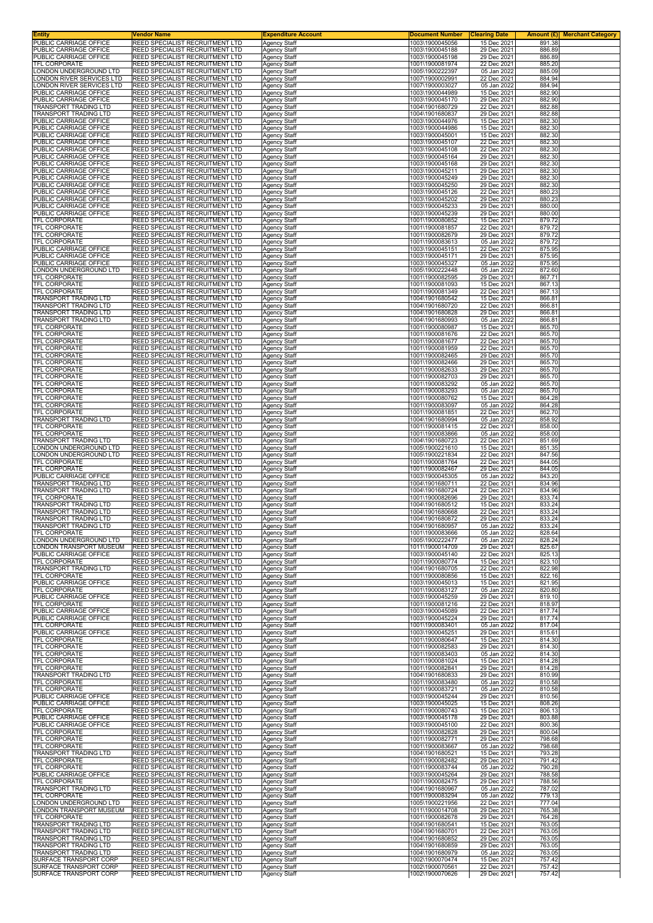| <b>Entity</b><br>PUBLIC CARRIAGE OFFICE                  | Vendor Name<br>REED SPECIALIST RECRUITMENT LTD                     | <b>Expenditure Account</b>                 | <u>Document Number</u>             | <b>Clearing Date</b>       | <b>Merchant Category</b><br>Amount (£) |
|----------------------------------------------------------|--------------------------------------------------------------------|--------------------------------------------|------------------------------------|----------------------------|----------------------------------------|
| PUBLIC CARRIAGE OFFICE                                   | REED SPECIALIST RECRUITMENT LTD                                    | <b>Agency Staff</b><br>Agency Staff        | 1003\1900045056<br>1003\1900045188 | 15 Dec 2021<br>29 Dec 2021 | 891.38<br>886.89                       |
| PUBLIC CARRIAGE OFFICE                                   | REED SPECIALIST RECRUITMENT LTD                                    | Agency Staff                               | 1003\1900045198                    | 29 Dec 2021                | 886.89                                 |
| TFL CORPORATE<br>ONDON UNDERGROUND LTD                   | REED SPECIALIST RECRUITMENT LTD<br>REED SPECIALIST RECRUITMENT LTD | Agency Staff<br>Agency Staff               | 1001\1900081974<br>1005\1900222397 | 22 Dec 2021<br>05 Jan 2022 | 885.20<br>885.09                       |
| ONDON RIVER SERVICES LTD                                 | REED SPECIALIST RECRUITMENT LTD                                    | Agency Staff                               | 1007\1900002991                    | 22 Dec 2021                | 884.94                                 |
| ONDON RIVER SERVICES LTD<br><b>UBLIC CARRIAGE OFFICE</b> | REED SPECIALIST RECRUITMENT LTD<br>REED SPECIALIST RECRUITMENT LTD | Agency Staff                               | 1007\1900003027<br>1003\1900044989 | 05 Jan 2022<br>15 Dec 2021 | 884.94<br>882.90                       |
| PUBLIC CARRIAGE OFFICE                                   | REED SPECIALIST RECRUITMENT LTD                                    | Agency Staff<br>Agency Staff               | 1003\1900045170                    | 29 Dec 2021                | 882.90                                 |
| <b>TRANSPORT TRADING LTD</b>                             | REED SPECIALIST RECRUITMENT LTD                                    | Agency Staff                               | 1004\1901680729                    | 22 Dec 2021                | 882.88                                 |
| TRANSPORT TRADING LTD<br>PUBLIC CARRIAGE OFFICE          | REED SPECIALIST RECRUITMENT LTD<br>REED SPECIALIST RECRUITMENT LTD | Agency Staff<br>Agency Staff               | 1004\1901680837<br>1003\1900044976 | 29 Dec 2021<br>15 Dec 2021 | 882.88<br>882.30                       |
| PUBLIC CARRIAGE OFFICE                                   | REED SPECIALIST RECRUITMENT LTD                                    | Agency Staff                               | 1003\1900044986                    | 15 Dec 2021                | 882.30                                 |
| PUBLIC CARRIAGE OFFICE<br>PUBLIC CARRIAGE OFFICE         | REED SPECIALIST RECRUITMENT LTD<br>REED SPECIALIST RECRUITMENT LTD | <b>Agency Staff</b><br>Agency Staff        | 1003\1900045001<br>1003\1900045107 | 15 Dec 2021<br>22 Dec 2021 | 882.30<br>882.30                       |
| PUBLIC CARRIAGE OFFICE                                   | REED SPECIALIST RECRUITMENT LTD                                    | Agency Staff                               | 1003\1900045108                    | 22 Dec 2021                | 882.30                                 |
| PUBLIC CARRIAGE OFFICE<br>PUBLIC CARRIAGE OFFICE         | REED SPECIALIST RECRUITMENT LTD                                    | <b>Agency Staff</b>                        | 1003\1900045164                    | 29 Dec 2021                | 882.30                                 |
| PUBLIC CARRIAGE OFFICE                                   | REED SPECIALIST RECRUITMENT LTD<br>REED SPECIALIST RECRUITMENT LTD | Agency Staff<br>Agency Staff               | 1003\1900045168<br>1003\1900045211 | 29 Dec 2021<br>29 Dec 2021 | 882.30<br>882.30                       |
| PUBLIC CARRIAGE OFFICE                                   | REED SPECIALIST RECRUITMENT LTD                                    | Agency Staff                               | 1003\1900045249                    | 29 Dec 2021                | 882.30                                 |
| PUBLIC CARRIAGE OFFICE<br>PUBLIC CARRIAGE OFFICE         | REED SPECIALIST RECRUITMENT LTD<br>REED SPECIALIST RECRUITMENT LTD | Agency Staff<br>Agency Staff               | 1003\1900045250<br>1003\1900045126 | 29 Dec 2021<br>22 Dec 2021 | 882.30<br>880.23                       |
| PUBLIC CARRIAGE OFFICE                                   | REED SPECIALIST RECRUITMENT LTD                                    | <b>Agency Staff</b>                        | 1003\1900045202                    | 29 Dec 2021                | 880.23                                 |
| PUBLIC CARRIAGE OFFICE<br>PUBLIC CARRIAGE OFFICE         | REED SPECIALIST RECRUITMENT LTD<br>REED SPECIALIST RECRUITMENT LTD | Agency Staff<br>Agency Staff               | 1003\1900045233<br>1003\1900045239 | 29 Dec 2021<br>29 Dec 2021 | 880.00<br>880.00                       |
| TFL CORPORATE                                            | REED SPECIALIST RECRUITMENT LTD                                    | <b>Agency Staff</b>                        | 1001\1900080852                    | 15 Dec 2021                | 879.72                                 |
| TFL CORPORATE                                            | REED SPECIALIST RECRUITMENT LTD<br>REED SPECIALIST RECRUITMENT LTD | Agency Staff                               | 1001\1900081857                    | 22 Dec 2021                | 879.72                                 |
| TFL CORPORATE<br>TFL CORPORATE                           | REED SPECIALIST RECRUITMENT LTD                                    | Agency Staff<br><b>Agency Staff</b>        | 1001\1900082679<br>1001\1900083613 | 29 Dec 2021<br>05 Jan 2022 | 879.72<br>879.72                       |
| <b>UBLIC CARRIAGE OFFICE</b>                             | REED SPECIALIST RECRUITMENT LTD                                    | Agency Staff                               | 1003\1900045151                    | 22 Dec 2021                | 875.95                                 |
| PUBLIC CARRIAGE OFFICE<br>PUBLIC CARRIAGE OFFICE         | REED SPECIALIST RECRUITMENT LTD<br>REED SPECIALIST RECRUITMENT LTD | Agency Staff<br>Agency Staff               | 1003\1900045171<br>1003\1900045327 | 29 Dec 2021<br>05 Jan 2022 | 875.95<br>875.95                       |
| ONDON UNDERGROUND LTD.                                   | REED SPECIALIST RECRUITMENT LTD                                    | <b>Agency Staff</b>                        | 1005\1900222448                    | 05 Jan 2022                | 872.60                                 |
| TFL CORPORATE<br>TFL CORPORATE                           | REED SPECIALIST RECRUITMENT LTD<br>REED SPECIALIST RECRUITMENT LTD | Agency Staff                               | 1001\1900082595<br>1001\1900081093 | 29 Dec 2021<br>15 Dec 2021 | 867.71<br>867.13                       |
| TFL CORPORATE                                            | REED SPECIALIST RECRUITMENT LTD                                    | Agency Staff<br>Agency Staff               | 1001\1900081349                    | 22 Dec 2021                | 867.13                                 |
| TRANSPORT TRADING LTD                                    | REED SPECIALIST RECRUITMENT LTD                                    | Agency Staff                               | 1004\1901680542                    | 15 Dec 2021                | 866.81                                 |
| TRANSPORT TRADING LTD<br>TRANSPORT TRADING LTD           | REED SPECIALIST RECRUITMENT LTD<br>REED SPECIALIST RECRUITMENT LTD | Agency Staff<br><b>Agency Staff</b>        | 1004\1901680720<br>1004\1901680828 | 22 Dec 2021<br>29 Dec 2021 | 866.81<br>866.81                       |
| TRANSPORT TRADING LTD                                    | REED SPECIALIST RECRUITMENT LTD                                    | Agency Staff                               | 1004\1901680993                    | 05 Jan 2022                | 866.81                                 |
| TFL CORPORATE                                            | REED SPECIALIST RECRUITMENT LTD                                    | <b>Agency Staff</b><br><b>Agency Staff</b> | 1001\1900080987                    | 15 Dec 2021<br>22 Dec 2021 | 865.70<br>865.70                       |
| TFL CORPORATE<br>TFL CORPORATE                           | REED SPECIALIST RECRUITMENT LTD<br>REED SPECIALIST RECRUITMENT LTD | Agency Staff                               | 1001\1900081676<br>1001\1900081677 | 22 Dec 2021                | 865.70                                 |
| TFL CORPORATE                                            | REED SPECIALIST RECRUITMENT LTD                                    | Agency Staff                               | 1001\1900081959                    | 22 Dec 2021                | 865.70                                 |
| TFL CORPORATE<br>TFL CORPORATE                           | REED SPECIALIST RECRUITMENT LTD<br>REED SPECIALIST RECRUITMENT LTD | Agency Staff<br>Agency Staff               | 1001\1900082465<br>1001\1900082466 | 29 Dec 2021<br>29 Dec 2021 | 865.70<br>865.70                       |
| TFL CORPORATE                                            | REED SPECIALIST RECRUITMENT LTD                                    | Agency Staff                               | 1001\1900082633                    | 29 Dec 2021                | 865.70                                 |
| <b>TFL CORPORATE</b>                                     | REED SPECIALIST RECRUITMENT LTD                                    | <b>Agency Staff</b>                        | 1001\1900082703                    | 29 Dec 2021<br>05 Jan 2022 | 865.70<br>865.70                       |
| TFL CORPORATE<br>TFL CORPORATE                           | REED SPECIALIST RECRUITMENT LTD<br>REED SPECIALIST RECRUITMENT LTD | Agency Staff<br>Agency Staff               | 1001\1900083292<br>1001\1900083293 | 05 Jan 2022                | 865.70                                 |
| TFL CORPORATE                                            | REED SPECIALIST RECRUITMENT LTD                                    | <b>Agency Staff</b>                        | 1001\1900080762                    | 15 Dec 2021                | 864.28                                 |
| TFL CORPORATE<br>TFL CORPORATE                           | REED SPECIALIST RECRUITMENT LTD<br>REED SPECIALIST RECRUITMENT LTD | Agency Staff<br>Agency Staff               | 1001\1900083097<br>1001\1900081851 | 05 Jan 2022<br>22 Dec 2021 | 864.28<br>862.70                       |
| TRANSPORT TRADING LTD                                    | REED SPECIALIST RECRUITMENT LTD                                    | Agency Staff                               | 1004\1901680994                    | 05 Jan 2022                | 858.92                                 |
| TFL CORPORATE                                            | REED SPECIALIST RECRUITMENT LTD                                    | Agency Staff                               | 1001\1900081415                    | 22 Dec 2021                | 858.00                                 |
| TFL CORPORATE<br>TRANSPORT TRADING LTD                   | REED SPECIALIST RECRUITMENT LTD<br>REED SPECIALIST RECRUITMENT LTD | Agency Staff<br>Agency Staff               | 1001\1900083866<br>1004\1901680723 | 05 Jan 2022<br>22 Dec 2021 | 858.00<br>851.69                       |
| ONDON UNDERGROUND LTD.                                   | REED SPECIALIST RECRUITMENT LTD                                    | Agency Staff                               | 1005\1900221610                    | 15 Dec 2021                | 851.35                                 |
| ONDON UNDERGROUND LTD<br><b>TFL CORPORATE</b>            | REED SPECIALIST RECRUITMENT LTD<br>REED SPECIALIST RECRUITMENT LTD | Agency Staff<br>Agency Staff               | 1005\1900221834<br>1001\1900081764 | 22 Dec 2021<br>22 Dec 2021 | 847.56<br>844.05                       |
| <b>TFL CORPORATE</b>                                     | REED SPECIALIST RECRUITMENT LTD                                    | Agency Staff                               | 1001\1900082467                    | 29 Dec 2021                | 844.05                                 |
| PUBLIC CARRIAGE OFFICE<br>TRANSPORT TRADING LTD          | REED SPECIALIST RECRUITMENT LTD<br>REED SPECIALIST RECRUITMENT LTD | Agency Staff<br>Agency Staff               | 1003\1900045305<br>1004\1901680711 | 05 Jan 2022<br>22 Dec 2021 | 843.20<br>834.96                       |
| TRANSPORT TRADING LTD                                    | REED SPECIALIST RECRUITMENT LTD                                    | <b>Agency Staff</b>                        | 1004\1901680724                    | 22 Dec 2021                | 834.96                                 |
| TFL CORPORATE                                            | REED SPECIALIST RECRUITMENT LTD                                    | Agency Staff                               | 1001\1900082696                    | 29 Dec 2021                | 833.74                                 |
| TRANSPORT TRADING LTD<br>TRANSPORT TRADING LTD           | REED SPECIALIST RECRUITMENT LTD<br>REED SPECIALIST RECRUITMENT LTD | Agency Staff<br>Agency Staff               | 1004\1901680512<br>1004\1901680668 | 15 Dec 2021<br>22 Dec 2021 | 833.24<br>833.24                       |
| TRANSPORT TRADING LTD                                    | REED SPECIALIST RECRUITMENT LTD                                    | <b>Agency Staff</b>                        | 1004\1901680872                    | 29 Dec 2021                | 833.24                                 |
| ITRANSPORT TRADING LTD<br>TFL CORPORATE                  | REED SPECIALIST RECRUITMENT LTD<br>REED SPECIALIST RECRUITMENT LTD | Agency Staff<br><b>Agency Staff</b>        | 1004\1901680957<br>1001\1900083666 | 05 Jan 2022<br>05 Jan 2022 | 833.24<br>828.64                       |
| LONDON UNDERGROUND LTD                                   | REED SPECIALIST RECRUITMENT LTD                                    | <b>Agency Staff</b>                        | 1005\1900222477                    | 05 Jan 2022                | 828.24                                 |
| ONDON TRANSPORT MUSEUM<br>PUBLIC CARRIAGE OFFICE         | REED SPECIALIST RECRUITMENT LTD<br>REED SPECIALIST RECRUITMENT LTD | Agency Staff<br><b>Agency Staff</b>        | 1011\1900014709<br>1003\1900045140 | 29 Dec 2021<br>22 Dec 2021 | 825.67<br>825.13                       |
| TFL CORPORATE                                            | REED SPECIALIST RECRUITMENT LTD                                    | Agency Staff                               | 1001\1900080774                    | 15 Dec 2021                | 823.10                                 |
| <b>TRANSPORT TRADING LTD</b>                             | REED SPECIALIST RECRUITMENT LTD                                    | Agency Staff                               | 1004\1901680705                    | 22 Dec 2021                | 822.98                                 |
| TFL CORPORATE<br>PUBLIC CARRIAGE OFFICE                  | REED SPECIALIST RECRUITMENT LTD<br>REED SPECIALIST RECRUITMENT LTD | <b>Agency Staff</b><br>Agency Staff        | 1001\1900080856<br>1003\1900045013 | 15 Dec 2021<br>15 Dec 2021 | 822.16<br>821.95                       |
| TFL CORPORATE                                            | REED SPECIALIST RECRUITMENT LTD                                    | <b>Agency Staff</b>                        | 1001\1900083127                    | 05 Jan 2022                | 820.80                                 |
| PUBLIC CARRIAGE OFFICE<br>TFL CORPORATE                  | REED SPECIALIST RECRUITMENT LTD<br>REED SPECIALIST RECRUITMENT LTD | <b>Agency Staff</b><br>Agency Staff        | 1003\1900045259<br>1001\1900081216 | 29 Dec 2021<br>22 Dec 2021 | 819.10<br>818.97                       |
| PUBLIC CARRIAGE OFFICE                                   | REED SPECIALIST RECRUITMENT LTD                                    | Agency Staff                               | 1003\1900045089                    | 22 Dec 2021                | 817.74                                 |
| PUBLIC CARRIAGE OFFICE<br><b>TFL CORPORATE</b>           | REED SPECIALIST RECRUITMENT LTD<br>REED SPECIALIST RECRUITMENT LTD | <b>Agency Staff</b>                        | 1003\1900045224<br>1001\1900083401 | 29 Dec 2021<br>05 Jan 2022 | 817.74<br>817.04                       |
| PUBLIC CARRIAGE OFFICE                                   | REED SPECIALIST RECRUITMENT LTD                                    | <b>Agency Staff</b><br>Agency Staff        | 1003\1900045251                    | 29 Dec 2021                | 815.61                                 |
| <b>TFL CORPORATE</b>                                     | REED SPECIALIST RECRUITMENT LTD                                    | <b>Agency Staff</b>                        | 1001\1900080647                    | 15 Dec 2021                | 814.30                                 |
| TFL CORPORATE<br>TFL CORPORATE                           | REED SPECIALIST RECRUITMENT LTD<br>REED SPECIALIST RECRUITMENT LTD | <b>Agency Staff</b><br>Agency Staff        | 1001\1900082583<br>1001\1900083403 | 29 Dec 2021<br>05 Jan 2022 | 814.30<br>814.30                       |
| TFL CORPORATE                                            | REED SPECIALIST RECRUITMENT LTD                                    | <b>Agency Staff</b>                        | 1001\1900081024                    | 15 Dec 2021                | 814.28                                 |
| <b>TFL CORPORATE</b><br>TRANSPORT TRADING LTD            | REED SPECIALIST RECRUITMENT LTD<br>REED SPECIALIST RECRUITMENT LTD | <b>Agency Staff</b><br>Agency Staff        | 1001\1900082841<br>1004\1901680833 | 29 Dec 2021<br>29 Dec 2021 | 814.28<br>810.99                       |
| TFL CORPORATE                                            | REED SPECIALIST RECRUITMENT LTD                                    | Agency Staff                               | 1001\1900083480                    | 05 Jan 2022                | 810.58                                 |
| TFL CORPORATE                                            | REED SPECIALIST RECRUITMENT LTD                                    | <b>Agency Staff</b>                        | 1001\1900083721                    | 05 Jan 2022                | 810.58                                 |
| PUBLIC CARRIAGE OFFICE<br>PUBLIC CARRIAGE OFFICE         | REED SPECIALIST RECRUITMENT LTD<br>REED SPECIALIST RECRUITMENT LTD | Agency Staff<br>Agency Staff               | 1003\1900045244<br>1003\1900045025 | 29 Dec 2021<br>15 Dec 2021 | 810.56<br>808.26                       |
| TFL CORPORATE                                            | REED SPECIALIST RECRUITMENT LTD                                    | <b>Agency Staff</b>                        | 1001\1900080743                    | 15 Dec 2021                | 806.13                                 |
| PUBLIC CARRIAGE OFFICE<br>PUBLIC CARRIAGE OFFICE         | REED SPECIALIST RECRUITMENT LTD<br>REED SPECIALIST RECRUITMENT LTD | Agency Staff<br>Agency Staff               | 1003\1900045178<br>1003\1900045100 | 29 Dec 2021<br>22 Dec 2021 | 803.88<br>800.36                       |
| TFL CORPORATE                                            | REED SPECIALIST RECRUITMENT LTD                                    | <b>Agency Staff</b>                        | 1001\1900082828                    | 29 Dec 2021                | 800.04                                 |
| TFL CORPORATE<br><b>TFL CORPORATE</b>                    | REED SPECIALIST RECRUITMENT LTD<br>REED SPECIALIST RECRUITMENT LTD | Agency Staff<br>Agency Staff               | 1001\1900082771<br>1001\1900083667 | 29 Dec 2021<br>05 Jan 2022 | 798.68<br>798.68                       |
| TRANSPORT TRADING LTD                                    | REED SPECIALIST RECRUITMENT LTD                                    | <b>Agency Staff</b>                        | 1004\1901680521                    | 15 Dec 2021                | 793.28                                 |
| TFL CORPORATE                                            | REED SPECIALIST RECRUITMENT LTD                                    | Agency Staff                               | 1001\1900082482                    | 29 Dec 2021                | 791.42                                 |
| TFL CORPORATE<br>PUBLIC CARRIAGE OFFICE                  | REED SPECIALIST RECRUITMENT LTD<br>REED SPECIALIST RECRUITMENT LTD | Agency Staff<br><b>Agency Staff</b>        | 1001\1900083744<br>1003\1900045264 | 05 Jan 2022<br>29 Dec 2021 | 790.28<br>788.58                       |
| TFL CORPORATE                                            | REED SPECIALIST RECRUITMENT LTD                                    | Agency Staff                               | 1001\1900082475                    | 29 Dec 2021                | 788.56                                 |
| TRANSPORT TRADING LTD<br>TFL CORPORATE                   | REED SPECIALIST RECRUITMENT LTD<br>REED SPECIALIST RECRUITMENT LTD | Agency Staff<br><b>Agency Staff</b>        | 1004\1901680967<br>1001\1900083294 | 05 Jan 2022<br>05 Jan 2022 | 787.02<br>779.13                       |
| LONDON UNDERGROUND LTD                                   | REED SPECIALIST RECRUITMENT LTD                                    | Agency Staff                               | 1005\1900221956                    | 22 Dec 2021                | 777.04                                 |
| ONDON TRANSPORT MUSEUM                                   | REED SPECIALIST RECRUITMENT LTD                                    | Agency Staff                               | 1011\1900014708                    | 29 Dec 2021                | 765.38                                 |
| TFL CORPORATE<br>TRANSPORT TRADING LTD                   | REED SPECIALIST RECRUITMENT LTD<br>REED SPECIALIST RECRUITMENT LTD | Agency Staff<br>Agency Staff               | 1001\1900082678<br>1004\1901680541 | 29 Dec 2021<br>15 Dec 2021 | 764.28<br>763.05                       |
| TRANSPORT TRADING LTD                                    | REED SPECIALIST RECRUITMENT LTD                                    | Agency Staff                               | 1004\1901680701                    | 22 Dec 2021                | 763.05                                 |
| TRANSPORT TRADING LTD<br>TRANSPORT TRADING LTD           | REED SPECIALIST RECRUITMENT LTD<br>REED SPECIALIST RECRUITMENT LTD | <b>Agency Staff</b><br><b>Agency Staff</b> | 1004\1901680852<br>1004\1901680859 | 29 Dec 2021<br>29 Dec 2021 | 763.05<br>763.05                       |
| TRANSPORT TRADING LTD                                    | REED SPECIALIST RECRUITMENT LTD                                    | Agency Staff                               | 1004\1901680979                    | 05 Jan 2022                | 763.05                                 |
| <b>SURFACE TRANSPORT CORP</b>                            | REED SPECIALIST RECRUITMENT LTD                                    | <b>Agency Staff</b>                        | 1002\1900070474                    | 15 Dec 2021                | 757.42                                 |
| SURFACE TRANSPORT CORP<br>SURFACE TRANSPORT CORP         | REED SPECIALIST RECRUITMENT LTD<br>REED SPECIALIST RECRUITMENT LTD | Agency Staff<br>Agency Staff               | 1002\1900070561<br>1002\1900070626 | 22 Dec 2021<br>29 Dec 2021 | 757.42<br>757.42                       |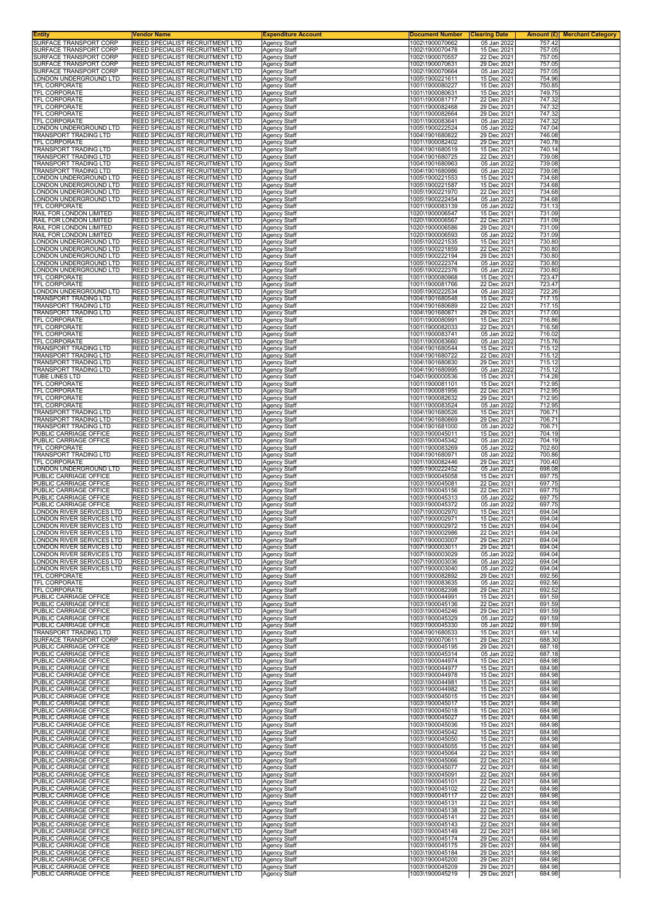| Entity<br>SURFACE TRANSPORT CORP                      | Vendor Name                                                        | <b>Expenditure Account</b>                 | <b>Document Number</b>             | <b>Clearing Date</b>       | <b>Amount (£)</b> Merchant Category |
|-------------------------------------------------------|--------------------------------------------------------------------|--------------------------------------------|------------------------------------|----------------------------|-------------------------------------|
| SURFACE TRANSPORT CORP                                | REED SPECIALIST RECRUITMENT LTD<br>REED SPECIALIST RECRUITMENT LTD | <b>Agency Staff</b><br><b>Agency Staff</b> | 1002\1900070662<br>1002\1900070478 | 05 Jan 2022<br>15 Dec 2021 | 757.42<br>757.05                    |
| SURFACE TRANSPORT CORP                                | REED SPECIALIST RECRUITMENT LTD                                    | Agency Staff                               | 1002\1900070557                    | 22 Dec 2021                | 757.05                              |
| SURFACE TRANSPORT CORP<br>SURFACE TRANSPORT CORP      | REED SPECIALIST RECRUITMENT LTD<br>REED SPECIALIST RECRUITMENT LTD | <b>Agency Staff</b><br>Agency Staff        | 1002\1900070631<br>1002\1900070664 | 29 Dec 2021<br>05 Jan 2022 | 757.05<br>757.05                    |
| ONDON UNDERGROUND LTD.                                | REED SPECIALIST RECRUITMENT LTD                                    | Agency Staff                               | 1005\1900221611                    | 15 Dec 2021                | 754.96                              |
| TFL CORPORATE<br>TFL CORPORATE                        | REED SPECIALIST RECRUITMENT LTD<br>REED SPECIALIST RECRUITMENT LTD | <b>Agency Staff</b>                        | 1001\1900080227<br>1001\1900080631 | 15 Dec 2021<br>15 Dec 2021 | 750.85<br>749.75                    |
| TFL CORPORATE                                         | REED SPECIALIST RECRUITMENT LTD                                    | Agency Staff<br>Agency Staff               | 1001\1900081717                    | 22 Dec 2021                | 747.32                              |
| <b>TFL CORPORATE</b>                                  | REED SPECIALIST RECRUITMENT LTD                                    | Agency Staff                               | 1001\1900082468                    | 29 Dec 2021                | 747.32                              |
| TFL CORPORATE<br>TFL CORPORATE                        | REED SPECIALIST RECRUITMENT LTD<br>REED SPECIALIST RECRUITMENT LTD | Agency Staff<br><b>Agency Staff</b>        | 1001\1900082664<br>1001\1900083641 | 29 Dec 2021<br>05 Jan 2022 | 747.32<br>747.32                    |
| ONDON UNDERGROUND LTD.                                | REED SPECIALIST RECRUITMENT LTD                                    | <b>Agency Staff</b>                        | 1005\1900222524                    | 05 Jan 2022                | 747.04                              |
| TRANSPORT TRADING LTD<br>TFL CORPORATE                | REED SPECIALIST RECRUITMENT LTD<br>REED SPECIALIST RECRUITMENT LTD | <b>Agency Staff</b><br><b>Agency Staff</b> | 1004\1901680822<br>1001\1900082402 | 29 Dec 2021<br>29 Dec 2021 | 746.08<br>740.78                    |
| TRANSPORT TRADING LTD                                 | REED SPECIALIST RECRUITMENT LTD                                    | Agency Staff                               | 1004\1901680519                    | 15 Dec 2021                | 740.14                              |
| TRANSPORT TRADING LTD<br><b>FRANSPORT TRADING LTD</b> | REED SPECIALIST RECRUITMENT LTD<br>REED SPECIALIST RECRUITMENT LTD | <b>Agency Staff</b>                        | 1004\1901680725<br>1004\1901680963 | 22 Dec 2021<br>05 Jan 2022 | 739.08                              |
| <b>FRANSPORT TRADING LTD</b>                          | REED SPECIALIST RECRUITMENT LTD                                    | Agency Staff<br><b>Agency Staff</b>        | 1004\1901680986                    | 05 Jan 2022                | 739.08<br>739.08                    |
| ONDON UNDERGROUND LTD.                                | REED SPECIALIST RECRUITMENT LTD                                    | <b>Agency Staff</b>                        | 1005\1900221553                    | 15 Dec 2021                | 734.68                              |
| ONDON UNDERGROUND LTD.<br>ONDON UNDERGROUND LTD       | REED SPECIALIST RECRUITMENT LTD<br>REED SPECIALIST RECRUITMENT LTD | <b>Agency Staff</b><br>Agency Staff        | 1005\1900221587<br>1005\1900221970 | 15 Dec 2021<br>22 Dec 2021 | 734.68<br>734.68                    |
| ONDON UNDERGROUND LTD                                 | REED SPECIALIST RECRUITMENT LTD                                    | <b>Agency Staff</b>                        | 1005\1900222454                    | 05 Jan 2022                | 734.68                              |
| TFL CORPORATE<br>RAIL FOR LONDON LIMITED              | REED SPECIALIST RECRUITMENT LTD<br>REED SPECIALIST RECRUITMENT LTD | <b>Agency Staff</b><br><b>Agency Staff</b> | 1001\1900083139<br>1020\1900006547 | 05 Jan 2022<br>15 Dec 2021 | 731.13<br>731.09                    |
| RAIL FOR LONDON LIMITED                               | REED SPECIALIST RECRUITMENT LTD                                    | <b>Agency Staff</b>                        | 1020\1900006567                    | 22 Dec 2021                | 731.09                              |
| RAIL FOR LONDON LIMITED<br>RAIL FOR LONDON LIMITED    | REED SPECIALIST RECRUITMENT LTD<br>REED SPECIALIST RECRUITMENT LTD | <b>Agency Staff</b><br>Agency Staff        | 1020\1900006586<br>1020\1900006593 | 29 Dec 2021<br>05 Jan 2022 | 731.09<br>731.09                    |
| ONDON UNDERGROUND LTD                                 | REED SPECIALIST RECRUITMENT LTD                                    | <b>Agency Staff</b>                        | 1005\1900221535                    | 15 Dec 2021                | 730.80                              |
| ONDON UNDERGROUND LTD.<br>ONDON UNDERGROUND LTD       | REED SPECIALIST RECRUITMENT LTD<br>REED SPECIALIST RECRUITMENT LTD | <b>Agency Staff</b>                        | 1005\1900221859                    | 22 Dec 2021<br>29 Dec 2021 | 730.80<br>730.80                    |
| ONDON UNDERGROUND LTD                                 | REED SPECIALIST RECRUITMENT LTD                                    | <b>Agency Staff</b><br><b>Agency Staff</b> | 1005\1900222194<br>1005\1900222374 | 05 Jan 2022                | 730.80                              |
| ONDON UNDERGROUND LTD                                 | REED SPECIALIST RECRUITMENT LTD                                    | <b>Agency Staff</b>                        | 1005\1900222376                    | 05 Jan 2022                | 730.80                              |
| <b>TFL CORPORATE</b><br>TFL CORPORATE                 | REED SPECIALIST RECRUITMENT LTD<br>REED SPECIALIST RECRUITMENT LTD | Agency Staff<br>Agency Staff               | 1001\1900080968<br>1001\1900081766 | 15 Dec 2021<br>22 Dec 2021 | 723.47<br>723.47                    |
| ONDON UNDERGROUND LTD.                                | REED SPECIALIST RECRUITMENT LTD                                    | Agency Staff                               | 1005\1900222534                    | 05 Jan 2022                | 722.26                              |
| <b>TRANSPORT TRADING LTD</b><br>TRANSPORT TRADING LTD | REED SPECIALIST RECRUITMENT LTD<br>REED SPECIALIST RECRUITMENT LTD | <b>Agency Staff</b><br><b>Agency Staff</b> | 1004\1901680548<br>1004\1901680689 | 15 Dec 2021<br>22 Dec 2021 | 717.15<br>717.15                    |
| TRANSPORT TRADING LTD                                 | REED SPECIALIST RECRUITMENT LTD                                    | <b>Agency Staff</b>                        | 1004\1901680871                    | 29 Dec 2021                | 717.00                              |
| TFL CORPORATE                                         | REED SPECIALIST RECRUITMENT LTD                                    | Agency Staff                               | 1001\1900080991                    | 15 Dec 2021                | 716.86                              |
| TFL CORPORATE<br>TFL CORPORATE                        | REED SPECIALIST RECRUITMENT LTD<br>REED SPECIALIST RECRUITMENT LTD | Agency Staff<br><b>Agency Staff</b>        | 1001\1900082033<br>1001\1900083741 | 22 Dec 2021<br>05 Jan 2022 | 716.58<br>716.02                    |
| TFL CORPORATE                                         | REED SPECIALIST RECRUITMENT LTD                                    | Agency Staff                               | 1001\1900083660                    | 05 Jan 2022                | 715.76                              |
| <b>TRANSPORT TRADING LTD</b><br>TRANSPORT TRADING LTD | REED SPECIALIST RECRUITMENT LTD<br>REED SPECIALIST RECRUITMENT LTD | <b>Agency Staff</b><br><b>Agency Staff</b> | 1004\1901680544<br>1004\1901680722 | 15 Dec 2021<br>22 Dec 2021 | 715.12<br>715.12                    |
| TRANSPORT TRADING LTD                                 | REED SPECIALIST RECRUITMENT LTD                                    | Agency Staff                               | 1004\1901680830                    | 29 Dec 2021                | 715.12                              |
| TRANSPORT TRADING LTD                                 | REED SPECIALIST RECRUITMENT LTD<br>REED SPECIALIST RECRUITMENT LTD | Agency Staff                               | 1004\1901680995<br>1040\1900000536 | 05 Jan 2022                | 715.12<br>714.28                    |
| TUBE LINES LTD<br>TFL CORPORATE                       | REED SPECIALIST RECRUITMENT LTD                                    | <b>Agency Staff</b><br>Agency Staff        | 1001\1900081101                    | 15 Dec 2021<br>15 Dec 2021 | 712.95                              |
| TFL CORPORATE                                         | REED SPECIALIST RECRUITMENT LTD                                    | <b>Agency Staff</b>                        | 1001\1900081956                    | 22 Dec 2021                | 712.95                              |
| TFL CORPORATE<br>TFL CORPORATE                        | REED SPECIALIST RECRUITMENT LTD<br>REED SPECIALIST RECRUITMENT LTD | <b>Agency Staff</b><br><b>Agency Staff</b> | 1001\1900082632<br>1001\1900083524 | 29 Dec 2021<br>05 Jan 2022 | 712.95<br>712.95                    |
| TRANSPORT TRADING LTD                                 | REED SPECIALIST RECRUITMENT LTD                                    | <b>Agency Staff</b>                        | 1004\1901680526                    | 15 Dec 2021                | 706.71                              |
| TRANSPORT TRADING LTD<br><b>FRANSPORT TRADING LTD</b> | REED SPECIALIST RECRUITMENT LTD<br>REED SPECIALIST RECRUITMENT LTD | <b>Agency Staff</b>                        | 1004\1901680869<br>1004\1901681000 | 29 Dec 2021<br>05 Jan 2022 | 706.71<br>706.71                    |
| PUBLIC CARRIAGE OFFICE                                | REED SPECIALIST RECRUITMENT LTD                                    | Agency Staff<br><b>Agency Staff</b>        | 1003\1900045011                    | 15 Dec 2021                | 704.19                              |
| PUBLIC CARRIAGE OFFICE                                | REED SPECIALIST RECRUITMENT LTD                                    | <b>Agency Staff</b>                        | 1003\1900045342                    | 05 Jan 2022                | 704.19                              |
| TFL CORPORATE<br>TRANSPORT TRADING LTD                | REED SPECIALIST RECRUITMENT LTD<br>REED SPECIALIST RECRUITMENT LTD | <b>Agency Staff</b><br>Agency Staff        | 1001\1900083269<br>1004\1901680971 | 05 Jan 2022<br>05 Jan 2022 | 702.60<br>700.86                    |
| TFL CORPORATE                                         | REED SPECIALIST RECRUITMENT LTD                                    | <b>Agency Staff</b>                        | 1001\1900082446                    | 29 Dec 2021                | 700.40                              |
| ONDON UNDERGROUND LTD.<br>PUBLIC CARRIAGE OFFICE      | REED SPECIALIST RECRUITMENT LTD<br>REED SPECIALIST RECRUITMENT LTD | Agency Staff<br><b>Agency Staff</b>        | 1005\1900222452<br>1003\1900045058 | 05 Jan 2022<br>15 Dec 2021 | 698.08<br>697.75                    |
| PUBLIC CARRIAGE OFFICE                                | REED SPECIALIST RECRUITMENT LTD                                    | <b>Agency Staff</b>                        | 1003\1900045081                    | 22 Dec 2021                | 697.75                              |
| PUBLIC CARRIAGE OFFICE<br>PUBLIC CARRIAGE OFFICE      | REED SPECIALIST RECRUITMENT LTD<br>REED SPECIALIST RECRUITMENT LTD | <b>Agency Staff</b><br>Agency Staff        | 1003\1900045156<br>1003\1900045313 | 22 Dec 2021<br>05 Jan 2022 | 697.75<br>697.75                    |
| PUBLIC CARRIAGE OFFICE                                | REED SPECIALIST RECRUITMENT LTD                                    | Agency Staff                               | 1003\1900045372                    | 05 Jan 2022                | 697.75                              |
| ONDON RIVER SERVICES LTD                              | REED SPECIALIST RECRUITMENT LTD                                    | Agency Staff                               | 1007\1900002970                    | 15 Dec 2021                | 694.04                              |
| ONDON RIVER SERVICES LTD<br>ONDON RIVER SERVICES LTD. | REED SPECIALIST RECRUITMENT LTD<br>REED SPECIALIST RECRUITMENT LTD | <b>Agency Staff</b><br>Agency Staff        | 1007\1900002971<br>1007\1900002972 | 15 Dec 2021<br>15 Dec 2021 | 694.04<br>694.04                    |
| ONDON RIVER SERVICES LTD                              | REED SPECIALIST RECRUITMENT LTD                                    | <b>Agency Staff</b>                        | 1007\1900002986                    | 22 Dec 2021                | 694.04                              |
| ONDON RIVER SERVICES LTD<br>ONDON RIVER SERVICES LTD  | REED SPECIALIST RECRUITMENT LTD<br>REED SPECIALIST RECRUITMENT LTD | <b>Agency Staff</b><br>Agency Staff        | 1007\1900003007<br>1007\1900003011 | 29 Dec 2021<br>29 Dec 2021 | 694.04<br>694.04                    |
| ONDON RIVER SERVICES LTD                              | REED SPECIALIST RECRUITMENT LTD                                    | Agency Staff                               | 1007\1900003029                    | 05 Jan 2022                | 694.04                              |
| ONDON RIVER SERVICES LTD<br>ONDON RIVER SERVICES LTD  | REED SPECIALIST RECRUITMENT LTD<br>REED SPECIALIST RECRUITMENT LTD | <b>Agency Staff</b><br><b>Agency Staff</b> | 1007\1900003036<br>1007\1900003040 | 05 Jan 2022<br>05 Jan 2022 | 694.04<br>694.04                    |
| TFL CORPORATE                                         | REED SPECIALIST RECRUITMENT LTD                                    | <b>Agency Staff</b>                        | 1001\1900082892                    | 29 Dec 2021                | 692.56                              |
| TFL CORPORATE                                         | REED SPECIALIST RECRUITMENT LTD                                    | <b>Agency Staff</b>                        | 1001\1900083635                    | 05 Jan 2022                | 692.56                              |
| TFL CORPORATE<br>PUBLIC CARRIAGE OFFICE               | REED SPECIALIST RECRUITMENT LTD<br>REED SPECIALIST RECRUITMENT LTD | <b>Agency Staff</b><br>Agency Staff        | 1001\1900082398<br>1003\1900044991 | 29 Dec 2021<br>15 Dec 2021 | 692.52<br>691.59                    |
| PUBLIC CARRIAGE OFFICE                                | REED SPECIALIST RECRUITMENT LTD                                    | Agency Staff                               | 1003\1900045136                    | 22 Dec 2021                | 691.59                              |
| PUBLIC CARRIAGE OFFICE<br>PUBLIC CARRIAGE OFFICE      | REED SPECIALIST RECRUITMENT LTD<br>REED SPECIALIST RECRUITMENT LTD | <b>Agency Staff</b><br><b>Agency Staff</b> | 1003\1900045246<br>1003\1900045329 | 29 Dec 2021<br>05 Jan 2022 | 691.59<br>691.59                    |
| PUBLIC CARRIAGE OFFICE                                | REED SPECIALIST RECRUITMENT LTD                                    | <b>Agency Staff</b>                        | 1003\1900045330                    | 05 Jan 2022                | 691.59                              |
| TRANSPORT TRADING LTD<br>SURFACE TRANSPORT CORP       | REED SPECIALIST RECRUITMENT LTD<br>REED SPECIALIST RECRUITMENT LTD | Agency Staff<br>Agency Staff               | 1004\1901680533<br>1002\1900070611 | 15 Dec 2021<br>29 Dec 2021 | 691.14<br>688.30                    |
| PUBLIC CARRIAGE OFFICE                                | REED SPECIALIST RECRUITMENT LTD                                    | Agency Staff                               | 1003\1900045195                    | 29 Dec 2021                | 687.18                              |
| PUBLIC CARRIAGE OFFICE<br>PUBLIC CARRIAGE OFFICE      | REED SPECIALIST RECRUITMENT LTD<br>REED SPECIALIST RECRUITMENT LTD | <b>Agency Staff</b><br><b>Agency Staff</b> | 1003\1900045314<br>1003\1900044974 | 05 Jan 2022<br>15 Dec 2021 | 687.18<br>684.98                    |
| PUBLIC CARRIAGE OFFICE                                | REED SPECIALIST RECRUITMENT LTD                                    | <b>Agency Staff</b>                        | 1003\1900044977                    | 15 Dec 2021                | 684.98                              |
| PUBLIC CARRIAGE OFFICE<br>PUBLIC CARRIAGE OFFICE      | REED SPECIALIST RECRUITMENT LTD<br>REED SPECIALIST RECRUITMENT LTD | Agency Staff<br><b>Agency Staff</b>        | 1003\1900044978<br>1003\1900044981 | 15 Dec 2021<br>15 Dec 2021 | 684.98<br>684.98                    |
| PUBLIC CARRIAGE OFFICE                                | REED SPECIALIST RECRUITMENT LTD                                    | <b>Agency Staff</b>                        | 1003\1900044982                    | 15 Dec 2021                | 684.98                              |
| PUBLIC CARRIAGE OFFICE                                | REED SPECIALIST RECRUITMENT LTD                                    | <b>Agency Staff</b>                        | 1003\1900045015                    | 15 Dec 2021                | 684.98                              |
| PUBLIC CARRIAGE OFFICE<br>PUBLIC CARRIAGE OFFICE      | REED SPECIALIST RECRUITMENT LTD<br>REED SPECIALIST RECRUITMENT LTD | <b>Agency Staff</b><br><b>Agency Staff</b> | 1003\1900045017<br>1003\1900045018 | 15 Dec 2021<br>15 Dec 2021 | 684.98<br>684.98                    |
| PUBLIC CARRIAGE OFFICE                                | REED SPECIALIST RECRUITMENT LTD                                    | Agency Staff                               | 1003\1900045027                    | 15 Dec 2021                | 684.98                              |
| PUBLIC CARRIAGE OFFICE<br>PUBLIC CARRIAGE OFFICE      | REED SPECIALIST RECRUITMENT LTD<br>REED SPECIALIST RECRUITMENT LTD | Agency Staff<br><b>Agency Staff</b>        | 1003\1900045036<br>1003\1900045042 | 15 Dec 2021<br>15 Dec 2021 | 684.98<br>684.98                    |
| PUBLIC CARRIAGE OFFICE                                | REED SPECIALIST RECRUITMENT LTD                                    | Agency Staff                               | 1003\1900045050                    | 15 Dec 2021                | 684.98                              |
| PUBLIC CARRIAGE OFFICE<br>PUBLIC CARRIAGE OFFICE      | REED SPECIALIST RECRUITMENT LTD<br>REED SPECIALIST RECRUITMENT LTD | <b>Agency Staff</b><br><b>Agency Staff</b> | 1003\1900045055<br>1003\1900045064 | 15 Dec 2021<br>22 Dec 2021 | 684.98<br>684.98                    |
| PUBLIC CARRIAGE OFFICE                                | REED SPECIALIST RECRUITMENT LTD                                    | Agency Staff                               | 1003\1900045066                    | 22 Dec 2021                | 684.98                              |
| PUBLIC CARRIAGE OFFICE                                | REED SPECIALIST RECRUITMENT LTD                                    | <b>Agency Staff</b>                        | 1003\1900045077                    | 22 Dec 2021                | 684.98                              |
| PUBLIC CARRIAGE OFFICE<br>PUBLIC CARRIAGE OFFICE      | REED SPECIALIST RECRUITMENT LTD<br>REED SPECIALIST RECRUITMENT LTD | <b>Agency Staff</b><br><b>Agency Staff</b> | 1003\1900045091<br>1003\1900045101 | 22 Dec 2021<br>22 Dec 2021 | 684.98<br>684.98                    |
| PUBLIC CARRIAGE OFFICE                                | REED SPECIALIST RECRUITMENT LTD                                    | <b>Agency Staff</b>                        | 1003\1900045102                    | 22 Dec 2021                | 684.98                              |
| PUBLIC CARRIAGE OFFICE<br>PUBLIC CARRIAGE OFFICE      | REED SPECIALIST RECRUITMENT LTD<br>REED SPECIALIST RECRUITMENT LTD | <b>Agency Staff</b><br><b>Agency Staff</b> | 1003\1900045117<br>1003\1900045131 | 22 Dec 2021<br>22 Dec 2021 | 684.98<br>684.98                    |
| PUBLIC CARRIAGE OFFICE                                | REED SPECIALIST RECRUITMENT LTD                                    | <b>Agency Staff</b>                        | 1003\1900045138                    | 22 Dec 2021                | 684.98                              |
| PUBLIC CARRIAGE OFFICE                                | REED SPECIALIST RECRUITMENT LTD                                    | <b>Agency Staff</b>                        | 1003\1900045141                    | 22 Dec 2021<br>22 Dec 2021 | 684.98<br>684.98                    |
| PUBLIC CARRIAGE OFFICE<br>PUBLIC CARRIAGE OFFICE      | REED SPECIALIST RECRUITMENT LTD<br>REED SPECIALIST RECRUITMENT LTD | Agency Staff<br>Agency Staff               | 1003\1900045143<br>1003\1900045149 | 22 Dec 2021                | 684.98                              |
| PUBLIC CARRIAGE OFFICE                                | REED SPECIALIST RECRUITMENT LTD                                    | <b>Agency Staff</b>                        | 1003\1900045174                    | 29 Dec 2021                | 684.98                              |
| PUBLIC CARRIAGE OFFICE<br>PUBLIC CARRIAGE OFFICE      | REED SPECIALIST RECRUITMENT LTD<br>REED SPECIALIST RECRUITMENT LTD | <b>Agency Staff</b><br>Agency Staff        | 1003\1900045175<br>1003\1900045184 | 29 Dec 2021<br>29 Dec 2021 | 684.98<br>684.98                    |
| PUBLIC CARRIAGE OFFICE                                | REED SPECIALIST RECRUITMENT LTD                                    | <b>Agency Staff</b>                        | 1003\1900045200                    | 29 Dec 2021                | 684.98                              |
| PUBLIC CARRIAGE OFFICE<br>PUBLIC CARRIAGE OFFICE      | REED SPECIALIST RECRUITMENT LTD<br>REED SPECIALIST RECRUITMENT LTD | Agency Staff<br>Agency Staff               | 1003\1900045209<br>1003\1900045219 | 29 Dec 2021<br>29 Dec 2021 | 684.98<br>684.98                    |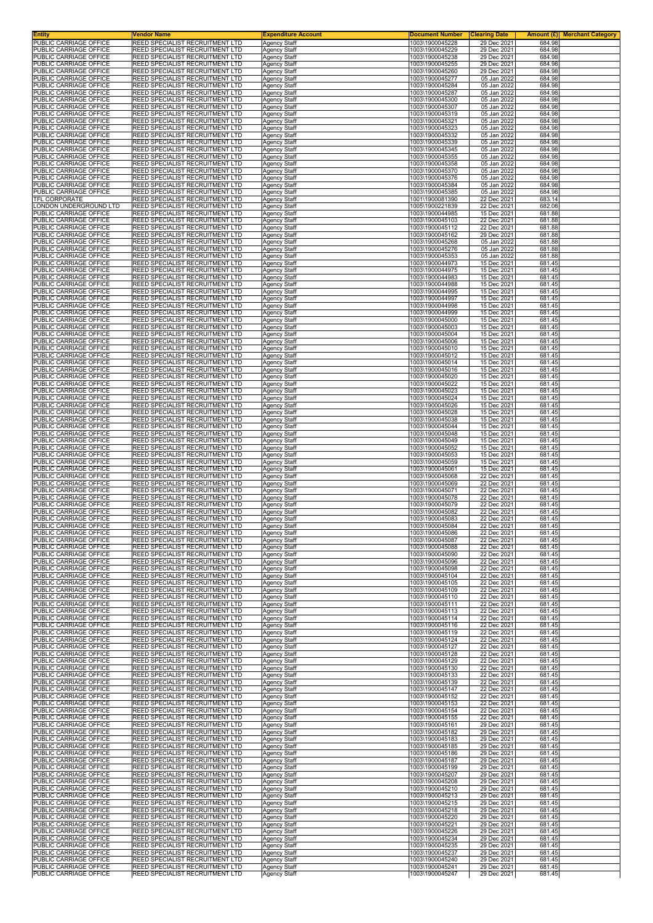| <b>Entity</b>                                    | Vendor Name                                                                      | <b>Expenditure Account</b>                 | <b>Document Number</b>             | <b>Clearing Date</b>       |                  | <b>Amount (£)</b> Merchant Category |
|--------------------------------------------------|----------------------------------------------------------------------------------|--------------------------------------------|------------------------------------|----------------------------|------------------|-------------------------------------|
| PUBLIC CARRIAGE OFFICE<br>PUBLIC CARRIAGE OFFICE | <b>REED SPECIALIST RECRUITMENT LTD</b><br><b>REED SPECIALIST RECRUITMENT LTD</b> | Agency Staff<br><b>Agency Staff</b>        | 1003\1900045228<br>1003\1900045229 | 29 Dec 2021<br>29 Dec 2021 | 684.98<br>684.98 |                                     |
| PUBLIC CARRIAGE OFFICE                           | REED SPECIALIST RECRUITMENT LTD                                                  | Agency Staff                               | 1003\1900045238                    | 29 Dec 2021                | 684.98           |                                     |
| PUBLIC CARRIAGE OFFICE<br>PUBLIC CARRIAGE OFFICE | REED SPECIALIST RECRUITMENT LTD<br>REED SPECIALIST RECRUITMENT LTD               | <b>Agency Staff</b>                        | 1003\1900045255                    | 29 Dec 2021<br>29 Dec 2021 | 684.98<br>684.98 |                                     |
| PUBLIC CARRIAGE OFFICE                           | REED SPECIALIST RECRUITMENT LTD                                                  | Agency Staff<br>Agency Staff               | 1003\1900045260<br>1003\1900045277 | 05 Jan 2022                | 684.98           |                                     |
| PUBLIC CARRIAGE OFFICE                           | REED SPECIALIST RECRUITMENT LTD                                                  | <b>Agency Staff</b>                        | 1003\1900045284                    | 05 Jan 2022                | 684.98           |                                     |
| PUBLIC CARRIAGE OFFICE<br>PUBLIC CARRIAGE OFFICE | <b>REED SPECIALIST RECRUITMENT LTD</b><br>REED SPECIALIST RECRUITMENT LTD        | Agency Staff<br>Agency Staff               | 1003\1900045287<br>1003\1900045300 | 05 Jan 2022<br>05 Jan 2022 | 684.98<br>684.98 |                                     |
| PUBLIC CARRIAGE OFFICE                           | REED SPECIALIST RECRUITMENT LTD                                                  | Agency Staff                               | 1003\1900045307                    | 05 Jan 2022                | 684.98           |                                     |
| PUBLIC CARRIAGE OFFICE<br>PUBLIC CARRIAGE OFFICE | REED SPECIALIST RECRUITMENT LTD<br>REED SPECIALIST RECRUITMENT LTD               | Agency Staff<br>Agency Staff               | 1003\1900045319<br>1003\1900045321 | 05 Jan 2022<br>05 Jan 2022 | 684.98<br>684.98 |                                     |
| PUBLIC CARRIAGE OFFICE                           | REED SPECIALIST RECRUITMENT LTD                                                  | Agency Staff                               | 1003\1900045323                    | 05 Jan 2022                | 684.98           |                                     |
| PUBLIC CARRIAGE OFFICE<br>PUBLIC CARRIAGE OFFICE | REED SPECIALIST RECRUITMENT LTD<br>REED SPECIALIST RECRUITMENT LTD               | <b>Agency Staff</b>                        | 1003\1900045332<br>1003\1900045339 | 05 Jan 2022<br>05 Jan 2022 | 684.98<br>684.98 |                                     |
| PUBLIC CARRIAGE OFFICE                           | REED SPECIALIST RECRUITMENT LTD                                                  | Agency Staff<br>Agency Staff               | 1003\1900045345                    | 05 Jan 2022                | 684.98           |                                     |
| PUBLIC CARRIAGE OFFICE                           | REED SPECIALIST RECRUITMENT LTD                                                  | Agency Staff                               | 1003\1900045355                    | 05 Jan 2022                | 684.98           |                                     |
| PUBLIC CARRIAGE OFFICE<br>PUBLIC CARRIAGE OFFICE | REED SPECIALIST RECRUITMENT LTD<br>REED SPECIALIST RECRUITMENT LTD               | <b>Agency Staff</b><br><b>Agency Staff</b> | 1003\1900045358<br>1003\1900045370 | 05 Jan 2022<br>05 Jan 2022 | 684.98<br>684.98 |                                     |
| PUBLIC CARRIAGE OFFICE                           | <b>REED SPECIALIST RECRUITMENT LTD</b>                                           | <b>Agency Staff</b>                        | 1003\1900045376                    | 05 Jan 2022                | 684.98           |                                     |
| PUBLIC CARRIAGE OFFICE<br>PUBLIC CARRIAGE OFFICE | <b>REED SPECIALIST RECRUITMENT LTD</b><br>REED SPECIALIST RECRUITMENT LTD        | Agency Staff<br>Agency Staff               | 1003\1900045384<br>1003\1900045385 | 05 Jan 2022<br>05 Jan 2022 | 684.98<br>684.98 |                                     |
| TFL CORPORATE                                    | REED SPECIALIST RECRUITMENT LTD                                                  | Agency Staff                               | 1001\1900081390                    | 22 Dec 2021                | 683.14           |                                     |
| LONDON UNDERGROUND LTD<br>PUBLIC CARRIAGE OFFICE | <b>REED SPECIALIST RECRUITMENT LTD</b><br>REED SPECIALIST RECRUITMENT LTD        | Agency Staff                               | 1005\1900221839                    | 22 Dec 2021<br>15 Dec 2021 | 682.08<br>681.88 |                                     |
| PUBLIC CARRIAGE OFFICE                           | REED SPECIALIST RECRUITMENT LTD                                                  | Agency Staff<br><b>Agency Staff</b>        | 1003\1900044985<br>1003\1900045103 | 22 Dec 2021                | 681.88           |                                     |
| PUBLIC CARRIAGE OFFICE                           | <b>REED SPECIALIST RECRUITMENT LTD</b>                                           | <b>Agency Staff</b>                        | 1003\1900045112                    | 22 Dec 2021                | 681.88           |                                     |
| PUBLIC CARRIAGE OFFICE<br>PUBLIC CARRIAGE OFFICE | REED SPECIALIST RECRUITMENT LTD<br>REED SPECIALIST RECRUITMENT LTD               | Agency Staff<br><b>Agency Staff</b>        | 1003\1900045162<br>1003\1900045268 | 29 Dec 2021<br>05 Jan 2022 | 681.88<br>681.88 |                                     |
| PUBLIC CARRIAGE OFFICE                           | REED SPECIALIST RECRUITMENT LTD                                                  | Agency Staff                               | 1003\1900045276                    | 05 Jan 2022                | 681.88           |                                     |
| PUBLIC CARRIAGE OFFICE<br>PUBLIC CARRIAGE OFFICE | REED SPECIALIST RECRUITMENT LTD<br>REED SPECIALIST RECRUITMENT LTD               | Agency Staff<br><b>Agency Staff</b>        | 1003\1900045353<br>1003\1900044973 | 05 Jan 2022<br>15 Dec 2021 | 681.88<br>681.45 |                                     |
| PUBLIC CARRIAGE OFFICE                           | <b>REED SPECIALIST RECRUITMENT LTD</b>                                           | <b>Agency Staff</b>                        | 1003\1900044975                    | 15 Dec 2021                | 681.45           |                                     |
| PUBLIC CARRIAGE OFFICE<br>PUBLIC CARRIAGE OFFICE | REED SPECIALIST RECRUITMENT LTD<br>REED SPECIALIST RECRUITMENT LTD               | Agency Staff                               | 1003\1900044983<br>1003\1900044988 | 15 Dec 2021<br>15 Dec 2021 | 681.45<br>681.45 |                                     |
| PUBLIC CARRIAGE OFFICE                           | REED SPECIALIST RECRUITMENT LTD                                                  | Agency Staff<br><b>Agency Staff</b>        | 1003\1900044995                    | 15 Dec 2021                | 681.45           |                                     |
| PUBLIC CARRIAGE OFFICE                           | REED SPECIALIST RECRUITMENT LTD                                                  | Agency Staff                               | 1003\1900044997                    | 15 Dec 2021                | 681.45           |                                     |
| PUBLIC CARRIAGE OFFICE<br>PUBLIC CARRIAGE OFFICE | REED SPECIALIST RECRUITMENT LTD<br><b>REED SPECIALIST RECRUITMENT LTD</b>        | Agency Staff<br><b>Agency Staff</b>        | 1003\1900044998<br>1003\1900044999 | 15 Dec 2021<br>15 Dec 2021 | 681.45<br>681.45 |                                     |
| PUBLIC CARRIAGE OFFICE                           | REED SPECIALIST RECRUITMENT LTD                                                  | Agency Staff                               | 1003\1900045000                    | 15 Dec 2021                | 681.45           |                                     |
| PUBLIC CARRIAGE OFFICE<br>PUBLIC CARRIAGE OFFICE | REED SPECIALIST RECRUITMENT LTD<br>REED SPECIALIST RECRUITMENT LTD               | Agency Staff                               | 1003\1900045003<br>1003\1900045004 | 15 Dec 2021<br>15 Dec 2021 | 681.45<br>681.45 |                                     |
| PUBLIC CARRIAGE OFFICE                           | REED SPECIALIST RECRUITMENT LTD                                                  | Agency Staff<br>Agency Staff               | 1003\1900045006                    | 15 Dec 2021                | 681.45           |                                     |
| PUBLIC CARRIAGE OFFICE                           | REED SPECIALIST RECRUITMENT LTD                                                  | <b>Agency Staff</b>                        | 1003\1900045010                    | 15 Dec 2021                | 681.45           |                                     |
| PUBLIC CARRIAGE OFFICE<br>PUBLIC CARRIAGE OFFICE | <b>REED SPECIALIST RECRUITMENT LTD</b><br>REED SPECIALIST RECRUITMENT LTD        | <b>Agency Staff</b><br>Agency Staff        | 1003\1900045012<br>1003\1900045014 | 15 Dec 2021<br>15 Dec 2021 | 681.45<br>681.45 |                                     |
| PUBLIC CARRIAGE OFFICE                           | REED SPECIALIST RECRUITMENT LTD                                                  | Agency Staff                               | 1003\1900045016                    | 15 Dec 2021                | 681.45           |                                     |
| PUBLIC CARRIAGE OFFICE<br>PUBLIC CARRIAGE OFFICE | <b>REED SPECIALIST RECRUITMENT LTD</b><br>REED SPECIALIST RECRUITMENT LTD        | <b>Agency Staff</b><br>Agency Staff        | 1003\1900045020<br>1003\1900045022 | 15 Dec 2021<br>15 Dec 2021 | 681.45<br>681.45 |                                     |
| PUBLIC CARRIAGE OFFICE                           | REED SPECIALIST RECRUITMENT LTD                                                  | <b>Agency Staff</b>                        | 1003\1900045023                    | 15 Dec 2021                | 681.45           |                                     |
| PUBLIC CARRIAGE OFFICE                           | <b>REED SPECIALIST RECRUITMENT LTD</b>                                           | <b>Agency Staff</b>                        | 1003\1900045024                    | 15 Dec 2021                | 681.45           |                                     |
| PUBLIC CARRIAGE OFFICE<br>PUBLIC CARRIAGE OFFICE | <b>REED SPECIALIST RECRUITMENT LTD</b><br>REED SPECIALIST RECRUITMENT LTD        | Agency Staff<br>Agency Staff               | 1003\1900045026<br>1003\1900045028 | 15 Dec 2021<br>15 Dec 2021 | 681.45<br>681.45 |                                     |
| PUBLIC CARRIAGE OFFICE                           | REED SPECIALIST RECRUITMENT LTD                                                  | <b>Agency Staff</b>                        | 1003\1900045038                    | 15 Dec 2021                | 681.45           |                                     |
| PUBLIC CARRIAGE OFFICE<br>PUBLIC CARRIAGE OFFICE | REED SPECIALIST RECRUITMENT LTD<br>REED SPECIALIST RECRUITMENT LTD               | Agency Staff<br>Agency Staff               | 1003\1900045044<br>1003\1900045048 | 15 Dec 2021<br>15 Dec 2021 | 681.45<br>681.45 |                                     |
| PUBLIC CARRIAGE OFFICE                           | REED SPECIALIST RECRUITMENT LTD                                                  | <b>Agency Staff</b>                        | 1003\1900045049                    | 15 Dec 2021                | 681.45           |                                     |
| PUBLIC CARRIAGE OFFICE                           | <b>REED SPECIALIST RECRUITMENT LTD</b>                                           | <b>Agency Staff</b>                        | 1003\1900045052                    | 15 Dec 2021                | 681.45           |                                     |
| PUBLIC CARRIAGE OFFICE<br>PUBLIC CARRIAGE OFFICE | REED SPECIALIST RECRUITMENT LTD<br>REED SPECIALIST RECRUITMENT LTD               | Agency Staff<br><b>Agency Staff</b>        | 1003\1900045053<br>1003\1900045059 | 15 Dec 2021<br>15 Dec 2021 | 681.45<br>681.45 |                                     |
| PUBLIC CARRIAGE OFFICE                           | REED SPECIALIST RECRUITMENT LTD                                                  | Agency Staff                               | 1003\1900045061                    | 15 Dec 2021                | 681.45           |                                     |
| PUBLIC CARRIAGE OFFICE<br>PUBLIC CARRIAGE OFFICE | REED SPECIALIST RECRUITMENT LTD<br>REED SPECIALIST RECRUITMENT LTD               | Agency Staff<br>Agency Staff               | 1003\1900045068<br>1003\1900045069 | 22 Dec 2021<br>22 Dec 2021 | 681.45<br>681.45 |                                     |
| PUBLIC CARRIAGE OFFICE                           | <b>REED SPECIALIST RECRUITMENT LTD</b>                                           | <b>Agency Staff</b>                        | 1003\1900045071                    | 22 Dec 2021                | 681.45           |                                     |
| PUBLIC CARRIAGE OFFICE<br>PUBLIC CARRIAGE OFFICE | REED SPECIALIST RECRUITMENT LTD<br>REED SPECIALIST RECRUITMENT LTD               | Agency Staff                               | 1003\1900045078<br>1003\1900045079 | 22 Dec 2021<br>22 Dec 2021 | 681.45<br>681.45 |                                     |
| PUBLIC CARRIAGE OFFICE                           | REED SPECIALIST RECRUITMENT LTD                                                  | Agency Staff<br>Agency Staff               | 1003\1900045082                    | 22 Dec 2021                | 681.45           |                                     |
| PUBLIC CARRIAGE OFFICE                           | REED SPECIALIST RECRUITMENT LTD                                                  | <b>Agency Staff</b>                        | 1003\1900045083                    | 22 Dec 2021                | 681.45           |                                     |
| PUBLIC CARRIAGE OFFICE<br>PUBLIC CARRIAGE OFFICE | REED SPECIALIST RECRUITMENT LTD<br><b>REED SPECIALIST RECRUITMENT LTD</b>        | Agency Staff<br><b>Agency Staff</b>        | 1003\1900045084<br>1003\1900045086 | 22 Dec 2021<br>22 Dec 2021 | 681.45<br>681.45 |                                     |
| PUBLIC CARRIAGE OFFICE                           | REED SPECIALIST RECRUITMENT LTD                                                  | <b>Agency Staff</b>                        | 1003\1900045087                    | 22 Dec 2021                | 681.45           |                                     |
| PUBLIC CARRIAGE OFFICE<br>PUBLIC CARRIAGE OFFICE | REED SPECIALIST RECRUITMENT LTD<br>REED SPECIALIST RECRUITMENT LTD               | Agency Staff<br>Agency Staff               | 1003\1900045088<br>1003\1900045090 | 22 Dec 2021<br>22 Dec 2021 | 681.45<br>681.45 |                                     |
| PUBLIC CARRIAGE OFFICE                           | REED SPECIALIST RECRUITMENT LTD                                                  | Agency Staff                               | 1003\1900045096                    | 22 Dec 2021                | 681.45           |                                     |
| PUBLIC CARRIAGE OFFICE                           | REED SPECIALIST RECRUITMENT LTD                                                  | Agency Staff                               | 1003\1900045098                    | 22 Dec 2021                | 681.45           |                                     |
| PUBLIC CARRIAGE OFFICE<br>PUBLIC CARRIAGE OFFICE | <b>REED SPECIALIST RECRUITMENT LTD</b><br><b>REED SPECIALIST RECRUITMENT LTD</b> | <b>Agency Staff</b><br><b>Agency Staff</b> | 1003\1900045104<br>1003\1900045105 | 22 Dec 2021<br>22 Dec 2021 | 681.45<br>681.45 |                                     |
| PUBLIC CARRIAGE OFFICE                           | REED SPECIALIST RECRUITMENT LTD                                                  | Agency Staff                               | 1003\1900045109                    | 22 Dec 2021                | 681.45           |                                     |
| PUBLIC CARRIAGE OFFICE<br>PUBLIC CARRIAGE OFFICE | REED SPECIALIST RECRUITMENT LTD<br><b>REED SPECIALIST RECRUITMENT LTD</b>        | Agency Staff<br>Agency Staff               | 1003\1900045110<br>1003\1900045111 | 22 Dec 2021<br>22 Dec 2021 | 681.45<br>681.45 |                                     |
| PUBLIC CARRIAGE OFFICE                           | REED SPECIALIST RECRUITMENT LTD                                                  | <b>Agency Staff</b>                        | 1003\1900045113                    | 22 Dec 2021                | 681.45           |                                     |
| PUBLIC CARRIAGE OFFICE<br>PUBLIC CARRIAGE OFFICE | REED SPECIALIST RECRUITMENT LTD<br><b>REED SPECIALIST RECRUITMENT LTD</b>        | <b>Agency Staff</b><br><b>Agency Staff</b> | 1003\1900045114<br>1003\1900045116 | 22 Dec 2021<br>22 Dec 2021 | 681.45<br>681.45 |                                     |
| PUBLIC CARRIAGE OFFICE                           | REED SPECIALIST RECRUITMENT LTD                                                  | Agency Staff                               | 1003\1900045119                    | 22 Dec 2021                | 681.45           |                                     |
| PUBLIC CARRIAGE OFFICE<br>PUBLIC CARRIAGE OFFICE | REED SPECIALIST RECRUITMENT LTD                                                  | Agency Staff                               | 1003\1900045124                    | 22 Dec 2021                | 681.45           |                                     |
| PUBLIC CARRIAGE OFFICE                           | <b>REED SPECIALIST RECRUITMENT LTD</b><br>REED SPECIALIST RECRUITMENT LTD        | Agency Staff<br>Agency Staff               | 1003\1900045127<br>1003\1900045128 | 22 Dec 2021<br>22 Dec 2021 | 681.45<br>681.45 |                                     |
| PUBLIC CARRIAGE OFFICE                           | REED SPECIALIST RECRUITMENT LTD                                                  | <b>Agency Staff</b>                        | 1003\1900045129                    | 22 Dec 2021                | 681.45           |                                     |
| PUBLIC CARRIAGE OFFICE<br>PUBLIC CARRIAGE OFFICE | <b>REED SPECIALIST RECRUITMENT LTD</b><br>REED SPECIALIST RECRUITMENT LTD        | <b>Agency Staff</b><br>Agency Staff        | 1003\1900045130<br>1003\1900045133 | 22 Dec 2021<br>22 Dec 2021 | 681.45<br>681.45 |                                     |
| PUBLIC CARRIAGE OFFICE                           | REED SPECIALIST RECRUITMENT LTD                                                  | Agency Staff                               | 1003\1900045139                    | 22 Dec 2021                | 681.45           |                                     |
| PUBLIC CARRIAGE OFFICE<br>PUBLIC CARRIAGE OFFICE | <b>REED SPECIALIST RECRUITMENT LTD</b><br>REED SPECIALIST RECRUITMENT LTD        | Agency Staff<br><b>Agency Staff</b>        | 1003\1900045147<br>1003\1900045152 | 22 Dec 2021<br>22 Dec 2021 | 681.45<br>681.45 |                                     |
| PUBLIC CARRIAGE OFFICE                           | REED SPECIALIST RECRUITMENT LTD                                                  | Agency Staff                               | 1003\1900045153                    | 22 Dec 2021                | 681.45           |                                     |
| PUBLIC CARRIAGE OFFICE                           | <b>REED SPECIALIST RECRUITMENT LTD</b>                                           | <b>Agency Staff</b>                        | 1003\1900045154                    | 22 Dec 2021                | 681.45           |                                     |
| PUBLIC CARRIAGE OFFICE<br>PUBLIC CARRIAGE OFFICE | REED SPECIALIST RECRUITMENT LTD<br>REED SPECIALIST RECRUITMENT LTD               | Agency Staff<br>Agency Staff               | 1003\1900045155<br>1003\1900045161 | 22 Dec 2021<br>29 Dec 2021 | 681.45<br>681.45 |                                     |
| PUBLIC CARRIAGE OFFICE                           | REED SPECIALIST RECRUITMENT LTD                                                  | Agency Staff                               | 1003\1900045182                    | 29 Dec 2021                | 681.45           |                                     |
| PUBLIC CARRIAGE OFFICE<br>PUBLIC CARRIAGE OFFICE | REED SPECIALIST RECRUITMENT LTD<br>REED SPECIALIST RECRUITMENT LTD               | Agency Staff<br>Agency Staff               | 1003\1900045183<br>1003\1900045185 | 29 Dec 2021<br>29 Dec 2021 | 681.45<br>681.45 |                                     |
| PUBLIC CARRIAGE OFFICE                           | <b>REED SPECIALIST RECRUITMENT LTD</b>                                           | <b>Agency Staff</b>                        | 1003\1900045186                    | 29 Dec 2021                | 681.45           |                                     |
| PUBLIC CARRIAGE OFFICE<br>PUBLIC CARRIAGE OFFICE | <b>REED SPECIALIST RECRUITMENT LTD</b><br>REED SPECIALIST RECRUITMENT LTD        | <b>Agency Staff</b><br>Agency Staff        | 1003\1900045187<br>1003\1900045199 | 29 Dec 2021<br>29 Dec 2021 | 681.45<br>681.45 |                                     |
| PUBLIC CARRIAGE OFFICE                           | REED SPECIALIST RECRUITMENT LTD                                                  | <b>Agency Staff</b>                        | 1003\1900045207                    | 29 Dec 2021                | 681.45           |                                     |
| PUBLIC CARRIAGE OFFICE                           | <b>REED SPECIALIST RECRUITMENT LTD</b>                                           | Agency Staff                               | 1003\1900045208                    | 29 Dec 2021                | 681.45           |                                     |
| PUBLIC CARRIAGE OFFICE<br>PUBLIC CARRIAGE OFFICE | REED SPECIALIST RECRUITMENT LTD<br>REED SPECIALIST RECRUITMENT LTD               | <b>Agency Staff</b><br><b>Agency Staff</b> | 1003\1900045210<br>1003\1900045213 | 29 Dec 2021<br>29 Dec 2021 | 681.45<br>681.45 |                                     |
| PUBLIC CARRIAGE OFFICE                           | <b>REED SPECIALIST RECRUITMENT LTD</b>                                           | Agency Staff                               | 1003\1900045215                    | 29 Dec 2021                | 681.45           |                                     |
| PUBLIC CARRIAGE OFFICE                           | REED SPECIALIST RECRUITMENT LTD                                                  | <b>Agency Staff</b>                        | 1003\1900045218                    | 29 Dec 2021                | 681.45           |                                     |
| PUBLIC CARRIAGE OFFICE<br>PUBLIC CARRIAGE OFFICE | REED SPECIALIST RECRUITMENT LTD<br><b>REED SPECIALIST RECRUITMENT LTD</b>        | Agency Staff<br><b>Agency Staff</b>        | 1003\1900045220<br>1003\1900045221 | 29 Dec 2021<br>29 Dec 2021 | 681.45<br>681.45 |                                     |
| PUBLIC CARRIAGE OFFICE                           | REED SPECIALIST RECRUITMENT LTD                                                  | <b>Agency Staff</b>                        | 1003\1900045226                    | 29 Dec 2021                | 681.45           |                                     |
| PUBLIC CARRIAGE OFFICE<br>PUBLIC CARRIAGE OFFICE | <b>REED SPECIALIST RECRUITMENT LTD</b><br><b>REED SPECIALIST RECRUITMENT LTD</b> | <b>Agency Staff</b><br><b>Agency Staff</b> | 1003\1900045234<br>1003\1900045235 | 29 Dec 2021<br>29 Dec 2021 | 681.45<br>681.45 |                                     |
| PUBLIC CARRIAGE OFFICE                           | REED SPECIALIST RECRUITMENT LTD                                                  | Agency Staff                               | 1003\1900045237                    | 29 Dec 2021                | 681.45           |                                     |
| PUBLIC CARRIAGE OFFICE<br>PUBLIC CARRIAGE OFFICE | REED SPECIALIST RECRUITMENT LTD<br><b>REED SPECIALIST RECRUITMENT LTD</b>        | Agency Staff<br>Agency Staff               | 1003\1900045240<br>1003\1900045241 | 29 Dec 2021<br>29 Dec 2021 | 681.45<br>681.45 |                                     |
| PUBLIC CARRIAGE OFFICE                           | REED SPECIALIST RECRUITMENT LTD                                                  | Agency Staff                               | 1003\1900045247                    | 29 Dec 2021                | 681.45           |                                     |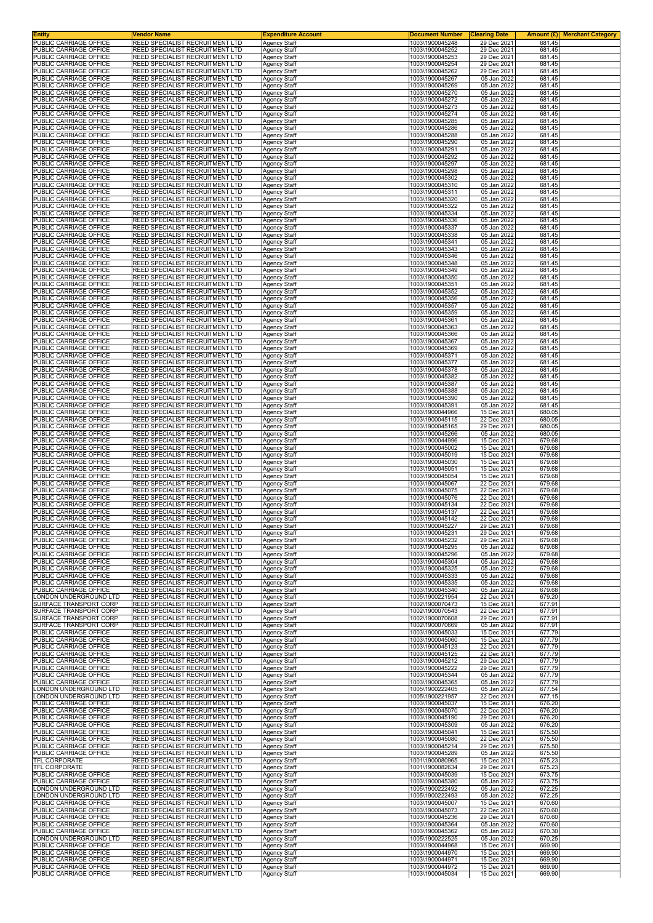| <b>Entity</b>                                    | Vendor Name                                                                      | <b>Expenditure Account</b>                 | <b>Document Number</b>             | <b>Clearing Date</b>       |                  | <b>Amount (£)</b> Merchant Category |
|--------------------------------------------------|----------------------------------------------------------------------------------|--------------------------------------------|------------------------------------|----------------------------|------------------|-------------------------------------|
| PUBLIC CARRIAGE OFFICE<br>PUBLIC CARRIAGE OFFICE | <b>REED SPECIALIST RECRUITMENT LTD</b><br><b>REED SPECIALIST RECRUITMENT LTD</b> | <b>Agency Staff</b><br><b>Agency Staff</b> | 1003\1900045248<br>1003\1900045252 | 29 Dec 2021<br>29 Dec 2021 | 681.45<br>681.45 |                                     |
| PUBLIC CARRIAGE OFFICE                           | REED SPECIALIST RECRUITMENT LTD                                                  | Agency Staff                               | 1003\1900045253                    | 29 Dec 2021                | 681.45           |                                     |
| PUBLIC CARRIAGE OFFICE<br>PUBLIC CARRIAGE OFFICE | <b>REED SPECIALIST RECRUITMENT LTD</b><br>REED SPECIALIST RECRUITMENT LTD        | <b>Agency Staff</b>                        | 1003\1900045254                    | 29 Dec 2021<br>29 Dec 2021 | 681.45<br>681.45 |                                     |
| PUBLIC CARRIAGE OFFICE                           | REED SPECIALIST RECRUITMENT LTD                                                  | Agency Staff<br>Agency Staff               | 1003\1900045262<br>1003\1900045267 | 05 Jan 2022                | 681.45           |                                     |
| PUBLIC CARRIAGE OFFICE                           | REED SPECIALIST RECRUITMENT LTD                                                  | <b>Agency Staff</b>                        | 1003\1900045269                    | 05 Jan 2022                | 681.45           |                                     |
| PUBLIC CARRIAGE OFFICE<br>PUBLIC CARRIAGE OFFICE | <b>REED SPECIALIST RECRUITMENT LTD</b><br>REED SPECIALIST RECRUITMENT LTD        | Agency Staff<br>Agency Staff               | 1003\1900045270<br>1003\1900045272 | 05 Jan 2022<br>05 Jan 2022 | 681.45<br>681.45 |                                     |
| PUBLIC CARRIAGE OFFICE                           | REED SPECIALIST RECRUITMENT LTD                                                  | Agency Staff                               | 1003\1900045273                    | 05 Jan 2022                | 681.45           |                                     |
| PUBLIC CARRIAGE OFFICE                           | REED SPECIALIST RECRUITMENT LTD                                                  | Agency Staff                               | 1003\1900045274                    | 05 Jan 2022                | 681.45           |                                     |
| PUBLIC CARRIAGE OFFICE<br>PUBLIC CARRIAGE OFFICE | REED SPECIALIST RECRUITMENT LTD<br>REED SPECIALIST RECRUITMENT LTD               | Agency Staff<br>Agency Staff               | 1003\1900045285<br>1003\1900045286 | 05 Jan 2022<br>05 Jan 2022 | 681.45<br>681.45 |                                     |
| PUBLIC CARRIAGE OFFICE                           | REED SPECIALIST RECRUITMENT LTD                                                  | <b>Agency Staff</b>                        | 1003\1900045288                    | 05 Jan 2022                | 681.45           |                                     |
| PUBLIC CARRIAGE OFFICE<br>PUBLIC CARRIAGE OFFICE | REED SPECIALIST RECRUITMENT LTD<br>REED SPECIALIST RECRUITMENT LTD               | Agency Staff<br>Agency Staff               | 1003\1900045290<br>1003\1900045291 | 05 Jan 2022<br>05 Jan 2022 | 681.45<br>681.45 |                                     |
| PUBLIC CARRIAGE OFFICE                           | REED SPECIALIST RECRUITMENT LTD                                                  | Agency Staff                               | 1003\1900045292                    | 05 Jan 2022                | 681.45           |                                     |
| PUBLIC CARRIAGE OFFICE                           | REED SPECIALIST RECRUITMENT LTD                                                  | <b>Agency Staff</b>                        | 1003\1900045297                    | 05 Jan 2022                | 681.45           |                                     |
| PUBLIC CARRIAGE OFFICE<br>PUBLIC CARRIAGE OFFICE | REED SPECIALIST RECRUITMENT LTD<br><b>REED SPECIALIST RECRUITMENT LTD</b>        | <b>Agency Staff</b><br><b>Agency Staff</b> | 1003\1900045298<br>1003\1900045302 | 05 Jan 2022<br>05 Jan 2022 | 681.45<br>681.45 |                                     |
| PUBLIC CARRIAGE OFFICE                           | <b>REED SPECIALIST RECRUITMENT LTD</b>                                           | Agency Staff                               | 1003\1900045310                    | 05 Jan 2022                | 681.45           |                                     |
| PUBLIC CARRIAGE OFFICE<br>PUBLIC CARRIAGE OFFICE | REED SPECIALIST RECRUITMENT LTD<br>REED SPECIALIST RECRUITMENT LTD               | Agency Staff<br>Agency Staff               | 1003\1900045311<br>1003\1900045320 | 05 Jan 2022<br>05 Jan 2022 | 681.45<br>681.45 |                                     |
| PUBLIC CARRIAGE OFFICE                           | REED SPECIALIST RECRUITMENT LTD                                                  | Agency Staff                               | 1003\1900045322                    | 05 Jan 2022                | 681.45           |                                     |
| PUBLIC CARRIAGE OFFICE<br>PUBLIC CARRIAGE OFFICE | REED SPECIALIST RECRUITMENT LTD<br><b>REED SPECIALIST RECRUITMENT LTD</b>        | Agency Staff<br><b>Agency Staff</b>        | 1003\1900045334<br>1003\1900045336 | 05 Jan 2022<br>05 Jan 2022 | 681.45<br>681.45 |                                     |
| PUBLIC CARRIAGE OFFICE                           | <b>REED SPECIALIST RECRUITMENT LTD</b>                                           | <b>Agency Staff</b>                        | 1003\1900045337                    | 05 Jan 2022                | 681.45           |                                     |
| PUBLIC CARRIAGE OFFICE                           | REED SPECIALIST RECRUITMENT LTD                                                  | Agency Staff                               | 1003\1900045338                    | 05 Jan 2022                | 681.45           |                                     |
| PUBLIC CARRIAGE OFFICE<br>PUBLIC CARRIAGE OFFICE | REED SPECIALIST RECRUITMENT LTD<br>REED SPECIALIST RECRUITMENT LTD               | <b>Agency Staff</b><br>Agency Staff        | 1003\1900045341<br>1003\1900045343 | 05 Jan 2022<br>05 Jan 2022 | 681.45<br>681.45 |                                     |
| PUBLIC CARRIAGE OFFICE                           | REED SPECIALIST RECRUITMENT LTD                                                  | Agency Staff                               | 1003\1900045346                    | 05 Jan 2022                | 681.45           |                                     |
| PUBLIC CARRIAGE OFFICE<br>PUBLIC CARRIAGE OFFICE | REED SPECIALIST RECRUITMENT LTD<br><b>REED SPECIALIST RECRUITMENT LTD</b>        | <b>Agency Staff</b><br><b>Agency Staff</b> | 1003\1900045348<br>1003\1900045349 | 05 Jan 2022<br>05 Jan 2022 | 681.45<br>681.45 |                                     |
| PUBLIC CARRIAGE OFFICE                           | REED SPECIALIST RECRUITMENT LTD                                                  | Agency Staff                               | 1003\1900045350                    | 05 Jan 2022                | 681.45           |                                     |
| PUBLIC CARRIAGE OFFICE<br>PUBLIC CARRIAGE OFFICE | REED SPECIALIST RECRUITMENT LTD<br>REED SPECIALIST RECRUITMENT LTD               | Agency Staff                               | 1003\1900045351                    | 05 Jan 2022<br>05 Jan 2022 | 681.45<br>681.45 |                                     |
| PUBLIC CARRIAGE OFFICE                           | REED SPECIALIST RECRUITMENT LTD                                                  | <b>Agency Staff</b><br>Agency Staff        | 1003\1900045352<br>1003\1900045356 | 05 Jan 2022                | 681.45           |                                     |
| PUBLIC CARRIAGE OFFICE                           | REED SPECIALIST RECRUITMENT LTD                                                  | Agency Staff                               | 1003\1900045357                    | 05 Jan 2022                | 681.45           |                                     |
| PUBLIC CARRIAGE OFFICE<br>PUBLIC CARRIAGE OFFICE | <b>REED SPECIALIST RECRUITMENT LTD</b><br>REED SPECIALIST RECRUITMENT LTD        | <b>Agency Staff</b><br>Agency Staff        | 1003\1900045359<br>1003\1900045361 | 05 Jan 2022<br>05 Jan 2022 | 681.45<br>681.45 |                                     |
| PUBLIC CARRIAGE OFFICE                           | REED SPECIALIST RECRUITMENT LTD                                                  | Agency Staff                               | 1003\1900045363                    | 05 Jan 2022                | 681.45           |                                     |
| PUBLIC CARRIAGE OFFICE<br>PUBLIC CARRIAGE OFFICE | REED SPECIALIST RECRUITMENT LTD<br>REED SPECIALIST RECRUITMENT LTD               | Agency Staff                               | 1003\1900045366<br>1003\1900045367 | 05 Jan 2022<br>05 Jan 2022 | 681.45<br>681.45 |                                     |
| PUBLIC CARRIAGE OFFICE                           | REED SPECIALIST RECRUITMENT LTD                                                  | Agency Staff<br><b>Agency Staff</b>        | 1003\1900045369                    | 05 Jan 2022                | 681.45           |                                     |
| PUBLIC CARRIAGE OFFICE                           | <b>REED SPECIALIST RECRUITMENT LTD</b>                                           | <b>Agency Staff</b>                        | 1003\1900045371                    | 05 Jan 2022                | 681.45           |                                     |
| PUBLIC CARRIAGE OFFICE<br>PUBLIC CARRIAGE OFFICE | REED SPECIALIST RECRUITMENT LTD<br>REED SPECIALIST RECRUITMENT LTD               | Agency Staff<br>Agency Staff               | 1003\1900045377<br>1003\1900045378 | 05 Jan 2022<br>05 Jan 2022 | 681.45<br>681.45 |                                     |
| PUBLIC CARRIAGE OFFICE                           | <b>REED SPECIALIST RECRUITMENT LTD</b>                                           | <b>Agency Staff</b>                        | 1003\1900045382                    | 05 Jan 2022                | 681.45           |                                     |
| PUBLIC CARRIAGE OFFICE<br>PUBLIC CARRIAGE OFFICE | REED SPECIALIST RECRUITMENT LTD<br>REED SPECIALIST RECRUITMENT LTD               | Agency Staff<br><b>Agency Staff</b>        | 1003\1900045387<br>1003\1900045388 | 05 Jan 2022<br>05 Jan 2022 | 681.45<br>681.45 |                                     |
| PUBLIC CARRIAGE OFFICE                           | <b>REED SPECIALIST RECRUITMENT LTD</b>                                           | <b>Agency Staff</b>                        | 1003\1900045390                    | 05 Jan 2022                | 681.45           |                                     |
| PUBLIC CARRIAGE OFFICE                           | <b>REED SPECIALIST RECRUITMENT LTD</b>                                           | Agency Staff                               | 1003\1900045391                    | 05 Jan 2022                | 681.45           |                                     |
| PUBLIC CARRIAGE OFFICE<br>PUBLIC CARRIAGE OFFICE | REED SPECIALIST RECRUITMENT LTD<br>REED SPECIALIST RECRUITMENT LTD               | Agency Staff<br><b>Agency Staff</b>        | 1003\1900044966<br>1003\1900045115 | 15 Dec 2021<br>22 Dec 2021 | 680.05<br>680.05 |                                     |
| PUBLIC CARRIAGE OFFICE                           | REED SPECIALIST RECRUITMENT LTD                                                  | Agency Staff                               | 1003\1900045165                    | 29 Dec 2021                | 680.05           |                                     |
| PUBLIC CARRIAGE OFFICE<br>PUBLIC CARRIAGE OFFICE | REED SPECIALIST RECRUITMENT LTD<br>REED SPECIALIST RECRUITMENT LTD               | Agency Staff<br><b>Agency Staff</b>        | 1003\1900045266<br>1003\1900044996 | 05 Jan 2022<br>15 Dec 2021 | 680.05<br>679.68 |                                     |
| PUBLIC CARRIAGE OFFICE                           | <b>REED SPECIALIST RECRUITMENT LTD</b>                                           | <b>Agency Staff</b>                        | 1003\1900045002                    | 15 Dec 2021                | 679.68           |                                     |
| PUBLIC CARRIAGE OFFICE                           | REED SPECIALIST RECRUITMENT LTD                                                  | Agency Staff                               | 1003\1900045019                    | 15 Dec 2021                | 679.68           |                                     |
| PUBLIC CARRIAGE OFFICE<br>PUBLIC CARRIAGE OFFICE | REED SPECIALIST RECRUITMENT LTD<br>REED SPECIALIST RECRUITMENT LTD               | <b>Agency Staff</b><br>Agency Staff        | 1003\1900045030<br>1003\1900045051 | 15 Dec 2021<br>15 Dec 2021 | 679.68<br>679.68 |                                     |
| PUBLIC CARRIAGE OFFICE                           | REED SPECIALIST RECRUITMENT LTD                                                  | Agency Staff                               | 1003\1900045054                    | 15 Dec 2021                | 679.68           |                                     |
| PUBLIC CARRIAGE OFFICE<br>PUBLIC CARRIAGE OFFICE | REED SPECIALIST RECRUITMENT LTD<br><b>REED SPECIALIST RECRUITMENT LTD</b>        | Agency Staff<br><b>Agency Staff</b>        | 1003\1900045067<br>1003\1900045075 | 22 Dec 2021<br>22 Dec 2021 | 679.68<br>679.68 |                                     |
| PUBLIC CARRIAGE OFFICE                           | REED SPECIALIST RECRUITMENT LTD                                                  | Agency Staff                               | 1003\1900045076                    | 22 Dec 2021                | 679.68           |                                     |
| PUBLIC CARRIAGE OFFICE<br>PUBLIC CARRIAGE OFFICE | REED SPECIALIST RECRUITMENT LTD<br><b>REED SPECIALIST RECRUITMENT LTD</b>        | Agency Staff<br>Agency Staff               | 1003\1900045134<br>1003\1900045137 | 22 Dec 2021<br>22 Dec 2021 | 679.68<br>679.68 |                                     |
| PUBLIC CARRIAGE OFFICE                           | REED SPECIALIST RECRUITMENT LTD                                                  | <b>Agency Staff</b>                        | 1003\1900045142                    | 22 Dec 2021                | 679.68           |                                     |
| PUBLIC CARRIAGE OFFICE<br>PUBLIC CARRIAGE OFFICE | REED SPECIALIST RECRUITMENT LTD                                                  | Agency Staff                               | 1003\1900045227                    | 29 Dec 2021<br>29 Dec 2021 | 679.68           |                                     |
| PUBLIC CARRIAGE OFFICE                           | <b>REED SPECIALIST RECRUITMENT LTD</b><br>REED SPECIALIST RECRUITMENT LTD        | <b>Agency Staff</b><br><b>Agency Staff</b> | 1003\1900045231<br>1003\1900045232 | 29 Dec 2021                | 679.68<br>679.68 |                                     |
| PUBLIC CARRIAGE OFFICE                           | REED SPECIALIST RECRUITMENT LTD                                                  | Agency Staff                               | 1003\1900045295                    | 05 Jan 2022                | 679.68           |                                     |
| PUBLIC CARRIAGE OFFICE<br>PUBLIC CARRIAGE OFFICE | REED SPECIALIST RECRUITMENT LTD<br>REED SPECIALIST RECRUITMENT LTD               | Agency Staff<br>Agency Staff               | 1003\1900045296<br>1003\1900045304 | 05 Jan 2022<br>05 Jan 2022 | 679.68<br>679.68 |                                     |
| PUBLIC CARRIAGE OFFICE                           | REED SPECIALIST RECRUITMENT LTD                                                  | Agency Staff                               | 1003\1900045325                    | 05 Jan 2022                | 679.68           |                                     |
| PUBLIC CARRIAGE OFFICE<br>PUBLIC CARRIAGE OFFICE | <b>REED SPECIALIST RECRUITMENT LTD</b><br><b>REED SPECIALIST RECRUITMENT LTD</b> | <b>Agency Staff</b><br><b>Agency Staff</b> | 1003\1900045333<br>1003\1900045335 | 05 Jan 2022<br>05 Jan 2022 | 679.68<br>679.68 |                                     |
| PUBLIC CARRIAGE OFFICE                           | REED SPECIALIST RECRUITMENT LTD                                                  | Agency Staff                               | 1003\1900045340                    | 05 Jan 2022                | 679.68           |                                     |
| LONDON UNDERGROUND LTD<br>SURFACE TRANSPORT CORP | <b>REED SPECIALIST RECRUITMENT LTD</b>                                           | Agency Staff                               | 1005\1900221954                    | 22 Dec 2021                | 679.20           |                                     |
| SURFACE TRANSPORT CORP                           | <b>REED SPECIALIST RECRUITMENT LTD</b><br>REED SPECIALIST RECRUITMENT LTD        | Agency Staff<br><b>Agency Staff</b>        | 1002\1900070473<br>1002\1900070543 | 15 Dec 2021<br>22 Dec 2021 | 677.91<br>677.91 |                                     |
| SURFACE TRANSPORT CORP                           | REED SPECIALIST RECRUITMENT LTD                                                  | <b>Agency Staff</b>                        | 1002\1900070608                    | 29 Dec 2021                | 677.91           |                                     |
| SURFACE TRANSPORT CORP<br>PUBLIC CARRIAGE OFFICE | <b>REED SPECIALIST RECRUITMENT LTD</b><br><b>REED SPECIALIST RECRUITMENT LTD</b> | <b>Agency Staff</b><br>Agency Staff        | 1002\1900070669<br>1003\1900045033 | 05 Jan 2022<br>15 Dec 2021 | 677.91<br>677.79 |                                     |
| PUBLIC CARRIAGE OFFICE                           | REED SPECIALIST RECRUITMENT LTD                                                  | Agency Staff                               | 1003\1900045060                    | 15 Dec 2021                | 677.79           |                                     |
| PUBLIC CARRIAGE OFFICE<br>PUBLIC CARRIAGE OFFICE | <b>REED SPECIALIST RECRUITMENT LTD</b><br>REED SPECIALIST RECRUITMENT LTD        | Agency Staff<br>Agency Staff               | 1003\1900045123<br>1003\1900045125 | 22 Dec 2021<br>22 Dec 2021 | 677.79<br>677.79 |                                     |
| PUBLIC CARRIAGE OFFICE                           | REED SPECIALIST RECRUITMENT LTD                                                  | <b>Agency Staff</b>                        | 1003\1900045212                    | 29 Dec 2021                | 677.79           |                                     |
| PUBLIC CARRIAGE OFFICE<br>PUBLIC CARRIAGE OFFICE | <b>REED SPECIALIST RECRUITMENT LTD</b><br>REED SPECIALIST RECRUITMENT LTD        | <b>Agency Staff</b><br>Agency Staff        | 1003\1900045222<br>1003\1900045344 | 29 Dec 2021<br>05 Jan 2022 | 677.79<br>677.79 |                                     |
| PUBLIC CARRIAGE OFFICE                           | REED SPECIALIST RECRUITMENT LTD                                                  | Agency Staff                               | 1003\1900045365                    | 05 Jan 2022                | 677.79           |                                     |
| LONDON UNDERGROUND LTD                           | <b>REED SPECIALIST RECRUITMENT LTD</b>                                           | Agency Staff                               | 1005\1900222405                    | 05 Jan 2022                | 677.54           |                                     |
| LONDON UNDERGROUND LTD<br>PUBLIC CARRIAGE OFFICE | REED SPECIALIST RECRUITMENT LTD<br>REED SPECIALIST RECRUITMENT LTD               | <b>Agency Staff</b><br>Agency Staff        | 1005\1900221957<br>1003\1900045037 | 22 Dec 2021<br>15 Dec 2021 | 677.15<br>676.20 |                                     |
| PUBLIC CARRIAGE OFFICE                           | <b>REED SPECIALIST RECRUITMENT LTD</b>                                           | <b>Agency Staff</b>                        | 1003\1900045070                    | 22 Dec 2021                | 676.20           |                                     |
| PUBLIC CARRIAGE OFFICE<br>PUBLIC CARRIAGE OFFICE | REED SPECIALIST RECRUITMENT LTD<br>REED SPECIALIST RECRUITMENT LTD               | Agency Staff<br>Agency Staff               | 1003\1900045190<br>1003\1900045309 | 29 Dec 2021<br>05 Jan 2022 | 676.20<br>676.20 |                                     |
| PUBLIC CARRIAGE OFFICE                           | REED SPECIALIST RECRUITMENT LTD                                                  | Agency Staff                               | 1003\1900045041                    | 15 Dec 2021                | 675.50           |                                     |
| PUBLIC CARRIAGE OFFICE                           | REED SPECIALIST RECRUITMENT LTD                                                  | Agency Staff<br>Agency Staff               | 1003\1900045080                    | 22 Dec 2021                | 675.50           |                                     |
| PUBLIC CARRIAGE OFFICE<br>PUBLIC CARRIAGE OFFICE | REED SPECIALIST RECRUITMENT LTD<br><b>REED SPECIALIST RECRUITMENT LTD</b>        | <b>Agency Staff</b>                        | 1003\1900045214<br>1003\1900045289 | 29 Dec 2021<br>05 Jan 2022 | 675.50<br>675.50 |                                     |
| TFL CORPORATE                                    | REED SPECIALIST RECRUITMENT LTD                                                  | <b>Agency Staff</b>                        | 1001\1900080965                    | 15 Dec 2021                | 675.23           |                                     |
| TFL CORPORATE<br>PUBLIC CARRIAGE OFFICE          | REED SPECIALIST RECRUITMENT LTD<br>REED SPECIALIST RECRUITMENT LTD               | Agency Staff<br><b>Agency Staff</b>        | 1001\1900082634<br>1003\1900045039 | 29 Dec 2021<br>15 Dec 2021 | 675.23<br>673.75 |                                     |
| PUBLIC CARRIAGE OFFICE                           | <b>REED SPECIALIST RECRUITMENT LTD</b>                                           | Agency Staff                               | 1003\1900045380                    | 05 Jan 2022                | 673.75           |                                     |
| LONDON UNDERGROUND LTD<br>LONDON UNDERGROUND LTD | REED SPECIALIST RECRUITMENT LTD<br>REED SPECIALIST RECRUITMENT LTD               | <b>Agency Staff</b>                        | 1005\1900222492<br>1005\1900222493 | 05 Jan 2022                | 672.25           |                                     |
| PUBLIC CARRIAGE OFFICE                           | <b>REED SPECIALIST RECRUITMENT LTD</b>                                           | <b>Agency Staff</b><br>Agency Staff        | 1003\1900045007                    | 05 Jan 2022<br>15 Dec 2021 | 672.25<br>670.60 |                                     |
| PUBLIC CARRIAGE OFFICE                           | REED SPECIALIST RECRUITMENT LTD                                                  | <b>Agency Staff</b>                        | 1003\1900045073                    | 22 Dec 2021                | 670.60           |                                     |
| PUBLIC CARRIAGE OFFICE<br>PUBLIC CARRIAGE OFFICE | REED SPECIALIST RECRUITMENT LTD<br>REED SPECIALIST RECRUITMENT LTD               | Agency Staff<br><b>Agency Staff</b>        | 1003\1900045236<br>1003\1900045364 | 29 Dec 2021<br>05 Jan 2022 | 670.60<br>670.60 |                                     |
| PUBLIC CARRIAGE OFFICE                           | REED SPECIALIST RECRUITMENT LTD                                                  | <b>Agency Staff</b>                        | 1003\1900045362                    | 05 Jan 2022                | 670.30           |                                     |
| LONDON UNDERGROUND LTD<br>PUBLIC CARRIAGE OFFICE | <b>REED SPECIALIST RECRUITMENT LTD</b><br><b>REED SPECIALIST RECRUITMENT LTD</b> | <b>Agency Staff</b><br><b>Agency Staff</b> | 1005\1900222525<br>1003\1900044968 | 05 Jan 2022<br>15 Dec 2021 | 670.25<br>669.90 |                                     |
| PUBLIC CARRIAGE OFFICE                           | REED SPECIALIST RECRUITMENT LTD                                                  | Agency Staff                               | 1003\1900044970                    | 15 Dec 2021                | 669.90           |                                     |
| PUBLIC CARRIAGE OFFICE                           | REED SPECIALIST RECRUITMENT LTD                                                  | <b>Agency Staff</b>                        | 1003\1900044971                    | 15 Dec 2021                | 669.90           |                                     |
| PUBLIC CARRIAGE OFFICE<br>PUBLIC CARRIAGE OFFICE | <b>REED SPECIALIST RECRUITMENT LTD</b><br>REED SPECIALIST RECRUITMENT LTD        | Agency Staff<br>Agency Staff               | 1003\1900044972<br>1003\1900045034 | 15 Dec 2021<br>15 Dec 2021 | 669.90<br>669.90 |                                     |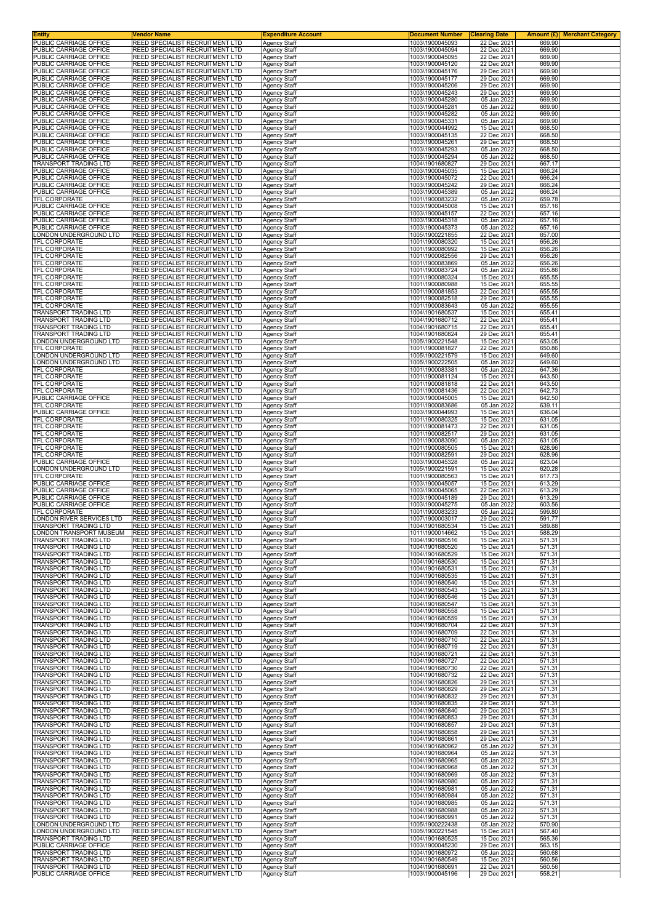| Entity                                                | Vendor Name                                                        | <b>Expenditure Account</b>                 | <b>Document Number</b>             | <b>Clearing Date</b>       | Amount $(E)$<br><b>Merchant Category</b> |
|-------------------------------------------------------|--------------------------------------------------------------------|--------------------------------------------|------------------------------------|----------------------------|------------------------------------------|
| PUBLIC CARRIAGE OFFICE<br>PUBLIC CARRIAGE OFFICE      | REED SPECIALIST RECRUITMENT LTD<br>REED SPECIALIST RECRUITMENT LTD | Agency Staff<br><b>Agency Staff</b>        | 1003\1900045093<br>1003\1900045094 | 22 Dec 2021<br>22 Dec 2021 | 669.90<br>669.90                         |
| PUBLIC CARRIAGE OFFICE                                | REED SPECIALIST RECRUITMENT LTD                                    | Agency Staff                               | 1003\1900045095                    | 22 Dec 2021                | 669.90                                   |
| PUBLIC CARRIAGE OFFICE                                | REED SPECIALIST RECRUITMENT LTD                                    | <b>Agency Staff</b>                        | 1003\1900045120                    | 22 Dec 2021                | 669.90                                   |
| PUBLIC CARRIAGE OFFICE<br>PUBLIC CARRIAGE OFFICE      | REED SPECIALIST RECRUITMENT LTD<br>REED SPECIALIST RECRUITMENT LTD | Agency Staff<br>Agency Staff               | 1003\1900045176<br>1003\1900045177 | 29 Dec 2021<br>29 Dec 2021 | 669.90<br>669.90                         |
| PUBLIC CARRIAGE OFFICE                                | REED SPECIALIST RECRUITMENT LTD                                    | <b>Agency Staff</b>                        | 1003\1900045206                    | 29 Dec 2021                | 669.90                                   |
| PUBLIC CARRIAGE OFFICE<br>PUBLIC CARRIAGE OFFICE      | REED SPECIALIST RECRUITMENT LTD<br>REED SPECIALIST RECRUITMENT LTD | Agency Staff                               | 1003\1900045243<br>1003\1900045280 | 29 Dec 2021<br>05 Jan 2022 | 669.90<br>669.90                         |
| PUBLIC CARRIAGE OFFICE                                | REED SPECIALIST RECRUITMENT LTD                                    | Agency Staff<br>Agency Staff               | 1003\1900045281                    | 05 Jan 2022                | 669.90                                   |
| PUBLIC CARRIAGE OFFICE                                | REED SPECIALIST RECRUITMENT LTD                                    | Agency Staff                               | 1003\1900045282                    | 05 Jan 2022                | 669.90                                   |
| PUBLIC CARRIAGE OFFICE<br>PUBLIC CARRIAGE OFFICE      | REED SPECIALIST RECRUITMENT LTD<br>REED SPECIALIST RECRUITMENT LTD | <b>Agency Staff</b><br><b>Agency Staff</b> | 1003\1900045331<br>1003\1900044992 | 05 Jan 2022<br>15 Dec 2021 | 669.90<br>668.50                         |
| PUBLIC CARRIAGE OFFICE                                | REED SPECIALIST RECRUITMENT LTD                                    | <b>Agency Staff</b>                        | 1003\1900045135                    | 22 Dec 2021                | 668.50                                   |
| PUBLIC CARRIAGE OFFICE<br>PUBLIC CARRIAGE OFFICE      | REED SPECIALIST RECRUITMENT LTD<br>REED SPECIALIST RECRUITMENT LTD | Agency Staff                               | 1003\1900045261<br>1003\1900045293 | 29 Dec 2021<br>05 Jan 2022 | 668.50<br>668.50                         |
| PUBLIC CARRIAGE OFFICE                                | REED SPECIALIST RECRUITMENT LTD                                    | Agency Staff<br><b>Agency Staff</b>        | 1003\1900045294                    | 05 Jan 2022                | 668.50                                   |
| <b>FRANSPORT TRADING LTD</b>                          | REED SPECIALIST RECRUITMENT LTD                                    | Agency Staff                               | 1004\1901680827                    | 29 Dec 2021                | 667.17                                   |
| PUBLIC CARRIAGE OFFICE<br>PUBLIC CARRIAGE OFFICE      | REED SPECIALIST RECRUITMENT LTD<br>REED SPECIALIST RECRUITMENT LTD | <b>Agency Staff</b><br><b>Agency Staff</b> | 1003\1900045035<br>1003\1900045072 | 15 Dec 2021<br>22 Dec 2021 | 666.24<br>666.24                         |
| PUBLIC CARRIAGE OFFICE                                | REED SPECIALIST RECRUITMENT LTD                                    | <b>Agency Staff</b>                        | 1003\1900045242                    | 29 Dec 2021                | 666.24                                   |
| PUBLIC CARRIAGE OFFICE<br><b>TFL CORPORATE</b>        | REED SPECIALIST RECRUITMENT LTD<br>REED SPECIALIST RECRUITMENT LTD | Agency Staff<br><b>Agency Staff</b>        | 1003\1900045389<br>1001\1900083232 | 05 Jan 2022<br>05 Jan 2022 | 666.24<br>659.78                         |
| PUBLIC CARRIAGE OFFICE                                | REED SPECIALIST RECRUITMENT LTD                                    | <b>Agency Staff</b>                        | 1003\1900045008                    | 15 Dec 2021                | 657.16                                   |
| PUBLIC CARRIAGE OFFICE<br>PUBLIC CARRIAGE OFFICE      | REED SPECIALIST RECRUITMENT LTD<br>REED SPECIALIST RECRUITMENT LTD | <b>Agency Staff</b><br><b>Agency Staff</b> | 1003\1900045157<br>1003\1900045318 | 22 Dec 2021<br>05 Jan 2022 | 657.16<br>657.16                         |
| PUBLIC CARRIAGE OFFICE                                | REED SPECIALIST RECRUITMENT LTD                                    | <b>Agency Staff</b>                        | 1003\1900045373                    | 05 Jan 2022                | 657.16                                   |
| LONDON UNDERGROUND LTD                                | REED SPECIALIST RECRUITMENT LTD                                    | Agency Staff                               | 1005\1900221855                    | 22 Dec 2021                | 657.00                                   |
| TFL CORPORATE<br><b>TFL CORPORATE</b>                 | REED SPECIALIST RECRUITMENT LTD<br>REED SPECIALIST RECRUITMENT LTD | <b>Agency Staff</b><br><b>Agency Staff</b> | 1001\1900080320<br>1001\1900080992 | 15 Dec 2021<br>15 Dec 2021 | 656.26<br>656.26                         |
| TFL CORPORATE                                         | REED SPECIALIST RECRUITMENT LTD                                    | <b>Agency Staff</b>                        | 1001\1900082556                    | 29 Dec 2021                | 656.26                                   |
| TFL CORPORATE                                         | REED SPECIALIST RECRUITMENT LTD<br>REED SPECIALIST RECRUITMENT LTD | <b>Agency Staff</b>                        | 1001\1900083869                    | 05 Jan 2022                | 656.26                                   |
| TFL CORPORATE<br>TFL CORPORATE                        | REED SPECIALIST RECRUITMENT LTD                                    | <b>Agency Staff</b><br>Agency Staff        | 1001\1900083724<br>1001\1900080324 | 05 Jan 2022<br>15 Dec 2021 | 655.86<br>655.55                         |
| <b>TFL CORPORATE</b>                                  | REED SPECIALIST RECRUITMENT LTD                                    | Agency Staff                               | 1001\1900080988                    | 15 Dec 2021                | 655.55                                   |
| <b>TFL CORPORATE</b><br>TFL CORPORATE                 | REED SPECIALIST RECRUITMENT LTD<br>REED SPECIALIST RECRUITMENT LTD | Agency Staff<br><b>Agency Staff</b>        | 1001\1900081853<br>1001\1900082518 | 22 Dec 2021<br>29 Dec 2021 | 655.55<br>655.55                         |
| TFL CORPORATE                                         | REED SPECIALIST RECRUITMENT LTD                                    | <b>Agency Staff</b>                        | 1001\1900083643                    | 05 Jan 2022                | 655.55                                   |
| TRANSPORT TRADING LTD<br>TRANSPORT TRADING LTD        | REED SPECIALIST RECRUITMENT LTD<br>REED SPECIALIST RECRUITMENT LTD | <b>Agency Staff</b>                        | 1004\1901680537<br>1004\1901680712 | 15 Dec 2021<br>22 Dec 2021 | 655.41<br>655.41                         |
| <b>FRANSPORT TRADING LTD</b>                          | REED SPECIALIST RECRUITMENT LTD                                    | Agency Staff<br>Agency Staff               | 1004\1901680715                    | 22 Dec 2021                | 655.41                                   |
| TRANSPORT TRADING LTD                                 | REED SPECIALIST RECRUITMENT LTD                                    | <b>Agency Staff</b>                        | 1004\1901680824                    | 29 Dec 2021                | 655.41                                   |
| ONDON UNDERGROUND LTD<br><b>TFL CORPORATE</b>         | REED SPECIALIST RECRUITMENT LTD<br>REED SPECIALIST RECRUITMENT LTD | <b>Agency Staff</b><br><b>Agency Staff</b> | 1005\1900221548<br>1001\1900081827 | 15 Dec 2021<br>22 Dec 2021 | 653.05<br>650.86                         |
| ONDON UNDERGROUND LTD.                                | REED SPECIALIST RECRUITMENT LTD                                    | <b>Agency Staff</b>                        | 1005\1900221579                    | 15 Dec 2021                | 649.60                                   |
| ONDON UNDERGROUND LTD<br>TFL CORPORATE                | REED SPECIALIST RECRUITMENT LTD<br>REED SPECIALIST RECRUITMENT LTD | Agency Staff                               | 1005\1900222505<br>1001\1900083381 | 05 Jan 2022<br>05 Jan 2022 | 649.60<br>647.36                         |
| TFL CORPORATE                                         | REED SPECIALIST RECRUITMENT LTD                                    | <b>Agency Staff</b><br><b>Agency Staff</b> | 1001\1900081124                    | 15 Dec 2021                | 643.50                                   |
| TFL CORPORATE                                         | REED SPECIALIST RECRUITMENT LTD                                    | Agency Staff                               | 1001\1900081818                    | 22 Dec 2021                | 643.50                                   |
| TFL CORPORATE<br>PUBLIC CARRIAGE OFFICE               | REED SPECIALIST RECRUITMENT LTD<br>REED SPECIALIST RECRUITMENT LTD | <b>Agency Staff</b><br><b>Agency Staff</b> | 1001\1900081436<br>1003\1900045005 | 22 Dec 2021<br>15 Dec 2021 | 642.73<br>642.50                         |
| TFL CORPORATE                                         | REED SPECIALIST RECRUITMENT LTD                                    | <b>Agency Staff</b>                        | 1001\1900083686                    | 05 Jan 2022                | 639.11                                   |
| PUBLIC CARRIAGE OFFICE<br>TFL CORPORATE               | REED SPECIALIST RECRUITMENT LTD                                    | <b>Agency Staff</b>                        | 1003\1900044993<br>1001\1900080325 | 15 Dec 2021<br>15 Dec 2021 | 636.04<br>631.05                         |
| TFL CORPORATE                                         | REED SPECIALIST RECRUITMENT LTD<br>REED SPECIALIST RECRUITMENT LTD | <b>Agency Staff</b><br>Agency Staff        | 1001\1900081473                    | 22 Dec 2021                | 631.05                                   |
| TFL CORPORATE                                         | REED SPECIALIST RECRUITMENT LTD                                    | <b>Agency Staff</b>                        | 1001\1900082517                    | 29 Dec 2021                | 631.05                                   |
| TFL CORPORATE<br>TFL CORPORATE                        | REED SPECIALIST RECRUITMENT LTD<br>REED SPECIALIST RECRUITMENT LTD | <b>Agency Staff</b><br><b>Agency Staff</b> | 1001\1900083090<br>1001\1900080505 | 05 Jan 2022<br>15 Dec 2021 | 631.05<br>628.96                         |
| TFL CORPORATE                                         | REED SPECIALIST RECRUITMENT LTD                                    | Agency Staff                               | 1001\1900082591                    | 29 Dec 2021                | 628.96                                   |
| PUBLIC CARRIAGE OFFICE<br>ONDON UNDERGROUND LTD       | REED SPECIALIST RECRUITMENT LTD<br>REED SPECIALIST RECRUITMENT LTD | <b>Agency Staff</b><br>Agency Staff        | 1003\1900045328<br>1005\1900221591 | 05 Jan 2022<br>15 Dec 2021 | 623.04<br>620.28                         |
| <b>TFL CORPORATE</b>                                  | REED SPECIALIST RECRUITMENT LTD                                    | <b>Agency Staff</b>                        | 1001\1900080563                    | 15 Dec 2021                | 617.73                                   |
| PUBLIC CARRIAGE OFFICE                                | REED SPECIALIST RECRUITMENT LTD                                    | <b>Agency Staff</b>                        | 1003\1900045057                    | 15 Dec 2021                | 613.29                                   |
| PUBLIC CARRIAGE OFFICE<br>PUBLIC CARRIAGE OFFICE      | REED SPECIALIST RECRUITMENT LTD<br>REED SPECIALIST RECRUITMENT LTD | <b>Agency Staff</b><br>Agency Staff        | 1003\1900045065<br>1003\1900045189 | 22 Dec 2021<br>29 Dec 2021 | 613.29<br>613.29                         |
| PUBLIC CARRIAGE OFFICE                                | REED SPECIALIST RECRUITMENT LTD                                    | Agency Staff                               | 1003\1900045275                    | 05 Jan 2022                | 603.56                                   |
| TFL CORPORATE<br>ONDON RIVER SERVICES LTD             | REED SPECIALIST RECRUITMENT LTD<br>REED SPECIALIST RECRUITMENT LTD | Agency Staff<br><b>Agency Staff</b>        | 1001\1900083233<br>1007\1900003017 | 05 Jan 2022<br>29 Dec 2021 | 599.80<br>591.77                         |
| IRANSPORT TRADING LTD                                 | REED SPECIALIST RECRUITMENT LTD                                    | Agency Staff                               | 1004\1901680534                    | 15 Dec 2021                | 589.88                                   |
| ONDON TRANSPORT MUSEUM                                | REED SPECIALIST RECRUITMENT LTD<br>REED SPECIALIST RECRUITMENT LTD | <b>Agency Staff</b>                        | 1011\1900014662                    | 15 Dec 2021                | 588.29                                   |
| TRANSPORT TRADING LTD<br>TRANSPORT TRADING LTD        | REED SPECIALIST RECRUITMENT LTD                                    | <b>Agency Staff</b><br>Agency Staff        | 1004\1901680516<br>1004\1901680520 | 15 Dec 2021<br>15 Dec 2021 | 571.31<br>571.31                         |
| TRANSPORT TRADING LTD                                 | REED SPECIALIST RECRUITMENT LTD                                    | Agency Staff                               | 1004\1901680529                    | 15 Dec 2021                | 571.31                                   |
| TRANSPORT TRADING LTD<br>TRANSPORT TRADING LTD        | REED SPECIALIST RECRUITMENT LTD<br>REED SPECIALIST RECRUITMENT LTD | <b>Agency Staff</b><br><b>Agency Staff</b> | 1004\1901680530<br>1004\1901680531 | 15 Dec 2021<br>15 Dec 2021 | 571.31<br>571.31                         |
| <b>TRANSPORT TRADING LTD</b>                          | REED SPECIALIST RECRUITMENT LTD                                    | <b>Agency Staff</b>                        | 1004\1901680535                    | 15 Dec 2021                | 571.31                                   |
| TRANSPORT TRADING LTD                                 | REED SPECIALIST RECRUITMENT LTD                                    | <b>Agency Staff</b><br><b>Agency Staff</b> | 1004\1901680540                    | 15 Dec 2021                | 571.31                                   |
| TRANSPORT TRADING LTD<br>TRANSPORT TRADING LTD        | REED SPECIALIST RECRUITMENT LTD<br>REED SPECIALIST RECRUITMENT LTD | Agency Staff                               | 1004\1901680543<br>1004\1901680546 | 15 Dec 2021<br>15 Dec 2021 | 571.31<br>571.31                         |
| TRANSPORT TRADING LTD                                 | REED SPECIALIST RECRUITMENT LTD                                    | Agency Staff                               | 1004\1901680547                    | 15 Dec 2021                | 571.31                                   |
| TRANSPORT TRADING LTD<br><b>TRANSPORT TRADING LTD</b> | REED SPECIALIST RECRUITMENT LTD<br>REED SPECIALIST RECRUITMENT LTD | <b>Agency Staff</b><br><b>Agency Staff</b> | 1004\1901680558<br>1004\1901680559 | 15 Dec 2021<br>15 Dec 2021 | 571.31<br>571.31                         |
| TRANSPORT TRADING LTD                                 | REED SPECIALIST RECRUITMENT LTD                                    | <b>Agency Staff</b>                        | 1004\1901680704                    | 22 Dec 2021                | 571.31                                   |
| TRANSPORT TRADING LTD<br>TRANSPORT TRADING LTD        | REED SPECIALIST RECRUITMENT LTD<br>REED SPECIALIST RECRUITMENT LTD | Agency Staff<br><b>Agency Staff</b>        | 1004\1901680709<br>1004\1901680710 | 22 Dec 2021<br>22 Dec 2021 | 571.31<br>571.31                         |
| TRANSPORT TRADING LTD                                 | REED SPECIALIST RECRUITMENT LTD                                    | Agency Staff                               | 1004\1901680719                    | 22 Dec 2021                | 571.31                                   |
| TRANSPORT TRADING LTD<br>TRANSPORT TRADING LTD        | REED SPECIALIST RECRUITMENT LTD<br>REED SPECIALIST RECRUITMENT LTD | <b>Agency Staff</b><br><b>Agency Staff</b> | 1004\1901680721<br>1004\1901680727 | 22 Dec 2021<br>22 Dec 2021 | 571.31<br>571.31                         |
| TRANSPORT TRADING LTD                                 | REED SPECIALIST RECRUITMENT LTD                                    | <b>Agency Staff</b>                        | 1004\1901680730                    | 22 Dec 2021                | 571.31                                   |
| TRANSPORT TRADING LTD                                 | REED SPECIALIST RECRUITMENT LTD                                    | Agency Staff                               | 1004\1901680732                    | 22 Dec 2021                | 571.31                                   |
| TRANSPORT TRADING LTD<br><b>FRANSPORT TRADING LTD</b> | REED SPECIALIST RECRUITMENT LTD<br>REED SPECIALIST RECRUITMENT LTD | Agency Staff<br>Agency Staff               | 1004\1901680826<br>1004\1901680829 | 29 Dec 2021<br>29 Dec 2021 | 571.31<br>571.31                         |
| <b>FRANSPORT TRADING LTD</b>                          | REED SPECIALIST RECRUITMENT LTD                                    | <b>Agency Staff</b>                        | 1004\1901680832                    | 29 Dec 2021                | 571.31                                   |
| TRANSPORT TRADING LTD<br>TRANSPORT TRADING LTD        | REED SPECIALIST RECRUITMENT LTD<br>REED SPECIALIST RECRUITMENT LTD | Agency Staff<br><b>Agency Staff</b>        | 1004\1901680835<br>1004\1901680840 | 29 Dec 2021<br>29 Dec 2021 | 571.31<br>571.31                         |
| TRANSPORT TRADING LTD                                 | REED SPECIALIST RECRUITMENT LTD                                    | Agency Staff                               | 1004\1901680853                    | 29 Dec 2021                | 571.31                                   |
| TRANSPORT TRADING LTD<br>TRANSPORT TRADING LTD        | REED SPECIALIST RECRUITMENT LTD<br>REED SPECIALIST RECRUITMENT LTD | Agency Staff<br>Agency Staff               | 1004\1901680857<br>1004\1901680858 | 29 Dec 2021<br>29 Dec 2021 | 571.31<br>571.31                         |
| TRANSPORT TRADING LTD                                 | REED SPECIALIST RECRUITMENT LTD                                    | Agency Staff                               | 1004\1901680861                    | 29 Dec 2021                | 571.31                                   |
| TRANSPORT TRADING LTD                                 | REED SPECIALIST RECRUITMENT LTD                                    | <b>Agency Staff</b>                        | 1004\1901680962                    | 05 Jan 2022                | 571.31                                   |
| TRANSPORT TRADING LTD<br>TRANSPORT TRADING LTD        | REED SPECIALIST RECRUITMENT LTD<br>REED SPECIALIST RECRUITMENT LTD | <b>Agency Staff</b><br>Agency Staff        | 1004\1901680964<br>1004\1901680965 | 05 Jan 2022<br>05 Jan 2022 | 571.31<br>571.31                         |
| TRANSPORT TRADING LTD                                 | REED SPECIALIST RECRUITMENT LTD                                    | Agency Staff                               | 1004\1901680968                    | 05 Jan 2022                | 571.31                                   |
| TRANSPORT TRADING LTD<br>TRANSPORT TRADING LTD        | REED SPECIALIST RECRUITMENT LTD<br>REED SPECIALIST RECRUITMENT LTD | <b>Agency Staff</b><br>Agency Staff        | 1004\1901680969<br>1004\1901680980 | 05 Jan 2022<br>05 Jan 2022 | 571.31<br>571.31                         |
| TRANSPORT TRADING LTD                                 | REED SPECIALIST RECRUITMENT LTD                                    | <b>Agency Staff</b>                        | 1004\1901680981                    | 05 Jan 2022                | 571.31                                   |
| TRANSPORT TRADING LTD                                 | REED SPECIALIST RECRUITMENT LTD                                    | <b>Agency Staff</b>                        | 1004\1901680984                    | 05 Jan 2022                | 571.31                                   |
| TRANSPORT TRADING LTD<br>TRANSPORT TRADING LTD        | REED SPECIALIST RECRUITMENT LTD<br>REED SPECIALIST RECRUITMENT LTD | <b>Agency Staff</b><br>Agency Staff        | 1004\1901680985<br>1004\1901680988 | 05 Jan 2022<br>05 Jan 2022 | 571.31<br>571.31                         |
| TRANSPORT TRADING LTD                                 | REED SPECIALIST RECRUITMENT LTD                                    | <b>Agency Staff</b>                        | 1004\1901680991                    | 05 Jan 2022                | 571.31                                   |
| ONDON UNDERGROUND LTD<br>ONDON UNDERGROUND LTD        | REED SPECIALIST RECRUITMENT LTD<br>REED SPECIALIST RECRUITMENT LTD | Agency Staff<br>Agency Staff               | 1005\1900222438<br>1005\1900221545 | 05 Jan 2022<br>15 Dec 2021 | 570.90<br>567.40                         |
| TRANSPORT TRADING LTD                                 | REED SPECIALIST RECRUITMENT LTD                                    | <b>Agency Staff</b>                        | 1004\1901680525                    | 15 Dec 2021                | 565.36                                   |
| PUBLIC CARRIAGE OFFICE                                | REED SPECIALIST RECRUITMENT LTD                                    | <b>Agency Staff</b>                        | 1003\1900045230                    | 29 Dec 2021                | 563.15                                   |
| TRANSPORT TRADING LTD<br>TRANSPORT TRADING LTD        | REED SPECIALIST RECRUITMENT LTD<br>REED SPECIALIST RECRUITMENT LTD | Agency Staff<br>Agency Staff               | 1004\1901680972<br>1004\1901680549 | 05 Jan 2022<br>15 Dec 2021 | 560.68<br>560.56                         |
| TRANSPORT TRADING LTD                                 | REED SPECIALIST RECRUITMENT LTD                                    | Agency Staff                               | 1004\1901680691                    | 22 Dec 2021                | 560.56                                   |
| PUBLIC CARRIAGE OFFICE                                | REED SPECIALIST RECRUITMENT LTD                                    | Agency Staff                               | 1003\1900045196                    | 29 Dec 2021                | 558.21                                   |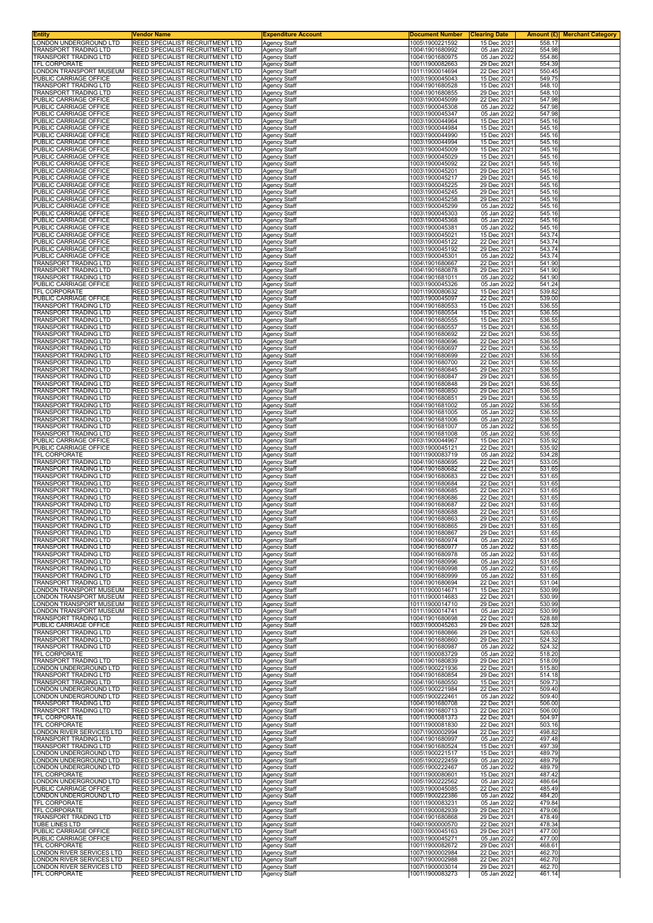| Entity                                                | Vendor Name                                                               | <b>Expenditure Account</b>                 | <u>Document Number</u>             | <b>Clearing Date</b>       | Amount $(E)$<br><b>Merchant Category</b> |
|-------------------------------------------------------|---------------------------------------------------------------------------|--------------------------------------------|------------------------------------|----------------------------|------------------------------------------|
| LONDON UNDERGROUND LTD<br>TRANSPORT TRADING LTD       | REED SPECIALIST RECRUITMENT LTD<br>REED SPECIALIST RECRUITMENT LTD        | <b>Agency Staff</b><br><b>Agency Staff</b> | 1005\1900221592<br>1004\1901680992 | 15 Dec 2021<br>05 Jan 2022 | 558.17<br>554.98                         |
| TRANSPORT TRADING LTD                                 | REED SPECIALIST RECRUITMENT LTD                                           | <b>Agency Staff</b>                        | 1004\1901680975                    | 05 Jan 2022                | 554.86                                   |
| TFL CORPORATE                                         | REED SPECIALIST RECRUITMENT LTD<br>REED SPECIALIST RECRUITMENT LTD        | <b>Agency Staff</b>                        | 1001\1900082663<br>1011\1900014694 | 29 Dec 2021<br>22 Dec 2021 | 554.39<br>550.45                         |
| ONDON TRANSPORT MUSEUM.<br>PUBLIC CARRIAGE OFFICE     | REED SPECIALIST RECRUITMENT LTD                                           | <b>Agency Staff</b><br>Agency Staff        | 1003\1900045043                    | 15 Dec 2021                | 549.75                                   |
| TRANSPORT TRADING LTD                                 | REED SPECIALIST RECRUITMENT LTD                                           | <b>Agency Staff</b>                        | 1004\1901680528                    | 15 Dec 2021                | 548.10                                   |
| TRANSPORT TRADING LTD<br>PUBLIC CARRIAGE OFFICE       | REED SPECIALIST RECRUITMENT LTD<br>REED SPECIALIST RECRUITMENT LTD        | <b>Agency Staff</b><br>Agency Staff        | 1004\1901680855<br>1003\1900045099 | 29 Dec 2021<br>22 Dec 2021 | 548.10<br>547.98                         |
| PUBLIC CARRIAGE OFFICE                                | REED SPECIALIST RECRUITMENT LTD                                           | Agency Staff                               | 1003\1900045308                    | 05 Jan 2022                | 547.98                                   |
| PUBLIC CARRIAGE OFFICE<br>PUBLIC CARRIAGE OFFICE      | REED SPECIALIST RECRUITMENT LTD                                           | Agency Staff                               | 1003\1900045347                    | 05 Jan 2022<br>15 Dec 2021 | 547.98                                   |
| PUBLIC CARRIAGE OFFICE                                | REED SPECIALIST RECRUITMENT LTD<br>REED SPECIALIST RECRUITMENT LTD        | Agency Staff<br><b>Agency Staff</b>        | 1003\1900044964<br>1003\1900044984 | 15 Dec 2021                | 545.16<br>545.16                         |
| PUBLIC CARRIAGE OFFICE                                | REED SPECIALIST RECRUITMENT LTD                                           | <b>Agency Staff</b>                        | 1003\1900044990                    | 15 Dec 2021                | 545.16                                   |
| PUBLIC CARRIAGE OFFICE<br>PUBLIC CARRIAGE OFFICE      | REED SPECIALIST RECRUITMENT LTD<br>REED SPECIALIST RECRUITMENT LTD        | <b>Agency Staff</b><br>Agency Staff        | 1003\1900044994<br>1003\1900045009 | 15 Dec 2021<br>15 Dec 2021 | 545.16<br>545.16                         |
| PUBLIC CARRIAGE OFFICE                                | REED SPECIALIST RECRUITMENT LTD                                           | <b>Agency Staff</b>                        | 1003\1900045029                    | 15 Dec 2021                | 545.16                                   |
| PUBLIC CARRIAGE OFFICE                                | REED SPECIALIST RECRUITMENT LTD<br>REED SPECIALIST RECRUITMENT LTD        | Agency Staff                               | 1003\1900045092                    | 22 Dec 2021                | 545.16                                   |
| PUBLIC CARRIAGE OFFICE<br>PUBLIC CARRIAGE OFFICE      | REED SPECIALIST RECRUITMENT LTD                                           | <b>Agency Staff</b><br><b>Agency Staff</b> | 1003\1900045201<br>1003\1900045217 | 29 Dec 2021<br>29 Dec 2021 | 545.16<br>545.16                         |
| PUBLIC CARRIAGE OFFICE                                | REED SPECIALIST RECRUITMENT LTD                                           | Agency Staff                               | 1003\1900045225                    | 29 Dec 2021                | 545.16                                   |
| PUBLIC CARRIAGE OFFICE<br>PUBLIC CARRIAGE OFFICE      | REED SPECIALIST RECRUITMENT LTD<br>REED SPECIALIST RECRUITMENT LTD        | Agency Staff<br>Agency Staff               | 1003\1900045245<br>1003\1900045258 | 29 Dec 2021<br>29 Dec 2021 | 545.16<br>545.16                         |
| PUBLIC CARRIAGE OFFICE                                | REED SPECIALIST RECRUITMENT LTD                                           | Agency Staff                               | 1003\1900045299                    | 05 Jan 2022                | 545.16                                   |
| PUBLIC CARRIAGE OFFICE<br>PUBLIC CARRIAGE OFFICE      | REED SPECIALIST RECRUITMENT LTD<br>REED SPECIALIST RECRUITMENT LTD        | <b>Agency Staff</b><br><b>Agency Staff</b> | 1003\1900045303<br>1003\1900045368 | 05 Jan 2022<br>05 Jan 2022 | 545.16<br>545.16                         |
| PUBLIC CARRIAGE OFFICE                                | REED SPECIALIST RECRUITMENT LTD                                           | <b>Agency Staff</b>                        | 1003\1900045381                    | 05 Jan 2022                | 545.16                                   |
| PUBLIC CARRIAGE OFFICE                                | REED SPECIALIST RECRUITMENT LTD                                           | <b>Agency Staff</b>                        | 1003\1900045021                    | 15 Dec 2021                | 543.74                                   |
| PUBLIC CARRIAGE OFFICE<br>PUBLIC CARRIAGE OFFICE      | REED SPECIALIST RECRUITMENT LTD<br>REED SPECIALIST RECRUITMENT LTD        | <b>Agency Staff</b><br>Agency Staff        | 1003\1900045122<br>1003\1900045192 | 22 Dec 2021<br>29 Dec 2021 | 543.74<br>543.74                         |
| PUBLIC CARRIAGE OFFICE                                | REED SPECIALIST RECRUITMENT LTD                                           | <b>Agency Staff</b>                        | 1003\1900045301                    | 05 Jan 2022                | 543.74                                   |
| TRANSPORT TRADING LTD<br>TRANSPORT TRADING LTD        | REED SPECIALIST RECRUITMENT LTD<br>REED SPECIALIST RECRUITMENT LTD        | <b>Agency Staff</b><br><b>Agency Staff</b> | 1004\1901680667<br>1004\1901680878 | 22 Dec 2021<br>29 Dec 2021 | 541.90<br>541.90                         |
| TRANSPORT TRADING LTD                                 | REED SPECIALIST RECRUITMENT LTD                                           | <b>Agency Staff</b>                        | 1004\1901681011                    | 05 Jan 2022                | 541.90                                   |
| PUBLIC CARRIAGE OFFICE                                | REED SPECIALIST RECRUITMENT LTD                                           | Agency Staff                               | 1003\1900045326                    | 05 Jan 2022                | 541.24                                   |
| TFL CORPORATE<br>PUBLIC CARRIAGE OFFICE               | REED SPECIALIST RECRUITMENT LTD<br>REED SPECIALIST RECRUITMENT LTD        | Agency Staff<br>Agency Staff               | 1001\1900080632<br>1003\1900045097 | 15 Dec 2021<br>22 Dec 2021 | 539.82<br>539.00                         |
| TRANSPORT TRADING LTD                                 | REED SPECIALIST RECRUITMENT LTD                                           | Agency Staff                               | 1004\1901680553                    | 15 Dec 2021                | 536.55                                   |
| <b>TRANSPORT TRADING LTD</b><br>TRANSPORT TRADING LTD | REED SPECIALIST RECRUITMENT LTD<br>REED SPECIALIST RECRUITMENT LTD        | <b>Agency Staff</b><br><b>Agency Staff</b> | 1004\1901680554<br>1004\1901680555 | 15 Dec 2021<br>15 Dec 2021 | 536.55<br>536.55                         |
| TRANSPORT TRADING LTD                                 | REED SPECIALIST RECRUITMENT LTD                                           | Agency Staff                               | 1004\1901680557                    | 15 Dec 2021                | 536.55                                   |
| <b>FRANSPORT TRADING LTD</b>                          | REED SPECIALIST RECRUITMENT LTD                                           | <b>Agency Staff</b>                        | 1004\1901680692                    | 22 Dec 2021                | 536.55                                   |
| <b>FRANSPORT TRADING LTD</b><br>TRANSPORT TRADING LTD | REED SPECIALIST RECRUITMENT LTD<br>REED SPECIALIST RECRUITMENT LTD        | Agency Staff<br><b>Agency Staff</b>        | 1004\1901680696<br>1004\1901680697 | 22 Dec 2021<br>22 Dec 2021 | 536.55<br>536.55                         |
| TRANSPORT TRADING LTD                                 | REED SPECIALIST RECRUITMENT LTD                                           | <b>Agency Staff</b>                        | 1004\1901680699                    | 22 Dec 2021                | 536.55                                   |
| TRANSPORT TRADING LTD<br>TRANSPORT TRADING LTD        | REED SPECIALIST RECRUITMENT LTD<br>REED SPECIALIST RECRUITMENT LTD        | <b>Agency Staff</b><br>Agency Staff        | 1004\1901680700<br>1004\1901680845 | 22 Dec 2021<br>29 Dec 2021 | 536.55<br>536.55                         |
| TRANSPORT TRADING LTD                                 | REED SPECIALIST RECRUITMENT LTD                                           | Agency Staff                               | 1004\1901680847                    | 29 Dec 2021                | 536.55                                   |
| FRANSPORT TRADING LTD                                 | REED SPECIALIST RECRUITMENT LTD                                           | Agency Staff                               | 1004\1901680848                    | 29 Dec 2021                | 536.55                                   |
| TRANSPORT TRADING LTD<br>TRANSPORT TRADING LTD        | REED SPECIALIST RECRUITMENT LTD<br>REED SPECIALIST RECRUITMENT LTD        | <b>Agency Staff</b><br><b>Agency Staff</b> | 1004\1901680850<br>1004\1901680851 | 29 Dec 2021<br>29 Dec 2021 | 536.55<br>536.55                         |
| TRANSPORT TRADING LTD                                 | REED SPECIALIST RECRUITMENT LTD                                           | Agency Staff                               | 1004\1901681002                    | 05 Jan 2022                | 536.55                                   |
| TRANSPORT TRADING LTD<br><b>FRANSPORT TRADING LTD</b> | REED SPECIALIST RECRUITMENT LTD<br>REED SPECIALIST RECRUITMENT LTD        | Agency Staff                               | 1004\1901681005<br>1004\1901681006 | 05 Jan 2022<br>05 Jan 2022 | 536.55<br>536.55                         |
| FRANSPORT TRADING LTD                                 | REED SPECIALIST RECRUITMENT LTD                                           | Agency Staff<br>Agency Staff               | 1004\1901681007                    | 05 Jan 2022                | 536.55                                   |
| FRANSPORT TRADING LTD                                 | REED SPECIALIST RECRUITMENT LTD                                           | <b>Agency Staff</b>                        | 1004\1901681008                    | 05 Jan 2022                | 536.55                                   |
| PUBLIC CARRIAGE OFFICE<br>PUBLIC CARRIAGE OFFICE      | REED SPECIALIST RECRUITMENT LTD<br>REED SPECIALIST RECRUITMENT LTD        | <b>Agency Staff</b><br><b>Agency Staff</b> | 1003\1900044967<br>1003\1900045121 | 15 Dec 2021<br>22 Dec 2021 | 535.92<br>535.92                         |
| TFL CORPORATE                                         | REED SPECIALIST RECRUITMENT LTD                                           | Agency Staff                               | 1001\1900083719                    | 05 Jan 2022                | 534.28                                   |
| TRANSPORT TRADING LTD<br>TRANSPORT TRADING LTD        | REED SPECIALIST RECRUITMENT LTD<br>REED SPECIALIST RECRUITMENT LTD        | Agency Staff<br>Agency Staff               | 1004\1901680695<br>1004\1901680682 | 22 Dec 2021<br>22 Dec 2021 | 533.05<br>531.65                         |
| FRANSPORT TRADING LTD                                 | REED SPECIALIST RECRUITMENT LTD                                           | Agency Staff                               | 1004\1901680683                    | 22 Dec 2021                | 531.65                                   |
| TRANSPORT TRADING LTD                                 | REED SPECIALIST RECRUITMENT LTD                                           | Agency Staff                               | 1004\1901680684                    | 22 Dec 2021                | 531.65                                   |
| TRANSPORT TRADING LTD<br>TRANSPORT TRADING LTD        | REED SPECIALIST RECRUITMENT LTD<br>REED SPECIALIST RECRUITMENT LTD        | <b>Agency Staff</b><br>Agency Staff        | 1004\1901680685<br>1004\1901680686 | 22 Dec 2021<br>22 Dec 2021 | 531.65<br>531.65                         |
| TRANSPORT TRADING LTD                                 | REED SPECIALIST RECRUITMENT LTD                                           | Agency Staff                               | 1004\1901680687                    | 22 Dec 2021                | 531.65                                   |
| <b>FRANSPORT TRADING LTD</b><br>TRANSPORT TRADING LTD | REED SPECIALIST RECRUITMENT LTD<br>REED SPECIALIST RECRUITMENT LTD        | <b>Agency Staff</b><br>Agency Staff        | 1004\1901680688<br>1004\1901680863 | 22 Dec 2021<br>29 Dec 2021 | 531.65<br>531.65                         |
| IRANSPORT TRADING LTD                                 | REED SPECIALIST RECRUITMENT LTD                                           | Agency Staff                               | 1004\1901680865                    | 29 Dec 2021                | 531.65                                   |
| TRANSPORT TRADING LTD                                 | REED SPECIALIST RECRUITMENT LTD<br>REED SPECIALIST RECRUITMENT LTD        | <b>Agency Staff</b>                        | 1004\1901680867                    | 29 Dec 2021                | 531.65                                   |
| TRANSPORT TRADING LTD<br>TRANSPORT TRADING LTD        | REED SPECIALIST RECRUITMENT LTD                                           | <b>Agency Staff</b><br>Agency Staff        | 1004\1901680974<br>1004\1901680977 | 05 Jan 2022<br>05 Jan 2022 | 531.65<br>531.65                         |
| TRANSPORT TRADING LTD                                 | REED SPECIALIST RECRUITMENT LTD                                           | <b>Agency Staff</b>                        | 1004\1901680978                    | 05 Jan 2022                | 531.65                                   |
| TRANSPORT TRADING LTD<br>TRANSPORT TRADING LTD        | REED SPECIALIST RECRUITMENT LTD<br>REED SPECIALIST RECRUITMENT LTD        | Agency Staff<br>Agency Staff               | 1004\1901680996<br>1004\1901680998 | 05 Jan 2022<br>05 Jan 2022 | 531.65<br>531.65                         |
| <b>TRANSPORT TRADING LTD</b>                          | REED SPECIALIST RECRUITMENT LTD                                           | <b>Agency Staff</b>                        | 1004\1901680999                    | 05 Jan 2022                | 531.65                                   |
| TRANSPORT TRADING LTD                                 | REED SPECIALIST RECRUITMENT LTD                                           | <b>Agency Staff</b>                        | 1004\1901680694                    | 22 Dec 2021                | 531.04                                   |
| ONDON TRANSPORT MUSEUM<br>ONDON TRANSPORT MUSEUM      | REED SPECIALIST RECRUITMENT LTD<br>REED SPECIALIST RECRUITMENT LTD        | <b>Agency Staff</b><br>Agency Staff        | 1011\1900014671<br>1011\1900014683 | 15 Dec 2021<br>22 Dec 2021 | 530.99<br>530.99                         |
| ONDON TRANSPORT MUSEUM                                | REED SPECIALIST RECRUITMENT LTD                                           | Agency Staff                               | 1011\1900014710                    | 29 Dec 2021                | 530.99                                   |
| ONDON TRANSPORT MUSEUM<br>TRANSPORT TRADING LTD       | REED SPECIALIST RECRUITMENT LTD<br>REED SPECIALIST RECRUITMENT LTD        | Agency Staff<br><b>Agency Staff</b>        | 1011\1900014741<br>1004\1901680698 | 05 Jan 2022<br>22 Dec 2021 | 530.99<br>528.88                         |
| PUBLIC CARRIAGE OFFICE                                | REED SPECIALIST RECRUITMENT LTD                                           | <b>Agency Staff</b>                        | 1003\1900045263                    | 29 Dec 2021                | 528.32                                   |
| TRANSPORT TRADING LTD<br>TRANSPORT TRADING LTD        | REED SPECIALIST RECRUITMENT LTD<br>REED SPECIALIST RECRUITMENT LTD        | Agency Staff<br>Agency Staff               | 1004\1901680866<br>1004\1901680860 | 29 Dec 2021<br>29 Dec 2021 | 526.63<br>524.32                         |
| TRANSPORT TRADING LTD                                 | REED SPECIALIST RECRUITMENT LTD                                           | Agency Staff                               | 1004\1901680987                    | 05 Jan 2022                | 524.32                                   |
| TFL CORPORATE                                         | REED SPECIALIST RECRUITMENT LTD                                           | Agency Staff                               | 1001\1900083729                    | 05 Jan 2022                | 518.20                                   |
| TRANSPORT TRADING LTD<br>LONDON UNDERGROUND LTD       | REED SPECIALIST RECRUITMENT LTD<br>REED SPECIALIST RECRUITMENT LTD        | <b>Agency Staff</b><br><b>Agency Staff</b> | 1004\1901680839<br>1005\1900221936 | 29 Dec 2021<br>22 Dec 2021 | 518.09<br>515.80                         |
| TRANSPORT TRADING LTD                                 | REED SPECIALIST RECRUITMENT LTD                                           | Agency Staff                               | 1004\1901680854                    | 29 Dec 2021                | 514.18                                   |
| TRANSPORT TRADING LTD<br>ONDON UNDERGROUND LTD        | REED SPECIALIST RECRUITMENT LTD<br>REED SPECIALIST RECRUITMENT LTD        | Agency Staff<br>Agency Staff               | 1004\1901680550<br>1005\1900221984 | 15 Dec 2021<br>22 Dec 2021 | 509.73<br>509.40                         |
| ONDON UNDERGROUND LTD                                 | REED SPECIALIST RECRUITMENT LTD                                           | <b>Agency Staff</b>                        | 1005\1900222461                    | 05 Jan 2022                | 509.40                                   |
| TRANSPORT TRADING LTD                                 | REED SPECIALIST RECRUITMENT LTD                                           | Agency Staff                               | 1004\1901680708                    | 22 Dec 2021                | 506.00                                   |
| TRANSPORT TRADING LTD<br>TFL CORPORATE                | REED SPECIALIST RECRUITMENT LTD<br>REED SPECIALIST RECRUITMENT LTD        | <b>Agency Staff</b><br><b>Agency Staff</b> | 1004\1901680713<br>1001\1900081373 | 22 Dec 2021<br>22 Dec 2021 | 506.00<br>504.97                         |
| TFL CORPORATE                                         | REED SPECIALIST RECRUITMENT LTD                                           | Agency Staff                               | 1001\1900081830                    | 22 Dec 2021                | 503.16                                   |
| LONDON RIVER SERVICES LTD<br>TRANSPORT TRADING LTD    | REED SPECIALIST RECRUITMENT LTD<br>REED SPECIALIST RECRUITMENT LTD        | <b>Agency Staff</b><br>Agency Staff        | 1007\1900002994<br>1004\1901680997 | 22 Dec 2021<br>05 Jan 2022 | 498.82<br>497.48                         |
| TRANSPORT TRADING LTD                                 | REED SPECIALIST RECRUITMENT LTD                                           | Agency Staff                               | 1004\1901680524                    | 15 Dec 2021                | 497.39                                   |
| ONDON UNDERGROUND LTD.                                | REED SPECIALIST RECRUITMENT LTD                                           | <b>Agency Staff</b>                        | 1005\1900221517                    | 15 Dec 2021                | 489.79                                   |
| ONDON UNDERGROUND LTD<br>ONDON UNDERGROUND LTD        | REED SPECIALIST RECRUITMENT LTD<br>REED SPECIALIST RECRUITMENT LTD        | <b>Agency Staff</b><br><b>Agency Staff</b> | 1005\1900222459<br>1005\1900222467 | 05 Jan 2022<br>05 Jan 2022 | 489.79<br>489.79                         |
| TFL CORPORATE                                         | REED SPECIALIST RECRUITMENT LTD                                           | Agency Staff                               | 1001\1900080601                    | 15 Dec 2021                | 487.42                                   |
| ONDON UNDERGROUND LTD.<br>PUBLIC CARRIAGE OFFICE      | REED SPECIALIST RECRUITMENT LTD<br>REED SPECIALIST RECRUITMENT LTD        | Agency Staff<br><b>Agency Staff</b>        | 1005\1900222562<br>1003\1900045085 | 05 Jan 2022<br>22 Dec 2021 | 486.64<br>485.49                         |
| LONDON UNDERGROUND LTD                                | REED SPECIALIST RECRUITMENT LTD                                           | <b>Agency Staff</b>                        | 1005\1900222386                    | 05 Jan 2022                | 484.20                                   |
| TFL CORPORATE                                         | REED SPECIALIST RECRUITMENT LTD                                           | <b>Agency Staff</b>                        | 1001\1900083231                    | 05 Jan 2022                | 479.84                                   |
| TFL CORPORATE<br>TRANSPORT TRADING LTD                | REED SPECIALIST RECRUITMENT LTD<br>REED SPECIALIST RECRUITMENT LTD        | Agency Staff<br>Agency Staff               | 1001\1900082939<br>1004\1901680868 | 29 Dec 2021<br>29 Dec 2021 | 479.06<br>478.49                         |
| TUBE LINES LTD                                        | REED SPECIALIST RECRUITMENT LTD                                           | Agency Staff                               | 1040\1900000570                    | 22 Dec 2021                | 478.34                                   |
| PUBLIC CARRIAGE OFFICE<br>PUBLIC CARRIAGE OFFICE      | REED SPECIALIST RECRUITMENT LTD<br>REED SPECIALIST RECRUITMENT LTD        | Agency Staff<br><b>Agency Staff</b>        | 1003\1900045163<br>1003\1900045271 | 29 Dec 2021<br>05 Jan 2022 | 477.00<br>477.00                         |
| TFL CORPORATE                                         | REED SPECIALIST RECRUITMENT LTD                                           | <b>Agency Staff</b>                        | 1001\1900082672                    | 29 Dec 2021                | 468.61                                   |
| ONDON RIVER SERVICES LTD                              | REED SPECIALIST RECRUITMENT LTD                                           | Agency Staff                               | 1007\1900002984                    | 22 Dec 2021                | 462.70                                   |
| ONDON RIVER SERVICES LTD<br>ONDON RIVER SERVICES LTD  | REED SPECIALIST RECRUITMENT LTD<br><b>REED SPECIALIST RECRUITMENT LTD</b> | Agency Staff<br>Agency Staff               | 1007\1900002988<br>1007\1900003014 | 22 Dec 2021<br>29 Dec 2021 | 462.70<br>462.70                         |
| TFL CORPORATE                                         | REED SPECIALIST RECRUITMENT LTD                                           | Agency Staff                               | 1001\1900083273                    | 05 Jan 2022                | 461.14                                   |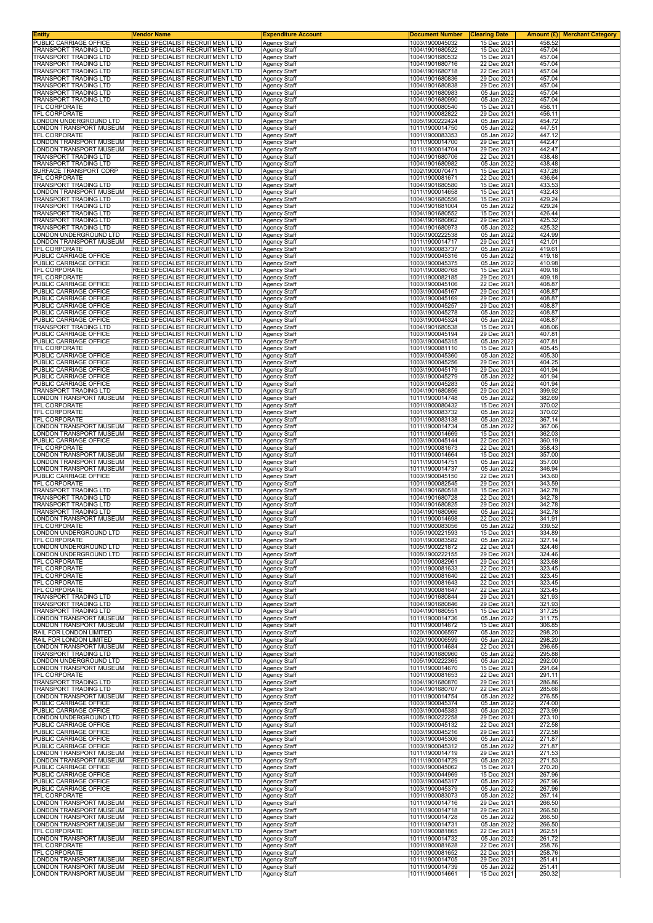| Entity                                                 | Vendor Name                                                        | <b>Expenditure Account</b>                 | <b>Document Number</b>             | <b>Clearing Date</b>       | Amount $(E)$<br><b>Merchant Category</b> |
|--------------------------------------------------------|--------------------------------------------------------------------|--------------------------------------------|------------------------------------|----------------------------|------------------------------------------|
| PUBLIC CARRIAGE OFFICE<br><b>TRANSPORT TRADING LTD</b> | REED SPECIALIST RECRUITMENT LTD<br>REED SPECIALIST RECRUITMENT LTD | Agency Staff<br><b>Agency Staff</b>        | 1003\1900045032<br>1004\1901680522 | 15 Dec 2021<br>15 Dec 2021 | 458.52<br>457.04                         |
| <b>TRANSPORT TRADING LTD</b>                           | REED SPECIALIST RECRUITMENT LTD                                    | Agency Staff                               | 1004\1901680532                    | 15 Dec 2021                | 457.04                                   |
| TRANSPORT TRADING LTD<br><b>FRANSPORT TRADING LTD</b>  | REED SPECIALIST RECRUITMENT LTD<br>REED SPECIALIST RECRUITMENT LTD | <b>Agency Staff</b><br>Agency Staff        | 1004\1901680716<br>1004\1901680718 | 22 Dec 2021<br>22 Dec 2021 | 457.04<br>457.04                         |
| <b>TRANSPORT TRADING LTD</b>                           | REED SPECIALIST RECRUITMENT LTD                                    | Agency Staff                               | 1004\1901680836                    | 29 Dec 2021                | 457.04                                   |
| <b>FRANSPORT TRADING LTD</b>                           | REED SPECIALIST RECRUITMENT LTD                                    | <b>Agency Staff</b>                        | 1004\1901680838                    | 29 Dec 2021                | 457.04                                   |
| TRANSPORT TRADING LTD<br>TRANSPORT TRADING LTD         | REED SPECIALIST RECRUITMENT LTD<br>REED SPECIALIST RECRUITMENT LTD | Agency Staff<br>Agency Staff               | 1004\1901680983<br>1004\1901680990 | 05 Jan 2022<br>05 Jan 2022 | 457.04<br>457.04                         |
| TFL CORPORATE                                          | REED SPECIALIST RECRUITMENT LTD                                    | Agency Staff                               | 1001\1900080540                    | 15 Dec 2021                | 456.11                                   |
| <b>TFL CORPORATE</b><br>ONDON UNDERGROUND LTD          | REED SPECIALIST RECRUITMENT LTD<br>REED SPECIALIST RECRUITMENT LTD | Agency Staff<br><b>Agency Staff</b>        | 1001\1900082822<br>1005\1900222424 | 29 Dec 2021<br>05 Jan 2022 | 456.11<br>454.72                         |
| ONDON TRANSPORT MUSEUM                                 | REED SPECIALIST RECRUITMENT LTD                                    | <b>Agency Staff</b>                        | 1011\1900014750                    | 05 Jan 2022                | 447.51                                   |
| TFL CORPORATE<br>ONDON TRANSPORT MUSEUM                | REED SPECIALIST RECRUITMENT LTD<br>REED SPECIALIST RECRUITMENT LTD | <b>Agency Staff</b><br><b>Agency Staff</b> | 1001\1900083353<br>1011\1900014700 | 05 Jan 2022<br>29 Dec 2021 | 447.12<br>442.47                         |
| ONDON TRANSPORT MUSEUM                                 | REED SPECIALIST RECRUITMENT LTD                                    | Agency Staff                               | 1011\1900014704                    | 29 Dec 2021                | 442.47                                   |
| TRANSPORT TRADING LTD<br><b>FRANSPORT TRADING LTD</b>  | REED SPECIALIST RECRUITMENT LTD<br>REED SPECIALIST RECRUITMENT LTD | <b>Agency Staff</b>                        | 1004\1901680706<br>1004\1901680982 | 22 Dec 2021<br>05 Jan 2022 | 438.48<br>438.48                         |
| SURFACE TRANSPORT CORP                                 | REED SPECIALIST RECRUITMENT LTD                                    | Agency Staff<br><b>Agency Staff</b>        | 1002\1900070471                    | 15 Dec 2021                | 437.26                                   |
| <b>TFL CORPORATE</b>                                   | REED SPECIALIST RECRUITMENT LTD                                    | <b>Agency Staff</b>                        | 1001\1900081671                    | 22 Dec 2021                | 436.64                                   |
| TRANSPORT TRADING LTD<br>ONDON TRANSPORT MUSEUM        | REED SPECIALIST RECRUITMENT LTD<br>REED SPECIALIST RECRUITMENT LTD | <b>Agency Staff</b><br>Agency Staff        | 1004\1901680580<br>1011\1900014658 | 15 Dec 2021<br>15 Dec 2021 | 433.53<br>432.43                         |
| TRANSPORT TRADING LTD                                  | REED SPECIALIST RECRUITMENT LTD                                    | <b>Agency Staff</b>                        | 1004\1901680556                    | 15 Dec 2021                | 429.24                                   |
| TRANSPORT TRADING LTD<br>TRANSPORT TRADING LTD         | REED SPECIALIST RECRUITMENT LTD<br>REED SPECIALIST RECRUITMENT LTD | <b>Agency Staff</b><br><b>Agency Staff</b> | 1004\1901681004<br>1004\1901680552 | 05 Jan 2022<br>15 Dec 2021 | 429.24<br>426.44                         |
| TRANSPORT TRADING LTD                                  | REED SPECIALIST RECRUITMENT LTD                                    | <b>Agency Staff</b>                        | 1004\1901680862                    | 29 Dec 2021                | 425.32                                   |
| TRANSPORT TRADING LTD<br>ONDON UNDERGROUND LTD         | REED SPECIALIST RECRUITMENT LTD<br>REED SPECIALIST RECRUITMENT LTD | <b>Agency Staff</b><br>Agency Staff        | 1004\1901680973<br>1005\1900222538 | 05 Jan 2022<br>05 Jan 2022 | 425.32<br>424.99                         |
| ONDON TRANSPORT MUSEUM                                 | REED SPECIALIST RECRUITMENT LTD                                    | <b>Agency Staff</b>                        | 1011\1900014717                    | 29 Dec 2021                | 421.01                                   |
| <b><i>FEL CORPORATE</i></b>                            | REED SPECIALIST RECRUITMENT LTD<br>REED SPECIALIST RECRUITMENT LTD | <b>Agency Staff</b>                        | 1001\1900083737                    | 05 Jan 2022<br>05 Jan 2022 | 419.61<br>419.18                         |
| PUBLIC CARRIAGE OFFICE<br>PUBLIC CARRIAGE OFFICE       | REED SPECIALIST RECRUITMENT LTD                                    | <b>Agency Staff</b><br><b>Agency Staff</b> | 1003\1900045316<br>1003\1900045375 | 05 Jan 2022                | 410.98                                   |
| TFL CORPORATE                                          | REED SPECIALIST RECRUITMENT LTD                                    | <b>Agency Staff</b>                        | 1001\1900080768                    | 15 Dec 2021                | 409.18                                   |
| TFL CORPORATE<br>PUBLIC CARRIAGE OFFICE                | REED SPECIALIST RECRUITMENT LTD<br>REED SPECIALIST RECRUITMENT LTD | Agency Staff<br>Agency Staff               | 1001\1900082185<br>1003\1900045106 | 29 Dec 2021<br>22 Dec 2021 | 409.18<br>408.87                         |
| PUBLIC CARRIAGE OFFICE                                 | REED SPECIALIST RECRUITMENT LTD                                    | Agency Staff                               | 1003\1900045167                    | 29 Dec 2021                | 408.87                                   |
| PUBLIC CARRIAGE OFFICE<br>PUBLIC CARRIAGE OFFICE       | REED SPECIALIST RECRUITMENT LTD<br>REED SPECIALIST RECRUITMENT LTD | <b>Agency Staff</b><br><b>Agency Staff</b> | 1003\1900045169<br>1003\1900045257 | 29 Dec 2021<br>29 Dec 2021 | 408.87<br>408.87                         |
| PUBLIC CARRIAGE OFFICE                                 | REED SPECIALIST RECRUITMENT LTD                                    | <b>Agency Staff</b>                        | 1003\1900045278                    | 05 Jan 2022                | 408.87                                   |
| PUBLIC CARRIAGE OFFICE                                 | REED SPECIALIST RECRUITMENT LTD                                    | Agency Staff                               | 1003\1900045324                    | 05 Jan 2022                | 408.87                                   |
| TRANSPORT TRADING LTD<br>PUBLIC CARRIAGE OFFICE        | REED SPECIALIST RECRUITMENT LTD<br>REED SPECIALIST RECRUITMENT LTD | Agency Staff<br><b>Agency Staff</b>        | 1004\1901680538<br>1003\1900045194 | 15 Dec 2021<br>29 Dec 2021 | 408.06<br>407.81                         |
| PUBLIC CARRIAGE OFFICE                                 | REED SPECIALIST RECRUITMENT LTD                                    | Agency Staff                               | 1003\1900045315                    | 05 Jan 2022                | 407.81                                   |
| TFL CORPORATE<br>PUBLIC CARRIAGE OFFICE                | REED SPECIALIST RECRUITMENT LTD<br>REED SPECIALIST RECRUITMENT LTD | <b>Agency Staff</b><br><b>Agency Staff</b> | 1001\1900081110<br>1003\1900045360 | 15 Dec 2021<br>05 Jan 2022 | 405.45<br>405.30                         |
| PUBLIC CARRIAGE OFFICE                                 | REED SPECIALIST RECRUITMENT LTD                                    | Agency Staff                               | 1003\1900045256                    | 29 Dec 2021                | 404.25                                   |
| PUBLIC CARRIAGE OFFICE<br>PUBLIC CARRIAGE OFFICE       | REED SPECIALIST RECRUITMENT LTD<br>REED SPECIALIST RECRUITMENT LTD | Agency Staff<br><b>Agency Staff</b>        | 1003\1900045179<br>1003\1900045279 | 29 Dec 2021<br>05 Jan 2022 | 401.94<br>401.94                         |
| PUBLIC CARRIAGE OFFICE                                 | REED SPECIALIST RECRUITMENT LTD                                    | Agency Staff                               | 1003\1900045283                    | 05 Jan 2022                | 401.94                                   |
| <b>FRANSPORT TRADING LTD</b>                           | REED SPECIALIST RECRUITMENT LTD                                    | <b>Agency Staff</b>                        | 1004\1901680856                    | 29 Dec 2021                | 399.92                                   |
| ONDON TRANSPORT MUSEUM<br>TFL CORPORATE                | REED SPECIALIST RECRUITMENT LTD<br>REED SPECIALIST RECRUITMENT LTD | <b>Agency Staff</b><br><b>Agency Staff</b> | 1011\1900014748<br>1001\1900080432 | 05 Jan 2022<br>15 Dec 2021 | 382.69<br>370.02                         |
| TFL CORPORATE                                          | REED SPECIALIST RECRUITMENT LTD                                    | <b>Agency Staff</b>                        | 1001\1900083732                    | 05 Jan 2022                | 370.02                                   |
| TFL CORPORATE<br>ONDON TRANSPORT MUSEUM.               | REED SPECIALIST RECRUITMENT LTD<br>REED SPECIALIST RECRUITMENT LTD | <b>Agency Staff</b><br>Agency Staff        | 1001\1900083138<br>1011\1900014734 | 05 Jan 2022<br>05 Jan 2022 | 367.14<br>367.06                         |
| ONDON TRANSPORT MUSEUM                                 | REED SPECIALIST RECRUITMENT LTD                                    | <b>Agency Staff</b>                        | 1011\1900014669                    | 15 Dec 2021                | 362.03                                   |
| PUBLIC CARRIAGE OFFICE<br>TFL CORPORATE                | REED SPECIALIST RECRUITMENT LTD<br>REED SPECIALIST RECRUITMENT LTD | <b>Agency Staff</b>                        | 1003\1900045144                    | 22 Dec 2021                | 360.19                                   |
| ONDON TRANSPORT MUSEUM                                 | REED SPECIALIST RECRUITMENT LTD                                    | <b>Agency Staff</b><br>Agency Staff        | 1001\1900081673<br>1011\1900014664 | 22 Dec 2021<br>15 Dec 2021 | 358.43<br>357.00                         |
| ONDON TRANSPORT MUSEUM                                 | REED SPECIALIST RECRUITMENT LTD                                    | <b>Agency Staff</b>                        | 1011\1900014751                    | 05 Jan 2022                | 357.00                                   |
| ONDON TRANSPORT MUSEUM<br>PUBLIC CARRIAGE OFFICE       | REED SPECIALIST RECRUITMENT LTD<br>REED SPECIALIST RECRUITMENT LTD | Agency Staff<br><b>Agency Staff</b>        | 1011\1900014737<br>1003\1900045150 | 05 Jan 2022<br>22 Dec 2021 | 346.94<br>343.60                         |
| TFL CORPORATE                                          | REED SPECIALIST RECRUITMENT LTD                                    | <b>Agency Staff</b>                        | 1001\1900082545                    | 29 Dec 2021                | 343.59                                   |
| TRANSPORT TRADING LTD<br>TRANSPORT TRADING LTD         | REED SPECIALIST RECRUITMENT LTD<br>REED SPECIALIST RECRUITMENT LTD | <b>Agency Staff</b><br>Agency Staff        | 1004\1901680518<br>1004\1901680728 | 15 Dec 2021<br>22 Dec 2021 | 342.78<br>342.78                         |
| TRANSPORT TRADING LTD                                  | REED SPECIALIST RECRUITMENT LTD                                    | Agency Staff                               | 1004\1901680825                    | 29 Dec 2021                | 342.78                                   |
| TRANSPORT TRADING LTD<br>ONDON TRANSPORT MUSEUM        | REED SPECIALIST RECRUITMENT LTD<br>REED SPECIALIST RECRUITMENT LTD | Agency Staff<br><b>Agency Staff</b>        | 1004\1901680966<br>1011\1900014698 | 05 Jan 2022<br>22 Dec 2021 | 342.78<br>341.91                         |
| IFL CORPORATE                                          | REED SPECIALIST RECRUITMENT LTD                                    | Agency Staff                               | 1001\1900083056                    | 05 Jan 2022                | 339.52                                   |
| ONDON UNDERGROUND LTD<br>TFL CORPORATE                 | REED SPECIALIST RECRUITMENT LTD<br>REED SPECIALIST RECRUITMENT LTD | <b>Agency Staff</b>                        | 1005\1900221593<br>1001\1900083582 | 15 Dec 2021<br>05 Jan 2022 | 334.89<br>327.14                         |
| LONDON UNDERGROUND LTD                                 | REED SPECIALIST RECRUITMENT LTD                                    | <b>Agency Staff</b><br>Agency Staff        | 1005\1900221872                    | 22 Dec 2021                | 324.46                                   |
| LONDON UNDERGROUND LTD                                 | REED SPECIALIST RECRUITMENT LTD                                    | Agency Staff                               | 1005\1900222155                    | 29 Dec 2021                | 324.46                                   |
| TFL CORPORATE<br>TFL CORPORATE                         | REED SPECIALIST RECRUITMENT LTD<br>REED SPECIALIST RECRUITMENT LTD | <b>Agency Staff</b><br><b>Agency Staff</b> | 1001\1900082961<br>1001\1900081633 | 29 Dec 2021<br>22 Dec 2021 | 323.68<br>323.45                         |
| TFL CORPORATE                                          | REED SPECIALIST RECRUITMENT LTD                                    | <b>Agency Staff</b>                        | 1001\1900081640                    | 22 Dec 2021                | 323.45                                   |
| TFL CORPORATE<br>TFL CORPORATE                         | REED SPECIALIST RECRUITMENT LTD<br>REED SPECIALIST RECRUITMENT LTD | <b>Agency Staff</b><br><b>Agency Staff</b> | 1001\1900081643<br>1001\1900081647 | 22 Dec 2021<br>22 Dec 2021 | 323.45<br>323.45                         |
| TRANSPORT TRADING LTD                                  | REED SPECIALIST RECRUITMENT LTD                                    | <b>Agency Staff</b>                        | 1004\1901680844                    | 29 Dec 2021                | 321.93                                   |
| TRANSPORT TRADING LTD<br>TRANSPORT TRADING LTD         | REED SPECIALIST RECRUITMENT LTD<br>REED SPECIALIST RECRUITMENT LTD | Agency Staff<br><b>Agency Staff</b>        | 1004\1901680846<br>1004\1901680551 | 29 Dec 2021<br>15 Dec 2021 | 321.93<br>317.25                         |
| ONDON TRANSPORT MUSEUM                                 | REED SPECIALIST RECRUITMENT LTD                                    | <b>Agency Staff</b>                        | 1011\1900014736                    | 05 Jan 2022                | 311.75                                   |
| ONDON TRANSPORT MUSEUM<br>RAIL FOR LONDON LIMITED      | REED SPECIALIST RECRUITMENT LTD<br>REED SPECIALIST RECRUITMENT LTD | <b>Agency Staff</b>                        | 1011\1900014672<br>1020\1900006597 | 15 Dec 2021<br>05 Jan 2022 | 306.85<br>298.20                         |
| RAIL FOR LONDON LIMITED                                | REED SPECIALIST RECRUITMENT LTD                                    | Agency Staff<br><b>Agency Staff</b>        | 1020\1900006599                    | 05 Jan 2022                | 298.20                                   |
| ONDON TRANSPORT MUSEUM                                 | REED SPECIALIST RECRUITMENT LTD                                    | Agency Staff                               | 1011\1900014684                    | 22 Dec 2021                | 296.65                                   |
| TRANSPORT TRADING LTD<br>ONDON UNDERGROUND LTD         | REED SPECIALIST RECRUITMENT LTD<br>REED SPECIALIST RECRUITMENT LTD | <b>Agency Staff</b><br><b>Agency Staff</b> | 1004\1901680960<br>1005\1900222365 | 05 Jan 2022<br>05 Jan 2022 | 295.88<br>292.00                         |
| ONDON TRANSPORT MUSEUM                                 | REED SPECIALIST RECRUITMENT LTD                                    | <b>Agency Staff</b>                        | 1011\1900014670                    | 15 Dec 2021                | 291.64                                   |
| TFL CORPORATE<br>TRANSPORT TRADING LTD                 | REED SPECIALIST RECRUITMENT LTD<br>REED SPECIALIST RECRUITMENT LTD | Agency Staff<br><b>Agency Staff</b>        | 1001\1900081653<br>1004\1901680870 | 22 Dec 2021<br>29 Dec 2021 | 291.11<br>286.86                         |
| TRANSPORT TRADING LTD                                  | REED SPECIALIST RECRUITMENT LTD                                    | Agency Staff                               | 1004\1901680707                    | 22 Dec 2021                | 285.66                                   |
| ONDON TRANSPORT MUSEUM<br>PUBLIC CARRIAGE OFFICE       | REED SPECIALIST RECRUITMENT LTD<br>REED SPECIALIST RECRUITMENT LTD | <b>Agency Staff</b><br><b>Agency Staff</b> | 1011\1900014754<br>1003\1900045374 | 05 Jan 2022<br>05 Jan 2022 | 276.55<br>274.00                         |
| PUBLIC CARRIAGE OFFICE                                 | REED SPECIALIST RECRUITMENT LTD                                    | <b>Agency Staff</b>                        | 1003\1900045383                    | 05 Jan 2022                | 273.99                                   |
| ONDON UNDERGROUND LTD<br>PUBLIC CARRIAGE OFFICE        | REED SPECIALIST RECRUITMENT LTD<br>REED SPECIALIST RECRUITMENT LTD | Agency Staff<br>Agency Staff               | 1005\1900222258<br>1003\1900045132 | 29 Dec 2021<br>22 Dec 2021 | 273.10<br>272.58                         |
| PUBLIC CARRIAGE OFFICE                                 | REED SPECIALIST RECRUITMENT LTD                                    | Agency Staff                               | 1003\1900045216                    | 29 Dec 2021                | 272.58                                   |
| PUBLIC CARRIAGE OFFICE                                 | REED SPECIALIST RECRUITMENT LTD                                    | Agency Staff                               | 1003\1900045306                    | 05 Jan 2022                | 271.87                                   |
| PUBLIC CARRIAGE OFFICE<br>ONDON TRANSPORT MUSEUM       | REED SPECIALIST RECRUITMENT LTD<br>REED SPECIALIST RECRUITMENT LTD | <b>Agency Staff</b><br><b>Agency Staff</b> | 1003\1900045312<br>1011\1900014719 | 05 Jan 2022<br>29 Dec 2021 | 271.87<br>271.53                         |
| ONDON TRANSPORT MUSEUM                                 | REED SPECIALIST RECRUITMENT LTD                                    | Agency Staff                               | 1011\1900014729                    | 05 Jan 2022                | 271.53                                   |
| PUBLIC CARRIAGE OFFICE<br>PUBLIC CARRIAGE OFFICE       | REED SPECIALIST RECRUITMENT LTD<br>REED SPECIALIST RECRUITMENT LTD | <b>Agency Staff</b><br><b>Agency Staff</b> | 1003\1900045062<br>1003\1900044969 | 15 Dec 2021<br>15 Dec 2021 | 270.20<br>267.96                         |
| PUBLIC CARRIAGE OFFICE                                 | REED SPECIALIST RECRUITMENT LTD                                    | Agency Staff                               | 1003\1900045317                    | 05 Jan 2022                | 267.96                                   |
| PUBLIC CARRIAGE OFFICE<br>TFL CORPORATE                | REED SPECIALIST RECRUITMENT LTD<br>REED SPECIALIST RECRUITMENT LTD | <b>Agency Staff</b><br><b>Agency Staff</b> | 1003\1900045379<br>1001\1900083073 | 05 Jan 2022<br>05 Jan 2022 | 267.96<br>267.14                         |
| ONDON TRANSPORT MUSEUM                                 | REED SPECIALIST RECRUITMENT LTD                                    | <b>Agency Staff</b>                        | 1011\1900014716                    | 29 Dec 2021                | 266.50                                   |
| ONDON TRANSPORT MUSEUM                                 | REED SPECIALIST RECRUITMENT LTD                                    | Agency Staff                               | 1011\1900014718                    | 29 Dec 2021                | 266.50                                   |
| ONDON TRANSPORT MUSEUM<br>ONDON TRANSPORT MUSEUM       | REED SPECIALIST RECRUITMENT LTD<br>REED SPECIALIST RECRUITMENT LTD | <b>Agency Staff</b><br>Agency Staff        | 1011\1900014728<br>1011\1900014731 | 05 Jan 2022<br>05 Jan 2022 | 266.50<br>266.50                         |
| TFL CORPORATE                                          | REED SPECIALIST RECRUITMENT LTD                                    | Agency Staff                               | 1001\1900081865                    | 22 Dec 2021                | 262.51                                   |
| LONDON TRANSPORT MUSEUM<br>TFL CORPORATE               | REED SPECIALIST RECRUITMENT LTD<br>REED SPECIALIST RECRUITMENT LTD | <b>Agency Staff</b><br><b>Agency Staff</b> | 1011\1900014732<br>1001\1900081628 | 05 Jan 2022<br>22 Dec 2021 | 261.72<br>258.76                         |
| TFL CORPORATE                                          | REED SPECIALIST RECRUITMENT LTD                                    | <b>Agency Staff</b>                        | 1001\1900081652                    | 22 Dec 2021                | 258.76                                   |
| ONDON TRANSPORT MUSEUM<br>ONDON TRANSPORT MUSEUM       | REED SPECIALIST RECRUITMENT LTD<br>REED SPECIALIST RECRUITMENT LTD | Agency Staff<br>Agency Staff               | 1011\1900014705<br>1011\1900014739 | 29 Dec 2021<br>05 Jan 2022 | 251.41<br>251.41                         |
| LONDON TRANSPORT MUSEUM                                | REED SPECIALIST RECRUITMENT LTD                                    | Agency Staff                               | 1011\1900014661                    | 15 Dec 2021                | 250.32                                   |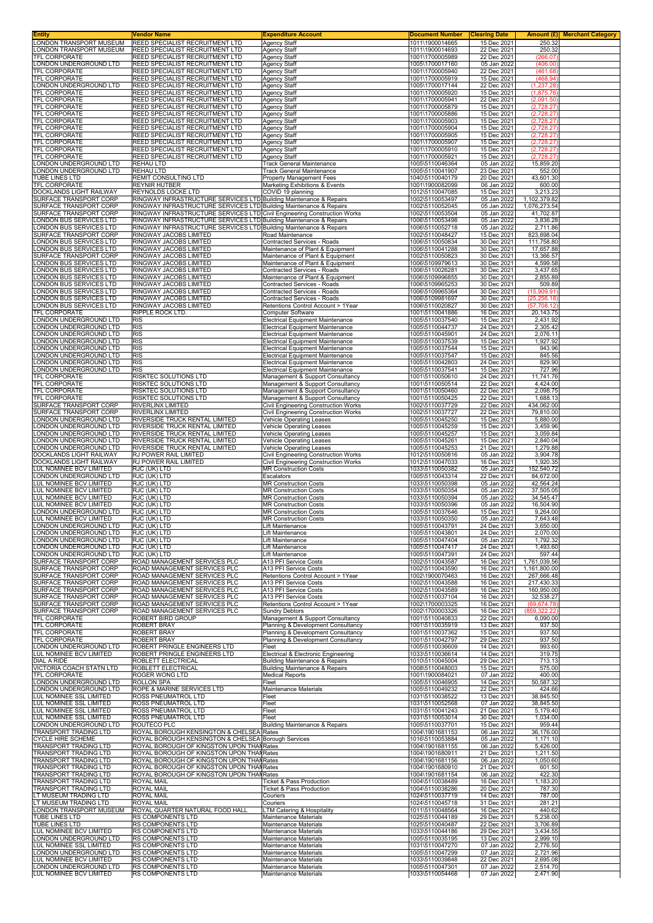| <b>Entity</b>                                            | Vendor Name                                                                                                                                    | <b>Expenditure Account</b>                                                             | <b>Document Number</b>             | <b>Clearing Date</b>       |                               | Amount (£) Merchant Category |
|----------------------------------------------------------|------------------------------------------------------------------------------------------------------------------------------------------------|----------------------------------------------------------------------------------------|------------------------------------|----------------------------|-------------------------------|------------------------------|
| LONDON TRANSPORT MUSEUM<br>LONDON TRANSPORT MUSEUM       | <b>REED SPECIALIST RECRUITMENT LTD</b>                                                                                                         | <b>Agency Staff</b>                                                                    | 1011\1900014665<br>1011\1900014693 | 15 Dec 2021                | 250.32                        |                              |
| TFL CORPORATE                                            | <b>REED SPECIALIST RECRUITMENT LTD</b><br>REED SPECIALIST RECRUITMENT LTD                                                                      | <b>Agency Staff</b><br>Agency Staff                                                    | 1001\1700005989                    | 22 Dec 2021<br>22 Dec 2021 | 250.32<br>(266.07)            |                              |
| <b>LONDON UNDERGROUND LTD</b>                            | <b>REED SPECIALIST RECRUITMENT LTD</b>                                                                                                         | <b>Agency Staff</b>                                                                    | 1005\1700017160                    | 05 Jan 2022                | (406.00)                      |                              |
| <b>TFL CORPORATE</b>                                     | <b>REED SPECIALIST RECRUITMENT LTD</b>                                                                                                         | <b>Agency Staff</b>                                                                    | 1001\1700005940                    | 22 Dec 2021                | (461.68)                      |                              |
| TFL CORPORATE<br>LONDON UNDERGROUND LTD                  | REED SPECIALIST RECRUITMENT LTD<br>REED SPECIALIST RECRUITMENT LTD                                                                             | Agency Staff<br><b>Agency Staff</b>                                                    | 1001\1700005919<br>1005\1700017144 | 15 Dec 2021<br>22 Dec 2021 | (468.94)<br>(1, 237.28)       |                              |
| TFL CORPORATE                                            | REED SPECIALIST RECRUITMENT LTD                                                                                                                | <b>Agency Staff</b>                                                                    | 1001\1700005920                    | 15 Dec 2021                | (1,875.76)                    |                              |
| TFL CORPORATE                                            | REED SPECIALIST RECRUITMENT LTD                                                                                                                | Agency Staff                                                                           | 1001\1700005941                    | 22 Dec 2021                | (2,091.50)                    |                              |
| TFL CORPORATE                                            | REED SPECIALIST RECRUITMENT LTD                                                                                                                | Agency Staff                                                                           | 1001\1700005879                    | 15 Dec 2021                | (2,728.27)                    |                              |
| TFL CORPORATE<br>TFL CORPORATE                           | REED SPECIALIST RECRUITMENT LTD<br>REED SPECIALIST RECRUITMENT LTD                                                                             | Agency Staff<br>Agency Staff                                                           | 1001\1700005886<br>1001\1700005903 | 15 Dec 2021<br>15 Dec 2021 | (2,728.27)<br>(2,728.27)      |                              |
| TFL CORPORATE                                            | REED SPECIALIST RECRUITMENT LTD                                                                                                                | Agency Staff                                                                           | 1001\1700005904                    | 15 Dec 2021                | (2,728.27)                    |                              |
| TFL CORPORATE                                            | REED SPECIALIST RECRUITMENT LTD                                                                                                                | <b>Agency Staff</b>                                                                    | 1001\1700005905                    | 15 Dec 2021                | (2,728.27)                    |                              |
| <b>TFL CORPORATE</b>                                     | REED SPECIALIST RECRUITMENT LTD                                                                                                                | Agency Staff                                                                           | 1001\1700005907                    | 15 Dec 2021                | (2,728.27)                    |                              |
| TFL CORPORATE<br><b>TFL CORPORATE</b>                    | REED SPECIALIST RECRUITMENT LTD<br>REED SPECIALIST RECRUITMENT LTD                                                                             | Agency Staff<br><b>Agency Staff</b>                                                    | 1001\1700005910<br>1001\1700005921 | 15 Dec 2021<br>15 Dec 2021 | (2,728.27)<br>(2,728.27)      |                              |
| LONDON UNDERGROUND LTD                                   | <b>REHAU LTD</b>                                                                                                                               | Track General Maintenance                                                              | 1005\5110046364                    | 05 Jan 2022                | 15,859.20                     |                              |
| LONDON UNDERGROUND LTD                                   | <b>REHAU LTD</b>                                                                                                                               | Track General Maintenance                                                              | 1005\5110041907                    | 23 Dec 2021                | 552.00                        |                              |
| TUBE LINES LTD<br>TFL CORPORATE                          | REMIT CONSULTING LTD                                                                                                                           | <b>Property Management Fees</b>                                                        | 1040\5110040179                    | 20 Dec 2021                | 43,601.30                     |                              |
| DOCKLANDS LIGHT RAILWAY                                  | <b>REYNIR HUTBER</b><br><b>REYNOLDS LOCKE LTD</b>                                                                                              | Marketing Exhibitions & Events<br>COVID 19 planning                                    | 1001\1900082099<br>1012\5110047085 | 06 Jan 2022<br>15 Dec 2021 | 600.00<br>3,213.23            |                              |
| SURFACE TRANSPORT CORP                                   | RINGWAY INFRASTRUCTURE SERVICES LTD Building Maintenance & Repairs                                                                             |                                                                                        | 1002\5110053497                    | 05 Jan 2022                | 1,102,379.82                  |                              |
| SURFACE TRANSPORT CORP                                   | RINGWAY INFRASTRUCTURE SERVICES LTD Building Maintenance & Repairs                                                                             |                                                                                        | 1002\5110052045                    | 05 Jan 2022                | 1,076,273.54                  |                              |
| SURFACE TRANSPORT CORP<br><b>LONDON BUS SERVICES LTD</b> | RINGWAY INFRASTRUCTURE SERVICES LTD Civil Engineering Construction Works<br>RINGWAY INFRASTRUCTURE SERVICES LTD Building Maintenance & Repairs |                                                                                        | 1002\5110053504<br>1006\5110053498 | 05 Jan 2022<br>05 Jan 2022 | 41,702.87<br>3,836.28         |                              |
| LONDON BUS SERVICES LTD                                  | RINGWAY INFRASTRUCTURE SERVICES LTD Building Maintenance & Repairs                                                                             |                                                                                        | 1006\5110052718                    | 05 Jan 2022                | 2,711.86                      |                              |
| SURFACE TRANSPORT CORP                                   | RINGWAY JACOBS LIMITED                                                                                                                         | Road Maintenance                                                                       | 1002\5110048427                    | 15 Dec 2021                | 823,698.04                    |                              |
| <b>LONDON BUS SERVICES LTD</b>                           | RINGWAY JACOBS LIMITED                                                                                                                         | Contracted Services - Roads                                                            | 1006\5110050834                    | 30 Dec 2021                | 111,758.80                    |                              |
| <b>LONDON BUS SERVICES LTD</b><br>SURFACE TRANSPORT CORP | RINGWAY JACOBS LIMITED<br>RINGWAY JACOBS LIMITED                                                                                               | Maintenance of Plant & Equipment<br>Maintenance of Plant & Equipment                   | 1006\5110041288<br>1002\5110050823 | 30 Dec 2021<br>30 Dec 2021 | 17,657.88<br>13,366.57        |                              |
| LONDON BUS SERVICES LTD                                  | RINGWAY JACOBS LIMITED                                                                                                                         | Maintenance of Plant & Equipment                                                       | 1006\5109979613                    | 30 Dec 2021                | 4,599.58                      |                              |
| LONDON BUS SERVICES LTD                                  | RINGWAY JACOBS LIMITED                                                                                                                         | Contracted Services - Roads                                                            | 1006\5110026281                    | 30 Dec 2021                | 3,437.65                      |                              |
| LONDON BUS SERVICES LTD<br>LONDON BUS SERVICES LTD       | RINGWAY JACOBS LIMITED<br>RINGWAY JACOBS LIMITED                                                                                               | Maintenance of Plant & Equipment<br>Contracted Services - Roads                        | 1006\5109996855<br>1006\5109965253 | 30 Dec 2021<br>30 Dec 2021 | 2,855.89<br>509.89            |                              |
| LONDON BUS SERVICES LTD                                  | RINGWAY JACOBS LIMITED                                                                                                                         | Contracted Services - Roads                                                            | 1006\5109965364                    | 30 Dec 2021                | (15,909.91)                   |                              |
| LONDON BUS SERVICES LTD                                  | RINGWAY JACOBS LIMITED                                                                                                                         | Contracted Services - Roads                                                            | 1006\5109981697                    | 30 Dec 2021                | (25, 256.18)                  |                              |
| LONDON BUS SERVICES LTD                                  | RINGWAY JACOBS LIMITED                                                                                                                         | Retentions Control Account > 1Year                                                     | 1006\5110020827                    | 30 Dec 2021                | (57, 708.12)                  |                              |
| <b>TFL CORPORATE</b><br>LONDON UNDERGROUND LTD           | <b>RIPPLE ROCK LTD.</b><br><b>RIS</b>                                                                                                          | Computer Software<br>Electrical Equipment Maintenance                                  | 1001\5110041886<br>1005\5110037540 | 16 Dec 2021<br>15 Dec 2021 | 20,143.75<br>2,431.92         |                              |
| LONDON UNDERGROUND LTD                                   | <b>RIS</b>                                                                                                                                     | Electrical Equipment Maintenance                                                       | 1005\5110044737                    | 24 Dec 2021                | 2,305.42                      |                              |
| LONDON UNDERGROUND LTD                                   | <b>RIS</b>                                                                                                                                     | <b>Electrical Equipment Maintenance</b>                                                | 1005\5110045901                    | 24 Dec 2021                | 2,076.11                      |                              |
| LONDON UNDERGROUND LTD<br>LONDON UNDERGROUND LTD         | <b>RIS</b><br><b>RIS</b>                                                                                                                       | <b>Electrical Equipment Maintenance</b><br><b>Electrical Equipment Maintenance</b>     | 1005\5110037539<br>1005\5110037544 | 15 Dec 2021<br>15 Dec 2021 | 1,927.92<br>943.96            |                              |
| LONDON UNDERGROUND LTD                                   | <b>RIS</b>                                                                                                                                     | <b>Electrical Equipment Maintenance</b>                                                | 1005\5110037547                    | 15 Dec 2021                | 845.56                        |                              |
| LONDON UNDERGROUND LTD                                   | <b>RIS</b>                                                                                                                                     | Electrical Equipment Maintenance                                                       | 1005\5110042803                    | 24 Dec 2021                | 829.90                        |                              |
| LONDON UNDERGROUND LTD<br>TFL CORPORATE                  | <b>RIS</b><br><b>RISKTEC SOLUTIONS LTD</b>                                                                                                     | Electrical Equipment Maintenance<br>Management & Support Consultancy                   | 1005\5110037541<br>1001\5110050610 | 15 Dec 2021<br>24 Dec 2021 | 727.96<br>11,741.76           |                              |
| TFL CORPORATE                                            | <b>RISKTEC SOLUTIONS LTD</b>                                                                                                                   | Management & Support Consultancy                                                       | 1001\5110050514                    | 22 Dec 2021                | 4,424.00                      |                              |
| TFL CORPORATE                                            | RISKTEC SOLUTIONS LTD                                                                                                                          | Management & Support Consultancy                                                       | 1001\5110050460                    | 22 Dec 2021                | 2,098.75                      |                              |
| TFL CORPORATE<br>SURFACE TRANSPORT CORP                  | <b>RISKTEC SOLUTIONS LTD</b><br><b>RIVERLINX LIMITED</b>                                                                                       | Management & Support Consultancy<br>Civil Engineering Construction Works               | 1001\5110050425<br>1002\5110037729 | 22 Dec 2021<br>22 Dec 2021 | 1,688.13<br>434,062.00        |                              |
| SURFACE TRANSPORT CORP                                   | <b>RIVERLINX LIMITED</b>                                                                                                                       | Civil Engineering Construction Works                                                   | 1002\5110037727                    | 22 Dec 2021                | 79,810.00                     |                              |
| LONDON UNDERGROUND LTD                                   | <b>RIVERSIDE TRUCK RENTAL LIMITED</b>                                                                                                          | <b>Vehicle Operating Leases</b>                                                        | 1005\5110045250                    | 15 Dec 2021                | 5,880.00                      |                              |
| LONDON UNDERGROUND LTD<br>LONDON UNDERGROUND LTD         | <b>RIVERSIDE TRUCK RENTAL LIMITED</b><br>RIVERSIDE TRUCK RENTAL LIMITED                                                                        | Vehicle Operating Leases<br>Vehicle Operating Leases                                   | 1005\5110045259<br>1005\5110045257 | 15 Dec 2021<br>15 Dec 2021 | 3,459.96<br>3,059.84          |                              |
| LONDON UNDERGROUND LTD                                   | RIVERSIDE TRUCK RENTAL LIMITED                                                                                                                 | Vehicle Operating Leases                                                               | 1005\5110045261                    | 15 Dec 2021                | 2,840.04                      |                              |
| LONDON UNDERGROUND LTD                                   | <b>RIVERSIDE TRUCK RENTAL LIMITED</b>                                                                                                          | Vehicle Operating Leases                                                               | 1005\5110045253                    | 21 Dec 2021                | 1,279.88                      |                              |
| DOCKLANDS LIGHT RAILWAY<br>DOCKLANDS LIGHT RAILWAY       | RJ POWER RAIL LIMITED<br>RJ POWER RAIL LIMITED                                                                                                 | Civil Engineering Construction Works<br>Civil Engineering Construction Works           | 1012\5110050816<br>1012\5110047033 | 05 Jan 2022<br>16 Dec 2021 | 3,904.78<br>1,920.35          |                              |
| LUL NOMINEE BCV LIMITED                                  | RJC (UK) LTD                                                                                                                                   | <b>MR Construction Costs</b>                                                           | 1033\5110050382                    | 05 Jan 2022                | 152,540.72                    |                              |
| LONDON UNDERGROUND LTD                                   | RJC (UK) LTD                                                                                                                                   | Escalators                                                                             | 1005\5110043314                    | 22 Dec 2021                | 84,672.00                     |                              |
| LUL NOMINEE BCV LIMITED<br>LUL NOMINEE BCV LIMITED       | RJC (UK) LTD<br>RJC (UK) LTD                                                                                                                   | <b>MR Construction Costs</b><br><b>MR Construction Costs</b>                           | 1033\5110050398<br>1033\5110050354 | 05 Jan 2022<br>05 Jan 2022 | 42,564.24<br>37,505.05        |                              |
| LUL NOMINEE BCV LIMITED                                  | RJC (UK) LTD                                                                                                                                   | <b>MR Construction Costs</b>                                                           | 1033\5110050394                    | 05 Jan 2022                | 34,545.47                     |                              |
| LUL NOMINEE BCV LIMITED                                  | RJC (UK) LTD                                                                                                                                   | <b>MR Construction Costs</b>                                                           | 1033\5110050396                    | 05 Jan 2022                | 16,504.90                     |                              |
| LONDON UNDERGROUND LTD<br>LUL NOMINEE BCV LIMITED        | RJC (UK) LTD<br>RJC (UK) LTD                                                                                                                   | <b>MR Construction Costs</b><br><b>MR Construction Costs</b>                           | 1005\5110037646<br>1033\5110050350 | 15 Dec 2021<br>05 Jan 2022 | 9,264.00<br>7,643.48          |                              |
| LONDON UNDERGROUND LTD                                   | RJC (UK) LTD                                                                                                                                   | Lift Maintenance                                                                       | 1005\5110043791                    | 24 Dec 2021                | 3,650.00                      |                              |
| LONDON UNDERGROUND LTD                                   | RJC (UK) LTD                                                                                                                                   | Lift Maintenance                                                                       | 1005\5110043801                    | 24 Dec 2021                | 2,070.00                      |                              |
| LONDON UNDERGROUND LTD<br>LONDON UNDERGROUND LTD         | RJC (UK) LTD<br>RJC (UK) LTD                                                                                                                   | Lift Maintenance<br>Lift Maintenance                                                   | 1005\5110047404<br>1005\5110047417 | 05 Jan 2022<br>24 Dec 2021 | 1,792.32<br>1,493.60          |                              |
| LONDON UNDERGROUND LTD                                   | RJC (UK) LTD                                                                                                                                   | Lift Maintenance                                                                       | 1005\5110047391                    | 24 Dec 2021                | 597.44                        |                              |
| SURFACE TRANSPORT CORP                                   | ROAD MANAGEMENT SERVICES PLC                                                                                                                   | A13 PFI Service Costs                                                                  | 1002\5110043587                    | 16 Dec 2021                | 1,761,039.56                  |                              |
| SURFACE TRANSPORT CORP                                   | ROAD MANAGEMENT SERVICES PLC                                                                                                                   | A13 PFI Service Costs                                                                  | 1002\5110043590                    | 16 Dec 2021                | 1,161,800.00                  |                              |
| SURFACE TRANSPORT CORP<br>SURFACE TRANSPORT CORP         | ROAD MANAGEMENT SERVICES PLC<br>ROAD MANAGEMENT SERVICES PLC                                                                                   | Retentions Control Account > 1Year<br>A13 PFI Service Costs                            | 1002\1900070463<br>1002\5110043588 | 16 Dec 2021<br>16 Dec 2021 | 267,666.48<br>217,430.33      |                              |
| SURFACE TRANSPORT CORP                                   | ROAD MANAGEMENT SERVICES PLC                                                                                                                   | A13 PFI Service Costs                                                                  | 1002\5110043589                    | 16 Dec 2021                | 160,950.00                    |                              |
| SURFACE TRANSPORT CORP                                   | ROAD MANAGEMENT SERVICES PLC                                                                                                                   | A13 PFI Service Costs                                                                  | 1002\5110037104                    | 16 Dec 2021                | 32,538.27                     |                              |
| SURFACE TRANSPORT CORP<br>SURFACE TRANSPORT CORP         | ROAD MANAGEMENT SERVICES PLC<br>ROAD MANAGEMENT SERVICES PLC                                                                                   | Retentions Control Account > 1Year<br><b>Sundry Debtors</b>                            | 1002\1700003325<br>1002\1700003326 | 16 Dec 2021<br>16 Dec 2021 | (69, 674.78)<br>(859, 322. 22 |                              |
| TFL CORPORATE                                            | <b>ROBERT BIRD GROUP</b>                                                                                                                       | Management & Support Consultancy                                                       | 1001\5110040833                    | 22 Dec 2021                | 6,090.00                      |                              |
| TFL CORPORATE                                            | <b>ROBERT BRAY</b>                                                                                                                             | Planning & Development Consultancy                                                     | 1001\5110035919                    | 13 Dec 2021                | 937.50                        |                              |
| TFL CORPORATE<br><b>TFL CORPORATE</b>                    | <b>ROBERT BRAY</b><br><b>ROBERT BRAY</b>                                                                                                       | Planning & Development Consultancy<br>Planning & Development Consultancy               | 1001\5110037362<br>1001\5110042797 | 15 Dec 2021<br>29 Dec 2021 | 937.50<br>937.50              |                              |
| LONDON UNDERGROUND LTD                                   | ROBERT PRINGLE ENGINEERS LTD                                                                                                                   | Fleet                                                                                  | 1005\5110036609                    | 14 Dec 2021                | 993.60                        |                              |
| LUL NOMINEE BCV LIMITED                                  | ROBERT PRINGLE ENGINEERS LTD                                                                                                                   | Electrical & Electronic Engineering                                                    | 1033\5110036614                    | 14 Dec 2021                | 319.75                        |                              |
| DIAL A RIDE<br>VICTORIA COACH STATN LTD                  | ROBLETT ELECTRICAL<br>ROBLETT ELECTRICAL                                                                                                       | <b>Building Maintenance &amp; Repairs</b><br><b>Building Maintenance &amp; Repairs</b> | 1010\5110045004<br>1008\5110048003 | 29 Dec 2021<br>15 Dec 2021 | 713.13<br>575.00              |                              |
| TFL CORPORATE                                            | <b>ROGER WONG LTD</b>                                                                                                                          | <b>Medical Reports</b>                                                                 | 1001\1900084021                    | 07 Jan 2022                | 400.00                        |                              |
| LONDON UNDERGROUND LTD                                   | <b>ROLLON SPA</b>                                                                                                                              | Fleet                                                                                  | 1005\5110046905                    | 14 Dec 2021                | 50,587.32                     |                              |
| LONDON UNDERGROUND LTD<br>LUL NOMINEE SSL LIMITED        | ROPE & MARINE SERVICES LTD<br>ROSS PNEUMATROL LTD                                                                                              | Maintenance Materials<br>Fleet                                                         | 1005\5110049232<br>1031\5110038522 | 22 Dec 2021<br>13 Dec 2021 | 424.66<br>38,845.50           |                              |
| LUL NOMINEE SSL LIMITED                                  | ROSS PNEUMATROL LTD                                                                                                                            | Fleet                                                                                  | 1031\5110052568                    | 07 Jan 2022                | 38,845.50                     |                              |
| LUL NOMINEE SSL LIMITED                                  | <b>ROSS PNEUMATROL LTD</b>                                                                                                                     | Fleet                                                                                  | 1031\5110041243                    | 21 Dec 2021                | 5,179.40                      |                              |
| LUL NOMINEE SSL LIMITED<br>LONDON UNDERGROUND LTD        | ROSS PNEUMATROL LTD<br>ROUTECO PLC                                                                                                             | Fleet<br><b>Building Maintenance &amp; Repairs</b>                                     | 1031\5110053014<br>1005\5110037701 | 30 Dec 2021<br>15 Dec 2021 | 1,034.00<br>959.44            |                              |
| TRANSPORT TRADING LTD                                    | ROYAL BOROUGH KENSINGTON & CHELSEA Rates                                                                                                       |                                                                                        | 1004\1901681153                    | 06 Jan 2022                | 36,176.00                     |                              |
| <b>CYCLE HIRE SCHEME</b>                                 | ROYAL BOROUGH KENSINGTON & CHELSEA Borough Services                                                                                            |                                                                                        | 1016\5110053884                    | 05 Jan 2022                | 1,171.10                      |                              |
| TRANSPORT TRADING LTD<br>TRANSPORT TRADING LTD           | ROYAL BOROUGH OF KINGSTON UPON THAN Rates<br>ROYAL BOROUGH OF KINGSTON UPON THAN Rates                                                         |                                                                                        | 1004\1901681155<br>1004\1901680911 | 06 Jan 2022<br>21 Dec 2021 | 5,426.00<br>1,211.50          |                              |
| TRANSPORT TRADING LTD                                    | ROYAL BOROUGH OF KINGSTON UPON THAN Rates                                                                                                      |                                                                                        | 1004\1901681156                    | 06 Jan 2022                | 1,050.60                      |                              |
| TRANSPORT TRADING LTD                                    | ROYAL BOROUGH OF KINGSTON UPON THAI Rates                                                                                                      |                                                                                        | 1004\1901680910                    | 21 Dec 2021                | 601.50                        |                              |
| TRANSPORT TRADING LTD<br>TRANSPORT TRADING LTD           | ROYAL BOROUGH OF KINGSTON UPON THAI Rates<br><b>ROYAL MAIL</b>                                                                                 | <b>Ticket &amp; Pass Production</b>                                                    | 1004\1901681154<br>1004\5110038489 | 06 Jan 2022<br>16 Dec 2021 | 422.30<br>1,183.20            |                              |
| TRANSPORT TRADING LTD                                    | <b>ROYAL MAIL</b>                                                                                                                              | Ticket & Pass Production                                                               | 1004\5110038286                    | 20 Dec 2021                | 787.30                        |                              |
| LT MUSEUM TRADING LTD                                    | <b>ROYAL MAIL</b>                                                                                                                              | Couriers                                                                               | 1024\5110037719                    | 14 Dec 2021                | 787.00                        |                              |
| LT MUSEUM TRADING LTD<br>LONDON TRANSPORT MUSEUM         | <b>ROYAL MAIL</b><br>ROYAL QUARTER NATURAL FOOD HALL                                                                                           | Couriers<br>LTM Catering & Hospitality                                                 | 1024\5110045718<br>1011\5110048564 | 31 Dec 2021<br>16 Dec 2021 | 281.21<br>440.62              |                              |
| TUBE LINES LTD                                           | <b>RS COMPONENTS LTD</b>                                                                                                                       | Maintenance Materials                                                                  | 1025\5110044189                    | 29 Dec 2021                | 5,238.00                      |                              |
| TUBE LINES LTD                                           | <b>RS COMPONENTS LTD</b>                                                                                                                       | <b>Maintenance Materials</b>                                                           | 1025\5110040487                    | 22 Dec 2021                | 3,706.89                      |                              |
| LUL NOMINEE BCV LIMITED<br>LONDON UNDERGROUND LTD        | RS COMPONENTS LTD<br>RS COMPONENTS LTD                                                                                                         | Maintenance Materials<br>Maintenance Materials                                         | 1033\5110044186<br>1005\5110035195 | 29 Dec 2021<br>13 Dec 2021 | 3,434.55<br>2,999.10          |                              |
| LUL NOMINEE SSL LIMITED                                  | <b>RS COMPONENTS LTD</b>                                                                                                                       | <b>Maintenance Materials</b>                                                           | 1031\5110047270                    | 07 Jan 2022                | 2,776.50                      |                              |
| LONDON UNDERGROUND LTD                                   | RS COMPONENTS LTD                                                                                                                              | Maintenance Materials                                                                  | 1005\5110047299                    | 07 Jan 2022                | 2,721.96                      |                              |
| LUL NOMINEE BCV LIMITED<br>LONDON UNDERGROUND LTD        | RS COMPONENTS LTD<br>RS COMPONENTS LTD                                                                                                         | Maintenance Materials<br>Maintenance Materials                                         | 1033\5110039848<br>1005\5110047301 | 22 Dec 2021<br>07 Jan 2022 | 2,695.08<br>2,514.70          |                              |
| LUL NOMINEE BCV LIMITED                                  | RS COMPONENTS LTD                                                                                                                              | Maintenance Materials                                                                  | 1033\5110054468                    | 07 Jan 2022                | 2,471.90                      |                              |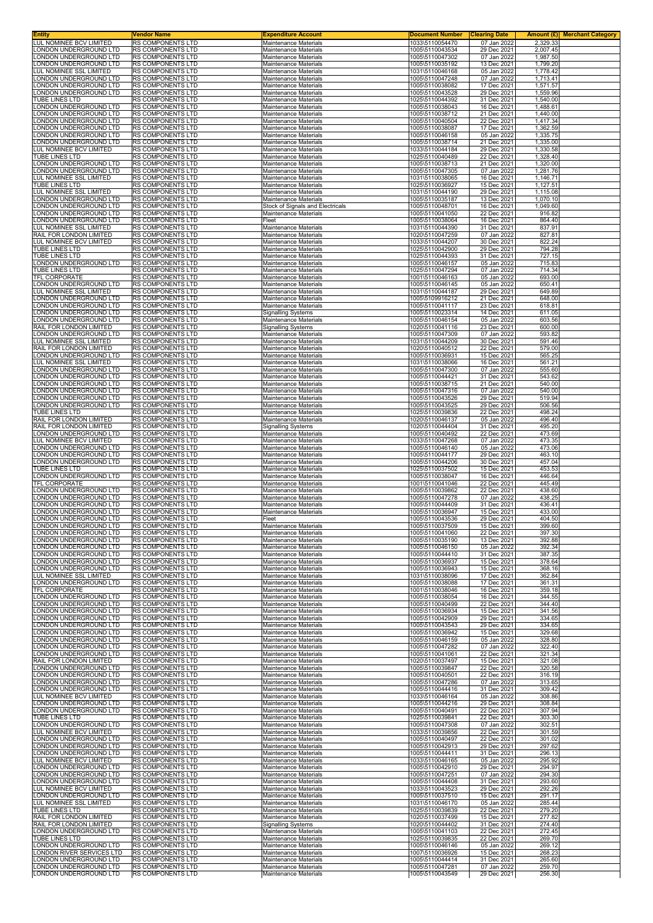| Entity                                                  | Vendor Name                                   | <b>Expenditure Account</b>                                   | <b>Document Number</b>             | <b>Clearing Date</b>       | Amount (£)<br><b>Merchant Category</b> |
|---------------------------------------------------------|-----------------------------------------------|--------------------------------------------------------------|------------------------------------|----------------------------|----------------------------------------|
| UL NOMINEE BCV LIMITED<br>ONDON UNDERGROUND LTD.        | RS COMPONENTS LTD<br>RS COMPONENTS LTD        | Maintenance Materials<br><b>Maintenance Materials</b>        | 1033\5110054470<br>1005\5110043534 | 07 Jan 2022<br>29 Dec 2021 | 2,329.33<br>2,007.45                   |
| ONDON UNDERGROUND LTD                                   | RS COMPONENTS LTD                             | Maintenance Materials                                        | 1005\5110047302                    | 07 Jan 2022                | 1,987.50                               |
| ONDON UNDERGROUND LTD<br><b>UL NOMINEE SSL LIMITED</b>  | RS COMPONENTS LTD<br>RS COMPONENTS LTD        | <b>Maintenance Materials</b><br>Maintenance Materials        | 1005\5110035192<br>1031\5110046168 | 13 Dec 2021<br>05 Jan 2022 | 1,799.20<br>1,778.42                   |
| ONDON UNDERGROUND LTD                                   | RS COMPONENTS LTD                             | Maintenance Materials                                        | 1005\5110047248                    | 07 Jan 2022                | 1,713.41                               |
| ONDON UNDERGROUND LTD                                   | RS COMPONENTS LTD                             | Maintenance Materials                                        | 1005\5110038082                    | 17 Dec 2021<br>29 Dec 2021 | 1,571.57                               |
| ONDON UNDERGROUND LTD<br><b>TUBE LINES LTD</b>          | RS COMPONENTS LTD<br>RS COMPONENTS LTD        | Maintenance Materials<br>Maintenance Materials               | 1005\5110043528<br>1025\5110044392 | 31 Dec 2021                | 1,559.96<br>1,540.00                   |
| ONDON UNDERGROUND LTD                                   | RS COMPONENTS LTD                             | Maintenance Materials                                        | 1005\5110038043                    | 16 Dec 2021                | 1,488.61                               |
| ONDON UNDERGROUND LTD<br>ONDON UNDERGROUND LTD          | RS COMPONENTS LTD<br>RS COMPONENTS LTD        | <b>Maintenance Materials</b><br><b>Maintenance Materials</b> | 1005\5110038712<br>1005\5110040504 | 21 Dec 2021<br>22 Dec 2021 | 1,440.00<br>1,417.34                   |
| ONDON UNDERGROUND LTD                                   | RS COMPONENTS LTD                             | Maintenance Materials                                        | 1005\5110038087                    | 17 Dec 2021                | 1,362.59                               |
| ONDON UNDERGROUND LTD.<br>ONDON UNDERGROUND LTD         | RS COMPONENTS LTD<br>RS COMPONENTS LTD        | <b>Maintenance Materials</b><br>Maintenance Materials        | 1005\5110046158<br>1005\5110038714 | 05 Jan 2022<br>21 Dec 2021 | 1,335.75<br>1,335.00                   |
| <b>LUL NOMINEE BCV LIMITED</b>                          | RS COMPONENTS LTD                             | Maintenance Materials                                        | 1033\5110044184                    | 29 Dec 2021                | 1,330.58                               |
| <b>TUBE LINES LTD</b><br>ONDON UNDERGROUND LTD          | RS COMPONENTS LTD<br>RS COMPONENTS LTD        | <b>Maintenance Materials</b><br>Maintenance Materials        | 1025\5110040489<br>1005\5110038713 | 22 Dec 2021<br>21 Dec 2021 | 1,328.40                               |
| ONDON UNDERGROUND LTD                                   | RS COMPONENTS LTD                             | Maintenance Materials                                        | 1005\5110047305                    | 07 Jan 2022                | 1,320.00<br>1,281.76                   |
| <b>UL NOMINEE SSL LIMITED</b>                           | RS COMPONENTS LTD                             | Maintenance Materials                                        | 1031\5110038065                    | 16 Dec 2021                | 1,146.71                               |
| TUBE LINES LTD<br><b>LUL NOMINEE SSL LIMITED</b>        | RS COMPONENTS LTD<br>RS COMPONENTS LTD        | Maintenance Materials<br>Maintenance Materials               | 1025\5110036927<br>1031\5110044190 | 15 Dec 2021<br>29 Dec 2021 | 1,127.51<br>1,115.08                   |
| ONDON UNDERGROUND LTD                                   | RS COMPONENTS LTD                             | Maintenance Materials                                        | 1005\5110035187                    | 13 Dec 2021                | 1,070.10                               |
| ONDON UNDERGROUND LTD.<br>ONDON UNDERGROUND LTD         | <b>RS COMPONENTS LTD</b><br>RS COMPONENTS LTD | Stock of Signals and Electricals<br>Maintenance Materials    | 1005\5110048701<br>1005\5110041050 | 16 Dec 2021<br>22 Dec 2021 | 1,049.60<br>916.82                     |
| ONDON UNDERGROUND LTD                                   | RS COMPONENTS LTD                             | Fleet                                                        | 1005\5110038064                    | 16 Dec 2021                | 864.40                                 |
| LUL NOMINEE SSL LIMITED<br>RAIL FOR LONDON LIMITED      | RS COMPONENTS LTD<br>RS COMPONENTS LTD        | Maintenance Materials<br>Maintenance Materials               | 1031\5110044390<br>1020\5110047259 | 31 Dec 2021<br>07 Jan 2022 | 837.91<br>827.81                       |
| <b>UL NOMINEE BCV LIMITED</b>                           | RS COMPONENTS LTD                             | Maintenance Materials                                        | 1033\5110044207                    | 30 Dec 2021                | 822.24                                 |
| TUBE LINES LTD<br><b>TUBE LINES LTD</b>                 | <b>RS COMPONENTS LTD</b><br>RS COMPONENTS LTD | <b>Maintenance Materials</b><br><b>Maintenance Materials</b> | 1025\5110042900<br>1025\5110044393 | 29 Dec 2021<br>31 Dec 2021 | 794.28<br>727.15                       |
| ONDON UNDERGROUND LTD                                   | RS COMPONENTS LTD                             | Maintenance Materials                                        | 1005\5110046157                    | 05 Jan 2022                | 715.83                                 |
| TUBE LINES LTD                                          | RS COMPONENTS LTD                             | Maintenance Materials                                        | 1025\5110047294                    | 07 Jan 2022                | 714.34                                 |
| TFL CORPORATE<br>ONDON UNDERGROUND LTD                  | RS COMPONENTS LTD<br>RS COMPONENTS LTD        | Maintenance Materials<br>Maintenance Materials               | 1001\5110046163<br>1005\5110046145 | 05 Jan 2022<br>05 Jan 2022 | 693.00<br>650.41                       |
| <b>LUL NOMINEE SSL LIMITED</b>                          | <b>RS COMPONENTS LTD</b>                      | Maintenance Materials                                        | 1031\5110044187                    | 29 Dec 2021                | 649.89                                 |
| ONDON UNDERGROUND LTD<br>ONDON UNDERGROUND LTD          | RS COMPONENTS LTD<br>RS COMPONENTS LTD        | Maintenance Materials<br>Maintenance Materials               | 1005\5109916212<br>1005\5110041117 | 21 Dec 2021<br>23 Dec 2021 | 648.00<br>618.81                       |
| ONDON UNDERGROUND LTD                                   | <b>RS COMPONENTS LTD</b>                      | <b>Signalling Systems</b>                                    | 1005\5110023314                    | 14 Dec 2021                | 611.05                                 |
| ONDON UNDERGROUND LTD<br>RAIL FOR LONDON LIMITED        | RS COMPONENTS LTD<br>RS COMPONENTS LTD        | Maintenance Materials<br><b>Signalling Systems</b>           | 1005\5110046154<br>1020\5110041116 | 05 Jan 2022<br>23 Dec 2021 | 603.56<br>600.00                       |
| ONDON UNDERGROUND LTD                                   | RS COMPONENTS LTD                             | Maintenance Materials                                        | 1005\5110047309                    | 07 Jan 2022                | 593.82                                 |
| <b>UL NOMINEE SSL LIMITED</b>                           | RS COMPONENTS LTD                             | Maintenance Materials                                        | 1031\5110044209                    | 30 Dec 2021                | 591.46                                 |
| RAIL FOR LONDON LIMITED<br>ONDON UNDERGROUND LTD        | RS COMPONENTS LTD<br>RS COMPONENTS LTD        | Maintenance Materials<br><b>Maintenance Materials</b>        | 1020\5110040512<br>1005\5110036931 | 22 Dec 2021<br>15 Dec 2021 | 579.00<br>565.25                       |
| <b>LUL NOMINEE SSL LIMITED</b>                          | RS COMPONENTS LTD                             | <b>Maintenance Materials</b>                                 | 1031\5110038066                    | 16 Dec 2021                | 561.21                                 |
| ONDON UNDERGROUND LTD<br>ONDON UNDERGROUND LTD          | RS COMPONENTS LTD<br>RS COMPONENTS LTD        | Maintenance Materials<br>Maintenance Materials               | 1005\5110047300<br>1005\5110044421 | 07 Jan 2022<br>31 Dec 2021 | 555.60<br>543.62                       |
| ONDON UNDERGROUND LTD.                                  | <b>RS COMPONENTS LTD</b>                      | Maintenance Materials                                        | 1005\5110038715                    | 21 Dec 2021                | 540.00                                 |
| ONDON UNDERGROUND LTD<br>ONDON UNDERGROUND LTD          | RS COMPONENTS LTD<br>RS COMPONENTS LTD        | Maintenance Materials                                        | 1005\5110047316<br>1005\5110043526 | 07 Jan 2022<br>29 Dec 2021 | 540.00<br>519.94                       |
| ONDON UNDERGROUND LTD.                                  | RS COMPONENTS LTD                             | <b>Maintenance Materials</b><br><b>Maintenance Materials</b> | 1005\5110043525                    | 29 Dec 2021                | 506.56                                 |
| TUBE LINES LTD                                          | RS COMPONENTS LTD                             | Maintenance Materials                                        | 1025\5110039836                    | 22 Dec 2021                | 498.24                                 |
| RAIL FOR LONDON LIMITED<br>RAIL FOR LONDON LIMITED      | RS COMPONENTS LTD<br>RS COMPONENTS LTD        | Maintenance Materials<br><b>Signalling Systems</b>           | 1020\5110046137<br>1020\5110044404 | 05 Jan 2022<br>31 Dec 2021 | 496.40<br>495.20                       |
| ONDON UNDERGROUND LTD                                   | RS COMPONENTS LTD                             | Maintenance Materials                                        | 1005\5110040492                    | 22 Dec 2021                | 473.69                                 |
| <b>UL NOMINEE BCV LIMITED</b><br>ONDON UNDERGROUND LTD  | RS COMPONENTS LTD<br>RS COMPONENTS LTD        | Maintenance Materials<br><b>Maintenance Materials</b>        | 1033\5110047268<br>1005\5110046140 | 07 Jan 2022<br>05 Jan 2022 | 473.35<br>473.06                       |
| ONDON UNDERGROUND LTD                                   | RS COMPONENTS LTD                             | Maintenance Materials                                        | 1005\5110044177                    | 29 Dec 2021                | 463.10                                 |
| ONDON UNDERGROUND LTD<br><b>TUBE LINES LTD</b>          | RS COMPONENTS LTD<br><b>RS COMPONENTS LTD</b> | Maintenance Materials<br><b>Maintenance Materials</b>        | 1005\5110044206<br>1025\5110037502 | 30 Dec 2021<br>15 Dec 2021 | 457.04<br>453.53                       |
| ONDON UNDERGROUND LTD                                   | RS COMPONENTS LTD                             | Maintenance Materials                                        | 1005\5110038047                    | 16 Dec 2021                | 446.64                                 |
| <b>TFL CORPORATE</b>                                    | RS COMPONENTS LTD                             | Maintenance Materials                                        | 1001\5110041046                    | 22 Dec 2021                | 445.49                                 |
| ONDON UNDERGROUND LTD<br>ONDON UNDERGROUND LTD          | <b>RS COMPONENTS LTD</b><br>RS COMPONENTS LTD | <b>Maintenance Materials</b><br><b>Maintenance Materials</b> | 1005\5110039862<br>1005\5110047278 | 22 Dec 2021<br>07 Jan 2022 | 438.60<br>438.25                       |
| ONDON UNDERGROUND LTD                                   | RS COMPONENTS LTD                             | Maintenance Materials                                        | 1005\5110044409                    | 31 Dec 2021                | 436.41                                 |
| ONDON UNDERGROUND LTD<br>ONDON UNDERGROUND LTD          | RS COMPONENTS LTD<br>RS COMPONENTS LTD        | Maintenance Materials<br>Fleet                               | 1005\5110036947<br>1005\5110043536 | 15 Dec 2021<br>29 Dec 2021 | 433.00<br>404.50                       |
| ONDON UNDERGROUND LTD.                                  | RS COMPONENTS LTD                             | Maintenance Materials                                        | 1005\5110037509                    | 15 Dec 2021                | 399.60                                 |
| ONDON UNDERGROUND LTD.<br>ONDON UNDERGROUND LTD         | RS COMPONENTS LTD<br>RS COMPONENTS LTD        | <b>Maintenance Materials</b><br>Maintenance Materials        | 1005\5110041060<br>1005\5110035190 | 22 Dec 2021<br>13 Dec 2021 | 397.30<br>392.88                       |
| ONDON UNDERGROUND LTD                                   | RS COMPONENTS LTD                             | Maintenance Materials                                        | 1005\5110046150                    | 05 Jan 2022                | 392.34                                 |
| ONDON UNDERGROUND LTD                                   | RS COMPONENTS LTD                             | Maintenance Materials                                        | 1005\5110044410<br>1005\5110036937 | 31 Dec 2021                | 387.35                                 |
| ONDON UNDERGROUND LTD<br>ONDON UNDERGROUND LTD          | RS COMPONENTS LTD<br>RS COMPONENTS LTD        | Maintenance Materials<br>Maintenance Materials               | 1005\5110036943                    | 15 Dec 2021<br>15 Dec 2021 | 378.64<br>368.16                       |
| <b>LUL NOMINEE SSL LIMITED</b>                          | RS COMPONENTS LTD                             | Maintenance Materials                                        | 1031\5110038096                    | 17 Dec 2021                | 362.84                                 |
| ONDON UNDERGROUND LTD<br>TFL CORPORATE                  | RS COMPONENTS LTD<br>RS COMPONENTS LTD        | Maintenance Materials<br>Maintenance Materials               | 1005\5110038088<br>1001\5110038046 | 17 Dec 2021<br>16 Dec 2021 | 361.31<br>359.18                       |
| ONDON UNDERGROUND LTD                                   | RS COMPONENTS LTD                             | Maintenance Materials                                        | 1005\5110038054                    | 16 Dec 2021                | 344.55                                 |
| ONDON UNDERGROUND LTD<br>ONDON UNDERGROUND LTD          | RS COMPONENTS LTD<br>RS COMPONENTS LTD        | Maintenance Materials<br>Maintenance Materials               | 1005\5110040499<br>1005\5110036934 | 22 Dec 2021<br>15 Dec 2021 | 344.40<br>341.56                       |
| ONDON UNDERGROUND LTD                                   | RS COMPONENTS LTD                             | Maintenance Materials                                        | 1005\5110042909                    | 29 Dec 2021                | 334.65                                 |
| ONDON UNDERGROUND LTD<br>ONDON UNDERGROUND LTD          | RS COMPONENTS LTD<br>RS COMPONENTS LTD        | Maintenance Materials<br>Maintenance Materials               | 1005\5110043543<br>1005\5110036942 | 29 Dec 2021<br>15 Dec 2021 | 334.65<br>329.68                       |
| ONDON UNDERGROUND LTD                                   | RS COMPONENTS LTD                             | Maintenance Materials                                        | 1005\5110046159                    | 05 Jan 2022                | 328.80                                 |
| ONDON UNDERGROUND LTD<br>ONDON UNDERGROUND LTD          | RS COMPONENTS LTD<br>RS COMPONENTS LTD        | Maintenance Materials<br>Maintenance Materials               | 1005\5110047282<br>1005\5110041061 | 07 Jan 2022<br>22 Dec 2021 | 322.40<br>321.34                       |
| RAIL FOR LONDON LIMITED                                 | RS COMPONENTS LTD                             | Maintenance Materials                                        | 1020\5110037497                    | 15 Dec 2021                | 321.08                                 |
| ONDON UNDERGROUND LTD.                                  | RS COMPONENTS LTD                             | <b>Maintenance Materials</b>                                 | 1005\5110039847                    | 22 Dec 2021                | 320.58                                 |
| ONDON UNDERGROUND LTD<br>LONDON UNDERGROUND LTD         | RS COMPONENTS LTD<br>RS COMPONENTS LTD        | Maintenance Materials<br>Maintenance Materials               | 1005\5110040501<br>1005\5110047286 | 22 Dec 2021<br>07 Jan 2022 | 316.19<br>313.65                       |
| ONDON UNDERGROUND LTD                                   | RS COMPONENTS LTD                             | Maintenance Materials                                        | 1005\5110044416                    | 31 Dec 2021                | 309.42                                 |
| <b>LUL NOMINEE BCV LIMITED</b><br>ONDON UNDERGROUND LTD | RS COMPONENTS LTD<br>RS COMPONENTS LTD        | Maintenance Materials<br>Maintenance Materials               | 1033\5110046164<br>1005\5110044216 | 05 Jan 2022<br>29 Dec 2021 | 308.86<br>308.84                       |
| ONDON UNDERGROUND LTD                                   | RS COMPONENTS LTD                             | <b>Maintenance Materials</b>                                 | 1005\5110040491                    | 22 Dec 2021                | 307.94                                 |
| TUBE LINES LTD<br>ONDON UNDERGROUND LTD                 | RS COMPONENTS LTD<br>RS COMPONENTS LTD        | Maintenance Materials<br>Maintenance Materials               | 1025\5110039841<br>1005\5110047308 | 22 Dec 2021<br>07 Jan 2022 | 303.30<br>302.51                       |
| <b>LUL NOMINEE BCV LIMITED</b>                          | RS COMPONENTS LTD                             | Maintenance Materials                                        | 1033\5110039856                    | 22 Dec 2021                | 301.59                                 |
| ONDON UNDERGROUND LTD<br>ONDON UNDERGROUND LTD          | RS COMPONENTS LTD<br>RS COMPONENTS LTD        | Maintenance Materials<br>Maintenance Materials               | 1005\5110040497<br>1005\5110042913 | 22 Dec 2021<br>29 Dec 2021 | 301.02<br>297.62                       |
| ONDON UNDERGROUND LTD                                   | RS COMPONENTS LTD                             | Maintenance Materials                                        | 1005\5110044411                    | 31 Dec 2021                | 296.13                                 |
| LUL NOMINEE BCV LIMITED                                 | RS COMPONENTS LTD                             | Maintenance Materials                                        | 1033\5110046165                    | 05 Jan 2022                | 295.92                                 |
| ONDON UNDERGROUND LTD<br>ONDON UNDERGROUND LTD          | RS COMPONENTS LTD<br>RS COMPONENTS LTD        | Maintenance Materials<br>Maintenance Materials               | 1005\5110042910<br>1005\5110047251 | 29 Dec 2021<br>07 Jan 2022 | 294.97<br>294.30                       |
| ONDON UNDERGROUND LTD                                   | RS COMPONENTS LTD                             | Maintenance Materials                                        | 1005\5110044408                    | 31 Dec 2021                | 293.60                                 |
| <b>LUL NOMINEE BCV LIMITED</b><br>ONDON UNDERGROUND LTD | RS COMPONENTS LTD<br>RS COMPONENTS LTD        | Maintenance Materials<br>Maintenance Materials               | 1033\5110043523<br>1005\5110037510 | 29 Dec 2021<br>15 Dec 2021 | 292.26<br>291.17                       |
| LUL NOMINEE SSL LIMITED                                 | RS COMPONENTS LTD                             | Maintenance Materials                                        | 1031\5110046170                    | 05 Jan 2022                | 285.44                                 |
| TUBE LINES LTD<br>RAIL FOR LONDON LIMITED               | RS COMPONENTS LTD<br>RS COMPONENTS LTD        | Maintenance Materials<br>Maintenance Materials               | 1025\5110039839<br>1020\5110037499 | 22 Dec 2021<br>15 Dec 2021 | 279.20<br>277.82                       |
| RAIL FOR LONDON LIMITED                                 | RS COMPONENTS LTD                             | <b>Signalling Systems</b>                                    | 1020\5110044402                    | 31 Dec 2021                | 274.40                                 |
| ONDON UNDERGROUND LTD                                   | RS COMPONENTS LTD                             | Maintenance Materials                                        | 1005\5110041103                    | 22 Dec 2021                | 272.45                                 |
| TUBE LINES LTD<br>ONDON UNDERGROUND LTD                 | RS COMPONENTS LTD<br>RS COMPONENTS LTD        | Maintenance Materials<br><b>Maintenance Materials</b>        | 1025\5110039835<br>1005\5110046146 | 22 Dec 2021<br>05 Jan 2022 | 269.70<br>269.12                       |
| ONDON RIVER SERVICES LTD                                | RS COMPONENTS LTD                             | Maintenance Materials                                        | 1007\5110036926                    | 15 Dec 2021                | 268.23                                 |
| ONDON UNDERGROUND LTD<br>ONDON UNDERGROUND LTD          | RS COMPONENTS LTD<br>RS COMPONENTS LTD        | Maintenance Materials<br>Maintenance Materials               | 1005\5110044414<br>1005\5110047281 | 31 Dec 2021<br>07 Jan 2022 | 265.60<br>259.70                       |
| LONDON UNDERGROUND LTD                                  | RS COMPONENTS LTD                             | Maintenance Materials                                        | 1005\5110043549                    | 29 Dec 2021                | 256.30                                 |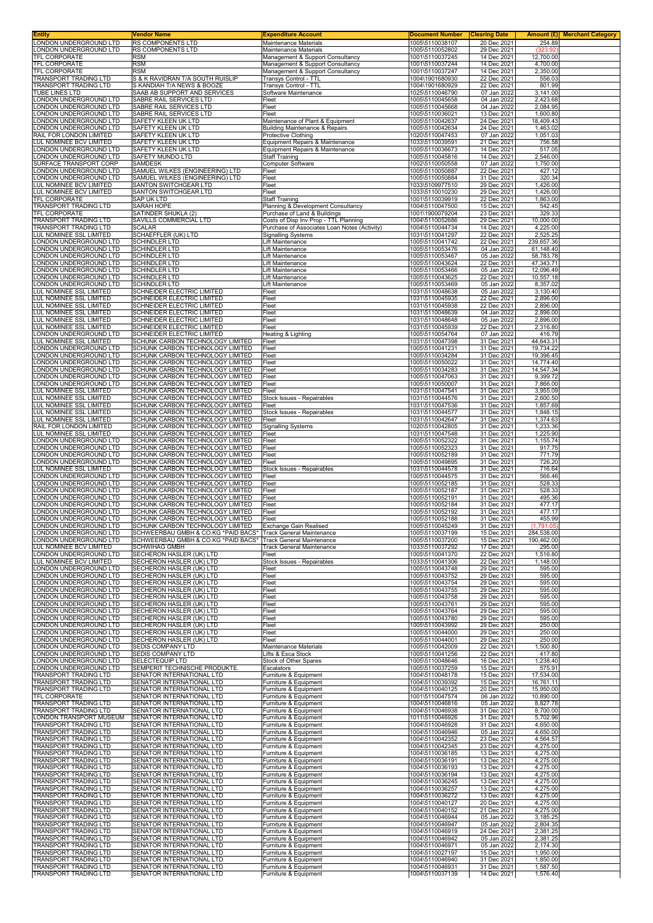| Entity                                                   | Vendor Name                                                                                                                    | <b>Expenditure Account</b>                                                | <b>Document Number</b>             | <b>Clearing Date</b>       | Amount (£) Merchant Category |
|----------------------------------------------------------|--------------------------------------------------------------------------------------------------------------------------------|---------------------------------------------------------------------------|------------------------------------|----------------------------|------------------------------|
| LONDON UNDERGROUND LTD<br>ONDON UNDERGROUND LTD.         | RS COMPONENTS LTD<br><b>RS COMPONENTS LTD</b>                                                                                  | Maintenance Materials<br><b>Maintenance Materials</b>                     | 1005\5110038107<br>1005\5110052802 | 20 Dec 2021<br>29 Dec 2021 | 254.89<br>(323.92)           |
| TFL CORPORATE                                            | <b>RSM</b>                                                                                                                     | Management & Support Consultancy                                          | 1001\5110037245                    | 14 Dec 2021                | 12,700.00                    |
| <b>TFL CORPORATE</b><br>TFL CORPORATE                    | <b>RSM</b><br><b>RSM</b>                                                                                                       | Management & Support Consultancy                                          | 1001\5110037244<br>1001\5110037247 | 14 Dec 2021<br>14 Dec 2021 | 4,700.00<br>2.350.00         |
| <b>FRANSPORT TRADING LTD</b>                             | S & K RAVIDRAN T/A SOUTH RUISLIP                                                                                               | Management & Support Consultancy<br>Transys Control - TTL                 | 1004\1901680930                    | 22 Dec 2021                | 556.03                       |
| TRANSPORT TRADING LTD                                    | S KANDIAH T/A NEWS & BOOZE                                                                                                     | Transys Control - TTL                                                     | 1004\1901680929                    | 22 Dec 2021                | 801.99                       |
| TUBE LINES LTD<br>ONDON UNDERGROUND LTD                  | SAAB AB SUPPORT AND SERVICES<br>SABRE RAIL SERVICES LTD                                                                        | Software Maintenance<br>Fleet                                             | 1025\5110046790<br>1005\5110045658 | 07 Jan 2022<br>04 Jan 2022 | 3.141.00<br>2,423.68         |
| ONDON UNDERGROUND LTD                                    | SABRE RAIL SERVICES LTD                                                                                                        | Fleet                                                                     | 1005\5110045668                    | 04 Jan 2022                | 2,084.95                     |
| ONDON UNDERGROUND LTD<br>ONDON UNDERGROUND LTD           | SABRE RAIL SERVICES LTD<br>SAFETY KLEEN UK LTD                                                                                 | Fleet<br>Maintenance of Plant & Equipment                                 | 1005\5110036021<br>1005\5110042637 | 13 Dec 2021<br>24 Dec 2021 | 1,600.80<br>18,409.43        |
| ONDON UNDERGROUND LTD                                    | SAFETY KLEEN UK LTD                                                                                                            | <b>Building Maintenance &amp; Repairs</b>                                 | 1005\5110042634                    | 24 Dec 2021                | 1,463.02                     |
| RAIL FOR LONDON LIMITED<br>LUL NOMINEE BCV LIMITED       | SAFETY KLEEN UK LTD<br>SAFETY KLEEN UK LTD                                                                                     | <b>Protective Clothing</b><br>Equipment Repairs & Maintenance             | 1020\5110047453<br>1033\5110039591 | 07 Jan 2022<br>21 Dec 2021 | 1,051.03<br>756.58           |
| ONDON UNDERGROUND LTD                                    | SAFETY KLEEN UK LTD                                                                                                            | Equipment Repairs & Maintenance                                           | 1005\5110036673                    | 14 Dec 2021                | 517.05                       |
| ONDON UNDERGROUND LTD<br>SURFACE TRANSPORT CORP          | SAFETY MUNDO LTD<br>SAMDESK                                                                                                    | <b>Staff Training</b><br>Computer Software                                | 1005\5110045816<br>1002\5110050558 | 14 Dec 2021<br>07 Jan 2022 | 2,546.00                     |
| ONDON UNDERGROUND LTD                                    | SAMUEL WILKES (ENGINEERING) LTD                                                                                                | Fleet                                                                     | 1005\5110050887                    | 22 Dec 2021                | 1,750.00<br>427.12           |
| ONDON UNDERGROUND LTD                                    | SAMUEL WILKES (ENGINEERING) LTD                                                                                                | Fleet                                                                     | 1005\5110050884                    | 31 Dec 2021                | 320.34                       |
| LUL NOMINEE BCV LIMITED<br>LUL NOMINEE BCV LIMITED       | SANTON SWITCHGEAR LTD<br>SANTON SWITCHGEAR LTD                                                                                 | Fleet<br>Fleet                                                            | 1033\5109977510<br>1033\5110010230 | 29 Dec 2021<br>29 Dec 2021 | 1,426.00<br>1,426.00         |
| TFL CORPORATE                                            | SAP UK LTD                                                                                                                     | <b>Staff Training</b>                                                     | 1001\5110039919                    | 22 Dec 2021                | 1,863.00                     |
| <b>TRANSPORT TRADING LTD</b><br>TFL CORPORATE            | <b>SARAH HOPE</b><br>SATINDER SHUKLA (2)                                                                                       | Planning & Development Consultancy<br>Purchase of Land & Buildings        | 1004\5110047500<br>1001\1900079204 | 15 Dec 2021<br>23 Dec 2021 | 542.45<br>329.33             |
| TRANSPORT TRADING LTD                                    | SAVILLS COMMERCIAL LTD                                                                                                         | Costs of Disp Inv Prop - TTL Planning                                     | 1004\5110052686                    | 29 Dec 2021                | 10,000.00                    |
| TRANSPORT TRADING LTD<br>LUL NOMINEE SSL LIMITED         | <b>SCALAR</b><br>SCHAEFFLER (UK) LTD                                                                                           | Purchase of Associates Loan Notes (Activity)<br><b>Signalling Systems</b> | 1004\5110044734<br>1031\5110041297 | 14 Dec 2021<br>22 Dec 2021 | 4,225.00<br>2,525.25         |
| ONDON UNDERGROUND LTD                                    | <b>SCHINDLER LTD</b>                                                                                                           | Lift Maintenance                                                          | 1005\5110041742                    | 22 Dec 2021                | 239,657.36                   |
| ONDON UNDERGROUND LTD<br>ONDON UNDERGROUND LTD           | <b>SCHINDLER LTD</b><br><b>SCHINDLER LTD</b>                                                                                   | Lift Maintenance<br>Lift Maintenance                                      | 1005\5110053476<br>1005\5110053467 | 04 Jan 2022<br>05 Jan 2022 | 61,148.40<br>58,783.78       |
| ONDON UNDERGROUND LTD                                    | <b>SCHINDLER LTD</b>                                                                                                           | Lift Maintenance                                                          | 1005\5110043624                    | 22 Dec 2021                | 47,343.71                    |
| ONDON UNDERGROUND LTD                                    | <b>SCHINDLER LTD</b>                                                                                                           | Lift Maintenance                                                          | 1005\5110053466                    | 05 Jan 2022                | 12.096.49                    |
| ONDON UNDERGROUND LTD<br>ONDON UNDERGROUND LTD           | <b>SCHINDLER LTD</b><br>SCHINDLER LTD                                                                                          | Lift Maintenance<br>Lift Maintenance                                      | 1005\5110043625<br>1005\5110053469 | 22 Dec 2021<br>05 Jan 2022 | 10,557.18<br>8,357.02        |
| LUL NOMINEE SSL LIMITED                                  | SCHNEIDER ELECTRIC LIMITED                                                                                                     | Fleet                                                                     | 1031\5110048638                    | 05 Jan 2022                | 3.130.40                     |
| LUL NOMINEE SSL LIMITED<br>UL NOMINEE SSL LIMITED        | SCHNEIDER ELECTRIC LIMITED<br>SCHNEIDER ELECTRIC LIMITED                                                                       | Fleet<br>Fleet                                                            | 1031\5110045935<br>1031\5110045938 | 22 Dec 2021<br>22 Dec 2021 | 2,896.00<br>2,896.00         |
| LUL NOMINEE SSL LIMITED                                  | SCHNEIDER ELECTRIC LIMITED                                                                                                     | Fleet                                                                     | 1031\5110048639                    | 04 Jan 2022                | 2,896.00                     |
| LUL NOMINEE SSL LIMITED<br>LUL NOMINEE SSL LIMITED       | SCHNEIDER ELECTRIC LIMITED<br>SCHNEIDER ELECTRIC LIMITED                                                                       | Fleet<br>Fleet                                                            | 1031\5110048648<br>1031\5110045939 | 05 Jan 2022<br>22 Dec 2021 | 2,896.00<br>2,316.80         |
| ONDON UNDERGROUND LTD                                    | SCHNEIDER ELECTRIC LIMITED                                                                                                     | Heating & Lighting                                                        | 1005\5110054764                    | 07 Jan 2022                | 416.79                       |
| UL NOMINEE SSL LIMITED<br>ONDON UNDERGROUND LTD          | SCHUNK CARBON TECHNOLOGY LIMITED                                                                                               | Fleet                                                                     | 1031\5110047398                    | 31 Dec 2021                | 44,643.31                    |
| ONDON UNDERGROUND LTD                                    | SCHUNK CARBON TECHNOLOGY LIMITED<br>SCHUNK CARBON TECHNOLOGY LIMITED                                                           | Fleet<br>Fleet                                                            | 1005\5110041231<br>1005\5110034284 | 31 Dec 2021<br>31 Dec 2021 | 19,734.22<br>19,396.45       |
| ONDON UNDERGROUND LTD                                    | SCHUNK CARBON TECHNOLOGY LIMITED                                                                                               | Fleet                                                                     | 1005\5110050022                    | 31 Dec 2021                | 14,774.40                    |
| ONDON UNDERGROUND LTD<br>ONDON UNDERGROUND LTD           | SCHUNK CARBON TECHNOLOGY LIMITED<br>SCHUNK CARBON TECHNOLOGY LIMITED                                                           | Fleet<br>Fleet                                                            | 1005\5110034283<br>1005\5110047063 | 31 Dec 2021<br>31 Dec 2021 | 14,547.34<br>9,399.72        |
| ONDON UNDERGROUND LTD.                                   | SCHUNK CARBON TECHNOLOGY LIMITED                                                                                               | Fleet                                                                     | 1005\5110050007                    | 31 Dec 2021                | 7,866.00                     |
| <b>UL NOMINEE SSL LIMITED</b><br>LUL NOMINEE SSL LIMITED | SCHUNK CARBON TECHNOLOGY LIMITED<br>SCHUNK CARBON TECHNOLOGY LIMITED                                                           | Fleet<br>Stock Issues - Repairables                                       | 1031\5110047541<br>1031\5110044576 | 31 Dec 2021<br>31 Dec 2021 | 3,955.09<br>2,600.50         |
| LUL NOMINEE SSL LIMITED                                  | SCHUNK CARBON TECHNOLOGY LIMITED                                                                                               | Fleet                                                                     | 1031\5110047536                    | 31 Dec 2021                | 1,857.69                     |
| LUL NOMINEE SSL LIMITED                                  | SCHUNK CARBON TECHNOLOGY LIMITED                                                                                               | Stock Issues - Repairables                                                | 1031\5110044577                    | 31 Dec 2021                | 1,848.15                     |
| LUL NOMINEE SSL LIMITED<br>RAIL FOR LONDON LIMITED       | SCHUNK CARBON TECHNOLOGY LIMITED<br>SCHUNK CARBON TECHNOLOGY LIMITED                                                           | Fleet<br><b>Signalling Systems</b>                                        | 1031\5110042647<br>1020\5110042805 | 31 Dec 2021<br>31 Dec 2021 | 1,374.63<br>1,233.36         |
| LUL NOMINEE SSL LIMITED                                  | SCHUNK CARBON TECHNOLOGY LIMITED                                                                                               | Fleet                                                                     | 1031\5110047548                    | 31 Dec 2021                | 1,225.90                     |
| ONDON UNDERGROUND LTD<br>ONDON UNDERGROUND LTD           | SCHUNK CARBON TECHNOLOGY LIMITED<br>SCHUNK CARBON TECHNOLOGY LIMITED                                                           | Fleet<br>Fleet                                                            | 1005\5110052322<br>1005\5110052323 | 31 Dec 2021<br>31 Dec 2021 | 1,155.74<br>917.75           |
| ONDON UNDERGROUND LTD                                    | SCHUNK CARBON TECHNOLOGY LIMITED                                                                                               | Fleet                                                                     | 1005\5110052189                    | 31 Dec 2021                | 771.79                       |
| ONDON UNDERGROUND LTD<br>UL NOMINEE SSL LIMITED          | SCHUNK CARBON TECHNOLOGY LIMITED<br>SCHUNK CARBON TECHNOLOGY LIMITED                                                           | Fleet<br>Stock Issues - Repairables                                       | 1005\5110049895<br>1031\5110044578 | 31 Dec 2021<br>31 Dec 2021 | 726.20<br>716.64             |
| ONDON UNDERGROUND LTD                                    | SCHUNK CARBON TECHNOLOGY LIMITED                                                                                               | Fleet                                                                     | 1005\5110044575                    | 31 Dec 2021                | 566.46                       |
| ONDON UNDERGROUND LTD.<br>ONDON UNDERGROUND LTD          | SCHUNK CARBON TECHNOLOGY LIMITED<br>SCHUNK CARBON TECHNOLOGY LIMITED                                                           | Fleet<br>Fleet                                                            | 1005\5110052185<br>1005\5110052187 | 31 Dec 2021<br>31 Dec 2021 | 528.33<br>528.33             |
| ONDON UNDERGROUND LTD                                    | SCHUNK CARBON TECHNOLOGY LIMITED                                                                                               | Fleet                                                                     | 1005\5110052191                    | 31 Dec 2021                | 495.36                       |
| ONDON UNDERGROUND LTD                                    | SCHUNK CARBON TECHNOLOGY LIMITED                                                                                               | Fleet                                                                     | 1005\5110052184                    | 31 Dec 2021                | 477.17                       |
| ONDON UNDERGROUND LTD<br>ONDON UNDERGROUND LTD           | SCHUNK CARBON TECHNOLOGY LIMITED<br>SCHUNK CARBON TECHNOLOGY LIMITED                                                           | Fleet<br>Fleet                                                            | 1005\5110052192<br>1005\5110052188 | 31 Dec 2021<br>31 Dec 2021 | 477.17<br>455.99             |
| ONDON UNDERGROUND LTD.                                   | SCHUNK CARBON I ECHNOLOGY LIMITED   Exchange Gain Realised                                                                     |                                                                           | 1005\5110045249                    | 31 Dec 2021                | (1.791.05                    |
| LONDON UNDERGROUND LTD<br>ONDON UNDERGROUND LTD          | SCHWEERBAU GMBH & CO.KG *PAID BACS* Track General Maintenance<br>SCHWEERBAU GMBH & CO.KG *PAID BACS* Track General Maintenance |                                                                           | 1005\5110037199<br>1005\5110037200 | 15 Dec 2021<br>15 Dec 2021 | 284,538.00<br>190,462.00     |
| LUL NOMINEE BCV LIMITED                                  | <b>SCHWIHAG GMBH</b>                                                                                                           | Track General Maintenance                                                 | 1033\5110037292                    | 17 Dec 2021                | 295.00                       |
| LONDON UNDERGROUND LTD<br><b>UL NOMINEE BCV LIMITED</b>  | SECHERON HASLER (UK) LTD<br>SECHERON HASLER (UK) LTD                                                                           | Fleet<br>Stock Issues - Repairables                                       | 1005\5110041370<br>1033\5110041306 | 22 Dec 2021<br>22 Dec 2021 | 1,516.80<br>1,148.00         |
| ONDON UNDERGROUND LTD                                    | SECHERON HASLER (UK) LTD                                                                                                       | Fleet                                                                     | 1005\5110043748                    | 29 Dec 2021                | 595.00                       |
| ONDON UNDERGROUND LTD<br>ONDON UNDERGROUND LTD           | SECHERON HASLER (UK) LTD<br>SECHERON HASLER (UK) LTD                                                                           | Fleet<br>Fleet                                                            | 1005\5110043752<br>1005\5110043754 | 29 Dec 2021<br>29 Dec 2021 | 595.00<br>595.00             |
| ONDON UNDERGROUND LTD                                    | SECHERON HASLER (UK) LTD                                                                                                       | Fleet                                                                     | 1005\5110043755                    | 29 Dec 2021                | 595.00                       |
| ONDON UNDERGROUND LTD                                    | SECHERON HASLER (UK) LTD                                                                                                       | Fleet                                                                     | 1005\5110043758<br>1005\5110043761 | 29 Dec 2021                | 595.00                       |
| ONDON UNDERGROUND LTD<br>ONDON UNDERGROUND LTD           | SECHERON HASLER (UK) LTD<br>SECHERON HASLER (UK) LTD                                                                           | Fleet<br>Fleet                                                            | 1005\5110043764                    | 29 Dec 2021<br>29 Dec 2021 | 595.00<br>595.00             |
| ONDON UNDERGROUND LTD                                    | SECHERON HASLER (UK) LTD                                                                                                       | Fleet                                                                     | 1005\5110043780                    | 29 Dec 2021                | 595.00                       |
| ONDON UNDERGROUND LTD<br>ONDON UNDERGROUND LTD           | SECHERON HASLER (UK) LTD<br>SECHERON HASLER (UK) LTD                                                                           | Fleet<br>Fleet                                                            | 1005\5110043992<br>1005\5110044000 | 29 Dec 2021<br>29 Dec 2021 | 250.00<br>250.00             |
| ONDON UNDERGROUND LTD                                    | SECHERON HASLER (UK) LTD                                                                                                       | Fleet                                                                     | 1005\5110044001                    | 29 Dec 2021                | 250.00                       |
| ONDON UNDERGROUND LTD<br>ONDON UNDERGROUND LTD           | SEDIS COMPANY LTD<br>SEDIS COMPANY LTD                                                                                         | Maintenance Materials<br>Lifts & Esca Stock                               | 1005\5110042009<br>1005\5110041256 | 22 Dec 2021<br>22 Dec 2021 | 1,500.80<br>417.80           |
| ONDON UNDERGROUND LTD                                    | SELECTEQUIP LTD                                                                                                                | Stock of Other Spares                                                     | 1005\5110048646                    | 16 Dec 2021                | 1,238.40                     |
| ONDON UNDERGROUND LTD<br><b>FRANSPORT TRADING LTD</b>    | SEMPERIT TECHNISCHE PRODUKTE.<br>SENATOR INTERNATIONAL LTD                                                                     | Escalators<br>Furniture & Equipment                                       | 1005\5110037259<br>1004\5110048178 | 15 Dec 2021<br>15 Dec 2021 | 575.91<br>17,534.00          |
| TRANSPORT TRADING LTD                                    | SENATOR INTERNATIONAL LTD                                                                                                      | Furniture & Equipment                                                     | 1004\5110039392                    | 15 Dec 2021                | 16,761.11                    |
| TRANSPORT TRADING LTD<br><b>TFL CORPORATE</b>            | SENATOR INTERNATIONAL LTD<br>SENATOR INTERNATIONAL LTD                                                                         | Furniture & Equipment<br>Furniture & Equipment                            | 1004\5110040125<br>1001\5110047574 | 20 Dec 2021<br>06 Jan 2022 | 15,950.00<br>10,890.00       |
| TRANSPORT TRADING LTD                                    | SENATOR INTERNATIONAL LTD                                                                                                      | Furniture & Equipment                                                     | 1004\5110046816                    | 05 Jan 2022                | 8,827.78                     |
| TRANSPORT TRADING LTD                                    | SENATOR INTERNATIONAL LTD                                                                                                      | Furniture & Equipment                                                     | 1004\5110046938                    | 31 Dec 2021                | 8,700.00                     |
| LONDON TRANSPORT MUSEUM<br>TRANSPORT TRADING LTD         | SENATOR INTERNATIONAL LTD<br>SENATOR INTERNATIONAL LTD                                                                         | Furniture & Equipment<br>Furniture & Equipment                            | 1011\5110046926<br>1004\5110046928 | 31 Dec 2021<br>31 Dec 2021 | 5,702.96<br>4,650.00         |
| TRANSPORT TRADING LTD                                    | SENATOR INTERNATIONAL LTD                                                                                                      | Furniture & Equipment                                                     | 1004\5110046946                    | 05 Jan 2022                | 4,650.00                     |
| TRANSPORT TRADING LTD<br>TRANSPORT TRADING LTD           | SENATOR INTERNATIONAL LTD<br>SENATOR INTERNATIONAL LTD                                                                         | Furniture & Equipment<br>Furniture & Equipment                            | 1004\5110042352<br>1004\5110042345 | 23 Dec 2021<br>23 Dec 2021 | 4,564.57<br>4,275.00         |
| <b>TRANSPORT TRADING LTD</b>                             | SENATOR INTERNATIONAL LTD                                                                                                      | Furniture & Equipment                                                     | 1004\5110036185                    | 13 Dec 2021                | 4,275.00                     |
| TRANSPORT TRADING LTD<br>TRANSPORT TRADING LTD           | SENATOR INTERNATIONAL LTD<br>SENATOR INTERNATIONAL LTD                                                                         | Furniture & Equipment<br>Furniture & Equipment                            | 1004\5110036191<br>1004\5110036193 | 13 Dec 2021<br>13 Dec 2021 | 4,275.00<br>4,275.00         |
| <b>FRANSPORT TRADING LTD</b>                             | SENATOR INTERNATIONAL LTD                                                                                                      | Furniture & Equipment                                                     | 1004\5110036194                    | 13 Dec 2021                | 4,275.00                     |
| <b>TRANSPORT TRADING LTD</b><br>TRANSPORT TRADING LTD    | SENATOR INTERNATIONAL LTD<br>SENATOR INTERNATIONAL LTD                                                                         | Furniture & Equipment<br>Furniture & Equipment                            | 1004\5110036245<br>1004\5110036257 | 13 Dec 2021<br>13 Dec 2021 | 4,275.00<br>4,275.00         |
| TRANSPORT TRADING LTD                                    | SENATOR INTERNATIONAL LTD                                                                                                      | Furniture & Equipment                                                     | 1004\5110036272                    | 13 Dec 2021                | 4,275.00                     |
| <b>TRANSPORT TRADING LTD</b><br>TRANSPORT TRADING LTD    | SENATOR INTERNATIONAL LTD<br>SENATOR INTERNATIONAL LTD                                                                         | Furniture & Equipment<br>Furniture & Equipment                            | 1004\5110040127<br>1004\5110040152 | 20 Dec 2021<br>21 Dec 2021 | 4,275.00<br>4,275.00         |
| TRANSPORT TRADING LTD                                    | SENATOR INTERNATIONAL LTD                                                                                                      | Furniture & Equipment                                                     | 1004\5110046944                    | 05 Jan 2022                | 3,185.25                     |
| TRANSPORT TRADING LTD                                    | SENATOR INTERNATIONAL LTD                                                                                                      | Furniture & Equipment                                                     | 1004\5110046947<br>1004\5110046919 | 05 Jan 2022<br>24 Dec 2021 | 2,804.35                     |
| TRANSPORT TRADING LTD<br>TRANSPORT TRADING LTD           | SENATOR INTERNATIONAL LTD<br>SENATOR INTERNATIONAL LTD                                                                         | Furniture & Equipment<br>Furniture & Equipment                            | 1004\5110046942                    | 05 Jan 2022                | 2,381.25<br>2,381.25         |
| TRANSPORT TRADING LTD                                    | SENATOR INTERNATIONAL LTD                                                                                                      | Furniture & Equipment                                                     | 1004\5110046971                    | 05 Jan 2022                | 2,174.30                     |
| TRANSPORT TRADING LTD<br>TRANSPORT TRADING LTD           | SENATOR INTERNATIONAL LTD<br>SENATOR INTERNATIONAL LTD                                                                         | Furniture & Equipment<br>Furniture & Equipment                            | 1004\5110027197<br>1004\5110046940 | 15 Dec 2021<br>31 Dec 2021 | 1,950.00<br>1,850.00         |
| TRANSPORT TRADING LTD                                    | SENATOR INTERNATIONAL LTD                                                                                                      | Furniture & Equipment                                                     | 1004\5110046931                    | 31 Dec 2021                | 1,587.50                     |
| TRANSPORT TRADING LTD                                    | SENATOR INTERNATIONAL LTD                                                                                                      | Furniture & Equipment                                                     | 1004\5110037139                    | 14 Dec 2021                | 1,576.40                     |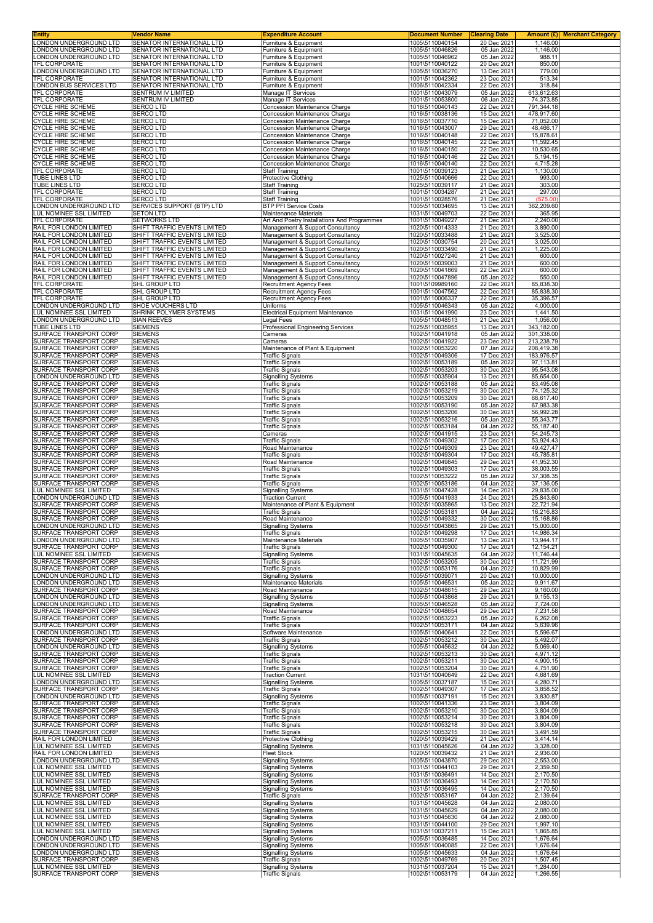| <b>Entity</b>                                            | Vendor Name                                                  | <b>Expenditure Account</b>                                           | <b>Document Number</b>             | <b>Clearing Date</b>       |                          | Amount (£) Merchant Category |
|----------------------------------------------------------|--------------------------------------------------------------|----------------------------------------------------------------------|------------------------------------|----------------------------|--------------------------|------------------------------|
| LONDON UNDERGROUND LTD<br>LONDON UNDERGROUND LTD         | SENATOR INTERNATIONAL LTD<br>SENATOR INTERNATIONAL LTD       | Furniture & Equipment<br>Furniture & Equipment                       | 1005\5110040154<br>1005\5110046826 | 20 Dec 2021<br>05 Jan 2022 | 1,146.00<br>1,146.00     |                              |
| LONDON UNDERGROUND LTD                                   | SENATOR INTERNATIONAL LTD                                    | Furniture & Equipment                                                | 1005\5110046962                    | 05 Jan 2022                | 988.11                   |                              |
| <b>TFL CORPORATE</b>                                     | SENATOR INTERNATIONAL LTD                                    | Furniture & Equipment                                                | 1001\5110040122                    | 20 Dec 2021                | 850.00                   |                              |
| LONDON UNDERGROUND LTD                                   | SENATOR INTERNATIONAL LTD                                    | Furniture & Equipment                                                | 1005\5110036270                    | 13 Dec 2021                | 779.00                   |                              |
| TFL CORPORATE<br>LONDON BUS SERVICES LTD                 | SENATOR INTERNATIONAL LTD<br>SENATOR INTERNATIONAL LTD       | Furniture & Equipment<br>Furniture & Equipment                       | 1001\5110042362<br>1006\5110042334 | 23 Dec 2021<br>22 Dec 2021 | 513.34<br>318.84         |                              |
| TFL CORPORATE                                            | SENTRUM IV LIMITED                                           | Manage IT Services                                                   | 1001\5110043079                    | 05 Jan 2022                | 613,612.63               |                              |
| TFL CORPORATE                                            | SENTRUM IV LIMITED                                           | Manage IT Services                                                   | 1001\5110053800                    | 06 Jan 2022                | 74,373.85                |                              |
| <b>CYCLE HIRE SCHEME</b>                                 | <b>SERCO LTD</b>                                             | Concession Maintenance Charge                                        | 1016\5110040143                    | 22 Dec 2021                | 791,344.18               |                              |
| <b>CYCLE HIRE SCHEME</b><br><b>CYCLE HIRE SCHEME</b>     | <b>SERCOLTD</b><br>SERCO LTD                                 | Concession Maintenance Charge<br>Concession Maintenance Charge       | 1016\5110038136<br>1016\5110037710 | 15 Dec 2021<br>15 Dec 2021 | 478,917.60<br>71,052.00  |                              |
| <b>CYCLE HIRE SCHEME</b>                                 | <b>SERCOLTD</b>                                              | Concession Maintenance Charge                                        | 1016\5110043007                    | 29 Dec 2021                | 48,466.17                |                              |
| <b>CYCLE HIRE SCHEME</b>                                 | <b>SERCOLTD</b>                                              | Concession Maintenance Charge                                        | 1016\5110040148                    | 22 Dec 2021                | 15,878.61                |                              |
| <b>CYCLE HIRE SCHEME</b>                                 | <b>SERCO LTD</b><br><b>SERCOLTD</b>                          | Concession Maintenance Charge<br>Concession Maintenance Charge       | 1016\5110040145                    | 22 Dec 2021<br>22 Dec 2021 | 11,592.45<br>10,530.65   |                              |
| <b>CYCLE HIRE SCHEME</b><br><b>CYCLE HIRE SCHEME</b>     | <b>SERCOLTD</b>                                              | Concession Maintenance Charge                                        | 1016\5110040150<br>1016\5110040146 | 22 Dec 2021                | 5,194.15                 |                              |
| <b>CYCLE HIRE SCHEME</b>                                 | <b>SERCOLTD</b>                                              | Concession Maintenance Charge                                        | 1016\5110040140                    | 22 Dec 2021                | 4,715.28                 |                              |
| <b>TFL CORPORATE</b>                                     | <b>SERCOLTD</b>                                              | <b>Staff Training</b>                                                | 1001\5110039123                    | 21 Dec 2021                | 1,130.00                 |                              |
| TUBE LINES LTD<br>TUBE LINES LTD                         | <b>SERCOLTD</b><br><b>SERCO LTD</b>                          | Protective Clothing<br><b>Staff Training</b>                         | 1025\5110040666<br>1025\5110039117 | 22 Dec 2021<br>21 Dec 2021 | 993.00<br>303.00         |                              |
| <b>TFL CORPORATE</b>                                     | <b>SERCOLTD</b>                                              | <b>Staff Training</b>                                                | 1001\5110034287                    | 21 Dec 2021                | 297.00                   |                              |
| <b>TFL CORPORATE</b>                                     | <b>SERCOLTD</b>                                              | <b>Staff Training</b>                                                | 1001\5110028576                    | 21 Dec 2021                | (575.00)                 |                              |
| LONDON UNDERGROUND LTD                                   | SERVICES SUPPORT (BTP) LTD                                   | <b>BTP PFI Service Costs</b>                                         | 1005\5110034695                    | 13 Dec 2021                | 362,209.60               |                              |
| LUL NOMINEE SSL LIMITED<br>TFL CORPORATE                 | <b>SETON LTD</b><br><b>SETWORKS LTD</b>                      | Maintenance Materials<br>Art And Poetry Installations And Programmes | 1031\5110049703<br>1001\5110049227 | 22 Dec 2021<br>21 Dec 2021 | 365.95<br>2,240.00       |                              |
| RAIL FOR LONDON LIMITED                                  | SHIFT TRAFFIC EVENTS LIMITED                                 | Management & Support Consultancy                                     | 1020\5110014333                    | 21 Dec 2021                | 3,890.00                 |                              |
| RAIL FOR LONDON LIMITED                                  | SHIFT TRAFFIC EVENTS LIMITED                                 | Management & Support Consultancy                                     | 1020\5110033488                    | 21 Dec 2021                | 3,525.00                 |                              |
| RAIL FOR LONDON LIMITED<br>RAIL FOR LONDON LIMITED       | SHIFT TRAFFIC EVENTS LIMITED<br>SHIFT TRAFFIC EVENTS LIMITED | Management & Support Consultancy                                     | 1020\5110030754<br>1020\5110033490 | 20 Dec 2021<br>21 Dec 2021 | 3,025.00<br>1,225.00     |                              |
| RAIL FOR LONDON LIMITED                                  | SHIFT TRAFFIC EVENTS LIMITED                                 | Management & Support Consultancy<br>Management & Support Consultancy | 1020\5110027240                    | 21 Dec 2021                | 600.00                   |                              |
| RAIL FOR LONDON LIMITED                                  | SHIFT TRAFFIC EVENTS LIMITED                                 | Management & Support Consultancy                                     | 1020\5110039003                    | 21 Dec 2021                | 600.00                   |                              |
| RAIL FOR LONDON LIMITED                                  | SHIFT TRAFFIC EVENTS LIMITED                                 | Management & Support Consultancy                                     | 1020\5110041869                    | 22 Dec 2021                | 600.00                   |                              |
| RAIL FOR LONDON LIMITED<br>TFL CORPORATE                 | SHIFT TRAFFIC EVENTS LIMITED<br>SHL GROUP LTD                | Management & Support Consultancy<br><b>Recruitment Agency Fees</b>   | 1020\5110047896<br>1001\5109989160 | 05 Jan 2022<br>22 Dec 2021 | 550.00<br>85,838.30      |                              |
| TFL CORPORATE                                            | SHL GROUP LTD                                                | Recruitment Agency Fees                                              | 1001\5110047562                    | 22 Dec 2021                | 85,838.30                |                              |
| TFL CORPORATE                                            | SHL GROUP LTD                                                | <b>Recruitment Agency Fees</b>                                       | 1001\5110006337                    | 22 Dec 2021                | 35,396.57                |                              |
| LONDON UNDERGROUND LTD<br><b>LUL NOMINEE SSL LIMITED</b> | SHOE VOUCHERS LTD                                            | Uniforms                                                             | 1005\5110046343<br>1031\5110041990 | 05 Jan 2022<br>23 Dec 2021 | 4,000.00<br>1.441.50     |                              |
| LONDON UNDERGROUND LTD                                   | SHRINK POLYMER SYSTEMS<br><b>SIAN REEVES</b>                 | <b>Electrical Equipment Maintenance</b><br>Legal Fees                | 1005\5110048513                    | 21 Dec 2021                | 1,056.00                 |                              |
| TUBE LINES LTD                                           | <b>SIEMENS</b>                                               | <b>Professional Engineering Services</b>                             | 1025\5110035955                    | 13 Dec 2021                | 343,182.00               |                              |
| SURFACE TRANSPORT CORP                                   | <b>SIEMENS</b>                                               | Cameras                                                              | 1002\5110041918                    | 05 Jan 2022                | 301,338.00               |                              |
| SURFACE TRANSPORT CORP<br>SURFACE TRANSPORT CORP         | <b>SIEMENS</b><br><b>SIEMENS</b>                             | Cameras<br>Maintenance of Plant & Equipment                          | 1002\5110041922<br>1002\5110053220 | 23 Dec 2021<br>07 Jan 2022 | 213,238.79<br>208,419.38 |                              |
| SURFACE TRANSPORT CORP                                   | <b>SIEMENS</b>                                               | <b>Traffic Signals</b>                                               | 1002\5110049306                    | 17 Dec 2021                | 183,976.57               |                              |
| SURFACE TRANSPORT CORP                                   | <b>SIEMENS</b>                                               | <b>Traffic Signals</b>                                               | 1002\5110053189                    | 05 Jan 2022                | 97,113.81                |                              |
| SURFACE TRANSPORT CORP<br>LONDON UNDERGROUND LTD         | <b>SIEMENS</b><br><b>SIEMENS</b>                             | <b>Traffic Signals</b><br><b>Signalling Systems</b>                  | 1002\5110053203<br>1005\5110035904 | 30 Dec 2021<br>13 Dec 2021 | 95,543.08<br>85,654.00   |                              |
| SURFACE TRANSPORT CORP                                   | <b>SIEMENS</b>                                               | Traffic Signals                                                      | 1002\5110053188                    | 05 Jan 2022                | 83,495.08                |                              |
| SURFACE TRANSPORT CORP                                   | <b>SIEMENS</b>                                               | <b>Traffic Signals</b>                                               | 1002\5110053219                    | 30 Dec 2021                | 74,125.32                |                              |
| SURFACE TRANSPORT CORP<br>SURFACE TRANSPORT CORP         | <b>SIEMENS</b><br><b>SIEMENS</b>                             | <b>Traffic Signals</b><br><b>Traffic Signals</b>                     | 1002\5110053209<br>1002\5110053190 | 30 Dec 2021<br>05 Jan 2022 | 68,617.40<br>67,983.38   |                              |
| SURFACE TRANSPORT CORP                                   | <b>SIEMENS</b>                                               | <b>Traffic Signals</b>                                               | 1002\5110053206                    | 30 Dec 2021                | 56,992.28                |                              |
| SURFACE TRANSPORT CORP                                   | <b>SIEMENS</b>                                               | <b>Traffic Signals</b>                                               | 1002\5110053216                    | 05 Jan 2022                | 55,343.77                |                              |
| <b>SURFACE TRANSPORT CORP</b><br>SURFACE TRANSPORT CORP  | <b>SIEMENS</b><br><b>SIEMENS</b>                             | <b>Traffic Signals</b><br>Cameras                                    | 1002\5110053184<br>1002\5110041915 | 04 Jan 2022<br>23 Dec 2021 | 55,187.40<br>54,245.73   |                              |
| SURFACE TRANSPORT CORP                                   | <b>SIEMENS</b>                                               | <b>Traffic Signals</b>                                               | 1002\5110049302                    | 17 Dec 2021                | 53,924.43                |                              |
| SURFACE TRANSPORT CORP                                   | <b>SIEMENS</b>                                               | Road Maintenance                                                     | 1002\5110049309                    | 23 Dec 2021                | 49,427.47                |                              |
| SURFACE TRANSPORT CORP<br>SURFACE TRANSPORT CORP         | <b>SIEMENS</b><br><b>SIEMENS</b>                             | <b>Traffic Signals</b><br>Road Maintenance                           | 1002\5110049304<br>1002\5110049845 | 17 Dec 2021<br>29 Dec 2021 | 45,785.81<br>41,952.30   |                              |
| SURFACE TRANSPORT CORP                                   | <b>SIEMENS</b>                                               | <b>Traffic Signals</b>                                               | 1002\5110049303                    | 17 Dec 2021                | 38,003.55                |                              |
| SURFACE TRANSPORT CORP                                   | <b>SIEMENS</b>                                               | <b>Traffic Signals</b>                                               | 1002\5110053222                    | 05 Jan 2022                | 37,308.35                |                              |
| SURFACE TRANSPORT CORP<br>LUL NOMINEE SSL LIMITED        | <b>SIEMENS</b><br><b>SIEMENS</b>                             | <b>Traffic Signals</b><br><b>Signalling Systems</b>                  | 1002\5110053186<br>1031\5110047428 | 04 Jan 2022<br>14 Dec 2021 | 37,136.05<br>29,835.00   |                              |
| LONDON UNDERGROUND LTD                                   | <b>SIEMENS</b>                                               | <b>Traction Current</b>                                              | 1005\5110041933                    | 24 Dec 2021                | 25,843.60                |                              |
| SURFACE TRANSPORT CORP                                   | <b>SIEMENS</b>                                               | Maintenance of Plant & Equipment                                     | 1002\5110035865                    | 13 Dec 2021                | 22,721.94                |                              |
| SURFACE TRANSPORT CORP<br>SURFACE TRANSPORT CORP         | <b>SIEMENS</b><br><b>SIEMENS</b>                             | <b>Traffic Signals</b><br>Road Maintenance                           | 1002\5110053181<br>1002\5110049332 | 04 Jan 2022<br>30 Dec 2021 | 16,216.83<br>15,168.86   |                              |
| LONDON UNDERGROUND LTD                                   | SIEMENS                                                      | Signalling Systems                                                   | 1005\5110043865                    | 29 Dec 2021                | 15,000.00                |                              |
| SURFACE TRANSPORT CORP<br>LONDON UNDERGROUND LTD         | <b>SIEMENS</b>                                               | <b>Traffic Signals</b>                                               | 1002\5110049298                    | 17 Dec 2021                | 14,986.34                |                              |
| SURFACE TRANSPORT CORP                                   | <b>SIEMENS</b><br><b>SIEMENS</b>                             | Maintenance Materials<br><b>Traffic Signals</b>                      | 1005\5110035907<br>1002\5110049300 | 13 Dec 2021<br>17 Dec 2021 | 13,944.17<br>12,154.21   |                              |
| <b>LUL NOMINEE SSL LIMITED</b>                           | <b>SIEMENS</b>                                               | <b>Signalling Systems</b>                                            | 1031\5110045635                    | 04 Jan 2022                | 11,746.44                |                              |
| SURFACE TRANSPORT CORP                                   | <b>SIEMENS</b>                                               | <b>Traffic Signals</b>                                               | 1002\5110053205                    | 30 Dec 2021                | 11,721.99                |                              |
| SURFACE TRANSPORT CORP<br>LONDON UNDERGROUND LTD         | <b>SIEMENS</b><br><b>SIEMENS</b>                             | <b>Traffic Signals</b><br><b>Signalling Systems</b>                  | 1002\5110053176<br>1005\5110039071 | 04 Jan 2022<br>20 Dec 2021 | 10,829.99<br>10,000.00   |                              |
| LONDON UNDERGROUND LTD                                   | <b>SIEMENS</b>                                               | Maintenance Materials                                                | 1005\5110046531                    | 05 Jan 2022                | 9,911.67                 |                              |
| SURFACE TRANSPORT CORP                                   | <b>SIEMENS</b>                                               | Road Maintenance                                                     | 1002\5110048615                    | 29 Dec 2021                | 9,160.00                 |                              |
| LONDON UNDERGROUND LTD<br>LONDON UNDERGROUND LTD         | <b>SIEMENS</b><br><b>SIEMENS</b>                             | <b>Signalling Systems</b><br><b>Signalling Systems</b>               | 1005\5110043868<br>1005\5110046528 | 29 Dec 2021<br>05 Jan 2022 | 9,155.13<br>7,724.00     |                              |
| SURFACE TRANSPORT CORP                                   | <b>SIEMENS</b>                                               | Road Maintenance                                                     | 1002\5110048654                    | 29 Dec 2021                | 7,231.58                 |                              |
| SURFACE TRANSPORT CORP                                   | <b>SIEMENS</b>                                               | <b>Traffic Signals</b>                                               | 1002\5110053223                    | 05 Jan 2022                | 6,262.08                 |                              |
| SURFACE TRANSPORT CORP<br>LONDON UNDERGROUND LTD         | <b>SIEMENS</b><br><b>SIEMENS</b>                             | <b>Traffic Signals</b><br>Software Maintenance                       | 1002\5110053171<br>1005\5110040641 | 04 Jan 2022<br>22 Dec 2021 | 5,639.96<br>5,596.67     |                              |
| SURFACE TRANSPORT CORP                                   | <b>SIEMENS</b>                                               | <b>Traffic Signals</b>                                               | 1002\5110053212                    | 30 Dec 2021                | 5,492.07                 |                              |
| LONDON UNDERGROUND LTD<br>SURFACE TRANSPORT CORP         | <b>SIEMENS</b>                                               | <b>Signalling Systems</b>                                            | 1005\5110045632                    | 04 Jan 2022                | 5,069.40                 |                              |
| SURFACE TRANSPORT CORP                                   | <b>SIEMENS</b><br><b>SIEMENS</b>                             | <b>Traffic Signals</b><br><b>Traffic Signals</b>                     | 1002\5110053213<br>1002\5110053211 | 30 Dec 2021<br>30 Dec 2021 | 4,971.12<br>4,900.15     |                              |
| SURFACE TRANSPORT CORP                                   | <b>SIEMENS</b>                                               | <b>Traffic Signals</b>                                               | 1002\5110053204                    | 30 Dec 2021                | 4,751.90                 |                              |
| LUL NOMINEE SSL LIMITED                                  | <b>SIEMENS</b>                                               | <b>Traction Current</b>                                              | 1031\5110040649                    | 22 Dec 2021                | 4,681.69                 |                              |
| LONDON UNDERGROUND LTD<br>SURFACE TRANSPORT CORP         | <b>SIEMENS</b><br><b>SIEMENS</b>                             | <b>Signalling Systems</b><br><b>Traffic Signals</b>                  | 1005\5110037187<br>1002\5110049307 | 15 Dec 2021<br>17 Dec 2021 | 4,280.71<br>3,858.52     |                              |
| LONDON UNDERGROUND LTD                                   | <b>SIEMENS</b>                                               | <b>Signalling Systems</b>                                            | 1005\5110037191                    | 15 Dec 2021                | 3,830.87                 |                              |
| SURFACE TRANSPORT CORP                                   | <b>SIEMENS</b>                                               | <b>Traffic Signals</b>                                               | 1002\5110041336                    | 23 Dec 2021                | 3,804.09                 |                              |
| SURFACE TRANSPORT CORP<br>SURFACE TRANSPORT CORP         | <b>SIEMENS</b><br><b>SIEMENS</b>                             | <b>Traffic Signals</b><br><b>Traffic Signals</b>                     | 1002\5110053210<br>1002\5110053214 | 30 Dec 2021<br>30 Dec 2021 | 3,804.09<br>3,804.09     |                              |
| SURFACE TRANSPORT CORP                                   | <b>SIEMENS</b>                                               | <b>Traffic Signals</b>                                               | 1002\5110053218                    | 30 Dec 2021                | 3,804.09                 |                              |
| SURFACE TRANSPORT CORP                                   | <b>SIEMENS</b>                                               | <b>Traffic Signals</b>                                               | 1002\5110053215                    | 30 Dec 2021                | 3,491.59                 |                              |
| RAIL FOR LONDON LIMITED<br>LUL NOMINEE SSL LIMITED       | <b>SIEMENS</b><br><b>SIEMENS</b>                             | Protective Clothing<br><b>Signalling Systems</b>                     | 1020\5110039429<br>1031\5110045626 | 21 Dec 2021<br>04 Jan 2022 | 3,414.14<br>3,328.00     |                              |
| RAIL FOR LONDON LIMITED                                  | <b>SIEMENS</b>                                               | <b>Fleet Stock</b>                                                   | 1020\5110039432                    | 21 Dec 2021                | 2,936.00                 |                              |
| LONDON UNDERGROUND LTD                                   | <b>SIEMENS</b>                                               | <b>Signalling Systems</b>                                            | 1005\5110043870<br>1031\5110044103 | 29 Dec 2021                | 2,553.00<br>2,359.50     |                              |
| LUL NOMINEE SSL LIMITED<br>LUL NOMINEE SSL LIMITED       | <b>SIEMENS</b><br><b>SIEMENS</b>                             | <b>Signalling Systems</b><br><b>Signalling Systems</b>               | 1031\5110036491                    | 29 Dec 2021<br>14 Dec 2021 | 2,170.50                 |                              |
| LUL NOMINEE SSL LIMITED                                  | <b>SIEMENS</b>                                               | <b>Signalling Systems</b>                                            | 1031\5110036493                    | 14 Dec 2021                | 2,170.50                 |                              |
| LUL NOMINEE SSL LIMITED                                  | <b>SIEMENS</b>                                               | <b>Signalling Systems</b>                                            | 1031\5110036495                    | 14 Dec 2021                | 2,170.50                 |                              |
| SURFACE TRANSPORT CORP<br>LUL NOMINEE SSL LIMITED        | <b>SIEMENS</b><br><b>SIEMENS</b>                             | <b>Traffic Signals</b><br><b>Signalling Systems</b>                  | 1002\5110053167<br>1031\5110045628 | 04 Jan 2022<br>04 Jan 2022 | 2,139.64<br>2,080.00     |                              |
| LUL NOMINEE SSL LIMITED                                  | <b>SIEMENS</b>                                               | <b>Signalling Systems</b>                                            | 1031\5110045629                    | 04 Jan 2022                | 2,080.00                 |                              |
| LUL NOMINEE SSL LIMITED<br>LUL NOMINEE SSL LIMITED       | <b>SIEMENS</b><br><b>SIEMENS</b>                             | <b>Signalling Systems</b>                                            | 1031\5110045630<br>1031\5110044100 | 04 Jan 2022<br>29 Dec 2021 | 2,080.00<br>1,997.10     |                              |
| LUL NOMINEE SSL LIMITED                                  | <b>SIEMENS</b>                                               | <b>Signalling Systems</b><br><b>Signalling Systems</b>               | 1031\5110037211                    | 15 Dec 2021                | 1,865.85                 |                              |
| LONDON UNDERGROUND LTD                                   | <b>SIEMENS</b>                                               | <b>Signalling Systems</b>                                            | 1005\5110036485                    | 14 Dec 2021                | 1,676.64                 |                              |
| LONDON UNDERGROUND LTD<br>LONDON UNDERGROUND LTD         | <b>SIEMENS</b><br><b>SIEMENS</b>                             | <b>Signalling Systems</b><br><b>Signalling Systems</b>               | 1005\5110040085<br>1005\5110045633 | 22 Dec 2021<br>04 Jan 2022 | 1,676.64<br>1,676.64     |                              |
| SURFACE TRANSPORT CORP                                   | <b>SIEMENS</b>                                               | <b>Traffic Signals</b>                                               | 1002\5110049769                    | 20 Dec 2021                | 1,507.45                 |                              |
| LUL NOMINEE SSL LIMITED                                  | <b>SIEMENS</b>                                               | <b>Signalling Systems</b>                                            | 1031\5110037204                    | 15 Dec 2021                | 1,284.00                 |                              |
| SURFACE TRANSPORT CORP                                   | <b>SIEMENS</b>                                               | <b>Traffic Signals</b>                                               | 1002\5110053179                    | 04 Jan 2022                | 1,266.55                 |                              |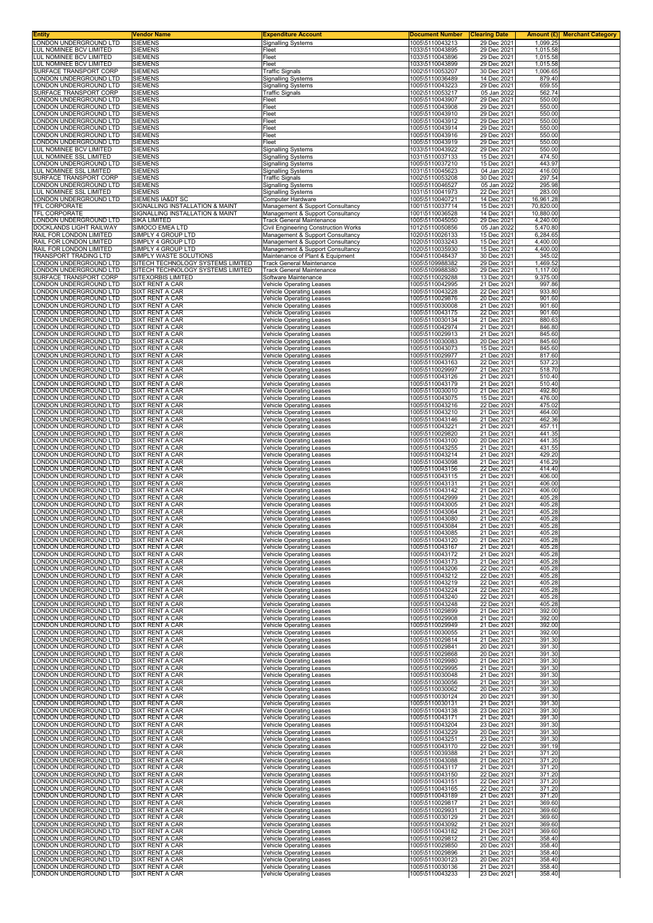| Entity                                                 | Vendor Name                                             | <b>Expenditure Account</b>                                               | <u>Document Number</u>             | <b>Clearing Date</b>       |                      | <b>Amount (£)</b> Merchant Category |
|--------------------------------------------------------|---------------------------------------------------------|--------------------------------------------------------------------------|------------------------------------|----------------------------|----------------------|-------------------------------------|
| LONDON UNDERGROUND LTD<br>LUL NOMINEE BCV LIMITED      | <b>SIEMENS</b><br><b>SIEMENS</b>                        | <b>Signalling Systems</b><br>Fleet                                       | 1005\5110043213<br>1033\5110043895 | 29 Dec 2021<br>29 Dec 2021 | 1,099.25<br>1,015.58 |                                     |
| LUL NOMINEE BCV LIMITED                                | <b>SIEMENS</b>                                          | Fleet                                                                    | 1033\5110043896                    | 29 Dec 2021                | 1,015.58             |                                     |
| <b>UL NOMINEE BCV LIMITED</b>                          | <b>SIEMENS</b>                                          | Fleet                                                                    | 1033\5110043899                    | 29 Dec 2021                | 1,015.58             |                                     |
| SURFACE TRANSPORT CORP                                 | <b>SIEMENS</b><br><b>SIEMENS</b>                        | <b>Traffic Signals</b>                                                   | 1002\5110053207                    | 30 Dec 2021                | 1,006.65<br>879.40   |                                     |
| ONDON UNDERGROUND LTD<br>ONDON UNDERGROUND LTD         | <b>SIEMENS</b>                                          | <b>Signalling Systems</b><br>Signalling Systems                          | 1005\5110036489<br>1005\5110043223 | 14 Dec 2021<br>29 Dec 2021 | 659.55               |                                     |
| SURFACE TRANSPORT CORP                                 | <b>SIEMENS</b>                                          | <b>Traffic Signals</b>                                                   | 1002\5110053217                    | 05 Jan 2022                | 562.74               |                                     |
| ONDON UNDERGROUND LTD<br>ONDON UNDERGROUND LTD         | <b>SIEMENS</b><br><b>SIEMENS</b>                        | Fleet<br>Fleet                                                           | 1005\5110043907<br>1005\5110043908 | 29 Dec 2021<br>29 Dec 2021 | 550.00<br>550.00     |                                     |
| ONDON UNDERGROUND LTD                                  | <b>SIEMENS</b>                                          | Fleet                                                                    | 1005\5110043910                    | 29 Dec 2021                | 550.00               |                                     |
| ONDON UNDERGROUND LTD                                  | <b>SIEMENS</b>                                          | Fleet                                                                    | 1005\5110043912                    | 29 Dec 2021                | 550.00               |                                     |
| ONDON UNDERGROUND LTD                                  | <b>SIEMENS</b>                                          | Fleet                                                                    | 1005\5110043914                    | 29 Dec 2021                | 550.00               |                                     |
| ONDON UNDERGROUND LTD.<br>ONDON UNDERGROUND LTD        | <b>SIEMENS</b><br><b>SIEMENS</b>                        | Fleet<br>Fleet                                                           | 1005\5110043916<br>1005\5110043919 | 29 Dec 2021<br>29 Dec 2021 | 550.00<br>550.00     |                                     |
| <b>UL NOMINEE BCV LIMITED</b>                          | <b>SIEMENS</b>                                          | <b>Signalling Systems</b>                                                | 1033\5110043922                    | 29 Dec 2021                | 550.00               |                                     |
| UL NOMINEE SSL LIMITED<br>ONDON UNDERGROUND LTD        | <b>SIEMENS</b>                                          | <b>Signalling Systems</b>                                                | 1031\5110037133                    | 15 Dec 2021                | 474.50               |                                     |
| <b>UL NOMINEE SSL LIMITED</b>                          | <b>SIEMENS</b><br><b>SIEMENS</b>                        | <b>Signalling Systems</b><br>Signalling Systems                          | 1005\5110037210<br>1031\5110045623 | 15 Dec 2021<br>04 Jan 2022 | 443.97<br>416.00     |                                     |
| SURFACE TRANSPORT CORP                                 | <b>SIEMENS</b>                                          | <b>Traffic Signals</b>                                                   | 1002\5110053208                    | 30 Dec 2021                | 297.54               |                                     |
| ONDON UNDERGROUND LTD<br><b>UL NOMINEE SSL LIMITED</b> | <b>SIEMENS</b>                                          | <b>Signalling Systems</b>                                                | 1005\5110046527                    | 05 Jan 2022                | 295.98               |                                     |
| LONDON UNDERGROUND LTD                                 | <b>SIEMENS</b><br>SIEMENS IA&DT SC                      | <b>Signalling Systems</b><br>Computer Hardware                           | 1031\5110041973<br>1005\5110040721 | 22 Dec 2021<br>14 Dec 2021 | 283.00<br>16,961.28  |                                     |
| TFL CORPORATE                                          | SIGNALLING INSTALLATION & MAINT                         | Management & Support Consultancy                                         | 1001\5110037714                    | 15 Dec 2021                | 70,820.00            |                                     |
| TFL CORPORATE                                          | SIGNALLING INSTALLATION & MAINT                         | Management & Support Consultancy                                         | 1001\5110036528                    | 14 Dec 2021                | 10,880.00            |                                     |
| ONDON UNDERGROUND LTD<br>DOCKLANDS LIGHT RAILWAY       | SIKA LIMITED<br>SIMOCO EMEA LTD                         | <b>Track General Maintenance</b><br>Civil Engineering Construction Works | 1005\5110045050<br>1012\5110050856 | 29 Dec 2021<br>05 Jan 2022 | 4,240.00<br>5,470.80 |                                     |
| RAIL FOR LONDON LIMITED                                | SIMPLY 4 GROUP LTD                                      | Management & Support Consultancy                                         | 1020\5110026133                    | 15 Dec 2021                | 6,284.65             |                                     |
| RAIL FOR LONDON LIMITED<br>RAIL FOR LONDON LIMITED     | SIMPLY 4 GROUP LTD<br>SIMPLY 4 GROUP LTD                | Management & Support Consultancy                                         | 1020\5110033243<br>1020\5110035930 | 15 Dec 2021<br>15 Dec 2021 | 4,400.00<br>4.400.00 |                                     |
| <b>FRANSPORT TRADING LTD</b>                           | SIMPLY WASTE SOLUTIONS                                  | Management & Support Consultancy<br>Maintenance of Plant & Equipment     | 1004\5110048437                    | 30 Dec 2021                | 345.02               |                                     |
| ONDON UNDERGROUND LTD                                  | SITECH TECHNOLOGY SYSTEMS LIMITED                       | <b>Track General Maintenance</b>                                         | 1005\5109988382                    | 29 Dec 2021                | 1,469.52             |                                     |
| ONDON UNDERGROUND LTD<br>SURFACE TRANSPORT CORP        | SITECH TECHNOLOGY SYSTEMS LIMITED<br>SITEXORBIS LIMITED | <b>Track General Maintenance</b><br>Software Maintenance                 | 1005\5109988380<br>1002\5110029288 | 29 Dec 2021<br>13 Dec 2021 | 1,117.00<br>9,375.00 |                                     |
| ONDON UNDERGROUND LTD                                  | SIXT RENT A CAR                                         | Vehicle Operating Leases                                                 | 1005\5110042995                    | 21 Dec 2021                | 997.86               |                                     |
| ONDON UNDERGROUND LTD                                  | <b>SIXT RENT A CAR</b>                                  | <b>Vehicle Operating Leases</b>                                          | 1005\5110043228                    | 22 Dec 2021                | 933.80               |                                     |
| ONDON UNDERGROUND LTD<br>ONDON UNDERGROUND LTD.        | SIXT RENT A CAR<br>SIXT RENT A CAR                      | Vehicle Operating Leases<br>Vehicle Operating Leases                     | 1005\5110029876<br>1005\5110030008 | 20 Dec 2021<br>21 Dec 2021 | 901.60<br>901.60     |                                     |
| ONDON UNDERGROUND LTD                                  | SIXT RENT A CAR                                         | <b>Vehicle Operating Leases</b>                                          | 1005\5110043175                    | 22 Dec 2021                | 901.60               |                                     |
| ONDON UNDERGROUND LTD                                  | SIXT RENT A CAR                                         | Vehicle Operating Leases                                                 | 1005\5110030134                    | 21 Dec 2021                | 880.63               |                                     |
| ONDON UNDERGROUND LTD<br>ONDON UNDERGROUND LTD         | SIXT RENT A CAR<br>SIXT RENT A CAR                      | <b>Vehicle Operating Leases</b><br><b>Vehicle Operating Leases</b>       | 1005\5110042974<br>1005\5110029913 | 21 Dec 2021<br>21 Dec 2021 | 846.80<br>845.60     |                                     |
| ONDON UNDERGROUND LTD                                  | SIXT RENT A CAR                                         | <b>Vehicle Operating Leases</b>                                          | 1005\5110030083                    | 20 Dec 2021                | 845.60               |                                     |
| ONDON UNDERGROUND LTD                                  | SIXT RENT A CAR                                         | Vehicle Operating Leases                                                 | 1005\5110043073                    | 15 Dec 2021                | 845.60               |                                     |
| ONDON UNDERGROUND LTD<br>ONDON UNDERGROUND LTD         | SIXT RENT A CAR                                         | <b>Vehicle Operating Leases</b>                                          | 1005\5110029977                    | 21 Dec 2021                | 817.60               |                                     |
| ONDON UNDERGROUND LTD                                  | SIXT RENT A CAR<br>SIXT RENT A CAR                      | Vehicle Operating Leases<br>Vehicle Operating Leases                     | 1005\5110043163<br>1005\5110029997 | 22 Dec 2021<br>21 Dec 2021 | 537.23<br>518.70     |                                     |
| ONDON UNDERGROUND LTD                                  | SIXT RENT A CAR                                         | <b>Vehicle Operating Leases</b>                                          | 1005\5110043126                    | 21 Dec 2021                | 510.40               |                                     |
| ONDON UNDERGROUND LTD.<br>ONDON UNDERGROUND LTD        | SIXT RENT A CAR<br>SIXT RENT A CAR                      | Vehicle Operating Leases<br>Vehicle Operating Leases                     | 1005\5110043179<br>1005\5110030010 | 21 Dec 2021<br>21 Dec 2021 | 510.40<br>492.80     |                                     |
| ONDON UNDERGROUND LTD                                  | SIXT RENT A CAR                                         | <b>Vehicle Operating Leases</b>                                          | 1005\5110043075                    | 15 Dec 2021                | 476.00               |                                     |
| ONDON UNDERGROUND LTD.                                 | SIXT RENT A CAR                                         | <b>Vehicle Operating Leases</b>                                          | 1005\5110043216                    | 22 Dec 2021                | 475.02               |                                     |
| ONDON UNDERGROUND LTD<br>ONDON UNDERGROUND LTD         | SIXT RENT A CAR<br>SIXT RENT A CAR                      | <b>Vehicle Operating Leases</b><br><b>Vehicle Operating Leases</b>       | 1005\5110043210<br>1005\5110043146 | 21 Dec 2021<br>21 Dec 2021 | 464.00<br>462.36     |                                     |
| ONDON UNDERGROUND LTD                                  | <b>SIXT RENT A CAR</b>                                  | Vehicle Operating Leases                                                 | 1005\5110043221                    | 21 Dec 2021                | 457.11               |                                     |
| ONDON UNDERGROUND LTD                                  | <b>SIXT RENT A CAR</b>                                  | Vehicle Operating Leases                                                 | 1005\5110029820                    | 21 Dec 2021                | 441.35               |                                     |
| ONDON UNDERGROUND LTD<br>ONDON UNDERGROUND LTD         | <b>SIXT RENT A CAR</b><br>SIXT RENT A CAR               | <b>Vehicle Operating Leases</b><br><b>Vehicle Operating Leases</b>       | 1005\5110043100<br>1005\5110043255 | 20 Dec 2021<br>21 Dec 2021 | 441.35<br>431.55     |                                     |
| ONDON UNDERGROUND LTD                                  | SIXT RENT A CAR                                         | Vehicle Operating Leases                                                 | 1005\5110043214                    | 21 Dec 2021                | 429.20               |                                     |
| ONDON UNDERGROUND LTD                                  | SIXT RENT A CAR                                         | <b>Vehicle Operating Leases</b>                                          | 1005\5110043098                    | 21 Dec 2021                | 416.29               |                                     |
| ONDON UNDERGROUND LTD<br>ONDON UNDERGROUND LTD         | <b>SIXT RENT A CAR</b><br>SIXT RENT A CAR               | <b>Vehicle Operating Leases</b><br>Vehicle Operating Leases              | 1005\5110043156<br>1005\5110043115 | 22 Dec 2021<br>21 Dec 2021 | 414.40<br>406.00     |                                     |
| ONDON UNDERGROUND LTD.                                 | <b>SIXT RENT A CAR</b>                                  | Vehicle Operating Leases                                                 | 1005\5110043131                    | 21 Dec 2021                | 406.00               |                                     |
| ONDON UNDERGROUND LTD                                  | SIXT RENT A CAR                                         | <b>Vehicle Operating Leases</b>                                          | 1005\5110043142                    | 21 Dec 2021                | 406.00               |                                     |
| ONDON UNDERGROUND LTD<br>ONDON UNDERGROUND LTD         | <b>SIXT RENT A CAR</b><br>SIXT RENT A CAR               | Vehicle Operating Leases<br><b>Vehicle Operating Leases</b>              | 1005\5110042999<br>1005\5110043005 | 21 Dec 2021<br>21 Dec 2021 | 405.28<br>405.28     |                                     |
| ONDON UNDERGROUND LTD                                  | SIXT RENT A CAR                                         | <b>Vehicle Operating Leases</b>                                          | 1005\5110043064                    | 21 Dec 2021                | 405.28               |                                     |
| ONDON UNDERGROUND LTD                                  | <b>SIXT RENT A CAR</b>                                  | Vehicle Operating Leases                                                 | 1005\5110043080                    | 21 Dec 2021                | 405.28               |                                     |
| ONDON UNDERGROUND LTD.<br>ONDON UNDERGROUND LTD.       | SIXT RENT A CAR<br>SIXT RENT A CAR                      | Vehicle Operating Leases<br><b>Vehicle Operating Leases</b>              | 1005\5110043084<br>1005\5110043085 | 21 Dec 2021<br>21 Dec 2021 | 405.28<br>405.28     |                                     |
| LONDON UNDERGROUND LTD                                 | SIXT RENT A CAR                                         | <b>Vehicle Operating Leases</b>                                          | 1005\5110043120                    | 21 Dec 2021                | 405.28               |                                     |
| LONDON UNDERGROUND LTD                                 | SIXT RENT A CAR                                         | <b>Vehicle Operating Leases</b>                                          | 1005\5110043167                    | 21 Dec 2021                | 405.28               |                                     |
| LONDON UNDERGROUND LTD<br>ONDON UNDERGROUND LTD        | SIXT RENT A CAR<br>SIXT RENT A CAR                      | <b>Vehicle Operating Leases</b><br>Vehicle Operating Leases              | 1005\5110043172<br>1005\5110043173 | 21 Dec 2021<br>21 Dec 2021 | 405.28<br>405.28     |                                     |
| ONDON UNDERGROUND LTD                                  | SIXT RENT A CAR                                         | Vehicle Operating Leases                                                 | 1005\5110043206                    | 22 Dec 2021                | 405.28               |                                     |
| ONDON UNDERGROUND LTD.                                 | SIXT RENT A CAR                                         | <b>Vehicle Operating Leases</b>                                          | 1005\5110043212                    | 22 Dec 2021                | 405.28               |                                     |
| ONDON UNDERGROUND LTD.<br>ONDON UNDERGROUND LTD        | SIXT RENT A CAR<br>SIXT RENT A CAR                      | <b>Vehicle Operating Leases</b><br><b>Vehicle Operating Leases</b>       | 1005\5110043219<br>1005\5110043224 | 22 Dec 2021<br>22 Dec 2021 | 405.28<br>405.28     |                                     |
| ONDON UNDERGROUND LTD                                  | SIXT RENT A CAR                                         | <b>Vehicle Operating Leases</b>                                          | 1005\5110043240                    | 22 Dec 2021                | 405.28               |                                     |
| ONDON UNDERGROUND LTD                                  | SIXT RENT A CAR                                         | <b>Vehicle Operating Leases</b>                                          | 1005\5110043248                    | 22 Dec 2021                | 405.28               |                                     |
| ONDON UNDERGROUND LTD<br>ONDON UNDERGROUND LTD         | SIXT RENT A CAR<br>SIXT RENT A CAR                      | <b>Vehicle Operating Leases</b><br><b>Vehicle Operating Leases</b>       | 1005\5110029899<br>1005\5110029908 | 21 Dec 2021<br>21 Dec 2021 | 392.00<br>392.00     |                                     |
| ONDON UNDERGROUND LTD                                  | SIXT RENT A CAR                                         | <b>Vehicle Operating Leases</b>                                          | 1005\5110029949                    | 21 Dec 2021                | 392.00               |                                     |
| LONDON UNDERGROUND LTD                                 | <b>SIXT RENT A CAR</b>                                  | Vehicle Operating Leases                                                 | 1005\5110030055                    | 21 Dec 2021                | 392.00               |                                     |
| ONDON UNDERGROUND LTD<br>ONDON UNDERGROUND LTD         | SIXT RENT A CAR<br>SIXT RENT A CAR                      | <b>Vehicle Operating Leases</b><br><b>Vehicle Operating Leases</b>       | 1005\5110029814<br>1005\5110029841 | 21 Dec 2021<br>20 Dec 2021 | 391.30<br>391.30     |                                     |
| ONDON UNDERGROUND LTD                                  | SIXT RENT A CAR                                         | Vehicle Operating Leases                                                 | 1005\5110029868                    | 20 Dec 2021                | 391.30               |                                     |
| ONDON UNDERGROUND LTD                                  | SIXT RENT A CAR                                         | <b>Vehicle Operating Leases</b>                                          | 1005\5110029980                    | 21 Dec 2021                | 391.30               |                                     |
| ONDON UNDERGROUND LTD.<br>ONDON UNDERGROUND LTD        | SIXT RENT A CAR<br>SIXT RENT A CAR                      | <b>Vehicle Operating Leases</b><br><b>Vehicle Operating Leases</b>       | 1005\5110029995<br>1005\5110030048 | 21 Dec 2021<br>21 Dec 2021 | 391.30<br>391.30     |                                     |
| ONDON UNDERGROUND LTD                                  | SIXT RENT A CAR                                         | <b>Vehicle Operating Leases</b>                                          | 1005\5110030056                    | 21 Dec 2021                | 391.30               |                                     |
| ONDON UNDERGROUND LTD                                  | SIXT RENT A CAR                                         | <b>Vehicle Operating Leases</b>                                          | 1005\5110030062                    | 20 Dec 2021                | 391.30               |                                     |
| ONDON UNDERGROUND LTD<br>ONDON UNDERGROUND LTD         | SIXT RENT A CAR<br>SIXT RENT A CAR                      | Vehicle Operating Leases<br>Vehicle Operating Leases                     | 1005\5110030124<br>1005\5110030131 | 20 Dec 2021<br>21 Dec 2021 | 391.30<br>391.30     |                                     |
| ONDON UNDERGROUND LTD                                  | SIXT RENT A CAR                                         | <b>Vehicle Operating Leases</b>                                          | 1005\5110043138                    | 23 Dec 2021                | 391.30               |                                     |
| ONDON UNDERGROUND LTD                                  | SIXT RENT A CAR                                         | <b>Vehicle Operating Leases</b>                                          | 1005\5110043171                    | 21 Dec 2021                | 391.30               |                                     |
| ONDON UNDERGROUND LTD<br>ONDON UNDERGROUND LTD.        | SIXT RENT A CAR<br>SIXT RENT A CAR                      | <b>Vehicle Operating Leases</b><br><b>Vehicle Operating Leases</b>       | 1005\5110043204<br>1005\5110043229 | 23 Dec 2021<br>20 Dec 2021 | 391.30<br>391.30     |                                     |
| ONDON UNDERGROUND LTD                                  | SIXT RENT A CAR                                         | <b>Vehicle Operating Leases</b>                                          | 1005\5110043251                    | 23 Dec 2021                | 391.30               |                                     |
| ONDON UNDERGROUND LTD                                  | SIXT RENT A CAR                                         | Vehicle Operating Leases                                                 | 1005\5110043170                    | 22 Dec 2021                | 391.19               |                                     |
| ONDON UNDERGROUND LTD.<br>ONDON UNDERGROUND LTD        | SIXT RENT A CAR<br>SIXT RENT A CAR                      | <b>Vehicle Operating Leases</b><br><b>Vehicle Operating Leases</b>       | 1005\5110039388<br>1005\5110043088 | 21 Dec 2021<br>21 Dec 2021 | 371.20<br>371.20     |                                     |
| ONDON UNDERGROUND LTD                                  | SIXT RENT A CAR                                         | <b>Vehicle Operating Leases</b>                                          | 1005\5110043117                    | 21 Dec 2021                | 371.20               |                                     |
| ONDON UNDERGROUND LTD                                  | SIXT RENT A CAR                                         | <b>Vehicle Operating Leases</b>                                          | 1005\5110043150                    | 22 Dec 2021                | 371.20               |                                     |
| ONDON UNDERGROUND LTD<br>ONDON UNDERGROUND LTD         | SIXT RENT A CAR<br>SIXT RENT A CAR                      | <b>Vehicle Operating Leases</b><br><b>Vehicle Operating Leases</b>       | 1005\5110043151<br>1005\5110043165 | 22 Dec 2021<br>22 Dec 2021 | 371.20<br>371.20     |                                     |
| ONDON UNDERGROUND LTD                                  | SIXT RENT A CAR                                         | <b>Vehicle Operating Leases</b>                                          | 1005\5110043189                    | 21 Dec 2021                | 371.20               |                                     |
| ONDON UNDERGROUND LTD<br>ONDON UNDERGROUND LTD         | SIXT RENT A CAR<br>SIXT RENT A CAR                      | Vehicle Operating Leases                                                 | 1005\5110029817<br>1005\5110029931 | 21 Dec 2021<br>21 Dec 2021 | 369.60<br>369.60     |                                     |
| ONDON UNDERGROUND LTD                                  | SIXT RENT A CAR                                         | <b>Vehicle Operating Leases</b><br><b>Vehicle Operating Leases</b>       | 1005\5110030129                    | 21 Dec 2021                | 369.60               |                                     |
| ONDON UNDERGROUND LTD                                  | SIXT RENT A CAR                                         | <b>Vehicle Operating Leases</b>                                          | 1005\5110043092                    | 21 Dec 2021                | 369.60               |                                     |
| ONDON UNDERGROUND LTD<br>ONDON UNDERGROUND LTD         | SIXT RENT A CAR<br>SIXT RENT A CAR                      | Vehicle Operating Leases<br><b>Vehicle Operating Leases</b>              | 1005\5110043182<br>1005\5110029812 | 21 Dec 2021<br>21 Dec 2021 | 369.60<br>358.40     |                                     |
| ONDON UNDERGROUND LTD.                                 | SIXT RENT A CAR                                         | <b>Vehicle Operating Leases</b>                                          | 1005\5110029850                    | 20 Dec 2021                | 358.40               |                                     |
| ONDON UNDERGROUND LTD                                  | SIXT RENT A CAR                                         | Vehicle Operating Leases                                                 | 1005\5110029896                    | 21 Dec 2021                | 358.40               |                                     |
| ONDON UNDERGROUND LTD<br>ONDON UNDERGROUND LTD         | SIXT RENT A CAR<br>SIXT RENT A CAR                      | <b>Vehicle Operating Leases</b><br>Vehicle Operating Leases              | 1005\5110030123<br>1005\5110030136 | 20 Dec 2021<br>21 Dec 2021 | 358.40<br>358.40     |                                     |
| LONDON UNDERGROUND LTD                                 | SIXT RENT A CAR                                         | Vehicle Operating Leases                                                 | 1005\5110043233                    | 23 Dec 2021                | 358.40               |                                     |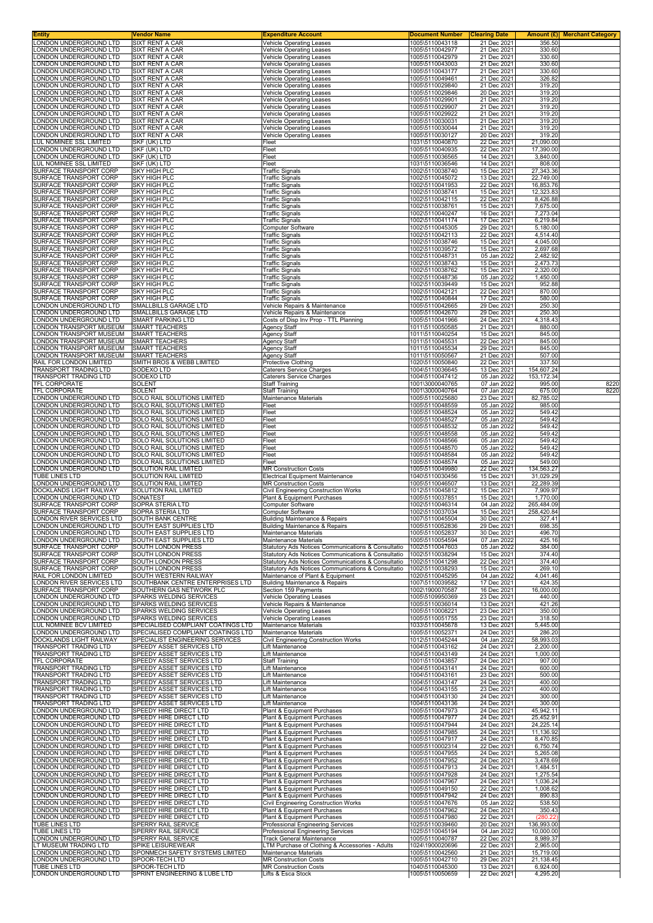| <b>Entity</b>                                         | Vendor Name                                                | <b>Expenditure Account</b>                                                                               | <b>Document Number</b>             | <b>Clearing Date</b>       |                          | Amount (£) Merchant Category |
|-------------------------------------------------------|------------------------------------------------------------|----------------------------------------------------------------------------------------------------------|------------------------------------|----------------------------|--------------------------|------------------------------|
| LONDON UNDERGROUND LTD                                | <b>SIXT RENT A CAR</b>                                     | <b>Vehicle Operating Leases</b>                                                                          | 1005\5110043118                    | 21 Dec 2021                | 356.50                   |                              |
| LONDON UNDERGROUND LTD<br>LONDON UNDERGROUND LTD      | SIXT RENT A CAR<br>SIXT RENT A CAR                         | <b>Vehicle Operating Leases</b>                                                                          | 1005\5110042977<br>1005\5110042979 | 21 Dec 2021<br>21 Dec 2021 | 330.60<br>330.60         |                              |
| <b>LONDON UNDERGROUND LTD</b>                         | <b>SIXT RENT A CAR</b>                                     | Vehicle Operating Leases<br><b>Vehicle Operating Leases</b>                                              | 1005\5110043003                    | 21 Dec 2021                | 330.60                   |                              |
| LONDON UNDERGROUND LTD                                | <b>SIXT RENT A CAR</b>                                     | Vehicle Operating Leases                                                                                 | 1005\5110043177                    | 21 Dec 2021                | 330.60                   |                              |
| LONDON UNDERGROUND LTD                                | SIXT RENT A CAR                                            | Vehicle Operating Leases                                                                                 | 1005\5110049461                    | 21 Dec 2021                | 326.82                   |                              |
| LONDON UNDERGROUND LTD                                | SIXT RENT A CAR                                            | <b>Vehicle Operating Leases</b>                                                                          | 1005\5110029840                    | 21 Dec 2021                | 319.20                   |                              |
| LONDON UNDERGROUND LTD                                | SIXT RENT A CAR                                            | <b>Vehicle Operating Leases</b>                                                                          | 1005\5110029846                    | 20 Dec 2021                | 319.20                   |                              |
| LONDON UNDERGROUND LTD<br>LONDON UNDERGROUND LTD      | SIXT RENT A CAR<br>SIXT RENT A CAR                         | Vehicle Operating Leases                                                                                 | 1005\5110029901                    | 21 Dec 2021<br>21 Dec 2021 | 319.20<br>319.20         |                              |
| LONDON UNDERGROUND LTD                                | <b>SIXT RENT A CAR</b>                                     | Vehicle Operating Leases<br>Vehicle Operating Leases                                                     | 1005\5110029907<br>1005\5110029922 | 21 Dec 2021                | 319.20                   |                              |
| LONDON UNDERGROUND LTD                                | SIXT RENT A CAR                                            | Vehicle Operating Leases                                                                                 | 1005\5110030031                    | 21 Dec 2021                | 319.20                   |                              |
| LONDON UNDERGROUND LTD                                | SIXT RENT A CAR                                            | Vehicle Operating Leases                                                                                 | 1005\5110030044                    | 21 Dec 2021                | 319.20                   |                              |
| LONDON UNDERGROUND LTD                                | SIXT RENT A CAR                                            | <b>Vehicle Operating Leases</b>                                                                          | 1005\5110030127                    | 20 Dec 2021                | 319.20                   |                              |
| LUL NOMINEE SSL LIMITED                               | SKF (UK) LTD                                               | Fleet                                                                                                    | 1031\5110040870                    | 22 Dec 2021                | 21,090.00                |                              |
| LONDON UNDERGROUND LTD                                | SKF (UK) LTD                                               | Fleet                                                                                                    | 1005\5110040935                    | 22 Dec 2021                | 17,390.00                |                              |
| LONDON UNDERGROUND LTD                                | SKF (UK) LTD                                               | Fleet<br>Fleet                                                                                           | 1005\5110036565<br>1031\5110036546 | 14 Dec 2021                | 3,840.00                 |                              |
| LUL NOMINEE SSL LIMITED<br>SURFACE TRANSPORT CORP     | SKF (UK) LTD<br><b>SKY HIGH PLC</b>                        | <b>Traffic Signals</b>                                                                                   | 1002\5110038740                    | 14 Dec 2021<br>15 Dec 2021 | 808.00<br>27,343.36      |                              |
| SURFACE TRANSPORT CORP                                | <b>SKY HIGH PLC</b>                                        | <b>Traffic Signals</b>                                                                                   | 1002\5110045072                    | 13 Dec 2021                | 22,749.00                |                              |
| SURFACE TRANSPORT CORP                                | <b>SKY HIGH PLC</b>                                        | <b>Traffic Signals</b>                                                                                   | 1002\5110041953                    | 22 Dec 2021                | 16,853.76                |                              |
| SURFACE TRANSPORT CORP                                | <b>SKY HIGH PLC</b>                                        | <b>Traffic Signals</b>                                                                                   | 1002\5110038741                    | 15 Dec 2021                | 12,323.83                |                              |
| SURFACE TRANSPORT CORP                                | <b>SKY HIGH PLC</b>                                        | <b>Traffic Signals</b>                                                                                   | 1002\5110042115                    | 22 Dec 2021                | 8,426.88                 |                              |
| SURFACE TRANSPORT CORP                                | <b>SKY HIGH PLC</b>                                        | <b>Traffic Signals</b>                                                                                   | 1002\5110038761                    | 15 Dec 2021                | 7,675.00                 |                              |
| SURFACE TRANSPORT CORP<br>SURFACE TRANSPORT CORP      | <b>SKY HIGH PLC</b><br><b>SKY HIGH PLC</b>                 | <b>Traffic Signals</b><br><b>Traffic Signals</b>                                                         | 1002\5110040247<br>1002\5110041174 | 16 Dec 2021<br>17 Dec 2021 | 7,273.04<br>6,219.84     |                              |
| SURFACE TRANSPORT CORP                                | <b>SKY HIGH PLC</b>                                        | Computer Software                                                                                        | 1002\5110045305                    | 29 Dec 2021                | 5,180.00                 |                              |
| SURFACE TRANSPORT CORP                                | <b>SKY HIGH PLC</b>                                        | <b>Traffic Signals</b>                                                                                   | 1002\5110042113                    | 22 Dec 2021                | 4,514.40                 |                              |
| SURFACE TRANSPORT CORP                                | <b>SKY HIGH PLC</b>                                        | <b>Traffic Signals</b>                                                                                   | 1002\5110038746                    | 15 Dec 2021                | 4,045.00                 |                              |
| SURFACE TRANSPORT CORP                                | <b>SKY HIGH PLC</b>                                        | <b>Traffic Signals</b>                                                                                   | 1002\5110039572                    | 15 Dec 2021                | 2,697.68                 |                              |
| SURFACE TRANSPORT CORP                                | <b>SKY HIGH PLC</b>                                        | <b>Traffic Signals</b>                                                                                   | 1002\5110048731                    | 05 Jan 2022                | 2,482.92                 |                              |
| SURFACE TRANSPORT CORP<br>SURFACE TRANSPORT CORP      | <b>SKY HIGH PLC</b><br><b>SKY HIGH PLC</b>                 | <b>Traffic Signals</b><br><b>Traffic Signals</b>                                                         | 1002\5110038743<br>1002\5110038762 | 15 Dec 2021<br>15 Dec 2021 | 2,473.73<br>2,320.00     |                              |
| SURFACE TRANSPORT CORP                                | <b>SKY HIGH PLC</b>                                        | <b>Traffic Signals</b>                                                                                   | 1002\5110048736                    | 05 Jan 2022                | 1,450.00                 |                              |
| SURFACE TRANSPORT CORP                                | <b>SKY HIGH PLC</b>                                        | <b>Traffic Signals</b>                                                                                   | 1002\5110039449                    | 15 Dec 2021                | 952.88                   |                              |
| SURFACE TRANSPORT CORP                                | <b>SKY HIGH PLC</b>                                        | <b>Traffic Signals</b>                                                                                   | 1002\5110042121                    | 22 Dec 2021                | 870.00                   |                              |
| SURFACE TRANSPORT CORP                                | <b>SKY HIGH PLC</b>                                        | <b>Traffic Signals</b>                                                                                   | 1002\5110040844                    | 17 Dec 2021                | 580.00                   |                              |
| LONDON UNDERGROUND LTD                                | SMALLBILLS GARAGE LTD                                      | Vehicle Repairs & Maintenance                                                                            | 1005\5110042665                    | 29 Dec 2021                | 250.30                   |                              |
| LONDON UNDERGROUND LTD<br>LONDON UNDERGROUND LTD      | SMALLBILLS GARAGE LTD<br>SMART PARKING LTD                 | Vehicle Repairs & Maintenance<br>Costs of Disp Inv Prop - TTL Planning                                   | 1005\5110042670<br>1005\5110041966 | 29 Dec 2021<br>24 Dec 2021 | 250.30<br>4,318.43       |                              |
| LONDON TRANSPORT MUSEUM                               | <b>SMART TEACHERS</b>                                      | Agency Staff                                                                                             | 1011\5110050585                    | 21 Dec 2021                | 880.00                   |                              |
| LONDON TRANSPORT MUSEUM                               | <b>SMART TEACHERS</b>                                      | Agency Staff                                                                                             | 1011\5110040254                    | 15 Dec 2021                | 845.00                   |                              |
| LONDON TRANSPORT MUSEUM                               | SMART TEACHERS                                             | Agency Staff                                                                                             | 1011\5110045531                    | 22 Dec 2021                | 845.00                   |                              |
| LONDON TRANSPORT MUSEUM                               | SMART TEACHERS                                             | Agency Staff                                                                                             | 1011\5110045534                    | 29 Dec 2021                | 845.00                   |                              |
| LONDON TRANSPORT MUSEUM                               | <b>SMART TEACHERS</b>                                      | <b>Agency Staff</b>                                                                                      | 1011\5110050567                    | 21 Dec 2021                | 507.00                   |                              |
| RAIL FOR LONDON LIMITED<br>TRANSPORT TRADING LTD      | SMITH BROS & WEBB LIMITED<br>SODEXO LTD                    | Protective Clothing<br><b>Caterers Service Charges</b>                                                   | 1020\5110050840<br>1004\5110036645 | 22 Dec 2021<br>13 Dec 2021 | 337.50<br>154,607.24     |                              |
| TRANSPORT TRADING LTD                                 | SODEXO LTD                                                 | <b>Caterers Service Charges</b>                                                                          | 1004\5110047412                    | 05 Jan 2022                | 153, 172.34              |                              |
| TFL CORPORATE                                         | <b>SOLENT</b>                                              | <b>Staff Training</b>                                                                                    | 1001\3000040765                    | 07 Jan 2022                | 995.00                   | 8220                         |
| TFL CORPORATE                                         | <b>SOLENT</b>                                              | <b>Staff Training</b>                                                                                    | 1001\3000040764                    | 07 Jan 2022                | 675.00                   | 8220                         |
| LONDON UNDERGROUND LTD                                | SOLO RAIL SOLUTIONS LIMITED                                | Maintenance Materials                                                                                    | 1005\5110025680                    | 23 Dec 2021                | 82,785.02                |                              |
| LONDON UNDERGROUND LTD                                | SOLO RAIL SOLUTIONS LIMITED                                | Fleet                                                                                                    | 1005\5110048559                    | 05 Jan 2022                | 985.00                   |                              |
| LONDON UNDERGROUND LTD<br>LONDON UNDERGROUND LTD      | SOLO RAIL SOLUTIONS LIMITED<br>SOLO RAIL SOLUTIONS LIMITED | Fleet<br>Fleet                                                                                           | 1005\5110048524<br>1005\5110048527 | 05 Jan 2022<br>05 Jan 2022 | 549.42<br>549.42         |                              |
| LONDON UNDERGROUND LTD                                | SOLO RAIL SOLUTIONS LIMITED                                | Fleet                                                                                                    | 1005\5110048532                    | 05 Jan 2022                | 549.42                   |                              |
| LONDON UNDERGROUND LTD                                | SOLO RAIL SOLUTIONS LIMITED                                | Fleet                                                                                                    | 1005\5110048558                    | 05 Jan 2022                | 549.42                   |                              |
| LONDON UNDERGROUND LTD                                | SOLO RAIL SOLUTIONS LIMITED                                | Fleet                                                                                                    | 1005\5110048566                    | 05 Jan 2022                | 549.42                   |                              |
| LONDON UNDERGROUND LTD                                | SOLO RAIL SOLUTIONS LIMITED                                | Fleet                                                                                                    | 1005\5110048570                    | 05 Jan 2022                | 549.42                   |                              |
| LONDON UNDERGROUND LTD                                | SOLO RAIL SOLUTIONS LIMITED<br>SOLO RAIL SOLUTIONS LIMITED | Fleet                                                                                                    | 1005\5110048584                    | 05 Jan 2022                | 549.42                   |                              |
| LONDON UNDERGROUND LTD<br>LONDON UNDERGROUND LTD      | <b>SOLUTION RAIL LIMITED</b>                               | Fleet<br><b>MR Construction Costs</b>                                                                    | 1005\5110048574<br>1005\5110049980 | 05 Jan 2022<br>22 Dec 2021 | 549.00<br>134,563.27     |                              |
| TUBE LINES LTD                                        | SOLUTION RAIL LIMITED                                      | <b>Electrical Equipment Maintenance</b>                                                                  | 1040\5110030456                    | 15 Dec 2021                | 31,029.29                |                              |
| LONDON UNDERGROUND LTD                                | SOLUTION RAIL LIMITED                                      | <b>MR Construction Costs</b>                                                                             | 1005\5110046507                    | 13 Dec 2021                | 22,289.39                |                              |
| DOCKLANDS LIGHT RAILWAY                               | <b>SOLUTION RAIL LIMITED</b>                               | Civil Engineering Construction Works                                                                     | 1012\5110045812                    | 15 Dec 2021                | 7,909.97                 |                              |
| LONDON UNDERGROUND LTD                                | SONATEST                                                   | Plant & Equipment Purchases                                                                              | 1005\5110037851                    | 15 Dec 2021                | 1,770.00                 |                              |
| SURFACE TRANSPORT CORP<br>SURFACE TRANSPORT CORP      | SOPRA STERIA LTD<br>SOPRA STERIA LTD                       | Computer Software<br>Computer Software                                                                   | 1002\5110046314<br>1002\5110037034 | 04 Jan 2022<br>15 Dec 2021 | 265,484.09<br>258,420.84 |                              |
| LONDON RIVER SERVICES LTD                             | SOUTH BANK CENTRE                                          | <b>Building Maintenance &amp; Repairs</b>                                                                | 1007\5110045504                    | 30 Dec 2021                | 327.41                   |                              |
| LONDON UNDERGROUND LTD                                | SOUTH EAST SUPPLIES LTD                                    | Building Maintenance & Repairs                                                                           | 005\5110052836                     | 29 Dec 2021                | 698.35                   |                              |
| LONDON UNDERGROUND LTD                                | <b>SOUTH EAST SUPPLIES LTD</b>                             | <b>Maintenance Materials</b>                                                                             | 1005\5110052837                    | 30 Dec 2021                | 496.70                   |                              |
| LONDON UNDERGROUND LTD                                | SOUTH EAST SUPPLIES LTD                                    | Maintenance Materials                                                                                    | 1005\5110054594                    | 07 Jan 2022                | 425.16                   |                              |
| SURFACE TRANSPORT CORP<br>SURFACE TRANSPORT CORP      | SOUTH LONDON PRESS                                         | Statutory Ads Notices Communications & Consultatio                                                       | 1002\5110047603                    | 05 Jan 2022                | 384.00<br>374.40         |                              |
| SURFACE TRANSPORT CORP                                | SOUTH LONDON PRESS<br>SOUTH LONDON PRESS                   | Statutory Ads Notices Communications & Consultatio<br>Statutory Ads Notices Communications & Consultatio | 1002\5110038294<br>1002\5110041298 | 15 Dec 2021<br>22 Dec 2021 | 374.40                   |                              |
| SURFACE TRANSPORT CORP                                | SOUTH LONDON PRESS                                         | Statutory Ads Notices Communications & Consultatio                                                       | 1002\5110038293                    | 15 Dec 2021                | 269.10                   |                              |
| RAIL FOR LONDON LIMITED                               | SOUTH WESTERN RAILWAY                                      | Maintenance of Plant & Equipment                                                                         | 1020\5110045295                    | 04 Jan 2022                | 4,041.46                 |                              |
| LONDON RIVER SERVICES LTD                             | SOUTHBANK CENTRE ENTERPRISES LTD                           | <b>Building Maintenance &amp; Repairs</b>                                                                | 1007\5110039582                    | 17 Dec 2021                | 424.35                   |                              |
| SURFACE TRANSPORT CORP                                | SOUTHERN GAS NETWORK PLC                                   | Section 159 Payments                                                                                     | 1002\1900070587                    | 16 Dec 2021                | 16,000.00                |                              |
| LONDON UNDERGROUND LTD                                | SPARKS WELDING SERVICES                                    | <b>Vehicle Operating Leases</b>                                                                          | 1005\5109950369                    | 23 Dec 2021                | 440.00<br>421.26         |                              |
| LONDON UNDERGROUND LTD<br>LONDON UNDERGROUND LTD      | SPARKS WELDING SERVICES<br>SPARKS WELDING SERVICES         | Vehicle Repairs & Maintenance<br>Vehicle Operating Leases                                                | 1005\5110036014<br>1005\5110008221 | 13 Dec 2021<br>23 Dec 2021 | 350.00                   |                              |
| LONDON UNDERGROUND LTD                                | SPARKS WELDING SERVICES                                    | <b>Vehicle Operating Leases</b>                                                                          | 1005\5110051755                    | 23 Dec 2021                | 318.50                   |                              |
| LUL NOMINEE BCV LIMITED                               | SPECIALISED COMPLIANT COATINGS LTD                         | Maintenance Materials                                                                                    | 1033\5110045678                    | 13 Dec 2021                | 5,445.00                 |                              |
| LONDON UNDERGROUND LTD                                | SPECIALISED COMPLIANT COATINGS LTD                         | Maintenance Materials                                                                                    | 1005\5110052371                    | 24 Dec 2021                | 286.20                   |                              |
| DOCKLANDS LIGHT RAILWAY                               | SPECIALIST ENGINEERING SERVICES                            | Civil Engineering Construction Works                                                                     | 1012\5110045244                    | 04 Jan 2022                | 58,993.03                |                              |
| TRANSPORT TRADING LTD<br>TRANSPORT TRADING LTD        | SPEEDY ASSET SERVICES LTD<br>SPEEDY ASSET SERVICES LTD     | Lift Maintenance<br>Lift Maintenance                                                                     | 1004\5110043162<br>1004\5110043149 | 24 Dec 2021<br>24 Dec 2021 | 2,200.00<br>1,000.00     |                              |
| TFL CORPORATE                                         | SPEEDY ASSET SERVICES LTD                                  | <b>Staff Training</b>                                                                                    | 1001\5110043857                    | 24 Dec 2021                | 907.00                   |                              |
| TRANSPORT TRADING LTD                                 | SPEEDY ASSET SERVICES LTD                                  | Lift Maintenance                                                                                         | 1004\5110043141                    | 24 Dec 2021                | 600.00                   |                              |
| TRANSPORT TRADING LTD                                 | SPEEDY ASSET SERVICES LTD                                  | Lift Maintenance                                                                                         | 1004\5110043161                    | 23 Dec 2021                | 500.00                   |                              |
| TRANSPORT TRADING LTD                                 | SPEEDY ASSET SERVICES LTD                                  | Lift Maintenance                                                                                         | 1004\5110043147                    | 24 Dec 2021                | 400.00                   |                              |
| TRANSPORT TRADING LTD<br><b>TRANSPORT TRADING LTD</b> | SPEEDY ASSET SERVICES LTD<br>SPEEDY ASSET SERVICES LTD     | Lift Maintenance<br>Lift Maintenance                                                                     | 1004\5110043155<br>1004\5110043130 | 23 Dec 2021<br>24 Dec 2021 | 400.00<br>300.00         |                              |
| TRANSPORT TRADING LTD                                 | SPEEDY ASSET SERVICES LTD                                  | Lift Maintenance                                                                                         | 1004\5110043136                    | 24 Dec 2021                | 300.00                   |                              |
| LONDON UNDERGROUND LTD                                | SPEEDY HIRE DIRECT LTD                                     | Plant & Equipment Purchases                                                                              | 1005\5110047973                    | 24 Dec 2021                | 45,942.11                |                              |
| LONDON UNDERGROUND LTD                                | SPEEDY HIRE DIRECT LTD                                     | Plant & Equipment Purchases                                                                              | 1005\5110047977                    | 24 Dec 2021                | 25,452.91                |                              |
| LONDON UNDERGROUND LTD                                | SPEEDY HIRE DIRECT LTD                                     | Plant & Equipment Purchases                                                                              | 1005\5110047944                    | 24 Dec 2021                | 24,225.14                |                              |
| LONDON UNDERGROUND LTD<br>LONDON UNDERGROUND LTD      | SPEEDY HIRE DIRECT LTD<br>SPEEDY HIRE DIRECT LTD           | Plant & Equipment Purchases<br>Plant & Equipment Purchases                                               | 1005\5110047985<br>1005\5110047917 | 24 Dec 2021<br>24 Dec 2021 | 11,136.92<br>8,470.85    |                              |
| LONDON UNDERGROUND LTD                                | SPEEDY HIRE DIRECT LTD                                     | Plant & Equipment Purchases                                                                              | 1005\5110002314                    | 22 Dec 2021                | 6,750.74                 |                              |
| LONDON UNDERGROUND LTD                                | SPEEDY HIRE DIRECT LTD                                     | Plant & Equipment Purchases                                                                              | 1005\5110047955                    | 24 Dec 2021                | 5,265.08                 |                              |
| LONDON UNDERGROUND LTD                                | SPEEDY HIRE DIRECT LTD                                     | Plant & Equipment Purchases                                                                              | 1005\5110047952                    | 24 Dec 2021                | 3,478.69                 |                              |
| LONDON UNDERGROUND LTD                                | SPEEDY HIRE DIRECT LTD                                     | Plant & Equipment Purchases                                                                              | 1005\5110047913                    | 24 Dec 2021                | 1,484.51                 |                              |
| LONDON UNDERGROUND LTD                                | SPEEDY HIRE DIRECT LTD                                     | Plant & Equipment Purchases                                                                              | 1005\5110047928                    | 24 Dec 2021                | 1,275.54                 |                              |
| LONDON UNDERGROUND LTD<br>LONDON UNDERGROUND LTD      | SPEEDY HIRE DIRECT LTD<br>SPEEDY HIRE DIRECT LTD           | Plant & Equipment Purchases<br>Plant & Equipment Purchases                                               | 1005\5110047967<br>1005\5110049150 | 24 Dec 2021<br>22 Dec 2021 | 1,036.24<br>1,008.62     |                              |
| LONDON UNDERGROUND LTD                                | SPEEDY HIRE DIRECT LTD                                     | Plant & Equipment Purchases                                                                              | 1005\5110047942                    | 24 Dec 2021                | 890.83                   |                              |
| LONDON UNDERGROUND LTD                                | SPEEDY HIRE DIRECT LTD                                     | Civil Engineering Construction Works                                                                     | 1005\5110047676                    | 05 Jan 2022                | 538.50                   |                              |
| LONDON UNDERGROUND LTD                                | SPEEDY HIRE DIRECT LTD                                     | Plant & Equipment Purchases                                                                              | 1005\5110047962                    | 24 Dec 2021                | 350.43                   |                              |
| LONDON UNDERGROUND LTD                                | SPEEDY HIRE DIRECT LTD                                     | Plant & Equipment Purchases                                                                              | 1005\5110047980                    | 22 Dec 2021                | (280.22)                 |                              |
| TUBE LINES LTD<br>TUBE LINES LTD                      | SPERRY RAIL SERVICE<br>SPERRY RAIL SERVICE                 | Professional Engineering Services                                                                        | 1025\5110039460<br>1025\5110045194 | 20 Dec 2021                | 136,993.00<br>10,000.00  |                              |
| LONDON UNDERGROUND LTD                                | SPERRY RAIL SERVICE                                        | Professional Engineering Services<br><b>Track General Maintenance</b>                                    | 1005\5110040787                    | 04 Jan 2022<br>22 Dec 2021 | 8,989.37                 |                              |
| LT MUSEUM TRADING LTD                                 | SPIKE LEISUREWEAR                                          | LTM Purchase of Clothing & Accessories - Adults                                                          | 1024\1900020696                    | 22 Dec 2021                | 2,965.00                 |                              |
| LONDON UNDERGROUND LTD                                | SPONMECH SAFETY SYSTEMS LIMITED                            | Maintenance Materials                                                                                    | 1005\5110042560                    | 21 Dec 2021                | 15,719.00                |                              |
| LONDON UNDERGROUND LTD                                | SPOOR-TECH LTD                                             | <b>MR Construction Costs</b>                                                                             | 1005\5110042710                    | 29 Dec 2021                | 21,138.45                |                              |
| TUBE LINES LTD<br>LONDON UNDERGROUND LTD              | SPOOR-TECH LTD<br>SPRINT ENGINEERING & LUBE LTD            | <b>MR Construction Costs</b><br>Lifts & Esca Stock                                                       | 1040\5110045300<br>1005\5110050659 | 13 Dec 2021<br>22 Dec 2021 | 6,924.00<br>4,295.20     |                              |
|                                                       |                                                            |                                                                                                          |                                    |                            |                          |                              |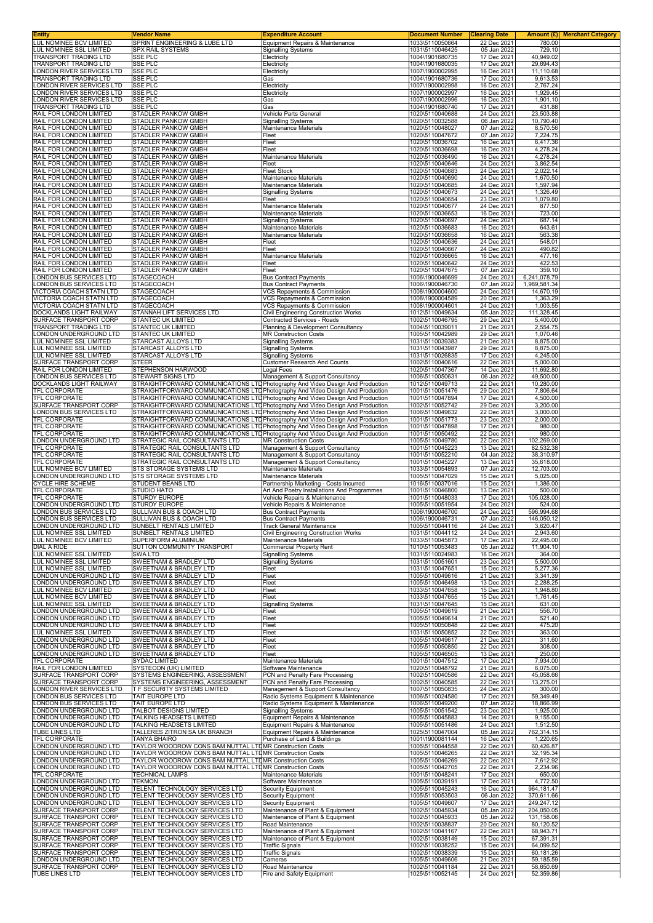| Entity<br>LUL NOMINEE BCV LIMITED                        | Vendor Name<br>SPRINT ENGINEERING & LUBE LTD                                                                                                                     | <b>Expenditure Account</b><br>Equipment Repairs & Maintenance                | <b>Document Number</b><br>1033\5110050664 | <b>Clearing Date</b><br>22 Dec 2021 | 780.00                   | Amount (£) Merchant Category |
|----------------------------------------------------------|------------------------------------------------------------------------------------------------------------------------------------------------------------------|------------------------------------------------------------------------------|-------------------------------------------|-------------------------------------|--------------------------|------------------------------|
| LUL NOMINEE SSL LIMITED                                  | <b>SPX RAIL SYSTEMS</b>                                                                                                                                          | <b>Signalling Systems</b>                                                    | 1031\5110046425                           | 05 Jan 2022                         | 729.10                   |                              |
| TRANSPORT TRADING LTD<br><b>TRANSPORT TRADING LTD</b>    | SSE PLC<br><b>SSE PLC</b>                                                                                                                                        | Electricity<br>Electricity                                                   | 1004\1901680735<br>1004\1901680035        | 17 Dec 2021<br>17 Dec 2021          | 40,949.02<br>29,694.43   |                              |
| ONDON RIVER SERVICES LTD                                 | <b>SSE PLC</b>                                                                                                                                                   | Electricity                                                                  | 1007\1900002995                           | 16 Dec 2021                         | 11,110.68                |                              |
| RANSPORT TRADING LTD<br>ONDON RIVER SERVICES LTD         | SSE PLC<br><b>SSE PLC</b>                                                                                                                                        | Gas                                                                          | 1004\1901680736<br>1007\1900002998        | 17 Dec 2021<br>16 Dec 2021          | 9,613.53<br>2,767.24     |                              |
| ONDON RIVER SERVICES LTD                                 | <b>SSE PLC</b>                                                                                                                                                   | Electricity<br>Electricity                                                   | 1007\1900002997                           | 16 Dec 2021                         | 1,929.45                 |                              |
| ONDON RIVER SERVICES LTD<br>TRANSPORT TRADING LTD        | <b>SSE PLC</b><br>SSE PLC                                                                                                                                        | Gas<br>Gas                                                                   | 1007\1900002996<br>1004\1901680740        | 16 Dec 2021<br>17 Dec 2021          | 1,901.10<br>431.88       |                              |
| RAIL FOR LONDON LIMITED                                  | <b>STADLER PANKOW GMBH</b>                                                                                                                                       | Vehicle Parts General                                                        | 1020\5110040688                           | 24 Dec 2021                         | 23,503.88                |                              |
| RAIL FOR LONDON LIMITED<br>RAIL FOR LONDON LIMITED       | STADLER PANKOW GMBH<br>STADLER PANKOW GMBH                                                                                                                       | <b>Signalling Systems</b><br>Maintenance Materials                           | 1020\5110032588<br>1020\5110048027        | 06 Jan 2022<br>07 Jan 2022          | 10,790.40<br>8,570.56    |                              |
| RAIL FOR LONDON LIMITED                                  | <b>STADLER PANKOW GMBH</b>                                                                                                                                       | Fleet                                                                        | 1020\5110047672                           | 07 Jan 2022                         | 7,224.75                 |                              |
| RAIL FOR LONDON LIMITED<br>RAIL FOR LONDON LIMITED       | STADLER PANKOW GMBH<br>STADLER PANKOW GMBH                                                                                                                       | Fleet<br>Fleet                                                               | 1020\5110036702<br>1020\5110036698        | 16 Dec 2021<br>16 Dec 2021          | 6,417.36<br>4,278.24     |                              |
| RAIL FOR LONDON LIMITED                                  | STADLER PANKOW GMBH                                                                                                                                              | Maintenance Materials                                                        | 1020\5110036490                           | 16 Dec 2021                         | 4,278.24                 |                              |
| RAIL FOR LONDON LIMITED<br>RAIL FOR LONDON LIMITED       | <b>STADLER PANKOW GMBH</b><br>STADLER PANKOW GMBH                                                                                                                | Fleet<br><b>Fleet Stock</b>                                                  | 1020\5110040646<br>1020\5110040683        | 24 Dec 2021<br>24 Dec 2021          | 3,862.54<br>2,022.14     |                              |
| RAIL FOR LONDON LIMITED                                  | STADLER PANKOW GMBH                                                                                                                                              | Maintenance Materials                                                        | 1020\5110040690                           | 24 Dec 2021                         | 1,670.50                 |                              |
| RAIL FOR LONDON LIMITED<br>RAIL FOR LONDON LIMITED       | STADLER PANKOW GMBH<br>STADLER PANKOW GMBH                                                                                                                       | Maintenance Materials<br><b>Signalling Systems</b>                           | 1020\5110040685<br>1020\5110040673        | 24 Dec 2021<br>24 Dec 2021          | 1,597.94<br>1,326.49     |                              |
| RAIL FOR LONDON LIMITED                                  | STADLER PANKOW GMBH                                                                                                                                              | Fleet                                                                        | 1020\5110040654                           | 23 Dec 2021                         | 1,079.80                 |                              |
| RAIL FOR LONDON LIMITED<br>RAIL FOR LONDON LIMITED       | STADLER PANKOW GMBH<br>STADLER PANKOW GMBH                                                                                                                       | Maintenance Materials<br>Maintenance Materials                               | 1020\5110040677<br>1020\5110036653        | 24 Dec 2021<br>16 Dec 2021          | 877.50<br>723.00         |                              |
| RAIL FOR LONDON LIMITED                                  | STADLER PANKOW GMBH                                                                                                                                              | <b>Signalling Systems</b>                                                    | 1020\5110040697                           | 24 Dec 2021                         | 687.14                   |                              |
| RAIL FOR LONDON LIMITED<br>RAIL FOR LONDON LIMITED       | STADLER PANKOW GMBH<br>STADLER PANKOW GMBH                                                                                                                       | Maintenance Materials<br>Maintenance Materials                               | 1020\5110036683<br>1020\5110036658        | 16 Dec 2021<br>16 Dec 2021          | 643.61<br>563.38         |                              |
| RAIL FOR LONDON LIMITED                                  | STADLER PANKOW GMBH                                                                                                                                              | Fleet                                                                        | 1020\5110040636                           | 24 Dec 2021                         | 548.01                   |                              |
| RAIL FOR LONDON LIMITED<br>RAIL FOR LONDON LIMITED       | STADLER PANKOW GMBH<br>STADLER PANKOW GMBH                                                                                                                       | Fleet<br>Maintenance Materials                                               | 1020\5110040667<br>1020\5110036665        | 24 Dec 2021<br>16 Dec 2021          | 490.82<br>477.16         |                              |
| RAIL FOR LONDON LIMITED                                  | <b>STADLER PANKOW GMBH</b>                                                                                                                                       | Fleet                                                                        | 1020\5110040642                           | 24 Dec 2021                         | 422.53                   |                              |
| RAIL FOR LONDON LIMITED<br>ONDON BUS SERVICES LTD        | STADLER PANKOW GMBH<br>STAGECOACH                                                                                                                                | Fleet<br><b>Bus Contract Payments</b>                                        | 1020\5110047675<br>1006\1900046699        | 07 Jan 2022<br>24 Dec 2021          | 359.10<br>6,241,078.79   |                              |
| ONDON BUS SERVICES LTD                                   | <b>STAGECOACH</b>                                                                                                                                                | <b>Bus Contract Payments</b>                                                 | 1006\1900046730                           | 07 Jan 2022                         | 1,989,581.34             |                              |
| VICTORIA COACH STATN LTD<br>VICTORIA COACH STATN LTD     | <b>STAGECOACH</b><br>STAGECOACH                                                                                                                                  | VCS Repayments & Commission<br>VCS Repayments & Commission                   | 1008\1900004600<br>1008\1900004589        | 24 Dec 2021<br>20 Dec 2021          | 14,670.19<br>1,363.29    |                              |
| VICTORIA COACH STATN LTD                                 | <b>STAGECOACH</b>                                                                                                                                                | VCS Repayments & Commission                                                  | 1008\1900004601                           | 24 Dec 2021                         | 1,003.55                 |                              |
| DOCKLANDS LIGHT RAILWAY<br>SURFACE TRANSPORT CORP        | STANNAH LIFT SERVICES LTD<br>STANTEC UK LIMITED                                                                                                                  | Civil Engineering Construction Works<br>Contracted Services - Roads          | 1012\5110049634<br>1002\5110046795        | 05 Jan 2022<br>29 Dec 2021          | 111,328.45<br>5,400.00   |                              |
| TRANSPORT TRADING LTD                                    | STANTEC UK LIMITED                                                                                                                                               | Planning & Development Consultancy                                           | 1004\5110039011                           | 21 Dec 2021                         | 2,554.75                 |                              |
| ONDON UNDERGROUND LTD<br><b>UL NOMINEE SSL LIMITED</b>   | <b>STANTEC UK LIMITED</b><br>STARCAST ALLOYS LTD                                                                                                                 | <b>MR Construction Costs</b><br><b>Signalling Systems</b>                    | 1005\5110042989<br>1031\5110039383        | 29 Dec 2021<br>21 Dec 2021          | 1,070.46<br>8,875.00     |                              |
| LUL NOMINEE SSL LIMITED                                  | STARCAST ALLOYS LTD                                                                                                                                              | Signalling Systems                                                           | 1031\5110043987                           | 29 Dec 2021                         | 8,875.00                 |                              |
| LUL NOMINEE SSL LIMITED<br>SURFACE TRANSPORT CORP        | STARCAST ALLOYS LTD<br><b>STEER</b>                                                                                                                              | <b>Signalling Systems</b><br><b>Customer Research And Counts</b>             | 1031\5110026835<br>1002\5110040616        | 17 Dec 2021<br>22 Dec 2021          | 4,245.00<br>5,000.00     |                              |
| RAIL FOR LONDON LIMITED<br>ONDON BUS SERVICES LTD        | STEPHENSON HARWOOD<br>STEWART SIGNS LTD                                                                                                                          | Legal Fees<br>Management & Support Consultancy                               | 1020\5110047367<br>1006\5110050631        | 14 Dec 2021<br>06 Jan 2022          | 11,692.80<br>49,500.00   |                              |
| DOCKLANDS LIGHT RAILWAY                                  | STRAIGHTFORWARD COMMUNICATIONS LTD Photography And Video Design And Production                                                                                   |                                                                              | 1012\5110049713                           | 22 Dec 2021                         | 10,280.00                |                              |
| TFL CORPORATE<br>TFL CORPORATE                           | STRAIGHTFORWARD COMMUNICATIONS LTD Photography And Video Design And Production<br>STRAIGHTFORWARD COMMUNICATIONS LTD Photography And Video Design And Production |                                                                              | 1001\5110051476<br>1001\5110047894        | 29 Dec 2021<br>17 Dec 2021          | 7,806.64<br>4,500.00     |                              |
| SURFACE TRANSPORT CORP                                   | STRAIGHTFORWARD COMMUNICATIONS LTD Photography And Video Design And Production                                                                                   |                                                                              | 1002\5110052742                           | 29 Dec 2021                         | 3,200.00                 |                              |
| ONDON BUS SERVICES LTD<br><b>TFL CORPORATE</b>           | STRAIGHTFORWARD COMMUNICATIONS LTD Photography And Video Design And Production<br>STRAIGHTFORWARD COMMUNICATIONS LTD Photography And Video Design And Production |                                                                              | 1006\5110049632<br>1001\5110051773        | 22 Dec 2021<br>23 Dec 2021          | 3,000.00<br>2,000.00     |                              |
| <b>TFL CORPORATE</b>                                     | STRAIGHTFORWARD COMMUNICATIONS LTD Photography And Video Design And Production                                                                                   |                                                                              | 1001\5110047898                           | 17 Dec 2021                         | 980.00                   |                              |
| TFL CORPORATE<br>LONDON UNDERGROUND LTD                  | STRAIGHTFORWARD COMMUNICATIONS LTD Photography And Video Design And Production<br>STRATEGIC RAIL CONSULTANTS LTD                                                 | <b>MR Construction Costs</b>                                                 | 1001\5110050492<br>1005\5110049780        | 22 Dec 2021<br>22 Dec 2021          | 980.00<br>102,269.00     |                              |
| TFL CORPORATE<br>TFL CORPORATE                           | STRATEGIC RAIL CONSULTANTS LTD<br>STRATEGIC RAIL CONSULTANTS LTD                                                                                                 | Management & Support Consultancy                                             | 1001\5110045223<br>1001\5110052210        | 13 Dec 2021<br>04 Jan 2022          | 82,532.38<br>38,310.97   |                              |
| <b>TFL CORPORATE</b>                                     | STRATEGIC RAIL CONSULTANTS LTD                                                                                                                                   | Management & Support Consultancy<br>Management & Support Consultancy         | 1001\5110045227                           | 13 Dec 2021                         | 35,618.00                |                              |
| LUL NOMINEE BCV LIMITED<br>ONDON UNDERGROUND LTD         | STS STORAGE SYSTEMS LTD<br>STS STORAGE SYSTEMS LTD                                                                                                               | Maintenance Materials<br>Maintenance Materials                               | 1033\5110054893<br>1005\5110047029        | 07 Jan 2022<br>15 Dec 2021          | 12,703.00<br>5,025.00    |                              |
| CYCLE HIRE SCHEME                                        | STUDENT BEANS LTD                                                                                                                                                | Partnership Marketing - Costs Incurred                                       | 1016\5110037016                           | 15 Dec 2021                         | 1,386.00                 |                              |
| TFL CORPORATE<br>TFL CORPORATE                           | STUDIO HATO<br>STURDY EUROPE                                                                                                                                     | Art And Poetry Installations And Programmes<br>Vehicle Repairs & Maintenance | 1001\5110046800<br>1001\5110048033        | 13 Dec 2021<br>17 Dec 2021          | 500.00<br>105,028.00     |                              |
| ONDON UNDERGROUND LTD                                    | STURDY EUROPE                                                                                                                                                    | Vehicle Repairs & Maintenance                                                | 1005\5110051954                           | 24 Dec 2021                         | 524.00                   |                              |
| ONDON BUS SERVICES LTD<br>ONDON BUS SERVICES LTD         | SULLIVAN BUS & COACH LTD<br>SULLIVAN BUS & COACH LTD                                                                                                             | <b>Bus Contract Payments</b><br><b>Bus Contract Payments</b>                 | 1006\1900046700<br>1006\1900046731        | 24 Dec 2021<br>07 Jan 2022          | 596,994.68<br>146,050.12 |                              |
| LONDON UNDERGROUND LTD<br>LUL NOMINEE SSL LIMITED        | SUNBELT RENTALS LIMITED<br>SUNBELT RENTALS LIMITED                                                                                                               | <b>Track General Maintenance</b><br>Civil Engineering Construction Works     | 1005\5110044116<br>1031\5110044112        | 24 Dec 2021<br>24 Dec 2021          | 3.620.47<br>2,943.60     |                              |
| LUL NOMINEE BCV LIMITED                                  | SUPERFORM ALUMINIUM                                                                                                                                              | Maintenance Materials                                                        | 1033\5110045873                           | 17 Dec 2021                         | 22,495.00                |                              |
| DIAL A RIDE<br>LUL NOMINEE SSL LIMITED                   | SUTTON COMMUNITY TRANSPORT<br>SWA LTD                                                                                                                            | Commercial Property Rent<br><b>Signalling Systems</b>                        | 1010\5110053483<br>1031\5110024983        | 05 Jan 2022<br>16 Dec 2021          | 11,904.10<br>364.00      |                              |
| LUL NOMINEE SSL LIMITED                                  | SWEETNAM & BRADLEY LTD                                                                                                                                           | <b>Signalling Systems</b>                                                    | 1031\5110051601                           | 23 Dec 2021                         | 5,500.00                 |                              |
| LUL NOMINEE SSL LIMITED<br>ONDON UNDERGROUND LTD         | SWEETNAM & BRADLEY LTD<br>SWEETNAM & BRADLEY LTD                                                                                                                 | Fleet<br>Fleet                                                               | 1031\5110047651<br>1005\5110049616        | 15 Dec 2021<br>21 Dec 2021          | 5,277.36<br>3,341.39     |                              |
| LONDON UNDERGROUND LTD                                   | SWEETNAM & BRADLEY LTD                                                                                                                                           | Fleet                                                                        | 1005\5110046498                           | 13 Dec 2021                         | 2,288.25                 |                              |
| LUL NOMINEE BCV LIMITED<br><b>UL NOMINEE BCV LIMITED</b> | SWEETNAM & BRADLEY LTD<br>SWEETNAM & BRADLEY LTD                                                                                                                 | Fleet<br>Fleet                                                               | 1033\5110047658<br>1033\5110047655        | 15 Dec 2021<br>15 Dec 2021          | 1,948.80<br>1,761.45     |                              |
| UL NOMINEE SSL LIMITED                                   | SWEETNAM & BRADLEY LTD                                                                                                                                           | <b>Signalling Systems</b>                                                    | 1031\5110047645                           | 15 Dec 2021                         | 631.00                   |                              |
| ONDON UNDERGROUND LTD<br>ONDON UNDERGROUND LTD           | SWEETNAM & BRADLEY LTD<br>SWEETNAM & BRADLEY LTD                                                                                                                 | Fleet<br>Fleet                                                               | 1005\5110049619<br>1005\5110049614        | 21 Dec 2021<br>21 Dec 2021          | 556.70<br>521.40         |                              |
| ONDON UNDERGROUND LTD<br>LUL NOMINEE SSL LIMITED         | SWEETNAM & BRADLEY LTD<br>SWEETNAM & BRADLEY LTD                                                                                                                 | Fleet<br>Fleet                                                               | 1005\5110050848<br>1031\5110050852        | 22 Dec 2021<br>22 Dec 2021          | 475.20<br>363.00         |                              |
| LONDON UNDERGROUND LTD                                   | SWEETNAM & BRADLEY LTD                                                                                                                                           | Fleet                                                                        | 1005\5110049617                           | 21 Dec 2021                         | 311.60                   |                              |
| ONDON UNDERGROUND LTD<br>ONDON UNDERGROUND LTD           | SWEETNAM & BRADLEY LTD<br>SWEETNAM & BRADLEY LTD                                                                                                                 | Fleet<br>Fleet                                                               | 1005\5110050850<br>1005\5110046505        | 22 Dec 2021<br>13 Dec 2021          | 308.00<br>250.00         |                              |
| TFL CORPORATE                                            | SYDAC LIMITED                                                                                                                                                    | Maintenance Materials                                                        | 1001\5110047512                           | 17 Dec 2021                         | 7,934.00                 |                              |
| RAIL FOR LONDON LIMITED<br>SURFACE TRANSPORT CORP        | <b>SYSTECON (UK) LIMITED</b><br>SYSTEMS ENGINEERING, ASSESSMENT                                                                                                  | Software Maintenance<br>PCN and Penalty Fare Processing                      | 1020\5110048792<br>1002\5110040586        | 21 Dec 2021<br>22 Dec 2021          | 6,075.00<br>45,058.66    |                              |
| SURFACE TRANSPORT CORP                                   | SYSTEMS ENGINEERING, ASSESSMENT                                                                                                                                  | PCN and Penalty Fare Processing                                              | 1002\5110040585                           | 22 Dec 2021                         | 13,275.01                |                              |
| ONDON RIVER SERVICES LTD<br>ONDON BUS SERVICES LTD       | T F SECURITY SYSTEMS LIMITED<br>TAIT EUROPE LTD                                                                                                                  | Management & Support Consultancy<br>Radio Systems Equipment & Maintenance    | 1007\5110050835<br>1006\5110024580        | 24 Dec 2021<br>17 Dec 2021          | 300.00<br>59,349.49      |                              |
| ONDON BUS SERVICES LTD<br>ONDON UNDERGROUND LTD          | TAIT EUROPE LTD<br>TALBOT DESIGNS LIMITED                                                                                                                        | Radio Systems Equipment & Maintenance<br><b>Signalling Systems</b>           | 1006\5110049200<br>1005\5110051542        | 07 Jan 2022<br>23 Dec 2021          | 18,866.99<br>1,925.00    |                              |
| ONDON UNDERGROUND LTD                                    | TALKING HEADSETS LIMITED                                                                                                                                         | Equipment Repairs & Maintenance                                              | 1005\5110045883                           | 14 Dec 2021                         | 9,155.00                 |                              |
| LONDON UNDERGROUND LTD<br>TUBE LINES LTD                 | TALKING HEADSETS LIMITED<br>TALLERES ZITRON SA UK BRANCH                                                                                                         | Equipment Repairs & Maintenance<br>Equipment Repairs & Maintenance           | 1005\5110051486<br>1025\5110047004        | 24 Dec 2021<br>05 Jan 2022          | 1,512.50<br>762,314.15   |                              |
| TFL CORPORATE                                            | <b>TANYA BHAIRO</b>                                                                                                                                              | Purchase of Land & Buildings                                                 | 1001\1900081144                           | 16 Dec 2021                         | 1,220.65                 |                              |
| ONDON UNDERGROUND LTD<br>ONDON UNDERGROUND LTD           | TAYLOR WOODROW CONS BAM NUTTAL LTDMR Construction Costs<br>TAYLOR WOODROW CONS BAM NUTTAL LTDMR Construction Costs                                               |                                                                              | 1005\5110044558<br>1005\5110046265        | 22 Dec 2021<br>22 Dec 2021          | 60,426.87<br>32,195.34   |                              |
| ONDON UNDERGROUND LTD<br>ONDON UNDERGROUND LTD           | TAYLOR WOODROW CONS BAM NUTTAL LTDMR Construction Costs<br>TAYLOR WOODROW CONS BAM NUTTAL LTDMR Construction Costs                                               |                                                                              | 1005\5110046269<br>1005\5110042705        | 22 Dec 2021<br>22 Dec 2021          | 7,612.92<br>2,234.96     |                              |
| TFL CORPORATE                                            | <b>TECHNICAL LAMPS</b>                                                                                                                                           | Maintenance Materials                                                        | 1001\5110048241                           | 17 Dec 2021                         | 650.00                   |                              |
| ONDON UNDERGROUND LTD<br>ONDON UNDERGROUND LTD           | <b>TEKMON</b><br>TELENT TECHNOLOGY SERVICES LTD                                                                                                                  | Software Maintenance<br>Security Equipment                                   | 1005\5110039191<br>1005\5110045243        | 17 Dec 2021<br>16 Dec 2021          | 4,772.50<br>964,181.47   |                              |
| ONDON UNDERGROUND LTD                                    | TELENT TECHNOLOGY SERVICES LTD                                                                                                                                   | <b>Security Equipment</b>                                                    | 1005\5110053503                           | 06 Jan 2022                         | 370,611.66               |                              |
| ONDON UNDERGROUND LTD<br>SURFACE TRANSPORT CORP          | TELENT TECHNOLOGY SERVICES LTD<br>TELENT TECHNOLOGY SERVICES LTD                                                                                                 | <b>Security Equipment</b><br>Maintenance of Plant & Equipment                | 1005\5110049607<br>1002\5110045934        | 17 Dec 2021<br>05 Jan 2022          | 249,247.12<br>204,050.05 |                              |
| SURFACE TRANSPORT CORP                                   | TELENT TECHNOLOGY SERVICES LTD                                                                                                                                   | Maintenance of Plant & Equipment                                             | 1002\5110045933                           | 05 Jan 2022                         | 131,158.06               |                              |
| SURFACE TRANSPORT CORP<br>SURFACE TRANSPORT CORP         | TELENT TECHNOLOGY SERVICES LTD<br>TELENT TECHNOLOGY SERVICES LTD                                                                                                 | Road Maintenance<br>Maintenance of Plant & Equipment                         | 1002\5110038837<br>1002\5110041167        | 20 Dec 2021<br>22 Dec 2021          | 80,120.52<br>68,943.71   |                              |
| SURFACE TRANSPORT CORP<br>SURFACE TRANSPORT CORP         | <b>TELENT TECHNOLOGY SERVICES LTD</b><br>TELENT TECHNOLOGY SERVICES LTD                                                                                          | Maintenance of Plant & Equipment<br><b>Traffic Signals</b>                   | 1002\5110038149<br>1002\5110038252        | 15 Dec 2021<br>15 Dec 2021          | 67,391.31<br>64,099.52   |                              |
| SURFACE TRANSPORT CORP                                   | TELENT TECHNOLOGY SERVICES LTD                                                                                                                                   | <b>Traffic Signals</b>                                                       | 1002\5110038339                           | 15 Dec 2021                         | 60,181.26                |                              |
| ONDON UNDERGROUND LTD<br>SURFACE TRANSPORT CORP          | TELENT TECHNOLOGY SERVICES LTD<br>TELENT TECHNOLOGY SERVICES LTD                                                                                                 | Cameras<br>Road Maintenance                                                  | 1005\5110049606<br>1002\5110041184        | 21 Dec 2021<br>22 Dec 2021          | 59,185.59<br>58,650.69   |                              |
| TUBE LINES LTD                                           | TELENT TECHNOLOGY SERVICES LTD                                                                                                                                   | Fire and Safety Equipment                                                    | 1025\5110052145                           | 24 Dec 2021                         | 52,359.86                |                              |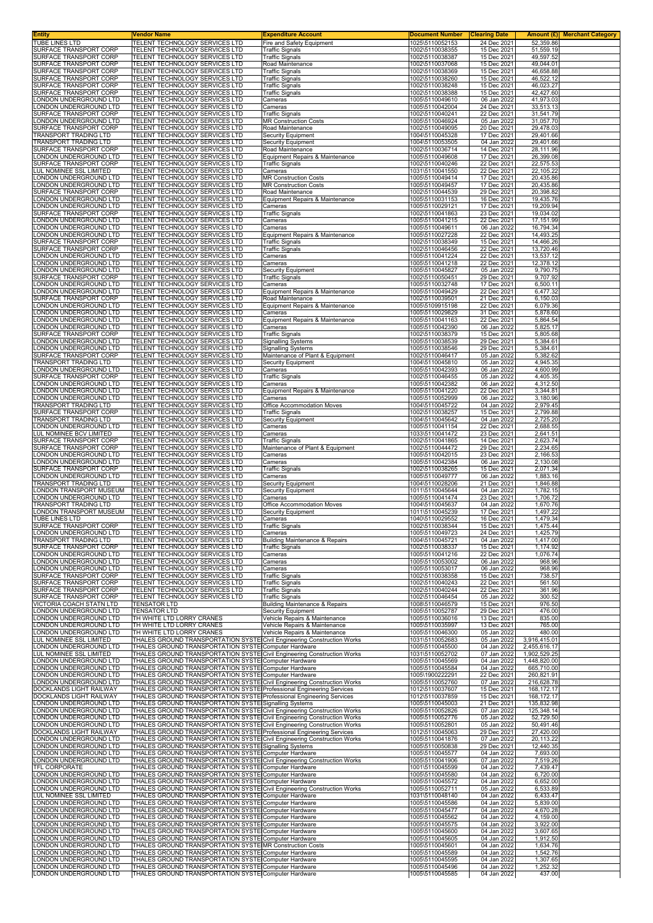| Entity<br>TUBE LINES LTD                                | Vendor Name<br>TELENT TECHNOLOGY SERVICES LTD                                                                                                      | <b>Expenditure Account</b><br>Fire and Safety Equipment         | <b>Document Number</b><br>1025\5110052153 | <b>Clearing Date</b><br>24 Dec 2021 | 52,359.86                    | <b>Amount (£) Merchant Category</b> |
|---------------------------------------------------------|----------------------------------------------------------------------------------------------------------------------------------------------------|-----------------------------------------------------------------|-------------------------------------------|-------------------------------------|------------------------------|-------------------------------------|
| SURFACE TRANSPORT CORP                                  | TELENT TECHNOLOGY SERVICES LTD                                                                                                                     | <b>Traffic Signals</b>                                          | 1002\5110038355                           | 15 Dec 2021                         | 51,559.19                    |                                     |
| SURFACE TRANSPORT CORP<br>SURFACE TRANSPORT CORP        | TELENT TECHNOLOGY SERVICES LTD<br>TELENT TECHNOLOGY SERVICES LTD                                                                                   | <b>Traffic Signals</b><br>Road Maintenance                      | 1002\5110038387<br>1002\5110037068        | 15 Dec 2021<br>15 Dec 2021          | 49,597.52<br>49,044.01       |                                     |
| SURFACE TRANSPORT CORP<br>SURFACE TRANSPORT CORP        | TELENT TECHNOLOGY SERVICES LTD<br>TELENT TECHNOLOGY SERVICES LTD                                                                                   | <b>Traffic Signals</b><br><b>Traffic Signals</b>                | 1002\5110038369<br>1002\5110038260        | 15 Dec 2021<br>15 Dec 2021          | 46,658.88<br>46,522.12       |                                     |
| SURFACE TRANSPORT CORP                                  | TELENT TECHNOLOGY SERVICES LTD                                                                                                                     | <b>Traffic Signals</b>                                          | 1002\5110038248                           | 15 Dec 2021                         | 46,023.27                    |                                     |
| SURFACE TRANSPORT CORP<br>ONDON UNDERGROUND LTD         | TELENT TECHNOLOGY SERVICES LTD<br>TELENT TECHNOLOGY SERVICES LTD                                                                                   | <b>Traffic Signals</b><br>Cameras                               | 1002\5110038388<br>1005\5110049610        | 15 Dec 2021<br>06 Jan 2022          | 42.427.60<br>41,973.03       |                                     |
| ONDON UNDERGROUND LTD                                   | TELENT TECHNOLOGY SERVICES LTD                                                                                                                     | Cameras                                                         | 1005\5110042004                           | 24 Dec 2021                         | 33,513.13                    |                                     |
| SURFACE TRANSPORT CORP<br>ONDON UNDERGROUND LTD         | TELENT TECHNOLOGY SERVICES LTD<br>TELENT TECHNOLOGY SERVICES LTD                                                                                   | <b>Traffic Signals</b><br><b>MR Construction Costs</b>          | 1002\5110040241<br>1005\5110046924        | 22 Dec 2021<br>05 Jan 2022          | 31,541.79<br>31,057.70       |                                     |
| SURFACE TRANSPORT CORP<br>TRANSPORT TRADING LTD         | TELENT TECHNOLOGY SERVICES LTD<br>TELENT TECHNOLOGY SERVICES LTD                                                                                   | Road Maintenance<br><b>Security Equipment</b>                   | 1002\5110049095<br>1004\5110045328        | 20 Dec 2021<br>17 Dec 2021          | 29,478.03<br>29,401.66       |                                     |
| TRANSPORT TRADING LTD                                   | TELENT TECHNOLOGY SERVICES LTD                                                                                                                     | Security Equipment                                              | 1004\5110053505                           | 04 Jan 2022                         | 29,401.66                    |                                     |
| SURFACE TRANSPORT CORP<br>ONDON UNDERGROUND LTD         | TELENT TECHNOLOGY SERVICES LTD<br>TELENT TECHNOLOGY SERVICES LTD                                                                                   | Road Maintenance<br>Equipment Repairs & Maintenance             | 1002\5110036714<br>1005\5110049608        | 14 Dec 2021<br>17 Dec 2021          | 28,111.96<br>26,399.08       |                                     |
| SURFACE TRANSPORT CORP                                  | TELENT TECHNOLOGY SERVICES LTD                                                                                                                     | <b>Traffic Signals</b>                                          | 1002\5110040246                           | 22 Dec 2021                         | 22,575.53                    |                                     |
| <b>UL NOMINEE SSL LIMITED</b><br>ONDON UNDERGROUND LTD  | TELENT TECHNOLOGY SERVICES LTD<br>TELENT TECHNOLOGY SERVICES LTD                                                                                   | Cameras<br><b>MR Construction Costs</b>                         | 1031\5110041550<br>1005\5110049414        | 22 Dec 2021<br>17 Dec 2021          | 22,105.22<br>20,435.86       |                                     |
| ONDON UNDERGROUND LTD<br>SURFACE TRANSPORT CORP         | TELENT TECHNOLOGY SERVICES LTD<br>TELENT TECHNOLOGY SERVICES LTD                                                                                   | <b>MR Construction Costs</b><br>Road Maintenance                | 1005\5110049457<br>1002\5110044539        | 17 Dec 2021<br>29 Dec 2021          | 20,435.86<br>20,398.82       |                                     |
| ONDON UNDERGROUND LTD                                   | TELENT TECHNOLOGY SERVICES LTD                                                                                                                     | Equipment Repairs & Maintenance                                 | 1005\5110031153                           | 16 Dec 2021                         | 19,435.76                    |                                     |
| ONDON UNDERGROUND LTD.<br>SURFACE TRANSPORT CORP        | TELENT TECHNOLOGY SERVICES LTD<br>TELENT TECHNOLOGY SERVICES LTD                                                                                   | Cameras<br><b>Traffic Signals</b>                               | 1005\5110029121<br>1002\5110041863        | 17 Dec 2021<br>23 Dec 2021          | 19,209.94<br>19,034.02       |                                     |
| ONDON UNDERGROUND LTD                                   | TELENT TECHNOLOGY SERVICES LTD                                                                                                                     | Cameras                                                         | 1005\5110041215                           | 22 Dec 2021                         | 17,151.99                    |                                     |
| ONDON UNDERGROUND LTD.<br>ONDON UNDERGROUND LTD         | TELENT TECHNOLOGY SERVICES LTD<br>TELENT TECHNOLOGY SERVICES LTD                                                                                   | Cameras<br>Equipment Repairs & Maintenance                      | 1005\5110049611<br>1005\5110027228        | 06 Jan 2022<br>22 Dec 2021          | 16,794.34<br>14,493.25       |                                     |
| SURFACE TRANSPORT CORP<br><b>SURFACE TRANSPORT CORP</b> | TELENT TECHNOLOGY SERVICES LTD                                                                                                                     | <b>Traffic Signals</b><br><b>Traffic Signals</b>                | 1002\5110038349                           | 15 Dec 2021<br>22 Dec 2021          | 14,466.26                    |                                     |
| ONDON UNDERGROUND LTD                                   | TELENT TECHNOLOGY SERVICES LTD<br>TELENT TECHNOLOGY SERVICES LTD                                                                                   | Cameras                                                         | 1002\5110046456<br>1005\5110041224        | 22 Dec 2021                         | 13,720.46<br>13,537.12       |                                     |
| ONDON UNDERGROUND LTD<br>ONDON UNDERGROUND LTD          | TELENT TECHNOLOGY SERVICES LTD<br>TELENT TECHNOLOGY SERVICES LTD                                                                                   | Cameras<br>Security Equipment                                   | 1005\5110041218<br>1005\5110045827        | 22 Dec 2021<br>05 Jan 2022          | 12,378.12<br>9,790.75        |                                     |
| SURFACE TRANSPORT CORP                                  | TELENT TECHNOLOGY SERVICES LTD                                                                                                                     | <b>Traffic Signals</b>                                          | 1002\5110050451                           | 29 Dec 2021                         | 9,707.92                     |                                     |
| ONDON UNDERGROUND LTD<br>ONDON UNDERGROUND LTD          | TELENT TECHNOLOGY SERVICES LTD<br>TELENT TECHNOLOGY SERVICES LTD                                                                                   | Cameras<br>Equipment Repairs & Maintenance                      | 1005\5110032748<br>1005\5110049429        | 17 Dec 2021<br>22 Dec 2021          | 6,500.11<br>6,477.32         |                                     |
| SURFACE TRANSPORT CORP<br>ONDON UNDERGROUND LTD         | TELENT TECHNOLOGY SERVICES LTD<br>TELENT TECHNOLOGY SERVICES LTD                                                                                   | Road Maintenance<br>Equipment Repairs & Maintenance             | 1002\5110039501                           | 21 Dec 2021<br>22 Dec 2021          | 6,150.03<br>6,079.36         |                                     |
| ONDON UNDERGROUND LTD                                   | TELENT TECHNOLOGY SERVICES LTD                                                                                                                     | Cameras                                                         | 1005\5109915198<br>1005\5110029829        | 31 Dec 2021                         | 5,878.60                     |                                     |
| ONDON UNDERGROUND LTD<br>ONDON UNDERGROUND LTD          | TELENT TECHNOLOGY SERVICES LTD<br>TELENT TECHNOLOGY SERVICES LTD                                                                                   | Equipment Repairs & Maintenance<br>Cameras                      | 1005\5110041163<br>1005\5110042390        | 22 Dec 2021<br>06 Jan 2022          | 5,864.54<br>5,825.17         |                                     |
| SURFACE TRANSPORT CORP                                  | TELENT TECHNOLOGY SERVICES LTD                                                                                                                     | <b>Traffic Signals</b>                                          | 1002\5110038379                           | 15 Dec 2021                         | 5,805.68                     |                                     |
| ONDON UNDERGROUND LTD<br>ONDON UNDERGROUND LTD          | TELENT TECHNOLOGY SERVICES LTD<br>TELENT TECHNOLOGY SERVICES LTD                                                                                   | <b>Signalling Systems</b><br><b>Signalling Systems</b>          | 1005\5110038539<br>1005\5110038546        | 29 Dec 2021<br>29 Dec 2021          | 5,384.61<br>5,384.61         |                                     |
| SURFACE TRANSPORT CORP<br>TRANSPORT TRADING LTD         | TELENT TECHNOLOGY SERVICES LTD<br>TELENT TECHNOLOGY SERVICES LTD                                                                                   | Maintenance of Plant & Equipment                                | 1002\5110046417                           | 05 Jan 2022                         | 5,382.62                     |                                     |
| ONDON UNDERGROUND LTD                                   | TELENT TECHNOLOGY SERVICES LTD                                                                                                                     | Security Equipment<br>Cameras                                   | 1004\5110045810<br>1005\5110042393        | 05 Jan 2022<br>06 Jan 2022          | 4,945.35<br>4,600.99         |                                     |
| SURFACE TRANSPORT CORP<br>ONDON UNDERGROUND LTD.        | TELENT TECHNOLOGY SERVICES LTD<br>TELENT TECHNOLOGY SERVICES LTD                                                                                   | <b>Traffic Signals</b><br>Cameras                               | 1002\5110046455<br>1005\5110042382        | 05 Jan 2022<br>06 Jan 2022          | 4,405.35<br>4,312.50         |                                     |
| ONDON UNDERGROUND LTD                                   | TELENT TECHNOLOGY SERVICES LTD                                                                                                                     | Equipment Repairs & Maintenance                                 | 1005\5110041220                           | 22 Dec 2021                         | 3,344.81                     |                                     |
| LONDON UNDERGROUND LTD<br>TRANSPORT TRADING LTD         | TELENT TECHNOLOGY SERVICES LTD<br>TELENT TECHNOLOGY SERVICES LTD                                                                                   | Cameras<br>Office Accommodation Moves                           | 1005\5110052999<br>1004\5110045722        | 06 Jan 2022<br>04 Jan 2022          | 3,180.96<br>2,979.45         |                                     |
| SURFACE TRANSPORT CORP<br>TRANSPORT TRADING LTD         | TELENT TECHNOLOGY SERVICES LTD<br>TELENT TECHNOLOGY SERVICES LTD                                                                                   | <b>Traffic Signals</b><br><b>Security Equipment</b>             | 1002\5110038257<br>1004\5110045642        | 15 Dec 2021<br>04 Jan 2022          | 2,799.88<br>2,725.20         |                                     |
| LONDON UNDERGROUND LTD                                  | TELENT TECHNOLOGY SERVICES LTD                                                                                                                     | Cameras                                                         | 1005\5110041154                           | 22 Dec 2021                         | 2,688.55                     |                                     |
| LUL NOMINEE BCV LIMITED<br>SURFACE TRANSPORT CORP       | TELENT TECHNOLOGY SERVICES LTD<br>TELENT TECHNOLOGY SERVICES LTD                                                                                   | Cameras<br><b>Traffic Signals</b>                               | 1033\5110041472<br>1002\5110041865        | 23 Dec 2021<br>14 Dec 2021          | 2,641.51<br>2,623.74         |                                     |
| SURFACE TRANSPORT CORP                                  | TELENT TECHNOLOGY SERVICES LTD                                                                                                                     | Maintenance of Plant & Equipment                                | 1002\5110044472                           | 29 Dec 2021                         | 2,234.65                     |                                     |
| ONDON UNDERGROUND LTD<br>LONDON UNDERGROUND LTD         | TELENT TECHNOLOGY SERVICES LTD<br>TELENT TECHNOLOGY SERVICES LTD                                                                                   | Cameras<br>Cameras                                              | 1005\5110042015<br>1005\5110042384        | 23 Dec 2021<br>06 Jan 2022          | 2,166.53<br>2,130.08         |                                     |
| SURFACE TRANSPORT CORP<br>ONDON UNDERGROUND LTD         | TELENT TECHNOLOGY SERVICES LTD<br>TELENT TECHNOLOGY SERVICES LTD                                                                                   | Traffic Signals<br>Cameras                                      | 1002\5110038265<br>1005\5110049777        | 15 Dec 2021<br>06 Jan 2022          | 2,071.34<br>1,883.16         |                                     |
| TRANSPORT TRADING LTD                                   | TELENT TECHNOLOGY SERVICES LTD                                                                                                                     | <b>Security Equipment</b>                                       | 1004\5110028206                           | 21 Dec 2021                         | 1,846.88                     |                                     |
| LONDON TRANSPORT MUSEUM<br>ONDON UNDERGROUND LTD        | TELENT TECHNOLOGY SERVICES LTD<br>TELENT TECHNOLOGY SERVICES LTD                                                                                   | <b>Security Equipment</b><br>Cameras                            | 1011\5110045644<br>1005\5110041474        | 04 Jan 2022<br>23 Dec 2021          | 1,782.15<br>1,706.72         |                                     |
| TRANSPORT TRADING LTD                                   | TELENT TECHNOLOGY SERVICES LTD                                                                                                                     | Office Accommodation Moves                                      | 1004\5110045637                           | 04 Jan 2022                         | 1,670.76                     |                                     |
| LONDON TRANSPORT MUSEUM<br>TUBE LINES LTD               | TELENT TECHNOLOGY SERVICES LTD<br>TELENT TECHNOLOGY SERVICES LTD                                                                                   | <b>Security Equipment</b><br>Cameras                            | 1011\5110045239<br>1040\5110029552        | 17 Dec 2021<br>16 Dec 2021          | 1,497.22<br>1,479.34         |                                     |
| SURFACE TRANSPORT CORP<br>LONDON UNDERGROUND LTD        | TELENT TECHNOLOGY SERVICES LTD<br>TELENT TECHNOLOGY SERVICES LTD                                                                                   | I raffic Signals<br>Cameras                                     | 1002\5110038344<br>1005\5110049723        | 15 Dec 2021<br>24 Dec 2021          | 1,475.44<br>1,425.79         |                                     |
| TRANSPORT TRADING LTD                                   | TELENT TECHNOLOGY SERVICES LTD                                                                                                                     | <b>Building Maintenance &amp; Repairs</b>                       | 1004\5110045721                           | 04 Jan 2022                         | 1,417.00                     |                                     |
| SURFACE TRANSPORT CORP<br>LONDON UNDERGROUND LTD        | TELENT TECHNOLOGY SERVICES LTD<br>TELENT TECHNOLOGY SERVICES LTD                                                                                   | <b>Traffic Signals</b><br>Cameras                               | 1002\5110038337<br>1005\5110041216        | 15 Dec 2021<br>22 Dec 2021          | 1,174.92<br>1,076.74         |                                     |
| LONDON UNDERGROUND LTD<br>ONDON UNDERGROUND LTD         | TELENT TECHNOLOGY SERVICES LTD<br>TELENT TECHNOLOGY SERVICES LTD                                                                                   | Cameras<br>Cameras                                              | 1005\5110053002<br>1005\5110053017        | 06 Jan 2022<br>06 Jan 2022          | 968.96<br>968.96             |                                     |
| SURFACE TRANSPORT CORP                                  | TELENT TECHNOLOGY SERVICES LTD                                                                                                                     | <b>Traffic Signals</b>                                          | 1002\5110038358                           | 15 Dec 2021                         | 738.57                       |                                     |
| SURFACE TRANSPORT CORP<br>SURFACE TRANSPORT CORP        | TELENT TECHNOLOGY SERVICES LTD<br>TELENT TECHNOLOGY SERVICES LTD                                                                                   | <b>Traffic Signals</b><br><b>Traffic Signals</b>                | 1002\5110040243<br>1002\5110040244        | 22 Dec 2021<br>22 Dec 2021          | 561.50<br>361.96             |                                     |
| SURFACE TRANSPORT CORP                                  | TELENT TECHNOLOGY SERVICES LTD                                                                                                                     | <b>Traffic Signals</b>                                          | 1002\5110046454                           | 05 Jan 2022                         | 300.52                       |                                     |
| VICTORIA COACH STATN LTD<br>ONDON UNDERGROUND LTD       | <b>TENSATOR LTD</b><br><b>TENSATOR LTD</b>                                                                                                         | <b>Building Maintenance &amp; Repairs</b><br>Security Equipment | 1008\5110046579<br>1005\5110052787        | 15 Dec 2021<br>29 Dec 2021          | 976.50<br>476.00             |                                     |
| LONDON UNDERGROUND LTD<br>LONDON UNDERGROUND LTD        | TH WHITE LTD LORRY CRANES<br>TH WHITE LTD LORRY CRANES                                                                                             | Vehicle Repairs & Maintenance<br>Vehicle Repairs & Maintenance  | 1005\5110036016<br>1005\5110035997        | 13 Dec 2021<br>13 Dec 2021          | 835.00<br>765.00             |                                     |
| LONDON UNDERGROUND LTD                                  | TH WHITE LTD LORRY CRANES                                                                                                                          | Vehicle Repairs & Maintenance                                   | 1005\5110046300                           | 05 Jan 2022                         | 480.00                       |                                     |
| LUL NOMINEE SSL LIMITED<br>LONDON UNDERGROUND LTD       | THALES GROUND TRANSPORTATION SYSTE Civil Engineering Construction Works<br>THALES GROUND TRANSPORTATION SYSTE Computer Hardware                    |                                                                 | 1031\5110052683<br>1005\5110045500        | 05 Jan 2022<br>04 Jan 2022          | 3,916,415.01<br>2,455,616.17 |                                     |
| LUL NOMINEE SSL LIMITED<br>ONDON UNDERGROUND LTD        | THALES GROUND TRANSPORTATION SYSTE Civil Engineering Construction Works<br>THALES GROUND TRANSPORTATION SYSTE Computer Hardware                    |                                                                 | 1031\5110052702<br>1005\5110045569        | 07 Jan 2022<br>04 Jan 2022          | 1,902,529.25<br>1,448,820.00 |                                     |
| ONDON UNDERGROUND LTD                                   | THALES GROUND TRANSPORTATION SYSTE Computer Hardware                                                                                               |                                                                 | 1005\5110045584                           | 04 Jan 2022                         | 665,710.00                   |                                     |
| LONDON UNDERGROUND LTD<br>ONDON UNDERGROUND LTD         | THALES GROUND TRANSPORTATION SYSTE Computer Hardware<br>THALES GROUND TRANSPORTATION SYSTE Civil Engineering Construction Works                    |                                                                 | 1005\1900222291<br>1005\5110052760        | 22 Dec 2021<br>07 Jan 2022          | 260,821.91<br>216,628.78     |                                     |
| DOCKLANDS LIGHT RAILWAY<br>DOCKLANDS LIGHT RAILWAY      | THALES GROUND TRANSPORTATION SYSTE Professional Engineering Services                                                                               |                                                                 | 1012\5110037607<br>1012\5110037859        | 15 Dec 2021<br>15 Dec 2021          | 168,172.17<br>168, 172. 17   |                                     |
| ONDON UNDERGROUND LTD                                   | THALES GROUND TRANSPORTATION SYSTE Professional Engineering Services<br>THALES GROUND TRANSPORTATION SYSTE Signalling Systems                      |                                                                 | 1005\5110045003                           | 21 Dec 2021                         | 135,832.98                   |                                     |
| LONDON UNDERGROUND LTD<br>LONDON UNDERGROUND LTD        | THALES GROUND TRANSPORTATION SYSTE Civil Engineering Construction Works<br>THALES GROUND TRANSPORTATION SYSTE Civil Engineering Construction Works |                                                                 | 1005\5110052826<br>1005\5110052776        | 07 Jan 2022<br>05 Jan 2022          | 125,348.14<br>52,729.50      |                                     |
| LONDON UNDERGROUND LTD                                  | THALES GROUND TRANSPORTATION SYSTE Civil Engineering Construction Works                                                                            |                                                                 | 1005\5110052801                           | 05 Jan 2022                         | 50,491.46                    |                                     |
| DOCKLANDS LIGHT RAILWAY<br>LONDON UNDERGROUND LTD       | THALES GROUND TRANSPORTATION SYSTE Professional Engineering Services<br>THALES GROUND TRANSPORTATION SYSTE Civil Engineering Construction Works    |                                                                 | 1012\5110045063<br>1005\5110041876        | 29 Dec 2021<br>07 Jan 2022          | 27,420.00<br>20,113.22       |                                     |
| ONDON UNDERGROUND LTD<br>LONDON UNDERGROUND LTD         | THALES GROUND TRANSPORTATION SYSTE Signalling Systems<br>THALES GROUND TRANSPORTATION SYSTE Computer Hardware                                      |                                                                 | 1005\5110050838<br>1005\5110045577        | 29 Dec 2021<br>04 Jan 2022          | 12,440.35<br>7,693.00        |                                     |
| LONDON UNDERGROUND LTD                                  | THALES GROUND TRANSPORTATION SYSTE Civil Engineering Construction Works                                                                            |                                                                 | 1005\5110041906                           | 07 Jan 2022                         | 7,519.26                     |                                     |
| TFL CORPORATE<br>ONDON UNDERGROUND LTD                  | THALES GROUND TRANSPORTATION SYSTE Computer Hardware<br>THALES GROUND TRANSPORTATION SYSTE Computer Hardware                                       |                                                                 | 1001\5110045599<br>1005\5110045580        | 04 Jan 2022<br>04 Jan 2022          | 7,439.47<br>6,720.00         |                                     |
| ONDON UNDERGROUND LTD.<br>ONDON UNDERGROUND LTD         | THALES GROUND TRANSPORTATION SYSTE Computer Hardware<br>THALES GROUND TRANSPORTATION SYSTE Civil Engineering Construction Works                    |                                                                 | 1005\5110045572<br>1005\5110052711        | 04 Jan 2022<br>05 Jan 2022          | 6,652.00<br>6,533.89         |                                     |
| LUL NOMINEE SSL LIMITED                                 | THALES GROUND TRANSPORTATION SYSTE Computer Hardware                                                                                               |                                                                 | 1031\5110048140                           | 04 Jan 2022                         | 6,433.47                     |                                     |
| LONDON UNDERGROUND LTD<br>ONDON UNDERGROUND LTD         | THALES GROUND TRANSPORTATION SYSTE Computer Hardware<br>THALES GROUND TRANSPORTATION SYSTE Computer Hardware                                       |                                                                 | 1005\5110045586<br>1005\5110045477        | 04 Jan 2022<br>04 Jan 2022          | 5,839.00<br>4,670.28         |                                     |
| ONDON UNDERGROUND LTD                                   | THALES GROUND TRANSPORTATION SYSTE Computer Hardware                                                                                               |                                                                 | 1005\5110045562                           | 04 Jan 2022                         | 4,159.00                     |                                     |
| ONDON UNDERGROUND LTD.<br>ONDON UNDERGROUND LTD.        | THALES GROUND TRANSPORTATION SYSTE Computer Hardware<br>THALES GROUND TRANSPORTATION SYSTE Computer Hardware                                       |                                                                 | 1005\5110045575<br>1005\5110045600        | 04 Jan 2022<br>04 Jan 2022          | 3,922.00<br>3,607.65         |                                     |
| LONDON UNDERGROUND LTD<br>ONDON UNDERGROUND LTD         | THALES GROUND TRANSPORTATION SYSTE Computer Hardware<br>THALES GROUND TRANSPORTATION SYSTE MR Construction Costs                                   |                                                                 | 1005\5110045605<br>1005\5110045601        | 04 Jan 2022<br>04 Jan 2022          | 1,912.50<br>1,634.76         |                                     |
| LONDON UNDERGROUND LTD                                  | THALES GROUND TRANSPORTATION SYSTE Computer Hardware                                                                                               |                                                                 | 1005\5110045589                           | 04 Jan 2022                         | 1,542.76                     |                                     |
| ONDON UNDERGROUND LTD<br>ONDON UNDERGROUND LTD          | THALES GROUND TRANSPORTATION SYSTE Computer Hardware<br>THALES GROUND TRANSPORTATION SYSTE Computer Hardware                                       |                                                                 | 1005\5110045595<br>1005\5110045496        | 04 Jan 2022<br>04 Jan 2022          | 1,307.65<br>1,252.32         |                                     |
| LONDON UNDERGROUND LTD                                  | THALES GROUND TRANSPORTATION SYSTE Computer Hardware                                                                                               |                                                                 | 1005\5110045585                           | 04 Jan 2022                         | 437.00                       |                                     |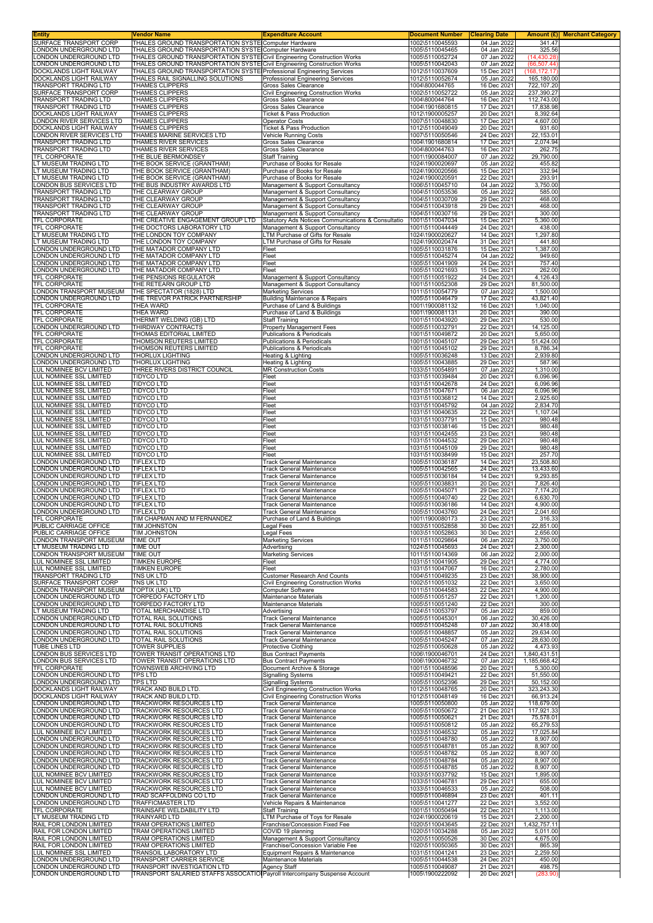| <b>Entity</b>                                                  | Vendor Name                                                                                                                                     | <b>Expenditure Account</b>                                                | <b>Document Number</b>             | <b>Clearing Date</b>       | Amount (£) Merchant Category  |
|----------------------------------------------------------------|-------------------------------------------------------------------------------------------------------------------------------------------------|---------------------------------------------------------------------------|------------------------------------|----------------------------|-------------------------------|
| SURFACE TRANSPORT CORP<br>ONDON UNDERGROUND LTD                | THALES GROUND TRANSPORTATION SYSTE Computer Hardware<br>THALES GROUND TRANSPORTATION SYSTE Computer Hardware                                    |                                                                           | 1002\5110045593<br>1005\5110045465 | 04 Jan 2022<br>04 Jan 2022 | 341.47<br>325.56              |
| ONDON UNDERGROUND LTD                                          | THALES GROUND TRANSPORTATION SYSTE Civil Engineering Construction Works                                                                         |                                                                           | 1005\5110052724                    | 07 Jan 2022                | (14, 430.28)                  |
| ONDON UNDERGROUND LTD<br>OCKLANDS LIGHT RAILWAY                | THALES GROUND TRANSPORTATION SYSTE Civil Engineering Construction Works<br>THALES GROUND TRANSPORTATION SYSTE Professional Engineering Services |                                                                           | 1005\5110042043<br>1012\5110037609 | 07 Jan 2022<br>15 Dec 2021 | (66, 507.44)<br>(168, 172.17) |
| <b>OOCKLANDS LIGHT RAILWAY</b>                                 | THALES RAIL SIGNALLING SOLUTIONS                                                                                                                | Professional Engineering Services                                         | 1012\5110052674                    | 05 Jan 2022                | 165,180.00                    |
| RANSPORT TRADING LTD                                           | THAMES CLIPPERS                                                                                                                                 | Gross Sales Clearance                                                     | 1004\800044765                     | 16 Dec 2021                | 722,107.20                    |
| SURFACE TRANSPORT CORP<br><b>TRANSPORT TRADING LTD</b>         | THAMES CLIPPERS<br>THAMES CLIPPERS                                                                                                              | Civil Engineering Construction Works<br>Gross Sales Clearance             | 1002\5110052722<br>1004\800044764  | 05 Jan 2022<br>16 Dec 2021 | 237,390.27<br>112,743.00      |
| TRANSPORT TRADING LTD                                          | THAMES CLIPPERS                                                                                                                                 | Gross Sales Clearance                                                     | 1004\1901680815                    | 17 Dec 2021                | 17,838.98                     |
| <b>DOCKLANDS LIGHT RAILWAY</b><br>ONDON RIVER SERVICES LTD     | THAMES CLIPPERS<br><b>THAMES CLIPPERS</b>                                                                                                       | <b>Ticket &amp; Pass Production</b><br><b>Operator Costs</b>              | 1012\1900005257<br>1007\5110048830 | 20 Dec 2021<br>17 Dec 2021 | 8,392.64<br>4,607.00          |
| DOCKLANDS LIGHT RAILWAY                                        | THAMES CLIPPERS                                                                                                                                 | Ticket & Pass Production                                                  | 1012\5110049049                    | 20 Dec 2021                | 931.60                        |
| ONDON RIVER SERVICES LTD                                       | THAMES MARINE SERVICES LTD                                                                                                                      | Vehicle Running Costs<br><b>Gross Sales Clearance</b>                     | 1007\5110050546                    | 24 Dec 2021                | 22,153.01                     |
| <b>FRANSPORT TRADING LTD</b><br>TRANSPORT TRADING LTD          | THAMES RIVER SERVICES<br>THAMES RIVER SERVICES                                                                                                  | Gross Sales Clearance                                                     | 1004\1901680814<br>1004\800044763  | 17 Dec 2021<br>16 Dec 2021 | 2,074.94<br>262.75            |
| TFL CORPORATE                                                  | THE BLUE BERMONDSEY                                                                                                                             | <b>Staff Training</b>                                                     | 1001\1900084007                    | 07 Jan 2022                | 29,790.00                     |
| LT MUSEUM TRADING LTD<br>T MUSEUM TRADING LTD                  | THE BOOK SERVICE (GRANTHAM)<br>THE BOOK SERVICE (GRANTHAM)                                                                                      | Purchase of Books for Resale<br>Purchase of Books for Resale              | 1024\1900020697<br>1024\1900020566 | 05 Jan 2022<br>15 Dec 2021 | 455.82<br>332.94              |
| T MUSEUM TRADING LTD                                           | THE BOOK SERVICE (GRANTHAM)                                                                                                                     | Purchase of Books for Resale                                              | 1024\1900020591                    | 22 Dec 2021                | 293.91                        |
| ONDON BUS SERVICES LTD<br>TRANSPORT TRADING LTD                | THE BUS INDUSTRY AWARDS LTD<br>THE CLEARWAY GROUP                                                                                               | Management & Support Consultancy<br>Management & Support Consultancy      | 1006\5110045710<br>1004\5110053536 | 04 Jan 2022<br>05 Jan 2022 | 3,750.00<br>585.00            |
| TRANSPORT TRADING LTD                                          | THE CLEARWAY GROUP                                                                                                                              | Management & Support Consultancy                                          | 1004\5110030709                    | 29 Dec 2021                | 468.00                        |
| TRANSPORT TRADING LTD<br>TRANSPORT TRADING LTD                 | THE CLEARWAY GROUP<br>THE CLEARWAY GROUP                                                                                                        | Management & Support Consultancy<br>Management & Support Consultancy      | 1004\5110043918<br>1004\5110030716 | 29 Dec 2021<br>29 Dec 2021 | 468.00<br>300.00              |
| TFL CORPORATE                                                  | THE CREATIVE ENGAGEMENT GROUP LTD                                                                                                               | Statutory Ads Notices Communications & Consultatio                        | 1001\5110047034                    | 15 Dec 2021                | 5,360.00                      |
| TFL CORPORATE<br>T MUSEUM TRADING LTD                          | THE DOCTORS LABORATORY LTD<br>THE LONDON TOY COMPANY                                                                                            | Management & Support Consultancy<br>LTM Purchase of Gifts for Resale      | 1001\5110044449<br>1024\1900020627 | 24 Dec 2021<br>14 Dec 2021 | 438.00<br>1,297.80            |
| T MUSEUM TRADING LTD                                           | THE LONDON TOY COMPANY                                                                                                                          | LTM Purchase of Gifts for Resale                                          | 1024\1900020474                    | 31 Dec 2021                | 441.80                        |
| ONDON UNDERGROUND LTD                                          | THE MATADOR COMPANY LTD                                                                                                                         | Fleet                                                                     | 1005\5110031876                    | 15 Dec 2021                | 1,387.00                      |
| ONDON UNDERGROUND LTD<br>ONDON UNDERGROUND LTD                 | THE MATADOR COMPANY LTD<br>THE MATADOR COMPANY LTD                                                                                              | Fleet<br>Fleet                                                            | 1005\5110045274<br>1005\5110041909 | 04 Jan 2022<br>24 Dec 2021 | 949.60<br>757.40              |
| ONDON UNDERGROUND LTD                                          | THE MATADOR COMPANY LTD                                                                                                                         | Fleet                                                                     | 1005\5110021693                    | 15 Dec 2021                | 262.00                        |
| TFL CORPORATE<br>TFL CORPORATE                                 | THE PENSIONS REGULATOR<br>THE RETEARN GROUP LTD                                                                                                 | Management & Support Consultancy<br>Management & Support Consultancy      | 1001\5110051922<br>1001\5110052308 | 24 Dec 2021<br>29 Dec 2021 | 4,126.43<br>81,500.00         |
| ONDON TRANSPORT MUSEUM                                         | THE SPECTATOR (1828) LTD                                                                                                                        | <b>Marketing Services</b>                                                 | 1011\5110054779                    | 07 Jan 2022                | 1,500.00                      |
| ONDON UNDERGROUND LTD                                          | THE TREVOR PATRICK PARTNERSHIP<br>THEA WARD                                                                                                     | <b>Building Maintenance &amp; Repairs</b><br>Purchase of Land & Buildings | 1005\5110046479<br>1001\1900081132 | 17 Dec 2021<br>16 Dec 2021 | 43,821.40<br>1,040.00         |
| TFL CORPORATE<br>TFL CORPORATE                                 | <b>THEA WARD</b>                                                                                                                                | Purchase of Land & Buildings                                              | 1001\1900081131                    | 20 Dec 2021                | 390.00                        |
| TFL CORPORATE                                                  | THERMIT WELDING (GB) LTD                                                                                                                        | Staff Training                                                            | 1001\5110043920                    | 29 Dec 2021                | 530.00                        |
| LONDON UNDERGROUND LTD<br>TFL CORPORATE                        | THIRDWAY CONTRACTS<br>THOMAS EDITORIAL LIMITED                                                                                                  | Property Management Fees<br>Publications & Periodicals                    | 1005\5110032791<br>1001\5110049872 | 22 Dec 2021<br>20 Dec 2021 | 14,125.00<br>5,650.00         |
| <b>TFL CORPORATE</b>                                           | THOMSON REUTERS LIMITED                                                                                                                         | Publications & Periodicals                                                | 1001\5110045107                    | 29 Dec 2021                | 51,424.00                     |
| TFL CORPORATE<br>LONDON UNDERGROUND LTD                        | THOMSON REUTERS LIMITED<br><b>THORLUX LIGHTING</b>                                                                                              | <b>Publications &amp; Periodicals</b><br>Heating & Lighting               | 1001\5110045102<br>1005\5110036248 | 29 Dec 2021<br>13 Dec 2021 | 8,786.34<br>2,939.80          |
| ONDON UNDERGROUND LTD                                          | <b>THORLUX LIGHTING</b>                                                                                                                         | Heating & Lighting                                                        | 1005\5110043885                    | 29 Dec 2021                | 587.96                        |
| UL NOMINEE BCV LIMITED                                         | THREE RIVERS DISTRICT COUNCIL                                                                                                                   | <b>MR Construction Costs</b>                                              | 1033\5110054891                    | 07 Jan 2022                | 1,310.00                      |
| <b>UL NOMINEE SSL LIMITED</b><br>UL NOMINEE SSL LIMITED        | <b>TIDYCO LTD</b><br><b>TIDYCO LTD</b>                                                                                                          | Fleet<br>Fleet                                                            | 1031\5110039484<br>1031\5110042678 | 20 Dec 2021<br>24 Dec 2021 | 6,096.96<br>6,096.96          |
| UL NOMINEE SSL LIMITED                                         | TIDYCO LTD                                                                                                                                      | Fleet                                                                     | 1031\5110047671                    | 06 Jan 2022                | 6,096.96                      |
| UL NOMINEE SSL LIMITED<br>UL NOMINEE SSL LIMITED               | <b>TIDYCO LTD</b><br><b>TIDYCO LTD</b>                                                                                                          | Fleet<br>Fleet                                                            | 1031\5110036812<br>1031\5110045792 | 14 Dec 2021<br>04 Jan 2022 | 2,925.60<br>2,834.70          |
| UL NOMINEE SSL LIMITED                                         | <b>TIDYCO LTD</b>                                                                                                                               | Fleet                                                                     | 1031\5110040635                    | 22 Dec 2021                | 1,107.04                      |
| <b>UL NOMINEE SSL LIMITED</b><br><b>UL NOMINEE SSL LIMITED</b> | <b>TIDYCO LTD</b><br><b>TIDYCO LTD</b>                                                                                                          | Fleet<br>Fleet                                                            | 1031\5110037791<br>1031\5110038146 | 15 Dec 2021<br>15 Dec 2021 | 980.48<br>980.48              |
| UL NOMINEE SSL LIMITED                                         | <b>TIDYCO LTD</b>                                                                                                                               | Fleet                                                                     | 1031\5110042455                    | 23 Dec 2021                | 980.48                        |
| LUL NOMINEE SSL LIMITED                                        | <b>TIDYCO LTD</b>                                                                                                                               | Fleet                                                                     | 1031\5110044532                    | 29 Dec 2021                | 980.48                        |
| LUL NOMINEE SSL LIMITED<br>LUL NOMINEE SSL LIMITED             | <b>TIDYCO LTD</b><br><b>TIDYCO LTD</b>                                                                                                          | Fleet<br>Fleet                                                            | 1031\5110045109<br>1031\5110038499 | 29 Dec 2021<br>15 Dec 2021 | 980.48<br>257.70              |
| ONDON UNDERGROUND LTD                                          | <b>TIFLEX LTD</b>                                                                                                                               | <b>Track General Maintenance</b>                                          | 1005\5110036187                    | 14 Dec 2021                | 23,508.80                     |
| ONDON UNDERGROUND LTD<br>ONDON UNDERGROUND LTD                 | <b>TIFLEX LTD</b><br><b>TIFLEX LTD</b>                                                                                                          | <b>Track General Maintenance</b><br><b>Track General Maintenance</b>      | 1005\5110042565<br>1005\5110036184 | 24 Dec 2021<br>14 Dec 2021 | 13,433.60<br>9,293.85         |
| ONDON UNDERGROUND LTD                                          | <b>TIFLEX LTD</b>                                                                                                                               | <b>Track General Maintenance</b>                                          | 1005\5110038831                    | 20 Dec 2021                | 7,826.40                      |
| ONDON UNDERGROUND LTD<br>ONDON UNDERGROUND LTD                 | <b>TIFLEX LTD</b><br><b>TIFLEX LTD</b>                                                                                                          | <b>Track General Maintenance</b><br><b>Track General Maintenance</b>      | 1005\5110045071<br>1005\5110040740 | 29 Dec 2021<br>22 Dec 2021 | 7,174.20<br>6,630.70          |
| ONDON UNDERGROUND LTD                                          | <b>TIFLEX LTD</b>                                                                                                                               | <b>Track General Maintenance</b>                                          | 1005\5110036186                    | 14 Dec 2021                | 4,900.00                      |
| ONDON UNDERGROUND LTD                                          | <b>TIFLEX LTD</b>                                                                                                                               | <b>Track General Maintenance</b>                                          | 1005\5110043760                    | 24 Dec 2021                | 2,041.60                      |
| TFL CORPORATE<br>PUBLIC CARRIAGE OFFICE                        | TIM CHAPMAN AND M FERNANDEZ<br><b>IIM JOHNSTON</b>                                                                                              | Purchase of Land & Buildings<br>Legal Fees                                | 1001\1900080173<br>1003\5110052858 | 23 Dec 2021<br>30 Dec 2021 | 316.33<br>22,851.00           |
| PUBLIC CARRIAGE OFFICE                                         | TIM JOHNSTON                                                                                                                                    | Legal Fees                                                                | 1003\5110052863                    | 30 Dec 2021                | 2,656.00                      |
| LONDON TRANSPORT MUSEUM<br>LT MUSEUM TRADING LTD               | <b>TIME OUT</b><br><b>TIME OUT</b>                                                                                                              | <b>Marketing Services</b><br>Advertising                                  | 1011\5110029864<br>1024\5110045693 | 06 Jan 2022<br>24 Dec 2021 | 3,750.00<br>2,300.00          |
| ONDON TRANSPORT MUSEUM                                         | <b>TIME OUT</b>                                                                                                                                 | <b>Marketing Services</b>                                                 | 1011\5110014369                    | 06 Jan 2022                | 2,000.00                      |
| LUL NOMINEE SSL LIMITED<br><b>UL NOMINEE SSL LIMITED</b>       | <b>TIMKEN EUROPE</b><br>TIMKEN EUROPE                                                                                                           | Fleet<br>Fleet                                                            | 1031\5110041905<br>1031\5110047067 | 29 Dec 2021<br>16 Dec 2021 | 4,774.00<br>2,780.00          |
| <b>FRANSPORT TRADING LTD</b>                                   | TNS UK LTD                                                                                                                                      | <b>Customer Research And Counts</b>                                       | 1004\5110049235                    | 23 Dec 2021                | 38,900.00                     |
| SURFACE TRANSPORT CORP<br><b>ONDON TRANSPORT MUSEUM</b>        | TNS UK LTD                                                                                                                                      | Civil Engineering Construction Works                                      | 1002\5110051032                    | 22 Dec 2021                | 3,650.00                      |
| ONDON UNDERGROUND LTD                                          | <b>TOPTIX (UK) LTD</b><br><b>TORPEDO FACTORY LTD</b>                                                                                            | Computer Software<br>Maintenance Materials                                | 1011\5110044583<br>1005\5110051257 | 22 Dec 2021<br>22 Dec 2021 | 4,900.00<br>1,200.00          |
| ONDON UNDERGROUND LTD                                          | TORPEDO FACTORY LTD                                                                                                                             | Maintenance Materials                                                     | 1005\5110051240                    | 22 Dec 2021                | 300.00                        |
| T MUSEUM TRADING LTD<br>ONDON UNDERGROUND LTD                  | TOTAL MERCHANDISE LTD<br>TOTAL RAIL SOLUTIONS                                                                                                   | Advertising<br><b>Track General Maintenance</b>                           | 1024\5110053797<br>1005\5110045301 | 05 Jan 2022<br>06 Jan 2022 | 859.00<br>30,426.00           |
| ONDON UNDERGROUND LTD                                          | TOTAL RAIL SOLUTIONS                                                                                                                            | <b>Track General Maintenance</b>                                          | 1005\5110045248                    | 07 Jan 2022                | 30,418.00                     |
| ONDON UNDERGROUND LTD<br>ONDON UNDERGROUND LTD                 | TOTAL RAIL SOLUTIONS<br>TOTAL RAIL SOLUTIONS                                                                                                    | <b>Track General Maintenance</b><br><b>Track General Maintenance</b>      | 1005\5110048857<br>1005\5110045247 | 05 Jan 2022<br>07 Jan 2022 | 29,634.00<br>28,630.00        |
| UBE LINES LTD                                                  | <b>TOWER SUPPLIES</b>                                                                                                                           | Protective Clothing                                                       | 1025\5110050628                    | 05 Jan 2022                | 4.473.93                      |
| ONDON BUS SERVICES LTD<br>ONDON BUS SERVICES LTD               | TOWER TRANSIT OPERATIONS LTD<br>TOWER TRANSIT OPERATIONS LTD                                                                                    | <b>Bus Contract Payments</b><br><b>Bus Contract Payments</b>              | 1006\1900046701<br>1006\1900046732 | 24 Dec 2021<br>07 Jan 2022 | 1,840,431.51<br>1,185,668.42  |
| <b>FL CORPORATE</b>                                            | TOWNSWEB ARCHIVING LTD                                                                                                                          | Document Archive & Storage                                                | 1001\5110048596                    | 20 Dec 2021                | 5,300.00                      |
| ONDON UNDERGROUND LTD<br>ONDON UNDERGROUND LTD                 | <b>TPS LTD</b><br><b>TPS LTD</b>                                                                                                                | <b>Signalling Systems</b><br><b>Signalling Systems</b>                    | 1005\5110049421<br>1005\5110052396 | 22 Dec 2021<br>29 Dec 2021 | 51,550.00<br>50,152.00        |
| <b>OOCKLANDS LIGHT RAILWAY</b>                                 | TRACK AND BUILD LTD.                                                                                                                            | Civil Engineering Construction Works                                      | 1012\5110048765                    | 20 Dec 2021                | 323,243.30                    |
| <b>OOCKLANDS LIGHT RAILWAY</b>                                 | TRACK AND BUILD LTD.                                                                                                                            | Civil Engineering Construction Works                                      | 1012\5110048149                    | 16 Dec 2021                | 66,913.24                     |
| ONDON UNDERGROUND LTD<br>ONDON UNDERGROUND LTD                 | TRACKWORK RESOURCES LTD<br>TRACKWORK RESOURCES LTD                                                                                              | Track General Maintenance<br><b>Track General Maintenance</b>             | 1005\5110050800<br>1005\5110050672 | 05 Jan 2022<br>21 Dec 2021 | 118,679.00<br>117,921.33      |
| ONDON UNDERGROUND LTD                                          | TRACKWORK RESOURCES LTD                                                                                                                         | <b>Track General Maintenance</b>                                          | 1005\5110050621                    | 21 Dec 2021                | 75,578.01                     |
| ONDON UNDERGROUND LTD<br>UL NOMINEE BCV LIMITED                | TRACKWORK RESOURCES LTD<br>TRACKWORK RESOURCES LTD                                                                                              | Track General Maintenance<br><b>Track General Maintenance</b>             | 1005\5110050812<br>1033\5110046532 | 05 Jan 2022<br>05 Jan 2022 | 65,279.53<br>17,025.84        |
| ONDON UNDERGROUND LTD                                          | TRACKWORK RESOURCES LTD                                                                                                                         | <b>Track General Maintenance</b>                                          | 1005\5110048780                    | 05 Jan 2022                | 8,907.00                      |
| ONDON UNDERGROUND LTD<br>ONDON UNDERGROUND LTD                 | TRACKWORK RESOURCES LTD<br>TRACKWORK RESOURCES LTD                                                                                              | <b>Track General Maintenance</b><br><b>Track General Maintenance</b>      | 1005\5110048781<br>1005\5110048782 | 05 Jan 2022<br>05 Jan 2022 | 8,907.00<br>8,907.00          |
| ONDON UNDERGROUND LTD                                          | TRACKWORK RESOURCES LTD                                                                                                                         | <b>Track General Maintenance</b>                                          | 1005\5110048784                    | 05 Jan 2022                | 8,907.00                      |
| ONDON UNDERGROUND LTD<br>UL NOMINEE BCV LIMITED                | TRACKWORK RESOURCES LTD<br>TRACKWORK RESOURCES LTD                                                                                              | Track General Maintenance<br><b>Track General Maintenance</b>             | 1005\5110048785<br>1033\5110037792 | 05 Jan 2022<br>15 Dec 2021 | 8,907.00<br>1,895.00          |
| UL NOMINEE BCV LIMITED                                         | TRACKWORK RESOURCES LTD                                                                                                                         | <b>Track General Maintenance</b>                                          | 1033\5110046781                    | 29 Dec 2021                | 655.00                        |
| UL NOMINEE BCV LIMITED                                         | TRACKWORK RESOURCES LTD                                                                                                                         | Track General Maintenance                                                 | 1033\5110046533                    | 05 Jan 2022                | 508.00                        |
| ONDON UNDERGROUND LTD<br>ONDON UNDERGROUND LTD                 | TRAD SCAFFOLDING CO LTD<br>TRAFFICMASTER LTD                                                                                                    | <b>Track General Maintenance</b><br>Vehicle Repairs & Maintenance         | 1005\5110046894<br>1005\5110041277 | 23 Dec 2021<br>22 Dec 2021 | 401.11<br>3,552.00            |
| TFL CORPORATE                                                  | TRAINSAFE WELDABILITY LTD                                                                                                                       | <b>Staff Training</b>                                                     | 1001\5110050494                    | 22 Dec 2021                | 1,113.00                      |
| T MUSEUM TRADING LTD<br>RAIL FOR LONDON LIMITED                | <b>TRAINYARD LTD</b><br>TRAM OPERATIONS LIMITED                                                                                                 | LTM Purchase of Toys for Resale<br>Franchise/Concession Fixed Fee         | 1024\1900020619<br>1020\5110043645 | 15 Dec 2021<br>22 Dec 2021 | 2,200.00<br>1,432,757.11      |
| RAIL FOR LONDON LIMITED                                        | TRAM OPERATIONS LIMITED                                                                                                                         | COVID 19 planning                                                         | 1020\5110034288                    | 05 Jan 2022                | 5,011.00                      |
| RAIL FOR LONDON LIMITED<br>RAIL FOR LONDON LIMITED             | TRAM OPERATIONS LIMITED<br>TRAM OPERATIONS LIMITED                                                                                              | Management & Support Consultancy<br>Franchise/Concession Variable Fee     | 1020\5110050526<br>1020\5110050365 | 30 Dec 2021<br>30 Dec 2021 | 4,675.00<br>865.39            |
| UL NOMINEE SSL LIMITED                                         | TRANSOIL LABORATORY LTD                                                                                                                         | Equipment Repairs & Maintenance                                           | 1031\5110041241                    | 23 Dec 2021                | 2,259.50                      |
| ONDON UNDERGROUND LTD                                          | TRANSPORT CARRIER SERVICE                                                                                                                       | Maintenance Materials                                                     | 1005\5110044538                    | 24 Dec 2021                | 450.00                        |
| ONDON UNDERGROUND LTD<br>ONDON UNDERGROUND LTD                 | TRANSPORT INVESTIGATION LTD<br>TRANSPORT SALARIED STAFFS ASSOCATIO Payroll Intercompany Suspense Account                                        | Agency Staff                                                              | 1005\5110049087<br>1005\1900222092 | 21 Dec 2021<br>20 Dec 2021 | 498.75<br>(283.90)            |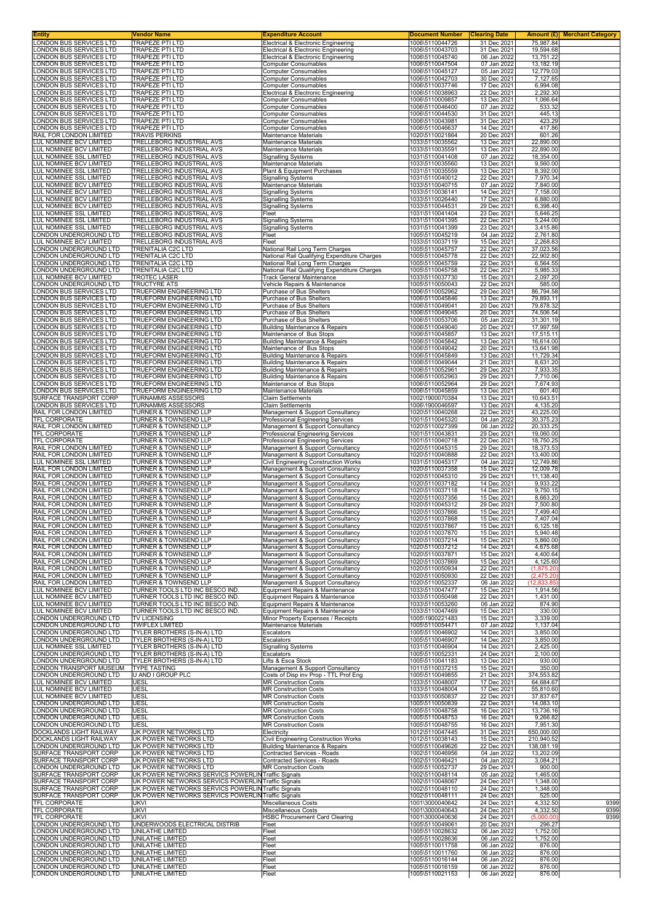| Entity                                                         | Vendor Name                                                                 | <b>Expenditure Account</b>                                                             | <b>Document Number</b>             | <b>Clearing Date</b>       |                          | <b>Amount (£)</b> Merchant Category |
|----------------------------------------------------------------|-----------------------------------------------------------------------------|----------------------------------------------------------------------------------------|------------------------------------|----------------------------|--------------------------|-------------------------------------|
| ONDON BUS SERVICES LTD<br>ONDON BUS SERVICES LTD               | TRAPEZE PTI LTD<br>TRAPEZE PTI LTD                                          | Electrical & Electronic Engineering<br>Electrical & Electronic Engineering             | 1006\5110044726<br>1006\5110043703 | 31 Dec 2021<br>31 Dec 2021 | 75,987.84<br>19,594.68   |                                     |
| ONDON BUS SERVICES LTD                                         | TRAPEZE PTI LTD                                                             | Electrical & Electronic Engineering                                                    | 1006\5110045740                    | 06 Jan 2022                | 13,751.22                |                                     |
| ONDON BUS SERVICES LTD                                         | <b>TRAPEZE PTI LTD</b>                                                      | <b>Computer Consumables</b>                                                            | 1006\5110047504                    | 07 Jan 2022                | 13,182.19                |                                     |
| ONDON BUS SERVICES LTD                                         | <b>TRAPEZE PTI LTD</b>                                                      | <b>Computer Consumables</b>                                                            | 1006\5110045127                    | 05 Jan 2022                | 12,779.03                |                                     |
| ONDON BUS SERVICES LTD<br>ONDON BUS SERVICES LTD               | <b>TRAPEZE PTI LTD</b><br><b>TRAPEZE PTI LTD</b>                            | <b>Computer Consumables</b><br><b>Computer Consumables</b>                             | 1006\5110042703<br>1006\5110037746 | 30 Dec 2021<br>17 Dec 2021 | 7,127.65<br>6,994.08     |                                     |
| ONDON BUS SERVICES LTD                                         | <b>TRAPEZE PTI LTD</b>                                                      | Electrical & Electronic Engineering                                                    | 1006\5110038963                    | 22 Dec 2021                | 2,292.30                 |                                     |
| ONDON BUS SERVICES LTD                                         | TRAPEZE PTI LTD                                                             | <b>Computer Consumables</b>                                                            | 1006\5110009857                    | 13 Dec 2021                | 1,066.64                 |                                     |
| ONDON BUS SERVICES LTD                                         | <b>TRAPEZE PTI LTD</b>                                                      | <b>Computer Consumables</b>                                                            | 1006\5110046400                    | 07 Jan 2022                | 533.32                   |                                     |
| ONDON BUS SERVICES LTD<br>ONDON BUS SERVICES LTD               | <b>TRAPEZE PTI LTD</b><br><b>TRAPEZE PTI LTD</b>                            | <b>Computer Consumables</b><br><b>Computer Consumables</b>                             | 1006\5110044530<br>1006\5110043981 | 31 Dec 2021<br>31 Dec 2021 | 445.13<br>423.29         |                                     |
| ONDON BUS SERVICES LTD                                         | TRAPEZE PTI LTD                                                             | <b>Computer Consumables</b>                                                            | 1006\5110046637                    | 14 Dec 2021                | 417.86                   |                                     |
| RAIL FOR LONDON LIMITED                                        | <b>TRAVIS PERKINS</b>                                                       | <b>Maintenance Materials</b>                                                           | 1020\5110021864                    | 20 Dec 2021                | 601.26                   |                                     |
| LUL NOMINEE BCV LIMITED<br>LUL NOMINEE BCV LIMITED             | TRELLEBORG INDUSTRIAL AVS<br>TRELLEBORG INDUSTRIAL AVS                      | Maintenance Materials<br>Maintenance Materials                                         | 1033\5110035562<br>1033\5110035591 | 13 Dec 2021<br>13 Dec 2021 | 22,890.00<br>22,890.00   |                                     |
| LUL NOMINEE SSL LIMITED                                        | <b>TRELLEBORG INDUSTRIAL AVS</b>                                            | <b>Signalling Systems</b>                                                              | 1031\5110041408                    | 07 Jan 2022                | 18,354.00                |                                     |
| LUL NOMINEE BCV LIMITED                                        | TRELLEBORG INDUSTRIAL AVS                                                   | Maintenance Materials                                                                  | 1033\5110035560                    | 13 Dec 2021                | 9,560.00                 |                                     |
| <b>UL NOMINEE SSL LIMITED</b>                                  | TRELLEBORG INDUSTRIAL AVS                                                   | Plant & Equipment Purchases                                                            | 1031\5110035559                    | 13 Dec 2021                | 8,392.00                 |                                     |
| LUL NOMINEE SSL LIMITED<br>LUL NOMINEE BCV LIMITED             | TRELLEBORG INDUSTRIAL AVS<br>TRELLEBORG INDUSTRIAL AVS                      | <b>Signalling Systems</b><br>Maintenance Materials                                     | 1031\5110040012<br>1033\5110040715 | 22 Dec 2021<br>07 Jan 2022 | 7,970.34<br>7,840.00     |                                     |
| LUL NOMINEE BCV LIMITED                                        | TRELLEBORG INDUSTRIAL AVS                                                   | <b>Signalling Systems</b>                                                              | 1033\5110036141                    | 14 Dec 2021                | 7,158.00                 |                                     |
| LUL NOMINEE BCV LIMITED                                        | TRELLEBORG INDUSTRIAL AVS                                                   | <b>Signalling Systems</b>                                                              | 1033\5110026440                    | 17 Dec 2021                | 6,880.00                 |                                     |
| LUL NOMINEE BCV LIMITED<br>LUL NOMINEE SSL LIMITED             | TRELLEBORG INDUSTRIAL AVS<br>TRELLEBORG INDUSTRIAL AVS                      | <b>Signalling Systems</b><br>Fleet                                                     | 1033\5110044531<br>1031\5110041404 | 29 Dec 2021<br>23 Dec 2021 | 6,398.40<br>5,646.25     |                                     |
| LUL NOMINEE SSL LIMITED                                        | <b>TRELLEBORG INDUSTRIAL AVS</b>                                            | <b>Signalling Systems</b>                                                              | 1031\5110041395                    | 22 Dec 2021                | 5,244.00                 |                                     |
| LUL NOMINEE SSL LIMITED                                        | TRELLEBORG INDUSTRIAL AVS                                                   | <b>Signalling Systems</b>                                                              | 1031\5110041399                    | 23 Dec 2021                | 3,415.86                 |                                     |
| ONDON UNDERGROUND LTD                                          | TRELLEBORG INDUSTRIAL AVS                                                   | Fleet                                                                                  | 1005\5110045219                    | 04 Jan 2022                | 2,761.80                 |                                     |
| UL NOMINEE BCV LIMITED<br>ONDON UNDERGROUND LTD                | TRELLEBORG INDUSTRIAL AVS<br>TRENITALIA C2C LTD                             | Fleet<br>National Rail Long Term Charges                                               | 1033\5110037119<br>1005\5110045757 | 15 Dec 2021<br>22 Dec 2021 | 2,268.83<br>37,023.56    |                                     |
| ONDON UNDERGROUND LTD                                          | TRENITALIA C2C LTD                                                          | National Rail Qualifying Expenditure Charges                                           | 1005\5110045778                    | 22 Dec 2021                | 22,902.80                |                                     |
| ONDON UNDERGROUND LTD                                          | <b>TRENITALIA C2C LTD</b>                                                   | National Rail Long Term Charges                                                        | 1005\5110045759                    | 22 Dec 2021                | 6,564.55                 |                                     |
| ONDON UNDERGROUND LTD                                          | <b>TRENITALIA C2C LTD</b>                                                   | National Rail Qualifying Expenditure Charges                                           | 1005\5110045758                    | 22 Dec 2021                | 5,985.33                 |                                     |
| <b>UL NOMINEE BCV LIMITED</b><br>ONDON UNDERGROUND LTD         | <b>TROTEC LASER</b><br><b>TRUCTYRE ATS</b>                                  | Track General Maintenance<br>Vehicle Repairs & Maintenance                             | 1033\5110037730<br>1005\5110050043 | 15 Dec 2021<br>22 Dec 2021 | 2,097.20<br>585.00       |                                     |
| ONDON BUS SERVICES LTD                                         | <b>TRUEFORM ENGINEERING LTD</b>                                             | Purchase of Bus Shelters                                                               | 1006\5110052962                    | 29 Dec 2021                | 86,794.58                |                                     |
| ONDON BUS SERVICES LTD                                         | TRUEFORM ENGINEERING LTD                                                    | Purchase of Bus Shelters                                                               | 1006\5110045846                    | 13 Dec 2021                | 79,893.11                |                                     |
| ONDON BUS SERVICES LTD<br>ONDON BUS SERVICES LTD               | TRUEFORM ENGINEERING LTD<br><b>TRUEFORM ENGINEERING LTD</b>                 | Purchase of Bus Shelters<br>Purchase of Bus Shelters                                   | 1006\5110049041<br>1006\5110049045 | 20 Dec 2021<br>20 Dec 2021 | 79,878.32<br>74,506.54   |                                     |
| ONDON BUS SERVICES LTD                                         | <b>TRUEFORM ENGINEERING LTD</b>                                             | Purchase of Bus Shelters                                                               | 1006\5110053706                    | 05 Jan 2022                | 31,301.19                |                                     |
| ONDON BUS SERVICES LTD                                         | TRUEFORM ENGINEERING LTD                                                    | <b>Building Maintenance &amp; Repairs</b>                                              | 1006\5110049040                    | 20 Dec 2021                | 17,997.59                |                                     |
| ONDON BUS SERVICES LTD<br>ONDON BUS SERVICES LTD               | TRUEFORM ENGINEERING LTD<br>TRUEFORM ENGINEERING LTD                        | Maintenance of Bus Stops<br><b>Building Maintenance &amp; Repairs</b>                  | 1006\5110045857<br>1006\5110045842 | 13 Dec 2021<br>13 Dec 2021 | 17,515.11<br>16.614.00   |                                     |
| ONDON BUS SERVICES LTD                                         | TRUEFORM ENGINEERING LTD                                                    | Maintenance of Bus Stops                                                               | 1006\5110049042                    | 20 Dec 2021                | 13,641.98                |                                     |
| ONDON BUS SERVICES LTD                                         | TRUEFORM ENGINEERING LTD                                                    | <b>Building Maintenance &amp; Repairs</b>                                              | 1006\5110045849                    | 13 Dec 2021                | 11,729.34                |                                     |
| ONDON BUS SERVICES LTD<br>ONDON BUS SERVICES LTD               | TRUEFORM ENGINEERING LTD<br>TRUEFORM ENGINEERING LTD                        | <b>Building Maintenance &amp; Repairs</b><br><b>Building Maintenance &amp; Repairs</b> | 1006\5110049044<br>1006\5110052961 | 21 Dec 2021<br>29 Dec 2021 | 8,631.20<br>7,933.35     |                                     |
| ONDON BUS SERVICES LTD                                         | TRUEFORM ENGINEERING LTD                                                    | <b>Building Maintenance &amp; Repairs</b>                                              | 1006\5110052963                    | 29 Dec 2021                | 7,710.06                 |                                     |
| ONDON BUS SERVICES LTD.                                        | TRUEFORM ENGINEERING LTD                                                    | Maintenance of Bus Stops                                                               | 1006\5110052964                    | 29 Dec 2021                | 7,674.93                 |                                     |
| ONDON BUS SERVICES LTD                                         | TRUEFORM ENGINEERING LTD                                                    | Maintenance Materials                                                                  | 1006\5110045859                    | 13 Dec 2021                | 601.40                   |                                     |
| SURFACE TRANSPORT CORP<br>ONDON BUS SERVICES LTD               | TURNAMMS ASSESSORS<br>TURNAMMS ASSESSORS                                    | <b>Claim Settlements</b><br><b>Claim Settlements</b>                                   | 1002\1900070384<br>1006\1900046597 | 13 Dec 2021<br>13 Dec 2021 | 10,643.51<br>4,135.20    |                                     |
| RAIL FOR LONDON LIMITED                                        | TURNER & TOWNSEND LLP                                                       | Management & Support Consultancy                                                       | 1020\5110040268                    | 22 Dec 2021                | 43,225.00                |                                     |
| TFL CORPORATE                                                  | <b>TURNER &amp; TOWNSEND LLP</b>                                            | Professional Engineering Services                                                      | 1001\5110045320                    | 04 Jan 2022                | 30,375.23                |                                     |
| RAIL FOR LONDON LIMITED<br>TFL CORPORATE                       | TURNER & TOWNSEND LLP<br>TURNER & TOWNSEND LLP                              | Management & Support Consultancy<br>Professional Engineering Services                  | 1020\5110027399<br>1001\5110043831 | 06 Jan 2022<br>29 Dec 2021 | 20,333.25<br>19,060.00   |                                     |
| TFL CORPORATE                                                  | TURNER & TOWNSEND LLP                                                       | Professional Engineering Services                                                      | 1001\5110040718                    | 22 Dec 2021                | 18,750.25                |                                     |
| RAIL FOR LONDON LIMITED                                        | TURNER & TOWNSEND LLP                                                       | Management & Support Consultancy                                                       | 1020\5110045315                    | 29 Dec 2021                | 18,373.53                |                                     |
| RAIL FOR LONDON LIMITED<br>LUL NOMINEE SSL LIMITED             | TURNER & TOWNSEND LLP<br><b>TURNER &amp; TOWNSEND LLP</b>                   | Management & Support Consultancy<br>Civil Engineering Construction Works               | 1020\5110040888<br>1031\5110045317 | 22 Dec 2021<br>04 Jan 2022 | 13,400.00<br>12,749.86   |                                     |
| RAIL FOR LONDON LIMITED                                        | <b>TURNER &amp; TOWNSEND LLP</b>                                            | Management & Support Consultancy                                                       | 1020\5110037358                    | 15 Dec 2021                | 12,009.78                |                                     |
| RAIL FOR LONDON LIMITED                                        | TURNER & TOWNSEND LLP                                                       | Management & Support Consultancy                                                       | 1020\5110045310                    | 29 Dec 2021<br>14 Dec 2021 | 11,138.40                |                                     |
| RAIL FOR LONDON LIMITED<br>RAIL FOR LONDON LIMITED             | TURNER & TOWNSEND LLP<br>TURNER & TOWNSEND LLP                              | Management & Support Consultancy<br>Management & Support Consultancy                   | 1020\5110037182<br>1020\5110037118 | 14 Dec 2021                | 9,933.22<br>9,750.15     |                                     |
| RAIL FOR LONDON LIMITED                                        | <b>TURNER &amp; TOWNSEND LLP</b>                                            | Management & Support Consultancy                                                       | 1020\5110037356                    | 15 Dec 2021                | 8,663.20                 |                                     |
| RAIL FOR LONDON LIMITED<br>RAIL FOR LONDON LIMITED             | TURNER & TOWNSEND LLP<br>TURNER & TOWNSEND LLP                              | Management & Support Consultancy                                                       | 1020\5110045312<br>1020\5110037866 | 29 Dec 2021<br>15 Dec 2021 | 7,500.80<br>7,499.40     |                                     |
| RAIL FOR LONDON LIMITED                                        | TURNER & TOWNSEND LLP                                                       | Management & Support Consultancy<br>Management & Support Consultancy                   | 1020\5110037868                    | 15 Dec 2021                | 7,407.04                 |                                     |
| RAIL FOR LONDON LIMITED                                        | <b>I URNER &amp; TOWNSEND LLP</b>                                           | Management & Support Consultancy                                                       | 1020\5110037867                    | 15 Dec 2021                | 6,125.18                 |                                     |
| RAIL FOR LONDON LIMITED<br>RAIL FOR LONDON LIMITED             | TURNER & TOWNSEND LLP<br><b>TURNER &amp; TOWNSEND LLP</b>                   | Management & Support Consultancy                                                       | 1020\5110037870                    | 15 Dec 2021                | 5,940.48                 |                                     |
| RAIL FOR LONDON LIMITED                                        | <b>TURNER &amp; TOWNSEND LLP</b>                                            | Management & Support Consultancy<br>Management & Support Consultancy                   | 1020\5110037214<br>1020\5110037212 | 15 Dec 2021<br>14 Dec 2021 | 5,860.00<br>4,675.68     |                                     |
| RAIL FOR LONDON LIMITED                                        | <b>TURNER &amp; TOWNSEND LLP</b>                                            | Management & Support Consultancy                                                       | 1020\5110037871                    | 15 Dec 2021                | 4,400.64                 |                                     |
| RAIL FOR LONDON LIMITED                                        | TURNER & TOWNSEND LLP                                                       | Management & Support Consultancy                                                       | 1020\5110037869                    | 15 Dec 2021                | 4,125.60                 |                                     |
| RAIL FOR LONDON LIMITED<br>RAIL FOR LONDON LIMITED             | TURNER & TOWNSEND LLP<br>TURNER & TOWNSEND LLP                              | Management & Support Consultancy<br>Management & Support Consultancy                   | 1020\5110050934<br>1020\5110050930 | 22 Dec 2021<br>22 Dec 2021 | (1,875.20)<br>(2,475.20) |                                     |
| RAIL FOR LONDON LIMITED                                        | TURNER & TOWNSEND LLP                                                       | Management & Support Consultancy                                                       | 1020\5110052337                    | 06 Jan 2022                | (12, 833.85)             |                                     |
| LUL NOMINEE BCV LIMITED                                        | TURNER TOOLS LTD INC BESCO IND.                                             | Equipment Repairs & Maintenance                                                        | 1033\5110047477                    | 15 Dec 2021                | 1,914.56                 |                                     |
| LUL NOMINEE BCV LIMITED<br>LUL NOMINEE BCV LIMITED             | TURNER TOOLS LTD INC BESCO IND.<br>TURNER TOOLS LTD INC BESCO IND.          | Equipment Repairs & Maintenance<br>Equipment Repairs & Maintenance                     | 1033\5110050498<br>1033\5110053260 | 22 Dec 2021<br>06 Jan 2022 | 1,431.00<br>874.90       |                                     |
| <b>UL NOMINEE BCV LIMITED</b>                                  | TURNER TOOLS LTD INC BESCO IND.                                             | Equipment Repairs & Maintenance                                                        | 1033\5110047469                    | 15 Dec 2021                | 330.00                   |                                     |
| ONDON UNDERGROUND LTD                                          | TV LICENSING                                                                | Minor Property Expenses / Receipts                                                     | 1005\1900221483                    | 15 Dec 2021                | 3,339.00                 |                                     |
| LONDON UNDERGROUND LTD<br>ONDON UNDERGROUND LTD                | <b>TWIFLEX LIMITED</b><br>TYLER BROTHERS (S-IN-A) LTD                       | <b>Maintenance Materials</b><br>Escalators                                             | 1005\5110054471<br>1005\5110046902 | 07 Jan 2022<br>14 Dec 2021 | 1,137.04<br>3,850.00     |                                     |
| ONDON UNDERGROUND LTD                                          | TYLER BROTHERS (S-IN-A) LTD                                                 | Escalators                                                                             | 1005\5110046907                    | 14 Dec 2021                | 3,850.00                 |                                     |
| <b>UL NOMINEE SSL LIMITED</b>                                  | TYLER BROTHERS (S-IN-A) LTD                                                 | <b>Signalling Systems</b>                                                              | 1031\5110046904                    | 14 Dec 2021                | 2,425.00                 |                                     |
| ONDON UNDERGROUND LTD<br>ONDON UNDERGROUND LTD                 | TYLER BROTHERS (S-IN-A) LTD<br>TYLER BROTHERS (S-IN-A) LTD                  | Escalators<br>Lifts & Esca Stock                                                       | 1005\5110052331<br>1005\5110041183 | 24 Dec 2021<br>13 Dec 2021 | 2,100.00<br>930.00       |                                     |
| ONDON TRANSPORT MUSEUM                                         | <b>TYPE TASTING</b>                                                         | Management & Support Consultancy                                                       | 1011\5110037215                    | 15 Dec 2021                | 350.00                   |                                     |
| ONDON UNDERGROUND LTD                                          | U AND I GROUP PLC                                                           | Costs of Disp inv Prop - TTL Prof Eng                                                  | 1005\5110049855                    | 21 Dec 2021                | 374,553.82               |                                     |
| <b>UL NOMINEE BCV LIMITED</b><br><b>UL NOMINEE BCV LIMITED</b> | <b>UESL</b><br>UESL                                                         | <b>MR Construction Costs</b><br><b>MR Construction Costs</b>                           | 1033\5110048007<br>1033\5110048004 | 17 Dec 2021<br>17 Dec 2021 | 64,684.67<br>55,810.60   |                                     |
| <b>UL NOMINEE BCV LIMITED</b>                                  | UESL                                                                        | <b>MR Construction Costs</b>                                                           | 1033\5110050837                    | 22 Dec 2021                | 37,837.67                |                                     |
| ONDON UNDERGROUND LTD                                          | UESL                                                                        | <b>MR Construction Costs</b>                                                           | 1005\5110050839                    | 22 Dec 2021                | 14,083.10                |                                     |
| ONDON UNDERGROUND LTD<br>ONDON UNDERGROUND LTD                 | <b>UESL</b><br>UESL                                                         | <b>MR Construction Costs</b><br><b>MR Construction Costs</b>                           | 1005\5110048758<br>1005\5110048753 | 16 Dec 2021<br>16 Dec 2021 | 13,736.16<br>9,266.82    |                                     |
| ONDON UNDERGROUND LTD                                          | <b>UESL</b>                                                                 | <b>MR Construction Costs</b>                                                           | 1005\5110048755                    | 16 Dec 2021                | 7,951.30                 |                                     |
| DOCKLANDS LIGHT RAILWAY                                        | UK POWER NETWORKS LTD                                                       | Electricity                                                                            | 1012\5110047445                    | 31 Dec 2021                | 650,000.00               |                                     |
| DOCKLANDS LIGHT RAILWAY<br>ONDON UNDERGROUND LTD               | UK POWER NETWORKS LTD<br>UK POWER NETWORKS LTD                              | Civil Engineering Construction Works<br><b>Building Maintenance &amp; Repairs</b>      | 1012\5110038143<br>1005\5110049626 | 15 Dec 2021<br>22 Dec 2021 | 210,940.52<br>138,081.19 |                                     |
| SURFACE TRANSPORT CORP                                         | UK POWER NETWORKS LTD                                                       | Contracted Services - Roads                                                            | 1002\5110046956                    | 04 Jan 2022                | 13,202.09                |                                     |
| SURFACE TRANSPORT CORP                                         | UK POWER NETWORKS LTD                                                       | Contracted Services - Roads                                                            | 1002\5110046421                    | 04 Jan 2022                | 3,084.21                 |                                     |
| ONDON UNDERGROUND LTD<br>SURFACE TRANSPORT CORP                | UK POWER NETWORKS LTD<br>UK POWER NETWORKS SERVICS POWERLIN Traffic Signals | <b>MR Construction Costs</b>                                                           | 1005\5110052737<br>1002\5110048114 | 29 Dec 2021<br>05 Jan 2022 | 900.00<br>1,465.00       |                                     |
| SURFACE TRANSPORT CORP                                         | UK POWER NETWORKS SERVICS POWERLIN Traffic Signals                          |                                                                                        | 1002\5110048067                    | 24 Dec 2021                | 1,348.00                 |                                     |
| SURFACE TRANSPORT CORP                                         | UK POWER NETWORKS SERVICS POWERLIN Traffic Signals                          |                                                                                        | 1002\5110048110                    | 24 Dec 2021                | 1,348.00                 |                                     |
| SURFACE TRANSPORT CORP<br>TFL CORPORATE                        | UK POWER NETWORKS SERVICS POWERLIN Traffic Signals<br>UKVI                  | Miscellaneous Costs                                                                    | 1002\5110048111<br>1001\3000040642 | 24 Dec 2021<br>24 Dec 2021 | 525.00<br>4,332.50       | 9399                                |
| TFL CORPORATE                                                  | <b>UKVI</b>                                                                 | Miscellaneous Costs                                                                    | 1001\3000040643                    | 24 Dec 2021                | 4,332.50                 | 9399                                |
| TFL CORPORATE<br>ONDON UNDERGROUND LTD                         | <b>UKVI</b><br>UNDERWOODS ELECTRICAL DISTRIB                                | <b>HSBC Procurement Card Clearing</b>                                                  | 1001\3000040636                    | 24 Dec 2021                | (5,000.00)<br>296.27     | 9399                                |
| ONDON UNDERGROUND LTD                                          | UNILATHE LIMITED                                                            | Fleet<br>Fleet                                                                         | 1005\5110049061<br>1005\5110028632 | 20 Dec 2021<br>06 Jan 2022 | 1,752.00                 |                                     |
| ONDON UNDERGROUND LTD                                          | UNILATHE LIMITED                                                            | Fleet                                                                                  | 1005\5110028636                    | 06 Jan 2022                | 1,752.00                 |                                     |
| ONDON UNDERGROUND LTD.<br>ONDON UNDERGROUND LTD                | UNILATHE LIMITED<br>UNILATHE LIMITED                                        | Fleet<br>Fleet                                                                         | 1005\5110011758<br>1005\5110011760 | 06 Jan 2022<br>06 Jan 2022 | 876.00<br>876.00         |                                     |
| ONDON UNDERGROUND LTD                                          | UNILATHE LIMITED                                                            | Fleet                                                                                  | 1005\5110016144                    | 06 Jan 2022                | 876.00                   |                                     |
| ONDON UNDERGROUND LTD                                          | <b>UNILATHE LIMITED</b>                                                     | Fleet                                                                                  | 1005\5110016159                    | 06 Jan 2022                | 876.00                   |                                     |
| LONDON UNDERGROUND LTD                                         | UNILATHE LIMITED                                                            | Fleet                                                                                  | 1005\5110021153                    | 06 Jan 2022                | 876.00                   |                                     |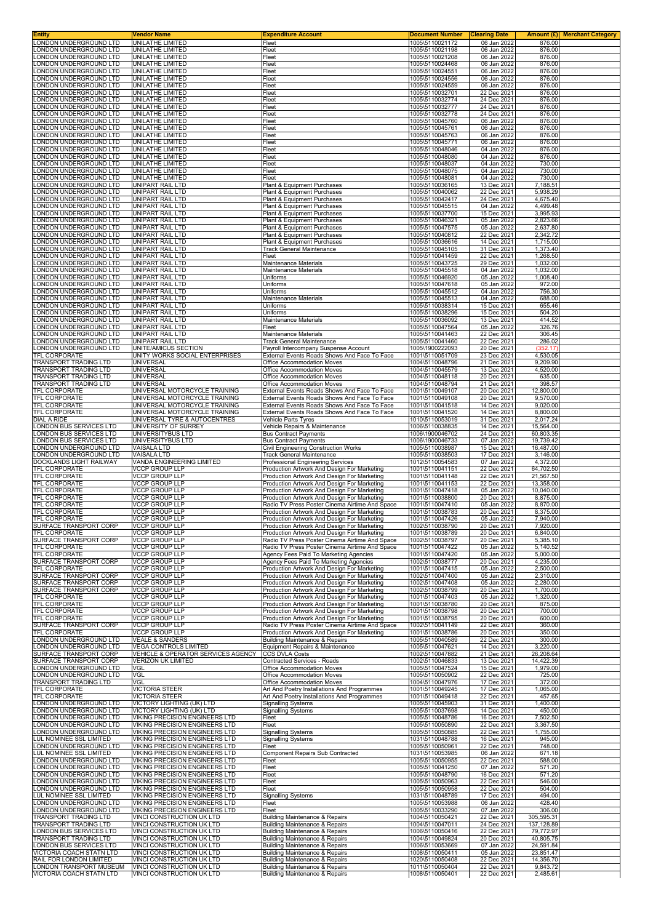| <b>Entity</b>                                     | Vendor Name                                                      | <b>Expenditure Account</b>                                                                       | <b>Document Number</b>             | <b>Clearing Date</b>       |                        | <b>Amount (£)</b> Merchant Category |
|---------------------------------------------------|------------------------------------------------------------------|--------------------------------------------------------------------------------------------------|------------------------------------|----------------------------|------------------------|-------------------------------------|
| LONDON UNDERGROUND LTD                            | UNILATHE LIMITED                                                 | Fleet                                                                                            | 1005\5110021172                    | 06 Jan 2022                | 876.00                 |                                     |
| LONDON UNDERGROUND LTD<br>LONDON UNDERGROUND LTD  | UNILATHE LIMITED<br>UNILATHE LIMITED                             | Fleet<br>Fleet                                                                                   | 1005\5110021198<br>1005\5110021208 | 06 Jan 2022<br>06 Jan 2022 | 876.00<br>876.00       |                                     |
| LONDON UNDERGROUND LTD                            | UNILATHE LIMITED                                                 | Fleet                                                                                            | 1005\5110024468                    | 06 Jan 2022                | 876.00                 |                                     |
| LONDON UNDERGROUND LTD                            | UNILATHE LIMITED                                                 | Fleet                                                                                            | 1005\5110024551                    | 06 Jan 2022                | 876.00                 |                                     |
| LONDON UNDERGROUND LTD                            | UNILATHE LIMITED                                                 | Fleet                                                                                            | 1005\5110024556                    | 06 Jan 2022                | 876.00                 |                                     |
| LONDON UNDERGROUND LTD                            | UNILATHE LIMITED                                                 | Fleet                                                                                            | 1005\5110024559                    | 06 Jan 2022                | 876.00                 |                                     |
| LONDON UNDERGROUND LTD                            | UNILATHE LIMITED                                                 | Fleet                                                                                            | 1005\5110032701                    | 22 Dec 2021                | 876.00                 |                                     |
| LONDON UNDERGROUND LTD<br>LONDON UNDERGROUND LTD  | UNILATHE LIMITED<br><b>UNILATHE LIMITED</b>                      | Fleet                                                                                            | 1005\5110032774                    | 24 Dec 2021<br>24 Dec 2021 | 876.00<br>876.00       |                                     |
| LONDON UNDERGROUND LTD                            | UNILATHE LIMITED                                                 | Fleet<br>Fleet                                                                                   | 1005\5110032777<br>1005\5110032778 | 24 Dec 2021                | 876.00                 |                                     |
| LONDON UNDERGROUND LTD                            | UNILATHE LIMITED                                                 | Fleet                                                                                            | 1005\5110045760                    | 06 Jan 2022                | 876.00                 |                                     |
| LONDON UNDERGROUND LTD                            | UNILATHE LIMITED                                                 | Fleet                                                                                            | 1005\5110045761                    | 06 Jan 2022                | 876.00                 |                                     |
| LONDON UNDERGROUND LTD                            | UNILATHE LIMITED                                                 | Fleet                                                                                            | 1005\5110045763                    | 06 Jan 2022                | 876.00                 |                                     |
| LONDON UNDERGROUND LTD                            | <b>UNILATHE LIMITED</b>                                          | Fleet                                                                                            | 1005\5110045771                    | 06 Jan 2022<br>04 Jan 2022 | 876.00                 |                                     |
| LONDON UNDERGROUND LTD<br>LONDON UNDERGROUND LTD  | UNILATHE LIMITED<br>UNILATHE LIMITED                             | Fleet<br>Fleet                                                                                   | 1005\5110048046<br>1005\5110048080 | 04 Jan 2022                | 876.00<br>876.00       |                                     |
| LONDON UNDERGROUND LTD                            | UNILATHE LIMITED                                                 | Fleet                                                                                            | 1005\5110048037                    | 04 Jan 2022                | 730.00                 |                                     |
| LONDON UNDERGROUND LTD                            | UNILATHE LIMITED                                                 | Fleet                                                                                            | 1005\5110048075                    | 04 Jan 2022                | 730.00                 |                                     |
| LONDON UNDERGROUND LTD                            | UNILATHE LIMITED                                                 | Fleet                                                                                            | 1005\5110048081                    | 04 Jan 2022                | 730.00                 |                                     |
| LONDON UNDERGROUND LTD                            | UNIPART RAIL LTD                                                 | Plant & Equipment Purchases                                                                      | 1005\5110036165                    | 13 Dec 2021                | 7,188.51               |                                     |
| LONDON UNDERGROUND LTD<br>LONDON UNDERGROUND LTD  | UNIPART RAIL LTD<br>UNIPART RAIL LTD                             | Plant & Equipment Purchases<br>Plant & Equipment Purchases                                       | 1005\5110040062<br>1005\5110042417 | 22 Dec 2021<br>24 Dec 2021 | 5,938.29<br>4,675.40   |                                     |
| LONDON UNDERGROUND LTD                            | UNIPART RAIL LTD                                                 | Plant & Equipment Purchases                                                                      | 1005\5110045515                    | 04 Jan 2022                | 4,499.48               |                                     |
| LONDON UNDERGROUND LTD                            | UNIPART RAIL LTD                                                 | Plant & Equipment Purchases                                                                      | 1005\5110037700                    | 15 Dec 2021                | 3,995.93               |                                     |
| LONDON UNDERGROUND LTD                            | UNIPART RAIL LTD                                                 | Plant & Equipment Purchases                                                                      | 1005\5110046321                    | 05 Jan 2022                | 2,823.66               |                                     |
| LONDON UNDERGROUND LTD<br>LONDON UNDERGROUND LTD  | UNIPART RAIL LTD<br>UNIPART RAIL LTD                             | Plant & Equipment Purchases<br>Plant & Equipment Purchases                                       | 1005\5110047575<br>1005\5110040812 | 05 Jan 2022<br>22 Dec 2021 | 2,637.80<br>2,342.72   |                                     |
| LONDON UNDERGROUND LTD                            | UNIPART RAIL LTD                                                 | Plant & Equipment Purchases                                                                      | 1005\5110036616                    | 14 Dec 2021                | 1,715.00               |                                     |
| LONDON UNDERGROUND LTD                            | UNIPART RAIL LTD                                                 | Track General Maintenance                                                                        | 1005\5110045105                    | 31 Dec 2021                | 1,373.40               |                                     |
| LONDON UNDERGROUND LTD                            | <b>UNIPART RAIL LTD</b>                                          | Fleet                                                                                            | 1005\5110041459                    | 22 Dec 2021                | 1,268.50               |                                     |
| LONDON UNDERGROUND LTD                            | UNIPART RAIL LTD                                                 | Maintenance Materials                                                                            | 1005\5110043725                    | 29 Dec 2021                | 1,032.00               |                                     |
| LONDON UNDERGROUND LTD<br>LONDON UNDERGROUND LTD  | UNIPART RAIL LTD<br>UNIPART RAIL LTD                             | Maintenance Materials<br>Uniforms                                                                | 1005\5110045518<br>1005\5110046920 | 04 Jan 2022<br>05 Jan 2022 | 1,032.00<br>1,008.40   |                                     |
| LONDON UNDERGROUND LTD                            | UNIPART RAIL LTD                                                 | Uniforms                                                                                         | 1005\5110047618                    | 05 Jan 2022                | 972.00                 |                                     |
| LONDON UNDERGROUND LTD                            | <b>UNIPART RAIL LTD</b>                                          | Uniforms                                                                                         | 1005\5110045512                    | 04 Jan 2022                | 756.30                 |                                     |
| LONDON UNDERGROUND LTD                            | <b>UNIPART RAIL LTD</b>                                          | Maintenance Materials                                                                            | 1005\5110045513                    | 04 Jan 2022                | 688.00                 |                                     |
| LONDON UNDERGROUND LTD                            | UNIPART RAIL LTD                                                 | Uniforms                                                                                         | 1005\5110038314                    | 15 Dec 2021                | 655.46                 |                                     |
| LONDON UNDERGROUND LTD<br>LONDON UNDERGROUND LTD  | UNIPART RAIL LTD                                                 | Uniforms                                                                                         | 1005\5110038296                    | 15 Dec 2021                | 504.20                 |                                     |
| LONDON UNDERGROUND LTD                            | UNIPART RAIL LTD<br><b>UNIPART RAIL LTD</b>                      | Maintenance Materials<br>Fleet                                                                   | 1005\5110036092<br>1005\5110047564 | 13 Dec 2021<br>05 Jan 2022 | 414.52<br>326.76       |                                     |
| LONDON UNDERGROUND LTD                            | UNIPART RAIL LTD                                                 | Maintenance Materials                                                                            | 1005\5110041463                    | 22 Dec 2021                | 306.45                 |                                     |
| LONDON UNDERGROUND LTD                            | <b>UNIPART RAIL LTD</b>                                          | <b>Track General Maintenance</b>                                                                 | 1005\5110041460                    | 22 Dec 2021                | 286.02                 |                                     |
| LONDON UNDERGROUND LTD                            | UNITE/AMICUS SECTION                                             | Payroll Intercompany Suspense Account                                                            | 1005\1900222093                    | 20 Dec 2021                | (352.17)               |                                     |
| TFL CORPORATE                                     | UNITY WORKS SOCIAL ENTERPRISES                                   | External Events Roads Shows And Face To Face                                                     | 1001\5110051709                    | 23 Dec 2021                | 4,530.05               |                                     |
| TRANSPORT TRADING LTD<br>TRANSPORT TRADING LTD    | <b>UNIVERSAL</b><br><b>UNIVERSAL</b>                             | Office Accommodation Moves<br>Office Accommodation Moves                                         | 1004\5110048796<br>1004\5110045579 | 21 Dec 2021<br>13 Dec 2021 | 9,209.90<br>4,520.00   |                                     |
| TRANSPORT TRADING LTD                             | UNIVERSAL                                                        | Office Accommodation Moves                                                                       | 1004\5110048118                    | 20 Dec 2021                | 635.00                 |                                     |
| TRANSPORT TRADING LTD                             | UNIVERSAL                                                        | Office Accommodation Moves                                                                       | 1004\5110048794                    | 21 Dec 2021                | 398.57                 |                                     |
| TFL CORPORATE                                     | UNIVERSAL MOTORCYCLE TRAINING                                    | External Events Roads Shows And Face To Face                                                     | 1001\5110049107                    | 20 Dec 2021                | 12,800.00              |                                     |
| TFL CORPORATE                                     | UNIVERSAL MOTORCYCLE TRAINING                                    | External Events Roads Shows And Face To Face                                                     | 1001\5110049108                    | 20 Dec 2021                | 9,570.00               |                                     |
| TFL CORPORATE<br>TFL CORPORATE                    | UNIVERSAL MOTORCYCLE TRAINING<br>UNIVERSAL MOTORCYCLE TRAINING   | External Events Roads Shows And Face To Face<br>External Events Roads Shows And Face To Face     | 1001\5110041518<br>1001\5110041520 | 14 Dec 2021<br>14 Dec 2021 | 9,020.00<br>8,800.00   |                                     |
| DIAL A RIDE                                       | UNIVERSAL TYRE & AUTOCENTRES                                     | Vehicle Parts Tyres                                                                              | 1010\5110053019                    | 31 Dec 2021                | 2,017.24               |                                     |
| <b>LONDON BUS SERVICES LTD</b>                    | UNIVERSITY OF SURREY                                             | Vehicle Repairs & Maintenance                                                                    | 1006\5110038835                    | 14 Dec 2021                | 15,564.00              |                                     |
| LONDON BUS SERVICES LTD                           | UNIVERSITYBUS LTD                                                | <b>Bus Contract Payments</b>                                                                     | 1006\1900046702                    | 24 Dec 2021                | 60,803.35              |                                     |
| LONDON BUS SERVICES LTD                           | UNIVERSITYBUS LTD                                                | <b>Bus Contract Payments</b>                                                                     | 1006\1900046733                    | 07 Jan 2022                | 19,739.42              |                                     |
| LONDON UNDERGROUND LTD                            | <b>VAISALA LTD</b>                                               | Civil Engineering Construction Works                                                             | 1005\5110038987                    | 15 Dec 2021                | 16,487.00              |                                     |
| LONDON UNDERGROUND LTD<br>DOCKLANDS LIGHT RAILWAY | <b>VAISALA LTD</b><br>VANDA ENGINEERING LIMITED                  | <b>Track General Maintenance</b><br><b>Professional Engineering Services</b>                     | 1005\5110038503<br>1012\5110054583 | 17 Dec 2021<br>07 Jan 2022 | 3,146.00<br>4,372.00   |                                     |
| TFL CORPORATE                                     | <b>VCCP GROUP LLP</b>                                            | Production Artwork And Design For Marketing                                                      | 1001\5110041151                    | 22 Dec 2021                | 64,702.50              |                                     |
| TFL CORPORATE                                     | <b>VCCP GROUP LLP</b>                                            | Production Artwork And Design For Marketing                                                      | 1001\5110041148                    | 22 Dec 2021                | 21,567.50              |                                     |
| TFL CORPORATE                                     | <b>VCCP GROUP LLP</b>                                            | Production Artwork And Design For Marketing                                                      | 1001\5110041153                    | 22 Dec 2021                | 13,358.00              |                                     |
| <b>TFL CORPORATE</b>                              | <b>VCCP GROUP LLP</b>                                            | Production Artwork And Design For Marketing                                                      | 1001\5110047418                    | 05 Jan 2022                | 10,040.00              |                                     |
| TFL CORPORATE<br>TFL CORPORATE                    | <b>VCCP GROUP LLP</b><br><b>VCCP GROUP LLP</b>                   | Production Artwork And Design For Marketing<br>Radio TV Press Poster Cinema Airtime And Space    | 1001\5110038800<br>1001\5110047410 | 20 Dec 2021<br>05 Jan 2022 | 8,875.00<br>8,870.00   |                                     |
| TFL CORPORATE                                     | <b>VCCP GROUP LLP</b>                                            | Production Artwork And Design For Marketing                                                      | 1001\5110038783                    | 20 Dec 2021                | 8,375.00               |                                     |
| TFL CORPORATE                                     | <b>VCCP GROUP LLP</b>                                            | Production Artwork And Design For Marketing                                                      | 1001\5110047426                    | 05 Jan 2022                | 7,940.00               |                                     |
| SURFACE TRANSPORT CORP                            | <b>VCCP GROUP LLP</b>                                            | Production Artwork And Design For Marketing                                                      | 1002\5110038790                    | 20 Dec 2021                | 7.920.00               |                                     |
| TFL CORPORATE                                     | <b>VCCP GROUP LLP</b>                                            | Production Artwork And Design For Marketing                                                      | 1001\5110038789                    | 20 Dec 2021                | 6,840.00               |                                     |
| SURFACE TRANSPORT CORP<br>TFL CORPORATE           | <b>VCCP GROUP LLP</b><br><b>VCCP GROUP LLP</b>                   | Radio TV Press Poster Cinema Airtime And Space<br>Radio TV Press Poster Cinema Airtime And Space | 1002\5110038797<br>1001\5110047422 | 20 Dec 2021<br>05 Jan 2022 | 5,385.10<br>5,140.52   |                                     |
| TFL CORPORATE                                     | <b>VCCP GROUP LLP</b>                                            | Agency Fees Paid To Marketing Agencies                                                           | 1001\5110047420                    | 05 Jan 2022                | 5,000.00               |                                     |
| SURFACE TRANSPORT CORP                            | <b>VCCP GROUP LLP</b>                                            | Agency Fees Paid To Marketing Agencies                                                           | 1002\5110038777                    | 20 Dec 2021                | 4,235.00               |                                     |
| TFL CORPORATE                                     | <b>VCCP GROUP LLP</b>                                            | Production Artwork And Design For Marketing                                                      | 1001\5110047415                    | 05 Jan 2022                | 2,500.00               |                                     |
| SURFACE TRANSPORT CORP                            | <b>VCCP GROUP LLP</b>                                            | Production Artwork And Design For Marketing                                                      | 1002\5110047400<br>1002\5110047408 | 05 Jan 2022                | 2,310.00               |                                     |
| SURFACE TRANSPORT CORP<br>SURFACE TRANSPORT CORP  | <b>VCCP GROUP LLP</b><br><b>VCCP GROUP LLP</b>                   | Production Artwork And Design For Marketing<br>Production Artwork And Design For Marketing       | 1002\5110038799                    | 05 Jan 2022<br>20 Dec 2021 | 2,280.00<br>1,700.00   |                                     |
| <b>TFL CORPORATE</b>                              | <b>VCCP GROUP LLP</b>                                            | Production Artwork And Design For Marketing                                                      | 1001\5110047403                    | 05 Jan 2022                | 1,320.00               |                                     |
| <b>TFL CORPORATE</b>                              | <b>VCCP GROUP LLP</b>                                            | Production Artwork And Design For Marketing                                                      | 1001\5110038780                    | 20 Dec 2021                | 875.00                 |                                     |
| TFL CORPORATE                                     | <b>VCCP GROUP LLP</b>                                            | Production Artwork And Design For Marketing                                                      | 1001\5110038798                    | 20 Dec 2021                | 700.00                 |                                     |
| TFL CORPORATE<br>SURFACE TRANSPORT CORP           | <b>VCCP GROUP LLP</b><br><b>VCCP GROUP LLP</b>                   | Production Artwork And Design For Marketing<br>Radio TV Press Poster Cinema Airtime And Space    | 1001\5110038795<br>1002\5110041149 | 20 Dec 2021<br>22 Dec 2021 | 600.00<br>360.00       |                                     |
| TFL CORPORATE                                     | <b>VCCP GROUP LLP</b>                                            | Production Artwork And Design For Marketing                                                      | 1001\5110038786                    | 20 Dec 2021                | 350.00                 |                                     |
| LONDON UNDERGROUND LTD                            | <b>VEALE &amp; SANDERS</b>                                       | Building Maintenance & Repairs                                                                   | 1005\5110040589                    | 22 Dec 2021                | 300.00                 |                                     |
| LONDON UNDERGROUND LTD                            | VEGA CONTROLS LIMITED                                            | Equipment Repairs & Maintenance                                                                  | 1005\5110047621                    | 14 Dec 2021                | 3,220.00               |                                     |
| SURFACE TRANSPORT CORP                            | VEHICLE & OPERATOR SERVICES AGENCY<br><b>VERIZON UK LIMITED</b>  | <b>CCS DVLA Costs</b>                                                                            | 1002\5110047882                    | 21 Dec 2021                | 26,208.64              |                                     |
| SURFACE TRANSPORT CORP<br>LONDON UNDERGROUND LTD  | VGL                                                              | Contracted Services - Roads<br>Office Accommodation Moves                                        | 1002\5110046833<br>1005\5110047524 | 13 Dec 2021<br>15 Dec 2021 | 14,422.39<br>1,979.00  |                                     |
| LONDON UNDERGROUND LTD                            | VGL                                                              | Office Accommodation Moves                                                                       | 1005\5110050902                    | 22 Dec 2021                | 725.00                 |                                     |
| TRANSPORT TRADING LTD                             | VGL                                                              | Office Accommodation Moves                                                                       | 1004\5110047976                    | 17 Dec 2021                | 372.00                 |                                     |
| TFL CORPORATE                                     | <b>VICTORIA STEER</b>                                            | Art And Poetry Installations And Programmes                                                      | 1001\5110049245                    | 17 Dec 2021                | 1,065.00               |                                     |
| TFL CORPORATE<br>LONDON UNDERGROUND LTD           | <b>VICTORIA STEER</b>                                            | Art And Poetry Installations And Programmes                                                      | 1001\5110049418<br>1005\5110045903 | 22 Dec 2021<br>31 Dec 2021 | 457.65<br>1,400.00     |                                     |
| LONDON UNDERGROUND LTD                            | VICTORY LIGHTING (UK) LTD<br>VICTORY LIGHTING (UK) LTD           | <b>Signalling Systems</b><br><b>Signalling Systems</b>                                           | 1005\5110037698                    | 14 Dec 2021                | 450.00                 |                                     |
| LONDON UNDERGROUND LTD                            | VIKING PRECISION ENGINEERS LTD                                   | Fleet                                                                                            | 1005\5110048786                    | 16 Dec 2021                | 7,502.50               |                                     |
| LONDON UNDERGROUND LTD                            | VIKING PRECISION ENGINEERS LTD                                   | Fleet                                                                                            | 1005\5110050890                    | 22 Dec 2021                | 3,367.50               |                                     |
| LONDON UNDERGROUND LTD                            | VIKING PRECISION ENGINEERS LTD                                   | <b>Signalling Systems</b>                                                                        | 1005\5110050885                    | 22 Dec 2021                | 1,755.00               |                                     |
| LUL NOMINEE SSL LIMITED                           | VIKING PRECISION ENGINEERS LTD                                   | <b>Signalling Systems</b>                                                                        | 1031\5110048788                    | 16 Dec 2021                | 945.00                 |                                     |
| LONDON UNDERGROUND LTD<br>LUL NOMINEE SSL LIMITED | VIKING PRECISION ENGINEERS LTD<br>VIKING PRECISION ENGINEERS LTD | Fleet<br>Component Repairs Sub Contracted                                                        | 1005\5110050961<br>1031\5110053985 | 22 Dec 2021<br>06 Jan 2022 | 748.00<br>671.18       |                                     |
| LONDON UNDERGROUND LTD                            | VIKING PRECISION ENGINEERS LTD                                   | Fleet                                                                                            | 1005\5110050955                    | 22 Dec 2021                | 588.00                 |                                     |
| LONDON UNDERGROUND LTD                            | VIKING PRECISION ENGINEERS LTD                                   | Fleet                                                                                            | 1005\5110041250                    | 07 Jan 2022                | 571.20                 |                                     |
| LONDON UNDERGROUND LTD                            | VIKING PRECISION ENGINEERS LTD                                   | Fleet                                                                                            | 1005\5110048790                    | 16 Dec 2021                | 571.20                 |                                     |
| LONDON UNDERGROUND LTD                            | VIKING PRECISION ENGINEERS LTD                                   | Fleet                                                                                            | 1005\5110050963                    | 22 Dec 2021                | 546.00                 |                                     |
| LONDON UNDERGROUND LTD<br>LUL NOMINEE SSL LIMITED | VIKING PRECISION ENGINEERS LTD<br>VIKING PRECISION ENGINEERS LTD | Fleet<br><b>Signalling Systems</b>                                                               | 1005\5110050958<br>1031\5110048789 | 22 Dec 2021<br>17 Dec 2021 | 504.00<br>494.00       |                                     |
| LONDON UNDERGROUND LTD                            | VIKING PRECISION ENGINEERS LTD                                   | Fleet                                                                                            | 1005\5110053988                    | 06 Jan 2022                | 428.40                 |                                     |
| LONDON UNDERGROUND LTD                            | VIKING PRECISION ENGINEERS LTD                                   | Fleet                                                                                            | 1005\5110033290                    | 07 Jan 2022                | 306.00                 |                                     |
| TRANSPORT TRADING LTD                             | VINCI CONSTRUCTION UK LTD                                        | Building Maintenance & Repairs                                                                   | 1004\5110050421                    | 22 Dec 2021                | 305,595.31             |                                     |
| TRANSPORT TRADING LTD                             | VINCI CONSTRUCTION UK LTD                                        | <b>Building Maintenance &amp; Repairs</b>                                                        | 1004\5110047011                    | 24 Dec 2021                | 137,128.89             |                                     |
| LONDON BUS SERVICES LTD<br>TRANSPORT TRADING LTD  | VINCI CONSTRUCTION UK LTD<br>VINCI CONSTRUCTION UK LTD           | <b>Building Maintenance &amp; Repairs</b><br>Building Maintenance & Repairs                      | 1006\5110050416<br>1004\5110049824 | 22 Dec 2021<br>20 Dec 2021 | 79,772.97<br>40,805.75 |                                     |
| LONDON BUS SERVICES LTD                           | VINCI CONSTRUCTION UK LTD                                        | Building Maintenance & Repairs                                                                   | 1006\5110053669                    | 07 Jan 2022                | 24,591.84              |                                     |
| VICTORIA COACH STATN LTD                          | VINCI CONSTRUCTION UK LTD                                        | <b>Building Maintenance &amp; Repairs</b>                                                        | 1008\5110050411                    | 05 Jan 2022                | 23,851.47              |                                     |
| RAIL FOR LONDON LIMITED                           | VINCI CONSTRUCTION UK LTD                                        | Building Maintenance & Repairs                                                                   | 1020\5110050408                    | 22 Dec 2021                | 14,356.70              |                                     |
| LONDON TRANSPORT MUSEUM                           | VINCI CONSTRUCTION UK LTD                                        | <b>Building Maintenance &amp; Repairs</b>                                                        | 1011\5110050404                    | 22 Dec 2021                | 9,843.72               |                                     |
| VICTORIA COACH STATN LTD                          | VINCI CONSTRUCTION UK LTD                                        | Building Maintenance & Repairs                                                                   | 1008\5110050401                    | 22 Dec 2021                | 2,485.61               |                                     |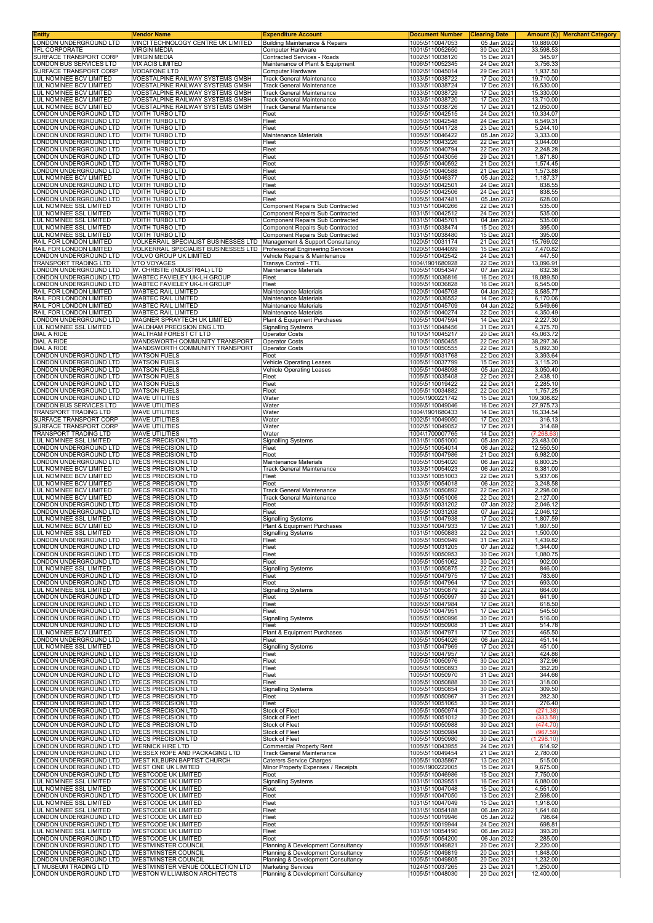| Entity<br>LONDON UNDERGROUND LTD                              | Vendor Name<br>VINCI TECHNOLOGY CENTRE UK LIMITED                        | <b>Expenditure Account</b><br><b>Building Maintenance &amp; Repairs</b>     | <b>Document Number</b>             | <b>Clearing Date</b>       | Amount (£)<br>10,889.00  | <b>Merchant Category</b> |
|---------------------------------------------------------------|--------------------------------------------------------------------------|-----------------------------------------------------------------------------|------------------------------------|----------------------------|--------------------------|--------------------------|
| TFL CORPORATE                                                 | <b>VIRGIN MEDIA</b>                                                      | Computer Hardware                                                           | 1005\5110047053<br>1001\5110052650 | 05 Jan 2022<br>30 Dec 2021 | 33,598.53                |                          |
| SURFACE TRANSPORT CORP                                        | <b>VIRGIN MEDIA</b>                                                      | Contracted Services - Roads                                                 | 1002\5110038120                    | 15 Dec 2021                | 345.97                   |                          |
| ONDON BUS SERVICES LTD<br>SURFACE TRANSPORT CORP              | <b>VIX ACIS LIMITED</b><br><b>VODAFONE LTD</b>                           | Maintenance of Plant & Equipment<br>Computer Hardware                       | 1006\5110052345<br>1002\5110045014 | 24 Dec 2021<br>29 Dec 2021 | 3,756.33<br>1.937.50     |                          |
| UL NOMINEE BCV LIMITED                                        | VOESTALPINE RAILWAY SYSTEMS GMBH                                         | <b>Track General Maintenance</b>                                            | 1033\5110038722                    | 17 Dec 2021                | 19,710.00                |                          |
| <b>UL NOMINEE BCV LIMITED</b><br>LUL NOMINEE BCV LIMITED      | VOESTALPINE RAILWAY SYSTEMS GMBH<br>VOESTALPINE RAILWAY SYSTEMS GMBH     | <b>Track General Maintenance</b><br><b>Track General Maintenance</b>        | 1033\5110038724<br>1033\5110038729 | 17 Dec 2021<br>17 Dec 2021 | 16,530.00<br>15,330.00   |                          |
| LUL NOMINEE BCV LIMITED                                       | VOESTALPINE RAILWAY SYSTEMS GMBH                                         | <b>Track General Maintenance</b>                                            | 1033\5110038720                    | 17 Dec 2021                | 13,710.00                |                          |
| LUL NOMINEE BCV LIMITED                                       | VOESTALPINE RAILWAY SYSTEMS GMBH                                         | <b>Track General Maintenance</b>                                            | 1033\5110038726                    | 17 Dec 2021                | 12,050.00                |                          |
| ONDON UNDERGROUND LTD<br>ONDON UNDERGROUND LTD                | <b>VOITH TURBO LTD</b><br><b>VOITH TURBO LTD</b>                         | Fleet<br>Fleet                                                              | 1005\5110042515<br>1005\5110042548 | 24 Dec 2021<br>24 Dec 2021 | 10,334.07<br>6,549.31    |                          |
| ONDON UNDERGROUND LTD.                                        | VOITH TURBO LTD                                                          | Fleet                                                                       | 1005\5110041728                    | 23 Dec 2021                | 5,244.10                 |                          |
| ONDON UNDERGROUND LTD.                                        | <b>VOITH TURBO LTD</b>                                                   | Maintenance Materials                                                       | 1005\5110046422                    | 05 Jan 2022                | 3,333.00                 |                          |
| ONDON UNDERGROUND LTD<br>ONDON UNDERGROUND LTD                | <b>VOITH TURBO LTD</b><br><b>VOITH TURBO LTD</b>                         | Fleet<br>Fleet                                                              | 1005\5110043226<br>1005\5110040794 | 22 Dec 2021<br>22 Dec 2021 | 3,044.00<br>2,248.28     |                          |
| ONDON UNDERGROUND LTD                                         | <b>VOITH TURBO LTD</b>                                                   | Fleet                                                                       | 1005\5110043056                    | 29 Dec 2021                | 1,871.80                 |                          |
| ONDON UNDERGROUND LTD<br>ONDON UNDERGROUND LTD                | <b>VOITH TURBO LTD</b><br><b>VOITH TURBO LTD</b>                         | Fleet<br>Fleet                                                              | 1005\5110040592<br>1005\5110040588 | 21 Dec 2021<br>21 Dec 2021 | 1,574.45<br>1,573.88     |                          |
| UL NOMINEE BCV LIMITED                                        | <b>VOITH TURBO LTD</b>                                                   | Fleet                                                                       | 1033\5110046377                    | 05 Jan 2022                | 1,187.37                 |                          |
| ONDON UNDERGROUND LTD<br>ONDON UNDERGROUND LTD                | <b>VOITH TURBO LTD</b><br><b>VOITH TURBO LTD</b>                         | Fleet<br>Fleet                                                              | 1005\5110042501<br>1005\5110042506 | 24 Dec 2021<br>24 Dec 2021 | 838.55<br>838.55         |                          |
| ONDON UNDERGROUND LTD                                         | <b>VOITH TURBO LTD</b>                                                   | Fleet                                                                       | 1005\5110047481                    | 05 Jan 2022                | 628.00                   |                          |
| <b>UL NOMINEE SSL LIMITED</b>                                 | <b>VOITH TURBO LTD</b>                                                   | <b>Component Repairs Sub Contracted</b>                                     | 1031\5110040266                    | 22 Dec 2021                | 535.00                   |                          |
| LUL NOMINEE SSL LIMITED<br>LUL NOMINEE SSL LIMITED            | VOITH TURBO LTD<br><b>VOITH TURBO LTD</b>                                | Component Repairs Sub Contracted<br><b>Component Repairs Sub Contracted</b> | 1031\5110042512<br>1031\5110045701 | 24 Dec 2021<br>04 Jan 2022 | 535.00<br>535.00         |                          |
| LUL NOMINEE SSL LIMITED                                       | <b>VOITH TURBO LTD</b>                                                   | <b>Component Repairs Sub Contracted</b>                                     | 1031\5110038474                    | 15 Dec 2021                | 395.00                   |                          |
| LUL NOMINEE SSL LIMITED<br>RAIL FOR LONDON LIMITED            | <b>VOITH TURBO LTD</b><br>VOLKERRAIL SPECIALIST BUSINESSES LTD           | Component Repairs Sub Contracted<br>Management & Support Consultancy        | 1031\5110038480<br>1020\5110031174 | 15 Dec 2021<br>21 Dec 2021 | 395.00<br>15,769.02      |                          |
| RAIL FOR LONDON LIMITED                                       | VOLKERRAIL SPECIALIST BUSINESSES LTD   Professional Engineering Services |                                                                             | 1020\5110044099                    | 15 Dec 2021                | 7,470.82                 |                          |
| ONDON UNDERGROUND LTD<br>TRANSPORT TRADING LTD                | <b>VOLVO GROUP UK LIMITED</b>                                            | Vehicle Repairs & Maintenance                                               | 1005\5110042542                    | 24 Dec 2021                | 447.50                   |                          |
| ONDON UNDERGROUND LTD                                         | <b>VTO VOYAGES</b><br>W. CHRISTIE (INDUSTRIAL) LTD                       | Transys Control - TTL<br><b>Maintenance Materials</b>                       | 1004\1901680928<br>1005\5110054347 | 22 Dec 2021<br>07 Jan 2022 | 13,096.91<br>632.38      |                          |
| ONDON UNDERGROUND LTD                                         | WABTEC FAVIELEY UK-LH GROUP                                              | Fleet                                                                       | 1005\5110036816                    | 16 Dec 2021                | 18,089.50                |                          |
| ONDON UNDERGROUND LTD<br>RAIL FOR LONDON LIMITED              | WABTEC FAVIELEY UK-LH GROUP<br><b>WABTEC RAIL LIMITED</b>                | Fleet<br>Maintenance Materials                                              | 1005\5110036828<br>1020\5110045708 | 16 Dec 2021<br>04 Jan 2022 | 6,545.00<br>8,585.77     |                          |
| RAIL FOR LONDON LIMITED                                       | <b>WABTEC RAIL LIMITED</b>                                               | Maintenance Materials                                                       | 1020\5110036552                    | 14 Dec 2021                | 6,170.06                 |                          |
| RAIL FOR LONDON LIMITED                                       | <b>WABTEC RAIL LIMITED</b>                                               | Maintenance Materials                                                       | 1020\5110045709                    | 04 Jan 2022                | 5,549.66                 |                          |
| RAIL FOR LONDON LIMITED<br>ONDON UNDERGROUND LTD              | <b>WABTEC RAIL LIMITED</b><br>WAGNER SPRAYTECH UK LIMITED                | Maintenance Materials<br>Plant & Equipment Purchases                        | 1020\5110040274<br>1005\5110047594 | 22 Dec 2021<br>14 Dec 2021 | 4.350.49<br>2,227.30     |                          |
| LUL NOMINEE SSL LIMITED                                       | WALDHAM PRECISION ENG.LTD.                                               | <b>Signalling Systems</b>                                                   | 1031\5110048456                    | 31 Dec 2021                | 4,375.70                 |                          |
| DIAL A RIDE<br>DIAL A RIDE                                    | WALTHAM FOREST CT LTD<br>WANDSWORTH COMMUNITY TRANSPORT                  | Operator Costs<br><b>Operator Costs</b>                                     | 1010\5110045217<br>1010\5110050455 | 20 Dec 2021<br>22 Dec 2021 | 45,063.72<br>38,297.36   |                          |
| DIAL A RIDE                                                   | WANDSWORTH COMMUNITY TRANSPORT                                           | <b>Operator Costs</b>                                                       | 1010\5110050555                    | 22 Dec 2021                | 5,092.30                 |                          |
| ONDON UNDERGROUND LTD.                                        | <b>WATSON FUELS</b>                                                      | Fleet                                                                       | 1005\5110031768                    | 22 Dec 2021                | 3,393.64                 |                          |
| ONDON UNDERGROUND LTD<br>ONDON UNDERGROUND LTD                | <b>WATSON FUELS</b><br><b>WATSON FUELS</b>                               | <b>Vehicle Operating Leases</b><br><b>Vehicle Operating Leases</b>          | 1005\5110037799<br>1005\5110048098 | 15 Dec 2021<br>05 Jan 2022 | 3,115.20<br>3,050.40     |                          |
| ONDON UNDERGROUND LTD                                         | <b>WATSON FUELS</b>                                                      | Fleet                                                                       | 1005\5110035408                    | 22 Dec 2021                | 2,438.10                 |                          |
| ONDON UNDERGROUND LTD.<br>ONDON UNDERGROUND LTD               | <b>WATSON FUELS</b><br><b>WATSON FUELS</b>                               | Fleet<br>Fleet                                                              | 1005\5110019422<br>1005\5110034882 | 22 Dec 2021<br>22 Dec 2021 | 2,285.10<br>1,757.25     |                          |
| ONDON UNDERGROUND LTD                                         | <b>WAVE UTILITIES</b>                                                    | Water                                                                       | 1005\1900221742                    | 15 Dec 2021                | 109,308.82               |                          |
| ONDON BUS SERVICES LTD                                        | <b>WAVE UTILITIES</b>                                                    | Water                                                                       | 1006\5110049046                    | 16 Dec 2021                | 27,975.73                |                          |
| TRANSPORT TRADING LTD<br>SURFACE TRANSPORT CORP               | <b>WAVE UTILITIES</b><br><b>WAVE UTILITIES</b>                           | Water<br>Water                                                              | 1004\1901680433<br>1002\5110049050 | 14 Dec 2021<br>17 Dec 2021 | 16,334.54<br>316.13      |                          |
| SURFACE TRANSPORT CORP                                        | <b>WAVE UTILITIES</b>                                                    | Water                                                                       | 1002\5110049052                    | 17 Dec 2021                | 314.69                   |                          |
| <b>FRANSPORT TRADING LTD</b><br><b>UL NOMINEE SSL LIMITED</b> | <b>WAVE UTILITIES</b><br><b>WECS PRECISION LTD</b>                       | Water<br><b>Signalling Systems</b>                                          | 1004\1700007765<br>1031\5110051000 | 14 Dec 2021<br>05 Jan 2022 | (7, 268.63)<br>23,483.00 |                          |
| ONDON UNDERGROUND LTD                                         | <b>WECS PRECISION LTD</b>                                                | Fleet                                                                       | 1005\5110054014                    | 06 Jan 2022                | 12,550.50                |                          |
| ONDON UNDERGROUND LTD                                         |                                                                          |                                                                             |                                    |                            |                          |                          |
|                                                               | <b>WECS PRECISION LTD</b>                                                | Fleet                                                                       | 1005\5110047986                    | 21 Dec 2021                | 6,982.00                 |                          |
| ONDON UNDERGROUND LTD                                         | <b>WECS PRECISION LTD</b>                                                | Maintenance Materials                                                       | 1005\5110054020                    | 06 Jan 2022<br>06 Jan 2022 | 6,800.25                 |                          |
| UL NOMINEE BCV LIMITED<br>LUL NOMINEE BCV LIMITED             | <b>WECS PRECISION LTD</b><br><b>WECS PRECISION LTD</b>                   | <b>Track General Maintenance</b><br>Fleet                                   | 1033\5110054023<br>1033\5110051003 | 22 Dec 2021                | 6,381.00<br>5,937.06     |                          |
| <b>UL NOMINEE BCV LIMITED</b>                                 | <b>WECS PRECISION LTD</b>                                                | Fleet                                                                       | 1033\5110054018                    | 06 Jan 2022                | 3,248.58                 |                          |
| LUL NOMINEE BCV LIMITED<br>LUL NOMINEE BCV LIMITED            | <b>WECS PRECISION LTD</b><br><b>WECS PRECISION LTD</b>                   | <b>Track General Maintenance</b><br><b>Track General Maintenance</b>        | 1033\5110050892<br>1033\5110051006 | 22 Dec 2021<br>22 Dec 2021 | 2,298.00<br>2,127.00     |                          |
| ONDON UNDERGROUND LTD                                         | <b>WECS PRECISION LTD</b>                                                | Fleet                                                                       | 1005\5110031202                    | 07 Jan 2022                | 2,046.12                 |                          |
| ONDON UNDERGROUND LTD                                         | <b>WECS PRECISION LTD</b>                                                | Fleet                                                                       | 1005\5110031208                    | 07 Jan 2022                | 2,046.12                 |                          |
| LUL NOMINEE SSL LIMITED<br>LUL NOMINEE BCV LIMITED            | <b>WECS PRECISION LTD</b><br><b>WECS PRECISION LTD</b>                   | <b>Signalling Systems</b><br>Plant & Equipment Purchases                    | 1031\5110047938<br>1033\5110047933 | 17 Dec 2021<br>17 Dec 2021 | 1,807.59<br>1,607.50     |                          |
| LUL NOMINEE SSL LIMITED                                       | <b>WECS PRECISION LTD</b>                                                | <b>Signalling Systems</b>                                                   | 1031\5110050883                    | 22 Dec 2021                | 1,500.00                 |                          |
| LONDON UNDERGROUND LTD<br>LONDON UNDERGROUND LTD              | <b>WECS PRECISION LTD</b><br><b>WECS PRECISION LTD</b>                   | Fleet<br>Fleet                                                              | 1005\5110050949<br>1005\5110031205 | 31 Dec 2021<br>07 Jan 2022 | 1,439.82<br>1,344.00     |                          |
| LONDON UNDERGROUND LTD                                        | <b>WECS PRECISION LTD</b>                                                | Fleet                                                                       | 1005\5110050953                    | 30 Dec 2021                | 1,080.75                 |                          |
| ONDON UNDERGROUND LTD                                         | <b>WECS PRECISION LTD</b>                                                | Fleet                                                                       | 1005\5110051062                    | 30 Dec 2021                | 902.00                   |                          |
| UL NOMINEE SSL LIMITED<br>ONDON UNDERGROUND LTD               | <b>WECS PRECISION LTD</b><br><b>WECS PRECISION LTD</b>                   | <b>Signalling Systems</b><br>Fleet                                          | 1031\5110050875<br>1005\5110047975 | 22 Dec 2021<br>17 Dec 2021 | 846.00<br>783.60         |                          |
| ONDON UNDERGROUND LTD.                                        | <b>WECS PRECISION LTD</b>                                                | Fleet                                                                       | 1005\5110047964                    | 17 Dec 2021                | 693.00                   |                          |
| UL NOMINEE SSL LIMITED<br>ONDON UNDERGROUND LTD               | <b>WECS PRECISION LTD</b><br><b>WECS PRECISION LTD</b>                   | <b>Signalling Systems</b><br>Fleet                                          | 1031\5110050879<br>1005\5110050997 | 22 Dec 2021<br>30 Dec 2021 | 664.00<br>641.90         |                          |
| ONDON UNDERGROUND LTD                                         | <b>WECS PRECISION LTD</b>                                                | Fleet                                                                       | 1005\5110047984                    | 17 Dec 2021                | 618.50                   |                          |
| ONDON UNDERGROUND LTD<br>ONDON UNDERGROUND LTD                | <b>WECS PRECISION LTD</b><br><b>WECS PRECISION LTD</b>                   | Fleet<br><b>Signalling Systems</b>                                          | 1005\5110047951<br>1005\5110050996 | 17 Dec 2021<br>30 Dec 2021 | 545.50<br>516.00         |                          |
| ONDON UNDERGROUND LTD                                         | <b>WECS PRECISION LTD</b>                                                | Fleet                                                                       | 1005\5110050908                    | 31 Dec 2021                | 514.78                   |                          |
| LUL NOMINEE BCV LIMITED                                       | <b>WECS PRECISION LTD</b>                                                | Plant & Equipment Purchases                                                 | 1033\5110047971                    | 17 Dec 2021                | 465.50                   |                          |
| LONDON UNDERGROUND LTD<br><b>UL NOMINEE SSL LIMITED</b>       | <b>WECS PRECISION LTD</b><br><b>WECS PRECISION LTD</b>                   | Fleet<br><b>Signalling Systems</b>                                          | 1005\5110054026<br>1031\5110047969 | 06 Jan 2022<br>17 Dec 2021 | 451.14<br>451.00         |                          |
| ONDON UNDERGROUND LTD                                         | <b>WECS PRECISION LTD</b>                                                | Fleet                                                                       | 1005\5110047957                    | 17 Dec 2021                | 424.86                   |                          |
| ONDON UNDERGROUND LTD<br>ONDON UNDERGROUND LTD                | <b>WECS PRECISION LTD</b><br><b>WECS PRECISION LTD</b>                   | Fleet<br>Fleet                                                              | 1005\5110050976<br>1005\5110050893 | 30 Dec 2021<br>30 Dec 2021 | 372.96<br>352.20         |                          |
| ONDON UNDERGROUND LTD                                         | <b>WECS PRECISION LTD</b>                                                | Fleet                                                                       | 1005\5110050970                    | 31 Dec 2021                | 344.66                   |                          |
| ONDON UNDERGROUND LTD                                         | <b>WECS PRECISION LTD</b>                                                | Fleet                                                                       | 1005\5110050888                    | 30 Dec 2021                | 318.00                   |                          |
| ONDON UNDERGROUND LTD<br>ONDON UNDERGROUND LTD                | <b>WECS PRECISION LTD</b><br><b>WECS PRECISION LTD</b>                   | <b>Signalling Systems</b><br>Fleet                                          | 1005\5110050854<br>1005\5110050967 | 30 Dec 2021<br>31 Dec 2021 | 309.50<br>282.30         |                          |
| ONDON UNDERGROUND LTD                                         | <b>WECS PRECISION LTD</b>                                                | Fleet                                                                       | 1005\5110051065                    | 30 Dec 2021                | 276.40                   |                          |
| ONDON UNDERGROUND LTD<br>ONDON UNDERGROUND LTD                | <b>WECS PRECISION LTD</b><br><b>WECS PRECISION LTD</b>                   | Stock of Fleet<br>Stock of Fleet                                            | 1005\5110050974<br>1005\5110051012 | 30 Dec 2021<br>30 Dec 2021 | (271.38)<br>(333.58)     |                          |
| ONDON UNDERGROUND LTD                                         | <b>WECS PRECISION LTD</b>                                                | Stock of Fleet                                                              | 1005\5110050988                    | 30 Dec 2021                | (474.70)                 |                          |
| LONDON UNDERGROUND LTD                                        | <b>WECS PRECISION LTD</b>                                                | Stock of Fleet                                                              | 1005\5110050984                    | 30 Dec 2021                | (967.59)                 |                          |
| ONDON UNDERGROUND LTD<br>ONDON UNDERGROUND LTD                | <b>WECS PRECISION LTD</b><br><b>WERNICK HIRE LTD</b>                     | Stock of Fleet<br><b>Commercial Property Rent</b>                           | 1005\5110050980<br>1005\5110043955 | 30 Dec 2021<br>24 Dec 2021 | (1, 298.10)<br>614.92    |                          |
| ONDON UNDERGROUND LTD                                         | WESSEX ROPE AND PACKAGING LTD                                            | <b>Track General Maintenance</b>                                            | 1005\5110049454                    | 21 Dec 2021                | 2,780.00                 |                          |
| ONDON UNDERGROUND LTD<br>ONDON UNDERGROUND LTD                | WEST KILBURN BAPTIST CHURCH<br>WEST ONE UK LIMITED                       | <b>Caterers Service Charges</b><br>Minor Property Expenses / Receipts       | 1005\5110035867<br>1005\1900222005 | 13 Dec 2021<br>15 Dec 2021 | 515.00<br>9,675.00       |                          |
| ONDON UNDERGROUND LTD                                         | <b>WESTCODE UK LIMITED</b>                                               | Fleet                                                                       | 1005\5110046986                    | 15 Dec 2021                | 7,750.00                 |                          |
| <b>UL NOMINEE SSL LIMITED</b>                                 | WESTCODE UK LIMITED                                                      | <b>Signalling Systems</b>                                                   | 1031\5110039551                    | 16 Dec 2021                | 6,080.00                 |                          |
| <b>UL NOMINEE SSL LIMITED</b><br>LONDON UNDERGROUND LTD       | WESTCODE UK LIMITED<br><b>WESTCODE UK LIMITED</b>                        | Fleet<br>Fleet                                                              | 1031\5110047048<br>1005\5110047050 | 15 Dec 2021<br>13 Dec 2021 | 4,551.00<br>2,598.00     |                          |
| LUL NOMINEE SSL LIMITED                                       | WESTCODE UK LIMITED                                                      | Fleet                                                                       | 1031\5110047049                    | 15 Dec 2021                | 1,918.00                 |                          |
| LUL NOMINEE SSL LIMITED<br>LONDON UNDERGROUND LTD             | WESTCODE UK LIMITED<br><b>WESTCODE UK LIMITED</b>                        | Fleet<br>Fleet                                                              | 1031\5110054188<br>1005\5110019946 | 06 Jan 2022<br>05 Jan 2022 | 1,641.60<br>798.64       |                          |
| ONDON UNDERGROUND LTD                                         | WESTCODE UK LIMITED                                                      | Fleet                                                                       | 1005\5110019944                    | 24 Dec 2021                | 698.81                   |                          |
| UL NOMINEE SSL LIMITED                                        | WESTCODE UK LIMITED                                                      | Fleet                                                                       | 1031\5110054190                    | 06 Jan 2022                | 393.20                   |                          |
| ONDON UNDERGROUND LTD<br>ONDON UNDERGROUND LTD.               | WESTCODE UK LIMITED<br><b>WESTMINSTER COUNCIL</b>                        | Fleet<br>Planning & Development Consultancy                                 | 1005\5110054200<br>1005\5110049821 | 06 Jan 2022<br>20 Dec 2021 | 285.00<br>2,220.00       |                          |
| ONDON UNDERGROUND LTD                                         | WESTMINSTER COUNCIL                                                      | Planning & Development Consultancy                                          | 1005\5110049819                    | 20 Dec 2021                | 1,848.00                 |                          |
| ONDON UNDERGROUND LTD<br>T MUSEUM TRADING LTD                 | WESTMINSTER COUNCIL<br>WESTMINSTER VENUE COLLECTION LTD                  | Planning & Development Consultancy<br><b>Marketing Services</b>             | 1005\5110049805<br>1024\5110037265 | 20 Dec 2021<br>23 Dec 2021 | 1,232.00<br>1,250.00     |                          |